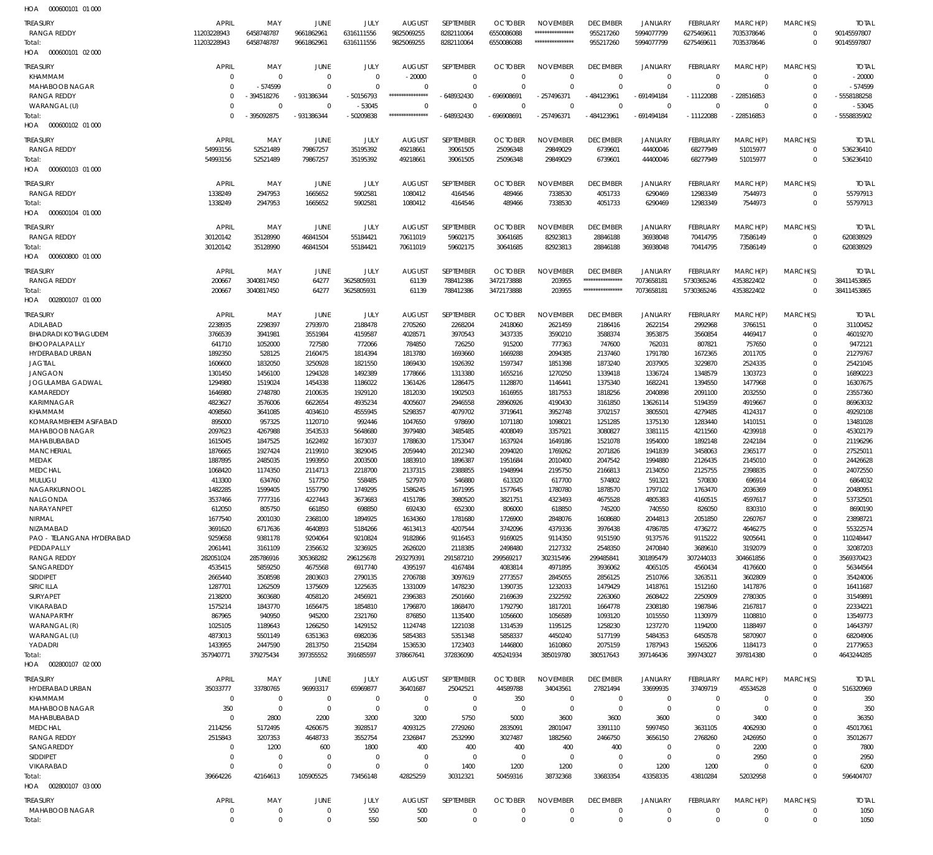| <b>TREASURY</b><br>RANGA REDDY<br>Total:<br>HOA   000600101   02   000 | <b>APRIL</b><br>11203228943<br>11203228943 | MAY<br>6458748787<br>6458748787 | JUNE<br>9661862961<br>9661862961 | JULY<br>6316111556<br>6316111556 | <b>AUGUST</b><br>9825069255<br>9825069255 | SEPTEMBER<br>8282110064<br>8282110064 | <b>OCTOBER</b><br>6550086088<br>6550086088 | <b>NOVEMBER</b><br>*****************<br>***************** | <b>DECEMBER</b><br>955217260<br>955217260 | JANUARY<br>5994077799<br>5994077799 | <b>FEBRUARY</b><br>6275469611<br>6275469611 | MARCH(P)<br>7035378646<br>7035378646 | MARCH(S)<br>$\Omega$<br>$\Omega$ | <b>TOTAL</b><br>90145597807<br>90145597807 |
|------------------------------------------------------------------------|--------------------------------------------|---------------------------------|----------------------------------|----------------------------------|-------------------------------------------|---------------------------------------|--------------------------------------------|-----------------------------------------------------------|-------------------------------------------|-------------------------------------|---------------------------------------------|--------------------------------------|----------------------------------|--------------------------------------------|
| <b>TREASURY</b>                                                        | <b>APRIL</b>                               | MAY                             | <b>JUNE</b>                      | JULY                             | <b>AUGUST</b>                             | SEPTEMBER                             | <b>OCTOBER</b>                             | <b>NOVEMBER</b>                                           | <b>DECEMBER</b>                           | JANUARY                             | FEBRUARY                                    | MARCH(P)                             | MARCH(S)                         | <b>TOTAL</b>                               |
| KHAMMAM                                                                | $\mathbf{0}$                               | $\overline{0}$                  | $\overline{0}$                   | $\Omega$                         | $-20000$                                  | $\Omega$                              | $\Omega$                                   | $\Omega$                                                  | $\overline{0}$                            | $\overline{0}$                      | $\Omega$                                    | $\Omega$                             | $\Omega$                         | $-20000$                                   |
| <b>MAHABOOB NAGAR</b><br><b>RANGA REDDY</b>                            | $\mathbf 0$<br>$\Omega$                    | $-574599$<br>- 394518276        | $\Omega$<br>-931386344           | $\Omega$<br>-50156793            | $\Omega$<br>*****************             | $\Omega$<br>$-648932430$              | $\Omega$<br>-696908691                     | $\Omega$<br>$-257496371$                                  | $\Omega$<br>$-484123961$                  | $\Omega$<br>-691494184              | $\Omega$<br>$-11122088$                     | $\Omega$<br>$-228516853$             | $\Omega$<br>$\Omega$             | $-574599$<br>-5558188258                   |
| WARANGAL (U)                                                           | $\Omega$                                   | $\overline{0}$                  | $\Omega$                         | $-53045$                         | $\Omega$                                  | $\Omega$                              | $\Omega$                                   | $\Omega$                                                  | $\Omega$                                  | $\Omega$                            | $\Omega$                                    | $\Omega$                             | $\Omega$                         | $-53045$                                   |
| Total:                                                                 | $\Omega$                                   | -395092875                      | -931386344                       | -50209838                        | *****************                         | $-648932430$                          | $-696908691$                               | $-257496371$                                              | $-484123961$                              | $-691494184$                        | $-11122088$                                 | $-228516853$                         | $\Omega$                         | -5558835902                                |
| HOA<br>000600102 01 000                                                |                                            |                                 |                                  |                                  |                                           |                                       |                                            |                                                           |                                           |                                     |                                             |                                      |                                  |                                            |
| <b>TREASURY</b><br>RANGA REDDY                                         | <b>APRIL</b><br>54993156                   | MAY<br>52521489                 | <b>JUNE</b><br>79867257          | JULY<br>35195392                 | <b>AUGUST</b><br>49218661                 | SEPTEMBER<br>39061505                 | <b>OCTOBER</b><br>25096348                 | <b>NOVEMBER</b><br>29849029                               | <b>DECEMBER</b><br>6739601                | JANUARY<br>44400046                 | <b>FEBRUARY</b><br>68277949                 | MARCH(P)<br>51015977                 | MARCH(S)<br>$\Omega$             | <b>TOTAL</b><br>536236410                  |
| Total:                                                                 | 54993156                                   | 52521489                        | 79867257                         | 35195392                         | 49218661                                  | 39061505                              | 25096348                                   | 29849029                                                  | 6739601                                   | 44400046                            | 68277949                                    | 51015977                             | $\Omega$                         | 536236410                                  |
| HOA   000600103  01  000                                               |                                            |                                 |                                  |                                  |                                           |                                       |                                            |                                                           |                                           |                                     |                                             |                                      |                                  |                                            |
| <b>TREASURY</b>                                                        | <b>APRIL</b>                               | MAY                             | JUNE                             | JULY                             | <b>AUGUST</b>                             | SEPTEMBER                             | <b>OCTOBER</b>                             | NOVEMBER                                                  | <b>DECEMBER</b>                           | JANUARY                             | <b>FEBRUARY</b>                             | MARCH(P)                             | MARCH(S)                         | <b>TOTAL</b>                               |
| RANGA REDDY<br>Total:                                                  | 1338249<br>1338249                         | 2947953<br>2947953              | 1665652<br>1665652               | 5902581<br>5902581               | 1080412<br>1080412                        | 4164546<br>4164546                    | 489466<br>489466                           | 7338530<br>7338530                                        | 4051733<br>4051733                        | 6290469<br>6290469                  | 12983349<br>12983349                        | 7544973<br>7544973                   | $\Omega$<br>$\Omega$             | 55797913<br>55797913                       |
| HOA<br>000600104 01 000                                                |                                            |                                 |                                  |                                  |                                           |                                       |                                            |                                                           |                                           |                                     |                                             |                                      |                                  |                                            |
| <b>TREASURY</b>                                                        | <b>APRIL</b>                               | MAY                             | JUNE                             | JULY                             | <b>AUGUST</b>                             | SEPTEMBER                             | <b>OCTOBER</b>                             | NOVEMBER                                                  | <b>DECEMBER</b>                           | <b>JANUARY</b>                      | <b>FEBRUARY</b>                             | MARCH(P)                             | MARCH(S)                         | <b>TOTAL</b>                               |
| RANGA REDDY                                                            | 30120142                                   | 35128990                        | 46841504                         | 55184421                         | 70611019                                  | 59602175                              | 30641685                                   | 82923813                                                  | 28846188                                  | 36938048                            | 70414795                                    | 73586149                             | $\Omega$                         | 620838929                                  |
| Total:<br>HOA<br>000600800 01 000                                      | 30120142                                   | 35128990                        | 46841504                         | 55184421                         | 70611019                                  | 59602175                              | 30641685                                   | 82923813                                                  | 28846188                                  | 36938048                            | 70414795                                    | 73586149                             | $\Omega$                         | 620838929                                  |
| <b>TREASURY</b>                                                        | <b>APRIL</b>                               | MAY                             | JUNE                             | JULY                             | <b>AUGUST</b>                             | SEPTEMBER                             | <b>OCTOBER</b>                             | <b>NOVEMBER</b>                                           | <b>DECEMBER</b>                           | JANUARY                             | FEBRUARY                                    | MARCH(P)                             | MARCH(S)                         | <b>TOTAL</b>                               |
| RANGA REDDY                                                            | 200667                                     | 3040817450                      | 64277                            | 3625805931                       | 61139                                     | 788412386                             | 3472173888                                 | 203955                                                    | *****************                         | 7073658181                          | 5730365246                                  | 4353822402                           | $\Omega$                         | 38411453865                                |
| Total:                                                                 | 200667                                     | 3040817450                      | 64277                            | 3625805931                       | 61139                                     | 788412386                             | 3472173888                                 | 203955                                                    | *****************                         | 7073658181                          | 5730365246                                  | 4353822402                           | $\Omega$                         | 38411453865                                |
| 002800107 01 000<br>HOA                                                |                                            |                                 |                                  |                                  |                                           |                                       |                                            |                                                           |                                           |                                     |                                             |                                      |                                  |                                            |
| <b>TREASURY</b>                                                        | <b>APRIL</b>                               | MAY                             | JUNE                             | JULY                             | <b>AUGUST</b>                             | SEPTEMBER                             | <b>OCTOBER</b>                             | <b>NOVEMBER</b>                                           | <b>DECEMBER</b>                           | <b>JANUARY</b>                      | <b>FEBRUARY</b>                             | MARCH(P)                             | MARCH(S)<br>$\Omega$             | <b>TOTAL</b>                               |
| ADILABAD<br><b>BHADRADI KOTHAGUDEM</b>                                 | 2238935<br>3766539                         | 2298397<br>3941981              | 2793970<br>3551984               | 2188478<br>4159587               | 2705260<br>4028571                        | 2268204<br>3970543                    | 2418060<br>3437335                         | 2621459<br>3590210                                        | 2186416<br>3588374                        | 2622154<br>3953875                  | 2992968<br>3560854                          | 3766151<br>4469417                   | $\Omega$                         | 31100452<br>46019270                       |
| BHOOPALAPALLY                                                          | 641710                                     | 1052000                         | 727580                           | 772066                           | 784850                                    | 726250                                | 915200                                     | 777363                                                    | 747600                                    | 762031                              | 807821                                      | 757650                               | $\Omega$                         | 9472121                                    |
| HYDERABAD URBAN                                                        | 1892350                                    | 528125                          | 2160475                          | 1814394                          | 1813780                                   | 1693660                               | 1669288                                    | 2094385                                                   | 2137460                                   | 1791780                             | 1672365                                     | 2011705                              | $\Omega$<br>$\Omega$             | 21279767                                   |
| <b>JAGTIAL</b><br><b>JANGAON</b>                                       | 1606600<br>1301450                         | 1832050<br>1456100              | 3250928<br>1294328               | 1821550<br>1492389               | 1869430<br>1778666                        | 1926392<br>1313380                    | 1597347<br>1655216                         | 1851398<br>1270250                                        | 1873240<br>1339418                        | 2037905<br>1336724                  | 3229870<br>1348579                          | 2524335<br>1303723                   | $\Omega$                         | 25421045<br>16890223                       |
| JOGULAMBA GADWAL                                                       | 1294980                                    | 1519024                         | 1454338                          | 1186022                          | 1361426                                   | 1286475                               | 1128870                                    | 1146441                                                   | 1375340                                   | 1682241                             | 1394550                                     | 1477968                              | $\Omega$                         | 16307675                                   |
| KAMAREDDY                                                              | 1646980                                    | 2748780                         | 2100635                          | 1929120                          | 1812030                                   | 1902503                               | 1616955                                    | 1817553                                                   | 1818256                                   | 2040898                             | 2091100                                     | 2032550                              | $\Omega$                         | 23557360                                   |
| <b>KARIMNAGAR</b><br>KHAMMAM                                           | 4823627<br>4098560                         | 3576006<br>3641085              | 6622654<br>4034610               | 4935234<br>4555945               | 4005607<br>5298357                        | 2946558<br>4079702                    | 28960926<br>3719641                        | 4190430<br>3952748                                        | 3161850<br>3702157                        | 13626114<br>3805501                 | 5194359<br>4279485                          | 4919667<br>4124317                   | $\Omega$<br>$\Omega$             | 86963032<br>49292108                       |
| KOMARAMBHEEM ASIFABAD                                                  | 895000                                     | 957325                          | 1120710                          | 992446                           | 1047650                                   | 978690                                | 1071180                                    | 1098021                                                   | 1251285                                   | 1375130                             | 1283440                                     | 1410151                              | $\Omega$                         | 13481028                                   |
| MAHABOOB NAGAR                                                         | 2097623                                    | 4267988                         | 3543533                          | 5648680                          | 3979480                                   | 3485485                               | 4008049                                    | 3357921                                                   | 3080827                                   | 3381115                             | 4211560                                     | 4239918                              | $\Omega$                         | 45302179                                   |
| MAHABUBABAD<br><b>MANCHERIAL</b>                                       | 1615045<br>1876665                         | 1847525<br>1927424              | 1622492<br>2119910               | 1673037<br>3829045               | 1788630<br>2059440                        | 1753047<br>2012340                    | 1637924<br>2094020                         | 1649186<br>1769262                                        | 1521078<br>2071826                        | 1954000<br>1941839                  | 1892148<br>3458063                          | 2242184<br>2365177                   | $\Omega$<br>$\Omega$             | 21196296<br>27525011                       |
| MEDAK                                                                  | 1887895                                    | 2485035                         | 1993950                          | 2003500                          | 1883910                                   | 1896387                               | 1951684                                    | 2010400                                                   | 2047542                                   | 1994880                             | 2126435                                     | 2145010                              | $\Omega$                         | 24426628                                   |
| <b>MEDCHAL</b>                                                         | 1068420                                    | 1174350                         | 2114713                          | 2218700                          | 2137315                                   | 2388855                               | 1948994                                    | 2195750                                                   | 2166813                                   | 2134050                             | 2125755                                     | 2398835                              | $\Omega$                         | 24072550                                   |
| MULUGU<br>NAGARKURNOOL                                                 | 413300<br>1482285                          | 634760<br>1599405               | 517750<br>1557790                | 558485<br>1749295                | 527970<br>1586245                         | 546880<br>1671995                     | 613320<br>1577645                          | 617700<br>1780780                                         | 574802<br>1878570                         | 591321<br>1797102                   | 570830<br>1763470                           | 696914<br>2036369                    | $\Omega$<br>$\Omega$             | 6864032<br>20480951                        |
| NALGONDA                                                               | 3537466                                    | 7777316                         | 4227443                          | 3673683                          | 4151786                                   | 3980520                               | 3821751                                    | 4323493                                                   | 4675528                                   | 4805383                             | 4160515                                     | 4597617                              | $\mathbf{0}$                     | 53732501                                   |
| NARAYANPET                                                             | 612050                                     | 805750                          | 661850                           | 698850                           | 692430                                    | 652300                                | 806000                                     | 618850                                                    | 745200                                    | 740550                              | 826050                                      | 830310                               | $\Omega$                         | 8690190                                    |
| <b>NIRMAL</b><br>NIZAMABAD                                             | 1677540<br>3691620                         | 2001030<br>6717636              | 2368100<br>4640893               | 1894925<br>5184266               | 1634360<br>4613413                        | 1781680<br>4207544                    | 1726900<br>3742096                         | 2848076<br>4379336                                        | 1608680<br>3976438                        | 2044813<br>4786785                  | 2051850<br>4736272                          | 2260767<br>4646275                   | $\Omega$<br>$\Omega$             | 23898721<br>55322574                       |
| PAO - TELANGANA HYDERABAD                                              | 9259658                                    | 9381178                         | 9204064                          | 9210824                          | 9182866                                   | 9116453                               | 9169025                                    | 9114350                                                   | 9151590                                   | 9137576                             | 9115222                                     | 9205641                              | $\Omega$                         | 110248447                                  |
| PEDDAPALLY                                                             | 2061441                                    | 3161109                         | 2356632                          | 3236925                          | 2626020                                   | 2118385                               | 2498480                                    | 2127332                                                   | 2548350                                   | 2470840                             | 3689610                                     | 3192079                              | $\Omega$                         | 32087203                                   |
| <b>RANGA REDDY</b><br>SANGAREDDY                                       | 282051024<br>4535415                       | 285786916<br>5859250            | 305368282<br>4675568             | 296125678<br>6917740             | 293279391<br>4395197                      | 291587210<br>4167484                  | 299569217<br>4083814                       | 302315496<br>4971895                                      | 299485841<br>3936062                      | 301895479<br>4065105                | 307244033<br>4560434                        | 304661856<br>4176600                 | $\Omega$<br>$\Omega$             | 3569370423<br>56344564                     |
| <b>SIDDIPET</b>                                                        | 2665440                                    | 3508598                         | 2803603                          | 2790135                          | 2706788                                   | 3097619                               | 2773557                                    | 2845055                                                   | 2856125                                   | 2510766                             | 3263511                                     | 3602809                              | $\Omega$                         | 35424006                                   |
| <b>SIRICILLA</b><br><b>SURYAPET</b>                                    | 1287701                                    | 1262509<br>3603680              | 1375609<br>4058120               | 1225635                          | 1331009                                   | 1478230                               | 1390735                                    | 1232033                                                   | 1479429                                   | 1418761<br>2608422                  | 1512160                                     | 1417876                              | $\Omega$<br>$\Omega$             | 16411687                                   |
| VIKARABAD                                                              | 2138200<br>1575214                         | 1843770                         | 1656475                          | 2456921<br>1854810               | 2396383<br>1796870                        | 2501660<br>1868470                    | 2169639<br>1792790                         | 2322592<br>1817201                                        | 2263060<br>1664778                        | 2308180                             | 2250909<br>1987846                          | 2780305<br>2167817                   | $\Omega$                         | 31549891<br>22334221                       |
| WANAPARTHY                                                             | 867965                                     | 940950                          | 945200                           | 2321760                          | 876850                                    | 1135400                               | 1056600                                    | 1056589                                                   | 1093120                                   | 1015550                             | 1130979                                     | 1108810                              | $\Omega$                         | 13549773                                   |
| WARANGAL (R)                                                           | 1025105<br>4873013                         | 1189643<br>5501149              | 1266250<br>6351363               | 1429152<br>6982036               | 1124748<br>5854383                        | 1221038<br>5351348                    | 1314539<br>5858337                         | 1195125<br>4450240                                        | 1258230<br>5177199                        | 1237270                             | 1194200<br>6450578                          | 1188497<br>5870907                   | $\Omega$<br>$\Omega$             | 14643797<br>68204906                       |
| WARANGAL (U)<br>YADADRI                                                | 1433955                                    | 2447590                         | 2813750                          | 2154284                          | 1536530                                   | 1723403                               | 1446800                                    | 1610860                                                   | 2075159                                   | 5484353<br>1787943                  | 1565206                                     | 1184173                              | $\Omega$                         | 21779653                                   |
| Total:                                                                 | 357940771                                  | 379275434                       | 397355552                        | 391685597                        | 378667641                                 | 372836090                             | 405241934                                  | 385019780                                                 | 380517643                                 | 397146436                           | 399743027                                   | 397814380                            | $\Omega$                         | 4643244285                                 |
| HOA   002800107   02   000                                             |                                            |                                 |                                  |                                  |                                           |                                       |                                            |                                                           |                                           |                                     |                                             |                                      |                                  |                                            |
| <b>TREASURY</b>                                                        | <b>APRIL</b>                               | MAY                             | JUNE                             | JULY                             | <b>AUGUST</b>                             | SEPTEMBER                             | <b>OCTOBER</b>                             | <b>NOVEMBER</b>                                           | <b>DECEMBER</b>                           | JANUARY                             | <b>FEBRUARY</b>                             | MARCH(P)                             | MARCH(S)                         | <b>TOTAL</b>                               |
| HYDERABAD URBAN<br>KHAMMAM                                             | 35033777<br>$\overline{0}$                 | 33780765<br>$\overline{0}$      | 96993317<br>$\overline{0}$       | 65969877<br>$\overline{0}$       | 36401687<br>$\mathbf 0$                   | 25042521<br>$\overline{0}$            | 44589788<br>350                            | 34043561<br>$\overline{0}$                                | 27821494<br>$\overline{0}$                | 33699935<br>$\overline{0}$          | 37409719<br>0                               | 45534528<br>0                        | $\Omega$<br>$\mathbf{0}$         | 516320969<br>350                           |
| MAHABOOB NAGAR                                                         | 350                                        | $\overline{0}$                  | $\mathbf 0$                      | $\overline{0}$                   | $\mathbf 0$                               | $\overline{0}$                        | $\Omega$                                   | $\overline{0}$                                            | $\overline{0}$                            | $\overline{0}$                      | $\Omega$                                    | $\Omega$                             | $\Omega$                         | 350                                        |
| MAHABUBABAD                                                            | $\mathbf{0}$                               | 2800                            | 2200                             | 3200                             | 3200                                      | 5750                                  | 5000                                       | 3600                                                      | 3600                                      | 3600                                | $\Omega$                                    | 3400                                 | $\Omega$                         | 36350                                      |
| <b>MEDCHAL</b><br><b>RANGA REDDY</b>                                   | 2114256<br>2515843                         | 5172495<br>3207353              | 4260675<br>4648733               | 3928517<br>3552754               | 4093125<br>2326847                        | 2729260<br>2532990                    | 2835091<br>3027487                         | 2801047<br>1882560                                        | 3391110<br>2466750                        | 5997450<br>3656150                  | 3631105<br>2768260                          | 4062930<br>2426950                   | $\Omega$<br>$\Omega$             | 45017061<br>35012677                       |
| SANGAREDDY                                                             | $\mathbf 0$                                | 1200                            | 600                              | 1800                             | 400                                       | 400                                   | 400                                        | 400                                                       | 400                                       | $\overline{0}$                      | $\Omega$                                    | 2200                                 | $\Omega$                         | 7800                                       |
| <b>SIDDIPET</b>                                                        | $\mathbf 0$                                | $\overline{0}$                  | $\overline{0}$                   | $\overline{0}$                   | $\mathbf 0$                               | $\overline{0}$                        | $\Omega$                                   | $\Omega$                                                  | $\overline{0}$                            | $\overline{0}$                      | $\Omega$                                    | 2950                                 | $\Omega$                         | 2950                                       |
| VIKARABAD<br>Total:                                                    | $\Omega$<br>39664226                       | $\overline{0}$<br>42164613      | $\Omega$<br>105905525            | $\Omega$<br>73456148             | $\Omega$<br>42825259                      | 1400<br>30312321                      | 1200<br>50459316                           | 1200<br>38732368                                          | $\Omega$<br>33683354                      | 1200<br>43358335                    | 1200<br>43810284                            | $\Omega$<br>52032958                 | $\Omega$<br>$\Omega$             | 6200<br>596404707                          |
| HOA   002800107   03   000                                             |                                            |                                 |                                  |                                  |                                           |                                       |                                            |                                                           |                                           |                                     |                                             |                                      |                                  |                                            |
| <b>TREASURY</b>                                                        | <b>APRIL</b>                               | MAY                             | <b>JUNE</b>                      | <b>JULY</b>                      | <b>AUGUST</b>                             | SEPTEMBER                             | <b>OCTOBER</b>                             | <b>NOVEMBER</b>                                           | <b>DECEMBER</b>                           | <b>JANUARY</b>                      | <b>FEBRUARY</b>                             | MARCH(P)                             | MARCH(S)                         | <b>TOTAL</b>                               |
| MAHABOOB NAGAR                                                         | 0                                          | $\mathbf 0$                     | 0                                | 550                              | 500                                       | $\overline{0}$                        | 0                                          | 0                                                         | $\mathbf 0$                               | $\overline{0}$                      | 0                                           | 0                                    | 0                                | 1050                                       |
| Total:                                                                 | $\Omega$                                   | $\overline{0}$                  | $\Omega$                         | 550                              | 500                                       | $\overline{0}$                        | $\Omega$                                   | $\overline{0}$                                            | $\mathbf 0$                               | $\overline{0}$                      | $\Omega$                                    | $\Omega$                             | $\Omega$                         | 1050                                       |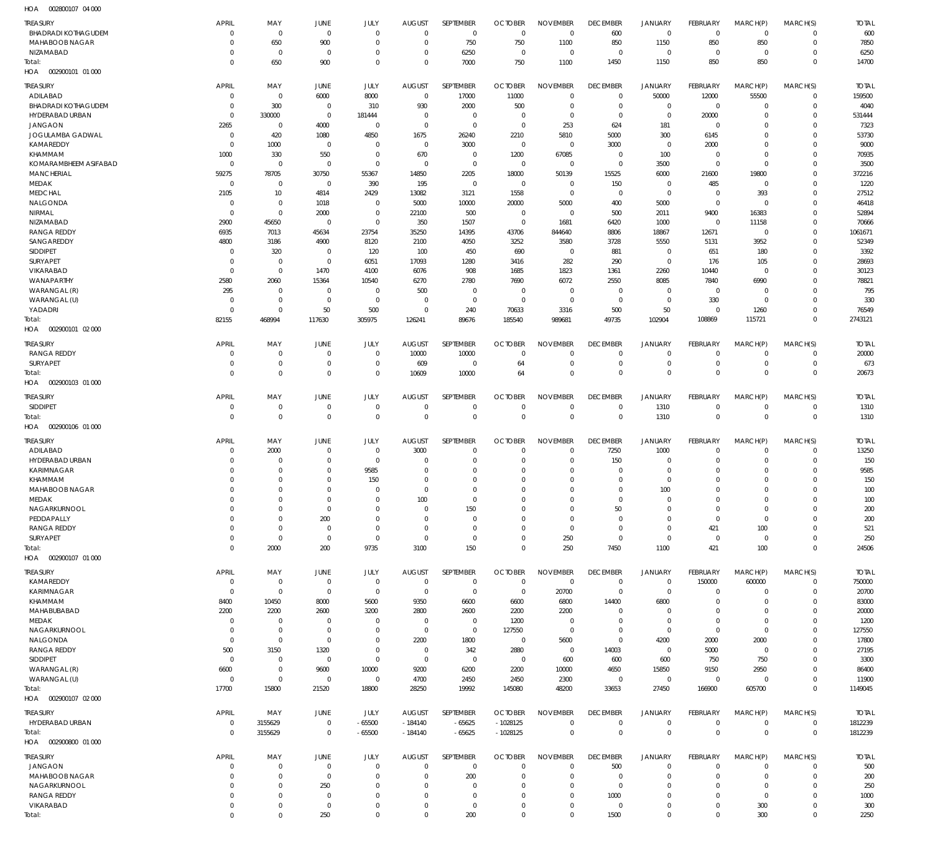002800107 04 000 HOA

| <b>TREASURY</b>                            | APRIL                | MAY                           | JUNE                 | JULY                       | <b>AUGUST</b>        | SEPTEMBER                  | <b>OCTOBER</b>       | <b>NOVEMBER</b>            | <b>DECEMBER</b>            | <b>JANUARY</b>             | FEBRUARY                   | MARCH(P)                | MARCH(S)                         | <b>TOTAL</b>   |
|--------------------------------------------|----------------------|-------------------------------|----------------------|----------------------------|----------------------|----------------------------|----------------------|----------------------------|----------------------------|----------------------------|----------------------------|-------------------------|----------------------------------|----------------|
| <b>BHADRADI KOTHAGUDEM</b>                 | $\Omega$             | $\overline{0}$                | $\Omega$             | $\Omega$                   | $\Omega$             | $\mathbf 0$                | $\mathbf 0$          | $\mathbf 0$                | 600                        | $\mathbf 0$                | $\overline{0}$             | $\mathbf 0$             | $^{\circ}$                       | 600            |
| <b>MAHABOOB NAGAR</b>                      | $\Omega$             | 650                           | 900                  | $\Omega$                   | $\Omega$             | 750                        | 750                  | 1100                       | 850                        | 1150                       | 850                        | 850                     | $\overline{0}$                   | 7850           |
| NIZAMABAD                                  | $\Omega$             | $\overline{0}$                | $\Omega$             | $\Omega$                   | $\Omega$             | 6250                       | 0                    | $\mathbf 0$                | $\mathbf 0$                | $\mathbf 0$                | $\overline{0}$             | $\Omega$                | $\overline{0}$                   | 6250           |
| Total:                                     | $\mathbf{0}$         | 650                           | 900                  | $\Omega$                   | $\Omega$             | 7000                       | 750                  | 1100                       | 1450                       | 1150                       | 850                        | 850                     | $\overline{0}$                   | 14700          |
| HOA   002900101   01   000                 |                      |                               |                      |                            |                      |                            |                      |                            |                            |                            |                            |                         |                                  |                |
| <b>TREASURY</b>                            | <b>APRIL</b>         | MAY                           | JUNE                 | JULY                       | <b>AUGUST</b>        | SEPTEMBER                  | <b>OCTOBER</b>       | <b>NOVEMBER</b>            | <b>DECEMBER</b>            | JANUARY                    | FEBRUARY                   | MARCH(P)                | MARCH(S)                         | <b>TOTAL</b>   |
| ADILABAD                                   | $\Omega$             | $\overline{0}$                | 6000                 | 8000                       | $\Omega$             | 17000                      | 11000                | $\Omega$                   | $\mathbf 0$                | 50000                      | 12000                      | 55500                   | $\mathbf 0$                      | 159500         |
| <b>BHADRADI KOTHAGUDEM</b>                 | $\Omega$             | 300                           | $\mathbf 0$          | 310                        | 930                  | 2000                       | 500                  | $^{\circ}$                 | $\mathbf 0$                | $\mathbf 0$                | $\mathbf 0$                | C                       | $\mathbf 0$                      | 4040           |
| HYDERABAD URBAN                            | $\Omega$             | 330000                        | $\mathbf{0}$         | 181444                     | $\Omega$             | $\mathbf 0$                | $\Omega$             | $\Omega$                   | $\mathbf 0$                | $\Omega$                   | 20000                      | C                       | $\Omega$                         | 531444         |
| <b>JANGAON</b>                             | 2265                 | $\Omega$                      | 4000                 | $\mathbf 0$                | $\Omega$             | $\mathbf 0$                | $\Omega$             | 253                        | 624                        | 181                        | $\mathbf 0$                | C                       | $\Omega$                         | 7323           |
| JOGULAMBA GADWAL                           | $\Omega$             | 420                           | 1080                 | 4850                       | 1675                 | 26240                      | 2210                 | 5810                       | 5000                       | 300                        | 6145                       | C                       | $\Omega$                         | 53730          |
| <b>KAMAREDDY</b>                           | $\Omega$             | 1000                          | $\Omega$             | $\Omega$                   | $\Omega$             | 3000                       | $\mathbf 0$          | $^{\circ}$                 | 3000                       | $\mathbf 0$                | 2000                       | C                       | $\Omega$                         | 9000           |
| KHAMMAM                                    | 1000                 | 330                           | 550<br>$\Omega$      | $\Omega$<br>$\Omega$       | 670<br>$\Omega$      | $\mathbf 0$<br>$\mathbf 0$ | 1200<br>$\Omega$     | 67085<br>$\Omega$          | $\Omega$                   | 100                        | $\mathbf 0$                | C<br>$\Omega$           | $\Omega$<br>$\Omega$             | 70935          |
| KOMARAMBHEEM ASIFABAD<br><b>MANCHERIAL</b> | $\Omega$<br>59275    | $\overline{0}$<br>78705       | 30750                | 55367                      | 14850                | 2205                       | 18000                | 50139                      | $\mathbf 0$<br>15525       | 3500<br>6000               | $\mathbf 0$<br>21600       | 19800                   | $\Omega$                         | 3500<br>372216 |
| MEDAK                                      | $\Omega$             | $\overline{0}$                | $\mathbf{0}$         | 390                        | 195                  | $\mathbf 0$                | $\mathbf 0$          | -0                         | 150                        | $\mathbf 0$                | 485                        | $\Omega$                | $\Omega$                         | 1220           |
| <b>MEDCHAL</b>                             | 2105                 | 10                            | 4814                 | 2429                       | 13082                | 3121                       | 1558                 | $\mathbf 0$                | $\mathbf 0$                | $\mathbf 0$                | $\mathbf 0$                | 393                     | $\Omega$                         | 27512          |
| NALGONDA                                   | $\Omega$             | $\overline{0}$                | 1018                 | $\Omega$                   | 5000                 | 10000                      | 20000                | 5000                       | 400                        | 5000                       | $\mathbf 0$                | $\Omega$                | $\Omega$                         | 46418          |
| NIRMAL                                     | $\Omega$             | $\Omega$                      | 2000                 | $\mathbf 0$                | 22100                | 500                        | $\mathbf 0$          | $^{\circ}$                 | 500                        | 2011                       | 9400                       | 16383                   | $\Omega$                         | 52894          |
| NIZAMABAD                                  | 2900                 | 45650                         | $\Omega$             | $\Omega$                   | 350                  | 1507                       | $\mathbf 0$          | 1681                       | 6420                       | 1000                       | $\mathbf 0$                | 11158                   | $\Omega$                         | 70666          |
| <b>RANGA REDDY</b>                         | 6935                 | 7013                          | 45634                | 23754                      | 35250                | 14395                      | 43706                | 844640                     | 8806                       | 18867                      | 12671                      | $\Omega$                | $\Omega$                         | 1061671        |
| SANGAREDDY                                 | 4800                 | 3186                          | 4900                 | 8120                       | 2100                 | 4050                       | 3252                 | 3580                       | 3728                       | 5550                       | 5131                       | 3952                    | $\Omega$                         | 52349          |
| SIDDIPET                                   | $\Omega$             | 320                           | $\mathbf{0}$         | 120                        | 100                  | 450                        | 690                  | $^{\circ}$                 | 881                        | $\mathbf 0$                | 651                        | 180                     | $\Omega$                         | 3392           |
| SURYAPET                                   |                      | $\Omega$                      | $\mathbf{0}$         | 6051                       | 17093                | 1280                       | 3416                 | 282                        | 290                        | $\mathbf 0$                | 176                        | 105                     | $\Omega$                         | 28693          |
| VIKARABAD                                  | $\Omega$             | $\overline{0}$                | 1470                 | 4100                       | 6076                 | 908                        | 1685                 | 1823                       | 1361                       | 2260                       | 10440                      | $\Omega$                | $\Omega$                         | 30123          |
| WANAPARTHY                                 | 2580                 | 2060                          | 15364                | 10540                      | 6270                 | 2780                       | 7690                 | 6072                       | 2550                       | 8085                       | 7840                       | 6990                    | $\Omega$                         | 78821          |
| WARANGAL (R)                               | 295                  | $\Omega$                      | $\Omega$             | $\Omega$                   | 500                  | $\mathbf 0$                | $\Omega$             | $\Omega$                   | $\Omega$                   | $\Omega$                   | $\overline{0}$             | $\Omega$                | $\Omega$                         | 795            |
| WARANGAL (U)<br>YADADRI                    | $\Omega$<br>$\Omega$ | $\overline{0}$<br>$\Omega$    | $\Omega$<br>50       | $\mathbf{0}$<br>500        | $\Omega$<br>$\Omega$ | $\mathbf 0$<br>240         | 0<br>70633           | $\Omega$<br>3316           | $\mathbf 0$<br>500         | $\mathbf 0$<br>50          | 330<br>$\mathbf 0$         | $\Omega$<br>1260        | $\Omega$<br>$\Omega$             | 330<br>76549   |
| Total:                                     | 82155                | 468994                        | 117630               | 305975                     | 126241               | 89676                      | 185540               | 989681                     | 49735                      | 102904                     | 108869                     | 115721                  | $\Omega$                         | 2743121        |
| HOA   002900101   02   000                 |                      |                               |                      |                            |                      |                            |                      |                            |                            |                            |                            |                         |                                  |                |
|                                            |                      |                               |                      |                            |                      |                            |                      |                            |                            |                            |                            |                         |                                  |                |
| <b>TREASURY</b>                            | <b>APRIL</b>         | MAY                           | JUNE                 | JULY                       | <b>AUGUST</b>        | SEPTEMBER                  | <b>OCTOBER</b>       | <b>NOVEMBER</b>            | <b>DECEMBER</b>            | <b>JANUARY</b>             | FEBRUARY                   | MARCH(P)                | MARCH(S)                         | <b>TOTAL</b>   |
| RANGA REDDY<br>SURYAPET                    | $\Omega$<br>$\Omega$ | $\overline{0}$<br>$\mathbf 0$ | $\Omega$<br>$\Omega$ | $\mathbf 0$<br>$\mathbf 0$ | 10000                | 10000                      | 0<br>64              | $\mathbf 0$<br>$\mathbf 0$ | $\mathbf 0$<br>$\mathbf 0$ | $\mathbf 0$<br>$\mathbf 0$ | $\mathbf 0$<br>$\mathbf 0$ | $\Omega$<br>$\mathbf 0$ | $\overline{0}$<br>$\overline{0}$ | 20000<br>673   |
| Total:                                     | $\mathbf{0}$         | $\mathbf 0$                   | $\mathbf{0}$         | $\mathbf 0$                | 609<br>10609         | 0<br>10000                 | 64                   | $\mathbf 0$                | $\mathbf 0$                | $\mathbf 0$                | $\mathbf 0$                | $\mathbf 0$             | $\overline{0}$                   | 20673          |
| HOA  002900103  01  000                    |                      |                               |                      |                            |                      |                            |                      |                            |                            |                            |                            |                         |                                  |                |
|                                            |                      |                               |                      |                            |                      |                            |                      |                            |                            |                            |                            |                         |                                  |                |
| <b>TREASURY</b>                            | <b>APRIL</b>         | MAY                           | JUNE                 | JULY                       | <b>AUGUST</b>        | SEPTEMBER                  | <b>OCTOBER</b>       | <b>NOVEMBER</b>            | <b>DECEMBER</b>            | <b>JANUARY</b>             | <b>FEBRUARY</b>            | MARCH(P)                | MARCH(S)                         | <b>TOTAL</b>   |
| <b>SIDDIPET</b>                            | $\Omega$             | $\mathbf 0$                   | $\mathbf{0}$         | $\mathbf 0$                | $\Omega$             | $\mathbf 0$                | $\mathbf 0$          | $\mathbf 0$                | $\mathbf 0$                | 1310                       | $\overline{0}$             | $\Omega$                | $\overline{0}$                   | 1310           |
| Total:<br>HOA<br>002900106 01 000          | $\Omega$             | $\mathbf 0$                   | $\mathbf{0}$         | $\mathbf 0$                | $\Omega$             | $\mathbf 0$                | $\mathbf 0$          | $\mathbf 0$                | $\mathbf 0$                | 1310                       | $\mathbf 0$                | $\Omega$                | $\overline{0}$                   | 1310           |
|                                            |                      |                               |                      |                            |                      |                            |                      |                            |                            |                            |                            |                         |                                  |                |
| <b>TREASURY</b>                            | <b>APRIL</b>         | MAY                           | JUNE                 | JULY                       | <b>AUGUST</b>        | SEPTEMBER                  | <b>OCTOBER</b>       | <b>NOVEMBER</b>            | <b>DECEMBER</b>            | <b>JANUARY</b>             | <b>FEBRUARY</b>            | MARCH(P)                | MARCH(S)                         | <b>TOTAL</b>   |
| ADILABAD                                   | $\Omega$             | 2000                          | $\Omega$             | $\mathbf 0$                | 3000                 | $\mathbf 0$                | $\Omega$             | $\mathbf 0$                | 7250                       | 1000                       | $\mathbf 0$                | $\Omega$                | $\overline{0}$                   | 13250          |
| <b>HYDERABAD URBAN</b>                     | $\Omega$             | $\Omega$                      | $\Omega$             | $\mathbf 0$                | $\Omega$             | $\mathbf 0$                | $\Omega$             | $\mathbf 0$                | 150                        | 0                          | $\mathbf 0$                | $\Omega$                | $\overline{0}$                   | 150            |
| <b>KARIMNAGAR</b>                          | $\Omega$             | $\Omega$                      | $\Omega$             | 9585                       | $\Omega$             | $\Omega$                   | $\Omega$             | $\mathbf 0$                | $\Omega$                   | $\mathbf 0$                | $\Omega$                   | $\Omega$                | $\Omega$                         | 9585           |
| KHAMMAM<br>MAHABOOB NAGAR                  | $\Omega$<br>$\Omega$ | $\Omega$<br>$\Omega$          | $\Omega$<br>$\Omega$ | 150<br>$\Omega$            | $\Omega$<br>$\Omega$ | $\mathbf 0$<br>$\Omega$    | $\Omega$<br>$\Omega$ | $\mathbf 0$<br>$\Omega$    | $\Omega$<br>$\Omega$       | $\mathbf 0$<br>100         | $\Omega$<br>$\Omega$       | 0<br>$\Omega$           | $\Omega$<br>$\Omega$             | 150<br>100     |
| MEDAK                                      |                      | $\Omega$                      | $\Omega$             | $\Omega$                   | 100                  | $\mathbf 0$                | -0                   | $\Omega$                   | $\Omega$                   | 0                          | $\Omega$                   |                         | $\Omega$                         | 100            |
| NAGARKURNOOL                               | $\Omega$             | $\Omega$                      | $\mathbf{0}$         | $\Omega$                   | $\Omega$             | 150                        | $\Omega$             | $\mathbf 0$                | 50                         | $\mathbf 0$                | $\mathbf 0$                | $\Omega$                | $\mathbf 0$                      | 200            |
| PEDDAPALLY                                 | $\Omega$             | $\mathbf 0$                   | 200                  | $\Omega$                   | $\Omega$             | $\mathbf 0$                | $\Omega$             | $\mathbf 0$                | $\mathbf 0$                | $\mathbf 0$                | $\overline{0}$             | $\Omega$                | $\mathbf 0$                      | 200            |
| <b>RANGA REDDY</b>                         | $\Omega$             | $\Omega$                      | $\mathbf{0}$         | $\Omega$                   | $\Omega$             | $\mathbf 0$                | $\Omega$             | $\mathbf 0$                | $\mathbf 0$                | $\mathbf 0$                | 421                        | 100                     | $\Omega$                         | 521            |
| SURYAPET                                   | $\Omega$             | $\mathbf 0$                   | $\mathbf{0}$         | $\mathbf 0$                | $\Omega$             | $\mathbf 0$                | $\Omega$             | 250                        | $\mathbf 0$                | $\mathbf 0$                | $\overline{0}$             | $\Omega$                | $\Omega$                         | 250            |
| Total:                                     | $\mathbf{0}$         | 2000                          | 200                  | 9735                       | 3100                 | 150                        | $\Omega$             | 250                        | 7450                       | 1100                       | 421                        | 100                     | $\overline{0}$                   | 24506          |
| HOA   002900107   01   000                 |                      |                               |                      |                            |                      |                            |                      |                            |                            |                            |                            |                         |                                  |                |
| <b>TREASURY</b>                            | <b>APRIL</b>         | MAY                           | JUNE                 | JULY                       | <b>AUGUST</b>        | SEPTEMBER                  | <b>OCTOBER</b>       | <b>NOVEMBER</b>            | <b>DECEMBER</b>            | <b>JANUARY</b>             | <b>FEBRUARY</b>            | MARCH(P)                | MARCH(S)                         | <b>TOTAL</b>   |
| KAMAREDDY                                  | $\overline{0}$       | $\overline{0}$                | $\mathbf 0$          | $\mathbf 0$                | $\Omega$             | $\mathbf 0$                | $\Omega$             | $\mathbf 0$                | $\overline{0}$             | $\overline{0}$             | 150000                     | 600000                  | $\overline{0}$                   | 750000         |
| KARIMNAGAR                                 | $\Omega$             | $\overline{0}$                | $\mathbf{0}$         | $\mathbf 0$                | $\overline{0}$       | $\mathbf 0$                | $\mathbf 0$          | 20700                      | $\mathbf 0$                | $\mathbf 0$                | 0                          | C                       | $\mathbf 0$                      | 20700          |
| KHAMMAM                                    | 8400                 | 10450                         | 8000                 | 5600                       | 9350                 | 6600                       | 6600                 | 6800                       | 14400                      | 6800                       | $\mathbf 0$                | 0                       | $\Omega$                         | 83000          |
| MAHABUBABAD                                | 2200                 | 2200                          | 2600                 | 3200                       | 2800                 | 2600                       | 2200                 | 2200                       | 0                          | $\mathbf 0$                | $\mathbf 0$                | C                       | $\Omega$                         | 20000          |
| MEDAK                                      | $\Omega$             | $\Omega$                      | $\Omega$             | $\Omega$                   | $\Omega$             | $\mathbf 0$                | 1200                 | $\Omega$                   | $\Omega$                   | $\mathbf 0$                | $\Omega$                   | $\Omega$                | $\Omega$                         | 1200           |
| NAGARKURNOOL                               | $\Omega$             | $\overline{0}$                | $\mathbf{0}$         | $\Omega$                   | $\Omega$             | $\mathbf 0$                | 127550               | $\mathbf 0$                | $\mathbf 0$                | $\mathbf 0$                | $\mathbf 0$                | $\Omega$                | $\Omega$                         | 127550         |
| NALGONDA                                   | $\Omega$             | $\overline{0}$                | $\mathbf{0}$         | $\Omega$                   | 2200                 | 1800                       | $\mathbf 0$          | 5600                       | $\mathbf 0$                | 4200                       | 2000                       | 2000                    | $\Omega$                         | 17800          |
| <b>RANGA REDDY</b>                         | 500                  | 3150                          | 1320                 | $\mathbf{0}$               | $^{\circ}$           | 342                        | 2880                 | $\mathbf 0$                | 14003                      | $\mathbf 0$                | 5000                       | $\Omega$                | $\Omega$                         | 27195          |
| SIDDIPET                                   | $\Omega$             | $\Omega$<br>$\overline{0}$    | $\mathbf{0}$         | $\mathbf 0$                | $^{\circ}$           | $\mathbf 0$                | $\mathbf 0$          | 600                        | 600                        | 600                        | 750                        | 750                     | $\Omega$<br>$\Omega$             | 3300           |
| WARANGAL (R)<br>WARANGAL (U)               | 6600<br>$\Omega$     | $\mathbf 0$                   | 9600<br>$\mathbf{0}$ | 10000<br>$\mathbf 0$       | 9200<br>4700         | 6200<br>2450               | 2200<br>2450         | 10000<br>2300              | 4650<br>$\mathbf 0$        | 15850<br>$\mathbf 0$       | 9150<br>$\mathbf 0$        | 2950<br>$\mathbf 0$     | $\Omega$                         | 86400<br>11900 |
| Total:                                     | 17700                | 15800                         | 21520                | 18800                      | 28250                | 19992                      | 145080               | 48200                      | 33653                      | 27450                      | 166900                     | 605700                  | $\Omega$                         | 1149045        |
| HOA  002900107  02  000                    |                      |                               |                      |                            |                      |                            |                      |                            |                            |                            |                            |                         |                                  |                |
|                                            |                      |                               |                      |                            |                      |                            |                      |                            |                            |                            |                            |                         |                                  |                |
| <b>TREASURY</b>                            | <b>APRIL</b>         | MAY                           | JUNE                 | JULY                       | <b>AUGUST</b>        | SEPTEMBER                  | <b>OCTOBER</b>       | <b>NOVEMBER</b>            | <b>DECEMBER</b>            | <b>JANUARY</b>             | <b>FEBRUARY</b>            | MARCH(P)                | MARCH(S)                         | <b>TOTAL</b>   |
| HYDERABAD URBAN                            | $\mathbf 0$          | 3155629                       | $\mathbf 0$          | $-65500$                   | $-184140$            | $-65625$                   | $-1028125$           | $\mathbf 0$                | $\mathbf 0$                | $\mathbf 0$                | $\mathbf 0$                | $\mathbf 0$             | $\overline{0}$                   | 1812239        |
| Total:                                     | $\Omega$             | 3155629                       | $\mathbf 0$          | $-65500$                   | $-184140$            | $-65625$                   | $-1028125$           | $\mathbf 0$                | $\overline{0}$             | $\mathsf{O}\xspace$        | $\overline{0}$             | $\mathbf 0$             | $\overline{0}$                   | 1812239        |
| HOA  002900800  01  000                    |                      |                               |                      |                            |                      |                            |                      |                            |                            |                            |                            |                         |                                  |                |
| <b>TREASURY</b>                            | <b>APRIL</b>         | MAY                           | <b>JUNE</b>          | JULY                       | <b>AUGUST</b>        | SEPTEMBER                  | <b>OCTOBER</b>       | <b>NOVEMBER</b>            | <b>DECEMBER</b>            | <b>JANUARY</b>             | <b>FEBRUARY</b>            | MARCH(P)                | MARCH(S)                         | <b>TOTAL</b>   |
| <b>JANGAON</b>                             | $\Omega$             | $\Omega$                      | $\mathbf{0}$         | $\mathbf 0$                | $\Omega$             | $\mathbf 0$                | $\Omega$             | $\Omega$                   | 500                        | $\mathbf 0$                | $\mathbf 0$                | $\Omega$                | $\mathbf 0$                      | 500            |
| MAHABOOB NAGAR                             | $\Omega$             | $\Omega$                      | $\mathbf{0}$         | $\Omega$                   | $\Omega$             | 200                        | $\Omega$             | $\Omega$                   | $\Omega$                   | $\mathbf 0$                | $\mathbf 0$                | $\Omega$                | $\mathbf 0$                      | 200            |
| NAGARKURNOOL                               | $\Omega$             | $\Omega$                      | 250                  | $\Omega$                   | $\Omega$             | $\mathbf 0$                | $\Omega$             | $\Omega$                   | $\mathbf 0$                | $\mathbf 0$                | $\Omega$                   | $\Omega$                | $\mathbf 0$                      | 250            |
| <b>RANGA REDDY</b><br>VIKARABAD            | $\Omega$             | $\Omega$                      | $\Omega$             | $\Omega$<br>$\Omega$       | $\Omega$             | $\mathbf{0}$               | $\Omega$             | $\Omega$                   | 1000                       | $\Omega$                   | $\Omega$                   | $\Omega$                | $\Omega$<br>$\mathbf 0$          | 1000           |
| Total:                                     | $\Omega$<br>$\Omega$ | $\mathbf 0$<br>$\mathbf 0$    | $\mathbf{0}$<br>250  | $\Omega$                   | $\Omega$<br>$\Omega$ | $\mathbf 0$<br>200         | $\Omega$<br>$\Omega$ | $\mathbf 0$<br>$\mathbf 0$ | $\mathbf 0$<br>1500        | $\mathbf 0$<br>$\mathbf 0$ | $\mathbf 0$<br>$\Omega$    | 300<br>300              | $\mathbf 0$                      | 300<br>2250    |
|                                            |                      |                               |                      |                            |                      |                            |                      |                            |                            |                            |                            |                         |                                  |                |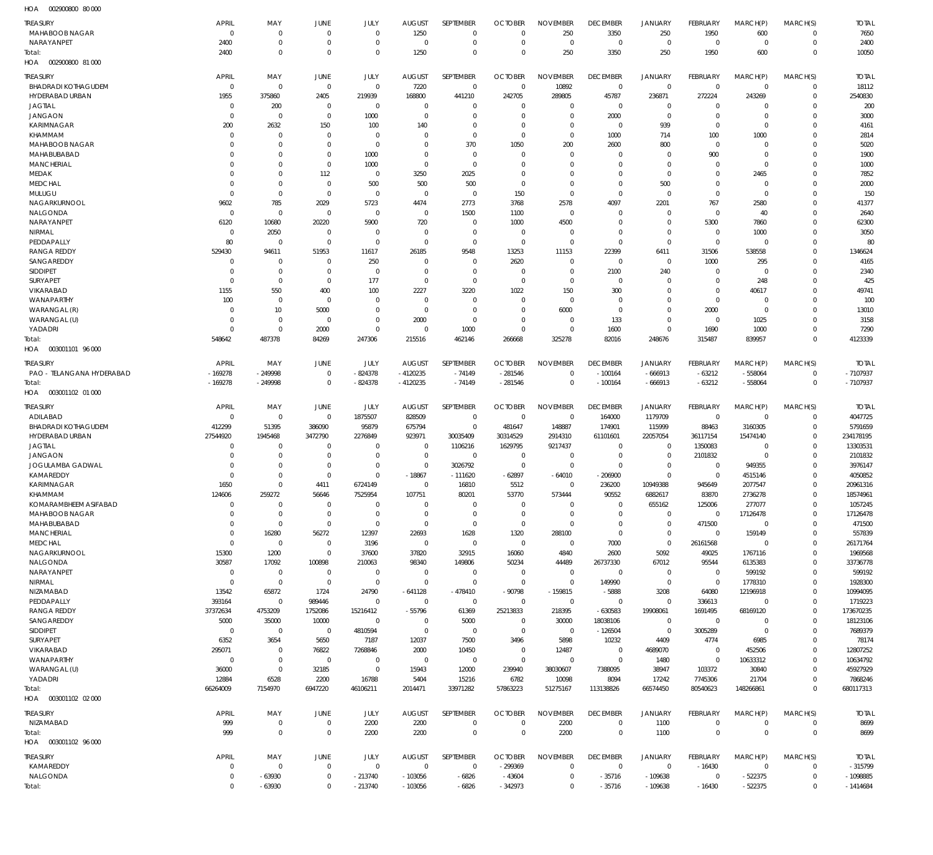002900800 80 000 HOA

| <b>TREASURY</b>                      | <b>APRIL</b>               | MAY                              | JUNE                       | JULY                             | <b>AUGUST</b>              | <b>SEPTEMBER</b>              | <b>OCTOBER</b>             | <b>NOVEMBER</b>            | <b>DECEMBER</b>            | <b>JANUARY</b>             | FEBRUARY               | MARCH(P)                | MARCH(S)                | <b>TOTAL</b>         |
|--------------------------------------|----------------------------|----------------------------------|----------------------------|----------------------------------|----------------------------|-------------------------------|----------------------------|----------------------------|----------------------------|----------------------------|------------------------|-------------------------|-------------------------|----------------------|
| MAHABOOB NAGAR<br>NARAYANPET         | 0<br>2400                  | $\overline{0}$<br>$\overline{0}$ | $\mathbf 0$<br>$\mathbf 0$ | $\overline{0}$<br>$\overline{0}$ | 1250<br>$\mathbf 0$        | $\overline{0}$<br>$\mathbf 0$ | $\mathbf 0$<br>$\mathbf 0$ | 250<br>$\overline{0}$      | 3350<br>$\mathbf 0$        | 250<br>$\mathbf 0$         | 1950<br>$\overline{0}$ | 600<br>$\Omega$         | $\Omega$<br>$\mathbf 0$ | 7650<br>2400         |
| Total:                               | 2400                       | $\overline{0}$                   | $\mathbf 0$                | $\overline{0}$                   | 1250                       | $\overline{0}$                | $\mathbf 0$                | 250                        | 3350                       | 250                        | 1950                   | 600                     | $\Omega$                | 10050                |
| 002900800 81 000<br>HOA              |                            |                                  |                            |                                  |                            |                               |                            |                            |                            |                            |                        |                         |                         |                      |
| TREASURY                             | <b>APRIL</b>               | MAY                              | JUNE                       | JULY                             | <b>AUGUST</b>              | SEPTEMBER                     | <b>OCTOBER</b>             | <b>NOVEMBER</b>            | <b>DECEMBER</b>            | <b>JANUARY</b>             | FEBRUARY               | MARCH(P)                | MARCH(S)                | <b>TOTAL</b>         |
| <b>BHADRADI KOTHAGUDEM</b>           | $\mathbf 0$                | $\mathbf 0$                      | $\Omega$                   | $\overline{0}$                   | 7220                       | $\overline{0}$                | $\Omega$                   | 10892                      | $\mathbf 0$                | $\mathbf 0$                | $\Omega$               | $\Omega$                | $\Omega$                | 18112                |
| HYDERABAD URBAN                      | 1955                       | 375860                           | 2405                       | 219939                           | 168800                     | 441210                        | 242705                     | 289805                     | 45787                      | 236871                     | 272224                 | 243269                  | $\mathbf{0}$            | 2540830              |
| <b>JAGTIAL</b>                       | $\mathbf 0$                | 200                              | $\mathbf 0$                | $\mathbf 0$                      | $\mathbf 0$                | $\overline{0}$                | $\Omega$                   | $\mathbf 0$                | $\mathbf 0$                | $\overline{0}$             | $\Omega$               | $\Omega$                | $\Omega$                | 200                  |
| <b>JANGAON</b><br>KARIMNAGAR         | $\mathbf 0$<br>200         | $\overline{0}$<br>2632           | $\Omega$<br>150            | 1000<br>100                      | $\mathbf 0$<br>140         | $\overline{0}$<br>$\Omega$    | $\Omega$<br>$\Omega$       | $\Omega$<br>$\Omega$       | 2000<br>$\Omega$           | $\overline{0}$<br>939      | $\Omega$<br>$\Omega$   | $\Omega$<br>$\Omega$    | $\Omega$<br>$\Omega$    | 3000<br>4161         |
| <b>KHAMMAM</b>                       | $\mathbf 0$                | $\overline{0}$                   | $\Omega$                   | $\overline{0}$                   | $\mathbf 0$                | $\overline{0}$                | $\Omega$                   | $\mathbf 0$                | 1000                       | 714                        | 100                    | 1000                    | $\Omega$                | 2814                 |
| MAHABOOB NAGAR                       | $\Omega$                   | $\mathbf 0$                      | $\Omega$                   | $\mathbf 0$                      | $\Omega$                   | 370                           | 1050                       | 200                        | 2600                       | 800                        | $\Omega$               | $\Omega$                | $\Omega$                | 5020                 |
| MAHABUBABAD                          | $\Omega$                   | $\mathbf 0$                      | $\Omega$                   | 1000                             | $\mathbf 0$                | $\overline{0}$                | $\Omega$                   | $\Omega$                   | $\Omega$                   | $\overline{0}$             | 900                    | $\Omega$                | $\Omega$                | 1900                 |
| <b>MANCHERIAL</b>                    | $\Omega$                   | $\mathbf 0$                      | $\Omega$                   | 1000                             | $\Omega$                   | $\overline{0}$                | $\Omega$                   | $\Omega$                   | $\Omega$                   | $\Omega$                   | $\Omega$               | $\Omega$                | $\Omega$                | 1000                 |
| MEDAK                                | $\Omega$                   | $\mathbf 0$                      | 112                        | $\overline{0}$                   | 3250                       | 2025                          | $\Omega$                   | $\mathbf 0$                | $\Omega$                   | $\Omega$                   | $\Omega$               | 2465                    | $\Omega$                | 7852                 |
| <b>MEDCHAL</b><br>MULUGU             | $\Omega$<br>$\mathbf 0$    | $\mathbf 0$<br>$\mathbf 0$       | $\mathbf 0$<br>$\mathbf 0$ | 500<br>$\mathbf 0$               | 500<br>$\mathbf 0$         | 500<br>$\overline{0}$         | $\Omega$<br>150            | $\mathbf 0$<br>$\mathbf 0$ | $\Omega$<br>$\mathbf 0$    | 500<br>$\overline{0}$      | $\Omega$<br>$\Omega$   | $\Omega$<br>$\Omega$    | $\Omega$<br>$\Omega$    | 2000<br>150          |
| NAGARKURNOOL                         | 9602                       | 785                              | 2029                       | 5723                             | 4474                       | 2773                          | 3768                       | 2578                       | 4097                       | 2201                       | 767                    | 2580                    | $\Omega$                | 41377                |
| NALGONDA                             | $\mathbf 0$                | $\mathbf 0$                      | $\mathbf 0$                | $\mathbf 0$                      | $\overline{0}$             | 1500                          | 1100                       | $\mathbf 0$                | $\Omega$                   | $\Omega$                   | $\Omega$               | 40                      | $\Omega$                | 2640                 |
| NARAYANPET                           | 6120                       | 10680                            | 20220                      | 5900                             | 720                        | $\overline{0}$                | 1000                       | 4500                       | $\Omega$                   | $\overline{0}$             | 5300                   | 7860                    | $\Omega$                | 62300                |
| NIRMAL                               | 0                          | 2050                             | $\Omega$                   | 0                                | $\mathbf 0$                | $\overline{0}$                | $\Omega$                   | $\Omega$                   | $\Omega$                   | $\Omega$                   | $\Omega$               | 1000                    | $\Omega$                | 3050                 |
| PEDDAPALLY                           | 80                         | $\mathbf 0$                      | $\Omega$                   | $\mathbf 0$                      | $\mathbf 0$                | $\overline{0}$                | $\Omega$                   | $\Omega$                   | $\Omega$                   | $\Omega$                   | $\Omega$               | $\Omega$                | $\Omega$                | 80                   |
| <b>RANGA REDDY</b><br>SANGAREDDY     | 529430<br>$\mathbf 0$      | 94611<br>$\mathbf 0$             | 51953<br>$\mathbf 0$       | 11617<br>250                     | 26185<br>$\mathbf 0$       | 9548<br>$\overline{0}$        | 13253                      | 11153<br>$\mathbf 0$       | 22399<br>$\Omega$          | 6411<br>$\mathbf 0$        | 31506<br>1000          | 538558<br>295           | $\Omega$<br>$\Omega$    | 1346624<br>4165      |
| <b>SIDDIPET</b>                      | $\mathbf 0$                | $\overline{0}$                   | $\mathbf 0$                | $\mathbf 0$                      | $\mathbf 0$                | $\overline{0}$                | 2620<br>$\Omega$           | $\Omega$                   | 2100                       | 240                        | $\Omega$               | $\Omega$                | $\Omega$                | 2340                 |
| <b>SURYAPET</b>                      | $\Omega$                   | $\overline{0}$                   | $\Omega$                   | 177                              | $\Omega$                   | $\overline{0}$                | $\Omega$                   | $\mathbf 0$                | $\Omega$                   | $\Omega$                   | $\Omega$               | 248                     | $\Omega$                | 425                  |
| VIKARABAD                            | 1155                       | 550                              | 400                        | 100                              | 2227                       | 3220                          | 1022                       | 150                        | 300                        | $^{\circ}$                 | $\Omega$               | 40617                   | $\Omega$                | 49741                |
| WANAPARTHY                           | 100                        | $\overline{0}$                   | $\Omega$                   | $\Omega$                         | 0                          | $\overline{0}$                | $\Omega$                   | $\Omega$                   | $\Omega$                   | $\Omega$                   | $\Omega$               | $\Omega$                | $\Omega$                | 100                  |
| WARANGAL (R)                         | $\mathbf 0$                | 10                               | 5000                       | $\Omega$                         | $\mathbf 0$                | $\overline{0}$                | $\Omega$                   | 6000                       | $\mathbf 0$                | $\Omega$                   | 2000                   | $\Omega$                | $\Omega$                | 13010                |
| WARANGAL (U)                         | $\mathbf 0$                | $\mathbf 0$                      | $\Omega$                   | $\mathbf 0$                      | 2000                       | $\overline{0}$                | $\Omega$                   | $\Omega$                   | 133                        | $\Omega$                   | $\Omega$               | 1025                    | $\Omega$                | 3158                 |
| YADADRI<br>Total:                    | $\Omega$<br>548642         | $\overline{0}$<br>487378         | 2000<br>84269              | $\overline{0}$<br>247306         | $^{\circ}$<br>215516       | 1000<br>462146                | $\Omega$<br>266668         | $\mathbf 0$<br>325278      | 1600<br>82016              | $\overline{0}$<br>248676   | 1690<br>315487         | 1000<br>839957          | $\Omega$<br>$\Omega$    | 7290<br>4123339      |
| 003001101 96 000<br>HOA              |                            |                                  |                            |                                  |                            |                               |                            |                            |                            |                            |                        |                         |                         |                      |
| TREASURY                             | <b>APRIL</b>               | MAY                              | JUNE                       | JULY                             | <b>AUGUST</b>              | SEPTEMBER                     | <b>OCTOBER</b>             | <b>NOVEMBER</b>            | <b>DECEMBER</b>            | JANUARY                    | FEBRUARY               | MARCH(P)                | MARCH(S)                | <b>TOTAL</b>         |
| PAO - TELANGANA HYDERABAD            | -169278                    | -249998                          | $\mathbf 0$                | $-824378$                        | $-4120235$                 | $-74149$                      | $-281546$                  | $\overline{0}$             | $-100164$                  | $-666913$                  | $-63212$               | $-558064$               | $\Omega$                | $-7107937$           |
| Total:<br>003001102 01 000<br>HOA    | $-169278$                  | $-249998$                        | $\mathbf 0$                | -824378                          | $-4120235$                 | $-74149$                      | $-281546$                  | $\mathbf 0$                | $-100164$                  | $-666913$                  | $-63212$               | $-558064$               | $\mathbf 0$             | $-7107937$           |
| TREASURY                             | <b>APRIL</b>               | MAY                              | JUNE                       | JULY                             | <b>AUGUST</b>              | SEPTEMBER                     | <b>OCTOBER</b>             | <b>NOVEMBER</b>            | <b>DECEMBER</b>            | JANUARY                    | FEBRUARY               | MARCH(P)                | MARCH(S)                | <b>TOTAL</b>         |
| ADILABAD                             | $\mathbf 0$                | $\overline{0}$                   | $\mathbf 0$                | 1875507                          | 828509                     | $\overline{0}$                | $\mathbf 0$                | $\overline{0}$             | 164000                     | 1179709                    | $\overline{0}$         | $\Omega$                | $\Omega$                | 4047725              |
| <b>BHADRADI KOTHAGUDEM</b>           | 412299                     | 51395                            | 386090                     | 95879                            | 675794                     | $\overline{0}$                | 481647                     | 148887                     | 174901                     | 115999                     | 88463                  | 3160305                 | $\Omega$                | 5791659              |
| <b>HYDERABAD URBAN</b>               | 27544920                   | 1945468                          | 3472790                    | 2276849                          | 923971                     | 30035409                      | 30314529                   | 2914310                    | 61101601                   | 22057054                   | 36117154               | 15474140                | $\Omega$                | 234178195            |
| <b>JAGTIAL</b>                       | $\mathbf 0$                | $\overline{0}$                   | 0                          | $\mathbf 0$                      | $\overline{0}$             | 1106216                       | 1629795                    | 9217437                    | $\mathbf 0$                | $^{\circ}$                 | 1350083                | $\Omega$                | $\Omega$                | 13303531             |
| <b>JANGAON</b>                       | $\mathbf 0$                | $\mathbf 0$                      | $\mathbf 0$                | $\mathbf 0$                      | $\mathbf 0$                | $\overline{0}$                | $\mathbf 0$                | $\mathbf 0$                | $\mathbf 0$                | $\overline{0}$             | 2101832                | $\Omega$                | $\Omega$                | 2101832              |
| <b>JOGULAMBA GADWAL</b><br>KAMAREDDY | $\Omega$<br>$\Omega$       | $\mathbf 0$<br>$\Omega$          | $\mathbf 0$<br>$\Omega$    | $\mathbf 0$<br>$\Omega$          | $\overline{0}$<br>$-18867$ | 3026792<br>$-111620$          | $\mathbf 0$<br>-62897      | $\mathbf 0$<br>$-64010$    | $\mathbf 0$<br>$-206900$   | $\mathbf 0$<br>$\Omega$    | $^{\circ}$<br>$\Omega$ | 949355<br>4515146       | $\Omega$<br>$\Omega$    | 3976147<br>4050852   |
| <b>KARIMNAGAR</b>                    | 1650                       | $\Omega$                         | 4411                       | 6724149                          | $\overline{0}$             | 16810                         | 5512                       | $\mathbf 0$                | 236200                     | 10949388                   | 945649                 | 2077547                 | $\Omega$                | 20961316             |
| KHAMMAM                              | 124606                     | 259272                           | 56646                      | 7525954                          | 107751                     | 80201                         | 53770                      | 573444                     | 90552                      | 6882617                    | 83870                  | 2736278                 | $\Omega$                | 18574961             |
| KOMARAMBHEEM ASIFABAD                | $\mathbf 0$                | $\mathbf 0$                      | $\Omega$                   | $\Omega$                         | $\mathbf 0$                | $\overline{0}$                | $\mathbf 0$                | $\mathbf 0$                | $\mathbf 0$                | 655162                     | 125006                 | 277077                  | $\Omega$                | 1057245              |
| MAHABOOB NAGAR                       | $\mathbf 0$                | $\overline{0}$                   | $\mathbf 0$                | $\overline{0}$                   | $\mathbf 0$                | $\overline{0}$                | $\mathbf 0$                | $\mathbf 0$                | $\mathbf 0$                | $\mathbf 0$                | $\overline{0}$         | 17126478                | $\Omega$                | 17126478             |
| MAHABUBABAD                          | $\mathbf 0$<br>$\mathbf 0$ | $\overline{0}$                   | $\mathbf 0$                | $\overline{0}$                   | $\mathbf 0$                | $\overline{0}$                | $\mathbf 0$                | $\mathbf 0$                | $\mathbf 0$<br>$\mathbf 0$ | $\mathbf 0$                | 471500<br>$\Omega$     | $\Omega$                | $\Omega$<br>$\Omega$    | 471500               |
| MANCHERIAL<br><b>MEDCHAL</b>         | $\mathbf 0$                | 16280<br>$\mathbf 0$             | 56272<br>$\mathbf 0$       | 12397<br>3196                    | 22693<br>$\overline{0}$    | 1628<br>$\overline{0}$        | 1320<br>$\mathbf 0$        | 288100<br>$\mathbf 0$      | 7000                       | $\mathbf 0$<br>$\mathbf 0$ | 26161568               | 159149<br>$\Omega$      | $\Omega$                | 557839<br>26171764   |
| NAGARKURNOOL                         | 15300                      | 1200                             | $\mathbf 0$                | 37600                            | 37820                      | 32915                         | 16060                      | 4840                       | 2600                       | 5092                       | 49025                  | 1767116                 | $\Omega$                | 1969568              |
| NALGONDA                             | 30587                      | 17092                            | 100898                     | 210063                           | 98340                      | 149806                        | 50234                      | 44489                      | 26737330                   | 67012                      | 95544                  | 6135383                 | $\Omega$                | 33736778             |
| NARAYANPET                           | $\mathbf 0$                | $\mathbf 0$                      | $\mathbf 0$                | $\overline{0}$                   | $^{\circ}$                 | $\overline{0}$                | $\mathbf 0$                | $\mathbf 0$                | $\mathbf 0$                | $\mathbf 0$                | $\overline{0}$         | 599192                  | $\Omega$                | 599192               |
| NIRMAL                               | $\mathbf 0$                | $\mathbf 0$                      | $\mathbf 0$                | $\overline{0}$                   | $\mathbf 0$                | $\overline{0}$                | $\mathbf 0$                | $\mathbf 0$                | 149990                     | $\mathbf 0$                | $^{\circ}$             | 1778310                 | $\Omega$                | 1928300              |
| NIZAMABAD                            | 13542                      | 65872                            | 1724                       | 24790                            | $-641128$                  | $-478410$                     | -90798                     | $-159815$                  | $-5888$                    | 3208                       | 64080                  | 12196918                | $\Omega$<br>$\Omega$    | 10994095             |
| PEDDAPALLY<br><b>RANGA REDDY</b>     | 393164<br>37372634         | $\overline{0}$<br>4753209        | 989446<br>1752086          | $\overline{0}$<br>15216412       | $^{\circ}$<br>-55796       | $\overline{0}$<br>61369       | $\mathbf 0$<br>25213833    | $\mathbf 0$<br>218395      | $\mathbf 0$<br>$-630583$   | $\mathbf 0$<br>19908061    | 336613<br>1691495      | $\mathbf 0$<br>68169120 | $\Omega$                | 1719223<br>173670235 |
| SANGAREDDY                           | 5000                       | 35000                            | 10000                      | $\mathbf 0$                      | $^{\circ}$                 | 5000                          | $\mathbf 0$                | 30000                      | 18038106                   | $\overline{0}$             | $\mathbf 0$            | $\Omega$                | $\Omega$                | 18123106             |
| <b>SIDDIPET</b>                      | $\mathbf 0$                | $\overline{0}$                   | $\mathbf 0$                | 4810594                          | $\mathbf 0$                | $\overline{0}$                | $\mathbf 0$                | $\mathbf 0$                | $-126504$                  | $\Omega$                   | 3005289                | $\Omega$                | $\Omega$                | 7689379              |
| <b>SURYAPET</b>                      | 6352                       | 3654                             | 5650                       | 7187                             | 12037                      | 7500                          | 3496                       | 5898                       | 10232                      | 4409                       | 4774                   | 6985                    | $\Omega$                | 78174                |
| VIKARABAD                            | 295071                     | $^{\circ}$                       | 76822                      | 7268846                          | 2000                       | 10450                         | $\mathbf 0$                | 12487                      | $\mathbf 0$                | 4689070                    | $\Omega$               | 452506                  | $\Omega$                | 12807252             |
| WANAPARTHY                           | $\mathbf 0$                | $\mathbf 0$                      | $\mathbf 0$                | $\overline{0}$                   | $\overline{0}$             | $\overline{0}$                | $\mathbf 0$                | $\mathbf 0$                | $\mathbf 0$                | 1480                       | $^{\circ}$             | 10633312                | $\Omega$<br>$\Omega$    | 10634792             |
| WARANGAL (U)<br>YADADRI              | 36000<br>12884             | $\overline{0}$<br>6528           | 32185<br>2200              | $\overline{0}$<br>16788          | 15943<br>5404              | 12000<br>15216                | 239940<br>6782             | 38030607<br>10098          | 7388095<br>8094            | 38947<br>17242             | 103372<br>7745306      | 30840<br>21704          | $\Omega$                | 45927929<br>7868246  |
| Total:                               | 66264009                   | 7154970                          | 6947220                    | 46106211                         | 2014471                    | 33971282                      | 57863223                   | 51275167                   | 113138826                  | 66574450                   | 80540623               | 148266861               | $\Omega$                | 680117313            |
| 003001102 02 000<br>HOA              |                            |                                  |                            |                                  |                            |                               |                            |                            |                            |                            |                        |                         |                         |                      |
| TREASURY                             | <b>APRIL</b>               | MAY                              | JUNE                       | JULY                             | <b>AUGUST</b>              | SEPTEMBER                     | <b>OCTOBER</b>             | <b>NOVEMBER</b>            | <b>DECEMBER</b>            | <b>JANUARY</b>             | FEBRUARY               | MARCH(P)                | MARCH(S)                | <b>TOTAL</b>         |
| NIZAMABAD                            | 999                        | $\mathbf 0$                      | 0                          | 2200                             | 2200                       | $\overline{0}$                | $\mathbf 0$                | 2200                       | $\mathbf 0$                | 1100                       | $^{\circ}$             | $\mathbf 0$             | $\mathbf 0$             | 8699                 |
| Total:<br>HOA  003001102  96  000    | 999                        | $\overline{0}$                   | $\mathbf 0$                | 2200                             | 2200                       | $\overline{0}$                | $\mathbf 0$                | 2200                       | $\mathsf 0$                | 1100                       | $\overline{0}$         | $\Omega$                | $\mathbf 0$             | 8699                 |
| TREASURY                             | <b>APRIL</b>               | MAY                              | JUNE                       | JULY                             | <b>AUGUST</b>              | SEPTEMBER                     | <b>OCTOBER</b>             | <b>NOVEMBER</b>            | <b>DECEMBER</b>            | <b>JANUARY</b>             | FEBRUARY               | MARCH(P)                | MARCH(S)                | <b>TOTAL</b>         |
| KAMAREDDY                            | $\mathbf 0$                | $\overline{0}$                   | $\mathbf 0$                | $\overline{0}$                   | $\overline{0}$             | $\overline{0}$                | $-299369$                  | $\mathbf 0$                | $\mathbf 0$                | $\mathbf 0$                | $-16430$               | $\Omega$                | $\Omega$                | $-315799$            |
| NALGONDA                             | $\mathsf 0$                | $-63930$                         | $\mathbf 0$                | $-213740$                        | $-103056$                  | $-6826$                       | $-43604$                   | $\mathbf 0$                | $-35716$                   | $-109638$                  | $^{\circ}$             | $-522375$               | $\mathbf 0$             | $-1098885$           |
| Total:                               | $\mathbf 0$                | $-63930$                         | $\mathbf 0$                | $-213740$                        | $-103056$                  | $-6826$                       | $-342973$                  | $\mathbf 0$                | $-35716$                   | $-109638$                  | $-16430$               | $-522375$               | $\Omega$                | $-1414684$           |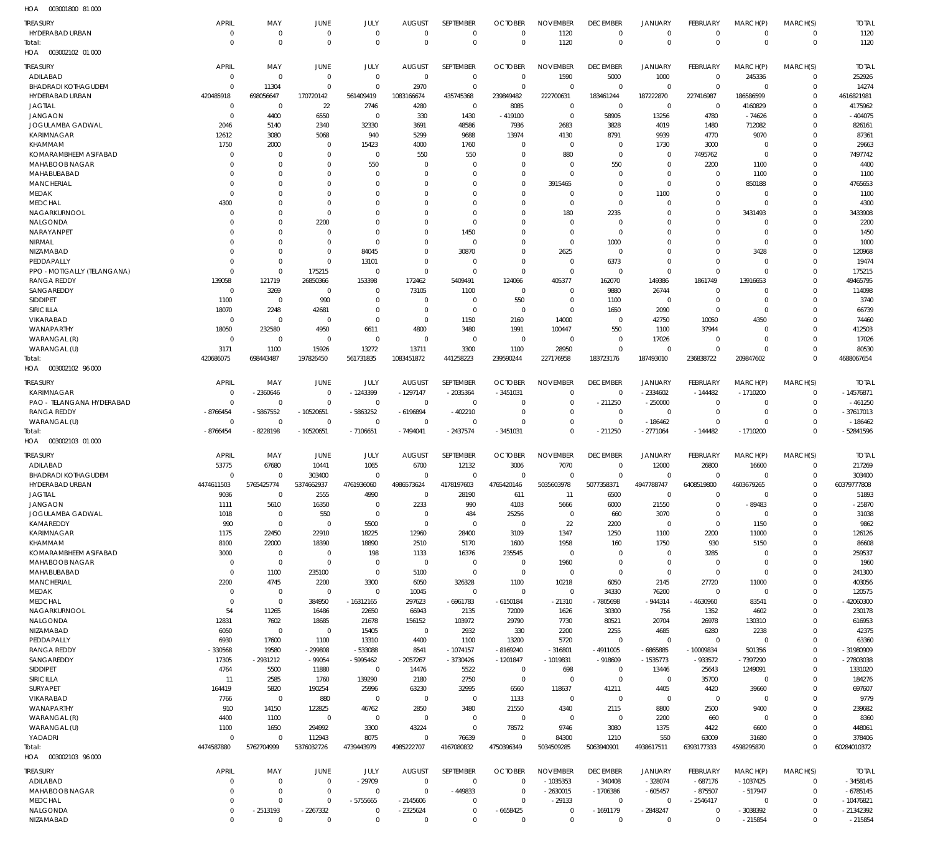003001800 81 000 HOA

| $\cdots$                    |                      |                              |                            |                            |                           |                       |                            |                 |                                   |                                  |                             |                      |                            |              |
|-----------------------------|----------------------|------------------------------|----------------------------|----------------------------|---------------------------|-----------------------|----------------------------|-----------------|-----------------------------------|----------------------------------|-----------------------------|----------------------|----------------------------|--------------|
| TREASURY                    | <b>APRIL</b>         | MAY                          | JUNE                       | JULY                       | <b>AUGUST</b><br>$\Omega$ | SEPTEMBER<br>$\Omega$ | <b>OCTOBER</b>             | <b>NOVEMBER</b> | <b>DECEMBER</b><br>$\overline{0}$ | JANUARY                          | <b>FEBRUARY</b><br>$\Omega$ | MARCH(P)<br>$\Omega$ | MARCH(S)                   | <b>TOTAL</b> |
| HYDERABAD URBAN<br>Total:   | $\Omega$<br>$\Omega$ | $\mathbf{0}$<br>$\mathbf{0}$ | $\overline{0}$<br>$\Omega$ | $\overline{0}$<br>$\Omega$ | $\Omega$                  | $\overline{0}$        | $\mathbf 0$<br>$\mathbf 0$ | 1120<br>1120    | $\mathbf 0$                       | $\overline{0}$<br>$\overline{0}$ | $\Omega$                    | $\Omega$             | $\mathbf 0$<br>$\mathbf 0$ | 1120<br>1120 |
| HOA  003002102  01 000      |                      |                              |                            |                            |                           |                       |                            |                 |                                   |                                  |                             |                      |                            |              |
|                             |                      |                              |                            |                            |                           |                       |                            |                 |                                   |                                  |                             |                      |                            |              |
| <b>TREASURY</b>             | <b>APRIL</b>         | MAY                          | <b>JUNE</b>                | JULY                       | <b>AUGUST</b>             | SEPTEMBER             | <b>OCTOBER</b>             | <b>NOVEMBER</b> | <b>DECEMBER</b>                   | <b>JANUARY</b>                   | FEBRUARY                    | MARCH(P)             | MARCH(S)                   | <b>TOTAL</b> |
| ADILABAD                    | $\Omega$             | $\mathbf{0}$                 | $\Omega$                   | $\overline{0}$             | $\overline{0}$            | $\overline{0}$        | $\mathbf 0$                | 1590            | 5000                              | 1000                             | $\mathbf 0$                 | 245336               | $\mathbf 0$                | 252926       |
| <b>BHADRADI KOTHAGUDEM</b>  | $\Omega$             | 11304                        | $\Omega$                   | $\Omega$                   | 2970                      | $\overline{0}$        | $\mathbf 0$                | $\Omega$        | $\overline{0}$                    | $\overline{0}$                   | $\mathbf 0$                 | $\mathbf 0$          | $\mathbf 0$                | 14274        |
| HYDERABAD URBAN             | 420485918            | 698056647                    | 170720142                  | 561409419                  | 1083166674                | 435745368             | 239849482                  | 222700631       | 183461244                         | 187222870                        | 227416987                   | 186586599            | $\mathbf 0$                | 4616821981   |
| <b>JAGTIAL</b>              | $\Omega$             | 0                            | 22                         | 2746                       | 4280                      | $\overline{0}$        | 8085                       | $\overline{0}$  | $\overline{0}$                    | $\overline{0}$                   | $\mathbf 0$                 | 4160829              | $\Omega$                   | 4175962      |
| <b>JANGAON</b>              | $\Omega$             | 4400                         | 6550                       | 0                          | 330                       | 1430                  | $-419100$                  | $\overline{0}$  | 58905                             | 13256                            | 4780                        | $-74626$             | $\mathbf 0$                | $-404075$    |
| <b>JOGULAMBA GADWAL</b>     | 2046                 | 5140                         | 2340                       | 32330                      | 3691                      | 48586                 | 7936                       | 2683            | 3828                              | 4019                             | 1480                        | 712082               | $\mathbf 0$                | 826161       |
| KARIMNAGAR                  | 12612                | 3080                         | 5068                       | 940                        | 5299                      | 9688                  | 13974                      | 4130            | 8791                              | 9939                             | 4770                        | 9070                 | $\mathbf 0$                | 87361        |
| KHAMMAM                     | 1750                 | 2000                         | $\Omega$                   | 15423                      | 4000                      | 1760                  | $\mathbf 0$                | $\mathbf 0$     | $\mathbf 0$                       | 1730                             | 3000                        | $\mathbf 0$          | $\mathbf 0$                | 29663        |
| KOMARAMBHEEM ASIFABAD       |                      | $\Omega$                     | - 0                        | - 0                        | 550                       | 550                   | $\Omega$                   | 880             | $\mathbf 0$                       | $\overline{0}$                   | 7495762                     | $\mathbf 0$          | $\mathbf 0$                | 7497742      |
| MAHABOOB NAGAR              |                      | $\Omega$                     | $\Omega$                   | 550                        | $\Omega$                  | $\Omega$              | $\Omega$                   | $\mathbf 0$     | 550                               | $\overline{0}$                   | 2200                        | 1100                 | $\mathbf 0$                | 4400         |
| MAHABUBABAD                 |                      | $\mathbf{0}$                 | $\Omega$                   | - 0                        | $\Omega$                  | $\Omega$              | $\Omega$                   | $\Omega$        | $\mathbf 0$                       | $\overline{0}$                   | $\mathbf 0$                 | 1100                 | $\mathbf 0$                | 1100         |
| <b>MANCHERIAL</b>           |                      | $\Omega$                     | $\Omega$                   | $\Omega$                   | 0                         | $\Omega$              | $\mathbf 0$                | 3915465         | 0                                 | $\overline{0}$                   | $\mathbf 0$                 | 850188               | 0                          | 4765653      |
| MEDAK                       | $\Omega$             | $\Omega$                     | $\Omega$                   | $\Omega$                   | $\Omega$                  | $\Omega$              | $\Omega$                   | $\mathbf 0$     | 0                                 | 1100                             | $\Omega$                    | $\Omega$             | $\mathbf 0$                | 1100         |
| <b>MEDCHAL</b>              | 4300                 | $\Omega$                     | $\Omega$                   | $\Omega$                   | <sup>0</sup>              | $\Omega$              | $\Omega$                   | $\mathbf 0$     | 0                                 | $\overline{0}$                   | $\Omega$                    | $\mathbf 0$          | $\mathbf 0$                | 4300         |
| NAGARKURNOOL                | - 0                  | $\Omega$                     | $\Omega$                   | $\Omega$                   | $\Omega$                  | $\Omega$              | $\Omega$                   | 180             | 2235                              | $\overline{0}$                   | $\Omega$                    | 3431493              | $\mathbf 0$                | 3433908      |
| NALGONDA                    |                      | $\Omega$                     | 2200                       | $\Omega$                   | $\Omega$                  | $\Omega$              | $\Omega$                   | $\mathbf 0$     | $\mathbf 0$                       | $\Omega$                         | 0                           | 0                    | $\mathbf 0$                | 2200         |
| NARAYANPET                  |                      | $\Omega$                     | - 0                        | $\Omega$                   | $\Omega$                  | 1450                  | $\Omega$                   | $\mathbf 0$     | $\mathbf 0$                       | $\Omega$                         | 0                           | $\mathbf 0$          | $\mathbf 0$                | 1450         |
| NIRMAL                      |                      | $\Omega$                     | $\Omega$                   | $\Omega$                   | $\Omega$                  | $\Omega$              | $\Omega$                   | $\mathbf 0$     | 1000                              | $\Omega$                         | 0                           | 0                    | $\mathbf 0$                | 1000         |
| NIZAMABAD                   |                      | $\mathbf{0}$                 | $\overline{0}$             | 84045                      | $\Omega$                  | 30870                 | $\Omega$                   | 2625            | $\overline{0}$                    | $\overline{0}$                   | $\Omega$                    | 3428                 | $\mathbf 0$                | 120968       |
| PEDDAPALLY                  |                      | $\Omega$                     | $\Omega$                   | 13101                      | $\Omega$                  | $\overline{0}$        | $\Omega$                   | $\mathbf 0$     | 6373                              | $\overline{0}$                   | $\Omega$                    | $\mathbf 0$          | 0                          | 19474        |
| PPO - MOTIGALLY (TELANGANA) | $\Omega$             | $\Omega$                     | 175215                     | $\overline{0}$             | $\Omega$                  | $\Omega$              | $\Omega$                   | $\overline{0}$  | $^{\circ}$                        | $\overline{0}$                   | $\Omega$                    | $\Omega$             | $\mathbf 0$                | 175215       |
| <b>RANGA REDDY</b>          | 139058               | 121719                       | 26850366                   | 153398                     | 172462                    | 5409491               | 124066                     | 405377          | 162070                            | 149386                           | 1861749                     | 13916653             | $\mathbf 0$                | 49465795     |
| SANGAREDDY                  | $\Omega$             | 3269                         | - 0                        | $\Omega$                   | 73105                     | 1100                  | 0                          | $\mathbf 0$     | 9880                              | 26744                            | $\Omega$                    | $\Omega$             | $\mathbf 0$                | 114098       |
| <b>SIDDIPET</b>             | 1100                 | $\mathbf{0}$                 | 990                        | $\Omega$                   | $\mathbf 0$               | $\overline{0}$        | 550                        | $\mathbf 0$     | 1100                              | $\overline{0}$                   | $\mathbf 0$                 | 0                    | $\mathbf 0$                | 3740         |
| SIRICILLA                   | 18070                | 2248                         | 42681                      | $\Omega$                   | $\mathbf 0$               | $\overline{0}$        | $\mathbf 0$                | $\mathbf 0$     | 1650                              | 2090                             | 0                           | $\mathbf 0$          | $\mathbf 0$                | 66739        |
| VIKARABAD                   | $\Omega$             | $\mathbf{0}$                 | $\Omega$                   | $\Omega$                   | $\mathbf 0$               | 1150                  | 2160                       | 14000           | $^{\circ}$                        | 42750                            | 10050                       | 4350                 | $\mathbf 0$                | 74460        |
| WANAPARTHY                  | 18050                | 232580                       | 4950                       | 6611                       | 4800                      | 3480                  | 1991                       | 100447          | 550                               | 1100                             | 37944                       | $\Omega$             | $\mathbf 0$                | 412503       |
| WARANGAL (R)                | $\Omega$             | $\Omega$                     | $\Omega$                   | $\Omega$                   | $\overline{0}$            | $\overline{0}$        | $\mathbf 0$                | $\mathbf 0$     | $^{\circ}$                        | 17026                            | O                           | $\Omega$             | $\mathbf 0$                | 17026        |
| WARANGAL (U)                | 3171                 | 1100                         | 15926                      | 13272                      | 13711                     | 3300                  | 1100                       | 28950           | $\mathbf 0$                       | $\overline{0}$                   | $\Omega$                    | $\Omega$             | $\mathbf 0$                | 80530        |
| Total:                      | 420686075            | 698443487                    | 197826450                  | 561731835                  | 1083451872                | 441258223             | 239590244                  | 227176958       | 183723176                         | 187493010                        | 236838722                   | 209847602            | $\mathbf 0$                | 4688067654   |
| HOA  003002102  96 000      |                      |                              |                            |                            |                           |                       |                            |                 |                                   |                                  |                             |                      |                            |              |
| TREASURY                    | <b>APRIL</b>         | MAY                          | <b>JUNE</b>                | JULY                       | <b>AUGUST</b>             | SEPTEMBER             | <b>OCTOBER</b>             | <b>NOVEMBER</b> | <b>DECEMBER</b>                   | JANUARY                          | <b>FEBRUARY</b>             | MARCH(P)             | MARCH(S)                   | <b>TOTAL</b> |
| KARIMNAGAR                  | $\Omega$             | -2360646                     | $\Omega$                   | $-1243399$                 | $-1297147$                | $-2035364$            | -3451031                   | $\mathbf 0$     | $\overline{0}$                    | $-2334602$                       | $-144482$                   | $-1710200$           | 0                          | $-14576871$  |
| PAO - TELANGANA HYDERABAD   | $\Omega$             | $\Omega$                     | $\Omega$                   | - 0                        | $\mathbf 0$               | $\overline{0}$        | $\Omega$                   | $\mathbf 0$     | $-211250$                         | $-250000$                        | $\Omega$                    | $\Omega$             | $\mathbf 0$                | $-461250$    |
| <b>RANGA REDDY</b>          | $-8766454$           | -5867552                     | $-10520651$                | $-5863252$                 | $-6196894$                | $-402210$             | $\Omega$                   | $\mathbf 0$     | $^{\circ}$                        | $\overline{0}$                   | $\Omega$                    | $\Omega$             | $\mathbf 0$                | -37617013    |
| WARANGAL (U)                | $\Omega$             | $\Omega$                     | $\Omega$                   | - 0                        | $\Omega$                  | $\Omega$              | $\Omega$                   | $\mathbf 0$     | $^{\circ}$                        | $-186462$                        | $\Omega$                    | $\Omega$             | $\Omega$                   | $-186462$    |
| Total:                      | $-8766454$           | 8228198                      | $-10520651$                | $-7106651$                 | $-7494041$                | $-2437574$            | $-3451031$                 | $\Omega$        | $-211250$                         | $-2771064$                       | $-144482$                   | $-1710200$           | $\Omega$                   | $-52841596$  |
| HOA  003002103  01  000     |                      |                              |                            |                            |                           |                       |                            |                 |                                   |                                  |                             |                      |                            |              |
|                             |                      |                              |                            |                            |                           |                       |                            |                 |                                   |                                  |                             |                      |                            |              |
| TREASURY                    | APRIL                | MAY                          | JUNE                       | JULY                       | <b>AUGUST</b>             | SEPTEMBER             | <b>OCTOBER</b>             | <b>NOVEMBER</b> | <b>DECEMBER</b>                   | <b>JANUARY</b>                   | FEBRUARY                    | MARCH(P)             | MARCH(S)                   | <b>TOTAL</b> |
| ADILABAD                    | 53775                | 67680                        | 10441                      | 1065                       | 6700                      | 12132                 | 3006                       | 7070            | $\mathbf 0$                       | 12000                            | 26800                       | 16600                | 0                          | 217269       |
| <b>BHADRADI KOTHAGUDEM</b>  | $\Omega$             | $\Omega$                     | 303400                     | $\Omega$                   | $\Omega$                  | $\Omega$              | $\Omega$                   | $\Omega$        | $\mathbf 0$                       | $\overline{0}$                   | $\Omega$                    | $\Omega$             | $\mathbf 0$                | 303400       |
| HYDERABAD URBAN             | 4474611503           | 5765425774                   | 5374662937                 | 4761936060                 | 4986573624                | 4178197603            | 4765420146                 | 5035603978      | 5077358371                        | 4947788747                       | 6408519800                  | 4603679265           | $\mathbf 0$                | 60379777808  |
| <b>JAGTIAL</b>              | 9036                 | $\Omega$                     | 2555                       | 4990                       |                           | 28190                 | 611                        |                 | 6500                              | $\Omega$                         |                             |                      | $\Omega$                   | 51893        |
| <b>JANGAON</b>              | 1111                 | 5610                         | 16350                      | $\overline{0}$             | 2233                      | 990                   | 4103                       | 5666            | 6000                              | 21550                            | $\mathbf 0$                 | -89483               | 0                          | $-25870$     |
| <b>JOGULAMBA GADWAL</b>     | 1018                 | $\mathbf{0}$                 | 550                        | $\overline{0}$             | $\mathbf 0$               | 484                   | 25256                      | $\mathbf 0$     | 660                               | 3070                             | $\mathbf 0$                 | $\mathbf 0$          | $\mathbf 0$                | 31038        |
| KAMAREDDY                   | 990                  | $\mathbf 0$                  | $\mathbf 0$                | 5500                       | $\mathbf 0$               | $\overline{0}$        | $\mathbf 0$                | 22              | 2200                              | $\overline{0}$                   | $\mathbf 0$                 | 1150                 | 0                          | 9862         |
| KARIMNAGAR                  | 1175                 | 22450                        | 22910                      | 18225                      | 12960                     | 28400                 | 3109                       | 1347            | 1250                              | 1100                             | 2200                        | 11000                | $\mathbf 0$                | 126126       |
| KHAMMAM                     | 8100                 | 22000                        | 18390                      | 18890                      | 2510                      | 5170                  | 1600                       | 1958            | 160                               | 1750                             | 930                         | 5150                 | $\mathbf 0$                | 86608        |
| KOMARAMBHEEM ASIFABAD       | 3000                 | $\overline{0}$               | $^{\circ}$                 | 198                        | 1133                      | 16376                 | 235545                     | $\overline{0}$  | $\mathbf 0$                       | $\overline{0}$                   | 3285                        | $\mathbf 0$          | $\mathbf 0$                | 259537       |
| MAHABOOB NAGAR              | $\Omega$             | $\mathbf 0$                  | $\Omega$                   | $\overline{0}$             | $\mathbf 0$               | $\overline{0}$        | $\mathbf 0$                | 1960            | $\mathbf 0$                       | $\overline{0}$                   | $\mathbf 0$                 | $\mathbf 0$          | $\mathbf 0$                | 1960         |
| MAHABUBABAD                 | $\Omega$             | 1100                         | 235100                     | $\mathbf 0$                | 5100                      | $\overline{0}$        | $\mathbf 0$                | $\mathbf 0$     | $\overline{0}$                    | $\overline{0}$                   | $\overline{0}$              | $\overline{0}$       | $\mathbf 0$                | 241300       |
| <b>MANCHERIAL</b>           | 2200                 | 4745                         | 2200                       | 3300                       | 6050                      | 326328                | 1100                       | 10218           | 6050                              | 2145                             | 27720                       | 11000                | $\mathbf 0$                | 403056       |
| MEDAK                       | $\Omega$             | $\overline{0}$               | $\Omega$                   | $\overline{0}$             | 10045                     | $\overline{0}$        | $\mathbf 0$                | $\mathbf 0$     | 34330                             | 76200                            | $\mathbf 0$                 | $\mathbf 0$          | $\mathbf 0$                | 120575       |
| <b>MEDCHAL</b>              | $\Omega$             | $\mathbf 0$                  | 384950                     | $-16312165$                | 297623                    | $-6961783$            | $-6150184$                 | $-21310$        | -7805698                          | -944314                          | $-4630960$                  | 83541                | $\mathbf 0$                | -42060300    |
| NAGARKURNOOL                | 54                   | 11265                        | 16486                      | 22650                      | 66943                     | 2135                  | 72009                      | 1626            | 30300                             | 756                              | 1352                        | 4602                 | $\mathbf 0$                | 230178       |
| NALGONDA                    | 12831                | 7602                         | 18685                      | 21678                      | 156152                    | 103972                | 29790                      | 7730            | 80521                             | 20704                            | 26978                       | 130310               | $\mathbf 0$                | 616953       |
| NIZAMABAD                   | 6050                 | $\overline{0}$               | $\overline{0}$             | 15405                      | $\mathbf 0$               | 2932                  | 330                        | 2200            | 2255                              | 4685                             | 6280                        | 2238                 | $\mathbf 0$                | 42375        |
| PEDDAPALLY                  | 6930                 | 17600                        | 1100                       | 13310                      | 4400                      | 1100                  | 13200                      | 5720            | $\overline{0}$                    | $\overline{0}$                   | $\mathbf 0$                 | $\mathbf 0$          | 0                          | 63360        |
| <b>RANGA REDDY</b>          | $-330568$            | 19580                        | $-299808$                  | $-533088$                  | 8541                      | $-1074157$            | $-8169240$                 | $-316801$       | $-4911005$                        | $-6865885$                       | $-10009834$                 | 501356               | $\mathbf 0$                | -31980909    |
| SANGAREDDY                  | 17305                | - 2931212                    | $-99054$                   | -5995462                   | -2057267                  | -3730426              | -1201847                   | $-1019831$      | $-918609$                         | $-1535773$                       | $-933572$                   | $-7397290$           | $\mathbf 0$                | -27803038    |
| <b>SIDDIPET</b>             | 4764                 | 5500                         | 11880                      | $\overline{0}$             | 14476                     | 5522                  | 0                          | 698             | $\overline{0}$                    | 13446                            | 25643                       | 1249091              | $\mathbf 0$                | 1331020      |
| <b>SIRICILLA</b>            | 11                   | 2585                         | 1760                       | 139290                     | 2180                      | 2750                  | $\mathbf 0$                | $\overline{0}$  | $\mathbf 0$                       | $\overline{0}$                   | 35700                       | $\mathbf 0$          | $\mathbf 0$                | 184276       |
| SURYAPET                    | 164419               | 5820                         | 190254                     | 25996                      | 63230                     | 32995                 | 6560                       | 118637          | 41211                             | 4405                             | 4420                        | 39660                | $\mathbf 0$                | 697607       |
| VIKARABAD                   | 7766                 | $\overline{0}$               | 880                        | $\overline{0}$             | $\mathbf 0$               | $\overline{0}$        | 1133                       | $\mathbf 0$     | $\mathbf 0$                       | $\overline{0}$                   | $\overline{0}$              | $\mathbf 0$          | $\mathbf 0$                | 9779         |
| WANAPARTHY                  | 910                  | 14150                        | 122825                     | 46762                      | 2850                      | 3480                  | 21550                      | 4340            | 2115                              | 8800                             | 2500                        | 9400                 | $\mathbf 0$                | 239682       |
| WARANGAL (R)                | 4400                 | 1100                         | $\mathbf{0}$               | $\overline{0}$             | $\mathbf 0$               | $\overline{0}$        | $\mathbf 0$                | $\mathbf 0$     | $\mathbf 0$                       | 2200                             | 660                         | $\mathbf 0$          | $\mathbf 0$                | 8360         |
| WARANGAL (U)                | 1100                 | 1650                         | 294992                     | 3300                       | 43224                     | $\mathbf 0$           | 78572                      | 9746            | 3080                              | 1375                             | 4422                        | 6600                 | $\Omega$                   | 448061       |
| YADADRI                     | $\Omega$             | $\mathbf 0$                  | 112943                     | 8075                       | $\Omega$                  | 76639                 | $\mathbf 0$                | 84300           | 1210                              | 550                              | 63009                       | 31680                | $\mathbf 0$                | 378406       |
| Total:                      | 4474587880           | 5762704999                   | 5376032726                 | 4739443979                 | 4985222707                | 4167080832            | 4750396349                 | 5034509285      | 5063940901                        | 4938617511                       | 6393177333                  | 4598295870           | $\mathbf 0$                | 60284010372  |
| HOA  003002103  96  000     |                      |                              |                            |                            |                           |                       |                            |                 |                                   |                                  |                             |                      |                            |              |
|                             |                      |                              |                            |                            |                           |                       |                            |                 |                                   |                                  |                             |                      |                            |              |
| TREASURY                    | APRIL                | MAY                          | JUNE                       | JULY                       | <b>AUGUST</b>             | SEPTEMBER             | <b>OCTOBER</b>             | <b>NOVEMBER</b> | <b>DECEMBER</b>                   | JANUARY                          | <b>FEBRUARY</b>             | MARCH(P)             | MARCH(S)                   | <b>TOTAL</b> |
| ADILABAD                    | $\Omega$             | $\mathbf{0}$                 | $\Omega$                   | $-29709$                   | $\overline{0}$            | $\overline{0}$        | $\Omega$                   | $-1035353$      | $-340408$                         | $-328074$                        | $-687176$                   | $-1037425$           | $\mathbf 0$                | $-3458145$   |
| MAHABOOB NAGAR              | $\Omega$             | $\mathbf 0$                  | $\Omega$                   | $\Omega$                   | $\Omega$                  | $-449833$             | $\Omega$                   | $-2630015$      | $-1706386$                        | $-605457$                        | $-875507$                   | $-517947$            | $\mathbf 0$                | $-6785145$   |
| <b>MEDCHAL</b>              | $\Omega$             | $\Omega$                     | $\Omega$                   | -5755665                   | $-2145606$                | 0                     | $\Omega$                   | $-29133$        | $\overline{0}$                    | $\overline{0}$                   | $-2546417$                  | $\mathbf 0$          | $\mathbf 0$                | $-10476821$  |
| NALGONDA                    | $\mathbf{0}$         | -2513193                     | $-2267332$                 | $\overline{0}$             | $-2325624$                | $\overline{0}$        | $-6658425$                 | $\mathbf 0$     | $-1691179$                        | $-2848247$                       | $\Omega$                    | $-3038392$           | $\mathbf 0$                | -21342392    |
| NIZAMABAD                   | $\mathbf 0$          | $\mathbf 0$                  | $\overline{0}$             | $\mathbf 0$                | $\mathbf 0$               | $\mathbf 0$           | $\mathbf 0$                | $\mathbf 0$     | $\overline{0}$                    | $\overline{0}$                   | $\mathbf 0$                 | $-215854$            | $\mathbf 0$                | $-215854$    |
|                             |                      |                              |                            |                            |                           |                       |                            |                 |                                   |                                  |                             |                      |                            |              |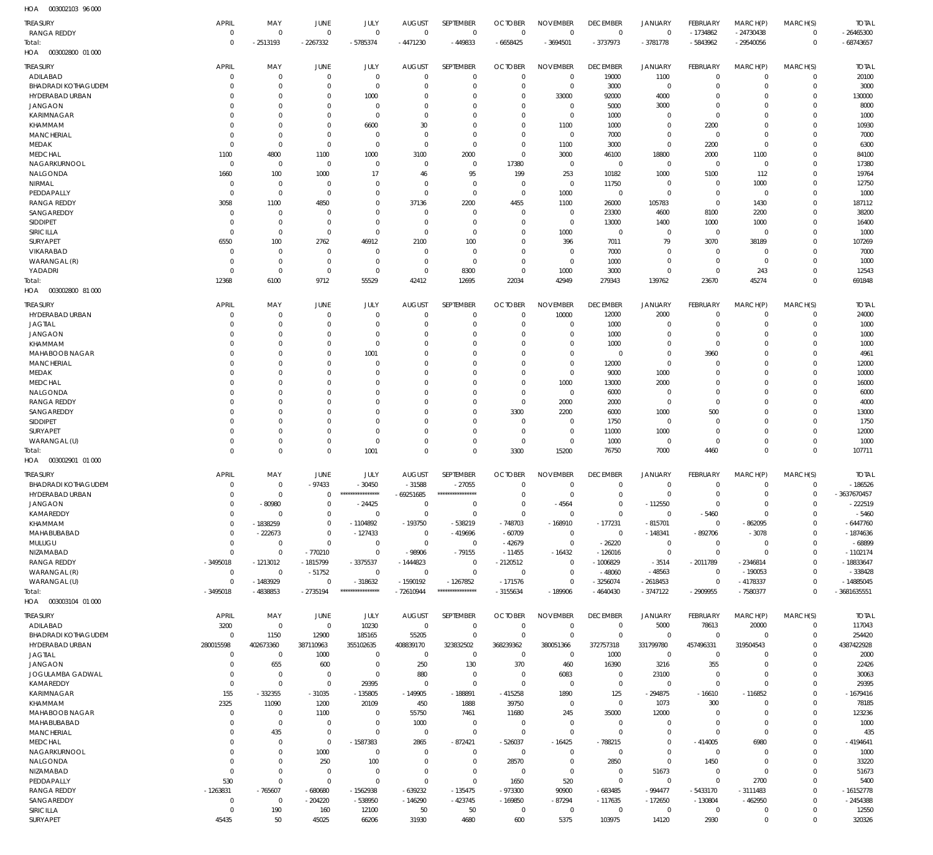| <b>TREASURY</b>            | APRIL                | MAY            | JUNE                      | JULY                           | <b>AUGUST</b> | SEPTEMBER                      | <b>OCTOBER</b>     | <b>NOVEMBER</b>        | <b>DECEMBER</b>               | <b>JANUARY</b>          | FEBRUARY            | MARCH(P)                         | MARCH(S)                | <b>TOTAL</b>              |
|----------------------------|----------------------|----------------|---------------------------|--------------------------------|---------------|--------------------------------|--------------------|------------------------|-------------------------------|-------------------------|---------------------|----------------------------------|-------------------------|---------------------------|
| <b>RANGA REDDY</b>         | $\mathbf{0}$         | $\Omega$       | $\mathbf 0$               | $\mathbf{0}$                   | $\mathbf 0$   | $\mathbf 0$                    | $\mathbf 0$        | $\overline{0}$         | $\mathbf 0$                   | $\mathbf 0$             | $-1734862$          | $-24730438$                      | 0                       | $-26465300$               |
| Total:                     | $\Omega$             | $-2513193$     | $-2267332$                | $-5785374$                     | $-4471230$    | $-449833$                      | $-6658425$         | $-3694501$             | $-3737973$                    | $-3781778$              | $-5843962$          | $-29540056$                      | $\mathbf 0$             | $-68743657$               |
| 003002800 01 000<br>HOA    |                      |                |                           |                                |               |                                |                    |                        |                               |                         |                     |                                  |                         |                           |
| <b>TREASURY</b>            | <b>APRIL</b>         | MAY            | JUNE                      | JULY                           | <b>AUGUST</b> | SEPTEMBER                      | <b>OCTOBER</b>     | <b>NOVEMBER</b>        | <b>DECEMBER</b>               | <b>JANUARY</b>          | FEBRUARY            | MARCH(P)                         | MARCH(S)                | <b>TOTAL</b>              |
| ADILABAD                   | $\mathbf{0}$         | $\mathbf 0$    | $\mathbf 0$               | $\mathbf{0}$                   | $\mathbf 0$   | $\overline{0}$                 | $\mathbf 0$        | $\overline{0}$         | 19000                         | 1100                    | $\mathbf 0$         | $\overline{0}$                   | 0                       | 20100                     |
| <b>BHADRADI KOTHAGUDEM</b> | $\Omega$             | $\Omega$       | $\mathbf 0$               | $\overline{0}$                 | $\mathbf 0$   | $\mathbf 0$                    | $\mathbf 0$        | $\overline{0}$         | 3000                          | 0                       | $\Omega$            | $\overline{0}$                   | 0                       | 3000                      |
| HYDERABAD URBAN            | $\Omega$             | $\Omega$       | $\mathbf 0$               | 1000                           | $\mathbf 0$   | $\mathbf 0$                    | $\mathbf 0$        | 33000                  | 92000                         | 4000                    | $\Omega$            | $\Omega$                         | $\Omega$                | 130000                    |
| <b>JANGAON</b>             | $\Omega$             | $\Omega$       | $\mathbf 0$               | 0                              | $\mathbf 0$   | $\mathbf 0$                    | $\mathbf 0$        | $\overline{0}$         | 5000                          | 3000                    | $\Omega$            | $\Omega$                         | $\Omega$                | 8000                      |
| <b>KARIMNAGAR</b>          | $\Omega$             | $\Omega$       | $\mathbf 0$               | $\Omega$                       | $\mathbf 0$   | $\mathbf 0$                    | $\mathbf 0$        | $\overline{0}$         | 1000                          | $\mathbf 0$             | $\Omega$            | $\Omega$                         | $\Omega$                | 1000                      |
| KHAMMAM                    | $\Omega$             | $\Omega$       | $\mathbf 0$               | 6600                           | 30            | $\mathbf 0$                    | $\mathbf 0$        | 1100                   | 1000                          | $\mathbf 0$             | 2200                | $\Omega$                         | $\Omega$                | 10930                     |
| <b>MANCHERIAL</b>          | $\Omega$             | $\Omega$       | $\mathbf 0$               | $\Omega$                       | $\mathbf 0$   | $\mathbf 0$                    | $\mathbf 0$        | $\overline{0}$         | 7000                          | $\mathbf 0$             | $^{\circ}$          | $\Omega$                         | $\Omega$                | 7000                      |
| <b>MEDAK</b>               | $\Omega$             | $\mathbf 0$    | $\mathbf 0$               | $\overline{0}$                 | $\mathbf 0$   | $\overline{0}$                 | $\mathbf 0$        | 1100                   | 3000                          | $\mathbf 0$             | 2200                | $\overline{0}$                   | $\Omega$                | 6300                      |
| MEDCHAL                    | 1100                 | 4800           | 1100                      | 1000                           | 3100          | 2000                           | $\mathbf 0$        | 3000                   | 46100                         | 18800                   | 2000                | 1100                             | $\Omega$                | 84100                     |
| NAGARKURNOOL               | $\mathbf 0$          | $\overline{0}$ | $\mathbf 0$               | 0                              | $\mathbf 0$   | $\overline{0}$                 | 17380              | $\overline{0}$         | $\overline{0}$                | $\mathbf 0$             | $\overline{0}$      | $\overline{0}$                   | $\Omega$                | 17380                     |
| NALGONDA                   | 1660                 | 100            | 1000                      | 17                             | 46            | 95                             | 199                | 253                    | 10182                         | 1000                    | 5100                | 112                              | $\Omega$                | 19764                     |
| NIRMAL                     | $\mathbf 0$          | $\overline{0}$ | $\mathbf{0}$              | $\Omega$                       | $\mathbf 0$   | $\overline{0}$                 | $\mathbf 0$        | $\overline{0}$         | 11750                         | 0                       | $\overline{0}$      | 1000                             | $\Omega$                | 12750                     |
| PEDDAPALLY                 | $\overline{0}$       | $\overline{0}$ | $\mathbf 0$               | $\Omega$                       | $\mathbf 0$   | $\overline{0}$                 | $\mathbf 0$        | 1000                   | $\mathbf 0$                   | $\mathbf 0$             | $\mathbf 0$         | $\overline{0}$                   | $\Omega$                | 1000                      |
| <b>RANGA REDDY</b>         | 3058                 | 1100           | 4850                      | $\Omega$                       | 37136         | 2200                           | 4455               | 1100                   | 26000                         | 105783                  | $\mathbf 0$         | 1430                             | $\Omega$                | 187112                    |
| SANGAREDDY                 | $\Omega$             | $\Omega$       | $\mathbf 0$               | $\Omega$                       | $\mathbf 0$   | $\overline{0}$                 | $\mathbf 0$        | $\overline{0}$         | 23300                         | 4600                    | 8100                | 2200                             | $\Omega$                | 38200                     |
| <b>SIDDIPET</b>            | $\Omega$             | $\Omega$       | $\mathbf 0$               | $\Omega$                       | $\mathbf 0$   | $\overline{0}$                 | $\mathbf 0$        | $\overline{0}$         | 13000                         | 1400                    | 1000                | 1000                             | $\Omega$                | 16400                     |
| SIRICILLA                  | $\Omega$             | $\overline{0}$ | $\mathbf 0$               | $\mathbf 0$                    | $\mathbf 0$   | $\overline{0}$                 | $\mathbf 0$        | 1000                   | $\mathbf 0$                   | 0                       | $\mathbf 0$         | $\overline{0}$                   | $\Omega$                | 1000                      |
| SURYAPET                   | 6550                 | 100            | 2762                      | 46912                          | 2100          | 100                            | 0                  | 396                    | 7011                          | 79                      | 3070                | 38189                            | $\Omega$                | 107269                    |
| VIKARABAD                  | $\Omega$             | $\Omega$       | $\mathbf 0$               | $\Omega$                       | $\mathbf 0$   | $\overline{0}$                 | $\mathbf 0$        | $\overline{0}$         | 7000                          | $\mathbf 0$             | $\overline{0}$      | $\overline{0}$                   | $\Omega$                | 7000                      |
| WARANGAL (R)               | $\Omega$             | $\Omega$       | $\mathbf 0$               | $\Omega$                       | $\mathbf 0$   | $\overline{0}$                 | $\Omega$           | $\overline{0}$         | 1000                          | $\mathbf 0$             | $\Omega$            | $\overline{0}$                   | $\Omega$                | 1000                      |
| YADADRI                    | $\Omega$             | $\overline{0}$ | $\mathbf 0$               | 0                              | $\mathbf 0$   | 8300                           | $\mathbf 0$        | 1000                   | 3000                          | $\mathbf 0$             | $\mathbf 0$         | 243                              | $\Omega$                | 12543                     |
| Total:                     | 12368                | 6100           | 9712                      | 55529                          | 42412         | 12695                          | 22034              | 42949                  | 279343                        | 139762                  | 23670               | 45274                            | $\mathbf{0}$            | 691848                    |
| 003002800 81 000<br>HOA    |                      |                |                           |                                |               |                                |                    |                        |                               |                         |                     |                                  |                         |                           |
| <b>TREASURY</b>            | APRIL                | MAY            | JUNE                      | JULY                           | <b>AUGUST</b> | <b>SEPTEMBER</b>               | <b>OCTOBER</b>     | <b>NOVEMBER</b>        | <b>DECEMBER</b>               | <b>JANUARY</b>          | FEBRUARY            | MARCH(P)                         | MARCH(S)                | <b>TOTAL</b>              |
| HYDERABAD URBAN            | $\Omega$             | $\Omega$       | $\Omega$                  | $\Omega$                       | $\mathbf 0$   | $\mathbf 0$                    | $\Omega$           | 10000                  | 12000                         | 2000                    | $\Omega$            | $\Omega$                         | $\Omega$                | 24000                     |
| <b>JAGTIAL</b>             | $\Omega$             | $\Omega$       | $\Omega$                  | $\Omega$                       | 0             | $\mathbf 0$                    | $\Omega$           | $\mathbf 0$            | 1000                          | $\overline{0}$          | $\Omega$            | $\Omega$                         | $\Omega$                | 1000                      |
| <b>JANGAON</b>             | $\Omega$             | $\Omega$       | $\Omega$                  | 0                              | $\Omega$      | $\Omega$                       | $\Omega$           | $\mathbf 0$            | 1000                          | $\mathbf 0$             | $\Omega$            | $\Omega$                         | $\Omega$                | 1000                      |
| KHAMMAM                    | $\Omega$             | $\Omega$       | $\Omega$                  | $\Omega$                       | $\Omega$      | $\Omega$                       | U                  | $\mathbf 0$            | 1000                          | $\mathbf 0$             | $\Omega$            | $\Omega$                         | $\Omega$                | 1000                      |
| MAHABOOB NAGAR             | $\Omega$             | $\Omega$       | $\Omega$                  | 1001                           | $\Omega$      | $\Omega$                       | $\Omega$           | $\mathbf 0$            | $\overline{0}$                | $\mathbf 0$             | 3960                | $\Omega$                         | $\Omega$                | 4961                      |
| <b>MANCHERIAL</b>          | $\Omega$             | $\Omega$       | $\Omega$                  | $\Omega$                       | $\Omega$      | $\Omega$                       | $\Omega$           | $\overline{0}$         | 12000                         | $\mathbf 0$             | $\Omega$            | $\Omega$                         | $\Omega$                | 12000                     |
| <b>MEDAK</b>               | $\Omega$             | $\Omega$       | $\Omega$                  | n                              | $\Omega$      | $\Omega$                       | $\Omega$           | $\mathbf 0$            | 9000                          | 1000                    | $\Omega$            | $\Omega$                         | $\Omega$                | 10000                     |
| MEDCHAL                    | $\Omega$             | $\Omega$       | $\Omega$                  | n                              | $\Omega$      | $\Omega$                       | $\Omega$           | 1000                   | 13000                         | 2000                    | $\Omega$            | $\Omega$                         | $\Omega$                | 16000                     |
| NALGONDA                   | $\Omega$             | $\Omega$       | $\Omega$                  | $\Omega$                       | $\Omega$      | $\Omega$                       | $\Omega$           | $\overline{0}$         | 6000                          | $\mathbf 0$             | $\Omega$            | $\Omega$                         | $\Omega$                | 6000                      |
| <b>RANGA REDDY</b>         | $\Omega$             | $\Omega$       | $\Omega$                  | n                              | $\Omega$      | $\mathbf 0$                    | $\mathbf 0$        | 2000                   | 2000                          | 0                       | $\Omega$            | $\Omega$                         | $\Omega$                | 4000                      |
| SANGAREDDY                 | $\Omega$             | $\Omega$       | $\Omega$                  | $\Omega$                       | $\Omega$      | $\mathbf 0$                    | 3300               | 2200                   | 6000                          | 1000                    | 500                 | $\Omega$                         | $\Omega$                | 13000                     |
| SIDDIPET                   | $\Omega$             | $\Omega$       | $\Omega$                  | n                              | $\Omega$      | $\mathbf 0$                    | $\Omega$           | $\mathbf 0$            | 1750                          | $\mathbf 0$             | $\Omega$            | $\Omega$                         | $\Omega$                | 1750                      |
| SURYAPET                   | $\Omega$             | $\Omega$       | $\Omega$                  | $\Omega$                       | $\Omega$      | 0                              | $\mathbf 0$        | $\overline{0}$         | 11000                         | 1000                    | $\Omega$            | $\Omega$                         | $\Omega$                | 12000                     |
| WARANGAL (U)               | $\Omega$             | $\Omega$       | $\Omega$                  | $\mathbf 0$                    | $\mathbf 0$   | $\mathbf 0$                    | $\mathbf 0$        | $\mathbf 0$            | 1000                          | 0                       | $\Omega$            | $\Omega$                         | $\Omega$                | 1000                      |
| Total:                     | $\Omega$             | $\Omega$       | $\mathbf 0$               | 1001                           | $\mathbf 0$   | $\overline{0}$                 | 3300               | 15200                  | 76750                         | 7000                    | 4460                | $\Omega$                         | $\mathbf 0$             | 107711                    |
| 003002901 01 000<br>HOA    |                      |                |                           |                                |               |                                |                    |                        |                               |                         |                     |                                  |                         |                           |
|                            |                      |                | JUNE                      |                                |               |                                |                    |                        |                               |                         |                     |                                  |                         |                           |
| <b>TREASURY</b>            | <b>APRIL</b>         | MAY            |                           | JULY                           | <b>AUGUST</b> | SEPTEMBER                      | <b>OCTOBER</b>     | <b>NOVEMBER</b>        | <b>DECEMBER</b><br>$^{\circ}$ | <b>JANUARY</b>          | FEBRUARY            | MARCH(P)                         | MARCH(S)<br>$\mathbf 0$ | <b>TOTAL</b><br>$-186526$ |
| <b>BHADRADI KOTHAGUDEM</b> |                      |                |                           |                                |               |                                |                    |                        |                               |                         |                     |                                  |                         |                           |
|                            | $\mathbf{0}$         | $^{\circ}$     | $-97433$                  | $-30450$<br>****************   | $-31588$      | $-27055$<br>***************    | $\mathbf 0$        | $^{\circ}$             |                               | $\mathbf 0$             | $\mathbf 0$         | $^{\circ}$                       |                         |                           |
| HYDERABAD URBAN            | $\Omega$             | $\Omega$       | $\Omega$                  |                                | -69251685     |                                |                    | $\overline{0}$         | $\mathbf 0$                   | $\mathbf 0$             | $\mathbf 0$         | $\Omega$                         | $\Omega$                | -3637670457               |
| <b>JANGAON</b>             | $\mathbf{0}$         | $-80980$       | $\mathbf 0$               | $-24425$                       | $\mathbf 0$   | $\mathbf 0$                    | $\mathbf 0$        | $-4564$                | $\mathbf 0$                   | $-112550$               | $\mathbf 0$         | $\overline{0}$                   | $\Omega$                | $-222519$                 |
| KAMAREDDY                  | $\mathbf 0$          | $\Omega$       | $\mathbf 0$               | $\mathbf{0}$                   | $\mathbf 0$   | $\mathbf 0$                    | $\overline{0}$     | $\overline{0}$         | $\overline{0}$                | $\mathbf 0$             | $-5460$             | $\overline{0}$                   | $\Omega$                | $-5460$                   |
| KHAMMAM                    | $\Omega$             | $-1838259$     | $\mathbf 0$               | $-1104892$                     | $-193750$     | -538219                        | $-748703$          | $-168910$              | $-177231$                     | $-815701$               | $\mathbf 0$         | $-862095$                        | $\Omega$                | $-6447760$                |
| MAHABUBABAD                | $\mathbf{0}$         | $-222673$      | $\mathbf 0$               | $-127433$                      | $\mathbf 0$   | -419696                        | $-60709$           | $\overline{0}$         | $\mathbf 0$                   | $-148341$               | $-892706$           | $-3078$                          | $\Omega$                | $-1874636$                |
| MULUGU                     | $\mathbf 0$          | $^{\circ}$     | $\mathbf 0$               | $\mathbf 0$                    | $\mathbf 0$   | $\overline{0}$                 | -42679             | $\overline{0}$         | $-26220$                      | $\mathbf 0$             | $\mathbf 0$         | $\overline{0}$                   | $\Omega$                | $-68899$                  |
| NIZAMABAD                  | $\mathbf 0$          | $\Omega$       | $-770210$                 | $\mathbf 0$                    | $-98906$      | $-79155$                       | $-11455$           | $-16432$               | $-126016$                     | $\mathbf 0$             | $\mathbf 0$         | $\Omega$                         | $\Omega$                | $-1102174$                |
| <b>RANGA REDDY</b>         | $-3495018$           | $-1213012$     | $-1815799$                | $-3375537$                     | $-1444823$    | $\overline{0}$                 | $-2120512$         | $\overline{0}$         | -1006829                      | $-3514$                 | $-2011789$          | $-2346814$                       | $\Omega$                | $-18833647$               |
| WARANGAL (R)               | $\mathbf 0$          | $\overline{0}$ | $-51752$                  | 0                              | $\mathbf 0$   | $\mathbf 0$                    | $\overline{0}$     | $\overline{0}$         | $-48060$                      | $-48563$                | $\overline{0}$      | $-190053$                        | $\Omega$<br>$\Omega$    | $-338428$                 |
| WARANGAL (U)<br>Total:     | $\mathbf 0$          | $-1483929$     | $\mathbf 0$<br>$-2735194$ | $-318632$<br>***************** | $-1590192$    | $-1267852$<br>**************** | $-171576$          | $\overline{0}$         | $-3256074$                    | $-2618453$              | $\mathbf 0$         | $-4178337$                       | $\mathbf 0$             | $-14885045$               |
| 003003104 01 000<br>HOA    | $-3495018$           | $-4838853$     |                           |                                | $-72610944$   |                                | $-3155634$         | $-189906$              | $-4640430$                    | $-3747122$              | $-2909955$          | $-7580377$                       |                         | -3681635551               |
|                            |                      |                |                           |                                |               |                                |                    |                        |                               |                         |                     |                                  |                         |                           |
| <b>TREASURY</b>            | <b>APRIL</b>         | MAY            | JUNE                      | JULY                           | <b>AUGUST</b> | SEPTEMBER                      | <b>OCTOBER</b>     | <b>NOVEMBER</b>        | <b>DECEMBER</b>               | <b>JANUARY</b>          | FEBRUARY            | MARCH(P)                         | MARCH(S)                | <b>TOTAL</b>              |
| ADILABAD                   | 3200                 | $\overline{0}$ | $\mathbf 0$               | 10230                          | $\mathbf 0$   | $\overline{0}$                 | $\mathbf 0$        | $\overline{0}$         | $\mathbf 0$                   | 5000                    | 78613               | 20000                            | $\Omega$                | 117043                    |
| <b>BHADRADI KOTHAGUDEM</b> | $\mathbf{0}$         | 1150           | 12900                     | 185165                         | 55205         | $\overline{0}$                 | $\mathbf 0$        | $\overline{0}$         | $\mathbf 0$                   | $\mathbf 0$             | $\mathbf 0$         | $\overline{0}$                   | $\mathbf 0$             | 254420                    |
| HYDERABAD URBAN            | 280015598            | 402673360      | 387110963                 | 355102635                      | 408839170     | 323832502                      | 368239362          | 380051366              | 372757318                     | 331799780               | 457496331           | 319504543                        | $\Omega$                | 4387422928                |
| <b>JAGTIAL</b>             | $\mathbf{0}$         | $\overline{0}$ | 1000                      | $\mathbf{0}$                   | $\mathbf 0$   | $\mathbf 0$                    | $\mathbf 0$        | $\overline{0}$         | 1000                          | $\mathbf 0$             | $\mathbf 0$         | $\Omega$                         | $\Omega$                | 2000                      |
| <b>JANGAON</b>             | $\mathbf 0$          | 655            | 600                       | 0                              | 250           | 130                            | 370                | 460                    | 16390                         | 3216                    | 355                 | $\Omega$                         | $\Omega$                | 22426                     |
| JOGULAMBA GADWAL           | $\mathbf{0}$         | $\Omega$       | $\mathbf 0$               | $\mathbf{0}$                   | 880           | $\overline{0}$                 | $\Omega$           | 6083                   | $\mathbf 0$                   | 23100                   | $\Omega$            | $\Omega$                         | $\Omega$                | 30063                     |
| KAMAREDDY                  | $\mathbf{0}$         | $\mathbf 0$    | $\mathbf 0$               | 29395                          | $\mathbf 0$   | $\mathbf 0$                    | $\Omega$           | $\overline{0}$         | $\overline{0}$                | $\mathbf 0$             | $\mathbf{0}$        | $\Omega$                         | $\mathbf{0}$            | 29395                     |
| <b>KARIMNAGAR</b>          | 155                  | $-332355$      | $-31035$                  | $-135805$                      | $-149905$     | $-188891$                      | $-415258$          | 1890                   | 125                           | $-294875$               | $-16610$            | $-116852$                        | $\Omega$                | $-1679416$                |
| KHAMMAM                    | 2325                 | 11090          | 1200                      | 20109                          | 450           | 1888                           | 39750              | $\overline{0}$         | $\mathbf 0$                   | 1073                    | 300                 | $\Omega$                         | $\Omega$                | 78185                     |
| MAHABOOB NAGAR             | $\mathbf{0}$         | $\Omega$       | 1100                      | $\Omega$                       | 55750         | 7461                           | 11680              | 245                    | 35000                         | 12000                   | $\Omega$            | $\Omega$                         | $\Omega$                | 123236                    |
| MAHABUBABAD                | $\Omega$             | $\mathbf 0$    | $\mathbf 0$               | $\Omega$                       | 1000          | $\mathbf 0$                    | $\mathbf 0$        | $\overline{0}$         | $\overline{0}$                | $\mathbf 0$             | $\Omega$            | $\Omega$                         | $\Omega$                | 1000                      |
| MANCHERIAL                 | $\Omega$             | 435            | $\mathbf 0$               | $\Omega$                       | $\mathbf 0$   | $\mathbf 0$                    | $\overline{0}$     | $\overline{0}$         | $\overline{0}$                | $\mathbf 0$             | $\mathbf 0$         | $\Omega$                         | $\Omega$                | 435                       |
| <b>MEDCHAL</b>             | $\Omega$             | $\mathbf 0$    | $\mathbf 0$               | $-1587383$                     | 2865          | $-872421$                      | $-526037$          | $-16425$               | $-788215$                     | $\mathbf 0$             | $-414005$           | 6980                             | $\Omega$                | $-4194641$                |
| NAGARKURNOOL               | $\Omega$             | $\Omega$       | 1000                      | $\mathbf 0$                    | $\mathbf 0$   | $\mathbf 0$                    | $\mathbf 0$        | $\overline{0}$         | $\mathbf 0$                   | $\mathbf 0$             | $\mathbf{0}$        | $\Omega$                         | $\Omega$                | 1000                      |
| NALGONDA                   | $\Omega$             | $\Omega$       | 250                       | 100                            | $\mathbf 0$   | $\overline{0}$                 | 28570              | $\overline{0}$         | 2850                          | $\mathbf 0$             | 1450                | $\Omega$                         | $\Omega$                | 33220                     |
| NIZAMABAD                  | $\Omega$             | $\Omega$       | $\mathbf 0$               | $\mathbf{0}$                   | $\mathbf 0$   | $\overline{0}$                 | $\mathbf 0$        | $\overline{0}$         | $\overline{0}$                | 51673                   | $\Omega$            | $\Omega$                         | $\Omega$                | 51673                     |
| PEDDAPALLY                 | 530                  | $\Omega$       | $\mathbf 0$               | $\mathbf{0}$                   | $\mathbf 0$   | $\overline{0}$                 | 1650               | 520                    | $\overline{0}$                | $\mathbf 0$             | $\mathbf{0}$        | 2700                             | $\Omega$                | 5400                      |
| <b>RANGA REDDY</b>         | $-1263831$           | $-765607$      | $-680680$                 | $-1562938$                     | $-639232$     | $-135475$                      | $-973300$          | 90900                  | $-683485$                     | $-994477$               | $-5433170$          | $-3111483$                       | $\mathbf{0}$            | $-16152778$               |
| SANGAREDDY                 | $\mathbf 0$          | $^{\circ}$     | $-204220$                 | $-538950$                      | $-146290$     | -423745                        | $-169850$          | -87294                 | $-117635$                     | $-172650$               | $-130804$           | $-462950$                        | $\Omega$                | $-2454388$                |
| SIRICILLA<br>SURYAPET      | $\mathbf 0$<br>45435 | 190<br>50      | 160<br>45025              | 12100<br>66206                 | 50<br>31930   | 50<br>4680                     | $\mathbf 0$<br>600 | $\overline{0}$<br>5375 | $\mathbf 0$<br>103975         | $\overline{0}$<br>14120 | $\mathbf 0$<br>2930 | $\overline{0}$<br>$\overline{0}$ | 0<br>$\mathbf 0$        | 12550<br>320326           |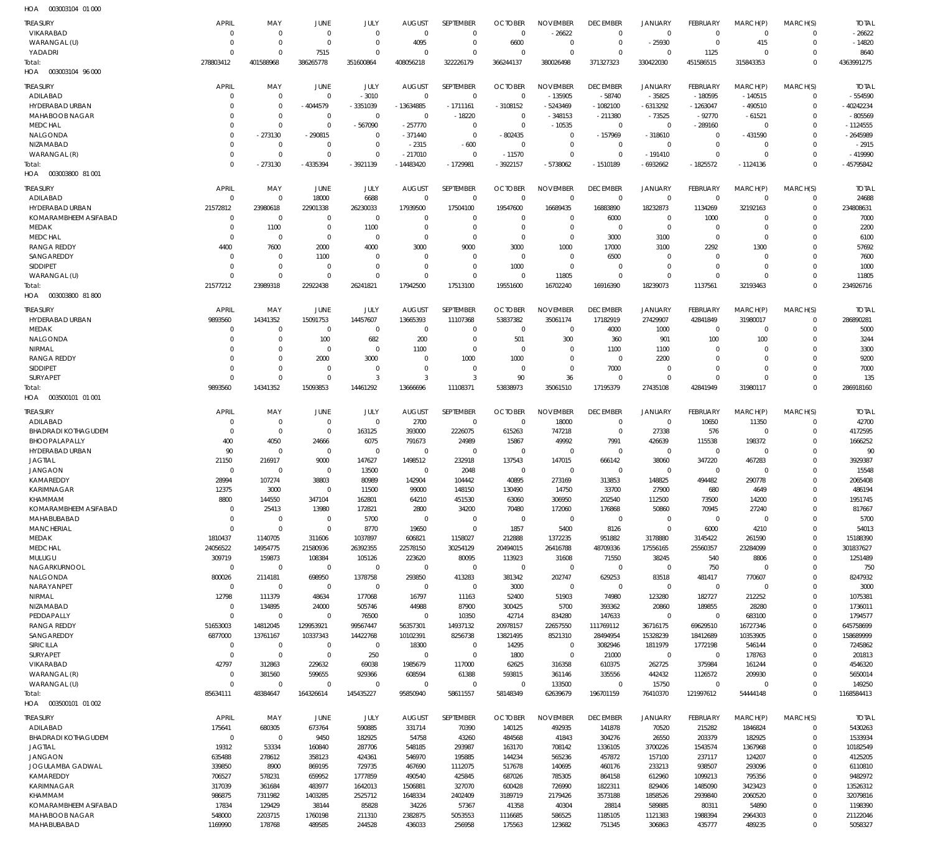| 10.011                                  |                            |                            |                            |                            |                          |                            |                          |                              |                         |                         |                       |                            |                            |                     |
|-----------------------------------------|----------------------------|----------------------------|----------------------------|----------------------------|--------------------------|----------------------------|--------------------------|------------------------------|-------------------------|-------------------------|-----------------------|----------------------------|----------------------------|---------------------|
| <b>TREASURY</b>                         | <b>APRIL</b>               | MAY                        | JUNE                       | JULY                       | <b>AUGUST</b>            | SEPTEMBER                  | <b>OCTOBER</b>           | <b>NOVEMBER</b>              | <b>DECEMBER</b>         | JANUARY                 | FEBRUARY              | MARCH(P)                   | MARCH(S)                   | <b>TOTAL</b>        |
| VIKARABAD                               | $\mathbf 0$                | $\overline{0}$             | $\mathbf 0$                | $\overline{0}$             | $\Omega$                 | $\overline{0}$             | $\Omega$                 | $-26622$                     | $\overline{0}$          | $\overline{0}$          | $\overline{0}$        | $\overline{0}$             | $\Omega$                   | $-26622$            |
| WARANGAL (U)                            | 0                          | $\overline{0}$             | $\Omega$                   | $\overline{0}$             | 4095                     | $^{\circ}$                 | 6600                     | $\overline{0}$               | $\mathbf 0$             | $-25930$                | $^{\circ}$            | 415                        | $\mathbf 0$                | $-14820$            |
| YADADRI                                 | $\Omega$                   | $\Omega$                   | 7515                       | $\Omega$                   | $\Omega$                 | $\Omega$                   | $\Omega$                 | $\Omega$                     | $\Omega$                | $\Omega$                | 1125                  | $\Omega$                   | $\Omega$                   | 8640                |
| Total:                                  | 278803412                  | 401588968                  | 386265778                  | 351600864                  | 408056218                | 322226179                  | 366244137                | 380026498                    | 371327323               | 330422030               | 451586515             | 315843353                  | $\Omega$                   | 4363991275          |
| HOA<br>003003104 96 000                 |                            |                            |                            |                            |                          |                            |                          |                              |                         |                         |                       |                            |                            |                     |
| <b>TREASURY</b>                         | <b>APRIL</b>               | MAY                        | JUNE                       | JULY                       | <b>AUGUST</b>            | SEPTEMBER                  | <b>OCTOBER</b>           | <b>NOVEMBER</b>              | <b>DECEMBER</b>         | <b>JANUARY</b>          | FEBRUARY              | MARCH(P)                   | MARCH(S)                   | TOTAL               |
| ADILABAD                                | $\mathbf 0$                | $\overline{0}$             | $\mathbf 0$                | $-3010$                    | $^{\circ}$               | $\overline{0}$             | $\overline{0}$           | $-135905$                    | $-58740$                | $-35825$                | $-180595$             | $-140515$                  | 0                          | $-554590$           |
| HYDERABAD URBAN                         | $\Omega$                   | $\overline{0}$             | -4044579                   | $-3351039$                 | $-13634885$              | $-1711161$                 | $-3108152$               | -5243469                     | $-1082100$              | $-6313292$              | $-1263047$            | $-490510$                  | $\mathbf 0$                | $-40242234$         |
| <b>MAHABOOB NAGAR</b>                   | $\Omega$                   | $\overline{0}$             | 0                          | $\overline{0}$             | $\overline{0}$           | $-18220$                   | - 0                      | -348153                      | $-211380$               | $-73525$                | $-92770$              | $-61521$                   | 0                          | $-805569$           |
| <b>MEDCHAL</b>                          | 0                          | $\overline{0}$             | $\mathbf 0$                | $-567090$                  | $-257770$                | $\overline{0}$             | $^{\circ}$               | $-10535$                     | $\overline{0}$          | $\overline{0}$          | $-289160$             | $\overline{0}$             | $\Omega$                   | $-1124555$          |
| NALGONDA                                | $\mathbf 0$                | $-273130$                  | -290815                    | $^{\circ}$                 | $-371440$                | $\overline{0}$             | $-802435$                | $\overline{0}$               | $-157969$               | $-318610$               | $^{\circ}$            | -431590                    | 0                          | $-2645989$          |
| NIZAMABAD                               | 0                          | $\overline{0}$             | $\mathbf 0$                | $\Omega$                   | $-2315$                  | $-600$                     | $\overline{0}$           | $\overline{0}$               | $^{\circ}$              | $\overline{0}$          | $^{\circ}$            | $\overline{0}$             | $\Omega$                   | $-2915$             |
| WARANGAL (R)                            | $\mathbf 0$<br>$\mathbf 0$ | $\overline{0}$             | $\mathbf 0$                | $\overline{0}$             | $-217010$                | $\overline{0}$             | $-11570$                 | $\overline{0}$               | $\mathbf 0$             | $-191410$               | $\mathbf 0$           | $\Omega$                   | 0<br>$\Omega$              | $-419990$           |
| Total:<br>HOA<br>003003800 81 001       |                            | -273130                    | -4335394                   | $-3921139$                 | -14483420                | $-1729981$                 | -3922157                 | $-5738062$                   | $-1510189$              | -6932662                | $-1825572$            | $-1124136$                 |                            | $-45795842$         |
|                                         |                            |                            |                            |                            |                          |                            |                          |                              |                         |                         |                       |                            |                            |                     |
| <b>TREASURY</b>                         | <b>APRIL</b>               | MAY                        | JUNE                       | JULY                       | <b>AUGUST</b>            | SEPTEMBER                  | <b>OCTOBER</b>           | <b>NOVEMBER</b>              | <b>DECEMBER</b>         | <b>JANUARY</b>          | FEBRUARY              | MARCH(P)                   | MARCH(S)                   | <b>TOTAL</b>        |
| ADILABAD                                | $^{\circ}$                 | $\overline{0}$             | 18000                      | 6688                       | $\overline{0}$           | $\overline{0}$             | $\Omega$                 | $\overline{0}$               | $\overline{0}$          | $\overline{0}$          | $\Omega$              | $\Omega$                   | $\Omega$                   | 24688               |
| HYDERABAD URBAN                         | 21572812                   | 23980618                   | 22901338                   | 26230033                   | 17939500                 | 17504100                   | 19547600                 | 16689435                     | 16883890                | 18232873                | 1134269               | 32192163                   | $\Omega$                   | 234808631           |
| KOMARAMBHEEM ASIFABAD                   | 0                          | $\overline{0}$             | $\Omega$                   | $^{\circ}$                 | $\Omega$                 | $\Omega$                   | $\Omega$                 | $\Omega$                     | 6000                    | $\overline{0}$          | 1000                  | $\Omega$                   | $\Omega$                   | 7000                |
| MEDAK<br><b>MEDCHAL</b>                 | $\mathbf 0$<br>$\mathbf 0$ | 1100                       | $\mathbf 0$<br>$\mathbf 0$ | 1100                       | $\Omega$                 | $^{\circ}$<br>$^{\circ}$   | $\Omega$<br>$\Omega$     | $^{\circ}$<br>$\overline{0}$ | $\Omega$<br>3000        | $\overline{0}$          | $\Omega$<br>$\Omega$  | $\Omega$<br>$\Omega$       | $\Omega$<br>$\Omega$       | 2200<br>6100        |
| <b>RANGA REDDY</b>                      | 4400                       | $\overline{0}$<br>7600     | 2000                       | $^{\circ}$<br>4000         | 0<br>3000                | 9000                       | 3000                     | 1000                         | 17000                   | 3100<br>3100            | 2292                  | 1300                       | $\Omega$                   | 57692               |
| SANGAREDDY                              | 0                          | $\overline{0}$             | 1100                       | $\Omega$                   | $\Omega$                 | $\Omega$                   | $\Omega$                 | $\Omega$                     | 6500                    | $\Omega$                | $\Omega$              | $\Omega$                   | $\Omega$                   | 7600                |
| <b>SIDDIPET</b>                         | $\Omega$                   | $\overline{0}$             | $\Omega$                   | $\Omega$                   | $\Omega$                 | $\overline{0}$             | 1000                     | $\Omega$                     | $\Omega$                | $\overline{0}$          | $\Omega$              | $\Omega$                   | $\Omega$                   | 1000                |
| WARANGAL (U)                            | $\mathbf 0$                | $\overline{0}$             | $\Omega$                   | $\mathbf 0$                | $\Omega$                 | $\overline{0}$             | $\Omega$                 | 11805                        | $\mathbf 0$             | $\overline{0}$          | $\Omega$              | $\Omega$                   | $\Omega$                   | 11805               |
| Total:                                  | 21577212                   | 23989318                   | 22922438                   | 26241821                   | 17942500                 | 17513100                   | 19551600                 | 16702240                     | 16916390                | 18239073                | 1137561               | 32193463                   | $\Omega$                   | 234926716           |
| HOA<br>003003800 81800                  |                            |                            |                            |                            |                          |                            |                          |                              |                         |                         |                       |                            |                            |                     |
|                                         |                            |                            |                            |                            |                          |                            |                          |                              |                         |                         |                       |                            |                            |                     |
| <b>TREASURY</b>                         | <b>APRIL</b>               | MAY                        | JUNE                       | JULY                       | <b>AUGUST</b>            | SEPTEMBER                  | <b>OCTOBER</b>           | <b>NOVEMBER</b>              | <b>DECEMBER</b>         | <b>JANUARY</b>          | FEBRUARY              | MARCH(P)                   | MARCH(S)                   | <b>TOTAL</b>        |
| HYDERABAD URBAN<br>MEDAK                | 9893560<br>0               | 14341352<br>$\overline{0}$ | 15091753<br>$^{\circ}$     | 14457607<br>$\overline{0}$ | 13665393                 | 11107368<br>$\overline{0}$ | 53837382<br>- 0          | 35061174<br>$\overline{0}$   | 17182919                | 27429907                | 42841849              | 31980017<br>$\overline{0}$ | $\overline{0}$<br>0        | 286890281           |
| NALGONDA                                | 0                          | $\overline{0}$             | 100                        | 682                        | $\overline{0}$<br>200    | $\overline{0}$             | 501                      | 300                          | 4000<br>360             | 1000<br>901             | $\overline{0}$<br>100 | 100                        | $\Omega$                   | 5000<br>3244        |
| NIRMAL                                  | $\Omega$                   | $\overline{0}$             | $\overline{0}$             | $\overline{0}$             | 1100                     | $\overline{0}$             | $\overline{0}$           | $\overline{0}$               | 1100                    | 1100                    | $\Omega$              | $\Omega$                   | 0                          | 3300                |
| <b>RANGA REDDY</b>                      | $\Omega$                   | $\overline{0}$             | 2000                       | 3000                       | $\overline{0}$           | 1000                       | 1000                     | $\overline{0}$               | $\overline{0}$          | 2200                    | $\Omega$              | $\Omega$                   | $\Omega$                   | 9200                |
| <b>SIDDIPET</b>                         | 0                          | $\overline{0}$             | $\mathbf 0$                | $\overline{0}$             | $\mathbf 0$              | $\overline{0}$             | - 0                      | $\overline{0}$               | 7000                    | $\overline{0}$          | $\Omega$              | $\Omega$                   | 0                          | 7000                |
| SURYAPET                                | $\mathbf 0$                | $\overline{0}$             | $\mathbf 0$                | $\overline{3}$             | 3                        | $\overline{3}$             | 90                       | 36                           | $\overline{0}$          | $\overline{0}$          | $\Omega$              | $\Omega$                   | 0                          | 135                 |
| Total:                                  | 9893560                    | 14341352                   | 15093853                   | 14461292                   | 13666696                 | 11108371                   | 53838973                 | 35061510                     | 17195379                | 27435108                | 42841949              | 31980117                   | $\Omega$                   | 286918160           |
| 003500101 01 001<br>HOA                 |                            |                            |                            |                            |                          |                            |                          |                              |                         |                         |                       |                            |                            |                     |
| <b>TREASURY</b>                         | <b>APRIL</b>               | MAY                        | JUNE                       | JULY                       | <b>AUGUST</b>            | SEPTEMBER                  | <b>OCTOBER</b>           | <b>NOVEMBER</b>              | <b>DECEMBER</b>         | <b>JANUARY</b>          | FEBRUARY              | MARCH(P)                   | MARCH(S)                   | <b>TOTAL</b>        |
| ADILABAD                                | 0                          | $\overline{0}$             | $\mathbf 0$                | $\overline{0}$             | 2700                     | $\overline{0}$             | $\Omega$                 | 18000                        | $\overline{0}$          | $\overline{0}$          | 10650                 | 11350                      | $\Omega$                   | 42700               |
| <b>BHADRADI KOTHAGUDEM</b>              | $\mathbf 0$                | $\overline{0}$             | $\overline{0}$             | 163125                     | 393000                   | 2226075                    | 615263                   | 747218                       | $\overline{0}$          | 27338                   | 576                   | $\overline{0}$             | $\Omega$                   | 4172595             |
| BHOOPALAPALLY                           | 400                        | 4050                       | 24666                      | 6075                       | 791673                   | 24989                      | 15867                    | 49992                        | 7991                    | 426639                  | 115538                | 198372                     | $\Omega$                   | 1666252             |
| HYDERABAD URBAN                         | 90                         | $^{\circ}$                 | $\mathbf 0$                | $^{\circ}$                 | $^{\circ}$               | $\overline{0}$             | $\Omega$                 | $^{\circ}$                   | $^{\circ}$              | $\overline{0}$          | $^{\circ}$            | $\Omega$                   | $\Omega$                   | 90                  |
| <b>JAGTIAL</b>                          | 21150                      | 216917                     | 9000                       | 147627                     | 1498512                  | 232918                     | 137543                   | 147015                       | 666142                  | 38060                   | 347220                | 467283                     | $\Omega$                   | 3929387             |
| <b>JANGAON</b>                          | $\mathbf 0$                | $^{\circ}$                 | $\mathbf 0$                | 13500                      | $^{\circ}$               | 2048                       | $^{\circ}$               | $^{\circ}$                   | $^{\circ}$              | $\overline{0}$          | $\Omega$              | $\Omega$                   | $\Omega$                   | 15548               |
| KAMAREDDY                               | 28994                      | 107274                     | 38803                      | 80989                      | 142904                   | 104442                     | 40895                    | 273169                       | 313853                  | 148825                  | 494482                | 290778                     | $\Omega$                   | 2065408             |
| <b>KARIMNAGAR</b>                       | 12375                      | 3000                       | $\Omega$                   | 11500                      | 99000                    | 148150                     | 130490                   | 14750                        | 33700                   | 27900                   | 680                   | 4649                       | $\Omega$                   | 486194              |
| KHAMMAM                                 | 8800                       | 144550                     | 347104                     | 162801                     | 64210                    | 451530                     | 63060                    | 306950                       | 202540                  | 112500                  | 73500                 | 14200                      | $\mathbf 0$                | 1951745             |
| KOMARAMBHEEM ASIFABAD                   | $\mathbf 0$                | 25413                      | 13980                      | 172821                     | 2800                     | 34200                      | 70480                    | 172060                       | 176868                  | 50860                   | 70945                 | 27240                      | 0                          | 817667              |
| MAHABUBABAD                             | $\mathbf 0$                | $\overline{0}$             | $\overline{0}$             | 5700                       | $^{\circ}$               | $\overline{0}$             | $\overline{0}$           | $\overline{0}$               | $\overline{0}$          | $\overline{0}$          | $\overline{0}$        | $\overline{0}$             | $\mathbf 0$                | 5700                |
| <b>MANCHERIAL</b>                       | $\mathbf 0$                | $\overline{0}$             | $\mathbf 0$                | 8770                       | 19650                    | $\overline{0}$             | 1857                     | 5400                         | 8126                    | $\overline{0}$          | 6000                  | 4210                       | 0                          | 54013               |
| MEDAK                                   | 1810437                    | 1140705                    | 311606                     | 1037897                    | 606821                   | 1158027                    | 212888                   | 1372235                      | 951882                  | 3178880                 | 3145422               | 261590                     | $\Omega$                   | 15188390            |
| <b>MEDCHAL</b>                          | 24056522                   | 14954775                   | 21580936                   | 26392355                   | 22578150                 | 30254129                   | 20494015                 | 26416788                     | 48709336                | 17556165                | 25560357              | 23284099                   | $\mathbf 0$<br>$\mathbf 0$ | 301837627           |
| MULUGU<br>NAGARKURNOOL                  | 309719<br>$\overline{0}$   | 159873<br>$\overline{0}$   | 108384<br>$\overline{0}$   | 105126<br>$\overline{0}$   | 223620<br>$\overline{0}$ | 80095<br>$\overline{0}$    | 113923<br>$\overline{0}$ | 31608<br>$\overline{0}$      | 71550<br>$\overline{0}$ | 38245<br>$\overline{0}$ | 540<br>750            | 8806<br>$\overline{0}$     | $\mathbf 0$                | 1251489<br>750      |
| NALGONDA                                | 800026                     | 2114181                    | 698950                     | 1378758                    | 293850                   | 413283                     | 381342                   | 202747                       | 629253                  | 83518                   | 481417                | 770607                     | $\mathbf 0$                | 8247932             |
| NARAYANPET                              | $\overline{0}$             | $\overline{0}$             | $\overline{0}$             | $\overline{0}$             | $\overline{0}$           | $\overline{0}$             | 3000                     | $\overline{0}$               | $\overline{0}$          | $\overline{0}$          | $\overline{0}$        | $\overline{0}$             | 0                          | 3000                |
| NIRMAL                                  | 12798                      | 111379                     | 48634                      | 177068                     | 16797                    | 11163                      | 52400                    | 51903                        | 74980                   | 123280                  | 182727                | 212252                     | $\mathbf 0$                | 1075381             |
| NIZAMABAD                               | $^{\circ}$                 | 134895                     | 24000                      | 505746                     | 44988                    | 87900                      | 300425                   | 5700                         | 393362                  | 20860                   | 189855                | 28280                      | 0                          | 1736011             |
| PEDDAPALLY                              | $\mathbf 0$                | $\overline{0}$             | $\Omega$                   | 76500                      | $^{\circ}$               | 10350                      | 42714                    | 834280                       | 147633                  | $\overline{0}$          | $\overline{0}$        | 683100                     | $\mathbf 0$                | 1794577             |
| <b>RANGA REDDY</b>                      | 51653003                   | 14812045                   | 129953921                  | 99567447                   | 56357301                 | 14937132                   | 20978157                 | 22657550                     | 111769112               | 36716175                | 69629510              | 16727346                   | $\mathbf 0$                | 645758699           |
| SANGAREDDY                              | 6877000                    | 13761167                   | 10337343                   | 14422768                   | 10102391                 | 8256738                    | 13821495                 | 8521310                      | 28494954                | 15328239                | 18412689              | 10353905                   | $\mathbf 0$                | 158689999           |
| SIRICILLA                               | $\overline{0}$             | $\overline{0}$             | $\overline{0}$             | $\overline{0}$             | 18300                    | $\overline{0}$             | 14295                    | $\overline{0}$               | 3082946                 | 1811979                 | 1772198               | 546144                     | 0                          | 7245862             |
| <b>SURYAPET</b>                         | $\mathbf 0$                | $\overline{0}$             | $\Omega$                   | 250                        | $^{\circ}$               | $\overline{0}$             | 1800                     | $\overline{0}$               | 21000                   | $\overline{0}$          | $\overline{0}$        | 178763                     | $\Omega$                   | 201813              |
| VIKARABAD                               | 42797                      | 312863                     | 229632                     | 69038                      | 1985679                  | 117000                     | 62625                    | 316358                       | 610375                  | 262725                  | 375984                | 161244                     | 0                          | 4546320             |
| WARANGAL (R)                            | $\mathbf 0$                | 381560                     | 599655                     | 929366                     | 608594                   | 61388                      | 593815                   | 361146                       | 335556                  | 442432                  | 1126572               | 209930                     | $\Omega$                   | 5650014             |
| WARANGAL (U)                            | $\mathbf 0$                | $\overline{0}$             | $\overline{0}$             | $\overline{0}$             | $\overline{0}$           | $\overline{0}$             | $\overline{0}$           | 133500                       | $\overline{0}$          | 15750                   | $\overline{0}$        | $\overline{0}$             | 0                          | 149250              |
| Total:                                  | 85634111                   | 48384647                   | 164326614                  | 145435227                  | 95850940                 | 58611557                   | 58148349                 | 62639679                     | 196701159               | 76410370                | 121997612             | 54444148                   | $\Omega$                   | 1168584413          |
| HOA   003500101   01   002              |                            |                            |                            |                            |                          |                            |                          |                              |                         |                         |                       |                            |                            |                     |
| <b>TREASURY</b>                         | <b>APRIL</b>               | MAY                        | JUNE                       | JULY                       | <b>AUGUST</b>            | SEPTEMBER                  | <b>OCTOBER</b>           | <b>NOVEMBER</b>              | <b>DECEMBER</b>         | <b>JANUARY</b>          | FEBRUARY              | MARCH(P)                   | MARCH(S)                   | Total               |
| ADILABAD                                | 175641                     | 680305                     | 673764                     | 590885                     | 331714                   | 70390                      | 140125                   | 492935                       | 141878                  | 70520                   | 215282                | 1846824                    | $^{\circ}$                 | 5430263             |
| <b>BHADRADI KOTHAGUDEM</b>              | $\overline{0}$             | $\overline{0}$             | 9450                       | 182925                     | 54758                    | 43260                      | 484568                   | 41843                        | 304276                  | 26550                   | 203379                | 182925                     | $\mathbf 0$                | 1533934             |
| <b>JAGTIAL</b>                          | 19312                      | 53334                      | 160840                     | 287706                     | 548185                   | 293987                     | 163170                   | 708142                       | 1336105                 | 3700226                 | 1543574               | 1367968                    | 0                          | 10182549            |
| <b>JANGAON</b>                          | 635488                     | 278612                     | 358123                     | 424361                     | 546970                   | 195885                     | 144234                   | 565236                       | 457872                  | 157100                  | 237117                | 124207                     | 0                          | 4125205             |
| JOGULAMBA GADWAL                        | 339850                     | 8900                       | 869195                     | 729735                     | 467690                   | 1112075                    | 517678                   | 140695                       | 460176                  | 233213                  | 938507                | 293096                     | 0                          | 6110810             |
| KAMAREDDY                               | 706527                     | 578231                     | 659952                     | 1777859                    | 490540                   | 425845                     | 687026                   | 785305                       | 864158                  | 612960                  | 1099213               | 795356                     | 0                          | 9482972             |
| KARIMNAGAR                              | 317039                     | 361684                     | 483977                     | 1642013                    | 1506881                  | 327070                     | 600428                   | 726990                       | 1822311                 | 829406                  | 1485090               | 3423423                    | 0                          | 13526312            |
| KHAMMAM                                 | 986875                     | 7311982<br>129429          | 1403285                    | 2525712                    | 1648334                  | 2402409                    | 3189719                  | 2179426<br>40304             | 3573188                 | 1858526<br>589885       | 2939840               | 2060520<br>54890           | $\mathbf 0$<br>$\mathbf 0$ | 32079816            |
| KOMARAMBHEEM ASIFABAD<br>MAHABOOB NAGAR | 17834<br>548000            | 2203715                    | 38144<br>1760198           | 85828<br>211310            | 34226<br>2382875         | 57367<br>5053553           | 41358<br>1116685         | 586525                       | 28814<br>1185105        | 1121383                 | 80311<br>1988394      |                            | $\mathbf 0$                | 1198390<br>21122046 |
| MAHABUBABAD                             | 1169990                    | 178768                     | 489585                     | 244528                     | 436033                   | 256958                     | 175563                   | 123682                       | 751345                  | 306863                  | 435777                | 2964303<br>489235          | $\Omega$                   | 5058327             |
|                                         |                            |                            |                            |                            |                          |                            |                          |                              |                         |                         |                       |                            |                            |                     |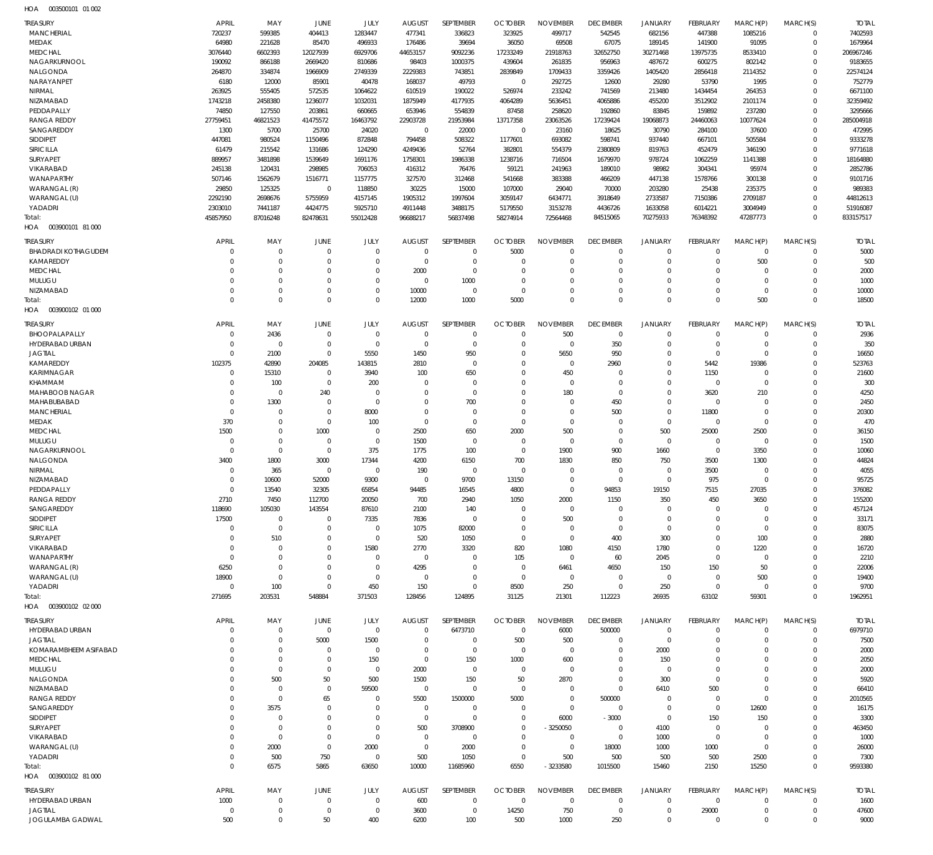| HOA | 003500101 01 002 |  |
|-----|------------------|--|

| <b>TREASURY</b><br><b>MANCHERIAL</b>          | APRIL<br>720237              | MAY<br>599385              | <b>JUNE</b><br>404413       | JULY<br>1283447     | <b>AUGUST</b><br>477341      | SEPTEMBER<br>336823      | <b>OCTOBER</b><br>323925      | <b>NOVEMBER</b><br>499717      | <b>DECEMBER</b><br>542545      | <b>JANUARY</b><br>682156      | FEBRUARY<br>447388         | MARCH(P)<br>1085216        | MARCH(S)<br>$\mathbf 0$ | <b>TOTAL</b><br>7402593 |
|-----------------------------------------------|------------------------------|----------------------------|-----------------------------|---------------------|------------------------------|--------------------------|-------------------------------|--------------------------------|--------------------------------|-------------------------------|----------------------------|----------------------------|-------------------------|-------------------------|
| <b>MEDAK</b>                                  | 64980                        | 221628                     | 85470                       | 496933              | 176486                       | 39694                    | 36050                         | 69508                          | 67075                          | 189145                        | 141900                     | 91095                      | $\mathbf 0$             | 1679964                 |
| <b>MEDCHAL</b>                                | 3076440                      | 6602393                    | 12027939                    | 6929706             | 44653157                     | 9092236                  | 17233249                      | 21918763                       | 32652750                       | 30271468                      | 13975735                   | 8533410                    | $\mathbf 0$             | 206967246               |
| NAGARKURNOOL                                  | 190092                       | 866188                     | 2669420                     | 810686              | 98403                        | 1000375                  | 439604                        | 261835                         | 956963                         | 487672                        | 600275                     | 802142                     | $\Omega$                | 9183655                 |
| <b>NALGONDA</b>                               | 264870                       | 334874                     | 1966909                     | 2749339             | 2229383                      | 743851                   | 2839849                       | 1709433                        | 3359426                        | 1405420                       | 2856418                    | 2114352                    | $\mathbf 0$             | 22574124                |
| NARAYANPET                                    | 6180                         | 12000                      | 85901                       | 40478               | 168037                       | 49793                    | $\overline{0}$                | 292725                         | 12600                          | 29280                         | 53790                      | 1995                       | $\Omega$<br>$\Omega$    | 752779                  |
| NIRMAL<br>NIZAMABAD                           | 263925<br>1743218            | 555405<br>2458380          | 572535<br>1236077           | 1064622<br>1032031  | 610519<br>1875949            | 190022<br>4177935        | 526974<br>4064289             | 233242<br>5636451              | 741569<br>4065886              | 213480<br>455200              | 1434454<br>3512902         | 264353<br>2101174          | $\Omega$                | 6671100<br>32359492     |
| PEDDAPALLY                                    | 74850                        | 127550                     | 203861                      | 660665              | 653946                       | 554839                   | 87458                         | 258620                         | 192860                         | 83845                         | 159892                     | 237280                     | $\Omega$                | 3295666                 |
| <b>RANGA REDDY</b>                            | 27759451                     | 46821523                   | 41475572                    | 16463792            | 22903728                     | 21953984                 | 13717358                      | 23063526                       | 17239424                       | 19068873                      | 24460063                   | 10077624                   | $\Omega$                | 285004918               |
| SANGAREDDY                                    | 1300                         | 5700                       | 25700                       | 24020               | $\mathbf 0$                  | 22000                    | $\overline{0}$                | 23160                          | 18625                          | 30790                         | 284100                     | 37600                      | $\mathbf 0$             | 472995                  |
| <b>SIDDIPET</b>                               | 447081                       | 980524                     | 1150496                     | 872848              | 794458                       | 508322                   | 1177601                       | 693082                         | 598741                         | 937440                        | 667101                     | 505584                     | $\Omega$                | 9333278                 |
| SIRICILLA                                     | 61479                        | 215542                     | 131686                      | 124290              | 4249436                      | 52764                    | 382801                        | 554379                         | 2380809                        | 819763                        | 452479                     | 346190                     | $\Omega$                | 9771618                 |
| SURYAPET                                      | 889957                       | 3481898                    | 1539649                     | 1691176             | 1758301                      | 1986338                  | 1238716                       | 716504                         | 1679970                        | 978724                        | 1062259                    | 1141388                    | $\Omega$                | 18164880                |
| <b>VIKARABAD</b><br>WANAPARTHY                | 245138<br>507146             | 120431<br>1562679          | 298985<br>1516771           | 706053<br>1157775   | 416312<br>327570             | 76476<br>312468          | 59121<br>541668               | 241963<br>383388               | 189010<br>466209               | 98982<br>447138               | 304341<br>1578766          | 95974<br>300138            | $\mathbf 0$<br>$\Omega$ | 2852786<br>9101716      |
| WARANGAL (R)                                  | 29850                        | 125325                     | $\mathbf 0$                 | 118850              | 30225                        | 15000                    | 107000                        | 29040                          | 70000                          | 203280                        | 25438                      | 235375                     | $\Omega$                | 989383                  |
| WARANGAL (U)                                  | 2292190                      | 2698676                    | 5755959                     | 4157145             | 1905312                      | 1997604                  | 3059147                       | 6434771                        | 3918649                        | 2733587                       | 7150386                    | 2709187                    | $\Omega$                | 44812613                |
| YADADRI                                       | 2303010                      | 7441187                    | 4424775                     | 5925710             | 4911448                      | 3488175                  | 5179550                       | 3153278                        | 4436726                        | 1633058                       | 6014221                    | 3004949                    | $\Omega$                | 51916087                |
| Total:                                        | 45857950                     | 87016248                   | 82478631                    | 55012428            | 96688217                     | 56837498                 | 58274914                      | 72564468                       | 84515065                       | 70275933                      | 76348392                   | 47287773                   | $\Omega$                | 833157517               |
| HOA  003900101  81 000                        |                              |                            |                             |                     |                              |                          |                               |                                |                                |                               |                            |                            |                         |                         |
| <b>TREASURY</b><br><b>BHADRADI KOTHAGUDEM</b> | APRIL<br>$\Omega$            | MAY<br>$\mathbf 0$         | JUNE<br>$\overline{0}$      | JULY<br>$\mathbf 0$ | <b>AUGUST</b><br>$\mathbf 0$ | SEPTEMBER<br>$\mathbf 0$ | <b>OCTOBER</b><br>5000        | <b>NOVEMBER</b><br>$\mathbf 0$ | <b>DECEMBER</b><br>$^{\circ}$  | <b>JANUARY</b><br>$\mathbf 0$ | FEBRUARY<br>$\overline{0}$ | MARCH(P)<br>$\mathbf 0$    | MARCH(S)<br>$\mathbf 0$ | <b>TOTAL</b><br>5000    |
| KAMAREDDY                                     | C                            | $\mathbf 0$                | $\Omega$                    | $\mathbf 0$         | $\mathbf 0$                  | $\mathbf 0$              | $\mathbf 0$                   | $\mathbf 0$                    | $\mathbf 0$                    | $\mathbf 0$                   | $\overline{0}$             | 500                        | $\mathbf 0$             | 500                     |
| <b>MEDCHAL</b>                                | C                            | $\mathbf 0$                | $\Omega$                    | $\Omega$            | 2000                         | $\mathbf 0$              | $\mathbf 0$                   | $\Omega$                       | $\mathbf 0$                    | $\mathbf 0$                   | $\mathbf 0$                | $\Omega$                   | $\Omega$                | 2000                    |
| MULUGU                                        | $\Omega$                     | $\mathbf 0$                | $\Omega$                    | $\Omega$            | $\mathbf 0$                  | 1000                     | $\mathbf 0$                   | $\Omega$                       | $\mathbf 0$                    | $\mathbf 0$                   | $\Omega$                   | $\Omega$                   | $\Omega$                | 1000                    |
| NIZAMABAD                                     | $\Omega$                     | $\mathbf 0$                | $\Omega$                    | $\Omega$            | 10000                        | $\mathbf 0$              | $\overline{0}$                | $\mathbf 0$                    | $\mathbf 0$                    | $\mathbf 0$                   | $\mathbf 0$                | $\mathbf 0$                | $\Omega$                | 10000                   |
| Total:                                        | $\Omega$                     | $\mathbf 0$                | $\Omega$                    | $\mathbf{0}$        | 12000                        | 1000                     | 5000                          | $\Omega$                       | $\mathbf 0$                    | $\mathsf 0$                   | $\Omega$                   | 500                        | $\mathbf 0$             | 18500                   |
| HOA<br>003900102 01 000                       |                              |                            |                             |                     |                              |                          |                               |                                |                                |                               |                            |                            |                         |                         |
| <b>TREASURY</b><br>BHOOPALAPALLY              | <b>APRIL</b><br>$\mathbf{0}$ | MAY                        | <b>JUNE</b><br>$\mathbf{0}$ | JULY<br>$\mathbf 0$ | <b>AUGUST</b><br>-0          | SEPTEMBER<br>$\mathbf 0$ | <b>OCTOBER</b><br>$\mathbf 0$ | <b>NOVEMBER</b><br>500         | <b>DECEMBER</b><br>$\mathbf 0$ | <b>JANUARY</b><br>$\mathbf 0$ | FEBRUARY<br>$\overline{0}$ | MARCH(P)<br>$\mathbf 0$    | MARCH(S)<br>$\mathbf 0$ | <b>TOTAL</b><br>2936    |
| HYDERABAD URBAN                               | $\Omega$                     | 2436<br>$\mathbf 0$        | $\mathbf{0}$                | $\mathbf 0$         | $\mathbf 0$                  | 0                        | $\mathbf 0$                   | $\overline{0}$                 | 350                            | $\mathbf 0$                   | $\overline{0}$             | $\mathbf 0$                | $\mathbf 0$             | 350                     |
| <b>JAGTIAL</b>                                | $\Omega$                     | 2100                       | $\mathbf{0}$                | 5550                | 1450                         | 950                      | $\mathbf 0$                   | 5650                           | 950                            | $\mathbf 0$                   | $\overline{0}$             | $\mathbf 0$                | $\Omega$                | 16650                   |
| KAMAREDDY                                     | 102375                       | 42890                      | 204085                      | 143815              | 2810                         | $\mathbf 0$              | $\Omega$                      | $\mathbf 0$                    | 2960                           | $\mathbf 0$                   | 5442                       | 19386                      | $\Omega$                | 523763                  |
| KARIMNAGAR                                    | $\mathbf{0}$                 | 15310                      | $\mathbf 0$                 | 3940                | 100                          | 650                      | $\Omega$                      | 450                            | $\mathbf 0$                    | $\mathbf 0$                   | 1150                       | $\mathbf 0$                | $\Omega$                | 21600                   |
| KHAMMAM                                       | $\Omega$                     | 100                        | $\mathbf 0$                 | 200                 | $\mathbf 0$                  | $\mathbf 0$              | $\Omega$                      | $\mathbf 0$                    | $\mathbf 0$                    | $\mathbf 0$                   | $\overline{0}$             | $\mathbf 0$                | $\Omega$                | 300                     |
| MAHABOOB NAGAR                                | $\Omega$                     | $\mathbf 0$                | 240                         | $\mathbf 0$         | $\Omega$                     | $\mathbf 0$              | $\Omega$                      | 180                            | $\mathbf 0$                    | $\mathbf 0$                   | 3620                       | 210                        | $\Omega$                | 4250                    |
| MAHABUBABAD                                   | $\Omega$                     | 1300                       | $\overline{0}$              | $\mathbf 0$         | $\Omega$                     | 700                      | $\mathbf 0$                   | $\mathbf 0$                    | 450                            | $\mathbf 0$                   | $\mathbf 0$                | $\Omega$                   | $\Omega$                | 2450                    |
| <b>MANCHERIAL</b>                             | $\Omega$<br>370              | $\mathbf 0$                | $\mathbf 0$<br>$\mathbf 0$  | 8000                | $\Omega$                     | 0                        | $\Omega$                      | $\mathbf 0$<br>$\mathbf 0$     | 500                            | $\mathbf 0$                   | 11800                      | $\mathbf 0$<br>$\mathbf 0$ | $\Omega$<br>$\Omega$    | 20300                   |
| <b>MEDAK</b><br><b>MEDCHAL</b>                | 1500                         | $\mathbf 0$<br>$\mathbf 0$ | 1000                        | 100<br>$\mathbf 0$  | $\mathbf 0$<br>2500          | 0<br>650                 | $\overline{0}$<br>2000        | 500                            | $\overline{0}$<br>$\mathbf 0$  | $\mathbf 0$<br>500            | $\mathbf 0$<br>25000       | 2500                       | $\Omega$                | 470<br>36150            |
| MULUGU                                        | C                            | $\mathbf 0$                | $\overline{0}$              | $\mathbf 0$         | 1500                         | 0                        | $\overline{0}$                | $\mathbf 0$                    | $\mathbf 0$                    | $\mathbf 0$                   | $\overline{0}$             | $\mathbf 0$                | $\Omega$                | 1500                    |
| NAGARKURNOOL                                  | $\Omega$                     | $\mathbf 0$                | $\mathbf 0$                 | 375                 | 1775                         | 100                      | $\overline{0}$                | 1900                           | 900                            | 1660                          | $\overline{0}$             | 3350                       | $\Omega$                | 10060                   |
| NALGONDA                                      | 3400                         | 1800                       | 3000                        | 17344               | 4200                         | 6150                     | 700                           | 1830                           | 850                            | 750                           | 3500                       | 1300                       | $\mathbf 0$             | 44824                   |
| NIRMAL                                        | $\mathbf 0$                  | 365                        | $\overline{0}$              | $\mathbf 0$         | 190                          | $\mathbf 0$              | $\overline{0}$                | $\mathbf 0$                    | $\mathbf 0$                    | $\mathbf 0$                   | 3500                       | $\mathbf 0$                | $\Omega$                | 4055                    |
| NIZAMABAD                                     | $\Omega$                     | 10600                      | 52000                       | 9300                | $\mathbf 0$                  | 9700                     | 13150                         | $\mathbf 0$                    | $\mathbf 0$                    | $\mathbf 0$                   | 975                        | $\mathbf 0$                | $\Omega$                | 95725                   |
| PEDDAPALLY                                    | $\Omega$                     | 13540                      | 32305                       | 65854               | 94485                        | 16545                    | 4800                          | $\Omega$                       | 94853                          | 19150                         | 7515                       | 27035                      | $\Omega$                | 376082                  |
| RANGA REDDY                                   | 2710                         | 7450                       | 112700                      | 20050               | 700                          | 2940                     | 1050                          | 2000                           | 1150                           | 350                           | 450                        | 3650                       | -0                      | 155200                  |
| SANGAREDDY<br><b>SIDDIPET</b>                 | 118690<br>17500              | 105030<br>$\mathbf 0$      | 143554<br>$\mathbf 0$       | 87610<br>7335       | 2100<br>7836                 | 140<br>$\mathbf 0$       | $\overline{0}$<br>0           | $\mathbf 0$<br>500             | 0<br>0                         | $\mathbf 0$<br>$\mathbf 0$    | $\mathbf 0$<br>0           | 0<br>$\mathbf 0$           | $\Omega$<br>$\Omega$    | 457124<br>33171         |
| <b>SIRICILLA</b>                              | $\mathbf 0$                  | $\mathbf 0$                | $\mathbf 0$                 | $\mathbf 0$         | 1075                         | 82000                    | $\mathbf 0$                   | $\mathbf 0$                    | $\mathbf 0$                    | $\mathbf 0$                   | $\mathbf 0$                | $\mathbf 0$                | $\Omega$                | 83075                   |
| SURYAPET                                      | C                            | 510                        | O                           | $\mathbf 0$         | 520                          | 1050                     | $^{\circ}$                    | $\mathbf 0$                    | 400                            | 300                           | 0                          | 100                        | $\Omega$                | 2880                    |
| VIKARABAD                                     | C                            | $\mathbf 0$                | 0                           | 1580                | 2770                         | 3320                     | 820                           | 1080                           | 4150                           | 1780                          | $\mathbf 0$                | 1220                       | $\Omega$                | 16720                   |
| WANAPARTHY                                    | 0                            | $\mathbf 0$                | $\Omega$                    | 0                   | $\mathbf 0$                  | 0                        | 105                           | $\mathbf 0$                    | 60                             | 2045                          | $\overline{0}$             | 0                          | $\Omega$                | 2210                    |
| WARANGAL (R)                                  | 6250                         | $\mathbf 0$                | $\Omega$                    | $\mathbf 0$         | 4295                         | $\mathbf 0$              | $\overline{0}$                | 6461                           | 4650                           | 150                           | 150                        | 50                         | $\Omega$                | 22006                   |
| WARANGAL (U)                                  | 18900                        | $\mathbf 0$                | $\Omega$                    | $\mathbf 0$         | $^{\circ}$                   | $\mathbf 0$              | $\overline{0}$                | $\mathbf 0$                    | $\mathbf 0$                    | $\overline{0}$                | $\overline{0}$             | 500                        | $\Omega$                | 19400                   |
| YADADRI                                       | $\mathbf 0$                  | 100                        | $\mathbf 0$                 | 450                 | 150                          | $\mathbf 0$              | 8500                          | 250                            | $\mathbf 0$                    | 250                           | $\overline{0}$             | $\mathbf 0$                | $\Omega$                | 9700                    |
| Total:<br>HOA  003900102  02  000             | 271695                       | 203531                     | 548884                      | 371503              | 128456                       | 124895                   | 31125                         | 21301                          | 112223                         | 26935                         | 63102                      | 59301                      | $\Omega$                | 1962951                 |
| <b>TREASURY</b>                               | APRIL                        | MAY                        | JUNE                        | JULY                | <b>AUGUST</b>                | SEPTEMBER                | <b>OCTOBER</b>                | <b>NOVEMBER</b>                | <b>DECEMBER</b>                | <b>JANUARY</b>                | FEBRUARY                   | MARCH(P)                   | MARCH(S)                | <b>TOTAL</b>            |
| HYDERABAD URBAN                               | 0                            | $\mathbf 0$                | $\mathbf 0$                 | $\mathbf 0$         | $\mathbf 0$                  | 6473710                  | $\overline{0}$                | 6000                           | 500000                         | 0                             | 0                          | 0                          | $\mathbf 0$             | 6979710                 |
| <b>JAGTIAL</b>                                | C                            | $\mathbf 0$                | 5000                        | 1500                | 0                            | $\mathbf 0$              | 500                           | 500                            | $\mathbf 0$                    | $\mathbf 0$                   | $\mathbf 0$                | $\Omega$                   | $\mathbf 0$             | 7500                    |
| KOMARAMBHEEM ASIFABAD                         |                              | $\mathbf 0$                | 0                           | $\mathbf 0$         | $^{\circ}$                   | $\mathbf 0$              | $\overline{0}$                | $\mathbf 0$                    | 0                              | 2000                          | 0                          | $\Omega$                   | 0                       | 2000                    |
| <b>MEDCHAL</b>                                |                              | $\mathbf 0$                | 0                           | 150                 | $^{\circ}$                   | 150                      | 1000                          | 600                            | 0                              | 150                           | $\Omega$                   | $\Omega$                   | $\Omega$                | 2050                    |
| MULUGU                                        |                              | $\mathbf 0$                | 0                           | $\mathbf 0$         | 2000                         | $\mathbf 0$              | $\overline{0}$                | $\mathbf 0$                    | 0                              | $\mathbf 0$                   | $\Omega$                   | $\Omega$                   | $\Omega$                | 2000                    |
| NALGONDA<br>NIZAMABAD                         |                              | 500<br>$\mathbf 0$         | 50<br>$\mathbf 0$           | 500<br>59500        | 1500<br>$\mathbf 0$          | 150<br>$\mathbf 0$       | 50<br>$\overline{0}$          | 2870<br>$\mathbf 0$            | 0<br>0                         | 300<br>6410                   | 0<br>500                   | $\Omega$<br>$\Omega$       | $\Omega$<br>$\Omega$    | 5920<br>66410           |
| <b>RANGA REDDY</b>                            |                              | $\mathbf 0$                | 65                          | 0                   | 5500                         | 1500000                  | 5000                          | $\mathbf 0$                    | 500000                         | 0                             | $\mathbf 0$                | $\Omega$                   | $\Omega$                | 2010565                 |
| SANGAREDDY                                    |                              | 3575                       | $\Omega$                    | $\Omega$            | $\mathbf 0$                  | $\mathbf 0$              | 0                             | $\mathbf 0$                    | 0                              | $\mathbf 0$                   | 0                          | 12600                      | $\Omega$                | 16175                   |
| SIDDIPET                                      |                              | $\mathbf 0$                | O                           | $\Omega$            | $\mathbf 0$                  | $\mathbf 0$              | $\mathbf 0$                   | 6000                           | $-3000$                        | $\mathbf 0$                   | 150                        | 150                        | $\Omega$                | 3300                    |
| SURYAPET                                      |                              | $\mathbf 0$                | $\Omega$                    | $\mathbf 0$         | 500                          | 3708900                  | 0                             | $-3250050$                     | 0                              | 4100                          | $\overline{0}$             | $\Omega$                   | $\Omega$                | 463450                  |
| VIKARABAD                                     |                              | $\mathbf 0$                | $\Omega$                    | $\mathbf 0$         | $\mathbf 0$                  | $\mathbf 0$              | $\mathbf 0$                   | $\mathbf 0$                    | 0                              | 1000                          | $\overline{0}$             | $\Omega$                   | $\Omega$                | 1000                    |
| WARANGAL (U)                                  | $\Omega$                     | 2000                       | 0                           | 2000                | $\mathbf 0$                  | 2000                     | 0                             | $\mathbf 0$                    | 18000                          | 1000                          | 1000                       | 0                          | $\Omega$                | 26000                   |
| YADADRI                                       | $\Omega$                     | 500                        | 750                         | $\mathbf 0$         | 500                          | 1050                     | $\overline{0}$                | 500                            | 500                            | 500                           | 500                        | 2500                       | $\mathbf 0$             | 7300                    |
| Total:<br>HOA  003900102  81 000              | $\Omega$                     | 6575                       | 5865                        | 63650               | 10000                        | 11685960                 | 6550                          | $-3233580$                     | 1015500                        | 15460                         | 2150                       | 15250                      | $\mathbf{0}$            | 9593380                 |
| <b>TREASURY</b>                               | APRIL                        | MAY                        | JUNE                        | JULY                | <b>AUGUST</b>                | SEPTEMBER                | <b>OCTOBER</b>                | <b>NOVEMBER</b>                | <b>DECEMBER</b>                | JANUARY                       | FEBRUARY                   | MARCH(P)                   | MARCH(S)                | <b>TOTAL</b>            |
| HYDERABAD URBAN                               | 1000                         | $\mathbf 0$                | $\mathbf 0$                 | $\mathbf 0$         | 600                          | $\mathbf 0$              | $\overline{0}$                | $\mathbf 0$                    | $\mathbf 0$                    | $\mathbf 0$                   | $\overline{0}$             | $\mathbf 0$                | $\mathbf 0$             | 1600                    |
| <b>JAGTIAL</b>                                | $\overline{0}$               | $\mathbf 0$                | 0                           | $\mathbf 0$         | 3600                         | $\mathbf 0$              | 14250                         | 750                            | $\mathbf 0$                    | $\mathbf 0$                   | 29000                      | $\mathbf 0$                | $\mathbf 0$             | 47600                   |
| JOGULAMBA GADWAL                              | 500                          | $\mathbf 0$                | 50                          | 400                 | 6200                         | 100                      | 500                           | 1000                           | 250                            | $\mathbf 0$                   | $\mathbf 0$                | $\mathbf 0$                | $\mathbf 0$             | 9000                    |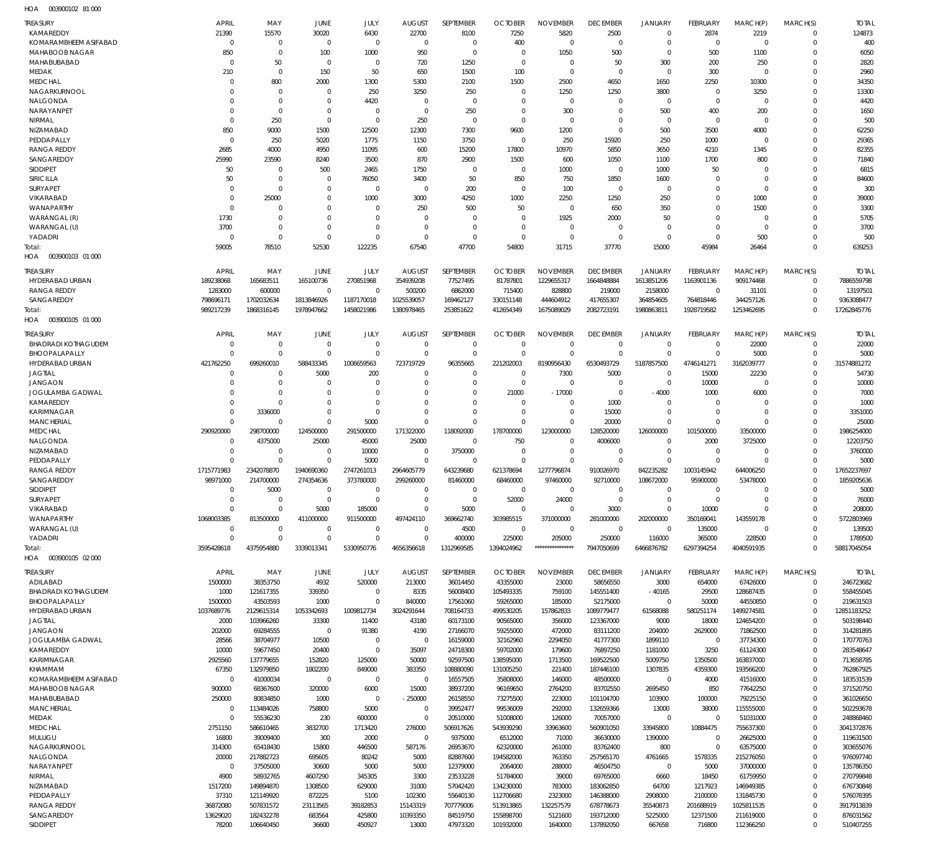003900102 81 000 HOA

| <b>TREASURY</b><br>KAMAREDDY            | <b>APRIL</b><br>21390   | MAY<br>15570                 | JUNE                             | JULY<br>6430               | <b>AUGUST</b>           | SEPTEMBER<br>8100       | <b>OCTOBER</b>             | <b>NOVEMBER</b>          | <b>DECEMBER</b>             | <b>JANUARY</b><br>$\mathbf 0$ | FEBRUARY                  | MARCH(P)               | MARCH(S)<br>$\Omega$ | <b>TOTAL</b><br>124873    |
|-----------------------------------------|-------------------------|------------------------------|----------------------------------|----------------------------|-------------------------|-------------------------|----------------------------|--------------------------|-----------------------------|-------------------------------|---------------------------|------------------------|----------------------|---------------------------|
| KOMARAMBHEEM ASIFABAD                   | $\Omega$                | $\mathbf{0}$                 | 30020<br>$\circ$                 | $\mathbf 0$                | 22700<br>$\mathbf 0$    | $\mathbf 0$             | 7250<br>400                | 5820<br>$\Omega$         | 2500<br>$\Omega$            | $\Omega$                      | 2874<br>$\Omega$          | 2219<br>$\Omega$       | $\Omega$             | 400                       |
| MAHABOOB NAGAR                          | 850                     | $\mathbf 0$                  | 100                              | 1000                       | 950                     | $\mathbf 0$             | $\Omega$                   | 1050                     | 500                         | $\Omega$                      | 500                       | 1100                   | $\Omega$             | 6050                      |
| MAHABUBABAD                             | $\Omega$                | 50                           | $\circ$                          | $\mathbf 0$                | 720                     | 1250                    | $\Omega$                   | $\mathbf 0$              | 50                          | 300                           | 200                       | 250                    | $\Omega$             | 2820                      |
| <b>MEDAK</b>                            | 210                     | $\mathbf{0}$                 | 150                              | 50                         | 650                     | 1500                    | 100                        | $\mathbf 0$              | $\Omega$                    | $\Omega$                      | 300                       | $\Omega$               | $\Omega$             | 2960                      |
| <b>MEDCHAL</b>                          | $\Omega$                | 800                          | 2000                             | 1300                       | 5300                    | 2100                    | 1500                       | 2500                     | 4650                        | 1650                          | 2250                      | 10300                  | $\Omega$             | 34350                     |
| NAGARKURNOOL                            | $\Omega$                | $\Omega$                     | $\Omega$                         | 250                        | 3250                    | 250                     | $\Omega$                   | 1250                     | 1250                        | 3800                          | $\Omega$                  | 3250                   | $\Omega$             | 13300                     |
| NALGONDA<br><b>NARAYANPET</b>           | $\Omega$<br>$\Omega$    | $\mathbf{0}$<br>$\mathbf{0}$ | $\Omega$<br>$\Omega$             | 4420<br>$\mathbf 0$        | $\Omega$<br>$\Omega$    | $\mathbf 0$<br>250      | $\Omega$<br>$\Omega$       | $\Omega$<br>300          | $\Omega$<br>$\Omega$        | $^{\circ}$                    | $\Omega$                  | $\Omega$<br>200        | $\Omega$<br>$\Omega$ | 4420                      |
| NIRMAL                                  | $\Omega$                | 250                          | $\Omega$                         | $\Omega$                   | 250                     | $\mathbf 0$             | $\Omega$                   | $\Omega$                 | $\Omega$                    | 500<br>$^{\circ}$             | 400<br>$\Omega$           | $\Omega$               | $\Omega$             | 1650<br>500               |
| NIZAMABAD                               | 850                     | 9000                         | 1500                             | 12500                      | 12300                   | 7300                    | 9600                       | 1200                     | $\Omega$                    | 500                           | 3500                      | 4000                   | $\Omega$             | 62250                     |
| PEDDAPALLY                              | $\Omega$                | 250                          | 5020                             | 1775                       | 1150                    | 3750                    | $\Omega$                   | 250                      | 15920                       | 250                           | 1000                      | $\Omega$               | $\Omega$             | 29365                     |
| <b>RANGA REDDY</b>                      | 2685                    | 4000                         | 4950                             | 11095                      | 600                     | 15200                   | 17800                      | 10970                    | 5850                        | 3650                          | 4210                      | 1345                   | $\Omega$             | 82355                     |
| SANGAREDDY                              | 25990                   | 23590                        | 8240                             | 3500                       | 870                     | 2900                    | 1500                       | 600                      | 1050                        | 1100                          | 1700                      | 800                    | $\Omega$             | 71840                     |
| SIDDIPET                                | 50                      | $\mathbf{0}$                 | 500                              | 2465                       | 1750                    | $\mathbf 0$             | $\Omega$                   | 1000                     | $\Omega$                    | 1000                          | 50                        | $\Omega$               | $\Omega$             | 6815                      |
| <b>SIRICILLA</b>                        | 50                      | $\mathbf{0}$                 | $\Omega$                         | 76050                      | 3400                    | 50                      | 850                        | 750                      | 1850                        | 1600                          | $\Omega$                  | $\Omega$               | $\Omega$             | 84600                     |
| SURYAPET<br>VIKARABAD                   | $\Omega$<br>$\Omega$    | $\mathbf{0}$<br>25000        | $\Omega$<br>$\Omega$             | $\mathbf 0$<br>1000        | $\Omega$<br>3000        | 200<br>4250             | $\overline{0}$<br>1000     | 100<br>2250              | $\Omega$<br>1250            | $^{\circ}$<br>250             | $\Omega$<br>$\Omega$      | $\Omega$<br>1000       | $\Omega$<br>$\Omega$ | 300<br>39000              |
| WANAPARTHY                              | $\Omega$                | $\mathbf 0$                  | $\Omega$                         | $\Omega$                   | 250                     | 500                     | 50                         | $\Omega$                 | 650                         | 350                           | $\Omega$                  | 1500                   | $\Omega$             | 3300                      |
| WARANGAL (R)                            | 1730                    | $\mathbf 0$                  | $\Omega$                         | $\Omega$                   | C                       | $\mathbf 0$             | $\Omega$                   | 1925                     | 2000                        | 50                            | $\Omega$                  | $\Omega$               | $\Omega$             | 5705                      |
| WARANGAL (U)                            | 3700                    | $\mathbf 0$                  | $\Omega$                         | $\Omega$                   | $\Omega$                | $\mathbf 0$             | $\Omega$                   | $\mathbf 0$              | $\Omega$                    | $\Omega$                      | $\Omega$                  | $\Omega$               | $\Omega$             | 3700                      |
| YADADRI                                 | $\Omega$                | $\mathbf{0}$                 | $\Omega$                         | $\Omega$                   | $\Omega$                | $\mathbf 0$             | $\Omega$                   | $\Omega$                 | $\Omega$                    | $\Omega$                      | $\Omega$                  | 500                    | $\Omega$             | 500                       |
| Total:                                  | 59005                   | 78510                        | 52530                            | 122235                     | 67540                   | 47700                   | 54800                      | 31715                    | 37770                       | 15000                         | 45984                     | 26464                  | $\Omega$             | 639253                    |
| 003900103 01 000<br>HOA                 |                         |                              |                                  |                            |                         |                         |                            |                          |                             |                               |                           |                        |                      |                           |
| <b>TREASURY</b>                         | <b>APRIL</b>            | MAY                          | JUNE                             | JULY                       | <b>AUGUST</b>           | SEPTEMBER               | <b>OCTOBER</b>             | <b>NOVEMBER</b>          | <b>DECEMBER</b>             | <b>JANUARY</b>                | <b>FEBRUARY</b>           | MARCH(P)               | MARCH(S)             | <b>TOTAL</b>              |
| HYDERABAD URBAN                         | 189238068               | 165683511                    | 165100736                        | 270851968                  | 354939208               | 77527495                | 81787801                   | 1229655317               | 1664848884                  | 1613851206                    | 1163901136                | 909174468              | $\Omega$             | 7886559798                |
| <b>RANGA REDDY</b>                      | 1283000                 | 600000                       | $\Omega$                         | $\Omega$                   | 500200                  | 6862000                 | 715400                     | 828800                   | 219000                      | 2158000                       | $\Omega$                  | 31101                  | $\Omega$             | 13197501                  |
| SANGAREDDY                              | 798696171               | 1702032634                   | 1813846926                       | 1187170018                 | 1025539057              | 169462127               | 330151148                  | 444604912                | 417655307                   | 364854605                     | 764818446                 | 344257126              | $\Omega$             | 9363088477                |
| Total:                                  | 989217239               | 1868316145                   | 1978947662                       | 1458021986                 | 1380978465              | 253851622               | 412654349                  | 1675089029               | 2082723191                  | 1980863811                    | 1928719582                | 1253462695             | $\Omega$             | 17262845776               |
| HOA<br>003900105 01 000                 |                         |                              |                                  |                            |                         |                         |                            |                          |                             |                               |                           |                        |                      |                           |
| <b>TREASURY</b>                         | <b>APRIL</b>            | MAY                          | JUNE                             | JULY                       | <b>AUGUST</b>           | SEPTEMBER               | <b>OCTOBER</b>             | <b>NOVEMBER</b>          | <b>DECEMBER</b>             | <b>JANUARY</b>                | <b>FEBRUARY</b>           | MARCH(P)               | MARCH(S)             | <b>TOTAL</b>              |
| <b>BHADRADI KOTHAGUDEM</b>              | $\Omega$                | $\mathbf{0}$                 | $\overline{0}$                   | 0                          | $\Omega$                | $\mathbf 0$             | $\Omega$                   | $\mathbf 0$              | $\Omega$                    | $\mathbf 0$                   | $\Omega$                  | 22000                  | $\Omega$             | 22000                     |
| BHOOPALAPALLY                           | $\Omega$                | $\mathbf 0$                  | $\Omega$                         | $\Omega$                   | C                       | $\mathbf 0$             | $\Omega$                   | $\Omega$                 | $\Omega$                    | $\Omega$                      | $\Omega$                  | 5000                   | $\Omega$             | 5000                      |
| HYDERABAD URBAN<br><b>JAGTIAL</b>       | 421762250<br>$\Omega$   | 699260010<br>$\mathbf{0}$    | 588433345<br>5000                | 1006659563<br>200          | 723719729<br>$\Omega$   | 96355665<br>$\mathbf 0$ | 221202003<br>$\Omega$      | 8190956430<br>7300       | 6530493729<br>5000          | 5187857500<br>$\mathbf 0$     | 4746141271<br>15000       | 3162039777<br>22230    | $\Omega$<br>$\Omega$ | 31574881272<br>54730      |
| <b>JANGAON</b>                          | $\Omega$                | $\mathbf 0$                  | $\Omega$                         | $\Omega$                   | $\Omega$                | $\Omega$                | $\Omega$                   | $\Omega$                 | $\mathsf{C}$                | $\mathbf 0$                   | 10000                     | $\Omega$               | $\Omega$             | 10000                     |
| JOGULAMBA GADWAL                        | $\Omega$                | $\mathbf 0$                  | $\Omega$                         | $\Omega$                   | C                       | $\Omega$                | 21000                      | $-17000$                 | $\Omega$                    | $-4000$                       | 1000                      | 6000                   | $\Omega$             | 7000                      |
| KAMAREDDY                               | $\Omega$                | $\mathbf 0$                  | $\Omega$                         | $\Omega$                   | $\Omega$                | $\Omega$                | $\Omega$                   | $\mathbf 0$              | 1000                        | $\Omega$                      | $\Omega$                  | $\Omega$               | $\Omega$             | 1000                      |
| <b>KARIMNAGAR</b>                       | $\Omega$                | 3336000                      | $\Omega$                         | $\mathbf 0$                | $\Omega$                | $\mathbf 0$             | $\Omega$                   | $\mathbf 0$              | 15000                       | $\mathbf 0$                   | $\Omega$                  | $\Omega$               | $\Omega$             | 3351000                   |
| <b>MANCHERIAL</b>                       | $\Omega$                | $\mathbf{0}$                 | $\Omega$                         | 5000                       | C                       | $\Omega$                | $\mathsf{C}$               | $\Omega$                 | 20000                       | $\Omega$                      | $\Omega$                  | $\Omega$               | $\Omega$             | 25000                     |
| <b>MEDCHAL</b>                          | 290920000               | 298700000                    | 124500000                        | 291500000                  | 171322000               | 118092000               | 178700000                  | 123000000                | 128520000                   | 126000000                     | 101500000                 | 33500000               | $\Omega$             | 1986254000                |
| NALGONDA                                | $\Omega$                | 4375000                      | 25000                            | 45000                      | 25000                   | $\mathbf{0}$            | 750                        | $\mathbf 0$              | 4006000                     | $\mathbf 0$                   | 2000                      | 3725000                | $\Omega$             | 12203750                  |
| NIZAMABAD<br>PEDDAPALLY                 | $\mathbf 0$<br>$\Omega$ | $\mathbf{0}$<br>$\mathbf 0$  | $\Omega$<br>$\Omega$             | 10000<br>5000              | $\mathbf 0$<br>$\Omega$ | 3750000<br>$\mathbf 0$  | $\overline{0}$<br>$\Omega$ | $\mathbf 0$<br>$\Omega$  | $\Omega$<br>$\Omega$        | $\mathbf 0$<br>$\Omega$       | $\Omega$<br>$\Omega$      | $\Omega$<br>$\Omega$   | $\Omega$<br>$\Omega$ | 3760000<br>5000           |
| RANGA REDDY                             | 1715771983              | 2342078870                   | 1940690360                       | 2747261013                 | 2964605779              | 643239680               | 621378694                  | 1277796874               | 910026970                   | 842235282                     | 1003145942                | 644006250              | $\Omega$             | 17652237697               |
| SANGAREDDY                              | 98971000                | 214700000                    | 274354636                        | 373780000                  | 299260000               | 81460000                | 68460000                   | 97460000                 | 92710000                    | 108672000                     | 95900000                  | 53478000               | $\Omega$             | 1859205636                |
| SIDDIPET                                | $\mathbf 0$             | 5000                         | $\Omega$                         | $\mathbf 0$                | $\Omega$                | $\mathbf 0$             | $\Omega$                   | $\Omega$                 | $\Omega$                    | $\Omega$                      | $\Omega$                  | $\Omega$               | $\Omega$             | 5000                      |
| SURYAPET                                | $\Omega$                | $\Omega$                     | $\Omega$                         | $\Omega$                   | $\Omega$                | $\Omega$                | 52000                      | 24000                    | $\Omega$                    | $\Omega$                      | $\Omega$                  | $\Omega$               | $\Omega$             | 76000                     |
| VIKARABAD                               | $\Omega$                | $\mathbf 0$                  | 5000                             | 185000                     | $\Omega$                | 5000                    | $\Omega$                   | $\Omega$                 | 3000                        | $\mathbf 0$                   | 10000                     | $\Omega$               | $\Omega$             | 208000                    |
| WANAPARTHY                              | 1068003385              | 813500000                    | 411000000                        | 911500000                  | 497424110               | 369662740               | 303985515                  | 371000000                | 281000000                   | 202000000                     | 350169041                 | 143559178              | $\Omega$             | 5722803969                |
| WARANGAL (U)<br>YADADRI                 | $\mathbf 0$<br>$\Omega$ | $\mathbf 0$<br>$\mathbf 0$   | $\overline{0}$<br>$\overline{0}$ | $\mathbf 0$<br>$\mathbf 0$ | $\Omega$<br>$\Omega$    | 4500<br>400000          | $\mathbf{0}$<br>225000     | $\mathbf 0$<br>205000    | $\overline{0}$<br>250000    | $\mathbf 0$<br>116000         | 135000<br>365000          | $\Omega$<br>228500     | $\Omega$<br>$\Omega$ | 139500<br>1789500         |
| Total:                                  | 3595428618              | 4375954880                   | 3339013341                       | 5330950776                 | 4656356618              | 1312969585              | 1394024962                 | *****************        | 7947050699                  | 6466876782                    | 6297394254                | 4040591935             | $\Omega$             | 58817045054               |
| HOA<br>003900105 02 000                 |                         |                              |                                  |                            |                         |                         |                            |                          |                             |                               |                           |                        |                      |                           |
|                                         |                         |                              |                                  |                            |                         |                         |                            |                          |                             |                               |                           |                        |                      |                           |
| <b>TREASURY</b><br>ADILABAD             | <b>APRIL</b><br>1500000 | MAY<br>38353750              | JUNE<br>4932                     | JULY<br>520000             | <b>AUGUST</b><br>213000 | SEPTEMBER<br>36014450   | <b>OCTOBER</b><br>43355000 | <b>NOVEMBER</b><br>23000 | <b>DECEMBER</b><br>58656550 | <b>JANUARY</b><br>3000        | <b>FEBRUARY</b><br>654000 | MARCH(P)<br>67426000   | MARCH(S)<br>$\Omega$ | <b>TOTAL</b><br>246723682 |
| <b>BHADRADI KOTHAGUDEM</b>              | 1000                    | 121617355                    | 339350                           | $\mathbf 0$                | 8335                    | 56008400                | 105493335                  | 759100                   | 145551400                   | $-40165$                      | 29500                     | 128687435              | $\Omega$             | 558455045                 |
| <b>BHOOPALAPALLY</b>                    | 1500000                 | 43503593                     | 1000                             | $\Omega$                   | 840000                  | 17561060                | 59265000                   | 185000                   | 52175000                    | $\Omega$                      | 50000                     | 44550850               | $\Omega$             | 219631503                 |
| HYDERABAD URBAN                         | 1037689776              |                              |                                  |                            |                         | 708164733               |                            | 157862833                | 1089779477                  | 61568088                      | 580251174                 | 1499274581             | $\Omega$             | 12851183252               |
| <b>JAGTIAL</b>                          |                         | 2129615314                   | 1053342693                       | 1009812734                 | 3024291644              |                         | 499530205                  |                          |                             |                               |                           |                        |                      |                           |
|                                         | 2000                    | 103966260                    | 33300                            | 11400                      | 43180                   | 60173100                | 90565000                   | 356000                   | 123367000                   | 9000                          | 18000                     | 124654200              | $\Omega$             | 503198440                 |
| <b>JANGAON</b>                          | 202000                  | 69284555                     | $\Omega$                         | 91380                      | 4190                    | 27166070                | 59255000                   | 472000                   | 83111200                    | 204000                        | 2629000                   | 71862500               | $\Omega$             | 314281895                 |
| JOGULAMBA GADWAL                        | 28566                   | 38704977                     | 10500                            | $\mathbf 0$                | $\overline{0}$          | 16159000                | 32162960                   | 2294050                  | 41777300                    | 1899110                       | $\Omega$                  | 37734300               | $\Omega$             | 170770763                 |
| KAMAREDDY                               | 10000                   | 59677450                     | 20400                            | $\Omega$                   | 35097                   | 24718300                | 59702000                   | 179600                   | 76897250                    | 1181000                       | 3250                      | 61124300               | $\Omega$             | 283548647                 |
| KARIMNAGAR                              | 2925560                 | 137779655                    | 152820                           | 125000                     | 50000                   | 92597500                | 138595000                  | 1713500                  | 169522500                   | 5009750                       | 1350500                   | 163837000              | $\Omega$             | 713658785                 |
| KHAMMAM                                 | 67350<br>$\mathbf 0$    | 132979850                    | 1802200<br>$\Omega$              | 849000<br>$\Omega$         | 383350<br>$\mathbf{0}$  | 108880090               | 131005250                  | 221400                   | 187446100                   | 1307835                       | 4359300                   | 193566200              | $\Omega$<br>$\Omega$ | 762867925                 |
| KOMARAMBHEEM ASIFABAD<br>MAHABOOB NAGAR | 900000                  | 41000034<br>68367600         | 320000                           | 6000                       | 15000                   | 16557505<br>38937200    | 35808000<br>96169650       | 146000<br>2764200        | 48500000<br>83702550        | $\mathbf 0$<br>2695450        | 4000<br>850               | 41516000<br>77642250   | $\Omega$             | 183531539<br>371520750    |
| MAHABUBABAD                             | 250000                  | 80834850                     | 1000                             | $\mathbf 0$                | $-250000$               | 26158550                | 73275500                   | 223000                   | 101104700                   | 103900                        | 100000                    | 79225150               | $\Omega$             | 361026650                 |
| MANCHERIAL                              | $\mathbf 0$             | 113484026                    | 758800                           | 5000                       | $\Omega$                | 39952477                | 99536009                   | 292000                   | 132659366                   | 13000                         | 38000                     | 115555000              | $\Omega$             | 502293678                 |
| <b>MEDAK</b>                            | $\Omega$                | 55536230                     | 230                              | 600000                     | $\Omega$                | 20510000                | 51008000                   | 126000                   | 70057000                    | $\mathbf 0$                   | $\Omega$                  | 51031000               | $\Omega$             | 248868460                 |
| <b>MEDCHAL</b>                          | 2751150                 | 586610465                    | 3832700                          | 1713420                    | 276000                  | 506917626               | 543939290                  | 33963600                 | 560901050                   | 33945800                      | 10884475                  | 755637300              | $\Omega$             | 3041372876                |
| MULUGU                                  | 16800                   | 39009400                     | 300                              | 2000                       | $\mathbf{0}$            | 9375000                 | 6512000                    | 71000                    | 36630000                    | 1390000                       | - 0                       | 26625000               | $\Omega$             | 119631500                 |
| NAGARKURNOOL                            | 314300                  | 65418430                     | 15800                            | 446500                     | 587176                  | 26953670                | 62320000                   | 261000                   | 83762400                    | 800                           | $\Omega$                  | 63575000               | $\Omega$<br>$\Omega$ | 303655076                 |
| NALGONDA<br>NARAYANPET                  | 20000<br>$\Omega$       | 217882723<br>37505000        | 695605<br>30600                  | 80242<br>5000              | 5000<br>5000            | 82887600<br>12379000    | 194582000<br>2064000       | 763350<br>288000         | 257565170<br>46504750       | 4761665<br>$\mathbf 0$        | 1578335<br>5000           | 215276050<br>37000000  | $\Omega$             | 976097740<br>135786350    |
| NIRMAL                                  | 4900                    | 58932765                     | 4607290                          | 345305                     | 3300                    | 23533228                | 51784000                   | 39000                    | 69765000                    | 6660                          | 18450                     | 61759950               | $\Omega$             | 270799848                 |
| NIZAMABAD                               | 1517200                 | 149894870                    | 1308500                          | 629000                     | 31000                   | 57042420                | 134230000                  | 783000                   | 183062850                   | 64700                         | 1217923                   | 146949385              | $\Omega$             | 676730848                 |
| PEDDAPALLY                              | 37310                   | 121149920                    | 872225                           | 5100                       | 102300                  | 55640130                | 112706680                  | 2323000                  | 146388000                   | 2908000                       | 2100000                   | 131845730              | $\Omega$             | 576078395                 |
| RANGA REDDY                             | 36872080                | 507831572                    | 23113565                         | 39182853                   | 15143319                | 707779006               | 513913865                  | 132257579                | 678778673                   | 35540873                      | 201688919                 | 1025811535             | $\Omega$             | 3917913839                |
| SANGAREDDY<br>SIDDIPET                  | 13629020<br>78200       | 182432278<br>106640450       | 683564<br>36600                  | 425800<br>450927           | 10393350<br>13000       | 84519750<br>47973320    | 155898700<br>101932000     | 5121600<br>1640000       | 193712000<br>137892050      | 5225000<br>667658             | 12371500<br>716800        | 211619000<br>112366250 | $\Omega$             | 876031562<br>510407255    |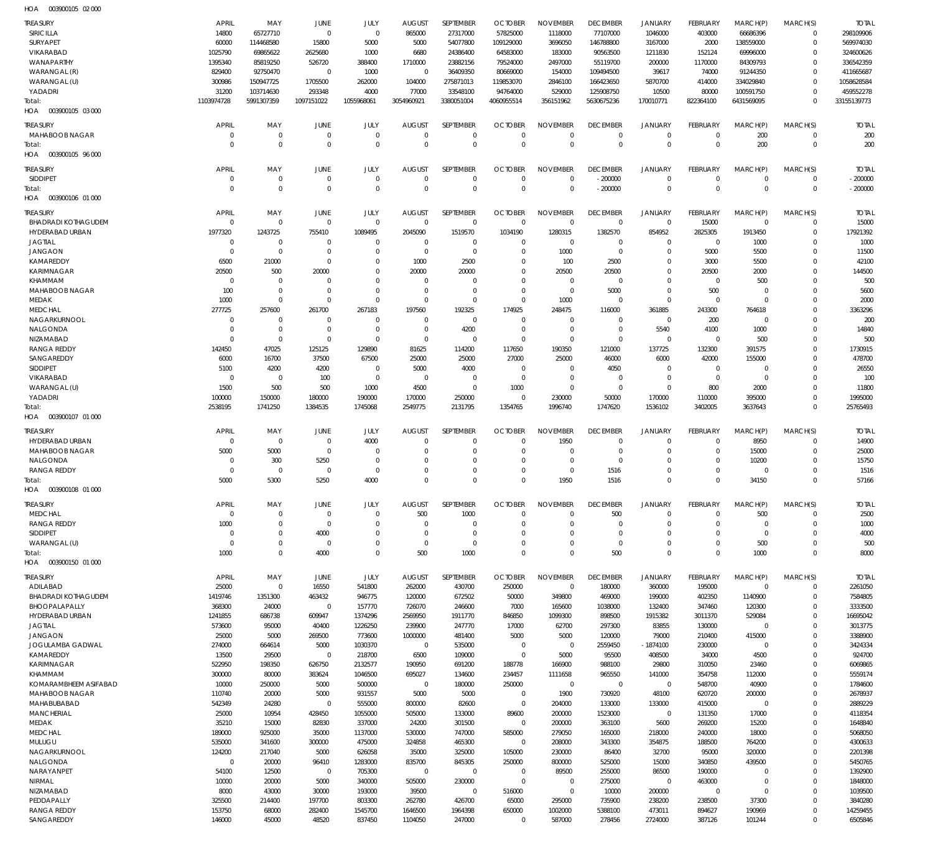003900105 02 000 HOA

| <b>TREASURY</b><br><b>SIRICILLA</b>             | <b>APRIL</b><br>14800      | MAY<br>65727710            | JUNE<br>$\Omega$           | JULY<br>$\Omega$           | <b>AUGUST</b><br>865000   | SEPTEMBER<br>27317000  | <b>OCTOBER</b><br>57825000 | <b>NOVEMBER</b><br>1118000 | <b>DECEMBER</b><br>77107000 | <b>JANUARY</b><br>1046000     | <b>FEBRUARY</b><br>403000      | MARCH(P)<br>66686396    | MARCH(S)<br>$\Omega$    | <b>TOTAL</b><br>298109906 |
|-------------------------------------------------|----------------------------|----------------------------|----------------------------|----------------------------|---------------------------|------------------------|----------------------------|----------------------------|-----------------------------|-------------------------------|--------------------------------|-------------------------|-------------------------|---------------------------|
| <b>SURYAPET</b>                                 | 60000                      | 114468580                  | 15800                      | 5000                       | 5000                      | 54077800               | 109129000                  | 3696050                    | 146788800                   | 3167000                       | 2000                           | 138559000               | $\mathbf 0$             | 569974030                 |
| VIKARABAD                                       | 1025790                    | 69865622                   | 2625680                    | 1000                       | 6680                      | 24386400               | 64583000                   | 183000                     | 90563500                    | 1211830                       | 152124                         | 69996000                | $\Omega$                | 324600626                 |
| WANAPARTHY                                      | 1395340                    | 85819250                   | 526720                     | 388400                     | 1710000                   | 23882156               | 79524000                   | 2497000                    | 55119700                    | 200000                        | 1170000                        | 84309793                | $\Omega$                | 336542359                 |
| WARANGAL (R)                                    | 829400                     | 92750470                   | $\Omega$                   | 1000                       | $\Omega$                  | 36409350               | 80669000                   | 154000                     | 109494500                   | 39617                         | 74000                          | 91244350                | $\Omega$                | 411665687                 |
| WARANGAL (U)                                    | 300986                     | 150947725                  | 1705500                    | 262000                     | 104000                    | 275871013              | 119853070                  | 2846100                    | 166423650                   | 5870700                       | 414000                         | 334029840               | $\Omega$                | 1058628584                |
| YADADRI<br>Total:                               | 31200<br>1103974728        | 103714630<br>5991307359    | 293348<br>1097151022       | 4000<br>1055968061         | 77000<br>3054960921       | 33548100<br>3380051004 | 94764000<br>4060955514     | 529000<br>356151962        | 125908750<br>5630675236     | 10500<br>170010771            | 80000<br>822364100             | 100591750<br>6431569095 | $\Omega$<br>$\Omega$    | 459552278<br>33155139773  |
| HOA   003900105  03  000                        |                            |                            |                            |                            |                           |                        |                            |                            |                             |                               |                                |                         |                         |                           |
|                                                 | <b>APRIL</b>               |                            |                            |                            |                           | <b>SEPTEMBER</b>       |                            | <b>NOVEMBER</b>            | <b>DECEMBER</b>             |                               |                                |                         |                         |                           |
| <b>TREASURY</b><br>MAHABOOB NAGAR               | $\mathbf 0$                | MAY<br>$\overline{0}$      | <b>JUNE</b><br>$\Omega$    | JULY<br>$\overline{0}$     | <b>AUGUST</b><br>$\Omega$ | $\Omega$               | <b>OCTOBER</b><br>$\Omega$ | $\Omega$                   | $\overline{0}$              | <b>JANUARY</b><br>$\mathbf 0$ | <b>FEBRUARY</b><br>$\mathbf 0$ | MARCH(P)<br>200         | MARCH(S)<br>$\mathbf 0$ | <b>TOTAL</b><br>200       |
| Total:                                          | $\Omega$                   | $\Omega$                   | $\Omega$                   | $\Omega$                   | $\Omega$                  | $\Omega$               | $\Omega$                   | $\Omega$                   | $\Omega$                    | $\mathbf 0$                   | $\Omega$                       | 200                     | $\mathbf 0$             | 200                       |
| 003900105 96 000<br>HOA                         |                            |                            |                            |                            |                           |                        |                            |                            |                             |                               |                                |                         |                         |                           |
| <b>TREASURY</b>                                 | <b>APRIL</b>               | MAY                        | <b>JUNE</b>                | JULY                       | <b>AUGUST</b>             | SEPTEMBER              | <b>OCTOBER</b>             | <b>NOVEMBER</b>            | <b>DECEMBER</b>             | <b>JANUARY</b>                | <b>FEBRUARY</b>                | MARCH(P)                | MARCH(S)                | <b>TOTAL</b>              |
| SIDDIPET                                        | $\mathbf 0$                | $\overline{0}$             | $\Omega$                   | $\overline{0}$             | $\Omega$                  | $\Omega$               | $\Omega$                   | $\Omega$                   | $-200000$                   | $\mathbf 0$                   | $\Omega$                       | $\mathbf 0$             | $\Omega$                | $-200000$                 |
| Total:                                          | $\Omega$                   | $\Omega$                   | $\Omega$                   | $\Omega$                   | $\Omega$                  | $\Omega$               | $\Omega$                   | $\Omega$                   | $-200000$                   | $\mathbf{0}$                  | $\Omega$                       | $\Omega$                | $\Omega$                | $-200000$                 |
| 003900106 01 000<br>HOA                         |                            |                            |                            |                            |                           |                        |                            |                            |                             |                               |                                |                         |                         |                           |
| <b>TREASURY</b>                                 | <b>APRIL</b>               | MAY                        | <b>JUNE</b>                | JULY                       | <b>AUGUST</b>             | SEPTEMBER              | <b>OCTOBER</b>             | <b>NOVEMBER</b>            | <b>DECEMBER</b>             | <b>JANUARY</b>                | <b>FEBRUARY</b>                | MARCH(P)                | MARCH(S)                | <b>TOTAL</b>              |
| <b>BHADRADI KOTHAGUDEM</b>                      | $\mathbf 0$                | $\overline{0}$             | $\Omega$                   | $\Omega$                   | $\Omega$                  | $\Omega$               | $\overline{0}$             | $\mathbf{0}$               | $\mathbf 0$                 | $\mathbf 0$                   | 15000                          | $\mathbf 0$             | $\mathbf 0$             | 15000                     |
| HYDERABAD URBAN                                 | 1977320                    | 1243725                    | 755410                     | 1089495                    | 2045090                   | 1519570                | 1034190                    | 1280315                    | 1382570                     | 854952                        | 2825305                        | 1913450                 | $\mathbf 0$             | 17921392                  |
| <b>JAGTIAL</b>                                  | $\mathbf 0$<br>$\Omega$    | $\overline{0}$             | $\Omega$                   | $\Omega$                   | $\Omega$                  | $\Omega$               | $\Omega$                   | $\Omega$                   | $\overline{0}$              | $\mathbf 0$                   | $\mathbf 0$                    | 1000                    | $\Omega$                | 1000                      |
| <b>JANGAON</b><br>KAMAREDDY                     | 6500                       | $\overline{0}$<br>21000    | $\Omega$<br>$\Omega$       | $\Omega$<br>$\Omega$       | $\Omega$<br>1000          | $\Omega$<br>2500       | $\Omega$<br>$\Omega$       | 1000<br>100                | $\Omega$<br>2500            | $\mathbf 0$<br>$\mathbf 0$    | 5000<br>3000                   | 5500<br>5500            | $\Omega$<br>$\Omega$    | 11500<br>42100            |
| <b>KARIMNAGAR</b>                               | 20500                      | 500                        | 20000                      | $\Omega$                   | 20000                     | 20000                  | $\Omega$                   | 20500                      | 20500                       | $\mathbf 0$                   | 20500                          | 2000                    | $\Omega$                | 144500                    |
| KHAMMAM                                         | $\Omega$                   | $^{\circ}$                 | $\Omega$                   | $\Omega$                   | $\Omega$                  | $\Omega$               | $\Omega$                   | $\mathbf{0}$               | $\Omega$                    | $\Omega$                      | $\mathbf 0$                    | 500                     | $\Omega$                | 500                       |
| MAHABOOB NAGAR                                  | 100                        | $\overline{0}$             | $\Omega$                   | $\Omega$                   | $\Omega$                  | $\Omega$               | $\Omega$                   | $\mathbf{0}$               | 5000                        | $\mathbf 0$                   | 500                            | $\mathbf 0$             | $\Omega$                | 5600                      |
| MEDAK                                           | 1000                       | $\overline{0}$             | $\Omega$                   | $\Omega$                   | $\Omega$                  | $\Omega$               | $\Omega$                   | 1000                       | $\Omega$                    | $\mathbf 0$                   | $\mathbf 0$                    | $\Omega$                | $\Omega$                | 2000                      |
| <b>MEDCHAL</b>                                  | 277725                     | 257600                     | 261700                     | 267183                     | 197560                    | 192325                 | 174925                     | 248475                     | 116000                      | 361885                        | 243300                         | 764618                  | $\Omega$                | 3363296                   |
| NAGARKURNOOL<br>NALGONDA                        | $\mathbf 0$<br>$\mathbf 0$ | $\Omega$<br>$\overline{0}$ | $\Omega$<br>$\Omega$       | $\Omega$<br>$\overline{0}$ | $\Omega$<br>$\Omega$      | $\Omega$               | $\Omega$<br>$\Omega$       | $\Omega$<br>$\mathbf 0$    | $\Omega$<br>$\overline{0}$  | $\mathbf 0$<br>5540           | 200                            | $\mathbf 0$             | $\Omega$<br>$\Omega$    | 200<br>14840              |
| NIZAMABAD                                       | $\Omega$                   | $\overline{0}$             | $\Omega$                   | $\Omega$                   | $\Omega$                  | 4200<br>$\Omega$       | $\Omega$                   | $\Omega$                   | $\Omega$                    | $\mathbf 0$                   | 4100<br>$\mathbf 0$            | 1000<br>500             | $\Omega$                | 500                       |
| <b>RANGA REDDY</b>                              | 142450                     | 47025                      | 125125                     | 129890                     | 81625                     | 114200                 | 117650                     | 190350                     | 121000                      | 137725                        | 132300                         | 391575                  | $\Omega$                | 1730915                   |
| SANGAREDDY                                      | 6000                       | 16700                      | 37500                      | 67500                      | 25000                     | 25000                  | 27000                      | 25000                      | 46000                       | 6000                          | 42000                          | 155000                  | $\Omega$                | 478700                    |
| <b>SIDDIPET</b>                                 | 5100                       | 4200                       | 4200                       | $\overline{0}$             | 5000                      | 4000                   | $\overline{0}$             | $\mathbf 0$                | 4050                        | $\mathbf 0$                   | $\mathbf 0$                    | $\mathbf 0$             | $\Omega$                | 26550                     |
| VIKARABAD                                       | $\Omega$                   | $\overline{0}$             | 100                        | $\overline{0}$             | $\Omega$                  | $\mathbf 0$            | $\overline{0}$             | $\mathbf 0$                | $\Omega$                    | $\mathbf 0$                   | $\mathbf 0$                    | $\mathbf 0$             | $\Omega$                | 100                       |
| WARANGAL (U)                                    | 1500                       | 500                        | 500                        | 1000                       | 4500                      | $\Omega$               | 1000                       | $\Omega$                   | $\Omega$                    | $\Omega$                      | 800                            | 2000                    | $\Omega$                | 11800                     |
| YADADRI<br>Total:                               | 100000<br>2538195          | 150000<br>1741250          | 180000<br>1384535          | 190000<br>1745068          | 170000<br>2549775         | 250000<br>2131795      | $\Omega$<br>1354765        | 230000<br>1996740          | 50000<br>1747620            | 170000<br>1536102             | 110000<br>3402005              | 395000<br>3637643       | $\Omega$<br>$\Omega$    | 1995000<br>25765493       |
| 003900107 01 000<br>HOA                         |                            |                            |                            |                            |                           |                        |                            |                            |                             |                               |                                |                         |                         |                           |
|                                                 |                            |                            |                            |                            |                           |                        |                            |                            |                             |                               |                                |                         |                         |                           |
|                                                 |                            |                            |                            |                            |                           |                        |                            |                            |                             |                               |                                |                         |                         |                           |
| <b>TREASURY</b>                                 | <b>APRIL</b>               | MAY                        | <b>JUNE</b>                | JULY                       | <b>AUGUST</b>             | SEPTEMBER              | <b>OCTOBER</b>             | <b>NOVEMBER</b>            | <b>DECEMBER</b>             | <b>JANUARY</b>                | <b>FEBRUARY</b>                | MARCH(P)                | MARCH(S)                | <b>TOTAL</b>              |
| <b>HYDERABAD URBAN</b><br><b>MAHABOOB NAGAR</b> | $\Omega$<br>5000           | $\overline{0}$<br>5000     | $\overline{0}$<br>$\Omega$ | 4000<br>$\Omega$           | $\Omega$<br>$\Omega$      | $\Omega$<br>$\Omega$   | $\Omega$<br>$\Omega$       | 1950<br>$\Omega$           | $\mathbf 0$<br>$\Omega$     | $\mathbf 0$<br>$\Omega$       | $\Omega$<br>$\Omega$           | 8950<br>15000           | $\Omega$<br>$\Omega$    | 14900<br>25000            |
| NALGONDA                                        | $\Omega$                   | 300                        | 5250                       | $\Omega$                   | $\Omega$                  | $\Omega$               | $\Omega$                   | $\Omega$                   | $\Omega$                    | $\mathbf 0$                   | $\Omega$                       | 10200                   | $\Omega$                | 15750                     |
| <b>RANGA REDDY</b>                              | $\Omega$                   | $\overline{0}$             | $\Omega$                   | $\Omega$                   | $\Omega$                  | $\Omega$               | $\Omega$                   | $\Omega$                   | 1516                        | $\Omega$                      | $\Omega$                       | $\Omega$                | $\Omega$                | 1516                      |
| Total:                                          | 5000                       | 5300                       | 5250                       | 4000                       | $\Omega$                  | $\Omega$               | $\Omega$                   | 1950                       | 1516                        | $\Omega$                      | $\Omega$                       | 34150                   | $\Omega$                | 57166                     |
| HOA<br>003900108 01 000                         |                            |                            |                            |                            |                           |                        |                            |                            |                             |                               |                                |                         |                         |                           |
| <b>TREASURY</b>                                 | <b>APRIL</b>               | MAY                        | <b>JUNE</b>                | JULY                       | <b>AUGUST</b>             | SEPTEMBER              | <b>OCTOBER</b>             | <b>NOVEMBER</b>            | <b>DECEMBER</b>             | <b>JANUARY</b>                | <b>FEBRUARY</b>                | MARCH(P)                | MARCH(S)                | <b>TOTAL</b>              |
| <b>MEDCHAL</b>                                  | $\mathbf 0$                | $\mathbf 0$                | $\mathbf 0$                | $\Omega$                   | 500                       | 1000                   | $\Omega$                   | $\Omega$                   | 500                         | $\mathbf 0$                   | $\Omega$                       | 500                     | $\mathbf 0$             | 2500                      |
| <b>RANGA REDDY</b>                              | 1000                       | $\mathbb O$                | $\Omega$                   | $\Omega$                   | $\Omega$                  | $\Omega$               | $\Omega$                   | $\Omega$                   | $\Omega$                    | $\mathbf 0$                   | $\Omega$                       | $\mathbf 0$             | $\mathbf 0$             | 1000                      |
| <b>SIDDIPET</b>                                 | $\mathbf 0$                | $\mathbf 0$                | 4000                       | $\Omega$<br>$\Omega$       | $\Omega$<br>$\Omega$      | $\Omega$<br>$\Omega$   | $\Omega$<br>$\Omega$       | $\Omega$<br>$\Omega$       | $\Omega$                    | $\mathbf 0$                   | $\Omega$<br>$\Omega$           | $\mathbf 0$             | $\Omega$<br>$\Omega$    | 4000                      |
| WARANGAL (U)<br>Total:                          | $\mathbf 0$<br>1000        | $\mathbb O$<br>$\mathbb O$ | $\overline{0}$<br>4000     | $\Omega$                   | 500                       | 1000                   | $\Omega$                   | $\Omega$                   | $\mathbf 0$<br>500          | $\mathbf 0$<br>$\mathbf 0$    | $\Omega$                       | 500<br>1000             | $\Omega$                | 500<br>8000               |
| HOA  003900150  01 000                          |                            |                            |                            |                            |                           |                        |                            |                            |                             |                               |                                |                         |                         |                           |
|                                                 | <b>APRIL</b>               |                            |                            |                            |                           | SEPTEMBER              | <b>OCTOBER</b>             | <b>NOVEMBER</b>            |                             |                               |                                |                         |                         | <b>TOTAL</b>              |
| <b>TREASURY</b><br><b>ADILABAD</b>              | 25000                      | MAY<br>$\overline{0}$      | JUNE<br>16550              | JULY<br>541800             | <b>AUGUST</b><br>262000   | 430700                 | 250000                     | $\mathbf 0$                | <b>DECEMBER</b><br>180000   | JANUARY<br>360000             | <b>FEBRUARY</b><br>195000      | MARCH(P)<br>$\Omega$    | MARCH(S)<br>$\Omega$    | 2261050                   |
| <b>BHADRADI KOTHAGUDEM</b>                      | 1419746                    | 1351300                    | 463432                     | 946775                     | 120000                    | 672502                 | 50000                      | 349800                     | 469000                      | 199000                        | 402350                         | 1140900                 | $\mathbf 0$             | 7584805                   |
| BHOOPALAPALLY                                   | 368300                     | 24000                      | $^{\circ}$                 | 157770                     | 726070                    | 246600                 | 7000                       | 165600                     | 1038000                     | 132400                        | 347460                         | 120300                  | $\Omega$                | 3333500                   |
| HYDERABAD URBAN                                 | 1241855                    | 686738                     | 609947                     | 1374296                    | 2569950                   | 1911770                | 846850                     | 1099300                    | 898500                      | 1915382                       | 3011370                        | 529084                  | $\Omega$                | 16695042                  |
| <b>JAGTIAL</b>                                  | 573600                     | 95000                      | 40400                      | 1226250                    | 239900                    | 247770                 | 17000                      | 62700                      | 297300                      | 83855                         | 130000                         | $\Omega$                | $\Omega$                | 3013775                   |
| <b>JANGAON</b>                                  | 25000                      | 5000                       | 269500                     | 773600                     | 1000000<br>$\mathbf 0$    | 481400                 | 5000<br>$\overline{0}$     | 5000                       | 120000                      | 79000                         | 210400                         | 415000<br>$\Omega$      | $\Omega$<br>$\Omega$    | 3388900                   |
| JOGULAMBA GADWAL<br>KAMAREDDY                   | 274000<br>13500            | 664614<br>29500            | 5000<br>$\Omega$           | 1030370<br>218700          | 6500                      | 535000<br>109000       | $\Omega$                   | $\mathbf 0$<br>5000        | 2559450<br>95500            | $-1874100$<br>408500          | 230000<br>34000                | 4500                    | $\Omega$                | 3424334<br>924700         |
| KARIMNAGAR                                      | 522950                     | 198350                     | 626750                     | 2132577                    | 190950                    | 691200                 | 188778                     | 166900                     | 988100                      | 29800                         | 310050                         | 23460                   | $\Omega$                | 6069865                   |
| <b>KHAMMAM</b>                                  | 300000                     | 80000                      | 383624                     | 1046500                    | 695027                    | 134600                 | 234457                     | 1111658                    | 965550                      | 141000                        | 354758                         | 112000                  | $\Omega$                | 5559174                   |
| KOMARAMBHEEM ASIFABAD                           | 10000                      | 250000                     | 5000                       | 500000                     | $\mathbf 0$               | 180000                 | 250000                     | $\mathbf 0$                | $\mathbf 0$                 | $\mathbf 0$                   | 548700                         | 40900                   | $\Omega$                | 1784600                   |
| <b>MAHABOOB NAGAR</b>                           | 110740                     | 20000                      | 5000                       | 931557                     | 5000                      | 5000                   | $\overline{0}$             | 1900                       | 730920                      | 48100                         | 620720                         | 200000                  | $\Omega$                | 2678937                   |
| MAHABUBABAD                                     | 542349                     | 24280                      | $\overline{0}$             | 555000                     | 800000                    | 82600                  | $\mathbf 0$                | 204000                     | 133000                      | 133000                        | 415000                         | $\mathbf 0$             | $\Omega$                | 2889229                   |
| <b>MANCHERIAL</b><br>MEDAK                      | 25000<br>35210             | 10954<br>15000             | 428450<br>82830            | 1055000<br>337000          | 505000<br>24200           | 133000<br>301500       | 89600<br>$\overline{0}$    | 200000<br>200000           | 1523000<br>363100           | $\mathbf 0$<br>5600           | 131350                         | 17000                   | $\Omega$<br>$\Omega$    | 4118354<br>1648840        |
| <b>MEDCHAL</b>                                  | 189000                     | 925000                     | 35000                      | 1137000                    | 530000                    | 747000                 | 585000                     | 279050                     | 165000                      | 218000                        | 269200<br>240000               | 15200<br>18000          | $\Omega$                | 5068050                   |
| MULUGU                                          | 535000                     | 341600                     | 300000                     | 475000                     | 324858                    | 465300                 | $\overline{0}$             | 208000                     | 343300                      | 354875                        | 188500                         | 764200                  | $\Omega$                | 4300633                   |
| NAGARKURNOOL                                    | 124200                     | 217040                     | 5000                       | 626058                     | 35000                     | 325000                 | 105000                     | 230000                     | 86400                       | 32700                         | 95000                          | 320000                  | $\Omega$                | 2201398                   |
| NALGONDA                                        | $\mathbf 0$                | 20000                      | 96410                      | 1283000                    | 835700                    | 845305                 | 250000                     | 800000                     | 525000                      | 15000                         | 340850                         | 439500                  | $\Omega$                | 5450765                   |
| NARAYANPET                                      | 54100                      | 12500                      | $\overline{0}$             | 705300                     | $\mathbf 0$               | $\overline{0}$         | $\overline{0}$             | 89500                      | 255000                      | 86500                         | 190000                         | $\Omega$                | $\Omega$                | 1392900                   |
| <b>NIRMAL</b><br>NIZAMABAD                      | 10000<br>8000              | 20000<br>43000             | 5000<br>30000              | 340000                     | 505000                    | 230000<br>$\Omega$     | $\overline{0}$             | $\Omega$<br>$\mathbf 0$    | 275000                      | $\mathbf 0$<br>200000         | 463000<br>$\mathbf 0$          | $\Omega$<br>$\Omega$    | $\Omega$<br>$\Omega$    | 1848000<br>1039500        |
| PEDDAPALLY                                      | 325500                     | 214400                     | 197700                     | 193000<br>803300           | 39500<br>262780           | 426700                 | 516000<br>65000            | 295000                     | 10000<br>735900             | 238200                        | 238500                         | 37300                   | $\Omega$                | 3840280                   |
| <b>RANGA REDDY</b><br>SANGAREDDY                | 153750<br>146000           | 68000<br>45000             | 282400<br>48520            | 1545700<br>837450          | 1646500<br>1104050        | 1964398<br>247000      | 650000<br>$\Omega$         | 1002000<br>587000          | 5388100<br>278456           | 473011<br>2724000             | 894627<br>387126               | 190969<br>101244        | $\Omega$<br>$\Omega$    | 14259455<br>6505846       |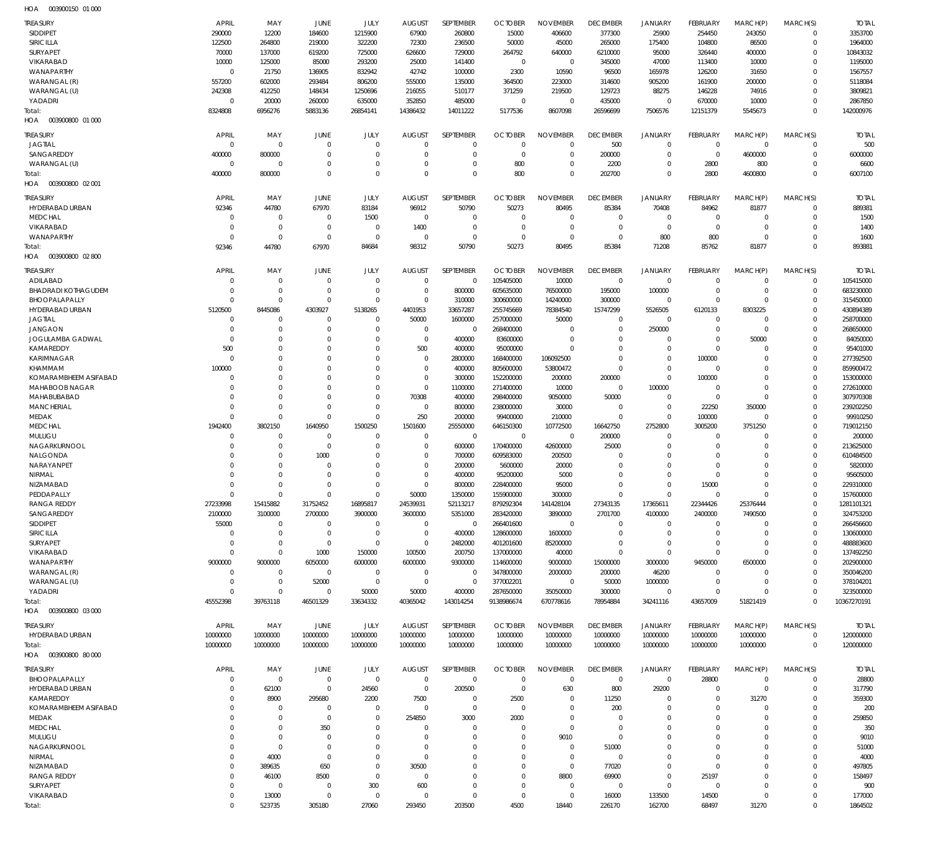| HOA<br>003900150 01 000    |              |                 |             |                      |               |                  |                |                      |                 |                  |                 |             |             |                   |
|----------------------------|--------------|-----------------|-------------|----------------------|---------------|------------------|----------------|----------------------|-----------------|------------------|-----------------|-------------|-------------|-------------------|
| <b>TREASURY</b>            | APRIL        | MAY             | JUNE        | JULY                 | <b>AUGUST</b> | SEPTEMBER        | <b>OCTOBER</b> | <b>NOVEMBER</b>      | <b>DECEMBER</b> | <b>JANUARY</b>   | FEBRUARY        | MARCH(P)    | MARCH(S)    | <b>TOTAL</b>      |
| <b>SIDDIPET</b>            | 290000       | 12200           | 184600      | 1215900              | 67900         | 260800           | 15000          | 406600               | 377300          | 25900            | 254450          | 243050      | $\mathbf 0$ | 3353700           |
| <b>SIRICILLA</b>           | 122500       | 264800          | 219000      | 322200               | 72300         | 236500           | 50000          | 45000                | 265000          | 175400           | 104800          | 86500       | $\mathbf 0$ | 1964000           |
| <b>SURYAPET</b>            | 70000        | 137000          | 619200      | 725000               | 626600        | 729000           | 264792         | 640000               | 6210000         | 95000            | 326440          | 400000      | $\mathbf 0$ | 10843032          |
| <b>VIKARABAD</b>           | 10000        | 125000          | 85000       | 293200               | 25000         | 141400           | $\mathbf 0$    | $\mathbf 0$          | 345000          | 47000            | 113400          | 10000       | $\mathbf 0$ | 1195000           |
| WANAPARTHY                 | $\mathbf 0$  | 21750           | 136905      | 832942               | 42742         | 100000           | 2300           | 10590                | 96500           | 165978           | 126200          | 31650       | 0           | 1567557           |
|                            |              |                 |             |                      |               |                  |                |                      |                 |                  |                 |             |             |                   |
| WARANGAL (R)               | 557200       | 602000          | 293484      | 806200               | 555000        | 135000           | 364500         | 223000               | 314600          | 905200           | 161900          | 200000      | $\Omega$    | 5118084           |
| WARANGAL (U)               | 242308       | 412250          | 148434      | 1250696              | 216055        | 510177           | 371259         | 219500               | 129723          | 88275            | 146228          | 74916       | $\mathbf 0$ | 3809821           |
| YADADRI                    | $\mathbf 0$  | 20000           | 260000      | 635000               | 352850        | 485000           | 0              | $\Omega$             | 435000          | $\mathbf 0$      | 670000          | 10000       | $\mathbf 0$ | 2867850           |
| Total:                     | 8324808      | 6956276         | 5883136     | 26854141             | 14386432      | 14011222         | 5177536        | 8607098              | 26596699        | 7506576          | 12151379        | 5545673     | $\mathbf 0$ | 142000976         |
| HOA  003900800  01  000    |              |                 |             |                      |               |                  |                |                      |                 |                  |                 |             |             |                   |
| <b>TREASURY</b>            | APRIL        | MAY             | JUNE        | JULY                 | <b>AUGUST</b> | SEPTEMBER        | <b>OCTOBER</b> | <b>NOVEMBER</b>      | <b>DECEMBER</b> | <b>JANUARY</b>   | FEBRUARY        | MARCH(P)    | MARCH(S)    | <b>TOTAL</b>      |
|                            |              |                 |             |                      |               |                  |                |                      |                 |                  |                 |             |             |                   |
| <b>JAGTIAL</b>             | $\mathbf 0$  | $\mathbf 0$     | $\mathbf 0$ | $\mathbf 0$          | $\mathbf 0$   | $\mathbf 0$      | 0              | $\mathbf 0$          | 500             | $\mathbf 0$      | $\mathbf 0$     | $\mathbf 0$ | $\mathbf 0$ | 500               |
| SANGAREDDY                 | 400000       | 800000          | $\mathbf 0$ | $\mathbf 0$          | $\Omega$      | $\mathbf 0$      | $\mathbf 0$    | $\mathbf 0$          | 200000          | $\mathbf 0$      | $\overline{0}$  | 4600000     | $\mathbf 0$ | 6000000           |
| WARANGAL (U)               | $\mathbf 0$  | $\mathbf 0$     | $\Omega$    | $\mathbf 0$          | $\Omega$      | $\mathbf 0$      | 800            | $\mathbf 0$          | 2200            | $\mathbf 0$      | 2800            | 800         | $\mathbf 0$ | 6600              |
| Total:                     | 400000       | 800000          | $\Omega$    | $\mathbf 0$          | $\Omega$      | $\mathbf 0$      | 800            | $\mathbf 0$          | 202700          | $\mathbf 0$      | 2800            | 4600800     | $\mathbf 0$ | 6007100           |
| HOA  003900800  02  001    |              |                 |             |                      |               |                  |                |                      |                 |                  |                 |             |             |                   |
| <b>TREASURY</b>            | APRIL        | MAY             | JUNE        | <b>JULY</b>          | <b>AUGUST</b> | SEPTEMBER        | <b>OCTOBER</b> | <b>NOVEMBER</b>      | <b>DECEMBER</b> | <b>JANUARY</b>   | FEBRUARY        | MARCH(P)    | MARCH(S)    | <b>TOTAL</b>      |
| HYDERABAD URBAN            | 92346        | 44780           | 67970       | 83184                | 96912         | 50790            | 50273          | 80495                | 85384           | 70408            | 84962           | 81877       | $\mathbf 0$ | 889381            |
|                            |              |                 |             |                      |               |                  |                |                      |                 |                  |                 |             |             |                   |
| <b>MEDCHAL</b>             | $\Omega$     | $\mathbf 0$     | $\mathbf 0$ | 1500                 | 0             | $\mathbf 0$      | 0              | $\mathbf 0$          | $\mathbf 0$     | $\mathbf 0$      | $\mathbf 0$     | $\mathbf 0$ | $\mathbf 0$ | 1500              |
| VIKARABAD                  | $\Omega$     | $\mathbf 0$     | $\mathbf 0$ | $\mathbf 0$          | 1400          | $\mathbf 0$      | $\mathbf 0$    | $\mathbf 0$          | $\mathbf 0$     | $\mathbf 0$      | $\mathbf 0$     | $\mathbf 0$ | $\mathbf 0$ | 1400              |
| WANAPARTHY                 | $\Omega$     | $\mathbf 0$     | $\mathbf 0$ | $\mathbf 0$          | 0             | $\mathbf 0$      | $\mathbf 0$    | $\mathbf 0$          | $\mathbf 0$     | 800              | 800             | $\mathbf 0$ | $\mathbf 0$ | 1600              |
| Total:                     | 92346        | 44780           | 67970       | 84684                | 98312         | 50790            | 50273          | 80495                | 85384           | 71208            | 85762           | 81877       | $\Omega$    | 893881            |
| HOA  003900800  02 800     |              |                 |             |                      |               |                  |                |                      |                 |                  |                 |             |             |                   |
|                            |              |                 |             |                      |               | <b>SEPTEMBER</b> |                |                      |                 |                  |                 |             |             |                   |
| <b>TREASURY</b>            | <b>APRIL</b> | MAY             | JUNE        | JULY                 | <b>AUGUST</b> |                  | <b>OCTOBER</b> | <b>NOVEMBER</b>      | <b>DECEMBER</b> | <b>JANUARY</b>   | FEBRUARY        | MARCH(P)    | MARCH(S)    | <b>TOTAL</b>      |
| ADILABAD                   | $\mathbf 0$  | $\mathbf 0$     | $\mathbf 0$ | $\mathbf 0$          | $\mathbf 0$   | $\mathbf 0$      | 105405000      | 10000                | $\mathbf 0$     | $\mathbf 0$      | $^{\circ}$      | $^{\circ}$  | $\mathbf 0$ | 105415000         |
| <b>BHADRADI KOTHAGUDEM</b> | 0            | $\mathbf 0$     | $\mathbf 0$ | $\mathbf 0$          | 0             | 800000           | 605635000      | 76500000             | 195000          | 100000           | $\mathbf 0$     | $\mathbf 0$ | $\mathbf 0$ | 683230000         |
| BHOOPALAPALLY              | $\mathbf 0$  | $\mathbf 0$     | $\Omega$    | $\mathbf 0$          | $\mathbf 0$   | 310000           | 300600000      | 14240000             | 300000          | $\mathbf 0$      | $\mathbf 0$     | $\mathbf 0$ | $\mathbf 0$ | 315450000         |
| HYDERABAD URBAN            | 5120500      | 8445086         | 4303927     | 5138265              | 4401953       | 33657287         | 255745669      | 78384540             | 15747299        | 5526505          | 6120133         | 8303225     | $\mathbf 0$ | 430894389         |
| <b>JAGTIAL</b>             | $\mathbf 0$  | $\mathbf 0$     | O           | $\mathbf 0$          | 50000         | 1600000          | 257000000      | 50000                | $\mathbf 0$     | $\mathbf 0$      | $^{\circ}$      | $\mathbf 0$ | $\mathbf 0$ | 258700000         |
| <b>JANGAON</b>             | 0            | $\mathbf 0$     | $\mathbf 0$ | $\mathbf 0$          | $\mathbf 0$   | $\mathbf 0$      | 268400000      | $\mathbf 0$          | $\mathbf 0$     | 250000           | $\mathbf 0$     | $\mathbf 0$ | $\mathbf 0$ | 268650000         |
| <b>JOGULAMBA GADWAL</b>    | $\mathbf 0$  | $\mathbf 0$     | $\Omega$    | $\Omega$             | $\mathbf 0$   | 400000           | 83600000       | $\mathbf 0$          | $\mathbf 0$     | $\mathbf 0$      | $\mathbf 0$     | 50000       | $\mathbf 0$ | 84050000          |
| KAMAREDDY                  | 500          | $\mathbf 0$     | $\Omega$    | $\Omega$             | 500           | 400000           | 95000000       | $\mathbf 0$          | $\mathbf 0$     | $\mathbf 0$      | $\overline{0}$  | $\mathbf 0$ | $\mathbf 0$ | 95401000          |
| KARIMNAGAR                 | $\mathbf 0$  | $\mathbf 0$     | $\Omega$    | $\Omega$             | $\mathbf 0$   | 2800000          | 168400000      | 106092500            | $\mathbf 0$     | $\mathbf 0$      | 100000          | $\mathbf 0$ | $\mathbf 0$ | 277392500         |
| KHAMMAM                    | 100000       | $\mathbf 0$     | $\Omega$    | $\Omega$             | $\mathbf 0$   | 400000           | 805600000      | 53800472             | $\overline{0}$  | $\mathbf 0$      | $\mathbf 0$     | $\mathbf 0$ | $\mathbf 0$ | 859900472         |
| KOMARAMBHEEM ASIFABAD      | 0            | $\mathbf 0$     | $\Omega$    | $\mathbf 0$          | $\mathbf 0$   | 300000           | 152200000      | 200000               | 200000          | $\mathbf 0$      | 100000          | $\mathbf 0$ | $\mathbf 0$ | 153000000         |
| MAHABOOB NAGAR             | $\Omega$     | $\mathbf 0$     | $\Omega$    | $\Omega$             | $\mathbf 0$   | 1100000          | 271400000      | 10000                | $\mathbf 0$     | 100000           | $\mathbf 0$     | $\mathbf 0$ | $\mathbf 0$ | 272610000         |
| MAHABUBABAD                | $\Omega$     | $\mathbf 0$     | $\Omega$    | $\mathbf 0$          | 70308         | 400000           | 298400000      | 9050000              | 50000           | $\mathbf 0$      | $\overline{0}$  | $\mathbf 0$ | $\mathbf 0$ | 307970308         |
| <b>MANCHERIAL</b>          | $\Omega$     | $\mathbf 0$     | $\Omega$    | $\mathbf 0$          | $\mathbf 0$   |                  |                | 30000                | $\mathbf 0$     | $\mathbf 0$      |                 |             | $\mathbf 0$ |                   |
|                            |              |                 |             |                      |               | 800000           | 238000000      |                      |                 |                  | 22250           | 350000      |             | 239202250         |
| <b>MEDAK</b>               | $\Omega$     | $\mathbf 0$     | $\Omega$    | $\mathbf 0$          | 250           | 200000           | 99400000       | 210000               | $\mathbf 0$     | $\mathbf 0$      | 100000          | $\mathbf 0$ | $\mathbf 0$ | 99910250          |
| <b>MEDCHAL</b>             | 1942400      | 3802150         | 1640950     | 1500250              | 1501600       | 25550000         | 646150300      | 10772500             | 16642750        | 2752800          | 3005200         | 3751250     | $\mathbf 0$ | 719012150         |
| MULUGU                     | $\mathbf 0$  | $\mathbf 0$     | O           | $\mathbf 0$          | $\mathbf 0$   | $\mathbf 0$      | - 0            | $\mathbf 0$          | 200000          | $\mathbf 0$      | $^{\circ}$      | $\mathbf 0$ | $\mathbf 0$ | 200000            |
| NAGARKURNOOL               | $\Omega$     | $\mathbf 0$     | $\mathbf 0$ | $\mathbf 0$          | $\mathbf 0$   | 600000           | 170400000      | 42600000             | 25000           | $\mathbf 0$      | $^{\circ}$      | $\mathbf 0$ | $\mathbf 0$ | 213625000         |
| NALGONDA                   | $\Omega$     | $\mathbf 0$     | 1000        | $\mathbf 0$          | $\mathbf 0$   | 700000           | 609583000      | 200500               | 0               | $\mathbf 0$      | $\mathbf 0$     | $\mathbf 0$ | $\mathbf 0$ | 610484500         |
| NARAYANPET                 | $\Omega$     | $\mathbf 0$     | $\mathbf 0$ | $\Omega$             | $\Omega$      | 200000           | 5600000        | 20000                | 0               | $\mathbf 0$      | $\mathbf 0$     | $\mathbf 0$ | $\mathbf 0$ | 5820000           |
| NIRMAL                     | $\Omega$     | $\mathbf 0$     | $\Omega$    | $\mathbf 0$          | $\mathbf 0$   | 400000           | 95200000       | 5000                 | 0               | $\mathbf 0$      | $\mathbf 0$     | $\mathbf 0$ | $\mathbf 0$ | 95605000          |
| NIZAMABAD                  | $\Omega$     | $\mathbf 0$     | $\Omega$    | $\Omega$             | $\Omega$      | 800000           | 228400000      | 95000                | $\Omega$        | $\mathbf 0$      | 15000           | $\mathbf 0$ | $\mathbf 0$ | 229310000         |
| PEDDAPALLY                 | 0            | $\mathbf 0$     | 0           | $\mathbf 0$          | 50000         | 1350000          | 155900000      | 300000               | 0               | $\mathbf 0$      | 0               | $\Omega$    | 0           | 157600000         |
| <b>RANGA REDDY</b>         | 27233998     | 15415882        | 31752452    | 16895817             | 24539931      | 52113217         | 879292304      | 141428104            | 27343135        | 17365611         | 22344426        | 25376444    | $\mathbf 0$ | 1281101321        |
| SANGAREDDY                 | 2100000      | 3100000         | 2700000     | 3900000              | 3600000       | 5351000          | 283420000      | 3890000              | 2701700         | 4100000          | 2400000         | 7490500     | $\mathbf 0$ | 324753200         |
| <b>SIDDIPET</b>            | 55000        | $\mathbf 0$     | $\mathbf 0$ | $\mathbf 0$          | $\mathbf 0$   | $\mathbf 0$      | 266401600      | $\mathbf 0$          | $\mathbf 0$     | $\mathbf 0$      | $\mathbf 0$     | $\mathbf 0$ | $\mathbf 0$ | 266456600         |
| SIRICILLA                  | $\mathbf 0$  | $\mathbf 0$     | $\mathbf 0$ | $\mathbf 0$          | $\mathbf 0$   | 400000           | 128600000      | 1600000              | $\mathbf 0$     | $\mathbf 0$      | $\mathbf 0$     | $\mathbf 0$ | $\mathbf 0$ | 130600000         |
|                            |              | $\mathbf 0$     | $\mathbf 0$ | $\mathbf 0$          | $\mathbf 0$   |                  |                |                      | $\mathbf 0$     | $\mathbf 0$      | $\mathbf 0$     | $\mathbf 0$ | $\mathbf 0$ | 488883600         |
| SURYAPET                   | 0            |                 |             |                      |               | 2482000          | 401201600      | 85200000             |                 |                  |                 |             |             |                   |
| VIKARABAD                  | $\mathbf 0$  | $\mathbf 0$     | 1000        | 150000               | 100500        | 200750           | 137000000      | 40000                | $\mathbf 0$     | $\mathbf 0$      | $\mathbf 0$     | $\mathbf 0$ | $\mathbf 0$ | 137492250         |
| WANAPARTHY                 | 9000000      | 9000000         | 6050000     | 6000000              | 6000000       | 9300000          | 114600000      | 9000000              | 15000000        | 3000000          | 9450000         | 6500000     | $\mathbf 0$ | 202900000         |
| WARANGAL (R)               | $\mathbf 0$  | 0               | $\mathbf 0$ | $\mathbf 0$          | $\mathbf 0$   | $\mathbf 0$      | 347800000      | 2000000              | 200000          | 46200            | $^{\circ}$      | 0           | $\mathbf 0$ | 350046200         |
| WARANGAL (U)               | $\mathbf 0$  | $\mathbf 0$     | 52000       | $\mathbf 0$          | $\mathbf 0$   | $\mathbf 0$      | 377002201      | $\mathbf 0$          | 50000           | 1000000          | $\overline{0}$  | $\mathbf 0$ | $\Omega$    | 378104201         |
| YADADRI                    | $\Omega$     | $\mathbf 0$     | $\mathbf 0$ | 50000                | 50000         | 400000           | 287650000      | 35050000             | 300000          | $\mathbf 0$      | $\mathbf 0$     | $\mathbf 0$ | $\mathbf 0$ | 323500000         |
| Total:                     | 45552398     | 39763118        | 46501329    | 33634332             | 40365042      | 143014254        | 9138986674     | 670778616            | 78954884        | 34241116         | 43657009        | 51821419    | $\mathbf 0$ | 10367270191       |
| HOA  003900800  03  000    |              |                 |             |                      |               |                  |                |                      |                 |                  |                 |             |             |                   |
| <b>TREASURY</b>            | APRIL        | MAY             | JUNE        | JULY                 | <b>AUGUST</b> | SEPTEMBER        | <b>OCTOBER</b> | <b>NOVEMBER</b>      | <b>DECEMBER</b> | <b>JANUARY</b>   | <b>FEBRUARY</b> | MARCH(P)    | MARCH(S)    | <b>TOTAL</b>      |
|                            |              |                 |             |                      |               |                  |                |                      |                 |                  |                 |             |             |                   |
| HYDERABAD URBAN            | 10000000     | 10000000        | 10000000    | 10000000             | 10000000      | 10000000         | 10000000       | 10000000             | 10000000        | 10000000         | 10000000        | 10000000    | $\mathbf 0$ | 120000000         |
| Total:                     | 10000000     | 10000000        | 10000000    | 10000000             | 10000000      | 10000000         | 10000000       | 10000000             | 10000000        | 10000000         | 10000000        | 10000000    | $\mathbf 0$ | 120000000         |
| HOA  003900800  80 000     |              |                 |             |                      |               |                  |                |                      |                 |                  |                 |             |             |                   |
| <b>TREASURY</b>            | <b>APRIL</b> | MAY             | JUNE        | JULY                 | <b>AUGUST</b> | SEPTEMBER        | <b>OCTOBER</b> | <b>NOVEMBER</b>      | <b>DECEMBER</b> | <b>JANUARY</b>   | FEBRUARY        | MARCH(P)    | MARCH(S)    | <b>TOTAL</b>      |
| BHOOPALAPALLY              | $\mathbf 0$  | $\mathbf 0$     | $\mathbf 0$ | $\mathbf 0$          | $\mathbf 0$   | $\mathbf 0$      | $\mathbf 0$    | $\mathbf 0$          | $\mathbf 0$     | $\mathbf 0$      | 28800           | $\mathbf 0$ | $\mathbf 0$ | 28800             |
| HYDERABAD URBAN            | -0           | 62100           | $\mathbf 0$ | 24560                | $\mathbf 0$   | 200500           | $\mathbf 0$    | 630                  | 800             | 29200            | $\mathbf 0$     | $\mathbf 0$ | $\mathbf 0$ | 317790            |
| KAMAREDDY                  | -0           | 8900            | 295680      | 2200                 | 7500          | $\mathbf 0$      | 2500           | $\mathbf 0$          | 11250           | $\mathbf 0$      | $\mathbf 0$     | 31270       | 0           | 359300            |
|                            |              |                 |             |                      |               |                  |                |                      |                 | $\mathbf 0$      |                 |             |             |                   |
| KOMARAMBHEEM ASIFABAD      | $\Omega$     | $\mathbf 0$     | 0           | $\mathbf 0$          | $\mathbf 0$   | $\mathbf 0$      | $\mathbf 0$    | $\mathbf 0$          | 200             |                  | $\mathbf 0$     | $\mathbf 0$ | $\mathbf 0$ | 200               |
| MEDAK                      | $\Omega$     | $\mathbf 0$     | $\mathbf 0$ | $\mathbf 0$          | 254850        | 3000             | 2000           | $\mathbf 0$          | -0              | $\mathbf 0$      | $^{\circ}$      | $\mathbf 0$ | $\mathbf 0$ | 259850            |
| <b>MEDCHAL</b>             | $\Omega$     | $\mathbf 0$     | 350         | $\mathbf 0$          | $\Omega$      | $\mathbf 0$      | $\mathbf 0$    | $\mathbf 0$          | 0               | $\mathbf 0$      | $\Omega$        | $\Omega$    | $\mathbf 0$ | 350               |
| MULUGU                     | -0           | $\mathbf 0$     | $\mathbf 0$ | $\mathbf 0$          | $\Omega$      | $\mathbf 0$      | $\mathbf 0$    | 9010                 | $\mathbf 0$     | $\mathbf 0$      | $\Omega$        | $\mathbf 0$ | $\mathbf 0$ | 9010              |
| NAGARKURNOOL               | $\Omega$     | $\mathbf 0$     | 0           | $\mathbf 0$          | 0             | $\mathbf 0$      | 0              | $\mathbf 0$          | 51000           | $\mathbf 0$      | $^{\circ}$      | $\mathbf 0$ | $\mathbf 0$ | 51000             |
|                            |              | 4000            | $\mathbf 0$ | $\mathbf 0$          | $\mathbf 0$   | $\mathbf 0$      | $\Omega$       | $\mathbf 0$          | $\mathbf 0$     | $\mathbf 0$      | $^{\circ}$      | $\mathbf 0$ | 0           | 4000              |
| NIRMAL                     | $\Omega$     |                 |             |                      |               |                  |                |                      |                 |                  |                 |             |             |                   |
| NIZAMABAD                  | $\Omega$     | 389635          | 650         | $\mathbf 0$          | 30500         | $\mathbf 0$      | 0              | $\mathbf 0$          | 77020           | $\mathbf 0$      | $\mathbf 0$     | $\mathbf 0$ | $\mathbf 0$ | 497805            |
| <b>RANGA REDDY</b>         | $\Omega$     | 46100           | 8500        | $\mathbf 0$          | $\mathbf 0$   | $\mathbf 0$      | $\Omega$       | 8800                 | 69900           | $\mathbf 0$      | 25197           | $\mathbf 0$ | 0           | 158497            |
| SURYAPET                   | 0            | $\mathbf 0$     | $\mathbf 0$ | 300                  | 600           | $\mathbf 0$      | 0              | $\mathbf 0$          | $\mathbf 0$     | $\mathbf 0$      | $\mathbf 0$     | $\mathbf 0$ | $\mathbf 0$ | 900               |
|                            | $\mathbf 0$  |                 | $\mathbf 0$ |                      | 0             | $\mathbf 0$      | $\mathbf 0$    |                      |                 |                  |                 | $\mathbf 0$ | 0           |                   |
| VIKARABAD<br>Total:        | $\Omega$     | 13000<br>523735 | 305180      | $\mathbf 0$<br>27060 | 293450        | 203500           | 4500           | $\mathbf 0$<br>18440 | 16000<br>226170 | 133500<br>162700 | 14500<br>68497  | 31270       | $\Omega$    | 177000<br>1864502 |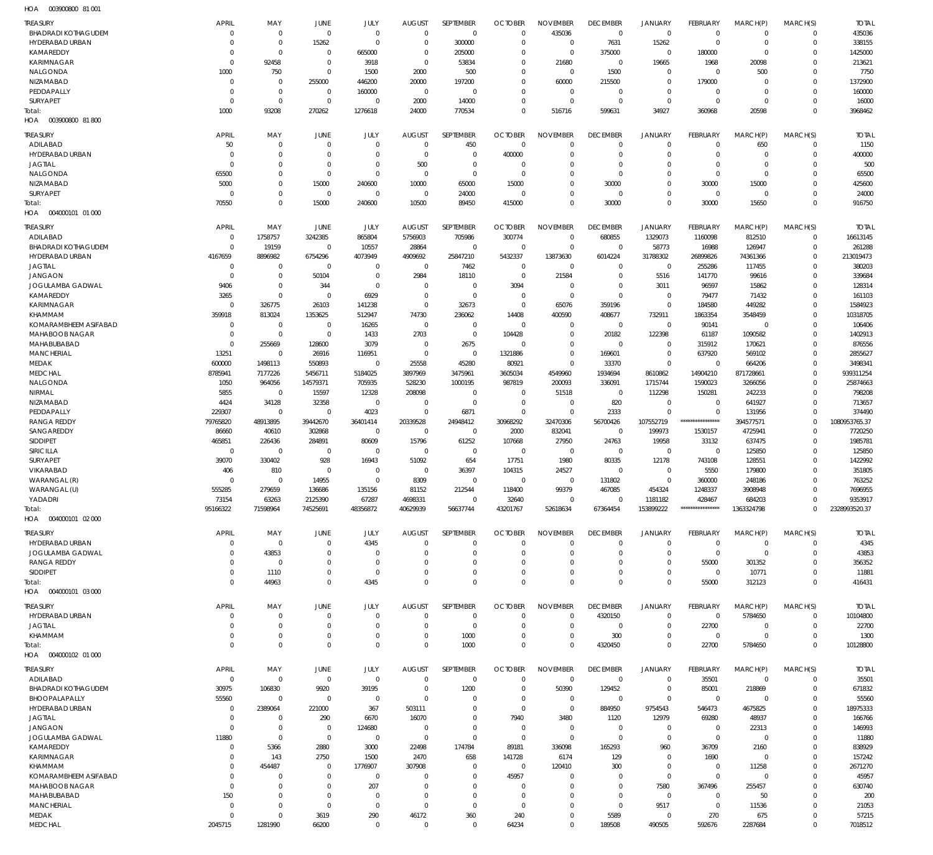003900800 81 001 HOA

| <b>TREASURY</b>                             | <b>APRIL</b>               | MAY                              | JUNE                             | JULY                             | <b>AUGUST</b>                | <b>SEPTEMBER</b>        | <b>OCTOBER</b>             | <b>NOVEMBER</b>                | <b>DECEMBER</b>                   | <b>JANUARY</b>                | <b>FEBRUARY</b>                | MARCH(P)                   | MARCH(S)                | <b>TOTAL</b>         |
|---------------------------------------------|----------------------------|----------------------------------|----------------------------------|----------------------------------|------------------------------|-------------------------|----------------------------|--------------------------------|-----------------------------------|-------------------------------|--------------------------------|----------------------------|-------------------------|----------------------|
| <b>BHADRADI KOTHAGUDEM</b>                  | $\mathbf 0$                | $\overline{0}$                   | $\mathbf 0$                      | $\overline{0}$                   | $\mathbf 0$                  | $\mathbf 0$             | $\Omega$                   | 435036                         | $\mathbf 0$                       | $\mathbf 0$                   | $\mathbf 0$                    | $\mathbf 0$                | $\mathbf 0$             | 435036               |
| <b>HYDERABAD URBAN</b>                      | $\mathbf 0$                | $\mathbf 0$                      | 15262                            | $\Omega$                         | $\Omega$                     | 300000                  | $\Omega$                   | $\mathbf{0}$                   | 7631                              | 15262                         | $\mathbf 0$                    | $\mathbf 0$                | $\mathbf 0$             | 338155               |
| KAMAREDDY                                   | $\mathbf 0$                | $\mathbf 0$                      | $\Omega$                         | 665000                           | $\mathbf 0$                  | 205000                  | $\Omega$                   | $\mathbf 0$                    | 375000                            | $\mathbf 0$                   | 180000                         | $\mathbf 0$                | $\mathbf 0$             | 1425000              |
| <b>KARIMNAGAR</b>                           | $\Omega$                   | 92458                            | $\overline{0}$                   | 3918                             | $\Omega$                     | 53834                   | $\Omega$                   | 21680                          | $\mathbf 0$                       | 19665                         | 1968                           | 20098                      | $\Omega$                | 213621               |
| NALGONDA                                    | 1000                       | 750                              | $\mathbf 0$                      | 1500                             | 2000                         | 500                     | $\Omega$                   | $\Omega$                       | 1500                              | $\mathbf 0$                   | $\mathbf 0$                    | 500                        | $\Omega$                | 7750                 |
| NIZAMABAD                                   | $\mathbf 0$                | $\overline{0}$                   | 255000                           | 446200                           | 20000                        | 197200                  | $\Omega$<br>$\Omega$       | 60000                          | 215500                            | $\mathbf 0$                   | 179000                         | $\mathbf 0$                | $\Omega$                | 1372900              |
| PEDDAPALLY<br>SURYAPET                      | $\mathbf 0$<br>$\mathbf 0$ | $\mathbf 0$<br>$\overline{0}$    | $\Omega$<br>$\Omega$             | 160000<br>$\overline{0}$         | $\mathbf 0$<br>2000          | $\Omega$<br>14000       | $\Omega$                   | $\Omega$<br>$\Omega$           | $\Omega$<br>$\Omega$              | $\mathbf 0$<br>$\mathbf 0$    | $\mathbf 0$<br>$\mathbf 0$     | $\mathbf 0$<br>$\mathbf 0$ | $\Omega$<br>$\mathbf 0$ | 160000<br>16000      |
| Total:                                      | 1000                       | 93208                            | 270262                           | 1276618                          | 24000                        | 770534                  | $\Omega$                   | 516716                         | 599631                            | 34927                         | 360968                         | 20598                      | $\mathbf{0}$            | 3968462              |
| 003900800 81800<br>HOA                      |                            |                                  |                                  |                                  |                              |                         |                            |                                |                                   |                               |                                |                            |                         |                      |
|                                             |                            |                                  |                                  |                                  |                              |                         |                            |                                |                                   |                               |                                |                            |                         |                      |
| <b>TREASURY</b><br>ADILABAD                 | <b>APRIL</b><br>50         | MAY<br>$\overline{0}$            | <b>JUNE</b><br>$\overline{0}$    | <b>JULY</b><br>$\overline{0}$    | <b>AUGUST</b><br>$\mathbf 0$ | <b>SEPTEMBER</b><br>450 | <b>OCTOBER</b><br>$\Omega$ | <b>NOVEMBER</b><br>$\mathbf 0$ | <b>DECEMBER</b><br>$\overline{0}$ | <b>JANUARY</b><br>$\mathbf 0$ | <b>FEBRUARY</b><br>$\mathbf 0$ | MARCH(P)<br>650            | MARCH(S)<br>$\mathbf 0$ | <b>TOTAL</b><br>1150 |
| <b>HYDERABAD URBAN</b>                      | $\overline{0}$             | $\overline{0}$                   | $^{\circ}$                       | $\Omega$                         | $\Omega$                     | $\Omega$                | 400000                     | $\Omega$                       | $\Omega$                          | $\mathbf 0$                   | $\mathbf 0$                    | $\mathbf 0$                | $\mathbf 0$             | 400000               |
| <b>JAGTIAL</b>                              | $\Omega$                   | $\overline{0}$                   | $\overline{0}$                   | $\overline{0}$                   | 500                          | $\mathbf 0$             | $\Omega$                   | $\Omega$                       | $\mathbf 0$                       | $\mathbf 0$                   | $\mathbf 0$                    | $\mathbf 0$                | $\mathbf 0$             | 500                  |
| NALGONDA                                    | 65500                      | $\overline{0}$                   | $\overline{0}$                   | $\Omega$                         | $^{\circ}$                   | $\Omega$                | $\Omega$                   | $\Omega$                       | $\mathbf 0$                       | $\mathbf 0$                   | $\mathbf 0$                    | $\mathbf 0$                | $\Omega$                | 65500                |
| NIZAMABAD                                   | 5000                       | $\overline{0}$                   | 15000                            | 240600                           | 10000                        | 65000                   | 15000                      | $\Omega$                       | 30000                             | $\mathbf 0$                   | 30000                          | 15000                      | $\mathbf 0$             | 425600               |
| <b>SURYAPET</b>                             | $\overline{0}$             | $\mathbb O$                      | $\overline{0}$                   | $\overline{0}$                   | $^{\circ}$                   | 24000                   | $\Omega$                   | $\Omega$                       | $\mathbf 0$                       | $\mathbf 0$                   | $\mathbf 0$                    | $\mathbf 0$                | $\Omega$                | 24000                |
| Total:                                      | 70550                      | $\mathbb O$                      | 15000                            | 240600                           | 10500                        | 89450                   | 415000                     | $\Omega$                       | 30000                             | $\mathbf 0$                   | 30000                          | 15650                      | $\Omega$                | 916750               |
| 004000101 01 000<br>HOA                     |                            |                                  |                                  |                                  |                              |                         |                            |                                |                                   |                               |                                |                            |                         |                      |
| <b>TREASURY</b>                             | <b>APRIL</b>               | MAY                              | <b>JUNE</b>                      | JULY                             | <b>AUGUST</b>                | SEPTEMBER               | <b>OCTOBER</b>             | <b>NOVEMBER</b>                | <b>DECEMBER</b>                   | <b>JANUARY</b>                | <b>FEBRUARY</b>                | MARCH(P)                   | MARCH(S)                | <b>TOTAL</b>         |
| ADILABAD                                    | $\mathbf 0$                | 1758757                          | 3242385                          | 865804                           | 5756903                      | 705986                  | 300774                     | $\mathbf 0$                    | 680855                            | 1329073                       | 1160098                        | 812510                     | $\mathbf 0$             | 16613145             |
| <b>BHADRADI KOTHAGUDEM</b>                  | $\mathbf 0$                | 19159                            | $\overline{0}$                   | 10557                            | 28864                        | $\Omega$                | $\overline{0}$             | $\mathbf 0$                    | $\mathbf 0$                       | 58773                         | 16988                          | 126947                     | $\mathbf 0$             | 261288               |
| <b>HYDERABAD URBAN</b>                      | 4167659                    | 8896982                          | 6754296                          | 4073949                          | 4909692                      | 25847210                | 5432337                    | 13873630                       | 6014224                           | 31788302                      | 26899826                       | 74361366                   | $\mathbf 0$             | 213019473            |
| <b>JAGTIAL</b>                              | $\mathbf 0$<br>$\mathbf 0$ | $\overline{0}$<br>$\overline{0}$ | $\Omega$<br>50104                | $\overline{0}$<br>$\overline{0}$ | $\mathbf 0$                  | 7462<br>18110           | $\Omega$<br>$\Omega$       | $\Omega$                       | $\mathbf 0$<br>$\mathbf 0$        | $\mathbf 0$                   | 255286                         | 117455                     | $\mathbf 0$<br>$\Omega$ | 380203<br>339684     |
| <b>JANGAON</b><br><b>JOGULAMBA GADWAL</b>   | 9406                       | $\mathbf 0$                      | 344                              | $\overline{0}$                   | 2984<br>$\Omega$             | $\Omega$                | 3094                       | 21584<br>$\Omega$              | $\Omega$                          | 5516<br>3011                  | 141770<br>96597                | 99616<br>15862             | $\Omega$                | 128314               |
| KAMAREDDY                                   | 3265                       | $\Omega$                         | $\Omega$                         | 6929                             | $\Omega$                     | $\Omega$                | $\overline{0}$             | $\Omega$                       | $\Omega$                          | $\mathbf 0$                   | 79477                          | 71432                      | $\Omega$                | 161103               |
| <b>KARIMNAGAR</b>                           | $\mathbf 0$                | 326775                           | 26103                            | 141238                           | $\Omega$                     | 32673                   | $\overline{0}$             | 65076                          | 359196                            | $\mathbf 0$                   | 184580                         | 449282                     | $\Omega$                | 1584923              |
| KHAMMAM                                     | 359918                     | 813024                           | 1353625                          | 512947                           | 74730                        | 236062                  | 14408                      | 400590                         | 408677                            | 732911                        | 1863354                        | 3548459                    | $\Omega$                | 10318705             |
| KOMARAMBHEEM ASIFABAD                       | $\mathbf 0$                | $\overline{0}$                   | $\overline{0}$                   | 16265                            | $\mathbf 0$                  | $\Omega$                | $\Omega$                   | $\Omega$                       | $\mathbf 0$                       | $\mathbf 0$                   | 90141                          | 0                          | $\mathbf 0$             | 106406               |
| <b>MAHABOOB NAGAR</b>                       | $\mathbf 0$                | $\overline{0}$                   | $\overline{0}$                   | 1433                             | 2703                         | $\Omega$                | 104428                     | $\Omega$                       | 20182                             | 122398                        | 61187                          | 1090582                    | $\Omega$                | 1402913              |
| MAHABUBABAD                                 | $\mathbf 0$                | 255669                           | 128600                           | 3079                             | $\mathbf 0$                  | 2675                    | $\Omega$                   | $\mathbf 0$                    | $\mathbf 0$                       | $\mathbf 0$                   | 315912                         | 170621                     | 0                       | 876556               |
| <b>MANCHERIAL</b>                           | 13251                      | $\overline{0}$                   | 26916                            | 116951                           | $\Omega$                     | $\Omega$                | 1321886                    | $\mathbf 0$                    | 169601                            | $\mathbf 0$                   | 637920                         | 569102                     | $\Omega$                | 2855627              |
| MEDAK<br><b>MEDCHAL</b>                     | 600000<br>8785941          | 1498113<br>7177226               | 550893<br>5456711                | $\overline{0}$                   | 25558<br>3897969             | 45280<br>3475961        | 80921<br>3605034           | $\mathbf 0$<br>4549960         | 33370<br>1934694                  | $\mathbf 0$<br>8610862        | $\mathbf 0$                    | 664206                     | $\mathbf 0$<br>$\Omega$ | 3498341<br>939311254 |
| NALGONDA                                    | 1050                       | 964056                           | 14579371                         | 5184025<br>705935                | 528230                       | 1000195                 | 987819                     | 200093                         | 336091                            | 1715744                       | 14904210<br>1590023            | 871728661<br>3266056       | $\mathbf 0$             | 25874663             |
| NIRMAL                                      | 5855                       | $\overline{0}$                   | 15597                            | 12328                            | 208098                       | $\mathbf 0$             | $\mathbf{0}$               | 51518                          | $\mathbf 0$                       | 112298                        | 150281                         | 242233                     | $\Omega$                | 798208               |
| NIZAMABAD                                   | 4424                       | 34128                            | 32358                            | $\overline{0}$                   | $\mathbf 0$                  | $\mathbf 0$             | $\overline{0}$             | $\Omega$                       | 820                               | $\mathbf 0$                   | $\mathbf 0$                    | 641927                     | $\Omega$                | 713657               |
| PEDDAPALLY                                  | 229307                     | $\Omega$                         | $\Omega$                         | 4023                             | $\Omega$                     | 6871                    | $\overline{0}$             | $\mathbf 0$                    | 2333                              | $\Omega$                      | $\mathbf 0$                    | 131956                     | $\Omega$                | 374490               |
| <b>RANGA REDDY</b>                          | 79765820                   | 48913895                         | 39442670                         | 36401414                         | 20339528                     | 24948412                | 30968292                   | 32470306                       | 56700426                          | 107552719                     | ****************               | 394577571                  | $\Omega$                | 1080953765.37        |
| SANGAREDDY                                  | 86660                      | 40610                            | 302868                           | $\overline{0}$                   | $\mathbf 0$                  | $\mathbf 0$             | 2000                       | 832041                         | $\mathbf 0$                       | 199973                        | 1530157                        | 4725941                    | $\mathbf 0$             | 7720250              |
| <b>SIDDIPET</b>                             | 465851                     | 226436                           | 284891                           | 80609                            | 15796                        | 61252                   | 107668                     | 27950                          | 24763                             | 19958                         | 33132                          | 637475                     | $\Omega$                | 1985781              |
| <b>SIRICILLA</b>                            | $\mathbf 0$                | $\overline{0}$                   | $\overline{0}$                   | $\Omega$                         | $\Omega$                     | $\Omega$                | $\overline{0}$             | $\Omega$                       | $\mathbf 0$                       | $\mathbf 0$                   | $\mathbf 0$                    | 125850                     | $\Omega$                | 125850               |
| <b>SURYAPET</b><br>VIKARABAD                | 39070<br>406               | 330402                           | 928<br>$\Omega$                  | 16943<br>$\Omega$                | 51092<br>$\Omega$            | 654                     | 17751<br>104315            | 1980                           | 80335<br>$\mathbf 0$              | 12178<br>$\mathbf 0$          | 743108<br>5550                 | 128551                     | $\Omega$<br>$\Omega$    | 1422992<br>351805    |
| WARANGAL (R)                                | $\mathbf 0$                | 810<br>$\Omega$                  | 14955                            | $\Omega$                         | 8309                         | 36397<br>$\Omega$       | $\Omega$                   | 24527<br>$\Omega$              | 131802                            | $\mathbf 0$                   | 360000                         | 179800<br>248186           | 0                       | 763252               |
| WARANGAL (U)                                | 555285                     | 279659                           | 136686                           | 135156                           | 81152                        | 212544                  | 118400                     | 99379                          | 467085                            | 454324                        | 1248337                        | 3908948                    | $\Omega$                | 7696955              |
| YADADRI                                     | 73154                      | 63263                            | 2125390                          | 6/28/                            | 4698331                      |                         | 32640                      |                                |                                   | 1181182                       | 428467                         | 684203                     |                         | 9353917              |
| Total:                                      | 95166322                   | 71598964                         | 74525691                         | 48356872                         | 40629939                     | 56637744                | 43201767                   | 52618634                       | 67364454                          | 153899222                     | *****************              | 1363324798                 | $\mathbf 0$             | 2328993520.37        |
| 004000101 02 000<br>HOA                     |                            |                                  |                                  |                                  |                              |                         |                            |                                |                                   |                               |                                |                            |                         |                      |
| <b>TREASURY</b>                             | <b>APRIL</b>               | MAY                              | <b>JUNE</b>                      | JULY                             | <b>AUGUST</b>                | <b>SEPTEMBER</b>        | <b>OCTOBER</b>             | <b>NOVEMBER</b>                | <b>DECEMBER</b>                   | <b>JANUARY</b>                | <b>FEBRUARY</b>                | MARCH(P)                   | MARCH(S)                | <b>TOTAL</b>         |
| HYDERABAD URBAN                             | $\mathbf 0$                | $\overline{0}$                   | $\overline{0}$                   | 4345                             | $^{\circ}$                   | $\Omega$                | $\Omega$                   | $\Omega$                       | $\mathbf 0$                       | $\mathbf 0$                   | $\mathbf 0$                    | $\mathbf 0$                | $\mathbf 0$             | 4345                 |
| <b>JOGULAMBA GADWAL</b>                     | $\mathbf 0$                | 43853                            | $\Omega$                         | $\Omega$                         | $\Omega$                     | $\Omega$                | $\Omega$                   | $\Omega$                       | 0                                 | $\mathbf 0$                   | $\mathbf 0$                    | $\mathbf 0$                | $\mathbf 0$             | 43853                |
| <b>RANGA REDDY</b>                          | $\mathbf 0$                | $\overline{0}$                   | $\mathbf 0$                      | $\Omega$                         |                              | $\Omega$                | $\Omega$                   | $\Omega$                       | $\Omega$                          | $\mathbf 0$                   | 55000                          | 301352                     | $\mathbf 0$             | 356352               |
| SIDDIPET                                    | $\mathbf 0$                | 1110                             | $\mathbf 0$                      | $\overline{0}$                   | $\Omega$                     | $\Omega$                | $\Omega$                   | $\Omega$                       | $\mathbf 0$                       | $\mathbf 0$                   | $\mathbf 0$                    | 10771                      | $\mathbf 0$             | 11881                |
| Total:                                      | 0                          | 44963                            | $\mathbf 0$                      | 4345                             | $\Omega$                     | $\Omega$                | $\Omega$                   | $\Omega$                       | $\Omega$                          | $\mathbf 0$                   | 55000                          | 312123                     | $\mathbf 0$             | 416431               |
| HOA   004000101   03   000                  |                            |                                  |                                  |                                  |                              |                         |                            |                                |                                   |                               |                                |                            |                         |                      |
| <b>TREASURY</b>                             | <b>APRIL</b>               | MAY                              | <b>JUNE</b>                      | JULY                             | <b>AUGUST</b>                | SEPTEMBER               | <b>OCTOBER</b>             | <b>NOVEMBER</b>                | <b>DECEMBER</b>                   | <b>JANUARY</b>                | FEBRUARY                       | MARCH(P)                   | MARCH(S)                | <b>TOTAL</b>         |
| HYDERABAD URBAN                             | $\mathbf 0$                | $\overline{0}$                   | $\overline{0}$                   | $\overline{0}$                   | $\mathbf 0$                  | $\Omega$                | $\Omega$                   | $\Omega$                       | 4320150                           | $\mathbf 0$                   | $\mathbf 0$                    | 5784650                    | $\mathbf 0$             | 10104800             |
| <b>JAGTIAL</b>                              | $\mathbf 0$                | $\overline{0}$                   | $\overline{0}$                   | $\Omega$                         | $\mathbf 0$                  | $\mathbf 0$             | $\Omega$                   | $\mathbf 0$                    | $\mathbf 0$                       | $\mathbf 0$                   | 22700                          | 0                          | $\mathbf 0$             | 22700                |
| KHAMMAM                                     | $\mathbf 0$                | $\mathbf 0$                      | $\overline{0}$                   | $\overline{0}$                   | $^{\circ}$                   | 1000                    | $\Omega$                   | $\mathbf 0$                    | 300                               | $\mathbf 0$                   | $\mathbf 0$                    | $\mathbf 0$                | 0                       | 1300                 |
| Total:<br>004000102 01 000<br>HOA           | $\mathbf 0$                | $\mathbf 0$                      | $\mathbf{0}$                     | $\Omega$                         | $\Omega$                     | 1000                    | $\Omega$                   | $\Omega$                       | 4320450                           | $\mathbf 0$                   | 22700                          | 5784650                    | $\Omega$                | 10128800             |
|                                             |                            |                                  |                                  |                                  |                              |                         |                            |                                |                                   |                               |                                |                            |                         |                      |
| <b>TREASURY</b>                             | <b>APRIL</b>               | MAY                              | <b>JUNE</b>                      | JULY                             | <b>AUGUST</b>                | <b>SEPTEMBER</b>        | <b>OCTOBER</b>             | <b>NOVEMBER</b>                | <b>DECEMBER</b>                   | <b>JANUARY</b>                | FEBRUARY                       | MARCH(P)                   | MARCH(S)                | <b>TOTAL</b>         |
| ADILABAD                                    | $\mathbf 0$                | $\mathbf 0$                      | $\mathbf 0$                      | $\overline{0}$                   | $\Omega$                     | $\mathbf 0$             | $\Omega$                   | $\mathbf 0$                    | $\mathbf 0$                       | $\mathbf 0$                   | 35501                          | $\mathbf 0$                | $\mathbf 0$             | 35501                |
| <b>BHADRADI KOTHAGUDEM</b><br>BHOOPALAPALLY | 30975                      | 106830<br>$\overline{0}$         | 9920<br>$^{\circ}$               | 39195<br>$^{\circ}$              | $^{\circ}$<br>$\Omega$       | 1200<br>$\Omega$        | $\Omega$<br>$\Omega$       | 50390<br>$\mathbf 0$           | 129452<br>$^{\circ}$              | $\mathbf 0$<br>$\mathbf 0$    | 85001<br>$\mathbf 0$           | 218869<br>$\mathbf 0$      | 0                       | 671832               |
| HYDERABAD URBAN                             | 55560<br>$\mathbf 0$       | 2389064                          | 221000                           | 367                              | 503111                       | $\Omega$                | $\Omega$                   | $\mathbf 0$                    | 884950                            | 9754543                       | 546473                         | 4675825                    | 0<br>$\mathbf 0$        | 55560<br>18975333    |
| <b>JAGTIAL</b>                              | $\mathbf 0$                | $^{\circ}$                       | 290                              | 6670                             | 16070                        | $\Omega$                | 7940                       | 3480                           | 1120                              | 12979                         | 69280                          | 48937                      | $\Omega$                | 166766               |
| <b>JANGAON</b>                              | $\mathbf 0$                | $\overline{0}$                   | $^{\circ}$                       | 124680                           | $\Omega$                     | $\Omega$                | 0                          | $\mathbf 0$                    | 0                                 | $\mathbf 0$                   | $\mathbf 0$                    | 22313                      | 0                       | 146993               |
| JOGULAMBA GADWAL                            | 11880                      | $\overline{0}$                   | $\mathbf 0$                      | $\overline{0}$                   | $^{\circ}$                   | $\Omega$                | $\mathbf 0$                | $\mathbf 0$                    | $\mathbf 0$                       | $\mathbf 0$                   | $\mathbf 0$                    | $\mathbf 0$                | $\Omega$                | 11880                |
| KAMAREDDY                                   | $\mathbf 0$                | 5366                             | 2880                             | 3000                             | 22498                        | 174784                  | 89181                      | 336098                         | 165293                            | 960                           | 36709                          | 2160                       | 0                       | 838929               |
| <b>KARIMNAGAR</b>                           | $\mathbf 0$                | 143                              | 2750                             | 1500                             | 2470                         | 658                     | 141728                     | 6174                           | 129                               | $\mathbf 0$                   | 1690                           | $\mathbf 0$                | $\Omega$                | 157242               |
| KHAMMAM                                     | $\mathbf 0$                | 454487                           | $\overline{0}$                   | 1776907                          | 307908                       | $\Omega$                | $\mathbf 0$                | 120410                         | 300                               | $\mathbf 0$                   | $\mathbf 0$                    | 11258                      | 0                       | 2671270              |
| KOMARAMBHEEM ASIFABAD                       | $\mathbf 0$                | $\overline{0}$                   | $\overline{0}$                   | $\overline{0}$                   | $\Omega$                     | $\Omega$<br>$\Omega$    | 45957                      | $\mathbf 0$<br>$\mathbf 0$     | $\mathbf 0$<br>0                  | $\mathbf 0$<br>7580           | $\mathbf 0$<br>367496          | $\mathbf 0$<br>255457      | $\Omega$<br>0           | 45957                |
| MAHABOOB NAGAR                              |                            |                                  |                                  |                                  |                              |                         |                            |                                |                                   |                               |                                |                            |                         | 630740               |
|                                             | $\mathbf 0$                | $\overline{0}$                   | $\overline{0}$                   | 207                              | $\Omega$                     |                         | $\Omega$                   |                                |                                   |                               |                                |                            |                         |                      |
| MAHABUBABAD                                 | 150                        | $\overline{0}$<br>$\overline{0}$ | $\overline{0}$<br>$\overline{0}$ | $\Omega$<br>$\overline{0}$       | $\Omega$<br>$\Omega$         | $\Omega$<br>$\Omega$    | $\Omega$<br>$\Omega$       | $\Omega$<br>$\mathbf 0$        | $\Omega$<br>$\mathbf 0$           | $\mathbf 0$                   | $\mathbf 0$<br>$\mathbf 0$     | 50                         | $\Omega$<br>0           | 200                  |
| <b>MANCHERIAL</b><br>MEDAK                  | $\mathbf 0$<br>$\mathbf 0$ | $\mathbf 0$                      | 3619                             | 290                              | 46172                        | 360                     | 240                        | $\Omega$                       | 5589                              | 9517<br>$\mathbf 0$           | 270                            | 11536<br>675               | $\Omega$                | 21053<br>57215       |
| MEDCHAL                                     | 2045715                    | 1281990                          | 66200                            | $\overline{0}$                   | $\mathbf 0$                  | $\Omega$                | 64234                      | $\mathbf 0$                    | 189508                            | 490505                        | 592676                         | 2287684                    | $\Omega$                | 7018512              |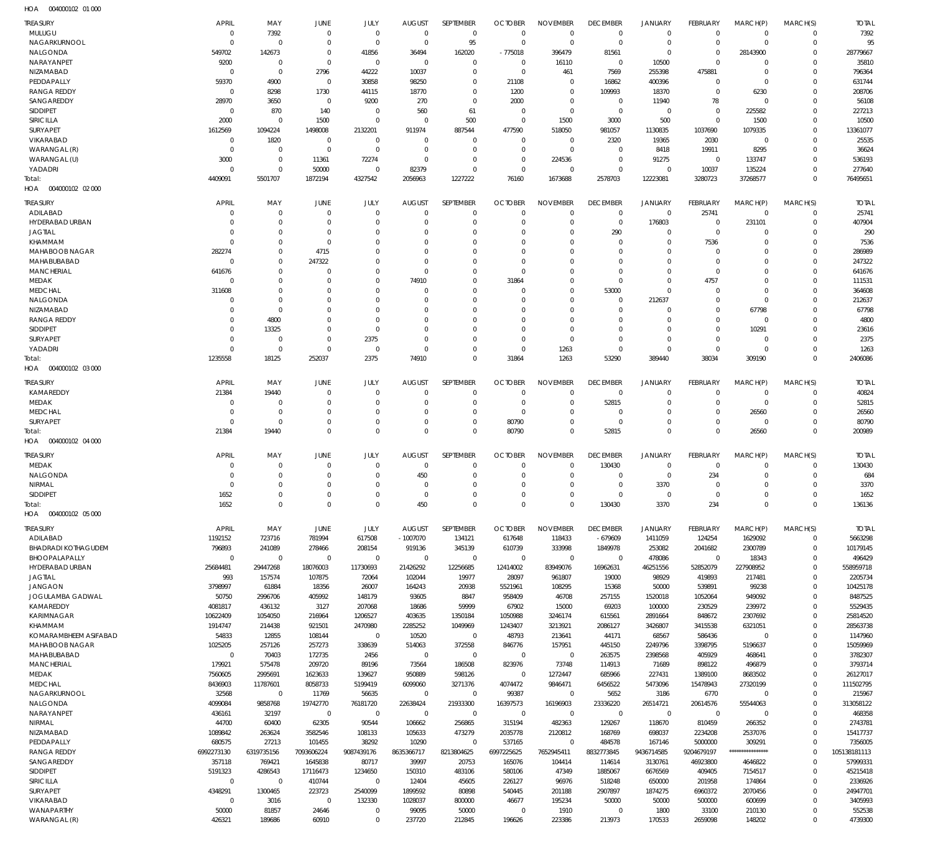| <b>TREASURY</b>                             | <b>APRIL</b>                | MAY                              | JUNE                       | JULY                             | <b>AUGUST</b>              | SEPTEMBER                        | <b>OCTOBER</b>               | <b>NOVEMBER</b>                  | <b>DECEMBER</b>                  | JANUARY                          | FEBRUARY                   | MARCH(P)                         | MARCH(S)                   | <b>TOTAL</b>            |
|---------------------------------------------|-----------------------------|----------------------------------|----------------------------|----------------------------------|----------------------------|----------------------------------|------------------------------|----------------------------------|----------------------------------|----------------------------------|----------------------------|----------------------------------|----------------------------|-------------------------|
| MULUGU<br>NAGARKURNOOL                      | $\mathbf{0}$<br>$\mathbf 0$ | 7392<br>$\overline{0}$           | $\mathbf 0$<br>$\mathbf 0$ | $\overline{0}$<br>$\overline{0}$ | $\mathbf 0$<br>$\mathbf 0$ | $\overline{0}$<br>95             | $^{\circ}$<br>$\overline{0}$ | $\overline{0}$<br>$\overline{0}$ | $\overline{0}$<br>$\overline{0}$ | $\overline{0}$<br>$\overline{0}$ | $\mathbf 0$<br>$\mathbf 0$ | $\overline{0}$<br>$\overline{0}$ | $\mathbf 0$<br>$\mathbf 0$ | 7392<br>95              |
| NALGONDA                                    | 549702                      | 142673                           | $\mathbf 0$                | 41856                            | 36494                      | 162020                           | $-775018$                    | 396479                           | 81561                            | $\overline{0}$                   | $\Omega$                   | 28143900                         | $\mathbf 0$                | 28779667                |
| NARAYANPET                                  | 9200                        | $\overline{0}$                   | $\mathbf 0$                | $\overline{0}$                   | $\mathbf 0$                | $\overline{0}$                   | $\overline{0}$               | 16110                            | $^{\circ}$                       | 10500                            | $\Omega$                   | $\Omega$                         | $\Omega$                   | 35810                   |
| NIZAMABAD                                   | $\overline{0}$              | $\overline{0}$                   | 2796                       | 44222                            | 10037                      | $\overline{0}$                   | $\overline{0}$               | 461                              | 7569                             | 255398                           | 475881                     | $^{\circ}$                       | $\mathbf 0$                | 796364                  |
| PEDDAPALLY<br><b>RANGA REDDY</b>            | 59370<br>$\overline{0}$     | 4900<br>8298                     | $\mathbf{0}$<br>1730       | 30858<br>44115                   | 98250<br>18770             | $\overline{0}$<br>$\overline{0}$ | 21108<br>1200                | $\overline{0}$<br>$\overline{0}$ | 16862<br>109993                  | 400396<br>18370                  | $\mathbf 0$<br>$\mathbf 0$ | $\mathbf 0$<br>6230              | $\Omega$<br>$\mathbf 0$    | 631744<br>208706        |
| SANGAREDDY                                  | 28970                       | 3650                             | $\overline{0}$             | 9200                             | 270                        | $\overline{0}$                   | 2000                         | $\overline{0}$                   | $^{\circ}$                       | 11940                            | 78                         | $\overline{0}$                   | $\Omega$                   | 56108                   |
| <b>SIDDIPET</b>                             | $\overline{0}$              | 870                              | 140                        | $\mathbf 0$                      | 560                        | 61                               | $\overline{0}$               | $\overline{0}$                   | $\overline{0}$                   | $\overline{0}$                   | $\mathbf 0$                | 225582                           | $\mathbf 0$                | 227213                  |
| SIRICILLA                                   | 2000                        | $\overline{0}$                   | 1500                       | $\overline{0}$                   | $\mathbf 0$                | 500                              | $^{\circ}$                   | 1500                             | 3000                             | 500                              | $\mathbf 0$                | 1500                             | $\mathbf 0$                | 10500                   |
| SURYAPET<br>VIKARABAD                       | 1612569<br>$\overline{0}$   | 1094224<br>1820                  | 1498008<br>$\mathbf 0$     | 2132201<br>$\mathbf 0$           | 911974<br>$\mathbf 0$      | 887544<br>$\overline{0}$         | 477590<br>$\Omega$           | 518050<br>$\overline{0}$         | 981057<br>2320                   | 1130835<br>19365                 | 1037690<br>2030            | 1079335<br>$\overline{0}$        | $\mathbf 0$<br>$\Omega$    | 13361077<br>25535       |
| WARANGAL (R)                                | $\overline{0}$              | $\overline{0}$                   | $\mathbf 0$                | $\overline{0}$                   | $\mathbf 0$                | $\overline{0}$                   | $\mathbf 0$                  | $\overline{0}$                   | $\mathbf 0$                      | 8418                             | 19911                      | 8295                             | $\mathbf 0$                | 36624                   |
| WARANGAL (U)                                | 3000                        | $\overline{0}$                   | 11361                      | 72274                            | $\mathbf 0$                | $\overline{0}$                   | $^{\circ}$                   | 224536                           | $\mathbf 0$                      | 91275                            | $^{\circ}$                 | 133747                           | $\Omega$                   | 536193                  |
| YADADRI                                     | $\overline{0}$              | $\overline{0}$                   | 50000                      | $\overline{0}$                   | 82379                      | $\overline{0}$                   | $\mathbf 0$                  | $\overline{0}$                   | $\mathbf 0$                      | $\overline{0}$                   | 10037                      | 135224                           | $\mathbf 0$                | 277640                  |
| Total:<br>HOA  004000102  02  000           | 4409091                     | 5501707                          | 1872194                    | 4327542                          | 2056963                    | 1227222                          | 76160                        | 1673688                          | 2578703                          | 12223081                         | 3280723                    | 37268577                         | $\mathbf 0$                | 76495651                |
| <b>TREASURY</b>                             | <b>APRIL</b>                | MAY                              | JUNE                       | <b>JULY</b>                      | <b>AUGUST</b>              | SEPTEMBER                        | <b>OCTOBER</b>               | <b>NOVEMBER</b>                  | <b>DECEMBER</b>                  | <b>JANUARY</b>                   | FEBRUARY                   | MARCH(P)                         | MARCH(S)                   | <b>TOTAL</b>            |
| ADILABAD                                    | $\Omega$                    | $\overline{0}$                   | $\Omega$                   | $\overline{0}$                   | $\mathbf 0$                | $\overline{0}$                   | $\Omega$                     | $\Omega$                         | $\overline{0}$                   | $\overline{0}$                   | 25741                      | $\overline{0}$                   | $\mathbf 0$                | 25741                   |
| HYDERABAD URBAN                             | $\Omega$                    | $\overline{0}$                   | $\mathbf 0$                | $\Omega$                         | 0                          | $\overline{0}$                   | $\mathbf 0$                  | $\overline{0}$                   | $\overline{0}$                   | 176803                           | $\mathbf 0$                | 231101                           | $\mathbf 0$                | 407904                  |
| <b>JAGTIAL</b>                              | $\Omega$                    | $\overline{0}$                   | $\Omega$                   | $\Omega$                         | $\Omega$                   | $\overline{0}$                   | $\Omega$                     | $\Omega$<br>$\Omega$             | 290                              | $\overline{0}$                   | $\mathbf 0$                | $\Omega$                         | $\mathbf 0$<br>$\Omega$    | 290                     |
| KHAMMAM<br><b>MAHABOOB NAGAR</b>            | $\Omega$<br>282274          | $\overline{0}$<br>$\overline{0}$ | $\Omega$<br>4715           | $\Omega$<br>$\Omega$             | $\Omega$<br>$\Omega$       | $\Omega$<br>$\mathbf 0$          | $\Omega$<br>$\Omega$         | $\mathbf 0$                      | $\mathbf 0$<br>$\mathbf 0$       | $^{\circ}$<br>$\mathbf 0$        | 7536<br>$\Omega$           | $\Omega$<br>$\Omega$             | $\Omega$                   | 7536<br>286989          |
| MAHABUBABAD                                 | $\Omega$                    | $\overline{0}$                   | 247322                     | $\Omega$                         | $\Omega$                   | $\Omega$                         | $\Omega$                     | $\Omega$                         | $\Omega$                         | $\Omega$                         | $\Omega$                   | $\Omega$                         | $\Omega$                   | 247322                  |
| <b>MANCHERIAL</b>                           | 641676                      | $\overline{0}$                   | $\Omega$                   | $\Omega$                         | $\mathbf 0$                | $\overline{0}$                   | $\Omega$                     | $\Omega$                         | $\Omega$                         | $\mathbf 0$                      | $\Omega$                   | $\Omega$                         | $\Omega$                   | 641676                  |
| <b>MEDAK</b>                                | $\Omega$                    | $\overline{0}$                   | $\Omega$                   | $\Omega$                         | 74910                      | $\overline{0}$                   | 31864                        | $\Omega$                         | $\Omega$                         | $\Omega$                         | 4757                       | $\Omega$                         | $\Omega$                   | 111531                  |
| <b>MEDCHAL</b><br><b>NALGONDA</b>           | 311608<br>$\mathbf 0$       | $\Omega$<br>$\overline{0}$       | $\Omega$<br>$\Omega$       | $\Omega$<br>$\Omega$             | $\Omega$<br>$\Omega$       | $\mathbf 0$<br>$\overline{0}$    | $\Omega$<br>$\Omega$         | $\mathbf 0$<br>$\mathbf 0$       | 53000<br>$\mathbf 0$             | $\overline{0}$<br>212637         | $\Omega$<br>$\Omega$       | $\Omega$<br>$\Omega$             | $\mathbf 0$<br>$\Omega$    | 364608<br>212637        |
| NIZAMABAD                                   | 0                           | $\overline{0}$                   | $\Omega$                   | $\Omega$                         | $\Omega$                   | $\Omega$                         | $\Omega$                     | $\Omega$                         | $\Omega$                         | $\Omega$                         | $\Omega$                   | 67798                            | $\mathbf 0$                | 67798                   |
| <b>RANGA REDDY</b>                          | $\Omega$                    | 4800                             | $\Omega$                   | $\Omega$                         | $\Omega$                   | $\Omega$                         | $\Omega$                     | $\Omega$                         | $\Omega$                         | $\Omega$                         | $\Omega$                   | $\Omega$                         | $\Omega$                   | 4800                    |
| <b>SIDDIPET</b>                             | $\Omega$                    | 13325                            | $\Omega$                   | $\overline{0}$                   | $\Omega$                   | $\mathbf 0$                      | $\Omega$                     | $^{\circ}$                       | $\mathbf 0$                      | $\Omega$                         | $\Omega$                   | 10291                            | $\mathbf 0$                | 23616                   |
| SURYAPET<br>YADADRI                         | $\Omega$<br>$\Omega$        | $\overline{0}$<br>$\overline{0}$ | $\Omega$<br>$\Omega$       | 2375<br>$\mathbf 0$              | $\Omega$<br>$\mathbf 0$    | $\overline{0}$<br>$\overline{0}$ | $\Omega$<br>$\Omega$         | $\Omega$<br>1263                 | $\Omega$<br>$\mathbf 0$          | $\Omega$<br>$\overline{0}$       | $\Omega$<br>$\mathbf 0$    | $\Omega$<br>$^{\circ}$           | $\Omega$<br>$\mathbf 0$    | 2375<br>1263            |
| Total:                                      | 1235558                     | 18125                            | 252037                     | 2375                             | 74910                      | $\Omega$                         | 31864                        | 1263                             | 53290                            | 389440                           | 38034                      | 309190                           | $\Omega$                   | 2406086                 |
| 004000102 03 000<br>HOA                     |                             |                                  |                            |                                  |                            |                                  |                              |                                  |                                  |                                  |                            |                                  |                            |                         |
| <b>TREASURY</b>                             | <b>APRIL</b>                | MAY                              | JUNE                       | <b>JULY</b>                      | <b>AUGUST</b>              | SEPTEMBER                        | <b>OCTOBER</b>               | <b>NOVEMBER</b>                  | <b>DECEMBER</b>                  | <b>JANUARY</b>                   | FEBRUARY                   | MARCH(P)                         | MARCH(S)                   | <b>TOTAL</b>            |
| KAMAREDDY                                   | 21384                       | 19440                            | $\mathbf 0$                | $\mathbf 0$                      | $\mathbf 0$                | $\overline{0}$                   | $\overline{0}$               | $^{\circ}$                       | $\overline{0}$                   | $\overline{0}$                   | $\mathbf 0$                | $\overline{0}$                   | $\mathbf 0$                | 40824                   |
| <b>MEDAK</b><br><b>MEDCHAL</b>              | $\mathbf 0$<br>$\mathbf 0$  | $\overline{0}$<br>$\overline{0}$ | $\Omega$<br>$\Omega$       | $\mathbf 0$<br>$\Omega$          | 0<br>$\Omega$              | $\overline{0}$<br>$\overline{0}$ | 0<br>$\Omega$                | $^{\circ}$<br>$\overline{0}$     | 52815<br>$\mathbf 0$             | $\overline{0}$<br>$\overline{0}$ | 0<br>$\Omega$              | $\overline{0}$                   | $\mathbf 0$<br>$\mathbf 0$ | 52815                   |
| SURYAPET                                    | $\mathbf 0$                 | $\overline{0}$                   | $\Omega$                   | $\overline{0}$                   | 0                          | $\overline{0}$                   | 80790                        | $\overline{0}$                   | $\mathbf 0$                      | $\overline{0}$                   | $\Omega$                   | 26560<br>$\overline{0}$          | $\mathbf 0$                | 26560<br>80790          |
| Total:                                      | 21384                       | 19440                            | $\mathbf 0$                | $\Omega$                         | $\mathbf 0$                | $\Omega$                         | 80790                        | $\Omega$                         | 52815                            | $\overline{0}$                   | $\Omega$                   | 26560                            | $\mathbf 0$                | 200989                  |
| HOA  004000102  04  000                     |                             |                                  |                            |                                  |                            |                                  |                              |                                  |                                  |                                  |                            |                                  |                            |                         |
| <b>TREASURY</b>                             | <b>APRIL</b>                | MAY                              | JUNE                       | JULY                             | <b>AUGUST</b>              | SEPTEMBER                        | <b>OCTOBER</b>               | <b>NOVEMBER</b>                  | <b>DECEMBER</b>                  | <b>JANUARY</b>                   | FEBRUARY                   | MARCH(P)                         | MARCH(S)                   | <b>TOTAL</b>            |
| <b>MEDAK</b>                                | $\Omega$                    | $\overline{0}$                   | $\Omega$                   | $\mathbf 0$                      | $\mathbf 0$                | $\overline{0}$                   | $\Omega$                     | $\mathbf 0$                      | 130430                           | $\overline{0}$                   | $\mathbf 0$                | $\Omega$                         | 0                          | 130430                  |
| NALGONDA<br>NIRMAL                          | $\Omega$<br>$\Omega$        | $\overline{0}$<br>$\Omega$       | $\Omega$<br>$\Omega$       | $\overline{0}$<br>$\Omega$       | 450<br>$\mathbf 0$         | $\overline{0}$<br>$\Omega$       | $\mathbf 0$<br>$\Omega$      | $\overline{0}$<br>$\Omega$       | $\mathbf 0$<br>$\mathbf 0$       | $\overline{0}$<br>3370           | 234<br>$\Omega$            | $\mathbf 0$<br>$\Omega$          | $\mathbf 0$<br>$\mathbf 0$ | 684<br>3370             |
| <b>SIDDIPET</b>                             | 1652                        | $\mathbf{0}$                     | $\mathbf 0$                | $\mathbf 0$                      |                            |                                  |                              |                                  | $\mathbf 0$                      |                                  |                            |                                  |                            |                         |
| Total:                                      |                             |                                  |                            |                                  | $\mathbf 0$                | $\mathbf 0$                      | $\mathbf 0$                  | $\overline{0}$                   |                                  | $\mathbf 0$                      | $\mathbf 0$                | $\overline{0}$                   | $\mathbf 0$                | 1652                    |
|                                             | 1652                        | $\mathbf 0$                      | $\mathbf 0$                | $\overline{0}$                   | 450                        | $\overline{0}$                   | $\Omega$                     | $\overline{0}$                   | 130430                           | 3370                             | 234                        | $\mathbf 0$                      | $\mathbf 0$                | 136136                  |
| 004000102 05 000<br>HOA                     |                             |                                  |                            |                                  |                            |                                  |                              |                                  |                                  |                                  |                            |                                  |                            |                         |
| <b>TREASURY</b>                             | <b>APRIL</b>                | MAY                              | JUNE                       | JULY                             | <b>AUGUST</b>              | SEPTEMBER                        | <b>OCTOBER</b>               | <b>NOVEMBER</b>                  | <b>DECEMBER</b>                  | JANUARY                          | FEBRUARY                   | MARCH(P)                         | MARCH(S)                   | <b>TOTAL</b>            |
| ADILABAD                                    | 1192152                     | 723716                           | 781994                     | 617508                           | $-1007070$                 | 134121                           | 617648                       | 118433                           | $-679609$                        | 1411059                          | 124254                     | 1629092                          | $\mathbf 0$                | 5663298                 |
| <b>BHADRADI KOTHAGUDEM</b><br>BHOOPALAPALLY | 796893<br>$\mathbf 0$       | 241089<br>$\mathbf 0$            | 278466<br>$\mathbf 0$      | 208154<br>$\mathbf 0$            | 919136<br>$\mathbf 0$      | 345139<br>$\mathbf 0$            | 610739<br>$\overline{0}$     | 333998<br>$\overline{0}$         | 1849978<br>$\overline{0}$        | 253082                           | 2041682<br>$\overline{0}$  | 2300789                          | $\mathbf 0$<br>$\mathbf 0$ | 10179145                |
| <b>HYDERABAD URBAN</b>                      | 25684481                    | 29447268                         | 18076003                   | 11730693                         | 21426292                   | 12256685                         | 12414002                     | 83949076                         | 16962631                         | 478086<br>46251556               | 52852079                   | 18343<br>227908952               | $\mathbf 0$                | 496429<br>558959718     |
| <b>JAGTIAL</b>                              | 993                         | 157574                           | 107875                     | 72064                            | 102044                     | 19977                            | 28097                        | 961807                           | 19000                            | 98929                            | 419893                     | 217481                           | $\mathbf 0$                | 2205734                 |
| <b>JANGAON</b>                              | 3798997                     | 61884                            | 18356                      | 26007                            | 164243                     | 20938                            | 5521961                      | 108295                           | 15368                            | 50000                            | 539891                     | 99238                            | $\mathbf 0$                | 10425178                |
| <b>JOGULAMBA GADWAL</b><br>KAMAREDDY        | 50750<br>4081817            | 2996706<br>436132                | 405992<br>3127             | 148179<br>207068                 | 93605<br>18686             | 8847<br>59999                    | 958409<br>67902              | 46708<br>15000                   | 257155<br>69203                  | 1520018<br>100000                | 1052064<br>230529          | 949092<br>239972                 | $\mathbf 0$<br>$\mathbf 0$ | 8487525<br>5529435      |
| <b>KARIMNAGAR</b>                           | 10622409                    | 1054050                          | 216964                     | 1206527                          | 403635                     | 1350184                          | 1050988                      | 3246174                          | 615561                           | 2891664                          | 848672                     | 2307692                          | $\mathbf 0$                | 25814520                |
| KHAMMAM                                     | 1914747                     | 214438                           | 921501                     | 2470980                          | 2285252                    | 1049969                          | 1243407                      | 3213921                          | 2086127                          | 3426807                          | 3415538                    | 6321051                          | $\mathbf 0$                | 28563738                |
| KOMARAMBHEEM ASIFABAD                       | 54833                       | 12855                            | 108144                     | $\mathbf 0$                      | 10520                      | $\mathbf 0$                      | 48793                        | 213641                           | 44171                            | 68567                            | 586436                     | $\overline{0}$                   | $\mathbf 0$                | 1147960                 |
| MAHABOOB NAGAR<br>MAHABUBABAD               | 1025205<br>$\mathbf 0$      | 257126<br>70403                  | 257273<br>172735           | 338639<br>2456                   | 514063<br>$\mathbf 0$      | 372558<br>$\mathbf 0$            | 846776<br>$\overline{0}$     | 157951<br>$\overline{0}$         | 445150<br>263575                 | 2249796<br>2398568               | 3398795<br>405929          | 5196637<br>468641                | $\Omega$<br>$\mathbf 0$    | 15059969<br>3782307     |
| <b>MANCHERIAL</b>                           | 179921                      | 575478                           | 209720                     | 89196                            | 73564                      | 186508                           | 823976                       | 73748                            | 114913                           | 71689                            | 898122                     | 496879                           | $\mathbf 0$                | 3793714                 |
| MEDAK                                       | 7560605                     | 2995691                          | 1623633                    | 139627                           | 950889                     | 598126                           | $\overline{0}$               | 1272447                          | 685966                           | 227431                           | 1389100                    | 8683502                          | $\mathbf 0$                | 26127017                |
| <b>MEDCHAL</b>                              | 8436903                     | 11787601                         | 8058733                    | 5199419                          | 6099060                    | 3271376                          | 4074472                      | 9846471                          | 6456522                          | 5473096                          | 15478943                   | 27320199                         | $\mathbf 0$                | 111502795               |
| NAGARKURNOOL<br>NALGONDA                    | 32568<br>4099084            | $\mathbf 0$<br>9858768           | 11769<br>19742770          | 56635<br>76181720                | $\mathbf 0$<br>22638424    | $\overline{0}$<br>21933300       | 99387<br>16397573            | $\overline{0}$<br>16196903       | 5652<br>23336220                 | 3186<br>26514721                 | 6770<br>20614576           | $\overline{0}$<br>55544063       | $\mathbf 0$<br>$\mathbf 0$ | 215967<br>313058122     |
| NARAYANPET                                  | 436161                      | 32197                            | $\mathbf 0$                | $\mathbf 0$                      | $\mathbf 0$                | $\mathbf 0$                      | $\overline{0}$               | $\overline{0}$                   | $\mathbf 0$                      | $\overline{0}$                   | $^{\circ}$                 | $\overline{0}$                   | $\mathbf 0$                | 468358                  |
| NIRMAL                                      | 44700                       | 60400                            | 62305                      | 90544                            | 106662                     | 256865                           | 315194                       | 482363                           | 129267                           | 118670                           | 810459                     | 266352                           | $\Omega$                   | 2743781                 |
| NIZAMABAD                                   | 1089842                     | 263624                           | 3582546                    | 108133                           | 105633                     | 473279                           | 2035778                      | 2120812                          | 168769                           | 698037                           | 2234208                    | 2537076                          | $\mathbf 0$                | 15417737                |
| PEDDAPALLY<br><b>RANGA REDDY</b>            | 680575<br>6992273130        | 27213<br>6319735156              | 101455<br>7093606224       | 38292<br>9087439176              | 10290<br>8635366717        | $\mathbf 0$<br>8213804625        | 537165<br>6997225625         | $\overline{0}$<br>7652945411     | 484578<br>8832773845             | 167146<br>9436714585             | 5000000<br>9204679197      | 309291<br>****************       | $\mathbf 0$<br>$\mathbf 0$ | 7356005<br>105138181113 |
| SANGAREDDY                                  | 357118                      | 769421                           | 1645838                    | 80717                            | 39997                      | 20753                            | 165076                       | 104414                           | 114614                           | 3130761                          | 46923800                   | 4646822                          | $\mathbf 0$                | 57999331                |
| <b>SIDDIPET</b>                             | 5191323                     | 4286543                          | 17116473                   | 1234650                          | 150310                     | 483106                           | 580106                       | 47349                            | 1885067                          | 6676569                          | 409405                     | 7154517                          | $\mathbf 0$                | 45215418                |
| SIRICILLA                                   | $\mathbf 0$                 | $\mathbf 0$                      | 410744                     | $\mathbf 0$                      | 12404                      | 45605                            | 226127                       | 96976                            | 518248                           | 650000                           | 201958                     | 174864                           | $\mathbf 0$                | 2336926                 |
| SURYAPET<br>VIKARABAD                       | 4348291<br>$\mathbf 0$      | 1300465<br>3016                  | 223723<br>$\mathbf 0$      | 2540099<br>132330                | 1899592<br>1028037         | 80898<br>800000                  | 540445<br>46677              | 201188<br>195234                 | 2907897<br>50000                 | 1874275<br>50000                 | 6960372<br>500000          | 2070456<br>600699                | $\mathbf 0$<br>$\mathbf 0$ | 24947701<br>3405993     |
| WANAPARTHY<br>WARANGAL (R)                  | 50000<br>426321             | 81857<br>189686                  | 24646<br>60910             | $\mathbf 0$<br>$\mathbf 0$       | 99095<br>237720            | 50000<br>212845                  | $\overline{0}$<br>196626     | 1910<br>223386                   | $\mathbf 0$<br>213973            | 1800<br>170533                   | 33100<br>2659098           | 210130<br>148202                 | $\mathbf 0$<br>$\mathbf 0$ | 552538<br>4739300       |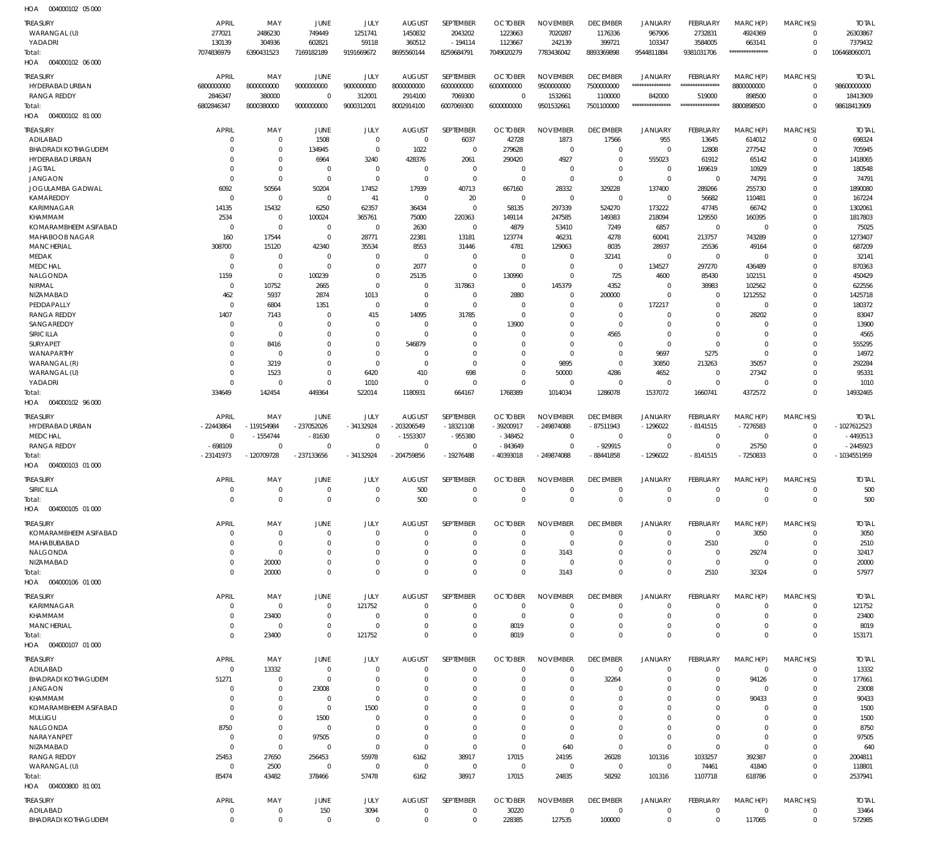004000102 05 000 HOA

| <b>TREASURY</b>            | APRIL        | MAY            | JUNE         | JULY        | <b>AUGUST</b> | SEPTEMBER        | <b>OCTOBER</b> | <b>NOVEMBER</b>  | <b>DECEMBER</b> | <b>JANUARY</b>    | FEBRUARY         | MARCH(P)         | MARCH(S)       | <b>TOTAL</b>  |
|----------------------------|--------------|----------------|--------------|-------------|---------------|------------------|----------------|------------------|-----------------|-------------------|------------------|------------------|----------------|---------------|
| WARANGAL (U)               | 277021       | 2486230        | 749449       | 1251741     | 1450832       | 2043202          | 1223663        | 7020287          | 1176336         | 967906            | 2732831          | 4924369          | $^{\circ}$     | 26303867      |
| YADADRI                    | 130139       | 304936         | 602821       | 59118       | 360512        | $-194114$        | 1123667        | 242139           | 399721          | 103347            | 3584005          | 663141           | $\mathbf 0$    | 7379432       |
| Total:                     | 7074836979   | 6390431523     | 7169182189   | 9191669672  | 8695560144    | 8259684791       | 7049020279     | 7783436042       | 8893369898      | 9544811884        | 9381031706       | **************** | $\Omega$       | 106468060071  |
| HOA<br>004000102 06 000    |              |                |              |             |               |                  |                |                  |                 |                   |                  |                  |                |               |
|                            |              |                |              |             |               |                  |                |                  |                 |                   |                  |                  |                |               |
| <b>TREASURY</b>            | <b>APRIL</b> | MAY            | JUNE         | JULY        | <b>AUGUST</b> | SEPTEMBER        | <b>OCTOBER</b> | <b>NOVEMBER</b>  | <b>DECEMBER</b> | <b>JANUARY</b>    | FEBRUARY         | MARCH(P)         | MARCH(S)       | <b>TOTAL</b>  |
| HYDERABAD URBAN            | 6800000000   | 8000000000     | 9000000000   | 9000000000  | 8000000000    | 6000000000       | 6000000000     | 9500000000       | 7500000000      | ***************** | **************** | 8800000000       | $^{\circ}$     | 98600000000   |
| RANGA REDDY                | 2846347      | 380000         | $\Omega$     | 312001      | 2914100       | 7069300          | $^{\circ}$     | 1532661          | 1100000         | 842000            | 519000           | 898500           | $^{\circ}$     | 18413909      |
| Total:                     | 6802846347   | 8000380000     | 9000000000   | 9000312001  | 8002914100    | 6007069300       | 6000000000     | 9501532661       | 7501100000      | ****************  | **************** | 8800898500       | $\Omega$       | 98618413909   |
| HOA   004000102   81 000   |              |                |              |             |               |                  |                |                  |                 |                   |                  |                  |                |               |
| <b>TREASURY</b>            | APRIL        | MAY            | JUNE         | JULY        | <b>AUGUST</b> | SEPTEMBER        | <b>OCTOBER</b> | <b>NOVEMBER</b>  | <b>DECEMBER</b> | <b>JANUARY</b>    | FEBRUARY         | MARCH(P)         | MARCH(S)       | <b>TOTAL</b>  |
| ADILABAD                   | $\Omega$     | $\mathbf 0$    | 1508         | $\Omega$    | $^{\circ}$    |                  | 42728          |                  |                 | 955               |                  |                  | $\mathbf 0$    | 698324        |
| <b>BHADRADI KOTHAGUDEM</b> |              | $\Omega$       |              | $\Omega$    |               | 6037<br>$\Omega$ |                | 1873<br>$\Omega$ | 17566           |                   | 13645            | 614012           | $\Omega$       |               |
|                            | $\Omega$     |                | 134945       |             | 1022          |                  | 279628         |                  | $\mathbf 0$     | $\mathbf 0$       | 12808            | 277542           |                | 705945        |
| HYDERABAD URBAN            | $\Omega$     | $\Omega$       | 6964         | 3240        | 428376        | 2061             | 290420         | 4927             | $\mathbf 0$     | 555023            | 61912            | 65142            | 0              | 1418065       |
| <b>JAGTIAL</b>             | $\Omega$     | $\Omega$       | $\Omega$     | $\Omega$    | $\Omega$      | $^{\circ}$       | $\Omega$       | $\Omega$         | $\Omega$        | $\mathbf 0$       | 169619           | 10929            | $\Omega$       | 180548        |
| <b>JANGAON</b>             | $\Omega$     | $\Omega$       | $\Omega$     | $\Omega$    | $\Omega$      | $\overline{0}$   | $\Omega$       | $\mathbf 0$      | $\mathbf 0$     | $\mathbf 0$       | $\mathbf 0$      | 74791            | $\Omega$       | 74791         |
| <b>JOGULAMBA GADWAL</b>    | 6092         | 50564          | 50204        | 17452       | 17939         | 40713            | 667160         | 28332            | 329228          | 137400            | 289266           | 255730           | $\Omega$       | 1890080       |
| KAMAREDDY                  | $\Omega$     | $\Omega$       | $\Omega$     | 41          | $\Omega$      | 20               | $\Omega$       | $\mathbf 0$      | $\mathbf 0$     | $\mathbf 0$       | 56682            | 110481           | $\Omega$       | 167224        |
| KARIMNAGAR                 | 14135        | 15432          | 6250         | 62357       | 36434         | $\Omega$         | 58135          | 297339           | 524270          | 173222            | 47745            | 66742            | $\Omega$       | 1302061       |
| KHAMMAM                    | 2534         | $\Omega$       | 100024       | 365761      | 75000         | 220363           | 149114         | 247585           | 149383          | 218094            | 129550           | 160395           | $\Omega$       | 1817803       |
| KOMARAMBHEEM ASIFABAD      | $\Omega$     | $\Omega$       | $\Omega$     | $\Omega$    | 2630          | $\Omega$         | 4879           | 53410            | 7249            | 6857              | $\mathbf 0$      | $\Omega$         | $\Omega$       | 75025         |
| MAHABOOB NAGAR             | 160          | 17544          | $\Omega$     | 28771       | 22381         | 13181            | 123774         | 46231            | 4278            | 60041             | 213757           | 743289           | $\Omega$       | 1273407       |
| <b>MANCHERIAL</b>          | 308700       | 15120          | 42340        | 35534       | 8553          | 31446            | 4781           | 129063           | 8035            | 28937             | 25536            | 49164            | $\Omega$       | 687209        |
| MEDAK                      | $\Omega$     | $\Omega$       | $\Omega$     | $\Omega$    | $\Omega$      | $\Omega$         | $\Omega$       | $\Omega$         | 32141           | $\mathbf 0$       | $\mathbf 0$      | $\overline{0}$   | $\Omega$       | 32141         |
| <b>MEDCHAL</b>             | $\Omega$     | $\Omega$       | $\Omega$     | $\Omega$    | 2077          | $\Omega$         | $\Omega$       | $\overline{0}$   | $\overline{0}$  | 134527            | 297270           | 436489           | $\Omega$       | 870363        |
| NALGONDA                   | 1159         | $\Omega$       | 100239       | $\Omega$    | 25135         | $\Omega$         | 130990         | $\mathbf 0$      | 725             | 4600              | 85430            | 102151           | $\Omega$       | 450429        |
| NIRMAL                     | $\Omega$     | 10752          | 2665         | $\Omega$    | $\Omega$      | 317863           | $\Omega$       | 145379           | 4352            | $\mathbf 0$       | 38983            | 102562           | $\Omega$       | 622556        |
| NIZAMABAD                  | 462          | 5937           | 2874         | 1013        | $\Omega$      | $\Omega$         | 2880           | $\Omega$         | 200000          | $\mathbf 0$       | $\Omega$         | 1212552          | $\Omega$       | 1425718       |
| PEDDAPALLY                 | $\Omega$     | 6804           | 1351         | $\Omega$    | $\Omega$      | $\Omega$         | $\Omega$       | $\Omega$         | $\Omega$        | 172217            | $\Omega$         | $\Omega$         | $\Omega$       | 180372        |
| <b>RANGA REDDY</b>         | 1407         | 7143           | $\Omega$     | 415         | 14095         | 31785            | $\Omega$       | $\Omega$         | $\mathbf 0$     | $\Omega$          | $\Omega$         | 28202            | 0              | 83047         |
| SANGAREDDY                 | $\Omega$     | $\Omega$       | $\Omega$     | $\Omega$    | $\Omega$      | $\Omega$         | 13900          | $\Omega$         | $\Omega$        | $\Omega$          | $\Omega$         | $\Omega$         | $\Omega$       | 13900         |
| <b>SIRICILLA</b>           | $\Omega$     | $\overline{0}$ | $\Omega$     | $\Omega$    | $\Omega$      | $\Omega$         | $\Omega$       | $\Omega$         | 4565            | $\Omega$          | $\Omega$         | $\Omega$         | $\Omega$       | 4565          |
| <b>SURYAPET</b>            |              | 8416           | $\Omega$     | $\Omega$    | 546879        | $\Omega$         | $\Omega$       | $\Omega$         | $\mathbf 0$     | $\Omega$          | $\Omega$         | $\Omega$         | $\Omega$       | 555295        |
|                            |              |                |              |             |               |                  |                |                  |                 |                   |                  | $\Omega$         |                |               |
| WANAPARTHY                 |              | $\Omega$       | $\Omega$     | $\Omega$    | $\Omega$      | $\Omega$         | $\Omega$       | $\mathbf 0$      | $\Omega$        | 9697              | 5275             |                  | $\Omega$       | 14972         |
| WARANGAL (R)               | $\Omega$     | 3219           | $\Omega$     | $\Omega$    | $\Omega$      | $\Omega$         | $\Omega$       | 9895             | $\Omega$        | 30850             | 213263           | 35057            | $\Omega$       | 292284        |
| WARANGAL (U)               | $\Omega$     | 1523           | $\Omega$     | 6420        | 410           | 698              | $\Omega$       | 50000            | 4286            | 4652              | $\Omega$         | 27342            | 0              | 95331         |
| YADADRI                    | $\Omega$     | $\Omega$       | $\Omega$     | 1010        | $\Omega$      | $\Omega$         | $\Omega$       | $\Omega$         | $\Omega$        | $\Omega$          | $\Omega$         | $\Omega$         | $\Omega$       | 1010          |
| Total:                     | 334649       | 142454         | 449364       | 522014      | 1180931       | 664167           | 1768389        | 1014034          | 1286078         | 1537072           | 1660741          | 4372572          | $\Omega$       | 14932465      |
| HOA  004000102  96 000     |              |                |              |             |               |                  |                |                  |                 |                   |                  |                  |                |               |
| TREASURY                   | APRIL        | MAY            | JUNE         | JULY        | <b>AUGUST</b> | SEPTEMBER        | <b>OCTOBER</b> | <b>NOVEMBER</b>  | <b>DECEMBER</b> | <b>JANUARY</b>    | FEBRUARY         | MARCH(P)         | MARCH(S)       | <b>TOTAL</b>  |
| HYDERABAD URBAN            | -22443864    | $-119154984$   | $-237052026$ | $-34132924$ | $-203206549$  | $-18321108$      | -39200917      | -249874088       | -87511943       | $-1296022$        | $-8141515$       | $-7276583$       | $\overline{0}$ | -1027612523   |
| <b>MEDCHAL</b>             | $\Omega$     | $-1554744$     | $-81630$     | $\Omega$    | $-1553307$    | $-955380$        | $-348452$      | $\overline{0}$   | $\mathbf 0$     | $\mathbf 0$       | $\mathbf 0$      | $\mathbf 0$      | $\mathbf 0$    | $-4493513$    |
|                            |              |                | $\Omega$     | $\Omega$    |               |                  |                |                  |                 | $\overline{0}$    |                  |                  |                |               |
| <b>RANGA REDDY</b>         | $-698109$    | $\mathbf 0$    |              |             | $^{\circ}$    | $\overline{0}$   | $-843649$      | $\overline{0}$   | $-929915$       |                   | $\mathbf 0$      | 25750            | $\mathbf 0$    | $-2445923$    |
| Total:                     | -23141973    | -120709728     | $-237133656$ | -34132924   | $-204759856$  | $-19276488$      | -40393018      | -249874088       | -88441858       | $-1296022$        | $-8141515$       | $-7250833$       | $\Omega$       | $-1034551959$ |
| HOA  004000103  01  000    |              |                |              |             |               |                  |                |                  |                 |                   |                  |                  |                |               |
| <b>TREASURY</b>            | APRIL        | MAY            | JUNE         | JULY        | <b>AUGUST</b> | SEPTEMBER        | <b>OCTOBER</b> | <b>NOVEMBER</b>  | <b>DECEMBER</b> | <b>JANUARY</b>    | FEBRUARY         | MARCH(P)         | MARCH(S)       | <b>TOTAL</b>  |
|                            |              |                |              |             |               |                  |                | $\mathbf 0$      |                 |                   |                  |                  | $\Omega$       |               |
|                            | $\Omega$     | $\Omega$       | $\Omega$     | $\Omega$    |               | $\Omega$         | $\mathbf{0}$   |                  |                 | $\overline{0}$    | $\Omega$         |                  |                |               |
| SIRICILLA                  |              |                |              |             | 500           |                  |                |                  | $\mathbf 0$     |                   |                  | $\mathbf 0$      |                | 500           |
| Total:                     | $\mathbf 0$  | $\mathbf 0$    | $\mathbf 0$  | $\mathbf 0$ | 500           | $\mathbf 0$      | $\mathbf 0$    | $\mathbf 0$      | 0               | $\mathbf 0$       | $\mathbf 0$      | $\mathbf 0$      | $\mathbf 0$    | 500           |
| HOA<br>004000105 01 000    |              |                |              |             |               |                  |                |                  |                 |                   |                  |                  |                |               |
| <b>TREASURY</b>            | <b>APRIL</b> | MAY            | JUNE         | JULY        | <b>AUGUST</b> | SEPTEMBER        | <b>OCTOBER</b> | <b>NOVEMBER</b>  | <b>DECEMBER</b> | <b>JANUARY</b>    | <b>FEBRUARY</b>  | MARCH(P)         | MARCH(S)       | <b>TOTAL</b>  |
| KOMARAMBHEEM ASIFABAD      | $\Omega$     | $\mathbf 0$    | $\Omega$     | $\Omega$    | $\Omega$      | $\overline{0}$   | $\overline{0}$ | $\overline{0}$   | $\mathbf 0$     | $\mathbf 0$       | $\mathbf 0$      | 3050             | $\mathbf 0$    | 3050          |
| MAHABUBABAD                | $\Omega$     | $\Omega$       | $\Omega$     | $\Omega$    | 0             | $\overline{0}$   | $^{\circ}$     | $\overline{0}$   | $\mathbf 0$     | $\overline{0}$    | 2510             | $\overline{0}$   | $\mathbf 0$    | 2510          |
| NALGONDA                   | $\Omega$     | $\overline{0}$ | $\Omega$     | $\Omega$    |               | $\overline{0}$   | $^{\circ}$     | 3143             | $\mathbf 0$     | $\overline{0}$    | $\mathbf 0$      | 29274            | 0              | 32417         |
| NIZAMABAD                  | $\Omega$     | 20000          | $\Omega$     | $\Omega$    | $\Omega$      | $\overline{0}$   | $\Omega$       | $\Omega$         | $\mathbf 0$     | $\mathbf 0$       | $\mathbf 0$      | $\mathbf 0$      | 0              | 20000         |
| Total:                     | $\Omega$     | 20000          | $\Omega$     | $\Omega$    | $\Omega$      | $\overline{0}$   | $\overline{0}$ | 3143             | $\mathbf 0$     | $\mathbf 0$       | 2510             | 32324            | $\mathbf 0$    | 57977         |
| HOA  004000106  01 000     |              |                |              |             |               |                  |                |                  |                 |                   |                  |                  |                |               |
|                            |              |                |              |             |               |                  |                |                  |                 |                   |                  |                  |                |               |
| <b>TREASURY</b>            | <b>APRIL</b> | MAY            | JUNE         | JULY        | <b>AUGUST</b> | SEPTEMBER        | <b>OCTOBER</b> | <b>NOVEMBER</b>  | <b>DECEMBER</b> | <b>JANUARY</b>    | FEBRUARY         | MARCH(P)         | MARCH(S)       | <b>TOTAL</b>  |
| KARIMNAGAR                 | $\Omega$     | $\Omega$       | $\Omega$     | 121752      | $\Omega$      | $\Omega$         | $\Omega$       | $\Omega$         | $\mathbf 0$     | $\overline{0}$    | $\Omega$         | $\Omega$         | $\mathbf 0$    | 121752        |
| KHAMMAM                    | $\Omega$     | 23400          | $\Omega$     | $\Omega$    | $\Omega$      | $^{\circ}$       | $\Omega$       | $\Omega$         | $\mathbf 0$     | $\overline{0}$    | $\Omega$         | $\Omega$         | $\mathbf 0$    | 23400         |
| <b>MANCHERIAL</b>          |              | $\Omega$       | $\Omega$     | $\mathbf 0$ | 0             | $^{\circ}$       | 8019           | $^{\circ}$       | $\mathbf 0$     | $\overline{0}$    | 0                | $\mathbf 0$      | 0              | 8019          |
| Total:                     | $\Omega$     | 23400          | $\Omega$     | 121752      | $\Omega$      | $\Omega$         | 8019           | $\mathbf 0$      | $\Omega$        | $\overline{0}$    | $\Omega$         | $\Omega$         | $\Omega$       | 153171        |
| HOA  004000107  01  000    |              |                |              |             |               |                  |                |                  |                 |                   |                  |                  |                |               |
|                            |              |                |              |             |               |                  |                |                  |                 |                   |                  |                  |                |               |
| <b>TREASURY</b>            | <b>APRIL</b> | MAY            | JUNE         | JULY        | <b>AUGUST</b> | SEPTEMBER        | <b>OCTOBER</b> | <b>NOVEMBER</b>  | <b>DECEMBER</b> | <b>JANUARY</b>    | FEBRUARY         | MARCH(P)         | MARCH(S)       | <b>TOTAL</b>  |
| ADILABAD                   | $\mathbf 0$  | 13332          | $\mathbf 0$  | $\mathbf 0$ | $\Omega$      | $\overline{0}$   | $\overline{0}$ | $\overline{0}$   | 0               | $\overline{0}$    | $\mathbf 0$      | $\mathbf 0$      | $\overline{0}$ | 13332         |
| <b>BHADRADI KOTHAGUDEM</b> | 51271        | $\mathbf 0$    | $\Omega$     | $\Omega$    | $\Omega$      | $\overline{0}$   | $\Omega$       | $\Omega$         | 32264           | $\overline{0}$    | 0                | 94126            | $\mathbf 0$    | 177661        |
| <b>JANGAON</b>             | $\Omega$     | $\mathbf 0$    | 23008        | $\Omega$    | $\Omega$      | $\overline{0}$   | $\Omega$       | $\Omega$         | 0               | $\mathbf 0$       | 0                | $\mathbf 0$      | 0              | 23008         |
| KHAMMAM                    | $\Omega$     | $\mathbf 0$    | $\Omega$     | $\Omega$    | $\Omega$      | $\overline{0}$   | $\Omega$       | $\overline{0}$   | $\mathbf 0$     | $\mathbf 0$       | 0                | 90433            | 0              | 90433         |
| KOMARAMBHEEM ASIFABAD      | $\Omega$     | $\Omega$       | $\Omega$     | 1500        |               | $\Omega$         | $\Omega$       | $\Omega$         | 0               | $\Omega$          | $\Omega$         | $\Omega$         | $\Omega$       | 1500          |
| MULUGU                     | $\Omega$     | $\Omega$       | 1500         | $\Omega$    | $\Omega$      | $\Omega$         | $\Omega$       | $\Omega$         | $\mathbf 0$     | $\Omega$          | $\Omega$         | $\Omega$         | 0              | 1500          |
| NALGONDA                   | 8750         | $\mathbf 0$    | $\Omega$     | $\Omega$    | $\Omega$      | $\Omega$         | $\Omega$       | $\Omega$         | $\mathbf 0$     | $\Omega$          | $\Omega$         | $\Omega$         | $\Omega$       | 8750          |
| NARAYANPET                 | $\Omega$     | $\mathbf 0$    | 97505        | $\Omega$    | $\Omega$      | $^{\circ}$       | $\Omega$       | $\overline{0}$   | $\mathbf 0$     | $\overline{0}$    | $\mathbf 0$      | $\mathbf 0$      | 0              | 97505         |
| NIZAMABAD                  | $\Omega$     | $\mathbf 0$    | $\Omega$     | $\mathbf 0$ | $^{\circ}$    | $^{\circ}$       | $^{\circ}$     | 640              | $\mathbf 0$     | $\overline{0}$    | $\mathbf 0$      | $\overline{0}$   | $\Omega$       | 640           |
| RANGA REDDY                | 25453        | 27650          | 256453       | 55978       | 6162          | 38917            | 17015          | 24195            | 26028           | 101316            | 1033257          | 392387           | 0              | 2004811       |
| WARANGAL (U)               | $\Omega$     | 2500           | $\Omega$     | $\mathbf 0$ | $^{\circ}$    | $^{\circ}$       | $\Omega$       | $\Omega$         | $\mathbf 0$     | $\overline{0}$    | 74461            | 41840            | 0              | 118801        |
| Total:                     | 85474        | 43482          | 378466       | 57478       | 6162          | 38917            | 17015          | 24835            | 58292           | 101316            | 1107718          | 618786           | $\mathbf 0$    | 2537941       |
| HOA  004000800  81 001     |              |                |              |             |               |                  |                |                  |                 |                   |                  |                  |                |               |
|                            |              |                |              |             |               |                  |                |                  |                 |                   |                  |                  |                |               |
| <b>TREASURY</b>            | APRIL        | MAY            | JUNE         | JULY        | <b>AUGUST</b> | SEPTEMBER        | <b>OCTOBER</b> | <b>NOVEMBER</b>  | <b>DECEMBER</b> | <b>JANUARY</b>    | FEBRUARY         | MARCH(P)         | MARCH(S)       | <b>TOTAL</b>  |
| ADILABAD                   | $\Omega$     | 0              | 150          | 3094        | $^{\circ}$    | $^{\circ}$       | 30220          | $^{\circ}$       | $\mathbf 0$     | $\mathbf 0$       | $\mathbf 0$      | $\Omega$         | $\mathbf 0$    | 33464         |
| <b>BHADRADI KOTHAGUDEM</b> | $\Omega$     | $\mathbf 0$    | $\mathbf 0$  | $\mathbf 0$ | $\Omega$      | $\overline{0}$   | 228385         | 127535           | 100000          | $\mathbf 0$       | $\mathbf 0$      | 117065           | $\mathbf 0$    | 572985        |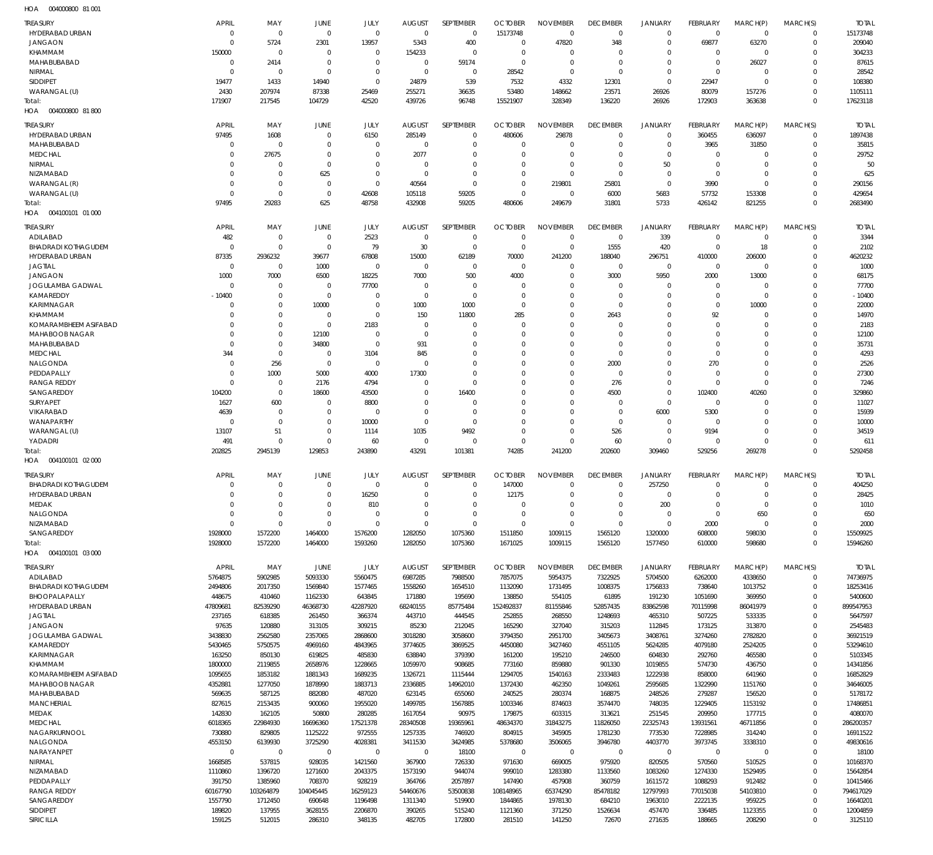004000800 81 001 HOA

| <b>TREASURY</b>                               | <b>APRIL</b>               | MAY                        | <b>JUNE</b>                | JULY                       | <b>AUGUST</b>                | <b>SEPTEMBER</b>           | <b>OCTOBER</b>                | <b>NOVEMBER</b>                | <b>DECEMBER</b>                | <b>JANUARY</b>             | <b>FEBRUARY</b>          | MARCH(P)                   | MARCH(S)                   | <b>TOTAI</b>           |
|-----------------------------------------------|----------------------------|----------------------------|----------------------------|----------------------------|------------------------------|----------------------------|-------------------------------|--------------------------------|--------------------------------|----------------------------|--------------------------|----------------------------|----------------------------|------------------------|
| HYDERABAD URBAN                               | $\Omega$                   | $\mathbf 0$                | $\mathbf 0$                | $\mathbf 0$                | $\mathbf 0$                  | $\mathbf 0$                | 15173748                      | $\mathbf 0$                    | $\mathbf 0$                    | $\mathbf 0$                | $\mathbf 0$              | $\mathbf 0$                | $\Omega$                   | 15173748               |
| <b>JANGAON</b><br>KHAMMAM                     | $\Omega$<br>150000         | 5724<br>$\mathbf 0$        | 2301<br>$\overline{0}$     | 13957<br>$\mathbf 0$       | 5343<br>154233               | 400<br>$\mathbf 0$         | $\overline{0}$<br>$\Omega$    | 47820<br>$\Omega$              | 348<br>$\Omega$                | $\mathbf 0$<br>$\mathbf 0$ | 69877<br>$\mathbf 0$     | 63270<br>$\mathbf 0$       | $\mathbf 0$<br>$\Omega$    | 209040<br>304233       |
| MAHABUBABAD                                   | $\Omega$                   | 2414                       | $\overline{0}$             | $\mathbf 0$                | 0                            | 59174                      | $\overline{0}$                | $\mathbf 0$                    | 0                              | $\mathbf 0$                | $\mathbf 0$              | 26027                      | $\Omega$                   | 87615                  |
| NIRMAL                                        | $\Omega$                   | $\mathbf 0$                | $\Omega$                   | $\mathbf 0$                | $\mathbf 0$                  | $\mathbf 0$                | 28542                         | $\mathbf 0$                    | $\mathbf 0$                    | $\mathbf 0$                | $\mathbf 0$              | $\Omega$                   | $\Omega$                   | 28542                  |
| <b>SIDDIPET</b>                               | 19477                      | 1433                       | 14940                      | $\mathbf 0$                | 24879                        | 539                        | 7532                          | 4332                           | 12301                          | $\mathbf 0$                | 22947                    | $\mathbf 0$                | $\Omega$                   | 108380                 |
| WARANGAL (U)<br>Total:                        | 2430<br>171907             | 207974<br>217545           | 87338<br>104729            | 25469<br>42520             | 255271<br>439726             | 36635<br>96748             | 53480<br>15521907             | 148662<br>328349               | 23571<br>136220                | 26926<br>26926             | 80079<br>172903          | 157276<br>363638           | $\Omega$<br>$\Omega$       | 1105111<br>17623118    |
| 004000800 81800<br>HOA                        |                            |                            |                            |                            |                              |                            |                               |                                |                                |                            |                          |                            |                            |                        |
| <b>TREASURY</b>                               | APRIL                      | MAY                        | <b>JUNE</b>                | JULY                       | <b>AUGUST</b>                | SEPTEMBER                  | <b>OCTOBER</b>                | <b>NOVEMBER</b>                | <b>DECEMBER</b>                | <b>JANUARY</b>             | FEBRUARY                 | MARCH(P)                   | MARCH(S)                   | <b>TOTAL</b>           |
| HYDERABAD URBAN                               | 97495                      | 1608                       | $\overline{0}$             | 6150                       | 285149                       | $\mathbf 0$                | 480606                        | 29878                          | $\mathbf 0$                    | $\mathbf 0$                | 360455                   | 636097                     | $\mathbf 0$                | 1897438                |
| MAHABUBABAD                                   | $\Omega$                   | $\mathbf 0$                | $\Omega$                   | $\mathbf 0$                | $\mathbf 0$                  | $\mathbf 0$                | $\Omega$                      | $\mathbf 0$                    | 0                              | $\mathbf 0$                | 3965                     | 31850                      | 0                          | 35815                  |
| <b>MEDCHAL</b><br>NIRMAL                      | -0                         | 27675<br>$\mathbf 0$       | $\mathbf 0$<br>$\Omega$    | $\mathbf 0$<br>$\mathbf 0$ | 2077<br>0                    | $\mathbf 0$<br>$\mathbf 0$ | $\Omega$<br>$\Omega$          | $\mathbf 0$<br>$\mathbf 0$     | 0<br>0                         | $\mathbf 0$<br>50          | $\mathbf 0$<br>0         | $\mathbf 0$<br>$\mathbf 0$ | $\Omega$<br>$\Omega$       | 29752<br>50            |
| NIZAMABAD                                     | -0                         | $\mathbf 0$                | 625                        | $\mathbf 0$                | 0                            | $\mathbf 0$                | $\mathbf 0$                   | $\mathbf 0$                    | $\mathbf 0$                    | $\mathbf 0$                | $\mathbf 0$              | $\mathbf 0$                | $\Omega$                   | 625                    |
| WARANGAL (R)                                  | $\Omega$                   | $\mathbf 0$                | $\overline{0}$             | $\mathbf 0$                | 40564                        | $\mathbf 0$                | $\mathbf 0$                   | 219801                         | 25801                          | $\mathbf 0$                | 3990                     | $\mathbf 0$                | $\Omega$                   | 290156                 |
| WARANGAL (U)                                  | $\Omega$                   | $\mathbf 0$                | $\overline{0}$             | 42608                      | 105118                       | 59205                      | $\overline{0}$                | $\mathbf 0$                    | 6000                           | 5683                       | 57732                    | 153308                     | $\Omega$<br>$\Omega$       | 429654                 |
| Total:<br>004100101 01 000<br>HOA             | 97495                      | 29283                      | 625                        | 48758                      | 432908                       | 59205                      | 480606                        | 249679                         | 31801                          | 5733                       | 426142                   | 821255                     |                            | 2683490                |
| <b>TREASURY</b>                               | <b>APRIL</b>               | MAY                        | <b>JUNE</b>                | JULY                       | <b>AUGUST</b>                | <b>SEPTEMBER</b>           | <b>OCTOBER</b>                | <b>NOVEMBER</b>                | <b>DECEMBER</b>                | JANUARY                    | FEBRUARY                 | MARCH(P)                   | MARCH(S)                   | <b>TOTAL</b>           |
| ADILABAD                                      | 482                        | $\mathbf 0$                | $\mathbf 0$                | 2523                       | $\mathbf 0$                  | $\mathbf 0$                | $\overline{0}$                | $\mathbf 0$                    | $\mathbf 0$                    | 339                        | $\mathbf 0$              | $\mathbf 0$                | $\mathbf 0$                | 3344                   |
| <b>BHADRADI KOTHAGUDEM</b>                    | $\Omega$                   | $\mathbf 0$                | $\overline{0}$             | 79                         | 30                           | $\mathbf 0$                | $\overline{0}$                | $\mathbf 0$                    | 1555                           | 420                        | $\mathbf 0$              | 18                         | $\mathbf 0$                | 2102                   |
| <b>HYDERABAD URBAN</b>                        | 87335                      | 2936232                    | 39677                      | 67808                      | 15000                        | 62189                      | 70000                         | 241200                         | 188040                         | 296751                     | 410000                   | 206000                     | $\Omega$                   | 4620232                |
| <b>JAGTIAL</b><br><b>JANGAON</b>              | $\mathbf 0$<br>1000        | $\mathbf 0$<br>7000        | 1000<br>6500               | $\mathbf 0$<br>18225       | $\mathbf 0$<br>7000          | 0<br>500                   | $\Omega$<br>4000              | $\Omega$<br>$\mathbf 0$        | $\mathbf 0$<br>3000            | $\mathbf 0$<br>5950        | $\mathbf 0$<br>2000      | $\Omega$<br>13000          | $\Omega$<br>$\Omega$       | 1000<br>68175          |
| <b>JOGULAMBA GADWAL</b>                       | $\Omega$                   | $\mathbf 0$                | $\mathbf 0$                | 77700                      | $\Omega$                     | $\mathbf 0$                | $\Omega$                      | $\Omega$                       | $\Omega$                       | 0                          | $\mathbf 0$              | 0                          | $\Omega$                   | 77700                  |
| KAMAREDDY                                     | $-10400$                   | $\mathbf 0$                | $\overline{0}$             | $\mathbf 0$                | $\Omega$                     | $\mathbf 0$                | $\Omega$                      | $\Omega$                       | $\Omega$                       | $\mathbf 0$                | $\mathbf 0$              | $\Omega$                   | $\Omega$                   | $-10400$               |
| KARIMNAGAR<br>KHAMMAM                         | $\Omega$<br>$\Omega$       | $\mathbf 0$<br>$\mathbf 0$ | 10000<br>$\mathbf 0$       | $\mathbf 0$<br>$\mathbf 0$ | 1000<br>150                  | 1000<br>11800              | $\Omega$<br>285               | $\mathbf 0$<br>$\Omega$        | $\mathbf 0$<br>2643            | $\mathbf 0$<br>$\Omega$    | $\mathbf 0$<br>92        | 10000<br>$\Omega$          | $\Omega$<br>$\Omega$       | 22000<br>14970         |
| KOMARAMBHEEM ASIFABAD                         | $\Omega$                   | $\mathbf 0$                | $\overline{0}$             | 2183                       | $\mathbf 0$                  | $\mathbf 0$                | $\Omega$                      | $\Omega$                       | $\Omega$                       | $\mathbf 0$                | $\Omega$                 | $\Omega$                   | $\Omega$                   | 2183                   |
| MAHABOOB NAGAR                                | $\Omega$                   | $\mathbf 0$                | 12100                      | $\mathbf 0$                | $\Omega$                     | $\mathbf 0$                | $\Omega$                      | $\Omega$                       | $\Omega$                       | $\Omega$                   | $\Omega$                 | $\Omega$                   | $\Omega$                   | 12100                  |
| MAHABUBABAD                                   | $\Omega$                   | $\mathbf 0$                | 34800                      | $\mathbf 0$                | 931                          | $\mathbf 0$                | $\Omega$                      | $\Omega$                       | 0                              | $\Omega$                   | $\Omega$                 | $\Omega$                   | $\Omega$                   | 35731                  |
| <b>MEDCHAL</b><br>NALGONDA                    | 344<br>$\Omega$            | $\mathbf 0$<br>256         | $^{\circ}$<br>$^{\circ}$   | 3104<br>$\mathbf 0$        | 845<br>$\mathbf 0$           | $\mathbf 0$<br>$\Omega$    | $\Omega$<br>$\Omega$          | $\mathbf 0$<br>$\Omega$        | $\mathbf 0$<br>2000            | $\mathbf 0$<br>$\mathbf 0$ | $\Omega$<br>270          | $\Omega$<br>$\Omega$       | $\Omega$<br>$\Omega$       | 4293<br>2526           |
| PEDDAPALLY                                    | $\Omega$                   | 1000                       | 5000                       | 4000                       | 17300                        | $\mathbf 0$                | $\Omega$                      | $\Omega$                       | $\Omega$                       | $\mathbf 0$                | $\Omega$                 | $\Omega$                   | $\Omega$                   | 27300                  |
| <b>RANGA REDDY</b>                            | $\Omega$                   | $\mathbf 0$                | 2176                       | 4794                       | $\Omega$                     | $\mathbf 0$                | $\Omega$                      | $\Omega$                       | 276                            | $\mathbf 0$                | $\mathbf 0$              | $\Omega$                   | $\Omega$                   | 7246                   |
| SANGAREDDY<br>SURYAPET                        | 104200                     | $\mathbf 0$<br>600         | 18600<br>$\mathbf 0$       | 43500<br>8800              | $\Omega$<br>$\Omega$         | 16400<br>$\mathbf 0$       | $\Omega$<br>$\Omega$          | $\Omega$<br>$\Omega$           | 4500<br>0                      | $\mathbf 0$<br>$\mathbf 0$ | 102400<br>$\mathbf 0$    | 40260<br>$\Omega$          | $\Omega$<br>$\Omega$       | 329860<br>11027        |
| VIKARABAD                                     | 1627<br>4639               | $\mathbf 0$                | $\mathbf 0$                | $\mathbf 0$                | $\Omega$                     | $\Omega$                   | $\Omega$                      | $\Omega$                       | $\Omega$                       | 6000                       | 5300                     | $\Omega$                   | $\Omega$                   | 15939                  |
| WANAPARTHY                                    | $\Omega$                   | $\mathbf 0$                | $\mathbf 0$                | 10000                      | $\mathbf 0$                  | $\mathbf 0$                | $\Omega$                      | $\Omega$                       | $\mathbf 0$                    | $\mathbf 0$                | $\mathbf 0$              | $\Omega$                   | $\Omega$                   | 10000                  |
| WARANGAL (U)                                  | 13107                      | 51                         | $\mathbf 0$                | 1114                       | 1035                         | 9492                       | $\Omega$                      | $\mathbf 0$                    | 526                            | $\mathbf 0$                | 9194                     | $\Omega$                   | $\Omega$                   | 34519                  |
|                                               |                            |                            |                            |                            |                              |                            |                               |                                |                                |                            |                          |                            |                            |                        |
| YADADRI                                       | 491                        | $\mathbf 0$                | $\mathbf 0$                | 60                         | $\mathbf 0$                  | $\mathbf 0$                | $\mathbf 0$                   | $\mathbf 0$                    | 60                             | $\mathbf 0$                | $\mathbf 0$              | $\Omega$                   | $\Omega$                   | 611                    |
| Total:<br>HOA   004100101   02   000          | 202825                     | 2945139                    | 129853                     | 243890                     | 43291                        | 101381                     | 74285                         | 241200                         | 202600                         | 309460                     | 529256                   | 269278                     | $\Omega$                   | 5292458                |
|                                               |                            |                            |                            |                            |                              |                            |                               |                                |                                |                            |                          |                            |                            |                        |
| <b>TREASURY</b><br><b>BHADRADI KOTHAGUDEM</b> | <b>APRIL</b><br>$\Omega$   | MAY<br>$\mathbf 0$         | <b>JUNE</b><br>$\mathbf 0$ | JULY<br>$\mathbf 0$        | <b>AUGUST</b><br>$\mathbf 0$ | SEPTEMBER<br>$\mathbf 0$   | <b>OCTOBER</b><br>147000      | <b>NOVEMBER</b><br>$\mathbf 0$ | <b>DECEMBER</b><br>$\mathbf 0$ | JANUARY<br>257250          | FEBRUARY<br>$\mathbf{0}$ | MARCH(P)<br>$\mathbf 0$    | MARCH(S)<br>$\mathbf 0$    | <b>TOTAL</b><br>404250 |
| HYDERABAD URBAN                               | $\Omega$                   | $\Omega$                   | $\Omega$                   | 16250                      | $\Omega$                     | $\Omega$                   | 12175                         | $\Omega$                       | $\Omega$                       | $\Omega$                   | $\Omega$                 | $\Omega$                   | $\Omega$                   | 28425                  |
| <b>MEDAK</b>                                  | $\mathbf 0$                | $\mathbf 0$                | $\mathbf 0$                | 810                        | $\Omega$                     | $\mathbf 0$                | $\Omega$                      | $\mathbf 0$                    | $\mathbf 0$                    | 200                        | $\mathbf 0$              | $\mathbf 0$                | $\mathbf 0$                | 1010                   |
| NALGONDA<br>NIZAMABAD                         | $\mathbf 0$<br>$\mathbf 0$ | $\mathbf 0$<br>$\mathbf 0$ | $\mathbf 0$<br>$\mathbf 0$ | $\mathbf 0$<br>$\mathbf 0$ | $\mathbf 0$<br>$\mathbf 0$   | $\mathbf 0$<br>$\mathbf 0$ | $\mathbf 0$<br>$\overline{0}$ | $\mathbf 0$<br>$\mathbf 0$     | $\mathbf 0$<br>$\mathbf 0$     | $\mathbf 0$<br>$\mathbf 0$ | $\mathbf 0$<br>2000      | 650<br>$\mathbf 0$         | $\mathbf 0$<br>$\mathbf 0$ | 650<br>2000            |
| SANGAREDDY                                    | 1928000                    | 1572200                    | 1464000                    | 1576200                    | 1282050                      | 1075360                    | 1511850                       | 1009115                        | 1565120                        | 1320000                    | 608000                   | 598030                     | $\mathbf 0$                | 15509925               |
| Total:                                        | 1928000                    | 1572200                    | 1464000                    | 1593260                    | 1282050                      | 1075360                    | 1671025                       | 1009115                        | 1565120                        | 1577450                    | 610000                   | 598680                     | $\Omega$                   | 15946260               |
| HOA   004100101   03   000                    |                            |                            |                            |                            |                              |                            |                               |                                |                                |                            |                          |                            |                            |                        |
| <b>TREASURY</b>                               | APRIL                      | MAY                        | <b>JUNE</b>                | JULY                       | <b>AUGUST</b>                | SEPTEMBER                  | <b>OCTOBER</b>                | <b>NOVEMBER</b>                | <b>DECEMBER</b>                | <b>JANUARY</b>             | <b>FEBRUARY</b>          | MARCH(P)                   | MARCH(S)                   | <b>TOTAL</b>           |
| ADILABAD<br><b>BHADRADI KOTHAGUDEM</b>        | 5764875<br>2494806         | 5902985<br>2017350         | 5093330<br>1569840         | 5560475<br>1577465         | 6987285<br>1558260           | 7988500<br>1654510         | 7857075<br>1132090            | 5954375<br>1731495             | 7322925<br>1008375             | 5704500<br>1756833         | 6262000<br>738640        | 4338650<br>1013752         | $\mathbf 0$<br>$\mathbf 0$ | 74736975<br>18253416   |
| BHOOPALAPALLY                                 | 448675                     | 410460                     | 1162330                    | 643845                     | 171880                       | 195690                     | 138850                        | 554105                         | 61895                          | 191230                     | 1051690                  | 369950                     | $\mathbf 0$                | 5400600                |
| HYDERABAD URBAN                               | 47809681                   | 82539290                   | 46368730                   | 42287920                   | 68240155                     | 85775484                   | 152492837                     | 81155846                       | 52857435                       | 83862598                   | 70115998                 | 86041979                   | $\Omega$                   | 899547953              |
| <b>JAGTIAL</b><br><b>JANGAON</b>              | 237165<br>97635            | 618385<br>120880           | 261450<br>313105           | 366374<br>309215           | 443710<br>85230              | 444545<br>212045           | 252855<br>165290              | 268550<br>327040               | 1248693<br>315203              | 465310<br>112845           | 507225<br>173125         | 533335<br>313870           | $\mathbf 0$<br>$\Omega$    | 5647597<br>2545483     |
| JOGULAMBA GADWAL                              | 3438830                    | 2562580                    | 2357065                    | 2868600                    | 3018280                      | 3058600                    | 3794350                       | 2951700                        | 3405673                        | 3408761                    | 3274260                  | 2782820                    | $\Omega$                   | 36921519               |
| KAMAREDDY                                     | 5430465                    | 5750575                    | 4969160                    | 4843965                    | 3774605                      | 3869525                    | 4450080                       | 3427460                        | 4551105                        | 5624285                    | 4079180                  | 2524205                    | $\mathbf 0$                | 53294610               |
| KARIMNAGAR                                    | 163250                     | 850130                     | 619825                     | 485830                     | 638840                       | 379390                     | 161200                        | 195210                         | 246500                         | 604830                     | 292760                   | 465580                     | $\Omega$                   | 5103345                |
| KHAMMAM<br>KOMARAMBHEEM ASIFABAD              | 1800000<br>1095655         | 2119855<br>1853182         | 2658976<br>1881343         | 1228665<br>1689235         | 1059970<br>1326721           | 908685<br>1115444          | 773160<br>1294705             | 859880<br>1540163              | 901330<br>2333483              | 1019855<br>1222938         | 574730<br>858000         | 436750<br>641960           | $\Omega$<br>$\mathbf 0$    | 14341856<br>16852829   |
| MAHABOOB NAGAR                                | 4352881                    | 1277050                    | 1878990                    | 1883713                    | 2336885                      | 14962010                   | 1372430                       | 462350                         | 1049261                        | 2595685                    | 1322990                  | 1151760                    | $\Omega$                   | 34646005               |
| MAHABUBABAD                                   | 569635                     | 587125                     | 882080                     | 487020                     | 623145                       | 655060                     | 240525                        | 280374                         | 168875                         | 248526                     | 279287                   | 156520                     | $\mathbf 0$                | 5178172                |
| <b>MANCHERIAL</b><br><b>MEDAK</b>             | 827615<br>142830           | 2153435<br>162105          | 900060<br>50800            | 1955020<br>280285          | 1499785<br>1617054           | 1567885<br>90975           | 1003346<br>179875             | 874603<br>603315               | 3574470<br>313621              | 748035<br>251545           | 1229405<br>209950        | 1153192<br>177715          | $\Omega$<br>$\mathbf 0$    | 17486851<br>4080070    |
| <b>MEDCHAL</b>                                | 6018365                    | 22984930                   | 16696360                   | 17521378                   | 28340508                     | 19365961                   | 48634370                      | 31843275                       | 11826050                       | 22325743                   | 13931561                 | 46711856                   | $\mathbf 0$                | 286200357              |
| NAGARKURNOOL                                  | 730880                     | 829805                     | 1125222                    | 972555                     | 1257335                      | 746920                     | 804915                        | 345905                         | 1781230                        | 773530                     | 7228985                  | 314240                     | $\mathbf 0$                | 16911522               |
| NALGONDA                                      | 4553150                    | 6139930                    | 3725290                    | 4028381                    | 3411530                      | 3424985                    | 5378680                       | 3506065                        | 3946780                        | 4403770                    | 3973745                  | 3338310<br>$\mathbf 0$     | $\Omega$<br>$\mathbf 0$    | 49830616               |
| NARAYANPET<br>NIRMAL                          | $\mathbf 0$<br>1668585     | $\mathbf 0$<br>537815      | $\mathbf 0$<br>928035      | $\mathbf 0$<br>1421560     | $\mathbf 0$<br>367900        | 18100<br>726330            | $\mathbf 0$<br>971630         | $\mathbf 0$<br>669005          | $\mathbf 0$<br>975920          | $\mathbf 0$<br>820505      | $\mathbf 0$<br>570560    | 510525                     | $\mathbf 0$                | 18100<br>10168370      |
| NIZAMABAD                                     | 1110860                    | 1396720                    | 1271600                    | 2043375                    | 1573190                      | 944074                     | 999010                        | 1283380                        | 1133560                        | 1083260                    | 1274330                  | 1529495                    | $\mathbf 0$                | 15642854               |
| PEDDAPALLY                                    | 391750                     | 1385960                    | 708370                     | 928219                     | 364766                       | 2057897                    | 147490                        | 457908                         | 360759                         | 1611572                    | 1088293                  | 912482                     | $\Omega$                   | 10415466               |
| <b>RANGA REDDY</b><br>SANGAREDDY              | 60167790<br>1557790        | 103264879<br>1712450       | 104045445<br>690648        | 16259123<br>1196498        | 54460676<br>1311340          | 53500838<br>519900         | 108148965<br>1844865          | 65374290<br>1978130            | 85478182<br>684210             | 12797993<br>1963010        | 77015038<br>2222135      | 54103810<br>959225         | $\mathbf 0$<br>$\Omega$    | 794617029<br>16640201  |
| <b>SIDDIPET</b><br>SIRICILLA                  | 189820<br>159125           | 137955<br>512015           | 3628155<br>286310          | 2206870<br>348135          | 390265<br>482705             | 515240<br>172800           | 1121360<br>281510             | 371250<br>141250               | 1526634<br>72670               | 457470<br>271635           | 336485<br>188665         | 1123355<br>208290          | $\mathbf 0$<br>$\Omega$    | 12004859<br>3125110    |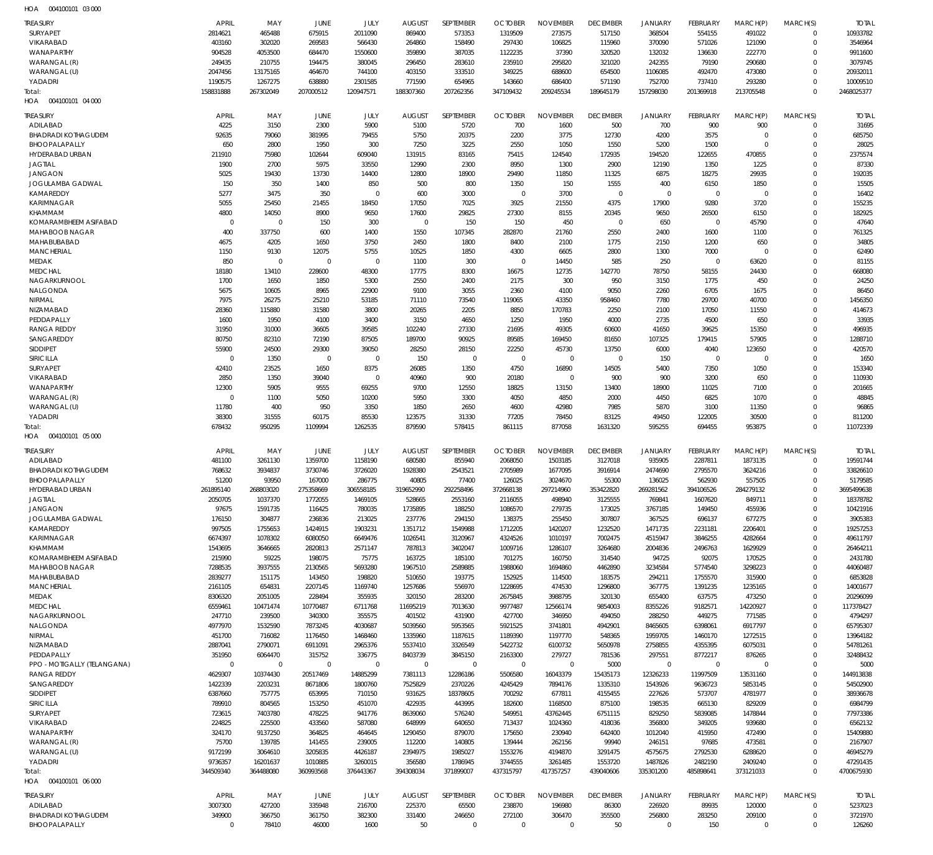004100101 03 000 HOA

| <b>TREASURY</b>                                   | <b>APRIL</b>           | MAY                     | JUNE                    | JULY                    | <b>AUGUST</b>          | SEPTEMBER                  | <b>OCTOBER</b>        | <b>NOVEMBER</b>         | <b>DECEMBER</b>     | <b>JANUARY</b>             | <b>FEBRUARY</b>         | MARCH(P)                         | MARCH(S)                      | <b>TOTAL</b>          |
|---------------------------------------------------|------------------------|-------------------------|-------------------------|-------------------------|------------------------|----------------------------|-----------------------|-------------------------|---------------------|----------------------------|-------------------------|----------------------------------|-------------------------------|-----------------------|
| SURYAPET<br>VIKARABAD                             | 2814621<br>403160      | 465488<br>302020        | 675915                  | 2011090                 | 869400                 | 573353<br>158490           | 1319509               | 273575                  | 517150              | 368504<br>370090           | 554155                  | 491022                           | $\overline{0}$<br>$\mathbf 0$ | 10933782              |
| <b>WANAPARTHY</b>                                 | 904528                 | 4053500                 | 269583<br>684470        | 566430<br>1550600       | 264860<br>359890       | 387035                     | 297430<br>1122235     | 106825<br>37390         | 115960<br>320520    | 132032                     | 571026<br>136630        | 121090<br>222770                 | $\mathbf 0$                   | 3546964<br>9911600    |
| WARANGAL (R)                                      | 249435                 | 210755                  | 194475                  | 380045                  | 296450                 | 283610                     | 235910                | 295820                  | 321020              | 242355                     | 79190                   | 290680                           | $\mathbf 0$                   | 3079745               |
| WARANGAL (U)                                      | 2047456                | 13175165                | 464670                  | 744100                  | 403150                 | 333510                     | 349225                | 688600                  | 654500              | 1106085                    | 492470                  | 473080                           | $\mathbf 0$                   | 20932011              |
| YADADRI                                           | 1190575                | 1267275                 | 638880                  | 2301585                 | 771590                 | 654965                     | 143660                | 686400                  | 571190              | 752700                     | 737410                  | 293280                           | $\mathbf 0$                   | 10009510              |
| Total:                                            | 158831888              | 267302049               | 207000512               | 120947571               | 188307360              | 207262356                  | 347109432             | 209245534               | 189645179           | 157298030                  | 201369918               | 213705548                        | $\Omega$                      | 2468025377            |
| 004100101 04 000<br>HOA                           |                        |                         |                         |                         |                        |                            |                       |                         |                     |                            |                         |                                  |                               |                       |
| <b>TREASURY</b>                                   | <b>APRIL</b>           | MAY                     | JUNE                    | JULY                    | <b>AUGUST</b>          | SEPTEMBER                  | <b>OCTOBER</b>        | <b>NOVEMBER</b>         | <b>DECEMBER</b>     | <b>JANUARY</b>             | FEBRUARY                | MARCH(P)                         | MARCH(S)                      | <b>TOTAL</b>          |
| ADILABAD                                          | 4225                   | 3150                    | 2300                    | 5900                    | 5100                   | 5720                       | 700                   | 1600                    | 500                 | 700                        | 900                     | 900                              | $\mathbf 0$                   | 31695                 |
| <b>BHADRADI KOTHAGUDEM</b><br>BHOOPALAPALLY       | 92635<br>650           | 79060<br>2800           | 381995<br>1950          | 79455<br>300            | 5750<br>7250           | 20375<br>3225              | 2200<br>2550          | 3775<br>1050            | 12730<br>1550       | 4200<br>5200               | 3575<br>1500            | $\overline{0}$<br>$\overline{0}$ | $\mathbf 0$<br>$\mathbf 0$    | 685750<br>28025       |
| HYDERABAD URBAN                                   | 211910                 | 75980                   | 102644                  | 609040                  | 131915                 | 83165                      | 75415                 | 124540                  | 172935              | 194520                     | 122655                  | 470855                           | $\mathbf 0$                   | 2375574               |
| <b>JAGTIAL</b>                                    | 1900                   | 2700                    | 5975                    | 33550                   | 12990                  | 2300                       | 8950                  | 1300                    | 2900                | 12190                      | 1350                    | 1225                             | $\mathbf 0$                   | 87330                 |
| <b>JANGAON</b>                                    | 5025                   | 19430                   | 13730                   | 14400                   | 12800                  | 18900                      | 29490                 | 11850                   | 11325               | 6875                       | 18275                   | 29935                            | $\mathbf 0$                   | 192035                |
| JOGULAMBA GADWAL                                  | 150                    | 350                     | 1400                    | 850                     | 500                    | 800                        | 1350                  | 150                     | 1555                | 400                        | 6150                    | 1850                             | $\mathbf 0$                   | 15505                 |
| KAMAREDDY<br><b>KARIMNAGAR</b>                    | 5277<br>5055           | 3475<br>25450           | 350<br>21455            | $\mathbf 0$<br>18450    | 600<br>17050           | 3000<br>7025               | $\mathbf 0$<br>3925   | 3700<br>21550           | $\mathbf 0$<br>4375 | $\overline{0}$<br>17900    | $\mathbf 0$<br>9280     | $\overline{0}$<br>3720           | $\mathbf 0$<br>$\mathbf 0$    | 16402<br>155235       |
| <b>KHAMMAM</b>                                    | 4800                   | 14050                   | 8900                    | 9650                    | 17600                  | 29825                      | 27300                 | 8155                    | 20345               | 9650                       | 26500                   | 6150                             | $\mathbf 0$                   | 182925                |
| KOMARAMBHEEM ASIFABAD                             | $\mathbf 0$            | $\mathbf 0$             | 150                     | 300                     | $\mathbf 0$            | 150                        | 150                   | 450                     | $\mathbf 0$         | 650                        | $\mathbf 0$             | 45790                            | $\mathbf 0$                   | 47640                 |
| MAHABOOB NAGAR                                    | 400                    | 337750                  | 600                     | 1400                    | 1550                   | 107345                     | 282870                | 21760                   | 2550                | 2400                       | 1600                    | 1100                             | $\mathbf 0$                   | 761325                |
| MAHABUBABAD                                       | 4675                   | 4205                    | 1650                    | 3750                    | 2450                   | 1800                       | 8400                  | 2100                    | 1775                | 2150                       | 1200                    | 650                              | $\mathbf 0$                   | 34805                 |
| <b>MANCHERIAL</b>                                 | 1150                   | 9130                    | 12075                   | 5755                    | 10525                  | 1850                       | 4300                  | 6605                    | 2800                | 1300                       | 7000                    | $\Omega$                         | $\Omega$                      | 62490                 |
| <b>MEDAK</b><br><b>MEDCHAL</b>                    | 850<br>18180           | $\mathbf 0$<br>13410    | $\mathbf 0$<br>228600   | $\mathbf 0$<br>48300    | 1100<br>17775          | 300<br>8300                | $\mathbf 0$<br>16675  | 14450<br>12735          | 585<br>142770       | 250<br>78750               | $\overline{0}$<br>58155 | 63620<br>24430                   | $\mathbf 0$<br>$\mathbf 0$    | 81155<br>668080       |
| NAGARKURNOOL                                      | 1700                   | 1650                    | 1850                    | 5300                    | 2550                   | 2400                       | 2175                  | 300                     | 950                 | 3150                       | 1775                    | 450                              | $\mathbf 0$                   | 24250                 |
| NALGONDA                                          | 5675                   | 10605                   | 8965                    | 22900                   | 9100                   | 3055                       | 2360                  | 4100                    | 9050                | 2260                       | 6705                    | 1675                             | $\mathbf 0$                   | 86450                 |
| NIRMAL                                            | 7975                   | 26275                   | 25210                   | 53185                   | 71110                  | 73540                      | 119065                | 43350                   | 958460              | 7780                       | 29700                   | 40700                            | $\mathbf 0$                   | 1456350               |
| NIZAMABAD                                         | 28360                  | 115880                  | 31580                   | 3800                    | 20265                  | 2205                       | 8850                  | 170783                  | 2250                | 2100                       | 17050                   | 11550                            | $\mathbf 0$                   | 414673                |
| PEDDAPALLY                                        | 1600                   | 1950                    | 4100                    | 3400                    | 3150                   | 4650                       | 1250                  | 1950                    | 4000                | 2735                       | 4500                    | 650                              | $\mathbf 0$                   | 33935                 |
| <b>RANGA REDDY</b>                                | 31950                  | 31000                   | 36605                   | 39585                   | 102240                 | 27330                      | 21695                 | 49305                   | 60600               | 41650                      | 39625                   | 15350                            | $\mathbf 0$<br>$\mathbf 0$    | 496935                |
| SANGAREDDY<br>SIDDIPET                            | 80750<br>55900         | 82310<br>24500          | 72190<br>29300          | 87505<br>39050          | 189700<br>28250        | 90925<br>28150             | 89585<br>22250        | 169450<br>45730         | 81650<br>13750      | 107325<br>6000             | 179415<br>4040          | 57905<br>123650                  | $\mathbf 0$                   | 1288710<br>420570     |
| <b>SIRICILLA</b>                                  | $\mathbf 0$            | 1350                    | $\mathbf 0$             | $\mathbf 0$             | 150                    | $\overline{0}$             | $\mathbf 0$           | $\mathbf 0$             | $\mathbf 0$         | 150                        | $\mathbf 0$             | $\overline{0}$                   | $\mathbf 0$                   | 1650                  |
| SURYAPET                                          | 42410                  | 23525                   | 1650                    | 8375                    | 26085                  | 1350                       | 4750                  | 16890                   | 14505               | 5400                       | 7350                    | 1050                             | $\mathbf 0$                   | 153340                |
| VIKARABAD                                         | 2850                   | 1350                    | 39040                   | $\mathbf 0$             | 40960                  | 900                        | 20180                 | $^{\circ}$              | 900                 | 900                        | 3200                    | 650                              | $\mathbf 0$                   | 110930                |
| WANAPARTHY                                        | 12300                  | 5905                    | 9555                    | 69255                   | 9700                   | 12550                      | 18825                 | 13150                   | 13400               | 18900                      | 11025                   | 7100                             | $\Omega$                      | 201665                |
| WARANGAL (R)                                      | $\mathbf 0$            | 1100                    | 5050                    | 10200                   | 5950                   | 3300                       | 4050                  | 4850                    | 2000                | 4450                       | 6825                    | 1070                             | $\mathbf 0$                   | 48845                 |
| WARANGAL (U)<br>YADADRI                           | 11780<br>38300         | 400<br>31555            | 950<br>60175            | 3350<br>85530           | 1850<br>123575         | 2650<br>31330              | 4600<br>77205         | 42980<br>78450          | 7985<br>83125       | 5870<br>49450              | 3100<br>122005          | 11350<br>30500                   | $\Omega$<br>$\mathbf 0$       | 96865<br>811200       |
| Total:                                            | 678432                 | 950295                  | 1109994                 | 1262535                 | 879590                 | 578415                     | 861115                | 877058                  | 1631320             | 595255                     | 694455                  | 953875                           | $\mathbf 0$                   | 11072339              |
|                                                   |                        |                         |                         |                         |                        |                            |                       |                         |                     |                            |                         |                                  |                               |                       |
| 004100101 05 000<br>HOA                           |                        |                         |                         |                         |                        |                            |                       |                         |                     |                            |                         |                                  |                               |                       |
|                                                   |                        |                         |                         |                         |                        |                            |                       |                         |                     |                            |                         |                                  |                               |                       |
| TREASURY                                          | APRIL                  | MAY                     | JUNE                    | JULY                    | <b>AUGUST</b>          | SEPTEMBER                  | <b>OCTOBER</b>        | <b>NOVEMBER</b>         | <b>DECEMBER</b>     | <b>JANUARY</b>             | FEBRUARY                | MARCH(P)                         | MARCH(S)<br>$\overline{0}$    | <b>TOTAL</b>          |
| ADILABAD<br><b>BHADRADI KOTHAGUDEM</b>            | 481100<br>768632       | 3261130<br>3934837      | 1359700<br>3730746      | 1158190<br>3726020      | 680580<br>1928380      | 855940<br>2543521          | 2068050<br>2705989    | 1503185<br>1677095      | 3127018<br>3916914  | 935905<br>2474690          | 2287811<br>2795570      | 1873135<br>3624216               | $\mathbf 0$                   | 19591744<br>33826610  |
| BHOOPALAPALLY                                     | 51200                  | 93950                   | 167000                  | 286775                  | 40805                  | 77400                      | 126025                | 3024670                 | 55300               | 136025                     | 562930                  | 557505                           | $\Omega$                      | 5179585               |
| HYDERABAD URBAN                                   | 261895140              | 268803020               | 275358669               | 306558185               | 319652990              | 292258496                  | 372668138             | 297214960               | 353422820           | 269281562                  | 394106526               | 284279132                        | $\mathbf 0$                   | 3695499638            |
| <b>JAGTIAL</b>                                    | 2050705                | 1037370                 | 1772055                 | 1469105                 | 528665                 | 2553160                    | 2116055               | 498940                  | 3125555             | 769841                     | 1607620                 | 849711                           |                               | 18378782              |
| <b>JANGAON</b>                                    | 97675                  | 1591735                 | 116425                  | 780035                  | 1735895                | 188250                     | 1086570               | 279735                  | 173025              | 3767185                    | 149450                  | 455936                           | $\mathbf 0$                   | 10421916              |
| <b>JOGULAMBA GADWAL</b><br>KAMAREDDY              | 176150<br>997505       | 304877<br>1755653       | 236836                  | 213025                  | 237776                 | 294150<br>1549988          | 138375                | 255450                  | 307807              | 367525<br>1471735          | 696137                  | 677275                           | $\mathbf 0$<br>$\mathbf 0$    | 3905383               |
| KARIMNAGAR                                        | 6674397                | 1078302                 | 1424915<br>6080050      | 1903231<br>6649476      | 1351712<br>1026541     | 3120967                    | 1712205<br>4324526    | 1420207<br>1010197      | 1232520<br>7002475  | 4515947                    | 2231181<br>3846255      | 2206401<br>4282664               | $\mathbf 0$                   | 19257253<br>49611797  |
| <b>KHAMMAM</b>                                    | 1543695                | 3646665                 | 2820813                 | 2571147                 | 787813                 | 3402047                    | 1009716               | 1286107                 | 3264680             | 2004836                    | 2496763                 | 1629929                          | $\mathbf 0$                   | 26464211              |
| KOMARAMBHEEM ASIFABAD                             | 215990                 | 59225                   | 198075                  | 75775                   | 163725                 | 185100                     | 701275                | 160750                  | 314540              | 94725                      | 92075                   | 170525                           | $\mathbf 0$                   | 2431780               |
| MAHABOOB NAGAR                                    | 7288535                | 3937555                 | 2130565                 | 5693280                 | 1967510                | 2589885                    | 1988060               | 1694860                 | 4462890             | 3234584                    | 5774540                 | 3298223                          | $\mathbf 0$                   | 44060487              |
| MAHABUBABAD                                       | 2839277                | 151175                  | 143450                  | 198820                  | 510650                 | 193775                     | 152925                | 114500                  | 183575              | 294211                     | 1755570                 | 315900                           | $\mathbf 0$                   | 6853828               |
| <b>MANCHERIAL</b>                                 | 2161105                | 654831                  | 2207145                 | 1169740                 | 1257686                | 556970                     | 1228695               | 474530                  | 1296800             | 367775                     | 1391235                 | 1235165                          | $\mathbf 0$<br>$\mathbf 0$    | 14001677              |
| <b>MEDAK</b><br><b>MEDCHAL</b>                    | 8306320<br>6559461     | 2051005<br>10471474     | 228494<br>10770487      | 355935<br>6711768       | 320150<br>11695219     | 283200<br>7013630          | 2675845<br>9977487    | 3988795<br>12566174     | 320130<br>9854003   | 655400<br>8355226          | 637575<br>9182571       | 473250<br>14220927               | $\mathbf 0$                   | 20296099<br>117378427 |
| NAGARKURNOOL                                      | 247710                 | 239500                  | 340300                  | 355575                  | 401502                 | 431900                     | 427700                | 346950                  | 494050              | 288250                     | 449275                  | 771585                           | $\mathbf 0$                   | 4794297               |
| NALGONDA                                          | 4977970                | 1532590                 | 7873245                 | 4030687                 | 5039560                | 5953565                    | 5921525               | 3741801                 | 4942901             | 8465605                    | 6398061                 | 6917797                          | $\mathbf 0$                   | 65795307              |
| NIRMAL                                            | 451700                 | 716082                  | 1176450                 | 1468460                 | 1335960                | 1187615                    | 1189390               | 1197770                 | 548365              | 1959705                    | 1460170                 | 1272515                          | $\mathbf 0$                   | 13964182              |
| NIZAMABAD                                         | 2887041                | 2790071                 | 6911091                 | 2965376                 | 5537410                | 3326549                    | 5422732               | 6100732                 | 5650978             | 2758855                    | 4355395                 | 6075031                          | $\mathbf 0$                   | 54781261              |
| PEDDAPALLY                                        | 351950                 | 6064470                 | 315752                  | 336775                  | 8403739                | 3845150                    | 2163300               | 279727                  | 781536              | 297551                     | 8772217                 | 876265                           | $\mathbf 0$                   | 32488432              |
| PPO - MOTIGALLY (TELANGANA)<br><b>RANGA REDDY</b> | $\mathbf 0$<br>4629307 | $\mathbf 0$<br>10374430 | $\mathbf 0$<br>20517469 | $\mathbf 0$<br>14885299 | $\mathbf 0$<br>7381113 | $\overline{0}$<br>12286186 | $^{\circ}$<br>5506580 | $\mathbf 0$<br>16043379 | 5000<br>15435173    | $\overline{0}$<br>12326233 | $\mathbf 0$<br>11997509 | $\overline{0}$<br>13531160       | $\mathbf 0$<br>$\mathbf 0$    | 5000<br>144913838     |
| SANGAREDDY                                        | 1422339                | 2203231                 | 8671806                 | 1800760                 | 7525829                | 2370226                    | 4245429               | 7894176                 | 1335310             | 1543926                    | 9636723                 | 5853145                          | $\mathbf 0$                   | 54502900              |
| <b>SIDDIPET</b>                                   | 6387660                | 757775                  | 653995                  | 710150                  | 931625                 | 18378605                   | 700292                | 677811                  | 4155455             | 227626                     | 573707                  | 4781977                          | $\mathbf 0$                   | 38936678              |
| SIRICILLA                                         | 789910                 | 804565                  | 153250                  | 451070                  | 422935                 | 443995                     | 182600                | 1168500                 | 875100              | 198535                     | 665130                  | 829209                           | $\mathbf 0$                   | 6984799               |
| SURYAPET                                          | 723615                 | 7403780                 | 478225                  | 941776                  | 8639060                | 576240                     | 549951                | 43762445                | 6751115             | 829250                     | 5839085                 | 1478844                          | $\mathbf 0$                   | 77973386              |
| VIKARABAD                                         | 224825                 | 225500                  | 433560                  | 587080                  | 648999                 | 640650                     | 713437                | 1024360                 | 418036              | 356800                     | 349205                  | 939680                           | $\mathbf 0$                   | 6562132               |
| WANAPARTHY                                        | 324170                 | 9137250<br>139785       | 364825                  | 464645                  | 1290450                | 879070<br>140805           | 175650                | 230940                  | 642400              | 1012040                    | 415950<br>97685         | 472490                           | $\mathbf 0$<br>$\mathbf 0$    | 15409880              |
| WARANGAL (R)<br>WARANGAL (U)                      | 75700<br>9172199       | 3064610                 | 141455<br>3205835       | 239005<br>4426187       | 112200<br>2394975      | 1985027                    | 139444<br>1553276     | 262156<br>4194870       | 99940<br>3291475    | 246151<br>4575675          | 2792530                 | 473581<br>6288620                | $\mathbf 0$                   | 2167907<br>46945279   |
| YADADRI                                           | 9736357                | 16201637                | 1010885                 | 3260015                 | 356580                 | 1786945                    | 3744555               | 3261485                 | 1553720             | 1487826                    | 2482190                 | 2409240                          | $\mathbf 0$                   | 47291435              |
| Total:                                            | 344509340              | 364488080               | 360993568               | 376443367               | 394308034              | 371899007                  | 437315797             | 417357257               | 439040606           | 335301200                  | 485898641               | 373121033                        | $\mathbf 0$                   | 4700675930            |
| HOA  004100101  06  000                           |                        |                         |                         |                         |                        |                            |                       |                         |                     |                            |                         |                                  |                               |                       |
| <b>TREASURY</b>                                   | APRIL                  | MAY                     | JUNE                    | JULY                    | <b>AUGUST</b>          | SEPTEMBER                  | <b>OCTOBER</b>        | <b>NOVEMBER</b>         | <b>DECEMBER</b>     | <b>JANUARY</b>             | FEBRUARY                | MARCH(P)                         | MARCH(S)                      | <b>TOTAL</b>          |
| ADILABAD                                          | 3007300                | 427200                  | 335948                  | 216700                  | 225370                 | 65500                      | 238870                | 196980                  | 86300               | 226920                     | 89935                   | 120000                           | $\mathbf 0$                   | 5237023               |
| <b>BHADRADI KOTHAGUDEM</b><br>BHOOPALAPALLY       | 349900<br>$\mathbf 0$  | 366750<br>78410         | 361750<br>46000         | 382300<br>1600          | 331400<br>50           | 246650<br>$\mathbf 0$      | 272100<br>$\mathbf 0$ | 306470<br>$\mathbf 0$   | 355500<br>50        | 256800<br>$\mathbf 0$      | 283250<br>150           | 209100<br>$\overline{0}$         | $\mathbf 0$<br>$\mathbf 0$    | 3721970<br>126260     |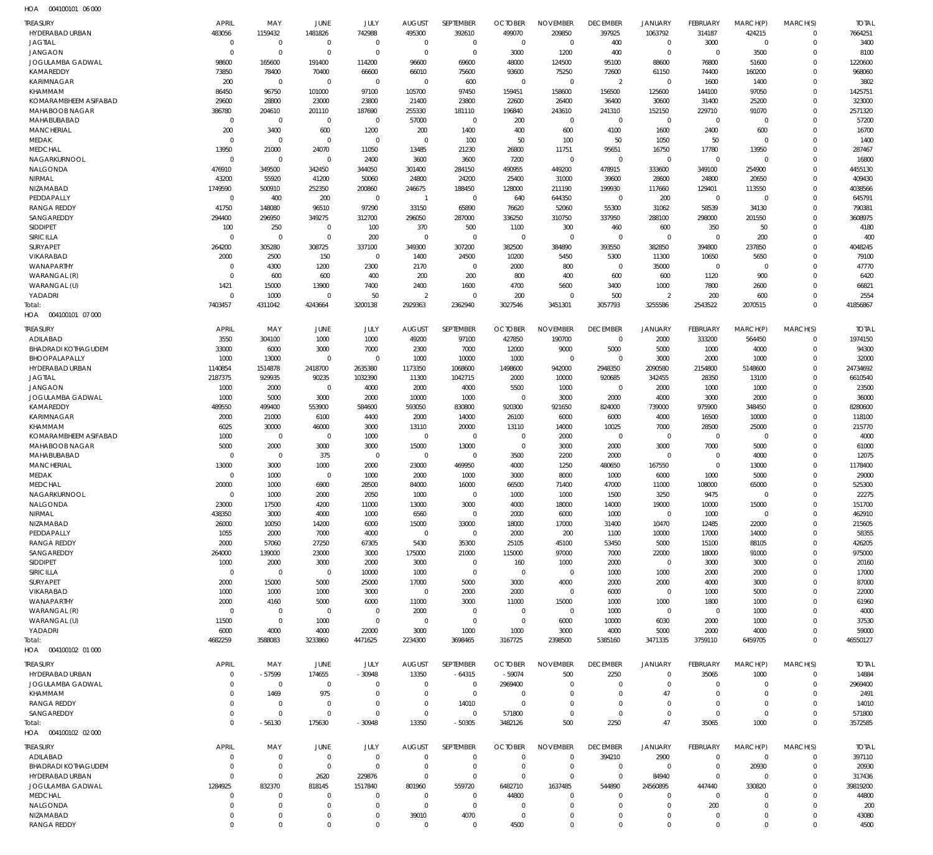004100101 06 000 HOA

| TREASURY                                       | <b>APRIL</b>                   | MAY                         | <b>JUNE</b>                      | JULY                       | <b>AUGUST</b>              | SEPTEMBER                  | <b>OCTOBER</b>                | <b>NOVEMBER</b>          | <b>DECEMBER</b>            | <b>JANUARY</b>        | FEBRUARY              | MARCH(P)                    | MARCH(S)                 | <b>TOTAL</b>      |
|------------------------------------------------|--------------------------------|-----------------------------|----------------------------------|----------------------------|----------------------------|----------------------------|-------------------------------|--------------------------|----------------------------|-----------------------|-----------------------|-----------------------------|--------------------------|-------------------|
| HYDERABAD URBAN                                | 483056                         | 1159432                     | 1481826                          | 742988                     | 495300                     | 392610                     | 499070                        | 209850                   | 397925                     | 1063792               | 314187                | 424215                      | $\mathbf{0}$             | 7664251           |
| <b>JAGTIAL</b><br><b>JANGAON</b>               | $\mathbf{0}$<br>$\overline{0}$ | 0<br>$\mathbf 0$            | $\overline{0}$<br>$\overline{0}$ | $\mathbf 0$<br>$\mathbf 0$ | $\mathbf 0$<br>$\mathbf 0$ | 0<br>$\mathbf 0$           | $\overline{0}$<br>3000        | $\mathbf 0$<br>1200      | 400<br>400                 | 0<br>$\mathbf 0$      | 3000<br>$\mathbf 0$   | $\mathbf{0}$<br>3500        | $\mathbf{0}$<br>$\Omega$ | 3400<br>8100      |
| JOGULAMBA GADWAL                               | 98600                          | 165600                      | 191400                           | 114200                     | 96600                      | 69600                      | 48000                         | 124500                   | 95100                      | 88600                 | 76800                 | 51600                       | $\mathbf{0}$             | 1220600           |
| KAMAREDDY                                      | 73850                          | 78400                       | 70400                            | 66600                      | 66010                      | 75600                      | 93600                         | 75250                    | 72600                      | 61150                 | 74400                 | 160200                      | $\Omega$                 | 968060            |
| KARIMNAGAR                                     | 200                            | $\mathbf 0$                 | $\overline{0}$                   | $\mathbf 0$                | $\mathbf 0$                | 600                        | $\overline{0}$                | $\mathbf{0}$             | $\overline{2}$             | $\mathbf 0$           | 1600                  | 1400                        | $\Omega$                 | 3802              |
| <b>KHAMMAM</b>                                 | 86450                          | 96750                       | 101000                           | 97100                      | 105700                     | 97450                      | 159451                        | 158600                   | 156500                     | 125600                | 144100                | 97050                       | $\Omega$                 | 1425751           |
| KOMARAMBHEEM ASIFABAD                          | 29600                          | 28800                       | 23000                            | 23800                      | 21400                      | 23800                      | 22600                         | 26400                    | 36400                      | 30600                 | 31400                 | 25200                       | $\Omega$                 | 323000            |
| MAHABOOB NAGAR<br>MAHABUBABAD                  | 386780<br>$\mathbf{0}$         | 204610<br>$\mathbf 0$       | 201110<br>$\overline{0}$         | 187690<br>0                | 255330<br>57000            | 181110<br>0                | 196840<br>200                 | 243610<br>$\mathbf{0}$   | 241310<br>$\mathbf{0}$     | 152150<br>0           | 229710<br>$\mathbf 0$ | 91070<br>$\mathbf{0}$       | $\Omega$<br>$\mathbf{0}$ | 2571320<br>57200  |
| <b>MANCHERIAL</b>                              | 200                            | 3400                        | 600                              | 1200                       | 200                        | 1400                       | 400                           | 600                      | 4100                       | 1600                  | 2400                  | 600                         | $\Omega$                 | 16700             |
| <b>MEDAK</b>                                   | $\mathbf{0}$                   | 0                           | $\overline{0}$                   | $\mathbf 0$                | $\mathbf{0}$               | 100                        | 50                            | 100                      | 50                         | 1050                  | 50                    | $\mathbf{0}$                | $\Omega$                 | 1400              |
| <b>MEDCHAL</b>                                 | 13950                          | 21000                       | 24070                            | 11050                      | 13485                      | 21230                      | 26800                         | 11751                    | 95651                      | 16750                 | 17780                 | 13950                       | $\Omega$                 | 287467            |
| NAGARKURNOOL                                   | $\mathbf{0}$                   | 0                           | $\overline{0}$                   | 2400                       | 3600                       | 3600                       | 7200                          | $\mathbf{0}$             | $\mathbf 0$                | $\mathbf 0$           | $\mathbf 0$           | $\mathbf 0$                 | $\Omega$                 | 16800             |
| NALGONDA                                       | 476910                         | 349500                      | 342450                           | 344050                     | 301400                     | 284150                     | 490955                        | 449200                   | 478915                     | 333600                | 349100                | 254900                      | $\Omega$                 | 4455130           |
| NIRMAL<br>NIZAMABAD                            | 43200<br>1749590               | 55920<br>500910             | 41200<br>252350                  | 50060<br>200860            | 24800<br>246675            | 24200<br>188450            | 25400<br>128000               | 31000<br>211190          | 39600<br>199930            | 28600<br>117660       | 24800<br>129401       | 20650<br>113550             | $\Omega$<br>$\Omega$     | 409430<br>4038566 |
| PEDDAPALLY                                     | $\mathbf{0}$                   | 400                         | 200                              | 0                          | $\overline{1}$             | 0                          | 640                           | 644350                   | $\mathbf 0$                | 200                   | $\mathbf{0}$          | $\mathbf{0}$                | $\Omega$                 | 645791            |
| <b>RANGA REDDY</b>                             | 41750                          | 148080                      | 96510                            | 97290                      | 33150                      | 65890                      | 76620                         | 52060                    | 55300                      | 31062                 | 58539                 | 34130                       | $\Omega$                 | 790381            |
| SANGAREDDY                                     | 294400                         | 296950                      | 349275                           | 312700                     | 296050                     | 287000                     | 336250                        | 310750                   | 337950                     | 288100                | 298000                | 201550                      | $\Omega$                 | 3608975           |
| <b>SIDDIPET</b>                                | 100                            | 250                         | $\overline{0}$                   | 100                        | 370                        | 500                        | 1100                          | 300                      | 460                        | 600                   | 350                   | 50                          | $\Omega$                 | 4180              |
| SIRICILLA                                      | $\overline{0}$                 | $\mathbf 0$                 | $\overline{0}$                   | 200                        | $\mathbf 0$                | $\mathbf 0$                | $\overline{0}$                | $\mathbf{0}$             | $\mathbf 0$                | $\mathbf 0$           | $\mathbf 0$           | 200                         | $\mathbf{0}$             | 400               |
| <b>SURYAPET</b><br>VIKARABAD                   | 264200<br>2000                 | 305280<br>2500              | 308725<br>150                    | 337100<br>$\mathbf 0$      | 349300<br>1400             | 307200<br>24500            | 382500<br>10200               | 384890<br>5450           | 393550<br>5300             | 382850<br>11300       | 394800<br>10650       | 237850<br>5650              | $\Omega$<br>$\mathbf 0$  | 4048245<br>79100  |
| <b>WANAPARTHY</b>                              | $\overline{0}$                 | 4300                        | 1200                             | 2300                       | 2170                       | 0                          | 2000                          | 800                      | $\mathbf 0$                | 35000                 | $\overline{0}$        | $\mathbf{0}$                | $\Omega$                 | 47770             |
| WARANGAL (R)                                   | $\Omega$                       | 600                         | 600                              | 400                        | 200                        | 200                        | 800                           | 400                      | 600                        | 600                   | 1120                  | 900                         | $\Omega$                 | 6420              |
| WARANGAL (U)                                   | 1421                           | 15000                       | 13900                            | 7400                       | 2400                       | 1600                       | 4700                          | 5600                     | 3400                       | 1000                  | 7800                  | 2600                        | $\Omega$                 | 66821             |
| YADADRI                                        | $\mathbf 0$                    | 1000                        | $\overline{0}$                   | 50                         | $\overline{2}$             | $\mathbf 0$                | 200                           | $\mathbf{0}$             | 500                        | $\overline{2}$        | 200                   | 600                         | $\Omega$                 | 2554              |
| Total:                                         | 7403457                        | 4311042                     | 4243664                          | 3200138                    | 2929363                    | 2362940                    | 3027546                       | 3451301                  | 3057793                    | 3255586               | 2543522               | 2070515                     | $\Omega$                 | 41856867          |
| HOA<br>004100101 07 000                        |                                |                             |                                  |                            |                            |                            |                               |                          |                            |                       |                       |                             |                          |                   |
| TREASURY                                       | APRIL                          | MAY                         | JUNE                             | JULY                       | <b>AUGUST</b>              | SEPTEMBER                  | <b>OCTOBER</b>                | <b>NOVEMBER</b>          | <b>DECEMBER</b>            | <b>JANUARY</b>        | FEBRUARY              | MARCH(P)                    | MARCH(S)                 | <b>TOTAL</b>      |
| ADILABAD                                       | 3550                           | 304100                      | 1000                             | 1000                       | 49200                      | 97100                      | 427850                        | 190700                   | $\mathbf 0$                | 2000                  | 333200                | 564450                      | $\mathbf{0}$             | 1974150           |
| <b>BHADRADI KOTHAGUDEM</b>                     | 33000                          | 6000                        | 3000                             | 7000                       | 2300                       | 7000                       | 12000                         | 9000                     | 5000                       | 5000                  | 1000                  | 4000                        | 0                        | 94300             |
| BHOOPALAPALLY<br>HYDERABAD URBAN               | 1000<br>1140854                | 13000<br>1514878            | $\overline{0}$<br>2418700        | $\mathbf 0$<br>2635380     | 1000<br>1173350            | 10000<br>1068600           | 1000<br>1498600               | $\overline{0}$<br>942000 | $\mathbf{0}$<br>2948350    | 3000<br>2090580       | 2000<br>2154800       | 1000<br>5148600             | 0<br>$\Omega$            | 32000<br>24734692 |
| <b>JAGTIAL</b>                                 | 2187375                        | 929935                      | 90235                            | 1032390                    | 11300                      | 1042715                    | 2000                          | 10000                    | 920685                     | 342455                | 28350                 | 13100                       | $\Omega$                 | 6610540           |
| <b>JANGAON</b>                                 | 1000                           | 2000                        | $\overline{0}$                   | 4000                       | 2000                       | 4000                       | 5500                          | 1000                     | 0                          | 2000                  | 1000                  | 1000                        | $\Omega$                 | 23500             |
| <b>JOGULAMBA GADWAL</b>                        | 1000                           | 5000                        | 3000                             | 2000                       | 10000                      | 1000                       | $\mathbf{0}$                  | 3000                     | 2000                       | 4000                  | 3000                  | 2000                        | $\Omega$                 | 36000             |
| KAMAREDDY                                      | 489550                         | 499400                      | 553900                           | 584600                     | 593050                     | 830800                     | 920300                        | 921650                   | 824000                     | 739000                | 975900                | 348450                      | $\Omega$                 | 8280600           |
| <b>KARIMNAGAR</b>                              | 2000                           | 21000                       | 6100                             | 4400                       | 2000                       | 14000                      | 26100                         | 6000                     | 6000                       | 4000                  | 16500                 | 10000                       | $\Omega$                 | 118100            |
| <b>KHAMMAM</b>                                 | 6025                           | 30000                       | 46000                            | 3000                       | 13110                      | 20000                      | 13110                         | 14000                    | 10025                      | 7000                  | 28500                 | 25000                       | $\Omega$                 | 215770            |
| KOMARAMBHEEM ASIFABAD<br><b>MAHABOOB NAGAR</b> | 1000<br>5000                   | $\mathbf{0}$<br>2000        | $\mathbf{0}$<br>3000             | 1000<br>3000               | $\mathbf{0}$<br>15000      | $\mathbf 0$<br>13000       | $\overline{0}$<br>$\mathbf 0$ | 2000<br>3000             | $\mathbf{0}$<br>2000       | $\mathbf{0}$<br>3000  | $\mathbf{0}$<br>7000  | $\mathbf 0$<br>5000         | $\Omega$<br>$\Omega$     | 4000<br>61000     |
| MAHABUBABAD                                    | $\Omega$                       | $\mathbf{0}$                | 375                              | $\mathbf 0$                | $\mathbf{0}$               | $\mathbf 0$                | 3500                          | 2200                     | 2000                       | $\mathbf 0$           | $\mathbf 0$           | 4000                        | $\Omega$                 | 12075             |
| <b>MANCHERIAL</b>                              | 13000                          | 3000                        | 1000                             | 2000                       | 23000                      | 469950                     | 4000                          | 1250                     | 480650                     | 167550                | $\mathbf{0}$          | 13000                       | $\Omega$                 | 1178400           |
| <b>MEDAK</b>                                   | $\Omega$                       | 1000                        | $\mathbf{0}$                     | 1000                       | 2000                       | 1000                       | 3000                          | 8000                     | 1000                       | 6000                  | 1000                  | 5000                        | $\Omega$                 | 29000             |
| <b>MEDCHAL</b>                                 | 20000                          | 1000                        | 6900                             | 28500                      | 84000                      | 16000                      | 66500                         | 71400                    | 47000                      | 11000                 | 108000                | 65000                       | $\Omega$                 | 525300            |
| NAGARKURNOOL                                   | $\Omega$                       | 1000                        | 2000                             | 2050                       | 1000                       | $\Omega$                   | 1000                          | 1000                     | 1500                       | 3250                  | 9475                  | $\Omega$                    | $\Omega$                 | 22275             |
| NALGONDA<br>NIRMAL                             | 23000                          | 17500                       | 4200                             | 11000                      | 13000                      | 3000<br>$\mathbf{0}$       | 4000                          | 18000<br>6000            | 14000                      | 19000<br>$\mathbf{0}$ | 10000                 | 15000<br>$\mathbf 0$        | 0<br>$\Omega$            | 151700            |
| NIZAMABAD                                      | 438350<br>26000                | 3000<br>10050               | 4000<br>14200                    | 1000<br>6000               | 6560<br>15000              | 33000                      | 2000<br>18000                 | 17000                    | 1000<br>31400              | 10470                 | 1000<br>12485         | 22000                       | $\Omega$                 | 462910<br>215605  |
| PEDDAPALLY                                     | 1055                           | 2000                        | 7000                             | 4000                       | $\mathbf{0}$               | 0                          | 2000                          | 200                      | 1100                       | 10000                 | 17000                 | 14000                       | $\Omega$                 | 58355             |
| <b>RANGA REDDY</b>                             | 2000                           | 57060                       | 27250                            | 67305                      | 5430                       | 35300                      | 25105                         | 45100                    | 53450                      | 5000                  | 15100                 | 88105                       | $\Omega$                 | 426205            |
| SANGAREDDY                                     | 264000                         | 139000                      | 23000                            | 3000                       | 175000                     | 21000                      | 115000                        | 97000                    | 7000                       | 22000                 | 18000                 | 91000                       | $\Omega$                 | 975000            |
| <b>SIDDIPET</b>                                | 1000                           | 2000                        | 3000                             | 2000                       | 3000                       | $\mathbf{0}$               | 160                           | 1000                     | 2000                       | $\mathbf{0}$          | 3000                  | 3000                        | $\Omega$                 | 20160             |
| <b>SIRICILLA</b>                               | $\overline{0}$                 | $\overline{0}$              | $\overline{0}$                   | 10000                      | 1000                       | $\mathbf{0}$               | $\mathbf{0}$                  | $\overline{0}$           | 1000                       | 1000                  | 2000                  | 2000                        | $\Omega$                 | 17000             |
| SURYAPET<br>VIKARABAD                          | 2000<br>1000                   | 15000<br>1000               | 5000<br>1000                     | 25000<br>3000              | 17000<br>$\mathbf{0}$      | 5000<br>2000               | 3000<br>2000                  | 4000<br>$\mathbf{0}$     | 2000<br>6000               | 2000<br>$\mathbf{0}$  | 4000<br>1000          | 3000<br>5000                | $\Omega$<br>$\Omega$     | 87000<br>22000    |
| <b>WANAPARTHY</b>                              | 2000                           | 4160                        | 5000                             | 6000                       | 11000                      | 3000                       | 11000                         | 15000                    | 1000                       | 1000                  | 1800                  | 1000                        | $\Omega$                 | 61960             |
| WARANGAL (R)                                   | $\Omega$                       | $\mathbf{0}$                | $\mathbf{0}$                     | $\mathbf 0$                | 2000                       | $\mathbf{0}$               | $\mathbf{0}$                  | $\mathbf{0}$             | 1000                       | $\mathbf{0}$          | $\overline{0}$        | 1000                        | $\Omega$                 | 4000              |
| WARANGAL (U)                                   | 11500                          | $\mathbf 0$                 | 1000                             | $\mathbf{0}$               | $\mathbf{0}$               | $\mathbf 0$                | $\overline{0}$                | 6000                     | 10000                      | 6030                  | 2000                  | 1000                        | $\Omega$                 | 37530             |
| YADADRI                                        | 6000                           | 4000                        | 4000                             | 22000                      | 3000                       | 1000                       | 1000                          | 3000                     | 4000                       | 5000                  | 2000                  | 4000                        | $\Omega$                 | 59000             |
| Total:                                         | 4682259                        | 3588083                     | 3233860                          | 4471625                    | 2234300                    | 3698465                    | 3167725                       | 2398500                  | 5385160                    | 3471335               | 3759110               | 6459705                     | $\Omega$                 | 46550127          |
| HOA  004100102  01  000                        |                                |                             |                                  |                            |                            |                            |                               |                          |                            |                       |                       |                             |                          |                   |
| TREASURY                                       | <b>APRIL</b>                   | MAY                         | JUNE                             | JULY                       | <b>AUGUST</b>              | SEPTEMBER                  | <b>OCTOBER</b>                | <b>NOVEMBER</b>          | <b>DECEMBER</b>            | <b>JANUARY</b>        | FEBRUARY              | MARCH(P)                    | MARCH(S)                 | <b>TOTAL</b>      |
| HYDERABAD URBAN                                | $\mathbf{0}$                   | $-57599$                    | 174655                           | $-30948$                   | 13350                      | $-64315$                   | $-59074$                      | 500                      | 2250                       | 0                     | 35065                 | 1000                        | $\mathbf{0}$             | 14884             |
| JOGULAMBA GADWAL<br>KHAMMAM                    | $\Omega$<br>$\Omega$           | $\mathbf 0$<br>1469         | $\overline{0}$<br>975            | $\mathbf 0$<br>$\mathbf 0$ | 0<br>$\overline{0}$        | $\mathbf 0$<br>$\mathbf 0$ | 2969400<br>$\overline{0}$     | 0<br>$\mathbf{0}$        | $\mathbf 0$<br>$\mathbf 0$ | $\mathbf 0$<br>47     | 0<br>$\mathbf 0$      | $\mathbf 0$<br>$\mathbf{0}$ | $\mathbf{0}$<br>$\Omega$ | 2969400<br>2491   |
| <b>RANGA REDDY</b>                             | $\Omega$                       | 0                           | $\overline{0}$                   | $\mathbf 0$                | $\overline{0}$             | 14010                      | $\overline{0}$                | $\mathbf{0}$             | $\mathbf 0$                | 0                     | $\Omega$              | $\mathbf{0}$                | $\Omega$                 | 14010             |
| SANGAREDDY                                     | $\mathbf 0$                    | $\mathbf 0$                 | $\mathbf 0$                      | $\mathbf 0$                | $\mathbf{0}$               | $\mathbf 0$                | 571800                        | $\mathbf 0$              | $\mathbf{0}$               | $\mathbf 0$           | $\mathbf 0$           | $\mathbf 0$                 | $\Omega$                 | 571800            |
| Total:                                         | $\Omega$                       | $-56130$                    | 175630                           | $-30948$                   | 13350                      | $-50305$                   | 3482126                       | 500                      | 2250                       | 47                    | 35065                 | 1000                        | $\Omega$                 | 3572585           |
| HOA  004100102  02  000                        |                                |                             |                                  |                            |                            |                            |                               |                          |                            |                       |                       |                             |                          |                   |
| TREASURY                                       | <b>APRIL</b>                   | MAY                         | JUNE                             | JULY                       | <b>AUGUST</b>              | SEPTEMBER                  | <b>OCTOBER</b>                | <b>NOVEMBER</b>          | <b>DECEMBER</b>            | <b>JANUARY</b>        | FEBRUARY              | MARCH(P)                    | MARCH(S)                 | <b>TOTAL</b>      |
| ADILABAD                                       | $\Omega$                       | $\mathbf 0$                 | $\mathbf{0}$                     | $\mathbf 0$                | 0                          | $\mathbf 0$                | $\overline{0}$                | $\overline{0}$           | 394210                     | 2900                  | $\mathbf 0$           | $\mathbf 0$                 | $\Omega$                 | 397110            |
| <b>BHADRADI KOTHAGUDEM</b>                     | 0                              | $\mathbf 0$                 | $\mathbf{0}$                     | $\mathbf 0$                | $\overline{0}$             | $\mathbf 0$                | $\overline{0}$                | $\mathbf{0}$             | $\mathbf 0$                | $\mathbf{0}$          | $\mathbf 0$           | 20930                       | 0                        | 20930             |
| HYDERABAD URBAN                                | $\Omega$                       | $\mathbf 0$                 | 2620                             | 229876                     | $\Omega$                   | $\mathbf 0$                | $\Omega$                      | $\Omega$                 | $\mathbf 0$                | 84940                 | 0                     | $\Omega$                    | $\Omega$                 | 317436            |
| <b>JOGULAMBA GADWAL</b>                        | 1284925                        | 832370                      | 818145                           | 1517840                    | 801960                     | 559720                     | 6482710                       | 1637485                  | 544890                     | 24560895              | 447440                | 330820                      | $\Omega$                 | 39819200          |
| <b>MEDCHAL</b><br>NALGONDA                     | $\Omega$<br>$\Omega$           | $\mathbf 0$<br>$\mathbf{0}$ | $\Omega$<br>$\Omega$             | 0<br>$\mathbf 0$           | 0<br>$\mathbf{0}$          | $^{\circ}$<br>$\mathbf 0$  | 44800<br>$\Omega$             | $\Omega$<br>$\mathbf 0$  | $\mathbf{0}$<br>$\Omega$   | 0<br>$\mathbf{0}$     | 0<br>200              | $\Omega$<br>$\Omega$        | $\Omega$<br>$\Omega$     | 44800<br>200      |
| NIZAMABAD                                      | 0                              | 0                           | 0                                | $\mathbf 0$                | 39010                      | 4070                       | $\overline{0}$                | $\mathbf 0$              | $\mathbf{0}$               | 0                     | $\mathbf 0$           | $\mathbf 0$                 | $\mathbf 0$              | 43080             |
| <b>RANGA REDDY</b>                             | $\mathbf 0$                    | $\mathbf 0$                 | $\Omega$                         | $\mathbf 0$                | $\mathbf 0$                | $\mathbf 0$                | 4500                          | $\mathbf 0$              | $\mathbf 0$                | $\mathbf 0$           | $\mathbf{0}$          | $\mathbf 0$                 | $\mathbf 0$              | 4500              |
|                                                |                                |                             |                                  |                            |                            |                            |                               |                          |                            |                       |                       |                             |                          |                   |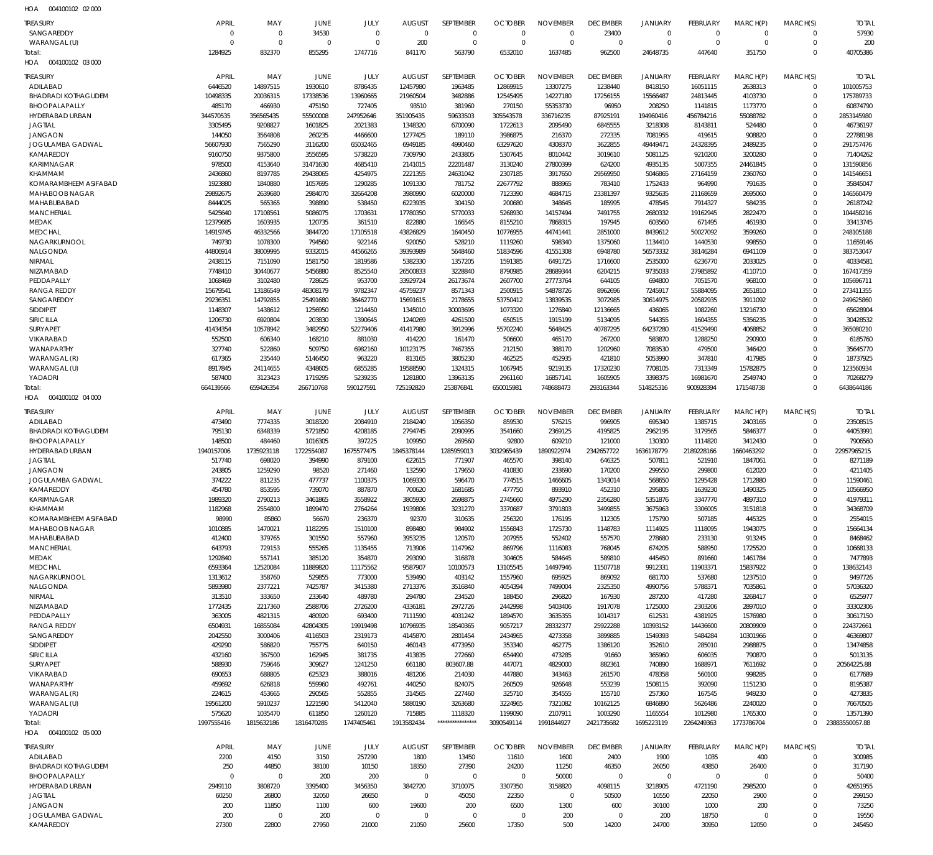004100102 02 000 HOA

| <b>TREASURY</b>                     | <b>APRIL</b>        | MAY                      | <b>JUNE</b>          | JULY                      | <b>AUGUST</b>         | SEPTEMBER                | <b>OCTOBER</b>          | <b>NOVEMBER</b>         | <b>DECEMBER</b>       | <b>JANUARY</b>          | <b>FEBRUARY</b>     | MARCH(P)            | MARCH(S)                   | <b>TOTAL</b>           |
|-------------------------------------|---------------------|--------------------------|----------------------|---------------------------|-----------------------|--------------------------|-------------------------|-------------------------|-----------------------|-------------------------|---------------------|---------------------|----------------------------|------------------------|
| SANGAREDDY                          | $\mathbf 0$         | $\overline{0}$           | 34530                | $\overline{0}$            | $\mathbf 0$           | $\mathbf 0$              | $\mathbf 0$             | $\mathbf 0$             | 23400                 | $\mathbf 0$             | $\mathbf 0$         | $\Omega$            | $\Omega$                   | 57930                  |
| WARANGAL (U)<br>Total:              | $\Omega$<br>1284925 | $\overline{0}$<br>832370 | $\Omega$<br>855295   | $\overline{0}$<br>1747716 | 200<br>841170         | $\overline{0}$<br>563790 | $\mathbf 0$<br>6532010  | $\mathbf 0$<br>1637485  | $\mathbf 0$<br>962500 | $\mathbf 0$<br>24648735 | $\Omega$<br>447640  | $\Omega$<br>351750  | $\mathbf 0$<br>$\mathbf 0$ | 200<br>40705386        |
| HOA  004100102  03  000             |                     |                          |                      |                           |                       |                          |                         |                         |                       |                         |                     |                     |                            |                        |
| <b>TREASURY</b>                     | <b>APRIL</b>        | MAY                      | <b>JUNE</b>          | JULY                      | <b>AUGUST</b>         | SEPTEMBER                | <b>OCTOBER</b>          | <b>NOVEMBER</b>         | <b>DECEMBER</b>       | <b>JANUARY</b>          | <b>FEBRUARY</b>     | MARCH(P)            | MARCH(S)                   | <b>TOTAL</b>           |
| ADILABAD                            | 6446520             | 14897515                 | 1930610              | 8786435                   | 12457980              | 1963485                  | 12869915                | 13307275                | 1238440               | 8418150                 | 16051115            | 2638313             | $\mathbf 0$                | 101005753              |
| <b>BHADRADI KOTHAGUDEM</b>          | 10498335            | 20036315                 | 17338536             | 13960665                  | 21960504              | 3482886                  | 12545495                | 14227180                | 17256155              | 15566487                | 24813445            | 4103730             | $\mathbf 0$                | 175789733              |
| BHOOPALAPALLY                       | 485170              | 466930                   | 475150               | 727405                    | 93510                 | 381960                   | 270150                  | 55353730                | 96950                 | 208250                  | 1141815             | 1173770             | $\mathbf 0$                | 60874790               |
| HYDERABAD URBAN                     | 344570535           | 356565435                | 55500008             | 247952646                 | 351905435             | 59633503                 | 305543578               | 336716235               | 87925191              | 194960416               | 456784216           | 55088782            | $\Omega$                   | 2853145980             |
| <b>JAGTIAL</b>                      | 3305495             | 9208827                  | 1601825              | 2021383                   | 1348320               | 6700090                  | 1722613                 | 2095490                 | 6845555               | 3218308                 | 8143811             | 524480              | $\mathbf 0$                | 46736197               |
| <b>JANGAON</b>                      | 144050              | 3564808                  | 260235               | 4466600                   | 1277425               | 189110                   | 3986875                 | 216370                  | 272335                | 7081955                 | 419615              | 908820              | $\Omega$                   | 22788198               |
| JOGULAMBA GADWAL                    | 56607930            | 7565290                  | 3116200              | 65032465                  | 6949185               | 4990460                  | 63297620                | 4308370                 | 3622855               | 49449471                | 24328395            | 2489235             | $\mathbf 0$                | 291757476              |
| KAMAREDDY                           | 9160750             | 9375800                  | 3556595              | 5738220                   | 7309790               | 2433805                  | 5307645                 | 8010442                 | 3019610               | 5081125                 | 9210200             | 3200280             | $\mathbf 0$<br>$\mathbf 0$ | 71404262               |
| <b>KARIMNAGAR</b><br><b>KHAMMAM</b> | 978500<br>2436860   | 4153640<br>8197785       | 31471630<br>29438065 | 4685410<br>4254975        | 2141015<br>2221355    | 22201487<br>24631042     | 3130240<br>2307185      | 27800399<br>3917650     | 624200<br>29569950    | 4935135<br>5046865      | 5007355<br>27164159 | 24461845<br>2360760 | $\mathbf 0$                | 131590856<br>141546651 |
| KOMARAMBHEEM ASIFABAD               | 1923880             | 1840880                  | 1057695              | 1290285                   | 1091330               | 781752                   | 22677792                | 888965                  | 783410                | 1752433                 | 964990              | 791635              | $\mathbf 0$                | 35845047               |
| <b>MAHABOOB NAGAR</b>               | 29892675            | 2639680                  | 2984070              | 32664208                  | 3980990               | 6020000                  | 7123390                 | 4684715                 | 23381397              | 9325635                 | 21168659            | 2695060             | $\Omega$                   | 146560479              |
| MAHABUBABAD                         | 8444025             | 565365                   | 398890               | 538450                    | 6223935               | 304150                   | 200680                  | 348645                  | 185995                | 478545                  | 7914327             | 584235              | $\mathbf 0$                | 26187242               |
| <b>MANCHERIAL</b>                   | 5425640             | 17108561                 | 5086075              | 1703631                   | 17780350              | 5770033                  | 5268930                 | 14157494                | 7491755               | 2680332                 | 19162945            | 2822470             | $\Omega$                   | 104458216              |
| <b>MEDAK</b>                        | 12379685            | 1603935                  | 120735               | 361510                    | 822880                | 166545                   | 8155210                 | 7868315                 | 197945                | 603560                  | 671495              | 461930              | $\mathbf 0$                | 33413745               |
| <b>MEDCHAL</b>                      | 14919745            | 46332566                 | 3844720              | 17105518                  | 43826829              | 1640450                  | 10776955                | 44741441                | 2851000               | 8439612                 | 50027092            | 3599260             | $\Omega$                   | 248105188              |
| NAGARKURNOOL                        | 749730              | 1078300                  | 794560               | 922146                    | 920050                | 528210                   | 1119260                 | 598340                  | 1375060               | 1134410                 | 1440530             | 998550              | $\mathbf 0$                | 11659146               |
| NALGONDA                            | 44806914            | 38009995                 | 9332015              | 44566265                  | 39393989              | 5648460                  | 51834596                | 41551308                | 6948780               | 56573332                | 38146284            | 6941109             | $\Omega$                   | 383753047              |
| NIRMAL                              | 2438115             | 7151090                  | 1581750              | 1819586                   | 5382330               | 1357205                  | 1591385                 | 6491725                 | 1716600               | 2535000                 | 6236770             | 2033025             | $\mathbf 0$                | 40334581               |
| NIZAMABAD<br>PEDDAPALLY             | 7748410<br>1068469  | 30440677<br>3102480      | 5456880<br>728625    | 8525540<br>953700         | 26500833<br>33929724  | 3228840<br>26173674      | 8790985<br>2607700      | 28689344<br>27773764    | 6204215<br>644105     | 9735033<br>694800       | 27985892<br>7051570 | 4110710<br>968100   | $\Omega$<br>$\mathbf 0$    | 167417359<br>105696711 |
| <b>RANGA REDDY</b>                  | 15679541            | 13186549                 | 48308179             | 9782347                   | 45759237              | 8571343                  | 2500915                 | 54878726                | 8962696               | 7245917                 | 55884095            | 2651810             | $\mathbf 0$                | 273411355              |
| SANGAREDDY                          | 29236351            | 14792855                 | 25491680             | 36462770                  | 15691615              | 2178655                  | 53750412                | 13839535                | 3072985               | 30614975                | 20582935            | 3911092             | $\mathbf 0$                | 249625860              |
| <b>SIDDIPET</b>                     | 1148307             | 1438612                  | 1256950              | 1214450                   | 1345010               | 30003695                 | 1073320                 | 1276840                 | 12136665              | 436065                  | 1082260             | 13216730            | $\Omega$                   | 65628904               |
| SIRICILLA                           | 1206730             | 6920804                  | 203830               | 1390645                   | 1240269               | 4261500                  | 650515                  | 1915199                 | 5134095               | 544355                  | 1604355             | 5356235             | $\mathbf 0$                | 30428532               |
| <b>SURYAPET</b>                     | 41434354            | 10578942                 | 3482950              | 52279406                  | 41417980              | 3912996                  | 55702240                | 5648425                 | 40787295              | 64237280                | 41529490            | 4068852             | $\Omega$                   | 365080210              |
| VIKARABAD                           | 552500              | 606340                   | 168210               | 881030                    | 414220                | 161470                   | 506600                  | 465170                  | 267200                | 583870                  | 1288250             | 290900              | $\mathbf 0$                | 6185760                |
| WANAPARTHY                          | 327740              | 522860                   | 509750               | 6982160                   | 10123175              | 7467355                  | 212150                  | 388170                  | 1202960               | 7083530                 | 479500              | 346420              | $\Omega$                   | 35645770               |
| WARANGAL (R)                        | 617365              | 235440                   | 5146450              | 963220                    | 813165                | 3805230                  | 462525                  | 452935                  | 421810                | 5053990                 | 347810              | 417985              | $\mathbf 0$                | 18737925               |
| WARANGAL (U)                        | 8917845             | 24114655                 | 4348605              | 6855285                   | 19588590              | 1324315                  | 1067945                 | 9219135                 | 17320230              | 7708105                 | 7313349             | 15782875            | $\Omega$                   | 123560934              |
| YADADRI                             | 587400              | 3123423                  | 1719295              | 5239235                   | 1281800               | 13963135                 | 2961160                 | 16857141                | 1605905               | 3398375                 | 16981670            | 2549740             | $\mathbf 0$                | 70268279               |
| Total:                              | 664139566           | 659426354                | 266710768            | 590127591                 | 725192820             | 253876841                | 650015981               | 748688473               | 293163344             | 514825316               | 900928394           | 171548738           | $\Omega$                   | 6438644186             |
| HOA   004100102   04   000          |                     |                          |                      |                           |                       |                          |                         |                         |                       |                         |                     |                     |                            |                        |
| <b>TREASURY</b>                     | <b>APRIL</b>        | MAY                      | JUNE                 | JULY                      | <b>AUGUST</b>         | SEPTEMBER                | <b>OCTOBER</b>          | <b>NOVEMBER</b>         | <b>DECEMBER</b>       | <b>JANUARY</b>          | <b>FEBRUARY</b>     | MARCH(P)            | MARCH(S)                   | <b>TOTAL</b>           |
| ADILABAD                            | 473490              | 7774335                  | 3018320              | 2084910                   | 2184240               | 1056350                  | 859530                  | 576215                  | 996905                | 695340                  | 1385715             | 2403165             | $\Omega$                   | 23508515               |
| <b>BHADRADI KOTHAGUDEM</b>          | 795130              | 6348339                  | 5721850              | 4208185                   | 2794745               | 2090995                  | 3541660                 | 2369125                 | 4195825               | 2962195                 | 3179565             | 5846377             | $\mathbf 0$                | 44053991               |
| BHOOPALAPALLY                       | 148500              | 484460                   | 1016305              | 397225                    | 109950                | 269560                   | 92800                   | 609210                  | 121000                | 130300                  | 1114820             | 3412430             | $\Omega$                   | 7906560                |
| HYDERABAD URBAN                     | 1940157006          | 1735923118               | 1722554087           | 1675577475                | 1845378144            | 1285959013               | 3032965439              | 1890922974              | 2342657722            | 1636178779              | 2189228166          | 1660463292          | $\mathbf 0$<br>$\Omega$    | 22957965215            |
| <b>JAGTIAL</b><br><b>JANGAON</b>    | 517740<br>243805    | 698020<br>1259290        | 394990<br>98520      | 879100<br>271460          | 622615<br>132590      | 771907<br>179650         | 465570<br>410830        | 398140<br>233690        | 646325<br>170200      | 507811<br>299550        | 521910<br>299800    | 1847061<br>612020   | $\Omega$                   | 8271189<br>4211405     |
| JOGULAMBA GADWAL                    | 374222              | 811235                   | 477737               | 1100375                   | 1069330               | 596470                   | 774515                  | 1466605                 | 1343014               | 568650                  | 1295428             | 1712880             | $\Omega$                   | 11590461               |
| KAMAREDDY                           | 454780              | 853595                   | 739070               | 887870                    | 700620                | 1681685                  | 477750                  | 893910                  | 452310                | 295805                  | 1639230             | 1490325             | $\Omega$                   | 10566950               |
| KARIMNAGAR                          | 1989320             | 2790213                  | 3461865              | 3558922                   | 3805930               | 2698875                  | 2745660                 | 4975290                 | 2356280               | 5351876                 | 3347770             | 4897310             | $\Omega$                   | 41979311               |
| KHAMMAM                             | 1182968             | 2554800                  | 1899470              | 2764264                   | 1939806               | 3231270                  | 3370687                 | 3791803                 | 3499855               | 3675963                 | 3306005             | 3151818             | $\mathbf 0$                | 34368709               |
| KOMARAMBHEEM ASIFABAD               | 98990               | 85860                    | 56670                | 236370                    | 92370                 | 310635                   | 256320                  | 176195                  | 112305                | 175790                  | 507185              | 445325              | $\Omega$                   | 2554015                |
| MAHABOOB NAGAR                      | 1010885             | 1470021                  | 1182295              | 1510100                   | 898480                | 984902                   | 1556843                 | 1725730                 | 1148783               | 1114925                 | 1118095             | 1943075             | $\mathbf 0$                | 15664134               |
| MAHABUBABAD                         | 412400              | 379765                   | 301550               | 557960                    | 3953235               | 120570                   | 207955                  | 552402                  | 557570                | 278680                  | 233130              | 913245              | $\Omega$                   | 8468462                |
| MANCHERIAL                          | 643793              | 729153                   | 555265               | 1135455                   | 713906                | 1147962                  | 869796                  | 1116083                 | 768045                | 674205                  | 588950              | 1725520             | $\mathbf 0$                | 10668133               |
| MEDAK                               | 1292840             | 557141                   | 385120               | 354870                    | 293090                | 316878                   | 304605                  | 584645                  | 589810                | 445450                  | 891660              | 1461784             | $\Omega$                   | 7477893                |
| <b>MEDCHAL</b><br>NAGARKURNOOL      | 6593364<br>1313612  | 12520084<br>358760       | 11889820<br>529855   | 11175562<br>773000        | 9587907<br>539490     | 10100573                 | 13105545<br>1557960     | 14497946<br>695925      | 11507718<br>869092    | 9912331<br>681700       | 11903371<br>537680  | 15837922            | $\mathbf 0$<br>$\Omega$    | 138632143<br>9497726   |
| <b>NALGONDA</b>                     | 5893980             | 2377221                  | 7425787              | 3415380                   | 2713376               | 403142<br>3516840        | 4054394                 | 7499004                 | 2325350               | 4990756                 | 5788371             | 1237510<br>7035861  | $\mathbf 0$                | 57036320               |
| NIRMAL                              | 313510              | 333650                   | 233640               | 489780                    | 294780                | 234520                   | 188450                  | 296820                  | 167930                | 287200                  | 417280              | 3268417             | $\Omega$                   | 6525977                |
| NIZAMABAD                           | 1772435             | 2217360                  | 2588706              | 2726200                   | 4336181               | 2972726                  | 2442998                 | 5403406                 | 1917078               | 1725000                 | 2303206             | 2897010             | $\mathbf 0$                | 33302306               |
| PEDDAPALLY                          | 363005              | 4821315                  | 480920               | 693400                    | 7111590               | 4031242                  | 1894570                 | 3635355                 | 1014317               | 612531                  | 4381925             | 1576980             | $\Omega$                   | 30617150               |
| <b>RANGA REDDY</b>                  | 6504931             | 16855084                 | 42804305             | 19919498                  | 10796935              | 18540365                 | 9057217                 | 28332377                | 25922288              | 10393152                | 14436600            | 20809909            | $\mathbf 0$                | 224372661              |
| SANGAREDDY                          | 2042550             | 3000406                  | 4116503              | 2319173                   | 4145870               | 2801454                  | 2434965                 | 4273358                 | 3899885               | 1549393                 | 5484284             | 10301966            | $\Omega$                   | 46369807               |
| <b>SIDDIPET</b>                     | 429290              | 586820                   | 755775               | 640150                    | 460143                | 4773950                  | 353340                  | 462775                  | 1386120               | 352610                  | 285010              | 2988875             | $\mathbf 0$                | 13474858               |
| SIRICILLA                           | 432160              | 367500                   | 162945               | 381735                    | 413835                | 272660                   | 654490                  | 473285                  | 91660                 | 365960                  | 606035              | 790870              | $\Omega$                   | 5013135                |
| SURYAPET                            | 588930              | 759646                   | 309627               | 1241250                   | 661180                | 803607.88                | 447071                  | 4829000                 | 882361                | 740890                  | 1688971             | 7611692             | $\mathbf 0$                | 20564225.88            |
| VIKARABAD                           | 690653              | 688805                   | 625323               | 388016                    | 481206                | 214030                   | 447880                  | 343463                  | 261570                | 478358                  | 560100              | 998285              | $\Omega$                   | 6177689                |
| WANAPARTHY                          | 459692              | 626818                   | 559960               | 492761                    | 440250                | 824075                   | 260509                  | 926648                  | 553239                | 1508115                 | 392090              | 1151230             | $\mathbf 0$<br>$\Omega$    | 8195387                |
| WARANGAL (R)<br>WARANGAL (U)        | 224615<br>19561200  | 453665<br>5910237        | 290565<br>1221590    | 552855<br>5412040         | 314565<br>5880190     | 227460<br>3263680        | 325710<br>3224965       | 354555<br>7321082       | 155710<br>10162125    | 257360<br>6846890       | 167545<br>5626486   | 949230<br>2240020   | $\Omega$                   | 4273835<br>76670505    |
| YADADRI                             | 575620              | 1035470                  | 611850               | 1260120                   | 715885                | 1118320                  | 1199090                 | 2107911                 | 1003290               | 1165554                 | 1012980             | 1765300             | $\Omega$                   | 13571390               |
| Total:                              | 1997555416          | 1815632186               | 1816470285           | 1747405461                | 1913582434            | ****************         | 3090549114              | 1991844927              | 2421735682            | 1695223119              | 2264249363          | 1773786704          | $\Omega$                   | 23883550057.88         |
| HOA   004100102   05   000          |                     |                          |                      |                           |                       |                          |                         |                         |                       |                         |                     |                     |                            |                        |
|                                     |                     |                          |                      |                           |                       |                          |                         |                         |                       |                         |                     |                     |                            |                        |
| <b>TREASURY</b><br>ADILABAD         | <b>APRIL</b>        | MAY<br>4150              | JUNE<br>3150         | JULY<br>257290            | <b>AUGUST</b><br>1800 | SEPTEMBER<br>13450       | <b>OCTOBER</b><br>11610 | <b>NOVEMBER</b><br>1600 | <b>DECEMBER</b>       | JANUARY<br>1900         | FEBRUARY<br>1035    | MARCH(P)            | MARCH(S)<br>$\mathbf 0$    | <b>TOTAL</b><br>300985 |
| <b>BHADRADI KOTHAGUDEM</b>          | 2200<br>250         | 44850                    | 38100                | 10150                     | 18350                 | 27390                    | 24200                   | 11250                   | 2400<br>46350         | 26050                   | 43850               | 400<br>26400        | $\mathbf 0$                | 317190                 |
| BHOOPALAPALLY                       | $\overline{0}$      | $\overline{0}$           | 200                  | 200                       | $\mathbf{0}$          | $\overline{0}$           | $\mathbf 0$             | 50000                   | $\mathbf 0$           | $\mathbf 0$             | $\mathbf 0$         | $\mathbf 0$         | $\mathbf 0$                | 50400                  |
| HYDERABAD URBAN                     | 2949110             | 3808720                  | 3395400              | 3456350                   | 3842720               | 3710075                  | 3307350                 | 3158820                 | 4098115               | 3218905                 | 4721190             | 2985200             | $\mathbf 0$                | 42651955               |
| <b>JAGTIAL</b>                      | 60250               | 26800                    |                      |                           |                       |                          |                         |                         | 50500                 | 10550                   | 22050               | 2900                | $\mathbf 0$                | 299150                 |
| <b>JANGAON</b>                      |                     |                          | 32050                | 26650                     | $\mathbf{0}$          | 45050                    | 22350                   | $\mathbf 0$             |                       |                         |                     |                     |                            |                        |
|                                     | 200                 | 11850                    | 1100                 | 600                       | 19600                 | 200                      | 6500                    | 1300                    | 600                   | 30100                   | 1000                | 200                 | $\mathbf 0$                | 73250                  |
| JOGULAMBA GADWAL<br>KAMAREDDY       | 200<br>27300        | $\overline{0}$<br>22800  | 200<br>27950         | $\overline{0}$<br>21000   | $\mathbf 0$<br>21050  | $\overline{0}$           | $\mathbf 0$<br>17350    | 200<br>500              | $\mathbf 0$<br>14200  | 200<br>24700            | 18750<br>30950      | O                   | $\mathbf 0$<br>$\mathbf 0$ | 19550<br>245450        |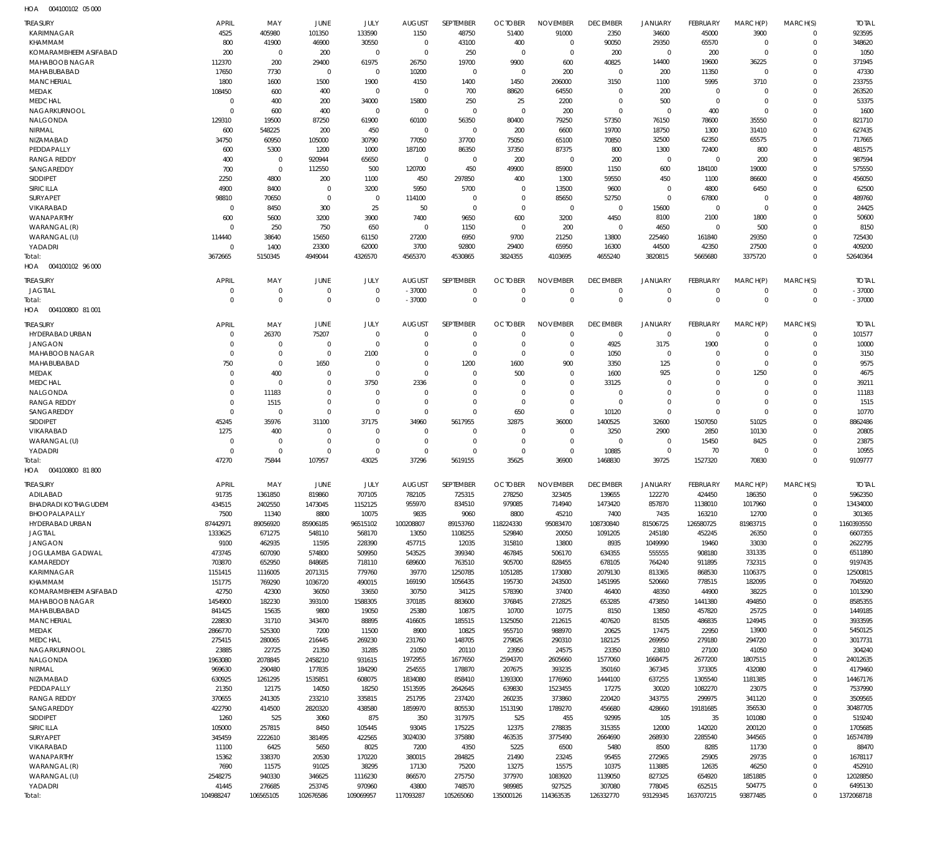| HOA | 004100102 05 000 |  |
|-----|------------------|--|

| <b>TREASURY</b>                      | <b>APRIL</b>      | MAY                | JUNE                   | JULY                | <b>AUGUST</b>        | SEPTEMBER           | <b>OCTOBER</b>      | <b>NOVEMBER</b>            | <b>DECEMBER</b>     | <b>JANUARY</b>      | <b>FEBRUARY</b>        | MARCH(P)             | MARCH(S)                | <b>TOTAL</b>        |
|--------------------------------------|-------------------|--------------------|------------------------|---------------------|----------------------|---------------------|---------------------|----------------------------|---------------------|---------------------|------------------------|----------------------|-------------------------|---------------------|
| <b>KARIMNAGAR</b>                    | 4525              | 405980             | 101350                 | 133590              | 1150                 | 48750               | 51400               | 91000                      | 2350                | 34600               | 45000                  | 3900                 | $\Omega$                | 923595              |
| KHAMMAM                              | 800               | 41900              | 46900                  | 30550               | 0                    | 43100               | 400                 | $\mathbf 0$                | 90050               | 29350               | 65570                  | $\mathbf 0$          | $\Omega$                | 348620              |
| KOMARAMBHEEM ASIFABAD                | 200               | $\mathbf 0$        | 200                    | $\mathbf 0$         | 0                    | 250                 | $\mathbf 0$         | $\mathbf 0$                | 200                 | $\mathbf 0$         | 200                    | $\Omega$             | $\Omega$                | 1050                |
| MAHABOOB NAGAR                       | 112370            | 200                | 29400                  | 61975               | 26750                | 19700               | 9900                | 600                        | 40825               | 14400               | 19600                  | 36225                | $\Omega$                | 371945              |
| MAHABUBABAD<br><b>MANCHERIAL</b>     | 17650<br>1800     | 7730<br>1600       | $\overline{0}$<br>1500 | $\mathbf 0$<br>1900 | 10200<br>4150        | $\mathbf 0$<br>1400 | $\mathbf 0$<br>1450 | 200<br>206000              | $\mathbf 0$<br>3150 | 200<br>1100         | 11350<br>5995          | $\mathbf 0$<br>3710  | $\Omega$                | 47330<br>233755     |
| MEDAK                                | 108450            | 600                | 400                    | $\mathbf 0$         | $\mathbf 0$          | 700                 | 88620               | 64550                      | $\Omega$            | 200                 | $\overline{0}$         | $\Omega$             |                         | 263520              |
| <b>MEDCHAL</b>                       | $\mathbf 0$       | 400                | 200                    | 34000               | 15800                | 250                 | 25                  | 2200                       | 0                   | 500                 | $\Omega$               | $\Omega$             | $\Omega$                | 53375               |
| NAGARKURNOOL                         | $\Omega$          | 600                | 400                    | $\mathbf 0$         | $\mathbf 0$          | $\mathbf 0$         | $\mathbf 0$         | 200                        | $\mathbf 0$         | $\mathbf 0$         | 400                    | $\Omega$             |                         | 1600                |
| NALGONDA                             | 129310            | 19500              | 87250                  | 61900               | 60100                | 56350               | 80400               | 79250                      | 57350               | 76150               | 78600                  | 35550                | $\Omega$                | 821710              |
| NIRMAL                               | 600               | 548225             | 200                    | 450                 | 0                    | $\mathbf 0$         | 200                 | 6600                       | 19700               | 18750               | 1300                   | 31410                |                         | 627435              |
| NIZAMABAD<br>PEDDAPALLY              | 34750<br>600      | 60950<br>5300      | 105000<br>1200         | 30790<br>1000       | 77050<br>187100      | 37700<br>86350      | 75050<br>37350      | 65100<br>87375             | 70850<br>800        | 32500<br>1300       | 62350<br>72400         | 65575<br>800         | $\Omega$                | 717665<br>481575    |
| <b>RANGA REDDY</b>                   | 400               | $\mathbf 0$        | 920944                 | 65650               | $\mathbf 0$          | $\mathbf 0$         | 200                 | $\mathbf 0$                | 200                 | $\mathbf 0$         | $\overline{0}$         | 200                  | $\Omega$                | 987594              |
| SANGAREDDY                           | 700               | $\mathbf 0$        | 112550                 | 500                 | 120700               | 450                 | 49900               | 85900                      | 1150                | 600                 | 184100                 | 19000                |                         | 575550              |
| <b>SIDDIPET</b>                      | 2250              | 4800               | 200                    | 1100                | 450                  | 297850              | 400                 | 1300                       | 59550               | 450                 | 1100                   | 86600                | $\Omega$                | 456050              |
| <b>SIRICILLA</b>                     | 4900              | 8400               | $\overline{0}$         | 3200                | 5950                 | 5700                | $\mathbf 0$         | 13500                      | 9600                | $\mathbf 0$         | 4800                   | 6450                 |                         | 62500               |
| SURYAPET                             | 98810             | 70650              | $\overline{0}$         | $\mathbf 0$         | 114100               | $\mathbf 0$         | 0                   | 85650                      | 52750               | $\mathbf 0$         | 67800                  | $\Omega$             | $\Omega$                | 489760              |
| VIKARABAD<br>WANAPARTHY              | 0<br>600          | 8450<br>5600       | 300<br>3200            | 25<br>3900          | 50<br>7400           | $\mathbf 0$<br>9650 | $\mathbf 0$<br>600  | $\mathbf 0$<br>3200        | 0                   | 15600               | $\overline{0}$         | $\Omega$<br>1800     | $\Omega$                | 24425<br>50600      |
| WARANGAL (R)                         | $\mathbf 0$       | 250                | 750                    | 650                 | 0                    | 1150                | $\mathbf 0$         | 200                        | 4450<br>$\mathbf 0$ | 8100<br>4650        | 2100<br>$\overline{0}$ | 500                  |                         | 8150                |
| WARANGAL (U)                         | 114440            | 38640              | 15650                  | 61150               | 27200                | 6950                | 9700                | 21250                      | 13800               | 225460              | 161840                 | 29350                | $\Omega$                | 725430              |
| YADADRI                              | $\mathbf 0$       | 1400               | 23300                  | 62000               | 3700                 | 92800               | 29400               | 65950                      | 16300               | 44500               | 42350                  | 27500                | $\Omega$                | 409200              |
| Total:                               | 3672665           | 5150345            | 4949044                | 4326570             | 4565370              | 4530865             | 3824355             | 4103695                    | 4655240             | 3820815             | 5665680                | 3375720              | $\Omega$                | 52640364            |
| 004100102 96 000<br>HOA              |                   |                    |                        |                     |                      |                     |                     |                            |                     |                     |                        |                      |                         |                     |
| <b>TREASURY</b>                      | <b>APRIL</b>      | MAY                | <b>JUNE</b>            | JULY                | <b>AUGUST</b>        | <b>SEPTEMBER</b>    | <b>OCTOBER</b>      | <b>NOVEMBER</b>            | <b>DECEMBER</b>     | <b>JANUARY</b>      | FEBRUARY               | MARCH(P)             | MARCH(S)                | <b>TOTAL</b>        |
| <b>JAGTIAL</b>                       | 0                 | $\mathbf 0$        | $\overline{0}$         | $\mathbf 0$         | $-37000$             | $\mathbf 0$         | 0                   | $\mathbf 0$                | $\mathbf 0$         | $\mathbf 0$         | $\overline{0}$         | $\mathbf 0$          | $\mathbf 0$             | $-37000$            |
| Total:                               | $\Omega$          | $\mathbf 0$        | $\overline{0}$         | $\mathbf 0$         | $-37000$             | $\mathbf 0$         | $\Omega$            | $\mathbf 0$                | $\mathbf 0$         | $\mathbf 0$         | $\Omega$               | $\Omega$             | $\mathbf 0$             | $-37000$            |
| HOA   004100800   81   001           |                   |                    |                        |                     |                      |                     |                     |                            |                     |                     |                        |                      |                         |                     |
| <b>TREASURY</b>                      | <b>APRIL</b>      | MAY                | <b>JUNE</b>            | JULY                | <b>AUGUST</b>        | SEPTEMBER           | <b>OCTOBER</b>      | <b>NOVEMBER</b>            | <b>DECEMBER</b>     | <b>JANUARY</b>      | <b>FEBRUARY</b>        | MARCH(P)             | MARCH(S)                | <b>TOTAL</b>        |
| HYDERABAD URBAN                      | $\Omega$          | 26370              | 75207                  | $\mathbf 0$         | 0                    | 0                   | O                   | $\mathbf 0$                | $\mathbf 0$         | $\mathbf 0$         | $\overline{0}$         | $\Omega$             | $\Omega$                | 101577              |
| <b>JANGAON</b>                       | $\Omega$          | $\mathbf 0$        | $\overline{0}$         | $\mathbf 0$         | $\Omega$             | $\mathbf 0$         | $\Omega$            | $\mathbf 0$                | 4925                | 3175                | 1900                   | $\Omega$             | $\Omega$                | 10000               |
| <b>MAHABOOB NAGAR</b><br>MAHABUBABAD | $\Omega$          | $\mathbf 0$        | $\overline{0}$         | 2100                | $\Omega$             | $\mathbf 0$         | $\Omega$            | $\Omega$<br>900            | 1050                | $\mathbf 0$         | $\Omega$               | $\Omega$<br>$\Omega$ | $\Omega$                | 3150                |
| MEDAK                                | 750<br>$\Omega$   | $\mathbf 0$<br>400 | 1650<br>$\mathbf 0$    | 0<br>$\mathbf 0$    | $\Omega$<br>$\Omega$ | 1200<br>$\mathbf 0$ | 1600<br>500         | $\Omega$                   | 3350<br>1600        | 125<br>925          | $\Omega$<br>$\Omega$   | 1250                 | $\Omega$                | 9575<br>4675        |
| <b>MEDCHAL</b>                       | O                 | $\mathbf 0$        | $\mathbf 0$            | 3750                | 2336                 | $\mathbf 0$         | $\Omega$            | $\Omega$                   | 33125               | $\mathbf 0$         | $\Omega$               | $\Omega$             |                         | 39211               |
| NALGONDA                             | $\Omega$          | 11183              | $\mathbf 0$            | $\Omega$            | $\Omega$             | $\mathbf 0$         | $\Omega$            | $\mathbf 0$                | $\Omega$            | $\mathbf 0$         | $\Omega$               | $\Omega$             | $\Omega$                | 11183               |
| <b>RANGA REDDY</b>                   | $\Omega$          | 1515               | $\mathbf 0$            | $\mathbf 0$         | $\Omega$             | $\Omega$            | $\Omega$            | $\Omega$                   | $\Omega$            | $\mathbf 0$         | $\Omega$               | $\Omega$             | $\Omega$                | 1515                |
| SANGAREDDY                           | $\Omega$          | $\mathbf 0$        | $\mathbf 0$            | $\Omega$            | $\mathbf 0$          | $\Omega$            | 650                 | $\mathbf 0$                | 10120               | $\mathbf 0$         | $\Omega$               | $\Omega$             | $\Omega$                | 10770               |
| SIDDIPET                             | 45245             | 35976              | 31100                  | 37175               | 34960                | 5617955             | 32875               | 36000                      | 1400525             | 32600               | 1507050                | 51025                |                         | 8862486             |
| VIKARABAD<br>WARANGAL (U)            | 1275<br>$\Omega$  | 400<br>$\mathbf 0$ | 0<br>$\mathbf 0$       | 0<br>$\mathbf 0$    | 0<br>$\Omega$        | 0<br>$\mathbf 0$    | O<br>$\Omega$       | $\mathbf 0$<br>$\mathbf 0$ | 3250<br>$\Omega$    | 2900<br>$\mathbf 0$ | 2850<br>15450          | 10130<br>8425        | $\Omega$                | 20805<br>23875      |
| YADADRI                              | $\Omega$          | $\mathbf 0$        | $\mathbf 0$            | $\mathbf 0$         | $\mathbf 0$          | $\Omega$            | $\Omega$            | $\mathbf 0$                | 10885               | $\mathbf 0$         | 70                     | $\Omega$             | $\Omega$                | 10955               |
| Total:                               | 47270             | 75844              | 107957                 | 43025               | 37296                | 5619155             | 35625               | 36900                      | 1468830             | 39725               | 1527320                | 70830                | $\Omega$                | 9109777             |
| HOA  004100800  81 800               |                   |                    |                        |                     |                      |                     |                     |                            |                     |                     |                        |                      |                         |                     |
| TREASURY                             | <b>APRIL</b>      | MAY                | JUNE                   | JULY                | <b>AUGUST</b>        | SEPTEMBER           | <b>OCTOBER</b>      | <b>NOVEMBER</b>            | <b>DECEMBER</b>     | <b>JANUARY</b>      | <b>FEBRUARY</b>        | MARCH(P)             | MARCH(S)                | TOTAL               |
| ADILABAD                             | 91735             | 1361850            | 819860                 | 707105              | 782105               | 725315              | 278250              | 323405                     | 139655              | 122270              | 424450                 | 186350               | $\Omega$                | 5962350             |
| <b>BHADRADI KOTHAGUDEM</b>           | 434515            | 2402550            | 1473045                | 1152125             | 955970               | 834510              | 979085              | 714940                     | 1473420             | 857870              | 1138010                | 1017960              | $\mathbf 0$             | 13434000            |
| BHOOPALAPALLY                        | 7500              | 11340              | 8800                   | 10075               | 9835                 | 9060                | 8800                | 45210                      | 7400                | 7435                | 163210                 | 12700                | $\mathbf 0$             | 301365              |
| HYDERABAD URBAN                      | 87442971          | 89056920           | 85906185               | 96515102            | 100208807            | 89153760            | 118224330           | 95083470                   | 108730840           | 81506725            | 126580725              | 81983715             | $\Omega$                | 1160393550          |
| JAGTIAL<br><b>JANGAON</b>            | 1333625<br>9100   | 671275<br>462935   | 548110<br>11595        | 568170<br>228390    | 13050<br>457715      | 1108255<br>12035    | 529840<br>315810    | 20050<br>13800             | 1091205<br>8935     | 245180<br>1049990   | 452245                 | 26350<br>33030       | $\mathbf 0$<br>$\Omega$ | 6607355<br>2622795  |
| <b>JOGULAMBA GADWAL</b>              | 473745            | 607090             | 574800                 | 509950              | 543525               | 399340              | 467845              | 506170                     | 634355              | 555555              | 19460<br>908180        | 331335               | $\Omega$                | 6511890             |
| KAMAREDDY                            | 703870            | 652950             | 848685                 | 718110              | 689600               | 763510              | 905700              | 828455                     | 678105              | 764240              | 911895                 | 732315               | $\Omega$                | 9197435             |
| <b>KARIMNAGAR</b>                    | 1151415           | 1116005            | 2071315                | 779760              | 39770                | 1250785             | 1051285             | 173080                     | 2079130             | 813365              | 868530                 | 1106375              | $\Omega$                | 12500815            |
| KHAMMAM                              | 151775            | 769290             | 1036720                | 490015              | 169190               | 1056435             | 195730              | 243500                     | 1451995             | 520660              | 778515                 | 182095               | $\Omega$                | 7045920             |
| KOMARAMBHEEM ASIFABAD                | 42750             | 42300              | 36050                  | 33650               | 30750                | 34125               | 578390              | 37400                      | 46400               | 48350               | 44900                  | 38225                | $\Omega$                | 1013290             |
| MAHABOOB NAGAR<br>MAHABUBABAD        | 1454900<br>841425 | 182230<br>15635    | 393100<br>9800         | 1588305<br>19050    | 370185               | 883600              | 376845<br>10700     | 272825<br>10775            | 653285<br>8150      | 473850<br>13850     | 1441380                | 494850<br>25725      | $\Omega$<br>$\Omega$    | 8585355<br>1449185  |
| <b>MANCHERIAL</b>                    | 228830            | 31710              | 343470                 | 88895               | 25380<br>416605      | 10875<br>185515     | 1325050             | 212615                     | 407620              | 81505               | 457820<br>486835       | 124945               | $\Omega$                | 3933595             |
| MEDAK                                | 2866770           | 525300             | 7200                   | 11500               | 8900                 | 10825               | 955710              | 988970                     | 20625               | 17475               | 22950                  | 13900                | $\Omega$                | 5450125             |
| <b>MEDCHAL</b>                       | 275415            | 280065             | 216445                 | 269230              | 231760               | 148705              | 279826              | 290310                     | 182125              | 269950              | 279180                 | 294720               | $\Omega$                | 3017731             |
| NAGARKURNOOL                         | 23885             | 22725              | 21350                  | 31285               | 21050                | 20110               | 23950               | 24575                      | 23350               | 23810               | 27100                  | 41050                | $\Omega$                | 304240              |
| NALGONDA                             | 1963080           | 2078845            | 2458210                | 931615              | 1972955              | 1677650             | 2594370             | 2605660                    | 1577060             | 1668475             | 2677200                | 1807515              | $\Omega$                | 24012635            |
| NIRMAL                               | 969630            | 290480             | 177835                 | 184290              | 254555               | 178870              | 207675              | 393235                     | 350160              | 367345              | 373305                 | 432080               | $\Omega$                | 4179460             |
| NIZAMABAD<br>PEDDAPALLY              | 630925<br>21350   | 1261295<br>12175   | 1535851<br>14050       | 608075<br>18250     | 1834080<br>1513595   | 858410<br>2642645   | 1393300<br>639830   | 1776960<br>1523455         | 1444100<br>17275    | 637255<br>30020     | 1305540<br>1082270     | 1181385<br>23075     | $\Omega$<br>$\Omega$    | 14467176<br>7537990 |
| <b>RANGA REDDY</b>                   | 370655            | 241305             | 233210                 | 335815              | 251795               | 237420              | 260235              | 373860                     | 220420              | 343755              | 299975                 | 341120               | $\Omega$                | 3509565             |
| SANGAREDDY                           | 422790            | 414500             | 2820320                | 438580              | 1859970              | 805530              | 1513190             | 1789270                    | 456680              | 428660              | 19181685               | 356530               | $\Omega$                | 30487705            |
| SIDDIPET                             | 1260              | 525                | 3060                   | 875                 | 350                  | 317975              | 525                 | 455                        | 92995               | 105                 | 35                     | 101080               | $\Omega$                | 519240              |
| SIRICILLA                            | 105000            | 257815             | 8450                   | 105445              | 93045                | 175225              | 12375               | 278835                     | 315355              | 12000               | 142020                 | 200120               | $\Omega$                | 1705685             |
| <b>SURYAPET</b>                      | 345459            | 2222610            | 381495                 | 422565              | 3024030              | 375880              | 463535              | 3775490                    | 2664690             | 268930              | 2285540                | 344565               | $\Omega$                | 16574789            |
| VIKARABAD                            | 11100             | 6425               | 5650                   | 8025                | 7200                 | 4350                | 5225                | 6500                       | 5480                | 8500                | 8285                   | 11730                | $\mathbf 0$<br>$\Omega$ | 88470               |
| WANAPARTHY<br>WARANGAL (R)           | 15362<br>7690     | 338370<br>11575    | 20530<br>91025         | 170220<br>38295     | 380015<br>17130      | 284825<br>75200     | 21490<br>13275      | 23245<br>15575             | 95455<br>10375      | 272965<br>113885    | 25905<br>12635         | 29735<br>46250       | $\Omega$                | 1678117<br>452910   |
| WARANGAL (U)                         | 2548275           | 940330             | 346625                 | 1116230             | 866570               | 275750              | 377970              | 1083920                    | 1139050             | 827325              | 654920                 | 1851885              | $\Omega$                | 12028850            |
| YADADRI                              | 41445             | 276685             | 253745                 | 970960              | 43800                | 748570              | 989985              | 927525                     | 307080              | 778045              | 652515                 | 504775               | $\mathbf 0$             | 6495130             |
| Total:                               | 104988247         | 106565105          | 102676586              | 109069957           | 117093287            | 105265060           | 135000126           | 114363535                  | 126332770           | 93129345            | 163707215              | 93877485             | $\Omega$                | 1372068718          |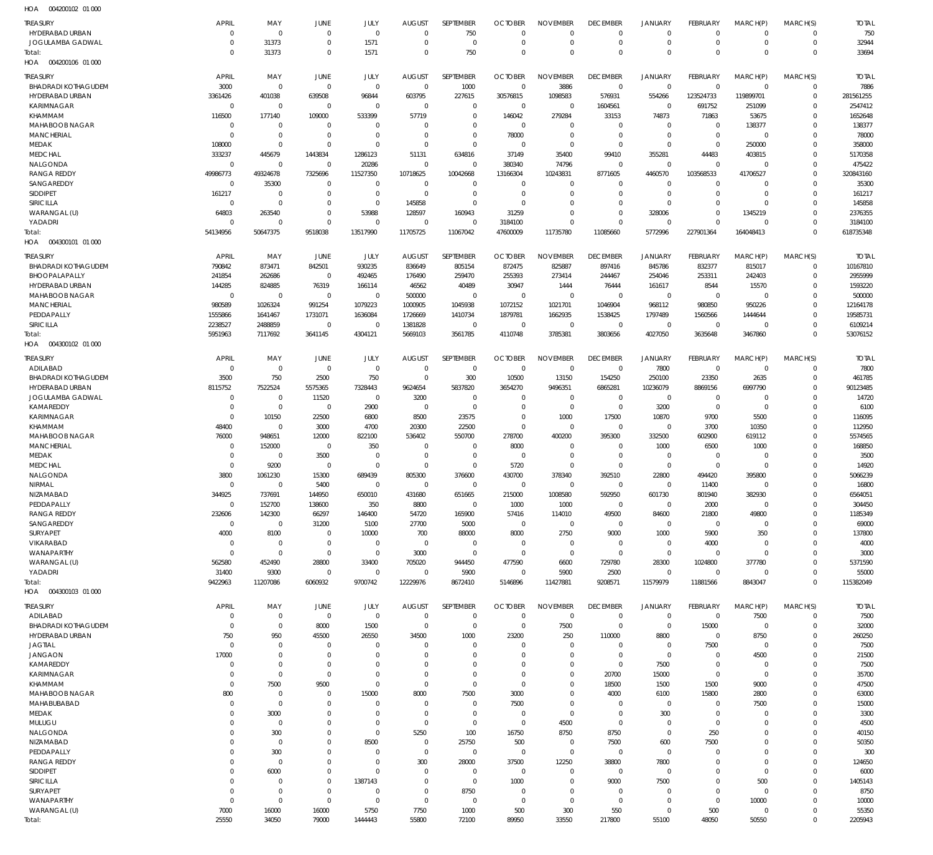| .                          |              |                |                |                |                |                  |                |                 |                 |                         |             |                |             |              |
|----------------------------|--------------|----------------|----------------|----------------|----------------|------------------|----------------|-----------------|-----------------|-------------------------|-------------|----------------|-------------|--------------|
| <b>TREASURY</b>            | <b>APRIL</b> | MAY            | JUNE           | JULY           | <b>AUGUST</b>  | SEPTEMBER        | <b>OCTOBER</b> | <b>NOVEMBER</b> | <b>DECEMBER</b> | <b>JANUARY</b>          | FEBRUARY    | MARCH(P)       | MARCH(S)    | <b>TOTAL</b> |
| HYDERABAD URBAN            | $\mathbf 0$  | $\mathbf 0$    | $\overline{0}$ | $\mathbf 0$    | $\overline{0}$ | 750              | $\Omega$       | $\mathbf 0$     | $\mathbf 0$     | $\Omega$                | $\Omega$    | $\mathbf 0$    | $\mathbf 0$ | 750          |
|                            |              |                |                |                |                |                  |                |                 |                 |                         |             |                |             |              |
| JOGULAMBA GADWAL           | $\mathbf 0$  | 31373          | $\mathbf 0$    | 1571           | $\mathbf 0$    | $\overline{0}$   | $\mathbf 0$    | $\mathbf 0$     | 0               | $\mathbf 0$             | $\mathbf 0$ | $\mathbf 0$    | 0           | 32944        |
| Total:                     | $\mathbf 0$  | 31373          | $\Omega$       | 1571           | $\Omega$       | 750              | $\Omega$       | $\Omega$        | $\Omega$        | $\Omega$                | $\Omega$    | $\Omega$       | $\mathbf 0$ | 33694        |
| 004200106 01 000<br>HOA    |              |                |                |                |                |                  |                |                 |                 |                         |             |                |             |              |
|                            |              |                |                |                |                |                  |                |                 |                 |                         |             |                |             |              |
| <b>TREASURY</b>            | <b>APRIL</b> | MAY            | JUNE           | JULY           | <b>AUGUST</b>  | <b>SEPTEMBER</b> | <b>OCTOBER</b> | <b>NOVEMBER</b> | <b>DECEMBER</b> | <b>JANUARY</b>          | FEBRUARY    | MARCH(P)       | MARCH(S)    | <b>TOTAL</b> |
| <b>BHADRADI KOTHAGUDEM</b> | 3000         | $\mathbf 0$    | $\overline{0}$ | $\mathbf 0$    | $\overline{0}$ | 1000             | $\overline{0}$ | 3886            | $\mathbf 0$     | $\overline{0}$          | $\mathbf 0$ | $^{\circ}$     | $\mathbf 0$ | 7886         |
| HYDERABAD URBAN            | 3361426      | 401038         | 639508         | 96844          | 603795         | 227615           | 30576815       | 1098583         | 576931          | 554266                  | 123524733   | 119899701      | $\mathsf 0$ | 281561255    |
| <b>KARIMNAGAR</b>          | $\mathbf 0$  | $\mathbf 0$    | $\overline{0}$ | $\mathbf 0$    | $\overline{0}$ | $\overline{0}$   | $\overline{0}$ | $\overline{0}$  | 1604561         | $\overline{0}$          | 691752      | 251099         | $\mathbf 0$ | 2547412      |
|                            |              |                |                |                |                |                  |                |                 |                 |                         |             |                |             |              |
| KHAMMAM                    | 116500       | 177140         | 109000         | 533399         | 57719          | $\overline{0}$   | 146042         | 279284          | 33153           | 74873                   | 71863       | 53675          | $\mathbf 0$ | 1652648      |
| MAHABOOB NAGAR             | $\mathbf 0$  | $\mathbf 0$    | $\mathbf 0$    | $\overline{0}$ | $\mathbf 0$    | $\overline{0}$   | $\overline{0}$ | $\overline{0}$  | $\mathbf 0$     | $\mathbf 0$             | $\mathbf 0$ | 138377         | $\mathbf 0$ | 138377       |
| <b>MANCHERIAL</b>          | $\mathbf 0$  | $\mathbf 0$    | $\overline{0}$ | $\mathbf 0$    | $\mathbf 0$    | $\overline{0}$   | 78000          | $\overline{0}$  | $\mathbf 0$     | $\overline{0}$          | $\mathbf 0$ | $\overline{0}$ | $\mathbf 0$ | 78000        |
| MEDAK                      |              | $\mathbf 0$    | $\overline{0}$ | $\Omega$       | $\overline{0}$ | $\overline{0}$   | $\overline{0}$ | $\overline{0}$  | $\mathbf 0$     | $\overline{0}$          | $\mathbf 0$ | 250000         | $\mathbf 0$ | 358000       |
|                            | 108000       |                |                |                |                |                  |                |                 |                 |                         |             |                |             |              |
| <b>MEDCHAL</b>             | 333237       | 445679         | 1443834        | 1286123        | 51131          | 634816           | 37149          | 35400           | 99410           | 355281                  | 44483       | 403815         | $\mathbf 0$ | 5170358      |
| <b>NALGONDA</b>            | 0            | $\mathbf 0$    | $\Omega$       | 20286          | $\overline{0}$ | $\overline{0}$   | 380340         | 74796           | $\mathbf 0$     | $\overline{0}$          | $\mathbf 0$ | $\mathbf 0$    | $\mathbf 0$ | 475422       |
| <b>RANGA REDDY</b>         | 49986773     | 49324678       | 7325696        | 11527350       | 10718625       | 10042668         | 13166304       | 10243831        | 8771605         | 4460570                 | 103568533   | 41706527       | $\mathbf 0$ | 320843160    |
| SANGAREDDY                 | $\mathbf 0$  | 35300          | $\overline{0}$ | $\mathbf 0$    | $\overline{0}$ | $\overline{0}$   | $\overline{0}$ | $\overline{0}$  | $\mathbf 0$     | $\overline{0}$          | $\mathbf 0$ | $\Omega$       | $\mathbf 0$ | 35300        |
|                            |              |                |                |                |                |                  |                |                 |                 |                         |             |                |             |              |
| <b>SIDDIPET</b>            | 161217       | $\overline{0}$ | $\Omega$       | $\mathbf 0$    | $\overline{0}$ | $\overline{0}$   | $\mathbf 0$    | $\overline{0}$  | $\mathbf 0$     | $\overline{0}$          | $\mathbf 0$ | $\mathbf 0$    | $\mathbf 0$ | 161217       |
| SIRICILLA                  | $\mathbf 0$  | $\mathbf 0$    | $\mathbf 0$    | $\mathbf 0$    | 145858         | $\overline{0}$   | $\Omega$       | $\overline{0}$  | $\mathbf 0$     | $\overline{0}$          | $\mathbf 0$ | $\mathbf 0$    | $\Omega$    | 145858       |
| WARANGAL (U)               | 64803        | 263540         | $\mathbf 0$    | 53988          | 128597         | 160943           | 31259          | $\overline{0}$  | $\pmb{0}$       | 328006                  | $\mathbf 0$ | 1345219        | $\mathbf 0$ | 2376355      |
| YADADRI                    | $\mathbf 0$  | $\mathbf 0$    | $\overline{0}$ | $\overline{0}$ | $\overline{0}$ | $\overline{0}$   | 3184100        | $\overline{0}$  | $\mathbf 0$     | $\overline{0}$          | $\mathbf 0$ | $\mathbf 0$    | $\mathbf 0$ | 3184100      |
|                            |              |                |                |                |                |                  |                |                 |                 |                         |             |                |             |              |
| Total:                     | 54134956     | 50647375       | 9518038        | 13517990       | 11705725       | 11067042         | 47600009       | 11735780        | 11085660        | 5772996                 | 227901364   | 164048413      | $\mathbf 0$ | 618735348    |
| HOA<br>004300101 01 000    |              |                |                |                |                |                  |                |                 |                 |                         |             |                |             |              |
|                            |              |                |                |                |                |                  |                |                 |                 |                         |             |                |             |              |
| <b>TREASURY</b>            | <b>APRIL</b> | MAY            | JUNE           | JULY           | <b>AUGUST</b>  | SEPTEMBER        | <b>OCTOBER</b> | <b>NOVEMBER</b> | <b>DECEMBER</b> | <b>JANUARY</b>          | FEBRUARY    | MARCH(P)       | MARCH(S)    | <b>TOTAL</b> |
| <b>BHADRADI KOTHAGUDEM</b> | 790842       | 873471         | 842501         | 930235         | 836649         | 805154           | 872475         | 825887          | 897416          | 845786                  | 832377      | 815017         | $\mathbf 0$ | 10167810     |
| BHOOPALAPALLY              | 241854       | 262686         | $\mathbf 0$    | 492465         | 176490         | 259470           | 255393         | 273414          | 244467          | 254046                  | 253311      | 242403         | $\mathbf 0$ | 2955999      |
|                            |              |                |                |                |                |                  |                |                 |                 |                         |             |                |             |              |
| HYDERABAD URBAN            | 144285       | 824885         | 76319          | 166114         | 46562          | 40489            | 30947          | 1444            | 76444           | 161617                  | 8544        | 15570          | $\mathbf 0$ | 1593220      |
| <b>MAHABOOB NAGAR</b>      | $\mathbf 0$  | $\mathbf 0$    | $\overline{0}$ | $\mathbf 0$    | 500000         | $\overline{0}$   | $\overline{0}$ | $\overline{0}$  | $\mathbf 0$     | $\overline{0}$          | $\mathbf 0$ | $\mathbf 0$    | $\mathbf 0$ | 500000       |
| <b>MANCHERIAL</b>          | 980589       | 1026324        | 991254         | 1079223        | 1000905        | 1045938          | 1072152        | 1021701         | 1046904         | 968112                  | 980850      | 950226         | $\Omega$    | 12164178     |
| PEDDAPALLY                 | 1555866      | 1641467        | 1731071        | 1636084        | 1726669        | 1410734          | 1879781        | 1662935         | 1538425         | 1797489                 | 1560566     | 1444644        | $\Omega$    | 19585731     |
|                            |              |                |                |                |                |                  |                |                 |                 |                         |             |                |             |              |
| SIRICILLA                  | 2238527      | 2488859        | $\Omega$       | $\overline{0}$ | 1381828        | $\overline{0}$   | $\Omega$       | $\overline{0}$  | $\mathbf 0$     | $\overline{0}$          | $\Omega$    | $\Omega$       | $\mathbf 0$ | 6109214      |
| Total:                     | 5951963      | 7117692        | 3641145        | 4304121        | 5669103        | 3561785          | 4110748        | 3785381         | 3803656         | 4027050                 | 3635648     | 3467860        | $\mathbf 0$ | 53076152     |
| HOA  004300102  01  000    |              |                |                |                |                |                  |                |                 |                 |                         |             |                |             |              |
|                            |              |                |                |                |                |                  |                |                 |                 |                         |             |                |             |              |
| <b>TREASURY</b>            | <b>APRIL</b> | MAY            | JUNE           | JULY           | <b>AUGUST</b>  | SEPTEMBER        | <b>OCTOBER</b> | <b>NOVEMBER</b> | <b>DECEMBER</b> | <b>JANUARY</b>          | FEBRUARY    | MARCH(P)       | MARCH(S)    | <b>TOTAL</b> |
| ADILABAD                   | $\mathbf 0$  | $\mathbf 0$    | $\overline{0}$ | $\mathbf 0$    | $\overline{0}$ | $\overline{0}$   | $\overline{0}$ | $\overline{0}$  | $\overline{0}$  | 7800                    | $\mathbf 0$ | $\overline{0}$ | $\mathbf 0$ | 7800         |
|                            |              |                |                |                |                |                  |                |                 |                 |                         |             |                |             |              |
| <b>BHADRADI KOTHAGUDEM</b> | 3500         | 750            | 2500           | 750            | $\overline{0}$ | 300              | 10500          | 13150           | 154250          | 250100                  | 23350       | 2635           | $\mathbf 0$ | 461785       |
| HYDERABAD URBAN            | 8115752      | 7522524        | 5575365        | 7328443        | 9624654        | 5837820          | 3654270        | 9496351         | 6865281         | 10236079                | 8869156     | 6997790        | $\mathbf 0$ | 90123485     |
| JOGULAMBA GADWAL           | $\mathbf 0$  | $\mathbf 0$    | 11520          | $\mathbf 0$    | 3200           | $\overline{0}$   | $\mathbf 0$    | $\overline{0}$  | $\mathbf 0$     | $\overline{0}$          | $\mathbf 0$ | $\mathbf 0$    | $\mathbf 0$ | 14720        |
| KAMAREDDY                  | $\mathbf 0$  | $\mathbf 0$    | $\mathbf 0$    | 2900           | $\overline{0}$ | $\overline{0}$   | $\mathbf 0$    | $\overline{0}$  | $\mathbf 0$     | 3200                    | $\mathbf 0$ | $\overline{0}$ | $\mathbf 0$ | 6100         |
|                            |              |                |                |                |                |                  |                |                 |                 |                         |             |                |             |              |
| <b>KARIMNAGAR</b>          | $\mathbf 0$  | 10150          | 22500          | 6800           | 8500           | 23575            | $\mathbf 0$    | 1000            | 17500           | 10870                   | 9700        | 5500           | $\mathbf 0$ | 116095       |
| KHAMMAM                    | 48400        | $\mathbf 0$    | 3000           | 4700           | 20300          | 22500            | $\mathbf 0$    | $\overline{0}$  | $\mathbf 0$     | $\overline{0}$          | 3700        | 10350          | $\mathbf 0$ | 112950       |
| <b>MAHABOOB NAGAR</b>      | 76000        | 948651         | 12000          | 822100         | 536402         | 550700           | 278700         | 400200          | 395300          | 332500                  | 602900      | 619112         | $\mathbf 0$ | 5574565      |
|                            |              |                |                |                |                |                  |                |                 |                 |                         |             |                |             |              |
| <b>MANCHERIAL</b>          | $\mathbf 0$  | 152000         | $\mathbf 0$    | 350            | $^{\circ}$     | $\overline{0}$   | 8000           | $\overline{0}$  | $\mathbf 0$     | 1000                    | 6500        | 1000           | 0           | 168850       |
| <b>MEDAK</b>               | $\mathbf 0$  | $\mathbf 0$    | 3500           | $\mathbf 0$    | $\mathbf 0$    | $\overline{0}$   | $\overline{0}$ | $\overline{0}$  | $\mathbf 0$     | $\overline{0}$          | $\mathbf 0$ | $\mathbf 0$    | $\mathbf 0$ | 3500         |
| <b>MEDCHAL</b>             | $\mathbf 0$  | 9200           | $\mathbf 0$    | $\mathbf 0$    | $\mathbf 0$    | $\overline{0}$   | 5720           | $\overline{0}$  | $\mathbf 0$     | $\overline{0}$          | $\mathbf 0$ | $\mathbf 0$    | $\mathbf 0$ | 14920        |
| NALGONDA                   | 3800         | 1061230        | 15300          | 689439         | 805300         | 376600           | 430700         | 378340          | 392510          | 22800                   | 494420      | 395800         | $\mathbf 0$ | 5066239      |
|                            |              |                |                |                |                |                  |                |                 |                 |                         |             |                |             |              |
| NIRMAL                     | 0            | $\mathbf 0$    | 5400           | $\mathbf 0$    | $\overline{0}$ | $\overline{0}$   | $\overline{0}$ | $\overline{0}$  | $\mathbf 0$     | $\overline{0}$          | 11400       | $\Omega$       | $\mathbf 0$ | 16800        |
| NIZAMABAD                  | 344925       | 737691         | 144950         | 650010         | 431680         | 651665           | 215000         | 1008580         | 592950          | 601730                  | 801940      | 382930         | $\Omega$    | 6564051      |
| PEDDAPALLY                 | $\mathbf 0$  | 152700         | 138600         | 350            | 8800           | $\overline{0}$   | 1000           | 1000            | 0               | $\overline{0}$          | 2000        | $\mathbf 0$    | $\mathbf 0$ | 304450       |
| <b>RANGA REDDY</b>         | 232606       | 142300         | 66297          | 146400         | 54720          | 165900           | 57416          | 114010          | 49500           | 84600                   | 21800       | 49800          | $\mathbf 0$ | 1185349      |
|                            |              |                |                |                |                |                  |                |                 |                 |                         |             |                |             |              |
| SANGAREDDY                 | 0            | $\mathbf 0$    | 31200          | 5100           | 27700          | 5000             | $\mathbf 0$    | $\overline{0}$  | $\mathbf 0$     | $\overline{0}$          | $\mathbf 0$ | $\mathbf 0$    | $\mathbf 0$ | 69000        |
| SURYAPET                   | 4000         | 8100           | $\overline{0}$ | 10000          | 700            | 88000            | 8000           | 2750            | 9000            | 1000                    | 5900        | 350            | $\mathbf 0$ | 137800       |
| VIKARABAD                  | $\mathbf 0$  | $\mathbf 0$    | $\overline{0}$ | $\mathbf 0$    | $\overline{0}$ | $\overline{0}$   | $\overline{0}$ | $\overline{0}$  | 0               | $\overline{\mathbf{0}}$ | 4000        | $\mathbf 0$    | $\mathbf 0$ | 4000         |
| WANAPARTHY                 | $\mathbf 0$  | $\mathbf 0$    | $\mathbf 0$    | $\mathbf 0$    | 3000           | $\overline{0}$   | $\mathbf 0$    | $\overline{0}$  | $\mathbf 0$     | $\overline{0}$          | $\mathbf 0$ | $\mathbf 0$    | $\mathbf 0$ | 3000         |
|                            |              |                |                |                |                |                  |                |                 |                 |                         |             |                |             |              |
| WARANGAL (U)               | 562580       | 452490         | 28800          | 33400          | 705020         | 944450           | 477590         | 6600            | 729780          | 28300                   | 1024800     | 377780         | $\mathbf 0$ | 5371590      |
| YADADRI                    | 31400        | 9300           | $\mathbf 0$    | $\mathbf 0$    | $\overline{0}$ | 5900             | $\mathbf 0$    | 5900            | 2500            | $\overline{0}$          | $\mathbf 0$ | $\overline{0}$ | $\mathbf 0$ | 55000        |
| Total:                     | 9422963      | 11207086       | 6060932        | 9700742        | 12229976       | 8672410          | 5146896        | 11427881        | 9208571         | 11579979                | 11881566    | 8843047        | $\mathbf 0$ | 115382049    |
| 004300103 01 000<br>HOA    |              |                |                |                |                |                  |                |                 |                 |                         |             |                |             |              |
|                            |              |                |                |                |                |                  |                |                 |                 |                         |             |                |             |              |
| <b>TREASURY</b>            | <b>APRIL</b> | MAY            | JUNE           | JULY           | <b>AUGUST</b>  | SEPTEMBER        | <b>OCTOBER</b> | <b>NOVEMBER</b> | <b>DECEMBER</b> | <b>JANUARY</b>          | FEBRUARY    | MARCH(P)       | MARCH(S)    | <b>TOTAL</b> |
| ADILABAD                   | $\mathbf 0$  | $\mathbf 0$    | $\overline{0}$ | $\mathbf 0$    | $\overline{0}$ | $\overline{0}$   | $\mathbf 0$    | $\overline{0}$  | $\mathbf 0$     | $\overline{0}$          | $\mathbf 0$ | 7500           | $\mathbf 0$ | 7500         |
|                            |              |                |                |                |                |                  | $\mathbf 0$    |                 | $\mathbf 0$     |                         |             |                |             |              |
| <b>BHADRADI KOTHAGUDEM</b> | $\mathbf 0$  | $\mathbf 0$    | 8000           | 1500           | $\overline{0}$ | $\overline{0}$   |                | 7500            |                 | $\overline{0}$          | 15000       | $\overline{0}$ | $\mathbf 0$ | 32000        |
| HYDERABAD URBAN            | 750          | 950            | 45500          | 26550          | 34500          | 1000             | 23200          | 250             | 110000          | 8800                    | $\mathbf 0$ | 8750           | $\mathbf 0$ | 260250       |
| <b>JAGTIAL</b>             | $\mathbf 0$  | $\mathbf 0$    | $\mathbf 0$    | $\overline{0}$ | 0              | $\overline{0}$   | $\Omega$       | $\mathbf 0$     | $\mathbf 0$     | $\overline{0}$          | 7500        | $\overline{0}$ | $\mathbf 0$ | 7500         |
| <b>JANGAON</b>             | 17000        | $\mathbf 0$    | $\Omega$       | $\Omega$       | $\Omega$       | $^{\circ}$       | $\Omega$       | $\mathbf 0$     | $\mathbf 0$     | $\overline{0}$          | 0           | 4500           | $\mathbf 0$ | 21500        |
|                            |              |                | $\Omega$       | $\Omega$       | $\Omega$       |                  | $\Omega$       |                 | $\mathbf 0$     |                         |             | $\Omega$       |             |              |
| KAMAREDDY                  | $\mathbf 0$  | $\mathbf 0$    |                |                |                | $^{\circ}$       |                | $\mathbf 0$     |                 | 7500                    | $\mathbf 0$ |                | $\mathbf 0$ | 7500         |
| KARIMNAGAR                 | $\mathbf 0$  | $\mathbf 0$    | $\Omega$       | $\Omega$       | $\Omega$       | $^{\circ}$       | $\mathbf 0$    | $\overline{0}$  | 20700           | 15000                   | $\mathbf 0$ | $\mathbf 0$    | $\mathbf 0$ | 35700        |
| KHAMMAM                    | $\mathbf 0$  | 7500           | 9500           | $^{\circ}$     | $\mathbf 0$    | $^{\circ}$       | $\mathbf 0$    | $\mathbf 0$     | 18500           | 1500                    | 1500        | 9000           | 0           | 47500        |
| <b>MAHABOOB NAGAR</b>      | 800          | $\mathbf 0$    | $\Omega$       | 15000          | 8000           | 7500             | 3000           | $\mathbf 0$     | 4000            | 6100                    | 15800       | 2800           | $\mathbf 0$ | 63000        |
|                            |              |                | $\Omega$       | $\Omega$       |                |                  |                |                 |                 |                         |             |                |             |              |
| MAHABUBABAD                | $\mathbf 0$  | $\mathbf 0$    |                |                | $\mathbf 0$    | $^{\circ}$       | 7500           | $\mathbf 0$     | $\mathbf 0$     | $\overline{0}$          | 0           | 7500           | 0           | 15000        |
| MEDAK                      | $\Omega$     | 3000           | $\Omega$       | $\Omega$       | $\Omega$       | $\overline{0}$   | $\mathbf 0$    | $\overline{0}$  | $\mathbf 0$     | 300                     | $\mathbf 0$ | $\Omega$       | $\Omega$    | 3300         |
| MULUGU                     | $\Omega$     | $\mathbf 0$    | $\Omega$       | $^{\circ}$     | $\mathbf 0$    | $\overline{0}$   | $\mathbf 0$    | 4500            | $\mathbf 0$     | $\overline{0}$          | $\mathbf 0$ | $\Omega$       | 0           | 4500         |
| NALGONDA                   | $\Omega$     | 300            | $\Omega$       | $^{\circ}$     | 5250           | 100              | 16750          | 8750            | 8750            | $\overline{0}$          | 250         | $\Omega$       | $\Omega$    | 40150        |
|                            |              |                |                |                |                |                  |                |                 |                 |                         |             |                |             |              |
| NIZAMABAD                  | $\Omega$     | $\mathbf 0$    | $\Omega$       | 8500           | $\mathbf 0$    | 25750            | 500            | $\overline{0}$  | 7500            | 600                     | 7500        | $\Omega$       | 0           | 50350        |
| PEDDAPALLY                 | $\Omega$     | 300            | $\Omega$       | $^{\circ}$     | $^{\circ}$     | $\overline{0}$   | $\mathbf 0$    | $\mathbf 0$     | $\mathbf 0$     | $\overline{0}$          | $\Omega$    | $\Omega$       | $\mathbf 0$ | 300          |
| <b>RANGA REDDY</b>         | U            | $\mathbf 0$    | $\Omega$       | $\Omega$       | 300            | 28000            | 37500          | 12250           | 38800           | 7800                    | $\Omega$    | $\Omega$       | 0           | 124650       |
| <b>SIDDIPET</b>            | $\Omega$     | 6000           | $\Omega$       | $\Omega$       | $\mathbf 0$    | $\overline{0}$   | $\mathbf 0$    | $\mathbf 0$     | $\mathbf 0$     | $\mathbf 0$             | $\Omega$    | $\mathbf 0$    | $\Omega$    | 6000         |
|                            |              |                |                |                |                |                  |                |                 |                 |                         |             |                |             |              |
| SIRICILLA                  | $\Omega$     | $\mathbf 0$    | $\Omega$       | 1387143        | 0              | $\overline{0}$   | 1000           | $\mathbf 0$     | 9000            | 7500                    | $\Omega$    | 500            | 0           | 1405143      |
| <b>SURYAPET</b>            | $\Omega$     | $\mathbf 0$    | $\mathbf 0$    | $^{\circ}$     | 0              | 8750             | $\mathbf 0$    | $\mathbf 0$     | $\mathbf 0$     | $\mathbf 0$             | $\mathbf 0$ | $\mathbf 0$    | $\Omega$    | 8750         |
| WANAPARTHY                 | $\mathbf 0$  | $\mathbf 0$    | $\mathbf 0$    | $\overline{0}$ | $\mathbf 0$    | $\overline{0}$   | $\mathbf 0$    | $\overline{0}$  | $\mathbf 0$     | $\overline{0}$          | $\mathbf 0$ | 10000          | 0           | 10000        |
| WARANGAL (U)               | 7000         | 16000          | 16000          | 5750           | 7750           | 1000             | 500            | 300             | 550             | $\mathbf 0$             | 500         | 0              | 0           | 55350        |
|                            |              |                |                |                |                |                  |                |                 |                 |                         |             |                |             |              |
| Total:                     | 25550        | 34050          | 79000          | 1444443        | 55800          | 72100            | 89950          | 33550           | 217800          | 55100                   | 48050       | 50550          | $\Omega$    | 2205943      |
|                            |              |                |                |                |                |                  |                |                 |                 |                         |             |                |             |              |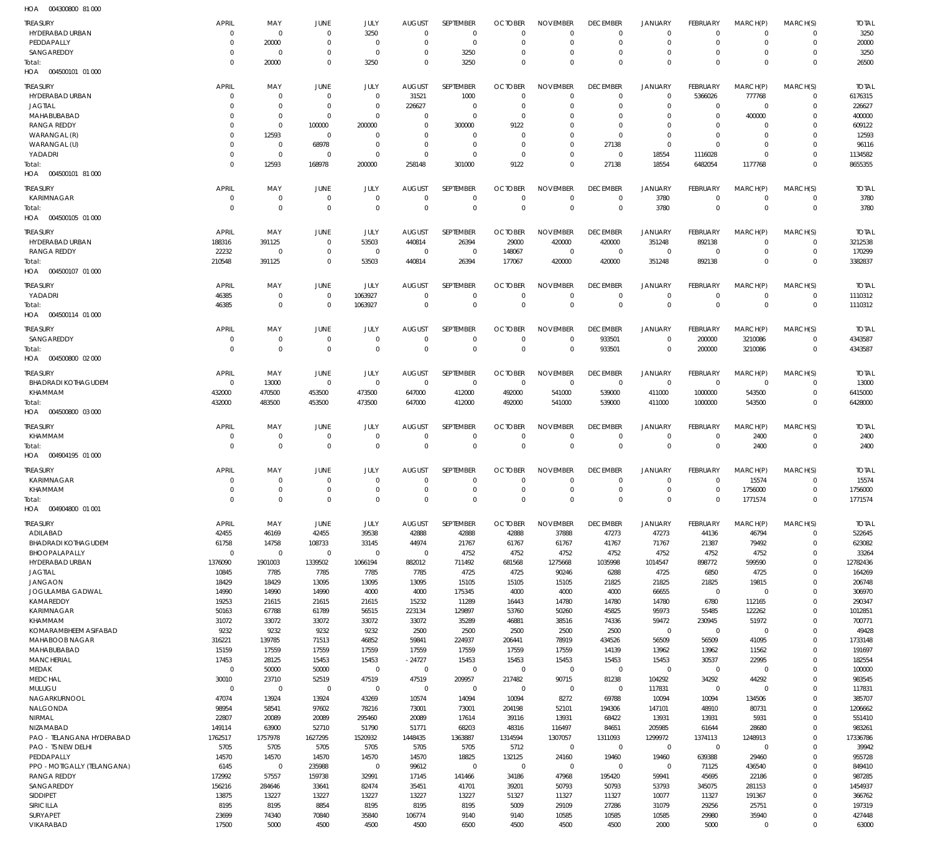004300800 81 000 HOA

| <b>TREASURY</b>                        | <b>APRIL</b>           | MAY                        | JUNE                      | JULY                       | <b>AUGUST</b>              | <b>SEPTEMBER</b>           | <b>OCTOBER</b>              | <b>NOVEMBER</b>            | <b>DECEMBER</b>           | <b>JANUARY</b>             | <b>FEBRUARY</b>           | MARCH(P)                   | MARCH(S)                   | <b>TOTAL</b>            |
|----------------------------------------|------------------------|----------------------------|---------------------------|----------------------------|----------------------------|----------------------------|-----------------------------|----------------------------|---------------------------|----------------------------|---------------------------|----------------------------|----------------------------|-------------------------|
| HYDERABAD URBAN                        | $\Omega$               | $\mathbf 0$                | $\mathbf 0$<br>$\Omega$   | 3250                       | $\Omega$                   | $\mathbf 0$                | $\Omega$                    | $\Omega$<br>$\Omega$       | $\mathbf 0$               | $\mathbf 0$<br>$\mathbf 0$ | $\Omega$                  | $\overline{0}$<br>$\Omega$ | $\mathbf 0$                | 3250                    |
| PEDDAPALLY<br>SANGAREDDY               | $\Omega$<br>$\Omega$   | 20000<br>$^{\circ}$        | $\mathbf 0$               | $\mathbf 0$<br>$\mathbf 0$ | $\Omega$<br>$\Omega$       | $\mathbf 0$<br>3250        | $\Omega$<br>$\Omega$        | $\mathbf 0$                | $\Omega$<br>0             | $\mathbf 0$                | $\Omega$<br>0             | $\mathbf 0$                | $\mathbf 0$<br>$^{\circ}$  | 20000<br>3250           |
| Total:                                 | $\Omega$               | 20000                      | $\Omega$                  | 3250                       | $\Omega$                   | 3250                       | $\Omega$                    | $\Omega$                   | $\Omega$                  | $\mathbf 0$                | $\Omega$                  | $\Omega$                   | $\mathbf 0$                | 26500                   |
| HOA   004500101   01   000             |                        |                            |                           |                            |                            |                            |                             |                            |                           |                            |                           |                            |                            |                         |
| <b>TREASURY</b>                        | <b>APRIL</b>           | MAY                        | JUNE                      | JULY                       | <b>AUGUST</b>              | <b>SEPTEMBER</b>           | <b>OCTOBER</b>              | <b>NOVEMBER</b>            | <b>DECEMBER</b>           | <b>JANUARY</b>             | FEBRUARY                  | MARCH(P)                   | MARCH(S)                   | <b>TOTAL</b>            |
| HYDERABAD URBAN                        | $\Omega$               | $\mathbf 0$                | $^{\circ}$                | $\mathbf 0$                | 31521                      | 1000                       | $\Omega$                    | $\mathbf 0$                | $\mathbf 0$               | $\mathbf 0$                | 5366026                   | 777768                     | $\mathbf 0$                | 6176315                 |
| <b>JAGTIAL</b><br>MAHABUBABAD          |                        | $\mathbf 0$<br>$\mathbf 0$ | $^{\circ}$<br>$^{\circ}$  | $\mathbf 0$<br>$\Omega$    | 226627<br>$\mathbf 0$      | $\mathbf 0$<br>$\mathbf 0$ | O<br>$\Omega$               | $\mathbf 0$<br>$\Omega$    | 0<br>$\Omega$             | $\mathbf 0$<br>$\mathbf 0$ | 0<br>$\mathbf 0$          | $\mathbf 0$<br>400000      | $^{\circ}$<br>$\Omega$     | 226627<br>400000        |
| <b>RANGA REDDY</b>                     |                        | $\mathbf 0$                | 100000                    | 200000                     | 0                          | 300000                     | 9122                        | $\mathbf 0$                | 0                         | $\mathbf 0$                | 0                         | 0                          | 0                          | 609122                  |
| WARANGAL (R)                           |                        | 12593                      | $^{\circ}$                | $\mathbf 0$                | $\Omega$                   | $\mathbf 0$                | 0                           | $\mathbf 0$                | $\mathbf 0$               | $\mathbf 0$                | $\mathbf 0$               | $\mathbf 0$                | $\Omega$                   | 12593                   |
| WARANGAL (U)                           |                        | $\mathbf 0$<br>$\mathbf 0$ | 68978<br>$^{\circ}$       | $\mathbf 0$<br>$\mathbf 0$ | $\mathbf 0$<br>$\mathbf 0$ | $\mathbf 0$<br>$\mathbf 0$ | $\Omega$<br>$\mathbf 0$     | $\mathbf 0$<br>$\mathbf 0$ | 27138<br>$\mathbf 0$      | $\mathbf 0$                | $\Omega$                  | $\mathbf 0$<br>$\mathbf 0$ | $\mathbf 0$<br>$\mathbf 0$ | 96116                   |
| YADADRI<br>Total:                      | $\Omega$               | 12593                      | 168978                    | 200000                     | 258148                     | 301000                     | 9122                        | $\mathbf 0$                | 27138                     | 18554<br>18554             | 1116028<br>6482054        | 1177768                    | $\Omega$                   | 1134582<br>8655355      |
| HOA<br>004500101 81 000                |                        |                            |                           |                            |                            |                            |                             |                            |                           |                            |                           |                            |                            |                         |
| <b>TREASURY</b>                        | <b>APRIL</b>           | MAY                        | JUNE                      | JULY                       | <b>AUGUST</b>              | SEPTEMBER                  | <b>OCTOBER</b>              | <b>NOVEMBER</b>            | <b>DECEMBER</b>           | <b>JANUARY</b>             | FEBRUARY                  | MARCH(P)                   | MARCH(S)                   | <b>TOTAL</b>            |
| KARIMNAGAR                             | 0                      | $\mathbf 0$                | $\mathbf 0$               | $\mathbf 0$                | $\mathbf 0$                | $\mathbf 0$                | $\mathbf 0$                 | $\mathbf 0$                | $\mathbf 0$               | 3780                       | 0                         | 0                          | $\mathbf 0$                | 3780                    |
| Total:<br>HOA  004500105  01  000      | $\Omega$               | $\mathbf 0$                | $^{\circ}$                | $\mathbf 0$                | $\Omega$                   | $\mathbf 0$                | $\mathbf 0$                 | $\mathbf 0$                | $\mathbf 0$               | 3780                       | $\mathbf 0$               | $\mathbf 0$                | $\mathbf 0$                | 3780                    |
|                                        |                        |                            |                           |                            |                            |                            |                             |                            |                           |                            |                           |                            |                            |                         |
| <b>TREASURY</b><br>HYDERABAD URBAN     | <b>APRIL</b><br>188316 | MAY<br>391125              | JUNE<br>$\mathbf 0$       | <b>JULY</b><br>53503       | <b>AUGUST</b><br>440814    | <b>SEPTEMBER</b><br>26394  | <b>OCTOBER</b><br>29000     | <b>NOVEMBER</b><br>420000  | <b>DECEMBER</b><br>420000 | <b>JANUARY</b><br>351248   | <b>FEBRUARY</b><br>892138 | MARCH(P)<br>$\mathbf 0$    | MARCH(S)<br>$\mathbf 0$    | <b>TOTAL</b><br>3212538 |
| RANGA REDDY                            | 22232                  | $\mathbf 0$                | $\mathbf 0$               | $\mathbf 0$                | $\overline{0}$             | $\mathbf 0$                | 148067                      | $\mathbf 0$                | $\mathbf 0$               | $\mathbf 0$                | $\mathbf 0$               | $\mathbf 0$                | $\mathbf 0$                | 170299                  |
| Total:                                 | 210548                 | 391125                     | $\mathbf 0$               | 53503                      | 440814                     | 26394                      | 177067                      | 420000                     | 420000                    | 351248                     | 892138                    | $\mathbf 0$                | $\mathbf 0$                | 3382837                 |
| 004500107 01 000<br>HOA                |                        |                            |                           |                            |                            |                            |                             |                            |                           |                            |                           |                            |                            |                         |
| <b>TREASURY</b>                        | <b>APRIL</b>           | MAY                        | JUNE                      | JULY                       | <b>AUGUST</b>              | SEPTEMBER                  | <b>OCTOBER</b>              | <b>NOVEMBER</b>            | <b>DECEMBER</b>           | <b>JANUARY</b>             | <b>FEBRUARY</b>           | MARCH(P)                   | MARCH(S)                   | <b>TOTAL</b>            |
| YADADRI                                | 46385                  | $\mathbf 0$                | $\mathbf 0$               | 1063927                    | $\Omega$                   | $\mathbf 0$                | $\mathbf 0$                 | $\mathbf 0$                | $\mathbf 0$               | $\mathbf 0$                | 0                         | $\mathbf 0$                | $\mathbf 0$                | 1110312                 |
| Total:<br>HOA  004500114  01  000      | 46385                  | $\mathbf 0$                | $^{\circ}$                | 1063927                    | $\Omega$                   | $\mathbf 0$                | $\mathbf 0$                 | $\mathsf 0$                | $\mathbf 0$               | $\mathbf 0$                | $\mathbf 0$               | $\Omega$                   | $\mathbf 0$                | 1110312                 |
| <b>TREASURY</b>                        | <b>APRIL</b>           | MAY                        |                           | JULY                       | <b>AUGUST</b>              | SEPTEMBER                  | <b>OCTOBER</b>              | <b>NOVEMBER</b>            | <b>DECEMBER</b>           | <b>JANUARY</b>             | FEBRUARY                  |                            |                            |                         |
| SANGAREDDY                             | 0                      | $\mathbf 0$                | JUNE<br>$\mathbf 0$       | $\mathbf 0$                | $\mathbf 0$                | $\mathbf 0$                | 0                           | $\mathbf 0$                | 933501                    | $\mathbf 0$                | 200000                    | MARCH(P)<br>3210086        | MARCH(S)<br>$\mathbf 0$    | <b>TOTAL</b><br>4343587 |
| Total:                                 | $\Omega$               | $\mathbf 0$                | $\mathbf 0$               | $\mathbf 0$                | $\Omega$                   | $\mathbf 0$                | $\mathbf 0$                 | $\mathbf 0$                | 933501                    | $\mathbf 0$                | 200000                    | 3210086                    | $\mathbf 0$                | 4343587                 |
| HOA  004500800  02  000                |                        |                            |                           |                            |                            |                            |                             |                            |                           |                            |                           |                            |                            |                         |
| <b>TREASURY</b>                        | <b>APRIL</b>           | MAY                        | <b>JUNE</b>               | JULY                       | <b>AUGUST</b>              | SEPTEMBER                  | <b>OCTOBER</b>              | <b>NOVEMBER</b>            | <b>DECEMBER</b>           | <b>JANUARY</b>             | FEBRUARY                  | MARCH(P)                   | MARCH(S)                   | <b>TOTAL</b>            |
| <b>BHADRADI KOTHAGUDEM</b>             | $\Omega$               | 13000                      | $\mathbf 0$               | $\mathbf 0$                | $\mathbf 0$                | $\mathbf 0$                | $\mathbf 0$                 | $\mathbf 0$                | $\mathbf 0$               | $\mathbf 0$                | $\mathbf 0$               | $\overline{0}$             | $\mathbf 0$                | 13000                   |
| KHAMMAM<br>Total:                      | 432000<br>432000       | 470500<br>483500           | 453500<br>453500          | 473500<br>473500           | 647000<br>647000           | 412000<br>412000           | 492000<br>492000            | 541000<br>541000           | 539000<br>539000          | 411000<br>411000           | 1000000<br>1000000        | 543500<br>543500           | $\mathbf 0$<br>$\mathbf 0$ | 6415000<br>6428000      |
| HOA  004500800  03  000                |                        |                            |                           |                            |                            |                            |                             |                            |                           |                            |                           |                            |                            |                         |
| <b>TREASURY</b>                        | <b>APRIL</b>           | MAY                        | JUNE                      | JULY                       | <b>AUGUST</b>              | SEPTEMBER                  | <b>OCTOBER</b>              | <b>NOVEMBER</b>            | <b>DECEMBER</b>           | <b>JANUARY</b>             | <b>FEBRUARY</b>           | MARCH(P)                   | MARCH(S)                   | <b>TOTAL</b>            |
| KHAMMAM                                | $\Omega$               | $\mathbf 0$                | $\mathbf 0$               | $\mathbf 0$                | $\mathbf 0$                | $\mathbf 0$                | $\mathbf 0$                 | $\mathbf 0$                | $\mathbf 0$               | $\mathbf 0$                | -0                        | 2400                       | $\mathbf 0$                | 2400                    |
| Total:                                 | $\Omega$               | $\mathbf 0$                | $^{\circ}$                | $\mathbf 0$                | $\Omega$                   | $\mathbf 0$                | $\Omega$                    | $\mathbf 0$                | $\mathbf 0$               | $\mathbf 0$                | $\mathbf 0$               | 2400                       | $\mathbf 0$                | 2400                    |
| HOA  004904195  01  000                |                        |                            |                           |                            |                            |                            |                             |                            |                           |                            |                           |                            |                            |                         |
| <b>TREASURY</b>                        | <b>APRIL</b>           | MAY                        | JUNE                      | JULY                       | <b>AUGUST</b>              | SEPTEMBER                  | <b>OCTOBER</b>              | <b>NOVEMBER</b>            | <b>DECEMBER</b>           | <b>JANUARY</b>             | FEBRUARY                  | MARCH(P)                   | MARCH(S)                   | <b>TOTAL</b>            |
| KARIMNAGAR<br>KHAMMAM                  | $\Omega$<br>$\Omega$   | $\mathbf 0$<br>$\Omega$    | $\Omega$<br>$\Omega$      | $\mathbf 0$<br>$\Omega$    | $\Omega$<br>$\Omega$       | 0<br>$\mathbf 0$           | $\mathbf 0$<br>$\mathbf{0}$ | 0<br>$\mathbf 0$           | 0<br>$\Omega$             | 0<br>$\mathbf 0$           | 0<br>$\Omega$             | 15574<br>1756000           | $^{\circ}$<br>$\mathbf 0$  | 15574<br>1756000        |
| lotal:                                 |                        |                            |                           |                            |                            |                            |                             |                            |                           | $\cup$                     | 0                         | 1//15/4                    | 0                          | 1771574                 |
| HOA  004904800  01  001                |                        |                            |                           |                            |                            |                            |                             |                            |                           |                            |                           |                            |                            |                         |
| <b>TREASURY</b>                        | <b>APRIL</b>           | MAY                        | <b>JUNE</b>               | JULY                       | <b>AUGUST</b>              | SEPTEMBER                  | <b>OCTOBER</b>              | <b>NOVEMBER</b>            | <b>DECEMBER</b>           | <b>JANUARY</b>             | FEBRUARY                  | MARCH(P)                   | MARCH(S)                   | <b>TOTAL</b>            |
| ADILABAD                               | 42455                  | 46169                      | 42455                     | 39538                      | 42888                      | 42888                      | 42888                       | 37888                      | 47273                     | 47273                      | 44136                     | 46794                      | $\mathbf 0$                | 522645                  |
| <b>BHADRADI KOTHAGUDEM</b>             | 61758<br>$\Omega$      | 14758                      | 108733                    | 33145                      | 44974                      | 21767                      | 61767                       | 61767                      | 41767                     | 71767                      | 21387                     | 79492                      | $\mathbf 0$                | 623082                  |
| BHOOPALAPALLY<br>HYDERABAD URBAN       | 1376090                | $\mathbf 0$<br>1901003     | $\overline{0}$<br>1339502 | $\mathbf 0$<br>1066194     | $\mathbf 0$<br>882012      | 4752<br>711492             | 4752<br>681568              | 4752<br>1275668            | 4752<br>1035998           | 4752<br>1014547            | 4752<br>898772            | 4752<br>599590             | $\mathbf 0$<br>$\mathbf 0$ | 33264<br>12782436       |
| <b>JAGTIAL</b>                         | 10845                  | 7785                       | 7785                      | 7785                       | 7785                       | 4725                       | 4725                        | 90246                      | 6288                      | 4725                       | 6850                      | 4725                       | $\mathbf 0$                | 164269                  |
| <b>JANGAON</b>                         | 18429                  | 18429                      | 13095                     | 13095                      | 13095                      | 15105                      | 15105                       | 15105                      | 21825                     | 21825                      | 21825                     | 19815                      | $\mathbf 0$                | 206748                  |
| JOGULAMBA GADWAL<br>KAMAREDDY          | 14990<br>19253         | 14990<br>21615             | 14990<br>21615            | 4000<br>21615              | 4000<br>15232              | 175345<br>11289            | 4000<br>16443               | 4000<br>14780              | 4000<br>14780             | 66655<br>14780             | $\mathbf 0$<br>6780       | $\mathbf 0$<br>112165      | $\mathbf 0$<br>$\mathbf 0$ | 306970<br>290347        |
| KARIMNAGAR                             | 50163                  | 67788                      | 61789                     | 56515                      | 223134                     | 129897                     | 53760                       | 50260                      | 45825                     | 95973                      | 55485                     | 122262                     | $\mathbf 0$                | 1012851                 |
| KHAMMAM                                | 31072                  | 33072                      | 33072                     | 33072                      | 33072                      | 35289                      | 46881                       | 38516                      | 74336                     | 59472                      | 230945                    | 51972                      | $\mathbf 0$                | 700771                  |
| KOMARAMBHEEM ASIFABAD                  | 9232                   | 9232                       | 9232                      | 9232                       | 2500                       | 2500                       | 2500                        | 2500                       | 2500                      | $\mathbf 0$                | $\mathbf 0$               | $\mathbf 0$                | $\mathbf 0$                | 49428                   |
| MAHABOOB NAGAR<br>MAHABUBABAD          | 316221<br>15159        | 139785<br>17559            | 71513<br>17559            | 46852<br>17559             | 59841<br>17559             | 224937<br>17559            | 206441<br>17559             | 78919<br>17559             | 434526<br>14139           | 56509<br>13962             | 56509<br>13962            | 41095<br>11562             | $\mathbf 0$<br>$\mathbf 0$ | 1733148<br>191697       |
| <b>MANCHERIAL</b>                      | 17453                  | 28125                      | 15453                     | 15453                      | $-24727$                   | 15453                      | 15453                       | 15453                      | 15453                     | 15453                      | 30537                     | 22995                      | $\mathbf 0$                | 182554                  |
| MEDAK                                  | $\mathbf 0$            | 50000                      | 50000                     | $\mathbf 0$                | $\mathbf 0$                | $\mathbf 0$                | $\mathbf 0$                 | $\mathbf 0$                | $\mathbf 0$               | $\mathbf 0$                | $\mathbf 0$               | $\mathbf 0$                | $\mathbf 0$                | 100000                  |
| <b>MEDCHAL</b>                         | 30010                  | 23710                      | 52519                     | 47519                      | 47519                      | 209957                     | 217482                      | 90715                      | 81238                     | 104292                     | 34292                     | 44292                      | $\mathbf 0$                | 983545                  |
| MULUGU<br>NAGARKURNOOL                 | $\mathbf 0$<br>47074   | $\mathbf 0$<br>13924       | $\mathbf 0$<br>13924      | $\mathbf 0$<br>43269       | $\mathbf 0$<br>10574       | $\mathbf 0$<br>14094       | $\mathbf 0$<br>10094        | $\mathbf 0$<br>8272        | $\mathbf 0$<br>69788      | 117831<br>10094            | $\mathbf 0$<br>10094      | $\mathbf 0$<br>134506      | $\mathbf 0$<br>$\mathbf 0$ | 117831<br>385707        |
| NALGONDA                               | 98954                  | 58541                      | 97602                     | 78216                      | 73001                      | 73001                      | 204198                      | 52101                      | 194306                    | 147101                     | 48910                     | 80731                      | $\mathbf 0$                | 1206662                 |
| NIRMAL                                 | 22807                  | 20089                      | 20089                     | 295460                     | 20089                      | 17614                      | 39116                       | 13931                      | 68422                     | 13931                      | 13931                     | 5931                       | $\mathbf 0$                | 551410                  |
| NIZAMABAD<br>PAO - TELANGANA HYDERABAD | 149114<br>1762517      | 63900<br>1757978           | 52710<br>1627295          | 51790<br>1520932           | 51771<br>1448435           | 68203<br>1363887           | 48316<br>1314594            | 116497<br>1307057          | 84651<br>1311093          | 205985<br>1299972          | 61644<br>1374113          | 28680<br>1248913           | $\mathbf 0$<br>$\mathbf 0$ | 983261<br>17336786      |
| PAO - TS NEW DELHI                     | 5705                   | 5705                       | 5705                      | 5705                       | 5705                       | 5705                       | 5712                        | $\mathbf 0$                | $\mathbf 0$               | $\mathbf 0$                | $\mathbf 0$               | $\mathbf 0$                | $\mathbf 0$                | 39942                   |
| PEDDAPALLY                             | 14570                  | 14570                      | 14570                     | 14570                      | 14570                      | 18825                      | 132125                      | 24160                      | 19460                     | 19460                      | 639388                    | 29460                      | $\mathbf 0$                | 955728                  |
| PPO - MOTIGALLY (TELANGANA)            | 6145                   | $\mathbf 0$                | 235988                    | $\mathbf 0$                | 99612                      | $\mathbf 0$                | $\mathbf 0$                 | $\mathbf 0$                | $\mathbf 0$               | $\mathbf 0$                | 71125                     | 436540                     | $\mathbf 0$                | 849410                  |
| <b>RANGA REDDY</b><br>SANGAREDDY       | 172992<br>156216       | 57557<br>284646            | 159738<br>33641           | 32991<br>82474             | 17145<br>35451             | 141466<br>41701            | 34186<br>39201              | 47968<br>50793             | 195420<br>50793           | 59941<br>53793             | 45695<br>345075           | 22186<br>281153            | $\mathbf 0$<br>$\mathbf 0$ | 987285<br>1454937       |
| SIDDIPET                               | 13875                  | 13227                      | 13227                     | 13227                      | 13227                      | 13227                      | 51327                       | 11327                      | 11327                     | 10077                      | 11327                     | 191367                     | $\mathbf 0$                | 366762                  |
| SIRICILLA                              | 8195                   | 8195                       | 8854                      | 8195                       | 8195                       | 8195                       | 5009                        | 29109                      | 27286                     | 31079                      | 29256                     | 25751                      | $\mathbf 0$                | 197319                  |
| SURYAPET                               | 23699                  | 74340                      | 70840                     | 35840                      | 106774                     | 9140                       | 9140                        | 10585                      | 10585                     | 10585                      | 29980                     | 35940                      | $\mathbf 0$                | 427448                  |
| VIKARABAD                              | 17500                  | 5000                       | 4500                      | 4500                       | 4500                       | 6500                       | 4500                        | 4500                       | 4500                      | 2000                       | 5000                      | $\mathbf 0$                | $\mathbf 0$                | 63000                   |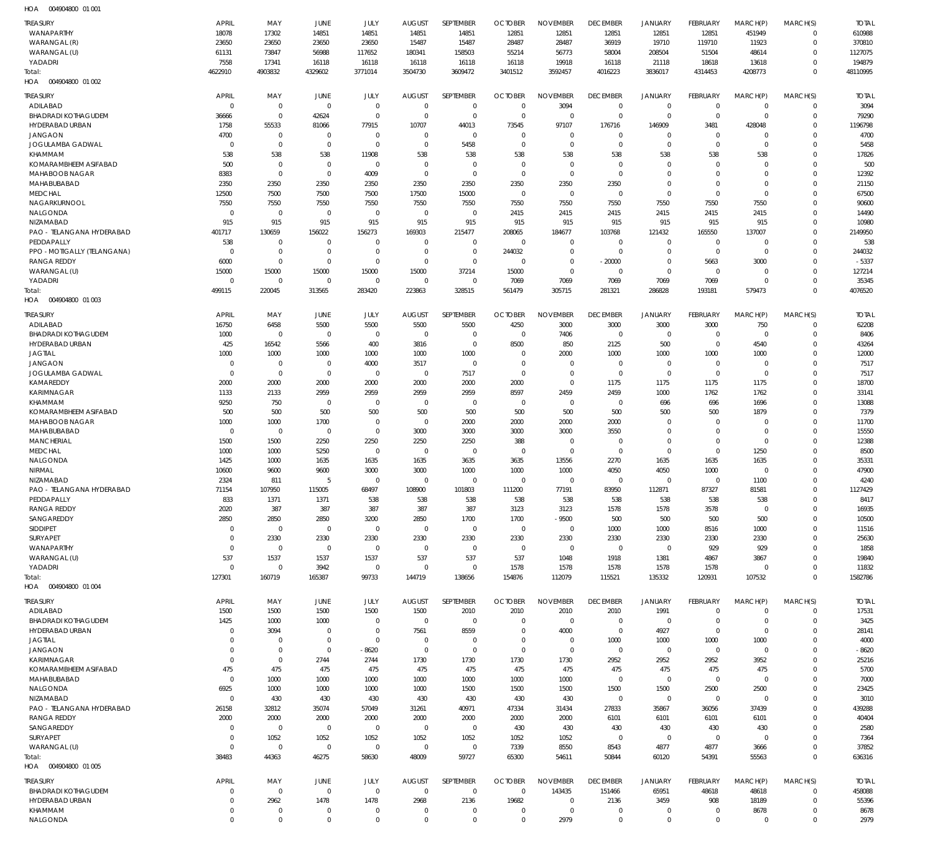004904800 01 001 HOA

| <b>TREASURY</b>                        | <b>APRIL</b>            | MAY                 | JUNE                   | JULY                       | <b>AUGUST</b>       | SEPTEMBER           | <b>OCTOBER</b>         | <b>NOVEMBER</b>              | <b>DECEMBER</b>      | <b>JANUARY</b>               | FEBRUARY             | MARCH(P)             | MARCH(S)             | <b>TOTAL</b>   |
|----------------------------------------|-------------------------|---------------------|------------------------|----------------------------|---------------------|---------------------|------------------------|------------------------------|----------------------|------------------------------|----------------------|----------------------|----------------------|----------------|
| WANAPARTHY                             | 18078                   | 17302               | 14851                  | 14851                      | 14851               | 14851               | 12851                  | 12851                        | 12851                | 12851                        | 12851                | 451949               | $\Omega$             | 610988         |
| WARANGAL (R)                           | 23650                   | 23650               | 23650                  | 23650                      | 15487               | 15487               | 28487                  | 28487                        | 36919                | 19710                        | 119710               | 11923                | $\Omega$             | 370810         |
| WARANGAL (U)                           | 61131                   | 73847               | 56988                  | 117652                     | 180341              | 158503              | 55214                  | 56773                        | 58004                | 208504                       | 51504                | 48614                | $\Omega$             | 1127075        |
| YADADRI                                | 7558                    | 17341               | 16118                  | 16118                      | 16118               | 16118               | 16118                  | 19918                        | 16118                | 21118                        | 18618                | 13618                | $\Omega$             | 194879         |
| Total:<br>004904800 01 002<br>HOA      | 4622910                 | 4903832             | 4329602                | 3771014                    | 3504730             | 3609472             | 3401512                | 3592457                      | 4016223              | 3836017                      | 4314453              | 4208773              | $\Omega$             | 48110995       |
| <b>TREASURY</b>                        | <b>APRIL</b>            | MAY                 | JUNE                   | JULY                       | <b>AUGUST</b>       | SEPTEMBER           | <b>OCTOBER</b>         | <b>NOVEMBER</b>              | <b>DECEMBER</b>      | <b>JANUARY</b>               | FEBRUARY             | MARCH(P)             | MARCH(S)             | <b>TOTAL</b>   |
| ADILABAD                               | $\overline{0}$          | $\mathbf 0$         | $\overline{0}$         | $\mathbf 0$                | $\mathbf 0$         | $\mathbf 0$         | $\overline{0}$         | 3094                         | $\mathbf 0$          | $\mathbf 0$                  | $\overline{0}$       | $\mathbf{0}$         | $\mathbf{0}$         | 3094           |
| <b>BHADRADI KOTHAGUDEM</b>             | 36666                   | $\mathbf 0$         | 42624                  | $\mathbf 0$                | $\mathbf 0$         | $\mathbf 0$         | $\mathbf 0$            | $\Omega$                     | $\mathbf{0}$         | $\mathbf 0$                  | $\mathbf 0$          | $\Omega$             | $\Omega$             | 79290          |
| HYDERABAD URBAN                        | 1758                    | 55533               | 81066                  | 77915                      | 10707               | 44013               | 73545                  | 97107                        | 176716               | 146909                       | 3481                 | 428048               | $\Omega$             | 1196798        |
| <b>JANGAON</b>                         | 4700                    | $\mathbf 0$         | $\overline{0}$         | $\mathbf 0$                | $\mathbf 0$         | $\mathbf 0$         | $\mathbf 0$            | $\mathbf 0$                  | $\mathbf{0}$         | $\mathbf{0}$                 | $\Omega$             | $\Omega$             | $\Omega$             | 4700           |
| JOGULAMBA GADWAL                       | $\mathbf 0$             | $\mathbf 0$         | $\Omega$               | $\mathbf 0$                | $\Omega$            | 5458                | $\overline{0}$         | $\Omega$                     | $\Omega$             | $\mathbf 0$                  | $\Omega$             | $\Omega$             | $\Omega$             | 5458           |
| KHAMMAM                                | 538                     | 538                 | 538                    | 11908                      | 538                 | 538                 | 538                    | 538                          | 538                  | 538                          | 538                  | 538                  | $\Omega$             | 17826          |
| KOMARAMBHEEM ASIFABAD                  | 500                     | $\mathbf 0$         | $\overline{0}$         | $\mathbf 0$                | $\mathbf 0$         | $\mathbf 0$         | $\Omega$               | $\Omega$                     | $\mathbf{0}$         | $\mathbf 0$                  | $\Omega$             | $\Omega$             | $\Omega$             | 500            |
| MAHABOOB NAGAR                         | 8383                    | $\mathbf 0$         | $\overline{0}$         | 4009                       | $\mathbf 0$         | $\mathbf 0$         | $\mathbf 0$            | $\Omega$                     | $\mathbf{0}$         | $\mathbf 0$                  | $\Omega$             | $\Omega$             | $\Omega$             | 12392          |
| MAHABUBABAD<br><b>MEDCHAL</b>          | 2350<br>12500           | 2350<br>7500        | 2350<br>7500           | 2350<br>7500               | 2350<br>17500       | 2350<br>15000       | 2350<br>$\mathbf 0$    | 2350<br>$\Omega$             | 2350<br>$\Omega$     | $\mathbf 0$<br>$\mathbf 0$   | $\Omega$<br>$\Omega$ | $\Omega$<br>$\Omega$ | $\Omega$<br>$\Omega$ | 21150<br>67500 |
| NAGARKURNOOL                           | 7550                    | 7550                | 7550                   | 7550                       | 7550                | 7550                | 7550                   | 7550                         | 7550                 | 7550                         | 7550                 | 7550                 | $\Omega$             | 90600          |
| NALGONDA                               | $\mathbf 0$             | $\mathbf 0$         | $\overline{0}$         | $\mathbf 0$                | $\mathbf 0$         | $\mathbf 0$         | 2415                   | 2415                         | 2415                 | 2415                         | 2415                 | 2415                 | $\Omega$             | 14490          |
| NIZAMABAD                              | 915                     | 915                 | 915                    | 915                        | 915                 | 915                 | 915                    | 915                          | 915                  | 915                          | 915                  | 915                  | $\Omega$             | 10980          |
| PAO - TELANGANA HYDERABAD              | 401717                  | 130659              | 156022                 | 156273                     | 169303              | 215477              | 208065                 | 184677                       | 103768               | 121432                       | 165550               | 137007               | $\Omega$             | 2149950        |
| PEDDAPALLY                             | 538                     | $\mathbf 0$         | $\mathbf 0$            | $\mathbf 0$                | $\Omega$            | $\mathbf 0$         | $\overline{0}$         | $\mathbf{0}$                 | $\mathbf{0}$         | $\mathbf{0}$                 | $\Omega$             | $\Omega$             | $\Omega$             | 538            |
| PPO - MOTIGALLY (TELANGANA)            | $\overline{0}$          | $\mathbf 0$         | $\mathbf 0$            | $\mathbf 0$                | $\Omega$            | $\mathbf 0$         | 244032                 | $\mathbf 0$                  | $\mathbf{0}$         | $\mathbf 0$                  | $\mathbf 0$          | $\Omega$             | $\Omega$             | 244032         |
| <b>RANGA REDDY</b>                     | 6000                    | $\mathbf 0$         | $\mathbf 0$            | $\mathbf 0$                | $\mathbf 0$         | $\mathbf 0$         | $\mathbf 0$            | $\mathbf 0$                  | $-20000$             | $\mathbf 0$                  | 5663                 | 3000                 | $\Omega$             | $-5337$        |
| WARANGAL (U)                           | 15000                   | 15000               | 15000                  | 15000                      | 15000               | 37214               | 15000                  | $\mathbf 0$                  | $\mathbf 0$          | $\mathbf 0$                  | $\Omega$             | $\Omega$             | $\Omega$             | 127214         |
| YADADRI                                | $\mathbf 0$             | $\mathbf 0$         | $\mathbf 0$            | $\mathbf 0$                | $\mathbf 0$         | $\mathbf 0$         | 7069                   | 7069                         | 7069                 | 7069                         | 7069                 | $\Omega$             | $\Omega$<br>$\Omega$ | 35345          |
| Total:<br>004904800 01 003<br>HOA      | 499115                  | 220045              | 313565                 | 283420                     | 223863              | 328515              | 561479                 | 305715                       | 281321               | 286828                       | 193181               | 579473               |                      | 4076520        |
|                                        |                         |                     |                        |                            |                     |                     |                        |                              |                      |                              |                      |                      |                      |                |
| <b>TREASURY</b>                        | <b>APRIL</b>            | MAY                 | JUNE                   | JULY                       | <b>AUGUST</b>       | SEPTEMBER           | <b>OCTOBER</b>         | <b>NOVEMBER</b>              | <b>DECEMBER</b>      | <b>JANUARY</b>               | FEBRUARY             | MARCH(P)             | MARCH(S)             | <b>TOTAL</b>   |
| ADILABAD<br><b>BHADRADI KOTHAGUDEM</b> | 16750<br>1000           | 6458<br>$\mathbf 0$ | 5500<br>$\overline{0}$ | 5500<br>$\mathbf 0$        | 5500<br>$\Omega$    | 5500<br>$\mathbf 0$ | 4250<br>$\overline{0}$ | 3000<br>7406                 | 3000<br>$\Omega$     | 3000<br>$\mathbf{0}$         | 3000<br>$\mathbf 0$  | 750<br>$\Omega$      | $\Omega$<br>$\Omega$ | 62208<br>8406  |
| HYDERABAD URBAN                        | 425                     | 16542               | 5566                   | 400                        | 3816                | $\mathbf 0$         | 8500                   | 850                          | 2125                 | 500                          | $\overline{0}$       | 4540                 | $\Omega$             | 43264          |
| <b>JAGTIAL</b>                         | 1000                    | 1000                | 1000                   | 1000                       | 1000                | 1000                | $\overline{0}$         | 2000                         | 1000                 | 1000                         | 1000                 | 1000                 | $\Omega$             | 12000          |
| <b>JANGAON</b>                         | $\Omega$                | $\mathbf 0$         | $\overline{0}$         | 4000                       | 3517                | $\Omega$            | $\overline{0}$         | $\Omega$                     | $\Omega$             | $\mathbf{0}$                 | $\Omega$             | $\Omega$             | $\Omega$             | 7517           |
| JOGULAMBA GADWAL                       | $\Omega$                | $\mathbf 0$         | $\mathbf 0$            | $\mathbf 0$                | $\Omega$            | 7517                | $\mathbf{0}$           | $\Omega$                     | $\Omega$             | $\mathbf 0$                  | $\overline{0}$       | $\Omega$             | $\Omega$             | 7517           |
| KAMAREDDY                              | 2000                    | 2000                | 2000                   | 2000                       | 2000                | 2000                | 2000                   | $\Omega$                     | 1175                 | 1175                         | 1175                 | 1175                 | $\Omega$             | 18700          |
| KARIMNAGAR                             | 1133                    | 2133                | 2959                   | 2959                       | 2959                | 2959                | 8597                   | 2459                         | 2459                 | 1000                         | 1762                 | 1762                 | $\Omega$             | 33141          |
| KHAMMAM                                | 9250                    | 750                 | $^{\circ}$             | $\mathbf 0$                | $^{\circ}$          | $^{\circ}$          | - 0                    | $\Omega$                     | $\Omega$             | 696                          | 696                  | 1696                 | $\Omega$             | 13088          |
| KOMARAMBHEEM ASIFABAD                  | 500                     | 500                 | 500                    | 500                        | 500                 | 500                 | 500                    | 500                          | 500                  | 500                          | 500                  | 1879                 | $\Omega$             | 7379           |
| MAHABOOB NAGAR<br>MAHABUBABAD          | 1000                    | 1000                | 1700                   | $\mathbf 0$<br>$\mathbf 0$ | $\mathbf 0$         | 2000                | 2000                   | 2000                         | 2000                 | $\mathbf{0}$                 | $\Omega$             | $\Omega$<br>$\Omega$ | $\Omega$<br>$\Omega$ | 11700          |
| MANCHERIAL                             | $\mathbf 0$<br>1500     | $\mathbf 0$<br>1500 | $^{\circ}$<br>2250     | 2250                       | 3000<br>2250        | 3000<br>2250        | 3000<br>388            | 3000<br>$\Omega$             | 3550<br>$\Omega$     | $\mathbf{0}$<br>$\mathbf{0}$ | $\Omega$<br>$\Omega$ | $\Omega$             | $\Omega$             | 15550<br>12388 |
| <b>MEDCHAL</b>                         | 1000                    | 1000                | 5250                   | $\mathbf 0$                | $\Omega$            | $\mathbf 0$         | $\overline{0}$         | $\mathbf{0}$                 | $\Omega$             | $\Omega$                     | $\Omega$             | 1250                 | $\Omega$             | 8500           |
| NALGONDA                               | 1425                    | 1000                | 1635                   | 1635                       | 1635                | 3635                | 3635                   | 13556                        | 2270                 | 1635                         | 1635                 | 1635                 | $\Omega$             | 35331          |
| NIRMAL                                 | 10600                   | 9600                | 9600                   | 3000                       | 3000                | 1000                | 1000                   | 1000                         | 4050                 | 4050                         | 1000                 | $\Omega$             | $\Omega$             | 47900          |
| NIZAMABAD                              | 2324                    | 811                 | -5                     | $\Omega$                   | $\Omega$            | $\Omega$            | $\Omega$               | $\Omega$                     | $\Omega$             | $\Omega$                     | $\Omega$             | 1100                 | $\Omega$             | 4240           |
| PAO - TELANGANA HYDERABAD              | 71154                   | 107950              | 115005                 | 68497                      | 108900              | 101803              | 111200                 | 77191                        | 83950                | 112871                       | 87327                | 81581                | $\Omega$             | 1127429        |
| <b>PEDDAPALLY</b>                      | 833                     | 1371                | 1371                   | 538                        | 538                 | 538                 | 538                    | 538                          | 538                  | 538                          | 538                  | 538                  |                      | 8417           |
| <b>RANGA REDDY</b>                     | 2020                    | 387                 | 387                    | 387                        | 387                 | 387                 | 3123                   | 3123                         | 1578                 | 1578                         | 3578                 | $\Omega$             | $\Omega$             | 16935          |
| SANGAREDDY                             | 2850                    | 2850                | 2850                   | 3200                       | 2850                | 1700                | 1700                   | $-9500$<br>$\Omega$          | 500                  | 500                          | 500                  | 500                  | $\Omega$<br>$\Omega$ | 10500          |
| SIDDIPET<br><b>SURYAPET</b>            | $\mathbf 0$<br>$\Omega$ | $\mathbf 0$<br>2330 | $\mathbf 0$<br>2330    | $\mathbf 0$<br>2330        | $\mathbf 0$<br>2330 | $\mathbf 0$<br>2330 | $\mathbf 0$<br>2330    | 2330                         | 1000<br>2330         | 1000<br>2330                 | 8516<br>2330         | 1000<br>2330         | $\Omega$             | 11516<br>25630 |
| WANAPARTHY                             | $\mathbf 0$             | $\mathbf 0$         | $\mathbf 0$            | $\mathbf 0$                | $\Omega$            | $\mathbf 0$         | $\mathbf 0$            | $\Omega$                     | $\Omega$             | $\mathbf 0$                  | 929                  | 929                  | $\Omega$             | 1858           |
| WARANGAL (U)                           | 537                     | 1537                | 1537                   | 1537                       | 537                 | 537                 | 537                    | 1048                         | 1918                 | 1381                         | 4867                 | 3867                 | $\Omega$             | 19840          |
| YADADRI                                | $\overline{0}$          | $\mathbf 0$         | 3942                   | $\mathbf 0$                | $\Omega$            | $\mathbf 0$         | 1578                   | 1578                         | 1578                 | 1578                         | 1578                 | $\Omega$             | $\Omega$             | 11832          |
| Total:                                 | 127301                  | 160719              | 165387                 | 99733                      | 144719              | 138656              | 154876                 | 112079                       | 115521               | 135332                       | 120931               | 107532               | $\Omega$             | 1582786        |
| HOA  004904800  01 004                 |                         |                     |                        |                            |                     |                     |                        |                              |                      |                              |                      |                      |                      |                |
| <b>TREASURY</b>                        | <b>APRIL</b>            | MAY                 | JUNE                   | JULY                       | <b>AUGUST</b>       | SEPTEMBER           | <b>OCTOBER</b>         | <b>NOVEMBER</b>              | <b>DECEMBER</b>      | <b>JANUARY</b>               | FEBRUARY             | MARCH(P)             | MARCH(S)             | <b>TOTAL</b>   |
| ADILABAD                               | 1500                    | 1500                | 1500                   | 1500                       | 1500                | 2010                | 2010                   | 2010                         | 2010                 | 1991                         | $\Omega$             | $\Omega$             | $\mathbf{0}$         | 17531          |
| <b>BHADRADI KOTHAGUDEM</b>             | 1425                    | 1000                | 1000                   | $\mathbf 0$                | $\mathbf 0$         | $\mathbf 0$         | $\mathbf 0$            | $\mathbf{0}$                 | $\mathbf{0}$         | $\mathbf 0$                  | $\mathbf{0}$         | $\Omega$             | $\Omega$             | 3425           |
| HYDERABAD URBAN                        | $\Omega$                | 3094                | $\overline{0}$         | $\mathbf 0$                | 7561                | 8559                | $\Omega$               | 4000                         | $\mathbf{0}$         | 4927                         | $\Omega$             | $\Omega$             | $\Omega$             | 28141          |
| <b>JAGTIAL</b>                         | $\Omega$                | $\mathbf 0$         | $\mathbf 0$            | $\mathbf 0$                | $\mathbf 0$         | $\mathbf 0$         | $\Omega$               | $\mathbf{0}$                 | 1000                 | 1000                         | 1000                 | 1000                 |                      | 4000           |
| <b>JANGAON</b>                         | $\mathbf 0$             | $\mathbf 0$         | $\mathbf 0$            | $-8620$                    | $\mathbf 0$         | $\mathbf 0$         | $\overline{0}$         | $\mathbf{0}$                 | $\mathbf 0$          | $\mathbf 0$                  | $\mathbf 0$          | $\Omega$             | $\Omega$             | $-8620$        |
| KARIMNAGAR<br>KOMARAMBHEEM ASIFABAD    | $\mathbf 0$<br>475      | $\mathbf 0$<br>475  | 2744<br>475            | 2744<br>475                | 1730<br>475         | 1730<br>475         | 1730<br>475            | 1730<br>475                  | 2952<br>475          | 2952<br>475                  | 2952<br>475          | 3952<br>475          | $\Omega$<br>$\Omega$ | 25216<br>5700  |
| MAHABUBABAD                            | $\overline{0}$          | 1000                | 1000                   | 1000                       | 1000                | 1000                | 1000                   | 1000                         | $\mathbf 0$          | $\mathbf 0$                  | $\mathbf 0$          | $\Omega$             | $\Omega$             | 7000           |
| NALGONDA                               | 6925                    | 1000                | 1000                   | 1000                       | 1000                | 1500                | 1500                   | 1500                         | 1500                 | 1500                         | 2500                 | 2500                 | $\Omega$             | 23425          |
| NIZAMABAD                              | $\mathbf 0$             | 430                 | 430                    | 430                        | 430                 | 430                 | 430                    | 430                          | $\mathbf 0$          | $\mathbf 0$                  | $\mathbf 0$          | $\Omega$             |                      | 3010           |
| PAO - TELANGANA HYDERABAD              | 26158                   | 32812               | 35074                  | 57049                      | 31261               | 40971               | 47334                  | 31434                        | 27833                | 35867                        | 36056                | 37439                | $\Omega$             | 439288         |
| <b>RANGA REDDY</b>                     | 2000                    | 2000                | 2000                   | 2000                       | 2000                | 2000                | 2000                   | 2000                         | 6101                 | 6101                         | 6101                 | 6101                 |                      | 40404          |
| SANGAREDDY                             | $\mathbf 0$             | $\mathbf 0$         | $\mathbf 0$            | $\mathbf 0$                | $\mathbf 0$         | $\mathbf 0$         | 430                    | 430                          | 430                  | 430                          | 430                  | 430                  | $\Omega$             | 2580           |
| SURYAPET                               | $\mathbf 0$             | 1052                | 1052                   | 1052                       | 1052                | 1052                | 1052                   | 1052                         | $\mathbf{0}$         | $\mathbf 0$                  | $\mathbf 0$          | $\Omega$             | $\Omega$             | 7364           |
| WARANGAL (U)                           | $\mathbf 0$             | $\mathbf 0$         | $\mathbf 0$            | $\mathbf 0$                | $\mathbf 0$         | $\mathbf 0$         | 7339                   | 8550                         | 8543                 | 4877                         | 4877                 | 3666                 | $\Omega$             | 37852          |
| Total:<br>HOA  004904800  01  005      | 38483                   | 44363               | 46275                  | 58630                      | 48009               | 59727               | 65300                  | 54611                        | 50844                | 60120                        | 54391                | 55563                | $\Omega$             | 636316         |
|                                        |                         |                     |                        |                            |                     |                     |                        |                              |                      |                              |                      |                      |                      |                |
| <b>TREASURY</b>                        | <b>APRIL</b>            | MAY                 | <b>JUNE</b>            | JULY                       | <b>AUGUST</b>       | SEPTEMBER           | <b>OCTOBER</b>         | <b>NOVEMBER</b>              | <b>DECEMBER</b>      | <b>JANUARY</b>               | FEBRUARY             | MARCH(P)             | MARCH(S)             | <b>TOTAL</b>   |
| <b>BHADRADI KOTHAGUDEM</b>             | $\mathbf 0$             | $\mathbf 0$         | $\mathbf 0$            | $\mathbf 0$                | $\mathbf 0$         | $\mathbf 0$         | $\overline{0}$         | 143435                       | 151466               | 65951                        | 48618                | 48618                | $\Omega$             | 458088         |
| HYDERABAD URBAN<br>KHAMMAM             | $\Omega$<br>$\mathbf 0$ | 2962<br>$\mathbf 0$ | 1478<br>$\overline{0}$ | 1478<br>$\mathbf 0$        | 2968<br>0           | 2136<br>$^{\circ}$  | 19682<br>$\Omega$      | $\mathbf{0}$<br>$\mathbf{0}$ | 2136<br>$\mathbf{0}$ | 3459<br>$\mathbf{0}$         | 908<br>$\mathbf{0}$  | 18189<br>8678        | $\Omega$<br>0        | 55396<br>8678  |
| NALGONDA                               | $\Omega$                | $\mathbf 0$         | $\mathbf 0$            | $\mathbf 0$                | $\Omega$            | $\mathbf 0$         | $\Omega$               | 2979                         | $\mathbf{0}$         | $\mathbf{0}$                 | $\mathbf{0}$         | $\mathbf{0}$         | $\mathbf 0$          | 2979           |
|                                        |                         |                     |                        |                            |                     |                     |                        |                              |                      |                              |                      |                      |                      |                |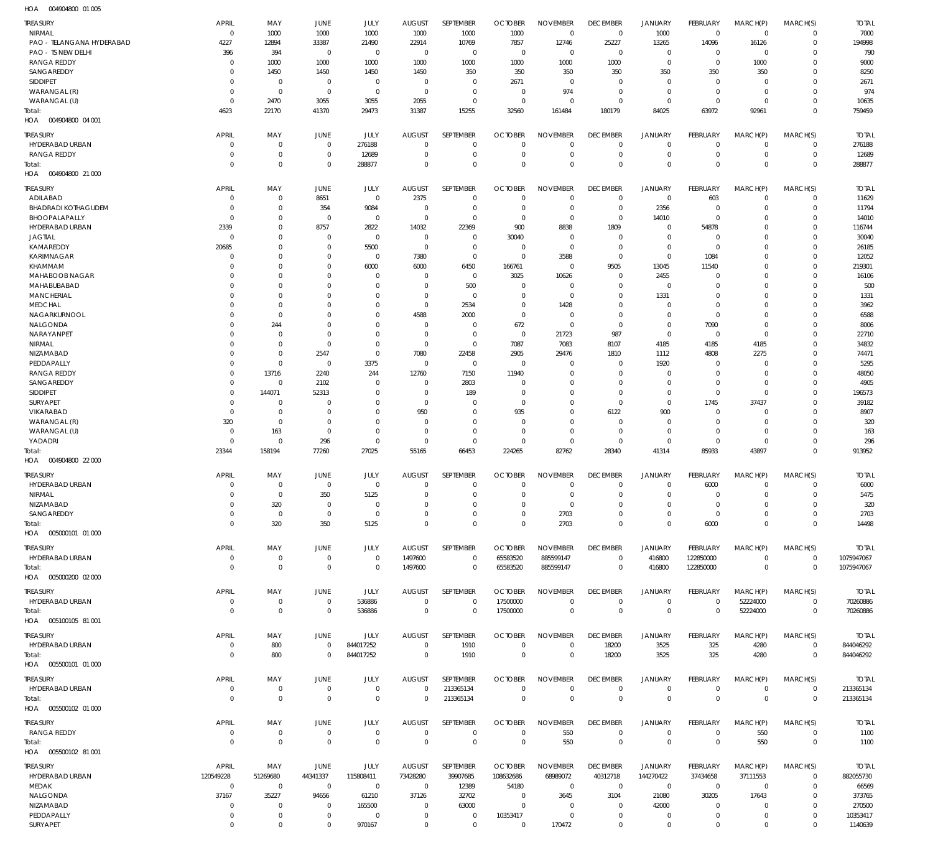004904800 01 005 HOA

| TREASURY                                     | <b>APRIL</b>                     | MAY                        | JUNE                             | JULY                          | <b>AUGUST</b>                    | SEPTEMBER                  | <b>OCTOBER</b>                   | <b>NOVEMBER</b>                | <b>DECEMBER</b>                | <b>JANUARY</b>                  | FEBRUARY                         | MARCH(P)                   | MARCH(S)                   | <b>TOTAL</b>             |
|----------------------------------------------|----------------------------------|----------------------------|----------------------------------|-------------------------------|----------------------------------|----------------------------|----------------------------------|--------------------------------|--------------------------------|---------------------------------|----------------------------------|----------------------------|----------------------------|--------------------------|
| NIRMAL<br>PAO - TELANGANA HYDERABAD          | $\overline{0}$<br>4227           | 1000<br>12894              | 1000<br>33387                    | 1000<br>21490                 | 1000<br>22914                    | 1000<br>10769              | 1000<br>7857                     | $\mathbf 0$<br>12746           | $\mathbf 0$<br>25227           | 1000<br>13265                   | $\overline{0}$<br>14096          | $\mathbf 0$<br>16126       | $\mathbf 0$<br>$\mathbf 0$ | 7000<br>194998           |
| PAO - TS NEW DELHI                           | 396                              | 394                        | $\overline{0}$                   | $\mathbf 0$                   | $\overline{0}$                   | $\mathbf 0$                | $\overline{0}$                   | $\mathbf 0$                    | $\mathbf 0$                    | $\mathbf 0$                     | $\overline{0}$                   | 0                          | $\mathbf 0$                | 790                      |
| <b>RANGA REDDY</b>                           | $\overline{0}$                   | 1000                       | 1000                             | 1000                          | 1000                             | 1000                       | 1000                             | 1000                           | 1000                           | $\mathbf 0$                     | $\overline{0}$                   | 1000                       | $\mathbf 0$                | 9000                     |
| SANGAREDDY                                   | $\Omega$                         | 1450                       | 1450                             | 1450                          | 1450                             | 350                        | 350                              | 350                            | 350                            | 350                             | 350                              | 350                        | $\mathbf 0$                | 8250                     |
| SIDDIPET<br>WARANGAL (R)                     | $\mathbf 0$<br>$\overline{0}$    | $\mathbf 0$<br>$\mathbf 0$ | $\overline{0}$<br>$\overline{0}$ | $\mathbf 0$<br>$\mathbf 0$    | $\overline{0}$<br>$\overline{0}$ | $\mathbf 0$<br>$\mathbf 0$ | 2671<br>$\overline{0}$           | $\mathbf 0$<br>974             | $\overline{0}$<br>$\mathbf 0$  | $\mathbf 0$<br>$\mathbf 0$      | $\overline{0}$<br>$\overline{0}$ | 0<br>$\mathbf 0$           | $\mathbf 0$<br>$\mathbf 0$ | 2671<br>974              |
| WARANGAL (U)                                 | $\overline{0}$                   | 2470                       | 3055                             | 3055                          | 2055                             | $\mathbf 0$                | $\overline{0}$                   | $\mathbf 0$                    | $\overline{0}$                 | $\mathbf 0$                     | $\overline{0}$                   | $\mathbf 0$                | $\mathbf 0$                | 10635                    |
| Total:                                       | 4623                             | 22170                      | 41370                            | 29473                         | 31387                            | 15255                      | 32560                            | 161484                         | 180179                         | 84025                           | 63972                            | 92961                      | $\mathbf 0$                | 759459                   |
| 004904800 04 001<br>HOA                      |                                  |                            |                                  |                               |                                  |                            |                                  |                                |                                |                                 |                                  |                            |                            |                          |
| <b>TREASURY</b>                              | <b>APRIL</b>                     | MAY                        | <b>JUNE</b>                      | JULY                          | <b>AUGUST</b>                    | SEPTEMBER                  | <b>OCTOBER</b>                   | <b>NOVEMBER</b>                | <b>DECEMBER</b>                | <b>JANUARY</b>                  | FEBRUARY                         | MARCH(P)                   | MARCH(S)                   | <b>TOTAL</b>             |
| <b>HYDERABAD URBAN</b><br><b>RANGA REDDY</b> | $\overline{0}$<br>$\overline{0}$ | $\mathbf 0$<br>$\mathbf 0$ | $\overline{0}$<br>$\overline{0}$ | 276188<br>12689               | $\mathbf 0$<br>$\mathbf 0$       | $\mathbf 0$<br>$\mathbf 0$ | $\overline{0}$<br>$\overline{0}$ | $\mathbf 0$<br>$\mathbf 0$     | $\mathbf{0}$<br>$\mathbf 0$    | $\mathbf 0$<br>$\mathbf 0$      | $\overline{0}$<br>$\overline{0}$ | $\mathbf 0$<br>$\mathbf 0$ | $\mathbf 0$<br>$\mathbf 0$ | 276188<br>12689          |
| Total:                                       | $\overline{0}$                   | $\mathbf 0$                | $\overline{0}$                   | 288877                        | $\Omega$                         | $\mathbf 0$                | $\overline{0}$                   | $\mathbf 0$                    | $\mathbf 0$                    | $\mathbf 0$                     | $\overline{0}$                   | $\mathbf 0$                | $\mathbf 0$                | 288877                   |
| 004904800 21 000<br>HOA                      |                                  |                            |                                  |                               |                                  |                            |                                  |                                |                                |                                 |                                  |                            |                            |                          |
| <b>TREASURY</b>                              | <b>APRIL</b>                     | MAY                        | JUNE                             | JULY                          | <b>AUGUST</b>                    | SEPTEMBER                  | <b>OCTOBER</b>                   | <b>NOVEMBER</b>                | <b>DECEMBER</b>                | <b>JANUARY</b>                  | FEBRUARY                         | MARCH(P)                   | MARCH(S)                   | <b>TOTAL</b>             |
| ADILABAD                                     | $\overline{0}$                   | $\mathbf 0$                | 8651                             | $\mathbf 0$                   | 2375                             | $\mathbf 0$                | $\overline{0}$                   | $\mathbf 0$                    | $\overline{0}$                 | $\mathbf 0$                     | 603                              | $\mathbf 0$                | $\mathbf 0$                | 11629                    |
| <b>BHADRADI KOTHAGUDEM</b>                   | $\circ$<br>$\overline{0}$        | $\mathbf 0$<br>$\mathbf 0$ | 354<br>$\overline{0}$            | 9084<br>$\mathbf 0$           | $\mathbf 0$<br>$\overline{0}$    | $\mathbf 0$<br>$\mathbf 0$ | $\overline{0}$<br>$\overline{0}$ | $\mathbf 0$<br>$\mathbf 0$     | $\mathbf 0$<br>$\mathbf 0$     | 2356<br>14010                   | $\overline{0}$<br>$\overline{0}$ | $\mathbf 0$<br>$\Omega$    | $\mathbf 0$<br>$\mathbf 0$ | 11794<br>14010           |
| BHOOPALAPALLY<br>HYDERABAD URBAN             | 2339                             | $\mathbf 0$                | 8757                             | 2822                          | 14032                            | 22369                      | 900                              | 8838                           | 1809                           | $\mathbf 0$                     | 54878                            | $\Omega$                   | $\mathbf 0$                | 116744                   |
| <b>JAGTIAL</b>                               | $\overline{0}$                   | $\mathbf 0$                | $\overline{0}$                   | $\mathbf 0$                   | $\overline{0}$                   | $\mathbf 0$                | 30040                            | $\mathbf 0$                    | $\mathbf 0$                    | $\mathbf 0$                     | $\overline{0}$                   | $\Omega$                   | $\mathbf 0$                | 30040                    |
| KAMAREDDY                                    | 20685                            | $\mathbf 0$                | $\overline{0}$                   | 5500                          | $\overline{0}$                   | $\mathbf 0$                | $\overline{0}$                   | $\mathbf 0$                    | $\mathbf 0$                    | $\mathbf 0$                     | $\overline{0}$                   | $\Omega$                   | $\mathbf 0$                | 26185                    |
| <b>KARIMNAGAR</b><br>KHAMMAM                 | $\mathbf 0$<br>$\Omega$          | $\mathbf 0$<br>$\mathbf 0$ | $\overline{0}$<br>$\overline{0}$ | $\mathbf 0$<br>6000           | 7380<br>6000                     | $\mathbf 0$<br>6450        | $\overline{0}$<br>166761         | 3588<br>$\mathbf 0$            | $\overline{0}$<br>9505         | $\mathbf 0$<br>13045            | 1084<br>11540                    | $\Omega$<br>$\Omega$       | $\mathbf 0$<br>$\mathbf 0$ | 12052<br>219301          |
| MAHABOOB NAGAR                               | $\Omega$                         | $\Omega$                   | $\mathbf 0$                      | $\mathbf 0$                   | 0                                | $\mathbf{0}$               | 3025                             | 10626                          | $\mathbf 0$                    | 2455                            | $\overline{0}$                   | $\Omega$                   | 0                          | 16106                    |
| MAHABUBABAD                                  | $\Omega$                         | $\mathbf 0$                | $\overline{0}$                   | $\Omega$                      | $\mathbf 0$                      | 500                        | $\overline{0}$                   | 0                              | $\mathbf 0$                    | $\mathbf 0$                     | $\overline{0}$                   | $\Omega$                   | $\mathbf 0$                | 500                      |
| <b>MANCHERIAL</b>                            | $\Omega$                         | $\Omega$                   | $\mathbf 0$                      | $\Omega$                      | $\overline{0}$                   | $\mathbf 0$                | $\overline{0}$                   | $\mathbf 0$                    | $\mathbf 0$                    | 1331                            | $\mathbf 0$                      | $\Omega$                   | $\mathbf 0$                | 1331                     |
| <b>MEDCHAL</b><br>NAGARKURNOOL               | $\Omega$<br>$\Omega$             | $\mathbf 0$<br>$\mathbf 0$ | $\mathbf 0$<br>$\mathbf 0$       | $\Omega$<br>$\Omega$          | $\overline{0}$<br>4588           | 2534<br>2000               | $\overline{0}$<br>$\overline{0}$ | 1428<br>$\mathbf 0$            | $\mathbf 0$<br>$\mathbf 0$     | $\mathbf 0$<br>$\mathbf 0$      | $\mathbf 0$<br>$\overline{0}$    | $\Omega$<br>$\Omega$       | $\mathbf 0$<br>$\mathbf 0$ | 3962<br>6588             |
| NALGONDA                                     | $\Omega$                         | 244                        | $\mathbf 0$                      | $\Omega$                      | $\mathbf 0$                      | $\mathbf 0$                | 672                              | $\mathbf 0$                    | $\mathbf 0$                    | $\mathbf 0$                     | 7090                             | $\mathbf 0$                | $\mathbf 0$                | 8006                     |
| NARAYANPET                                   | $\Omega$                         | $\mathbf 0$                | $\overline{0}$                   | $\Omega$                      | $\overline{0}$                   | $\mathbf 0$                | $\overline{0}$                   | 21723                          | 987                            | $\mathbf 0$                     | $\overline{0}$                   | $\mathbf 0$                | $\mathbf 0$                | 22710                    |
| NIRMAL                                       | $\Omega$                         | $\mathbf 0$                | $\overline{0}$                   | $\mathbf 0$                   | $\overline{0}$                   | $\mathbf 0$                | 7087                             | 7083                           | 8107                           | 4185                            | 4185                             | 4185                       | $\mathbf 0$                | 34832                    |
| NIZAMABAD<br>PEDDAPALLY                      | $\Omega$<br>$\Omega$             | $\mathbf 0$<br>$\mathbf 0$ | 2547<br>$\overline{0}$           | $\mathbf 0$<br>3375           | 7080<br>$\overline{0}$           | 22458<br>$\mathbf 0$       | 2905<br>$\overline{0}$           | 29476<br>$\Omega$              | 1810<br>0                      | 1112<br>1920                    | 4808<br>$\overline{0}$           | 2275<br>$\Omega$           | $\mathbf 0$<br>$\mathbf 0$ | 74471<br>5295            |
| <b>RANGA REDDY</b>                           | $\Omega$                         | 13716                      | 2240                             | 244                           | 12760                            | 7150                       | 11940                            | $\mathbf 0$                    | $\mathbf 0$                    | $\mathbf 0$                     | $\overline{0}$                   | $\mathbf 0$                | $\mathbf 0$                | 48050                    |
| SANGAREDDY                                   | $\mathbf 0$                      | $\mathbf 0$                | 2102                             | $\Omega$                      | $\mathbf 0$                      | 2803                       | $\overline{0}$                   | $\mathbf 0$                    | $\mathbf 0$                    | $\mathbf 0$                     | $\overline{0}$                   | $\mathbf 0$                | $\mathbf 0$                | 4905                     |
| SIDDIPET<br>SURYAPET                         | $\overline{0}$<br>$\overline{0}$ | 144071<br>$\mathbf 0$      | 52313<br>$\overline{0}$          | $\Omega$<br>$\Omega$          | $\overline{0}$<br>$\overline{0}$ | 189<br>$\mathbf 0$         | $\overline{0}$<br>$\overline{0}$ | $\mathbf 0$<br>$\mathbf 0$     | $\mathbf 0$<br>$\mathbf 0$     | $\mathbf 0$<br>$\mathbf 0$      | $\overline{0}$<br>1745           | $\mathbf 0$<br>37437       | $\Omega$<br>$\mathbf 0$    | 196573<br>39182          |
| VIKARABAD                                    | $\overline{0}$                   | $\mathbf 0$                | $\overline{0}$                   | $\Omega$                      | 950                              | $\mathbf 0$                | 935                              | $\Omega$                       | 6122                           | 900                             | $\mathbf 0$                      | $\mathbf 0$                | $\mathbf 0$                | 8907                     |
| WARANGAL (R)                                 | 320                              | $\mathbf 0$                | $\overline{0}$                   | $\Omega$                      | $\overline{0}$                   | $\mathbf 0$                | $\overline{0}$                   | $\mathbf 0$                    | $\mathbf 0$                    | $\mathbf 0$                     | $\overline{0}$                   | $\mathbf 0$                | $\mathbf 0$                | 320                      |
| WARANGAL (U)                                 | $\overline{0}$                   | 163                        | $\overline{0}$                   | $\mathbf 0$                   | $\overline{0}$                   | $\mathbf 0$                | $\overline{0}$                   | $\mathbf 0$                    | $\overline{0}$                 | $\mathbf 0$                     | $\overline{0}$                   | $\mathbf 0$                | $\mathbf 0$                | 163                      |
| YADADRI<br>Total:                            | $\overline{0}$<br>23344          | $\mathbf 0$<br>158194      | 296<br>77260                     | $\mathbf 0$<br>27025          | $\overline{0}$<br>55165          | $\mathbf 0$<br>66453       | $\overline{0}$<br>224265         | $\mathbf 0$<br>82762           | $\overline{0}$<br>28340        | $\mathbf 0$<br>41314            | $\overline{0}$<br>85933          | $\mathbf 0$<br>43897       | $\mathbf 0$<br>$\mathbf 0$ | 296<br>913952            |
| HOA  004904800  22 000                       |                                  |                            |                                  |                               |                                  |                            |                                  |                                |                                |                                 |                                  |                            |                            |                          |
| TREASURY                                     | <b>APRIL</b>                     | MAY                        | JUNE                             | JULY                          | <b>AUGUST</b>                    | SEPTEMBER                  | <b>OCTOBER</b>                   | <b>NOVEMBER</b>                | <b>DECEMBER</b>                | <b>JANUARY</b>                  | FEBRUARY                         | MARCH(P)                   | MARCH(S)                   | <b>TOTAL</b>             |
| HYDERABAD URBAN                              | $\overline{0}$                   | $\mathbf{0}$               | $\mathbf 0$                      | $\mathbf 0$                   | $\mathbf{0}$                     | $\mathbf 0$                | $\overline{0}$                   | $\mathbf 0$                    | $\mathbf{0}$                   | $\mathbf 0$                     | 6000                             | $\mathbf 0$                | $\mathbf 0$                | 6000                     |
| NIRMAL                                       | $\mathbf 0$                      | $\mathbf 0$                | 350                              | 5125                          | $\mathbf 0$                      | $\mathbf 0$                | $\mathbf 0$                      | $\mathbf 0$                    | $\overline{0}$                 | $\mathbf 0$                     | $\mathbf 0$                      | $\mathbf 0$                | $\mathbf{0}$               | 5475                     |
| NIZAMABAD<br>SANGAREDDY                      | $\overline{0}$<br>$\overline{0}$ | 320<br>$\overline{0}$      | $\overline{0}$<br>$\overline{0}$ | $\mathbf 0$<br>$\overline{0}$ | $\mathbf 0$<br>$\mathbf 0$       | $\mathbf 0$<br>$\mathbf 0$ | $\overline{0}$<br>$\overline{0}$ | $\mathbf 0$<br>2703            | $\mathbf 0$<br>$\mathbf 0$     | $\mathbf 0$<br>$\mathbf 0$      | $\overline{0}$<br>$\overline{0}$ | $\Omega$<br>$\mathbf 0$    | $\mathbf 0$<br>$\mathbf 0$ | 320<br>2703              |
| Total:                                       | $\overline{0}$                   | 320                        | 350                              | 5125                          | $\mathbf{0}$                     | $\mathbf{0}$               | $\mathbf 0$                      | 2703                           | $\mathbf{0}$                   | $\mathbf{0}$                    | 6000                             | $\mathbf 0$                | $\mathbf 0$                | 14498                    |
| HOA   005000101   01   000                   |                                  |                            |                                  |                               |                                  |                            |                                  |                                |                                |                                 |                                  |                            |                            |                          |
| TREASURY                                     | <b>APRIL</b>                     | MAY                        | JUNE                             | JULY                          | <b>AUGUST</b>                    | SEPTEMBER                  | <b>OCTOBER</b>                   | <b>NOVEMBER</b>                | <b>DECEMBER</b>                | <b>JANUARY</b>                  | FEBRUARY                         | MARCH(P)                   | MARCH(S)                   | <b>TOTAL</b>             |
| HYDERABAD URBAN                              | $\overline{0}$                   | $\mathbf 0$                | $\overline{0}$                   | $\mathbf{0}$                  | 1497600                          | $\mathbf{0}$               | 65583520                         | 885599147                      | $\mathbf 0$                    | 416800                          | 122850000                        | $\mathbf 0$                | $\mathbf{0}$               | 1075947067               |
| Total:                                       | $\overline{0}$                   | $\mathbf 0$                | $\overline{0}$                   | $\mathbf{0}$                  | 1497600                          | $\mathbf 0$                | 65583520                         | 885599147                      | $\mathbf 0$                    | 416800                          | 122850000                        | $\mathbf 0$                | $\overline{0}$             | 1075947067               |
| HOA  005000200  02  000                      |                                  |                            |                                  |                               |                                  |                            |                                  |                                |                                |                                 |                                  |                            |                            |                          |
| TREASURY                                     | <b>APRIL</b>                     | MAY<br>$\mathbf 0$         | JUNE<br>$\overline{0}$           | JULY                          | <b>AUGUST</b><br>$\overline{0}$  | SEPTEMBER<br>$\mathbf{0}$  | <b>OCTOBER</b>                   | <b>NOVEMBER</b><br>$\mathbf 0$ | <b>DECEMBER</b><br>$\mathbf 0$ | <b>JANUARY</b>                  | FEBRUARY<br>$\mathbf 0$          | MARCH(P)                   | MARCH(S)<br>$\mathbf{0}$   | <b>TOTAL</b><br>70260886 |
| HYDERABAD URBAN<br>Total:                    | $\overline{0}$<br>$\overline{0}$ | $\mathbf 0$                | $\overline{0}$                   | 536886<br>536886              | $\mathbf 0$                      | $\mathbf 0$                | 17500000<br>17500000             | $\mathbf 0$                    | $\mathbf 0$                    | $\boldsymbol{0}$<br>$\mathbf 0$ | $\mathbf 0$                      | 52224000<br>52224000       | $\mathbf 0$                | 70260886                 |
| HOA  005100105  81  001                      |                                  |                            |                                  |                               |                                  |                            |                                  |                                |                                |                                 |                                  |                            |                            |                          |
| TREASURY                                     | <b>APRIL</b>                     | MAY                        | JUNE                             | JULY                          | <b>AUGUST</b>                    | SEPTEMBER                  | <b>OCTOBER</b>                   | <b>NOVEMBER</b>                | <b>DECEMBER</b>                | <b>JANUARY</b>                  | FEBRUARY                         | MARCH(P)                   | MARCH(S)                   | <b>TOTAL</b>             |
| HYDERABAD URBAN                              | $\overline{0}$                   | 800                        | $\overline{0}$                   | 844017252                     | $\overline{0}$                   | 1910                       | $\overline{0}$                   | $\mathbf 0$                    | 18200                          | 3525                            | 325                              | 4280                       | $\overline{0}$             | 844046292                |
| Total:                                       | $\overline{0}$                   | 800                        | $\overline{0}$                   | 844017252                     | $\overline{0}$                   | 1910                       | $\overline{0}$                   | $\mathbf 0$                    | 18200                          | 3525                            | 325                              | 4280                       | $\mathbf 0$                | 844046292                |
| HOA   005500101   01   000                   |                                  |                            |                                  |                               |                                  |                            |                                  |                                |                                |                                 |                                  |                            |                            |                          |
| TREASURY                                     | <b>APRIL</b><br>$\overline{0}$   | MAY<br>$\pmb{0}$           | JUNE<br>$\overline{0}$           | JULY<br>$\mathbf 0$           | <b>AUGUST</b><br>$\overline{0}$  | SEPTEMBER<br>213365134     | <b>OCTOBER</b><br>$\overline{0}$ | <b>NOVEMBER</b><br>$\mathbf 0$ | <b>DECEMBER</b><br>$\mathbf 0$ | <b>JANUARY</b><br>$\mathbf 0$   | <b>FEBRUARY</b><br>$\mathbf 0$   | MARCH(P)<br>$\mathbf 0$    | MARCH(S)<br>$\mathbf 0$    | <b>TOTAL</b>             |
| HYDERABAD URBAN<br>Total:                    | $\overline{0}$                   | $\mathbf 0$                | $\overline{0}$                   | $\mathbf 0$                   | $\mathbf 0$                      | 213365134                  | $\mathbf 0$                      | $\mathbf 0$                    | $\mathbf 0$                    | $\mathbf 0$                     | $\overline{0}$                   | $\mathbf 0$                | $\overline{0}$             | 213365134<br>213365134   |
| HOA   005500102   01   000                   |                                  |                            |                                  |                               |                                  |                            |                                  |                                |                                |                                 |                                  |                            |                            |                          |
| TREASURY                                     | <b>APRIL</b>                     | MAY                        | JUNE                             | JULY                          | <b>AUGUST</b>                    | SEPTEMBER                  | <b>OCTOBER</b>                   | <b>NOVEMBER</b>                | <b>DECEMBER</b>                | <b>JANUARY</b>                  | <b>FEBRUARY</b>                  | MARCH(P)                   | MARCH(S)                   | <b>TOTAL</b>             |
| <b>RANGA REDDY</b>                           | $\mathbf 0$                      | $\mathbf 0$                | $\overline{0}$                   | $\mathbf 0$                   | $\mathbf 0$                      | $\mathbf 0$                | $\mathbf 0$                      | 550                            | $\mathbf 0$                    | $\pmb{0}$                       | $\overline{0}$                   | 550                        | $\mathbf{0}$               | 1100                     |
| Total:                                       | $\overline{0}$                   | $\mathbf 0$                | $\mathbf 0$                      | $\mathbf 0$                   | $\mathbf 0$                      | $\mathbf 0$                | $\mathbf 0$                      | 550                            | $\mathbf 0$                    | $\mathbf 0$                     | $\mathbf 0$                      | 550                        | $\overline{0}$             | 1100                     |
| HOA   005500102   81   001                   |                                  |                            |                                  |                               |                                  |                            |                                  |                                |                                |                                 |                                  |                            |                            |                          |
| TREASURY                                     | <b>APRIL</b>                     | MAY                        | JUNE                             | JULY                          | <b>AUGUST</b>                    | SEPTEMBER                  | <b>OCTOBER</b>                   | <b>NOVEMBER</b>                | <b>DECEMBER</b>                | JANUARY                         | <b>FEBRUARY</b>                  | MARCH(P)                   | MARCH(S)                   | <b>TOTAL</b>             |
| HYDERABAD URBAN<br>MEDAK                     | 120549228<br>$\mathbf 0$         | 51269680<br>$\overline{0}$ | 44341337<br>$\overline{0}$       | 115808411<br>$\overline{0}$   | 73428280<br>$\mathbf 0$          | 39907685<br>12389          | 108632686<br>54180               | 68989072<br>$\overline{0}$     | 40312718<br>$\mathbf 0$        | 144270422<br>$\mathbf 0$        | 37434658<br>$\mathbf 0$          | 37111553<br>$\mathbf 0$    | $\mathbf 0$<br>$\mathbf 0$ | 882055730<br>66569       |
| NALGONDA                                     | 37167                            | 35227                      | 94656                            | 61210                         | 37126                            | 32702                      | $\overline{0}$                   | 3645                           | 3104                           | 21080                           | 30205                            | 17643                      | $\mathbf 0$                | 373765                   |
| NIZAMABAD                                    | $\overline{0}$                   | $\mathbf 0$                | $\overline{0}$                   | 165500                        | $\overline{0}$                   | 63000                      | $\overline{0}$                   | $\mathbf 0$                    | $\mathbf 0$                    | 42000                           | $\mathbf{0}$                     | $\mathbf 0$                | $\mathbf 0$                | 270500                   |
| PEDDAPALLY                                   | $\overline{0}$                   | $\mathbf 0$                | $\overline{0}$                   | $\mathbf{0}$                  | $\overline{0}$                   | $\mathbf 0$                | 10353417                         | $\mathbf 0$                    | $\overline{0}$                 | $\boldsymbol{0}$                | $\mathbf 0$                      | $\mathbf 0$                | $\mathbf 0$                | 10353417                 |
| SURYAPET                                     | $\overline{0}$                   | $\mathbf{0}$               | $\mathbf 0$                      | 970167                        | $\mathbf 0$                      | $\mathbf 0$                | $\mathbf 0$                      | 170472                         | $\mathbf 0$                    | $\mathbf 0$                     | $\mathbf 0$                      | $\mathbf 0$                | $\Omega$                   | 1140639                  |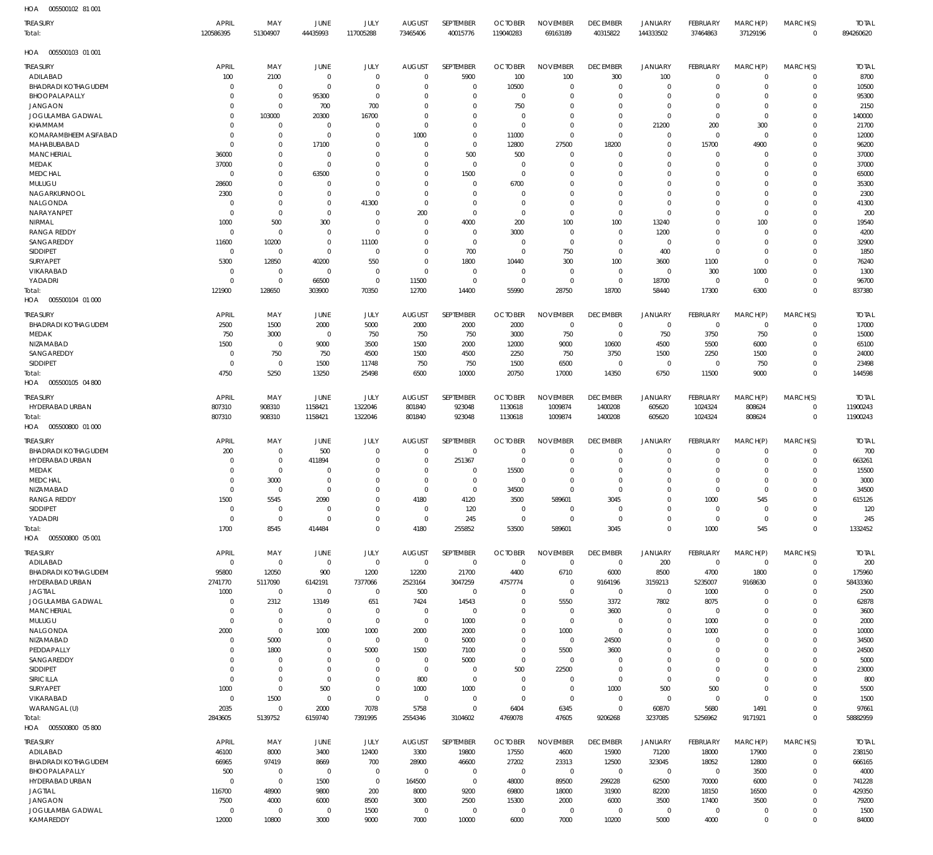005500102 81 001 HOA

| <b>TREASURY</b><br>Total:              | <b>APRIL</b><br>120586395      | MAY<br>51304907                  | JUNE<br>44435993           | JULY<br>117005288          | <b>AUGUST</b><br>73465406    | SEPTEMBER<br>40015776            | <b>OCTOBER</b><br>119040283   | <b>NOVEMBER</b><br>69163189    | <b>DECEMBER</b><br>40315822    | <b>JANUARY</b><br>144333502   | FEBRUARY<br>37464863       | MARCH(P)<br>37129196       | MARCH(S)<br>$\mathbf 0$    | <b>TOTAL</b><br>894260620 |
|----------------------------------------|--------------------------------|----------------------------------|----------------------------|----------------------------|------------------------------|----------------------------------|-------------------------------|--------------------------------|--------------------------------|-------------------------------|----------------------------|----------------------------|----------------------------|---------------------------|
| 005500103 01 001<br>HOA                |                                |                                  |                            |                            |                              |                                  |                               |                                |                                |                               |                            |                            |                            |                           |
| <b>TREASURY</b>                        | <b>APRIL</b>                   | MAY                              | JUNE                       | JULY                       | <b>AUGUST</b>                | SEPTEMBER                        | <b>OCTOBER</b>                | <b>NOVEMBER</b>                | <b>DECEMBER</b>                | JANUARY                       | FEBRUARY                   | MARCH(P)                   | MARCH(S)                   | <b>TOTAL</b>              |
| ADILABAD<br><b>BHADRADI KOTHAGUDEM</b> | 100<br>$\Omega$                | 2100<br>$\overline{0}$           | $\mathbf 0$<br>$\mathbf 0$ | $\mathbf 0$<br>$\mathbf 0$ | $\mathbf 0$<br>$\mathbf 0$   | 5900<br>$\overline{0}$           | 100<br>10500                  | 100<br>$\mathbf 0$             | 300<br>$\mathbf 0$             | 100<br>$\overline{0}$         | $\mathbf 0$<br>$\mathbf 0$ | $\mathbf 0$<br>$\mathbf 0$ | 0<br>$\mathbf 0$           | 8700<br>10500             |
| BHOOPALAPALLY                          | $\mathbf 0$                    | $\overline{0}$                   | 95300                      | $\mathbf 0$                | $\mathbf 0$                  | $\mathbf 0$                      | $\mathbf 0$                   | 0                              | $\mathbf 0$                    | $\overline{0}$                | $\mathbf 0$                | 0                          | $\mathbf 0$                | 95300                     |
| <b>JANGAON</b>                         | $\mathbf 0$                    | $\overline{0}$                   | 700                        | 700                        | $\Omega$                     | $\mathbf 0$                      | 750                           | $\mathbf 0$                    | $\mathbf 0$                    | $\mathbf 0$                   | $\mathbf 0$                | $\mathbf 0$                | $\mathbf 0$                | 2150                      |
| JOGULAMBA GADWAL<br>KHAMMAM            | $\mathbf 0$<br>$\mathbf 0$     | 103000<br>$\mathbf 0$            | 20300<br>$\mathbf 0$       | 16700<br>$\mathbf 0$       | $\mathbf 0$<br>$\mathbf 0$   | $\mathbf 0$<br>$\mathbf 0$       | $\Omega$<br>$\mathbf 0$       | $\mathbf 0$<br>$\mathbf 0$     | $\mathbf 0$<br>$\mathbf 0$     | $\overline{0}$<br>21200       | $\mathbf 0$<br>200         | $\mathbf 0$<br>300         | $\mathbf 0$<br>$\mathbf 0$ | 140000<br>21700           |
| KOMARAMBHEEM ASIFABAD                  | $\mathbf 0$                    | $\overline{0}$                   | $\mathbf 0$                | $\Omega$                   | 1000                         | $\mathbf 0$                      | 11000                         | $\mathbf 0$                    | $\mathbf 0$                    | $\mathbf 0$                   | $\mathbf 0$                | $\mathbf 0$                | $\mathbf 0$                | 12000                     |
| MAHABUBABAD                            | $\Omega$                       | $\overline{0}$                   | 17100                      | $\Omega$                   | $\mathbf 0$                  | $\overline{0}$                   | 12800                         | 27500                          | 18200                          | $^{\circ}$                    | 15700                      | 4900                       | $\mathbf 0$                | 96200                     |
| <b>MANCHERIAL</b>                      | 36000                          | $\mathbf 0$                      | $\mathbf 0$                | $\Omega$                   | $\mathbf 0$                  | 500                              | 500                           | $\mathbf 0$                    | $\mathbf 0$                    | $\mathbf 0$                   | $\mathbf 0$                | 0                          | $\mathbf 0$                | 37000                     |
| MEDAK                                  | 37000                          | $\overline{0}$                   | $\Omega$                   | $\Omega$                   | $\mathbf 0$                  | $\overline{0}$                   | $\mathbf 0$                   | $\mathbf 0$                    | $\mathbf 0$                    | $\mathbf 0$                   | $\mathbf 0$                | $\Omega$                   | $\mathbf 0$                | 37000                     |
| <b>MEDCHAL</b><br>MULUGU               | $\mathbf 0$<br>28600           | $\overline{0}$<br>$\mathbf 0$    | 63500<br>$\Omega$          | $\mathbf 0$<br>$\Omega$    | $\mathbf 0$<br>$\mathbf 0$   | 1500<br>$\mathbf 0$              | $\mathbf 0$<br>6700           | $\mathbf 0$<br>$\mathbf 0$     | $\mathbf 0$<br>$\mathbf 0$     | $\mathbf 0$<br>$\Omega$       | $\mathbf 0$<br>$\Omega$    | 0<br>$\Omega$              | $\mathbf 0$<br>$\mathbf 0$ | 65000<br>35300            |
| NAGARKURNOOL                           | 2300                           | $\overline{0}$                   | $\mathbf 0$                | $\mathbf 0$                | $\mathbf 0$                  | $\mathbf 0$                      | $\Omega$                      | $\mathbf 0$                    | $\mathbf 0$                    | $\mathbf 0$                   | $\Omega$                   | $\mathbf 0$                | $\mathbf 0$                | 2300                      |
| NALGONDA                               | $\mathbf 0$                    | $\mathbf 0$                      | $\mathbf 0$                | 41300                      | $\mathbf 0$                  | $\mathbf 0$                      | $\mathbf 0$                   | $\mathbf 0$                    | $\mathbf 0$                    | $\mathbf 0$                   | $\Omega$                   | $\mathbf 0$                | $\mathbf 0$                | 41300                     |
| NARAYANPET                             | $\overline{0}$                 | $\overline{0}$                   | $\mathbf 0$                | $\mathbf 0$                | 200                          | $\overline{0}$                   | $\Omega$                      | $\mathbf 0$                    | $\mathbf 0$                    | $\mathbf 0$                   | $\Omega$                   | $\mathbf 0$                | $\mathbf 0$                | 200                       |
| NIRMAL<br><b>RANGA REDDY</b>           | 1000<br>$\mathbf 0$            | 500<br>$\overline{0}$            | 300<br>$\Omega$            | $\mathbf 0$<br>$\mathbf 0$ | $\mathbf 0$<br>$\mathbf 0$   | 4000<br>$\overline{0}$           | 200<br>3000                   | 100<br>$\mathbf 0$             | 100<br>$\mathbf 0$             | 13240<br>1200                 | $\Omega$<br>$\Omega$       | 100<br>$\mathbf 0$         | $\mathbf 0$<br>$\mathbf 0$ | 19540<br>4200             |
| SANGAREDDY                             | 11600                          | 10200                            | $\mathbf 0$                | 11100                      | $\mathbf 0$                  | $\overline{0}$                   | $\mathbf 0$                   | $\mathbf 0$                    | $\mathbf 0$                    | $\overline{0}$                | $\mathbf 0$                | $\Omega$                   | $\mathbf 0$                | 32900                     |
| <b>SIDDIPET</b>                        | $\mathbf 0$                    | $\overline{0}$                   | $\mathbf 0$                | $\mathbf 0$                | $\mathbf 0$                  | 700                              | $\mathbf 0$                   | 750                            | $\mathbf 0$                    | 400                           | $\mathbf 0$                | $\mathbf 0$                | $\mathbf 0$                | 1850                      |
| <b>SURYAPET</b>                        | 5300                           | 12850                            | 40200                      | 550                        | $\mathbf 0$                  | 1800                             | 10440                         | 300                            | 100                            | 3600                          | 1100                       | $\mathbf 0$                | $\mathbf 0$                | 76240                     |
| VIKARABAD                              | $\mathbf 0$                    | $\overline{0}$                   | $\mathbf 0$                | $\mathbf 0$                | $\mathbf 0$                  | $\overline{0}$                   | $\mathbf 0$                   | $\mathbf 0$                    | $\mathbf 0$                    | $\mathbf 0$                   | 300                        | 1000                       | $\mathbf 0$                | 1300                      |
| YADADRI                                | $\Omega$<br>121900             | $\overline{0}$<br>128650         | 66500<br>303900            | $\mathbf 0$                | 11500<br>12700               | $\overline{\mathbf{0}}$<br>14400 | $\mathbf 0$<br>55990          | $\mathbf 0$<br>28750           | $\mathbf 0$<br>18700           | 18700<br>58440                | $\mathbf 0$                | $\mathbf 0$<br>6300        | $\mathbf 0$<br>$\mathbf 0$ | 96700<br>837380           |
| Total:<br>005500104 01 000<br>HOA      |                                |                                  |                            | 70350                      |                              |                                  |                               |                                |                                |                               | 17300                      |                            |                            |                           |
| <b>TREASURY</b>                        | <b>APRIL</b>                   | MAY                              | JUNE                       | JULY                       | <b>AUGUST</b>                | SEPTEMBER                        | <b>OCTOBER</b>                | <b>NOVEMBER</b>                | <b>DECEMBER</b>                | JANUARY                       | FEBRUARY                   | MARCH(P)                   | MARCH(S)                   | <b>TOTAL</b>              |
| <b>BHADRADI KOTHAGUDEM</b>             | 2500                           | 1500                             | 2000                       | 5000                       | 2000                         | 2000                             | 2000                          | 0                              | 0                              | $\overline{0}$                | $\mathbf 0$                | $\overline{0}$             | $\mathbf 0$                | 17000                     |
| MEDAK                                  | 750                            | 3000                             | $\mathbf 0$                | 750                        | 750                          | 750                              | 3000                          | 750                            | $\mathbf 0$                    | 750                           | 3750                       | 750                        | $\mathbf 0$                | 15000                     |
| NIZAMABAD                              | 1500                           | $\overline{0}$                   | 9000                       | 3500                       | 1500                         | 2000                             | 12000                         | 9000                           | 10600                          | 4500                          | 5500                       | 6000                       | $\mathbf 0$                | 65100                     |
| SANGAREDDY                             | $\mathbf 0$                    | 750                              | 750                        | 4500                       | 1500                         | 4500                             | 2250                          | 750                            | 3750                           | 1500                          | 2250                       | 1500                       | $\mathbf 0$                | 24000                     |
| SIDDIPET                               | $\mathbf 0$                    | $\overline{0}$                   | 1500                       | 11748                      | 750                          | 750                              | 1500                          | 6500                           | $\mathbf 0$                    | $\overline{0}$                | $\mathbf 0$                | 750                        | $\mathbf 0$<br>$\mathbf 0$ | 23498                     |
| Total:<br>005500105 04 800<br>HOA      | 4750                           | 5250                             | 13250                      | 25498                      | 6500                         | 10000                            | 20750                         | 17000                          | 14350                          | 6750                          | 11500                      | 9000                       |                            | 144598                    |
| <b>TREASURY</b>                        | <b>APRIL</b>                   | MAY                              | JUNE                       | JULY                       | <b>AUGUST</b>                | SEPTEMBER                        | <b>OCTOBER</b>                | <b>NOVEMBER</b>                | <b>DECEMBER</b>                | JANUARY                       | FEBRUARY                   | MARCH(P)                   | MARCH(S)                   | <b>TOTAL</b>              |
| HYDERABAD URBAN                        | 807310                         | 908310                           | 1158421                    | 1322046                    | 801840                       | 923048                           | 1130618                       | 1009874                        | 1400208                        | 605620                        | 1024324                    | 808624                     | $\mathbf 0$                | 11900243                  |
| Total:                                 | 807310                         | 908310                           | 1158421                    | 1322046                    | 801840                       | 923048                           | 1130618                       | 1009874                        | 1400208                        | 605620                        | 1024324                    | 808624                     | $\mathbf 0$                | 11900243                  |
| 005500800 01 000<br>HOA                |                                |                                  |                            |                            |                              |                                  |                               |                                |                                |                               |                            |                            |                            |                           |
| <b>TREASURY</b>                        | <b>APRIL</b>                   | MAY                              | JUNE                       | JULY                       | <b>AUGUST</b>                | SEPTEMBER                        | <b>OCTOBER</b>                | <b>NOVEMBER</b>                | <b>DECEMBER</b>                | JANUARY                       | FEBRUARY                   | MARCH(P)                   | MARCH(S)                   | <b>TOTAL</b>              |
| <b>BHADRADI KOTHAGUDEM</b>             | 200                            | $\overline{0}$                   | 500                        | $\mathbf 0$                | $\mathbf 0$                  | $\overline{0}$                   | $\mathbf 0$                   | $\mathbf 0$                    | $\mathbf 0$                    | $\overline{0}$                | $\mathbf 0$                | $\mathbf 0$                | $\mathbf 0$                | 700                       |
| HYDERABAD URBAN                        | $\mathbf 0$                    | $\overline{0}$                   | 411894                     | $\mathbf 0$                | $\mathbf 0$                  | 251367                           | $\mathbf 0$                   | 0                              | $\mathbf 0$                    | 0                             | $\mathbf 0$                | 0                          | $\mathbf 0$                | 663261                    |
| MEDAK                                  | $\mathbf 0$                    | $\overline{0}$                   | $\mathbf 0$                | $\Omega$<br>$\Omega$       | $\mathbf 0$                  | $\mathbf 0$                      | 15500                         | 0                              | $\mathbf 0$                    | 0                             | $\mathbf 0$                | 0                          | $\mathbf 0$                | 15500                     |
| <b>MEDCHAL</b><br>NIZAMABAD            | $\mathbf 0$<br>$\Omega$        | 3000<br>$\overline{0}$           | $\mathbf 0$<br>$\Omega$    | $\Omega$                   | $\mathbf 0$<br>$\mathbf 0$   | $\mathbf 0$<br>$\mathbf 0$       | 0<br>34500                    | 0<br>$\mathbf 0$               | $\mathbf 0$<br>$\mathbf 0$     | 0<br>$\mathbf 0$              | 0<br>$\mathbf 0$           | 0<br>$\Omega$              | $\mathbf 0$<br>$\mathbf 0$ | 3000<br>34500             |
| <b>RANGA REDDY</b>                     | 1500                           | 5545                             | 2090                       | 0                          | 4180                         | 4120                             | 3500                          | 589601                         | 3045                           | 0                             | 1000                       | 545                        | $\mathbf 0$                | 615126                    |
| SIDDIPET                               | $\mathbf 0$                    | $\overline{0}$                   | $\mathbf 0$                | $\mathbf 0$                | $\mathbf 0$                  | 120                              | $\mathbf 0$                   | 0                              | $\mathbf 0$                    | $\mathbf 0$                   | $\mathbf 0$                | 0                          | $\mathbf 0$                | 120                       |
| YADADRI                                | $\overline{0}$                 | $\overline{0}$                   | $\mathbf 0$                | $\overline{0}$             | $\mathbf 0$                  | 245                              | $\mathbf 0$                   | $\mathbf 0$                    | $\mathbf 0$                    | $\mathbf 0$                   | $\mathbf 0$                | $\mathbf 0$                | $\mathbf 0$                | 245                       |
| Total:<br>005500800 05 001             | 1700                           | 8545                             | 414484                     | $\overline{0}$             | 4180                         | 255852                           | 53500                         | 589601                         | 3045                           | $\overline{0}$                | 1000                       | 545                        | $\mathbf 0$                | 1332452                   |
| HOA                                    |                                |                                  |                            |                            |                              |                                  |                               |                                |                                |                               |                            |                            |                            |                           |
| <b>TREASURY</b><br>ADILABAD            | <b>APRIL</b><br>$\overline{0}$ | MAY<br>$\overline{0}$            | <b>JUNE</b><br>$\mathbf 0$ | JULY<br>$\mathbf 0$        | <b>AUGUST</b><br>$\mathbf 0$ | SEPTEMBER<br>$\overline{0}$      | <b>OCTOBER</b><br>$\mathbf 0$ | <b>NOVEMBER</b><br>$\mathbf 0$ | <b>DECEMBER</b><br>$\mathbf 0$ | JANUARY<br>200                | FEBRUARY<br>$\mathbf 0$    | MARCH(P)<br>$\mathbf 0$    | MARCH(S)<br>0              | <b>TOTAL</b><br>200       |
| <b>BHADRADI KOTHAGUDEM</b>             | 95800                          | 12050                            | 900                        | 1200                       | 12200                        | 21700                            | 4400                          | 6710                           | 6000                           | 8500                          | 4700                       | 1800                       | $\mathbf 0$                | 175960                    |
| HYDERABAD URBAN                        | 2741770                        | 5117090                          | 6142191                    | 7377066                    | 2523164                      | 3047259                          | 4757774                       | $\mathbf 0$                    | 9164196                        | 3159213                       | 5235007                    | 9168630                    | $\mathbf 0$                | 58433360                  |
| <b>JAGTIAL</b>                         | 1000                           | $\overline{0}$                   | $\mathbf 0$                | $\mathbf 0$                | 500                          | $\overline{0}$                   | $\mathbf 0$                   | $\mathbf 0$                    | $\mathbf 0$                    | $\mathbf 0$                   | 1000                       | $\mathbf 0$                | $\mathbf 0$                | 2500                      |
| JOGULAMBA GADWAL                       | $\mathbf 0$                    | 2312                             | 13149                      | 651                        | 7424                         | 14543                            | $\mathbf 0$                   | 5550                           | 3372                           | 7802                          | 8075                       | $\mathbf 0$                | $\mathbf 0$                | 62878                     |
| <b>MANCHERIAL</b><br>MULUGU            | $\mathbf 0$<br>$\mathbf 0$     | $\overline{0}$<br>$\overline{0}$ | $\mathbf 0$<br>$\mathbf 0$ | $\mathbf 0$<br>$\mathbf 0$ | $\mathbf 0$<br>$\mathbf 0$   | $\overline{0}$<br>1000           | $\mathbf 0$<br>$\mathbf 0$    | $\mathbf 0$<br>$\mathbf 0$     | 3600<br>$\mathbf 0$            | $\mathbf 0$<br>$\overline{0}$ | $\mathbf 0$<br>1000        | $\mathbf 0$<br>$\mathbf 0$ | $\mathbf 0$<br>$\mathbf 0$ | 3600<br>2000              |
| NALGONDA                               | 2000                           | $\overline{0}$                   | 1000                       | 1000                       | 2000                         | 2000                             | $\mathbf 0$                   | 1000                           | $\mathbf 0$                    | $\overline{0}$                | 1000                       | $\mathbf 0$                | $\mathbf 0$                | 10000                     |
| NIZAMABAD                              | $\mathbf 0$                    | 5000                             | $\mathbf 0$                | $\mathbf 0$                | $\mathbf 0$                  | 5000                             | $\mathbf 0$                   | $\mathbf 0$                    | 24500                          | $\mathbf 0$                   | $\mathbf 0$                | $\mathbf 0$                | $\mathbf 0$                | 34500                     |
| PEDDAPALLY                             | $\mathbf 0$                    | 1800                             | $\mathbf 0$                | 5000                       | 1500                         | 7100                             | $\mathbf 0$                   | 5500                           | 3600                           | $\mathbf 0$                   | $\mathbf 0$                | $\Omega$                   | $\mathbf 0$                | 24500                     |
| SANGAREDDY                             | $\mathbf 0$                    | $\overline{0}$                   | $\mathbf 0$                | $\mathbf 0$                | $\mathbf 0$                  | 5000                             | $\mathbf 0$                   | $\mathbf 0$                    | $\mathbf 0$                    | $\mathbf 0$                   | $\mathbf 0$                | $\mathbf 0$                | $\mathbf 0$                | 5000                      |
| <b>SIDDIPET</b><br>SIRICILLA           | $\mathbf 0$<br>$\mathbf 0$     | $\overline{0}$<br>$\overline{0}$ | $\mathbf 0$<br>$\mathbf 0$ | $\mathbf 0$<br>$\mathbf 0$ | $\mathbf 0$<br>800           | $\overline{0}$<br>$\overline{0}$ | 500<br>$\mathbf 0$            | 22500<br>$\mathbf 0$           | $\mathbf 0$<br>$\mathbf 0$     | $\mathbf 0$<br>$\overline{0}$ | $\mathbf 0$<br>$\mathbf 0$ | $\mathbf 0$<br>$\mathbf 0$ | $\mathbf 0$<br>$\mathbf 0$ | 23000<br>800              |
| SURYAPET                               | 1000                           | $\overline{0}$                   | 500                        | $\mathbf 0$                | 1000                         | 1000                             | $\mathbf 0$                   | $\mathbf 0$                    | 1000                           | 500                           | 500                        | $\mathbf 0$                | $\mathbf 0$                | 5500                      |
| VIKARABAD                              | $\overline{0}$                 | 1500                             | $\mathbf 0$                | $\mathbf 0$                | $\mathbf 0$                  | $\overline{0}$                   | $\mathbf 0$                   | $\mathbf 0$                    | $\mathbf 0$                    | $\mathbf 0$                   | $\mathbf 0$                | $\mathbf 0$                | $\mathbf 0$                | 1500                      |
| WARANGAL (U)                           | 2035                           | $\overline{0}$                   | 2000                       | 7078                       | 5758                         | $\overline{0}$                   | 6404                          | 6345                           | $\mathbf 0$                    | 60870                         | 5680                       | 1491                       | $\mathbf 0$                | 97661                     |
| Total:                                 | 2843605                        | 5139752                          | 6159740                    | 7391995                    | 2554346                      | 3104602                          | 4769078                       | 47605                          | 9206268                        | 3237085                       | 5256962                    | 9171921                    | $\mathbf 0$                | 58882959                  |
| HOA  005500800  05  800                |                                |                                  |                            |                            |                              |                                  |                               |                                |                                |                               |                            |                            |                            |                           |
| <b>TREASURY</b>                        | <b>APRIL</b>                   | MAY                              | JUNE                       | JULY                       | <b>AUGUST</b>                | SEPTEMBER                        | <b>OCTOBER</b>                | <b>NOVEMBER</b>                | <b>DECEMBER</b>                | JANUARY                       | FEBRUARY                   | MARCH(P)                   | MARCH(S)                   | <b>TOTAL</b>              |
| ADILABAD<br><b>BHADRADI KOTHAGUDEM</b> | 46100<br>66965                 | 8000<br>97419                    | 3400<br>8669               | 12400<br>700               | 3300<br>28900                | 19800<br>46600                   | 17550<br>27202                | 4600<br>23313                  | 15900<br>12500                 | 71200<br>323045               | 18000<br>18052             | 17900<br>12800             | $\mathbf 0$<br>$\mathbf 0$ | 238150<br>666165          |
| BHOOPALAPALLY                          | 500                            | $\overline{0}$                   | $\mathbf 0$                | $\overline{0}$             | $\mathbf 0$                  | $\overline{0}$                   | $\mathbf 0$                   | $\mathbf 0$                    | $\mathbf 0$                    | $\mathbf 0$                   | $\mathbf 0$                | 3500                       | $\mathbf 0$                | 4000                      |
| HYDERABAD URBAN                        | $\overline{0}$                 | $\overline{0}$                   | 1500                       | $\mathbf 0$                | 164500                       | $\overline{0}$                   | 48000                         | 89500                          | 299228                         | 62500                         | 70000                      | 6000                       | $\mathbf 0$                | 741228                    |
| <b>JAGTIAL</b>                         | 116700                         | 48900                            | 9800                       | 200                        | 8000                         | 9200                             | 69800                         | 18000                          | 31900                          | 82200                         | 18150                      | 16500                      | $\mathbf 0$                | 429350                    |
| JANGAON                                | 7500                           | 4000                             | 6000                       | 8500                       | 3000                         | 2500                             | 15300                         | 2000                           | 6000                           | 3500                          | 17400                      | 3500                       | $\mathbf 0$                | 79200                     |
| JOGULAMBA GADWAL<br>KAMAREDDY          | $\mathbf 0$<br>12000           | $\overline{0}$<br>10800          | $\mathbf 0$<br>3000        | 1500<br>9000               | $\mathbf 0$<br>7000          | $\overline{0}$<br>10000          | $\mathbf 0$<br>6000           | $\mathbf 0$<br>7000            | $\mathbf 0$<br>10200           | $\mathbf 0$<br>5000           | $\mathbf 0$<br>4000        | $\mathbf 0$<br>$\mathbf 0$ | $\mathbf 0$<br>$\mathbf 0$ | 1500<br>84000             |
|                                        |                                |                                  |                            |                            |                              |                                  |                               |                                |                                |                               |                            |                            |                            |                           |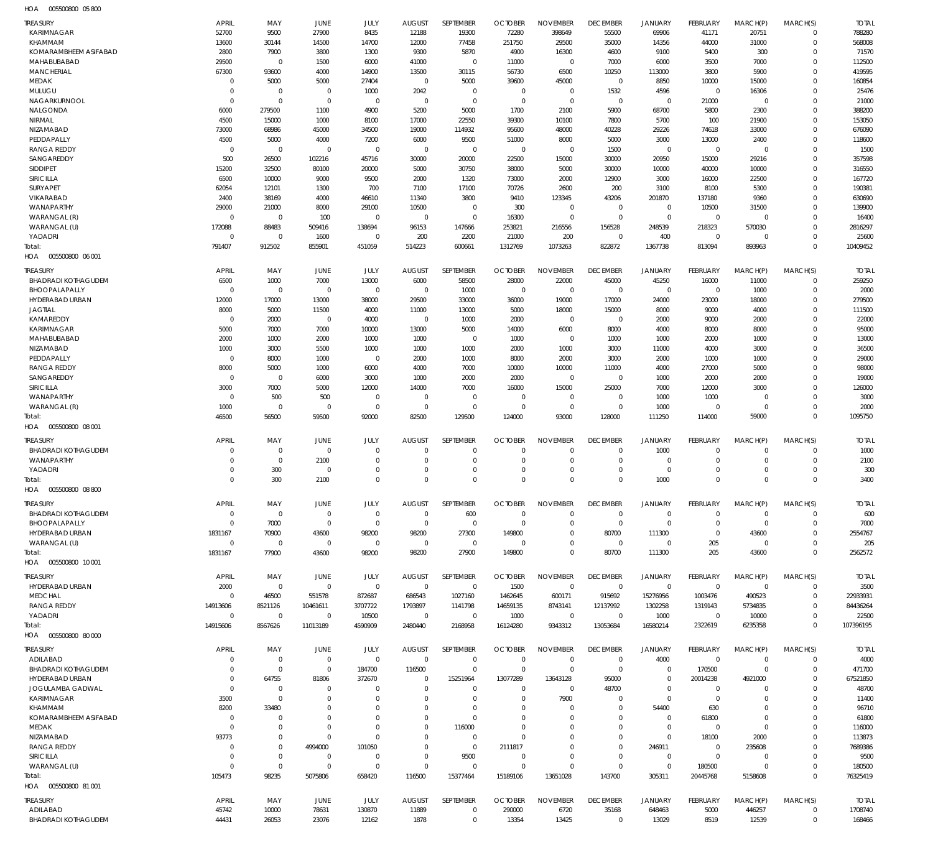| HOA | 005500800 05800 |  |
|-----|-----------------|--|

| TREASURY                   | <b>APRIL</b> | MAY         | JUNE        | JULY        | <b>AUGUST</b> | SEPTEMBER        | <b>OCTOBER</b> | <b>NOVEMBER</b> | <b>DECEMBER</b>         | <b>JANUARY</b>  | FEBRUARY       | MARCH(P)       | MARCH(S)    | <b>TOTAL</b> |
|----------------------------|--------------|-------------|-------------|-------------|---------------|------------------|----------------|-----------------|-------------------------|-----------------|----------------|----------------|-------------|--------------|
| <b>KARIMNAGAR</b>          | 52700        | 9500        | 27900       | 8435        | 12188         | 19300            | 72280          | 398649          | 55500                   | 69906           | 41171          | 20751          | $\mathbf 0$ | 788280       |
| KHAMMAM                    | 13600        | 30144       | 14500       | 14700       | 12000         | 77458            | 251750         | 29500           | 35000                   | 14356           | 44000          | 31000          | $\mathbf 0$ | 568008       |
| KOMARAMBHEEM ASIFABAD      | 2800         | 7900        | 3800        | 1300        | 9300          | 5870             | 4900           | 16300           | 4600                    | 9100            | 5400           | 300            | 0           | 71570        |
| MAHABUBABAD                | 29500        | $\mathbf 0$ | 1500        | 6000        | 41000         | $\mathbf 0$      | 11000          | $\Omega$        | 7000                    | 6000            | 3500           | 7000           | $\mathbf 0$ | 112500       |
| <b>MANCHERIAL</b>          | 67300        | 93600       | 4000        | 14900       | 13500         | 30115            | 56730          | 6500            | 10250                   | 113000          | 3800           | 5900           | $\mathbf 0$ | 419595       |
| MEDAK                      | $\mathbf 0$  | 5000        | 5000        | 27404       | $\mathbf 0$   | 5000             | 39600          | 45000           | $^{\circ}$              | 8850            | 10000          | 15000          | $\Omega$    | 160854       |
| MULUGU                     | $\mathbf 0$  | $\mathbf 0$ | $\mathbf 0$ | 1000        | 2042          | $\mathbf 0$      | $\overline{0}$ | $\Omega$        | 1532                    | 4596            | $\mathbf 0$    | 16306          | 0           | 25476        |
| NAGARKURNOOL               | $\mathbf 0$  | $\mathbf 0$ | $\mathbf 0$ | $\mathbf 0$ | $\mathbf 0$   | $\mathbf 0$      | $\mathbf 0$    | $\Omega$        | $^{\circ}$              | $^{\circ}$      | 21000          | $\overline{0}$ | $\mathbf 0$ | 21000        |
| NALGONDA                   | 6000         | 279500      | 1100        | 4900        | 5200          | 5000             | 1700           | 2100            | 5900                    | 68700           | 5800           | 2300           | $\mathbf 0$ | 388200       |
| NIRMAL                     | 4500         | 15000       | 1000        | 8100        | 17000         | 22550            | 39300          | 10100           | 7800                    | 5700            | 100            | 21900          | $\mathbf 0$ | 153050       |
| <b>NIZAMABAD</b>           | 73000        | 68986       | 45000       | 34500       | 19000         | 114932           | 95600          | 48000           | 40228                   | 29226           | 74618          | 33000          | 0           | 676090       |
| PEDDAPALLY                 | 4500         | 5000        | 4000        | 7200        | 6000          | 9500             | 51000          | 8000            | 5000                    | 3000            | 13000          | 2400           | $\mathbf 0$ | 118600       |
| <b>RANGA REDDY</b>         | $\mathbf 0$  | $\mathbf 0$ | $\mathbf 0$ | $\mathbf 0$ | $\mathbf 0$   | $\mathbf 0$      | $\overline{0}$ | $\Omega$        | 1500                    | $^{\circ}$      | $\mathbf 0$    | $\overline{0}$ | $\mathbf 0$ | 1500         |
| SANGAREDDY                 | 500          | 26500       | 102216      | 45716       | 30000         | 20000            | 22500          | 15000           | 30000                   | 20950           | 15000          | 29216          | $\mathbf 0$ | 357598       |
| SIDDIPET                   | 15200        | 32500       | 80100       | 20000       | 5000          | 30750            | 38000          | 5000            | 30000                   | 10000           | 40000          | 10000          | 0           | 316550       |
| SIRICILLA                  | 6500         | 10000       | 9000        | 9500        | 2000          | 1320             | 73000          | 2000            | 12900                   | 3000            | 16000          | 22500          | $\mathbf 0$ | 167720       |
| <b>SURYAPET</b>            | 62054        | 12101       | 1300        | 700         | 7100          | 17100            | 70726          | 2600            | 200                     | 3100            | 8100           | 5300           | 0           | 190381       |
| VIKARABAD                  | 2400         | 38169       | 4000        | 46610       | 11340         | 3800             | 9410           | 123345          | 43206                   | 201870          | 137180         | 9360           | $\mathbf 0$ | 630690       |
| WANAPARTHY                 | 29000        |             | 8000        |             |               | $\mathbf 0$      | 300            | $\mathbf 0$     | $^{\circ}$              | $^{\circ}$      | 10500          | 31500          | 0           | 139900       |
|                            |              | 21000       |             | 29100       | 10500         |                  |                |                 |                         |                 |                |                |             |              |
| WARANGAL (R)               | $\mathbf 0$  | $\mathbf 0$ | 100         | $\mathbf 0$ | $\mathbf 0$   | $\mathbf 0$      | 16300          | $\Omega$        | $\Omega$                | $\overline{0}$  | $\Omega$       | $\Omega$       | $\mathbf 0$ | 16400        |
| WARANGAL (U)               | 172088       | 88483       | 509416      | 138694      | 96153         | 147666           | 253821         | 216556          | 156528                  | 248539          | 218323         | 570030         | $\mathbf 0$ | 2816297      |
| YADADRI                    | $\mathbf 0$  | $\mathbf 0$ | 1600        | $\mathbf 0$ | 200           | 2200             | 21000          | 200             | $\overline{0}$          | 400             | $\mathbf 0$    | $\Omega$       | $\mathbf 0$ | 25600        |
| Total:                     | 791407       | 912502      | 855901      | 451059      | 514223        | 600661           | 1312769        | 1073263         | 822872                  | 1367738         | 813094         | 893963         | $\Omega$    | 10409452     |
| HOA  005500800  06  001    |              |             |             |             |               |                  |                |                 |                         |                 |                |                |             |              |
| TREASURY                   | <b>APRIL</b> | MAY         | JUNE        | JULY        | <b>AUGUST</b> | SEPTEMBER        | <b>OCTOBER</b> | <b>NOVEMBER</b> | <b>DECEMBER</b>         | <b>JANUARY</b>  | FEBRUARY       | MARCH(P)       | MARCH(S)    | <b>TOTAL</b> |
| <b>BHADRADI KOTHAGUDEM</b> | 6500         | 1000        | 7000        | 13000       | 6000          |                  | 28000          | 22000           |                         | 45250           | 16000          |                | $\mathbf 0$ | 259250       |
|                            |              |             |             |             |               | 58500            |                |                 | 45000                   |                 |                | 11000          |             |              |
| BHOOPALAPALLY              | $\mathbf 0$  | $\mathbf 0$ | $\mathbf 0$ | $\mathbf 0$ | $\mathbf 0$   | 1000             | $\mathbf 0$    | $\mathbf 0$     | $\overline{0}$          | $\mathbf 0$     | $\mathbf 0$    | 1000           | $\mathbf 0$ | 2000         |
| HYDERABAD URBAN            | 12000        | 17000       | 13000       | 38000       | 29500         | 33000            | 36000          | 19000           | 17000                   | 24000           | 23000          | 18000          | $\mathbf 0$ | 279500       |
| <b>JAGTIAL</b>             | 8000         | 5000        | 11500       | 4000        | 11000         | 13000            | 5000           | 18000           | 15000                   | 8000            | 9000           | 4000           | $\mathbf 0$ | 111500       |
| KAMAREDDY                  | $\mathbf 0$  | 2000        | $\mathbf 0$ | 4000        | $\mathbf 0$   | 1000             | 2000           | $\Omega$        | $\overline{0}$          | 2000            | 9000           | 2000           | $\mathbf 0$ | 22000        |
| <b>KARIMNAGAR</b>          | 5000         | 7000        | 7000        | 10000       | 13000         | 5000             | 14000          | 6000            | 8000                    | 4000            | 8000           | 8000           | $\mathbf 0$ | 95000        |
| MAHABUBABAD                | 2000         | 1000        | 2000        | 1000        | 1000          | $\mathbf 0$      | 1000           | $\Omega$        | 1000                    | 1000            | 2000           | 1000           | $\mathbf 0$ | 13000        |
| NIZAMABAD                  | 1000         | 3000        | 5500        | 1000        | 1000          | 1000             | 2000           | 1000            | 3000                    | 11000           | 4000           | 3000           | $\mathbf 0$ | 36500        |
| PEDDAPALLY                 | $\mathbf 0$  | 8000        | 1000        | 0           | 2000          | 1000             | 8000           | 2000            | 3000                    | 2000            | 1000           | 1000           | $\mathbf 0$ | 29000        |
| <b>RANGA REDDY</b>         | 8000         | 5000        | 1000        | 6000        | 4000          | 7000             | 10000          | 10000           | 11000                   | 4000            | 27000          | 5000           | $\mathbf 0$ | 98000        |
| SANGAREDDY                 | $\mathbf 0$  | $\mathbf 0$ | 6000        | 3000        | 1000          | 2000             | 2000           | $\mathbf 0$     | $\overline{0}$          | 1000            | 2000           | 2000           | $\mathbf 0$ | 19000        |
| SIRICILLA                  | 3000         | 7000        | 5000        | 12000       | 14000         | 7000             | 16000          | 15000           | 25000                   | 7000            | 12000          | 3000           | $\mathbf 0$ | 126000       |
| WANAPARTHY                 | $\mathbf 0$  | 500         | 500         | 0           | $\mathbf 0$   | 0                | $\mathbf 0$    | $\mathbf 0$     | $\overline{0}$          | 1000            | 1000           | $\overline{0}$ | $\mathbf 0$ | 3000         |
| WARANGAL (R)               | 1000         | $\mathbf 0$ | $\mathbf 0$ | $\mathbf 0$ | $\mathbf 0$   | $\mathbf 0$      | $\overline{0}$ | $\Omega$        | $\Omega$                | 1000            | $\Omega$       | $\overline{0}$ | $\mathbf 0$ | 2000         |
| Total:                     | 46500        | 56500       | 59500       | 92000       | 82500         | 129500           | 124000         | 93000           | 128000                  | 111250          | 114000         | 59000          | $\mathbf 0$ | 1095750      |
| 005500800 08 001<br>HOA    |              |             |             |             |               |                  |                |                 |                         |                 |                |                |             |              |
|                            |              |             |             |             |               |                  |                |                 |                         |                 |                |                |             |              |
|                            |              |             |             |             |               |                  |                |                 |                         |                 |                |                |             |              |
| TREASURY                   | <b>APRIL</b> | MAY         | JUNE        | JULY        | <b>AUGUST</b> | <b>SEPTEMBER</b> | <b>OCTOBER</b> | <b>NOVEMBER</b> | <b>DECEMBER</b>         | <b>JANUARY</b>  | FEBRUARY       | MARCH(P)       | MARCH(S)    | <b>TOTAL</b> |
| <b>BHADRADI KOTHAGUDEM</b> | $\mathbf 0$  | $\mathbf 0$ | $\mathbf 0$ | $\mathbf 0$ | $\mathbf 0$   | $\mathbf 0$      | $\Omega$       | $\Omega$        | $\mathbf 0$             | 1000            | $\Omega$       | $\overline{0}$ | $\mathbf 0$ | 1000         |
| WANAPARTHY                 | $\Omega$     | $\mathbf 0$ | 2100        | $\Omega$    | $\Omega$      | $\mathbf 0$      | $\Omega$       | $\Omega$        | $^{\circ}$              | $^{\circ}$      | $\Omega$       | $\Omega$       | $\mathbf 0$ | 2100         |
|                            | $\Omega$     |             | $\mathbf 0$ | $\Omega$    | $\Omega$      | $\mathbf 0$      | $\Omega$       | $\Omega$        |                         | $\overline{0}$  | $\Omega$       | $\Omega$       | 0           |              |
| YADADRI                    | $\Omega$     | 300         |             | $\Omega$    | $\Omega$      | $\Omega$         | $\Omega$       | $\Omega$        | $\mathbf 0$<br>$\Omega$ |                 | $\Omega$       | $\Omega$       | $\Omega$    | 300          |
| Total:                     |              | 300         | 2100        |             |               |                  |                |                 |                         | 1000            |                |                |             | 3400         |
| HOA  005500800  08  800    |              |             |             |             |               |                  |                |                 |                         |                 |                |                |             |              |
| TREASURY                   | <b>APRIL</b> | MAY         | JUNE        | JULY        | <b>AUGUST</b> | SEPTEMBER        | <b>OCTOBER</b> | <b>NOVEMBER</b> | <b>DECEMBER</b>         | <b>JANIJARY</b> | FEBRUARY       | MARCH(P)       | MARCH(S)    | <b>TOTAL</b> |
| <b>BHADRADI KOTHAGUDEM</b> | 0            | $\mathbf 0$ | $\mathbf 0$ | $\mathbf 0$ | 0             | 600              | $\Omega$       | $\Omega$        | $^{\circ}$              | $\overline{0}$  | $\Omega$       | $\Omega$       | 0           | 600          |
| BHOOPALAPALLY              | $\mathbf 0$  | 7000        | $\mathbf 0$ | $\mathbf 0$ | $\mathbf 0$   | $\mathbf 0$      | $\Omega$       | $\mathbf 0$     | $\overline{0}$          | $\overline{0}$  | $\mathbf 0$    | $\mathbf 0$    | $\mathbf 0$ | 7000         |
| HYDERABAD URBAN            | 1831167      | 70900       | 43600       | 98200       | 98200         | 27300            | 149800         | $\mathbf 0$     | 80700                   | 111300          | $\mathbf 0$    | 43600          | 0           | 2554767      |
| WARANGAL (U)               | $\mathbf 0$  | 0           | $\mathbf 0$ | 0           | $\mathbf 0$   | $\mathbf 0$      | $\Omega$       | $\Omega$        | $\overline{0}$          | $\overline{0}$  | 205            | $\overline{0}$ | 0           | 205          |
|                            |              |             |             |             |               |                  |                | $\Omega$        |                         |                 |                |                | $\mathbf 0$ |              |
| Total:                     | 1831167      | 77900       | 43600       | 98200       | 98200         | 27900            | 149800         |                 | 80700                   | 111300          | 205            | 43600          |             | 2562572      |
| 005500800 10 001<br>HOA    |              |             |             |             |               |                  |                |                 |                         |                 |                |                |             |              |
| TREASURY                   | APRIL        | MAY         | JUNE        | JULY        | <b>AUGUST</b> | <b>SEPTEMBER</b> | <b>OCTOBER</b> | <b>NOVEMBER</b> | <b>DECEMBER</b>         | <b>JANUARY</b>  | FEBRUARY       | MARCH(P)       | MARCH(S)    | <b>TOTAL</b> |
| HYDERABAD URBAN            | 2000         | $\mathbf 0$ | $\mathbf 0$ | $\mathbf 0$ | $\mathbf 0$   | $\mathbf 0$      | 1500           | $\Omega$        | $\mathbf 0$             | $\overline{0}$  | $\Omega$       | $\Omega$       | $\mathbf 0$ | 3500         |
| MEDCHAL                    | $\mathbf 0$  | 46500       | 551578      | 872687      | 686543        | 1027160          | 1462645        | 600171          | 915692                  | 15276956        | 1003476        | 490523         | $\mathbf 0$ | 22933931     |
| <b>RANGA REDDY</b>         | 14913606     | 8521126     | 10461611    | 3707722     | 1793897       | 1141798          | 14659135       | 8743141         | 12137992                | 1302258         | 1319143        | 5734835        | $\Omega$    | 84436264     |
| YADADRI                    | $\mathbf 0$  | $\mathbf 0$ | $\mathbf 0$ | 10500       | $\mathbf 0$   | $\mathbf 0$      | 1000           | $\mathbf 0$     | $\mathbf 0$             | 1000            | $\mathbf 0$    | 10000          | 0           | 22500        |
| Total:                     | 14915606     | 8567626     | 11013189    | 4590909     | 2480440       | 2168958          | 16124280       | 9343312         | 13053684                | 16580214        | 2322619        | 6235358        | $\Omega$    | 107396195    |
|                            |              |             |             |             |               |                  |                |                 |                         |                 |                |                |             |              |
| HOA  005500800  80 000     |              |             |             |             |               |                  |                |                 |                         |                 |                |                |             |              |
| TREASURY                   | <b>APRIL</b> | MAY         | JUNE        | JULY        | <b>AUGUST</b> | SEPTEMBER        | <b>OCTOBER</b> | <b>NOVEMBER</b> | <b>DECEMBER</b>         | <b>JANUARY</b>  | FEBRUARY       | MARCH(P)       | MARCH(S)    | <b>TOTAL</b> |
| ADILABAD                   | $\mathbf 0$  | $\mathbf 0$ | $\mathbf 0$ | $\mathbf 0$ | $\mathbf 0$   | $\mathbf 0$      | $\overline{0}$ | $\Omega$        | $\overline{0}$          | 4000            | $\mathbf 0$    | $\overline{0}$ | $\mathbf 0$ | 4000         |
| <b>BHADRADI KOTHAGUDEM</b> | 0            | $\mathbf 0$ | 0           | 184700      | 116500        | $\mathbf 0$      | $\overline{0}$ | $\Omega$        | $\mathbf 0$             | $\mathbf 0$     | 170500         | $\mathbf 0$    | $\mathbf 0$ | 471700       |
| HYDERABAD URBAN            | 0            | 64755       | 81806       | 372670      | $^{\circ}$    | 15251964         | 13077289       | 13643128        | 95000                   | $^{\circ}$      | 20014238       | 4921000        | 0           | 67521850     |
| JOGULAMBA GADWAL           | $\mathbf 0$  | $\mathbf 0$ | O           | $\mathbf 0$ | $\Omega$      | $\mathbf 0$      | $\Omega$       | $\Omega$        | 48700                   | $\overline{0}$  | 0              | $\Omega$       | 0           | 48700        |
| <b>KARIMNAGAR</b>          | 3500         | $\mathbf 0$ | $\Omega$    | $\mathbf 0$ | $\Omega$      | $\mathbf 0$      | $\Omega$       | 7900            | $^{\circ}$              | $\overline{0}$  | $\overline{0}$ | $\Omega$       | 0           | 11400        |
| KHAMMAM                    | 8200         | 33480       | $\Omega$    | $\Omega$    | $\Omega$      | $\mathbf 0$      | $\Omega$       | $\Omega$        | $^{\circ}$              | 54400           | 630            | $\Omega$       | 0           | 96710        |
| KOMARAMBHEEM ASIFABAD      | $\mathbf 0$  | $\mathbf 0$ | $\Omega$    | $\Omega$    | $\Omega$      | $\mathbf 0$      | $\Omega$       | $\Omega$        | 0                       | $^{\circ}$      | 61800          | $\Omega$       | 0           | 61800        |
| MEDAK                      | $\mathbf 0$  | 0           | $\Omega$    | $\mathbf 0$ | $\Omega$      | 116000           | $\Omega$       | $\Omega$        | $^{\circ}$              | $\overline{0}$  | $\overline{0}$ | $\Omega$       | 0           | 116000       |
| NIZAMABAD                  | 93773        | $\mathbf 0$ | $\Omega$    | $\Omega$    | $\Omega$      | $\mathbf 0$      | $\Omega$       | $\Omega$        | $\Omega$                | $\overline{0}$  | 18100          | 2000           | 0           | 113873       |
| <b>RANGA REDDY</b>         | $\mathbf 0$  | $\mathbf 0$ | 4994000     | 101050      | $\Omega$      | $\mathbf 0$      | 2111817        | $\Omega$        | $\overline{0}$          | 246911          | $\overline{0}$ | 235608         | 0           | 7689386      |
|                            | $\mathbf 0$  |             | $\mathbf 0$ |             | $\Omega$      |                  | $\Omega$       | $\Omega$        | $^{\circ}$              | $\overline{0}$  | $\overline{0}$ | $\mathbf 0$    | 0           |              |
| SIRICILLA                  |              | $\mathbf 0$ |             | 0           | $\Omega$      | 9500             | $\cup$         | $\Omega$        |                         |                 |                |                |             | 9500         |
| WARANGAL (U)               | $\mathbf 0$  | $\mathbf 0$ | $\mathbf 0$ | $\mathbf 0$ |               | $\mathbf 0$      |                |                 | $\overline{0}$          | $\overline{0}$  | 180500         | $\mathbf 0$    | 0           | 180500       |
| Total:                     | 105473       | 98235       | 5075806     | 658420      | 116500        | 15377464         | 15189106       | 13651028        | 143700                  | 305311          | 20445768       | 5158608        | $\mathbf 0$ | 76325419     |
| HOA  005500800  81  001    |              |             |             |             |               |                  |                |                 |                         |                 |                |                |             |              |
| TREASURY                   | APRIL        | MAY         | <b>JUNE</b> | JULY        | <b>AUGUST</b> | SEPTEMBER        | <b>OCTOBER</b> | <b>NOVEMBER</b> | <b>DECEMBER</b>         | <b>JANUARY</b>  | FEBRUARY       | MARCH(P)       | MARCH(S)    | <b>TOTAL</b> |
| ADILABAD                   | 45742        | 10000       | 78631       | 130870      | 11889         | $\mathbf 0$      | 290000         | 6720            | 35168                   | 648463          | 5000           | 446257         | $\mathbf 0$ | 1708740      |
| <b>BHADRADI KOTHAGUDEM</b> | 44431        | 26053       | 23076       | 12162       | 1878          | $\mathbf 0$      | 13354          | 13425           | $\overline{0}$          | 13029           | 8519           | 12539          | $\mathbf 0$ | 168466       |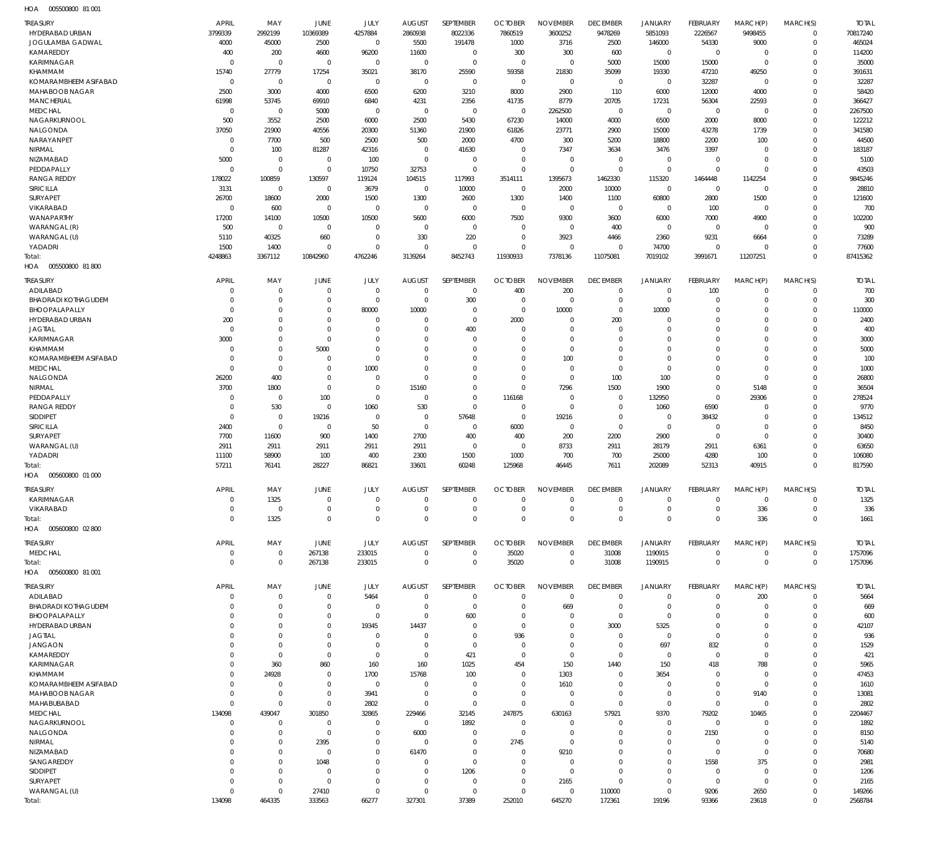005500800 81 001 HOA

| 1127<br><b>DOPODODO DI ANI</b> |                |             |              |             |               |              |                |                 |                 |                |                 |             |              |              |
|--------------------------------|----------------|-------------|--------------|-------------|---------------|--------------|----------------|-----------------|-----------------|----------------|-----------------|-------------|--------------|--------------|
| <b>TREASURY</b>                | <b>APRIL</b>   | MAY         | JUNE         | JULY        | <b>AUGUST</b> | SEPTEMBER    | <b>OCTOBER</b> | <b>NOVEMBER</b> | <b>DECEMBER</b> | <b>JANUARY</b> | FEBRUARY        | MARCH(P)    | MARCH(S)     | <b>TOTAL</b> |
| HYDERABAD URBAN                | 3799339        | 2992199     | 10369389     | 4257884     | 2860938       | 8022336      | 7860519        | 3600252         | 9478269         | 5851093        | 2226567         | 9498455     | 0            | 70817240     |
|                                |                |             |              |             |               |              |                |                 |                 |                |                 |             |              |              |
| JOGULAMBA GADWAL               | 4000           | 45000       | 2500         | $\mathbf 0$ | 5500          | 191478       | 1000           | 3716            | 2500            | 146000         | 54330           | 9000        | 0            | 465024       |
| KAMAREDDY                      | 400            | 200         | 4600         | 96200       | 11600         | $\mathbf 0$  | 300            | 300             | 600             | $\mathbf 0$    | $\mathbf 0$     | 0           | $\mathbf 0$  | 114200       |
| KARIMNAGAR                     | $\overline{0}$ | $\mathbf 0$ | $\mathbf 0$  | $\mathbf 0$ | $\mathbf 0$   | $\mathbf 0$  | $\mathbf 0$    | $\mathbf 0$     | 5000            | 15000          | 15000           | $\mathbf 0$ | 0            | 35000        |
| KHAMMAM                        | 15740          | 27779       | 17254        | 35021       | 38170         | 25590        | 59358          | 21830           | 35099           | 19330          | 47210           | 49250       | $\mathbf 0$  | 391631       |
|                                |                |             |              |             |               |              |                |                 |                 |                |                 |             |              |              |
| KOMARAMBHEEM ASIFABAD          | $\overline{0}$ | $\mathbf 0$ | $\mathbf 0$  | $\mathbf 0$ | $\mathbf{0}$  | $\mathbf 0$  | $\mathbf 0$    | $\mathbf 0$     | $\mathbf 0$     | $\mathbf 0$    | 32287           | $\mathbf 0$ | 0            | 32287        |
| MAHABOOB NAGAR                 | 2500           | 3000        | 4000         | 6500        | 6200          | 3210         | 8000           | 2900            | 110             | 6000           | 12000           | 4000        | $\mathbf 0$  | 58420        |
| <b>MANCHERIAL</b>              | 61998          | 53745       | 69910        | 6840        | 4231          | 2356         | 41735          | 8779            | 20705           | 17231          | 56304           | 22593       | 0            | 366427       |
|                                |                |             |              |             |               |              |                |                 |                 |                |                 |             |              |              |
| <b>MEDCHAL</b>                 | $\overline{0}$ | $\mathbf 0$ | 5000         | $\mathbf 0$ | $\mathbf{0}$  | $\mathbf 0$  | $\mathbf{0}$   | 2262500         | $\mathbf 0$     | $\mathbf 0$    | $\mathbf 0$     | $\mathbf 0$ | $\mathbf 0$  | 2267500      |
| NAGARKURNOOL                   | 500            | 3552        | 2500         | 6000        | 2500          | 5430         | 67230          | 14000           | 4000            | 6500           | 2000            | 8000        | $\mathbf 0$  | 122212       |
| NALGONDA                       | 37050          | 21900       | 40556        | 20300       | 51360         | 21900        | 61826          | 23771           | 2900            | 15000          | 43278           | 1739        | $\mathbf 0$  | 341580       |
| NARAYANPET                     | $\overline{0}$ | 7700        | 500          | 2500        | 500           | 2000         | 4700           | 300             | 5200            | 18800          | 2200            | 100         | $\mathbf 0$  | 44500        |
|                                |                |             |              |             |               |              |                |                 |                 |                |                 |             |              |              |
| NIRMAL                         | $\overline{0}$ | 100         | 81287        | 42316       | $\mathbf{0}$  | 41630        | $\mathbf 0$    | 7347            | 3634            | 3476           | 3397            | $\mathbf 0$ | $\mathbf 0$  | 183187       |
| NIZAMABAD                      | 5000           | $\mathbf 0$ | $\mathbf 0$  | 100         | $\mathbf 0$   | $\mathbf 0$  | $\mathbf{0}$   | $\mathbf 0$     | $\mathbf 0$     | $\mathbf 0$    | $\overline{0}$  | $\mathbf 0$ | $\mathbf 0$  | 5100         |
| PEDDAPALLY                     | $\Omega$       | $\mathbf 0$ | $\mathbf 0$  | 10750       | 32753         | $\mathbf 0$  | $\mathbf{0}$   | $\mathbf 0$     | $\mathbf 0$     | $\mathbf 0$    | $\overline{0}$  | $\mathbf 0$ | $\mathbf 0$  | 43503        |
| <b>RANGA REDDY</b>             | 178022         | 100859      | 130597       | 119124      | 104515        | 117993       | 3514111        | 1395673         | 1462330         | 115320         | 1464448         | 1142254     | $\mathbf 0$  | 9845246      |
|                                |                |             |              |             |               |              |                |                 |                 |                |                 |             |              |              |
| <b>SIRICILLA</b>               | 3131           | $\mathbf 0$ | $\mathbf{0}$ | 3679        | $\mathbf 0$   | 10000        | $\mathbf{0}$   | 2000            | 10000           | $\mathbf 0$    | $\mathbf 0$     | $\mathbf 0$ | $\mathbf 0$  | 28810        |
| SURYAPET                       | 26700          | 18600       | 2000         | 1500        | 1300          | 2600         | 1300           | 1400            | 1100            | 60800          | 2800            | 1500        | $\mathbf 0$  | 121600       |
| VIKARABAD                      | $\mathbf 0$    | 600         | $\mathbf{0}$ | $\mathbf 0$ | $\mathbf{0}$  | $\mathbf 0$  | $\mathbf{0}$   | $\mathbf 0$     | $\mathbf 0$     | $\mathbf 0$    | 100             | $\mathbf 0$ | $\mathbf 0$  | 700          |
|                                |                |             |              |             |               |              |                |                 |                 |                |                 |             |              |              |
| WANAPARTHY                     | 17200          | 14100       | 10500        | 10500       | 5600          | 6000         | 7500           | 9300            | 3600            | 6000           | 7000            | 4900        | $\mathbf 0$  | 102200       |
| WARANGAL (R)                   | 500            | $\mathbf 0$ | $\mathbf{0}$ | $\mathbf 0$ | $\mathbf{0}$  | $\mathbf 0$  | $\mathbf{0}$   | $\mathbf 0$     | 400             | $\mathbf 0$    | $\mathbf 0$     | $\mathbf 0$ | $\mathbf 0$  | 900          |
| WARANGAL (U)                   | 5110           | 40325       | 660          | $\mathbf 0$ | 330           | 220          | $\mathbf{0}$   | 3923            | 4466            | 2360           | 9231            | 6664        | $\mathbf 0$  | 73289        |
| YADADRI                        | 1500           | 1400        | $\mathbf{0}$ | $\mathbf 0$ | $\mathbf 0$   | $\mathbf{0}$ | $\mathbf{0}$   | $\mathbf 0$     | 0               | 74700          | $\mathbf 0$     | $^{\circ}$  | $\mathbf 0$  | 77600        |
|                                |                |             |              |             |               |              |                |                 |                 |                |                 |             |              |              |
| Total:                         | 4248863        | 3367112     | 10842960     | 4762246     | 3139264       | 8452743      | 11930933       | 7378136         | 11075081        | 7019102        | 3991671         | 11207251    | $\mathbf 0$  | 87415362     |
| HOA   005500800   81 800       |                |             |              |             |               |              |                |                 |                 |                |                 |             |              |              |
|                                |                |             |              |             |               |              |                |                 |                 |                |                 |             |              |              |
| <b>TREASURY</b>                | <b>APRIL</b>   | MAY         | JUNE         | JULY        | <b>AUGUST</b> | SEPTEMBER    | <b>OCTOBER</b> | <b>NOVEMBER</b> | <b>DECEMBER</b> | <b>JANUARY</b> | FEBRUARY        | MARCH(P)    | MARCH(S)     | <b>TOTAL</b> |
| ADILABAD                       | 0              | $\mathbf 0$ | $\mathbf{0}$ | $\mathbf 0$ | $\mathbf{0}$  | $\mathbf 0$  | 400            | 200             | $\mathbf 0$     | $\mathbf 0$    | 100             | $^{\circ}$  | $\mathbf 0$  | 700          |
|                                |                |             |              |             |               |              |                |                 |                 |                |                 |             |              |              |
| <b>BHADRADI KOTHAGUDEM</b>     | 0              | $\mathbf 0$ | $\mathbf{0}$ | $\mathbf 0$ | 0             | 300          | $\overline{0}$ | $\mathbf 0$     | $\mathbf 0$     | $\mathbf 0$    | $\mathbf 0$     | $\mathbf 0$ | $\mathbf 0$  | 300          |
| BHOOPALAPALLY                  | $\mathbf 0$    | $\mathbf 0$ | $\mathbf{0}$ | 80000       | 10000         | $\mathbf 0$  | $\mathbf{0}$   | 10000           | $\mathbf 0$     | 10000          | $^{\circ}$      | $\mathbf 0$ | $\mathbf 0$  | 110000       |
| HYDERABAD URBAN                | 200            | $\mathbf 0$ | $\mathbf{0}$ | $\mathbf 0$ | 0             | $\mathbf 0$  | 2000           | $\mathbf 0$     | 200             | $\mathbf 0$    | $^{\circ}$      | $\mathbf 0$ | $\mathbf 0$  | 2400         |
| <b>JAGTIAL</b>                 | $\mathbf 0$    | $\mathbf 0$ | $\Omega$     | $\mathbf 0$ | $\Omega$      | 400          | $\overline{0}$ | $\mathbf 0$     | $\mathbf 0$     | $\mathbf 0$    | $^{\circ}$      | $\mathbf 0$ | $\mathbf 0$  | 400          |
|                                |                |             |              |             |               |              |                |                 |                 |                |                 |             |              |              |
| KARIMNAGAR                     | 3000           | $\mathbf 0$ | $\mathbf{0}$ | $\mathbf 0$ | $\Omega$      | $\mathbf 0$  | $\overline{0}$ | $\mathbf 0$     | $\mathbf 0$     | $\mathbf 0$    | $^{\circ}$      | $\mathbf 0$ | $\mathbf 0$  | 3000         |
| KHAMMAM                        | 0              | $\mathbf 0$ | 5000         | $\mathbf 0$ | $\Omega$      | $\mathbf 0$  | $\mathbf 0$    | $\mathbf 0$     | $\mathbf 0$     | $\mathbf 0$    | $^{\circ}$      | $\mathbf 0$ | $\mathbf 0$  | 5000         |
| KOMARAMBHEEM ASIFABAD          | 0              | $\mathbf 0$ | $\mathbf{0}$ | $\mathbf 0$ | $\Omega$      | $\mathbf 0$  | $\Omega$       | 100             | $\mathbf 0$     | $\mathbf 0$    | $^{\circ}$      | $\mathbf 0$ | $\mathbf 0$  | 100          |
| <b>MEDCHAL</b>                 | $\Omega$       | $\mathbf 0$ | $\mathbf{0}$ | 1000        | $\mathbf 0$   | $\mathbf 0$  | $\mathbf 0$    | $\mathbf 0$     | $\mathbf 0$     | $\mathbf 0$    | $\mathbf 0$     | $\mathbf 0$ | $\mathbf 0$  | 1000         |
|                                |                |             |              |             |               |              |                |                 |                 |                |                 |             |              |              |
| NALGONDA                       | 26200          | 400         | $\mathbf{0}$ | $\mathbf 0$ | $\mathbf 0$   | $\mathbf 0$  | $\mathbf 0$    | $\mathbf 0$     | 100             | 100            | $\mathbf 0$     | $\mathbf 0$ | $\mathbf 0$  | 26800        |
| NIRMAL                         | 3700           | 1800        | $\mathbf{0}$ | $\mathbf 0$ | 15160         | $\mathbf 0$  | $\mathbf 0$    | 7296            | 1500            | 1900           | $\mathbf 0$     | 5148        | $\mathbf 0$  | 36504        |
| PEDDAPALLY                     | 0              | $\mathbf 0$ | 100          | $\mathbf 0$ | $\mathbf{0}$  | $\mathbf 0$  | 116168         | $\mathbf 0$     | $\mathbf 0$     | 132950         | $\mathbf 0$     | 29306       | $\mathbf 0$  | 278524       |
|                                |                |             |              |             |               |              |                |                 |                 |                |                 |             |              |              |
| <b>RANGA REDDY</b>             | $\mathbf 0$    | 530         | $\mathbf 0$  | 1060        | 530           | $\mathbf 0$  | $\overline{0}$ | $\mathbf 0$     | $\mathbf 0$     | 1060           | 6590            | $\mathbf 0$ | $\mathbf 0$  | 9770         |
| SIDDIPET                       | $\mathbf 0$    | $\mathbf 0$ | 19216        | $\mathbf 0$ | $\mathbf{0}$  | 57648        | $\mathbf{0}$   | 19216           | $\mathbf 0$     | $\mathbf 0$    | 38432           | $\mathbf 0$ | $\mathbf 0$  | 134512       |
| SIRICILLA                      | 2400           | $\mathbf 0$ | $\mathbf{0}$ | 50          | $\mathbf{0}$  | $\mathbf 0$  | 6000           | $\mathbf 0$     | $\mathbf 0$     | $\mathbf 0$    | $\mathbf 0$     | $\mathbf 0$ | $\mathbf 0$  | 8450         |
|                                |                |             |              |             |               |              |                |                 |                 |                |                 | $\mathbf 0$ |              |              |
| SURYAPET                       | 7700           | 11600       | 900          | 1400        | 2700          | 400          | 400            | 200             | 2200            | 2900           | $\overline{0}$  |             | $\mathbf 0$  | 30400        |
| WARANGAL (U)                   | 2911           | 2911        | 2911         | 2911        | 2911          | $\mathbf 0$  | $\mathbf{0}$   | 8733            | 2911            | 28179          | 2911            | 6361        | $\mathbf 0$  | 63650        |
| YADADRI                        | 11100          | 58900       | 100          | 400         | 2300          | 1500         | 1000           | 700             | 700             | 25000          | 4280            | 100         | $\mathbf 0$  | 106080       |
| Total:                         | 57211          | 76141       | 28227        | 86821       | 33601         | 60248        | 125968         | 46445           | 7611            | 202089         | 52313           | 40915       | $\mathbf{0}$ | 817590       |
|                                |                |             |              |             |               |              |                |                 |                 |                |                 |             |              |              |
| 005600800 01 000<br>HOA        |                |             |              |             |               |              |                |                 |                 |                |                 |             |              |              |
|                                |                |             |              |             |               |              |                | <b>NOVEMBER</b> |                 |                |                 |             |              |              |
| TREASURY                       | <b>APRIL</b>   | MAY         | JUNE         | JULY        | <b>AUGUST</b> | SEPTEMBER    | <b>OCTOBER</b> |                 | <b>DECEMBER</b> | <b>JANUARY</b> | <b>FEBRUARY</b> | MARCH(P)    | MARCH(S)     | <b>TOTAL</b> |
| KARIMNAGAR                     | $\mathbf 0$    | 1325        | $\mathbf 0$  | $\mathbf 0$ | $\mathbf 0$   | $\mathbf 0$  | $\mathbf 0$    | $\mathbf 0$     | $\mathbf 0$     | $\mathbf 0$    | $\mathbf 0$     | $\mathbf 0$ | 0            | 1325         |
| VIKARABAD                      | $\mathbf 0$    | $\mathbf 0$ | $\mathbf 0$  | $\mathbf 0$ | $\mathbf 0$   | $\mathbf 0$  | $\mathbf{0}$   | $\mathbf 0$     | $\mathbf 0$     | $\mathbf 0$    | $\mathbf 0$     | 336         | $\mathbf 0$  | 336          |
| Total:                         | $\Omega$       | 1325        | $\mathbf 0$  | $\mathbf 0$ | $\Omega$      | $\mathbf 0$  | $\mathbf{0}$   | $\mathbf 0$     | $\mathbf 0$     | $\mathbf 0$    | $\Omega$        | 336         | $\mathbf{0}$ | 1661         |
|                                |                |             |              |             |               |              |                |                 |                 |                |                 |             |              |              |
| HOA  005600800  02  800        |                |             |              |             |               |              |                |                 |                 |                |                 |             |              |              |
|                                |                |             |              |             |               |              |                | <b>NOVEMBER</b> |                 |                |                 |             |              |              |
| TREASURY                       | <b>APRIL</b>   | MAY         | JUNE         | JULY        | <b>AUGUST</b> | SEPTEMBER    | <b>OCTOBER</b> |                 | <b>DECEMBER</b> | <b>JANUARY</b> | FEBRUARY        | MARCH(P)    | MARCH(S)     | <b>TOTAL</b> |
| <b>MEDCHAL</b>                 | $\mathbf 0$    | $\mathbf 0$ | 267138       | 233015      | $\mathbf{0}$  | $\mathbf 0$  | 35020          | $\mathbf 0$     | 31008           | 1190915        | $\mathbf 0$     | $\mathbf 0$ | $\mathbf 0$  | 1757096      |
| Total:                         | $\overline{0}$ | $\mathbf 0$ | 267138       | 233015      | $\mathbf 0$   | $\mathbf 0$  | 35020          | $\mathbf 0$     | 31008           | 1190915        | $\mathbf{0}$    | $\mathbf 0$ | $\mathbf 0$  | 1757096      |
| HOA   005600800   81   001     |                |             |              |             |               |              |                |                 |                 |                |                 |             |              |              |
|                                |                |             |              |             |               |              |                |                 |                 |                |                 |             |              |              |
| <b>TREASURY</b>                | APRIL          | MAY         | JUNE         | JULY        | <b>AUGUST</b> | SEPTEMBER    | <b>OCTOBER</b> | <b>NOVEMBER</b> | <b>DECEMBER</b> | <b>JANUARY</b> | FEBRUARY        | MARCH(P)    | MARCH(S)     | <b>TOTAL</b> |
| ADILABAD                       | $\mathbf 0$    | $\mathbf 0$ | $\mathbf 0$  | 5464        | $\mathbf{0}$  | $\mathbf 0$  | $\Omega$       | $\mathbf 0$     | $\mathbf 0$     | $\mathbf 0$    | $\mathbf 0$     | 200         | 0            | 5664         |
|                                |                |             |              |             |               |              |                |                 |                 |                |                 |             |              |              |
| <b>BHADRADI KOTHAGUDEM</b>     | $\Omega$       | $\mathbf 0$ | $\mathbf{0}$ | $\mathbf 0$ | 0             | $\mathbf 0$  | $\overline{0}$ | 669             | $\mathbf 0$     | $\mathbf 0$    | 0               | $\mathbf 0$ | $\mathbf 0$  | 669          |
| BHOOPALAPALLY                  | $\Omega$       | $\mathbf 0$ | $\mathbf 0$  | $\mathbf 0$ | 0             | 600          | $\mathbf{0}$   | $\mathbf 0$     | $\mathbf 0$     | $\mathbf 0$    | 0               | $\mathbf 0$ | $\mathbf 0$  | 600          |
| HYDERABAD URBAN                | $\Omega$       | $\mathbf 0$ | $\mathbf 0$  | 19345       | 14437         | $\mathbf 0$  | $\mathbf{0}$   | $\mathbf 0$     | 3000            | 5325           | $\mathbf 0$     | $\Omega$    | $\mathbf 0$  | 42107        |
| <b>JAGTIAL</b>                 | $\Omega$       | $\mathbf 0$ | $\mathbf 0$  | $\mathbf 0$ | $\mathbf 0$   | $\mathbf 0$  | 936            | $\mathbf 0$     | $\mathbf 0$     | $\mathbf 0$    | $\mathbf 0$     | $\mathbf 0$ | $\mathbf 0$  | 936          |
|                                |                |             |              |             |               |              |                |                 |                 |                |                 |             |              |              |
| <b>JANGAON</b>                 | $\Omega$       | $\mathbf 0$ | $\mathbf{0}$ | $\mathbf 0$ | $\mathbf 0$   | $\mathbf 0$  | $\mathbf{0}$   | $\mathbf 0$     | $\mathbf 0$     | 697            | 832             | $\mathbf 0$ | $\mathbf 0$  | 1529         |
| KAMAREDDY                      | $\Omega$       | $\mathbf 0$ | $\mathbf 0$  | $\mathbf 0$ | $\mathbf{0}$  | 421          | $\mathbf{0}$   | $\mathbf 0$     | $\mathbf 0$     | $\mathbf 0$    | $\mathbf 0$     | $\mathbf 0$ | $\mathbf 0$  | 421          |
| KARIMNAGAR                     | $\Omega$       | 360         | 860          | 160         | 160           | 1025         | 454            | 150             | 1440            | 150            | 418             | 788         | $\mathbf 0$  | 5965         |
|                                |                |             |              |             |               |              |                |                 |                 |                |                 |             |              |              |
| KHAMMAM                        | $\Omega$       | 24928       | $\mathbf 0$  | 1700        | 15768         | 100          | $\mathbf{0}$   | 1303            | $\mathbf 0$     | 3654           | $\mathbf 0$     | $\mathbf 0$ | $\Omega$     | 47453        |
| KOMARAMBHEEM ASIFABAD          | $\Omega$       | $\mathbf 0$ | $\mathbf{0}$ | $\mathbf 0$ | $\mathbf{0}$  | $\mathbf 0$  | $\mathbf{0}$   | 1610            | 0               | $\mathbf 0$    | 0               | $\mathbf 0$ | 0            | 1610         |
| MAHABOOB NAGAR                 | $\Omega$       | $\mathbf 0$ | $\mathbf 0$  | 3941        | $\mathbf 0$   | $\mathbf 0$  | $\mathbf{0}$   | $\mathbf 0$     | $\mathbf 0$     | $\mathbf 0$    | $\mathbf 0$     | 9140        | $\Omega$     | 13081        |
| MAHABUBABAD                    | $\mathbf 0$    | $\mathbf 0$ | $\mathbf 0$  | 2802        | $\mathbf{0}$  | $\mathbf 0$  | $\mathbf{0}$   | $\mathbf 0$     | $\mathbf 0$     | $\mathbf 0$    | $\mathbf 0$     | $\mathbf 0$ | $\mathbf 0$  | 2802         |
|                                |                |             |              |             |               |              |                |                 |                 |                |                 |             |              |              |
| <b>MEDCHAL</b>                 | 134098         | 439047      | 301850       | 32865       | 229466        | 32145        | 247875         | 630163          | 57921           | 9370           | 79202           | 10465       | $\Omega$     | 2204467      |
| NAGARKURNOOL                   | $\mathbf 0$    | $\mathbf 0$ | $\mathbf{0}$ | $\mathbf 0$ | $\mathbf 0$   | 1892         | $\mathbf{0}$   | 0               | $\mathbf 0$     | $\mathbf 0$    | $\mathbf 0$     | $\mathbf 0$ | 0            | 1892         |
| NALGONDA                       | 0              | $\mathbf 0$ | $\mathbf{0}$ | $\mathbf 0$ | 6000          | $\mathbf 0$  | $\mathbf{0}$   | $\mathbf 0$     | $\mathbf 0$     | $\mathbf 0$    | 2150            | $\mathbf 0$ | $\mathbf 0$  | 8150         |
|                                |                |             |              |             |               |              |                |                 |                 |                |                 |             |              |              |
| NIRMAL                         | $\Omega$       | $\mathbf 0$ | 2395         | $\mathbf 0$ | $\mathbf 0$   | $\mathbf 0$  | 2745           | $\mathbf 0$     | $\mathbf 0$     | $\mathbf 0$    | $\overline{0}$  | $\mathbf 0$ | $\mathbf 0$  | 5140         |
| NIZAMABAD                      | $\Omega$       | $\mathbf 0$ | $\mathbf{0}$ | $\mathbf 0$ | 61470         | $\mathbf 0$  | $\mathbf{0}$   | 9210            | $\mathbf 0$     | $\mathbf 0$    | $\overline{0}$  | $\mathbf 0$ | $\mathbf 0$  | 70680        |
| SANGAREDDY                     | $\Omega$       | $\mathbf 0$ | 1048         | $\mathbf 0$ | $\Omega$      | $\mathbf 0$  | $\mathbf{0}$   | $\mathbf 0$     | $\mathbf 0$     | $\mathbf 0$    | 1558            | 375         | 0            | 2981         |
| SIDDIPET                       | $\Omega$       | $\mathbf 0$ | $\mathbf{0}$ | $\mathbf 0$ | 0             | 1206         | $\mathbf{0}$   | $\mathbf 0$     | $\mathbf 0$     | $\mathbf 0$    | $\mathbf 0$     | $\mathbf 0$ | $\mathbf 0$  | 1206         |
|                                |                |             |              |             |               |              |                |                 |                 |                |                 |             |              |              |
| SURYAPET                       |                |             |              |             |               |              |                |                 |                 |                |                 |             |              |              |
|                                | $\mathbf 0$    | $\mathbf 0$ | $\mathbf 0$  | $\mathbf 0$ | 0             | $\mathbf 0$  | $\mathbf{0}$   | 2165            | $\mathbf 0$     | $\mathbf 0$    | $\overline{0}$  | $\mathbf 0$ | 0            | 2165         |
| WARANGAL (U)                   | $\Omega$       | $\mathbf 0$ | 27410        | $\mathbf 0$ | $\mathbf 0$   | $\mathbf 0$  | $\mathbf{0}$   | $\mathbf 0$     | 110000          | $\mathbf 0$    | 9206            | 2650        | $\mathbf 0$  | 149266       |
| Total:                         | 134098         | 464335      | 333563       | 66277       | 327301        | 37389        | 252010         | 645270          | 172361          | 19196          | 93366           | 23618       | $\mathbf 0$  | 2568784      |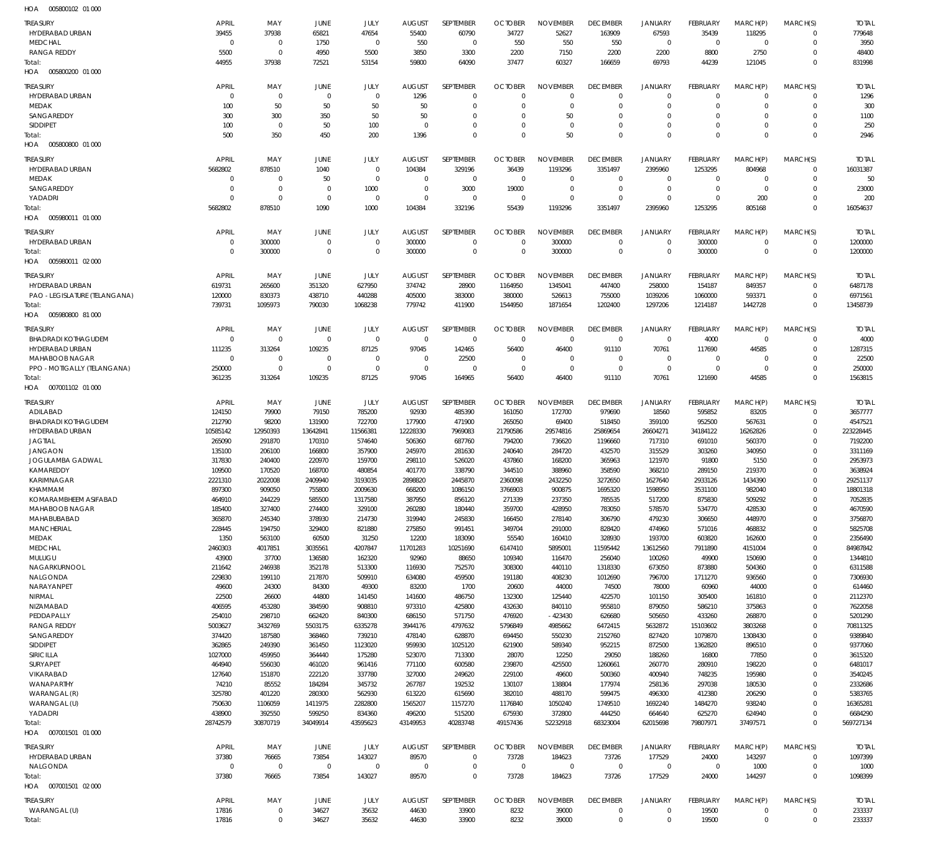| <b>TREASURY</b><br>HYDERABAD URBAN    | <b>APRIL</b><br>39455      | MAY<br>37938                     | JUNE<br>65821           | JULY<br>47654                    | <b>AUGUST</b><br>55400 | SEPTEMBER<br>60790         | <b>OCTOBER</b><br>34727    | <b>NOVEMBER</b><br>52627    | <b>DECEMBER</b><br>163909   | <b>JANUARY</b><br>67593  | <b>FEBRUARY</b><br>35439    | MARCH(P)<br>118295   | MARCH(S)<br>$\Omega$         | <b>TOTAL</b><br>779648 |
|---------------------------------------|----------------------------|----------------------------------|-------------------------|----------------------------------|------------------------|----------------------------|----------------------------|-----------------------------|-----------------------------|--------------------------|-----------------------------|----------------------|------------------------------|------------------------|
| <b>MEDCHAL</b>                        | $\Omega$                   | $\overline{0}$                   | 1750                    | $\Omega$                         | 550                    | $\Omega$                   | 550                        | 550                         | 550                         | $\Omega$                 | $\overline{0}$              | $\Omega$             | $\Omega$                     | 3950                   |
| <b>RANGA REDDY</b>                    | 5500                       | $\overline{0}$                   | 4950                    | 5500                             | 3850                   | 3300                       | 2200                       | 7150                        | 2200                        | 2200                     | 8800                        | 2750                 | $\Omega$<br>$\Omega$         | 48400                  |
| Total:<br>005800200 01 000<br>HOA     | 44955                      | 37938                            | 72521                   | 53154                            | 59800                  | 64090                      | 37477                      | 60327                       | 166659                      | 69793                    | 44239                       | 121045               |                              | 831998                 |
| <b>TREASURY</b><br>HYDERABAD URBAN    | <b>APRIL</b><br>$\Omega$   | MAY<br>$\overline{0}$            | <b>JUNE</b><br>$\Omega$ | JULY<br>$\overline{0}$           | <b>AUGUST</b><br>1296  | SEPTEMBER<br>$\mathbf{0}$  | <b>OCTOBER</b><br>$\Omega$ | <b>NOVEMBER</b><br>$\Omega$ | <b>DECEMBER</b><br>$\Omega$ | JANUARY<br>$\Omega$      | <b>FEBRUARY</b><br>$\Omega$ | MARCH(P)<br>$\Omega$ | MARCH(S)<br>$\Omega$         | <b>TOTAL</b><br>1296   |
| <b>MEDAK</b>                          | 100                        | 50                               | 50                      | 50                               | 50                     | $\mathbf{0}$               | $\Omega$                   | $\Omega$                    | $\Omega$                    | $\Omega$                 | $\Omega$                    | $\Omega$             | $\Omega$                     | 300                    |
| SANGAREDDY                            | 300                        | 300                              | 350                     | 50                               | 50                     | $\Omega$                   | $\Omega$                   | 50                          | $\Omega$                    | $\Omega$                 | $\Omega$                    | $\Omega$             | $\Omega$                     | 1100                   |
| <b>SIDDIPET</b>                       | 100                        | $\overline{0}$                   | 50                      | 100                              | $\Omega$               | $\Omega$<br>$\Omega$       | $\Omega$<br>$\Omega$       | $\Omega$                    | $\Omega$                    | $\Omega$<br>$\Omega$     | $\Omega$<br>$\Omega$        | $\Omega$<br>$\Omega$ | $\Omega$                     | 250                    |
| Total:<br>005800800 01 000<br>HOA     | 500                        | 350                              | 450                     | 200                              | 1396                   |                            |                            | 50                          | $\Omega$                    |                          |                             |                      | $\Omega$                     | 2946                   |
| <b>TREASURY</b>                       | APRIL                      | MAY                              | <b>JUNE</b>             | JULY                             | <b>AUGUST</b>          | SEPTEMBER                  | <b>OCTOBER</b>             | <b>NOVEMBER</b>             | <b>DECEMBER</b>             | JANUARY                  | FEBRUARY                    | MARCH(P)             | MARCH(S)                     | <b>TOTAI</b>           |
| <b>HYDERABAD URBAN</b>                | 5682802                    | 878510                           | 1040                    | $\Omega$                         | 104384                 | 329196                     | 36439                      | 1193296                     | 3351497                     | 2395960                  | 1253295                     | 804968               | $\Omega$                     | 16031387               |
| <b>MEDAK</b><br>SANGAREDDY            | $\overline{0}$<br>$\Omega$ | $\overline{0}$<br>$\overline{0}$ | 50<br>$\Omega$          | $\Omega$<br>1000                 | $\Omega$<br>$\Omega$   | $\Omega$<br>3000           | $\Omega$<br>19000          | $\Omega$<br>$\Omega$        | $\mathbf{0}$<br>$\Omega$    | 0<br>$\Omega$            | $\Omega$<br>$\Omega$        | $\Omega$<br>$\Omega$ | $\Omega$<br>$\Omega$         | 50<br>23000            |
| YADADRI                               | $\Omega$                   | $\Omega$                         | $\Omega$                | $\Omega$                         | $\Omega$               | $\Omega$                   | $\Omega$                   | $\Omega$                    | $\Omega$                    | $\Omega$                 | $\Omega$                    | 200                  | $\Omega$                     | 200                    |
| Total:                                | 5682802                    | 878510                           | 1090                    | 1000                             | 104384                 | 332196                     | 55439                      | 1193296                     | 3351497                     | 2395960                  | 1253295                     | 805168               | $\Omega$                     | 16054637               |
| HOA   005980011   01   000            |                            |                                  |                         |                                  |                        |                            |                            |                             |                             |                          |                             |                      |                              |                        |
| <b>TREASURY</b>                       | APRIL                      | MAY                              | <b>JUNE</b>             | JULY                             | <b>AUGUST</b>          | SEPTEMBER                  | <b>OCTOBER</b>             | <b>NOVEMBER</b>             | <b>DECEMBER</b>             | <b>JANUARY</b>           | FEBRUARY                    | MARCH(P)             | MARCH(S)                     | <b>TOTAL</b>           |
| HYDERABAD URBAN<br>Total:             | $\Omega$<br>$\Omega$       | 300000<br>300000                 | $\Omega$<br>$\Omega$    | $\overline{0}$<br>$\Omega$       | 300000<br>300000       | $\Omega$<br>$\Omega$       | $\Omega$<br>$\Omega$       | 300000<br>300000            | $\Omega$<br>$\Omega$        | $\Omega$<br>$\Omega$     | 300000<br>300000            | $\Omega$<br>$\Omega$ | $\Omega$<br>$\Omega$         | 1200000<br>1200000     |
| 005980011 02 000<br>HOA               |                            |                                  |                         |                                  |                        |                            |                            |                             |                             |                          |                             |                      |                              |                        |
| <b>TREASURY</b>                       | <b>APRIL</b>               | MAY                              | JUNE                    | JULY                             | <b>AUGUST</b>          | SEPTEMBER                  | <b>OCTOBER</b>             | <b>NOVEMBER</b>             | <b>DECEMBER</b>             | JANUARY                  | FEBRUARY                    | MARCH(P)             | MARCH(S)                     | <b>TOTAL</b>           |
| HYDERABAD URBAN                       | 619731                     | 265600                           | 351320                  | 627950                           | 374742                 | 28900                      | 1164950                    | 1345041                     | 447400                      | 258000                   | 154187                      | 849357               | $\Omega$                     | 6487178                |
| PAO - LEGISLATURE (TELANGANA)         | 120000                     | 830373                           | 438710                  | 440288                           | 405000                 | 383000                     | 380000                     | 526613                      | 755000                      | 1039206                  | 1060000                     | 593371               | $\Omega$                     | 6971561                |
| Total:<br>HOA<br>005980800 81 000     | 739731                     | 1095973                          | 790030                  | 1068238                          | 779742                 | 411900                     | 1544950                    | 1871654                     | 1202400                     | 1297206                  | 1214187                     | 1442728              | $\Omega$                     | 13458739               |
| <b>TREASURY</b>                       | <b>APRIL</b>               | MAY                              | JUNE                    | JULY                             | <b>AUGUST</b>          | SEPTEMBER                  | <b>OCTOBER</b>             | <b>NOVEMBER</b>             | <b>DECEMBER</b>             | JANUARY                  | FEBRUARY                    | MARCH(P)             | MARCH(S)                     | <b>TOTAL</b>           |
| <b>BHADRADI KOTHAGUDEM</b>            | $\Omega$                   | $\overline{0}$                   | $\Omega$                | $\overline{0}$                   | $\Omega$               | $\Omega$                   | $\Omega$                   | $\Omega$                    | $\mathbf{0}$                | $\overline{0}$           | 4000                        | $\Omega$             | $\Omega$                     | 4000                   |
| <b>HYDERABAD URBAN</b>                | 111235                     | 313264                           | 109235                  | 87125                            | 97045                  | 142465                     | 56400                      | 46400                       | 91110                       | 70761                    | 117690                      | 44585                | $\Omega$                     | 1287315                |
| <b>MAHABOOB NAGAR</b>                 | $\overline{0}$<br>250000   | $\overline{0}$<br>$\overline{0}$ | $\Omega$<br>$\Omega$    | $\overline{0}$<br>$\overline{0}$ | $\Omega$<br>$\Omega$   | 22500<br>$\Omega$          | $\Omega$<br>$\Omega$       | $\Omega$<br>$\Omega$        | $\Omega$<br>$\Omega$        | $\mathbf{0}$<br>$\Omega$ | $\Omega$<br>$\overline{0}$  | $\Omega$<br>$\Omega$ | $\Omega$<br>$\Omega$         | 22500<br>250000        |
| PPO - MOTIGALLY (TELANGANA)<br>Total: | 361235                     | 313264                           | 109235                  | 87125                            | 97045                  | 164965                     | 56400                      | 46400                       | 91110                       | 70761                    | 121690                      | 44585                | $\Omega$                     | 1563815                |
| HOA<br>007001102 01 000               |                            |                                  |                         |                                  |                        |                            |                            |                             |                             |                          |                             |                      |                              |                        |
| <b>TREASURY</b>                       | APRIL                      | MAY                              | JUNE                    | JULY                             | <b>AUGUST</b>          | SEPTEMBER                  | <b>OCTOBER</b>             | <b>NOVEMBER</b>             | <b>DECEMBER</b>             | JANUARY                  | FEBRUARY                    | MARCH(P)             | MARCH(S)                     | <b>TOTAL</b>           |
| ADILABAD                              | 124150                     | 79900                            | 79150                   | 785200                           | 92930                  | 485390                     | 161050                     | 172700                      | 979690                      | 18560                    | 595852                      | 83205                | $\Omega$                     | 3657777                |
| <b>BHADRADI KOTHAGUDEM</b>            | 212790                     | 98200                            | 131900                  | 722700                           | 177900                 | 471900                     | 265050                     | 69400                       | 518450                      | 359100                   | 952500                      | 567631               | $\Omega$                     | 4547521                |
| HYDERABAD URBAN<br><b>JAGTIAL</b>     | 10585142<br>265090         | 12950393<br>291870               | 13642841<br>170310      | 11566381<br>574640               | 12228330<br>506360     | 7969083<br>687760          | 21790586<br>794200         | 29574816<br>736620          | 25869654<br>1196660         | 26604271<br>717310       | 34184122<br>691010          | 16262826<br>560370   | $\Omega$<br>$\Omega$         | 223228445<br>7192200   |
| <b>JANGAON</b>                        | 135100                     | 206100                           | 166800                  | 357900                           | 245970                 | 281630                     | 240640                     | 284720                      | 432570                      | 315529                   | 303260                      | 340950               | $\Omega$                     | 3311169                |
| JOGULAMBA GADWAL                      | 317830                     | 240400                           | 220970                  | 159700                           | 298110                 | 526020                     | 437860                     | 168200                      | 365963                      | 121970                   | 91800                       | 5150                 |                              | 2953973                |
| KAMAREDDY<br><b>KARIMNAGAR</b>        | 109500<br>2221310          | 170520<br>2022008                | 168700<br>2409940       | 480854<br>3193035                | 401770<br>2898820      | 338790<br>2445870          | 344510<br>2360098          | 388960<br>2432250           | 358590<br>3272650           | 368210<br>1627640        | 289150<br>2933126           | 219370<br>1434390    | $\Omega$                     | 3638924<br>29251137    |
| KHAMMAM                               | 897300                     | 909050                           | 755800                  | 2009630                          | 668200                 | 1086150                    | 3766903                    | 900875                      | 1695320                     | 1598950                  | 3531100                     | 982040               | $\Omega$                     | 18801318               |
| KOMARAMBHEEM ASIFABAD                 | 464910                     | 244229                           | 585500                  | 1317580                          | 387950                 | 856120                     | 271339                     | 237350                      | 785535                      | 517200                   | 875830                      | 509292               |                              | 7052835                |
| MAHABOOB NAGAR                        | 185400                     | 327400                           | 274400                  | 329100                           | 260280                 | 180440                     | 359700                     | 428950                      | 783050                      | 578570                   | 534770                      | 428530               | $\Omega$                     | 4670590                |
| MAHABUBABAD<br>MANCHERIAL             | 365870<br>228445           | 245340<br>194750                 | 378930<br>329400        | 214730<br>821880                 | 319940<br>275850       | 245830<br>991451           | 166450<br>349704           | 278140<br>291000            | 306790<br>828420            | 479230<br>474960         | 306650<br>571016            | 448970<br>468832     | $\Omega$<br>$\Omega$         | 3756870<br>5825708     |
| MEDAK                                 | 1350                       | 563100                           | 60500                   | 31250                            | 12200                  | 183090                     | 55540                      | 160410                      | 328930                      | 193700                   | 603820                      | 162600               | $\Omega$                     | 2356490                |
| <b>MEDCHAL</b>                        | 2460303                    | 4017851                          | 3035561                 | 4207847                          | 11701283               | 10251690                   | 6147410                    | 5895001                     | 11595442                    | 13612560                 | 7911890                     | 4151004              | $\Omega$                     | 84987842               |
| MULUGU<br>NAGARKURNOOL                | 43900<br>211642            | 37700<br>246938                  | 136580<br>352178        | 162320<br>513300                 | 92960<br>116930        | 88650<br>752570            | 109340<br>308300           | 116470<br>440110            | 256040<br>1318330           | 100260<br>673050         | 49900<br>873880             | 150690<br>504360     | $\Omega$<br>$\Omega$         | 1344810<br>6311588     |
| NALGONDA                              | 229830                     | 199110                           | 217870                  | 509910                           | 634080                 | 459500                     | 191180                     | 408230                      | 1012690                     | 796700                   | 1711270                     | 936560               | $\Omega$                     | 7306930                |
| NARAYANPET                            | 49600                      | 24300                            | 84300                   | 49300                            | 83200                  | 1700                       | 20600                      | 44000                       | 74500                       | 78000                    | 60960                       | 44000                | $\Omega$                     | 614460                 |
| NIRMAL<br>NIZAMABAD                   | 22500<br>406595            | 26600<br>453280                  | 44800<br>384590         | 141450<br>908810                 | 141600<br>973310       | 486750<br>425800           | 132300<br>432630           | 125440<br>840110            | 422570<br>955810            | 101150<br>879050         | 305400<br>586210            | 161810<br>375863     | $\Omega$                     | 2112370<br>7622058     |
| PEDDAPALLY                            | 254010                     | 298710                           | 662420                  | 840300                           | 686150                 | 571750                     | 476920                     | $-423430$                   | 626680                      | 505650                   | 433260                      | 268870               | $\Omega$                     | 5201290                |
| <b>RANGA REDDY</b>                    | 5003627                    | 3432769                          | 5503175                 | 6335278                          | 3944176                | 4797632                    | 5796849                    | 4985662                     | 6472415                     | 5632872                  | 15103602                    | 3803268              | $\Omega$                     | 70811325               |
| SANGAREDDY                            | 374420                     | 187580                           | 368460                  | 739210                           | 478140                 | 628870                     | 694450                     | 550230                      | 2152760                     | 827420                   | 1079870                     | 1308430              | $\Omega$                     | 9389840                |
| SIDDIPET<br>SIRICILLA                 | 362865<br>1027000          | 249390<br>459950                 | 361450<br>364440        | 1123020<br>175280                | 959930<br>523070       | 1025120<br>713300          | 621900<br>28070            | 589340<br>12250             | 952215<br>29050             | 872500<br>188260         | 1362820<br>16800            | 896510<br>77850      | $\Omega$<br>$\Omega$         | 9377060<br>3615320     |
| SURYAPET                              | 464940                     | 556030                           | 461020                  | 961416                           | 771100                 | 600580                     | 239870                     | 425500                      | 1260661                     | 260770                   | 280910                      | 198220               | $\Omega$                     | 6481017                |
| VIKARABAD                             | 127640                     | 151870                           | 222120                  | 337780                           | 327000                 | 249620                     | 229100                     | 49600                       | 500360                      | 400940                   | 748235                      | 195980               |                              | 3540245                |
| WANAPARTHY<br>WARANGAL (R)            | 74210<br>325780            | 85552<br>401220                  | 184284<br>280300        | 345732<br>562930                 | 267787<br>613220       | 192532<br>615690           | 130107<br>382010           | 138804<br>488170            | 177974<br>599475            | 258136<br>496300         | 297038<br>412380            | 180530<br>206290     | $\Omega$                     | 2332686<br>5383765     |
| WARANGAL (U)                          | 750630                     | 1106059                          | 1411975                 | 2282800                          | 1565207                | 1157270                    | 1176840                    | 1050240                     | 1749510                     | 1692240                  | 1484270                     | 938240               | $\Omega$                     | 16365281               |
| YADADRI                               | 438900                     | 392550                           | 599250                  | 834360                           | 496200                 | 515200                     | 675930                     | 372800                      | 444250                      | 664640                   | 625270                      | 624940               |                              | 6684290                |
| Total:                                | 28742579                   | 30870719                         | 34049914                | 43595623                         | 43149953               | 40283748                   | 49157436                   | 52232918                    | 68323004                    | 62015698                 | 79807971                    | 37497571             | $\Omega$                     | 569727134              |
| HOA   007001501   01   000            |                            |                                  |                         |                                  |                        |                            |                            |                             |                             |                          |                             |                      |                              |                        |
| <b>TREASURY</b>                       | <b>APRIL</b>               | MAY                              | <b>JUNE</b>             | JULY                             | <b>AUGUST</b>          | SEPTEMBER                  | <b>OCTOBER</b>             | <b>NOVEMBER</b>             | <b>DECEMBER</b>             | JANUARY                  | FEBRUARY                    | MARCH(P)             | MARCH(S)                     | <b>TOTAL</b>           |
| HYDERABAD URBAN<br>NALGONDA           | 37380<br>$\overline{0}$    | 76665<br>$\overline{0}$          | 73854<br>$\mathbf 0$    | 143027<br>$\overline{0}$         | 89570<br>$\mathbf{0}$  | $\mathbf 0$<br>$\mathbf 0$ | 73728<br>$\overline{0}$    | 184623<br>$\mathbf 0$       | 73726<br>$\mathbf 0$        | 177529<br>$\mathbf 0$    | 24000<br>$\overline{0}$     | 143297<br>1000       | $\mathbf{0}$<br>$\mathbf{0}$ | 1097399<br>1000        |
| Total:                                | 37380                      | 76665                            | 73854                   | 143027                           | 89570                  | $\mathbf 0$                | 73728                      | 184623                      | 73726                       | 177529                   | 24000                       | 144297               | $\Omega$                     | 1098399                |
| HOA   007001501   02   000            |                            |                                  |                         |                                  |                        |                            |                            |                             |                             |                          |                             |                      |                              |                        |
| <b>TREASURY</b>                       | <b>APRIL</b>               | MAY                              | <b>JUNE</b>             | JULY                             | <b>AUGUST</b>          | SEPTEMBER                  | <b>OCTOBER</b>             | <b>NOVEMBER</b>             | <b>DECEMBER</b>             | <b>JANUARY</b>           | FEBRUARY                    | MARCH(P)             | MARCH(S)                     | <b>TOTAL</b>           |
| WARANGAL (U)                          | 17816                      | $\mathbf 0$                      | 34627                   | 35632                            | 44630                  | 33900                      | 8232                       | 39000                       | $\mathbf 0$                 | $\mathbf{0}$             | 19500                       | $\mathbf{0}$         | 0                            | 233337                 |
| Total:                                | 17816                      | $\mathbb O$                      | 34627                   | 35632                            | 44630                  | 33900                      | 8232                       | 39000                       | $\boldsymbol{0}$            | $\mathbf 0$              | 19500                       | $\mathbf 0$          | $\mathbf 0$                  | 233337                 |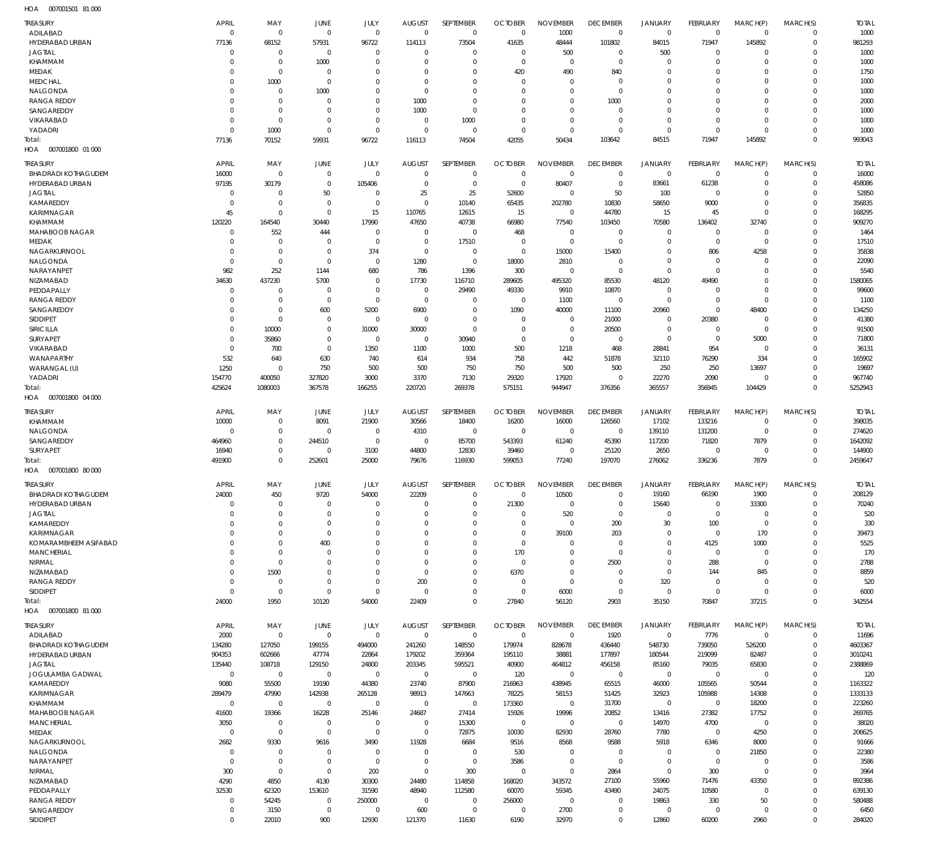007001501 81 000 HOA

| <b>TREASURY</b>                   | <b>APRIL</b>                  | MAY                              | JUNE                       | JULY                 | <b>AUGUST</b>        | SEPTEMBER               | <b>OCTOBER</b>               | <b>NOVEMBER</b>            | <b>DECEMBER</b>                  | <b>JANUARY</b>             | <b>FEBRUARY</b>            | MARCH(P)                   | MARCH(S)                | <b>TOTAL</b>       |
|-----------------------------------|-------------------------------|----------------------------------|----------------------------|----------------------|----------------------|-------------------------|------------------------------|----------------------------|----------------------------------|----------------------------|----------------------------|----------------------------|-------------------------|--------------------|
| ADILABAD                          | $\mathbf 0$                   | $\mathbf 0$                      | $\overline{0}$             | $\Omega$             | $\Omega$             | $\mathbf 0$             | $\Omega$                     | 1000                       | $\mathbf 0$                      | $\mathbf 0$                | $\mathbf 0$                | $\mathbf 0$                | $\Omega$                | 1000               |
| HYDERABAD URBAN                   | 77136                         | 68152                            | 57931                      | 96722                | 114113               | 73504                   | 41635                        | 48444                      | 101802                           | 84015                      | 71947                      | 145892                     | $\mathbf 0$             | 981293             |
| <b>JAGTIAL</b>                    | $\overline{0}$                | $\overline{0}$                   | $^{\circ}$                 | $\Omega$             | $\Omega$             | $\Omega$                | $\Omega$                     | 500                        | $\overline{0}$                   | 500                        | $\Omega$                   | O                          | $\Omega$                | 1000               |
| KHAMMAM                           | $\mathbf 0$                   | $\overline{0}$                   | 1000                       | $\Omega$             | $\Omega$             | $\Omega$                | $\Omega$                     | $\Omega$                   | $\Omega$                         | $\mathbf 0$                | $\Omega$                   | $\Omega$                   | $\Omega$                | 1000               |
| <b>MEDAK</b>                      | $\Omega$                      | $\mathbf 0$                      | $\Omega$                   | $\Omega$             | $\Omega$             | $\Omega$                | 420                          | 490                        | 840                              | $\mathbf 0$                | $\Omega$                   | $\Omega$                   | $\Omega$                | 1750               |
| MEDCHAL                           | $\Omega$                      | 1000                             | $\Omega$                   | $\Omega$             | $\Omega$             | $\Omega$                | $\Omega$                     | $\Omega$                   | $\Omega$                         | $\Omega$                   | $\Omega$                   | $\Omega$                   | $\Omega$                | 1000               |
| NALGONDA<br><b>RANGA REDDY</b>    | $\Omega$<br>$\Omega$          | $\overline{0}$<br>$\overline{0}$ | 1000<br>$\Omega$           | $\Omega$<br>$\Omega$ | $\Omega$<br>1000     | $\Omega$<br>$\Omega$    | $\Omega$<br>$\Omega$         | $\Omega$<br>$\Omega$       | $\Omega$<br>1000                 | $\Omega$<br>$\Omega$       | $\cup$<br>$\Omega$         | $\Omega$<br>$\Omega$       | $\Omega$<br>$\Omega$    | 1000<br>2000       |
| SANGAREDDY                        | $\Omega$                      | $\overline{0}$                   | $\Omega$                   | $\Omega$             | 1000                 | $\Omega$                | $\Omega$                     | $\Omega$                   | $\Omega$                         | $\Omega$                   | $\Omega$                   | $\Omega$                   | $\Omega$                | 1000               |
| VIKARABAD                         | $\Omega$                      | $\overline{0}$                   | $\Omega$                   | $\Omega$             | $\Omega$             | 1000                    | $\Omega$                     | $\Omega$                   | $\Omega$                         | $\mathbf 0$                | $\Omega$                   | $\Omega$                   | $\Omega$                | 1000               |
| YADADRI                           | $\mathbf 0$                   | 1000                             | $\Omega$                   | $\Omega$             | $\Omega$             | $\mathbf 0$             | $\mathbf{0}$                 | $\Omega$                   | $\Omega$                         | $\mathbf 0$                | $\Omega$                   | $\Omega$                   | $\Omega$                | 1000               |
| Total:                            | 77136                         | 70152                            | 59931                      | 96722                | 116113               | 74504                   | 42055                        | 50434                      | 103642                           | 84515                      | 71947                      | 145892                     | $\Omega$                | 993043             |
| HOA 007001800 01 000              |                               |                                  |                            |                      |                      |                         |                              |                            |                                  |                            |                            |                            |                         |                    |
| <b>TREASURY</b>                   | <b>APRIL</b>                  | MAY                              | JUNE                       | JULY                 | <b>AUGUST</b>        | SEPTEMBER               | <b>OCTOBER</b>               | <b>NOVEMBER</b>            | <b>DECEMBER</b>                  | <b>JANUARY</b>             | <b>FEBRUARY</b>            | MARCH(P)                   | MARCH(S)                | <b>TOTAL</b>       |
| <b>BHADRADI KOTHAGUDEM</b>        | 16000                         | $\overline{0}$                   | $\overline{0}$             | $\Omega$             | $\Omega$             | $\mathbf 0$             | $\overline{0}$               | $\mathbf 0$                | $\mathbf 0$                      | $\mathbf 0$                | $\mathbf 0$                | $\mathbf 0$                | $\mathbf 0$             | 16000              |
| HYDERABAD URBAN                   | 97195                         | 30179                            | $\overline{0}$             | 105406               | $\Omega$             | $\mathbf 0$             | $\overline{0}$               | 80407                      | $\overline{0}$                   | 83661                      | 61238                      | $\mathbf 0$                | $\mathbf 0$             | 458086             |
| <b>JAGTIAL</b>                    | $\overline{0}$                | $\overline{0}$                   | 50                         | $\Omega$             | 25                   | 25                      | 52600                        | $\mathbf 0$                | 50                               | 100                        | $\mathbf 0$                | $\mathbf 0$                | $\Omega$                | 52850              |
| KAMAREDDY                         | $\overline{0}$                | $\overline{0}$                   | $\Omega$                   | $\mathbf 0$          | $\mathbf 0$          | 10140                   | 65435                        | 202780                     | 10830                            | 58650                      | 9000                       | $\mathbf 0$                | $\Omega$                | 356835             |
| KARIMNAGAR                        | 45                            | $\overline{0}$                   | $\Omega$                   | 15                   | 110765               | 12615                   | 15                           | $\mathbf 0$                | 44780                            | 15                         | 45                         | $\mathbf 0$                | $\Omega$                | 168295             |
| KHAMMAM                           | 120220                        | 164540                           | 30440                      | 17990                | 47650                | 40738                   | 66980                        | 77540                      | 103450                           | 70580                      | 136402                     | 32740                      | $\Omega$                | 909270             |
| MAHABOOB NAGAR<br><b>MEDAK</b>    | $\overline{0}$<br>$\mathbf 0$ | 552<br>$\overline{0}$            | 444<br>$\Omega$            | $\Omega$<br>$\Omega$ | $\Omega$<br>$\Omega$ | $\mathbf 0$<br>17510    | 468<br>$\overline{0}$        | $\mathbf 0$<br>$\mathbf 0$ | $\overline{0}$<br>$\overline{0}$ | $\mathbf 0$<br>$\mathbf 0$ | $\mathbf 0$<br>$\mathbf 0$ | $\mathbf 0$<br>$\mathbf 0$ | $\Omega$<br>$\Omega$    | 1464<br>17510      |
| NAGARKURNOOL                      | $\mathbf 0$                   | $\overline{0}$                   | $\overline{0}$             | 374                  | 0                    | $\mathbf 0$             | $\mathbf 0$                  | 15000                      | 15400                            | $\mathbf 0$                | 806                        | 4258                       | $\Omega$                | 35838              |
| NALGONDA                          | $\overline{0}$                | $\overline{0}$                   | $\Omega$                   | $\Omega$             | 1280                 | $\mathbf 0$             | 18000                        | 2810                       | $\mathbf 0$                      | $\mathbf 0$                | $\mathbf 0$                | $\Omega$                   | $\Omega$                | 22090              |
| NARAYANPET                        | 982                           | 252                              | 1144                       | 680                  | 786                  | 1396                    | 300                          | $\mathbf 0$                | $\overline{0}$                   | $\mathbf 0$                | $\Omega$                   | $\Omega$                   | $\Omega$                | 5540               |
| NIZAMABAD                         | 34630                         | 437230                           | 5700                       | $\Omega$             | 17730                | 116710                  | 289605                       | 495320                     | 85530                            | 48120                      | 49490                      | $\Omega$                   | $\Omega$                | 1580065            |
| PEDDAPALLY                        | $\overline{0}$                | $\overline{0}$                   | $^{\circ}$                 | $\Omega$             | $\mathbf 0$          | 29490                   | 49330                        | 9910                       | 10870                            | 0                          | $\mathbf 0$                | $\mathbf 0$                | $\Omega$                | 99600              |
| <b>RANGA REDDY</b>                | $\mathbf 0$                   | $\overline{0}$                   | $\overline{0}$             | $\Omega$             | $\mathbf 0$          | $\mathbf 0$             | $\overline{0}$               | 1100                       | $\overline{0}$                   | $\mathbf 0$                | $\mathbf 0$                | $\mathbf 0$                | $\Omega$                | 1100               |
| SANGAREDDY                        | $\Omega$                      | $\overline{0}$                   | 600                        | 5200                 | 6900                 | $\mathbf 0$             | 1090                         | 40000                      | 11100                            | 20960                      | $\mathbf 0$                | 48400                      | $\Omega$                | 134250             |
| <b>SIDDIPET</b>                   | $\mathbf 0$                   | $\overline{0}$                   | $^{\circ}$                 | $\Omega$             | $\mathbf 0$          | $\mathbf 0$             | $\overline{0}$               | $\mathbf 0$                | 21000                            | 0                          | 20380                      | $\mathbf 0$                | $\Omega$                | 41380              |
| SIRICILLA<br>SURYAPET             | $\Omega$<br>$\Omega$          | 10000<br>35860                   | $\Omega$<br>$\Omega$       | 31000<br>$\mathbf 0$ | 30000<br>$\mathbf 0$ | $\Omega$<br>30940       | $\mathbf{0}$<br>$\mathbf{0}$ | $\mathbf 0$<br>$\mathbf 0$ | 20500<br>$\mathbf 0$             | $\mathbf 0$<br>$\mathbf 0$ | $\mathbf 0$<br>$\mathbf 0$ | $\mathbf 0$<br>5000        | $\Omega$<br>$\Omega$    | 91500<br>71800     |
| VIKARABAD                         | $\Omega$                      | 700                              | $\Omega$                   | 1350                 | 1100                 | 1000                    | 500                          | 1218                       | 468                              | 28841                      | 954                        | $\mathbf 0$                | $\Omega$                | 36131              |
| WANAPARTHY                        | 532                           | 640                              | 630                        | 740                  | 614                  | 934                     | 758                          | 442                        | 51878                            | 32110                      | 76290                      | 334                        | $\Omega$                | 165902             |
| WARANGAL (U)                      | 1250                          | $\overline{0}$                   | 750                        | 500                  | 500                  | 750                     | 750                          | 500                        | 500                              | 250                        | 250                        | 13697                      | $\Omega$                | 19697              |
| YADADRI                           | 154770                        | 400050                           | 327820                     | 3000                 | 3370                 | 7130                    | 29320                        | 17920                      | $\overline{0}$                   | 22270                      | 2090                       | $\mathbf 0$                | $\Omega$                | 967740             |
| Total:                            | 425624                        | 1080003                          | 367578                     | 166255               | 220720               | 269378                  | 575151                       | 944947                     | 376356                           | 365557                     | 356945                     | 104429                     | $\mathbf 0$             | 5252943            |
| HOA  007001800  04  000           |                               |                                  |                            |                      |                      |                         |                              |                            |                                  |                            |                            |                            |                         |                    |
| <b>TREASURY</b>                   | <b>APRIL</b>                  | MAY                              | <b>JUNE</b>                | JULY                 | <b>AUGUST</b>        | SEPTEMBER               | <b>OCTOBER</b>               | <b>NOVEMBER</b>            | <b>DECEMBER</b>                  | <b>JANUARY</b>             | <b>FEBRUARY</b>            | MARCH(P)                   | MARCH(S)                | <b>TOTAL</b>       |
| KHAMMAM                           | 10000                         | $\overline{0}$                   | 8091                       | 21900                | 30566                | 18400                   | 16200                        | 16000                      | 126560                           | 17102                      | 133216                     | $\mathbf 0$                | $\Omega$                | 398035             |
| NALGONDA                          | $\Omega$                      | $\overline{0}$                   | $\Omega$                   | $\mathbf 0$          | 4310                 | $\mathbf 0$             | $\overline{0}$               | $\mathbf 0$                | $\mathbf 0$                      | 139110                     | 131200                     | $\mathbf 0$                | $\mathbf 0$             | 274620             |
| SANGAREDDY                        | 464960                        | $\overline{0}$                   | 244510                     | $\mathbf 0$          | $\Omega$             | 85700                   | 543393                       | 61240                      | 45390                            | 117200                     | 71820                      | 7879                       | 0                       | 1642092            |
| SURYAPET                          | 16940                         | $\mathbf 0$                      | $\Omega$                   | 3100                 | 44800                | 12830                   | 39460                        | $\mathbf 0$                | 25120                            | 2650                       | $\Omega$                   | $\Omega$                   | $\Omega$                | 144900             |
| Total:                            | 491900                        | $\mathbf 0$                      | 252601                     | 25000                | 79676                | 116930                  | 599053                       | 77240                      | 197070                           | 276062                     | 336236                     | 7879                       | $\Omega$                | 2459647            |
| HOA  007001800  80  000           |                               |                                  |                            |                      |                      |                         |                              |                            |                                  |                            |                            |                            |                         |                    |
| <b>TREASURY</b>                   | <b>APRIL</b>                  | MAY                              | JUNE                       | JULY                 | <b>AUGUST</b>        | SEPTEMBER               | <b>OCTOBER</b>               | <b>NOVEMBER</b>            | <b>DECEMBER</b>                  | <b>JANUARY</b>             | <b>FEBRUARY</b>            | MARCH(P)                   | MARCH(S)                | Total              |
| <b>BHADRADI KOTHAGUDEM</b>        | 24000                         | 450                              | 9720                       | 54000                | 22209                | $\Omega$                | $\Omega$                     | 10500                      | $\Omega$                         | 19160                      | 66190                      | 1900                       | $\Omega$                | 208129             |
| HYDERABAD URBAN                   | $^{\circ}$                    | $\overline{0}$                   | $\overline{0}$             | $\Omega$             | $\Omega$             | $\Omega$                | 21300                        | $\mathbf 0$                | $\mathbf 0$                      | 15640                      | $\mathbf 0$                | 33300                      | $\mathbf 0$             | 70240              |
| <b>JAGTIAL</b>                    | $^{\circ}$<br>$\mathbf 0$     | $\mathbf 0$<br>$\mathbf 0$       | $\Omega$<br>$\overline{0}$ | $\Omega$<br>$\Omega$ | $\Omega$<br>$\Omega$ | $\mathbf 0$<br>$\Omega$ | $\Omega$                     | 520<br>$\mathbf 0$         | $\mathbf 0$                      | $\mathbf 0$                | $\mathbf 0$                | $\mathbf 0$<br>$\mathbf 0$ | $\mathbf 0$<br>$\Omega$ | 520                |
| KAMAREDDY<br>KARIMNAGAR           | $\mathbf 0$                   | $\mathbf 0$                      | $\Omega$                   | $\Omega$             | $\Omega$             | $\Omega$                | $\mathbf 0$<br>$\mathbf{0}$  | 39100                      | 200<br>203                       | 30<br>0                    | 100<br>$\mathbf 0$         | 170                        | $\mathbf 0$             | 330<br>39473       |
| KOMARAMBHEEM ASIFABAD             | $\Omega$                      | $\overline{0}$                   | 400                        | $\Omega$             | $\Omega$             | $\Omega$                | $\mathbf 0$                  | $\mathbf 0$                | $\mathbf 0$                      | $\mathbf 0$                | 4125                       | 1000                       | $\Omega$                | 5525               |
| <b>MANCHERIAL</b>                 | $\mathbf 0$                   | $\overline{0}$                   | $\Omega$                   | $\Omega$             | $\Omega$             | $\Omega$                | 170                          | $\mathbf 0$                | $\mathbf 0$                      | $\mathbf 0$                | $\mathbf 0$                | $\mathbf 0$                | $\Omega$                | 170                |
| NIRMAL                            | $\mathbf 0$                   | $\overline{0}$                   | $\Omega$                   | $\Omega$             | $\Omega$             | $\Omega$                | $\mathbf 0$                  | $\mathbf 0$                | 2500                             | $\mathbf 0$                | 288                        | $\mathbf 0$                | $\Omega$                | 2788               |
| NIZAMABAD                         | $\mathbf 0$                   | 1500                             | $\Omega$                   | $\Omega$             | $\Omega$             | $\mathbf 0$             | 6370                         | $\mathbf 0$                | $\mathbf 0$                      | $\mathbf 0$                | 144                        | 845                        | $\Omega$                | 8859               |
| <b>RANGA REDDY</b>                | $\mathbf 0$                   | $\mathbf 0$                      | $\overline{0}$             | $\Omega$             | 200                  | $\Omega$                | $\overline{0}$               | $\mathbf 0$                | $\mathbf 0$                      | 320                        | $\mathbf 0$                | $\mathbf 0$                | $\Omega$                | 520                |
| SIDDIPET                          | $\mathbf 0$                   | $\mathbb O$                      | $\Omega$                   | $\Omega$             | $\Omega$             | $\Omega$                | $\Omega$                     | 6000                       | $\mathbf 0$                      | $\mathbf 0$                | $\mathbf 0$                | $\mathbf 0$                | $\mathbf 0$             | 6000               |
| Total:<br>HOA  007001800  81  000 | 24000                         | 1950                             | 10120                      | 54000                | 22409                | $\Omega$                | 27840                        | 56120                      | 2903                             | 35150                      | 70847                      | 37215                      | $\mathbf 0$             | 342554             |
|                                   |                               |                                  |                            |                      |                      |                         |                              |                            |                                  |                            |                            |                            |                         |                    |
| <b>TREASURY</b>                   | <b>APRIL</b>                  | MAY                              | <b>JUNE</b>                | JULY                 | <b>AUGUST</b>        | SEPTEMBER               | <b>OCTOBER</b>               | <b>NOVEMBER</b>            | <b>DECEMBER</b>                  | <b>JANUARY</b>             | <b>FEBRUARY</b>            | MARCH(P)                   | MARCH(S)                | <b>TOTAL</b>       |
| ADILABAD                          | 2000                          | $\overline{0}$                   | $\mathbf 0$                | $\Omega$             | $\overline{0}$       | $\mathbf 0$             | $\mathbf 0$                  | $\mathbf 0$                | 1920                             | $\mathbf 0$                | 7776                       | $\mathbf 0$                | $\mathbf 0$             | 11696              |
| <b>BHADRADI KOTHAGUDEM</b>        | 134280                        | 127050                           | 199155<br>47774            | 494000<br>22864      | 241260<br>179202     | 148550<br>359364        | 179974<br>195110             | 828678<br>38881            | 436440<br>177897                 | 548730<br>180544           | 739050<br>219099           | 526200<br>82487            | $\mathbf 0$<br>$\Omega$ | 4603367<br>3010241 |
| HYDERABAD URBAN<br><b>JAGTIAL</b> | 904353<br>135440              | 602666<br>108718                 | 129150                     | 24800                | 203345               | 595521                  | 40900                        | 464812                     | 456158                           | 85160                      | 79035                      | 65830                      | $\Omega$                | 2388869            |
| JOGULAMBA GADWAL                  | $\mathbf 0$                   | $\overline{0}$                   | $\overline{0}$             | $\mathbf 0$          | $\mathbf 0$          | $\mathbf 0$             | 120                          | $\mathbf 0$                | $\mathbf 0$                      | $\mathbf 0$                | $\mathbf 0$                | $\mathbf 0$                | $\Omega$                | 120                |
| KAMAREDDY                         | 9080                          | 55500                            | 19190                      | 44380                | 23740                | 87900                   | 216963                       | 438945                     | 65515                            | 46000                      | 105565                     | 50544                      | $\Omega$                | 1163322            |
| <b>KARIMNAGAR</b>                 | 289479                        | 47990                            | 142938                     | 265128               | 98913                | 147663                  | 78225                        | 58153                      | 51425                            | 32923                      | 105988                     | 14308                      | $\Omega$                | 1333133            |
| KHAMMAM                           | $\mathbf 0$                   | $\overline{0}$                   | $\overline{0}$             | $\mathbf{0}$         | $\Omega$             | $\mathbf 0$             | 173360                       | $\mathbf 0$                | 31700                            | $\mathbf 0$                | $\mathbf 0$                | 18200                      | $\Omega$                | 223260             |
| MAHABOOB NAGAR                    | 41600                         | 19366                            | 16228                      | 25146                | 24687                | 27414                   | 15926                        | 19996                      | 20852                            | 13416                      | 27382                      | 17752                      | $\Omega$                | 269765             |
| <b>MANCHERIAL</b>                 | 3050                          | $\overline{0}$                   | $\overline{0}$             | $\Omega$             | $\Omega$             | 15300                   | $\mathbf 0$                  | $\mathbf 0$                | $\mathbf 0$                      | 14970                      | 4700                       | $\mathbf 0$                | $\Omega$                | 38020              |
| MEDAK                             | $\mathbf 0$                   | $\overline{0}$                   | $\Omega$                   | $\Omega$             | $\Omega$             | 72875                   | 10030                        | 82930                      | 28760                            | 7780                       | $\mathbf 0$                | 4250                       | $\Omega$                | 206625             |
| NAGARKURNOOL                      | 2682                          | 9330                             | 9616                       | 3490<br>$\Omega$     | 11928<br>$\Omega$    | 6684<br>$\mathbf 0$     | 9516<br>530                  | 8568<br>$\mathbf{0}$       | 9588<br>$\mathbf 0$              | 5918<br>$\mathbf 0$        | 6346<br>$\mathbf 0$        | 8000<br>21850              | $\Omega$<br>$\Omega$    | 91666<br>22380     |
|                                   |                               |                                  |                            |                      |                      |                         |                              |                            |                                  |                            |                            |                            |                         |                    |
| NALGONDA                          | $\mathbf 0$                   | $\mathbf 0$                      | $\Omega$                   | $\Omega$             | $\Omega$             |                         |                              |                            |                                  |                            |                            |                            | $\Omega$                |                    |
| NARAYANPET<br>NIRMAL              | $\mathbf 0$<br>300            | $\mathbf 0$<br>$\overline{0}$    | $\overline{0}$<br>$\Omega$ | 200                  | $\Omega$             | $\mathbf 0$<br>300      | 3586<br>$\mathbf 0$          | $\mathbf 0$<br>$\Omega$    | $\overline{0}$<br>2864           | $\mathbf 0$<br>$\mathbf 0$ | $\mathbf 0$<br>300         | $\mathbf 0$<br>$\mathbf 0$ | $\Omega$                | 3586<br>3964       |
| NIZAMABAD                         | 4290                          | 4850                             | 4130                       | 30300                | 24480                | 114858                  | 168020                       | 343572                     | 27100                            | 55960                      | 71476                      | 43350                      | $\Omega$                | 892386             |
| PEDDAPALLY                        | 32530                         | 62320                            | 153610                     | 31590                | 48940                | 112580                  | 60070                        | 59345                      | 43490                            | 24075                      | 10580                      | $\mathbf 0$                | $\Omega$                | 639130             |
| <b>RANGA REDDY</b>                | $\mathbf 0$                   | 54245                            | $\mathbf 0$                | 250000               | $\mathbf 0$          | $\mathbf 0$             | 256000                       | $\mathbf 0$                | $\mathbf 0$                      | 19863                      | 330                        | 50                         | $\Omega$                | 580488             |
| SANGAREDDY<br>SIDDIPET            | $\mathbf 0$<br>$\mathbf 0$    | 3150<br>22010                    | $\mathbf 0$<br>900         | 0<br>12930           | 600<br>121370        | $\mathbf 0$<br>11630    | $\mathbf{0}$<br>6190         | 2700<br>32970              | $\mathbf 0$<br>$\mathbf 0$       | $\mathbf 0$<br>12860       | $\mathbf 0$<br>60200       | $\mathbf 0$<br>2960        | 0<br>$\mathbf 0$        | 6450<br>284020     |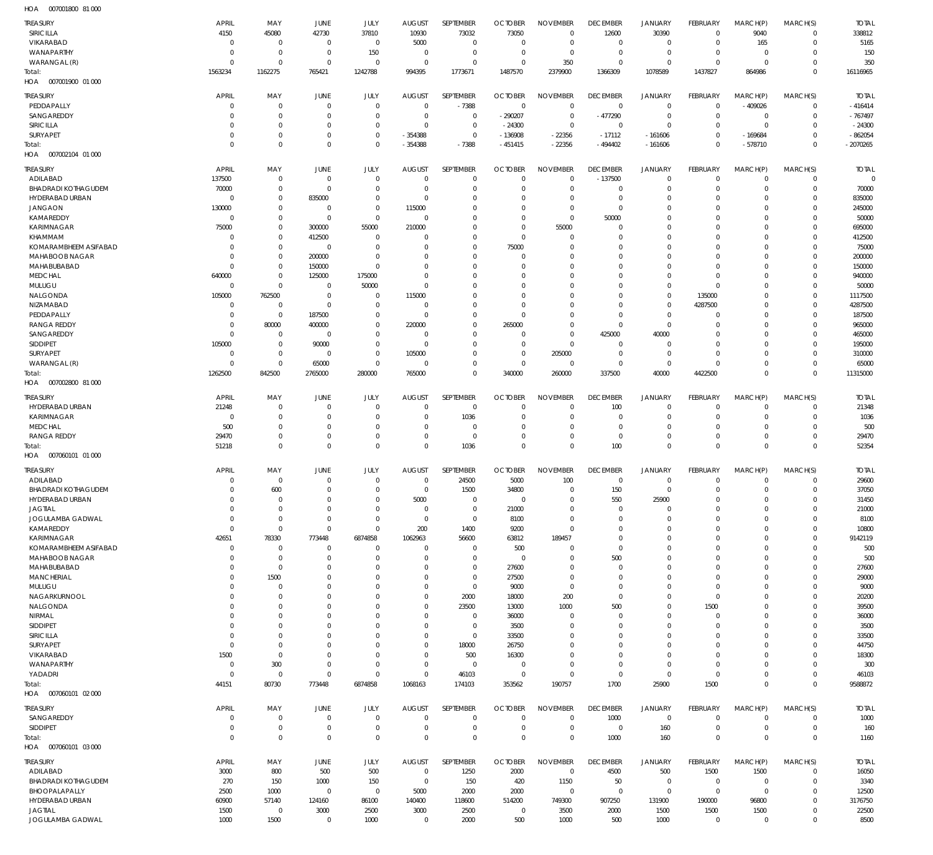007001800 81 000 HOA

| <b>TREASURY</b>                               | <b>APRIL</b>         | MAY                        | JUNE                 | JULY                 | <b>AUGUST</b>        | SEPTEMBER                      | <b>OCTOBER</b>           | <b>NOVEMBER</b>            | <b>DECEMBER</b>           | <b>JANUARY</b>             | FEBRUARY                   | MARCH(P)             | MARCH(S)             | <b>TOTAL</b>          |
|-----------------------------------------------|----------------------|----------------------------|----------------------|----------------------|----------------------|--------------------------------|--------------------------|----------------------------|---------------------------|----------------------------|----------------------------|----------------------|----------------------|-----------------------|
| SIRICILLA                                     | 4150                 | 45080                      | 42730                | 37810                | 10930                | 73032                          | 73050                    | $\Omega$                   | 12600                     | 30390                      | $\Omega$                   | 9040                 | $\Omega$             | 338812                |
| VIKARABAD                                     | $\Omega$             | $\Omega$                   | $\Omega$             | $\Omega$             | 5000                 | $\Omega$                       | $\Omega$                 | $\Omega$                   | $\Omega$                  | $\Omega$                   | $\Omega$                   | 165                  | $\Omega$             | 5165                  |
| WANAPARTHY<br>WARANGAL (R)                    | $\Omega$<br>$\Omega$ | $\mathbf 0$<br>$\Omega$    | $\Omega$<br>$\Omega$ | 150<br>$\Omega$      | $\Omega$<br>$\Omega$ | $\mathbf{0}$<br>$\Omega$       | $\Omega$<br>$\Omega$     | $\Omega$<br>350            | $\Omega$<br>$\Omega$      | $\mathbf{0}$<br>$\Omega$   | $\Omega$<br>$\Omega$       | $\Omega$<br>$\Omega$ | $\Omega$<br>$\Omega$ | 150<br>350            |
| Total:                                        | 1563234              | 1162275                    | 765421               | 1242788              | 994395               | 1773671                        | 1487570                  | 2379900                    | 1366309                   | 1078589                    | 1437827                    | 864986               | $\Omega$             | 16116965              |
| HOA  007001900  01  000                       |                      |                            |                      |                      |                      |                                |                          |                            |                           |                            |                            |                      |                      |                       |
| <b>TREASURY</b>                               | APRIL                | MAY                        | JUNE                 | JULY                 | <b>AUGUST</b>        | SEPTEMBER                      | <b>OCTOBER</b>           | <b>NOVEMBER</b>            | <b>DECEMBER</b>           | <b>JANUARY</b>             | FEBRUARY                   | MARCH(P)             | MARCH(S)             | <b>TOTAL</b>          |
| PEDDAPALLY                                    | $\Omega$             | $\mathbf 0$                | $\Omega$             | $\mathbf{0}$         | $\mathbf{0}$         | $-7388$                        | $\overline{0}$           | $\mathbf{0}$               | $\mathbf 0$               | $\mathbf{0}$               | $\Omega$                   | $-409026$            | $\Omega$             | $-416414$             |
| SANGAREDDY<br>SIRICILLA                       |                      | $\mathbf 0$<br>$\mathbf 0$ | $\Omega$<br>$\Omega$ | $\Omega$<br>$\Omega$ | $\Omega$<br>$\Omega$ | $\mathbf{0}$<br>$\mathbf 0$    | $-290207$<br>$-24300$    | $\mathbf 0$<br>$\mathbf 0$ | $-477290$<br>$\mathbf{0}$ | $\mathbf 0$<br>$\Omega$    | $\Omega$<br>$\Omega$       | $\Omega$<br>$\Omega$ | $\Omega$<br>$\Omega$ | $-767497$<br>$-24300$ |
| SURYAPET                                      |                      | $\mathbf 0$                | $\Omega$             | $\Omega$             | $-354388$            | $\mathbf{0}$                   | $-136908$                | $-22356$                   | $-17112$                  | $-161606$                  | $\Omega$                   | $-169684$            |                      | $-862054$             |
| Total:                                        | $\Omega$             | $\mathbf 0$                | $\Omega$             | $\Omega$             | $-354388$            | $-7388$                        | $-451415$                | $-22356$                   | $-494402$                 | $-161606$                  | $\Omega$                   | $-578710$            | $\Omega$             | $-2070265$            |
| 007002104 01 000<br>HOA                       |                      |                            |                      |                      |                      |                                |                          |                            |                           |                            |                            |                      |                      |                       |
| <b>TREASURY</b>                               | APRIL                | MAY                        | JUNE                 | JULY                 | <b>AUGUST</b>        | SEPTEMBER                      | <b>OCTOBER</b>           | <b>NOVEMBER</b>            | <b>DECEMBER</b>           | <b>JANUARY</b>             | FEBRUARY                   | MARCH(P)             | MARCH(S)             | <b>TOTAL</b>          |
| ADILABAD                                      | 137500               | $\mathbf 0$                | $\Omega$             | $\Omega$             | $\Omega$             | $\Omega$                       | $\Omega$                 | $\Omega$                   | $-137500$                 | $\mathbf{0}$               | $\Omega$                   | $\Omega$             | $\Omega$             | $\Omega$              |
| <b>BHADRADI KOTHAGUDEM</b><br>HYDERABAD URBAN | 70000<br>$\cup$      | $\mathbf 0$<br>$\mathbf 0$ | $\Omega$<br>835000   | $\Omega$<br>$\Omega$ | $\Omega$<br>$\Omega$ | $\mathbf{0}$<br>$\Omega$       | $\Omega$<br>$\Omega$     | $\Omega$<br>$\Omega$       | $\Omega$<br>$\Omega$      | 0<br>$\Omega$              | $\Omega$                   | $\Omega$<br>$\Omega$ | $\Omega$<br>$\Omega$ | 70000<br>835000       |
| <b>JANGAON</b>                                | 130000               | $\mathbf 0$                | $\Omega$             | $\mathbf{0}$         | 115000               | $\Omega$                       |                          | $\Omega$                   | $\Omega$                  | $\Omega$                   |                            | $\Omega$             | $\Omega$             | 245000                |
| KAMAREDDY                                     | $\Omega$             | $\mathbf 0$                | $\Omega$             | $\Omega$             | $\Omega$             | $\Omega$                       | $\Omega$                 | $\Omega$                   | 50000                     | $\Omega$                   |                            | $\Omega$             | $\Omega$             | 50000                 |
| <b>KARIMNAGAR</b>                             | 75000                | $\mathbf 0$                | 300000               | 55000                | 210000               | $\Omega$                       | $\Omega$                 | 55000                      | $\Omega$                  | $\Omega$                   |                            | $\Omega$             | $\Omega$             | 695000                |
| <b>KHAMMAM</b><br>KOMARAMBHEEM ASIFABAD       | $\Omega$<br>$\Omega$ | $\mathbf 0$<br>$\mathbf 0$ | 412500<br>$\Omega$   | $\Omega$<br>$\Omega$ | $\Omega$             | $\Omega$<br>$\Omega$           | $\Omega$<br>75000        | $\Omega$<br>$\Omega$       | $\Omega$<br>$\Omega$      | $\Omega$<br>$\Omega$       |                            | $\Omega$<br>$\Omega$ | $\Omega$<br>$\Omega$ | 412500<br>75000       |
| MAHABOOB NAGAR                                | $\Omega$             | $\mathbf 0$                | 200000               | $\Omega$             | $\Omega$             | $\Omega$                       | $\Omega$                 | $\Omega$                   | $\Omega$                  | $\Omega$                   |                            | $\Omega$             | $\Omega$             | 200000                |
| MAHABUBABAD                                   | $\Omega$             | $\mathbf 0$                | 150000               | $\Omega$             | $\Omega$             | $\Omega$                       | $\Omega$                 | $\Omega$                   | $\Omega$                  | $\Omega$                   |                            | $\Omega$             | $\Omega$             | 150000                |
| <b>MEDCHAL</b>                                | 640000               | $\mathbf 0$                | 125000               | 175000               | $\Omega$             | $\Omega$                       | $\Omega$                 | $\Omega$                   | $\Omega$                  | $\Omega$                   | $\Omega$                   | $\Omega$             | $\Omega$             | 940000                |
| MULUGU<br>NALGONDA                            | $\Omega$<br>105000   | $\mathbf 0$<br>762500      | $\Omega$<br>$\Omega$ | 50000<br>$\Omega$    | $\Omega$<br>115000   | $\Omega$<br>$\Omega$           | $\Omega$                 | $\Omega$<br>$\Omega$       | $\Omega$<br>$\Omega$      | $\Omega$<br>$\Omega$       | $\Omega$<br>135000         | $\Omega$<br>$\Omega$ | $\Omega$<br>$\Omega$ | 50000<br>1117500      |
| NIZAMABAD                                     | $\Omega$             | $\mathbf 0$                | $\Omega$             | $\mathbf{0}$         | $\Omega$             | $\Omega$                       | $\Omega$                 | $\Omega$                   | $\Omega$                  | $\mathbf{0}$               | 4287500                    | $\Omega$             | $\Omega$             | 4287500               |
| PEDDAPALLY                                    | $\Omega$             | $\Omega$                   | 187500               | $\Omega$             | $\Omega$             | $\Omega$                       | $\cap$                   | $\Omega$                   | $\Omega$                  | $\Omega$                   | - 0                        | $\Omega$             |                      | 187500                |
| <b>RANGA REDDY</b>                            |                      | 80000                      | 400000               | $\Omega$             | 220000               | $\Omega$                       | 265000                   | $\Omega$                   | $\Omega$                  | $\mathbf{0}$               |                            | $\Omega$             |                      | 965000                |
| SANGAREDDY<br><b>SIDDIPET</b>                 | $\Omega$<br>105000   | $\mathbf 0$<br>$\mathbf 0$ | $\Omega$<br>90000    | $\Omega$<br>$\Omega$ | $\Omega$<br>$\Omega$ | $\Omega$<br>$\Omega$           | $\Omega$<br>$\Omega$     | $\Omega$<br>$\Omega$       | 425000<br>$\Omega$        | 40000<br>$\Omega$          |                            | $\Omega$<br>$\Omega$ | $\Omega$<br>$\Omega$ | 465000<br>195000      |
| SURYAPET                                      | $\Omega$             | $\mathbf 0$                | $\Omega$             | $\Omega$             | 105000               | $\Omega$                       | $\Omega$                 | 205000                     | $\Omega$                  | $\Omega$                   | $\Omega$                   | $\Omega$             | $\Omega$             | 310000                |
| WARANGAL (R)                                  | $\Omega$             | $\overline{0}$             | 65000                | $\Omega$             | $\Omega$             | $\Omega$                       | $\Omega$                 | $\Omega$                   | $\Omega$                  | $\mathbf 0$                | $\Omega$                   | $\Omega$             | $\Omega$             | 65000                 |
| Total:                                        | 1262500              | 842500                     | 2765000              | 280000               | 765000               | $\Omega$                       | 340000                   | 260000                     | 337500                    | 40000                      | 4422500                    | $\Omega$             | $\Omega$             | 11315000              |
| 007002800 81 000<br>HOA                       |                      |                            |                      |                      |                      |                                |                          |                            |                           |                            |                            |                      |                      |                       |
| <b>TREASURY</b>                               | <b>APRIL</b>         | MAY                        | JUNE                 | JULY                 | <b>AUGUST</b>        | SEPTEMBER                      | <b>OCTOBER</b>           | <b>NOVEMBER</b>            | <b>DECEMBER</b>           | <b>JANUARY</b>             | FEBRUARY                   | MARCH(P)             | MARCH(S)             | <b>TOTAL</b>          |
| HYDERABAD URBAN                               | 21248                | $\mathbf 0$                | $\Omega$             | $\Omega$<br>$\Omega$ | $\Omega$             | $\mathbf{0}$                   | $\Omega$                 | $\Omega$<br>$\Omega$       | 100                       | $\mathbf{0}$               | $\Omega$                   | $\Omega$             | $\Omega$<br>$\Omega$ | 21348                 |
| KARIMNAGAR<br><b>MEDCHAL</b>                  | $\Omega$<br>500      | $\mathbf 0$<br>$\mathbf 0$ | -0<br>$\Omega$       | $\Omega$             | 0                    | 1036<br>$\mathbf{0}$           |                          | $\Omega$                   | $\Omega$<br>$\Omega$      | $\mathbf{0}$<br>$\Omega$   |                            | $\Omega$<br>$\Omega$ | $\Omega$             | 1036<br>500           |
| <b>RANGA REDDY</b>                            | 29470                | $\mathbf 0$                | $\Omega$             | $\Omega$             | $\Omega$             | $\mathbf 0$                    | $\Omega$                 | $\Omega$                   | $\Omega$                  | $\Omega$                   | $\Omega$                   | $\Omega$             | $\Omega$             | 29470                 |
| Total:                                        | 51218                | $\mathbf 0$                | $\Omega$             | $\Omega$             | $\Omega$             | 1036                           | $\Omega$                 | $\Omega$                   | 100                       | $\mathbf 0$                | $\Omega$                   | $\Omega$             | $\Omega$             | 52354                 |
| HOA   007060101   01   000                    |                      |                            |                      |                      |                      |                                |                          |                            |                           |                            |                            |                      |                      |                       |
| <b>TREASURY</b>                               | <b>APRIL</b>         | MAY                        | JUNE                 | JULY                 | <b>AUGUST</b>        | SEPTEMBER                      | <b>OCTOBER</b>           | <b>NOVEMBER</b>            | <b>DECEMBER</b>           | <b>JANUARY</b>             | FEBRUARY                   | MARCH(P)             | MARCH(S)             | <b>TOTAL</b>          |
| ADILABAD                                      | $\Omega$<br>$\Omega$ | $\Omega$                   | $\Omega$<br>$\Omega$ | $\Omega$<br>$\Omega$ | $\Omega$<br>$\Omega$ | 24500                          | 5000                     | 100                        | 0                         | 0<br>$\Omega$              | $\Omega$                   | $\Omega$<br>$\Omega$ | $\Omega$<br>$\Omega$ | 29600                 |
| <b>BHADRADI KOTHAGUDEM</b><br>HYDERABAD URBAN |                      | 600                        |                      |                      | 5000                 | 1500                           | 34800                    | $\Omega$                   | 150<br>550                | 25900                      | $\Omega$                   |                      |                      | 37050<br>31450        |
| <b>JAGTIAL</b>                                | $\Omega$             | $\Omega$                   | $\Omega$             | $\Omega$             | $\Omega$             | $\mathbf{0}$                   | 21000                    | $\Omega$                   | $\Omega$                  | $\Omega$                   | $\Omega$                   | $\Omega$             | $\Omega$             | 21000                 |
| JOGULAMBA GADWAL                              | $\Omega$             | $\mathbf 0$                | $\Omega$             | $\Omega$             | $\mathbf{0}$         | $\mathbf{0}$                   | 8100                     | $\Omega$                   | $\mathbf{0}$              | $\mathbf{0}$               | $\Omega$                   | $\Omega$             | $\Omega$             | 8100                  |
| KAMAREDDY                                     | $\Omega$             | $\overline{0}$             | $\Omega$             | $\Omega$             | 200                  | 1400                           | 9200                     | $\Omega$                   | $\Omega$<br>$\Omega$      | $\Omega$<br>$\Omega$       |                            | $\Omega$<br>$\Omega$ | $\Omega$<br>$\Omega$ | 10800                 |
| KARIMNAGAR<br><b>KOMARAMBHEEM ASIFABAD</b>    | 42651<br>$\Omega$    | 78330<br>$\mathbf 0$       | 773448<br>$\Omega$   | 6874858<br>$\Omega$  | 1062963<br>$\Omega$  | 56600<br>$\Omega$              | 63812<br>500             | 189457<br>$\Omega$         | $\Omega$                  | $\Omega$                   |                            | $\Omega$             | $\Omega$             | 9142119<br>500        |
| MAHABOOB NAGAR                                | $\Omega$             | $\mathbf 0$                | $\Omega$             | $\Omega$             | $\Omega$             | $\mathbf{0}$                   | $\overline{0}$           | $\Omega$                   | 500                       | $\Omega$                   |                            | $\Omega$             | $\Omega$             | 500                   |
| MAHABUBABAD                                   | $\Omega$             | $\mathbf 0$                | $\Omega$             | $\Omega$             | $\Omega$             | $\mathbf{0}$                   | 27600                    | $\Omega$                   | $\Omega$                  | $\Omega$                   |                            | $\Omega$             | $\Omega$             | 27600                 |
| <b>MANCHERIAL</b>                             |                      | 1500                       | $\Omega$             | $\Omega$<br>$\Omega$ | $\Omega$<br>$\Omega$ | $\mathbf{0}$<br>$\Omega$       | 27500                    | $\Omega$<br>$\Omega$       | $\Omega$<br>$\Omega$      | $\Omega$<br>$\Omega$       | $\Omega$                   | $\Omega$<br>$\Omega$ | $\Omega$<br>$\Omega$ | 29000                 |
| MULUGU<br>NAGARKURNOOL                        |                      | $\mathbf 0$<br>$\mathbf 0$ |                      | $\Omega$             | $\Omega$             | 2000                           | 9000<br>18000            | 200                        | $\mathbf{0}$              | $\Omega$                   | $\Omega$                   | $\Omega$             | $\Omega$             | 9000<br>20200         |
| NALGONDA                                      |                      | $\Omega$                   | $\cap$               | $\Omega$             | $\Omega$             | 23500                          | 13000                    | 1000                       | 500                       | $\Omega$                   | 1500                       | $\Omega$             | $\Omega$             | 39500                 |
| NIRMAL                                        |                      | $\mathbf 0$                |                      | $\Omega$             | $\Omega$             | $\Omega$                       | 36000                    | $\Omega$                   | $\Omega$                  | $\Omega$                   | $\Omega$                   | $\Omega$             | $\Omega$             | 36000                 |
| SIDDIPET<br>SIRICILLA                         | $\Omega$             | $\Omega$<br>$\mathbf 0$    | $\Omega$             | $\Omega$<br>$\Omega$ | $\Omega$<br>$\Omega$ | $\overline{0}$<br>$\mathbf{0}$ | 3500<br>33500            | $\Omega$<br>$\Omega$       | $\Omega$<br>$\Omega$      | $\Omega$<br>$\Omega$       | $\Omega$                   | $\Omega$<br>$\Omega$ | $\Omega$<br>$\Omega$ | 3500<br>33500         |
| SURYAPET                                      | $\Omega$             | $\mathbf 0$                | $\Omega$             | $\Omega$             | $\Omega$             | 18000                          | 26750                    | $\Omega$                   | $\Omega$                  | $\Omega$                   |                            | $\Omega$             | $\Omega$             | 44750                 |
| VIKARABAD                                     | 1500                 | $\mathbf 0$                | $\Omega$             | $\Omega$             | $\Omega$             | 500                            | 16300                    | $\Omega$                   | $\Omega$                  | $\Omega$                   |                            | $\Omega$             | $\Omega$             | 18300                 |
| WANAPARTHY                                    | $\Omega$             | 300                        | $\Omega$             | $\Omega$             | $\Omega$             | $\overline{0}$                 | $\Omega$                 | $\Omega$                   | $\Omega$                  | $\Omega$                   | $\Omega$                   | $\Omega$             | $\Omega$             | 300                   |
| YADADRI<br>Total:                             | $\Omega$<br>44151    | $\mathbf 0$<br>80730       | $\Omega$<br>773448   | $\Omega$<br>6874858  | $\Omega$<br>1068163  | 46103<br>174103                | $\overline{0}$<br>353562 | $\Omega$<br>190757         | $\mathbf 0$<br>1700       | $\mathbf 0$<br>25900       | $\Omega$<br>1500           | $\Omega$<br>$\Omega$ | $\Omega$<br>$\Omega$ | 46103<br>9588872      |
| HOA  007060101  02  000                       |                      |                            |                      |                      |                      |                                |                          |                            |                           |                            |                            |                      |                      |                       |
| <b>TREASURY</b>                               | <b>APRIL</b>         | MAY                        | JUNE                 | JULY                 | <b>AUGUST</b>        | SEPTEMBER                      | <b>OCTOBER</b>           | <b>NOVEMBER</b>            | <b>DECEMBER</b>           | <b>JANUARY</b>             | FEBRUARY                   | MARCH(P)             | MARCH(S)             | <b>TOTAL</b>          |
| SANGAREDDY                                    | $\Omega$             | $\mathbf 0$                | $\Omega$             | $\Omega$             | $\mathbf{0}$         | $\mathbf{0}$                   | $\Omega$                 | $\mathbf{0}$               | 1000                      | $\mathbf 0$                | $\Omega$                   | $\Omega$             | 0                    | 1000                  |
| SIDDIPET                                      | $\Omega$             | $\mathbf 0$                | $\Omega$             | $\Omega$             | $\Omega$             | $\mathbf{0}$                   | $\Omega$                 | $\mathbf{0}$               | 0                         | 160                        | $\Omega$                   | $\Omega$             | $\mathbf{0}$         | 160                   |
| Total:                                        | $\Omega$             | $\mathbf 0$                | $\mathbf 0$          | $\Omega$             | $\Omega$             | $\mathbf 0$                    | $\Omega$                 | $\mathbf 0$                | 1000                      | 160                        | $\Omega$                   | $\Omega$             | $\mathbf 0$          | 1160                  |
|                                               |                      |                            |                      |                      |                      |                                |                          |                            |                           |                            |                            |                      |                      |                       |
| HOA  007060101  03  000                       |                      |                            |                      |                      |                      |                                |                          |                            |                           |                            |                            |                      |                      |                       |
| <b>TREASURY</b>                               | APRIL                | MAY                        | JUNE                 | JULY                 | <b>AUGUST</b>        | SEPTEMBER                      | <b>OCTOBER</b>           | <b>NOVEMBER</b>            | <b>DECEMBER</b>           | <b>JANUARY</b>             | FEBRUARY                   | MARCH(P)             | MARCH(S)             | <b>TOTAL</b>          |
| ADILABAD                                      | 3000                 | 800                        | 500                  | 500                  | $\mathbf{0}$         | 1250                           | 2000                     | $\Omega$                   | 4500                      | 500                        | 1500                       | 1500                 | $\Omega$             | 16050                 |
| <b>BHADRADI KOTHAGUDEM</b><br>BHOOPALAPALLY   | 270<br>2500          | 150<br>1000                | 1000<br>$\Omega$     | 150<br>$\Omega$      | $\mathbf{0}$<br>5000 | 150<br>2000                    | 420<br>2000              | 1150<br>$\Omega$           | 50<br>$\mathbf 0$         | $\mathbf 0$<br>$\mathbf 0$ | $\mathbf 0$<br>$\mathbf 0$ | $\Omega$<br>$\Omega$ | $\Omega$<br>$\Omega$ | 3340<br>12500         |
| HYDERABAD URBAN                               | 60900                | 57140                      | 124160               | 86100                | 140400               | 118600                         | 514200                   | 749300                     | 907250                    | 131900                     | 190000                     | 96800                | $\Omega$             | 3176750               |
| <b>JAGTIAL</b><br>JOGULAMBA GADWAL            | 1500<br>1000         | $\mathbf 0$<br>1500        | 3000<br>$\mathbf{0}$ | 2500<br>1000         | 3000<br>$\mathbf{0}$ | 2500<br>2000                   | $\Omega$<br>500          | 3500<br>1000               | 2000<br>500               | 1500<br>1000               | 1500<br>$\mathbf{0}$       | 1500<br>$\Omega$     | 0<br>$\mathbf 0$     | 22500<br>8500         |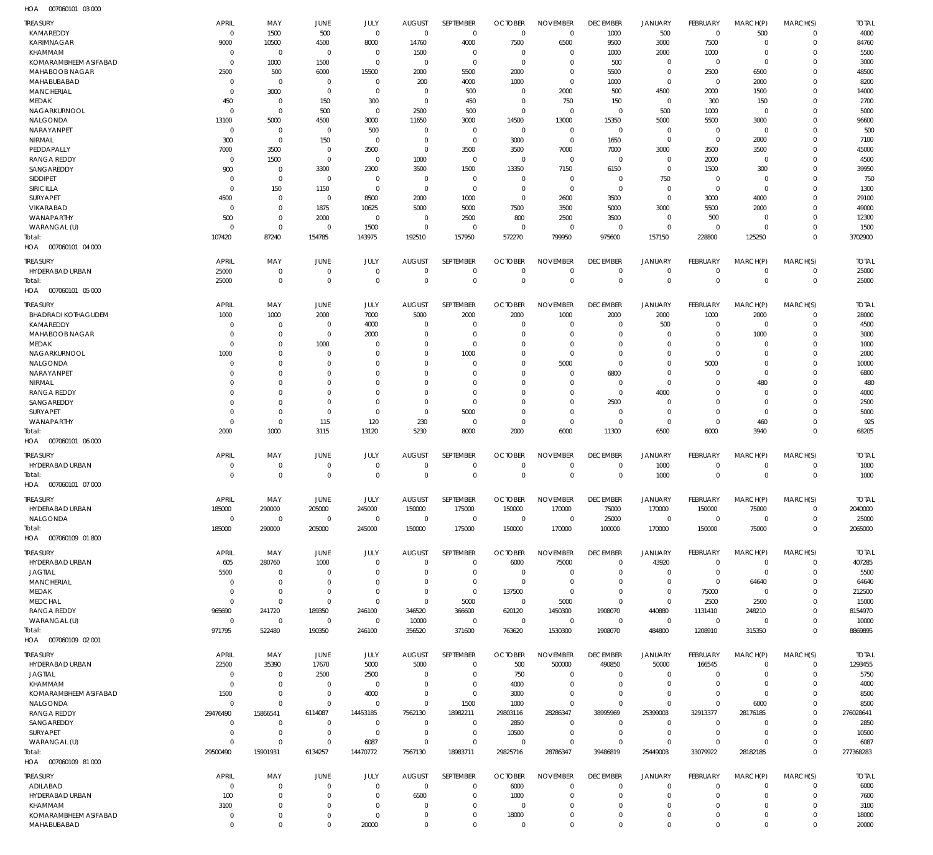007060101 03 000 HOA

| TREASURY<br>KAMAREDDY                   | <b>APRIL</b><br>$\mathbf 0$ | MAY<br>1500                | JUNE<br>500                | JULY<br>$\mathbf 0$        | <b>AUGUST</b><br>$\mathbf 0$ | SEPTEMBER<br>$\mathbf 0$   | <b>OCTOBER</b><br>$^{\circ}$              | <b>NOVEMBER</b><br>$\mathbf 0$ | <b>DECEMBER</b><br>1000    | <b>JANUARY</b><br>500      | FEBRUARY<br>$\overline{0}$       | MARCH(P)<br>500            | MARCH(S)<br>$\mathbf 0$    | <b>TOTAL</b><br>4000 |
|-----------------------------------------|-----------------------------|----------------------------|----------------------------|----------------------------|------------------------------|----------------------------|-------------------------------------------|--------------------------------|----------------------------|----------------------------|----------------------------------|----------------------------|----------------------------|----------------------|
| KARIMNAGAR<br><b>KHAMMAM</b>            | 9000                        | 10500<br>$\mathbf 0$       | 4500<br>$\mathbf 0$        | 8000                       | 14760                        | 4000                       | 7500                                      | 6500<br>$\Omega$               | 9500                       | 3000                       | 7500                             | $\Omega$<br>$\mathbf 0$    | $\mathbf 0$<br>$\Omega$    | 84760                |
| KOMARAMBHEEM ASIFABAD                   | -0<br>$\Omega$              | 1000                       | 1500                       | $^{\circ}$<br>$\mathbf 0$  | 1500<br>$\mathbf 0$          | $^{\circ}$<br>$\mathbf 0$  | -0<br>$^{\circ}$                          | $\mathbf 0$                    | 1000<br>500                | 2000<br>$\mathbf 0$        | 1000<br>$\overline{0}$           | $\Omega$                   | $\Omega$                   | 5500<br>3000         |
| MAHABOOB NAGAR                          | 2500                        | 500                        | 6000                       | 15500                      | 2000                         | 5500                       | 2000                                      | $\mathbf 0$                    | 5500                       | $\mathbf 0$                | 2500                             | 6500                       | $\Omega$                   | 48500                |
| MAHABUBABAD                             | -0                          | $\mathbf 0$                | $^{\circ}$                 | $^{\circ}$                 | 200                          | 4000                       | 1000                                      | $\Omega$                       | 1000                       | $\mathbf 0$                | $^{\circ}$                       | 2000                       | $\Omega$                   | 8200                 |
| MANCHERIAL                              | $\Omega$                    | 3000                       | $\mathbf 0$                | $\mathbf 0$                | $\mathbf 0$                  | 500                        | $\Omega$                                  | 2000                           | 500                        | 4500                       | 2000                             | 1500                       | $\Omega$                   | 14000                |
| MEDAK                                   | 450                         | $\mathbf 0$                | 150                        | 300                        | $\mathbf 0$                  | 450                        | $\mathbf 0$                               | 750                            | 150                        | $\mathbf 0$                | 300                              | 150                        | $\Omega$                   | 2700                 |
| NAGARKURNOOL<br>NALGONDA                | $\mathbf 0$<br>13100        | $\mathbf 0$<br>5000        | 500<br>4500                | $\mathbf 0$<br>3000        | 2500<br>11650                | 500<br>3000                | $\mathbf 0$<br>14500                      | $^{\circ}$<br>13000            | $\mathbf 0$<br>15350       | 500<br>5000                | 1000<br>5500                     | $\mathbf 0$<br>3000        | $\Omega$<br>$\Omega$       | 5000<br>96600        |
| NARAYANPET                              | $^{\circ}$                  | $\mathbf 0$                | $^{\circ}$                 | 500                        | $^{\circ}$                   | $\mathbf 0$                | $\mathbf 0$                               | $^{\circ}$                     | $\mathbf 0$                | $\mathbf 0$                | $^{\circ}$                       | $\mathbf 0$                | $\Omega$                   | 500                  |
| <b>NIRMAL</b>                           | 300                         | $\mathbf 0$                | 150                        | $^{\circ}$                 | $\mathbf 0$                  | $\mathbf 0$                | 3000                                      | $\mathbf 0$                    | 1650                       | $\mathbf 0$                | $^{\circ}$                       | 2000                       | $\Omega$                   | 7100                 |
| PEDDAPALLY                              | 7000                        | 3500                       | $\mathbf 0$                | 3500                       | $^{\circ}$                   | 3500                       | 3500                                      | 7000                           | 7000                       | 3000                       | 3500                             | 3500                       | $\Omega$                   | 45000                |
| <b>RANGA REDDY</b>                      | $\Omega$                    | 1500                       | $^{\circ}$                 | $\mathbf 0$                | 1000                         | $\mathbf 0$                | $^{\circ}$                                | $^{\circ}$                     | $\mathbf 0$                | $\mathbf 0$                | 2000                             | $\mathbf 0$                | $\Omega$                   | 4500                 |
| SANGAREDDY<br>SIDDIPET                  | 900<br>$\Omega$             | $\mathbf 0$<br>$\mathbf 0$ | 3300<br>$\mathbf 0$        | 2300<br>$^{\circ}$         | 3500<br>-0                   | 1500<br>$\mathbf 0$        | 13350<br>$\mathbf 0$                      | 7150<br>$\mathbf 0$            | 6150<br>$\mathbf 0$        | $\mathbf 0$<br>750         | 1500<br>$^{\circ}$               | 300<br>$\mathbf 0$         | $\Omega$<br>$\Omega$       | 39950<br>750         |
| SIRICILLA                               | $^{\circ}$                  | 150                        | 1150                       | $\mathbf 0$                | $\mathbf 0$                  | $\mathbf 0$                | $\mathbf 0$                               | $\mathbf 0$                    | $\mathbf 0$                | $\mathbf 0$                | $\overline{0}$                   | $\mathbf 0$                | $\Omega$                   | 1300                 |
| SURYAPET                                | 4500                        | $\mathbf 0$                | $\mathbf 0$                | 8500                       | 2000                         | 1000                       | $\overline{0}$                            | 2600                           | 3500                       | $\mathbf 0$                | 3000                             | 4000                       | $\Omega$                   | 29100                |
| VIKARABAD                               | $\mathbf 0$                 | $\mathbf 0$                | 1875                       | 10625                      | 5000                         | 5000                       | 7500                                      | 3500                           | 5000                       | 3000                       | 5500                             | 2000                       | $\Omega$                   | 49000                |
| WANAPARTHY                              | 500                         | $\mathbf 0$                | 2000                       | $\mathbf 0$                | $\mathbf 0$                  | 2500                       | 800                                       | 2500                           | 3500                       | $\mathbf 0$                | 500                              | 0                          | $\Omega$                   | 12300                |
| WARANGAL (U)                            | $\mathbf 0$                 | $\mathbf 0$                | $\mathbf 0$                | 1500                       | $\mathbf 0$                  | $\mathbf 0$                | $\overline{0}$                            | $\mathbf 0$                    | $\mathbf 0$                | $\mathbf 0$                | $\overline{0}$                   | $\mathbf 0$                | $\Omega$                   | 1500                 |
| Total:                                  | 107420                      | 87240                      | 154785                     | 143975                     | 192510                       | 157950                     | 572270                                    | 799950                         | 975600                     | 157150                     | 228800                           | 125250                     | $\Omega$                   | 3702900              |
| HOA<br>007060101 04 000                 |                             |                            |                            |                            |                              |                            |                                           |                                |                            |                            |                                  |                            |                            |                      |
| <b>TREASURY</b>                         | <b>APRIL</b>                | MAY                        | <b>JUNE</b>                | JULY                       | <b>AUGUST</b>                | SEPTEMBER                  | <b>OCTOBER</b>                            | <b>NOVEMBER</b>                | <b>DECEMBER</b>            | JANUARY                    | FEBRUARY                         | MARCH(P)                   | MARCH(S)                   | <b>TOTAL</b>         |
| HYDERABAD URBAN                         | 25000                       | $\mathbf 0$                | $\mathbf 0$                | $\mathbf 0$                | $^{\circ}$                   | $\mathbf 0$                | $^{\circ}$                                | $\mathbf 0$                    | 0                          | $\mathbf 0$                | $\mathbf 0$                      | $\mathbf 0$                | $\mathbf 0$                | 25000                |
| Total:<br>HOA<br>007060101 05 000       | 25000                       | $\mathbf 0$                | $\mathbf{0}$               | $\mathbf 0$                | $\overline{0}$               | $\mathbf 0$                | $\mathbf{0}$                              | $\mathbf 0$                    | $\mathbf 0$                | $\mathbf 0$                | $\mathbf{0}$                     | $\mathbf 0$                | $\mathbf 0$                | 25000                |
|                                         |                             |                            |                            |                            |                              |                            |                                           |                                |                            |                            |                                  |                            |                            |                      |
| TREASURY                                | <b>APRIL</b>                | MAY                        | JUNE                       | JULY                       | <b>AUGUST</b>                | SEPTEMBER                  | <b>OCTOBER</b>                            | <b>NOVEMBER</b>                | <b>DECEMBER</b>            | JANUARY                    | FEBRUARY                         | MARCH(P)                   | MARCH(S)                   | <b>TOTAL</b>         |
| <b>BHADRADI KOTHAGUDEM</b><br>KAMAREDDY | 1000<br>$\Omega$            | 1000<br>$\mathbf 0$        | 2000<br>$\mathbf 0$        | 7000<br>4000               | 5000<br>$\Omega$             | 2000<br>$\mathbf 0$        | 2000<br>$\Omega$                          | 1000<br>$\Omega$               | 2000<br>$\Omega$           | 2000<br>500                | 1000<br>$\mathbf 0$              | 2000<br>$\mathbf 0$        | $\mathbf 0$<br>0           | 28000<br>4500        |
| MAHABOOB NAGAR                          | -0                          | $\mathbf 0$                | $\mathbf 0$                | 2000                       | $\Omega$                     | $\mathbf 0$                | $\Omega$                                  | $\mathbf 0$                    | $\mathbf 0$                | $\mathbf 0$                | $\mathbf 0$                      | 1000                       | $\Omega$                   | 3000                 |
| MEDAK                                   | -0                          | $\mathbf 0$                | 1000                       | $\Omega$                   | 0                            | $\mathbf 0$                | $\Omega$                                  | $\Omega$                       | 0                          | $\mathbf 0$                | $\Omega$                         | $\Omega$                   | $\Omega$                   | 1000                 |
| NAGARKURNOOL                            | 1000                        | $\mathbf 0$                | $^{\circ}$                 | $\Omega$                   | $\Omega$                     | 1000                       | $\Omega$                                  | $\Omega$                       | $\Omega$                   | $\mathbf 0$                | $\Omega$                         | $\Omega$                   | $\Omega$                   | 2000                 |
| NALGONDA                                | $\Omega$                    | $\mathbf 0$                | $^{\circ}$                 | $\Omega$                   | $\Omega$                     | $\mathbf 0$                | $\Omega$                                  | 5000                           | $\mathbf 0$                | $\mathbf 0$                | 5000                             | $\Omega$                   | $\Omega$                   | 10000                |
| NARAYANPET                              | $\Omega$                    | $\Omega$                   | $\Omega$                   | $\Omega$                   | $\Omega$                     | $\Omega$                   | $\Omega$                                  | $\Omega$                       | 6800                       | $\mathbf 0$                | $\Omega$                         | $\Omega$                   | $\Omega$                   | 6800                 |
| NIRMAL<br><b>RANGA REDDY</b>            | $\Omega$<br>$\Omega$        | $\Omega$<br>$\mathbf 0$    | $\Omega$<br>$\Omega$       | $\Omega$<br>$\Omega$       | $\Omega$<br>$\Omega$         | $\Omega$<br>$\Omega$       | $\Omega$<br>$\Omega$                      | $\mathbf 0$<br>$\Omega$        | $\mathbf 0$<br>$\mathbf 0$ | $\mathbf 0$<br>4000        | $\Omega$<br>$\Omega$             | 480<br>$\Omega$            | $\Omega$<br>$\Omega$       | 480<br>4000          |
| SANGAREDDY                              | $\Omega$                    | $\Omega$                   | $\Omega$                   | $\Omega$                   | $\Omega$                     | $\Omega$                   | $\Omega$                                  | $\Omega$                       | 2500                       | $\mathbf 0$                | $\Omega$                         | $\Omega$                   | $\Omega$                   | 2500                 |
| SURYAPET                                | $\Omega$                    | $\mathbf 0$                | $^{\circ}$                 | $\mathbf 0$                | $\Omega$                     | 5000                       | $\Omega$                                  | $\mathbf 0$                    | $\mathbf 0$                | $\mathbf 0$                | $\Omega$                         | $\mathbf 0$                | $\Omega$                   | 5000                 |
|                                         |                             |                            |                            |                            |                              |                            |                                           |                                |                            |                            |                                  |                            |                            |                      |
| WANAPARTHY                              | $^{\circ}$                  | $\mathbf 0$                | 115                        | 120                        | 230                          | $\mathbf 0$                | $\mathbf 0$                               | $\mathbf 0$                    | $\mathbf 0$                | $\mathbf 0$                | $\mathbf 0$                      | 460                        | $\mathbf 0$                | 925                  |
| Total:                                  | 2000                        | 1000                       | 3115                       | 13120                      | 5230                         | 8000                       | 2000                                      | 6000                           | 11300                      | 6500                       | 6000                             | 3940                       | $\Omega$                   | 68205                |
| HOA<br>007060101 06 000                 |                             |                            |                            |                            |                              |                            |                                           |                                |                            |                            |                                  |                            |                            |                      |
| <b>TREASURY</b>                         | <b>APRIL</b>                | MAY                        | JUNE                       | JULY                       | <b>AUGUST</b>                | SEPTEMBER                  | <b>OCTOBER</b>                            | <b>NOVEMBER</b>                | <b>DECEMBER</b>            | <b>JANUARY</b>             | FEBRUARY                         | MARCH(P)                   | MARCH(S)                   | <b>TOTAL</b>         |
| HYDERABAD URBAN                         | $^{\circ}$                  | $\mathbf 0$                | $\mathbf 0$                | $\mathbf 0$                | -0                           | $\mathbf 0$                | $^{\circ}$                                | $\mathbf 0$                    | 0                          | 1000                       | $\mathbf 0$                      | $\mathbf 0$                | $\mathbf 0$                | 1000                 |
| Total:                                  | $\Omega$                    | $\mathbf 0$                | $\Omega$                   | $\mathbf 0$                | $\Omega$                     | $\mathbf 0$                | $\Omega$                                  | $\mathbf 0$                    | $\mathbf{0}$               | 1000                       | $\Omega$                         | $\mathbf 0$                | $\mathbf 0$                | 1000                 |
| HOA  007060101  07  000                 |                             |                            |                            |                            |                              |                            |                                           |                                |                            |                            |                                  |                            |                            |                      |
| TREASURY                                | APRIL                       | MAY                        | JUNE                       | JULY                       | <b>AUGUST</b>                | SEPTEMBER                  |                                           | OCTOBER NOVEMBER DECEMBER      |                            | JANUARY                    |                                  | FEBRUARY MARCH(P)          | MARCH(S)                   | <b>TOTAL</b>         |
| HYDERABAD URBAN                         | 185000                      | 290000                     | 205000                     | 245000                     | 150000                       | 175000                     | 150000                                    | 170000                         | 75000                      | 170000                     | 150000                           | 75000                      | 0                          | 2040000              |
| NALGONDA                                | $\mathbf 0$                 | $\mathbf 0$                | $\mathbf 0$                | $\mathbf 0$                | $\mathbf 0$                  | $\mathbf 0$                | $\mathbf 0$                               | $\mathbf 0$                    | 25000                      | $\mathbf 0$                | $\mathbf 0$                      | $\mathbf 0$                | $\mathbf 0$                | 25000                |
| Total:                                  | 185000                      | 290000                     | 205000                     | 245000                     | 150000                       | 175000                     | 150000                                    | 170000                         | 100000                     | 170000                     | 150000                           | 75000                      | $\mathbf 0$                | 2065000              |
| HOA  007060109  01 800                  |                             |                            |                            |                            |                              |                            |                                           |                                |                            |                            |                                  |                            |                            |                      |
| <b>TREASURY</b>                         | <b>APRIL</b>                | MAY                        | JUNE                       | JULY                       | <b>AUGUST</b>                | SEPTEMBER                  | <b>OCTOBER</b>                            | <b>NOVEMBER</b>                | <b>DECEMBER</b>            | <b>JANUARY</b>             | FEBRUARY                         | MARCH(P)                   | MARCH(S)                   | <b>TOTAL</b>         |
| HYDERABAD URBAN                         | 605                         | 280760                     | 1000                       | $\mathbf 0$                | $^{\circ}$                   | $\mathbf 0$                | 6000                                      | 75000                          | $\mathbf 0$                | 43920                      | $\mathbf 0$                      | $\mathbf 0$                | $\mathbf 0$                | 407285               |
| <b>JAGTIAL</b><br><b>MANCHERIAL</b>     | 5500<br>$^{\circ}$          | $\mathbf 0$<br>$\mathbf 0$ | $^{\circ}$<br>$\mathbf 0$  | $\mathbf 0$<br>$\mathbf 0$ | $^{\circ}$<br>-0             | $\mathbf 0$<br>$\mathbf 0$ | $\overline{0}$<br>$\overline{\mathbf{0}}$ | -0<br>$\mathbf 0$              | 0<br>$\mathbf 0$           | $\mathbf 0$<br>$\mathbf 0$ | $\overline{0}$<br>$\overline{0}$ | $\mathbf 0$                | $\mathbf 0$<br>$\Omega$    | 5500                 |
| MEDAK                                   | $^{\circ}$                  | $\mathbf 0$                | $\mathbf 0$                | $\mathbf 0$                | $\mathbf 0$                  | $\mathbf 0$                | 137500                                    | $\mathbf 0$                    | $\mathbf 0$                | $\mathbf 0$                | 75000                            | 64640<br>$\mathbf 0$       | $\Omega$                   | 64640<br>212500      |
| <b>MEDCHAL</b>                          | $\mathbf 0$                 | $\mathbf 0$                | $\mathbf 0$                | $\mathbf 0$                | $\mathbf 0$                  | 5000                       | $\overline{0}$                            | 5000                           | $\mathbf 0$                | $\mathbf 0$                | 2500                             | 2500                       | $\Omega$                   | 15000                |
| <b>RANGA REDDY</b>                      | 965690                      | 241720                     | 189350                     | 246100                     | 346520                       | 366600                     | 620120                                    | 1450300                        | 1908070                    | 440880                     | 1131410                          | 248210                     | $\Omega$                   | 8154970              |
| WARANGAL (U)                            | $\mathbf 0$                 | $\mathbf 0$                | $\mathbf 0$                | $\mathbf 0$                | 10000                        | $\mathbf 0$                | $\mathbf 0$                               | $\mathbf 0$                    | $\mathbf 0$                | $\mathbf 0$                | $\overline{0}$                   | $\mathbf 0$                | $\Omega$                   | 10000                |
| Total:                                  | 971795                      | 522480                     | 190350                     | 246100                     | 356520                       | 371600                     | 763620                                    | 1530300                        | 1908070                    | 484800                     | 1208910                          | 315350                     | $\mathbf 0$                | 8869895              |
| HOA  007060109  02  001                 |                             |                            |                            |                            |                              |                            |                                           |                                |                            |                            |                                  |                            |                            |                      |
| TREASURY                                | <b>APRIL</b>                | MAY                        | JUNE                       | JULY                       | <b>AUGUST</b>                | SEPTEMBER                  | <b>OCTOBER</b>                            | <b>NOVEMBER</b>                | <b>DECEMBER</b>            | <b>JANUARY</b>             | FEBRUARY                         | MARCH(P)                   | MARCH(S)                   | <b>TOTAL</b>         |
| HYDERABAD URBAN                         | 22500                       | 35390                      | 17670                      | 5000                       | 5000                         | $\mathbf 0$                | 500                                       | 500000                         | 490850                     | 50000                      | 166545                           | 0                          | $\mathbf 0$                | 1293455              |
| <b>JAGTIAL</b>                          | $^{\circ}$                  | $\mathbf 0$                | 2500                       | 2500                       | -0                           | $\mathbf 0$                | 750                                       | -0                             | $\mathbf 0$                | $\mathbf 0$                | 0                                | $\mathbf 0$                | $\mathbf 0$<br>$\Omega$    | 5750                 |
| KHAMMAM<br>KOMARAMBHEEM ASIFABAD        | $^{\circ}$<br>1500          | $\mathbf 0$<br>$\mathbf 0$ | -0<br>$\mathbf 0$          | $^{\circ}$<br>4000         | 0<br>$^{\circ}$              | $\mathbf 0$<br>$\mathbf 0$ | 4000<br>3000                              | $^{\circ}$<br>$\mathbf 0$      | $\mathbf 0$<br>$\mathbf 0$ | $\mathbf 0$<br>$\mathbf 0$ | 0<br>$\mathbf 0$                 | 0<br>$\Omega$              | $\Omega$                   | 4000<br>8500         |
| NALGONDA                                | $\mathbf 0$                 | $\mathbf 0$                | $\mathbf 0$                | $^{\circ}$                 | $\mathbf 0$                  | 1500                       | 1000                                      | $\Omega$                       | $\mathbf 0$                | $\mathbf 0$                | $\mathbf 0$                      | 6000                       | $\Omega$                   | 8500                 |
| RANGA REDDY                             | 29476490                    | 15866541                   | 6114087                    | 14453185                   | 7562130                      | 18982211                   | 29803116                                  | 28286347                       | 38995969                   | 25399003                   | 32913377                         | 28176185                   | $\mathbf 0$                | 276028641            |
| SANGAREDDY                              | $\mathbf 0$                 | $\mathbf 0$                | $^{\circ}$                 | $\mathbf 0$                | $\mathbf 0$                  | $\mathbf 0$                | 2850                                      | -0                             | $\mathbf 0$                | $\mathbf 0$                | $\mathbf 0$                      | $\Omega$                   | $\Omega$                   | 2850                 |
| SURYAPET                                | $^{\circ}$                  | $\mathbf 0$                | $\mathbf 0$                | $\mathbf 0$                | $\mathbf 0$                  | $\mathbf 0$                | 10500                                     | $^{\circ}$                     | $\mathbf 0$                | $\mathbf 0$                | $\mathbf 0$                      | $\mathbf 0$                | $\Omega$                   | 10500                |
| WARANGAL (U)                            | $\Omega$                    | $\mathbf 0$                | $\mathbf 0$                | 6087                       | $^{\circ}$                   | $\mathbf 0$                | $^{\circ}$                                | $\Omega$                       | $\mathbf 0$                | $\mathbf 0$                | $\mathbf 0$                      | $\Omega$                   | $\mathbf 0$                | 6087                 |
| Total:<br>HOA  007060109  81  000       | 29500490                    | 15901931                   | 6134257                    | 14470772                   | 7567130                      | 18983711                   | 29825716                                  | 28786347                       | 39486819                   | 25449003                   | 33079922                         | 28182185                   | $\mathbf 0$                | 277368283            |
|                                         |                             |                            |                            |                            |                              |                            |                                           |                                |                            |                            |                                  |                            |                            |                      |
| TREASURY                                | <b>APRIL</b>                | MAY                        | JUNE                       | JULY                       | <b>AUGUST</b>                | SEPTEMBER                  | <b>OCTOBER</b>                            | <b>NOVEMBER</b>                | <b>DECEMBER</b>            | <b>JANUARY</b>             | FEBRUARY                         | MARCH(P)                   | MARCH(S)                   | <b>TOTAL</b>         |
| ADILABAD                                | $\mathbf 0$                 | $\mathbf 0$                | $^{\circ}$<br>$\mathbf 0$  | $\mathbf 0$<br>$\mathbf 0$ | $\mathbf 0$                  | $\mathbf 0$<br>$\mathbf 0$ | 6000                                      | $\mathbf 0$<br>$\mathbf 0$     | $\mathbf 0$<br>$\mathbf 0$ | $\mathbf 0$<br>$\mathbf 0$ | $\mathbf 0$<br>$\mathbf 0$       | 0<br>$\mathbf 0$           | $\mathbf 0$<br>$\mathbf 0$ | 6000                 |
| HYDERABAD URBAN<br><b>KHAMMAM</b>       | 100<br>3100                 | $\mathbf 0$<br>0           | $\mathbf 0$                | $\mathbf 0$                | 6500<br>-0                   | $\mathbf 0$                | 1000<br>$\overline{0}$                    | $\mathbf 0$                    | $\mathbf 0$                | $\mathbf 0$                | 0                                | $\mathbf 0$                | $\mathbf 0$                | 7600<br>3100         |
| KOMARAMBHEEM ASIFABAD<br>MAHABUBABAD    | $\mathbf 0$<br>$\mathbf 0$  | $\mathbf 0$<br>$\mathbf 0$ | $\mathbf 0$<br>$\mathbf 0$ | $\mathbf 0$<br>20000       | $^{\circ}$<br>$\mathbf 0$    | $\mathbf 0$<br>$\mathbf 0$ | 18000<br>$\mathbf 0$                      | $\mathbf 0$<br>$\mathbf 0$     | $\mathbf 0$<br>$\mathbf 0$ | $\mathbf 0$<br>$\mathbf 0$ | $\mathbf 0$<br>$\Omega$          | $\mathbf 0$<br>$\mathbf 0$ | $\mathbf 0$<br>$\mathbf 0$ | 18000<br>20000       |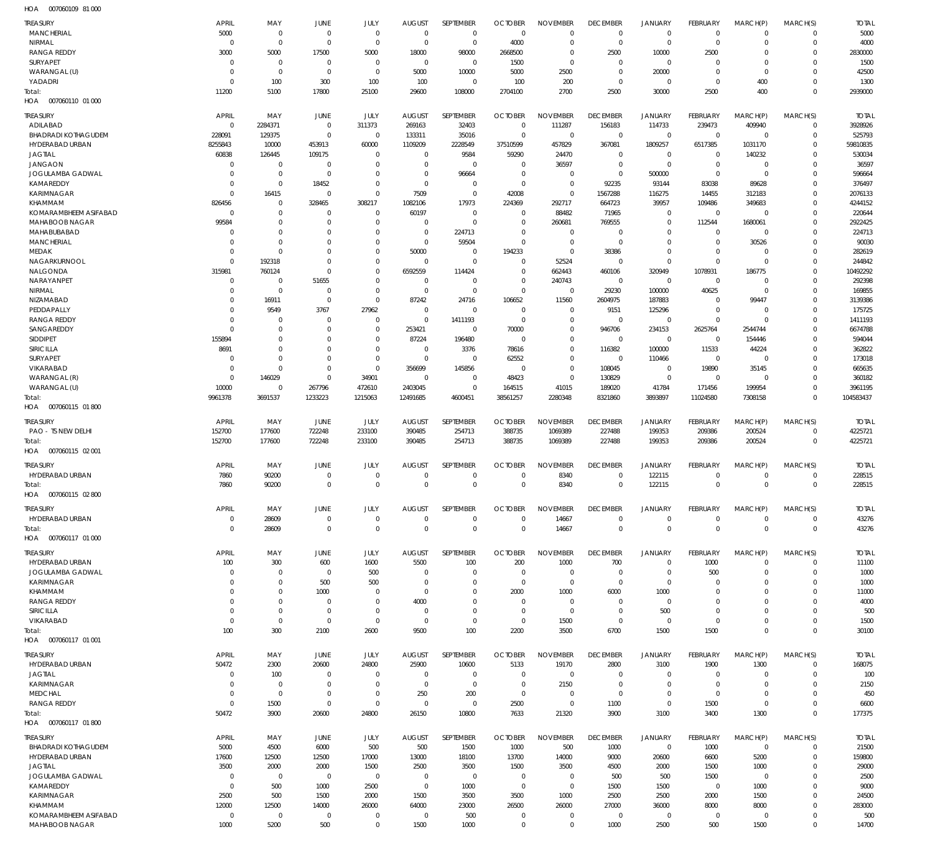007060109 81 000 HOA

| <b>TREASURY</b>                         | <b>APRIL</b>            | MAY                              | JUNE                    | JULY                             | <b>AUGUST</b>              | SEPTEMBER                  | <b>OCTOBER</b>             | <b>NOVEMBER</b>            | <b>DECEMBER</b>                | <b>JANUARY</b>                   | <b>FEBRUARY</b>          | MARCH(P)             | MARCH(S)             | <b>TOTAL</b>           |
|-----------------------------------------|-------------------------|----------------------------------|-------------------------|----------------------------------|----------------------------|----------------------------|----------------------------|----------------------------|--------------------------------|----------------------------------|--------------------------|----------------------|----------------------|------------------------|
| MANCHERIAL                              | 5000                    | $\overline{0}$                   | $\mathbf 0$             | $\overline{0}$                   | $\overline{0}$             | $\mathbf 0$                | $\mathbf 0$                | $\Omega$                   | $\mathbf 0$                    | $\overline{0}$                   | $\Omega$                 | $\Omega$             | $\Omega$             | 5000                   |
| NIRMAL                                  | $\mathbf 0$             | $\overline{0}$                   | $\Omega$                | $\overline{0}$                   | $\overline{0}$             | $\mathbf 0$                | 4000                       | $\Omega$                   | $\mathbf 0$                    | $\overline{0}$                   | $\Omega$                 | $\Omega$             | $\Omega$             | 4000                   |
| <b>RANGA REDDY</b>                      | 3000                    | 5000                             | 17500                   | 5000                             | 18000                      | 98000                      | 2668500                    | $\Omega$                   | 2500                           | 10000                            | 2500                     | $\Omega$             | $\Omega$             | 2830000                |
| SURYAPET                                | $\mathbf 0$<br>$\Omega$ | $\overline{0}$<br>$\overline{0}$ | $\mathbf 0$<br>$\Omega$ | $\overline{0}$<br>$\overline{0}$ | $\overline{0}$             | $\mathbf 0$                | 1500<br>5000               | $\overline{0}$<br>2500     | $\mathbf 0$<br>$\mathbf 0$     | $\overline{0}$<br>20000          | $\Omega$<br>$\Omega$     | $\Omega$<br>$\Omega$ | $\Omega$<br>$\Omega$ | 1500<br>42500          |
| WARANGAL (U)<br>YADADRI                 | $\mathbf 0$             | 100                              | 300                     | 100                              | 5000<br>100                | 10000<br>$\mathbf 0$       | 100                        | 200                        | $\mathbf 0$                    | $\overline{0}$                   | $\Omega$                 | 400                  | $\Omega$             | 1300                   |
| Total:                                  | 11200                   | 5100                             | 17800                   | 25100                            | 29600                      | 108000                     | 2704100                    | 2700                       | 2500                           | 30000                            | 2500                     | 400                  | $\Omega$             | 2939000                |
| HOA<br>007060110 01 000                 |                         |                                  |                         |                                  |                            |                            |                            |                            |                                |                                  |                          |                      |                      |                        |
| <b>TREASURY</b>                         | <b>APRIL</b>            | MAY                              | <b>JUNE</b>             | JULY                             | <b>AUGUST</b>              | SEPTEMBER                  | <b>OCTOBER</b>             | <b>NOVEMBER</b>            | <b>DECEMBER</b>                | <b>JANUARY</b>                   | <b>FEBRUARY</b>          | MARCH(P)             | MARCH(S)             | <b>TOTAL</b>           |
| ADILABAD                                | $\Omega$                | 2284371                          | $\mathbf 0$             | 311373                           | 269163                     | 32403                      | $\mathbf 0$                | 111287                     | 156183                         | 114733                           | 239473                   | 409940               | $\Omega$             | 3928926                |
| <b>BHADRADI KOTHAGUDEM</b>              | 228091                  | 129375                           | $\mathbf 0$             | $\overline{0}$                   | 133311                     | 35016                      | $\mathbf 0$                | $\overline{0}$             | $\mathbf 0$                    | $\mathbf 0$                      | $\overline{0}$           | $\Omega$             | $\Omega$             | 525793                 |
| HYDERABAD URBAN<br><b>JAGTIAL</b>       | 8255843                 | 10000                            | 453913<br>109175        | 60000<br>$\Omega$                | 1109209<br>$\Omega$        | 2228549                    | 37510599                   | 457829                     | 367081                         | 1809257<br>$\overline{0}$        | 6517385<br>$\Omega$      | 1031170              | $\Omega$<br>$\Omega$ | 59810835               |
| <b>JANGAON</b>                          | 60838<br>$\Omega$       | 126445<br>$\mathbf 0$            | $\Omega$                | $\Omega$                         | $\Omega$                   | 9584<br>$\overline{0}$     | 59290<br>$\mathbf 0$       | 24470<br>36597             | $\mathbf 0$<br>$\mathbf 0$     | $\Omega$                         | $\Omega$                 | 140232<br>$\Omega$   | $\Omega$             | 530034<br>36597        |
| JOGULAMBA GADWAL                        | $\Omega$                | $\overline{0}$                   | $\mathbf 0$             | $\Omega$                         | $\Omega$                   | 96664                      | $\mathbf 0$                | $\Omega$                   | $\mathbf 0$                    | 500000                           | $\Omega$                 | $\Omega$             |                      | 596664                 |
| KAMAREDDY                               | $\Omega$                | $\overline{0}$                   | 18452                   | $\Omega$                         | $\Omega$                   | $\Omega$                   | $\Omega$                   | $\overline{0}$             | 92235                          | 93144                            | 83038                    | 89628                | $\Omega$             | 376497                 |
| KARIMNAGAR                              | $\Omega$                | 16415                            | $\Omega$                | $\overline{0}$                   | 7509                       | $\mathbf 0$                | 42008                      | $\mathbf 0$                | 1567288                        | 116275                           | 14455                    | 312183               | $\Omega$             | 2076133                |
| <b>KHAMMAM</b><br>KOMARAMBHEEM ASIFABAD | 826456<br>$\Omega$      | $\mathbf 0$<br>$\mathbf 0$       | 328465<br>$\Omega$      | 308217<br>$\overline{0}$         | 1082106<br>60197           | 17973<br>$\mathbf 0$       | 224369<br>$\Omega$         | 292717<br>88482            | 664723<br>71965                | 39957<br>$\overline{0}$          | 109486<br>$\overline{0}$ | 349683<br>$\Omega$   | $\Omega$             | 4244152<br>220644      |
| MAHABOOB NAGAR                          | 99584                   | $\Omega$                         | 0                       | $\Omega$                         | $\Omega$                   | $\Omega$                   | $\mathbf 0$                | 260681                     | 769555                         | $\overline{0}$                   | 112544                   | 1680061              | $\Omega$             | 2922425                |
| MAHABUBABAD                             | $\Omega$                | $\Omega$                         | $\Omega$                | $\Omega$                         | $\mathbf 0$                | 224713                     | $\Omega$                   | $\overline{0}$             | $\Omega$                       | $\overline{0}$                   | $\Omega$                 | $\Omega$             | $\Omega$             | 224713                 |
| <b>MANCHERIAL</b>                       | $\Omega$                | $\Omega$                         | $\Omega$                | $\Omega$                         | $\Omega$                   | 59504                      | $\Omega$                   | $\overline{0}$             | $\overline{0}$                 | $\Omega$                         | $\Omega$                 | 30526                | $\Omega$             | 90030                  |
| <b>MEDAK</b><br>NAGARKURNOOL            | $\Omega$<br>$\Omega$    | $\Omega$<br>192318               | $\Omega$<br>$\Omega$    | $\Omega$<br>$\Omega$             | 50000<br>$^{\circ}$        | $\mathbf 0$<br>$\Omega$    | 194233<br>$\Omega$         | $\mathbb O$<br>52524       | 38386<br>$^{\circ}$            | $\Omega$<br>$\Omega$             | $\Omega$<br>$\Omega$     | $\Omega$<br>$\Omega$ | $\Omega$<br>$\Omega$ | 282619<br>244842       |
| NALGONDA                                | 315981                  | 760124                           | $\Omega$                | $\Omega$                         | 6592559                    | 114424                     | $\Omega$                   | 662443                     | 460106                         | 320949                           | 1078931                  | 186775               | $\Omega$             | 10492292               |
| NARAYANPET                              | $\Omega$                | $\mathbf 0$                      | 51655                   | $\Omega$                         | $^{\circ}$                 | $\mathbf 0$                | $\mathbf 0$                | 240743                     | $\mathbf 0$                    | $^{\circ}$                       | $\Omega$                 | $\Omega$             | $\Omega$             | 292398                 |
| NIRMAL                                  | $\Omega$                | $\overline{0}$                   | $\Omega$                | $\Omega$                         | $^{\circ}$                 | $\mathbf 0$                | $\Omega$                   | $\mathbf 0$                | 29230                          | 100000                           | 40625                    | $\Omega$             | $\Omega$             | 169855                 |
| NIZAMABAD                               | $\Omega$                | 16911                            | $\Omega$                | $\overline{0}$                   | 87242                      | 24716                      | 106652                     | 11560                      | 2604975                        | 187883                           | $\Omega$                 | 99447                | $\Omega$             | 3139386                |
| PEDDAPALLY<br><b>RANGA REDDY</b>        | $\Omega$<br>$\Omega$    | 9549<br>$\mathbf 0$              | 3767<br>$\Omega$        | 27962<br>$\mathbf 0$             | $\Omega$<br>$\overline{0}$ | $\mathbf 0$<br>1411193     | $\Omega$<br>$\Omega$       | $\Omega$<br>$\mathbf 0$    | 9151<br>$\mathbf 0$            | 125296<br>$\Omega$               | $\Omega$<br>$\Omega$     | $\Omega$<br>$\Omega$ | $\Omega$<br>$\Omega$ | 175725<br>1411193      |
| SANGAREDDY                              | $\Omega$                | $\mathbf 0$                      | $\Omega$                | $\mathbf 0$                      | 253421                     | $\mathbf 0$                | 70000                      | $\mathbf 0$                | 946706                         | 234153                           | 2625764                  | 2544744              |                      | 6674788                |
| <b>SIDDIPET</b>                         | 155894                  | $\Omega$                         | $\Omega$                | $\Omega$                         | 87224                      | 196480                     | $\Omega$                   | $\mathbf{0}$               | $\mathbf 0$                    | $^{\circ}$                       | $\Omega$                 | 154446               | $\Omega$             | 594044                 |
| <b>SIRICILLA</b>                        | 8691                    | $\Omega$                         | $\Omega$                | $\Omega$                         | $^{\circ}$                 | 3376                       | 78616                      | $\overline{0}$             | 116382                         | 100000                           | 11533                    | 44224                |                      | 362822                 |
| SURYAPET<br>VIKARABAD                   | $\Omega$<br>$\Omega$    | $\Omega$<br>$\overline{0}$       | $\Omega$<br>$\Omega$    | $\Omega$<br>$\overline{0}$       | $\overline{0}$             | $\Omega$                   | 62552<br>$\overline{0}$    | $\mathbb O$<br>$\mathbf 0$ | $\mathbf 0$<br>108045          | 110466<br>$\overline{0}$         | $\Omega$                 | $\Omega$             | $\Omega$<br>$\Omega$ | 173018<br>665635       |
| WARANGAL (R)                            | $\Omega$                | 146029                           | $\Omega$                | 34901                            | 356699<br>$\Omega$         | 145856<br>$\Omega$         | 48423                      | $\mathbb O$                | 130829                         | $\Omega$                         | 19890<br>$\Omega$        | 35145<br>$\Omega$    | $\Omega$             | 360182                 |
| WARANGAL (U)                            | 10000                   | $\mathbf 0$                      | 267796                  | 472610                           | 2403045                    | $\mathbf 0$                | 164515                     | 41015                      | 189020                         | 41784                            | 171456                   | 199954               | $\Omega$             | 3961195                |
| Total:                                  | 9961378                 | 3691537                          | 1233223                 | 1215063                          | 12491685                   | 4600451                    | 38561257                   | 2280348                    | 8321860                        | 3893897                          | 11024580                 | 7308158              | $\Omega$             | 104583437              |
| HOA<br>007060115 01 800                 |                         |                                  |                         |                                  |                            |                            |                            |                            |                                |                                  |                          |                      |                      |                        |
| <b>TREASURY</b>                         | <b>APRIL</b>            | MAY                              | JUNE                    | JULY                             | <b>AUGUST</b>              | SEPTEMBER                  | <b>OCTOBER</b>             | <b>NOVEMBER</b>            | <b>DECEMBER</b>                | JANUARY                          | FEBRUARY                 | MARCH(P)             | MARCH(S)             | <b>TOTAL</b>           |
| PAO - TS NEW DELHI                      | 152700                  | 177600                           | 722248                  | 233100                           | 390485                     | 254713                     | 388735                     | 1069389                    | 227488                         | 199353                           | 209386                   | 200524               | $\Omega$             | 4225721                |
| Total:<br>007060115 02 001<br>HOA       | 152700                  | 177600                           | 722248                  | 233100                           | 390485                     | 254713                     | 388735                     | 1069389                    | 227488                         | 199353                           | 209386                   | 200524               | $\mathbf 0$          | 4225721                |
|                                         |                         |                                  |                         |                                  |                            |                            |                            |                            |                                |                                  |                          |                      |                      |                        |
| <b>TREASURY</b><br>HYDERABAD URBAN      | <b>APRIL</b><br>7860    | MAY<br>90200                     | <b>JUNE</b><br>$\Omega$ | JULY<br>$\mathbf 0$              | <b>AUGUST</b><br>$\Omega$  | SEPTEMBER<br>$\mathbf 0$   | <b>OCTOBER</b><br>$\Omega$ | <b>NOVEMBER</b><br>8340    | <b>DECEMBER</b><br>$\mathbf 0$ | JANUARY<br>122115                | FEBRUARY<br>$\Omega$     | MARCH(P)<br>$\Omega$ | MARCH(S)<br>$\Omega$ | <b>TOTAL</b><br>228515 |
| Total:                                  | 7860                    | 90200                            | $\Omega$                | $\Omega$                         | $\Omega$                   | $\mathbf 0$                | $\Omega$                   | 8340                       | $\mathbf 0$                    | 122115                           | $\Omega$                 | $\Omega$             | $\Omega$             | 228515                 |
| HOA<br>007060115 02 800                 |                         |                                  |                         |                                  |                            |                            |                            |                            |                                |                                  |                          |                      |                      |                        |
| <b>TREASURY</b>                         | <b>APRIL</b>            | MAY                              | JUNE                    | JULY                             | <b>AUGUST</b>              | SEPTEMBER                  | <b>OCTOBER</b>             | <b>NOVEMBER</b>            | <b>DECEMBER</b>                | <b>JANUARY</b>                   | FEBRUARY                 | MARCH(P)             | MARCH(S)             | <b>TOTAL</b>           |
| HYDERABAD URBAN                         | $\mathbf 0$             | 28609                            | $\mathbf 0$             | $\overline{0}$                   | $\overline{0}$             | $\mathbf 0$                | $\mathbf 0$                | 14667                      | $\mathbf 0$                    | $\overline{0}$                   | $\Omega$                 | $\Omega$             | $\Omega$             | 43276                  |
| Total:                                  | $\mathbf 0$             | 28609                            | $\mathbf{0}$            | $\overline{0}$                   | $\mathbf 0$                | $\overline{0}$             | $\mathbf 0$                | 14667                      | $\mathbf 0$                    | $\overline{0}$                   | $\Omega$                 | $\Omega$             | $\Omega$             | 43276                  |
| HOA<br>007060117 01 000                 |                         |                                  |                         |                                  |                            |                            |                            |                            |                                |                                  |                          |                      |                      |                        |
| <b>TREASURY</b>                         | <b>APRIL</b>            | MAY                              | JUNE                    | JULY                             | <b>AUGUST</b>              | SEPTEMBER                  | <b>OCTOBER</b>             | <b>NOVEMBER</b>            | <b>DECEMBER</b>                | <b>JANUARY</b>                   | <b>FEBRUARY</b>          | MARCH(P)             | MARCH(S)             | <b>TOTAL</b>           |
| HYDERABAD URBAN                         | 100                     | 300                              | 600                     | 1600                             | 5500                       | 100                        | 200                        | 1000                       | 700                            | $^{\circ}$                       | 1000                     | $\Omega$             | $\Omega$             | 11100                  |
| JOGULAMBA GADWAL<br>KARIMNAGAR          | O<br>$\Omega$           | $\mathbf 0$<br>$\mathbf 0$       | $\mathbf 0$<br>500      | 500<br>500                       | $\Omega$<br>$\Omega$       | $\mathbf 0$<br>$\mathbf 0$ | $\mathbf 0$<br>$\Omega$    | $\Omega$<br>$\Omega$       | $\mathbf 0$<br>$\mathbf 0$     | $^{\circ}$<br>$^{\circ}$         | 500<br>- 0               | $\Omega$<br>$\Omega$ | $\Omega$<br>$\Omega$ | 1000<br>1000           |
| <b>KHAMMAM</b>                          | $\Omega$                | $\mathbf 0$                      | 1000                    | $\Omega$                         | $\Omega$                   | $\mathbf 0$                | 2000                       | 1000                       | 6000                           | 1000                             |                          | $\Omega$             | $\Omega$             | 11000                  |
| <b>RANGA REDDY</b>                      | $\Omega$                | $\Omega$                         | $\Omega$                | $\Omega$                         | 4000                       | $\Omega$                   | $\Omega$                   | $\Omega$                   | $^{\circ}$                     | $^{\circ}$                       | $\Omega$                 | $\Omega$             | $\Omega$             | 4000                   |
| <b>SIRICILLA</b>                        | $\Omega$                | $\mathbf 0$                      | $\Omega$                | $\mathbf 0$                      | 0                          | $\mathbf 0$                | $\mathbf 0$                | $\Omega$                   | $\mathbf 0$                    | 500                              | $\Omega$                 | $\Omega$             | $\Omega$             | 500                    |
| VIKARABAD<br>Total:                     | $\Omega$<br>100         | $\overline{0}$<br>300            | $\mathbf 0$<br>2100     | $\overline{0}$<br>2600           | $\mathbf 0$<br>9500        | $\mathbf 0$<br>100         | $\mathbf 0$<br>2200        | 1500<br>3500               | $\mathbf 0$<br>6700            | $\mathbf 0$<br>1500              | $\Omega$<br>1500         | $\Omega$<br>$\Omega$ | $\Omega$<br>$\Omega$ | 1500<br>30100          |
| 007060117 01 001<br>HOA                 |                         |                                  |                         |                                  |                            |                            |                            |                            |                                |                                  |                          |                      |                      |                        |
| <b>TREASURY</b>                         | <b>APRIL</b>            | MAY                              | JUNE                    | JULY                             | <b>AUGUST</b>              | SEPTEMBER                  | <b>OCTOBER</b>             | <b>NOVEMBER</b>            | <b>DECEMBER</b>                | JANUARY                          | FEBRUARY                 | MARCH(P)             | MARCH(S)             | <b>TOTAL</b>           |
| HYDERABAD URBAN                         | 50472                   | 2300                             | 20600                   | 24800                            | 25900                      | 10600                      | 5133                       | 19170                      | 2800                           | 3100                             | 1900                     | 1300                 | $\Omega$             | 168075                 |
| <b>JAGTIAL</b>                          | $\mathbf 0$             | 100                              | 0                       | $\overline{0}$                   | 0                          | $\overline{0}$             | 0                          | $\overline{0}$             | $^{\circ}$                     | $\overline{0}$                   | $\Omega$                 | $\Omega$             | $\Omega$             | 100                    |
| KARIMNAGAR                              | $\Omega$                | $\overline{0}$                   | 0                       | $\overline{0}$                   | $\overline{0}$             | $\mathbf 0$                | $\mathbf 0$                | 2150                       | $\mathbf 0$                    | $\overline{0}$                   | $\Omega$                 | $\Omega$             | $\Omega$             | 2150                   |
| <b>MEDCHAL</b><br><b>RANGA REDDY</b>    | $\Omega$<br>$\Omega$    | $\overline{0}$<br>1500           | $\Omega$<br>$\mathbf 0$ | $\overline{0}$<br>$\overline{0}$ | 250<br>$\overline{0}$      | 200<br>$\overline{0}$      | $\mathbf 0$<br>2500        | $\Omega$<br>$\Omega$       | $\mathbf 0$<br>1100            | $\overline{0}$<br>$\overline{0}$ | $\Omega$<br>1500         | $\Omega$<br>$\Omega$ | $\Omega$<br>$\Omega$ | 450<br>6600            |
| Total:                                  | 50472                   | 3900                             | 20600                   | 24800                            | 26150                      | 10800                      | 7633                       | 21320                      | 3900                           | 3100                             | 3400                     | 1300                 | $\Omega$             | 177375                 |
| 007060117 01 800<br>HOA                 |                         |                                  |                         |                                  |                            |                            |                            |                            |                                |                                  |                          |                      |                      |                        |
| <b>TREASURY</b>                         | <b>APRIL</b>            | MAY                              | JUNE                    | JULY                             | <b>AUGUST</b>              | SEPTEMBER                  | <b>OCTOBER</b>             | <b>NOVEMBER</b>            | <b>DECEMBER</b>                | <b>JANUARY</b>                   | FEBRUARY                 | MARCH(P)             | MARCH(S)             | <b>TOTAL</b>           |
| <b>BHADRADI KOTHAGUDEM</b>              | 5000                    | 4500                             | 6000                    | 500                              | 500                        | 1500                       | 1000                       | 500                        | 1000                           | $\mathbf 0$                      | 1000                     | 0                    | $\Omega$             | 21500                  |
| HYDERABAD URBAN                         | 17600                   | 12500                            | 12500                   | 17000                            | 13000                      | 18100                      | 13700                      | 14000                      | 9000                           | 20600                            | 6600                     | 5200                 | $\Omega$             | 159800                 |
| <b>JAGTIAL</b><br>JOGULAMBA GADWAL      | 3500<br>$\Omega$        | 2000<br>$\overline{0}$           | 2000<br>$\mathbf 0$     | 1500<br>$\overline{0}$           | 2500<br>$\overline{0}$     | 3500<br>$\mathbf 0$        | 1500<br>0                  | 3500<br>$\Omega$           | 4500                           | 2000                             | 1500                     | 1000<br>$\Omega$     | $\Omega$<br>$\Omega$ | 29000<br>2500          |
| KAMAREDDY                               | $\Omega$                | 500                              | 1000                    | 2500                             | $\overline{0}$             | 1000                       | $\overline{0}$             | $\Omega$                   | 500<br>1500                    | 500<br>1500                      | 1500<br>$\Omega$         | 1000                 | $\Omega$             | 9000                   |
| KARIMNAGAR                              | 2500                    | 500                              | 1500                    | 2000                             | 1500                       | 3500                       | 3500                       | 1000                       | 2500                           | 2500                             | 2000                     | 1500                 | $\Omega$             | 24500                  |
| KHAMMAM                                 | 12000                   | 12500                            | 14000                   | 26000                            | 64000                      | 23000                      | 26500                      | 26000                      | 27000                          | 36000                            | 8000                     | 8000                 | $\Omega$             | 283000                 |
| KOMARAMBHEEM ASIFABAD                   | $\mathbf 0$             | $\overline{0}$                   | $\mathbf 0$             | $\mathbf 0$                      | $^{\circ}$                 | 500                        | 0                          | $\overline{0}$             | $\mathbf 0$                    | 0                                | $^{\circ}$               | $\Omega$             | $\Omega$             | 500                    |
| MAHABOOB NAGAR                          | 1000                    | 5200                             | 500                     | $\overline{0}$                   | 1500                       | 1000                       | $\mathbf 0$                | $\mathbb O$                | 1000                           | 2500                             | 500                      | 1500                 | $\Omega$             | 14700                  |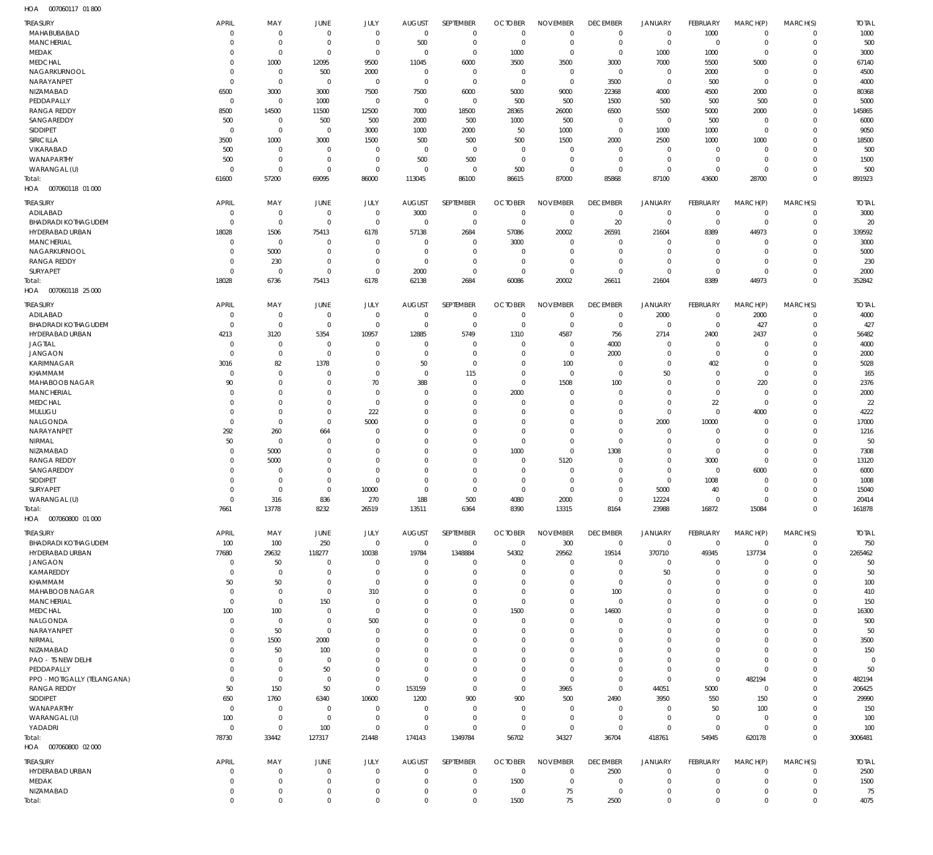| HOA<br>007060117 01 800     |                |                |                |             |                |             |                |                 |                 |                |                 |                |                |                |
|-----------------------------|----------------|----------------|----------------|-------------|----------------|-------------|----------------|-----------------|-----------------|----------------|-----------------|----------------|----------------|----------------|
| <b>TREASURY</b>             | <b>APRIL</b>   | MAY            | <b>JUNE</b>    | <b>JULY</b> | <b>AUGUST</b>  | SEPTEMBER   | <b>OCTOBER</b> | <b>NOVEMBER</b> | <b>DECEMBER</b> | JANUARY        | FEBRUARY        | MARCH(P)       | MARCH(S)       | <b>TOTAL</b>   |
| MAHABUBABAD                 | $\mathbf 0$    | $\overline{0}$ | $\overline{0}$ | $\mathbf 0$ | $\mathbf 0$    | $\mathbf 0$ | $\mathbf 0$    | $\mathbf 0$     | $\overline{0}$  | $\overline{0}$ | 1000            | $\mathbf 0$    | $\overline{0}$ | 1000           |
| <b>MANCHERIAL</b>           | $\mathbf 0$    | $\overline{0}$ | $\overline{0}$ | $\mathbf 0$ | 500            | $\mathbf 0$ | $\overline{0}$ | $\mathbf 0$     | $\overline{0}$  | $\overline{0}$ | $\mathbf 0$     | $\mathbf 0$    | $\mathbf 0$    | 500            |
| <b>MEDAK</b>                | $\mathbf 0$    | $\overline{0}$ | $\overline{0}$ | $\mathbf 0$ | $\overline{0}$ | $\mathbf 0$ | 1000           | $\mathbf 0$     | $\overline{0}$  | 1000           | 1000            | $\overline{0}$ | $\overline{0}$ | 3000           |
| <b>MEDCHAL</b>              | $\mathbf 0$    | 1000           | 12095          | 9500        | 11045          | 6000        | 3500           | 3500            | 3000            | 7000           | 5500            | 5000           | $\Omega$       | 67140          |
| NAGARKURNOOL                | $\mathbf 0$    | $\overline{0}$ | 500            | 2000        | $\overline{0}$ | $\mathbf 0$ | $\overline{0}$ | $\mathbf 0$     | $\overline{0}$  | $\overline{0}$ | 2000            | $\Omega$       | $\Omega$       | 4500           |
| NARAYANPET                  | $\mathbf 0$    | $\overline{0}$ | $\Omega$       | $\Omega$    | $\overline{0}$ | $\mathbf 0$ | $\overline{0}$ | $\mathbf 0$     | 3500            | $\mathbf 0$    | 500             | $\Omega$       | $\Omega$       | 4000           |
| NIZAMABAD                   |                |                |                |             |                |             | 5000           |                 |                 |                |                 |                | $\overline{0}$ |                |
|                             | 6500           | 3000           | 3000           | 7500        | 7500           | 6000        |                | 9000            | 22368           | 4000           | 4500            | 2000           |                | 80368          |
| PEDDAPALLY                  | $\mathbf 0$    | $\overline{0}$ | 1000           | $\mathbf 0$ | $\overline{0}$ | $\mathbf 0$ | 500            | 500             | 1500            | 500            | 500             | 500            | $\Omega$       | 5000           |
| <b>RANGA REDDY</b>          | 8500           | 14500          | 11500          | 12500       | 7000           | 18500       | 28365          | 26000           | 6500            | 5500           | 5000            | 2000           | $\Omega$       | 145865         |
| SANGAREDDY                  | 500            | $\mathbf 0$    | 500            | 500         | 2000           | 500         | 1000           | 500             | $\overline{0}$  | $\mathbf 0$    | 500             | $\Omega$       | $\Omega$       | 6000           |
| SIDDIPET                    | $\mathbf 0$    | $\overline{0}$ | $\overline{0}$ | 3000        | 1000           | 2000        | 50             | 1000            | $\overline{0}$  | 1000           | 1000            | $\mathbf 0$    | $\Omega$       | 9050           |
| SIRICILLA                   | 3500           | 1000           | 3000           | 1500        | 500            | 500         | 500            | 1500            | 2000            | 2500           | 1000            | 1000           | $\Omega$       | 18500          |
| VIKARABAD                   | 500            | $\overline{0}$ | $\Omega$       | $\Omega$    | $\mathbf 0$    | $\mathbf 0$ | $\overline{0}$ | $\mathbf 0$     | $\overline{0}$  | $\mathbf 0$    | $\mathbf 0$     | $\Omega$       | $\Omega$       | 500            |
| WANAPARTHY                  | 500            | $\mathbf 0$    | $\overline{0}$ | $\mathbf 0$ | 500            | 500         | $\overline{0}$ | $\mathbf 0$     | $\overline{0}$  | $\mathbf 0$    | $\mathbf 0$     | $\Omega$       | $\Omega$       | 1500           |
| WARANGAL (U)                | $\mathbf 0$    | $\overline{0}$ | $\mathbf 0$    | $\mathbf 0$ | $\mathbf 0$    | $\mathbf 0$ | 500            | $\mathbf 0$     | $\overline{0}$  | $\overline{0}$ | $\mathbf 0$     | $\mathbf 0$    | $\Omega$       | 500            |
| Total:                      | 61600          | 57200          | 69095          | 86000       | 113045         | 86100       | 86615          | 87000           | 85868           | 87100          | 43600           | 28700          | $\Omega$       | 891923         |
| HOA<br>007060118 01 000     |                |                |                |             |                |             |                |                 |                 |                |                 |                |                |                |
|                             |                |                |                |             |                |             |                |                 |                 |                |                 |                |                |                |
| <b>TREASURY</b>             | <b>APRIL</b>   | MAY            | JUNE           | JULY        | <b>AUGUST</b>  | SEPTEMBER   | <b>OCTOBER</b> | <b>NOVEMBER</b> | <b>DECEMBER</b> | <b>JANUARY</b> | FEBRUARY        | MARCH(P)       | MARCH(S)       | <b>TOTAL</b>   |
| ADILABAD                    | $\mathbf 0$    | $\mathbf 0$    | $^{\circ}$     | $\mathbf 0$ | 3000           | $\mathbf 0$ | $^{\circ}$     | $\mathbf 0$     | $\overline{0}$  | $\overline{0}$ | $\mathbf 0$     | $\mathbf 0$    | $^{\circ}$     | 3000           |
| BHADRADI KOTHAGUDEM         | $\mathbf 0$    | $\overline{0}$ | $\Omega$       | $\mathbf 0$ | $^{\circ}$     | $\mathbf 0$ | $\overline{0}$ | $\mathbf 0$     | 20              | $\overline{0}$ | $\mathbf 0$     | $^{\circ}$     | $\overline{0}$ | 20             |
| HYDERABAD URBAN             | 18028          | 1506           | 75413          | 6178        | 57138          | 2684        | 57086          | 20002           | 26591           | 21604          | 8389            | 44973          | $\Omega$       | 339592         |
| <b>MANCHERIAL</b>           | $\mathbf 0$    | $\overline{0}$ | - 0            | $\Omega$    | 0              | $\mathbf 0$ | 3000           | 0               | $\mathbf 0$     | 0              | $\mathbf 0$     | $\Omega$       | $\Omega$       | 3000           |
| NAGARKURNOOL                | $\mathbf 0$    | 5000           | $\Omega$       | $\Omega$    | 0              | $\mathbf 0$ | $\overline{0}$ | $\mathbf 0$     | $\overline{0}$  | 0              | $\mathbf 0$     | $^{\circ}$     | $\Omega$       | 5000           |
| <b>RANGA REDDY</b>          | $\mathbf 0$    | 230            | $\Omega$       | $\Omega$    | $^{\circ}$     | $\mathbf 0$ | $^{\circ}$     | $\mathbf 0$     | $\overline{0}$  | $\mathbf 0$    | $\mathbf 0$     | $\Omega$       | $\Omega$       | 230            |
| SURYAPET                    | $\mathbf 0$    | $\overline{0}$ | $\overline{0}$ | $\mathbf 0$ | 2000           | $\mathbf 0$ | $\overline{0}$ | $\mathbf 0$     | $\overline{0}$  | $\mathbf 0$    | $\mathbf 0$     | $\overline{0}$ | $\Omega$       | 2000           |
| Total:                      | 18028          | 6736           | 75413          | 6178        | 62138          | 2684        | 60086          | 20002           | 26611           | 21604          | 8389            | 44973          | $\Omega$       | 352842         |
| 007060118 25 000<br>HOA     |                |                |                |             |                |             |                |                 |                 |                |                 |                |                |                |
|                             |                |                |                |             |                |             |                |                 |                 |                |                 |                |                |                |
| <b>TREASURY</b>             | <b>APRIL</b>   | MAY            | JUNE           | JULY        | <b>AUGUST</b>  | SEPTEMBER   | <b>OCTOBER</b> | <b>NOVEMBER</b> | <b>DECEMBER</b> | <b>JANUARY</b> | FEBRUARY        | MARCH(P)       | MARCH(S)       | <b>TOTAL</b>   |
| ADILABAD                    | $\mathbf 0$    | $\mathbf 0$    | $\mathbf 0$    | $\mathbf 0$ | $\overline{0}$ | $\mathbf 0$ | $\overline{0}$ | $\mathbf 0$     | $\overline{0}$  | 2000           | $\mathbf 0$     | 2000           | $\mathbf 0$    | 4000           |
| <b>BHADRADI KOTHAGUDEM</b>  | $\mathbf 0$    | $\overline{0}$ | $\mathbf 0$    | $\mathbf 0$ | $\mathbf 0$    | $\mathbf 0$ | $\overline{0}$ | $\mathbf 0$     | $\overline{0}$  | $\overline{0}$ | $\mathbf 0$     | 427            | $\mathbf 0$    | 427            |
| HYDERABAD URBAN             | 4213           | 3120           | 5354           | 10957       | 12885          | 5749        | 1310           | 4587            | 756             | 2714           | 2400            | 2437           | $\Omega$       | 56482          |
| <b>JAGTIAL</b>              | $\mathbf 0$    | $\mathbf 0$    | $\Omega$       | $\Omega$    | $\Omega$       | 0           | $^{\circ}$     | $\mathbf 0$     | 4000            | $\mathbf 0$    | $\mathbf 0$     | $\Omega$       | $\Omega$       | 4000           |
| <b>JANGAON</b>              | $\mathbf 0$    | $\overline{0}$ | $\Omega$       | $\Omega$    | $\Omega$       | $\mathbf 0$ | $\mathbf 0$    | $\mathbf 0$     | 2000            | $\mathbf 0$    | $\mathbf 0$     | $\Omega$       | $\Omega$       | 2000           |
| KARIMNAGAR                  | 3016           | 82             | 1378           | $\Omega$    | 50             | $\mathbf 0$ | $\mathbf 0$    | 100             | $\mathbf 0$     | $\mathbf 0$    | 402             | $\Omega$       | $\Omega$       | 5028           |
| KHAMMAM                     | $\mathbf 0$    | $\mathbf 0$    | $\Omega$       | $\Omega$    | $^{\circ}$     | 115         | $\mathbf 0$    | $\mathbf 0$     | $\overline{0}$  | 50             | $\mathbf 0$     | $\Omega$       | $\Omega$       | 165            |
| MAHABOOB NAGAR              | 90             | $\mathbf 0$    | $\Omega$       | 70          | 388            | $\mathbf 0$ | $\mathbf 0$    | 1508            | 100             | $\mathbf 0$    | $\mathbf 0$     | 220            | $\Omega$       | 2376           |
|                             |                |                | $\Omega$       | $\Omega$    | $\Omega$       |             |                |                 | $\overline{0}$  | $\mathbf 0$    |                 | $\Omega$       | $\Omega$       |                |
| <b>MANCHERIAL</b>           | $\mathbf 0$    | $\mathbf 0$    |                |             |                | $\mathbf 0$ | 2000           | $\mathbf 0$     |                 |                | $\mathbf 0$     |                |                | 2000           |
| <b>MEDCHAL</b>              | $\mathbf 0$    | $\mathbf 0$    | $\Omega$       | $\Omega$    | $\Omega$       | $\mathbf 0$ | -0             | $\mathbf 0$     | $\mathbf 0$     | $\mathbf 0$    | 22              | $\Omega$       | $\Omega$       | 22             |
| MULUGU                      | $\mathbf 0$    | $\mathbf 0$    | $\Omega$       | 222         | $\Omega$       | $\mathbf 0$ | $^{\circ}$     | $\mathbf 0$     | $\overline{0}$  | $\mathbf 0$    | $\mathbf 0$     | 4000           | $\Omega$       | 4222           |
| NALGONDA                    | $\mathbf 0$    | $\mathbf 0$    | $\Omega$       | 5000        | $\Omega$       | $\mathbf 0$ | $\mathbf 0$    | $\mathbf 0$     | $\overline{0}$  | 2000           | 10000           | $\Omega$       | $\Omega$       | 17000          |
| NARAYANPET                  | 292            | 260            | 664            | $\Omega$    | $\Omega$       | $\mathbf 0$ | $\mathbf 0$    | $\mathbf 0$     | $\overline{0}$  | $\mathbf 0$    | $\mathbf 0$     | $\Omega$       | $\Omega$       | 1216           |
| NIRMAL                      | 50             | $\overline{0}$ | $\Omega$       | $\Omega$    | $\Omega$       | $\mathbf 0$ | $\mathbf 0$    | $\mathbf 0$     | $\overline{0}$  | $\mathbf 0$    | $\mathbf 0$     | $\Omega$       | $\Omega$       | 50             |
| NIZAMABAD                   | $\mathbf 0$    | 5000           | $\Omega$       | $\Omega$    | $\Omega$       | $\mathbf 0$ | 1000           | $\mathbf 0$     | 1308            | $\mathbf 0$    | $\mathbf 0$     | $\Omega$       | $\Omega$       | 7308           |
| <b>RANGA REDDY</b>          | 0              | 5000           | $\Omega$       | $\Omega$    | $\Omega$       | $\mathbf 0$ | $\mathbf 0$    | 5120            | $\mathbf 0$     | $\mathbf 0$    | 3000            | $\Omega$       | $\Omega$       | 13120          |
| SANGAREDDY                  | $\Omega$       | $\Omega$       | $\Omega$       | $\Omega$    | $\Omega$       | $\mathbf 0$ | $\mathbf 0$    | $\mathbf 0$     | $\overline{0}$  | $\mathbf 0$    | $\mathbf 0$     | 6000           | $\Omega$       | 6000           |
| SIDDIPET                    | $\Omega$       | $\mathbf 0$    | $^{\circ}$     | $\Omega$    | $\Omega$       | $\mathbf 0$ | $\mathbf 0$    | $\mathbf 0$     | $\overline{0}$  | $\mathbf 0$    | 1008            | $\mathbf{0}$   | $\mathbf 0$    | 1008           |
| <b>SURYAPET</b>             | $\mathbf 0$    | $\mathbf 0$    | $\mathbf 0$    | 10000       | $\Omega$       | $\Omega$    | $\Omega$       | $\mathbf 0$     | $\mathbf 0$     | 5000           | 40              | $\mathbf 0$    | $\mathbf 0$    | 15040          |
| WARANGAL (U)                | $\overline{0}$ | 316            | 836            | 270         | 188            | 500         | 4080           | 2000            | $\overline{0}$  | 12224          | $\mathbf 0$     | $\mathbf 0$    | $\mathbf 0$    | 20414          |
| Total:                      | 7661           | 13778          | 8232           | 26519       | 13511          | 6364        | 8390           | 13315           | 8164            | 23988          | 16872           | 15084          | $\mathbf 0$    | 161878         |
| 007060800 01 000<br>HOA     |                |                |                |             |                |             |                |                 |                 |                |                 |                |                |                |
|                             |                |                |                |             |                |             |                |                 |                 |                |                 |                |                |                |
| TREASURY                    | <b>APRIL</b>   | MAY            | <b>JUNE</b>    | JULY        | <b>AUGUST</b>  | SEPTEMBER   | <b>OCTOBER</b> | <b>NOVEMBER</b> | <b>DECEMBER</b> | JANUARY        | FEBRUARY        | MARCH(P)       | MARCH(S)       | <b>TOTAL</b>   |
| <b>BHADRADI KOTHAGUDEM</b>  | 100            | 100            | 250            | $\mathbf 0$ | $\mathbf 0$    | $\mathbf 0$ | $\mathbf 0$    | 300             | $\overline{0}$  | $\overline{0}$ | $\mathbf 0$     | $\mathbf 0$    | $\overline{0}$ | 750            |
| HYDERABAD URBAN             | 77680          | 29632          | 118277         | 10038       | 19784          | 1348884     | 54302          | 29562           | 19514           | 370710         | 49345           | 137734         | $\mathbf 0$    | 2265462        |
| <b>JANGAON</b>              | $\mathbf 0$    | 50             | $^{\circ}$     | $\mathbf 0$ | $\mathbf 0$    | $\mathbf 0$ | $\mathbf 0$    | $\mathbf 0$     | $\overline{0}$  | $\overline{0}$ | $\mathbf 0$     | $\Omega$       | $\Omega$       | 50             |
| KAMAREDDY                   | $\mathbf 0$    | $\overline{0}$ | $^{\circ}$     | $\Omega$    | 0              | $\mathbf 0$ | $^{\circ}$     | $\mathbf 0$     | $\overline{0}$  | 50             | $\overline{0}$  | $\Omega$       | $\Omega$       | 50             |
| KHAMMAM                     | 50             | 50             | $^{\circ}$     | $\Omega$    | $\Omega$       | $\mathbf 0$ | $\mathbf 0$    | $\mathbf 0$     | $\overline{0}$  | $^{\circ}$     | $\overline{0}$  | $\Omega$       | $\Omega$       | 100            |
| MAHABOOB NAGAR              | $\mathbf 0$    | $\overline{0}$ | $\Omega$       | 310         | $\Omega$       | $\mathbf 0$ | $\mathbf 0$    | $\mathbf 0$     | 100             | 0              | $\overline{0}$  | $\Omega$       | $\Omega$       | 410            |
| <b>MANCHERIAL</b>           | $\mathbf 0$    | $\overline{0}$ | 150            | $\Omega$    | $\Omega$       | $\mathbf 0$ | $^{\circ}$     | $\mathbf 0$     | $\overline{0}$  | 0              | $\overline{0}$  | $\Omega$       | $\Omega$       | 150            |
| MEDCHAL                     | 100            | 100            | $\Omega$       | $\Omega$    | $\Omega$       | $\mathbf 0$ | 1500           | $\mathbf 0$     | 14600           | 0              | $\mathbf 0$     | $\Omega$       | $\Omega$       | 16300          |
|                             | $\mathbf 0$    | $\overline{0}$ | $^{\circ}$     |             | $\Omega$       | $\mathbf 0$ | $^{\circ}$     | $\mathbf 0$     | $\overline{0}$  | 0              | $\overline{0}$  | $\Omega$       | $\Omega$       |                |
| NALGONDA                    |                |                |                | 500         |                |             |                |                 |                 |                |                 |                | $\Omega$       | 500            |
| NARAYANPET                  | $\mathbf 0$    | 50             | $^{\circ}$     | $\Omega$    | $\Omega$       | $\mathbf 0$ | $^{\circ}$     | $\mathbf 0$     | $\overline{0}$  | 0              | $\overline{0}$  | $\Omega$       |                | 50             |
| <b>NIRMAL</b>               | 0              | 1500           | 2000           | $\Omega$    | $\Omega$       | $\mathbf 0$ | $\mathbf 0$    | $\mathbf 0$     | $\overline{0}$  | 0              | $\mathbf 0$     | $\Omega$       | $\Omega$       | 3500           |
| NIZAMABAD                   | 0              | 50             | 100            | $\Omega$    | $\Omega$       | $\mathbf 0$ | $\mathbf 0$    | $\mathbf 0$     | $\overline{0}$  | 0              | $\mathbf 0$     | $\Omega$       | $\Omega$       | 150            |
| PAO - TS NEW DELHI          | 0              | $\mathbf 0$    | $\overline{0}$ | $\Omega$    | $\Omega$       | $\mathbf 0$ | $\mathbf 0$    | $\mathbf 0$     | $\overline{0}$  | $\mathbf 0$    | $\mathbf 0$     | $\Omega$       | $\Omega$       | $\overline{0}$ |
| PEDDAPALLY                  | $\mathbf 0$    | $\mathbf 0$    | 50             | $\Omega$    | $\Omega$       | $\mathbf 0$ | $\mathbf 0$    | $\mathbf 0$     | $\overline{0}$  | $\mathbf 0$    | $\mathbf 0$     | $\mathbf{0}$   | $\Omega$       | 50             |
| PPO - MOTIGALLY (TELANGANA) | $\mathbf 0$    | $\overline{0}$ | $\overline{0}$ | $\Omega$    | $\overline{0}$ | $\mathbf 0$ | $\mathbf 0$    | $\mathbf 0$     | $\overline{0}$  | $\overline{0}$ | $\mathbf 0$     | 482194         | $\Omega$       | 482194         |
| <b>RANGA REDDY</b>          |                |                | 50             | $\mathbf 0$ | 153159         | $\mathbf 0$ | $\mathbf 0$    | 3965            | $\overline{0}$  | 44051          | 5000            | $^{\circ}$     | $\Omega$       | 206425         |
|                             | 50             | 150            |                |             |                | 900         | 900            | 500             | 2490            | 3950           |                 | 150            | $\Omega$       | 29990          |
| SIDDIPET                    | 650            | 1760           | 6340           | 10600       | 1200           |             |                |                 |                 |                | 550             |                |                |                |
| WANAPARTHY                  | $\mathbf 0$    | $\mathbf 0$    | $\overline{0}$ | $\Omega$    | $\overline{0}$ | $\mathbf 0$ | $\overline{0}$ | $\mathbf 0$     | $\overline{0}$  | $\mathbf 0$    | 50              | 100            | $\Omega$       | 150            |
| WARANGAL (U)                | 100            | $\mathbf 0$    | $^{\circ}$     | $\mathbf 0$ | $^{\circ}$     | $\mathbf 0$ | $^{\circ}$     | $\mathbf 0$     | $\overline{0}$  | $\mathbf 0$    | $\mathbf 0$     | $^{\circ}$     | $\Omega$       | 100            |
| YADADRI                     | $\mathbf 0$    | $\overline{0}$ | 100            | $\mathbf 0$ | $^{\circ}$     | $\mathbf 0$ | $^{\circ}$     | $\mathbf 0$     | $\overline{0}$  | $\overline{0}$ | $\mathbf 0$     | $\mathbf 0$    | $\mathbf 0$    | 100            |
| Total:                      | 78730          | 33442          | 127317         | 21448       | 174143         | 1349784     | 56702          | 34327           | 36704           | 418761         | 54945           | 620178         | $\mathbf 0$    | 3006481        |
|                             |                |                |                |             |                |             |                |                 |                 |                |                 |                |                |                |
| 007060800 02 000<br>HOA     |                |                |                |             |                |             |                |                 |                 |                |                 |                |                |                |
| TREASURY                    | <b>APRIL</b>   | MAY            | <b>JUNE</b>    | JULY        | <b>AUGUST</b>  | SEPTEMBER   | <b>OCTOBER</b> | <b>NOVEMBER</b> | <b>DECEMBER</b> | JANUARY        | <b>FEBRUARY</b> | MARCH(P)       | MARCH(S)       | <b>TOTAL</b>   |
| HYDERABAD URBAN             | $\mathbf 0$    | $\overline{0}$ | $\mathbf 0$    | $\Omega$    | $\mathbf 0$    | $\mathbf 0$ | $\overline{0}$ | $\mathbf 0$     | 2500            | $\overline{0}$ | $\mathbf 0$     | $\Omega$       | $\mathbf 0$    | 2500           |
| MEDAK                       | $\mathbf 0$    | $\mathbf 0$    | $^{\circ}$     | $\Omega$    | $\mathbf 0$    | $\mathbf 0$ | 1500           | $\mathbf 0$     | $\overline{0}$  | $\overline{0}$ | $\mathbf 0$     | $^{\circ}$     | $\mathbf 0$    | 1500           |
| NIZAMABAD                   | $\mathbf 0$    | $\mathbf 0$    | $^{\circ}$     | $\mathbf 0$ | 0              | $\mathbf 0$ | $^{\circ}$     | 75              | $\overline{0}$  | $\mathbf 0$    | $\mathbf 0$     | $\mathbf 0$    | $\mathbf 0$    | 75             |
| Total:                      | $\mathbf 0$    | $\mathbb O$    | $\mathbf 0$    | $\Omega$    | $\Omega$       | $\mathbf 0$ | 1500           | 75              | 2500            | $\mathbf 0$    | $\mathbf 0$     | $\mathbf 0$    | $\mathbf 0$    | 4075           |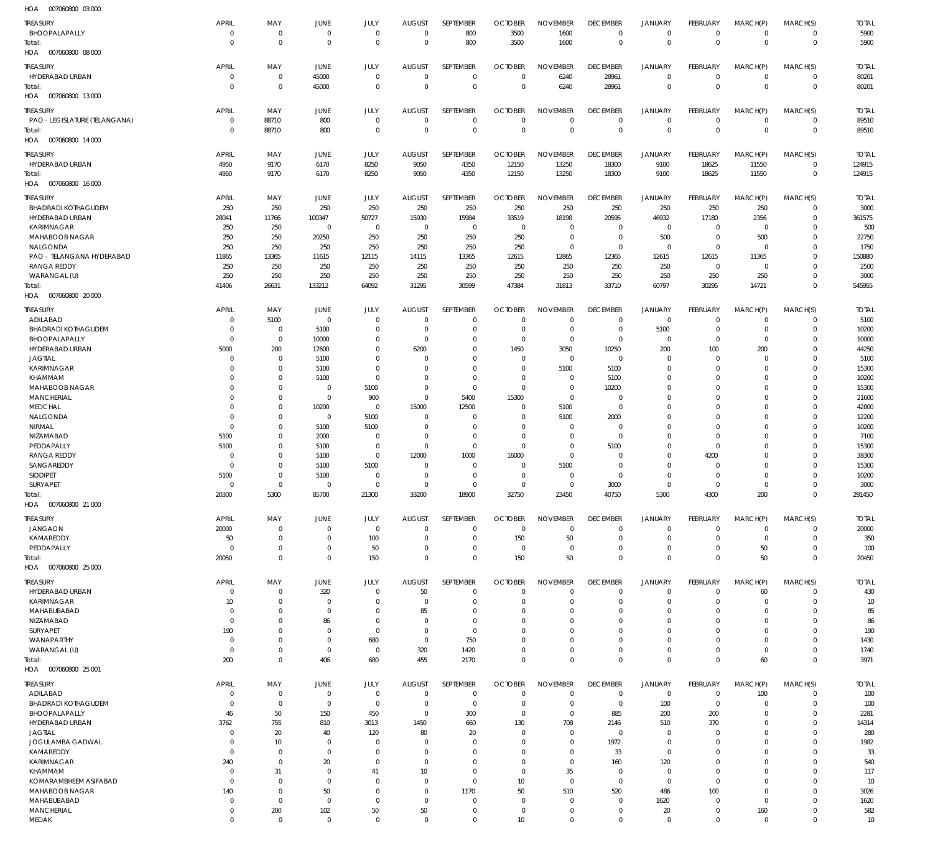| HOA<br>007060800 03 000       |                            |                    |                       |                   |                      |                             |                      |                             |                            |                   |                               |                    |                            |              |
|-------------------------------|----------------------------|--------------------|-----------------------|-------------------|----------------------|-----------------------------|----------------------|-----------------------------|----------------------------|-------------------|-------------------------------|--------------------|----------------------------|--------------|
| TREASURY                      | APRIL                      | MAY                | JUNE                  | JULY              | <b>AUGUST</b>        | SEPTEMBER                   | <b>OCTOBER</b>       | <b>NOVEMBER</b>             | <b>DECEMBER</b>            | <b>JANUARY</b>    | <b>FEBRUARY</b>               | MARCH(P)           | MARCH(S)                   | <b>TOTAL</b> |
| BHOOPALAPALLY                 | $\overline{0}$             | $\mathbf 0$        | $\overline{0}$        | $\overline{0}$    | $\overline{0}$       | 800                         | 3500                 | 1600                        | $\overline{0}$             | $\overline{0}$    | $\overline{0}$                | $\mathbf 0$        | $\overline{0}$             | 5900         |
| Total:                        | $\overline{0}$             | $\mathbf 0$        | $\overline{0}$        | $\overline{0}$    | $\overline{0}$       | 800                         | 3500                 | 1600                        | $\overline{0}$             | $\mathbf 0$       | $\overline{0}$                | $\overline{0}$     | $\overline{0}$             | 5900         |
| HOA  007060800  08  000       |                            |                    |                       |                   |                      |                             |                      |                             |                            |                   |                               |                    |                            |              |
|                               |                            |                    |                       |                   |                      |                             |                      |                             |                            |                   |                               |                    |                            |              |
| <b>TREASURY</b>               | <b>APRIL</b>               | MAY                | <b>JUNE</b>           | JULY              | <b>AUGUST</b>        | SEPTEMBER                   | <b>OCTOBER</b>       | <b>NOVEMBER</b>             | <b>DECEMBER</b>            | <b>JANUARY</b>    | <b>FEBRUARY</b>               | MARCH(P)           | MARCH(S)                   | <b>TOTAL</b> |
| HYDERABAD URBAN               | $\overline{0}$             | $\mathbf 0$        | 45000                 | $\mathbf 0$       | $\overline{0}$       | $\mathbf 0$                 | $\overline{0}$       | 6240                        | 28961                      | $\mathbf 0$       | $\overline{0}$                | $\mathbf 0$        | $\overline{0}$             | 80201        |
| Total:                        | $\overline{0}$             | $\mathbf 0$        | 45000                 | $\mathbf 0$       | $\overline{0}$       | $\mathbf 0$                 | $\overline{0}$       | 6240                        | 28961                      | $\mathbf 0$       | $\overline{0}$                | $\mathbf 0$        | $\overline{0}$             | 80201        |
| 007060800 13 000<br>HOA       |                            |                    |                       |                   |                      |                             |                      |                             |                            |                   |                               |                    |                            |              |
| <b>TREASURY</b>               | <b>APRIL</b>               | MAY                | JUNE                  | JULY              | <b>AUGUST</b>        | SEPTEMBER                   | <b>OCTOBER</b>       | <b>NOVEMBER</b>             | <b>DECEMBER</b>            | JANUARY           | <b>FEBRUARY</b>               | MARCH(P)           | MARCH(S)                   | <b>TOTAL</b> |
| PAO - LEGISLATURE (TELANGANA) | $\mathbf 0$                | 88710              | 800                   | $\mathbf 0$       | $\mathbf 0$          | $\mathbf{0}$                | $\mathbf 0$          | $\mathbf 0$                 | $\overline{0}$             | $\mathbf 0$       | $\overline{0}$                | $\mathbf 0$        | $\overline{0}$             | 89510        |
|                               | $\mathbf 0$                |                    |                       | $\mathbf 0$       | $\overline{0}$       | $\mathbf 0$                 | $\overline{0}$       | $\mathbf 0$                 | $\overline{0}$             | $\mathbf{0}$      | $\overline{0}$                | $\mathbf 0$        |                            |              |
| Total:                        |                            | 88710              | 800                   |                   |                      |                             |                      |                             |                            |                   |                               |                    | $\overline{0}$             | 89510        |
| 007060800 14 000<br>HOA       |                            |                    |                       |                   |                      |                             |                      |                             |                            |                   |                               |                    |                            |              |
| TREASURY                      | <b>APRIL</b>               | MAY                | JUNE                  | JULY              | <b>AUGUST</b>        | SEPTEMBER                   | <b>OCTOBER</b>       | <b>NOVEMBER</b>             | <b>DECEMBER</b>            | JANUARY           | FEBRUARY                      | MARCH(P)           | MARCH(S)                   | <b>TOTAL</b> |
| HYDERABAD URBAN               | 4950                       | 9170               | 6170                  | 8250              | 9050                 | 4350                        | 12150                | 13250                       | 18300                      | 9100              | 18625                         | 11550              | $\overline{0}$             | 124915       |
| Total:                        | 4950                       | 9170               | 6170                  | 8250              | 9050                 | 4350                        | 12150                | 13250                       | 18300                      | 9100              | 18625                         | 11550              | $\overline{0}$             | 124915       |
| HOA  007060800  16 000        |                            |                    |                       |                   |                      |                             |                      |                             |                            |                   |                               |                    |                            |              |
|                               |                            |                    |                       |                   |                      |                             |                      |                             |                            |                   |                               |                    |                            |              |
| <b>TREASURY</b>               | <b>APRIL</b>               | MAY                | <b>JUNE</b>           | JULY              | <b>AUGUST</b>        | SEPTEMBER                   | <b>OCTOBER</b>       | <b>NOVEMBER</b>             | <b>DECEMBER</b>            | JANUARY           | <b>FEBRUARY</b>               | MARCH(P)           | MARCH(S)                   | <b>TOTAL</b> |
| <b>BHADRADI KOTHAGUDEM</b>    | 250                        | 250                | 250                   | 250               | 250                  | 250                         | 250                  | 250                         | 250                        | 250               | 250                           | 250                | $\overline{0}$             | 3000         |
| <b>HYDERABAD URBAN</b>        | 28041                      | 11766              | 100347                | 50727             | 15930                | 15984                       | 33519                | 18198                       | 20595                      | 46932             | 17180                         | 2356               | $\overline{0}$             | 361575       |
| <b>KARIMNAGAR</b>             | 250                        | 250                | $\overline{0}$        | $\overline{0}$    | $\overline{0}$       | $\overline{0}$              | $\overline{0}$       | $\mathbf 0$                 | $\overline{0}$             | $\overline{0}$    | $\overline{0}$                | $\mathbf 0$        | $\mathbf 0$                | 500          |
| MAHABOOB NAGAR                | 250                        | 250                | 20250                 | 250               | 250                  | 250                         | 250                  | $\overline{0}$              | $\overline{0}$             | 500               | $\overline{0}$                | 500                | $\Omega$                   | 22750        |
| NALGONDA                      | 250                        | 250                | 250                   | 250               | 250                  | 250                         | 250                  | $\mathbf 0$                 | $\overline{0}$             | $\overline{0}$    | $\overline{0}$                | $\mathbf 0$        | $\Omega$                   | 1750         |
| PAO - TELANGANA HYDERABAD     | 11865                      | 13365              | 11615                 | 12115             | 14115                | 13365                       | 12615                | 12865                       | 12365                      | 12615             | 12615                         | 11365              | $\mathbf 0$                | 150880       |
| <b>RANGA REDDY</b>            | 250                        | 250                | 250                   | 250               | 250                  | 250                         | 250                  | 250                         | 250                        | 250               | $\overline{0}$                | $\mathbf 0$        | $\mathbf 0$                | 2500         |
| WARANGAL (U)                  | 250                        | 250                | 250                   | 250               | 250                  | 250                         | 250                  | 250                         | 250                        | 250               | 250                           | 250                | $\mathbf 0$                | 3000         |
| Total:                        | 41406                      | 26631              | 133212                | 64092             | 31295                | 30599                       | 47384                | 31813                       | 33710                      | 60797             | 30295                         | 14721              | $\overline{0}$             | 545955       |
| HOA 007060800 20 000          |                            |                    |                       |                   |                      |                             |                      |                             |                            |                   |                               |                    |                            |              |
| TREASURY                      | <b>APRIL</b>               | MAY                | <b>JUNE</b>           | JULY              | <b>AUGUST</b>        | SEPTEMBER                   | <b>OCTOBER</b>       | <b>NOVEMBER</b>             | <b>DECEMBER</b>            | <b>JANUARY</b>    | FEBRUARY                      | MARCH(P)           | MARCH(S)                   | <b>TOTAL</b> |
| ADILABAD                      | $\overline{0}$             | 5100               | $\overline{0}$        | $\mathbf 0$       | $\mathbf 0$          | $\mathbf 0$                 | $\overline{0}$       | $\mathbf 0$                 | $\overline{0}$             | $\overline{0}$    | $\overline{0}$                | 0                  | $\overline{0}$             | 5100         |
|                               |                            |                    |                       |                   |                      |                             |                      |                             |                            |                   |                               |                    |                            |              |
| <b>BHADRADI KOTHAGUDEM</b>    | $\overline{0}$             | $\mathbf 0$        | 5100                  | $\mathbf 0$       | $\overline{0}$       | $\mathbf 0$                 | $\overline{0}$       | $\mathbf 0$                 | $\overline{0}$             | 5100              | $\overline{0}$                | $\mathbf 0$        | $\overline{0}$             | 10200        |
| BHOOPALAPALLY                 | $\overline{0}$             | $\mathbf 0$        | 10000                 | $\mathbf 0$       | $\overline{0}$       | $\mathbf{0}$                | $\overline{0}$       | $\mathbf 0$                 | $\overline{0}$             | $\mathbf 0$       | $\overline{0}$                | $\Omega$           | $\mathbf 0$                | 10000        |
| HYDERABAD URBAN               | 5000                       | 200                | 17600                 | $\mathbf 0$       | 6200                 | $\mathbf{0}$                | 1450                 | 3050                        | 10250                      | 200               | 100                           | 200                | $\mathbf 0$                | 44250        |
| <b>JAGTIAL</b>                | 0                          | $\mathbf 0$        | 5100                  | $\Omega$          | 0                    | $\mathbf 0$                 | $\overline{0}$       | $\mathbf 0$                 | $\overline{0}$             | $\mathbf 0$       | $\overline{0}$                | $\Omega$           | $\mathbf 0$                | 5100         |
| KARIMNAGAR                    | $\Omega$                   | $\mathbf 0$        | 5100                  | $\Omega$          | $\Omega$             | $\mathbf 0$                 | $\overline{0}$       | 5100                        | 5100                       | $\mathbf 0$       | $\overline{0}$                | $\Omega$           | $\Omega$                   | 15300        |
| KHAMMAM                       | $\mathbf 0$                | $\mathbf 0$        | 5100                  | $\mathbf 0$       | $\mathbf 0$          | $\mathbf 0$                 | $\overline{0}$       | $\mathbf 0$                 | 5100                       | $\mathbf 0$       | $\overline{0}$                | $\Omega$           | $\mathbf 0$                | 10200        |
| MAHABOOB NAGAR                | $\Omega$                   | $\mathbf 0$        | $\overline{0}$        | 5100              | $\overline{0}$       | $\mathbf 0$                 | $\overline{0}$       | $\overline{0}$              | 10200                      | $\mathbf 0$       | $\mathbf 0$                   | $\Omega$           | $\Omega$                   | 15300        |
| <b>MANCHERIAL</b>             | $\mathbf 0$                | $\mathbf 0$        | $\overline{0}$        | 900               | $\overline{0}$       | 5400                        | 15300                | $\mathbf 0$                 | $\mathbf 0$                | $\mathbf 0$       | $\overline{0}$                | $\Omega$           | $\mathbf 0$                | 21600        |
| <b>MEDCHAL</b>                | $\Omega$                   | $\mathbf 0$        | 10200                 | $\overline{0}$    | 15000                | 12500                       | $\overline{0}$       | 5100                        | $\overline{0}$             | $\Omega$          | $\mathbf 0$                   | $\Omega$           | $\Omega$                   | 42800        |
| NALGONDA                      | $\mathbf 0$                | $\mathbf 0$        | $\overline{0}$        | 5100              | $\mathbf 0$          | $\mathbf 0$                 | $\overline{0}$       | 5100                        | 2000                       | $\mathbf 0$       | $\mathbf 0$                   | $\Omega$           | $\mathbf 0$                | 12200        |
| NIRMAL                        | $\overline{0}$             | $\mathbf 0$        | 5100                  | 5100              | $\overline{0}$       | $\mathbf 0$                 | $\overline{0}$       | $\mathbf 0$                 | $\overline{0}$             | $\mathbf 0$       | $\mathbf 0$                   | $\Omega$           | $\mathbf 0$                | 10200        |
| NIZAMABAD                     | 5100                       | $\mathbf 0$        | 2000                  | $\mathbf 0$       | $\overline{0}$       | $\mathbf 0$                 | $\overline{0}$       | $\mathbf{0}$                | $\Omega$                   | $\mathbf 0$       | $\overline{0}$                | $\Omega$           | $\mathbf 0$                | 7100         |
| PEDDAPALLY                    | 5100                       | $\mathbf 0$        | 5100                  | $\overline{0}$    | $\overline{0}$       | $\mathbf 0$                 | $\overline{0}$       | $\mathbf 0$                 | 5100                       | $\mathbf 0$       | $\overline{0}$                | $\Omega$           | $\Omega$                   | 15300        |
| <b>RANGA REDDY</b>            | 0                          | $\mathbf 0$        | 5100                  | $\mathbf 0$       | 12000                | 1000                        | 16000                | $\mathbf 0$                 | $\mathbf 0$                | $\mathbf 0$       | 4200                          | O                  | $\mathbf 0$                | 38300        |
| SANGAREDDY                    | $\overline{0}$             | $\mathbf 0$        | 5100                  | 5100              | $\overline{0}$       | $\mathbf{0}$                | $\overline{0}$       | 5100                        | $\overline{0}$             | $\mathbf 0$       | $\overline{0}$                | $\Omega$           | $\Omega$                   | 15300        |
| SIDDIPET                      | 5100                       | $\mathbf 0$        | 5100                  | $\mathbf 0$       | $\overline{0}$       | $\mathbf 0$                 | $\overline{0}$       | $\mathbf 0$                 | $\overline{0}$             | $\mathbf 0$       | $\overline{0}$                | 0                  | $\mathbf 0$                | 10200        |
| SURYAPET                      | $\overline{0}$             | $\mathbf 0$        | $\overline{0}$        | $\Omega$          | $\Omega$             | $\mathbf 0$                 | $\overline{0}$       | $\mathbf 0$                 | 3000                       | $\Omega$          | $\overline{0}$                | $\Omega$           | $\Omega$                   | 3000         |
| Total:                        | 20300                      | 5300               | 85700                 | 21300             | 33200                | 18900                       | 32750                | 23450                       | 40750                      | 5300              | 4300                          | 200                | $\overline{0}$             | 291450       |
| 007060800 21 000<br>HOA       |                            |                    |                       |                   |                      |                             |                      |                             |                            |                   |                               |                    |                            |              |
| TREASURY                      | <b>APRIL</b>               | MAY                | JUNE                  | JULY              | <b>AUGUST</b>        | SEPTEMBER                   | <b>OCTOBER</b>       | <b>NOVEMBER</b>             | <b>DECEMBER</b>            | <b>JANUARY</b>    | <b>FEBRUARY</b>               | MARCH(P)           | MARCH(S)                   | <b>TOTAL</b> |
| <b>JANGAON</b>                | 20000                      | $\mathbf{0}$       |                       |                   |                      |                             |                      |                             |                            |                   |                               |                    |                            |              |
| KAMAREDDY                     | 50                         |                    |                       |                   |                      |                             |                      |                             |                            |                   |                               |                    |                            |              |
| PEDDAPALLY                    |                            |                    | $\overline{0}$        | $\overline{0}$    | $\mathbf 0$          | $\mathbf 0$                 | $\overline{0}$       | $\mathbf 0$                 | $\overline{0}$             | $\mathbf 0$       | $\overline{0}$                | $\mathbf 0$        | $\overline{0}$             | 20000        |
|                               |                            | $\mathbf 0$        | $\overline{0}$        | 100               | $\mathbf 0$          | $\mathbf{0}$                | 150                  | 50                          | $\mathbf 0$                | $\mathbf 0$       | $\overline{0}$                | $\mathbf 0$        | $\mathbf 0$                | 350          |
|                               | $\Omega$                   | $\mathbf 0$        | $\overline{0}$        | 50                | $\mathbf 0$          | $\mathbf{0}$                | $\overline{0}$       | 0                           | $\mathbf 0$                | $\mathbf 0$       | $\overline{0}$                | 50                 | $\mathbf 0$                | 100          |
| Total:                        | 20050                      | $\mathbf 0$        | $\overline{0}$        | 150               | $\mathbf 0$          | $\mathbf 0$                 | 150                  | 50                          | $\overline{0}$             | $\mathbf 0$       | $\overline{0}$                | 50                 | $\overline{0}$             | 20450        |
| HOA 007060800 25 000          |                            |                    |                       |                   |                      |                             |                      |                             |                            |                   |                               |                    |                            |              |
| TREASURY                      | <b>APRIL</b>               | MAY                | <b>JUNE</b>           | JULY              | <b>AUGUST</b>        | SEPTEMBER                   | <b>OCTOBER</b>       | <b>NOVEMBER</b>             | <b>DECEMBER</b>            | <b>JANUARY</b>    | FEBRUARY                      | MARCH(P)           | MARCH(S)                   | <b>TOTAL</b> |
| HYDERABAD URBAN               | $\mathbf 0$                | $\mathbf 0$        | 320                   | $\mathbf 0$       | 50                   | $\mathbf 0$                 | $\overline{0}$       | $\mathbf 0$                 | $\mathbf 0$                | $\mathbf 0$       | $\overline{0}$                | 60                 | $\mathbf 0$                | 430          |
| KARIMNAGAR                    | 10                         | $\mathbf{0}$       | $\overline{0}$        | $\mathbf 0$       | $\overline{0}$       | $\mathbf 0$                 | $\overline{0}$       | $\mathbf 0$                 | $\mathbf 0$                | $\mathbf 0$       | $\overline{0}$                | $\Omega$           | $\overline{0}$             | 10           |
| MAHABUBABAD                   | $\overline{0}$             | $\mathbf 0$        | $\overline{0}$        | $\Omega$          | 85                   | $\mathbf 0$                 | 0                    | $\mathbf 0$                 | $\mathbf 0$                | $\mathbf 0$       | 0                             | 0                  | $\mathbf 0$                | 85           |
| NIZAMABAD                     | $\overline{0}$             | $\mathbf 0$        | 86                    | $\mathbf 0$       | $\overline{0}$       | $\mathbf 0$                 | 0                    | $\Omega$                    | $\mathbf 0$                | $\mathbf 0$       | 0                             | 0                  | $\mathbf 0$                | 86           |
| SURYAPET                      | 190                        | $\mathbf 0$        | $\overline{0}$        | $\Omega$          | $\mathbf 0$          | $\mathbf 0$                 | 0                    | 0                           | $\mathbf 0$                | $\mathbf 0$       | $\Omega$                      | n                  | $\Omega$                   | 190          |
| WANAPARTHY                    | $\overline{0}$             | $\mathbf 0$        | $\overline{0}$        | 680               | $\overline{0}$       | 750                         | $\mathbf 0$          | 0                           | $\mathbf 0$                | $\mathbf 0$       | 0                             | 0                  | $\mathbf 0$                | 1430         |
| WARANGAL (U)                  | $\overline{0}$             | $\mathbf 0$        | $\overline{0}$        | $\overline{0}$    | 320                  | 1420                        | $\mathbf 0$          | $\mathbf 0$                 | $\mathbf 0$                | $\mathbf 0$       | $\mathbf 0$                   | $\mathbf 0$        | $\mathbf 0$                | 1740         |
| Total:                        | 200                        | $\mathbf 0$        | 406                   | 680               | 455                  | 2170                        | $\overline{0}$       | $\mathbf 0$                 | $\overline{0}$             | $\mathbf 0$       | $\overline{0}$                | 60                 | $\overline{0}$             | 3971         |
| HOA  007060800  25  001       |                            |                    |                       |                   |                      |                             |                      |                             |                            |                   |                               |                    |                            |              |
|                               |                            |                    |                       |                   |                      |                             |                      |                             |                            |                   |                               |                    |                            |              |
| <b>TREASURY</b>               | <b>APRIL</b>               | MAY                | JUNE                  | JULY              | <b>AUGUST</b>        | SEPTEMBER                   | <b>OCTOBER</b>       | <b>NOVEMBER</b>             | <b>DECEMBER</b>            | <b>JANUARY</b>    | <b>FEBRUARY</b>               | MARCH(P)           | MARCH(S)                   | <b>TOTAL</b> |
| ADILABAD                      | $\mathbf 0$                | $\mathbf 0$        | $\overline{0}$        | $\overline{0}$    | $\mathbf 0$          | $\overline{0}$              | $\overline{0}$       | $\mathbf 0$                 | $\overline{0}$             | $\overline{0}$    | $\overline{0}$                | 100                | $\overline{0}$             | 100          |
| <b>BHADRADI KOTHAGUDEM</b>    | $\mathbf 0$                | $\mathbf 0$        | $\overline{0}$        | $\overline{0}$    | $\overline{0}$       | $\mathbf 0$                 | $\overline{0}$       | $\mathbf{0}$                | $\mathbf 0$                | 100               | $\overline{0}$                | $\Omega$           | $\mathbf 0$                | 100          |
| BHOOPALAPALLY                 | 46                         | 50                 | 150                   | 450               | $\overline{0}$       | 300                         | $\overline{0}$       | $\mathbf 0$                 | 885                        | 200               | 200                           | 0                  | $\mathbf 0$                | 2281         |
| HYDERABAD URBAN               | 3762                       | 755                | 810                   | 3013              | 1450                 | 660                         | 130                  | 708                         | 2146                       | 510               | 370                           | $\Omega$           | $\mathbf 0$                | 14314        |
| <b>JAGTIAL</b>                | $\mathbf 0$                | 20                 | 40                    | 120               | 80                   | 20                          | $\overline{0}$       | $\mathbf{0}$                | $\mathbf 0$                | $\mathbf 0$       | $\overline{0}$                | O                  | $\mathbf 0$                | 280          |
| JOGULAMBA GADWAL              | $\mathbf 0$                | 10                 | $\overline{0}$        | $\mathbf 0$       | $\mathbf 0$          | $\mathbf{0}$                | $\overline{0}$       | $\mathbf{0}$                | 1972                       | $\mathbf 0$       | $\overline{0}$                | 0                  | $\mathbf 0$                | 1982         |
| KAMAREDDY                     | $\mathbf 0$                | $\mathbf 0$        | $\overline{0}$        | $\Omega$          | $\mathbf 0$          | $\mathbf{0}$                | $\mathbf 0$          | $\mathbf{0}$                | 33                         | $\mathbf 0$       | $\mathbf 0$                   | O                  | $\mathbf 0$                | 33           |
| <b>KARIMNAGAR</b>             | 240                        | $\mathbf 0$        | 20                    | $\Omega$          | $\mathbf 0$          | $\Omega$                    | $\overline{0}$       | $\mathbf 0$                 | 160                        | 120               | $\Omega$                      | 0                  | $\Omega$                   | 540          |
| KHAMMAM                       | $\overline{0}$             | 31                 | $\overline{0}$        | 41                | 10 <sup>°</sup>      | $\mathbf{0}$                | $\overline{0}$       | 35                          | $\overline{0}$             | $\overline{0}$    | $\overline{0}$                | O                  | $\Omega$                   | 117          |
| KOMARAMBHEEM ASIFABAD         | $\mathbf 0$                | $\mathbf 0$        | $\overline{0}$        | $\Omega$          | $\mathbf 0$          | $\mathbf 0$                 | 10 <sup>1</sup>      | $\mathbf 0$                 | $\overline{0}$             | $\mathbf 0$       | $\overline{0}$                | $\Omega$           | $\Omega$                   | 10           |
| MAHABOOB NAGAR                | 140                        | $\mathbf 0$        | 50                    | $\Omega$          | $\mathbf 0$          | 1170                        | 50                   | 510                         | 520                        | 486               | 100                           | $\Omega$           | $\mathbf 0$                | 3026         |
| MAHABUBABAD                   | $\mathbf 0$                | $\mathbf 0$        | $\overline{0}$        | $\Omega$          | $\Omega$             | $\mathbf{0}$                | $\overline{0}$       | $\mathbf{0}$                | $\mathbf 0$                | 1620              | $\overline{0}$                | $\Omega$           | $\Omega$                   | 1620         |
| <b>MANCHERIAL</b><br>MEDAK    | $\mathbf 0$<br>$\mathbf 0$ | 200<br>$\mathbf 0$ | 102<br>$\overline{0}$ | 50<br>$\mathbf 0$ | 50<br>$\overline{0}$ | $\mathbf{0}$<br>$\mathbf 0$ | $\overline{0}$<br>10 | $\mathbf{0}$<br>$\mathbf 0$ | $\mathbf 0$<br>$\mathbf 0$ | 20<br>$\mathbf 0$ | $\overline{0}$<br>$\mathbf 0$ | 160<br>$\mathbf 0$ | $\mathbf 0$<br>$\mathbf 0$ | 582<br>10    |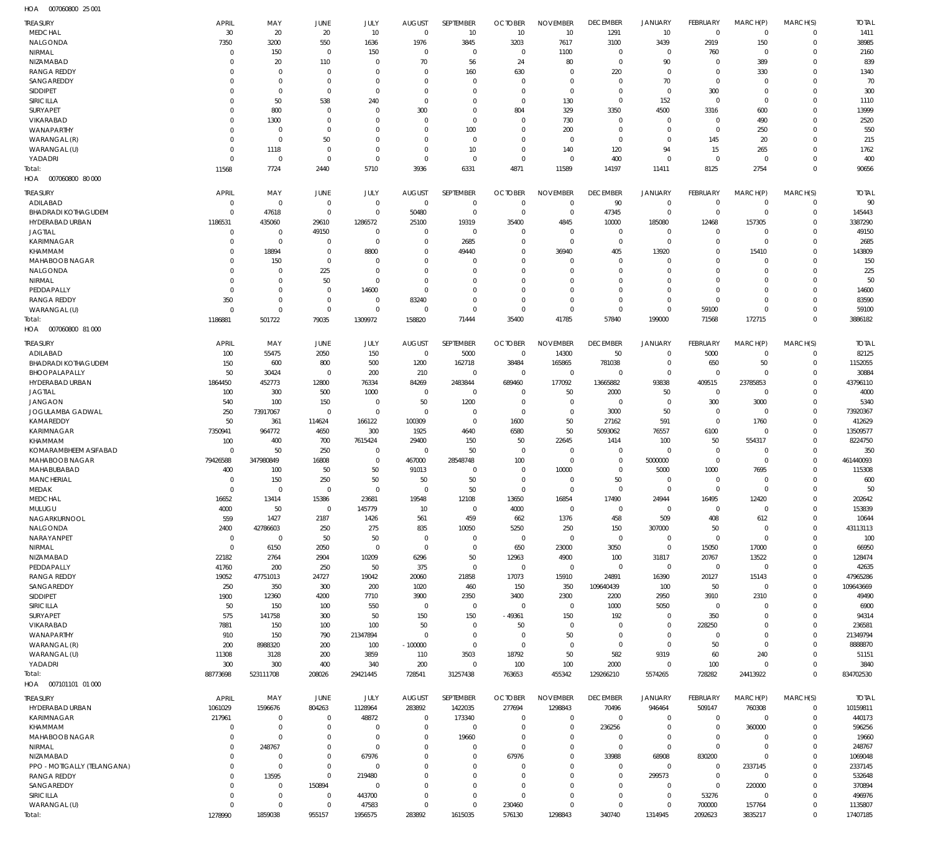007060800 25 001 HOA

| TREASURY                    | <b>APRIL</b> | MAY         | JUNE            | JULY         | <b>AUGUST</b> | SEPTEMBER   | <b>OCTOBER</b> | <b>NOVEMBER</b> | <b>DECEMBER</b> | <b>JANUARY</b> | FEBRUARY       | MARCH(P)    | MARCH(S)    | <b>TOTAL</b> |
|-----------------------------|--------------|-------------|-----------------|--------------|---------------|-------------|----------------|-----------------|-----------------|----------------|----------------|-------------|-------------|--------------|
| <b>MEDCHAL</b>              | 30           | 20          | 20              | 10           | $\mathbf 0$   | 10          | 10             | 10              | 1291            | 10             | $\mathbf 0$    | $\mathbf 0$ | $\mathbf 0$ | 1411         |
| NALGONDA                    | 7350         | 3200        | 550             | 1636         | 1976          | 3845        | 3203           | 7617            | 3100            | 3439           | 2919           | 150         | $\mathbf 0$ | 38985        |
| NIRMAL                      | $\Omega$     | 150         | $\mathbf 0$     | 150          | $\Omega$      | 0           | $\Omega$       |                 | 0               | 0              | 760            | $\Omega$    | 0           | 2160         |
| NIZAMABAD                   | $\Omega$     |             |                 | $\Omega$     | 70            | 56          | 24             | 1100<br>80      | $\mathbf 0$     | 90             | $\mathbf 0$    | 389         | $\Omega$    | 839          |
|                             |              | 20          | 110<br>$\Omega$ | $\Omega$     |               |             |                |                 |                 |                | $\Omega$       |             |             |              |
| <b>RANGA REDDY</b>          | $\Omega$     | $\mathbf 0$ |                 |              | $\Omega$      | 160         | 630            | $\Omega$        | 220             | $\mathbf 0$    |                | 330         | $\Omega$    | 1340         |
| SANGAREDDY                  | $\Omega$     | $\mathbf 0$ | $\Omega$        | $\Omega$     | $\Omega$      | $\Omega$    | $\Omega$       | $\mathbf 0$     | $\mathbf 0$     | 70             | $\mathbf 0$    | $\Omega$    | $\Omega$    | 70           |
| <b>SIDDIPET</b>             | $\Omega$     | $\mathbf 0$ | $\Omega$        | $\Omega$     | $\Omega$      | $\Omega$    | $\Omega$       | $\Omega$        | $\Omega$        | $\mathbf 0$    | 300            | $\Omega$    | $\Omega$    | 300          |
| SIRICILLA                   | $\Omega$     | 50          | 538             | 240          | $\Omega$      | $\Omega$    | $\Omega$       | 130             | $\Omega$        | 152            | $\mathbf 0$    | $\Omega$    | $\Omega$    | 1110         |
| <b>SURYAPET</b>             | $\Omega$     | 800         | $\Omega$        | $\Omega$     | 300           | $\Omega$    | 804            | 329             | 3350            | 4500           | 3316           | 600         | $\Omega$    | 13999        |
| <b>VIKARABAD</b>            | $\Omega$     | 1300        | $\Omega$        | $\Omega$     | $\Omega$      | $\Omega$    | $\Omega$       | 730             | $\mathbf 0$     | $\mathbf 0$    | $\mathbf 0$    | 490         | $\Omega$    | 2520         |
| WANAPARTHY                  | $\Omega$     | $\mathbf 0$ | $\Omega$        | $\Omega$     | $\Omega$      | 100         | $\Omega$       | 200             | $\Omega$        | $\mathbf 0$    | $\mathbf 0$    | 250         | $\Omega$    | 550          |
| WARANGAL (R)                | $\Omega$     | $\mathbf 0$ | 50              | $\Omega$     | $\Omega$      | $\mathbf 0$ | $\Omega$       | 0               | $\mathbf 0$     | $\mathbf 0$    | 145            | 20          | $\Omega$    | 215          |
| WARANGAL (U)                | $\Omega$     | 1118        | $\Omega$        | $\Omega$     | $\Omega$      | 10          | $\Omega$       | 140             | 120             | 94             | 15             | 265         | $\Omega$    | 1762         |
| YADADRI                     | $\Omega$     | $\mathbf 0$ | $\mathbf 0$     | $\Omega$     | $\Omega$      | $\mathbf 0$ | $\mathbf 0$    | $\Omega$        | 400             | $\mathbf 0$    | $^{\circ}$     | $^{\circ}$  | $\mathbf 0$ | 400          |
| Total:                      | 11568        | 7724        | 2440            | 5710         | 3936          | 6331        | 4871           | 11589           | 14197           | 11411          | 8125           | 2754        | $\mathbf 0$ | 90656        |
| HOA  007060800  80 000      |              |             |                 |              |               |             |                |                 |                 |                |                |             |             |              |
|                             |              |             |                 |              |               |             |                |                 |                 |                |                |             |             |              |
| <b>TREASURY</b>             | <b>APRIL</b> | MAY         | JUNE            | JULY         | <b>AUGUST</b> | SEPTEMBER   | <b>OCTOBER</b> | <b>NOVEMBER</b> | <b>DECEMBER</b> | <b>JANUARY</b> | FEBRUARY       | MARCH(P)    | MARCH(S)    | <b>TOTAL</b> |
| ADILABAD                    | $\mathbf 0$  | 0           | $\mathbf 0$     | 0            | $\mathbf 0$   | $\mathbf 0$ | 0              | $\mathbf 0$     | 90              | $\mathbf 0$    | $^{\circ}$     | $^{\circ}$  | $\mathbf 0$ | 90           |
| <b>BHADRADI KOTHAGUDEM</b>  | $\mathbf 0$  | 47618       | $\mathbf 0$     | $\mathbf 0$  | 50480         | $\mathbf 0$ | $\mathbf 0$    | $\mathbf 0$     | 47345           | $\mathbf 0$    | $\overline{0}$ | $\mathbf 0$ | $\mathbf 0$ | 145443       |
| HYDERABAD URBAN             | 1186531      | 435060      | 29610           | 1286572      | 25100         | 19319       | 35400          | 4845            | 10000           | 185080         | 12468          | 157305      | $\mathbf 0$ | 3387290      |
| <b>JAGTIAL</b>              | $\mathbf 0$  | 0           | 49150           | $\mathbf 0$  | $\Omega$      | $\mathbf 0$ | $\mathbf 0$    | $\mathbf 0$     | $\mathbf 0$     | $\mathbf 0$    | $\mathbf 0$    | $\mathbf 0$ | $\Omega$    | 49150        |
| KARIMNAGAR                  | $\Omega$     | $\mathbf 0$ | $\mathbf 0$     | $\mathbf 0$  | $\Omega$      | 2685        | 0              | $\mathbf 0$     | $\mathbf 0$     | $\mathbf 0$    | $\mathbf 0$    | $\mathbf 0$ | $\Omega$    | 2685         |
| <b>KHAMMAM</b>              | $\Omega$     | 18894       | $\mathbf 0$     | 8800         | $\Omega$      | 49440       | $\Omega$       | 36940           | 405             | 13920          | $\mathbf 0$    | 15410       | $\Omega$    | 143809       |
| MAHABOOB NAGAR              | $\Omega$     | 150         | $\mathbf 0$     | $\mathbf 0$  | $\Omega$      | $\mathbf 0$ | $\Omega$       | $\mathbf 0$     | $\mathbf 0$     | $\mathbf 0$    | $\Omega$       | $^{\circ}$  | $\Omega$    | 150          |
| NALGONDA                    | $\Omega$     | $\mathbf 0$ | 225             | $\mathbf 0$  | $\Omega$      | $\mathbf 0$ | $\Omega$       | $\mathbf 0$     | $\mathbf 0$     | $\mathbf 0$    | $\Omega$       | $\mathbf 0$ | $\Omega$    | 225          |
| NIRMAL                      | $\Omega$     | $\mathbf 0$ | 50              | $\mathbf 0$  | $\Omega$      | $\mathbf 0$ | $\Omega$       | $\mathbf 0$     | $\mathbf 0$     | $\mathbf 0$    | $\Omega$       | $\Omega$    | $\Omega$    | 50           |
| PEDDAPALLY                  | $\mathbf 0$  | $\mathbf 0$ | $\mathbf 0$     | 14600        | $\mathbf 0$   | $\mathbf 0$ | $\Omega$       | $\mathbf 0$     | $\mathbf 0$     | $\mathbf 0$    | $\Omega$       | $\mathbf 0$ | $\Omega$    | 14600        |
| <b>RANGA REDDY</b>          | 350          | $\mathbf 0$ | $\mathbf 0$     | $\mathbf 0$  | 83240         | $\mathbf 0$ | $\Omega$       | $\mathbf 0$     | $\mathbf 0$     | $\mathbf 0$    | $\mathbf 0$    | $\mathbf 0$ | $\Omega$    | 83590        |
| WARANGAL (U)                | $\mathbf 0$  | $\mathbf 0$ | $\mathbf 0$     | $\mathbf 0$  | $\mathbf 0$   | $\mathbf 0$ | $\Omega$       | $\mathbf 0$     | $\mathbf 0$     | $\mathbf 0$    | 59100          | $\mathbf 0$ | $\Omega$    | 59100        |
| Total:                      | 1186881      | 501722      | 79035           | 1309972      | 158820        | 71444       | 35400          | 41785           | 57840           | 199000         | 71568          | 172715      | $\Omega$    | 3886182      |
|                             |              |             |                 |              |               |             |                |                 |                 |                |                |             |             |              |
| 007060800 81 000<br>HOA     |              |             |                 |              |               |             |                |                 |                 |                |                |             |             |              |
| <b>TREASURY</b>             | APRIL        | MAY         | JUNE            | JULY         | <b>AUGUST</b> | SEPTEMBER   | <b>OCTOBER</b> | <b>NOVEMBER</b> | <b>DECEMBER</b> | <b>JANUARY</b> | FEBRUARY       | MARCH(P)    | MARCH(S)    | <b>TOTAL</b> |
| ADILABAD                    | 100          | 55475       | 2050            | 150          | $\mathbf 0$   | 5000        | $\mathbf 0$    | 14300           | 50              | $\mathbf 0$    | 5000           | $^{\circ}$  | $\Omega$    | 82125        |
| <b>BHADRADI KOTHAGUDEM</b>  | 150          | 600         | 800             | 500          | 1200          | 162718      | 38484          | 165865          | 781038          | $\mathbf 0$    | 650            | 50          | $\mathbf 0$ | 1152055      |
| BHOOPALAPALLY               | 50           | 30424       | $\mathbf 0$     | 200          | 210           | $\mathbf 0$ | $\mathbf 0$    | $\mathbf 0$     | $\mathbf 0$     | $\mathbf 0$    | $^{\circ}$     | $\Omega$    | $\Omega$    | 30884        |
| HYDERABAD URBAN             | 1864450      | 452773      | 12800           | 76334        | 84269         | 2483844     | 689460         | 177092          | 13665882        | 93838          | 409515         | 23785853    | $\Omega$    | 43796110     |
| <b>JAGTIAL</b>              | 100          | 300         | 500             | 1000         | $\mathbf 0$   | $\mathbf 0$ | $\Omega$       | 50              | 2000            | 50             | $\mathbf 0$    | $\Omega$    | $\Omega$    | 4000         |
| <b>JANGAON</b>              | 540          | 100         | 150             | $\mathbf 0$  | 50            | 1200        | $\Omega$       | $\Omega$        | $\mathbf 0$     | $\mathbf 0$    | 300            | 3000        | $\Omega$    | 5340         |
|                             |              |             |                 |              | $\Omega$      |             | $\Omega$       |                 |                 |                |                | $\Omega$    | $\Omega$    |              |
| JOGULAMBA GADWAL            | 250          | 73917067    | $\mathbf 0$     | $\mathbf 0$  |               | $\mathbf 0$ |                | $\mathbf 0$     | 3000            | 50             | $\mathbf 0$    |             |             | 73920367     |
| KAMAREDDY                   | 50           | 361         | 114624          | 166122       | 100309        | $\mathbf 0$ | 1600           | 50              | 27162           | 591            | $\mathbf 0$    | 1760        | $\Omega$    | 412629       |
| KARIMNAGAR                  | 7350941      | 964772      | 4650            | 300          | 1925          | 4640        | 6580           | 50              | 5093062         | 76557          | 6100           | $\Omega$    | $\Omega$    | 13509577     |
| <b>KHAMMAM</b>              | 100          | 400         | 700             | 7615424      | 29400         | 150         | 50             | 22645           | 1414            | 100            | 50             | 554317      | $\Omega$    | 8224750      |
| KOMARAMBHEEM ASIFABAD       | $\Omega$     | 50          | 250             | $\mathbf 0$  | $\mathbf 0$   | 50          | $\Omega$       | $\mathbf 0$     | $\mathbf 0$     | $\mathbf 0$    | $\mathbf 0$    | $^{\circ}$  | $\Omega$    | 350          |
| MAHABOOB NAGAR              | 79426588     | 347980849   | 16808           | $\mathbf 0$  | 467000        | 28548748    | 100            | $\mathbf 0$     | $\mathbf 0$     | 5000000        | $\mathbf 0$    | $\mathbf 0$ | $\Omega$    | 461440093    |
| MAHABUBABAD                 | 400          | 100         | 50              | 50           | 91013         | 0           | $\mathbf 0$    | 10000           | $\mathbf 0$     | 5000           | 1000           | 7695        | $\Omega$    | 115308       |
| MANCHERIAL                  | $\Omega$     | 150         | 250             | 50           | 50            | 50          | $\Omega$       | $\Omega$        | 50              | 0              | $\Omega$       | $\Omega$    | $\Omega$    | 600          |
| MEDAK                       | $\Omega$     | $\mathbf 0$ | $\mathbf{0}$    | $\mathbf{0}$ | $\Omega$      | 50          | $\mathbf{0}$   | $\Omega$        | $\Omega$        | $\mathbf{0}$   | $\Omega$       | $\Omega$    | $\Omega$    | 50           |
| MEDCHAL                     | 16652        | 13414       | 15386           | 23681        | 19548         | 12108       | 13650          | 16854           | 17490           | 24944          | 16495          | 12420       |             | 202642       |
| MULUGU                      | 4000         | 50          | $\mathbf 0$     | 145779       | 10            | $\mathbf 0$ | 4000           | $\mathbf 0$     | $\mathbf 0$     | $\mathbf 0$    | $\mathbf 0$    | $\mathbf 0$ | 0           | 153839       |
| NAGARKURNOOL                | 559          | 1427        | 2187            | 1426         | 561           | 459         | 662            | 1376            | 458             | 509            | 408            | 612         | 0           | 10644        |
| NALGONDA                    | 2400         | 42786603    | 250             | 275          | 835           | 10050       | 5250           | 250             | 150             | 307000         | 50             | $\mathbf 0$ | $\Omega$    | 43113113     |
| NARAYANPET                  | $\mathbf 0$  | $\mathbf 0$ | 50              | 50           | $\mathbf 0$   | 0           | $\mathbf 0$    | $\mathbf 0$     | $\mathbf 0$     | $\mathbf 0$    | $\mathbf 0$    | $\mathbf 0$ | $\Omega$    | 100          |
| NIRMAL                      | $\mathbf 0$  | 6150        | 2050            | $\mathbf 0$  | $\mathbf 0$   | $\mathbf 0$ | 650            | 23000           | 3050            | $\mathbf 0$    | 15050          | 17000       | $\Omega$    | 66950        |
| NIZAMABAD                   | 22182        | 2764        | 2904            | 10209        | 6296          | 50          | 12963          | 4900            | 100             | 31817          | 20767          | 13522       | $\Omega$    | 128474       |
| PEDDAPALLY                  | 41760        | 200         | 250             | 50           | 375           | $\mathbf 0$ | $\mathbf 0$    | $\mathbf 0$     | $\mathbf 0$     | $\mathbf 0$    | $\mathbf 0$    | $\mathbf 0$ | $\Omega$    | 42635        |
| <b>RANGA REDDY</b>          | 19052        | 47751013    | 24727           | 19042        | 20060         | 21858       | 17073          | 15910           | 24891           | 16390          | 20127          | 15143       | $\Omega$    | 47965286     |
| SANGAREDDY                  | 250          | 350         | 300             |              | 1020          | 460         |                |                 | 109640439       |                | 50             | $\mathbf 0$ | $\Omega$    | 109643669    |
| SIDDIPET                    | 1900         | 12360       | 4200            | 200<br>7710  | 3900          | 2350        | 150<br>3400    | 350<br>2300     | 2200            | 100<br>2950    | 3910           | 2310        | $\mathbf 0$ | 49490        |
|                             |              |             |                 |              |               |             |                |                 |                 |                |                |             | $\Omega$    |              |
| SIRICILLA                   | 50           | 150         | 100             | 550          | $\mathbf 0$   | 0           | $\mathbf 0$    | $\mathbf 0$     | 1000            | 5050           | $\mathbf 0$    | $\Omega$    |             | 6900         |
| <b>SURYAPET</b>             | 575          | 141758      | 300             | 50           | 150           | 150         | -49361         | 150             | 192             | $\mathbf 0$    | 350            | $\Omega$    | $\Omega$    | 94314        |
| VIKARABAD                   | 7881         | 150         | 100             | 100          | 50            | $\mathbf 0$ | 50             | $\mathbf 0$     | $\mathbf 0$     | $\mathbf 0$    | 228250         | $\Omega$    | $\Omega$    | 236581       |
| WANAPARTHY                  | 910          | 150         | 790             | 21347894     | $\mathbf 0$   | $\mathbf 0$ | $\mathbf 0$    | 50              | $\mathbf 0$     | $\mathbf 0$    | 0              | $\Omega$    | $\Omega$    | 21349794     |
| WARANGAL (R)                | 200          | 8988320     | 200             | 100          | $-100000$     | $\mathbf 0$ | $\mathbf 0$    | $\mathbf 0$     | $\mathbf 0$     | $\mathbf 0$    | 50             | $\mathbf 0$ | $\Omega$    | 8888870      |
| WARANGAL (U)                | 11308        | 3128        | 200             | 3859         | 110           | 3503        | 18792          | 50              | 582             | 9319           | 60             | 240         | $\mathbf 0$ | 51151        |
| YADADRI                     | 300          | 300         | 400             | 340          | 200           | $\mathbf 0$ | 100            | 100             | 2000            | $\mathbf 0$    | 100            | $\Omega$    | $\mathbf 0$ | 3840         |
| Total:                      | 88773698     | 523111708   | 208026          | 29421445     | 728541        | 31257438    | 763653         | 455342          | 129266210       | 5574265        | 728282         | 24413922    | $\mathbf 0$ | 834702530    |
| HOA   007101101   01   000  |              |             |                 |              |               |             |                |                 |                 |                |                |             |             |              |
| TREASURY                    | <b>APRIL</b> | MAY         | JUNE            | JULY         | <b>AUGUST</b> | SEPTEMBER   | <b>OCTOBER</b> | <b>NOVEMBER</b> | <b>DECEMBER</b> | <b>JANUARY</b> | FEBRUARY       | MARCH(P)    | MARCH(S)    | <b>TOTAL</b> |
|                             |              |             |                 |              |               |             |                |                 |                 |                |                |             | $\mathbf 0$ |              |
| HYDERABAD URBAN             | 1061029      | 1596676     | 804263          | 1128964      | 283892        | 1422035     | 277694         | 1298843         | 70496           | 946464         | 509147         | 760308      |             | 10159811     |
| KARIMNAGAR                  | 217961       | $\mathbf 0$ | $\mathbf 0$     | 48872        | $\mathbf 0$   | 173340      | $\mathbf 0$    | $\mathbf 0$     | $\mathbf 0$     | $\mathbf 0$    | $\mathbf 0$    | $\mathbf 0$ | $\mathbf 0$ | 440173       |
| KHAMMAM                     | $\mathbf 0$  | $\mathbf 0$ | $\mathbf 0$     | $\mathbf 0$  | 0             | 0           | $\mathbf 0$    | $\mathbf 0$     | 236256          | $\mathbf 0$    | $\mathbf 0$    | 360000      | $\mathbf 0$ | 596256       |
| MAHABOOB NAGAR              | $\Omega$     | $\mathbf 0$ | $\mathbf 0$     | $\mathbf 0$  | $\Omega$      | 19660       | $\mathbf 0$    | $\mathbf 0$     | $\mathbf 0$     | 0              | $\mathbf 0$    | $\mathbf 0$ | $\Omega$    | 19660        |
| <b>NIRMAL</b>               | 0            | 248767      | $\mathbf 0$     | $\mathbf 0$  | $\Omega$      | $\mathbf 0$ | $\mathbf 0$    | $\mathbf 0$     | $\overline{0}$  | $\mathbf 0$    | $\mathbf 0$    | $\mathbf 0$ | $\Omega$    | 248767       |
| NIZAMABAD                   | $\Omega$     | 0           | $\mathbf 0$     | 67976        | $\Omega$      | $\mathbf 0$ | 67976          | $\mathbf 0$     | 33988           | 68908          | 830200         | $\mathbf 0$ | $\Omega$    | 1069048      |
| PPO - MOTIGALLY (TELANGANA) | $\Omega$     | $\mathbf 0$ | $\mathbf 0$     | $\mathbf 0$  | $\Omega$      | $\mathbf 0$ | $\Omega$       | $\mathbf 0$     | $\mathbf 0$     | $\mathbf 0$    | $\mathbf 0$    | 2337145     | $\Omega$    | 2337145      |
| <b>RANGA REDDY</b>          | $\Omega$     | 13595       | $\mathbf 0$     | 219480       | $\Omega$      | $\mathbf 0$ | $\mathbf 0$    | $\mathbf 0$     | $\mathbf 0$     | 299573         | $\mathbf 0$    | $\mathbf 0$ | $\Omega$    | 532648       |
| SANGAREDDY                  | $\Omega$     | 0           | 150894          | $\mathbf 0$  | $\Omega$      | $\mathbf 0$ | $\mathbf 0$    | $\mathbf 0$     | $\mathbf 0$     | $\mathbf 0$    | $\overline{0}$ | 220000      | $\mathbf 0$ | 370894       |
| SIRICILLA                   | $\Omega$     | $\mathbf 0$ | $\mathbf 0$     | 443700       | $\Omega$      | $\mathbf 0$ | $\mathbf 0$    | $\mathbf 0$     | $\mathbf 0$     | $\mathbf 0$    | 53276          | $\mathbf 0$ | $\Omega$    | 496976       |
| WARANGAL (U)                | $\mathbf 0$  | $\mathbf 0$ | $\mathbf 0$     | 47583        | $\mathbf 0$   | $\mathbf 0$ | 230460         | $\mathbf 0$     | $\mathbf 0$     | $\mathbf 0$    | 700000         | 157764      | $\mathbf 0$ | 1135807      |
| Total:                      | 1278990      | 1859038     | 955157          | 1956575      | 283892        | 1615035     | 576130         | 1298843         | 340740          | 1314945        | 2092623        | 3835217     | $\Omega$    | 17407185     |
|                             |              |             |                 |              |               |             |                |                 |                 |                |                |             |             |              |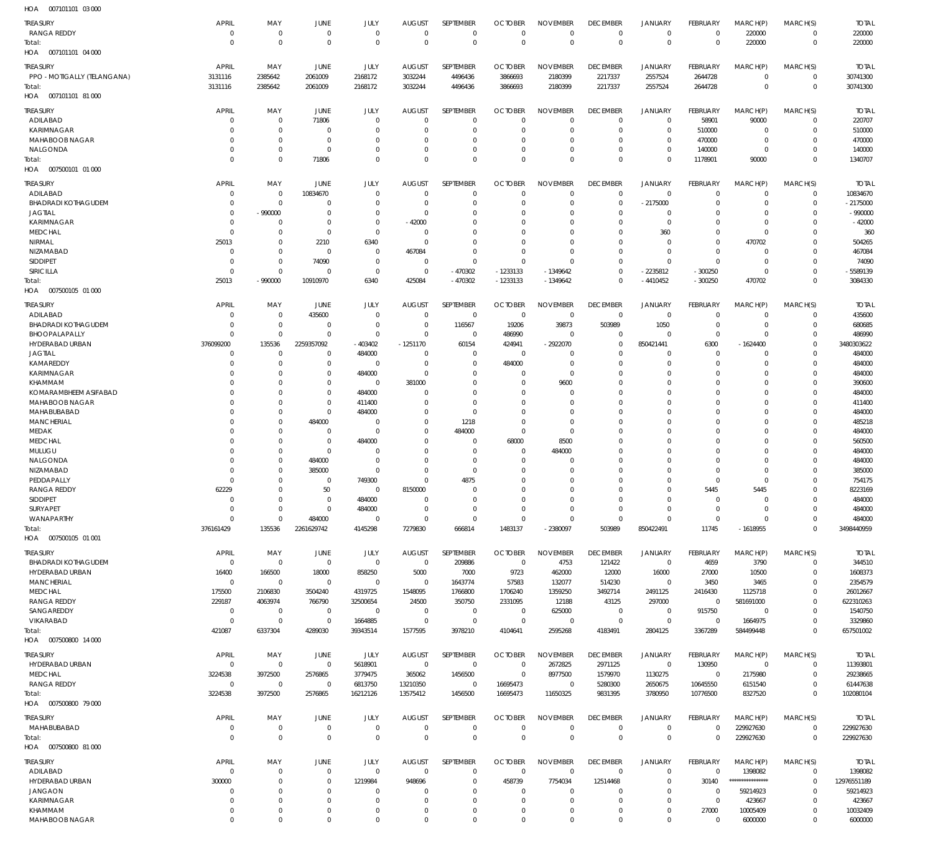| HOA<br>007101101 03 000                |                             |                            |                  |                          |                                 |                            |                               |                                |                                |                               |                         |                         |                         |                        |
|----------------------------------------|-----------------------------|----------------------------|------------------|--------------------------|---------------------------------|----------------------------|-------------------------------|--------------------------------|--------------------------------|-------------------------------|-------------------------|-------------------------|-------------------------|------------------------|
| <b>TREASURY</b>                        | <b>APRIL</b>                | MAY                        | JUNE             | JULY                     | <b>AUGUST</b>                   | SEPTEMBER                  | <b>OCTOBER</b>                | <b>NOVEMBER</b>                | <b>DECEMBER</b>                | <b>JANUARY</b>                | <b>FEBRUARY</b>         | MARCH(P)                | MARCH(S)                | <b>TOTAL</b>           |
| <b>RANGA REDDY</b>                     | $\mathbf 0$                 | $\mathbf 0$                | $\mathbf 0$      | $\mathbf{0}$             | $\overline{0}$                  | $\mathbf 0$                | $\mathbf 0$                   | $\mathbf 0$                    | $\mathbf 0$                    | $\mathbf 0$                   | $\mathbf 0$             | 220000                  | $\mathbf 0$             | 220000                 |
| Total:                                 | $\mathbf 0$                 | $\mathbf 0$                | $\mathbf 0$      | $\mathbf 0$              | $\mathbf{0}$                    | $\mathbf 0$                | $\mathbf{0}$                  | $\mathbf 0$                    | $\mathbf 0$                    | $\mathbf 0$                   | $\mathbf 0$             | 220000                  | $\mathbf 0$             | 220000                 |
| 007101101 04 000<br>HOA                |                             |                            |                  |                          |                                 |                            |                               |                                |                                |                               |                         |                         |                         |                        |
| <b>TREASURY</b>                        | <b>APRIL</b>                | MAY                        | <b>JUNE</b>      | JULY                     | <b>AUGUST</b>                   | SEPTEMBER                  | <b>OCTOBER</b>                | <b>NOVEMBER</b>                | <b>DECEMBER</b>                | <b>JANUARY</b>                | FEBRUARY                | MARCH(P)                | MARCH(S)                | <b>TOTAL</b>           |
| PPO - MOTIGALLY (TELANGANA)            | 3131116                     | 2385642                    | 2061009          | 2168172                  | 3032244                         | 4496436                    | 3866693                       | 2180399                        | 2217337                        | 2557524                       | 2644728                 | $\mathbf 0$             | $\mathbf 0$             | 30741300               |
| Total:                                 | 3131116                     | 2385642                    | 2061009          | 2168172                  | 3032244                         | 4496436                    | 3866693                       | 2180399                        | 2217337                        | 2557524                       | 2644728                 | $\mathbf 0$             | $\mathbf 0$             | 30741300               |
| HOA<br>007101101 81 000                |                             |                            |                  |                          |                                 |                            |                               |                                |                                |                               |                         |                         |                         |                        |
|                                        |                             |                            |                  |                          |                                 |                            |                               |                                |                                |                               |                         |                         |                         |                        |
| <b>TREASURY</b><br>ADILABAD            | <b>APRIL</b><br>0           | MAY<br>$\mathbf 0$         | JUNE<br>71806    | JULY<br>$\mathbf{0}$     | <b>AUGUST</b><br>$\overline{0}$ | SEPTEMBER<br>$\mathbf 0$   | <b>OCTOBER</b><br>$\mathbf 0$ | <b>NOVEMBER</b><br>$\mathbf 0$ | <b>DECEMBER</b><br>$\mathbf 0$ | <b>JANUARY</b><br>$\mathbf 0$ | FEBRUARY<br>58901       | MARCH(P)<br>90000       | MARCH(S)<br>$\mathbf 0$ | <b>TOTAL</b><br>220707 |
| KARIMNAGAR                             | $\Omega$                    | $\mathbf 0$                | $\mathbf 0$      | $\mathbf{0}$             | $\Omega$                        | $\mathbf 0$                | -0                            | $\mathbf 0$                    | $\mathbf 0$                    | $\mathbf 0$                   | 510000                  | 0                       | 0                       | 510000                 |
| MAHABOOB NAGAR                         | 0                           | $\mathbf 0$                | $\mathbf 0$      | $\mathbf{0}$             | $\Omega$                        | $\mathbf 0$                | -0                            | $\mathbf 0$                    | $\mathbf 0$                    | $\mathbf 0$                   | 470000                  | $\mathbf 0$             | $\Omega$                | 470000                 |
| NALGONDA                               | 0                           | $\mathbf 0$                | $\mathbf 0$      | $\mathbf 0$              | $\Omega$                        | $\mathbf 0$                | -0                            | $\mathbf 0$                    | $\mathbf 0$                    | $\mathbf 0$                   | 140000                  | $\mathbf 0$             | $\Omega$                | 140000                 |
| Total:                                 | $\Omega$                    | $\mathbf 0$                | 71806            | $\Omega$                 | $\Omega$                        | $\mathbf 0$                | $\Omega$                      | $\Omega$                       | $\Omega$                       | $\mathbf 0$                   | 1178901                 | 90000                   | $\Omega$                | 1340707                |
| 007500101 01 000<br>HOA                |                             |                            |                  |                          |                                 |                            |                               |                                |                                |                               |                         |                         |                         |                        |
|                                        |                             |                            |                  |                          |                                 |                            |                               |                                |                                |                               |                         |                         |                         |                        |
| <b>TREASURY</b>                        | <b>APRIL</b><br>$\mathbf 0$ | MAY<br>$\mathbf 0$         | <b>JUNE</b>      | JULY<br>$\mathbf{0}$     | <b>AUGUST</b><br>$\overline{0}$ | SEPTEMBER<br>$\mathbf 0$   | <b>OCTOBER</b><br>$\mathbf 0$ | <b>NOVEMBER</b><br>$\mathbf 0$ | <b>DECEMBER</b><br>$\mathbf 0$ | <b>JANUARY</b><br>$\mathbf 0$ | FEBRUARY<br>$\mathbf 0$ | MARCH(P)<br>$\mathbf 0$ | MARCH(S)<br>$\mathbf 0$ | <b>TOTAL</b>           |
| ADILABAD<br><b>BHADRADI KOTHAGUDEM</b> | 0                           | $\mathbf 0$                | 10834670<br>0    | $\mathbf{0}$             | 0                               | $\mathbf 0$                | -0                            | $\mathbf 0$                    | $\mathbf 0$                    | $-2175000$                    | O                       | $\mathbf 0$             | $\mathbf 0$             | 10834670<br>$-2175000$ |
| <b>JAGTIAL</b>                         | 0                           | $-990000$                  | $\mathbf 0$      | $\mathbf 0$              | $\overline{0}$                  | $\mathbf 0$                | -0                            | $\mathbf 0$                    | $\mathbf 0$                    | $\mathbf 0$                   | $\Omega$                | $\mathbf 0$             | $\Omega$                | $-990000$              |
| KARIMNAGAR                             | 0                           | $\mathbf 0$                | 0                | $\mathbf 0$              | $-42000$                        | $\mathbf 0$                | 0                             | $\mathbf 0$                    | $\mathbf 0$                    | $\mathbf 0$                   | $\Omega$                | $\mathbf 0$             | $\Omega$                | $-42000$               |
| <b>MEDCHAL</b>                         | $\mathbf 0$                 | $\mathbf 0$                | $\mathbf 0$      | $\mathbf 0$              | $\overline{0}$                  | $\mathbf 0$                | -0                            | $\mathbf 0$                    | 0                              | 360                           | $\Omega$                | $\mathbf 0$             | C.                      | 360                    |
| NIRMAL                                 | 25013                       | $\mathbf 0$                | 2210             | 6340                     | $\circ$                         | $\mathbf 0$                | -0                            | $\mathbf 0$                    | $\mathbf 0$                    | $\mathbf 0$                   | $\mathbf 0$             | 470702                  | O                       | 504265                 |
| NIZAMABAD                              | $\mathbf 0$                 | $\mathbf 0$                | $\mathbf 0$      | $\mathbf{0}$             | 467084                          | $\mathbf 0$                | $\mathbf 0$                   | $\mathbf 0$                    | $\mathbf 0$                    | $\mathbf 0$                   | $\Omega$                | $\mathbf 0$             | $\Omega$                | 467084                 |
| SIDDIPET                               | $\mathbf 0$                 | $\mathbf 0$                | 74090            | $\mathbf{0}$             | - 0                             | $\mathbf 0$                | $^{\circ}$                    | $\Omega$                       | $\mathbf 0$                    | $\mathbf 0$                   | $\Omega$                | $\mathbf 0$             | $\Omega$                | 74090                  |
| SIRICILLA                              | $\mathbf 0$                 | $\mathbf 0$                | 0                | $\mathbf 0$              | $\overline{0}$                  | -470302                    | $-1233133$                    | $-1349642$                     | $\mathbf 0$                    | -2235812                      | $-300250$               | $\mathbf 0$             | $\Omega$                | -5589139               |
| Total:                                 | 25013                       | -990000                    | 10910970         | 6340                     | 425084                          | $-470302$                  | $-1233133$                    | $-1349642$                     | $\mathbf 0$                    | -4410452                      | $-300250$               | 470702                  | $\Omega$                | 3084330                |
| 007500105 01 000<br>HOA                |                             |                            |                  |                          |                                 |                            |                               |                                |                                |                               |                         |                         |                         |                        |
| <b>TREASURY</b>                        | <b>APRIL</b>                | MAY                        | JUNE             | JULY                     | <b>AUGUST</b>                   | SEPTEMBER                  | <b>OCTOBER</b>                | <b>NOVEMBER</b>                | <b>DECEMBER</b>                | <b>JANUARY</b>                | FEBRUARY                | MARCH(P)                | MARCH(S)                | <b>TOTAL</b>           |
| ADILABAD                               | 0                           | $\mathbf 0$                | 435600           | $\mathbf{0}$             | $\overline{0}$                  | $\mathbf 0$                | $\overline{0}$                | $\mathbf 0$                    | $\mathbf 0$                    | $\mathbf 0$                   | 0                       | 0                       | $\mathbf 0$             | 435600                 |
| <b>BHADRADI KOTHAGUDEM</b>             | $\mathbf 0$                 | $\mathbf 0$                | 0                | $\mathbf{0}$             | 0                               | 116567                     | 19206                         | 39873                          | 503989                         | 1050                          | 0                       | $\mathbf 0$             | 0                       | 680685                 |
| BHOOPALAPALLY                          | $\Omega$                    | $\mathbf 0$                | 0                | $\mathbf{0}$             | 0                               | $^{\circ}$                 | 486990                        | 0                              | 0                              | $\mathbf 0$                   | $\mathbf 0$             | $\Omega$                | $\Omega$                | 486990                 |
| HYDERABAD URBAN                        | 376099200                   | 135536                     | 2259357092       | -403402                  | $-1251170$                      | 60154                      | 424941                        | -2922070                       | 0                              | 850421441                     | 6300                    | $-1624400$              | $\mathbf 0$             | 3480303622             |
| <b>JAGTIAL</b>                         | $\mathbf 0$                 | 0                          | 0                | 484000                   | 0                               | 0                          | 0                             | 0                              | 0                              | 0                             | 0                       | $\Omega$                | $\Omega$                | 484000                 |
| KAMAREDDY                              | $\mathbf 0$                 | $\mathbf 0$                | $\mathbf 0$      | $\mathbf{0}$             | $\overline{0}$                  | $\mathbf 0$                | 484000                        | $\mathbf 0$                    | 0                              | $\mathbf 0$                   | 0                       | $\Omega$                | $\Omega$                | 484000                 |
| KARIMNAGAR                             | 0                           | $\mathbf 0$                | $\mathbf 0$      | 484000                   | 0                               | $\mathbf 0$                | 0                             | $\mathbf 0$                    | $\mathbf 0$                    | $\mathbf 0$                   | $\Omega$                | $\Omega$                | $\Omega$                | 484000                 |
| KHAMMAM                                | $\Omega$                    | $\mathbf 0$                | $\mathbf 0$      | $\mathbf{0}$             | 381000                          | $\mathbf 0$                | $\Omega$                      | 9600                           | $\Omega$                       | $\mathbf 0$                   | $\Omega$                | $\Omega$                | $\Omega$                | 390600                 |
| KOMARAMBHEEM ASIFABAD                  | $\Omega$                    | $\mathbf 0$                | $\mathbf 0$      | 484000                   | $\Omega$                        | $\mathbf 0$                | -0                            | 0                              | 0                              | $\mathbf 0$                   | $\Omega$                | $\Omega$                | $\Omega$                | 484000                 |
| MAHABOOB NAGAR                         | $\Omega$                    | $\mathbf 0$                | $\mathbf 0$      | 411400                   | 0                               | $\mathbf 0$                | -0                            | $\mathbf 0$                    | 0                              | $\mathbf 0$                   | $\Omega$                | $\Omega$                | $\Omega$                | 411400                 |
| MAHABUBABAD                            | $\Omega$                    | $\mathbf 0$                | $\mathbf 0$      | 484000                   | $\Omega$                        | $\mathbf 0$                | $\mathbf 0$                   | $\mathbf 0$                    | $\Omega$                       | $\mathbf 0$                   | $\Omega$                | $\Omega$                | $\Omega$                | 484000                 |
| <b>MANCHERIAL</b>                      | 0                           | $\mathbf 0$                | 484000           | 0                        | 0                               | 1218                       | $\mathbf 0$                   | $\mathbf 0$                    | 0                              | $\mathbf 0$                   | $\Omega$                | $\Omega$                | $\Omega$                | 485218                 |
| MEDAK                                  | $\Omega$                    | $\mathbf 0$                | $\mathbf 0$      | $\mathbf 0$              | $\Omega$                        | 484000                     | $\mathbf 0$                   | $\mathbf 0$                    | $\Omega$                       | $\mathbf 0$                   | $\Omega$                | $\Omega$                | $\Omega$                | 484000                 |
| <b>MEDCHAL</b>                         | $\Omega$                    | $\mathbf 0$                | $\mathbf 0$      | 484000                   | 0                               | $^{\circ}$                 | 68000                         | 8500                           | 0                              | $\mathbf 0$                   | $\Omega$                | $\Omega$                | $\Omega$                | 560500                 |
| MULUGU                                 | $\Omega$                    | $\mathbf 0$                | $\mathbf 0$      | 0                        | $\Omega$                        | $\mathbf 0$                | 0                             | 484000                         | $\Omega$                       | $\mathbf 0$                   | $\Omega$                | $\Omega$                | $\Omega$                | 484000                 |
| NALGONDA<br><b>NIZAMABAD</b>           | $\Omega$<br>$\Omega$        | $\mathbf 0$<br>$\mathbf 0$ | 484000<br>385000 | $\mathbf{0}$<br>$\Omega$ | $\Omega$<br>$\Omega$            | $\mathbf 0$<br>$\mathbf 0$ | -0<br>$\mathbf 0$             | $\Omega$<br>$\mathbf 0$        | $\Omega$<br>$\Omega$           | $\mathbf 0$<br>$\Omega$       | $\Omega$<br>$\Omega$    | $\Omega$<br>$\Omega$    | $\Omega$<br>$\Omega$    | 484000<br>385000       |
| PEDDAPALLY                             | $\Omega$                    | $\mathbf 0$                | $\Omega$         | 749300                   | $\Omega$                        | 4875                       | $\Omega$                      | $\mathbf{0}$                   | $\Omega$                       | $\Omega$                      | $\Omega$                | $\Omega$                | $\Omega$                | 754175                 |
| <b>RANGA REDDY</b>                     | 62229                       | $\mathbf 0$                | 50               | 0                        | 8150000                         | $\Omega$                   | $\Omega$                      | $\mathbf 0$                    | $\Omega$                       | $\mathbf 0$                   | 5445                    | 5445                    | 0                       | 8223169                |
| SIDDIPET                               | $\mathbf 0$                 | $\mathbf 0$                | $\mathbf 0$      | 484000                   | $\mathbf{0}$                    | $\mathbf 0$                | $\mathbf 0$                   | $\mathbf 0$                    | $\mathbf 0$                    | $\mathbf 0$                   | $\mathbf 0$             | $\Omega$                | $\Omega$                | 484000                 |
| <b>SURYAPET</b>                        | $\mathbf 0$                 | $\mathbf 0$                | $\mathbf 0$      | 484000                   | $\mathbf{0}$                    | $\mathbf 0$                | $\mathbf 0$                   | $\mathbf 0$                    | $\mathbf 0$                    | $\mathbf 0$                   | $\mathbf 0$             | $\mathbf 0$             | $\Omega$                | 484000                 |
| WANAPARTHY                             | $\mathbf 0$                 | $\mathbf 0$                | 484000           | $\mathbf{0}$             | $\mathbf{0}$                    | $\mathbf 0$                | $\mathbf 0$                   | $\mathbf 0$                    | $\mathbf 0$                    | $\mathbf 0$                   | $\mathbf 0$             | $\Omega$                | $\mathbf 0$             | 484000                 |
| Total:                                 | 376161429                   | 135536                     | 2261629742       | 4145298                  | 7279830                         | 666814                     | 1483137                       | $-2380097$                     | 503989                         | 850422491                     | 11745                   | $-1618955$              | $\Omega$                | 3498440959             |
| HOA  007500105  01  001                |                             |                            |                  |                          |                                 |                            |                               |                                |                                |                               |                         |                         |                         |                        |
| <b>TREASURY</b>                        | <b>APRIL</b>                | MAY                        | JUNE             | JULY                     | <b>AUGUST</b>                   | SEPTEMBER                  | <b>OCTOBER</b>                | <b>NOVEMBER</b>                | <b>DECEMBER</b>                | <b>JANUARY</b>                | FEBRUARY                | MARCH(P)                | MARCH(S)                | <b>TOTAL</b>           |
| <b>BHADRADI KOTHAGUDEM</b>             | $\mathbf 0$                 | $\mathbf 0$                | $\mathbf 0$      | $\mathbf 0$              | $\mathbf 0$                     | 209886                     | $\overline{0}$                | 4753                           | 121422                         | $\mathbf 0$                   | 4659                    | 3790                    | $\mathbf 0$             | 344510                 |
| HYDERABAD URBAN                        | 16400                       | 166500                     | 18000            | 858250                   | 5000                            | 7000                       | 9723                          | 462000                         | 12000                          | 16000                         | 27000                   | 10500                   | 0                       | 1608373                |
| <b>MANCHERIAL</b>                      | $\mathbf 0$                 | $\mathbf 0$                | $\mathbf 0$      | $\mathbf 0$              | $\mathbf{0}$                    | 1643774                    | 57583                         | 132077                         | 514230                         | $\mathbf 0$                   | 3450                    | 3465                    | $\Omega$                | 2354579                |
| <b>MEDCHAL</b>                         | 175500                      | 2106830                    | 3504240          | 4319725                  | 1548095                         | 1766800                    | 1706240                       | 1359250                        | 3492714                        | 2491125                       | 2416430                 | 1125718                 | $\Omega$                | 26012667               |
| <b>RANGA REDDY</b>                     | 229187                      | 4063974                    | 766790           | 32500654                 | 24500                           | 350750                     | 2331095                       | 12188                          | 43125                          | 297000                        | $\mathbf 0$             | 581691000               | $\Omega$                | 622310263              |
| SANGAREDDY                             | $\mathbf 0$                 | $\mathbf 0$                | $\mathbf 0$      | $\mathbf{0}$             | $\mathbf{0}$                    | $\mathbf 0$                | $\overline{0}$                | 625000                         | $\mathbf 0$                    | 0                             | 915750                  | $\mathbf 0$             | $\Omega$                | 1540750                |
| VIKARABAD                              | $\mathbf 0$                 | $\mathbf 0$                | $\overline{0}$   | 1664885                  | $\mathbf 0$                     | $\mathbf 0$                | $\mathbf 0$                   | $\mathbf 0$                    | $\mathbf 0$                    | $\mathbf 0$                   | $\mathbf 0$             | 1664975                 | $\Omega$                | 3329860                |
| Total:                                 | 421087                      | 6337304                    | 4289030          | 39343514                 | 1577595                         | 3978210                    | 4104641                       | 2595268                        | 4183491                        | 2804125                       | 3367289                 | 584499448               | $\Omega$                | 657501002              |
| HOA  007500800  14 000                 |                             |                            |                  |                          |                                 |                            |                               |                                |                                |                               |                         |                         |                         |                        |
| <b>TREASURY</b>                        | <b>APRIL</b>                | MAY                        | <b>JUNE</b>      | JULY                     | <b>AUGUST</b>                   | SEPTEMBER                  | <b>OCTOBER</b>                | <b>NOVEMBER</b>                | <b>DECEMBER</b>                | <b>JANUARY</b>                | FEBRUARY                | MARCH(P)                | MARCH(S)                | <b>TOTAL</b>           |
| HYDERABAD URBAN                        | $\mathbf 0$                 | $\mathbf 0$                | $\mathbf 0$      | 5618901                  | $\mathbf{0}$                    | $\mathbf 0$                | $\mathbf 0$                   | 2672825                        | 2971125                        | $\mathbf 0$                   | 130950                  | $\mathbf 0$             | $\mathbf 0$             | 11393801               |
| <b>MEDCHAL</b>                         | 3224538                     | 3972500                    | 2576865          | 3779475                  | 365062                          | 1456500                    | $\overline{0}$                | 8977500                        | 1579970                        | 1130275                       | $\mathbf 0$             | 2175980                 | $\mathbf 0$             | 29238665               |
| <b>RANGA REDDY</b>                     | $\mathbf 0$                 | $\mathbf 0$                | $\mathbf 0$      | 6813750                  | 13210350                        | $\mathbf 0$                | 16695473                      | $\mathbf 0$                    | 5280300                        | 2650675                       | 10645550                | 6151540                 | $\mathbf 0$             | 61447638               |
| Total:                                 | 3224538                     | 3972500                    | 2576865          | 16212126                 | 13575412                        | 1456500                    | 16695473                      | 11650325                       | 9831395                        | 3780950                       | 10776500                | 8327520                 | $\Omega$                | 102080104              |
| HOA  007500800  79 000                 |                             |                            |                  |                          |                                 |                            |                               |                                |                                |                               |                         |                         |                         |                        |
| TREASURY                               | APRIL                       | MAY                        | JUNE             | JULY                     | <b>AUGUST</b>                   | SEPTEMBER                  | <b>OCTOBER</b>                | <b>NOVEMBER</b>                | <b>DECEMBER</b>                | <b>JANUARY</b>                | <b>FEBRUARY</b>         | MARCH(P)                | MARCH(S)                | <b>TOTAL</b>           |
| MAHABUBABAD                            | $\mathbf 0$                 | $\mathbb O$                | $\mathbf 0$      | $\mathbf{0}$             | $\overline{0}$                  | $\mathbf 0$                | $\mathbf 0$                   | $\mathbf 0$                    | $\mathbf 0$                    | 0                             | $\mathbf 0$             | 229927630               | $\mathbf 0$             | 229927630              |
| Total:                                 | $\mathbf 0$                 | $\mathbf 0$                | $\mathbf 0$      | $\mathbf 0$              | $\mathbf{0}$                    | $\mathbf 0$                | $\mathbf{0}$                  | $\mathbf 0$                    | $\mathbf 0$                    | $\mathbf 0$                   | $\mathbf{0}$            | 229927630               | $\mathbf 0$             | 229927630              |
| HOA  007500800  81  000                |                             |                            |                  |                          |                                 |                            |                               |                                |                                |                               |                         |                         |                         |                        |
| <b>TREASURY</b>                        | <b>APRIL</b>                | MAY                        | JUNE             | JULY                     | <b>AUGUST</b>                   | SEPTEMBER                  | <b>OCTOBER</b>                | <b>NOVEMBER</b>                | <b>DECEMBER</b>                | <b>JANUARY</b>                | FEBRUARY                | MARCH(P)                | MARCH(S)                | <b>TOTAL</b>           |
| ADILABAD                               | $\mathbf 0$                 | $\mathbf 0$                | $\mathbf 0$      | $\mathbf 0$              | $\mathbf 0$                     | $\mathbf 0$                | $\mathbf 0$                   | $\mathbf 0$                    | $\mathbf 0$                    | $\mathbf 0$                   | $\mathbf 0$             | 1398082                 | $\mathbf 0$             | 1398082                |
| HYDERABAD URBAN                        | 300000                      | $\mathbf 0$                | $\mathbf 0$      | 1219984                  | 948696                          | $\mathbf 0$                | 458739                        | 7754034                        | 12514468                       | $\mathbf 0$                   | 30140                   | ****************        | $\mathbf 0$             | 12976551189            |
| <b>JANGAON</b>                         | $\mathbf 0$                 | $\mathbf 0$                | $\mathbf 0$      | $\mathbf{0}$             | 0                               | $\mathbf 0$                | 0                             | 0                              | 0                              | $\mathbf 0$                   | $\mathbf 0$             | 59214923                | $\Omega$                | 59214923               |
| KARIMNAGAR                             | $\mathbf 0$                 | $\mathbf 0$                | $\mathbf 0$      | $\mathbf 0$              | $\Omega$                        | $\mathbf 0$                | $\mathbf 0$                   | $\mathbf 0$                    | $\mathbf 0$                    | $\mathbf 0$                   | $\mathbf 0$             | 423667                  | $\Omega$                | 423667                 |
| KHAMMAM                                | $\mathbf 0$                 | $\mathbf 0$                | $\mathbf 0$      | $\mathbf{0}$             | 0                               | $\mathbf 0$                | $\mathbf 0$                   | $\mathbf 0$                    | $\mathbf 0$                    | $\mathbf 0$                   | 27000                   | 10005409                | 0                       | 10032409               |
| MAHABOOB NAGAR                         | $\Omega$                    | $\mathbf 0$                | $\Omega$         | $\Omega$                 | $\Omega$                        | $\mathbf 0$                | $\Omega$                      | $\mathbf 0$                    | $\mathbf 0$                    | $\mathbf 0$                   | $\mathbf 0$             | 6000000                 | $\Omega$                | 6000000                |
|                                        |                             |                            |                  |                          |                                 |                            |                               |                                |                                |                               |                         |                         |                         |                        |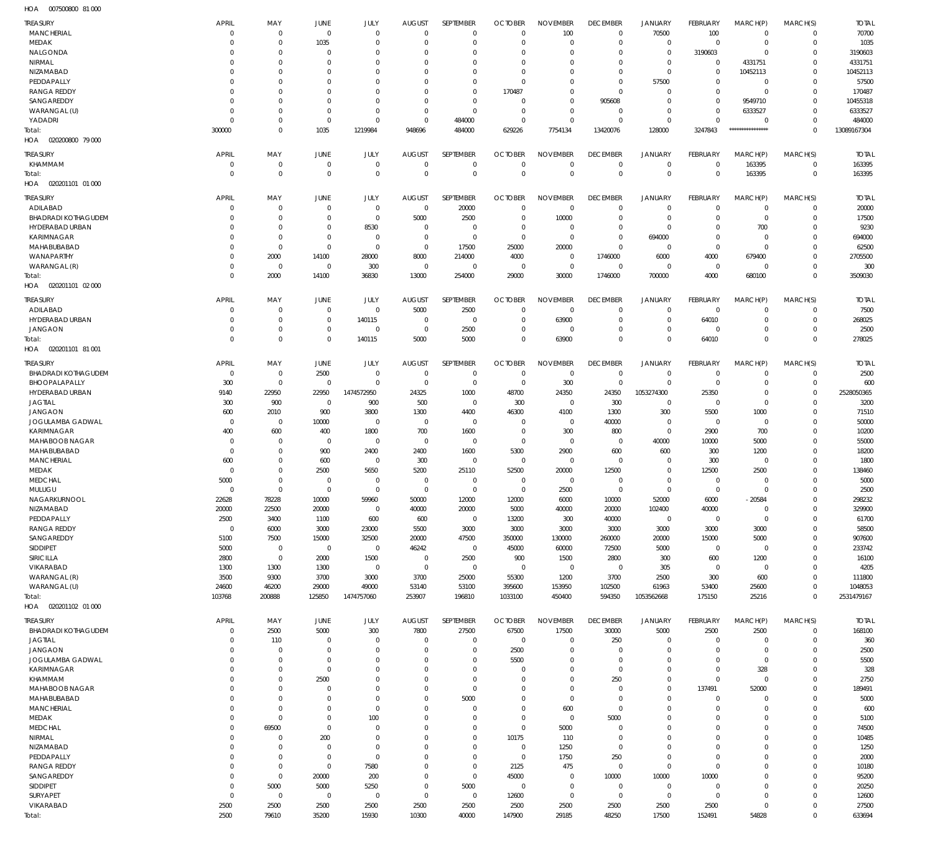007500800 81 000 HOA

| <b>TREASURY</b>            | <b>APRIL</b> | MAY            | JUNE           | JULY           | <b>AUGUST</b>  | SEPTEMBER      | <b>OCTOBER</b> | <b>NOVEMBER</b> | <b>DECEMBER</b> | <b>JANUARY</b> | FEBRUARY       | MARCH(P)         | MARCH(S)    | <b>TOTAL</b> |
|----------------------------|--------------|----------------|----------------|----------------|----------------|----------------|----------------|-----------------|-----------------|----------------|----------------|------------------|-------------|--------------|
| <b>MANCHERIAL</b>          | $\mathbf 0$  | $\mathbf 0$    | $\mathbf 0$    | $\Omega$       | $\overline{0}$ | $\overline{0}$ | $\Omega$       | 100             | $\mathbf 0$     | 70500          | 100            | $\mathbf 0$      | $\mathbf 0$ | 70700        |
| MEDAK                      | $\mathbf 0$  | $\mathbf 0$    | 1035           | $\Omega$       | $\Omega$       | $\overline{0}$ | $\Omega$       | $\Omega$        | $\Omega$        | $\mathbf 0$    | $^{\circ}$     | $\mathbf 0$      | $\Omega$    | 1035         |
| NALGONDA                   | 0            | $\mathbf 0$    | $\Omega$       | $\Omega$       | $\Omega$       | $^{\circ}$     | $\Omega$       | $\Omega$        | $\Omega$        | $\mathbf 0$    | 3190603        | $\Omega$         | $\Omega$    | 3190603      |
| NIRMAL                     | $\Omega$     | $\overline{0}$ | $\Omega$       | $\Omega$       | $\Omega$       | $\Omega$       | $\Omega$       | $\Omega$        | $\Omega$        | $\mathbf 0$    | $^{\circ}$     | 4331751          | $\Omega$    | 4331751      |
| NIZAMABAD                  | $\Omega$     | $\overline{0}$ | $\Omega$       | $\Omega$       | $\Omega$       | $\Omega$       | $\Omega$       | $\Omega$        | $\Omega$        | $\mathbf 0$    | $\Omega$       | 10452113         | $\Omega$    | 10452113     |
| PEDDAPALLY                 | $\Omega$     | $\overline{0}$ | $\Omega$       | $\Omega$       | $\Omega$       | $\Omega$       | $\Omega$       | $\Omega$        | $\Omega$        | 57500          | $\Omega$       | $\mathbf 0$      | $\Omega$    | 57500        |
| <b>RANGA REDDY</b>         | 0            | $\overline{0}$ | $\Omega$       | $\Omega$       | $\Omega$       | $\Omega$       | 170487         | $\Omega$        | $\Omega$        | $\mathbf 0$    | $\Omega$       | $\mathbf 0$      | $\Omega$    | 170487       |
| SANGAREDDY                 | $\Omega$     | $\overline{0}$ | $\Omega$       | $\Omega$       | $\Omega$       | $\Omega$       | $\Omega$       | $\Omega$        | 905608          | $\mathbf{0}$   | $\Omega$       | 9549710          | $\Omega$    | 10455318     |
|                            |              |                |                |                |                |                |                |                 |                 |                |                |                  |             |              |
| WARANGAL (U)               | 0            | $\mathbf 0$    | $\Omega$       | $\Omega$       | $\Omega$       | $\Omega$       | $\Omega$       | $\Omega$        | $\Omega$        | $\mathbf 0$    | $\Omega$       | 6333527          | $\Omega$    | 6333527      |
| YADADRI                    | 0            | $\mathbf 0$    | $\mathbf 0$    | $\overline{0}$ | $\Omega$       | 484000         | $\Omega$       | $\Omega$        | $\Omega$        | $\mathbf 0$    | $\Omega$       | $\mathbf 0$      | $\Omega$    | 484000       |
| Total:                     | 300000       | $\mathbf 0$    | 1035           | 1219984        | 948696         | 484000         | 629226         | 7754134         | 13420076        | 128000         | 3247843        | **************** | $\Omega$    | 13089167304  |
| 020200800 79 000<br>HOA    |              |                |                |                |                |                |                |                 |                 |                |                |                  |             |              |
|                            |              |                |                |                |                |                |                |                 |                 |                |                |                  |             |              |
| <b>TREASURY</b>            | <b>APRIL</b> | MAY            | JUNE           | JULY           | <b>AUGUST</b>  | SEPTEMBER      | <b>OCTOBER</b> | <b>NOVEMBER</b> | <b>DECEMBER</b> | <b>JANUARY</b> | FEBRUARY       | MARCH(P)         | MARCH(S)    | <b>TOTAL</b> |
| KHAMMAM                    | $\mathbf 0$  | $\mathbf 0$    | $\mathbf 0$    | $\overline{0}$ | $\overline{0}$ | $\overline{0}$ | $\Omega$       | $\Omega$        | $\Omega$        | $\mathbf 0$    | $\Omega$       | 163395           | $^{\circ}$  | 163395       |
| Total:                     | $\mathbf 0$  | $\mathbf 0$    | $\Omega$       | $\mathbf 0$    | $\mathbf 0$    | $\Omega$       | $\Omega$       | $\Omega$        | $\Omega$        | $\mathbf 0$    | $\mathbf 0$    | 163395           | $\mathbf 0$ | 163395       |
| 020201101 01 000<br>HOA    |              |                |                |                |                |                |                |                 |                 |                |                |                  |             |              |
| <b>TREASURY</b>            | <b>APRIL</b> | MAY            | JUNE           | JULY           | <b>AUGUST</b>  | SEPTEMBER      | <b>OCTOBER</b> | <b>NOVEMBER</b> | <b>DECEMBER</b> | <b>JANUARY</b> | FEBRUARY       | MARCH(P)         | MARCH(S)    | <b>TOTAL</b> |
|                            |              |                |                |                |                |                |                |                 |                 |                |                |                  |             |              |
| ADILABAD                   | 0            | 0              | $\mathbf 0$    | $\overline{0}$ | $\overline{0}$ | 20000          | $\Omega$       | $\Omega$        | $\mathbf 0$     | $\mathbf 0$    | $\mathbf 0$    | $\mathbf 0$      | $\mathbf 0$ | 20000        |
| <b>BHADRADI KOTHAGUDEM</b> | $\Omega$     | $\mathbf 0$    | $\mathbf 0$    | $\mathbf 0$    | 5000           | 2500           | $\Omega$       | 10000           | $\Omega$        | $\mathbf 0$    | $\Omega$       | $\mathbf 0$      | $\Omega$    | 17500        |
| <b>HYDERABAD URBAN</b>     | $\Omega$     | $\mathbf 0$    | $\mathbf 0$    | 8530           | $^{\circ}$     | $\overline{0}$ | $\Omega$       | $\Omega$        | $\Omega$        | $\mathbf{0}$   | $\Omega$       | 700              | $\Omega$    | 9230         |
| <b>KARIMNAGAR</b>          | 0            | $\overline{0}$ | $\mathbf 0$    | $\overline{0}$ | $\Omega$       | $\overline{0}$ | $\mathbf 0$    | $\Omega$        | $\Omega$        | 694000         | $\Omega$       | $\mathbf 0$      | $\Omega$    | 694000       |
| MAHABUBABAD                | 0            | $\mathbf 0$    | $\mathbf{0}$   | $\overline{0}$ | $\mathbf 0$    | 17500          | 25000          | 20000           | $\Omega$        | $\mathbf 0$    | $\mathbf{0}$   | $\Omega$         | $\Omega$    | 62500        |
| WANAPARTHY                 | 0            | 2000           | 14100          | 28000          | 8000           | 214000         | 4000           | $\overline{0}$  | 1746000         | 6000           | 4000           | 679400           | $\Omega$    | 2705500      |
| WARANGAL (R)               | 0            | 0              | $\mathbf 0$    | 300            | $^{\circ}$     | $\mathbf 0$    | $\Omega$       | $\overline{0}$  | $\mathbf 0$     | $\mathbf 0$    | $\mathbf 0$    | $\mathbf 0$      | $\Omega$    | 300          |
| Total:                     | $\mathbf 0$  | 2000           | 14100          | 36830          | 13000          | 254000         | 29000          | 30000           | 1746000         | 700000         | 4000           | 680100           | $\Omega$    | 3509030      |
|                            |              |                |                |                |                |                |                |                 |                 |                |                |                  |             |              |
| HOA  020201101  02  000    |              |                |                |                |                |                |                |                 |                 |                |                |                  |             |              |
| <b>TREASURY</b>            | <b>APRIL</b> | MAY            | JUNE           | JULY           | <b>AUGUST</b>  | SEPTEMBER      | <b>OCTOBER</b> | <b>NOVEMBER</b> | <b>DECEMBER</b> | <b>JANUARY</b> | FEBRUARY       | MARCH(P)         | MARCH(S)    | <b>TOTAL</b> |
| ADILABAD                   | $\mathbf 0$  | $\mathbf 0$    | $\mathbf 0$    | $\mathbf 0$    | 5000           | 2500           | $\Omega$       | $\Omega$        | $\Omega$        | 0              | $\mathbf{0}$   | $\Omega$         | $\Omega$    | 7500         |
| HYDERABAD URBAN            | $\mathbf 0$  | $\mathbf 0$    | $\mathbf 0$    | 140115         | $\Omega$       | $\overline{0}$ | $\Omega$       | 63900           | $\Omega$        | $\mathbf 0$    | 64010          | $\Omega$         | $\mathbf 0$ | 268025       |
| <b>JANGAON</b>             | $\mathbf 0$  | $\mathbf 0$    | $\mathbf 0$    | $\overline{0}$ | $^{\circ}$     |                | $\Omega$       | $\Omega$        | $\Omega$        | $\mathbf 0$    | $\overline{0}$ | $\Omega$         | 0           | 2500         |
|                            |              |                |                |                |                | 2500           |                |                 |                 |                |                |                  |             |              |
| Total:                     | $\mathbf 0$  | $\mathbf 0$    | $\Omega$       | 140115         | 5000           | 5000           | $\Omega$       | 63900           | $\Omega$        | $\Omega$       | 64010          | $\Omega$         | $\Omega$    | 278025       |
| 020201101 81 001<br>HOA    |              |                |                |                |                |                |                |                 |                 |                |                |                  |             |              |
| <b>TREASURY</b>            | <b>APRIL</b> | MAY            | JUNE           | JULY           | <b>AUGUST</b>  | SEPTEMBER      | <b>OCTOBER</b> | <b>NOVEMBER</b> | <b>DECEMBER</b> | <b>JANUARY</b> | FEBRUARY       | MARCH(P)         | MARCH(S)    | <b>TOTAL</b> |
| <b>BHADRADI KOTHAGUDEM</b> | 0            | $\overline{0}$ | 2500           | $\mathbf 0$    | $\overline{0}$ | $\overline{0}$ | $\Omega$       | $\Omega$        | $\Omega$        | $\mathbf 0$    | $\overline{0}$ | $\Omega$         | $^{\circ}$  | 2500         |
|                            |              |                |                |                |                |                |                |                 |                 |                |                |                  |             |              |
| BHOOPALAPALLY              | 300          | $\overline{0}$ | $\overline{0}$ | $\Omega$       | $^{\circ}$     | $\mathbf 0$    | $\Omega$       | 300             | $\mathbf 0$     | $\mathbf 0$    | $^{\circ}$     | $\Omega$         | $\mathbf 0$ | 600          |
| HYDERABAD URBAN            | 9140         | 22950          | 22950          | 1474572950     | 24325          | 1000           | 48700          | 24350           | 24350           | 1053274300     | 25350          | $\Omega$         | $\Omega$    | 2528050365   |
| <b>JAGTIAL</b>             | 300          | 900            | $\overline{0}$ | 900            | 500            | $^{\circ}$     | 300            | $\Omega$        | 300             | $\mathbf 0$    | $^{\circ}$     | $\mathbf 0$      | $\Omega$    | 3200         |
| JANGAON                    | 600          | 2010           | 900            | 3800           | 1300           | 4400           | 46300          | 4100            | 1300            | 300            | 5500           | 1000             | $\Omega$    | 71510        |
| JOGULAMBA GADWAL           | 0            | $\overline{0}$ | 10000          | $^{\circ}$     | $^{\circ}$     | $\mathbf 0$    | $\Omega$       | $\Omega$        | 40000           | $\mathbf 0$    | $\mathbf 0$    | $\mathbf 0$      | $\Omega$    | 50000        |
| <b>KARIMNAGAR</b>          | 400          | 600            | 400            | 1800           | 700            | 1600           | $\Omega$       | 300             | 800             | $\mathbf 0$    | 2900           | 700              | $\Omega$    | 10200        |
| <b>MAHABOOB NAGAR</b>      | $\mathbf 0$  | 0              | $\overline{0}$ | $^{\circ}$     | $^{\circ}$     | $\mathbf 0$    | $\Omega$       | $\Omega$        | $\Omega$        | 40000          | 10000          | 5000             | $\Omega$    | 55000        |
| MAHABUBABAD                | $\mathbf 0$  | $\mathbf 0$    | 900            | 2400           | 2400           | 1600           | 5300           | 2900            | 600             | 600            | 300            | 1200             | $\Omega$    | 18200        |
| <b>MANCHERIAL</b>          | 600          | $\mathbf 0$    | 600            | $\overline{0}$ | 300            | $\mathbf 0$    | $\Omega$       | $\Omega$        | $\mathbf 0$     | $\mathbf 0$    | 300            | $\mathbf 0$      | $\Omega$    | 1800         |
|                            |              |                |                |                |                |                |                |                 |                 |                |                |                  |             |              |
| MEDAK                      | $\mathbf 0$  | $\mathbf 0$    | 2500           | 5650           | 5200           | 25110          | 52500          | 20000           | 12500           | $\Omega$       | 12500          | 2500             | $\Omega$    | 138460       |
| MEDCHAL                    | 5000         | $\overline{0}$ | $\Omega$       | $\Omega$       | $^{\circ}$     | $\overline{0}$ | $\Omega$       | $\Omega$        | $\Omega$        | $\Omega$       | $\Omega$       | $\Omega$         | $\Omega$    | 5000         |
| MULUGU                     | $\mathbf 0$  | $\mathbf 0$    | $\mathbf{0}$   | $\Omega$       | $\mathbf 0$    | $\overline{0}$ | $\mathbf 0$    | 2500            | $\Omega$        | $\Omega$       | $\mathbf{0}$   | $\Omega$         | $\Omega$    | 2500         |
| NAGARKURNOOL               | 22628        | 78228          | 10000          | 59960          | 50000          | 12000          | 12000          | 6000            | 10000           | 52000          | 6000           | $-20584$         | $\mathbf 0$ | 298232       |
| NIZAMABAD                  | 20000        | 22500          | 20000          | $\mathbf 0$    | 40000          | 20000          | 5000           | 40000           | 20000           | 102400         | 40000          | $\mathbf 0$      | $\Omega$    | 329900       |
| PEDDAPALLY                 | 2500         | 3400           | 1100           | 600            | 600            | $\mathbf 0$    | 13200          | 300             | 40000           | 0              | $\mathbf 0$    | $\mathbf 0$      | $\mathbf 0$ | 61700        |
| <b>RANGA REDDY</b>         | $\mathbf 0$  | 6000           | 3000           | 23000          | 5500           | 3000           | 3000           | 3000            | 3000            | 3000           | 3000           | 3000             | $\Omega$    | 58500        |
| SANGAREDDY                 | 5100         | 7500           | 15000          | 32500          | 20000          | 47500          | 350000         | 130000          | 260000          | 20000          | 15000          | 5000             | $\mathbf 0$ | 907600       |
| SIDDIPET                   |              |                |                | $\mathbf 0$    |                |                |                |                 |                 |                |                |                  | $\Omega$    |              |
|                            | 5000         | $\mathbf 0$    | 0              |                | 46242          | $\mathbf 0$    | 45000          | 60000           | 72500           | 5000           | $\mathbf 0$    | $\mathbf 0$      |             | 233742       |
| SIRICILLA                  | 2800         | $\mathbf 0$    | 2000           | 1500           | $\mathbf 0$    | 2500           | 900            | 1500            | 2800            | 300            | 600            | 1200             | $\mathbf 0$ | 16100        |
| <b>VIKARABAD</b>           | 1300         | 1300           | 1300           | $\mathbf 0$    | $\mathbf 0$    | $\mathbf 0$    | $\mathbf 0$    | $\mathbf 0$     | $\mathbf 0$     | 305            | $\mathbf 0$    | $\mathbf 0$      | $\Omega$    | 4205         |
| WARANGAL (R)               | 3500         | 9300           | 3700           | 3000           | 3700           | 25000          | 55300          | 1200            | 3700            | 2500           | 300            | 600              | $\Omega$    | 111800       |
| WARANGAL (U)               | 24600        | 46200          | 29000          | 49000          | 53140          | 53100          | 395600         | 153950          | 102500          | 61963          | 53400          | 25600            | $\Omega$    | 1048053      |
| Total:                     | 103768       | 200888         | 125850         | 1474757060     | 253907         | 196810         | 1033100        | 450400          | 594350          | 1053562668     | 175150         | 25216            | $\Omega$    | 2531479167   |
| HOA  020201102  01  000    |              |                |                |                |                |                |                |                 |                 |                |                |                  |             |              |
|                            |              |                |                |                |                |                |                |                 |                 |                |                |                  |             |              |
| TREASURY                   | <b>APRIL</b> | MAY            | JUNE           | JULY           | <b>AUGUST</b>  | SEPTEMBER      | <b>OCTOBER</b> | <b>NOVEMBER</b> | <b>DECEMBER</b> | JANUARY        | FEBRUARY       | MARCH(P)         | MARCH(S)    | <b>TOTAL</b> |
| <b>BHADRADI KOTHAGUDEM</b> | $\mathbf 0$  | 2500           | 5000           | 300            | 7800           | 27500          | 67500          | 17500           | 30000           | 5000           | 2500           | 2500             | $\mathbf 0$ | 168100       |
| <b>JAGTIAL</b>             | $\Omega$     | 110            | $\Omega$       | $\Omega$       | $\Omega$       | $\overline{0}$ | $\overline{0}$ | $\Omega$        | 250             | $\mathbf 0$    | $\Omega$       | $\Omega$         | $\mathbf 0$ | 360          |
| JANGAON                    | $\Omega$     | $\mathbf 0$    | $\Omega$       | $\Omega$       | $^{\circ}$     | $\overline{0}$ | 2500           | $\Omega$        | $\Omega$        | $\mathbf 0$    | $\Omega$       | $\mathbf 0$      | $\Omega$    | 2500         |
| JOGULAMBA GADWAL           | $\Omega$     | $\mathbf 0$    | $\Omega$       | $\Omega$       | $\Omega$       | $\overline{0}$ | 5500           | $\Omega$        | $\Omega$        | $\mathbf 0$    | $\Omega$       | $\mathbf 0$      | $\Omega$    | 5500         |
| <b>KARIMNAGAR</b>          | $\Omega$     | $\mathbf 0$    | $\Omega$       | $\Omega$       | $\Omega$       | $\mathbf 0$    | $\Omega$       | $\Omega$        | $\Omega$        | $\Omega$       | $\Omega$       | 328              | $\Omega$    | 328          |
| KHAMMAM                    | $\Omega$     | $\mathbf 0$    | 2500           | $\Omega$       | $\Omega$       | $\overline{0}$ | $\Omega$       | $\Omega$        | 250             | $\mathbf 0$    | $\Omega$       | $\mathbf 0$      | $\Omega$    | 2750         |
|                            |              |                |                |                |                | $\Omega$       |                | $\Omega$        |                 |                |                |                  |             |              |
| MAHABOOB NAGAR             | $\Omega$     | $\mathbf 0$    | $\Omega$       | $\Omega$       | $^{\circ}$     |                | $\Omega$       |                 | $\Omega$        | $\mathbf 0$    | 137491         | 52000            | $\Omega$    | 189491       |
| MAHABUBABAD                | $\Omega$     | $\mathbf 0$    | $\Omega$       | $\Omega$       | $\Omega$       | 5000           | $\Omega$       | $\Omega$        | $\Omega$        | $\mathbf 0$    | $\Omega$       | $\Omega$         | $\Omega$    | 5000         |
| <b>MANCHERIAL</b>          | $\Omega$     | $\overline{0}$ | $\Omega$       | $\Omega$       | $\Omega$       | $\Omega$       | $\Omega$       | 600             | $\Omega$        | $\Omega$       | $\Omega$       | $\Omega$         | $\Omega$    | 600          |
| MEDAK                      | $\Omega$     | $\mathbf 0$    | $\Omega$       | 100            | $\Omega$       | $\overline{0}$ | $\Omega$       | $\Omega$        | 5000            | $\mathbf 0$    | $\Omega$       | $\Omega$         | $\Omega$    | 5100         |
| <b>MEDCHAL</b>             | $\Omega$     | 69500          | $\Omega$       | $\Omega$       | $\Omega$       | $^{\circ}$     | $\Omega$       | 5000            | $\Omega$        | $\Omega$       | $\Omega$       | $\Omega$         | $\Omega$    | 74500        |
| NIRMAL                     | $\Omega$     | $\mathbf 0$    | 200            | $\Omega$       | $\Omega$       | $\mathbf 0$    | 10175          | 110             | $\Omega$        | $\Omega$       | $\Omega$       | $\Omega$         | $\Omega$    | 10485        |
| NIZAMABAD                  | $\Omega$     | $\mathbf 0$    | $\mathbf{0}$   | $\Omega$       | $\Omega$       | $\mathbf 0$    | $\overline{0}$ | 1250            | $\Omega$        | $\mathbf 0$    | $\Omega$       | $\Omega$         | $\Omega$    | 1250         |
| PEDDAPALLY                 | $\Omega$     | $\mathbf 0$    | $\mathbf 0$    | $\mathbf 0$    | $\Omega$       | $\overline{0}$ | $\overline{0}$ | 1750            | 250             | $\mathbf 0$    | $\Omega$       | $\Omega$         | $\Omega$    | 2000         |
|                            | $\Omega$     | $\mathbf 0$    | $\mathbf 0$    |                | $\Omega$       | $\mathbf 0$    |                |                 | $\Omega$        | $\mathbf 0$    | $\Omega$       | $\Omega$         | $\Omega$    |              |
| <b>RANGA REDDY</b>         |              |                |                | 7580           |                |                | 2125           | 475             |                 |                |                |                  |             | 10180        |
| SANGAREDDY                 | $\Omega$     | $\mathbf 0$    | 20000          | 200            | $\Omega$       | $\mathbf 0$    | 45000          | $\Omega$        | 10000           | 10000          | 10000          | $\Omega$         | $\Omega$    | 95200        |
| SIDDIPET                   | 0            | 5000           | 5000           | 5250           | $\Omega$       | 5000           | $\overline{0}$ | $\Omega$        | $\mathbf 0$     | $\mathbf 0$    | $\Omega$       | $\Omega$         | $\Omega$    | 20250        |
| <b>SURYAPET</b>            | $\mathbf 0$  | $\mathbf 0$    | $\mathbf 0$    | $\mathbf 0$    | $\mathbf 0$    | $^{\circ}$     | 12600          | $\mathbf{0}$    | $\Omega$        | $\mathbf 0$    | $\mathbf 0$    | $\Omega$         | $\Omega$    | 12600        |
| VIKARABAD                  | 2500         | 2500           | 2500           | 2500           | 2500           | 2500           | 2500           | 2500            | 2500            | 2500           | 2500           | $\mathbf 0$      | $\Omega$    | 27500        |
| Total:                     | 2500         | 79610          | 35200          | 15930          | 10300          | 40000          | 147900         | 29185           | 48250           | 17500          | 152491         | 54828            | $\Omega$    | 633694       |
|                            |              |                |                |                |                |                |                |                 |                 |                |                |                  |             |              |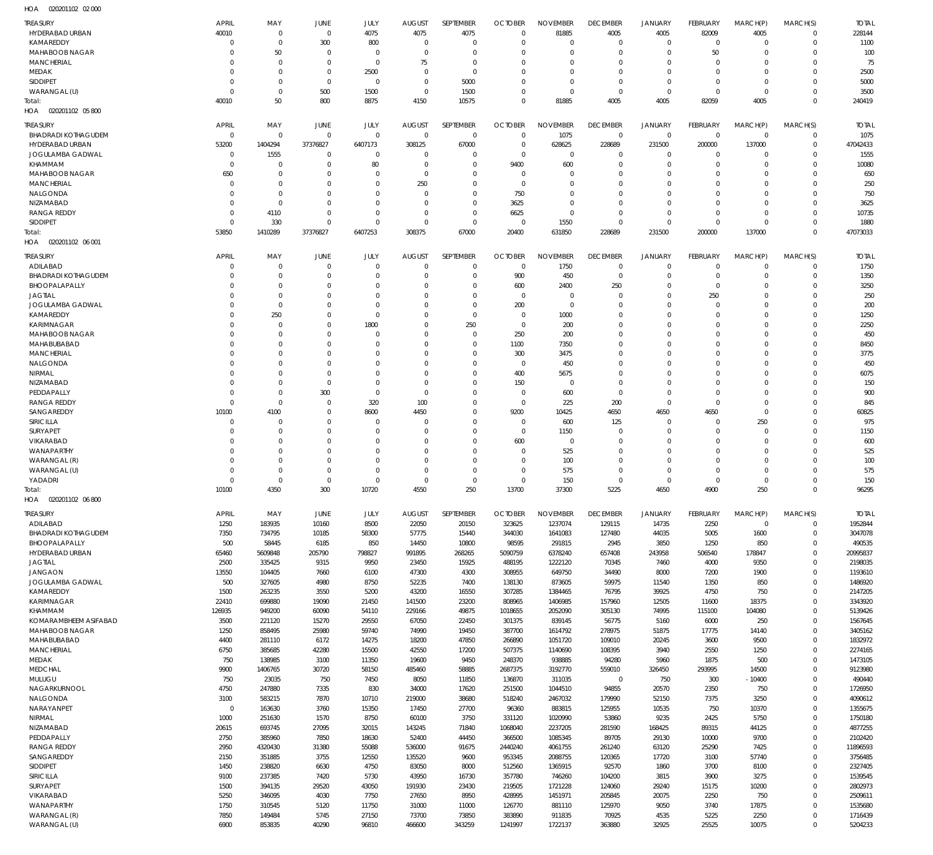020201102 02 000 HOA

| <b>TREASURY</b><br>HYDERABAD URBAN      | <b>APRIL</b><br>40010      | MAY<br>$\overline{0}$            | JUNE<br>$\mathbf{0}$    | JULY<br>4075               | <b>AUGUST</b><br>4075 | SEPTEMBER<br>4075    | <b>OCTOBER</b><br>$\Omega$ | <b>NOVEMBER</b><br>81885 | <b>DECEMBER</b><br>4005 | <b>JANUARY</b><br>4005     | FEBRUARY<br>82009    | MARCH(P)<br>4005     | MARCH(S)<br>$\overline{0}$    | <b>TOTAL</b><br>228144 |
|-----------------------------------------|----------------------------|----------------------------------|-------------------------|----------------------------|-----------------------|----------------------|----------------------------|--------------------------|-------------------------|----------------------------|----------------------|----------------------|-------------------------------|------------------------|
| KAMAREDDY                               | $\Omega$                   | $\overline{0}$                   | 300                     | 800                        | 0                     | $\mathbf{0}$         | $\Omega$                   | $\Omega$                 | O                       | $\mathbf 0$                | $\overline{0}$       | $\mathbf 0$          | $\mathbf 0$                   | 1100                   |
| MAHABOOB NAGAR<br><b>MANCHERIAL</b>     |                            | 50<br>$\overline{0}$             | $\Omega$<br>$\mathbf 0$ | $\Omega$<br>$\overline{0}$ | $\overline{0}$<br>75  | $\Omega$<br>$\Omega$ |                            | $\Omega$<br>$\Omega$     | O<br>$\Omega$           | $\mathbf 0$<br>$\mathbf 0$ | 50<br>$\mathbf 0$    | $\Omega$<br>$\Omega$ | $\overline{0}$<br>$\Omega$    | 100<br>75              |
| <b>MEDAK</b>                            | 0                          | $\overline{0}$                   | $\mathbf 0$             | 2500                       | 0                     | $\Omega$             |                            | $\Omega$                 | 0                       | $\mathbf 0$                | 0                    | $\Omega$             | $\Omega$                      | 2500                   |
| <b>SIDDIPET</b>                         | 0                          | $\overline{0}$                   | $\mathbf 0$             | $\overline{0}$             | $\Omega$              | 5000                 | $\Omega$                   | $\mathbf 0$              | 0                       | $\mathbf 0$                | $\mathbf 0$          | $\Omega$             | $\Omega$                      | 5000                   |
| WARANGAL (U)<br>Total:                  | $\Omega$<br>40010          | $\overline{0}$<br>50             | 500<br>800              | 1500<br>8875               | - 0<br>4150           | 1500<br>10575        | $\Omega$<br>$\Omega$       | $\Omega$<br>81885        | $\mathbf 0$<br>4005     | $\mathbf 0$<br>4005        | $\mathbf 0$<br>82059 | $\mathbf 0$<br>4005  | $\overline{0}$<br>$\mathbf 0$ | 3500<br>240419         |
| 020201102 05 800<br>HOA                 |                            |                                  |                         |                            |                       |                      |                            |                          |                         |                            |                      |                      |                               |                        |
| <b>TREASURY</b>                         | <b>APRIL</b>               | MAY                              | JUNE                    | JULY                       | <b>AUGUST</b>         | <b>SEPTEMBER</b>     | <b>OCTOBER</b>             | <b>NOVEMBER</b>          | <b>DECEMBER</b>         | <b>JANUARY</b>             | FEBRUARY             | MARCH(P)             | MARCH(S)                      | <b>TOTAL</b>           |
| <b>BHADRADI KOTHAGUDEM</b>              | $\overline{0}$             | $\overline{0}$                   | $\Omega$                | $\mathbf 0$                | $\mathbf 0$           | $\mathbf 0$          | $\Omega$                   | 1075                     | $\mathbf 0$             | $\mathbf 0$                | $\overline{0}$       | $\mathbf 0$          | $\mathbf 0$                   | 1075                   |
| HYDERABAD URBAN                         | 53200                      | 1404294                          | 37376827                | 6407173                    | 308125                | 67000                | $\Omega$<br>$\Omega$       | 628625                   | 228689                  | 231500                     | 200000               | 137000               | $\overline{0}$                | 47042433               |
| JOGULAMBA GADWAL<br>KHAMMAM             | $\mathbf 0$<br>$\mathbf 0$ | 1555<br>$\overline{0}$           | $\Omega$<br>$\mathbf 0$ | 0<br>80                    | 0<br>$\Omega$         | $\Omega$<br>$\Omega$ | 9400                       | $\Omega$<br>600          | 0<br>0                  | 0<br>$\mathbf 0$           | 0<br>$\mathbf 0$     | $\Omega$<br>$\Omega$ | $\mathbf 0$<br>$\Omega$       | 1555<br>10080          |
| MAHABOOB NAGAR                          | 650                        | $\overline{0}$                   | $\Omega$                | $\Omega$                   | 0                     | $\Omega$             | $\Omega$                   | $\Omega$                 | 0                       | $\mathbf 0$                | $\Omega$             | $\Omega$             | $\Omega$                      | 650                    |
| <b>MANCHERIAL</b>                       | $\Omega$<br>$\Omega$       | $\overline{0}$<br>$\overline{0}$ | $\Omega$<br>$\Omega$    | $\Omega$<br>$\Omega$       | 250                   | $\Omega$<br>$\Omega$ | $\Omega$                   | $\Omega$<br>$\Omega$     | 0                       | $\mathbf 0$                | $\Omega$             | $\Omega$<br>$\Omega$ | $\Omega$<br>$\Omega$          | 250                    |
| NALGONDA<br>NIZAMABAD                   | $\Omega$                   | $\overline{0}$                   | $\Omega$                | $\Omega$                   | - 0<br>$\Omega$       | $\Omega$             | 750<br>3625                | $\Omega$                 | $\Omega$<br>$\mathbf 0$ | $\mathbf 0$<br>$\mathbf 0$ | $\Omega$<br>$\Omega$ | $\Omega$             | $\Omega$                      | 750<br>3625            |
| <b>RANGA REDDY</b>                      | $\mathbf 0$                | 4110                             | $\Omega$                | $\Omega$                   | $\Omega$              | $\Omega$             | 6625                       | $\Omega$                 | $\mathbf 0$             | $\mathbf 0$                | $\mathbf 0$          | $\Omega$             | $\Omega$                      | 10735                  |
| <b>SIDDIPET</b>                         | $\Omega$                   | 330                              | $\Omega$                | $\Omega$                   | $\Omega$              | $\Omega$             | $\sqrt{ }$                 | 1550                     | $\Omega$                | $\mathbf 0$                | $\mathbf 0$          | $\Omega$             | $\Omega$                      | 1880                   |
| Total:<br>020201102 06 001<br>HOA       | 53850                      | 1410289                          | 37376827                | 6407253                    | 308375                | 67000                | 20400                      | 631850                   | 228689                  | 231500                     | 200000               | 137000               | $\mathbf 0$                   | 47073033               |
| TREASURY                                | <b>APRIL</b>               | MAY                              | JUNE                    | JULY                       | <b>AUGUST</b>         | SEPTEMBER            | <b>OCTOBER</b>             | <b>NOVEMBER</b>          | <b>DECEMBER</b>         | <b>JANUARY</b>             | FEBRUARY             | MARCH(P)             | MARCH(S)                      | <b>TOTAL</b>           |
| ADILABAD                                | 0                          | $\overline{0}$                   | 0                       | $\overline{0}$             | $\overline{0}$        | $\Omega$             | $\Omega$                   | 1750                     | $\mathbf 0$             | $\mathbf 0$                | $\mathbf 0$          | $\mathbf 0$          | $\mathbf 0$                   | 1750                   |
| <b>BHADRADI KOTHAGUDEM</b>              |                            | $\overline{0}$                   | $\Omega$                | $\Omega$                   | $\Omega$              | $\Omega$             | 900                        | 450                      | $\mathbf 0$             | $\mathbf 0$                | $\overline{0}$       | $\mathbf 0$          | $\mathbf 0$                   | 1350                   |
| BHOOPALAPALLY<br><b>JAGTIAL</b>         |                            | $\overline{0}$<br>$\overline{0}$ | 0<br>$\Omega$           | $\Omega$<br>$\Omega$       | $\Omega$<br>$\Omega$  | $\Omega$<br>$\Omega$ | 600<br>$\Omega$            | 2400<br>$\Omega$         | 250                     | $\mathbf 0$<br>$\mathbf 0$ | $\mathbf 0$          | $\Omega$<br>$\Omega$ | $\mathbf 0$<br>$\Omega$       | 3250                   |
| JOGULAMBA GADWAL                        |                            | $\overline{0}$                   | 0                       | $\Omega$                   | $\Omega$              | $\Omega$             | 200                        | $\mathbf 0$              | O<br>0                  | $\mathbf 0$                | 250<br>0             | $\Omega$             | $\Omega$                      | 250<br>200             |
| KAMAREDDY                               |                            | 250                              | $\Omega$                | $\Omega$                   | $\Omega$              | $\Omega$             | $\Omega$                   | 1000                     | 0                       | $\mathbf 0$                | 0                    | $\Omega$             | $\Omega$                      | 1250                   |
| KARIMNAGAR                              |                            | $\overline{0}$                   | $\Omega$                | 1800                       | $\Omega$              | 250                  | $\Omega$                   | 200                      | $\Omega$                | $\mathbf 0$                | $\Omega$             | $\Omega$             | $\Omega$                      | 2250                   |
| MAHABOOB NAGAR<br>MAHABUBABAD           |                            | $\overline{0}$<br>$\overline{0}$ | $\Omega$<br>U           | $\Omega$<br>$\Omega$       | $\Omega$<br>$\Omega$  | $\Omega$<br>$\Omega$ | 250<br>1100                | 200<br>7350              | $\Omega$<br>$\Omega$    | $\mathbf 0$<br>$\mathbf 0$ | 0<br>$\Omega$        | $\Omega$<br>$\Omega$ | $\Omega$<br>$\Omega$          | 450<br>8450            |
| <b>MANCHERIAL</b>                       |                            | $\overline{0}$                   | $\Omega$                | $\Omega$                   | $\Omega$              | $\Omega$             | 300                        | 3475                     | $\Omega$                | $\mathbf 0$                | 0                    | $\Omega$             | $\Omega$                      | 3775                   |
| NALGONDA                                |                            | $\overline{0}$                   | U                       | $\Omega$                   | $\Omega$              | $\Omega$             | $\Omega$                   | 450                      | $\Omega$                | $\mathbf 0$                | $\Omega$             | $\Omega$             | $\Omega$                      | 450                    |
| <b>NIRMAL</b><br>NIZAMABAD              |                            | $\overline{0}$<br>$\overline{0}$ | $\Omega$<br>$\Omega$    | $\Omega$<br>$\Omega$       | $\Omega$<br>$\Omega$  | $\Omega$<br>$\Omega$ | 400<br>150                 | 5675<br>$\mathbf 0$      | $\Omega$<br>$\Omega$    | $\mathbf 0$<br>$\mathbf 0$ | $\Omega$<br>0        | $\Omega$<br>$\Omega$ | $\Omega$<br>$\Omega$          | 6075<br>150            |
| PEDDAPALLY                              | 0                          | $\overline{0}$                   | 300                     | $\Omega$                   | $\Omega$              | $\Omega$             | $\Omega$                   | 600                      | 0                       | $\mathbf 0$                | 0                    | $\Omega$             | $\Omega$                      | 900                    |
| <b>RANGA REDDY</b>                      | $\Omega$                   | $\overline{0}$                   | $\Omega$                | 320                        | 100                   | $\Omega$             | $\Omega$                   | 225                      | 200                     | $\mathbf 0$                | $\mathbf 0$          | $\Omega$             | $\Omega$                      | 845                    |
| SANGAREDDY<br>SIRICILLA                 | 10100<br>$\Omega$          | 4100<br>$\overline{0}$           | $\Omega$<br>0           | 8600<br>$\Omega$           | 4450<br>$\Omega$      | $\Omega$<br>$\Omega$ | 9200<br>$\Omega$           | 10425<br>600             | 4650<br>125             | 4650<br>$\mathbf 0$        | 4650<br>$\mathbf 0$  | $\Omega$<br>250      | $\Omega$<br>$\Omega$          | 60825<br>975           |
| SURYAPET                                |                            | $\overline{0}$                   | $\Omega$                | $\Omega$                   | $\Omega$              | $\Omega$             | $\Omega$                   | 1150                     | 0                       | $\mathbf 0$                | 0                    | $\Omega$             | $\Omega$                      | 1150                   |
| VIKARABAD                               |                            | $\overline{0}$                   | $\Omega$                | $\Omega$                   | $\Omega$              | $\Omega$             | 600                        | $\mathbf 0$              | 0                       | $\mathbf 0$                | 0                    | $\Omega$             | $\Omega$                      | 600                    |
| WANAPARTHY<br>WARANGAL (R)              |                            | $\Omega$<br>$\overline{0}$       | U<br>0                  | $\Omega$<br>$\Omega$       | $\Omega$<br>$\Omega$  | $\Omega$<br>$\Omega$ | $\Omega$<br>$\Omega$       | 525<br>100               | $\Omega$<br>0           | $\mathbf 0$<br>$\mathbf 0$ | $\Omega$<br>0        | $\Omega$<br>$\Omega$ | $\Omega$<br>$\Omega$          | 525<br>100             |
| WARANGAL (U)                            |                            | $\Omega$                         | 0                       | $\Omega$                   | $\Omega$              | $\Omega$             | $\Omega$                   | 575                      | $\Omega$                | $\mathbf 0$                | $\Omega$             | $\Omega$             | $\Omega$                      | 575                    |
| YADADRI                                 | 0                          | $\overline{0}$                   | $\Omega$                | $\Omega$                   | $\Omega$              | $\Omega$             | $\Omega$                   | 150                      | $\Omega$                | $\mathbf 0$                | $\mathbf 0$          | $\Omega$             | $\Omega$                      | 150                    |
| Total:<br>HOA<br>020201102 06 800       | 10100                      | 4350                             | 300                     | 10720                      | 4550                  | 250                  | 13700                      | 37300                    | 5225                    | 4650                       | 4900                 | 250                  | $\Omega$                      | 96295                  |
| <b>TREASURY</b>                         | <b>APRIL</b>               | MAY                              | JUNE                    | JULY                       | <b>AUGUST</b>         | <b>SEPTEMBER</b>     | <b>OCTOBER</b>             | <b>NOVEMBER</b>          | <b>DECEMBER</b>         | <b>JANUARY</b>             | FEBRUARY             | MARCH(P)             | MARCH(S)                      | <b>TOTAL</b>           |
| ADILABAD                                | 1250                       | 183935                           | 10160                   | 8500                       | 22050                 | 20150                | 323625                     | 1237074                  | 129115                  | 14735                      | 2250                 | $\mathbf 0$          | $\mathbf 0$                   | 1952844                |
| BHADRADI KOTHAGUDEM                     | 7350                       | 734795                           | 10185                   | 58300                      | 57775                 | 15440                | 344030                     | 1641083                  | 127480                  | 44035                      | 5005                 | 1600                 | $\mathbf 0$                   | 3047078                |
| BHOOPALAPALLY<br>HYDERABAD URBAN        | 500<br>65460               | 58445<br>5609848                 | 6185<br>205790          | 850<br>798827              | 14450<br>991895       | 10800<br>268265      | 98595<br>5090759           | 291815<br>6378240        | 2945<br>657408          | 3850<br>243958             | 1250<br>506540       | 850<br>178847        | $\mathbf 0$<br>$\mathbf 0$    | 490535<br>20995837     |
| <b>JAGTIAL</b>                          | 2500                       | 335425                           | 9315                    | 9950                       | 23450                 | 15925                | 488195                     | 1222120                  | 70345                   | 7460                       | 4000                 | 9350                 | $\mathbf 0$                   | 2198035                |
| <b>JANGAON</b>                          | 13550                      | 104405                           | 7660                    | 6100                       | 47300                 | 4300                 | 308955                     | 649750                   | 34490                   | 8000                       | 7200                 | 1900                 | $\mathbf 0$                   | 1193610                |
| <b>JOGULAMBA GADWAL</b><br>KAMAREDDY    | 500<br>1500                | 327605<br>263235                 | 4980<br>3550            | 8750<br>5200               | 52235<br>43200        | 7400<br>16550        | 138130<br>307285           | 873605<br>1384465        | 59975<br>76795          | 11540<br>39925             | 1350<br>4750         | 850<br>750           | $\mathbf 0$<br>$\mathbf 0$    | 1486920<br>2147205     |
| <b>KARIMNAGAR</b>                       | 22410                      | 699880                           | 19090                   | 21450                      | 141500                | 23200                | 808965                     | 1406985                  | 157960                  | 12505                      | 11600                | 18375                | $\mathbf 0$                   | 3343920                |
| KHAMMAM                                 | 126935                     | 949200                           | 60090                   | 54110                      | 229166                | 49875                | 1018655                    | 2052090                  | 305130                  | 74995                      | 115100               | 104080               | $\mathbf 0$                   | 5139426                |
| KOMARAMBHEEM ASIFABAD<br>MAHABOOB NAGAR | 3500<br>1250               | 221120<br>858495                 | 15270<br>25980          | 29550<br>59740             | 67050<br>74990        | 22450<br>19450       | 301375<br>387700           | 839145<br>1614792        | 56775<br>278975         | 5160<br>51875              | 6000<br>17775        | 250<br>14140         | $\mathbf 0$<br>$\mathbf 0$    | 1567645<br>3405162     |
| MAHABUBABAD                             | 4400                       | 281110                           | 6172                    | 14275                      | 18200                 | 47850                | 266890                     | 1051720                  | 109010                  | 20245                      | 3600                 | 9500                 | $\mathbf 0$                   | 1832972                |
| <b>MANCHERIAL</b>                       | 6750                       | 385685                           | 42280                   | 15500                      | 42550                 | 17200                | 507375                     | 1140690                  | 108395                  | 3940                       | 2550                 | 1250                 | $\mathbf 0$                   | 2274165                |
| MEDAK                                   | 750                        | 138985                           | 3100                    | 11350                      | 19600                 | 9450                 | 248370                     | 938885                   | 94280                   | 5960                       | 1875                 | 500                  | $\mathbf 0$<br>$\mathbf 0$    | 1473105                |
| MEDCHAL<br>MULUGU                       | 9900<br>750                | 1406765<br>23035                 | 30720<br>750            | 58150<br>7450              | 485460<br>8050        | 58885<br>11850       | 2687375<br>136870          | 3192770<br>311035        | 559010<br>$\mathbf 0$   | 326450<br>750              | 293995<br>300        | 14500<br>$-10400$    | $\mathbf 0$                   | 9123980<br>490440      |
| NAGARKURNOOL                            | 4750                       | 247880                           | 7335                    | 830                        | 34000                 | 17620                | 251500                     | 1044510                  | 94855                   | 20570                      | 2350                 | 750                  | $\mathbf 0$                   | 1726950                |
| NALGONDA                                | 3100                       | 583215                           | 7870                    | 10710                      | 219000                | 38680                | 518240                     | 2467032                  | 179990                  | 52150                      | 7375                 | 3250                 | $\mathbf 0$                   | 4090612                |
| NARAYANPET<br>NIRMAL                    | $\mathbf 0$<br>1000        | 163630<br>251630                 | 3760<br>1570            | 15350<br>8750              | 17450<br>60100        | 27700<br>3750        | 96360<br>331120            | 883815<br>1020990        | 125955<br>53860         | 10535<br>9235              | 750<br>2425          | 10370<br>5750        | $\mathbf 0$<br>$\mathbf 0$    | 1355675<br>1750180     |
| NIZAMABAD                               | 20615                      | 693745                           | 27095                   | 32015                      | 143245                | 71840                | 1068040                    | 2237205                  | 281590                  | 168425                     | 89315                | 44125                | $\Omega$                      | 4877255                |
| PEDDAPALLY                              | 2750                       | 385960                           | 7850                    | 18630                      | 52400                 | 44450                | 366500                     | 1085345                  | 89705                   | 29130                      | 10000                | 9700                 | $\mathbf 0$                   | 2102420                |
| <b>RANGA REDDY</b><br>SANGAREDDY        | 2950<br>2150               | 4320430<br>351885                | 31380<br>3755           | 55088<br>12550             | 536000<br>135520      | 91675<br>9600        | 2440240<br>953345          | 4061755<br>2088755       | 261240<br>120365        | 63120<br>17720             | 25290<br>3100        | 7425<br>57740        | $\mathbf 0$<br>$\mathbf 0$    | 11896593<br>3756485    |
| <b>SIDDIPET</b>                         | 1450                       | 238820                           | 6630                    | 4750                       | 83050                 | 8000                 | 512560                     | 1365915                  | 92570                   | 1860                       | 3700                 | 8100                 | $\Omega$                      | 2327405                |
| SIRICILLA                               | 9100                       | 237385                           | 7420                    | 5730                       | 43950                 | 16730                | 357780                     | 746260                   | 104200                  | 3815                       | 3900                 | 3275                 | $\mathbf 0$                   | 1539545                |
| SURYAPET<br>VIKARABAD                   | 1500<br>5250               | 394135<br>346095                 | 29520<br>4030           | 43050<br>7750              | 191930<br>27650       | 23430<br>8950        | 219505<br>428995           | 1721228<br>1451971       | 124060<br>205845        | 29240<br>20075             | 15175<br>2250        | 10200<br>750         | $\mathbf 0$<br>$\mathbf 0$    | 2802973<br>2509611     |
| <b>WANAPARTHY</b>                       | 1750                       | 310545                           | 5120                    | 11750                      | 31000                 | 11000                | 126770                     | 881110                   | 125970                  | 9050                       | 3740                 | 17875                | $\mathbf 0$                   | 1535680                |
| WARANGAL (R)                            | 7850                       | 149484                           | 5745                    | 27150                      | 73700                 | 73850                | 383890                     | 911835                   | 70925                   | 4535                       | 5225                 | 2250                 | $\mathbf 0$                   | 1716439                |
| WARANGAL (U)                            | 6900                       | 853835                           | 40290                   | 96810                      | 466600                | 343259               | 1241997                    | 1722137                  | 363880                  | 32925                      | 25525                | 10075                | $\mathbf 0$                   | 5204233                |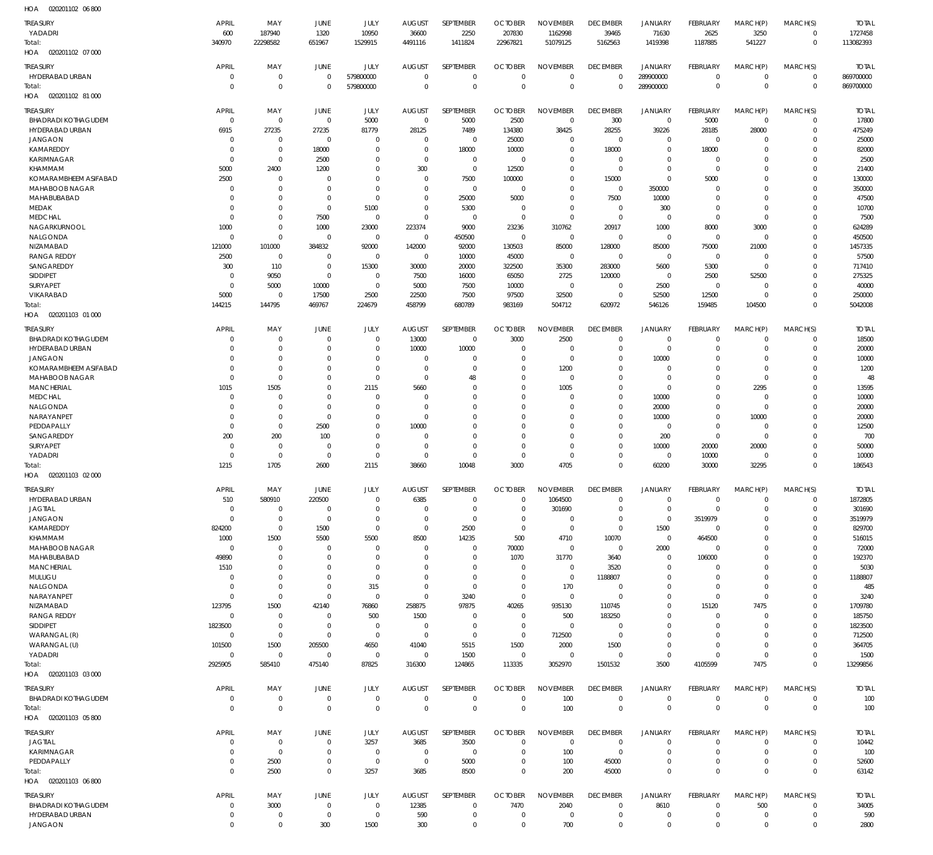| HOA<br>020201102 06 800           |                |                |                |                |               |                |                |                 |                 |                |                 |             |                         |                         |
|-----------------------------------|----------------|----------------|----------------|----------------|---------------|----------------|----------------|-----------------|-----------------|----------------|-----------------|-------------|-------------------------|-------------------------|
| <b>TREASURY</b>                   | <b>APRIL</b>   | MAY            | <b>JUNE</b>    | JULY           | <b>AUGUST</b> | SEPTEMBER      | <b>OCTOBER</b> | <b>NOVEMBER</b> | <b>DECEMBER</b> | <b>JANUARY</b> | FEBRUARY        | MARCH(P)    | MARCH(S)                | <b>TOTAL</b>            |
| YADADRI                           | 600            | 187940         | 1320           | 10950          | 36600         | 2250           | 207830         | 1162998         | 39465           | 71630          | 2625            | 3250        | $\mathbf 0$             | 1727458                 |
| Total:                            | 340970         | 22298582       | 651967         | 1529915        | 4491116       | 1411824        | 22967821       | 51079125        | 5162563         | 1419398        | 1187885         | 541227      | $\mathbf 0$             | 113082393               |
| 020201102 07 000<br>HOA           |                |                |                |                |               |                |                |                 |                 |                |                 |             |                         |                         |
|                                   |                |                |                |                |               |                |                |                 |                 |                |                 |             |                         |                         |
| <b>TREASURY</b>                   | <b>APRIL</b>   | MAY            | <b>JUNE</b>    | JULY           | <b>AUGUST</b> | SEPTEMBER      | <b>OCTOBER</b> | <b>NOVEMBER</b> | <b>DECEMBER</b> | <b>JANUARY</b> | <b>FEBRUARY</b> | MARCH(P)    | MARCH(S)                | <b>TOTAL</b>            |
| HYDERABAD URBAN                   | $\mathbf 0$    | $\mathbf 0$    | $\mathbf 0$    | 579800000      | $\mathbf 0$   | $\mathbf 0$    | $\mathbf 0$    | $\mathbf 0$     | $\mathbf 0$     | 289900000      | $\mathbf 0$     | $\mathbf 0$ | $\mathbf 0$             | 869700000               |
| Total:                            | $\mathbf 0$    | $\mathbf 0$    | $\overline{0}$ | 579800000      | $\Omega$      | $\mathbf 0$    | $\Omega$       | $\mathbf 0$     | $\mathbf 0$     | 289900000      | $\mathbf 0$     | $\mathbf 0$ | $\mathbf 0$             | 869700000               |
| 020201102 81 000<br>HOA           |                |                |                |                |               |                |                |                 |                 |                |                 |             |                         |                         |
| <b>TREASURY</b>                   | <b>APRIL</b>   | MAY            | <b>JUNE</b>    | JULY           | <b>AUGUST</b> | SEPTEMBER      | <b>OCTOBER</b> | <b>NOVEMBER</b> | <b>DECEMBER</b> | <b>JANUARY</b> | FEBRUARY        | MARCH(P)    | MARCH(S)                | <b>TOTAL</b>            |
| <b>BHADRADI KOTHAGUDEM</b>        | $\mathbf 0$    | $\overline{0}$ | $\mathbf 0$    | 5000           | $\mathbf 0$   | 5000           | 2500           | $\mathbf 0$     | 300             | $\mathbf 0$    | 5000            | $\mathbf 0$ | $\mathbf 0$             | 17800                   |
| HYDERABAD URBAN                   | 6915           | 27235          | 27235          | 81779          | 28125         | 7489           | 134380         | 38425           | 28255           | 39226          | 28185           | 28000       | $\mathbf 0$             | 475249                  |
| <b>JANGAON</b>                    | $\mathbf 0$    | $\mathbf 0$    | $\mathbf 0$    | $\overline{0}$ | $\mathbf 0$   | $\mathbf 0$    | 25000          | $\mathbf 0$     | $\overline{0}$  | $\mathbf 0$    | $\mathbf 0$     | 0           | $\mathbf 0$             | 25000                   |
| KAMAREDDY                         | $\mathbf 0$    | $\mathbf 0$    | 18000          | $\overline{0}$ | $^{\circ}$    | 18000          | 10000          | $\mathbf 0$     | 18000           | $\mathbf 0$    | 18000           | $\mathbf 0$ | 0                       | 82000                   |
| <b>KARIMNAGAR</b>                 | $\mathbf 0$    | $\mathbf 0$    | 2500           | $\Omega$       | $\Omega$      | $\mathbf 0$    | $\Omega$       | $\mathbf 0$     | $\overline{0}$  | $\mathbf 0$    | $\mathbf 0$     | $\Omega$    | $\mathbf 0$             | 2500                    |
| KHAMMAM                           | 5000           | 2400           | 1200           | $\Omega$       | 300           | $\mathbf 0$    | 12500          | $\mathbf 0$     | $\mathbf 0$     | $\mathbf 0$    | $\mathbf 0$     | $\Omega$    | 0                       | 21400                   |
| KOMARAMBHEEM ASIFABAD             | 2500           | $\overline{0}$ | $\Omega$       | $\Omega$       | $\mathbf 0$   | 7500           | 100000         | $\mathbf 0$     | 15000           | $\mathbf 0$    | 5000            | $\Omega$    | $\mathbf 0$             | 130000                  |
| <b>MAHABOOB NAGAR</b>             | $\mathbf 0$    | $\mathbf 0$    | $\overline{0}$ | $\Omega$       | $\mathbf 0$   | $\mathbf 0$    | $\Omega$       | $\mathbf 0$     | $\mathbf 0$     | 350000         | $\mathbf 0$     | $\Omega$    | 0                       | 350000                  |
| MAHABUBABAD                       | $\mathbf 0$    | $\mathbf 0$    | $\mathbf 0$    | $\Omega$       | $\Omega$      | 25000          | 5000           | $\Omega$        | 7500            | 10000          | 0               | $\Omega$    | $\Omega$                | 47500                   |
| MEDAK                             | $\mathbf 0$    | $\mathbf 0$    | $\mathbf 0$    | 5100           | $\mathbf 0$   | 5300           | $\overline{0}$ | $\Omega$        | $\mathbf 0$     | 300            | $\mathbf 0$     | $\mathbf 0$ | 0                       | 10700                   |
| <b>MEDCHAL</b>                    | $\mathbf 0$    | $\mathbf 0$    | 7500           | $\overline{0}$ | $\Omega$      | $\Omega$       | $\overline{0}$ | $\Omega$        | $\mathbf 0$     | $\mathbf 0$    | $\mathbf 0$     | $\mathbf 0$ | $\Omega$                | 7500                    |
| NAGARKURNOOL                      | 1000           | $\mathbf 0$    | 1000           | 23000          | 223374        | 9000           | 23236          | 310762          | 20917           | 1000           | 8000            | 3000        | 0                       | 624289                  |
| NALGONDA                          | $\mathbf 0$    | $\mathbf 0$    | $\overline{0}$ | $\mathbf 0$    | $^{\circ}$    | 450500         | $\overline{0}$ | $\mathbf 0$     | $\mathbf 0$     | $\mathbf 0$    | $\mathbf 0$     | $\mathbf 0$ | $\Omega$                | 450500                  |
| NIZAMABAD                         | 121000         | 101000         | 384832         | 92000          | 142000        | 92000          | 130503         | 85000           | 128000          | 85000          | 75000           | 21000       | 0                       | 1457335                 |
| <b>RANGA REDDY</b>                | 2500           | $\overline{0}$ | $\mathbf 0$    | $\mathbf 0$    | $\mathbf 0$   | 10000          | 45000          | $\mathbf 0$     | $\mathbf 0$     | $\mathbf 0$    | $\mathbf 0$     | $\mathbf 0$ | $\mathbf 0$             | 57500                   |
| SANGAREDDY                        | 300            | 110            | $\mathbf 0$    | 15300          | 30000         |                | 322500         | 35300           | 283000          | 5600           | 5300            | $\mathbf 0$ | $\Omega$                | 717410                  |
| <b>SIDDIPET</b>                   | $\mathbf 0$    | 9050           | $\mathbf 0$    | $^{\circ}$     | 7500          | 20000<br>16000 | 65050          | 2725            | 120000          | $\mathbf 0$    | 2500            | 52500       | $\mathbf 0$             | 275325                  |
| <b>SURYAPET</b>                   | $\mathbf 0$    | 5000           | 10000          | $\mathbf 0$    | 5000          |                | 10000          | $\mathbf 0$     | $\mathbf 0$     | 2500           | $\mathbf 0$     | 0           | 0                       | 40000                   |
|                                   |                |                |                |                |               | 7500           |                |                 |                 |                |                 |             |                         |                         |
| VIKARABAD                         | 5000           | $^{\circ}$     | 17500          | 2500           | 22500         | 7500           | 97500          | 32500           | $\mathbf 0$     | 52500          | 12500           | $\mathbf 0$ | $\mathbf 0$             | 250000                  |
| Total:                            | 144215         | 144795         | 469767         | 224679         | 458799        | 680789         | 983169         | 504712          | 620972          | 546126         | 159485          | 104500      | $\mathbf 0$             | 5042008                 |
| 020201103 01 000<br>HOA           |                |                |                |                |               |                |                |                 |                 |                |                 |             |                         |                         |
| TREASURY                          | <b>APRIL</b>   | MAY            | <b>JUNE</b>    | JULY           | <b>AUGUST</b> | SEPTEMBER      | <b>OCTOBER</b> | <b>NOVEMBER</b> | <b>DECEMBER</b> | <b>JANUARY</b> | <b>FEBRUARY</b> | MARCH(P)    | MARCH(S)                | <b>TOTAL</b>            |
| <b>BHADRADI KOTHAGUDEM</b>        | $\mathbf 0$    | $\overline{0}$ | $^{\circ}$     | $\overline{0}$ | 13000         | $\mathbf 0$    | 3000           | 2500            | $\mathbf 0$     | $\mathbf 0$    | $\mathbf 0$     | $\mathbf 0$ | $\mathbf 0$             | 18500                   |
| HYDERABAD URBAN                   | $\mathbf 0$    | $\overline{0}$ | $^{\circ}$     | $^{\circ}$     | 10000         | 10000          | $\Omega$       | $\Omega$        | $\mathbf 0$     | $\mathbf 0$    | 0               | $\mathbf 0$ | $\mathbf 0$             | 20000                   |
| <b>JANGAON</b>                    | $\mathbf 0$    | $\overline{0}$ | $\Omega$       | $\Omega$       | $^{\circ}$    | $\Omega$       | $\Omega$       | $\overline{0}$  | $\mathbf 0$     | 10000          | $\Omega$        | $\mathbf 0$ | $\mathbf 0$             | 10000                   |
| KOMARAMBHEEM ASIFABAD             | $\mathbf 0$    | $\overline{0}$ | $\Omega$       | $\Omega$       | $\Omega$      | $\Omega$       | $\Omega$       | 1200            | $\Omega$        | $\mathbf 0$    | $\Omega$        | $\mathbf 0$ | $\mathbf 0$             | 1200                    |
| <b>MAHABOOB NAGAR</b>             | $\mathbf 0$    | $\mathbf 0$    | $\Omega$       | $\Omega$       | $\Omega$      | 48             | $\Omega$       | $\mathbf 0$     | $\mathbf 0$     | $\mathbf 0$    | $\Omega$        | $\mathbf 0$ | $\mathbf 0$             | 48                      |
| <b>MANCHERIAL</b>                 | 1015           | 1505           | $\Omega$       | 2115           | 5660          | $\Omega$       | $\Omega$       | 1005            | $\mathbf 0$     | $\mathbf 0$    | $\mathbf 0$     | 2295        | $\mathbf 0$             | 13595                   |
| <b>MEDCHAL</b>                    | $\mathbf 0$    | $\overline{0}$ | $\Omega$       | $\Omega$       | $\Omega$      | $\Omega$       | $\Omega$       | $\Omega$        | $\Omega$        | 10000          | $\Omega$        | $\mathbf 0$ | $\mathbf 0$             | 10000                   |
| NALGONDA                          | $\mathbf 0$    | $\mathbf 0$    | $\overline{0}$ | $\Omega$       | $\Omega$      | $\Omega$       | $\Omega$       | $\Omega$        | $\Omega$        | 20000          | $\mathbf 0$     | $\mathbf 0$ | $\mathbf 0$             | 20000                   |
| NARAYANPET                        | $\mathbf 0$    | $\mathbf 0$    | $\overline{0}$ | $\Omega$       | $\Omega$      | $\Omega$       | $\Omega$       | $\Omega$        | $\mathbf 0$     | 10000          | $\mathbf 0$     | 10000       | $\mathbf 0$             | 20000                   |
| PEDDAPALLY                        | $\mathbf 0$    | $\mathbb O$    | 2500           | $\Omega$       | 10000         | $\Omega$       | $\Omega$       | $\Omega$        | $\mathbf 0$     | $\mathbf 0$    | $\mathbf 0$     | $\mathbf 0$ | $\mathbf 0$             | 12500                   |
| SANGAREDDY                        | 200            | 200            | 100            | $\Omega$       | $\Omega$      | $\Omega$       | $\Omega$       | $\Omega$        | $\mathbf 0$     | 200            | $\mathbf 0$     | $\mathbf 0$ | $\mathbf 0$             | 700                     |
| SURYAPET                          | $\overline{0}$ | $\overline{0}$ | $\overline{0}$ | $\Omega$       | $\Omega$      | $\Omega$       | $\Omega$       | $\Omega$        | $\mathbf 0$     | 10000          | 20000           | 20000       | $\mathbf 0$             | 50000                   |
| YADADRI                           | $\mathbf 0$    | $\mathbf 0$    | $\overline{0}$ | $\overline{0}$ | $\Omega$      | $\Omega$       | $\Omega$       | $\Omega$        | $\mathbf 0$     | $\mathbf 0$    | 10000           | $\mathbf 0$ | $\mathbf 0$             | 10000                   |
| Total:                            | 1215           | 1705           | 2600           | 2115           | 38660         | 10048          | 3000           | 4705            | $\Omega$        | 60200          | 30000           | 32295       | $\mathbf 0$             | 186543                  |
| 020201103 02 000<br>HOA           |                |                |                |                |               |                |                |                 |                 |                |                 |             |                         |                         |
|                                   | <b>APRIL</b>   |                |                |                | <b>AUGUST</b> | SEPTEMBER      | <b>OCTOBER</b> | <b>NOVEMBER</b> |                 |                |                 |             |                         |                         |
| <b>TREASURY</b>                   |                |                |                |                |               |                |                |                 | <b>DECEMBER</b> | <b>JANUARY</b> | <b>FEBRUARY</b> | MARCH(P)    | MARCH(S)<br>$\mathbf 0$ | <b>TOTAL</b><br>1872805 |
| HYDERABAD URBAN<br><b>JAGTIAL</b> |                | MAY            | JUNE           | <b>JULY</b>    |               |                |                |                 | $\Omega$        | $\mathbf 0$    |                 | $\mathbf 0$ |                         |                         |
|                                   | 510            | 580910         | 220500         | $^{\circ}$     | 6385          | $\Omega$       | $\Omega$       | 1064500         | $\Omega$        |                | $\mathbf 0$     |             |                         |                         |
|                                   | $\mathbf 0$    | $\mathbf 0$    | $\mathbf 0$    | $\Omega$       | $\Omega$      | $\Omega$       | $\Omega$       | 301690          |                 | $\mathbf 0$    | $\Omega$        | $\Omega$    | $\Omega$                | 301690                  |
| <b>JANGAON</b>                    | $\mathbf 0$    | $\mathbf 0$    | $\overline{0}$ | $\Omega$       | $\Omega$      | $\Omega$       | $\Omega$       | $\Omega$        | $\mathbf 0$     | $\mathbf 0$    | 3519979         | $\Omega$    | $\Omega$                | 3519979                 |
| KAMAREDDY                         | 824200         | $\overline{0}$ | 1500           | $\Omega$       | $\Omega$      | 2500           | $\overline{0}$ | $\mathbf 0$     | $\Omega$        | 1500           | 0               | $\Omega$    | $\Omega$                | 829700                  |
| KHAMMAM                           | 1000           | 1500           | 5500           | 5500           | 8500          | 14235          | 500            | 4710            | 10070           | $\mathbf 0$    | 464500          | $\Omega$    | 0                       | 516015                  |
| MAHABOOB NAGAR                    | $\Omega$       | $\overline{0}$ | $\Omega$       | $\Omega$       | $\Omega$      | 0              | 70000          | $\Omega$        | $\Omega$        | 2000           | $\Omega$        | $\Omega$    | $\Omega$                | 72000                   |
| MAHABUBABAD                       | 49890          | $\overline{0}$ | $\Omega$       | $\Omega$       | $\Omega$      | $\mathbf 0$    | 1070           | 31770           | 3640            | $\mathbf 0$    | 106000          | $\Omega$    | $\Omega$                | 192370                  |
| <b>MANCHERIAL</b>                 | 1510           | $\overline{0}$ | $\Omega$       | $\Omega$       | $\Omega$      | $\Omega$       | $\Omega$       | $\mathbf 0$     | 3520            | $\mathbf 0$    | 0               | $\Omega$    | $\Omega$                | 5030                    |
| MULUGU                            | $\mathbf 0$    | $\overline{0}$ | $\Omega$       | $\overline{0}$ | $\Omega$      | $\Omega$       | $\Omega$       | $\mathbf 0$     | 1188807         | $\mathbf 0$    | 0               | $\Omega$    | 0                       | 1188807                 |
| NALGONDA                          | $\mathbf 0$    | $\overline{0}$ | $\overline{0}$ | 315            | $\Omega$      | $\Omega$       | $\Omega$       | 170             | $\overline{0}$  | $\mathbf 0$    | 0               | $\mathbf 0$ | $\Omega$                | 485                     |
| NARAYANPET                        | $\mathbf 0$    | $\mathbf 0$    | $\mathbf 0$    | $\overline{0}$ | $\Omega$      | 3240           | $\Omega$       | $\Omega$        | $\Omega$        | $\mathbf 0$    | $\mathbf 0$     | $\mathbf 0$ | $\Omega$                | 3240                    |
| NIZAMABAD                         | 123795         | 1500           | 42140          | 76860          | 258875        | 97875          | 40265          | 935130          | 110745          | $\mathbf 0$    | 15120           | 7475        | $\Omega$                | 1709780                 |
| <b>RANGA REDDY</b>                | $\mathbf 0$    | $\overline{0}$ | $\overline{0}$ | 500            | 1500          | $\Omega$       | $\Omega$       | 500             | 183250          | $\mathbf 0$    | $\mathbf 0$     | $\Omega$    | $\Omega$                | 185750                  |
| SIDDIPET                          | 1823500        | $\overline{0}$ | $\overline{0}$ | $\Omega$       | $^{\circ}$    | $\Omega$       | $\Omega$       | $\Omega$        | $\mathbf 0$     | $\mathbf 0$    | 0               | $\mathbf 0$ | $\Omega$                | 1823500                 |
| WARANGAL (R)                      | $\mathbf 0$    | $\mathbf 0$    | $\overline{0}$ | $\overline{0}$ | $\mathbf 0$   | $\mathbf 0$    | $\Omega$       | 712500          | $\mathbf 0$     | $\mathbf 0$    | $\Omega$        | $\Omega$    | $\Omega$                | 712500                  |
| WARANGAL (U)                      | 101500         | 1500           | 205500         | 4650           | 41040         | 5515           | 1500           | 2000            | 1500            | $\mathbf 0$    | $\Omega$        | $\mathbf 0$ | $\Omega$                | 364705                  |
| YADADRI                           | $\mathbf 0$    | $\mathbf 0$    | $\mathbf 0$    | $\mathbf 0$    | $\mathbf 0$   | 1500           | $\Omega$       | $\mathbf 0$     | $\mathbf 0$     | $\mathbf 0$    | $\mathbf 0$     | $\mathbf 0$ | 0                       | 1500                    |
| Total:                            | 2925905        | 585410         | 475140         | 87825          | 316300        | 124865         | 113335         | 3052970         | 1501532         | 3500           | 4105599         | 7475        | $\Omega$                | 13299856                |
| 020201103 03 000<br>HOA           |                |                |                |                |               |                |                |                 |                 |                |                 |             |                         |                         |
| <b>TREASURY</b>                   | <b>APRIL</b>   | MAY            | <b>JUNE</b>    | JULY           | <b>AUGUST</b> | SEPTEMBER      | <b>OCTOBER</b> | <b>NOVEMBER</b> | <b>DECEMBER</b> | <b>JANUARY</b> | <b>FEBRUARY</b> | MARCH(P)    | MARCH(S)                | <b>TOTAL</b>            |
| <b>BHADRADI KOTHAGUDEM</b>        | $\mathbf 0$    | $\mathbf 0$    | $\mathbf 0$    | $\overline{0}$ | $\mathbf 0$   | $\mathbf 0$    | $\Omega$       | 100             | $\overline{0}$  | $\mathbf 0$    | $\mathbf 0$     | $\mathbf 0$ | $\mathbf 0$             | 100                     |
| Total:                            | $\mathbf 0$    | $\,0\,$        | $\mathbf 0$    | $\overline{0}$ | $\mathbf 0$   | $\mathbf 0$    | $\overline{0}$ | 100             | $\mathbf 0$     | $\mathbb O$    | $\mathbf 0$     | $\mathbf 0$ | $\mathbf 0$             | 100                     |
| 020201103 05 800<br>HOA           |                |                |                |                |               |                |                |                 |                 |                |                 |             |                         |                         |
|                                   |                |                |                |                |               |                |                |                 |                 |                |                 |             |                         |                         |
| <b>TREASURY</b>                   | <b>APRIL</b>   | MAY            | <b>JUNE</b>    | JULY           | <b>AUGUST</b> | SEPTEMBER      | <b>OCTOBER</b> | <b>NOVEMBER</b> | <b>DECEMBER</b> | <b>JANUARY</b> | <b>FEBRUARY</b> | MARCH(P)    | MARCH(S)                | <b>TOTAL</b>            |
| <b>JAGTIAL</b>                    | $\mathbf 0$    | $\overline{0}$ | $\mathbf 0$    | 3257           | 3685          | 3500           | $\Omega$       | $\mathbf 0$     | $\overline{0}$  | $\mathbf 0$    | $\mathbf 0$     | 0           | $\mathbf 0$             | 10442                   |
| <b>KARIMNAGAR</b>                 | $\mathbf 0$    | $\mathbf 0$    | $\overline{0}$ | $\overline{0}$ | $^{\circ}$    | $\mathbf 0$    | $\Omega$       | 100             | $\mathbf 0$     | $\mathbf 0$    | $\Omega$        | $\mathbf 0$ | $\mathbf 0$             | 100                     |
| PEDDAPALLY                        | $\mathbf 0$    | 2500           | $\mathbf 0$    | $\overline{0}$ | $\mathbf 0$   | 5000           | $\Omega$       | 100             | 45000           | $\mathbf 0$    | 0               | $\mathbf 0$ | $\mathbf 0$             | 52600                   |
| Total:                            | $\mathbf 0$    | 2500           | $\mathbf 0$    | 3257           | 3685          | 8500           | $\Omega$       | 200             | 45000           | $\mathbf 0$    | $\mathbf{0}$    | $\Omega$    | $\mathbf 0$             | 63142                   |
| HOA 020201103 06 800              |                |                |                |                |               |                |                |                 |                 |                |                 |             |                         |                         |
| <b>TREASURY</b>                   | <b>APRIL</b>   | MAY            | <b>JUNE</b>    | JULY           | <b>AUGUST</b> | SEPTEMBER      | <b>OCTOBER</b> | <b>NOVEMBER</b> | <b>DECEMBER</b> | <b>JANUARY</b> | <b>FEBRUARY</b> | MARCH(P)    | MARCH(S)                | <b>TOTAL</b>            |
| <b>BHADRADI KOTHAGUDEM</b>        | $\mathbf 0$    | 3000           | $\overline{0}$ | $\overline{0}$ | 12385         | $\mathbf 0$    | 7470           | 2040            | $\mathbf 0$     | 8610           | $\mathbf 0$     | 500         | $\mathbf 0$             | 34005                   |
| HYDERABAD URBAN                   | $\mathbf 0$    | $\mathbf 0$    | $\mathbf 0$    | $\mathbf 0$    | 590           | $\mathbf 0$    | $\Omega$       | $\mathbf 0$     | $\mathbf 0$     | $\mathbf 0$    | 0               | $\mathbf 0$ | $\mathbf 0$             | 590                     |
| <b>JANGAON</b>                    | $\mathbf 0$    | $\mathbb O$    | 300            | 1500           | 300           | $\mathbf 0$    | $\Omega$       | 700             | $\mathbf 0$     | $\mathbf 0$    | $\mathbf 0$     | $\mathbf 0$ | $\mathbf 0$             | 2800                    |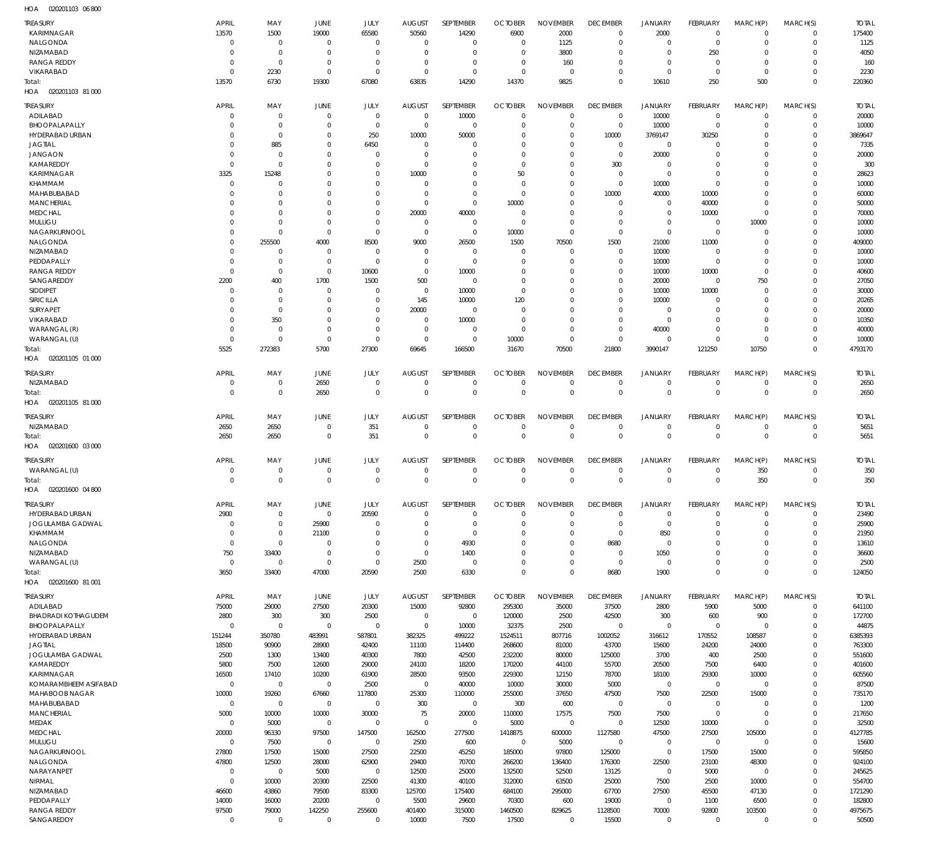020201103 06 800 HOA

| $\cdots$                   |                |                |             |                |                |                  |                |                 |                 |                |                 |                |              |              |
|----------------------------|----------------|----------------|-------------|----------------|----------------|------------------|----------------|-----------------|-----------------|----------------|-----------------|----------------|--------------|--------------|
| <b>TREASURY</b>            | <b>APRIL</b>   | MAY            | JUNE        | JULY           | <b>AUGUST</b>  | SEPTEMBER        | <b>OCTOBER</b> | <b>NOVEMBER</b> | <b>DECEMBER</b> | <b>JANUARY</b> | FEBRUARY        | MARCH(P)       | MARCH(S)     | <b>TOTAL</b> |
| KARIMNAGAR                 | 13570          | 1500           | 19000       | 65580          | 50560          | 14290            | 6900           | 2000            | $\mathbf 0$     | 2000           | $^{\circ}$      | $\Omega$       | $\Omega$     | 175400       |
|                            |                |                |             |                |                |                  |                |                 |                 |                |                 |                |              |              |
| NALGONDA                   | $\Omega$       | $\overline{0}$ | $\Omega$    | $\Omega$       | $\mathbf{0}$   | $\Omega$         | $\Omega$       | 1125            | $\Omega$        | $\Omega$       | $\Omega$        | $\Omega$       | $\Omega$     | 1125         |
| NIZAMABAD                  | $\Omega$       | $\Omega$       | $\Omega$    | $\Omega$       | $\Omega$       | $\Omega$         | $\Omega$       | 3800            | $\Omega$        | $\Omega$       | 250             | $\Omega$       | $\Omega$     | 4050         |
| <b>RANGA REDDY</b>         | $\Omega$       | $\overline{0}$ | $\Omega$    | $\Omega$       | $\Omega$       | $\Omega$         | $\Omega$       | 160             | $\Omega$        | $\Omega$       | $\Omega$        | $\Omega$       | $\Omega$     | 160          |
|                            |                |                |             |                |                |                  |                |                 |                 |                |                 |                |              |              |
| VIKARABAD                  | $\Omega$       | 2230           | $\Omega$    | $\Omega$       | $\Omega$       | $\Omega$         | $\Omega$       | - 0             | $\Omega$        | $\Omega$       | $^{\circ}$      | $\Omega$       | $\Omega$     | 2230         |
| Total:                     | 13570          | 6730           | 19300       | 67080          | 63835          | 14290            | 14370          | 9825            | $\Omega$        | 10610          | 250             | 500            | $\Omega$     | 220360       |
|                            |                |                |             |                |                |                  |                |                 |                 |                |                 |                |              |              |
| HOA  020201103  81  000    |                |                |             |                |                |                  |                |                 |                 |                |                 |                |              |              |
|                            |                |                |             |                |                |                  |                |                 |                 |                |                 |                |              |              |
| <b>TREASURY</b>            | <b>APRIL</b>   | MAY            | JUNE        | JULY           | <b>AUGUST</b>  | SEPTEMBER        | <b>OCTOBER</b> | <b>NOVEMBER</b> | <b>DECEMBER</b> | JANUARY        | <b>FEBRUARY</b> | MARCH(P)       | MARCH(S)     | <b>TOTAL</b> |
| ADILABAD                   | $\overline{0}$ | $\overline{0}$ | $\Omega$    | $\overline{0}$ | $\mathbf{0}$   | 10000            | $\Omega$       | $\overline{0}$  | $\Omega$        | 10000          | $\Omega$        | $\Omega$       | $\Omega$     | 20000        |
| BHOOPALAPALLY              | $\Omega$       | $\overline{0}$ | $\Omega$    | $\overline{0}$ | $\mathbf{0}$   | $\overline{0}$   | $\Omega$       | $\overline{0}$  | $\mathbf{0}$    | 10000          | $\overline{0}$  | $\Omega$       | $\Omega$     | 10000        |
|                            |                |                |             |                |                |                  |                |                 |                 |                |                 |                |              |              |
| HYDERABAD URBAN            | $\Omega$       | $\overline{0}$ | $\Omega$    | 250            | 10000          | 50000            | $\Omega$       | $\overline{0}$  | 10000           | 3769147        | 30250           | $\Omega$       | $\Omega$     | 3869647      |
| <b>JAGTIAL</b>             | $\Omega$       | 885            | $\Omega$    | 6450           | $\mathbf{0}$   | $\overline{0}$   | $\Omega$       | $\overline{0}$  | $\mathbf{0}$    | $\mathbf 0$    | - 0             | $\Omega$       | $\Omega$     | 7335         |
|                            |                |                |             |                |                |                  |                |                 |                 |                |                 |                |              |              |
| <b>JANGAON</b>             | $\overline{0}$ | $\overline{0}$ | 0           | $\Omega$       | $\mathbf{0}$   | $\Omega$         | $\Omega$       | $\overline{0}$  | $\Omega$        | 20000          | $\Omega$        | $\Omega$       | $\Omega$     | 20000        |
| KAMAREDDY                  | $\mathbf{0}$   | $\overline{0}$ | $\Omega$    | $\Omega$       | $\mathbf{0}$   | $\Omega$         | $\Omega$       | $\Omega$        | 300             | $\Omega$       | $\Omega$        | $\Omega$       | $\Omega$     | 300          |
| KARIMNAGAR                 | 3325           | 15248          | 0           | $\Omega$       | 10000          | $\overline{0}$   | 50             | $\overline{0}$  | 0               | $\overline{0}$ | $\Omega$        | $\Omega$       | $\Omega$     | 28623        |
|                            |                |                |             |                |                |                  |                |                 |                 |                |                 |                |              |              |
| KHAMMAM                    | $\overline{0}$ | $\Omega$       | 0           | $\Omega$       | $\mathbf{0}$   | $\Omega$         | - 0            | $\Omega$        | $\Omega$        | 10000          | $\Omega$        | $\Omega$       | $\Omega$     | 10000        |
| MAHABUBABAD                | $\Omega$       | $\overline{0}$ | 0           | $\Omega$       | $\mathbf{0}$   | $\overline{0}$   | $\Omega$       | $\Omega$        | 10000           | 40000          | 10000           | $\Omega$       | $\Omega$     | 60000        |
|                            |                |                |             |                |                |                  |                |                 |                 |                |                 |                |              |              |
| <b>MANCHERIAL</b>          | $\Omega$       | $\Omega$       | 0           | $\Omega$       | $\mathbf{0}$   | $\overline{0}$   | 10000          | $\Omega$        | $\Omega$        | $\Omega$       | 40000           | $\Omega$       | $\Omega$     | 50000        |
| <b>MEDCHAL</b>             | $\Omega$       | $\mathbf 0$    | 0           | $\mathbf 0$    | 20000          | 40000            | - 0            | $\Omega$        | $\Omega$        | $\Omega$       | 10000           | $\mathbf 0$    | $\Omega$     | 70000        |
| MULUGU                     | $\Omega$       | $\Omega$       | $\Omega$    | $\Omega$       | $\mathbf{0}$   | $\overline{0}$   | $\Omega$       | $\Omega$        | $\Omega$        | $\Omega$       | $^{\circ}$      | 10000          | $\Omega$     | 10000        |
|                            |                |                |             |                |                |                  |                |                 |                 |                |                 |                |              |              |
| NAGARKURNOOL               | $\Omega$       | $\overline{0}$ | $\Omega$    | $\overline{0}$ | $\mathbf{0}$   | $\mathbf 0$      | 10000          | $\overline{0}$  | $\Omega$        | $\Omega$       | $\Omega$        | $\Omega$       | $\Omega$     | 10000        |
| NALGONDA                   | $\Omega$       | 255500         | 4000        | 8500           | 9000           | 26500            | 1500           | 70500           | 1500            | 21000          | 11000           | $\Omega$       | $\Omega$     | 409000       |
|                            |                |                |             |                |                |                  |                |                 |                 |                |                 |                |              |              |
| NIZAMABAD                  | $\overline{0}$ | $\mathbf 0$    | $\Omega$    | 0              | $\mathbf{0}$   | $\overline{0}$   | $\Omega$       | - 0             | $\Omega$        | 10000          | $\Omega$        | $\Omega$       | $\Omega$     | 10000        |
| PEDDAPALLY                 | $\mathbf{0}$   | $\overline{0}$ | $\Omega$    | $\overline{0}$ | $\Omega$       | $\overline{0}$   | - 0            | $\Omega$        | $\Omega$        | 10000          | $\Omega$        | $\Omega$       | $\Omega$     | 10000        |
| <b>RANGA REDDY</b>         | $\mathbf 0$    | $\overline{0}$ | $\Omega$    |                | $\mathbf{0}$   |                  | $\Omega$       | $\Omega$        | $\Omega$        |                |                 | $\Omega$       | $\Omega$     |              |
|                            |                |                |             | 10600          |                | 10000            |                |                 |                 | 10000          | 10000           |                |              | 40600        |
| SANGAREDDY                 | 2200           | 400            | 1700        | 1500           | 500            | $\overline{0}$   | $\Omega$       | $\Omega$        | $\Omega$        | 20000          | $\Omega$        | 750            | $\Omega$     | 27050        |
| <b>SIDDIPET</b>            | $\overline{0}$ | $\overline{0}$ | $\Omega$    | $\Omega$       | $\overline{0}$ | 10000            | $\Omega$       | $\Omega$        | $\Omega$        | 10000          | 10000           | $\Omega$       | $\Omega$     | 30000        |
|                            |                |                |             |                |                |                  |                |                 |                 |                |                 |                |              |              |
| <b>SIRICILLA</b>           | $\Omega$       | $\overline{0}$ | $\Omega$    | $\Omega$       | 145            | 10000            | 120            | $\Omega$        | $\Omega$        | 10000          | - 0             | $\Omega$       | $\Omega$     | 20265        |
| <b>SURYAPET</b>            | $\Omega$       | $\overline{0}$ | $\Omega$    | $\Omega$       | 20000          | $\overline{0}$   | - 0            | $\Omega$        | $\Omega$        | $\Omega$       | $\Omega$        | $\Omega$       | $\Omega$     | 20000        |
|                            |                |                |             |                |                |                  |                |                 |                 |                |                 |                |              |              |
| VIKARABAD                  | $\mathbf{0}$   | 350            | $\Omega$    | $\Omega$       | $\mathbf{0}$   | 10000            | $\overline{0}$ | $\Omega$        | $\Omega$        | $\overline{0}$ | $\Omega$        | $\Omega$       | $\Omega$     | 10350        |
| WARANGAL (R)               | $\Omega$       | $\overline{0}$ | $\Omega$    | $\Omega$       | $\mathbf{0}$   | $\overline{0}$   | $\Omega$       | $\Omega$        | $\Omega$        | 40000          | $\Omega$        | $\Omega$       | $\Omega$     | 40000        |
|                            |                |                |             |                |                |                  |                |                 |                 |                |                 |                |              |              |
| WARANGAL (U)               | $\mathbf{0}$   | $\overline{0}$ | $\Omega$    | $\overline{0}$ | $\mathbf{0}$   | $\overline{0}$   | 10000          | $\overline{0}$  | $\Omega$        | $\Omega$       | $\Omega$        | $\mathbf 0$    | $\Omega$     | 10000        |
| Total:                     | 5525           | 272383         | 5700        | 27300          | 69645          | 166500           | 31670          | 70500           | 21800           | 3990147        | 121250          | 10750          | $\Omega$     | 4793170      |
| HOA<br>020201105 01 000    |                |                |             |                |                |                  |                |                 |                 |                |                 |                |              |              |
|                            |                |                |             |                |                |                  |                |                 |                 |                |                 |                |              |              |
|                            |                |                |             |                |                |                  |                |                 |                 |                |                 |                |              |              |
| <b>TREASURY</b>            | <b>APRIL</b>   | MAY            | <b>JUNE</b> | JULY           | <b>AUGUST</b>  | <b>SEPTEMBER</b> | <b>OCTOBER</b> | <b>NOVEMBER</b> | <b>DECEMBER</b> | <b>JANUARY</b> | <b>FEBRUARY</b> | MARCH(P)       | MARCH(S)     | <b>TOTAL</b> |
| NIZAMABAD                  | $\overline{0}$ | $\mathbf 0$    | 2650        | $\overline{0}$ | $\mathbf 0$    | $\overline{0}$   | $\Omega$       | $\overline{0}$  | $\mathbf{0}$    | $\Omega$       | $\Omega$        | $\Omega$       | $\Omega$     | 2650         |
|                            | $\Omega$       | $\overline{0}$ |             | $\Omega$       | $\Omega$       | $\mathbf 0$      | $\Omega$       | $\Omega$        | $\Omega$        | $\Omega$       | $\mathbf 0$     | $\Omega$       |              | 2650         |
| Total:                     |                |                | 2650        |                |                |                  |                |                 |                 |                |                 |                | $\mathbf 0$  |              |
| HOA  020201105  81  000    |                |                |             |                |                |                  |                |                 |                 |                |                 |                |              |              |
|                            |                |                |             |                |                |                  |                |                 |                 |                |                 |                |              |              |
| <b>TREASURY</b>            | <b>APRIL</b>   | MAY            | <b>JUNE</b> | JULY           | <b>AUGUST</b>  | SEPTEMBER        | <b>OCTOBER</b> | <b>NOVEMBER</b> | <b>DECEMBER</b> | JANUARY        | <b>FEBRUARY</b> | MARCH(P)       | MARCH(S)     | <b>TOTAL</b> |
|                            |                |                |             | 351            |                | $\overline{0}$   |                |                 |                 | $\mathbf{0}$   | $\Omega$        | $\mathbf 0$    |              |              |
| NIZAMABAD                  | 2650           | 2650           | 0           |                | 0              |                  | 0              | 0               | 0               |                |                 |                | 0            | 5651         |
| Total:                     | 2650           | 2650           | $\mathbf 0$ | 351            | $\mathbf 0$    | $\overline{0}$   | $\mathbf 0$    | $\overline{0}$  | $\Omega$        | $\Omega$       | $\Omega$        | $\mathbf 0$    | $\mathbf{0}$ | 5651         |
| HOA  020201600  03  000    |                |                |             |                |                |                  |                |                 |                 |                |                 |                |              |              |
|                            |                |                |             |                |                |                  |                |                 |                 |                |                 |                |              |              |
|                            |                |                |             |                |                |                  |                |                 |                 |                |                 |                |              |              |
| TREASURY                   | <b>APRIL</b>   | MAY            | JUNE        | JULY           | <b>AUGUST</b>  | SEPTEMBER        | <b>OCTOBER</b> | <b>NOVEMBER</b> | <b>DECEMBER</b> | <b>JANUARY</b> | <b>FEBRUARY</b> | MARCH(P)       | MARCH(S)     | <b>TOTAL</b> |
| WARANGAL (U)               | $\overline{0}$ | $\overline{0}$ | $\Omega$    | $\mathbf 0$    | $\Omega$       | $\overline{0}$   | $\Omega$       | $\overline{0}$  | $\Omega$        | $\Omega$       | $\Omega$        | 350            | $\Omega$     | 350          |
| Total:                     | $\Omega$       | $\Omega$       | $\Omega$    | $\Omega$       | $\Omega$       | $\overline{0}$   | $\Omega$       | $\Omega$        | $\Omega$        | $\Omega$       | $\Omega$        | 350            | $\mathbf{0}$ | 350          |
|                            |                |                |             |                |                |                  |                |                 |                 |                |                 |                |              |              |
| HOA<br>020201600 04 800    |                |                |             |                |                |                  |                |                 |                 |                |                 |                |              |              |
|                            |                |                |             |                |                |                  |                |                 |                 |                |                 |                |              |              |
| <b>TREASURY</b>            | <b>APRIL</b>   | MAY            | JUNE        | JULY           | <b>AUGUST</b>  | SEPTEMBER        | <b>OCTOBER</b> | <b>NOVEMBER</b> | <b>DECEMBER</b> | <b>JANUARY</b> | <b>FEBRUARY</b> | MARCH(P)       | MARCH(S)     | <b>TOTAL</b> |
| HYDERABAD URBAN            | 2900           | $\mathbf 0$    | $\mathbf 0$ | 20590          | $\mathbf{0}$   | $\mathbf 0$      | $\mathbf 0$    | $\overline{0}$  | $\mathbf{0}$    | $\mathbf 0$    | $^{\circ}$      | $\mathbf 0$    | $\Omega$     | 23490        |
|                            |                |                |             |                |                |                  |                |                 |                 |                |                 |                |              |              |
| JOGULAMBA GADWAL           | $\overline{0}$ | $\overline{0}$ | 25900       | $\overline{0}$ | $\mathbf 0$    | $\overline{0}$   | $\Omega$       | $\overline{0}$  | $\mathbf{0}$    | $\mathbf 0$    | $\Omega$        | $\mathbf 0$    | $\Omega$     | 25900        |
| KHAMMAM                    | $\mathbf 0$    | $\overline{0}$ | 21100       | $\overline{0}$ | $\mathbf 0$    | $\overline{0}$   | $\mathbf 0$    | $\overline{0}$  | $\mathbf{0}$    | 850            | $\Omega$        | $\Omega$       | $\Omega$     | 21950        |
|                            | $\mathbf 0$    | $\overline{0}$ |             | $\overline{0}$ |                |                  | $\Omega$       | $\mathbb O$     |                 |                |                 | $\Omega$       | $\Omega$     |              |
| NALGONDA                   |                |                | $\mathbf 0$ |                | $\mathbf{0}$   | 4930             |                |                 | 8680            | $\mathbf 0$    | $\Omega$        |                |              | 13610        |
| NIZAMABAD                  | 750            | 33400          | $\mathbf 0$ | $\overline{0}$ | $\mathbf{0}$   | 1400             | $\mathbf 0$    | $\overline{0}$  | $\mathbf{0}$    | 1050           | $\Omega$        | $\Omega$       | $\Omega$     | 36600        |
| WARANGAL (U)               | $\mathbf 0$    | $\overline{0}$ | $\mathbf 0$ | $\overline{0}$ | 2500           | $\overline{0}$   | $\mathbf 0$    | $\mathbb O$     | $\mathbf 0$     | $\mathbf{0}$   | $\Omega$        | $\Omega$       | $\Omega$     | 2500         |
|                            |                |                |             |                |                |                  |                |                 |                 |                |                 |                |              |              |
| Total:                     | 3650           | 33400          | 47000       | 20590          | 2500           | 6330             | $\mathbf 0$    | $\mathbb O$     | 8680            | 1900           | $\Omega$        | $\Omega$       | $\Omega$     | 124050       |
| HOA 020201600 81001        |                |                |             |                |                |                  |                |                 |                 |                |                 |                |              |              |
|                            |                |                |             |                |                |                  |                |                 |                 |                |                 |                |              |              |
| <b>TREASURY</b>            | APRIL          | MAY            | JUNE        | JULY           | <b>AUGUST</b>  | SEPTEMBER        | <b>OCTOBER</b> | <b>NOVEMBER</b> | <b>DECEMBER</b> | <b>JANUARY</b> | FEBRUARY        | MARCH(P)       | MARCH(S)     | <b>TOTAL</b> |
|                            |                |                |             |                |                |                  |                |                 |                 |                |                 |                |              |              |
| ADILABAD                   | 75000          | 29000          | 27500       | 20300          | 15000          | 92800            | 295300         | 35000           | 37500           | 2800           | 5900            | 5000           | $\Omega$     | 641100       |
| <b>BHADRADI KOTHAGUDEM</b> | 2800           | 300            | 300         | 2500           | $\mathbf{0}$   | $\overline{0}$   | 120000         | 2500            | 42500           | 300            | 600             | 900            | $\mathbf 0$  | 172700       |
| BHOOPALAPALLY              | $\Omega$       | $\overline{0}$ | $\mathbf 0$ | $\overline{0}$ | $\mathbf 0$    | 10000            | 32375          | 2500            | $\Omega$        | $\mathbf{0}$   | $\mathbf 0$     | $\Omega$       | $\Omega$     | 44875        |
|                            |                |                |             |                |                |                  |                |                 |                 |                |                 |                |              |              |
| HYDERABAD URBAN            | 151244         | 350780         | 483991      | 587801         | 382325         | 499222           | 1524511        | 807716          | 1002052         | 316612         | 170552          | 108587         | $\Omega$     | 6385393      |
| <b>JAGTIAL</b>             | 18500          | 90900          | 28900       | 42400          | 11100          | 114400           | 268600         | 81000           | 43700           | 15600          | 24200           | 24000          | $\Omega$     | 763300       |
|                            |                |                |             |                |                |                  |                |                 |                 |                |                 |                |              |              |
| JOGULAMBA GADWAL           | 2500           | 1300           | 13400       | 40300          | 7800           | 42500            | 232200         | 80000           | 125000          | 3700           | 400             | 2500           | $\Omega$     | 551600       |
| KAMAREDDY                  | 5800           | 7500           | 12600       | 29000          | 24100          | 18200            | 170200         | 44100           | 55700           | 20500          | 7500            | 6400           | $\Omega$     | 401600       |
|                            |                |                |             |                |                |                  |                |                 |                 |                |                 |                |              |              |
| KARIMNAGAR                 | 16500          | 17410          | 10200       | 61900          | 28500          | 93500            | 229300         | 12150           | 78700           | 18100          | 29300           | 10000          | $\Omega$     | 605560       |
| KOMARAMBHEEM ASIFABAD      | $\mathbf{0}$   | $\overline{0}$ | $\mathbf 0$ | 2500           | $\overline{0}$ | 40000            | 10000          | 30000           | 5000            | $\mathbf 0$    | $\mathbf 0$     | $\overline{0}$ | $\Omega$     | 87500        |
| MAHABOOB NAGAR             | 10000          | 19260          | 67660       | 117800         | 25300          | 110000           | 255000         | 37650           | 47500           | 7500           | 22500           | 15000          | $\Omega$     | 735170       |
|                            |                |                |             |                |                |                  |                |                 |                 |                |                 |                |              |              |
| MAHABUBABAD                | $\mathbf{0}$   | $\overline{0}$ | $\mathbf 0$ | $\overline{0}$ | 300            | $\mathbf 0$      | 300            | 600             | $\mathbf 0$     | $\mathbf 0$    | $^{\circ}$      | $\Omega$       | $\Omega$     | 1200         |
| <b>MANCHERIAL</b>          | 5000           | 10000          | 10000       | 30000          | 75             | 20000            | 110000         | 17575           | 7500            | 7500           | $^{\circ}$      | $\Omega$       | $\Omega$     | 217650       |
|                            |                |                |             |                |                |                  |                |                 |                 |                |                 |                |              |              |
| <b>MEDAK</b>               | $\mathbf{0}$   | 5000           | $\mathbf 0$ | $\overline{0}$ | $\mathbf 0$    | $\overline{0}$   | 5000           | $\overline{0}$  | $\mathbf{0}$    | 12500          | 10000           | $\Omega$       | $\Omega$     | 32500        |
| <b>MEDCHAL</b>             | 20000          | 96330          | 97500       | 147500         | 162500         | 277500           | 1418875        | 600000          | 1127580         | 47500          | 27500           | 105000         | $\Omega$     | 4127785      |
|                            |                |                |             |                |                |                  |                |                 |                 |                |                 |                |              |              |
| MULUGU                     | $\mathbf{0}$   | 7500           | $\mathbf 0$ | $\overline{0}$ | 2500           | 600              | $\overline{0}$ | 5000            | $\mathbf{0}$    | $\Omega$       | $^{\circ}$      | $\overline{0}$ | $\Omega$     | 15600        |
| NAGARKURNOOL               | 27800          | 17500          | 15000       | 27500          | 22500          | 45250            | 185000         | 97800           | 125000          | $\mathbf 0$    | 17500           | 15000          | $\Omega$     | 595850       |
| NALGONDA                   | 47800          | 12500          | 28000       | 62900          | 29400          | 70700            | 266200         | 136400          | 176300          | 22500          | 23100           | 48300          | $\Omega$     | 924100       |
|                            |                |                |             |                |                |                  |                |                 |                 |                |                 |                |              |              |
| NARAYANPET                 | $\overline{0}$ | $\overline{0}$ | 5000        | $\overline{0}$ | 12500          | 25000            | 132500         | 52500           | 13125           | $\mathbf 0$    | 5000            | $\overline{0}$ | $\Omega$     | 245625       |
| NIRMAL                     | $\mathbf 0$    | 10000          | 20300       | 22500          | 41300          | 40100            | 312000         | 63500           | 25000           | 7500           | 2500            | 10000          | $\Omega$     | 554700       |
|                            |                |                |             |                |                |                  |                |                 |                 |                |                 |                |              |              |
| NIZAMABAD                  | 46600          | 43860          | 79500       | 83300          | 125700         | 175400           | 684100         | 295000          | 67700           | 27500          | 45500           | 47130          | $\Omega$     | 1721290      |
| PEDDAPALLY                 | 14000          | 16000          | 20200       | $\overline{0}$ | 5500           | 29600            | 70300          | 600             | 19000           | $\mathbf 0$    | 1100            | 6500           | $\Omega$     | 182800       |
|                            |                |                |             |                |                |                  |                |                 |                 |                |                 |                |              |              |
| <b>RANGA REDDY</b>         | 97500          | 79000          | 142250      | 255600         | 401400         | 315000           | 1460500        | 829625          | 1128500         | 70000          | 92800           | 103500         | $\Omega$     | 4975675      |
|                            |                |                |             |                |                |                  |                |                 |                 |                |                 |                |              |              |
| SANGAREDDY                 | $\mathbf 0$    | $\mathbf 0$    | $\mathbf 0$ | $\overline{0}$ | 10000          | 7500             | 17500          | $\overline{0}$  | 15500           | $\mathbf 0$    | $\mathbf 0$     | $\mathbf 0$    | $\Omega$     | 50500        |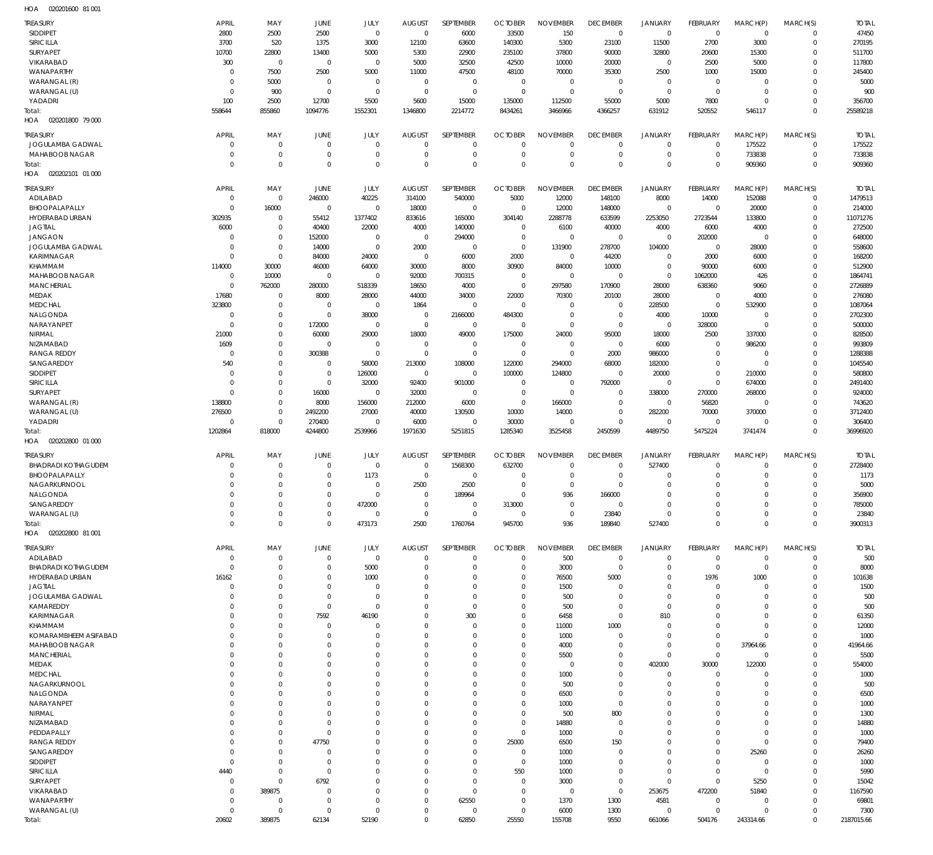020201600 81 001 HOA

| TREASURY                           | <b>APRIL</b>         | MAY                        | JUNE                          | JULY                       | <b>AUGUST</b>                | SEPTEMBER                  | <b>OCTOBER</b>               | <b>NOVEMBER</b>            | <b>DECEMBER</b>                 | <b>JANUARY</b>                | <b>FEBRUARY</b>            | MARCH(P)                   | MARCH(S)                    | <b>TOTAL</b>        |
|------------------------------------|----------------------|----------------------------|-------------------------------|----------------------------|------------------------------|----------------------------|------------------------------|----------------------------|---------------------------------|-------------------------------|----------------------------|----------------------------|-----------------------------|---------------------|
| SIDDIPET                           | 2800                 | 2500                       | 2500                          | $\mathbf 0$                | $\mathbf 0$                  | 6000                       | 33500                        | 150                        | $\mathbf 0$                     | $\mathbf 0$                   | $\mathbf 0$                | $\mathbf 0$                | $\mathbf 0$                 | 47450               |
| SIRICILLA<br>SURYAPET              | 3700<br>10700        | 520<br>22800               | 1375<br>13400                 | 3000<br>5000               | 12100<br>5300                | 63600<br>22900             | 140300<br>235100             | 5300<br>37800              | 23100<br>90000                  | 11500<br>32800                | 2700<br>20600              | 3000<br>15300              | $\mathbf{0}$<br>$\Omega$    | 270195<br>511700    |
| VIKARABAD                          | 300                  | $\mathbf 0$                | $\mathbf 0$                   | $\mathbf 0$                | 5000                         | 32500                      | 42500                        | 10000                      | 20000                           | $\mathbf 0$                   | 2500                       | 5000                       | $\Omega$                    | 117800              |
| WANAPARTHY                         | C                    | 7500                       | 2500                          | 5000                       | 11000                        | 47500                      | 48100                        | 70000                      | 35300                           | 2500                          | 1000                       | 15000                      | $\mathbf{0}$                | 245400              |
| WARANGAL (R)                       | C                    | 5000                       | $\overline{0}$                | $\mathbf 0$                | $\mathbf{0}$                 | $\mathbf 0$                | $\mathbf 0$                  | $\mathbf 0$                | $\mathbf{0}$                    | $\mathbf 0$                   | $\mathbf 0$                | $\mathbf{0}$               | $\Omega$                    | 5000                |
| WARANGAL (U)                       | 0                    | 900                        | $\overline{0}$                | $\mathbf 0$                | $\mathbf{0}$                 | $\mathbf 0$                | $\mathbf{0}$                 | $\mathbf 0$                | $\mathbf{0}$                    | $\mathbf 0$                   | $\mathbf{0}$               | $\mathbf 0$                | $\mathbf{0}$                | 900                 |
| YADADRI                            | 100                  | 2500                       | 12700                         | 5500                       | 5600                         | 15000                      | 135000                       | 112500                     | 55000                           | 5000                          | 7800                       | $\mathbf 0$                | $\Omega$                    | 356700              |
| Total:<br>020201800 79 000<br>HOA  | 558644               | 855860                     | 1094776                       | 1552301                    | 1346800                      | 2214772                    | 8434261                      | 3466966                    | 4366257                         | 631912                        | 520552                     | 546117                     | $\Omega$                    | 25589218            |
|                                    |                      |                            |                               |                            |                              |                            |                              |                            |                                 |                               |                            |                            |                             |                     |
| TREASURY                           | <b>APRIL</b>         | MAY                        | JUNE                          | JULY                       | <b>AUGUST</b>                | SEPTEMBER                  | <b>OCTOBER</b>               | <b>NOVEMBER</b>            | <b>DECEMBER</b>                 | <b>JANUARY</b>                | <b>FEBRUARY</b>            | MARCH(P)                   | MARCH(S)                    | <b>TOTAL</b>        |
| JOGULAMBA GADWAL<br>MAHABOOB NAGAR | 0<br>0               | $\mathbf 0$<br>$\mathbf 0$ | $\mathbf{0}$<br>$\mathbf{0}$  | $\mathbf 0$<br>$\mathbf 0$ | $\mathbf 0$<br>$\Omega$      | $\mathbf 0$<br>$\mathbf 0$ | $\mathbf{0}$<br>$\mathbf{0}$ | $\mathbf 0$<br>$\mathbf 0$ | $\mathbf 0$<br>$\mathbf{0}$     | $\mathbf 0$<br>$\mathbf 0$    | $\mathbf 0$<br>$\mathbf 0$ | 175522<br>733838           | $\mathbf 0$<br>$\mathbf 0$  | 175522<br>733838    |
| Total:                             | $\Omega$             | $\mathbf 0$                | $\mathbf{0}$                  | $\mathbf 0$                | $\Omega$                     | $\mathbf 0$                | $\mathbf 0$                  | $\mathbf 0$                | $\Omega$                        | $\mathbf 0$                   | $\mathbf 0$                | 909360                     | $\mathbf 0$                 | 909360              |
| 020202101 01 000<br>HOA            |                      |                            |                               |                            |                              |                            |                              |                            |                                 |                               |                            |                            |                             |                     |
| <b>TREASURY</b>                    | <b>APRIL</b>         | MAY                        | JUNE                          | JULY                       | <b>AUGUST</b>                | SEPTEMBER                  | <b>OCTOBER</b>               | <b>NOVEMBER</b>            | <b>DECEMBER</b>                 | <b>JANUARY</b>                | <b>FEBRUARY</b>            | MARCH(P)                   | MARCH(S)                    | <b>TOTAL</b>        |
| ADILABAD                           | $\mathbf{0}$         | $\mathbf 0$                | 246000                        | 40225                      | 314100                       | 540000                     | 5000                         | 12000                      | 148100                          | 8000                          | 14000                      | 152088                     | $\mathbf 0$                 | 1479513             |
| BHOOPALAPALLY                      | $\mathsf{C}$         | 16000                      | $\mathbf{0}$                  | $\mathbf 0$                | 18000                        | $\mathbf 0$                | $\overline{0}$               | 12000                      | 148000                          | $\mathbf 0$                   | $\mathbf{0}$               | 20000                      | $\mathbf{0}$                | 214000              |
| HYDERABAD URBAN                    | 302935               | $\mathbf 0$                | 55412                         | 1377402                    | 833616                       | 165000                     | 304140                       | 2288778                    | 633599                          | 2253050                       | 2723544                    | 133800                     | $\Omega$                    | 11071276            |
| <b>JAGTIAL</b>                     | 6000                 | $\mathbf 0$                | 40400                         | 22000                      | 4000                         | 140000                     | $\mathbf{0}$                 | 6100                       | 40000                           | 4000                          | 6000                       | 4000                       | $\mathbf{0}$                | 272500              |
| <b>JANGAON</b>                     | C                    | $\mathbf 0$                | 152000                        | $\mathbf 0$                | $\boldsymbol{0}$             | 294000                     | $\mathbf{0}$                 | $\mathbf 0$                | $\mathbf 0$                     | $\boldsymbol{0}$              | 202000                     | $\mathbf 0$                | $\Omega$                    | 648000              |
| JOGULAMBA GADWAL<br>KARIMNAGAR     | C<br>0               | $\mathbf 0$<br>$\mathbf 0$ | 14000<br>84000                | $\mathbf 0$<br>24000       | 2000<br>$\mathbf 0$          | $\mathbf 0$<br>6000        | $\mathbf{0}$<br>2000         | 131900<br>$\mathbf 0$      | 278700<br>44200                 | 104000<br>$\mathbf 0$         | $\mathbf{0}$<br>2000       | 28000<br>6000              | $\Omega$<br>$\Omega$        | 558600<br>168200    |
| KHAMMAM                            | 114000               | 30000                      | 46000                         | 64000                      | 30000                        | 8000                       | 30900                        | 84000                      | 10000                           | $\mathbf 0$                   | 90000                      | 6000                       | $\Omega$                    | 512900              |
| MAHABOOB NAGAR                     | $\overline{0}$       | 10000                      | $\overline{0}$                | $\mathbf 0$                | 92000                        | 700315                     | $\mathbf 0$                  | $\mathbf 0$                | $\mathbf 0$                     | $\mathbf 0$                   | 1062000                    | 426                        | $\Omega$                    | 1864741             |
| <b>MANCHERIAL</b>                  | $\mathbf 0$          | 762000                     | 280000                        | 518339                     | 18650                        | 4000                       | $\mathbf{0}$                 | 297580                     | 170900                          | 28000                         | 638360                     | 9060                       | $\mathbf{0}$                | 2726889             |
| MEDAK                              | 17680                | $\mathbf 0$                | 8000                          | 28000                      | 44000                        | 34000                      | 22000                        | 70300                      | 20100                           | 28000                         | $\mathbf 0$                | 4000                       | $\Omega$                    | 276080              |
| <b>MEDCHAL</b>                     | 323800               | $\boldsymbol{0}$           | $\overline{0}$                | $\mathbf 0$                | 1864                         | $\mathbf 0$                | $\overline{0}$               | $\mathbf 0$                | $\mathbf{0}$                    | 228500                        | $\mathbf 0$                | 532900                     | $\Omega$                    | 1087064             |
| NALGONDA<br>NARAYANPET             | C<br>C               | $\mathbf 0$<br>$\mathbf 0$ | $\mathbf{0}$<br>172000        | 38000<br>$\mathbf 0$       | $\mathbf{0}$<br>$\mathbf{0}$ | 2166000<br>$\mathbf 0$     | 484300<br>$\overline{0}$     | $\mathbf 0$<br>$\mathbf 0$ | $\mathbf{0}$<br>$\mathbf 0$     | 4000<br>$\mathbf 0$           | 10000<br>328000            | $\mathbf 0$<br>$\mathbf 0$ | $\Omega$<br>$\Omega$        | 2702300<br>500000   |
| NIRMAL                             | 21000                | $\mathbf 0$                | 60000                         | 29000                      | 18000                        | 49000                      | 175000                       | 24000                      | 95000                           | 18000                         | 2500                       | 337000                     | $\Omega$                    | 828500              |
| NIZAMABAD                          | 1609                 | $\mathbf 0$                | $\overline{0}$                | $\mathbf 0$                | $\mathbf{0}$                 | $\mathbf 0$                | $\overline{0}$               | $\mathbf 0$                | $\mathbf 0$                     | 6000                          | $\mathbf{0}$               | 986200                     | $\Omega$                    | 993809              |
| <b>RANGA REDDY</b>                 | 0                    | $\mathbf 0$                | 300388                        | $\mathbf 0$                | $\mathbf{0}$                 | $\mathbf 0$                | $\mathbf{0}$                 | $\mathbf 0$                | 2000                            | 986000                        | $\mathbf{0}$               | $\mathbf 0$                | $\Omega$                    | 1288388             |
| SANGAREDDY                         | 540                  | $\mathbf 0$                | 0                             | 58000                      | 213000                       | 108000                     | 122000                       | 294000                     | 68000                           | 182000                        | $\mathbf 0$                | $\mathbf 0$                | $\Omega$                    | 1045540             |
| <b>SIDDIPET</b>                    | C                    | $\mathbf 0$                | $\mathbf{0}$                  | 126000                     | $\mathbf 0$                  | $\mathbf 0$                | 100000                       | 124800                     | $\mathbf 0$                     | 20000                         | $\mathbf{0}$               | 210000                     | $\Omega$                    | 580800              |
| SIRICILLA                          | 0                    | $\mathbf 0$                | $\mathbf{0}$                  | 32000                      | 92400                        | 901000                     | $\overline{0}$               | $\mathbf 0$                | 792000                          | $\mathbf 0$                   | $\mathbf 0$                | 674000                     | $\Omega$                    | 2491400             |
| <b>SURYAPET</b><br>WARANGAL (R)    | $\Omega$<br>138800   | $\mathbf 0$<br>$\mathbf 0$ | 16000<br>8000                 | $\mathbf 0$<br>156000      | 32000<br>212000              | $\mathbf 0$<br>6000        | $\mathbf{0}$<br>$\mathbf{0}$ | $\mathbf 0$<br>166000      | $\mathbf 0$<br>$\mathbf{0}$     | 338000<br>$\mathbf 0$         | 270000<br>56820            | 268000<br>$\mathbf 0$      | $\Omega$<br>$\Omega$        | 924000<br>743620    |
| WARANGAL (U)                       | 276500               | $\mathbf 0$                | 2492200                       | 27000                      | 40000                        | 130500                     | 10000                        | 14000                      | $\mathbf 0$                     | 282200                        | 70000                      | 370000                     | $\Omega$                    | 3712400             |
| YADADRI                            | $\mathbf 0$          | $\mathbf 0$                | 270400                        | $\mathbf 0$                | 6000                         | $\mathbf 0$                | 30000                        | $\mathbf{0}$               | $\mathbf 0$                     | $\mathbf 0$                   | $\mathbf 0$                | $\mathbf{0}$               | $\Omega$                    | 306400              |
|                                    |                      |                            |                               |                            |                              |                            |                              |                            |                                 |                               |                            |                            |                             |                     |
| Total:                             | 1202864              | 818000                     | 4244800                       | 2539966                    | 1971630                      | 5251815                    | 1285340                      | 3525458                    | 2450599                         | 4489750                       | 5475224                    | 3741474                    | $\Omega$                    | 36996920            |
| 020202800 01 000<br>HOA            |                      |                            |                               |                            |                              |                            |                              |                            |                                 |                               |                            |                            |                             |                     |
| TREASURY                           | <b>APRIL</b>         | MAY                        | JUNE                          | JULY                       | <b>AUGUST</b>                | SEPTEMBER                  | <b>OCTOBER</b>               | <b>NOVEMBER</b>            | <b>DECEMBER</b>                 | <b>JANUARY</b>                | <b>FEBRUARY</b>            | MARCH(P)                   | MARCH(S)                    | <b>TOTAL</b>        |
| <b>BHADRADI KOTHAGUDEM</b>         | $\Omega$             | $\mathbf 0$                | $\mathbf{0}$                  | $\mathbf 0$                | $\mathbf 0$                  | 1568300                    | 632700                       | $\mathbf 0$                | $\mathbf{0}$                    | 527400                        | $\Omega$                   | $\Omega$                   | $\Omega$                    | 2728400             |
| BHOOPALAPALLY                      | $\Omega$             | $\mathbf 0$                | $\mathbf{0}$                  | 1173                       | $\mathbf{0}$                 | $\mathbf 0$                | $\Omega$                     | $\mathbf 0$                | $\mathbf{0}$                    | $\mathbf 0$                   | $\Omega$                   | $\mathbf 0$                | $\Omega$                    | 1173                |
| NAGARKURNOOL                       | $\Omega$             | $\mathbf 0$                | $\Omega$                      | $\mathbf 0$                | 2500                         | 2500                       | $\mathbf{0}$                 | $\mathbf 0$                | $\Omega$                        | $\mathbf 0$                   | $\Omega$                   | $\Omega$                   | $\Omega$                    | 5000                |
| NALGONDA                           | $\Omega$             | $\mathbf 0$                | $\Omega$                      | $\mathbf 0$                | $\mathbf 0$                  | 189964                     | $\mathbf 0$                  | 936                        | 166000                          | $\mathbf 0$                   | $\Omega$                   | $\mathbf 0$                | $\mathbf 0$                 | 356900              |
| SANGAREDDY                         | 0<br>$\mathbf 0$     | $\mathbf 0$                | $\mathbf{0}$                  | 472000                     | $\mathbf{0}$<br>$\mathbf{0}$ | $\mathbf 0$                | 313000<br>$\mathbf{0}$       | $\mathbf 0$                | $\mathbf 0$                     | $\mathbf 0$                   | $\Omega$<br>$\Omega$       | $\mathbf 0$                | $\mathbf{0}$<br>$\mathbf 0$ | 785000              |
| WARANGAL (U)<br>Total:             | $\mathbf 0$          | $\mathbf 0$<br>$\mathbf 0$ | $\mathbf 0$<br>$\mathbf 0$    | $\mathbf 0$<br>473173      | 2500                         | $\mathbf 0$<br>1760764     | 945700                       | $\mathbf 0$<br>936         | 23840<br>189840                 | $\mathbf 0$<br>527400         | $\mathbf 0$                | $\mathbf 0$<br>$\Omega$    | $\Omega$                    | 23840<br>3900313    |
| HOA  020202800  81  001            |                      |                            |                               |                            |                              |                            |                              |                            |                                 |                               |                            |                            |                             |                     |
|                                    | <b>APRIL</b>         | MAY                        |                               |                            | <b>AUGUST</b>                | SEPTEMBER                  | <b>OCTOBER</b>               | <b>NOVEMBER</b>            |                                 |                               | <b>FEBRUARY</b>            |                            |                             |                     |
| TREASURY<br>ADILABAD               | $\overline{0}$       | $\mathbf 0$                | JUNE<br>$\mathbf{0}$          | JULY<br>$\mathbf 0$        | $\mathbf 0$                  | $\mathbf 0$                | $\overline{0}$               | 500                        | <b>DECEMBER</b><br>$\mathbf{0}$ | <b>JANUARY</b><br>$\mathbf 0$ | $\mathbf{0}$               | MARCH(P)<br>$\mathbf 0$    | MARCH(S)<br>$\mathbf 0$     | <b>TOTAL</b><br>500 |
| <b>BHADRADI KOTHAGUDEM</b>         | 0                    | $\mathbf 0$                | $\mathbf 0$                   | 5000                       | $\Omega$                     | $\mathbf 0$                | $\mathbf 0$                  | 3000                       | $\mathbf{0}$                    | $\mathbf 0$                   | $\mathbf{0}$               | $\mathbf 0$                | $\mathbf{0}$                | 8000                |
| HYDERABAD URBAN                    | 16162                | $\mathbf 0$                | 0                             | 1000                       | $\Omega$                     | $\mathbf 0$                | 0                            | 76500                      | 5000                            | $\mathbf 0$                   | 1976                       | 1000                       | $\mathbf{0}$                | 101638              |
| <b>JAGTIAL</b>                     | 0                    | $\mathbf 0$                | $\Omega$                      | $\mathbf{0}$               | $\Omega$                     | $\mathbf 0$                | $\Omega$                     | 1500                       | $\mathbf{0}$                    | $\mathbf 0$                   | $\mathbf 0$                | $\mathbf{0}$               | $\Omega$                    | 1500                |
| JOGULAMBA GADWAL                   | C                    | $\mathbf 0$                | $\mathbf 0$                   | $\mathbf 0$                | $\Omega$                     | $\mathbf 0$                | 0                            | 500                        | 0                               | $\mathbf 0$                   | $\Omega$                   | $\mathbf{0}$               | $\Omega$                    | 500                 |
| KAMAREDDY                          | C<br>$\Omega$        | $\mathbf 0$<br>$\mathbf 0$ | $\mathbf{0}$                  | $\mathbf 0$                | $\Omega$<br>$\Omega$         | $\mathbf 0$<br>300         | $\mathbf 0$<br>$\mathbf 0$   | 500                        | 0<br>$\mathbf{0}$               | $\mathbf 0$<br>810            | $\Omega$<br>$\Omega$       | $\Omega$<br>$\Omega$       | $\Omega$<br>$\Omega$        | 500                 |
| KARIMNAGAR<br>KHAMMAM              | C                    | $\mathbf 0$                | 7592<br>$\overline{0}$        | 46190<br>$\mathbf{0}$      | $\Omega$                     | $\mathbf 0$                | $\mathbf 0$                  | 6458<br>11000              | 1000                            | $\mathbf 0$                   | $\Omega$                   | $\mathbf 0$                | $\Omega$                    | 61350<br>12000      |
| KOMARAMBHEEM ASIFABAD              | $\Omega$             | $\mathbf 0$                | C                             | $\mathbf 0$                | $\Omega$                     | $\mathbf 0$                | $\mathbf 0$                  | 1000                       | $\mathbf{0}$                    | $\mathbf 0$                   | $\Omega$                   | $\Omega$                   | $\Omega$                    | 1000                |
| MAHABOOB NAGAR                     | C                    | $\mathbf 0$                | $\Omega$                      | $\mathbf 0$                | $\Omega$                     | $\mathbf 0$                | $\mathbf 0$                  | 4000                       | 0                               | $\mathbf 0$                   | $\mathbf{0}$               | 37964.66                   | $\Omega$                    | 41964.66            |
| MANCHERIAL                         | $\Omega$             | $\mathbf 0$                | $\Omega$                      | $\Omega$                   | $\Omega$                     | $\mathbf 0$                | $\mathbf 0$                  | 5500                       | 0                               | $\mathbf 0$                   | $\mathbf{0}$               | $\mathbf{0}$               | $\Omega$                    | 5500                |
| MEDAK                              | C                    | $\mathbf 0$                | C                             | $\Omega$                   | $\Omega$                     | $\mathbf 0$                | $\mathbf 0$                  | $\mathbf 0$                | $\mathbf 0$                     | 402000                        | 30000                      | 122000                     | $\Omega$                    | 554000              |
| <b>MEDCHAL</b>                     | $\Omega$<br>C        | $\mathbf 0$                | C<br>C                        | $\mathbf 0$<br>$\Omega$    | $\Omega$<br>$\Omega$         | $\mathbf 0$                | $\mathbf 0$<br>$\Omega$      | 1000                       | $\mathbf{0}$                    | $\mathbf 0$                   | $\mathbf 0$<br>$\Omega$    | $\mathbf{0}$               | $\mathbf{0}$<br>$\Omega$    | 1000                |
| NAGARKURNOOL<br>NALGONDA           | C                    | $\mathbf 0$<br>$\mathbf 0$ | C                             | $\mathbf 0$                | $\Omega$                     | $\mathbf 0$<br>$\mathbf 0$ | $\mathbf 0$                  | 500<br>6500                | $\mathbf 0$<br>$\mathbf{0}$     | $\mathbf 0$<br>$\mathbf 0$    | $\Omega$                   | $\mathbf 0$<br>$\Omega$    | $\Omega$                    | 500<br>6500         |
| NARAYANPET                         | C                    | $\mathbf 0$                | C                             | $\Omega$                   | $\Omega$                     | $\mathbf 0$                | $\Omega$                     | 1000                       | $\mathbf{0}$                    | $\mathbf 0$                   | $\Omega$                   | $\Omega$                   | $\Omega$                    | 1000                |
| NIRMAL                             | $\Omega$             | $\mathbf 0$                | $\Omega$                      | $\Omega$                   | $\Omega$                     | $\mathbf 0$                | $\mathbf 0$                  | 500                        | 800                             | $\mathbf 0$                   | $\Omega$                   | $\Omega$                   | $\Omega$                    | 1300                |
| NIZAMABAD                          | C                    | $\mathbf 0$                | 0                             | $\mathbf 0$                | $\Omega$                     | $\mathbf 0$                | $\mathbf{0}$                 | 14880                      | $\mathbf{0}$                    | $\mathbf 0$                   | $\Omega$                   | $\mathbf 0$                | $\Omega$                    | 14880               |
| PEDDAPALLY                         | $\Omega$             | $\mathbf 0$                | $\Omega$                      | $\Omega$                   | $\Omega$                     | $\mathbf 0$                | $\mathbf{0}$                 | 1000                       | $\mathbf{0}$                    | $\mathbf 0$                   | $\Omega$                   | $\mathbf 0$                | $\Omega$                    | 1000                |
| <b>RANGA REDDY</b>                 | C                    | $\mathbf 0$                | 47750                         | $\Omega$                   | $\Omega$                     | $\mathbf 0$                | 25000                        | 6500                       | 150                             | $\mathbf 0$                   | $\mathbf 0$                | $\mathbf 0$                | $\Omega$                    | 79400               |
| SANGAREDDY<br>SIDDIPET             | 0<br>0               | $\mathbf 0$<br>$\mathbf 0$ | $\mathbf 0$<br>$\overline{0}$ | $\mathbf 0$<br>$\Omega$    | $\Omega$<br>$\Omega$         | $\mathbf 0$<br>$\mathbf 0$ | $\mathbf{0}$<br>$\mathbf{0}$ | 1000<br>1000               | $\mathbf 0$<br>$\mathbf 0$      | $\mathbf 0$<br>$\mathbf 0$    | $\mathbf 0$<br>$\Omega$    | 25260<br>$\mathbf 0$       | $\mathbf{0}$<br>$\Omega$    | 26260<br>1000       |
| SIRICILLA                          | 4440                 | $\mathbf 0$                | $\overline{0}$                | $\mathbf 0$                | $\Omega$                     | $\mathbf 0$                | 550                          | 1000                       | $\mathbf 0$                     | $\mathbf 0$                   | $\mathbf 0$                | $\mathbf 0$                | $\mathbf{0}$                | 5990                |
| SURYAPET                           | 0                    | $\mathbf 0$                | 6792                          | $\Omega$                   | $\Omega$                     | $\mathbf 0$                | $\mathbf{0}$                 | 3000                       | $\mathbf 0$                     | $\mathbf 0$                   | $\mathbf{0}$               | 5250                       | $\Omega$                    | 15042               |
| VIKARABAD                          | 0                    | 389875                     | $\overline{0}$                | $\mathbf 0$                | $\Omega$                     | $\mathbf 0$                | $\mathbf 0$                  | $\mathbf 0$                | $\mathbf 0$                     | 253675                        | 472200                     | 51840                      | $\mathbf{0}$                | 1167590             |
| WANAPARTHY                         | 0                    | $\mathbf 0$                | $\mathbf{0}$                  | $\mathbf 0$                | $\Omega$                     | 62550                      | $\mathbf{0}$                 | 1370                       | 1300                            | 4581                          | $\mathbf{0}$               | $\mathbf{0}$               | $\Omega$                    | 69801               |
| WARANGAL (U)<br>Total:             | $\mathbf 0$<br>20602 | $\mathbf 0$<br>389875      | $\mathbf 0$<br>62134          | $\mathbf 0$<br>52190       | $\Omega$<br>$\Omega$         | $\mathbf 0$<br>62850       | $\mathbf{0}$<br>25550        | 6000<br>155708             | 1300<br>9550                    | $\mathbf 0$<br>661066         | $\mathbf{0}$<br>504176     | $\mathbf{0}$<br>243314.66  | $\mathbf{0}$<br>$\mathbf 0$ | 7300<br>2187015.66  |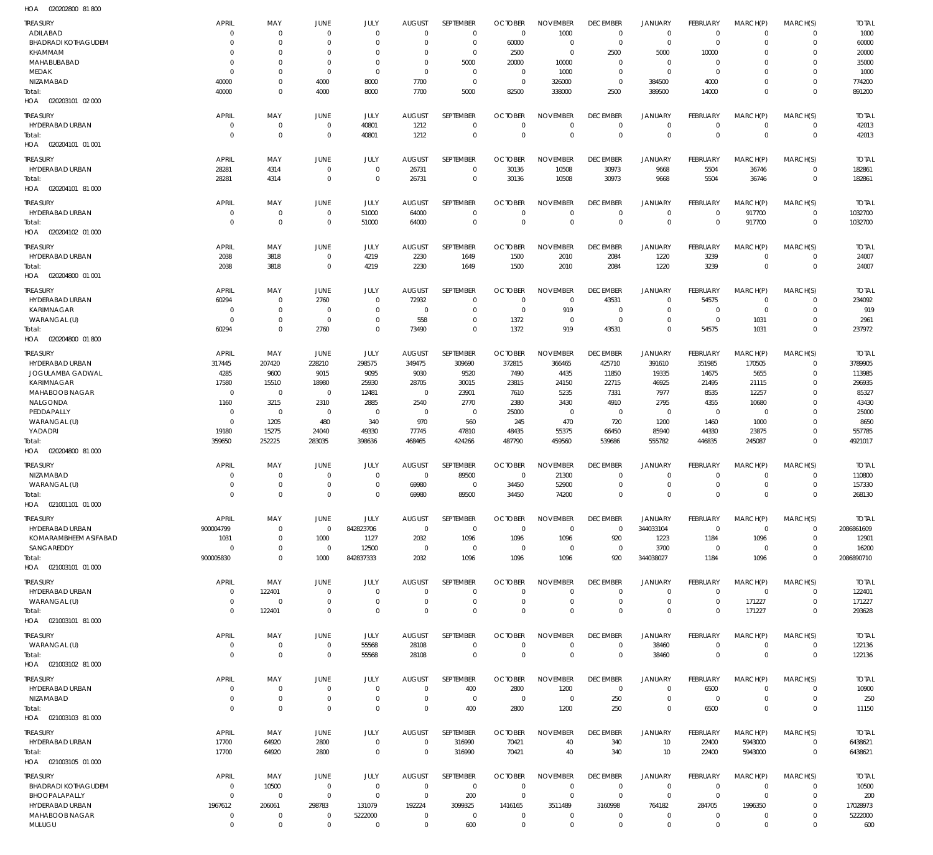020202800 81 800 HOA

| <b>TREASURY</b><br>ADILABAD                 | <b>APRIL</b><br>$\Omega$ | MAY<br>$\mathbf{0}$         | JUNE<br>$\Omega$            | JULY<br>$\mathbf 0$        | <b>AUGUST</b><br>$\Omega$       | SEPTEMBER<br>$\mathbf 0$   | <b>OCTOBER</b><br>$\mathbf 0$ | <b>NOVEMBER</b><br>1000        | <b>DECEMBER</b><br>$\mathbf 0$ | <b>JANUARY</b><br>$\mathbf 0$ | <b>FEBRUARY</b><br>$\overline{0}$ | MARCH(P)<br>$\mathbf 0$ | MARCH(S)<br>$\mathbf 0$    | <b>TOTAL</b><br>1000    |
|---------------------------------------------|--------------------------|-----------------------------|-----------------------------|----------------------------|---------------------------------|----------------------------|-------------------------------|--------------------------------|--------------------------------|-------------------------------|-----------------------------------|-------------------------|----------------------------|-------------------------|
| <b>BHADRADI KOTHAGUDEM</b>                  | $\Omega$                 | $\Omega$                    | $\Omega$                    | $\Omega$                   | $\Omega$                        | $\mathbf 0$                | 60000                         | $\mathbf 0$                    | $^{\circ}$                     | $\mathbf 0$                   | $\overline{0}$                    | $\Omega$                | $\mathbf 0$                | 60000                   |
| KHAMMAM                                     | $\Omega$                 | $\Omega$                    | $\Omega$                    | $\Omega$                   | $\Omega$                        | $\mathbf 0$                | 2500                          | $\mathbf 0$                    | 2500                           | 5000                          | 10000                             | $\Omega$                | $\Omega$                   | 20000                   |
| MAHABUBABAD                                 | $\Omega$<br>$\Omega$     | $\Omega$<br>$\Omega$        | $\Omega$<br>$\Omega$        | $\Omega$<br>$\Omega$       | $\Omega$<br>$\Omega$            | 5000                       | 20000                         | 10000                          | $\mathbf 0$                    | $\mathbf 0$                   | $\overline{0}$<br>$\Omega$        | $\Omega$<br>$\Omega$    | $\Omega$<br>$\Omega$       | 35000                   |
| MEDAK<br><b>NIZAMABAD</b>                   | 40000                    | $\Omega$                    | 4000                        | 8000                       | 7700                            | $\mathbf 0$<br>$\mathbf 0$ | $\mathbf 0$<br>$\overline{0}$ | 1000<br>326000                 | $\mathbf 0$<br>$^{\circ}$      | $\mathbf 0$<br>384500         | 4000                              | $\Omega$                | $\Omega$                   | 1000<br>774200          |
| Total:<br>HOA  020203101  02  000           | 40000                    | $\mathbf 0$                 | 4000                        | 8000                       | 7700                            | 5000                       | 82500                         | 338000                         | 2500                           | 389500                        | 14000                             | $\Omega$                | $\Omega$                   | 891200                  |
| <b>TREASURY</b>                             | <b>APRIL</b>             | MAY                         | <b>JUNE</b>                 | JULY                       | <b>AUGUST</b>                   | SEPTEMBER                  | <b>OCTOBER</b>                | <b>NOVEMBER</b>                | <b>DECEMBER</b>                | <b>JANUARY</b>                | FEBRUARY                          | MARCH(P)                | MARCH(S)                   | <b>TOTAL</b>            |
| HYDERABAD URBAN                             | $\Omega$                 | $\mathbf 0$                 | $\overline{0}$              | 40801                      | 1212                            | $\mathbf 0$                | $\Omega$                      | $\Omega$                       | $\mathbf 0$                    | $\mathbf 0$                   | $\overline{0}$                    | $\Omega$                | $\mathbf 0$                | 42013                   |
| Total:<br>HOA  020204101  01  001           | $\Omega$                 | $\mathbf 0$                 | $\Omega$                    | 40801                      | 1212                            | $\mathbf 0$                | $\Omega$                      | $\Omega$                       | $\mathbf 0$                    | $\mathbf 0$                   | $\overline{0}$                    | $\Omega$                | $\mathbf 0$                | 42013                   |
| <b>TREASURY</b>                             | <b>APRIL</b>             | MAY                         | JUNE                        | <b>JULY</b>                | <b>AUGUST</b>                   | SEPTEMBER                  | <b>OCTOBER</b>                | <b>NOVEMBER</b>                | <b>DECEMBER</b>                | <b>JANUARY</b>                | FEBRUARY                          | MARCH(P)                | MARCH(S)                   | <b>TOTAL</b>            |
| HYDERABAD URBAN                             | 28281                    | 4314                        | $\Omega$                    | $\mathbf 0$                | 26731                           | $\mathbf 0$                | 30136                         | 10508                          | 30973                          | 9668                          | 5504                              | 36746                   | $\mathbf 0$                | 182861                  |
| Total:<br>HOA  020204101  81  000           | 28281                    | 4314                        | $\overline{0}$              | $\mathbf 0$                | 26731                           | $\mathbf 0$                | 30136                         | 10508                          | 30973                          | 9668                          | 5504                              | 36746                   | $\mathbf 0$                | 182861                  |
| <b>TREASURY</b>                             | <b>APRIL</b>             | MAY                         | JUNE                        | <b>JULY</b>                | <b>AUGUST</b>                   | SEPTEMBER                  | <b>OCTOBER</b>                | <b>NOVEMBER</b>                | <b>DECEMBER</b>                | <b>JANUARY</b>                | FEBRUARY                          | MARCH(P)                | MARCH(S)                   | <b>TOTAL</b>            |
| HYDERABAD URBAN                             | $\Omega$                 | $\mathbf 0$                 | $\Omega$                    | 51000                      | 64000                           | $\mathbf 0$                | $\Omega$                      | $\mathbf 0$                    | $\mathbf 0$                    | $\mathbf 0$                   | $\overline{0}$                    | 917700                  | $\Omega$                   | 1032700                 |
| Total:<br>020204102 01 000<br>HOA           | $\Omega$                 | $\mathbf{0}$                | $\Omega$                    | 51000                      | 64000                           | $\mathbf 0$                | $\Omega$                      | $\Omega$                       | $\mathbf 0$                    | $\mathbf{0}$                  | $^{\circ}$                        | 917700                  | $\mathbf 0$                | 1032700                 |
| <b>TREASURY</b>                             | <b>APRIL</b>             | MAY                         | JUNE                        | JULY                       | <b>AUGUST</b>                   | SEPTEMBER                  | <b>OCTOBER</b>                | <b>NOVEMBER</b>                | <b>DECEMBER</b>                | <b>JANUARY</b>                | FEBRUARY                          | MARCH(P)                | MARCH(S)                   | <b>TOTAL</b>            |
| HYDERABAD URBAN                             | 2038                     | 3818                        | $\Omega$                    | 4219                       | 2230                            | 1649                       | 1500                          | 2010                           | 2084                           | 1220                          | 3239                              | $\mathbf 0$             | $\mathbf 0$                | 24007                   |
| Total:<br>HOA  020204800  01  001           | 2038                     | 3818                        | $\overline{0}$              | 4219                       | 2230                            | 1649                       | 1500                          | 2010                           | 2084                           | 1220                          | 3239                              | $\mathbf 0$             | $\mathbf 0$                | 24007                   |
| <b>TREASURY</b>                             | <b>APRIL</b>             | MAY                         | JUNE                        | JULY                       | <b>AUGUST</b>                   | SEPTEMBER                  | <b>OCTOBER</b>                | <b>NOVEMBER</b>                | <b>DECEMBER</b>                | <b>JANUARY</b>                | FEBRUARY                          | MARCH(P)                | MARCH(S)                   | <b>TOTAL</b>            |
| HYDERABAD URBAN                             | 60294                    | $\Omega$                    | 2760                        | $\Omega$                   | 72932                           | $\mathbf 0$                | $\Omega$                      | 0                              | 43531                          | $\mathbf 0$                   | 54575                             | $\mathbf 0$             | $\mathbf 0$                | 234092                  |
| KARIMNAGAR<br>WARANGAL (U)                  | $\Omega$<br>$\Omega$     | $\mathbf{0}$<br>$\mathbf 0$ | $\Omega$<br>$\Omega$        | $\Omega$<br>$\Omega$       | $\Omega$<br>558                 | $\mathbf 0$<br>$\mathbf 0$ | $\Omega$<br>1372              | 919<br>$\Omega$                | $\Omega$<br>$\Omega$           | $\mathbf 0$<br>$\mathbf 0$    | $\overline{0}$<br>$\overline{0}$  | $\Omega$<br>1031        | $\Omega$<br>$\mathbf 0$    | 919<br>2961             |
| Total:                                      | 60294                    | $\Omega$                    | 2760                        | $\Omega$                   | 73490                           | $\Omega$                   | 1372                          | 919                            | 43531                          | $\Omega$                      | 54575                             | 1031                    | $\Omega$                   | 237972                  |
| HOA  020204800  01 800                      |                          |                             |                             |                            |                                 |                            |                               |                                |                                |                               |                                   |                         |                            |                         |
| <b>TREASURY</b>                             | <b>APRIL</b>             | MAY                         | <b>JUNE</b>                 | JULY                       | <b>AUGUST</b>                   | SEPTEMBER                  | <b>OCTOBER</b>                | <b>NOVEMBER</b>                | <b>DECEMBER</b>                | <b>JANUARY</b>                | FEBRUARY                          | MARCH(P)                | MARCH(S)                   | <b>TOTAL</b>            |
| HYDERABAD URBAN<br>JOGULAMBA GADWAL         | 317445<br>4285           | 207420<br>9600              | 228210<br>9015              | 298575<br>9095             | 349475<br>9030                  | 309690<br>9520             | 372815<br>7490                | 366465<br>4435                 | 425710<br>11850                | 391610<br>19335               | 351985<br>14675                   | 170505<br>5655          | $\mathbf 0$<br>$\Omega$    | 3789905<br>113985       |
| KARIMNAGAR                                  | 17580                    | 15510                       | 18980                       | 25930                      | 28705                           | 30015                      | 23815                         | 24150                          | 22715                          | 46925                         | 21495                             | 21115                   | $\Omega$                   | 296935                  |
| <b>MAHABOOB NAGAR</b>                       | $\Omega$                 | $\mathbf 0$                 | $\overline{0}$              | 12481                      | $\overline{0}$                  | 23901                      | 7610                          | 5235                           | 7331                           | 7977                          | 8535                              | 12257                   | $\Omega$                   | 85327                   |
| NALGONDA                                    | 1160                     | 3215                        | 2310                        | 2885                       | 2540                            | 2770                       | 2380                          | 3430                           | 4910                           | 2795                          | 4355                              | 10680                   | $\Omega$                   | 43430                   |
| PEDDAPALLY<br>WARANGAL (U)                  | $\Omega$<br>$\Omega$     | $\mathbf 0$<br>1205         | $\Omega$<br>480             | $\mathbf 0$<br>340         | $\overline{0}$<br>970           | $\mathbf 0$<br>560         | 25000<br>245                  | $\mathbf 0$<br>470             | $\mathbf 0$<br>720             | $\mathbf 0$<br>1200           | $\overline{\phantom{0}}$<br>1460  | $\mathbf 0$<br>1000     | $\Omega$<br>$\Omega$       | 25000<br>8650           |
| YADADRI                                     | 19180                    | 15275                       | 24040                       | 49330                      | 77745                           | 47810                      | 48435                         | 55375                          | 66450                          | 85940                         | 44330                             | 23875                   | $\Omega$                   | 557785                  |
| Total:<br>HOA  020204800  81 000            | 359650                   | 252225                      | 283035                      | 398636                     | 468465                          | 424266                     | 487790                        | 459560                         | 539686                         | 555782                        | 446835                            | 245087                  | $\Omega$                   | 4921017                 |
| <b>TREASURY</b>                             | <b>APRIL</b>             | MAY                         | <b>JUNE</b>                 | JULY                       | <b>AUGUST</b>                   | SEPTEMBER                  | <b>OCTOBER</b>                | <b>NOVEMBER</b>                | <b>DECEMBER</b>                | <b>JANUARY</b>                | <b>FEBRUARY</b>                   | MARCH(P)                | MARCH(S)                   | <b>TOTAL</b>            |
| NIZAMABAD                                   | $\Omega$                 | $\Omega$                    | $\Omega$                    | $\mathbf 0$                | $\overline{0}$                  | 89500                      | $\Omega$                      | 21300                          | $\mathbf 0$                    | $\mathbf 0$                   | 0                                 | $\Omega$                | $\Omega$                   | 110800                  |
| WARANGAL (U)                                |                          | $\Omega$                    | $\Omega$                    | $\Omega$                   | 69980                           | $\mathbf 0$                | 34450                         | 52900                          | $\Omega$                       | $\Omega$                      | $\Omega$                          | $\Omega$                | $\mathbf 0$                | 157330                  |
| Total:<br>HOA  021001101  01  000           |                          | $\Omega$                    |                             | $\Omega$                   | 69980                           | 89500                      | 34450                         | 74200                          | $\Omega$                       | $\Omega$                      | $\Omega$                          | $\Omega$                | $\Omega$                   | 268130                  |
| <b>TREASURY</b>                             | APRIL                    | MAY                         | JUNE                        | JULY                       | <b>AUGUST</b>                   | <b>SEPTEMBER</b>           | <b>OCTOBER</b>                | <b>NOVEMBER</b>                | <b>DECEMBER</b>                | <b>JANUARY</b>                | FEBRUARY                          | MARCH(P)                | MARCH(S)                   | <b>TOTAL</b>            |
| HYDERABAD URBAN                             | 900004799                | $\mathbf 0$                 | $\mathbf 0$                 | 842823706                  | $\mathbf 0$                     | 0                          | $\mathbf 0$                   | $\mathbf 0$                    | $\mathbf 0$                    | 344033104                     | $\overline{0}$                    | $\mathbf 0$             | $\mathbf 0$                | 2086861609              |
| <b>KOMARAMBHFFM ASIFABAD</b>                | 1031                     | $\mathbf 0$                 | 1000                        | 1127                       | 2032                            | 1096                       | 1096                          | 1096                           | 920                            | 1223                          | 1184                              | 1096                    | $\mathbf 0$                | 12901                   |
| SANGAREDDY<br>Total:                        | $\Omega$<br>900005830    | $\mathbf 0$<br>$\mathbf 0$  | $\overline{0}$<br>1000      | 12500<br>842837333         | $\overline{0}$<br>2032          | $\mathbf 0$<br>1096        | $\mathbf 0$<br>1096           | $\mathbf 0$<br>1096            | $\mathbf 0$<br>920             | 3700<br>344038027             | $\overline{0}$<br>1184            | $\mathbf 0$<br>1096     | $\mathbf 0$<br>$\Omega$    | 16200<br>2086890710     |
| HOA  021003101  01 000                      |                          |                             |                             |                            |                                 |                            |                               |                                |                                |                               |                                   |                         |                            |                         |
| <b>TREASURY</b><br>HYDERABAD URBAN          | APRIL<br>$\Omega$        | MAY<br>122401               | JUNE<br>$\mathbf{0}$        | JULY<br>$\Omega$           | <b>AUGUST</b><br>$\Omega$       | SEPTEMBER<br>$\mathbf 0$   | <b>OCTOBER</b><br>0           | <b>NOVEMBER</b><br>$\mathbf 0$ | <b>DECEMBER</b><br>$\mathbf 0$ | <b>JANUARY</b><br>$\mathbf 0$ | FEBRUARY<br>$^{\circ}$            | MARCH(P)<br>$\mathbf 0$ | MARCH(S)<br>$\mathbf 0$    | <b>TOTAL</b><br>122401  |
| WARANGAL (U)                                | $\Omega$                 | $\mathbf{0}$                | $\mathbf 0$                 | $\mathbf 0$                | $\Omega$                        | $\mathbf 0$                | $\mathbf 0$                   | $\mathbf 0$                    | $\mathbf 0$                    | $\mathbf 0$                   | $\mathbf 0$                       | 171227                  | $\mathbf 0$                | 171227                  |
| Total:<br>HOA  021003101  81 000            | $\Omega$                 | 122401                      | $\overline{0}$              | $\Omega$                   | $\Omega$                        | $\mathbf 0$                | $\Omega$                      | $\Omega$                       | $\Omega$                       | $\mathbf{0}$                  | $\overline{0}$                    | 171227                  | $\mathbf 0$                | 293628                  |
| <b>TREASURY</b>                             | <b>APRIL</b>             | MAY                         | JUNE                        | JULY                       | <b>AUGUST</b>                   | SEPTEMBER                  | <b>OCTOBER</b>                | <b>NOVEMBER</b>                | <b>DECEMBER</b>                | <b>JANUARY</b>                | FEBRUARY                          | MARCH(P)                | MARCH(S)                   | <b>TOTAL</b>            |
| WARANGAL (U)                                | $\mathbf 0$              | $\mathbf 0$                 | $\mathbf 0$                 | 55568                      | 28108                           | 0                          | $\mathbf 0$                   | $\mathbf 0$                    | $\mathbf 0$                    | 38460                         | $\mathbf 0$                       | $\mathbf 0$             | $\mathbf 0$                | 122136                  |
| Total:<br>HOA  021003102  81 000            | $\Omega$                 | $\mathbb O$                 | $\mathbf 0$                 | 55568                      | 28108                           | $\mathbb O$                | $\mathbf 0$                   | $\mathsf 0$                    | $\overline{0}$                 | 38460                         | $\overline{0}$                    | $\mathbf 0$             | $\mathbf 0$                | 122136                  |
| <b>TREASURY</b>                             | <b>APRIL</b>             | MAY                         | <b>JUNE</b>                 | JULY                       | <b>AUGUST</b>                   | SEPTEMBER                  | <b>OCTOBER</b>                | <b>NOVEMBER</b>                | <b>DECEMBER</b>                | <b>JANUARY</b>                | <b>FEBRUARY</b>                   | MARCH(P)                | MARCH(S)                   | <b>TOTAL</b>            |
| HYDERABAD URBAN                             | $\Omega$                 | $\mathbf 0$                 | $\mathbf{0}$                | $\mathbf 0$                | $\mathbf 0$                     | 400                        | 2800                          | 1200                           | $\mathbf 0$                    | $\mathbf 0$                   | 6500                              | $\mathbf 0$             | $\mathbf 0$                | 10900                   |
| NIZAMABAD                                   | $\Omega$                 | $\mathbf 0$                 | $\mathbf 0$                 | $\mathbf 0$                | $^{\circ}$                      | 0                          | $\mathbf 0$                   | $\Omega$                       | 250                            | $\mathbf 0$                   | $\overline{0}$                    | $\mathbf 0$             | $\mathbf 0$                | 250                     |
| Total:<br>HOA  021003103  81 000            | $\Omega$                 | $\mathbf 0$                 | $\Omega$                    | $\mathbf 0$                | $\Omega$                        | 400                        | 2800                          | 1200                           | 250                            | $\mathbf 0$                   | 6500                              | $\mathbf 0$             | $\mathbf 0$                | 11150                   |
|                                             |                          |                             |                             |                            |                                 |                            |                               |                                |                                |                               |                                   |                         |                            |                         |
| <b>TREASURY</b><br>HYDERABAD URBAN          | <b>APRIL</b><br>17700    | MAY<br>64920                | JUNE<br>2800                | JULY<br>$\mathbf 0$        | <b>AUGUST</b><br>$\overline{0}$ | SEPTEMBER<br>316990        | <b>OCTOBER</b><br>70421       | <b>NOVEMBER</b><br>40          | <b>DECEMBER</b><br>340         | <b>JANUARY</b><br>10          | FEBRUARY<br>22400                 | MARCH(P)<br>5943000     | MARCH(S)<br>$\mathbf 0$    | <b>TOTAL</b><br>6438621 |
| Total:                                      | 17700                    | 64920                       | 2800                        | $\mathbf 0$                | $\overline{0}$                  | 316990                     | 70421                         | 40                             | 340                            | 10                            | 22400                             | 5943000                 | $\mathbf 0$                | 6438621                 |
| HOA  021003105  01  000                     |                          |                             |                             |                            |                                 |                            |                               |                                |                                |                               |                                   |                         |                            |                         |
| <b>TREASURY</b>                             | <b>APRIL</b>             | MAY                         | JUNE                        | JULY                       | <b>AUGUST</b>                   | SEPTEMBER                  | <b>OCTOBER</b>                | <b>NOVEMBER</b>                | <b>DECEMBER</b>                | <b>JANUARY</b>                | FEBRUARY                          | MARCH(P)                | MARCH(S)                   | <b>TOTAL</b>            |
| <b>BHADRADI KOTHAGUDEM</b><br>BHOOPALAPALLY | $\Omega$<br>$\Omega$     | 10500<br>$\mathbf{0}$       | $\mathbf{0}$<br>$\mathbf 0$ | $\mathbf 0$<br>$\mathbf 0$ | $\overline{0}$<br>$\mathbf 0$   | $\mathbf 0$<br>200         | 0<br>$\mathbf 0$              | 0<br>$\Omega$                  | $\mathbf 0$<br>$\mathbf 0$     | $\mathbf 0$<br>$\mathbf 0$    | $\overline{0}$<br>$\overline{0}$  | 0<br>$\Omega$           | $\mathbf 0$<br>$\mathbf 0$ | 10500<br>200            |
| HYDERABAD URBAN                             | 1967612                  | 206061                      | 298783                      | 131079                     | 192224                          | 3099325                    | 1416165                       | 3511489                        | 3160998                        | 764182                        | 284705                            | 1996350                 | $\mathbf 0$                | 17028973                |
| <b>MAHABOOB NAGAR</b>                       | $\Omega$                 | $\mathbf 0$                 | $\mathbf 0$                 | 5222000                    | $\mathbf 0$                     | $\mathbf 0$                | $\mathbf 0$                   | $\mathbf 0$                    | $\mathbf 0$                    | $\mathbf 0$                   | $\overline{0}$                    | $\mathbf 0$             | $\mathbf 0$                | 5222000                 |
| MULUGU                                      | $\Omega$                 | $\mathbb O$                 | $\mathbf 0$                 | $\mathbf 0$                | $\mathbf 0$                     | 600                        | $\mathbf 0$                   | $\mathbf 0$                    | $\mathbf 0$                    | $\mathbf 0$                   | $\mathbf 0$                       | $\mathbf 0$             | $\Omega$                   | 600                     |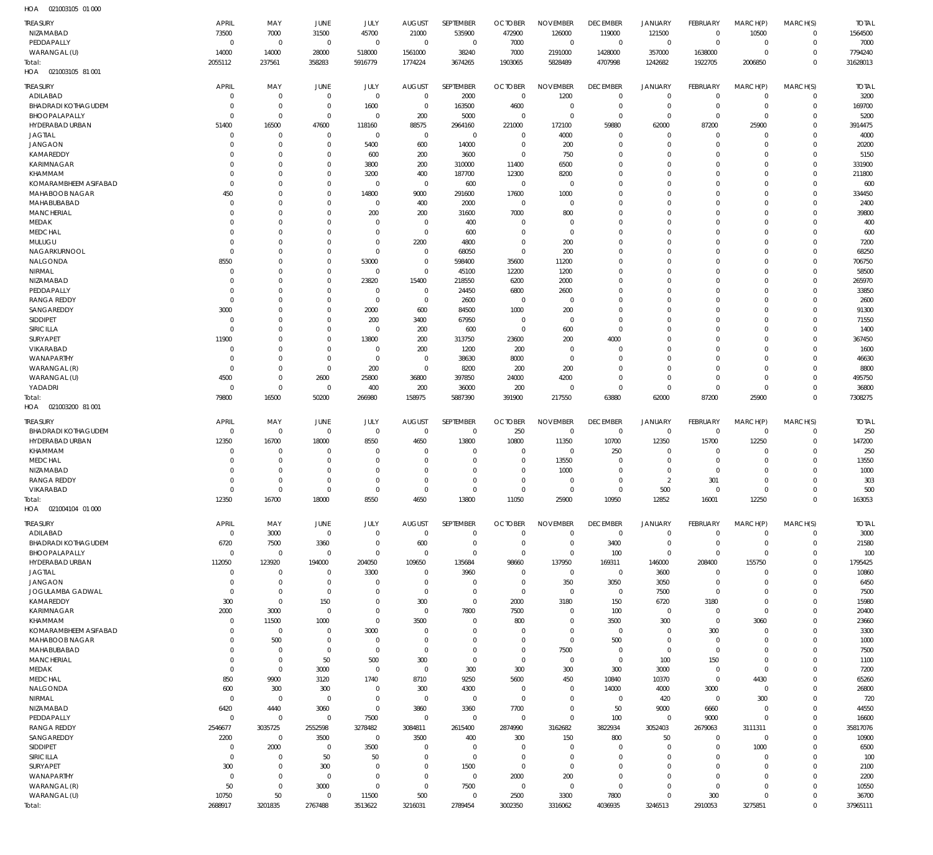| <b>TREASURY</b><br>NIZAMABAD | <b>APRIL</b><br>73500   | MAY<br>7000                      | JUNE<br>31500          | JULY<br>45700                    | <b>AUGUST</b><br>21000     | SEPTEMBER<br>535900    | <b>OCTOBER</b><br>472900 | NOVEMBER<br>126000         | <b>DECEMBER</b><br>119000 | JANUARY<br>121500          | FEBRUARY<br>$\overline{0}$ | MARCH(P)<br>10500          | MARCH(S)<br>$\mathbf 0$       | <b>TOTAL</b><br>1564500 |
|------------------------------|-------------------------|----------------------------------|------------------------|----------------------------------|----------------------------|------------------------|--------------------------|----------------------------|---------------------------|----------------------------|----------------------------|----------------------------|-------------------------------|-------------------------|
| PEDDAPALLY                   | $\mathbf 0$             | $\overline{0}$                   | $\mathbf 0$            | $\mathbf 0$                      | $\mathbf 0$                | $\mathbf 0$            | 7000                     | $\mathbf 0$                | $\mathbf 0$               | $\mathbf 0$                | $\overline{0}$             | $\mathbf 0$                | $\mathbf 0$                   | 7000                    |
| WARANGAL (U)                 | 14000                   | 14000                            | 28000                  | 518000                           | 1561000                    | 38240                  | 7000                     | 2191000                    | 1428000                   | 357000                     | 1638000                    | $\mathbf 0$                | $\mathbf 0$                   | 7794240                 |
| Total:                       | 2055112                 | 237561                           | 358283                 | 5916779                          | 1774224                    | 3674265                | 1903065                  | 5828489                    | 4707998                   | 1242682                    | 1922705                    | 2006850                    | $\mathbf 0$                   | 31628013                |
| HOA  021003105  81  001      |                         |                                  |                        |                                  |                            |                        |                          |                            |                           |                            |                            |                            |                               |                         |
| TREASURY                     | <b>APRIL</b>            | MAY                              | JUNE                   | JULY                             | <b>AUGUST</b>              | <b>SEPTEMBER</b>       | <b>OCTOBER</b>           | <b>NOVEMBER</b>            | <b>DECEMBER</b>           | <b>JANUARY</b>             | FEBRUARY                   | MARCH(P)                   | MARCH(S)                      | <b>TOTAL</b>            |
| ADILABAD                     | 0                       | $\overline{0}$                   | $\overline{0}$         | $\mathbf 0$                      | $\overline{0}$             | 2000                   | $\overline{0}$           | 1200                       | $\mathbf 0$               | 0                          | $\overline{0}$             | $\mathbf 0$                | $\mathbf 0$                   | 3200                    |
| <b>BHADRADI KOTHAGUDEM</b>   | 0                       | $\overline{0}$                   | $\overline{0}$         | 1600                             | $\overline{0}$             | 163500                 | 4600                     | $\mathbf 0$                | $\overline{0}$            | $\mathbf 0$                | $\overline{0}$             | $\mathbf 0$                | $\overline{0}$                | 169700                  |
| BHOOPALAPALLY                | $\mathbf 0$             | $\overline{0}$                   | $\mathbf 0$            | $\overline{0}$                   | 200                        | 5000                   | $\mathbf 0$              | $\mathbf 0$                | $\overline{0}$            | $\mathbf 0$                | $\mathbf 0$                | $\mathbf 0$                | $\overline{0}$                | 5200                    |
| HYDERABAD URBAN              | 51400                   | 16500                            | 47600                  | 118160                           | 88575                      | 2964160                | 221000                   | 172100                     | 59880                     | 62000                      | 87200                      | 25900                      | $\overline{0}$                | 3914475                 |
| <b>JAGTIAL</b>               | 0                       | $\overline{0}$                   | $\mathbf 0$            | $\mathbf 0$                      | $\mathbf 0$                | $\mathbf 0$            | $\Omega$                 | 4000                       | $\overline{0}$            | $\mathbf 0$                | $\mathbf 0$                | $\mathbf 0$                | $\overline{0}$                | 4000                    |
| <b>JANGAON</b>               | $\mathbf 0$             | $\overline{0}$                   | $\mathbf 0$            | 5400                             | 600                        | 14000                  | $\mathbf 0$              | 200                        | $\Omega$                  | $\mathbf 0$                | $\mathbf 0$                | $\mathbf 0$                | $\Omega$                      | 20200                   |
| KAMAREDDY<br>KARIMNAGAR      | $\Omega$<br>0           | $\overline{0}$<br>$\overline{0}$ | 0<br>0                 | 600<br>3800                      | 200<br>200                 | 3600<br>310000         | $\mathbf 0$<br>11400     | 750<br>6500                | 0<br>$\Omega$             | $\mathbf 0$<br>$\mathbf 0$ | $\mathbf 0$<br>$\Omega$    | $\mathbf 0$<br>$\Omega$    | $\mathbf 0$<br>$\Omega$       | 5150<br>331900          |
| <b>KHAMMAM</b>               | $\Omega$                | $\overline{0}$                   | 0                      | 3200                             | 400                        | 187700                 | 12300                    | 8200                       | 0                         | $\mathbf 0$                | $\Omega$                   | $\Omega$                   | $\mathbf 0$                   | 211800                  |
| KOMARAMBHEEM ASIFABAD        | $\mathbf 0$             | $\overline{0}$                   | 0                      | $\mathbf 0$                      | $\mathbf 0$                | 600                    | $\mathbf 0$              | $\Omega$                   | $\Omega$                  | $\mathbf 0$                | $\Omega$                   | $\Omega$                   | $\Omega$                      | 600                     |
| MAHABOOB NAGAR               | 450                     | $\overline{0}$                   | 0                      | 14800                            | 9000                       | 291600                 | 17600                    | 1000                       | $\Omega$                  | $\mathbf 0$                | $\Omega$                   | $\Omega$                   | $\Omega$                      | 334450                  |
| MAHABUBABAD                  | $\mathbf 0$             | $\overline{0}$                   | 0                      | $\mathbf 0$                      | 400                        | 2000                   | $\mathbf 0$              | $\mathbf 0$                | $\Omega$                  | $\mathbf 0$                | $\Omega$                   | $\Omega$                   | $\Omega$                      | 2400                    |
| <b>MANCHERIAL</b>            | $\Omega$                | $\overline{0}$                   | $\Omega$               | 200                              | 200                        | 31600                  | 7000                     | 800                        | 0                         | $\mathbf 0$                | $\Omega$                   | $\Omega$                   | $\overline{0}$                | 39800                   |
| MEDAK                        | 0                       | $\overline{0}$                   | $\Omega$               | $\Omega$                         | $\mathbf 0$                | 400                    | $\Omega$                 | $^{\circ}$                 | $\Omega$                  | $\mathbf 0$                | $\Omega$                   | $\Omega$                   | $\Omega$                      | 400                     |
| <b>MEDCHAL</b>               | $\Omega$                | $\overline{0}$                   | $\Omega$               | $\Omega$                         | $\mathbf 0$                | 600                    | $\Omega$                 | $\mathbf 0$                | $\Omega$                  | $\mathbf 0$                | $\Omega$                   | $\Omega$                   | $\Omega$                      | 600                     |
| MULUGU                       | $\mathbf 0$             | $\overline{0}$                   | 0                      | $\Omega$                         | 2200                       | 4800                   | $\Omega$                 | 200                        | $\Omega$                  | $\mathbf 0$                | $\Omega$                   | $\Omega$                   | $\Omega$                      | 7200                    |
| NAGARKURNOOL                 | $\Omega$                | $\overline{0}$                   | $\Omega$               | $\overline{0}$                   | $^{\circ}$                 | 68050                  | $\Omega$                 | 200                        | $\Omega$                  | $\mathbf 0$                | $\Omega$                   | $\Omega$                   | $\Omega$<br>$\Omega$          | 68250                   |
| NALGONDA<br><b>NIRMAL</b>    | 8550<br>$\mathbf 0$     | $\overline{0}$<br>$\overline{0}$ | $\mathbf 0$<br>0       | 53000<br>$\mathbf 0$             | $\mathbf 0$<br>$\mathbf 0$ | 598400<br>45100        | 35600<br>12200           | 11200<br>1200              | $\Omega$<br>$\Omega$      | $\mathbf 0$<br>$\mathbf 0$ | $\Omega$<br>$\Omega$       | $\Omega$<br>$\Omega$       | $\overline{0}$                | 706750<br>58500         |
| NIZAMABAD                    | $\Omega$                | $\mathbf 0$                      | $\mathbf 0$            | 23820                            | 15400                      | 218550                 | 6200                     | 2000                       | $\Omega$                  | $\mathbf 0$                | $\Omega$                   | $\Omega$                   | $\Omega$                      | 265970                  |
| PEDDAPALLY                   | $\mathbf 0$             | $\overline{0}$                   | $\Omega$               | $\Omega$                         | $^{\circ}$                 | 24450                  | 6800                     | 2600                       | 0                         | $\mathbf 0$                | $\Omega$                   | $\Omega$                   | $\Omega$                      | 33850                   |
| <b>RANGA REDDY</b>           | $\mathbf 0$             | $\overline{0}$                   | 0                      | $\mathbf 0$                      | $\mathbf 0$                | 2600                   | $\mathbf 0$              | $\mathbf 0$                | $\Omega$                  | $\mathbf 0$                | $\Omega$                   | $\Omega$                   | $\Omega$                      | 2600                    |
| SANGAREDDY                   | 3000                    | $\overline{0}$                   | 0                      | 2000                             | 600                        | 84500                  | 1000                     | 200                        | 0                         | $\mathbf 0$                | $\Omega$                   | $\Omega$                   | $\Omega$                      | 91300                   |
| <b>SIDDIPET</b>              | $\mathbf 0$             | $\overline{0}$                   | 0                      | 200                              | 3400                       | 67950                  | $\mathbf 0$              | $\mathbf 0$                | 0                         | $\mathbf 0$                | $\Omega$                   | $\Omega$                   | $\Omega$                      | 71550                   |
| SIRICILLA                    | $\Omega$                | $\overline{0}$                   | 0                      | $\overline{0}$                   | 200                        | 600                    | $\overline{0}$           | 600                        | $^{\circ}$                | $\mathbf 0$                | $\Omega$                   | $\Omega$                   | $\overline{0}$                | 1400                    |
| SURYAPET                     | 11900                   | $\overline{0}$                   | 0                      | 13800                            | 200                        | 313750                 | 23600                    | 200                        | 4000                      | $\mathbf 0$                | $\Omega$                   | $\Omega$                   | $\Omega$                      | 367450                  |
| VIKARABAD                    | $\mathbf 0$             | $\overline{0}$                   | 0                      | $\Omega$                         | 200                        | 1200                   | 200                      | $\mathbf 0$                | $\overline{0}$            | $\mathbf 0$                | $\Omega$                   | $\Omega$                   | $\Omega$                      | 1600                    |
| WANAPARTHY                   | $\mathbf 0$             | $\overline{0}$                   | $\mathbf 0$            | $\mathbf 0$                      | $\mathbf 0$                | 38630                  | 8000                     | $\mathbf 0$                | $\Omega$                  | $\Omega$                   | $\Omega$                   | $\Omega$                   | $\Omega$                      | 46630                   |
| WARANGAL (R)<br>WARANGAL (U) | $\mathbf 0$<br>4500     | $\overline{0}$<br>$\overline{0}$ | $\overline{0}$<br>2600 | 200<br>25800                     | $\mathbf 0$<br>36800       | 8200<br>397850         | 200<br>24000             | 200<br>4200                | $^{\circ}$<br>$^{\circ}$  | $\mathbf 0$<br>$\mathbf 0$ | $\Omega$<br>$\mathbf 0$    | $\mathbf 0$<br>$\mathbf 0$ | $\overline{0}$<br>$\Omega$    | 8800<br>495750          |
| YADADRI                      | $\mathbf 0$             | $\overline{0}$                   | $\mathbf 0$            | 400                              | 200                        | 36000                  | 200                      | $\mathbf 0$                | $^{\circ}$                | $\mathbf 0$                | $\mathbf 0$                | $\mathbf 0$                | $\overline{0}$                | 36800                   |
| Total:                       | 79800                   | 16500                            | 50200                  | 266980                           | 158975                     | 5887390                | 391900                   | 217550                     | 63880                     | 62000                      | 87200                      | 25900                      | $\overline{0}$                | 7308275                 |
| HOA  021003200  81 001       |                         |                                  |                        |                                  |                            |                        |                          |                            |                           |                            |                            |                            |                               |                         |
|                              |                         |                                  |                        |                                  |                            |                        |                          |                            |                           |                            |                            |                            |                               |                         |
|                              |                         |                                  |                        |                                  |                            |                        |                          |                            |                           |                            |                            |                            |                               |                         |
| TREASURY                     | <b>APRIL</b>            | MAY                              | <b>JUNE</b>            | JULY                             | <b>AUGUST</b>              | SEPTEMBER              | <b>OCTOBER</b>           | <b>NOVEMBER</b>            | <b>DECEMBER</b>           | <b>JANUARY</b>             | FEBRUARY                   | MARCH(P)                   | MARCH(S)                      | <b>TOTAL</b>            |
| <b>BHADRADI KOTHAGUDEM</b>   | $\mathbf 0$             | $\overline{0}$                   | $\overline{0}$         | $\mathbf 0$                      | $\mathbf 0$                | $\mathbf 0$            | 250                      | $\mathbf{0}$               | $\mathbf 0$               | $\mathbf 0$                | $\overline{0}$             | $\mathbf 0$                | $\mathbf 0$                   | 250                     |
| HYDERABAD URBAN              | 12350                   | 16700                            | 18000                  | 8550                             | 4650                       | 13800                  | 10800                    | 11350                      | 10700                     | 12350                      | 15700                      | 12250                      | $\mathbf 0$                   | 147200                  |
| <b>KHAMMAM</b>               | $\mathbf 0$<br>$\Omega$ | $^{\circ}$<br>$^{\circ}$         | $\Omega$<br>$\Omega$   | $\Omega$<br>$\Omega$             | $\Omega$<br>$\Omega$       | $\Omega$<br>$\Omega$   | $\Omega$<br>$\Omega$     | $\Omega$                   | 250<br>$\Omega$           | $\mathbf 0$<br>$\mathbf 0$ | $\mathbf 0$<br>0           | $\Omega$<br>$\Omega$       | $\mathbf 0$<br>$\Omega$       | 250                     |
| <b>MEDCHAL</b><br>NIZAMABAD  | U                       | $\overline{0}$                   | $\Omega$               | $\Omega$                         | $\Omega$                   | $\overline{0}$         | $\Omega$                 | 13550<br>1000              | $\Omega$                  | $\mathbf 0$                | $\Omega$                   | $\Omega$                   | $\mathbf 0$                   | 13550<br>1000           |
| <b>RANGA REDDY</b>           | U                       | $\Omega$                         | $\Omega$               | $\Omega$                         | $\Omega$                   | $\Omega$               | $\Omega$                 | $\Omega$                   | $\Omega$                  | $\overline{2}$             | 301                        | $\Omega$                   | $\Omega$                      | 303                     |
| <b>VIKARABAD</b>             | $\Omega$                | $\Omega$                         | $\Omega$               | $\overline{0}$                   | $\Omega$                   | $\Omega$               | $\Omega$                 | $\mathbf 0$                | $\Omega$                  | 500                        | $\Omega$                   | $\Omega$                   | $\Omega$                      | 500                     |
| Total:                       | 12350                   | 16700                            | 18000                  | 8550                             | 4650                       | 13800                  | 11050                    | 25900                      | 10950                     | 12852                      | 16001                      | 12250                      | $\mathbf 0$                   | 163053                  |
| HOA<br>021004104 01 000      |                         |                                  |                        |                                  |                            |                        |                          |                            |                           |                            |                            |                            |                               |                         |
| <b>TREASURY</b>              | <b>APRIL</b>            | MAY                              | <b>JUNE</b>            | JULY                             | <b>AUGUST</b>              | SEPTEMBER              | <b>OCTOBER</b>           | <b>NOVEMBER</b>            | <b>DECEMBER</b>           | <b>JANUARY</b>             | FEBRUARY                   | MARCH(P)                   | MARCH(S)                      | <b>TOTAL</b>            |
| ADILABAD                     | $\mathbf 0$             | 3000                             | $\mathbf 0$            | $\mathbf 0$                      | $\mathbf 0$                | $\overline{0}$         | $\overline{0}$           | $\mathbf 0$                | $\mathbf 0$               | $\mathbf 0$                | $\overline{0}$             | $\mathbf 0$                | $\overline{0}$                | 3000                    |
| <b>BHADRADI KOTHAGUDEM</b>   | 6720                    | 7500                             | 3360                   | 0                                | 600                        | $\mathbf 0$            | $\overline{0}$           | $\mathbf 0$                | 3400                      | 0                          | $\overline{0}$             | $\mathbf 0$                | $\mathbf 0$                   | 21580                   |
| BHOOPALAPALLY                | $\mathbf 0$             | $\overline{0}$                   | $\mathbf 0$            | $\mathbf 0$                      | $\mathbf 0$                | $^{\circ}$             | $\mathbf 0$              | $\mathbf 0$                | 100                       | $\mathbf 0$                | $\mathbf 0$                | $\mathbf 0$                | $\overline{0}$                | 100                     |
| HYDERABAD URBAN              | 112050                  | 123920                           | 194000                 | 204050                           | 109650                     | 135684                 | 98660                    | 137950                     | 169311                    | 146000                     | 208400                     | 155750                     | $\overline{0}$                | 1795425                 |
| <b>JAGTIAL</b>               | 0                       | $\overline{0}$                   | $^{\circ}$             | 3300                             | $\mathbf 0$                | 3960                   | $\overline{0}$           | $\mathbf 0$                | $\mathbf 0$               | 3600                       | $^{\circ}$                 | $\mathbf 0$                | $\Omega$                      | 10860                   |
| <b>JANGAON</b>               | 0                       | $\overline{0}$                   | $^{\circ}$             | $\Omega$                         | $^{\circ}$                 | $^{\circ}$             | $\overline{0}$           | 350                        | 3050                      | 3050                       | $\overline{0}$             | $\mathbf 0$                | $\overline{0}$                | 6450                    |
| JOGULAMBA GADWAL             | $\mathbf 0$             | $\overline{0}$                   | $^{\circ}$             | $\Omega$                         | $\mathbf 0$                | $\overline{0}$         | $\mathbf 0$              | $\mathbf 0$                | $\mathbf 0$               | 7500                       | $\overline{0}$             | $\mathbf 0$                | $\Omega$                      | 7500                    |
| KAMAREDDY<br>KARIMNAGAR      | 300                     | $\overline{0}$                   | 150<br>$^{\circ}$      | $\overline{0}$<br>$\overline{0}$ | 300<br>$\mathbf 0$         | $\mathbf 0$<br>7800    | 2000<br>7500             | 3180<br>$\mathbf 0$        | 150                       | 6720                       | 3180<br>$^{\circ}$         | $\mathbf 0$<br>$\mathbf 0$ | $\overline{0}$<br>$\Omega$    | 15980                   |
| KHAMMAM                      | 2000<br>0               | 3000<br>11500                    | 1000                   | $\mathbf 0$                      | 3500                       | $^{\circ}$             | 800                      | $\mathbf 0$                | 100<br>3500               | $\mathbf 0$<br>300         | $\overline{0}$             | 3060                       | $\mathbf 0$                   | 20400<br>23660          |
| KOMARAMBHEEM ASIFABAD        | $\mathbf 0$             | $\overline{0}$                   | $^{\circ}$             | 3000                             | $^{\circ}$                 | $^{\circ}$             | $\Omega$                 | $\mathbf 0$                | $\mathbf 0$               | 0                          | 300                        | $\mathbf 0$                | $\Omega$                      | 3300                    |
| MAHABOOB NAGAR               | $\mathbf 0$             | 500                              | $\mathbf 0$            | $\Omega$                         | $^{\circ}$                 | $\overline{0}$         | $\Omega$                 | $\mathbf 0$                | 500                       | $\mathbf 0$                | $\overline{0}$             | $\mathbf 0$                | $\overline{0}$                | 1000                    |
| MAHABUBABAD                  | $\mathbf 0$             | $\overline{0}$                   | $\overline{0}$         | $\mathbf 0$                      | $\overline{0}$             | $\overline{0}$         | $\overline{0}$           | 7500                       | $\mathbf 0$               | $\mathbf 0$                | $\overline{0}$             | $\mathbf 0$                | $\Omega$                      | 7500                    |
| <b>MANCHERIAL</b>            | $\mathbf 0$             | $\overline{0}$                   | 50                     | 500                              | 300                        | $\overline{0}$         | $\Omega$                 | $\mathbf 0$                | $\mathbf 0$               | 100                        | 150                        | $\mathbf 0$                | $\overline{0}$                | 1100                    |
| MEDAK                        | $\mathbf 0$             | $\overline{0}$                   | 3000                   | $\mathbf 0$                      | $\mathbf 0$                | 300                    | 300                      | 300                        | 300                       | 3000                       | $\mathbf 0$                | $\mathbf 0$                | $\Omega$                      | 7200                    |
| <b>MEDCHAL</b>               | 850                     | 9900                             | 3120                   | 1740                             | 8710                       | 9250                   | 5600                     | 450                        | 10840                     | 10370                      | $\overline{0}$             | 4430                       | $\mathbf 0$                   | 65260                   |
| NALGONDA                     | 600                     | 300                              | 300                    | $\overline{0}$                   | 300                        | 4300                   | $\overline{0}$           | $\mathbf 0$                | 14000                     | 4000                       | 3000                       | $\mathbf 0$                | $\Omega$                      | 26800                   |
| NIRMAL                       | $\overline{0}$          | $\overline{0}$                   | $\overline{0}$         | $\mathbf 0$<br>$\mathbf 0$       | $\mathbf 0$                | $\mathbf 0$            | $\overline{0}$           | $\mathbf 0$<br>$\mathbf 0$ | $\mathbf 0$               | 420                        | $\overline{0}$             | 300<br>$\mathbf 0$         | $\overline{0}$<br>$\Omega$    | 720                     |
| NIZAMABAD<br>PEDDAPALLY      | 6420<br>$\overline{0}$  | 4440<br>$\overline{0}$           | 3060<br>$\mathbf 0$    | 7500                             | 3860<br>$\overline{0}$     | 3360<br>$\overline{0}$ | 7700<br>$\overline{0}$   | $\mathbf 0$                | 50<br>100                 | 9000<br>0                  | 6660<br>9000               | $\mathbf 0$                | $\Omega$                      | 44550<br>16600          |
| RANGA REDDY                  | 2546677                 | 3035725                          | 2552598                | 3278482                          | 3084811                    | 2615400                | 2874990                  | 3162682                    | 3822934                   | 3052403                    | 2679063                    | 3111311                    | $\overline{0}$                | 35817076                |
| SANGAREDDY                   | 2200                    | $\overline{0}$                   | 3500                   | $\mathbf 0$                      | 3500                       | 400                    | 300                      | 150                        | 800                       | 50                         | $\mathbf 0$                | $\mathbf 0$                | $\overline{0}$                | 10900                   |
| <b>SIDDIPET</b>              | $\mathbf 0$             | 2000                             | $\overline{0}$         | 3500                             | $\mathbf 0$                | $\overline{0}$         | $\Omega$                 | $\overline{0}$             | $\overline{0}$            | 0                          | $\overline{0}$             | 1000                       | $\overline{0}$                | 6500                    |
| SIRICILLA                    | $\overline{0}$          | $\overline{0}$                   | 50                     | 50                               | $\overline{0}$             | $\mathbf 0$            | $\overline{0}$           | $\mathbf 0$                | $\overline{0}$            | $\mathbf 0$                | $\mathbf 0$                | $\mathbf 0$                | $\overline{0}$                | 100                     |
| <b>SURYAPET</b>              | 300                     | $\overline{0}$                   | 300                    | $\Omega$                         | $\mathbf 0$                | 1500                   | $\mathbf 0$              | $\mathbf 0$                | $\overline{0}$            | $\mathbf 0$                | $\Omega$                   | $\mathbf 0$                | $\Omega$                      | 2100                    |
| WANAPARTHY                   | $\overline{0}$          | $\overline{0}$                   | $\mathbf 0$            | $\overline{0}$                   | $\mathbf 0$                | $\mathbf 0$            | 2000                     | 200                        | $\mathbf 0$               | $\mathbf 0$                | $\mathbf 0$                | $\mathbf 0$                | $\Omega$                      | 2200                    |
| WARANGAL (R)                 | 50                      | $\overline{0}$                   | 3000                   | $\mathbf 0$                      | $\mathbf 0$                | 7500                   | $\mathbf 0$              | $\mathbf 0$                | $\mathbf 0$               | $\mathbf 0$                | $^{\circ}$                 | $\mathbf 0$                | $\Omega$                      | 10550                   |
| WARANGAL (U)<br>Total:       | 10750<br>2688917        | 50<br>3201835                    | $^{\circ}$<br>2767488  | 11500<br>3513622                 | 500<br>3216031             | $^{\circ}$<br>2789454  | 2500<br>3002350          | 3300<br>3316062            | 7800<br>4036935           | $\mathbf 0$<br>3246513     | 300<br>2910053             | $\mathbf 0$<br>3275851     | $\mathbf 0$<br>$\overline{0}$ | 36700<br>37965111       |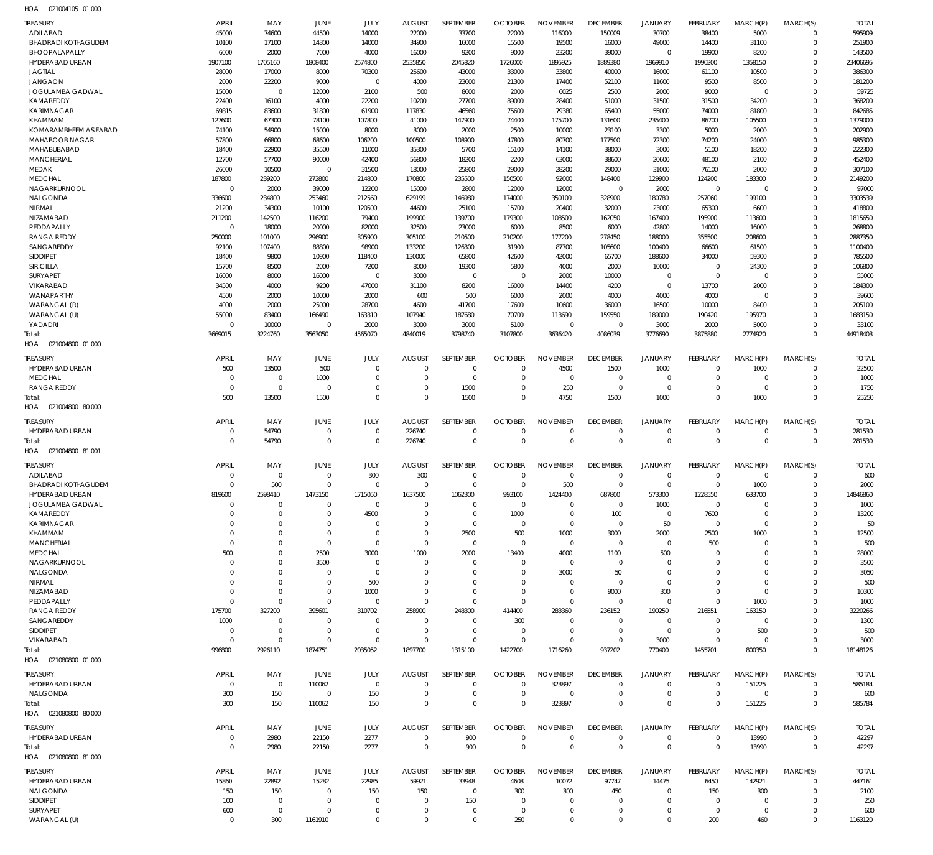| TREASURY                                      | <b>APRIL</b>             | MAY              | JUNE                       | JULY                   | <b>AUGUST</b>    | SEPTEMBER                   | <b>OCTOBER</b>           | <b>NOVEMBER</b>  | <b>DECEMBER</b>          | <b>JANUARY</b>             | FEBRUARY                  | MARCH(P)         | MARCH(S)                    | <b>TOTAL</b>       |
|-----------------------------------------------|--------------------------|------------------|----------------------------|------------------------|------------------|-----------------------------|--------------------------|------------------|--------------------------|----------------------------|---------------------------|------------------|-----------------------------|--------------------|
| ADILABAD                                      | 45000                    | 74600            | 44500                      | 14000                  | 22000            | 33700                       | 22000                    | 116000           | 150009                   | 30700                      | 38400                     | 5000             | $\mathbf 0$                 | 595909             |
| <b>BHADRADI KOTHAGUDEM</b>                    | 10100                    | 17100            | 14300                      | 14000                  | 34900            | 16000                       | 15500                    | 19500            | 16000                    | 49000                      | 14400                     | 31100            | $\mathbf 0$                 | 251900             |
| BHOOPALAPALLY                                 | 6000                     | 2000             | 7000                       | 4000                   | 16000            | 9200                        | 9000                     | 23200            | 39000                    | $\mathbf 0$                | 19900                     | 8200             | $\mathbf 0$                 | 143500             |
| HYDERABAD URBAN<br><b>JAGTIAL</b>             | 1907100<br>28000         | 1705160<br>17000 | 1808400<br>8000            | 2574800<br>70300       | 2535850<br>25600 | 2045820<br>43000            | 1726000<br>33000         | 1895925<br>33800 | 1889380<br>40000         | 1969910<br>16000           | 1990200<br>61100          | 1358150<br>10500 | $\mathbf 0$<br>$\Omega$     | 23406695<br>386300 |
| <b>JANGAON</b>                                | 2000                     | 22200            | 9000                       | $\mathbf 0$            | 4000             | 23600                       | 21300                    | 17400            | 52100                    | 11600                      | 9500                      | 8500             | $\mathbf 0$                 | 181200             |
| JOGULAMBA GADWAL                              | 15000                    | $\overline{0}$   | 12000                      | 2100                   | 500              | 8600                        | 2000                     | 6025             | 2500                     | 2000                       | 9000                      | $\mathbf 0$      | $\Omega$                    | 59725              |
| KAMAREDDY                                     | 22400                    | 16100            | 4000                       | 22200                  | 10200            | 27700                       | 89000                    | 28400            | 51000                    | 31500                      | 31500                     | 34200            | $\mathbf 0$                 | 368200             |
| <b>KARIMNAGAR</b>                             | 69815                    | 83600            | 31800                      | 61900                  | 117830           | 46560                       | 75600                    | 79380            | 65400                    | 55000                      | 74000                     | 81800            | $\mathbf 0$                 | 842685             |
| KHAMMAM                                       | 127600                   | 67300            | 78100                      | 107800                 | 41000            | 147900                      | 74400                    | 175700           | 131600                   | 235400                     | 86700                     | 105500           | $\mathbf 0$                 | 1379000            |
| KOMARAMBHEEM ASIFABAD                         | 74100                    | 54900            | 15000                      | 8000                   | 3000             | 2000                        | 2500                     | 10000            | 23100                    | 3300                       | 5000                      | 2000             | $\mathbf 0$                 | 202900             |
| <b>MAHABOOB NAGAR</b>                         | 57800                    | 66800            | 68600                      | 106200                 | 100500           | 108900                      | 47800                    | 80700            | 177500                   | 72300                      | 74200                     | 24000            | $\mathbf 0$                 | 985300             |
| MAHABUBABAD                                   | 18400                    | 22900            | 35500                      | 11000                  | 35300            | 5700                        | 15100                    | 14100            | 38000                    | 3000                       | 5100                      | 18200            | $\Omega$                    | 222300             |
| <b>MANCHERIAL</b>                             | 12700                    | 57700            | 90000                      | 42400                  | 56800            | 18200                       | 2200                     | 63000            | 38600                    | 20600                      | 48100                     | 2100             | $\mathbf 0$                 | 452400             |
| MEDAK                                         | 26000                    | 10500            | $\overline{0}$             | 31500                  | 18000            | 25800                       | 29000                    | 28200            | 29000                    | 31000                      | 76100                     | 2000             | $\Omega$                    | 307100             |
| <b>MEDCHAL</b>                                | 187800                   | 239200           | 272800                     | 214800                 | 170800           | 235500                      | 150500                   | 92000            | 148400                   | 129900                     | 124200                    | 183300           | $\mathbf 0$                 | 2149200            |
| NAGARKURNOOL                                  | $\overline{0}$           | 2000             | 39000                      | 12200                  | 15000            | 2800                        | 12000                    | 12000            | $\overline{0}$           | 2000                       | $\overline{0}$            | $\mathbf 0$      | $\mathbf 0$                 | 97000              |
| NALGONDA                                      | 336600                   | 234800           | 253460                     | 212560                 | 629199           | 146980                      | 174000                   | 350100           | 328900                   | 180780                     | 257060                    | 199100           | $\mathbf 0$                 | 3303539            |
| NIRMAL<br>NIZAMABAD                           | 21200                    | 34300            | 10100                      | 120500<br>79400        | 44600            | 25100                       | 15700                    | 20400            | 32000                    | 23000                      | 65300                     | 6600             | $\mathbf 0$<br>$\mathbf 0$  | 418800             |
| PEDDAPALLY                                    | 211200<br>$\overline{0}$ | 142500<br>18000  | 116200<br>20000            | 82000                  | 199900<br>32500  | 139700<br>23000             | 179300<br>6000           | 108500<br>8500   | 162050<br>6000           | 167400<br>42800            | 195900<br>14000           | 113600<br>16000  | $\Omega$                    | 1815650<br>268800  |
| <b>RANGA REDDY</b>                            | 250000                   | 101000           | 296900                     | 305900                 | 305100           | 210500                      | 210200                   | 177200           | 278450                   | 188000                     | 355500                    | 208600           | $\mathbf 0$                 | 2887350            |
| SANGAREDDY                                    | 92100                    | 107400           | 88800                      | 98900                  | 133200           | 126300                      | 31900                    | 87700            | 105600                   | 100400                     | 66600                     | 61500            | $\Omega$                    | 1100400            |
| SIDDIPET                                      | 18400                    | 9800             | 10900                      | 118400                 | 130000           | 65800                       | 42600                    | 42000            | 65700                    | 188600                     | 34000                     | 59300            | $\mathbf 0$                 | 785500             |
| SIRICILLA                                     | 15700                    | 8500             | 2000                       | 7200                   | 8000             | 19300                       | 5800                     | 4000             | 2000                     | 10000                      | $\overline{0}$            | 24300            | $\mathbf 0$                 | 106800             |
| <b>SURYAPET</b>                               | 16000                    | 8000             | 16000                      | $\mathbf 0$            | 3000             | $\mathbf{0}$                | $\overline{0}$           | 2000             | 10000                    | $\mathbf 0$                | $\overline{0}$            | $\mathbf 0$      | $\mathbf 0$                 | 55000              |
| VIKARABAD                                     | 34500                    | 4000             | 9200                       | 47000                  | 31100            | 8200                        | 16000                    | 14400            | 4200                     | $\mathbf 0$                | 13700                     | 2000             | $\mathbf 0$                 | 184300             |
| <b>WANAPARTHY</b>                             | 4500                     | 2000             | 10000                      | 2000                   | 600              | 500                         | 6000                     | 2000             | 4000                     | 4000                       | 4000                      | $\mathbf 0$      | $\mathbf 0$                 | 39600              |
| WARANGAL (R)                                  | 4000                     | 2000             | 25000                      | 28700                  | 4600             | 41700                       | 17600                    | 10600            | 36000                    | 16500                      | 10000                     | 8400             | $\mathbf 0$                 | 205100             |
| WARANGAL (U)                                  | 55000                    | 83400            | 166490                     | 163310                 | 107940           | 187680                      | 70700                    | 113690           | 159550                   | 189000                     | 190420                    | 195970           | $\mathbf 0$                 | 1683150            |
| YADADRI                                       | $\overline{0}$           | 10000            | $\overline{0}$             | 2000                   | 3000             | 3000                        | 5100                     | $\overline{0}$   | $\overline{0}$           | 3000                       | 2000                      | 5000             | $\mathbf 0$                 | 33100              |
| Total:                                        | 3669015                  | 3224760          | 3563050                    | 4565070                | 4840019          | 3798740                     | 3107800                  | 3636420          | 4086039                  | 3776690                    | 3875880                   | 2774920          | $\Omega$                    | 44918403           |
| 021004800 01 000<br>HOA                       |                          |                  |                            |                        |                  |                             |                          |                  |                          |                            |                           |                  |                             |                    |
| <b>TREASURY</b>                               | <b>APRIL</b>             | MAY              | JUNE                       | JULY                   | <b>AUGUST</b>    | SEPTEMBER                   | <b>OCTOBER</b>           | <b>NOVEMBER</b>  | <b>DECEMBER</b>          | <b>JANUARY</b>             | FEBRUARY                  | MARCH(P)         | MARCH(S)                    | <b>TOTAL</b>       |
| HYDERABAD URBAN                               | 500                      | 13500            | 500                        | $\mathbf 0$            | $\mathbf{0}$     | $\mathbf{0}$                | $\overline{0}$           | 4500             | 1500                     | 1000                       | $^{\circ}$                | 1000             | 0                           | 22500              |
| <b>MEDCHAL</b>                                | $\Omega$                 | $\mathbf 0$      | 1000                       | $\Omega$               | $\overline{0}$   | $\mathbf 0$                 | $\overline{0}$           | $\overline{0}$   | $\overline{0}$           | $\mathbf 0$                | $\mathbf 0$               | $\mathbf 0$      | $\mathbf 0$                 | 1000               |
| <b>RANGA REDDY</b>                            | $\overline{0}$           | $\overline{0}$   | $\overline{0}$             | $\mathbf 0$            | $\mathbf{0}$     | 1500                        | $\mathbf 0$              | 250              | $\mathbf 0$              | $\mathbf 0$                | $\mathbf 0$               | $\mathbf 0$      | $\mathbf 0$                 | 1750               |
| Total:                                        | 500                      | 13500            | 1500                       | $\Omega$               | $\Omega$         | 1500                        | $\Omega$                 | 4750             | 1500                     | 1000                       | $\Omega$                  | 1000             | $\mathbf 0$                 | 25250              |
| HOA 021004800 80 000                          |                          |                  |                            |                        |                  |                             |                          |                  |                          |                            |                           |                  |                             |                    |
| TREASURY                                      | <b>APRIL</b>             | MAY              | JUNE                       | JULY                   | <b>AUGUST</b>    | SEPTEMBER                   | <b>OCTOBER</b>           | <b>NOVEMBER</b>  | <b>DECEMBER</b>          | <b>JANUARY</b>             | FEBRUARY                  | MARCH(P)         | MARCH(S)                    | <b>TOTAL</b>       |
| HYDERABAD URBAN                               | $\overline{0}$           | 54790            | $\overline{0}$             | $\mathbf 0$            | 226740           | $\mathbf{0}$                | $\overline{0}$           | $\overline{0}$   | 0                        | $\mathbf 0$                | 0                         | 0                | $\mathbf 0$                 | 281530             |
| Total:                                        | $\overline{0}$           | 54790            | $\overline{0}$             | $\mathbf 0$            | 226740           | $\mathbf 0$                 | $\overline{0}$           | $\mathbf 0$      | $\overline{0}$           | $\mathbf 0$                | $\overline{0}$            | $\mathbf 0$      | $\mathbf 0$                 | 281530             |
| HOA  021004800  81 001                        |                          |                  |                            |                        |                  |                             |                          |                  |                          |                            |                           |                  |                             |                    |
|                                               |                          |                  |                            |                        |                  |                             |                          |                  |                          |                            |                           |                  |                             |                    |
| TREASURY                                      | <b>APRIL</b>             | MAY              | JUNE                       | JULY                   | <b>AUGUST</b>    | SEPTEMBER                   | <b>OCTOBER</b>           | <b>NOVEMBER</b>  | <b>DECEMBER</b>          | <b>JANUARY</b>             | <b>FEBRUARY</b>           | MARCH(P)         | MARCH(S)                    | <b>TOTAL</b>       |
| ADILABAD                                      | $\Omega$<br>$\Omega$     | $\mathbf 0$      | $\overline{0}$<br>$\Omega$ | 300                    | 300<br>$\Omega$  | $\mathbf{0}$<br>$\mathbf 0$ | $\overline{0}$           | $\mathbf 0$      | $\mathbf 0$              | $\mathbf 0$<br>$\mathbf 0$ | $^{\circ}$                | $\mathbf 0$      | $\mathbf 0$                 | 600                |
| <b>BHADRADI KOTHAGUDEM</b><br>HYDERABAD URBAN | 819600                   | 500<br>2598410   | 1473150                    | $\mathbf 0$<br>1715050 | 1637500          | 1062300                     | $\overline{0}$<br>993100 | 500<br>1424400   | 0<br>687800              | 573300                     | $\overline{0}$<br>1228550 | 1000<br>633700   | $\mathbf 0$<br>$\mathbf{0}$ | 2000<br>14846860   |
| <b>JOGULAMBA GADWAL</b>                       | $\mathbf 0$              | $\Omega$         | $\mathbf 0$                | $\mathbf 0$            | $\mathbf 0$      | $\mathbf 0$                 | $\overline{0}$           | $\mathbf 0$      | $\mathbf 0$              | 1000                       | $^{\circ}$                | $\mathbf 0$      | $\mathbf 0$                 | 1000               |
| KAMAREDDY                                     | $\Omega$                 | $\mathbf 0$      | $\mathbf 0$                | 4500                   | $\overline{0}$   | $\mathbf 0$                 | 1000                     | $\mathbf 0$      | 100                      | $\mathbf 0$                | 7600                      | $\mathbf 0$      | 0                           | 13200              |
| <b>KARIMNAGAR</b>                             | $\Omega$                 | $\Omega$         | $\mathbf 0$                | $\mathbf 0$            | $\Omega$         | $\mathbf 0$                 | $\overline{0}$           | $\mathbf 0$      | $\mathbf 0$              | 50                         | $\overline{0}$            | $\mathbf 0$      | $\Omega$                    | 50                 |
| KHAMMAM                                       | $\Omega$                 | $\mathbf 0$      | $\mathbf 0$                | $\mathbf 0$            | $\mathbf{0}$     | 2500                        | 500                      | 1000             | 3000                     | 2000                       | 2500                      | 1000             | 0                           | 12500              |
| <b>MANCHERIAL</b>                             | $\mathbf 0$              | $\mathbf 0$      | $\overline{0}$             | $\mathbf 0$            | $\mathbf{0}$     | $\mathbf{0}$                | $\overline{0}$           | $\mathbf 0$      | $\mathbf 0$              | $\mathbf 0$                | 500                       | 0                | $\Omega$                    | 500                |
| <b>MEDCHAL</b>                                | 500                      | $\mathbf 0$      | 2500                       | 3000                   | 1000             | 2000                        | 13400                    | 4000             | 1100                     | 500                        | $\overline{0}$            | $\Omega$         | $\Omega$                    | 28000              |
| NAGARKURNOOL                                  | $\mathbf 0$              | $\Omega$         | 3500                       | $\mathbf 0$            | $\mathbf{0}$     | $\mathbf{0}$                | $\overline{0}$           | $\overline{0}$   | 0                        | $\mathbf 0$                | 0                         | $\Omega$         | $\Omega$                    | 3500               |
| NALGONDA                                      | $\Omega$                 | $\mathbf 0$      | $\overline{0}$             | $\mathbf 0$            | 0                | $\mathbf{0}$                | $\mathbf 0$              | 3000             | 50                       | $\mathbf 0$                | 0                         | $\Omega$         | 0                           | 3050               |
| <b>NIRMAL</b>                                 | $\Omega$                 | $\mathbf 0$      | $\overline{0}$             | 500                    | $\Omega$         | $\mathbf{0}$                | $\mathbf 0$              | $\mathbf 0$      | $\overline{0}$           | $\mathbf 0$                | $\Omega$                  | $\mathbf 0$      | $\Omega$                    | 500                |
| NIZAMABAD                                     | $\mathbf 0$              | $\mathbf 0$      | $\overline{0}$             | 1000                   | $\overline{0}$   | $\mathbf{0}$                | $\mathbf 0$              | $\mathbf 0$      | 9000                     | 300                        | $\mathbf 0$               | $\mathbf 0$      | 0                           | 10300              |
| PEDDAPALLY                                    | $\Omega$                 | $\mathbf 0$      | $\Omega$                   | $\mathbf 0$            | $\mathbf{0}$     | $\mathbf{0}$                | $\overline{0}$           | $\mathbf 0$      | $\mathbf 0$              | $\mathbf 0$                | $\mathbf 0$               | 1000             | $\Omega$                    | 1000               |
| <b>RANGA REDDY</b>                            | 175700                   | 327200           | 395601                     | 310702                 | 258900           | 248300                      | 414400                   | 283360           | 236152                   | 190250                     | 216551                    | 163150           | 0                           | 3220266            |
| SANGAREDDY                                    | 1000                     | $\mathbf 0$      | $\mathbf 0$                | $\mathbf 0$            | $\mathbf{0}$     | $\mathbf{0}$                | 300                      | $\mathbf 0$      | $^{\circ}$               | $\mathbf 0$                | 0                         | $^{\circ}$       | $\Omega$                    | 1300               |
| SIDDIPET                                      | $\overline{0}$           | $\mathbf 0$      | $\overline{0}$             | $\mathbf 0$            | $\mathbf{0}$     | $\mathbf{0}$                | $\overline{0}$           | $\mathbf 0$      | $\mathbf 0$              | $\mathbf 0$                | $\overline{0}$            | 500              | 0                           | 500                |
| VIKARABAD                                     | $\overline{0}$           | $\mathbf 0$      | $\overline{0}$             | $\mathbf 0$            | $\overline{0}$   | $\mathbf 0$                 | $\overline{0}$           | $\Omega$         | $\mathbf 0$              | 3000                       | $\mathbf 0$               | 0                | $\mathbf 0$                 | 3000               |
| Total:                                        | 996800                   | 2926110          | 1874751                    | 2035052                | 1897700          | 1315100                     | 1422700                  | 1716260          | 937202                   | 770400                     | 1455701                   | 800350           | $\mathbf 0$                 | 18148126           |
| HOA  021080800  01  000                       |                          |                  |                            |                        |                  |                             |                          |                  |                          |                            |                           |                  |                             |                    |
| TREASURY                                      |                          |                  |                            |                        |                  |                             |                          |                  |                          |                            |                           |                  |                             |                    |
|                                               | <b>APRIL</b>             | MAY              | JUNE                       | JULY                   | <b>AUGUST</b>    | SEPTEMBER                   | <b>OCTOBER</b>           | <b>NOVEMBER</b>  | <b>DECEMBER</b>          | <b>JANUARY</b>             | FEBRUARY                  | MARCH(P)         | MARCH(S)                    | <b>TOTAL</b>       |
| HYDERABAD URBAN                               | $\overline{0}$           | $\overline{0}$   | 110062                     | $\mathbf 0$            | $\overline{0}$   | $\mathbf{0}$                | $\overline{0}$           | 323897           | $\mathbf 0$              | $\mathbf 0$                | $\mathbf 0$               | 151225           | $\mathbf 0$                 | 585184             |
| NALGONDA                                      | 300                      | 150              | $\overline{0}$             | 150                    | $\overline{0}$   | $\mathbf 0$                 | $\overline{0}$           | $\overline{0}$   | $\mathbf 0$              | $\mathbf 0$                | $\mathbf 0$               | $\mathbf 0$      | $\mathbf 0$                 | 600                |
| Total:                                        | 300                      | 150              | 110062                     | 150                    | $\overline{0}$   | $\mathbf 0$                 | $\overline{0}$           | 323897           | $\mathbf 0$              | $\mathbf 0$                | $\overline{0}$            | 151225           | $\mathbf 0$                 | 585784             |
| HOA  021080800  80  000                       |                          |                  |                            |                        |                  |                             |                          |                  |                          |                            |                           |                  |                             |                    |
| TREASURY                                      | <b>APRIL</b>             | MAY              | JUNE                       | JULY                   | <b>AUGUST</b>    | SEPTEMBER                   | <b>OCTOBER</b>           | <b>NOVEMBER</b>  | <b>DECEMBER</b>          | <b>JANUARY</b>             | FEBRUARY                  | MARCH(P)         | MARCH(S)                    | <b>TOTAL</b>       |
| HYDERABAD URBAN                               | $\mathbf 0$              | 2980             | 22150                      | 2277                   | $\overline{0}$   | 900                         | $\overline{0}$           | $\mathbf 0$      | $\mathbf 0$              | $\mathbf 0$                | $\mathbf 0$               | 13990            | $\mathbf 0$                 | 42297              |
| Total:                                        | $\overline{0}$           | 2980             | 22150                      | 2277                   | $\mathbf{0}$     | 900                         | $\overline{0}$           | $\mathbf 0$      | $\overline{0}$           | $\mathbf 0$                | $\overline{0}$            | 13990            | $\mathbf 0$                 | 42297              |
| HOA  021080800  81  000                       |                          |                  |                            |                        |                  |                             |                          |                  |                          |                            |                           |                  |                             |                    |
|                                               |                          |                  |                            |                        |                  |                             |                          |                  |                          |                            |                           |                  |                             |                    |
| TREASURY                                      | <b>APRIL</b>             | MAY              | JUNE                       | JULY                   | <b>AUGUST</b>    | SEPTEMBER<br>33948          | <b>OCTOBER</b>           | <b>NOVEMBER</b>  | <b>DECEMBER</b><br>97747 | <b>JANUARY</b><br>14475    | FEBRUARY                  | MARCH(P)         | MARCH(S)<br>$\mathbf 0$     | <b>TOTAL</b>       |
| HYDERABAD URBAN<br>NALGONDA                   | 15860<br>150             | 22892<br>150     | 15282<br>$\overline{0}$    | 22985<br>150           | 59921<br>150     | $\mathbf{0}$                | 4608<br>300              | 10072<br>300     | 450                      | $\mathbf 0$                | 6450<br>150               | 142921<br>300    | $\mathbf 0$                 | 447161<br>2100     |
| SIDDIPET                                      | 100                      | $\mathbf 0$      | $\overline{0}$             | $\mathbf 0$            | 0                | 150                         | $\overline{0}$           | $\overline{0}$   | 0                        | $\mathbf 0$                | $\overline{0}$            | $\mathbf 0$      | 0                           | 250                |
| SURYAPET                                      | 600                      | $\mathbf 0$      | $\overline{0}$             | $\mathbf 0$            | 0                | $\mathbf{0}$                | $\overline{0}$           | $\mathbf 0$      | 0                        | $\mathbf 0$                | $\overline{0}$            | $\mathbf 0$      | 0                           | 600                |
| WARANGAL (U)                                  | $\overline{0}$           | 300              | 1161910                    | $\mathbf 0$            | $\Omega$         | $\mathbf 0$                 | 250                      | $\mathbf 0$      | $\mathbf 0$              | $\mathbf 0$                | 200                       | 460              | $\Omega$                    | 1163120            |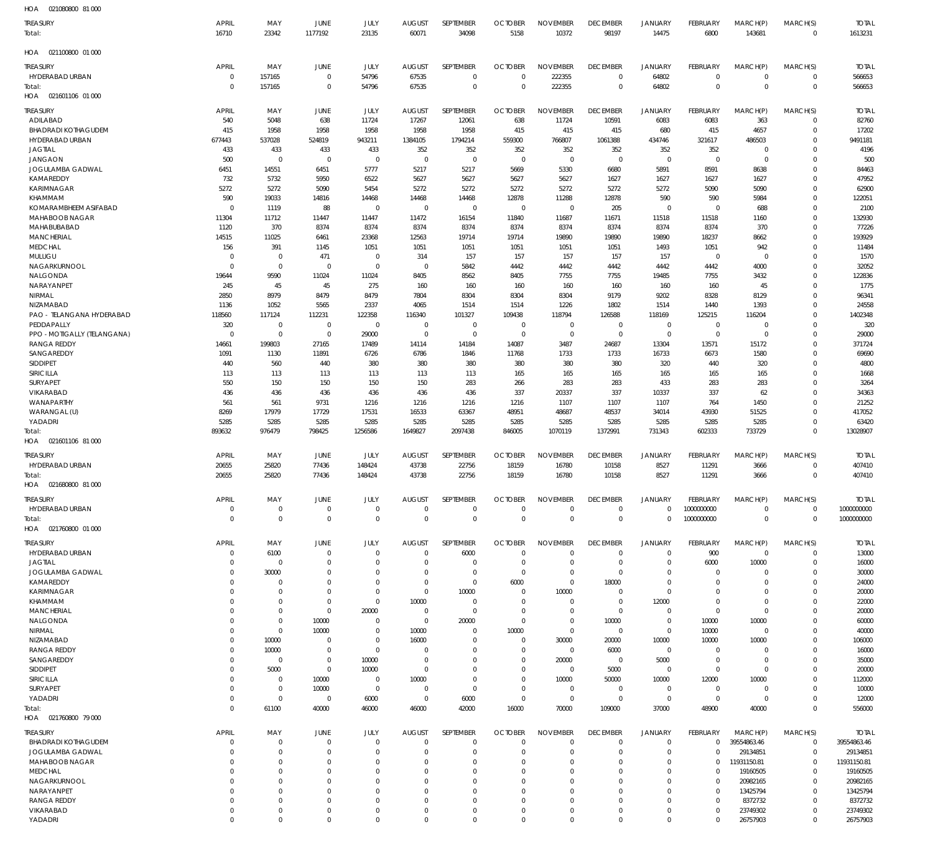| HOA<br>021080800 81 000              |                             |                         |                            |                      |                         |                          |                                  |                            |                                   |                            |                                   |                         |                            |                         |
|--------------------------------------|-----------------------------|-------------------------|----------------------------|----------------------|-------------------------|--------------------------|----------------------------------|----------------------------|-----------------------------------|----------------------------|-----------------------------------|-------------------------|----------------------------|-------------------------|
| treasury<br>Total:                   | <b>APRIL</b><br>16710       | MAY<br>23342            | JUNE<br>1177192            | JULY<br>23135        | <b>AUGUST</b><br>60071  | SEPTEMBER<br>34098       | <b>OCTOBER</b><br>5158           | <b>NOVEMBER</b><br>10372   | <b>DECEMBER</b><br>98197          | <b>JANUARY</b><br>14475    | FEBRUARY<br>6800                  | MARCH(P)<br>143681      | MARCH(S)<br>$\mathbf 0$    | <b>TOTAL</b><br>1613231 |
| 021100800 01 000                     |                             |                         |                            |                      |                         |                          |                                  |                            |                                   |                            |                                   |                         |                            |                         |
| HOA                                  |                             |                         |                            |                      |                         |                          |                                  |                            |                                   |                            |                                   |                         |                            |                         |
| treasury<br>HYDERABAD URBAN          | <b>APRIL</b><br>$\mathbf 0$ | MAY<br>157165           | JUNE<br>$\mathbf 0$        | JULY<br>54796        | <b>AUGUST</b><br>67535  | SEPTEMBER<br>$\mathbf 0$ | <b>OCTOBER</b><br>$\overline{0}$ | <b>NOVEMBER</b><br>222355  | <b>DECEMBER</b><br>$\overline{0}$ | <b>JANUARY</b><br>64802    | <b>FEBRUARY</b><br>$\overline{0}$ | MARCH(P)<br>$\mathbf 0$ | MARCH(S)<br>$\mathbf 0$    | <b>TOTAL</b><br>566653  |
| Total:                               | $\mathbf 0$                 | 157165                  | $\mathbf 0$                | 54796                | 67535                   | $\mathbf 0$              | $\overline{0}$                   | 222355                     | $\overline{0}$                    | 64802                      | $\overline{0}$                    | $\mathbf 0$             | $\mathbf{0}$               | 566653                  |
| HOA 021601106 01 000                 |                             |                         |                            |                      |                         |                          |                                  |                            |                                   |                            |                                   |                         |                            |                         |
| treasury                             | <b>APRIL</b>                | MAY                     | JUNE                       | JULY                 | <b>AUGUST</b>           | SEPTEMBER                | <b>OCTOBER</b>                   | <b>NOVEMBER</b>            | <b>DECEMBER</b>                   | JANUARY                    | FEBRUARY                          | MARCH(P)                | MARCH(S)                   | <b>TOTAL</b>            |
| ADILABAD                             | 540                         | 5048                    | 638                        | 11724                | 17267                   | 12061                    | 638                              | 11724                      | 10591                             | 6083                       | 6083                              | 363                     | $\mathbf 0$                | 82760                   |
| <b>BHADRADI KOTHAGUDEM</b>           | 415                         | 1958                    | 1958                       | 1958                 | 1958                    | 1958                     | 415                              | 415                        | 415                               | 680                        | 415                               | 4657                    | $\mathbf 0$                | 17202                   |
| HYDERABAD URBAN                      | 677443                      | 537028                  | 524819                     | 943211               | 1384105                 | 1794214                  | 559300                           | 766807                     | 1061388                           | 434746                     | 321617                            | 486503                  | $\Omega$                   | 9491181                 |
| JAGTIAL                              | 433                         | 433                     | 433                        | 433                  | 352                     | 352                      | 352                              | 352                        | 352                               | 352                        | 352                               | $\mathbf 0$             | 0                          | 4196                    |
| <b>JANGAON</b><br>JOGULAMBA GADWAL   | 500<br>6451                 | $\overline{0}$<br>14551 | $\Omega$<br>6451           | $\Omega$<br>5777     | $\Omega$<br>5217        | $\overline{0}$<br>5217   | $\overline{0}$<br>5669           | $\overline{0}$<br>5330     | $\overline{0}$<br>6680            | $\mathbf 0$<br>5891        | $\overline{0}$<br>8591            | $\mathbf 0$<br>8638     | $\mathbf 0$<br>$\mathbf 0$ | 500<br>84463            |
| KAMAREDDY                            | 732                         | 5732                    | 5950                       | 6522                 | 5627                    | 5627                     | 5627                             | 5627                       | 1627                              | 1627                       | 1627                              | 1627                    | $\Omega$                   | 47952                   |
| <b>KARIMNAGAR</b>                    | 5272                        | 5272                    | 5090                       | 5454                 | 5272                    | 5272                     | 5272                             | 5272                       | 5272                              | 5272                       | 5090                              | 5090                    | 0                          | 62900                   |
| KHAMMAM                              | 590                         | 19033                   | 14816                      | 14468                | 14468                   | 14468                    | 12878                            | 11288                      | 12878                             | 590                        | 590                               | 5984                    | $\Omega$                   | 122051                  |
| KOMARAMBHEEM ASIFABAD                | $\Omega$                    | 1119                    | 88                         | $\mathbf{0}$         | $\overline{0}$          | $\mathbf 0$              | $\mathbf 0$                      | $\mathbf 0$                | 205                               | $\overline{0}$             | $\overline{0}$                    | 688                     | 0                          | 2100                    |
| <b>MAHABOOB NAGAR</b><br>MAHABUBABAD | 11304                       | 11712                   | 11447                      | 11447                | 11472                   | 16154                    | 11840                            | 11687                      | 11671                             | 11518<br>8374              | 11518                             | 1160                    | $\mathbf 0$                | 132930                  |
| <b>MANCHERIAL</b>                    | 1120<br>14515               | 370<br>11025            | 8374<br>6461               | 8374<br>23368        | 8374<br>12563           | 8374<br>19714            | 8374<br>19714                    | 8374<br>19890              | 8374<br>19890                     | 19890                      | 8374<br>18237                     | 370<br>8662             | 0<br>$\Omega$              | 77226<br>193929         |
| <b>MEDCHAL</b>                       | 156                         | 391                     | 1145                       | 1051                 | 1051                    | 1051                     | 1051                             | 1051                       | 1051                              | 1493                       | 1051                              | 942                     | 0                          | 11484                   |
| MULUGU                               | $\mathbf 0$                 | $\mathbf 0$             | 471                        | $\mathbf{0}$         | 314                     | 157                      | 157                              | 157                        | 157                               | 157                        | $\overline{0}$                    | $\mathbf 0$             | $\mathbf 0$                | 1570                    |
| NAGARKURNOOL                         | $\Omega$                    | $\mathbf 0$             | $\mathbf 0$                | $\mathbf 0$          | $\overline{0}$          | 5842                     | 4442                             | 4442                       | 4442                              | 4442                       | 4442                              | 4000                    | $\mathbf 0$                | 32052                   |
| NALGONDA                             | 19644                       | 9590                    | 11024                      | 11024                | 8405                    | 8562                     | 8405                             | 7755                       | 7755                              | 19485                      | 7755                              | 3432                    | $\mathbf 0$                | 122836                  |
| NARAYANPET                           | 245                         | 45<br>8979              | 45<br>8479                 | 275                  | 160                     | 160                      | 160                              | 160                        | 160<br>9179                       | 160                        | 160                               | 45                      | 0<br>$\mathbf 0$           | 1775                    |
| NIRMAL<br>NIZAMABAD                  | 2850<br>1136                | 1052                    | 5565                       | 8479<br>2337         | 7804<br>4065            | 8304<br>1514             | 8304<br>1514                     | 8304<br>1226               | 1802                              | 9202<br>1514               | 8328<br>1440                      | 8129<br>1393            | 0                          | 96341<br>24558          |
| PAO - TELANGANA HYDERABAD            | 118560                      | 117124                  | 112231                     | 122358               | 116340                  | 101327                   | 109438                           | 118794                     | 126588                            | 118169                     | 125215                            | 116204                  | $\Omega$                   | 1402348                 |
| PEDDAPALLY                           | 320                         | $^{\circ}$              | $\mathbf 0$                | $\mathbf 0$          | $\overline{0}$          | $\mathbf 0$              | $\mathbf 0$                      | $\mathbf 0$                | $\overline{0}$                    | $\mathbf 0$                | $\overline{0}$                    | $\mathbf 0$             | 0                          | 320                     |
| PPO - MOTIGALLY (TELANGANA)          | $\mathbf 0$                 | $^{\circ}$              | $\mathbf 0$                | 29000                | $\overline{0}$          | $\mathbf 0$              | $\overline{0}$                   | $\mathbf 0$                | $\overline{0}$                    | $\overline{0}$             | $\overline{0}$                    | $\mathbf 0$             | $\mathbf 0$                | 29000                   |
| <b>RANGA REDDY</b>                   | 14661                       | 199803                  | 27165                      | 17489                | 14114                   | 14184                    | 14087                            | 3487                       | 24687                             | 13304                      | 13571                             | 15172                   | $\mathbf 0$                | 371724                  |
| SANGAREDDY<br>SIDDIPET               | 1091<br>440                 | 1130<br>560             | 11891<br>440               | 6726<br>380          | 6786<br>380             | 1846                     | 11768<br>380                     | 1733<br>380                | 1733<br>380                       | 16733<br>320               | 6673<br>440                       | 1580<br>320             | $\mathbf 0$<br>0           | 69690<br>4800           |
| SIRICILLA                            | 113                         | 113                     | 113                        | 113                  | 113                     | 380<br>113               | 165                              | 165                        | 165                               | 165                        | 165                               | 165                     | $\Omega$                   | 1668                    |
| SURYAPET                             | 550                         | 150                     | 150                        | 150                  | 150                     | 283                      | 266                              | 283                        | 283                               | 433                        | 283                               | 283                     | $\mathbf 0$                | 3264                    |
| VIKARABAD                            | 436                         | 436                     | 436                        | 436                  | 436                     | 436                      | 337                              | 20337                      | 337                               | 10337                      | 337                               | 62                      | $\Omega$                   | 34363                   |
| WANAPARTHY                           | 561                         | 561                     | 9731                       | 1216                 | 1216                    | 1216                     | 1216                             | 1107                       | 1107                              | 1107                       | 764                               | 1450                    | $\mathbf 0$                | 21252                   |
| WARANGAL (U)                         | 8269                        | 17979                   | 17729                      | 17531                | 16533                   | 63367                    | 48951                            | 48687                      | 48537                             | 34014                      | 43930                             | 51525                   | $\Omega$                   | 417052                  |
| YADADRI                              | 5285<br>893632              | 5285<br>976479          | 5285<br>798425             | 5285<br>1256586      | 5285<br>1649827         | 5285<br>2097438          | 5285<br>846005                   | 5285<br>1070119            | 5285<br>1372991                   | 5285<br>731343             | 5285<br>602333                    | 5285<br>733729          | $\mathbf 0$<br>$\mathbf 0$ | 63420<br>13028907       |
| Total:<br>HOA 021601106 81 000       |                             |                         |                            |                      |                         |                          |                                  |                            |                                   |                            |                                   |                         |                            |                         |
| TREASURY                             | <b>APRIL</b>                | MAY                     | JUNE                       | JULY                 | <b>AUGUST</b>           | SEPTEMBER                | <b>OCTOBER</b>                   | <b>NOVEMBER</b>            | <b>DECEMBER</b>                   | <b>JANUARY</b>             | FEBRUARY                          | MARCH(P)                | MARCH(S)                   | <b>TOTAL</b>            |
| HYDERABAD URBAN                      | 20655                       | 25820                   | 77436                      | 148424               | 43738                   | 22756                    | 18159                            | 16780                      | 10158                             | 8527                       | 11291                             | 3666                    | $\mathbf 0$                | 407410                  |
| Total:                               | 20655                       | 25820                   | 77436                      | 148424               | 43738                   | 22756                    | 18159                            | 16780                      | 10158                             | 8527                       | 11291                             | 3666                    | $\mathbf 0$                | 407410                  |
| HOA  021680800  81 000               |                             |                         |                            |                      |                         |                          |                                  |                            |                                   |                            |                                   |                         |                            |                         |
| treasury                             | <b>APRIL</b>                | MAY                     | JUNE                       | JULY                 | <b>AUGUST</b>           | SEPTEMBER                | <b>OCTOBER</b>                   | <b>NOVEMBER</b>            | <b>DECEMBER</b>                   | <b>JANUARY</b>             | FEBRUARY                          | MARCH(P)                | MARCH(S)                   | <b>TOTAL</b>            |
| HYDERABAD URBAN                      | $\mathbf 0$                 | $\mathbf 0$             | $\mathbf 0$                | $\Omega$             | $\overline{0}$          | $\mathbf 0$              | $\overline{0}$                   | $\mathbf 0$                | $\overline{0}$                    | $\mathbf 0$                | 1000000000                        | $\mathbf 0$             | 0                          | 1000000000              |
| Total:                               | $\mathbf 0$                 | $\Omega$                | $\mathbf 0$                | $\Omega$             | $\Omega$                | $\mathbf 0$              | $\mathbf 0$                      | $\Omega$                   | $\overline{0}$                    | $\mathbf 0$                | 1000000000                        | $\mathbf 0$             | $\mathbf{0}$               | 1000000000              |
| HOA 021760800 01 000                 |                             |                         |                            |                      |                         |                          |                                  |                            |                                   |                            |                                   |                         |                            |                         |
| treasury                             | <b>APRIL</b>                | MAY                     | JUNE                       | JULY                 | <b>AUGUST</b>           | SEPTEMBER                | <b>OCTOBER</b>                   | <b>NOVEMBER</b>            | <b>DECEMBER</b>                   | <b>JANUARY</b>             | FEBRUARY                          | MARCH(P)                | MARCH(S)                   | <b>TOTAL</b>            |
| HYDERABAD URBAN                      | $\mathbf 0$                 | 6100                    | $\mathbf 0$                | $\Omega$             | $\Omega$                | 6000                     | $\overline{0}$                   | $\mathbf 0$                | $\overline{0}$                    | $\mathbf 0$                | 900                               | $\mathbf 0$             | $\mathbf 0$                | 13000                   |
| JAGTIAL<br>JOGULAMBA GADWAL          | $\mathbf 0$<br>$\mathbf 0$  | $\mathbf 0$<br>30000    | $\mathbf 0$<br>$\mathbf 0$ |                      | $\Omega$<br>$\Omega$    | $^{\circ}$<br>0          | $\overline{0}$<br>$\overline{0}$ | $\mathbf 0$<br>$\mathbf 0$ | $^{\circ}$<br>$^{\circ}$          | $\mathbf 0$<br>$\mathbf 0$ | 6000<br>0                         | 10000<br>0              | 0<br>0                     | 16000<br>30000          |
| KAMAREDDY                            | $\mathbf 0$                 | $\Omega$                | $\Omega$                   |                      | $\Omega$                | $\overline{0}$           | 6000                             | $\mathbf 0$                | 18000                             | $\mathbf 0$                | $\mathbf 0$                       | 0                       | 0                          | 24000                   |
| KARIMNAGAR                           | $\mathbf 0$                 | $\Omega$                | $\mathbf 0$                |                      | $\overline{0}$          | 10000                    | $\overline{0}$                   | 10000                      | $\overline{0}$                    | $\mathbf 0$                | 0                                 | 0                       | 0                          | 20000                   |
| KHAMMAM                              | $\Omega$                    | $\Omega$                | $\mathbf 0$                | $\Omega$             | 10000                   | $\overline{0}$           | $\overline{0}$                   | 0                          | $\overline{0}$                    | 12000                      | 0                                 | 0                       | $\Omega$                   | 22000                   |
| <b>MANCHERIAL</b>                    | $\mathbf 0$                 | $\Omega$                | $\mathbf 0$                | 20000                | $\overline{0}$          | $\overline{0}$           | $\overline{0}$                   | 0                          | $\overline{0}$                    | $\mathbf 0$                | $\mathbf 0$                       | $\mathbf 0$             | 0                          | 20000                   |
| NALGONDA                             | $\Omega$                    | $\Omega$                | 10000                      | $\Omega$             | $\overline{0}$          | 20000                    | $\overline{0}$                   | $\mathbf 0$                | 10000                             | $\mathbf 0$                | 10000                             | 10000                   | $\Omega$                   | 60000                   |
| NIRMAL<br>NIZAMABAD                  | $\Omega$<br>$\mathbf 0$     | $\Omega$<br>10000       | 10000<br>$\mathbf 0$       | $\Omega$<br>$\Omega$ | 10000<br>16000          | 0<br>0                   | 10000<br>$\overline{0}$          | $\mathbf 0$<br>30000       | $\overline{0}$<br>20000           | $\mathbf 0$<br>10000       | 10000<br>10000                    | $\mathbf 0$<br>10000    | $\Omega$<br>0              | 40000<br>106000         |
| <b>RANGA REDDY</b>                   | $\mathbf 0$                 | 10000                   | $\mathbf 0$                | $\Omega$             | $\Omega$                | 0                        | $\overline{0}$                   | $\mathbf 0$                | 6000                              | $\mathbf 0$                | 0                                 | 0                       | 0                          | 16000                   |
| SANGAREDDY                           | $\Omega$                    | 0                       | $\mathbf 0$                | 10000                | $\Omega$                | $\Omega$                 | $\mathbf 0$                      | 20000                      | $\overline{0}$                    | 5000                       | $\overline{0}$                    | $\mathbf 0$             | $\Omega$                   | 35000                   |
| SIDDIPET                             | $\mathbf 0$                 | 5000                    | $\mathbf 0$                | 10000                | $\Omega$                | $\Omega$                 | $\overline{0}$                   | $\mathbf 0$                | 5000                              | $\mathbf 0$                | $\overline{0}$                    | $\mathbf 0$             | 0                          | 20000                   |
| SIRICILLA                            | $\Omega$                    | 0                       | 10000                      | 0                    | 10000                   | $\Omega$                 | $\mathbf 0$                      | 10000                      | 50000                             | 10000                      | 12000                             | 10000                   | $\Omega$                   | 112000                  |
| SURYAPET                             | $\mathbf 0$                 | $\Omega$                | 10000                      | $\Omega$             | $\Omega$                | $\overline{0}$           | $\overline{0}$                   | 0                          | $\overline{0}$                    | $\mathbf 0$                | $\mathbf 0$                       | 0                       | 0                          | 10000                   |
| YADADRI                              | $\mathbf 0$<br>$\Omega$     | 0<br>61100              | $\mathbf 0$<br>40000       | 6000<br>46000        | $\overline{0}$<br>46000 | 6000<br>42000            | $\overline{0}$<br>16000          | $\mathbf 0$<br>70000       | $^{\circ}$<br>109000              | $\mathbf 0$<br>37000       | $\overline{0}$<br>48900           | $\mathbf 0$<br>40000    | 0<br>$\mathbf 0$           | 12000<br>556000         |
| Total:<br>HOA<br>021760800 79 000    |                             |                         |                            |                      |                         |                          |                                  |                            |                                   |                            |                                   |                         |                            |                         |
| treasury                             | <b>APRIL</b>                | MAY                     | JUNE                       | JULY                 | <b>AUGUST</b>           | SEPTEMBER                | <b>OCTOBER</b>                   | <b>NOVEMBER</b>            | <b>DECEMBER</b>                   | <b>JANUARY</b>             | FEBRUARY                          | MARCH(P)                | MARCH(S)                   | <b>TOTAL</b>            |
| <b>BHADRADI KOTHAGUDEM</b>           | $\mathbf 0$                 | $\Omega$                | $\mathbf 0$                | $\Omega$             | $\Omega$                | $\overline{0}$           | $\overline{0}$                   | $\mathbf 0$                | $\overline{0}$                    | $\mathbf 0$                | $\mathbf 0$                       | 39554863.46             | 0                          | 39554863.46             |
| JOGULAMBA GADWAL                     | $\Omega$                    | $\Omega$                | $\mathbf 0$                | $\Omega$             | $\Omega$                | $\Omega$                 | $\Omega$                         | $\Omega$                   | $\mathbf 0$                       | $\mathbf 0$                | $\mathbf 0$                       | 29134851                | 0                          | 29134851                |
| MAHABOOB NAGAR                       | $\Omega$                    | $\Omega$                | $\Omega$                   |                      | $\Omega$                | $\Omega$                 | $\Omega$                         | $\Omega$                   | $\mathbf 0$                       | $\Omega$                   | $\mathbf 0$                       | 11931150.81             | 0                          | 11931150.81             |
| MEDCHAL                              | $\Omega$                    | $\Omega$                | $\Omega$                   |                      | $\Omega$                | $\Omega$                 | $\Omega$                         | $\Omega$                   | $\mathbf 0$                       | $\Omega$                   | $\mathbf 0$                       | 19160505                | 0                          | 19160505                |
| NAGARKURNOOL<br>NARAYANPET           | $\Omega$<br>$\Omega$        | $\Omega$<br>$\Omega$    | $\Omega$<br>$\Omega$       |                      | $\Omega$<br>$\Omega$    | $\Omega$<br>$\Omega$     | $\Omega$<br>$\mathbf 0$          | $\Omega$<br>$\Omega$       | $\mathbf 0$<br>$\Omega$           | $\Omega$<br>$\mathbf 0$    | $\mathbf 0$<br>0                  | 20982165<br>13425794    | $\Omega$<br>0              | 20982165<br>13425794    |
| <b>RANGA REDDY</b>                   | $\Omega$                    | $\Omega$                | $\Omega$                   |                      | $\Omega$                | $\Omega$                 | $\Omega$                         | $\Omega$                   | $\overline{0}$                    | $\Omega$                   | $\mathbf 0$                       | 8372732                 | $\Omega$                   | 8372732                 |
| VIKARABAD                            | $\mathbf 0$                 | $\mathbf 0$             | $\mathbf 0$                | $\Omega$             | $\overline{0}$          | $\mathbf 0$              | $\overline{0}$                   | $\mathbf 0$                | $\overline{0}$                    | $\mathbf 0$                | $\mathbf 0$                       | 23749302                | $\mathbf 0$                | 23749302                |
| YADADRI                              | $\mathbf 0$                 | $\mathbf 0$             | $\mathbf 0$                | $\Omega$             | $\mathbf 0$             | $\mathbf 0$              | $\mathbf 0$                      | $\mathbf 0$                | $\overline{0}$                    | $\overline{0}$             | $\mathbf 0$                       | 26757903                | $\mathbf 0$                | 26757903                |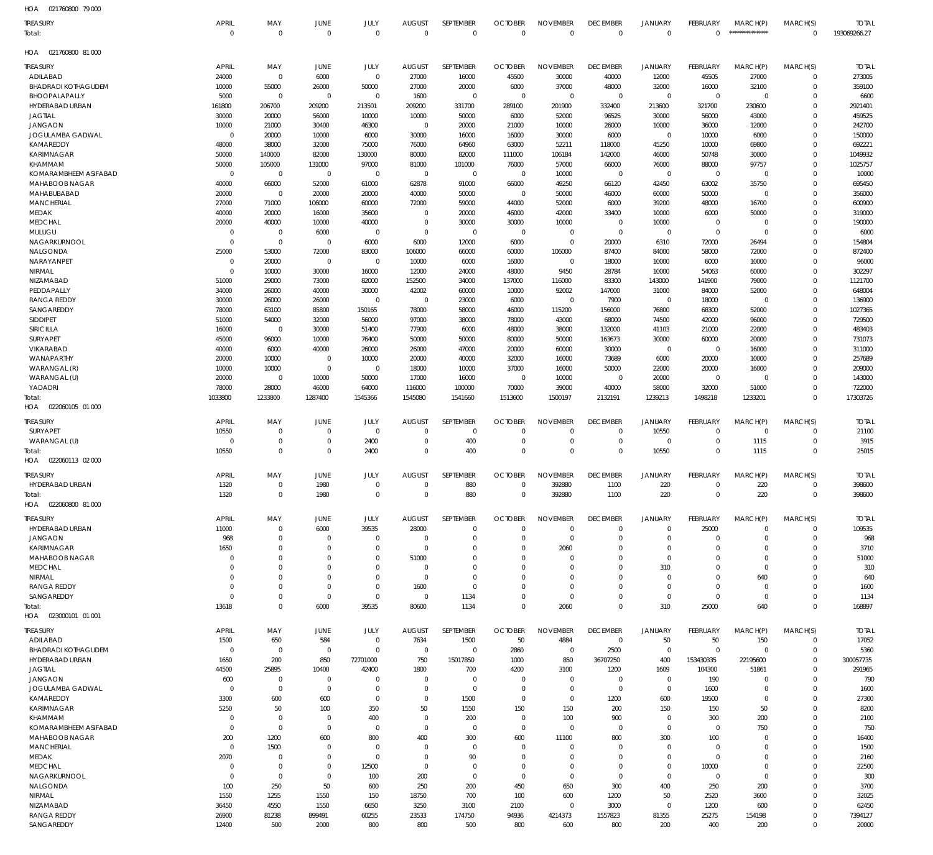| HOA<br>021760800 79 000           |                       |                            |                            |                      |                      |                                  |                      |                                  |                            |                                  |                         |                         |                            |                   |
|-----------------------------------|-----------------------|----------------------------|----------------------------|----------------------|----------------------|----------------------------------|----------------------|----------------------------------|----------------------------|----------------------------------|-------------------------|-------------------------|----------------------------|-------------------|
| TREASURY                          | <b>APRIL</b>          | MAY                        | JUNE                       | JULY                 | <b>AUGUST</b>        | SEPTEMBER                        | <b>OCTOBER</b>       | <b>NOVEMBER</b>                  | <b>DECEMBER</b>            | <b>JANUARY</b>                   | <b>FEBRUARY</b>         | MARCH(P)                | MARCH(S)                   | <b>TOTAL</b>      |
| Total:                            | $\mathbf 0$           | $\mathbf 0$                | $\mathbf 0$                | $\Omega$             | $\mathbf 0$          | $\mathbb O$                      | $\mathbf{0}$         | $\,0\,$                          | $\overline{0}$             | $\overline{0}$                   | $\mathbf{0}$            | *****************       | $\mathbf 0$                | 193069266.27      |
| HOA<br>021760800 81 000           |                       |                            |                            |                      |                      |                                  |                      |                                  |                            |                                  |                         |                         |                            |                   |
| TREASURY                          | <b>APRIL</b>          | MAY                        | JUNE                       | JULY                 | <b>AUGUST</b>        | SEPTEMBER                        | <b>OCTOBER</b>       | <b>NOVEMBER</b>                  | <b>DECEMBER</b>            | JANUARY                          | <b>FEBRUARY</b>         | MARCH(P)                | MARCH(S)                   | <b>TOTAL</b>      |
| ADILABAD                          | 24000                 | $\mathbf 0$                | 6000                       | $\mathbf 0$          | 27000                | 16000                            | 45500                | 30000                            | 40000                      | 12000                            | 45505                   | 27000                   | $\mathbf 0$                | 273005            |
| <b>BHADRADI KOTHAGUDEM</b>        | 10000                 | 55000                      | 26000                      | 50000                | 27000                | 20000                            | 6000                 | 37000                            | 48000                      | 32000                            | 16000                   | 32100                   | $\mathbf 0$                | 359100            |
| BHOOPALAPALLY                     | 5000                  | $\mathbf 0$                | $\overline{0}$             | $\mathbf 0$          | 1600                 | $\overline{0}$                   | $\overline{0}$       | $\mathbf 0$                      | $\overline{0}$             | $\overline{0}$                   | $\overline{0}$          | $\overline{0}$          | $\mathbf 0$                | 6600              |
| HYDERABAD URBAN                   | 161800                | 206700                     | 209200                     | 213501               | 209200               | 331700                           | 289100               | 201900                           | 332400                     | 213600                           | 321700                  | 230600                  | $\mathbf 0$                | 2921401           |
| <b>JAGTIAL</b>                    | 30000                 | 20000                      | 56000                      | 10000                | 10000                | 50000                            | 6000                 | 52000                            | 96525                      | 30000                            | 56000                   | 43000                   | $\mathbf 0$                | 459525            |
| <b>JANGAON</b>                    | 10000                 | 21000                      | 30400                      | 46300                | $\mathbf{0}$         | 20000                            | 21000                | 10000                            | 26000                      | 10000                            | 36000                   | 12000                   | $\mathbf 0$                | 242700            |
| JOGULAMBA GADWAL                  | $\mathbf{0}$          | 20000                      | 10000                      | 6000                 | 30000                | 16000                            | 16000                | 30000                            | 6000                       | $\overline{0}$                   | 10000                   | 6000                    | $\mathbf 0$                | 150000            |
| KAMAREDDY                         | 48000                 | 38000                      | 32000                      | 75000                | 76000                | 64960                            | 63000                | 52211                            | 118000                     | 45250                            | 10000                   | 69800                   | $\mathbf 0$                | 692221            |
| <b>KARIMNAGAR</b><br>KHAMMAM      | 50000                 | 140000                     | 82000                      | 130000               | 80000                | 82000                            | 111000               | 106184                           | 142000                     | 46000                            | 50748                   | 30000                   | $\mathbf 0$<br>$\mathbf 0$ | 1049932           |
| KOMARAMBHEEM ASIFABAD             | 50000<br>$\mathbf{0}$ | 105000<br>$\mathbf 0$      | 131000<br>$\overline{0}$   | 97000<br>$\mathbf 0$ | 81000<br>$\mathbf 0$ | 101000<br>$\overline{0}$         | 76000<br>$\mathbf 0$ | 57000<br>10000                   | 66000<br>$\mathbf 0$       | 76000<br>$\overline{0}$          | 88000<br>$\overline{0}$ | 97757<br>$\overline{0}$ | $\mathbf 0$                | 1025757<br>10000  |
| MAHABOOB NAGAR                    | 40000                 | 66000                      | 52000                      | 61000                | 62878                | 91000                            | 66000                | 49250                            | 66120                      | 42450                            | 63002                   | 35750                   | $\mathbf 0$                | 695450            |
| MAHABUBABAD                       | 20000                 | $\mathbf 0$                | 20000                      | 20000                | 40000                | 50000                            | $\overline{0}$       | 50000                            | 46000                      | 60000                            | 50000                   | $\overline{0}$          | $\mathbf 0$                | 356000            |
| <b>MANCHERIAL</b>                 | 27000                 | 71000                      | 106000                     | 60000                | 72000                | 59000                            | 44000                | 52000                            | 6000                       | 39200                            | 48000                   | 16700                   | $\mathbf 0$                | 600900            |
| MEDAK                             | 40000                 | 20000                      | 16000                      | 35600                | $\mathbf{0}$         | 20000                            | 46000                | 42000                            | 33400                      | 10000                            | 6000                    | 50000                   | $\mathbf 0$                | 319000            |
| MEDCHAL                           | 20000                 | 40000                      | 10000                      | 40000                | $\mathbf{0}$         | 30000                            | 30000                | 10000                            | $\mathbf{0}$               | 10000                            | $\mathbf 0$             | $\mathbf 0$             | $\mathbf 0$                | 190000            |
| MULUGU                            | $\mathbf 0$           | $\mathbf 0$                | 6000                       | $\mathbf{0}$         | $\mathbf{0}$         | $\overline{0}$                   | $\overline{0}$       | $\overline{0}$                   | $\mathbf 0$                | $\overline{0}$                   | $\mathbf 0$             | $\overline{0}$          | $\mathbf 0$                | 6000              |
| NAGARKURNOOL                      | $\mathsf{C}$          | $\mathbf 0$                | $\mathbf 0$                | 6000                 | 6000                 | 12000                            | 6000                 | $\overline{0}$                   | 20000                      | 6310                             | 72000                   | 26494                   | $\mathbf 0$                | 154804            |
| NALGONDA                          | 25000                 | 53000                      | 72000                      | 83000                | 106000               | 66000                            | 60000                | 106000                           | 87400                      | 84000                            | 58000                   | 72000                   | $\mathbf 0$                | 872400            |
| NARAYANPET                        | 0                     | 20000                      | $^{\circ}$                 | $\mathbf 0$          | 10000                | 6000                             | 16000                | $\overline{0}$                   | 18000                      | 10000                            | 6000                    | 10000                   | $\mathbf 0$                | 96000             |
| NIRMAL                            | $\mathbf 0$           | 10000                      | 30000                      | 16000                | 12000                | 24000                            | 48000                | 9450                             | 28784                      | 10000                            | 54063                   | 60000                   | $\mathbf 0$                | 302297            |
| NIZAMABAD<br>PEDDAPALLY           | 51000<br>34000        | 29000<br>26000             | 73000<br>40000             | 82000<br>30000       | 152500<br>42002      | 34000<br>60000                   | 137000<br>10000      | 116000<br>92002                  | 83300<br>147000            | 143000<br>31000                  | 141900<br>84000         | 79000<br>52000          | $\mathbf 0$<br>$\mathbf 0$ | 1121700<br>648004 |
| <b>RANGA REDDY</b>                | 30000                 | 26000                      | 26000                      | $\mathbf 0$          | $\mathbf{0}$         | 23000                            | 6000                 | $\mathbf 0$                      | 7900                       | $\overline{0}$                   | 18000                   | $\overline{0}$          | $\mathbf 0$                | 136900            |
| SANGAREDDY                        | 78000                 | 63100                      | 85800                      | 150165               | 78000                | 58000                            | 46000                | 115200                           | 156000                     | 76800                            | 68300                   | 52000                   | $\mathbf 0$                | 1027365           |
| SIDDIPET                          | 51000                 | 54000                      | 32000                      | 56000                | 97000                | 38000                            | 78000                | 43000                            | 68000                      | 74500                            | 42000                   | 96000                   | $\mathbf 0$                | 729500            |
| SIRICILLA                         | 16000                 | $\mathbf 0$                | 30000                      | 51400                | 77900                | 6000                             | 48000                | 38000                            | 132000                     | 41103                            | 21000                   | 22000                   | $\mathbf 0$                | 483403            |
| SURYAPET                          | 45000                 | 96000                      | 10000                      | 76400                | 50000                | 50000                            | 80000                | 50000                            | 163673                     | 30000                            | 60000                   | 20000                   | $\mathbf 0$                | 731073            |
| VIKARABAD                         | 40000                 | 6000                       | 40000                      | 26000                | 26000                | 47000                            | 20000                | 60000                            | 30000                      | $\overline{0}$                   | $\overline{0}$          | 16000                   | $\mathbf 0$                | 311000            |
| WANAPARTHY                        | 20000                 | 10000                      | $\overline{0}$             | 10000                | 20000                | 40000                            | 32000                | 16000                            | 73689                      | 6000                             | 20000                   | 10000                   | $\mathbf 0$                | 257689            |
| WARANGAL (R)                      | 10000                 | 10000                      | $^{\circ}$                 | $\mathbf 0$          | 18000                | 10000                            | 37000                | 16000                            | 50000                      | 22000                            | 20000                   | 16000                   | $\mathbf 0$                | 209000            |
| WARANGAL (U)                      | 20000                 | $\mathbf 0$                | 10000                      | 50000                | 17000                | 16000                            | $\overline{0}$       | 10000                            | $\overline{0}$             | 20000                            | $\overline{0}$          | $\overline{0}$          | $\mathbf 0$                | 143000            |
| YADADRI                           | 78000                 | 28000                      | 46000                      | 64000                | 116000               | 100000                           | 70000                | 39000                            | 40000                      | 58000                            | 32000                   | 51000                   | $\mathbf 0$                | 722000            |
| Total:                            | 1033800               | 1233800                    | 1287400                    | 1545366              | 1545080              | 1541660                          | 1513600              | 1500197                          | 2132191                    | 1239213                          | 1498218                 | 1233201                 | $\mathbf 0$                | 17303726          |
| 022060105 01 000<br>HOA           |                       |                            |                            |                      |                      |                                  |                      |                                  |                            |                                  |                         |                         |                            |                   |
| <b>TREASURY</b>                   | <b>APRIL</b>          | MAY                        | <b>JUNE</b>                | JULY                 | <b>AUGUST</b>        | SEPTEMBER                        | <b>OCTOBER</b>       | <b>NOVEMBER</b>                  | <b>DECEMBER</b>            | <b>JANUARY</b>                   | FEBRUARY                | MARCH(P)                | MARCH(S)                   | <b>TOTAL</b>      |
| SURYAPET                          | 10550                 | $\mathbf 0$                | $\mathbf 0$                | $\Omega$             | $\Omega$             | $\Omega$                         | $\Omega$             | $\overline{0}$                   | $\overline{0}$             | 10550                            | $\mathbf 0$             | $\overline{0}$          | $\mathbf 0$                | 21100             |
| WARANGAL (U)                      | $\mathbf{0}$          | $\mathbf 0$                | $\mathbf 0$                | 2400                 | $\mathbf{0}$         | 400                              | $\mathbf 0$          | $\overline{0}$                   | $\mathbf 0$                | $\overline{0}$                   | $\mathbf 0$             | 1115                    | $\mathbf 0$                | 3915              |
| Total:                            | 10550                 | $\mathbf 0$                | $\Omega$                   | 2400                 | $\Omega$             | 400                              | $\Omega$             | $\Omega$                         | $\mathbf 0$                | 10550                            | $\mathbf 0$             | 1115                    | $\mathbf 0$                | 25015             |
| HOA  022060113  02  000           |                       |                            |                            |                      |                      |                                  |                      |                                  |                            |                                  |                         |                         |                            |                   |
| TREASURY                          | <b>APRIL</b>          | MAY                        | JUNE                       | JULY                 | <b>AUGUST</b>        | SEPTEMBER                        | <b>OCTOBER</b>       | <b>NOVEMBER</b>                  | <b>DECEMBER</b>            | JANUARY                          | FEBRUARY                | MARCH(P)                | MARCH(S)                   | <b>TOTAL</b>      |
| <b>HYDERABAD URBAN</b>            | 1320                  | $\mathbf 0$                | 1980                       | $\Omega$             | $\Omega$             | 880                              | $\mathbf 0$          | 392880                           | 1100                       | 220                              | $\mathbf 0$             | 220                     | $\mathbf 0$                | 398600            |
| Total                             | 1320                  | $\mathbf 0$                | 1980                       | $\mathbf 0$          | $\mathbf 0$          | 880                              | $\mathbf 0$          | 392880                           | 1100                       | 220                              | $\mathbf 0$             | 220                     | $\mathbf 0$                | 398600            |
| HOA<br>022060800 81 000           |                       |                            |                            |                      |                      |                                  |                      |                                  |                            |                                  |                         |                         |                            |                   |
| TREASURY                          | <b>APRIL</b>          | MAY                        | JUNE                       | JULY                 | <b>AUGUST</b>        | SEPTEMBER                        | <b>OCTOBER</b>       | <b>NOVEMBER</b>                  | <b>DECEMBER</b>            | <b>JANUARY</b>                   | <b>FEBRUARY</b>         | MARCH(P)                | MARCH(S)                   | <b>TOTAL</b>      |
| <b>HYDERABAD URBAN</b>            | 11000                 | $\mathbf 0$                | 6000                       | 39535                | 28000                | $\overline{0}$                   | $\Omega$             | $\overline{0}$                   | $\overline{0}$             | $\overline{0}$                   | 25000                   | $\mathbf{0}$            | $\mathbf 0$                | 109535            |
| <b>JANGAON</b>                    | 968                   | $\mathbf 0$                | $\Omega$                   | $\Omega$             | 0                    | $\overline{0}$                   | $\Omega$             | $\overline{0}$                   | $\mathbf 0$                | $\overline{0}$                   | $\Omega$                | 0                       | $\mathbf 0$                | 968               |
| <b>KARIMNAGAR</b>                 | 1650                  | $\mathbf 0$                | $\Omega$                   | $\Omega$             | $\Omega$             | $\overline{0}$                   | $\Omega$             | 2060                             | $\mathbf 0$                | $\overline{0}$                   | $\Omega$                | $\Omega$                | $\mathbf 0$                | 3710              |
| MAHABOOB NAGAR                    | C                     | $\mathbf 0$                | $\Omega$                   | $\Omega$             | 51000                | $\overline{0}$                   | $\Omega$             | $\Omega$                         | $\mathbf 0$                | $\overline{0}$                   | O                       | $\Omega$                | $\mathbf 0$                | 51000             |
| <b>MEDCHAL</b>                    | $\Omega$              | $\mathbf 0$                | $\Omega$                   | $\Omega$             | $\Omega$             | $\Omega$                         | $\Omega$             | $\Omega$                         | $\Omega$                   | 310                              | $\Omega$                | $\Omega$                | $\mathbf 0$                | 310               |
| NIRMAL                            | $\Omega$              | $\mathbf 0$                | $\Omega$                   | $\Omega$             | $\Omega$             | $\Omega$                         | $\Omega$             | $\Omega$                         | $\mathbf 0$                | $\overline{0}$                   | $\Omega$                | 640                     | $\mathbf 0$                | 640               |
| <b>RANGA REDDY</b>                | 0                     | $\mathbf 0$                | $\Omega$                   | $\Omega$             | 1600                 | $\Omega$                         | $\Omega$             | $\overline{0}$                   | $\mathbf 0$                | $\overline{0}$                   | $\Omega$                | $\mathbf 0$             | $\mathbf 0$                | 1600              |
| SANGAREDDY                        | $\Omega$              | $\mathbf 0$                | $\Omega$                   | $\Omega$             | 0                    | 1134                             | $\Omega$<br>$\Omega$ | $\mathbf 0$                      | $\mathbf 0$<br>$\mathbf 0$ | $\overline{0}$                   | $\Omega$                | $\overline{0}$          | $\mathbf 0$<br>$\mathbf 0$ | 1134              |
| Total:<br>HOA  023000101  01  001 | 13618                 | $\mathbf 0$                | 6000                       | 39535                | 80600                | 1134                             |                      | 2060                             |                            | 310                              | 25000                   | 640                     |                            | 168897            |
|                                   |                       |                            |                            |                      |                      |                                  |                      |                                  |                            |                                  |                         |                         |                            |                   |
| TREASURY                          | <b>APRIL</b>          | MAY                        | JUNE                       | JULY                 | <b>AUGUST</b>        | SEPTEMBER                        | <b>OCTOBER</b>       | <b>NOVEMBER</b>                  | <b>DECEMBER</b>            | JANUARY                          | FEBRUARY                | MARCH(P)                | MARCH(S)                   | <b>TOTAL</b>      |
| ADILABAD                          | 1500                  | 650                        | 584                        | $\mathbf{0}$         | 7634                 | 1500                             | 50                   | 4884                             | $\overline{0}$             | 50                               | 50                      | 150                     | $\mathbf 0$                | 17052             |
| <b>BHADRADI KOTHAGUDEM</b>        | C                     | $\mathbf 0$                | $\overline{0}$             | $\Omega$             | 0                    | $\overline{0}$                   | 2860                 | $\overline{0}$                   | 2500                       | $\overline{0}$                   | $\mathbf 0$             | $\mathbf 0$             | $\mathbf 0$                | 5360              |
| HYDERABAD URBAN                   | 1650                  | 200                        | 850                        | 72701000             | 750                  | 15017850                         | 1000                 | 850                              | 36707250                   | 400                              | 153430335               | 22195600                | $\mathbf 0$                | 300057735         |
| JAGTIAL                           | 44500                 | 25895                      | 10400                      | 42400                | 1800                 | 700                              | 4200                 | 3100                             | 1200                       | 1609                             | 104300                  | 51861                   | $\mathbf 0$                | 291965            |
| <b>JANGAON</b>                    | 600<br>C              | $\mathbf 0$<br>$\mathbf 0$ | $\overline{0}$<br>$\Omega$ | $\Omega$<br>$\Omega$ | $\Omega$<br>$\Omega$ | $\overline{0}$<br>$\overline{0}$ | 0<br>$\overline{0}$  | $\overline{0}$<br>$\overline{0}$ | $\mathbf 0$<br>$\mathbf 0$ | $\overline{0}$<br>$\overline{0}$ | 190                     | 0<br>$\mathbf 0$        | $\mathbf 0$<br>$\mathbf 0$ | 790               |
| JOGULAMBA GADWAL<br>KAMAREDDY     | 3300                  | 600                        | 600                        | $\Omega$             | $\Omega$             | 1500                             | $\overline{0}$       | $\overline{0}$                   | 1200                       | 600                              | 1600<br>19500           | $\mathbf 0$             | $\mathbf 0$                | 1600<br>27300     |
| <b>KARIMNAGAR</b>                 | 5250                  | 50                         | 100                        | 350                  | 50                   | 1550                             | 150                  | 150                              | 200                        | 150                              | 150                     | 50                      | $\mathbf 0$                | 8200              |
| KHAMMAM                           | C                     | $\mathbf 0$                | $\Omega$                   | 400                  | $\Omega$             | 200                              | $\overline{0}$       | 100                              | 900                        | $\overline{0}$                   | 300                     | 200                     | $\mathbf 0$                | 2100              |
| KOMARAMBHEEM ASIFABAD             | $\mathbf 0$           | $\mathbf 0$                | $\mathbf 0$                | $\Omega$             | $\Omega$             | $\overline{0}$                   | $\overline{0}$       | $\overline{0}$                   | $\overline{0}$             | $\overline{0}$                   | $\mathbf 0$             | 750                     | $\mathbf 0$                | 750               |
| MAHABOOB NAGAR                    | 200                   | 1200                       | 600                        | 800                  | 400                  | 300                              | 600                  | 11100                            | 800                        | 300                              | 100                     | $\Omega$                | $\mathbf 0$                | 16400             |
| <b>MANCHERIAL</b>                 | $\mathbf 0$           | 1500                       | $\Omega$                   | $\Omega$             | 0                    | $\overline{0}$                   | $\overline{0}$       | $\overline{0}$                   | $\mathbf{0}$               | $\overline{0}$                   | $\Omega$                | $\Omega$                | $\mathbf 0$                | 1500              |
| MEDAK                             | 2070                  | $\mathbf 0$                | $\Omega$                   | $\Omega$             | $\Omega$             | 90                               | $\mathbf 0$          | $\overline{0}$                   | $\mathbf 0$                | $\overline{0}$                   | $\mathbf{0}$            | $\Omega$                | $\mathbf 0$                | 2160              |
| <b>MEDCHAL</b>                    | C                     | $\mathbf 0$                | $\Omega$                   | 12500                | $\Omega$             | $\overline{0}$                   | $\mathbf 0$          | $\overline{0}$                   | $\mathbf 0$                | $\overline{0}$                   | 10000                   | $\mathbf 0$             | $\mathbf 0$                | 22500             |
| NAGARKURNOOL                      | 0                     | $\mathbf 0$                | $\Omega$                   | 100                  | 200                  | $\overline{0}$                   | $\overline{0}$       | $\overline{0}$                   | $\mathbf 0$                | $\overline{0}$                   | $\mathbf 0$             | $\mathbf 0$             | $\mathbf 0$                | 300               |
| NALGONDA                          | 100                   | 250                        | 50                         | 600                  | 250                  | 200                              | 450                  | 650                              | 300                        | 400                              | 250                     | 200                     | $\mathbf 0$                | 3700              |
| NIRMAL                            | 1550                  | 1255                       | 1550                       | 150                  | 18750                | 700                              | 100                  | 600                              | 1200                       | 50                               | 2520                    | 3600                    | $\mathbf 0$                | 32025             |
| NIZAMABAD                         | 36450                 | 4550                       | 1550                       | 6650                 | 3250                 | 3100                             | 2100                 | $\Omega$                         | 3000                       | $\overline{0}$                   | 1200                    | 600                     | $\mathbf 0$                | 62450             |
| <b>RANGA REDDY</b>                | 26900                 | 81238                      | 899491                     | 60255                | 23533                | 174750                           | 94936                | 4214373                          | 1557823                    | 81355                            | 25275                   | 154198                  | $\mathbf 0$                | 7394127           |
| SANGAREDDY                        | 12400                 | 500                        | 2000                       | 800                  | 800                  | 500                              | 800                  | 600                              | 800                        | 200                              | 400                     | 200                     | $\mathbf 0$                | 20000             |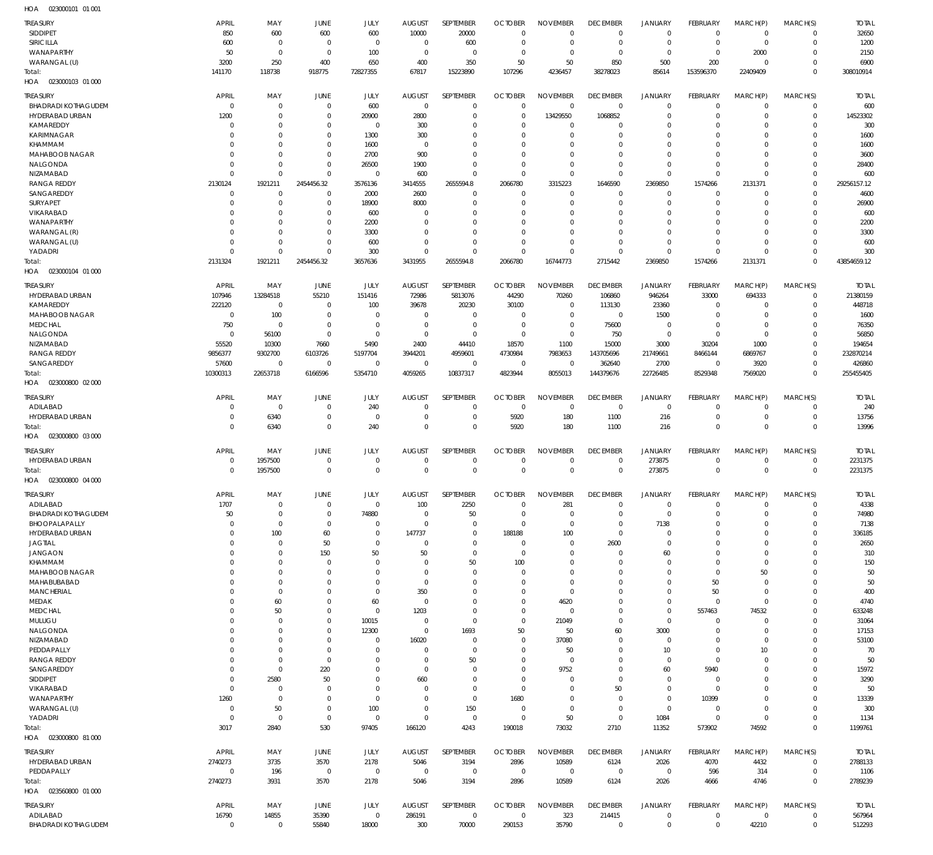| HOA<br>023000101 01 001           |                |                |                |                |               |                  |                |                 |                  |                     |                 |             |             |              |
|-----------------------------------|----------------|----------------|----------------|----------------|---------------|------------------|----------------|-----------------|------------------|---------------------|-----------------|-------------|-------------|--------------|
| <b>TREASURY</b>                   | <b>APRIL</b>   | MAY            | <b>JUNE</b>    | JULY           | <b>AUGUST</b> | <b>SEPTEMBER</b> | <b>OCTOBER</b> | <b>NOVEMBER</b> | <b>DECEMBER</b>  | <b>JANUARY</b>      | <b>FEBRUARY</b> | MARCH(P)    | MARCH(S)    | <b>TOTAL</b> |
| SIDDIPET                          | 850            | 600            | 600            | 600            | 10000         | 20000            | $\Omega$       | $\Omega$        | $\mathbf{0}$     | $\mathbf 0$         | $\Omega$        | $\mathbf 0$ | $\mathbf 0$ | 32650        |
| SIRICILLA                         | 600            | $\overline{0}$ | $\overline{0}$ | $\overline{0}$ | 0             | 600              | $\Omega$       | $\Omega$        | $\Omega$         | $\mathbf 0$         | $\mathbf 0$     | $^{\circ}$  | $\mathbf 0$ | 1200         |
| WANAPARTHY                        | 50             | $\overline{0}$ | $^{\circ}$     | 100            | $\mathbf{0}$  | $\overline{0}$   | $\Omega$       | $\Omega$        | $\Omega$         | $\Omega$            | $\Omega$        | 2000        | $\Omega$    | 2150         |
| WARANGAL (U)                      | 3200           | 250            | 400            | 650            | 400           | 350              | 50             | 50              | 850              | 500                 | 200             | $\Omega$    | $\Omega$    | 6900         |
| Total:                            | 141170         | 118738         | 918775         | 72827355       | 67817         | 15223890         | 107296         | 4236457         | 38278023         | 85614               | 153596370       | 22409409    | $\Omega$    | 308010914    |
| HOA  023000103  01  000           |                |                |                |                |               |                  |                |                 |                  |                     |                 |             |             |              |
|                                   |                |                |                |                |               |                  |                |                 |                  |                     |                 |             |             |              |
| <b>TREASURY</b>                   | <b>APRIL</b>   | MAY            | <b>JUNE</b>    | JULY           | <b>AUGUST</b> | SEPTEMBER        | <b>OCTOBER</b> | <b>NOVEMBER</b> | <b>DECEMBER</b>  | <b>JANUARY</b>      | FEBRUARY        | MARCH(P)    | MARCH(S)    | <b>TOTAL</b> |
| <b>BHADRADI KOTHAGUDEM</b>        | $\mathbf 0$    | $\overline{0}$ | $\overline{0}$ | 600            | $\mathbf{0}$  | $\mathbf{0}$     | $\Omega$       | $\Omega$        | $\mathbf 0$      | $\mathbf{0}$        | $\Omega$        | $\mathbf 0$ | $\mathbf 0$ | 600          |
| HYDERABAD URBAN                   | 1200           | $\overline{0}$ | $^{\circ}$     | 20900          | 2800          | $\mathbf{0}$     | $\Omega$       | 13429550        | 1068852          | $\mathbf{0}$        | $\Omega$        | $\Omega$    | $\mathbf 0$ | 14523302     |
| KAMAREDDY                         | 0              | $\overline{0}$ | $\overline{0}$ | $\overline{0}$ | 300           | $\mathbf{0}$     | $\Omega$       | $\Omega$        | - 0              | $\mathbf{0}$        | -0              | $\Omega$    | $\Omega$    | 300          |
| <b>KARIMNAGAR</b>                 | $\Omega$       | $\overline{0}$ | $^{\circ}$     | 1300           | 300           | $\Omega$         |                | $\Omega$        | $\Omega$         | $\Omega$            | $\Omega$        | $\Omega$    | $\Omega$    | 1600         |
| KHAMMAM                           | $\mathbf 0$    | $\overline{0}$ | $\mathbf 0$    | 1600           | $\mathbf{0}$  | $\Omega$         | $\Omega$       | $\Omega$        | $\Omega$         | $\Omega$            |                 | $\Omega$    | $\Omega$    | 1600         |
| MAHABOOB NAGAR                    | $\Omega$       | $\overline{0}$ | $\overline{0}$ | 2700           | 900           | $\Omega$         | $\Omega$       | $\Omega$        | $\Omega$         | $\Omega$            | $\Omega$        | $\Omega$    | $\Omega$    | 3600         |
| NALGONDA                          | $\mathbf 0$    | $\overline{0}$ | $\overline{0}$ | 26500          | 1900          | $\mathbf 0$      | $\Omega$       | $\Omega$        | $\Omega$         | $\Omega$            | $\Omega$        | $\Omega$    | $\Omega$    | 28400        |
| NIZAMABAD                         | $\mathbf 0$    | $\mathbf 0$    | $\mathbf 0$    | $^{\circ}$     | 600           | $\Omega$         | $\Omega$       | $\Omega$        | $\Omega$         | $\mathbf 0$         | $\Omega$        | $\Omega$    | $\Omega$    | 600          |
| <b>RANGA REDDY</b>                | 2130124        | 1921211        | 2454456.32     | 3576136        | 3414555       | 2655594.8        | 2066780        | 3315223         | 1646590          | 2369850             | 1574266         | 2131371     | $\mathbf 0$ | 29256157.12  |
| SANGAREDDY                        | $\mathbf 0$    | $\overline{0}$ | $\overline{0}$ | 2000           | 2600          | $\mathbf{0}$     | $\Omega$       | $\Omega$        | $\Omega$         | $\mathbf{0}$        | $\Omega$        | $\Omega$    | $\Omega$    | 4600         |
| SURYAPET                          | $\mathbf 0$    | $\overline{0}$ | $\mathbf 0$    | 18900          | 8000          | $\mathbf{0}$     | $\Omega$       | $\Omega$        | $\Omega$         | $\mathbf{0}$        | $\Omega$        | $\Omega$    | $\Omega$    | 26900        |
| VIKARABAD                         | $\Omega$       | $\overline{0}$ | $\overline{0}$ | 600            | $\Omega$      | $\Omega$         | $\Omega$       | $\Omega$        | $\Omega$         | $\Omega$            | $\Omega$        | $\Omega$    | $\Omega$    | 600          |
| WANAPARTHY                        | $\mathbf 0$    | $\overline{0}$ | $\overline{0}$ | 2200           | $\Omega$      | $\Omega$         | $\Omega$       | $\Omega$        | $\Omega$         | $\Omega$            | $\Omega$        | $\Omega$    | $\Omega$    | 2200         |
| WARANGAL (R)                      | $\Omega$       | $\overline{0}$ | $\overline{0}$ | 3300           | $\Omega$      | $\Omega$         | $\Omega$       | $\Omega$        | $\Omega$         | $\Omega$            | $\Omega$        | $\Omega$    | $\Omega$    | 3300         |
| WARANGAL (U)                      | $\mathbf 0$    | $\overline{0}$ | $\overline{0}$ | 600            | $\Omega$      | $\mathbf 0$      | $\Omega$       | $\Omega$        | $\Omega$         | $\mathbf{0}$        | $\Omega$        | $\Omega$    | $\Omega$    | 600          |
| YADADRI                           | $\mathbf 0$    | $\mathbf 0$    | $^{\circ}$     | 300            | $\Omega$      | $\Omega$         | $\Omega$       | $\Omega$        | $\Omega$         | $\Omega$            | $\Omega$        | $\Omega$    | $\Omega$    | 300          |
| Total:                            | 2131324        | 1921211        | 2454456.32     | 3657636        | 3431955       | 2655594.8        | 2066780        | 16744773        | 2715442          | 2369850             | 1574266         | 2131371     | $\Omega$    | 43854659.12  |
| 023000104 01 000<br>HOA           |                |                |                |                |               |                  |                |                 |                  |                     |                 |             |             |              |
|                                   |                |                |                |                |               |                  |                |                 |                  |                     |                 |             |             |              |
| <b>TREASURY</b>                   | <b>APRIL</b>   | MAY            | <b>JUNE</b>    | JULY           | <b>AUGUST</b> | SEPTEMBER        | <b>OCTOBER</b> | <b>NOVEMBER</b> | <b>DECEMBER</b>  | JANUARY             | FEBRUARY        | MARCH(P)    | MARCH(S)    | <b>TOTAL</b> |
| HYDERABAD URBAN                   | 107946         | 13284518       | 55210          | 151416         | 72986         | 5813076          | 44290          | 70260           | 106860           | 946264              | 33000           | 694333      | $^{\circ}$  | 21380159     |
| KAMAREDDY                         | 222120         | $\overline{0}$ | $\Omega$       | 100            | 39678         | 20230            | 30100          | $\Omega$        | 113130           | 23360               | $\Omega$        | $\Omega$    | $\mathbf 0$ | 448718       |
| MAHABOOB NAGAR                    | $\mathbf 0$    | 100            | $\overline{0}$ | $\overline{0}$ | $\mathbf{0}$  | 0                | $\Omega$       | $\mathbf 0$     | $\mathbf{0}$     | 1500                | $\Omega$        | $\Omega$    | $\Omega$    | 1600         |
| <b>MEDCHAL</b>                    | 750            | $\mathbf 0$    | $\Omega$       | $\overline{0}$ | $\mathbf{0}$  | $\mathbf{0}$     | $\Omega$       | $\mathbf 0$     | 75600            | $\mathbf 0$         | $\Omega$        | $\Omega$    | $\Omega$    | 76350        |
| NALGONDA                          | $\Omega$       | 56100          | $\Omega$       | $\Omega$       | $\Omega$      | $\Omega$         | $\Omega$       | $\Omega$        | 750              | $\mathbf 0$         | $\Omega$        | $\Omega$    | $\Omega$    | 56850        |
| NIZAMABAD                         | 55520          | 10300          | 7660           | 5490           | 2400          | 44410            | 18570          | 1100            | 15000            | 3000                | 30204           | 1000        | $\Omega$    | 194654       |
| <b>RANGA REDDY</b>                | 9856377        | 9302700        | 6103726        | 5197704        | 3944201       | 4959601          | 4730984        | 7983653         | 143705696        | 21749661            | 8466144         | 6869767     | $\Omega$    | 232870214    |
| SANGAREDDY                        | 57600          | $\overline{0}$ | $\overline{0}$ | $\overline{0}$ | 0             | 0                | $\overline{0}$ | $\Omega$        | 362640           | 2700                | $\mathbf 0$     | 3920        | $^{\circ}$  | 426860       |
| Total:                            | 10300313       | 22653718       | 6166596        | 5354710        | 4059265       | 10837317         | 4823944        | 8055013         | 144379676        | 22726485            | 8529348         | 7569020     | $\Omega$    | 255455405    |
| HOA 023000800 02 000              |                |                |                |                |               |                  |                |                 |                  |                     |                 |             |             |              |
| TREASURY                          | <b>APRIL</b>   | MAY            | JUNE           | JULY           | <b>AUGUST</b> | SEPTEMBER        | <b>OCTOBER</b> | <b>NOVEMBER</b> | <b>DECEMBER</b>  | JANUARY             | FEBRUARY        | MARCH(P)    | MARCH(S)    | <b>TOTAL</b> |
| ADILABAD                          | $\overline{0}$ | $\overline{0}$ | $\overline{0}$ | 240            | 0             | $\mathbf{0}$     | $\mathbf 0$    | $\Omega$        | $\mathbf{0}$     | $\mathbf 0$         | $\Omega$        | $\mathbf 0$ | $\mathbf 0$ | 240          |
| HYDERABAD URBAN                   | $\mathbf 0$    | 6340           | $^{\circ}$     | $\overline{0}$ | $\Omega$      | $\mathbf{0}$     | 5920           | 180             | 1100             | 216                 | $\Omega$        | $\mathbf 0$ | 0           | 13756        |
|                                   | $\mathbf 0$    |                |                | 240            | $\Omega$      | $\mathbf 0$      | 5920           | 180             |                  |                     | $\Omega$        | $\Omega$    | $\mathbf 0$ | 13996        |
| Total:                            |                | 6340           | $^{\circ}$     |                |               |                  |                |                 | 1100             | 216                 |                 |             |             |              |
| HOA  023000800  03 000            |                |                |                |                |               |                  |                |                 |                  |                     |                 |             |             |              |
| <b>TREASURY</b>                   | <b>APRIL</b>   | MAY            | <b>JUNE</b>    | JULY           | <b>AUGUST</b> | SEPTEMBER        | <b>OCTOBER</b> | <b>NOVEMBER</b> | <b>DECEMBER</b>  | <b>JANUARY</b>      | <b>FEBRUARY</b> | MARCH(P)    | MARCH(S)    | <b>TOTAL</b> |
| HYDERABAD URBAN                   | $\overline{0}$ | 1957500        | $\Omega$       | $\overline{0}$ | $\Omega$      | 0                | $\Omega$       | $\Omega$        | $\Omega$         | 273875              | $\Omega$        | $\Omega$    | $\Omega$    | 2231375      |
| Total:                            | $\Omega$       | 1957500        | $\mathbf 0$    | $\Omega$       | $\Omega$      | $\Omega$         | $\Omega$       | $\Omega$        | $\Omega$         | 273875              | $\Omega$        | $\Omega$    | $\Omega$    | 2231375      |
| HOA<br>023000800 04 000           |                |                |                |                |               |                  |                |                 |                  |                     |                 |             |             |              |
|                                   |                |                |                |                |               |                  |                |                 |                  |                     |                 |             |             |              |
| <b>TREASURY</b>                   | APRIL          | MAY            | JUNE           | JULY           | <b>AUGUST</b> | SEPTEMBER        | <b>OCTOBER</b> | <b>NOVEMBER</b> | <b>DECEMBER</b>  | <b>JANUARY</b>      | <b>FEBRUARY</b> | MARCH(P)    | MARCH(S)    | <b>TOTAL</b> |
| ADILABAD                          | 1707           | $\mathbf 0$    | $\overline{0}$ | $\overline{0}$ | 100           | 2250             | $\Omega$       | 281             | $\Omega$         | $\mathbf 0$         | $\Omega$        | $\Omega$    | $\Omega$    | 4338         |
| <b>BHADRADI KOTHAGUDEM</b>        | 50             | $\mathbf 0$    | $\overline{0}$ | 74880          | 0             | 50               | $\Omega$       | $\Omega$        | $\mathbf{0}$     | $\mathbf 0$         | $\Omega$        | $\mathbf 0$ | $\mathbf 0$ | 74980        |
| BHOOPALAPALLY                     | $\overline{0}$ | $\mathbf 0$    | $\overline{0}$ | $\overline{0}$ | $\Omega$      | $\mathbf 0$      | $\Omega$       | $\mathbf 0$     | $\Omega$         | 7138                |                 | $\Omega$    | $\Omega$    | 7138         |
| HYDERABAD URBAN                   | $\mathbf 0$    | 100            | 60             | $\overline{0}$ | 147737        | $\mathbf{0}$     | 188188         | 100             | $\Omega$         | $\mathbf 0$         |                 | $\Omega$    | $\Omega$    | 336185       |
| <b>JAGTIAL</b>                    | $\mathbf{0}$   | $\overline{0}$ | 50             | $\overline{0}$ | $\Omega$      | $\mathbf 0$      | $\Omega$       | $\Omega$        | 2600             | $\mathbf{0}$        |                 | $\Omega$    | $\Omega$    | 2650         |
| <b>JANGAON</b>                    | $\mathbf 0$    | $\overline{0}$ | 150            | 50             | 50            | $\mathbf 0$      | $\Omega$       | $\Omega$        | $\Omega$         | 60                  |                 | $\Omega$    | $\Omega$    | 310          |
| KHAMMAM                           | $\Omega$       | $\overline{0}$ | $\Omega$       | $\Omega$       | $\Omega$      | 50               | 100            | $\Omega$        | $\Omega$         | $\Omega$            |                 | $\Omega$    | $\Omega$    | 150          |
| MAHABOOB NAGAR                    | $\Omega$       | $\overline{0}$ | $\Omega$       | $\Omega$       | $\Omega$      | $\mathbf{0}$     | $\Omega$       | $\Omega$        | $\Omega$         | $\Omega$            | $\Omega$        | 50          | $\Omega$    | 50           |
| MAHABUBABAD                       | $\Omega$       | $\overline{0}$ | $\Omega$       | $\Omega$       | $\Omega$      | $\Omega$         | $\Omega$       | $\Omega$        | $\Omega$         | $\Omega$            | 50              | $\Omega$    | $\Omega$    | 50           |
| <b>MANCHERIAL</b>                 | $\Omega$       | $\overline{0}$ | $\Omega$       | $\overline{0}$ | 350           | $\mathbf{0}$     | $\Omega$       | $\Omega$        | $\Omega$         | $\mathbf{0}$        | 50              | $\Omega$    | $\Omega$    | 400          |
| MEDAK                             | $\Omega$       | 60             | $\Omega$       | 60             | 0             | $\Omega$         | $\Omega$       | 4620            | $\Omega$         | $\mathbf{0}$        | $\overline{0}$  | $\mathbf 0$ | $\Omega$    | 4740         |
| <b>MEDCHAL</b>                    | $\Omega$       | 50             | $\Omega$       | $\overline{0}$ | 1203          | $\mathbf 0$      | $\Omega$       | $\Omega$        | $\Omega$         | $\mathbf{0}$        | 557463          | 74532       | $\Omega$    | 633248       |
| MULUGU                            | 0              | $\overline{0}$ | $\Omega$       | 10015          | $\Omega$      | $\mathbf 0$      | $\Omega$       | 21049           | $\Omega$         | $\mathbf{0}$        | $\Omega$        | $\Omega$    | $\Omega$    | 31064        |
| NALGONDA                          | $\Omega$       | $\overline{0}$ | $\mathbf 0$    | 12300          | $\mathbf 0$   | 1693             | 50             | 50              | 60               | 3000                | $\Omega$        | $\mathbf 0$ | $\Omega$    | 17153        |
| NIZAMABAD                         | 0              | $\overline{0}$ | $\Omega$       | $^{\circ}$     | 16020         | $\mathbf{0}$     | $\Omega$       | 37080           | $\Omega$         | $\mathbf{0}$        | $\Omega$        | $\Omega$    | $\Omega$    | 53100        |
| PEDDAPALLY                        | $\Omega$       | $\overline{0}$ | $\Omega$       | $\Omega$       | $\Omega$      | $\mathbf{0}$     | $\Omega$       | 50              | $\Omega$         | 10                  | $\Omega$        | 10          | $\Omega$    | 70           |
| <b>RANGA REDDY</b>                | $\Omega$       | $\overline{0}$ | $\Omega$       | $\Omega$       | $\Omega$      | 50               | $\Omega$       | $\overline{0}$  | $\Omega$         | $\mathbf{0}$        | $\Omega$        | $\Omega$    | $\Omega$    | 50           |
| SANGAREDDY                        | $\mathbf 0$    | $\overline{0}$ | 220            | $\Omega$       | $\Omega$      | $\mathbf{0}$     | $\Omega$       | 9752            | $\Omega$         | 60                  | 5940            | $\Omega$    | $\Omega$    | 15972        |
| <b>SIDDIPET</b>                   | $\mathbf{0}$   | 2580           | 50             | $\Omega$       | 660           | $\mathbf{0}$     | $\Omega$       | $\Omega$        | $\Omega$         | $\mathbf{0}$        | $\Omega$        | $\Omega$    | $\Omega$    | 3290         |
| VIKARABAD                         | $\mathbf 0$    | $\overline{0}$ | - 0            | $\Omega$       | $\Omega$      | $\mathbf{0}$     | $\Omega$       | $\Omega$        | 50               | $\mathbf{0}$        | $\Omega$        | $\Omega$    | $\Omega$    | 50           |
| WANAPARTHY                        | 1260           | $\mathbf 0$    | $\Omega$       | $\Omega$       | $\Omega$      | $\mathbf 0$      | 1680           | $\Omega$        | $\Omega$         | $\mathbf 0$         | 10399           | $\Omega$    | $\Omega$    | 13339        |
| WARANGAL (U)                      | $\mathbf 0$    | 50             | $\overline{0}$ | 100            | $\Omega$      | 150              | $\Omega$       | $\Omega$        | $\Omega$         | $\mathbf 0$         | $\mathbf 0$     | $\mathbf 0$ | $\Omega$    | 300          |
| YADADRI                           | $\mathbf 0$    | $\overline{0}$ | $\overline{0}$ | $\overline{0}$ | $\Omega$      | $\mathbf{0}$     | $\mathbf 0$    | 50              | $\mathbf{0}$     | 1084                | $\overline{0}$  | $\mathbf 0$ | $\Omega$    | 1134         |
| Total:                            | 3017           | 2840           | 530            | 97405          | 166120        | 4243             | 190018         | 73032           | 2710             | 11352               | 573902          | 74592       | $\Omega$    | 1199761      |
| HOA  023000800  81  000           |                |                |                |                |               |                  |                |                 |                  |                     |                 |             |             |              |
| <b>TREASURY</b>                   | <b>APRIL</b>   | MAY            | <b>JUNE</b>    | JULY           | <b>AUGUST</b> | SEPTEMBER        | <b>OCTOBER</b> | <b>NOVEMBER</b> | <b>DECEMBER</b>  | <b>JANUARY</b>      | FEBRUARY        | MARCH(P)    | MARCH(S)    | <b>TOTAL</b> |
| HYDERABAD URBAN                   | 2740273        | 3735           | 3570           | 2178           | 5046          | 3194             | 2896           | 10589           |                  |                     | 4070            | 4432        | $^{\circ}$  | 2788133      |
| PEDDAPALLY                        | $\mathbf 0$    | 196            | $\mathbf 0$    | $\overline{0}$ | 0             | $\mathbf{0}$     | $\mathbf 0$    | $\Omega$        | 6124<br>$\Omega$ | 2026<br>$\mathbf 0$ | 596             | 314         | $\mathbf 0$ | 1106         |
|                                   | 2740273        | 3931           | 3570           | 2178           | 5046          | 3194             | 2896           | 10589           | 6124             | 2026                | 4666            | 4746        | $\Omega$    | 2789239      |
| Total:<br>HOA  023560800  01  000 |                |                |                |                |               |                  |                |                 |                  |                     |                 |             |             |              |
|                                   |                |                |                |                |               |                  |                |                 |                  |                     |                 |             |             |              |
| <b>TREASURY</b>                   | <b>APRIL</b>   | MAY            | <b>JUNE</b>    | JULY           | <b>AUGUST</b> | SEPTEMBER        | <b>OCTOBER</b> | <b>NOVEMBER</b> | <b>DECEMBER</b>  | <b>JANUARY</b>      | <b>FEBRUARY</b> | MARCH(P)    | MARCH(S)    | <b>TOTAL</b> |
| ADILABAD                          | 16790          | 14855          | 35390          | $\mathbf 0$    | 286191        | $\mathbf{0}$     | $\mathbf 0$    | 323             | 214415           | $\mathbf 0$         | $\mathbf 0$     | $\mathbf 0$ | $\mathbf 0$ | 567964       |
|                                   | $\overline{0}$ | $\mathbf 0$    | 55840          | 18000          | 300           | 70000            | 290153         | 35790           | $\mathbf{0}$     | $\mathbf 0$         | $\mathbf 0$     | 42210       | $^{\circ}$  | 512293       |
| <b>BHADRADI KOTHAGUDEM</b>        |                |                |                |                |               |                  |                |                 |                  |                     |                 |             |             |              |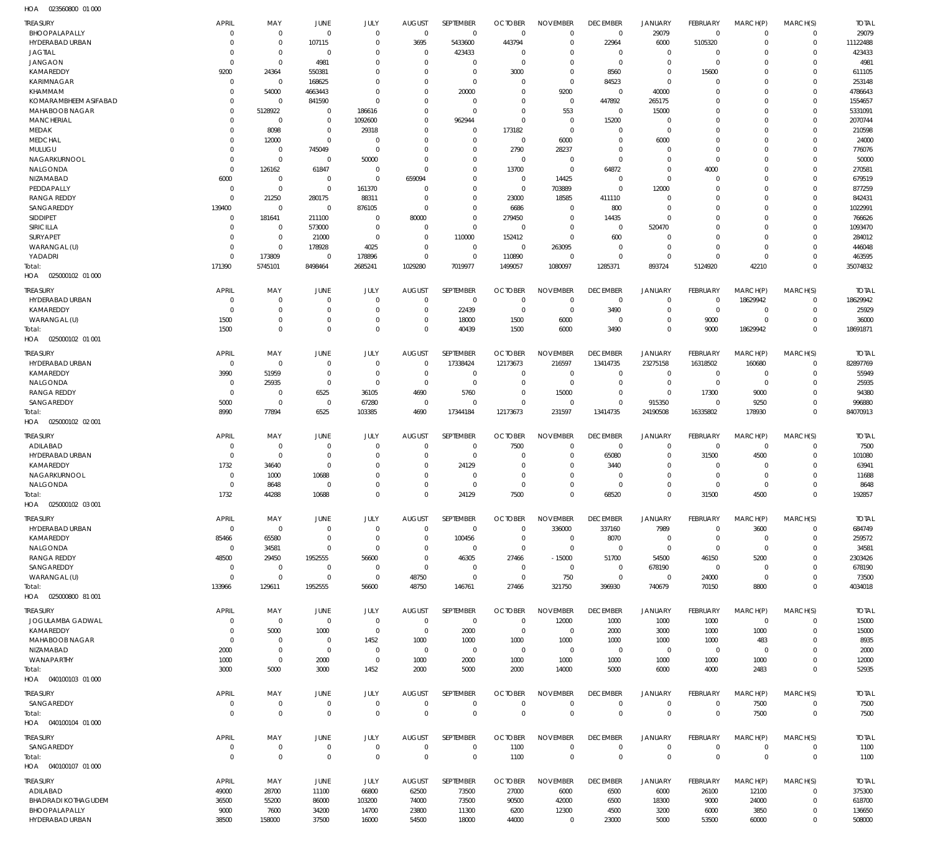| TREASURY                   | APRIL          | MAY                 | JUNE           | JULY                | <b>AUGUST</b>  | SEPTEMBER        | <b>OCTOBER</b> | <b>NOVEMBER</b> | <b>DECEMBER</b> | <b>JANUARY</b> | <b>FEBRUARY</b> | MARCH(P)       | MARCH(S)     | TOTAL          |
|----------------------------|----------------|---------------------|----------------|---------------------|----------------|------------------|----------------|-----------------|-----------------|----------------|-----------------|----------------|--------------|----------------|
| BHOOPALAPALLY              | $\Omega$       | $\mathbf 0$         | $\overline{0}$ | $\mathbf 0$         | $\overline{0}$ | $\mathbf 0$      | $\overline{0}$ | $\mathbf 0$     | $\mathbf 0$     | 29079          | $\overline{0}$  | $\Omega$       | $\Omega$     | 29079          |
| HYDERABAD URBAN            | $\Omega$       | $\mathbf 0$         | 107115         | $\mathbf 0$         | 3695           | 5433600          | 443794         | $\mathbf 0$     | 22964           | 6000           | 5105320         | $\Omega$       | $\Omega$     | 11122488       |
| <b>JAGTIAL</b>             | C              | $\mathbf 0$         | $\overline{0}$ | $\Omega$            | $\overline{0}$ | 423433           | - 0            | $\mathbf 0$     | $\Omega$        | $\mathbf 0$    | $\Omega$        | $\Omega$       | $\Omega$     | 423433         |
| <b>JANGAON</b>             | $\Omega$       | $\mathbf 0$         | 4981           | $\Omega$            | $\Omega$       | $\mathbf 0$      | $\Omega$       | $\Omega$        | $\Omega$        | $\mathbf 0$    | $\Omega$        | $\Omega$       | $\Omega$     | 4981           |
| KAMAREDDY                  | 9200           | 24364               | 550381         | $\Omega$            | $\Omega$       | $\mathbf 0$      | 3000           | $\mathbf 0$     | 8560            | $\mathbf 0$    | 15600           | $\Omega$       | $\Omega$     | 611105         |
| KARIMNAGAR                 | $\Omega$       | $\mathbf 0$         | 168625         | $\Omega$            | $\Omega$       | $\mathbf 0$      | $\Omega$       | $\mathbf 0$     | 84523           | $\Omega$       | $\Omega$        | $\Omega$       | $\Omega$     | 253148         |
| KHAMMAM                    | C              | 54000               | 4663443        | $\Omega$            | $\Omega$       | 20000            | $\overline{0}$ | 9200            | $\overline{0}$  | 40000          | $\Omega$        | $\Omega$       | $\Omega$     | 4786643        |
| KOMARAMBHEEM ASIFABAD      | C              | $\mathbf 0$         | 841590         | $\Omega$            | $\Omega$       | $\mathbf 0$      | $\Omega$       | $\mathbf 0$     | 447892          | 265175         | $\Omega$        | $\Omega$       | $\Omega$     | 1554657        |
| MAHABOOB NAGAR             | $\Omega$       | 5128922             | $\Omega$       | 186616              | $\Omega$       | $\mathbf 0$      | $\Omega$       | 553             | $\mathbf 0$     | 15000          | $\mathcal{L}$   | $\Omega$       | $\Omega$     | 5331091        |
| <b>MANCHERIAL</b>          | $\Omega$       | $\mathbf 0$         | $\mathbf 0$    | 1092600             | $\Omega$       | 962944           | $\overline{0}$ | $\mathbf 0$     | 15200           | $\mathbf 0$    | $\mathcal{L}$   | $\Omega$       | $\Omega$     | 2070744        |
| MEDAK                      | $\Omega$       | 8098                | $\Omega$       | 29318               | $\Omega$       | $\mathbf 0$      | 173182         | $\overline{0}$  | $\Omega$        | $\mathbf 0$    | $\sqrt{ }$      | $\Omega$       | $\Omega$     | 210598         |
| <b>MEDCHAL</b>             | $\Omega$       | 12000               | $\Omega$       | $\mathbf 0$         | $\Omega$       | $\Omega$         | $\overline{0}$ | 6000            | $\Omega$        | 6000           | $\mathcal{L}$   | $\Omega$       | $\Omega$     | 24000          |
| MULUGU                     | $\Omega$       | $\mathbf 0$         | 745049         | $\mathbf 0$         | $\Omega$       | $\mathbf 0$      | 2790           | 28237           | 0               | $\mathbf 0$    | $\Omega$        | $\Omega$       | $\Omega$     | 776076         |
| NAGARKURNOOL               | $\Omega$       | $\mathbf 0$         | $\mathbf 0$    | 50000               | $\Omega$       | $\Omega$         | $\overline{0}$ | $\mathbf 0$     | $\Omega$        | $\Omega$       | $\Omega$        | $\Omega$       | $\Omega$     | 50000          |
| NALGONDA                   | $\overline{0}$ | 126162              | 61847          | $\mathbf 0$         | $\Omega$       | $\mathbf 0$      | 13700          | $\mathbf 0$     | 64872           | $\mathbf 0$    | 4000            | $\Omega$       | $\Omega$     | 270581         |
| NIZAMABAD                  | 6000           | $\mathbf 0$         | $\mathbf 0$    | $\mathbf 0$         | 659094         | $\Omega$         | $\overline{0}$ | 14425           | $\overline{0}$  | $\Omega$       | $\Omega$        | $\Omega$       | $\Omega$     | 679519         |
| PEDDAPALLY                 | $\overline{0}$ | $\mathbf 0$         | $\mathbf 0$    | 161370              | $\Omega$       | $\mathbf 0$      | $\Omega$       | 703889          | $\Omega$        | 12000          | $\mathcal{L}$   | $\Omega$       | $\Omega$     | 877259         |
| RANGA REDDY                | $\Omega$       | 21250               | 280175         | 88311               | $\Omega$       | $\mathbf 0$      | 23000          | 18585           | 411110          | $\mathbf 0$    | $\mathcal{L}$   | $\Omega$       | $\Omega$     | 842431         |
| SANGAREDDY                 | 139400         | $\mathbf 0$         | $\mathbf 0$    | 876105              | $\Omega$       | $\mathbf 0$      | 6686           | $\mathbf 0$     | 800             | $\mathbf{0}$   | $\sqrt{ }$      | $\Omega$       | $\Omega$     | 1022991        |
| <b>SIDDIPET</b>            | $\mathbf{0}$   | 181641              | 211100         | $\mathbf 0$         | 80000          | $\mathbf 0$      | 279450         | $\mathbf 0$     | 14435           | $\mathbf 0$    | $\sqrt{ }$      | $\Omega$       | $\Omega$     | 766626         |
| SIRICILLA                  | $\Omega$       | $\mathbf 0$         | 573000         | $\mathbf 0$         | $\Omega$       | $\mathbf 0$      | $\overline{0}$ | $\mathbf 0$     | $\overline{0}$  | 520470         | $\sqrt{ }$      | $\Omega$       | $\Omega$     | 1093470        |
| SURYAPET                   | $\Omega$       | $\mathbf 0$         | 21000          | $\mathbf 0$         | $\Omega$       | 110000           | 152412         | $\mathbf 0$     | 600             | $\mathbf{0}$   | $\mathcal{L}$   | $\Omega$       | $\Omega$     | 284012         |
| WARANGAL (U)               | $\Omega$       | $\mathbf 0$         | 178928         | 4025                | $^{\circ}$     | $\mathbf 0$      | $\overline{0}$ | 263095          | $\overline{0}$  | $\mathbf 0$    | $\Omega$        | $\Omega$       | $\Omega$     | 446048         |
| YADADRI                    | $\Omega$       | 173809              | $\Omega$       | 178896              | $\Omega$       | $\mathbf 0$      | 110890         | $\mathbf 0$     | $\Omega$        | $\Omega$       | $\Omega$        | $\Omega$       | $\Omega$     | 463595         |
| Total:                     | 171390         | 5745101             | 8498464        | 2685241             | 1029280        | 7019977          | 1499057        | 1080097         | 1285371         | 893724         | 5124920         | 42210          | $\Omega$     | 35074832       |
| HOA<br>025000102 01 000    |                |                     |                |                     |                |                  |                |                 |                 |                |                 |                |              |                |
|                            |                |                     |                |                     |                |                  |                |                 |                 |                |                 |                |              |                |
| TREASURY                   | APRIL          | MAY                 | JUNE           | JULY                | <b>AUGUST</b>  | <b>SEPTEMBER</b> | <b>OCTOBER</b> | <b>NOVEMBER</b> | <b>DECEMBER</b> | <b>JANUARY</b> | <b>FEBRUARY</b> | MARCH(P)       | MARCH(S)     | <b>TOTAL</b>   |
| HYDERABAD URBAN            | $\Omega$       | $\mathbf{0}$        | $\Omega$       | 0                   | $\Omega$       | $\mathbf 0$      | $\overline{0}$ | $^{\circ}$      | $^{\circ}$      | $^{\circ}$     | $^{\circ}$      | 18629942       | $\Omega$     | 18629942       |
| KAMAREDDY                  | C              | $\mathbf 0$         | $\Omega$       | $\Omega$            | $\Omega$       | 22439            | $\Omega$       | $\Omega$        | 3490            | $\mathbf{0}$   | $\Omega$        | $\Omega$       | $\Omega$     | 25929          |
| WARANGAL (U)               | 1500           | $\mathbf 0$         | $\Omega$       | $\Omega$            | $\Omega$       | 18000            | 1500           | 6000            | $\Omega$        | $\mathbf 0$    | 9000            | $\Omega$       | $\Omega$     | 36000          |
| Total:                     | 1500           | $\mathbf 0$         | $\Omega$       | $\Omega$            | $\Omega$       | 40439            | 1500           | 6000            | 3490            | $\mathbf 0$    | 9000            | 18629942       | $\Omega$     | 18691871       |
| HOA  025000102  01 001     |                |                     |                |                     |                |                  |                |                 |                 |                |                 |                |              |                |
| <b>TREASURY</b>            | APRIL          | MAY                 | JUNE           | JULY                | <b>AUGUST</b>  | SEPTEMBER        | <b>OCTOBER</b> | <b>NOVEMBER</b> | <b>DECEMBER</b> | JANUARY        | FEBRUARY        | MARCH(P)       | MARCH(S)     | total          |
| HYDERABAD URBAN            | $\overline{0}$ | $\mathbf 0$         | $\mathbf 0$    | $\mathbf 0$         | $^{\circ}$     | 17338424         | 12173673       | 216597          | 13414735        | 23275158       | 16318502        | 160680         | $\Omega$     | 82897769       |
| KAMAREDDY                  | 3990           | 51959               | $\mathbf 0$    | $\mathbf 0$         | $\Omega$       | $\mathbf 0$      | $^{\circ}$     | $^{\circ}$      | $^{\circ}$      | $\mathbf 0$    | $\Omega$        | $\mathbf 0$    | $\Omega$     | 55949          |
| NALGONDA                   | $\Omega$       | 25935               | $\mathbf 0$    | $\mathbf 0$         | $^{\circ}$     | $\mathbf 0$      | $\Omega$       | $\mathbf 0$     | $^{\circ}$      | $\mathbf 0$    | $\Omega$        | $\mathbf{0}$   | $\Omega$     | 25935          |
| <b>RANGA REDDY</b>         | $\Omega$       |                     |                |                     |                | 5760             | $^{\circ}$     |                 | $\Omega$        | $\mathbf 0$    |                 |                | $\Omega$     |                |
|                            |                | $\mathbf 0$         | 6525           | 36105               | 4690           |                  |                | 15000           |                 |                | 17300           | 9000           |              | 94380          |
| SANGAREDDY                 | 5000           | $\mathbf 0$         | $\mathbf 0$    | 67280               | $^{\circ}$     | $^{\circ}$       | $\Omega$       | $\mathbf 0$     | $\mathbf 0$     | 915350         | $^{\circ}$      | 9250           | $\Omega$     | 996880         |
| Total:                     | 8990           | 77894               | 6525           | 103385              | 4690           | 17344184         | 12173673       | 231597          | 13414735        | 24190508       | 16335802        | 178930         | $\Omega$     | 84070913       |
| HOA  025000102  02  001    |                |                     |                |                     |                |                  |                |                 |                 |                |                 |                |              |                |
| TREASURY                   | APRIL          | MAY                 | JUNE           | JULY                | <b>AUGUST</b>  | SEPTEMBER        | <b>OCTOBER</b> | <b>NOVEMBER</b> | <b>DECEMBER</b> | <b>JANUARY</b> | FEBRUARY        | MARCH(P)       | MARCH(S)     | <b>TOTAL</b>   |
| ADILABAD                   | $\Omega$       | $\mathbf 0$         | $\Omega$       | $\Omega$            | $\Omega$       | $\mathbf 0$      | 7500           | $\mathbf 0$     | $^{\circ}$      | $\mathbf 0$    | $^{\circ}$      | $\Omega$       | $\Omega$     | 7500           |
| HYDERABAD URBAN            | C              | $\mathbf{0}$        | $\Omega$       | $\Omega$            | $\Omega$       | $^{\circ}$       | $\Omega$       | $\Omega$        | 65080           | $\mathbf 0$    | 31500           | 4500           | $\Omega$     | 101080         |
| KAMAREDDY                  | 1732           | 34640               | $\Omega$       | $\Omega$            | $\Omega$       | 24129            | $\Omega$       | $\Omega$        | 3440            | $\Omega$       | $\Omega$        | $\Omega$       | $\Omega$     | 63941          |
| NAGARKURNOOL               | $\Omega$       | 1000                | 10688          | $\Omega$            | $\Omega$       | $\Omega$         | $\Omega$       | $\Omega$        | $\mathcal{L}$   | $\Omega$       | $\Omega$        | $\Omega$       | $\Omega$     | 11688          |
| NALGONDA                   | $\Omega$       | 8648                | $\Omega$       | $\Omega$            | $\Omega$       | $\Omega$         | $\Omega$       | $\Omega$        | $\Omega$        | $\Omega$       | $\Omega$        | $\Omega$       | $\Omega$     | 8648           |
| Total:                     | 1732           | 44288               | 10688          | $\Omega$            | $\Omega$       | 24129            | 7500           | $\Omega$        | 68520           | $\Omega$       | 31500           | 4500           | $\Omega$     | 192857         |
| HOA  025000102  03  001    |                |                     |                |                     |                |                  |                |                 |                 |                |                 |                |              |                |
|                            |                |                     |                |                     |                |                  |                |                 |                 |                |                 |                |              |                |
| <b>TREASURY</b>            | APRIL          | MAY                 | JUNE           | JULY                | <b>AUGUST</b>  | SEPTEMBER        | <b>OCTOBER</b> | <b>NOVEMBER</b> | <b>DECEMBER</b> | JANUARY        | <b>FEBRUARY</b> | MARCH(P)       | MARCH(S)     | <b>TOTAL</b>   |
| HYDERABAD URBAN            | $\mathbf{0}$   | $\mathbf 0$         | $\mathbf 0$    | $\mathbf 0$         | $^{\circ}$     | $\mathbf 0$      | $\mathbf 0$    | 336000          | 337160          | 7989           | $\mathbf 0$     | 3600           | $\mathbf 0$  | 684749         |
| KAMAREDDY                  | 85466          | 65580               | $\mathbf 0$    | $\mathbf 0$         | 0              | 100456           | $^{\circ}$     | $\mathbf 0$     | 8070            | $\mathbf 0$    | $\Omega$        | $\overline{0}$ | $\Omega$     | 259572         |
| NALGONDA                   | $\mathbf{0}$   | 34581               | $\mathbf 0$    | $\mathbf 0$         | $\Omega$       | $\mathbf 0$      | $\overline{0}$ | $\mathbf 0$     | $\overline{0}$  | $\mathbf 0$    | $\overline{0}$  | $\Omega$       | $\Omega$     | 34581          |
| <b>RANGA REDDY</b>         | 48500          | 29450               | 1952555        | 56600               | $^{\circ}$     | 46305            | 27466          | $-15000$        | 51700           | 54500          | 46150           | 5200           | $\Omega$     | 2303426        |
| SANGAREDDY                 | $\Omega$       | $\mathbf 0$         | $\mathbf 0$    | $\mathbf 0$         | $\overline{0}$ | $\mathbf 0$      | $\overline{0}$ | $\mathbf 0$     | $\mathbf 0$     | 678190         | $\overline{0}$  | $\Omega$       | $\Omega$     | 678190         |
| WARANGAL (U)               | $\Omega$       | $\mathbf 0$         | $\mathbf 0$    | $\mathbf 0$         | 48750          | $\mathbf 0$      | $\overline{0}$ | 750             | $\overline{0}$  | $\mathbf 0$    | 24000           | $\mathbf{0}$   | $\Omega$     | 73500          |
| Total:                     | 133966         | 129611              | 1952555        | 56600               | 48750          | 146761           | 27466          | 321750          | 396930          | 740679         | 70150           | 8800           | $\Omega$     | 4034018        |
| HOA  025000800  81  001    |                |                     |                |                     |                |                  |                |                 |                 |                |                 |                |              |                |
| TREASURY                   | <b>APRIL</b>   | MAY                 | JUNE           | JULY                | <b>AUGUST</b>  | SEPTEMBER        | <b>OCTOBER</b> | <b>NOVEMBER</b> | <b>DECEMBER</b> | <b>JANUARY</b> | <b>FEBRUARY</b> | MARCH(P)       | MARCH(S)     | <b>TOTAL</b>   |
| JOGULAMBA GADWAL           | $\Omega$       | $\mathbf 0$         | $\mathbf 0$    | $\mathbf 0$         | $\Omega$       | $\mathbf 0$      | $\Omega$       | 12000           | 1000            | 1000           | 1000            | $\mathbf{0}$   | $\Omega$     | 15000          |
| KAMAREDDY                  | C              | 5000                | 1000           | $\mathbf 0$         | $\overline{0}$ | 2000             | $^{\circ}$     | $^{\circ}$      | 2000            | 3000           | 1000            | 1000           | $\Omega$     | 15000          |
| MAHABOOB NAGAR             | C              | $\mathbf 0$         | $\mathbf 0$    | 1452                | 1000           | 1000             | 1000           | 1000            | 1000            | 1000           | 1000            | 483            | $\Omega$     | 8935           |
| NIZAMABAD                  | 2000           | $\mathbf 0$         | $\mathbf 0$    | $\mathbf 0$         | $^{\circ}$     | $\mathbf 0$      | $\mathbf 0$    | $^{\circ}$      | $^{\circ}$      | $\mathbf 0$    | $\overline{0}$  | $\Omega$       | $\Omega$     | 2000           |
|                            |                |                     |                | $\mathbf 0$         | 1000           |                  |                |                 |                 |                |                 |                | $\Omega$     |                |
| WANAPARTHY                 | 1000<br>3000   | $\mathbf 0$<br>5000 | 2000<br>3000   | 1452                |                | 2000<br>5000     | 1000           | 1000<br>14000   | 1000<br>5000    | 1000<br>6000   | 1000<br>4000    | 1000<br>2483   | $\Omega$     | 12000<br>52935 |
| Total:                     |                |                     |                |                     | 2000           |                  | 2000           |                 |                 |                |                 |                |              |                |
| HOA  040100103  01  000    |                |                     |                |                     |                |                  |                |                 |                 |                |                 |                |              |                |
| <b>TREASURY</b>            | APRIL          | MAY                 | JUNE           | JULY                | <b>AUGUST</b>  | SEPTEMBER        | <b>OCTOBER</b> | <b>NOVEMBER</b> | <b>DECEMBER</b> | <b>JANUARY</b> | <b>FEBRUARY</b> | MARCH(P)       | MARCH(S)     | <b>TOTAL</b>   |
| SANGAREDDY                 | $\mathbf{0}$   | $\mathbf 0$         | 0              | 0                   | $^{\circ}$     | $\mathbf 0$      | $^{\circ}$     | $\mathbf 0$     | $^{\circ}$      | $\mathbf 0$    | $^{\circ}$      | 7500           | $\mathbf 0$  | 7500           |
| Total:                     | $\Omega$       | $\mathbf 0$         | $\mathbf 0$    | $\mathbf 0$         | $\mathbf 0$    | $\mathbf 0$      | $\overline{0}$ | $\mathbf 0$     | $^{\circ}$      | $\mathbf 0$    | $\mathbf 0$     | 7500           | $\mathbf 0$  | 7500           |
| HOA  040100104  01  000    |                |                     |                |                     |                |                  |                |                 |                 |                |                 |                |              |                |
|                            |                |                     |                |                     |                |                  |                |                 |                 |                |                 |                |              |                |
| TREASURY                   | <b>APRIL</b>   | MAY                 | JUNE           | JULY                | <b>AUGUST</b>  | SEPTEMBER        | <b>OCTOBER</b> | <b>NOVEMBER</b> | <b>DECEMBER</b> | <b>JANUARY</b> | <b>FEBRUARY</b> | MARCH(P)       | MARCH(S)     | Total          |
| SANGAREDDY                 | $\mathbf{0}$   | $\mathbf 0$         | $\mathbf 0$    | $\mathbf 0$         | $\overline{0}$ | $\mathbf 0$      | 1100           | $\mathbf 0$     | $\mathbf 0$     | $\mathbf 0$    | $\mathbf 0$     | $\mathbf 0$    | $\Omega$     | 1100           |
| Total:                     | $\overline{0}$ | $\mathbf 0$         | $\mathbf 0$    | $\mathsf{O}\xspace$ | $\overline{0}$ | $\mathbf 0$      | 1100           | $\mathbf 0$     | $\mathbf 0$     | $\mathbf 0$    | $\mathbf 0$     | $\mathbf{0}$   | $\mathbf{0}$ | 1100           |
| HOA  040100107  01  000    |                |                     |                |                     |                |                  |                |                 |                 |                |                 |                |              |                |
| TREASURY                   | APRIL          | MAY                 | JUNE           | JULY                | <b>AUGUST</b>  | SEPTEMBER        | <b>OCTOBER</b> | <b>NOVEMBER</b> | <b>DECEMBER</b> | JANUARY        | FEBRUARY        | MARCH(P)       | MARCH(S)     | <b>TOTAL</b>   |
| ADILABAD                   | 49000          | 28700               | 11100          | 66800               | 62500          | 73500            | 27000          | 6000            | 6500            | 6000           | 26100           | 12100          | 0            | 375300         |
| <b>BHADRADI KOTHAGUDEM</b> | 36500          | 55200               | 86000          | 103200              | 74000          | 73500            | 90500          | 42000           | 6500            | 18300          | 9000            | 24000          | $\mathbf{0}$ | 618700         |
| BHOOPALAPALLY              | 9000           | 7600                | 34200          | 14700               | 23800          | 11300            | 6200           | 12300           | 4500            | 3200           | 6000            | 3850           | 0            | 136650         |
|                            |                |                     |                |                     |                |                  |                |                 |                 |                |                 |                |              |                |
| HYDERABAD URBAN            | 38500          | 158000              | 37500          | 16000               | 54500          | 18000            | 44000          | $\mathbf 0$     | 23000           | 5000           | 53500           | 60000          | $\Omega$     | 508000         |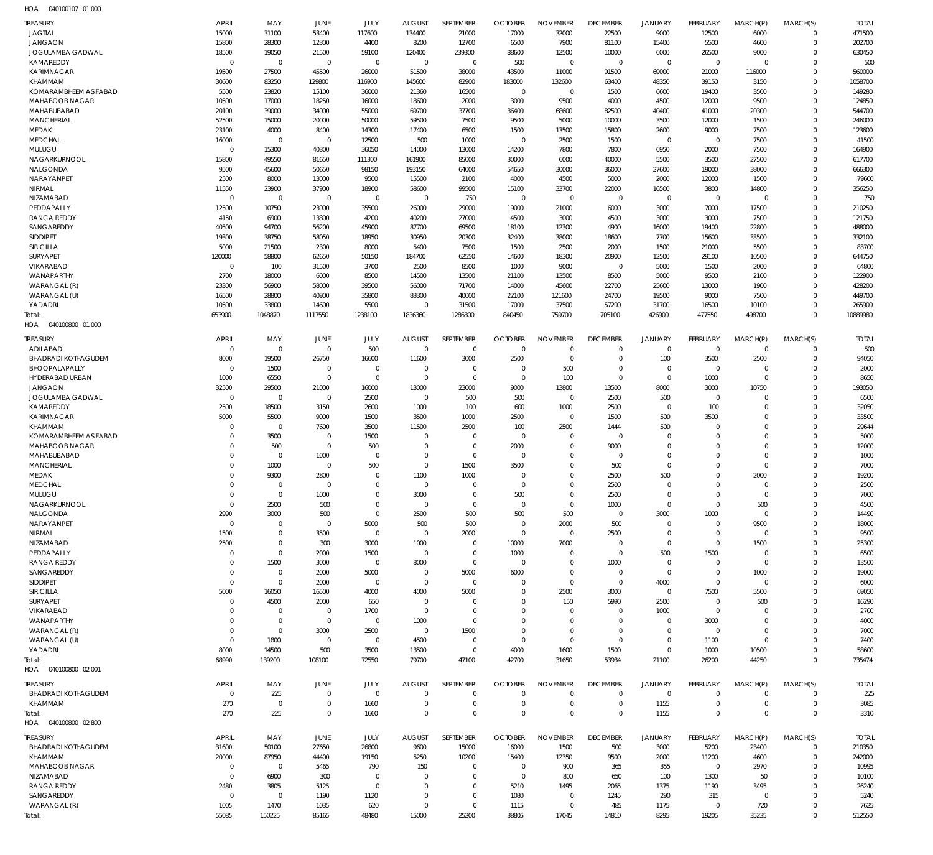| <b>TREASURY</b>                     | <b>APRIL</b>               | MAY                        | <b>JUNE</b>             | JULY                 | <b>AUGUST</b>                 | SEPTEMBER                  | <b>OCTOBER</b>                   | <b>NOVEMBER</b>            | <b>DECEMBER</b>               | JANUARY                    | FEBRUARY                         | MARCH(P)                   | MARCH(S)                   | <b>TOTAL</b>       |
|-------------------------------------|----------------------------|----------------------------|-------------------------|----------------------|-------------------------------|----------------------------|----------------------------------|----------------------------|-------------------------------|----------------------------|----------------------------------|----------------------------|----------------------------|--------------------|
| <b>JAGTIAL</b>                      | 15000                      | 31100                      | 53400                   | 117600               | 134400                        | 21000                      | 17000                            | 32000                      | 22500                         | 9000                       | 12500                            | 6000                       | $\mathbf 0$                | 471500             |
| <b>JANGAON</b>                      | 15800                      | 28300                      | 12300                   | 4400                 | 8200                          | 12700                      | 6500                             | 7900                       | 81100                         | 15400                      | 5500                             | 4600                       | $\mathbf 0$                | 202700             |
| JOGULAMBA GADWAL<br>KAMAREDDY       | 18500<br>$\overline{0}$    | 19050<br>$\mathbf 0$       | 21500<br>$\overline{0}$ | 59100<br>$\mathbf 0$ | 120400<br>$\mathbf 0$         | 239300<br>$\mathbf 0$      | 88600<br>500                     | 12500<br>$\mathbf 0$       | 10000<br>$\overline{0}$       | 6000<br>$\mathbf 0$        | 26500<br>$\overline{0}$          | 9000<br>$\mathbf 0$        | $\mathbf 0$<br>$\mathbf 0$ | 630450<br>500      |
| <b>KARIMNAGAR</b>                   | 19500                      | 27500                      | 45500                   | 26000                | 51500                         | 38000                      | 43500                            | 11000                      | 91500                         | 69000                      | 21000                            | 116000                     | $\Omega$                   | 560000             |
| KHAMMAM                             | 30600                      | 83250                      | 129800                  | 116900               | 145600                        | 82900                      | 183000                           | 132600                     | 63400                         | 48350                      | 39150                            | 3150                       | $\mathbf 0$                | 1058700            |
| KOMARAMBHEEM ASIFABAD               | 5500                       | 23820                      | 15100                   | 36000                | 21360                         | 16500                      | $\overline{0}$                   | $\mathbf 0$                | 1500                          | 6600                       | 19400                            | 3500                       | $\Omega$                   | 149280             |
| MAHABOOB NAGAR                      | 10500                      | 17000                      | 18250                   | 16000                | 18600                         | 2000                       | 3000                             | 9500                       | 4000                          | 4500                       | 12000                            | 9500                       | $\mathbf 0$                | 124850             |
| MAHABUBABAD                         | 20100                      | 39000                      | 34000                   | 55000                | 69700                         | 37700                      | 36400                            | 68600                      | 82500                         | 40400                      | 41000                            | 20300                      | $\Omega$                   | 544700             |
| <b>MANCHERIAL</b><br>MEDAK          | 52500<br>23100             | 15000<br>4000              | 20000<br>8400           | 50000<br>14300       | 59500<br>17400                | 7500<br>6500               | 9500<br>1500                     | 5000<br>13500              | 10000<br>15800                | 3500<br>2600               | 12000<br>9000                    | 1500<br>7500               | $\mathbf 0$<br>$\Omega$    | 246000<br>123600   |
| <b>MEDCHAL</b>                      | 16000                      | $\mathbf 0$                | $\overline{0}$          | 12500                | 500                           | 1000                       | $\overline{0}$                   | 2500                       | 1500                          | $\mathbf 0$                | $\overline{0}$                   | 7500                       | $\mathbf 0$                | 41500              |
| MULUGU                              | $\overline{0}$             | 15300                      | 40300                   | 36050                | 14000                         | 13000                      | 14200                            | 7800                       | 7800                          | 6950                       | 2000                             | 7500                       | $\Omega$                   | 164900             |
| NAGARKURNOOL                        | 15800                      | 49550                      | 81650                   | 111300               | 161900                        | 85000                      | 30000                            | 6000                       | 40000                         | 5500                       | 3500                             | 27500                      | $\mathbf 0$                | 617700             |
| <b>NALGONDA</b>                     | 9500                       | 45600                      | 50650                   | 98150                | 193150                        | 64000                      | 54650                            | 30000                      | 36000                         | 27600                      | 19000                            | 38000                      | $\Omega$                   | 666300             |
| NARAYANPET<br>NIRMAL                | 2500<br>11550              | 8000<br>23900              | 13000<br>37900          | 9500<br>18900        | 15500<br>58600                | 2100<br>99500              | 4000<br>15100                    | 4500<br>33700              | 5000<br>22000                 | 2000<br>16500              | 12000<br>3800                    | 1500<br>14800              | $\mathbf 0$<br>$\Omega$    | 79600<br>356250    |
| NIZAMABAD                           | $\overline{0}$             | $\mathbf 0$                | $\mathbf 0$             | $\mathbf 0$          | $\overline{0}$                | 750                        | $\overline{0}$                   | $\mathbf 0$                | $\mathbf 0$                   | $\mathbf 0$                | $\overline{0}$                   | $\mathbf 0$                | $\mathbf 0$                | 750                |
| PEDDAPALLY                          | 12500                      | 10750                      | 23000                   | 35500                | 26000                         | 29000                      | 19000                            | 21000                      | 6000                          | 3000                       | 7000                             | 17500                      | $\Omega$                   | 210250             |
| <b>RANGA REDDY</b>                  | 4150                       | 6900                       | 13800                   | 4200                 | 40200                         | 27000                      | 4500                             | 3000                       | 4500                          | 3000                       | 3000                             | 7500                       | $\mathbf 0$                | 121750             |
| SANGAREDDY                          | 40500                      | 94700                      | 56200                   | 45900                | 87700                         | 69500                      | 18100                            | 12300                      | 4900                          | 16000                      | 19400                            | 22800                      | $\Omega$                   | 488000             |
| <b>SIDDIPET</b><br><b>SIRICILLA</b> | 19300<br>5000              | 38750<br>21500             | 58050<br>2300           | 18950<br>8000        | 30950<br>5400                 | 20300<br>7500              | 32400<br>1500                    | 38000<br>2500              | 18600<br>2000                 | 7700<br>1500               | 15600<br>21000                   | 33500<br>5500              | $\mathbf 0$<br>$\Omega$    | 332100<br>83700    |
| <b>SURYAPET</b>                     | 120000                     | 58800                      | 62650                   | 50150                | 184700                        | 62550                      | 14600                            | 18300                      | 20900                         | 12500                      | 29100                            | 10500                      | $\mathbf 0$                | 644750             |
| VIKARABAD                           | $\overline{0}$             | 100                        | 31500                   | 3700                 | 2500                          | 8500                       | 1000                             | 9000                       | $\mathbf 0$                   | 5000                       | 1500                             | 2000                       | $\Omega$                   | 64800              |
| WANAPARTHY                          | 2700                       | 18000                      | 6000                    | 8500                 | 14500                         | 13500                      | 21100                            | 13500                      | 8500                          | 5000                       | 9500                             | 2100                       | $\mathbf 0$                | 122900             |
| WARANGAL (R)                        | 23300                      | 56900                      | 58000                   | 39500                | 56000                         | 71700                      | 14000                            | 45600                      | 22700                         | 25600                      | 13000                            | 1900                       | $\Omega$                   | 428200             |
| WARANGAL (U)                        | 16500                      | 28800                      | 40900                   | 35800                | 83300                         | 40000                      | 22100                            | 121600                     | 24700                         | 19500                      | 9000                             | 7500                       | $\Omega$                   | 449700             |
| YADADRI<br>Total:                   | 10500<br>653900            | 33800<br>1048870           | 14600<br>1117550        | 5500<br>1238100      | $\mathbf 0$<br>1836360        | 31500<br>1286800           | 17000<br>840450                  | 37500<br>759700            | 57200<br>705100               | 31700<br>426900            | 16500<br>477550                  | 10100<br>498700            | $\Omega$<br>$\Omega$       | 265900<br>10889980 |
| HOA<br>040100800 01 000             |                            |                            |                         |                      |                               |                            |                                  |                            |                               |                            |                                  |                            |                            |                    |
| <b>TREASURY</b>                     | <b>APRIL</b>               | MAY                        | JUNE                    | JULY                 | <b>AUGUST</b>                 | SEPTEMBER                  | <b>OCTOBER</b>                   | <b>NOVEMBER</b>            | <b>DECEMBER</b>               | <b>JANUARY</b>             | FEBRUARY                         | MARCH(P)                   | MARCH(S)                   | <b>TOTAL</b>       |
| ADILABAD                            | $\overline{0}$             | $\mathbf 0$                | $\mathbf 0$             | 500                  | $\overline{0}$                | $\mathbf 0$                | $\overline{0}$                   | $\mathbf 0$                | $\mathbf 0$                   | $\mathbf 0$                | $\overline{0}$                   | $\mathbf 0$                | $\mathbf 0$                | 500                |
| <b>BHADRADI KOTHAGUDEM</b>          | 8000                       | 19500                      | 26750                   | 16600                | 11600                         | 3000                       | 2500                             | $\mathbf 0$                | $\mathbf 0$                   | 100                        | 3500                             | 2500                       | $\mathbf 0$                | 94050              |
| BHOOPALAPALLY                       | $\overline{0}$             | 1500                       | $\overline{0}$          | $\mathbf 0$          | $\overline{0}$                | $\mathbf 0$                | $\overline{0}$                   | 500                        | $\mathbf 0$                   | $\mathbf 0$                | $\overline{0}$                   | $\mathbf 0$                | $\Omega$                   | 2000               |
| HYDERABAD URBAN<br><b>JANGAON</b>   | 1000<br>32500              | 6550<br>29500              | $\overline{0}$<br>21000 | $\mathbf 0$<br>16000 | $\overline{0}$<br>13000       | $\mathbf 0$<br>23000       | $\overline{0}$<br>9000           | 100<br>13800               | $\mathbf 0$<br>13500          | $\mathbf 0$<br>8000        | 1000<br>3000                     | $\mathbf 0$<br>10750       | $\Omega$<br>$\Omega$       | 8650<br>193050     |
| JOGULAMBA GADWAL                    | $^{\circ}$                 | $\overline{0}$             | $\mathbf 0$             | 2500                 | $\overline{0}$                | 500                        | 500                              | $\mathbf 0$                | 2500                          | 500                        | $\overline{0}$                   | $\Omega$                   | $\Omega$                   | 6500               |
| KAMAREDDY                           | 2500                       | 18500                      | 3150                    | 2600                 | 1000                          | 100                        | 600                              | 1000                       | 2500                          | $\mathbf 0$                | 100                              | $\mathbf 0$                | $\Omega$                   | 32050              |
| <b>KARIMNAGAR</b>                   | 5000                       | 5500                       | 9000                    | 1500                 | 3500                          | 1000                       | 2500                             | $\mathbf 0$                | 1500                          | 500                        | 3500                             | $\Omega$                   | $\mathbf 0$                | 33500              |
| KHAMMAM                             | $\mathbf 0$                | $\mathbf 0$                | 7600                    | 3500                 | 11500                         | 2500                       | 100                              | 2500                       | 1444                          | 500                        | $\overline{0}$                   | $\Omega$                   | $\Omega$                   | 29644              |
| KOMARAMBHEEM ASIFABAD               | $\mathbf 0$                | 3500                       | $\overline{0}$          | 1500                 | $\mathbf 0$                   | $\mathbf 0$                | $\overline{0}$                   | $\mathbf 0$                | $\mathbf 0$                   | $\mathbf 0$                | $^{\circ}$                       | $\Omega$                   | $\Omega$                   | 5000               |
| MAHABOOB NAGAR<br>MAHABUBABAD       | $\Omega$<br>$\Omega$       | 500<br>$\mathbf 0$         | $\overline{0}$<br>1000  | 500<br>$\mathbf 0$   | $\mathbf 0$<br>$\overline{0}$ | $\mathbf 0$<br>$\mathbf 0$ | 2000<br>$\overline{0}$           | $\mathbf 0$<br>$\mathbf 0$ | 9000<br>$\mathbf 0$           | $\mathbf 0$<br>$\mathbf 0$ | $\Omega$<br>$\Omega$             | $\Omega$<br>$\Omega$       | $\Omega$<br>$\mathbf 0$    | 12000<br>1000      |
| <b>MANCHERIAL</b>                   | $\Omega$                   | 1000                       | $^{\circ}$              | 500                  | $\overline{0}$                | 1500                       | 3500                             | $\mathbf 0$                | 500                           | $\mathbf 0$                | $\Omega$                         | $\mathbf 0$                | $\Omega$                   | 7000               |
| MEDAK                               | $\Omega$                   | 9300                       | 2800                    | $\mathbf 0$          | 1100                          | 1000                       | $\overline{0}$                   | $\Omega$                   | 2500                          | 500                        | $\Omega$                         | 2000                       | $\Omega$                   | 19200              |
| <b>MEDCHAL</b>                      | $\Omega$                   | $\mathbf 0$                | $\overline{0}$          | $\Omega$             | $\mathbf 0$                   | $\mathbf 0$                | $\Omega$                         | $\Omega$                   | 2500                          | $\mathbf 0$                | $\Omega$                         | $\Omega$                   | $\Omega$                   | 2500               |
| MULUGU                              | $\Omega$                   | $\mathbf 0$                | 1000                    | $\mathbf 0$          | 3000                          | $\mathbf 0$                | 500                              | $\mathbf 0$                | 2500                          | $\mathbf 0$                | $\Omega$                         | $\mathbf 0$                | $\mathbf 0$                | 7000               |
| NAGARKURNOOL<br>NALGONDA            | $\mathbf 0$<br>2990        | 2500<br>3000               | 500<br>500              | 0<br>$\mathbf 0$     | $\mathbf 0$<br>2500           | $\mathbf 0$<br>500         | $\overline{0}$<br>500            | $\mathbf 0$<br>500         | 1000<br>$\mathbf 0$           | $\mathbf 0$<br>3000        | $\overline{0}$<br>1000           | 500<br>$\mathbf 0$         | 0<br>0                     | 4500<br>14490      |
| NARAYANPET                          | $\mathbf 0$                | $\mathbf 0$                | $\overline{0}$          | 5000                 | 500                           | 500                        | $\overline{0}$                   | 2000                       | 500                           | $\mathbf 0$                | $\overline{0}$                   | 9500                       | $\Omega$                   | 18000              |
| NIRMAL                              | 1500                       | $\mathbf 0$                | 3500                    | $\mathbf 0$          | $^{\circ}$                    | 2000                       | $\overline{0}$                   | $\mathbf 0$                | 2500                          | $\mathbf 0$                | $\overline{0}$                   | $\mathbf 0$                | $\Omega$                   | 9500               |
| NIZAMABAD                           | 2500                       | $\mathbf 0$                | 300                     | 3000                 | 1000                          | $\mathbf 0$                | 10000                            | 7000                       | $\mathbf 0$                   | $\mathbf 0$                | $\overline{0}$                   | 1500                       | $\Omega$                   | 25300              |
| PEDDAPALLY                          | $\mathbf 0$                | $\mathbf 0$                | 2000                    | 1500                 | $\overline{0}$                | $\mathbf 0$                | 1000                             | $\mathbf 0$                | $\mathbf 0$                   | 500                        | 1500                             | $\mathbf 0$                | $\Omega$                   | 6500               |
| <b>RANGA REDDY</b>                  | $\mathbf 0$                | 1500                       | 3000                    | $\mathbf 0$          | 8000                          | $\mathbf 0$                | $\overline{0}$                   | $\mathbf 0$<br>$\mathbf 0$ | 1000                          | $\mathbf 0$<br>$\mathbf 0$ | $\overline{0}$                   | $\mathbf 0$<br>1000        | $\Omega$                   | 13500              |
| SANGAREDDY<br>SIDDIPET              | $\mathbf 0$<br>$\mathbf 0$ | $\mathbf 0$<br>$\mathbf 0$ | 2000<br>2000            | 5000<br>$\mathbf 0$  | $\overline{0}$<br>$\mathbf 0$ | 5000<br>$\mathbf 0$        | 6000<br>$\overline{0}$           | $\mathbf 0$                | $\overline{0}$<br>$\mathbf 0$ | 4000                       | $\overline{0}$<br>$\overline{0}$ | $\mathbf 0$                | $\mathbf 0$<br>$\Omega$    | 19000<br>6000      |
| <b>SIRICILLA</b>                    | 5000                       | 16050                      | 16500                   | 4000                 | 4000                          | 5000                       | $\overline{0}$                   | 2500                       | 3000                          | $\mathbf 0$                | 7500                             | 5500                       | 0                          | 69050              |
| <b>SURYAPET</b>                     | $\mathbf 0$                | 4500                       | 2000                    | 650                  | $\overline{0}$                | $\mathbf 0$                | $\mathbf 0$                      | 150                        | 5990                          | 2500                       | $\overline{0}$                   | 500                        | $\Omega$                   | 16290              |
| VIKARABAD                           | 0                          | $\mathbf 0$                | $\overline{0}$          | 1700                 | $\overline{0}$                | $\mathbf 0$                | 0                                | 0                          | 0                             | 1000                       | $\overline{0}$                   | 0                          | $\Omega$                   | 2700               |
| WANAPARTHY                          | $\mathbf 0$                | $\mathbf 0$                | $\overline{0}$          | $\mathbf 0$          | 1000                          | $\mathbf 0$                | $\mathbf 0$                      | $\mathbf 0$                | $\mathbf 0$                   | $\mathbf 0$                | 3000                             | $\mathbf 0$                | $\Omega$                   | 4000               |
| WARANGAL (R)<br>WARANGAL (U)        | $\mathbf 0$<br>$\mathbf 0$ | $\mathbf 0$<br>1800        | 3000<br>$\overline{0}$  | 2500<br>$\mathbf 0$  | $^{\circ}$<br>4500            | 1500<br>$\mathbf 0$        | $\overline{0}$<br>$\overline{0}$ | $\mathbf 0$<br>$\mathbf 0$ | $\overline{0}$<br>$\mathbf 0$ | $\mathbf 0$<br>$\mathbf 0$ | $\overline{0}$<br>1100           | $\mathbf 0$<br>$\mathbf 0$ | 0<br>$\Omega$              | 7000<br>7400       |
| YADADRI                             | 8000                       | 14500                      | 500                     | 3500                 | 13500                         | $\mathbf 0$                | 4000                             | 1600                       | 1500                          | $\mathbf 0$                | 1000                             | 10500                      | $\mathbf 0$                | 58600              |
| Total:                              | 68990                      | 139200                     | 108100                  | 72550                | 79700                         | 47100                      | 42700                            | 31650                      | 53934                         | 21100                      | 26200                            | 44250                      | $\mathbf 0$                | 735474             |
| HOA  040100800  02  001             |                            |                            |                         |                      |                               |                            |                                  |                            |                               |                            |                                  |                            |                            |                    |
| <b>TREASURY</b>                     | <b>APRIL</b>               | MAY                        | <b>JUNE</b>             | JULY                 | <b>AUGUST</b>                 | SEPTEMBER                  | <b>OCTOBER</b>                   | <b>NOVEMBER</b>            | <b>DECEMBER</b>               | JANUARY                    | FEBRUARY                         | MARCH(P)                   | MARCH(S)                   | <b>TOTAL</b>       |
| <b>BHADRADI KOTHAGUDEM</b>          | $\overline{0}$             | 225                        | $\overline{0}$          | $\mathbf 0$          | $\mathbf 0$                   | $\mathbf 0$                | $\overline{0}$                   | $\mathbf 0$                | $^{\circ}$                    | $\mathbf 0$                | $^{\circ}$                       | $\mathbf 0$                | $\mathbf 0$                | 225                |
| KHAMMAM                             | 270                        | $^{\circ}$                 | 0                       | 1660                 | 0                             | $\mathbf 0$                | 0                                | $\mathbf 0$                | $\mathbf 0$                   | 1155                       | 0                                | $\mathbf 0$                | $\mathbf 0$                | 3085               |
| Total:<br>HOA  040100800  02  800   | 270                        | 225                        | $\mathbf 0$             | 1660                 | $\Omega$                      | $\mathbf 0$                | $\mathbf 0$                      | $\mathbf 0$                | $\mathbf 0$                   | 1155                       | $\mathbf 0$                      | $\mathbf 0$                | $\mathbf 0$                | 3310               |
| <b>TREASURY</b>                     | <b>APRIL</b>               | MAY                        | JUNE                    | JULY                 | <b>AUGUST</b>                 | SEPTEMBER                  | <b>OCTOBER</b>                   | <b>NOVEMBER</b>            | <b>DECEMBER</b>               | <b>JANUARY</b>             | FEBRUARY                         | MARCH(P)                   | MARCH(S)                   | <b>TOTAL</b>       |
| <b>BHADRADI KOTHAGUDEM</b>          |                            |                            | 27650                   | 26800                | 9600                          | 15000                      | 16000                            | 1500                       | 500                           | 3000                       | 5200                             | 23400                      | $\mathbf 0$                | 210350             |
|                                     | 31600                      | 50100                      |                         |                      |                               |                            |                                  |                            |                               |                            |                                  |                            |                            |                    |
| KHAMMAM                             | 20000                      | 87950                      | 44400                   | 19150                | 5250                          | 10200                      | 15400                            | 12350                      | 9500                          | 2000                       | 11200                            | 4600                       | $\mathbf 0$                | 242000             |
| MAHABOOB NAGAR                      | $\overline{0}$             | $\overline{0}$             | 5465                    | 790                  | 150                           | $\mathbf 0$                | $\overline{0}$                   | 900                        | 365                           | 355                        | $\overline{0}$                   | 2970                       | 0                          | 10995              |
| NIZAMABAD                           | $\overline{0}$             | 6900                       | 300                     | $\mathbf 0$          | $\mathbf 0$                   | $\mathbf 0$                | $\overline{0}$                   | 800                        | 650                           | 100                        | 1300                             | 50                         | $\Omega$                   | 10100              |
| <b>RANGA REDDY</b>                  | 2480                       | 3805                       | 5125                    | $\mathbf 0$          | $\mathbf 0$                   | $\mathbf 0$                | 5210                             | 1495                       | 2065                          | 1375                       | 1190                             | 3495                       | $\mathbf 0$                | 26240              |
| SANGAREDDY<br>WARANGAL (R)          | $\overline{0}$<br>1005     | $\mathbf 0$<br>1470        | 1190<br>1035            | 1120<br>620          | $\mathbf 0$<br>$\mathbf 0$    | $\mathbf 0$<br>$\mathbf 0$ | 1080<br>1115                     | $\mathbf 0$<br>$\mathbf 0$ | 1245<br>485                   | 290<br>1175                | 315<br>$\overline{0}$            | $\mathbf 0$<br>720         | $\Omega$<br>0              | 5240<br>7625       |
| Total:                              | 55085                      | 150225                     | 85165                   | 48480                | 15000                         | 25200                      | 38805                            | 17045                      | 14810                         | 8295                       | 19205                            | 35235                      | $\Omega$                   | 512550             |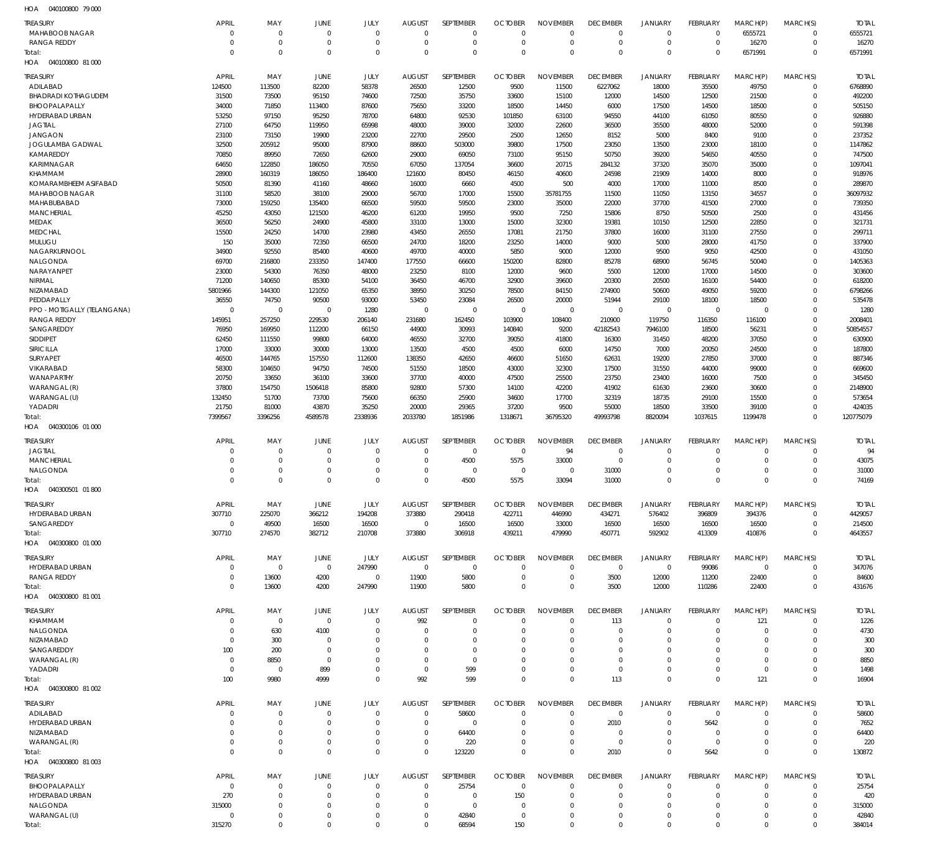040100800 79 000 HOA

| <b>TREASURY</b><br>MAHABOOB NAGAR           | <b>APRIL</b><br>$\Omega$ | MAY<br>$\mathbf 0$      | JUNE<br>$\Omega$     | JULY<br>$\Omega$     | <b>AUGUST</b><br>$\Omega$ | SEPTEMBER<br>$\mathbf 0$  | <b>OCTOBER</b><br>$\Omega$ | <b>NOVEMBER</b><br>$\Omega$ | <b>DECEMBER</b><br>$\mathbf{0}$ | <b>JANUARY</b><br>$\mathbf 0$ | <b>FEBRUARY</b><br>$\Omega$ | MARCH(P)<br>6555721  | MARCH(S)<br>$\Omega$ | <b>TOTAL</b><br>6555721 |
|---------------------------------------------|--------------------------|-------------------------|----------------------|----------------------|---------------------------|---------------------------|----------------------------|-----------------------------|---------------------------------|-------------------------------|-----------------------------|----------------------|----------------------|-------------------------|
| RANGA REDDY                                 | $\Omega$                 | $\mathbf 0$             | $\Omega$             | $\mathbf 0$          | $\Omega$                  | $\mathbf 0$               | $\Omega$                   | $\mathbf 0$                 | $\mathbf 0$                     | $\mathbf 0$                   | $\mathbf 0$                 | 16270                | $\Omega$             | 16270                   |
| Total:                                      | $\Omega$                 | $\mathbf{0}$            | $\Omega$             | $\Omega$             | $\Omega$                  | $\Omega$                  | $\Omega$                   | $\Omega$                    | $\Omega$                        | $\Omega$                      | $\Omega$                    | 6571991              | $\Omega$             | 6571991                 |
| HOA  040100800  81 000                      |                          |                         |                      |                      |                           |                           |                            |                             |                                 |                               |                             |                      |                      |                         |
| <b>TREASURY</b>                             | <b>APRIL</b>             | MAY                     | <b>JUNE</b>          | <b>JULY</b>          | <b>AUGUST</b>             | <b>SEPTEMBER</b>          | <b>OCTOBER</b>             | <b>NOVEMBER</b>             | <b>DECEMBER</b>                 | <b>JANUARY</b>                | <b>FEBRUARY</b>             | MARCH(P)             | MARCH(S)             | <b>TOTAL</b>            |
| ADILABAD                                    | 124500                   | 113500                  | 82200                | 58378                | 26500                     | 12500                     | 9500                       | 11500                       | 6227062                         | 18000                         | 35500                       | 49750                | $\Omega$             | 6768890                 |
| <b>BHADRADI KOTHAGUDEM</b><br>BHOOPALAPALLY | 31500<br>34000           | 73500<br>71850          | 95150<br>113400      | 74600<br>87600       | 72500<br>75650            | 35750<br>33200            | 33600<br>18500             | 15100<br>14450              | 12000<br>6000                   | 14500<br>17500                | 12500<br>14500              | 21500<br>18500       | $\Omega$<br>$\Omega$ | 492200<br>505150        |
| HYDERABAD URBAN                             | 53250                    | 97150                   | 95250                | 78700                | 64800                     | 92530                     | 101850                     | 63100                       | 94550                           | 44100                         | 61050                       | 80550                | $\Omega$             | 926880                  |
| <b>JAGTIAL</b>                              | 27100                    | 64750                   | 119950               | 65998                | 48000                     | 39000                     | 32000                      | 22600                       | 36500                           | 35500                         | 48000                       | 52000                | $\Omega$             | 591398                  |
| <b>JANGAON</b>                              | 23100                    | 73150                   | 19900                | 23200                | 22700                     | 29500                     | 2500                       | 12650                       | 8152                            | 5000                          | 8400                        | 9100                 | $\Omega$             | 237352                  |
| JOGULAMBA GADWAL                            | 32500                    | 205912                  | 95000                | 87900                | 88600                     | 503000                    | 39800                      | 17500                       | 23050                           | 13500                         | 23000                       | 18100                | $\Omega$             | 1147862                 |
| KAMAREDDY                                   | 70850                    | 89950                   | 72650                | 62600                | 29000                     | 69050                     | 73100                      | 95150                       | 50750                           | 39200                         | 54650                       | 40550                | $\Omega$             | 747500                  |
| KARIMNAGAR                                  | 64650                    | 122850                  | 186050               | 70550                | 67050                     | 137054                    | 36600                      | 20715                       | 284132                          | 37320                         | 35070                       | 35000                | $\Omega$             | 1097041                 |
| <b>KHAMMAM</b>                              | 28900                    | 160319                  | 186050               | 186400               | 121600                    | 80450                     | 46150                      | 40600                       | 24598                           | 21909                         | 14000                       | 8000                 | $\Omega$             | 918976                  |
| KOMARAMBHEEM ASIFABAD                       | 50500                    | 81390                   | 41160                | 48660                | 16000                     | 6660                      | 4500                       | 500                         | 4000                            | 17000                         | 11000                       | 8500                 | $\Omega$<br>$\Omega$ | 289870<br>36097932      |
| MAHABOOB NAGAR<br>MAHABUBABAD               | 31100<br>73000           | 58520<br>159250         | 38100<br>135400      | 29000<br>66500       | 56700<br>59500            | 17000<br>59500            | 15500<br>23000             | 35781755<br>35000           | 11500<br>22000                  | 11050<br>37700                | 13150<br>41500              | 34557<br>27000       | $\Omega$             | 739350                  |
| MANCHERIAL                                  | 45250                    | 43050                   | 121500               | 46200                | 61200                     | 19950                     | 9500                       | 7250                        | 15806                           | 8750                          | 50500                       | 2500                 | $\Omega$             | 431456                  |
| <b>MEDAK</b>                                | 36500                    | 56250                   | 24900                | 45800                | 33100                     | 13000                     | 15000                      | 32300                       | 19381                           | 10150                         | 12500                       | 22850                | $\Omega$             | 321731                  |
| <b>MEDCHAL</b>                              | 15500                    | 24250                   | 14700                | 23980                | 43450                     | 26550                     | 17081                      | 21750                       | 37800                           | 16000                         | 31100                       | 27550                | $\Omega$             | 299711                  |
| MULUGU                                      | 150                      | 35000                   | 72350                | 66500                | 24700                     | 18200                     | 23250                      | 14000                       | 9000                            | 5000                          | 28000                       | 41750                | $\Omega$             | 337900                  |
| NAGARKURNOOL                                | 34900                    | 92550                   | 85400                | 40600                | 49700                     | 40000                     | 5850                       | 9000                        | 12000                           | 9500                          | 9050                        | 42500                | $\Omega$             | 431050                  |
| NALGONDA                                    | 69700                    | 216800                  | 233350               | 147400               | 177550                    | 66600                     | 150200                     | 82800                       | 85278                           | 68900                         | 56745                       | 50040                | $\Omega$             | 1405363                 |
| NARAYANPET                                  | 23000                    | 54300                   | 76350                | 48000                | 23250                     | 8100                      | 12000                      | 9600                        | 5500                            | 12000                         | 17000                       | 14500                | $\Omega$             | 303600                  |
| NIRMAL<br>NIZAMABAD                         | 71200<br>5801966         | 140650<br>144300        | 85300<br>121050      | 54100                | 36450<br>38950            | 46700                     | 32900                      | 39600<br>84150              | 20300<br>274900                 | 20500<br>50600                | 16100<br>49050              | 54400                | $\Omega$<br>$\Omega$ | 618200<br>6798266       |
| PEDDAPALLY                                  | 36550                    | 74750                   | 90500                | 65350<br>93000       | 53450                     | 30250<br>23084            | 78500<br>26500             | 20000                       | 51944                           | 29100                         | 18100                       | 59200<br>18500       | $\Omega$             | 535478                  |
| PPO - MOTIGALLY (TELANGANA)                 | $\Omega$                 | $\mathbf 0$             | $\Omega$             | 1280                 | $\Omega$                  | $\mathbf 0$               | $\mathbf 0$                | $\mathbf 0$                 | $\Omega$                        | $\mathbf 0$                   | $\mathbf 0$                 | $\Omega$             | $\Omega$             | 1280                    |
| <b>RANGA REDDY</b>                          | 145951                   | 257250                  | 229530               | 206140               | 231680                    | 162450                    | 103900                     | 108400                      | 210900                          | 119750                        | 116350                      | 116100               | $\Omega$             | 2008401                 |
| SANGAREDDY                                  | 76950                    | 169950                  | 112200               | 66150                | 44900                     | 30993                     | 140840                     | 9200                        | 42182543                        | 7946100                       | 18500                       | 56231                | $\Omega$             | 50854557                |
| <b>SIDDIPET</b>                             | 62450                    | 111550                  | 99800                | 64000                | 46550                     | 32700                     | 39050                      | 41800                       | 16300                           | 31450                         | 48200                       | 37050                | $\Omega$             | 630900                  |
| <b>SIRICILLA</b>                            | 17000                    | 33000                   | 30000                | 13000                | 13500                     | 4500                      | 4500                       | 6000                        | 14750                           | 7000                          | 20050                       | 24500                | $\Omega$             | 187800                  |
| SURYAPET                                    | 46500                    | 144765                  | 157550               | 112600               | 138350                    | 42650                     | 46600                      | 51650                       | 62631                           | 19200                         | 27850                       | 37000                | $\Omega$             | 887346                  |
| VIKARABAD<br>WANAPARTHY                     | 58300<br>20750           | 104650<br>33650         | 94750                | 74500                | 51550                     | 18500                     | 43000                      | 32300                       | 17500                           | 31550                         | 44000                       | 99000                | $\Omega$<br>$\Omega$ | 669600<br>345450        |
| WARANGAL (R)                                | 37800                    | 154750                  | 36100<br>1506418     | 33600<br>85800       | 37700<br>92800            | 40000<br>57300            | 47500<br>14100             | 25500<br>42200              | 23750<br>41902                  | 23400<br>61630                | 16000<br>23600              | 7500<br>30600        | $\Omega$             | 2148900                 |
| WARANGAL (U)                                | 132450                   | 51700                   | 73700                | 75600                | 66350                     | 25900                     | 34600                      | 17700                       | 32319                           | 18735                         | 29100                       | 15500                | $\Omega$             | 573654                  |
| YADADRI                                     | 21750                    | 81000                   | 43870                | 35250                | 20000                     | 29365                     | 37200                      | 9500                        | 55000                           | 18500                         | 33500                       | 39100                | $\Omega$             | 424035                  |
| Total:                                      | 7399567                  | 3396256                 | 4589578              | 2338936              | 2033780                   | 1851986                   | 1318671                    | 36795320                    | 49993798                        | 8820094                       | 1037615                     | 1199478              | $\Omega$             | 120775079               |
| HOA  040300106  01 000                      |                          |                         |                      |                      |                           |                           |                            |                             |                                 |                               |                             |                      |                      |                         |
| <b>TREASURY</b>                             | <b>APRIL</b>             | MAY                     | <b>JUNE</b>          | JULY                 | <b>AUGUST</b>             | SEPTEMBER                 | <b>OCTOBER</b>             | <b>NOVEMBER</b>             | <b>DECEMBER</b>                 | <b>JANUARY</b>                | FEBRUARY                    | MARCH(P)             | MARCH(S)             | <b>TOTAL</b>            |
| <b>JAGTIAL</b>                              | $\Omega$                 | $\overline{0}$          | $\overline{0}$       | $\Omega$             | $\Omega$                  | $\mathbf 0$               | $\Omega$                   | 94                          | $^{\circ}$                      | $\mathbf 0$                   | $\Omega$                    | $\Omega$             | $\Omega$             | 94                      |
| MANCHERIAL                                  | $\Omega$                 | $\mathbf 0$             | $\Omega$             | $\Omega$             | $\Omega$                  | 4500                      | 5575                       | 33000                       | $\mathbf 0$                     | $\mathbf 0$                   | $\Omega$                    | $\Omega$             | $\Omega$             | 43075                   |
| NALGONDA                                    | $\Omega$                 | $\Omega$                | $\Omega$             | $\Omega$             | $\Omega$                  | $\mathbf 0$               | $\overline{0}$             | $\mathbf 0$                 | 31000                           | $\mathbf 0$                   | $\Omega$                    | $\Omega$             | $\Omega$             | 31000                   |
| Total:                                      | $\Omega$                 | $\Omega$                | $\Omega$             | $\Omega$             | $\Omega$                  | 4500                      | 5575                       | 33094                       | 31000                           | $\Omega$                      | $\Omega$                    | $\Omega$             | $\Omega$             | 74169                   |
| HOA  040300501  01 800                      |                          |                         |                      |                      |                           |                           |                            |                             |                                 |                               |                             |                      |                      |                         |
| <b>TREASURY</b>                             | APRIL                    | MAY                     | JUNE                 | JULY                 | <b>AUGUST</b>             |                           |                            |                             | <b>DECEMBER</b>                 |                               |                             | MARCH(P)             |                      |                         |
| HYDERABAD URBAN                             | 307710                   | 225070                  |                      |                      |                           | SEPTEMBER                 | <b>OCTOBER</b>             | <b>NOVEMBER</b>             |                                 | JANUARY                       | FEBRUARY                    |                      | MARCH(S)             | <b>TOTAL</b>            |
| SANGAREDDY                                  |                          |                         | 366212               | 194208               | 373880                    | 290418                    | 422711                     | 446990                      | 434271                          | 576402                        | 396809                      | 394376               | $\Omega$             | 4429057                 |
| Total:                                      | $^{\circ}$               | 49500                   | 16500                | 16500                | $\mathbf 0$               | 16500                     | 16500                      | 33000                       | 16500                           | 16500                         | 16500                       | 16500                | $\Omega$             | 214500                  |
|                                             | 307710                   | 274570                  | 382712               | 210708               | 373880                    | 306918                    | 439211                     | 479990                      | 450771                          | 592902                        | 413309                      | 410876               | $\Omega$             | 4643557                 |
| HOA  040300800  01 000                      |                          |                         |                      |                      |                           |                           |                            |                             |                                 |                               |                             |                      |                      |                         |
| <b>TREASURY</b>                             | <b>APRIL</b>             | MAY                     | JUNE                 | JULY                 | <b>AUGUST</b>             | SEPTEMBER                 | <b>OCTOBER</b>             | <b>NOVEMBER</b>             | <b>DECEMBER</b>                 | JANUARY                       | FEBRUARY                    | MARCH(P)             | MARCH(S)             | <b>TOTAL</b>            |
| HYDERABAD URBAN                             | $\Omega$                 | $\Omega$                | $\mathbf 0$          | 247990               | $\overline{0}$            | $\mathbf 0$               | $\overline{0}$             | $\mathbf 0$                 | $\overline{0}$                  | $\mathbf 0$                   | 99086                       | $\overline{0}$       | $\mathbf 0$          | 347076                  |
| RANGA REDDY                                 | $\Omega$                 | 13600                   | 4200                 | $\mathbf 0$          | 11900                     | 5800                      | $\Omega$                   | $\mathbf 0$                 | 3500                            | 12000                         | 11200                       | 22400                | $\mathbf 0$          | 84600                   |
| Total:<br>HOA  040300800  81 001            | $\Omega$                 | 13600                   | 4200                 | 247990               | 11900                     | 5800                      | $\Omega$                   | $\Omega$                    | 3500                            | 12000                         | 110286                      | 22400                | $\Omega$             | 431676                  |
|                                             |                          |                         |                      |                      |                           |                           |                            |                             |                                 |                               |                             |                      |                      |                         |
| <b>TREASURY</b>                             | <b>APRIL</b>             | MAY                     | <b>JUNE</b>          | JULY                 | <b>AUGUST</b>             | SEPTEMBER                 | <b>OCTOBER</b>             | <b>NOVEMBER</b>             | <b>DECEMBER</b>                 | <b>JANUARY</b>                | FEBRUARY                    | MARCH(P)             | MARCH(S)             | <b>TOTAL</b>            |
| KHAMMAM                                     | $\Omega$<br>$\Omega$     | $\mathbf 0$             | $\overline{0}$       | $\Omega$<br>$\Omega$ | 992<br>$\Omega$           | $\mathbf 0$<br>$\Omega$   | $\Omega$<br>$\Omega$       | $\Omega$<br>$\Omega$        | 113<br>$\Omega$                 | $\mathbf 0$                   | $\Omega$<br>$\Omega$        | 121<br>$\Omega$      | $\Omega$<br>$\Omega$ | 1226                    |
| NALGONDA<br>NIZAMABAD                       | $\Omega$                 | 630<br>300              | 4100<br>$\Omega$     | $\Omega$             | $\Omega$                  | $\Omega$                  | $\Omega$                   | $\Omega$                    | $\Omega$                        | $\mathbf 0$<br>$\Omega$       | $\Omega$                    | $\Omega$             | $\Omega$             | 4730<br>300             |
| SANGAREDDY                                  | 100                      | 200                     | $\Omega$             | $\Omega$             | $\Omega$                  | $\Omega$                  | $\Omega$                   | $\Omega$                    | $\Omega$                        | $\Omega$                      | $\Omega$                    | $\Omega$             | $\Omega$             | 300                     |
| WARANGAL (R)                                | $\Omega$                 | 8850                    | $\Omega$             | $\Omega$             | $\Omega$                  | $\Omega$                  | $\Omega$                   | $\Omega$                    | $\Omega$                        | $\Omega$                      |                             | $\Omega$             | $\Omega$             | 8850                    |
| YADADRI                                     | $\Omega$                 | $\mathbf 0$             | 899                  | $\Omega$             | $\Omega$                  | 599                       | $\Omega$                   | $\Omega$                    | $\Omega$                        | $\mathbf 0$                   | $\Omega$                    | $\Omega$             | $\Omega$             | 1498                    |
| Total:                                      | 100                      | 9980                    | 4999                 | $\Omega$             | 992                       | 599                       | $\Omega$                   | $\Omega$                    | 113                             | $\mathbf{0}$                  | $\Omega$                    | 121                  | $\Omega$             | 16904                   |
| HOA  040300800  81 002                      |                          |                         |                      |                      |                           |                           |                            |                             |                                 |                               |                             |                      |                      |                         |
| <b>TREASURY</b>                             | <b>APRIL</b>             | MAY                     | JUNE                 | JULY                 | <b>AUGUST</b>             | SEPTEMBER                 | <b>OCTOBER</b>             | <b>NOVEMBER</b>             | <b>DECEMBER</b>                 | <b>JANUARY</b>                | FEBRUARY                    | MARCH(P)             | MARCH(S)             | <b>TOTAL</b>            |
| ADILABAD                                    | $\Omega$                 | $\mathbf 0$             | $\Omega$             | $\Omega$             | $\Omega$                  | 58600                     | $\mathcal{L}$              | $\Omega$                    | $\overline{0}$                  | $\mathbf 0$                   | $\Omega$                    | $\Omega$             | $\Omega$             | 58600                   |
| HYDERABAD URBAN                             | $\Omega$                 | $\mathbf 0$             | $\Omega$             | $\Omega$             | $\Omega$                  | $\mathbf 0$               | $\Omega$                   | $\Omega$                    | 2010                            | $\mathbf 0$                   | 5642                        | $\Omega$             | $\Omega$             | 7652                    |
| NIZAMABAD                                   | $\Omega$                 | $\Omega$                | $\Omega$             | $\Omega$             | $\Omega$                  | 64400                     | $\Omega$                   | $\Omega$                    | $\Omega$                        | $\mathbf 0$                   | $\Omega$                    | $\Omega$             | $\Omega$             | 64400                   |
| WARANGAL (R)                                | $\Omega$<br>$\Omega$     | $\mathbf 0$             | $\Omega$<br>$\Omega$ | $\Omega$<br>$\Omega$ | $\Omega$<br>$\Omega$      | 220                       | $\Omega$<br>$\Omega$       | $\Omega$<br>$\Omega$        | $\Omega$                        | $\mathbf 0$                   | $\overline{0}$              | $\Omega$<br>$\Omega$ | $\Omega$<br>$\Omega$ | 220                     |
| Total:<br>HOA  040300800  81 003            |                          | $\,0\,$                 |                      |                      |                           | 123220                    |                            |                             | 2010                            | $\mathbf 0$                   | 5642                        |                      |                      | 130872                  |
|                                             |                          |                         |                      |                      |                           |                           |                            |                             |                                 |                               |                             |                      |                      |                         |
| <b>TREASURY</b>                             | <b>APRIL</b>             | MAY                     | JUNE                 | JULY                 | <b>AUGUST</b>             | SEPTEMBER                 | <b>OCTOBER</b>             | <b>NOVEMBER</b>             | <b>DECEMBER</b>                 | <b>JANUARY</b>                | FEBRUARY                    | MARCH(P)             | MARCH(S)             | <b>TOTAL</b>            |
| BHOOPALAPALLY                               | $\Omega$                 | $\mathbf 0$             | $\Omega$<br>$\Omega$ | $\Omega$<br>$\Omega$ | $\Omega$<br>$\Omega$      | 25754                     | $^{\circ}$                 | $\Omega$<br>$\Omega$        | $\mathbf 0$<br>$\Omega$         | $\mathbf 0$<br>$\Omega$       | $\Omega$<br>$\Omega$        | $\Omega$<br>$\Omega$ | $\Omega$<br>$\Omega$ | 25754                   |
| HYDERABAD URBAN<br>NALGONDA                 | 270<br>315000            | $\mathbf 0$<br>$\Omega$ | $\Omega$             | $\Omega$             | $\Omega$                  | $^{\circ}$<br>$\mathbf 0$ | 150<br>$\Omega$            | $\Omega$                    | $\Omega$                        | $\Omega$                      | $\Omega$                    | $\Omega$             | $\Omega$             | 420<br>315000           |
| WARANGAL (U)                                | $\mathbf 0$              | $\mathbf 0$             | $\Omega$             | $\Omega$             | $\Omega$                  | 42840                     | $\overline{0}$             | $\Omega$                    | $\mathbf 0$                     | $\mathbf 0$                   | $\Omega$                    | $\Omega$             | $\Omega$             | 42840                   |
| Total:                                      | 315270                   | $\mathbf 0$             | $\Omega$             | $\Omega$             | $\Omega$                  | 68594                     | 150                        | $\Omega$                    | $\Omega$                        | $\Omega$                      | $\Omega$                    | $\Omega$             | $\Omega$             | 384014                  |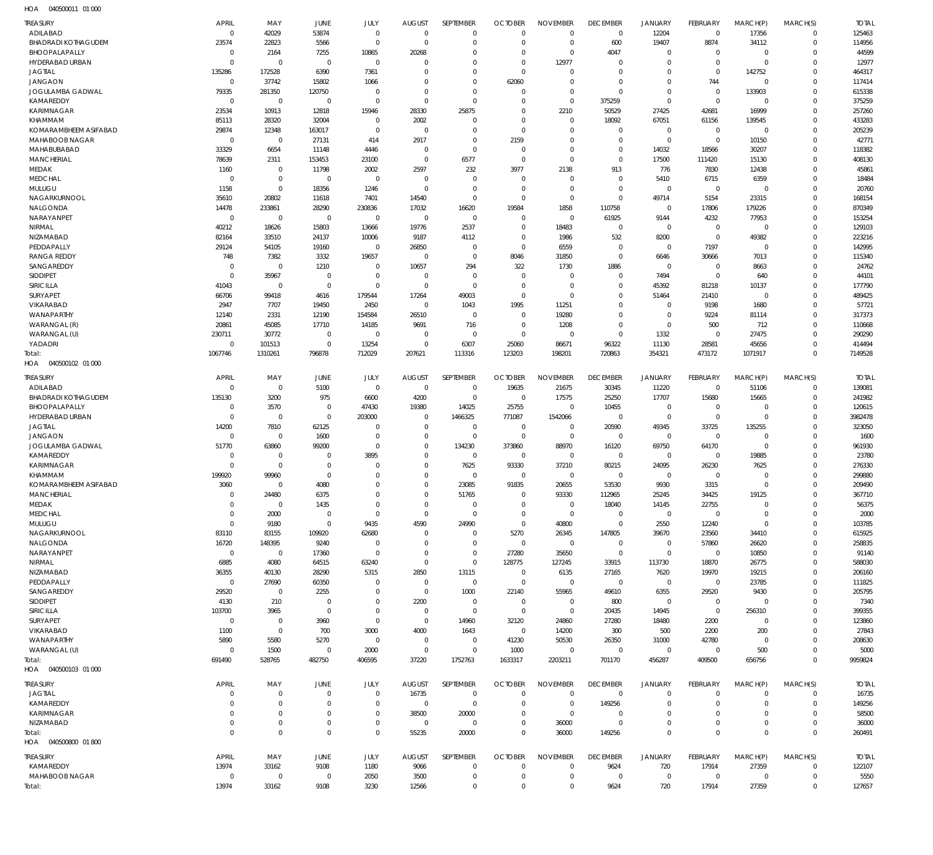| <b>TREASURY</b>                            | <b>APRIL</b>                  | MAY                   | JUNE                             | JULY                       | <b>AUGUST</b>              | SEPTEMBER                  | <b>OCTOBER</b>                   | <b>NOVEMBER</b>                   | <b>DECEMBER</b>                  | <b>JANUARY</b>             | <b>FEBRUARY</b>                  | MARCH(P)                | MARCH(S)                | <b>TOTAL</b>           |
|--------------------------------------------|-------------------------------|-----------------------|----------------------------------|----------------------------|----------------------------|----------------------------|----------------------------------|-----------------------------------|----------------------------------|----------------------------|----------------------------------|-------------------------|-------------------------|------------------------|
| ADILABAD                                   | $\mathbf 0$                   | 42029                 | 53874                            | $\mathbf 0$                | $\mathbf 0$                | $\mathbf 0$                | $\overline{0}$                   | $\overline{0}$                    | $\mathbf 0$                      | 12204                      | $\overline{0}$                   | 17356                   | $\Omega$                | 125463                 |
| <b>BHADRADI KOTHAGUDEM</b>                 | 23574                         | 22823                 | 5566                             | $\mathbf 0$                | $\mathbf 0$                | $\mathbf 0$                | $\overline{0}$                   | $\mathbf 0$                       | 600                              | 19407                      | 8874                             | 34112                   | $\Omega$                | 114956                 |
| BHOOPALAPALLY<br>HYDERABAD URBAN           | $\mathbf 0$<br>$\overline{0}$ | 2164<br>$\mathbf 0$   | 7255<br>$\mathbf 0$              | 10865<br>$\mathbf 0$       | 20268<br>$\Omega$          | $\mathbf 0$<br>$\Omega$    | $\overline{0}$<br>$\Omega$       | $\mathbf 0$<br>12977              | 4047<br>$\mathbf 0$              | $\mathbf 0$<br>$\mathbf 0$ | $\overline{0}$<br>$\overline{0}$ | $\Omega$<br>$\Omega$    | $\Omega$<br>$\Omega$    | 44599<br>12977         |
| <b>JAGTIAL</b>                             | 135286                        | 172528                | 6390                             | 7361                       | 0                          | $\Omega$                   | $\Omega$                         | 0                                 | $\mathbf 0$                      | $\mathbf 0$                | $\overline{0}$                   | 142752                  | $\Omega$                | 464317                 |
| <b>JANGAON</b>                             | $\overline{0}$                | 37742                 | 15802                            | 1066                       | $\Omega$                   | $\Omega$                   | 62060                            | $\mathbf 0$                       | $\overline{0}$                   | $\mathbf 0$                | 744                              | $\Omega$                | $\Omega$                | 117414                 |
| <b>JOGULAMBA GADWAL</b>                    | 79335                         | 281350                | 120750                           | $\mathbf 0$                | $\mathbf 0$                | $\Omega$                   | $\overline{0}$                   | $\mathbf 0$                       | $\Omega$                         | $\mathbf 0$                | $\overline{0}$                   | 133903                  | $\Omega$                | 615338                 |
| KAMAREDDY                                  | $\overline{0}$<br>23534       | $\mathbf 0$           | $^{\circ}$                       | $\mathbf 0$                | $\mathbf 0$<br>28330       | $\mathbf 0$                | $\overline{0}$<br>$\overline{0}$ | $\mathbf 0$                       | 375259                           | $\mathbf 0$<br>27425       | $\overline{0}$                   | $\Omega$                | $\Omega$<br>$\Omega$    | 375259                 |
| KARIMNAGAR<br>KHAMMAM                      | 85113                         | 10913<br>28320        | 12818<br>32004                   | 15946<br>$\mathbf 0$       | 2002                       | 25875<br>$\mathbf 0$       | $\overline{0}$                   | 2210<br>$\mathbf 0$               | 50529<br>18092                   | 67051                      | 42681<br>61156                   | 16999<br>139545         |                         | 257260<br>433283       |
| KOMARAMBHEEM ASIFABAD                      | 29874                         | 12348                 | 163017                           | $\mathbf 0$                | $\overline{0}$             | $\mathbf 0$                | $\overline{0}$                   | $\mathbf 0$                       | $\overline{0}$                   | $\mathbf 0$                | $\overline{0}$                   | $\Omega$                | $\Omega$                | 205239                 |
| MAHABOOB NAGAR                             | $\Omega$                      | $\mathbf 0$           | 27131                            | 414                        | 2917                       | $\mathbf 0$                | 2159                             | $\Omega$                          | $\overline{0}$                   | $\mathbf 0$                | $\overline{0}$                   | 10150                   | $\Omega$                | 42771                  |
| MAHABUBABAD                                | 33329                         | 6654                  | 11148                            | 4446                       | 0                          | $\Omega$                   | $\overline{0}$                   | $\mathbf 0$                       | $\mathbf 0$                      | 14032                      | 18566                            | 30207                   | $\Omega$                | 118382                 |
| <b>MANCHERIAL</b><br>MEDAK                 | 78639<br>1160                 | 2311<br>$\mathbf 0$   | 153453<br>11798                  | 23100                      | 0<br>2597                  | 6577<br>232                | $\overline{0}$<br>3977           | $\Omega$<br>2138                  | $\mathbf 0$<br>913               | 17500<br>776               | 111420<br>7830                   | 15130<br>12438          | $\Omega$<br>$\Omega$    | 408130<br>45861        |
| <b>MEDCHAL</b>                             | $\Omega$                      | $\mathsf 0$           | $\mathbf 0$                      | 2002<br>$\mathbf 0$        | $\mathbf 0$                | $\mathbf 0$                | $^{\circ}$                       | $\Omega$                          | $\overline{0}$                   | 5410                       | 6715                             | 6359                    | $\Omega$                | 18484                  |
| MULUGU                                     | 1158                          | $\mathbf 0$           | 18356                            | 1246                       | $\mathbf 0$                | $\mathbf 0$                | $\overline{0}$                   | $\mathbf 0$                       | $\overline{0}$                   | $\mathbf 0$                | $\overline{0}$                   | $\Omega$                | $\Omega$                | 20760                  |
| NAGARKURNOOL                               | 35610                         | 20802                 | 11618                            | 7401                       | 14540                      | $\mathbf 0$                | $\overline{0}$                   | $\overline{0}$                    | $\mathbf 0$                      | 49714                      | 5154                             | 23315                   | $\Omega$                | 168154                 |
| NALGONDA                                   | 14478                         | 233861                | 28290                            | 230836                     | 17032                      | 16620                      | 19584                            | 1858                              | 110758                           | $\mathbf 0$                | 17806                            | 179226                  | $\Omega$                | 870349                 |
| NARAYANPET                                 | $\overline{0}$                | $\mathbf 0$           | $\mathbf 0$                      | $\mathbf 0$                | $\overline{0}$             | $\mathbf 0$                | $\overline{0}$                   | $\overline{0}$                    | 61925                            | 9144                       | 4232                             | 77953                   | $\Omega$                | 153254                 |
| NIRMAL<br><b>NIZAMABAD</b>                 | 40212<br>82164                | 18626<br>33510        | 15803<br>24137                   | 13666<br>10006             | 19776<br>9187              | 2537<br>4112               | $\overline{0}$<br>$\overline{0}$ | 18483<br>1986                     | $\overline{0}$<br>532            | $\mathbf 0$<br>8200        | $\overline{0}$<br>$\mathbf 0$    | $\Omega$<br>49382       | $\Omega$<br>$\Omega$    | 129103<br>223216       |
| PEDDAPALLY                                 | 29124                         | 54105                 | 19160                            | $\mathbf 0$                | 26850                      | $\mathbf 0$                | $\overline{0}$                   | 6559                              | $\overline{0}$                   | $\mathbf 0$                | 7197                             | $\Omega$                | $\Omega$                | 142995                 |
| <b>RANGA REDDY</b>                         | 748                           | 7382                  | 3332                             | 19657                      | $\overline{0}$             | $\mathbf 0$                | 8046                             | 31850                             | $\overline{0}$                   | 6646                       | 30666                            | 7013                    | $\Omega$                | 115340                 |
| SANGAREDDY                                 | $\Omega$                      | $\mathbf 0$           | 1210                             | $\mathbf 0$                | 10657                      | 294                        | 322                              | 1730                              | 1886                             | $\mathbf 0$                | $\overline{0}$                   | 8663                    | $\Omega$                | 24762                  |
| <b>SIDDIPET</b>                            | $\Omega$                      | 35967                 | $\overline{0}$                   | $\mathbf 0$                | $\overline{0}$             | $\mathbf 0$                | $\overline{0}$                   | $\mathbf 0$                       | $\mathbf 0$                      | 7494                       | $\overline{0}$                   | 640                     | $\Omega$                | 44101                  |
| SIRICILLA<br><b>SURYAPET</b>               | 41043<br>66706                | $\mathbf 0$<br>99418  | $\overline{0}$<br>4616           | $\mathbf 0$<br>179544      | $\mathbf 0$<br>17264       | $\mathbf 0$<br>49003       | $\overline{0}$<br>$\overline{0}$ | $\mathbf 0$<br>$\Omega$           | $\overline{0}$<br>$\overline{0}$ | 45392<br>51464             | 81218<br>21410                   | 10137<br>$\overline{0}$ | $\Omega$<br>$\Omega$    | 177790<br>489425       |
| <b>VIKARABAD</b>                           | 2947                          | 7707                  | 19450                            | 2450                       | $\mathbf 0$                | 1043                       | 1995                             | 11251                             | $\mathbf 0$                      | $\mathbf 0$                | 9198                             | 1680                    | $\Omega$                | 57721                  |
| <b>WANAPARTHY</b>                          | 12140                         | 2331                  | 12190                            | 154584                     | 26510                      | $\mathbf 0$                | $\overline{0}$                   | 19280                             | $\overline{0}$                   | $\mathbf 0$                | 9224                             | 81114                   | $\Omega$                | 317373                 |
| WARANGAL (R)                               | 20861                         | 45085                 | 17710                            | 14185                      | 9691                       | 716                        | $\overline{0}$                   | 1208                              | $\overline{0}$                   | $\mathbf 0$                | 500                              | 712                     | $\Omega$                | 110668                 |
| WARANGAL (U)                               | 230711                        | 30772                 | $^{\circ}$                       | $\mathbf 0$                | 0                          | $\mathbf 0$                | $\overline{0}$                   | $\Omega$                          | $\overline{0}$                   | 1332                       | $\overline{0}$                   | 27475                   | $\Omega$                | 290290                 |
| YADADRI<br>Total:                          | $^{\circ}$<br>1067746         | 101513<br>1310261     | $\mathbf 0$<br>796878            | 13254<br>712029            | $\mathbf 0$<br>207621      | 6307<br>113316             | 25060<br>123203                  | 86671<br>198201                   | 96322<br>720863                  | 11130<br>354321            | 28581<br>473172                  | 45656<br>1071917        | $\Omega$<br>$\Omega$    | 414494<br>7149528      |
| HOA  040500102  01 000                     |                               |                       |                                  |                            |                            |                            |                                  |                                   |                                  |                            |                                  |                         |                         |                        |
| <b>TREASURY</b>                            | APRIL                         | MAY                   | <b>JUNE</b>                      | JULY                       | <b>AUGUST</b>              | SEPTEMBER                  | <b>OCTOBER</b>                   | <b>NOVEMBER</b>                   | <b>DECEMBER</b>                  | <b>JANUARY</b>             | <b>FEBRUARY</b>                  | MARCH(P)                | MARCH(S)                | <b>TOTAL</b>           |
| ADILABAD                                   | $^{\circ}$                    | $\mathbf 0$           | 5100                             | $\mathbf 0$                | $\overline{0}$             | $\mathbf 0$                | 19635                            | 21675                             | 30345                            | 11220                      | $^{\circ}$                       | 51106                   | $\Omega$                | 139081                 |
| <b>BHADRADI KOTHAGUDEM</b>                 | 135130                        | 3200                  | 975                              | 6600                       | 4200                       | $\mathbf 0$                | $\overline{0}$                   | 17575                             | 25250                            | 17707                      | 15680                            | 15665                   | $\Omega$                | 241982                 |
| BHOOPALAPALLY                              | $^{\circ}$                    | 3570                  | $\mathbf 0$                      | 47430                      | 19380                      | 14025                      | 25755                            | $\overline{0}$                    | 10455                            | $\mathbf 0$                | $^{\circ}$                       | $\Omega$                | $\Omega$                | 120615                 |
| HYDERABAD URBAN                            | $\Omega$                      | $\mathbf 0$           | $\overline{0}$                   | 203000                     | $^{\circ}$                 | 1466325                    | 771087                           | 1542066                           | $\mathbf 0$                      | $\mathbf 0$                | $\overline{0}$<br>33725          | $\Omega$<br>135255      | $\Omega$<br>$\Omega$    | 3982478<br>323050      |
| <b>JAGTIAL</b><br><b>JANGAON</b>           | 14200<br>$^{\circ}$           | 7810<br>$\mathbf 0$   | 62125<br>1600                    | $\mathbf 0$<br>$\mathbf 0$ | $\mathbf 0$<br>$\mathbf 0$ | $\mathbf 0$<br>$\mathbf 0$ | $\overline{0}$<br>$\overline{0}$ | $\overline{0}$<br>$\overline{0}$  | 20590<br>$\mathbf 0$             | 49345<br>$\mathbf 0$       | $^{\circ}$                       | $\Omega$                | $\Omega$                | 1600                   |
| <b>JOGULAMBA GADWAL</b>                    | 51770                         | 63860                 | 99200                            | $\mathbf 0$                | $\mathbf 0$                | 134230                     | 373860                           | 88970                             | 16120                            | 69750                      | 64170                            | $^{\circ}$              | $\Omega$                | 961930                 |
| KAMAREDDY                                  | $\overline{0}$                | $\mathbf 0$           | $\mathbf 0$                      | 3895                       | $\mathbf 0$                | $\mathbf 0$                | $\overline{0}$                   | $\overline{0}$                    | $\mathbf 0$                      | $\mathbf 0$                | $^{\circ}$                       | 19885                   | $\Omega$                | 23780                  |
| <b>KARIMNAGAR</b>                          | $\Omega$                      | $\mathbf 0$           | $\Omega$                         | $\mathbf 0$                | $\Omega$                   | 7625                       | 93330                            | 37210                             | 80215                            | 24095                      | 26230                            | 7625                    | $\Omega$                | 276330                 |
| KHAMMAM                                    | 199920                        | 99960                 | $\Omega$                         | $\mathbf 0$<br>$\Omega$    | $\Omega$<br>$\Omega$       | $\mathbf 0$                | $\overline{0}$                   | $\overline{0}$                    | $\overline{0}$                   | $\mathbf 0$                | $\Omega$                         | $\Omega$                | $\Omega$<br>$\Omega$    | 299880                 |
| KOMARAMBHEEM ASIFABAD<br><b>MANCHERIAL</b> | 3060<br>$\Omega$              | $\mathbf 0$<br>24480  | 4080<br>6375                     | $\mathbf{0}$               | $\Omega$                   | 23085<br>51765             | 91835<br>$\Omega$                | 20655<br>93330                    | 53530<br>112965                  | 9930<br>25245              | 3315<br>34425                    | $\Omega$<br>19125       | $\mathbf{0}$            | 209490<br>367710       |
| MEDAK                                      | $\mathbf 0$                   | $\mathbf 0$           | 1435                             | $\mathbf 0$                | $\mathbf 0$                | $\mathbf 0$                | $\overline{0}$                   | $^{\circ}$                        | 18040                            | 14145                      | 22755                            | $\Omega$                | $\Omega$                | 56375                  |
| <b>MEDCHAL</b>                             | $\mathbf 0$                   | 2000                  | $\mathbf 0$                      | $\mathbf 0$                | $\mathbf 0$                | $\mathbf 0$                | $\overline{0}$                   | $\overline{0}$                    | $\mathbf 0$                      | $\mathbf 0$                | $^{\circ}$                       | $^{\circ}$              | $\Omega$                | 2000                   |
| MULUGU                                     | $\Omega$                      | 9180                  | $\mathbf 0$                      | 9435                       | 4590                       | 24990                      | $\overline{0}$                   | 40800                             | $\mathbf 0$                      | 2550                       | 12240                            | $\Omega$                | $\Omega$                | 103785                 |
| NAGARKURNOOL                               | 83110                         | 83155                 | 109920                           | 62680                      | $\mathbf 0$                | $\mathbf 0$                | 5270                             | 26345                             | 147805                           | 39670                      | 23560                            | 34410                   | $\Omega$                | 615925                 |
| NALGONDA<br>NARAYANPET                     | 16720<br>$\overline{0}$       | 148395<br>$\mathbf 0$ | 9240<br>17360                    | 0<br>$\mathbf 0$           | 0<br>$\mathbf 0$           | $\mathbf 0$<br>$\mathbf 0$ | $\overline{0}$<br>27280          | $\overline{0}$<br>35650           | $\mathbf 0$<br>$\mathbf 0$       | 0<br>$\mathbb O$           | 57860<br>$\overline{0}$          | 26620<br>10850          | $\Omega$                | 258835<br>91140        |
| NIRMAL                                     | 6885                          | 4080                  | 64515                            | 63240                      | $^{\circ}$                 | $\mathbf 0$                | 128775                           | 127245                            | 33915                            | 113730                     | 18870                            | 26775                   | $\Omega$                | 588030                 |
| <b>NIZAMABAD</b>                           | 36355                         | 40130                 | 28290                            | 5315                       | 2850                       | 13115                      | $\overline{0}$                   | 6135                              | 27165                            | 7620                       | 19970                            | 19215                   | $\Omega$                | 206160                 |
| PEDDAPALLY                                 | $^{\circ}$                    | 27690                 | 60350                            | 0                          | $\mathbf 0$                | $\mathbf 0$                | $\overline{0}$                   | $\overline{0}$                    | $\mathbf 0$                      | $\mathbf 0$                | $\overline{0}$                   | 23785                   | $\Omega$                | 111825                 |
| SANGAREDDY                                 | 29520                         | $\mathbf 0$           | 2255                             | $\mathbf 0$                | $\overline{0}$             | 1000                       | 22140                            | 55965                             | 49610                            | 6355                       | 29520                            | 9430                    | $\Omega$                | 205795                 |
| <b>SIDDIPET</b><br>SIRICILLA               | 4130<br>103700                | 210<br>3965           | $\overline{0}$<br>$\overline{0}$ | $\mathbf 0$<br>$\mathbf 0$ | 2200<br>$^{\circ}$         | 0<br>$\mathbf 0$           | $\overline{0}$<br>$\overline{0}$ | $\overline{0}$<br>$\overline{0}$  | 800<br>20435                     | $\mathbf 0$<br>14945       | $^{\circ}$<br>$\overline{0}$     | $\Omega$<br>256310      | $\Omega$<br>$\Omega$    | 7340<br>399355         |
| SURYAPET                                   | $\overline{0}$                | $\mathbf 0$           | 3960                             | $\mathbf 0$                | $\overline{0}$             | 14960                      | 32120                            | 24860                             | 27280                            | 18480                      | 2200                             | $^{\circ}$              | $\Omega$                | 123860                 |
| <b>VIKARABAD</b>                           | 1100                          | $\mathbf 0$           | 700                              | 3000                       | 4000                       | 1643                       | $\overline{0}$                   | 14200                             | 300                              | 500                        | 2200                             | 200                     | $\Omega$                | 27843                  |
| WANAPARTHY                                 | 5890                          | 5580                  | 5270                             | $\mathbf 0$                | $\overline{0}$             | $\mathbf 0$                | 41230                            | 50530                             | 26350                            | 31000                      | 42780                            | $\Omega$                | $\Omega$                | 208630                 |
| WARANGAL (U)                               | $\overline{0}$                | 1500                  | $\mathbf 0$                      | 2000                       | $\overline{0}$             | $\mathbf 0$                | 1000                             | $\overline{0}$                    | $\mathbf 0$                      | $\mathbf 0$                | $\overline{0}$                   | 500                     | $\Omega$                | 5000                   |
| Total:<br>HOA  040500103  01  000          | 691490                        | 528765                | 482750                           | 406595                     | 37220                      | 1752763                    | 1633317                          | 2203211                           | 701170                           | 456287                     | 409500                           | 656756                  | $\Omega$                | 9959824                |
| <b>TREASURY</b>                            | <b>APRIL</b>                  | MAY                   | JUNE                             | JULY                       | <b>AUGUST</b>              | SEPTEMBER                  | <b>OCTOBER</b>                   | <b>NOVEMBER</b>                   | <b>DECEMBER</b>                  | <b>JANUARY</b>             | FEBRUARY                         | MARCH(P)                | MARCH(S)                | <b>TOTAL</b>           |
| <b>JAGTIAL</b>                             | 0                             | $\mathbf 0$           | $\mathbf 0$                      | $\mathbf 0$                | 16735                      | $\mathbf 0$                | $^{\circ}$                       | $^{\circ}$                        | $\mathbf 0$                      | $\mathbf 0$                | $^{\circ}$                       | 0                       | $\Omega$                | 16735                  |
| KAMAREDDY                                  | $\Omega$                      | $\mathbf 0$           | $\mathbf 0$                      | $\mathbf 0$                | $^{\circ}$                 | $\mathbf 0$                | $\overline{0}$                   | $\overline{0}$                    | 149256                           | $\mathbf 0$                | $^{\circ}$                       |                         | $\Omega$                | 149256                 |
| KARIMNAGAR                                 | $\Omega$                      | $\mathbf 0$           | 0                                | $\mathbf 0$                | 38500                      | 20000                      | $^{\circ}$                       | $^{\circ}$                        | 0                                | $\mathbf 0$                | $^{\circ}$                       |                         |                         | 58500                  |
| NIZAMABAD                                  | $\Omega$                      | $\mathbf 0$           | $\mathbf 0$                      | $\mathbf 0$                | $\mathbf 0$                | $\mathbf 0$                | $\mathbf 0$                      | 36000                             | $\overline{0}$                   | $\mathbf 0$                | $\overline{0}$                   | $\Omega$                | $\Omega$                | 36000                  |
| Total:<br>HOA  040500800  01 800           | $\Omega$                      | $\mathbf 0$           | $\mathbf{0}$                     | $\mathbf 0$                | 55235                      | 20000                      | $\overline{0}$                   | 36000                             | 149256                           | $\mathbf 0$                | $\overline{0}$                   | $\Omega$                | $\Omega$                | 260491                 |
|                                            |                               |                       |                                  |                            |                            |                            |                                  |                                   |                                  |                            |                                  |                         |                         |                        |
| <b>TREASURY</b><br>KAMAREDDY               | <b>APRIL</b><br>13974         | MAY<br>33162          | JUNE<br>9108                     | JULY<br>1180               | <b>AUGUST</b><br>9066      | SEPTEMBER<br>$\mathbf 0$   | <b>OCTOBER</b><br>$\overline{0}$ | <b>NOVEMBER</b><br>$\overline{0}$ | <b>DECEMBER</b><br>9624          | <b>JANUARY</b><br>720      | FEBRUARY<br>17914                | MARCH(P)<br>27359       | MARCH(S)<br>$\mathbf 0$ | <b>TOTAL</b><br>122107 |
| MAHABOOB NAGAR                             | $\overline{0}$                | $\mathbf 0$           | $\mathbf 0$                      | 2050                       | 3500                       | 0                          | $\mathbf 0$                      | $\overline{0}$                    | $\overline{0}$                   | $\mathbf 0$                | $\overline{0}$                   | $\overline{0}$          | $\mathbf 0$             | 5550                   |
| Total:                                     | 13974                         | 33162                 | 9108                             | 3230                       | 12566                      | $\mathbf 0$                | $\overline{0}$                   | $\mathbf 0$                       | 9624                             | 720                        | 17914                            | 27359                   | $\mathbf 0$             | 127657                 |
|                                            |                               |                       |                                  |                            |                            |                            |                                  |                                   |                                  |                            |                                  |                         |                         |                        |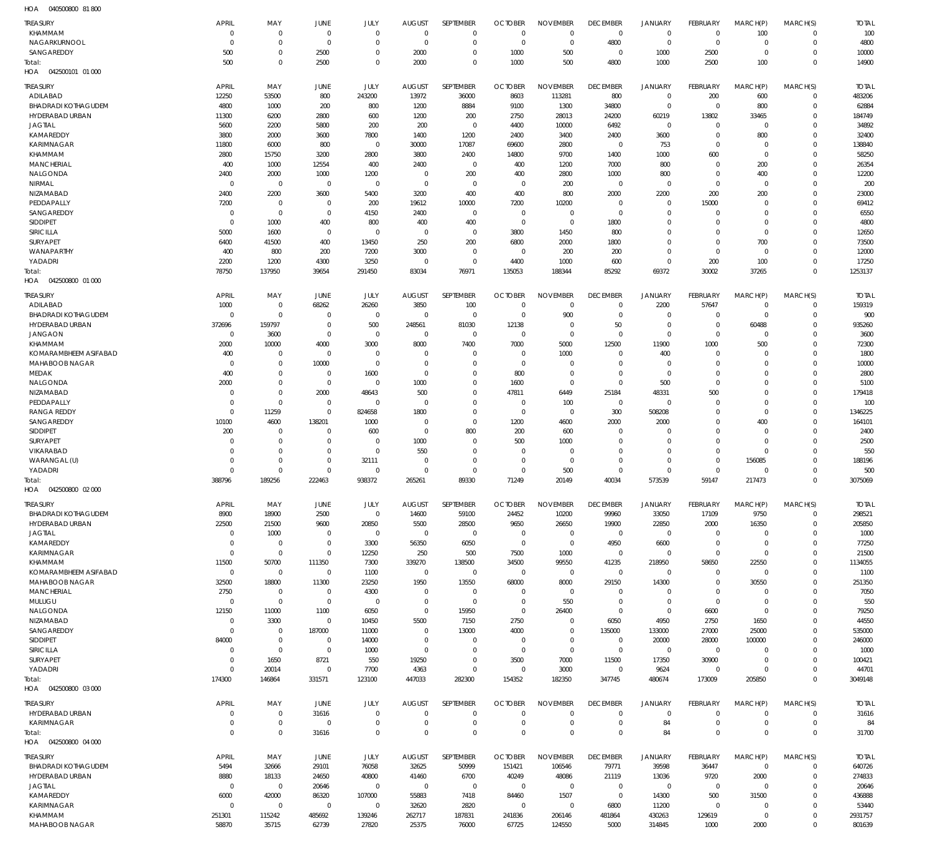040500800 81 800 HOA

| <b>TREASURY</b>                               | <b>APRIL</b>            | MAY                        | JUNE                      | JULY                       | <b>AUGUST</b>                | SEPTEMBER                  | <b>OCTOBER</b>         | <b>NOVEMBER</b>            | <b>DECEMBER</b>               | <b>JANUARY</b>                | FEBRUARY                         | MARCH(P)                   | MARCH(S)                   | <b>TOTAL</b>           |
|-----------------------------------------------|-------------------------|----------------------------|---------------------------|----------------------------|------------------------------|----------------------------|------------------------|----------------------------|-------------------------------|-------------------------------|----------------------------------|----------------------------|----------------------------|------------------------|
| KHAMMAM                                       | $\mathbf 0$             | $\mathbf 0$                | $\mathbf 0$               | $\mathbf 0$                | $\overline{0}$               | $\mathbf 0$                | $\mathbf 0$            | $\mathbf 0$                | $\overline{0}$                | $\mathbf 0$                   | $\overline{0}$                   | 100                        | 0                          | 100                    |
| NAGARKURNOOL<br>SANGAREDDY                    | $\mathbf 0$<br>500      | $\mathbf 0$<br>$\mathbf 0$ | $^{\circ}$                | $\mathbf 0$<br>$\Omega$    | C                            | $\mathbf 0$<br>$\mathbf 0$ | $\mathbf 0$<br>1000    | $\mathbf 0$<br>500         | 4800<br>$\mathbf 0$           | $\mathbf 0$                   | $\overline{0}$                   | $\mathbf 0$<br>$\Omega$    | $\mathbf 0$<br>$\Omega$    | 4800                   |
| Total:                                        | 500                     | $\mathbf 0$                | 2500<br>2500              | $\Omega$                   | 2000<br>2000                 | $\mathbf 0$                | 1000                   | 500                        | 4800                          | 1000<br>1000                  | 2500<br>2500                     | 100                        | $\Omega$                   | 10000<br>14900         |
| 042500101 01 000<br>HOA                       |                         |                            |                           |                            |                              |                            |                        |                            |                               |                               |                                  |                            |                            |                        |
|                                               | APRIL                   |                            |                           |                            |                              |                            |                        |                            |                               |                               |                                  |                            |                            |                        |
| <b>TREASURY</b><br>ADILABAD                   | 12250                   | MAY<br>53500               | <b>JUNE</b><br>800        | JULY<br>243200             | <b>AUGUST</b><br>13972       | SEPTEMBER<br>36000         | <b>OCTOBER</b><br>8603 | <b>NOVEMBER</b><br>113281  | <b>DECEMBER</b><br>800        | <b>JANUARY</b><br>$\mathbf 0$ | FEBRUARY<br>200                  | MARCH(P)<br>600            | MARCH(S)<br>$\mathbf 0$    | <b>TOTAL</b><br>483206 |
| <b>BHADRADI KOTHAGUDEM</b>                    | 4800                    | 1000                       | 200                       | 800                        | 1200                         | 8884                       | 9100                   | 1300                       | 34800                         | $\mathbf 0$                   | $\overline{0}$                   | 800                        | 0                          | 62884                  |
| HYDERABAD URBAN                               | 11300                   | 6200                       | 2800                      | 600                        | 1200                         | 200                        | 2750                   | 28013                      | 24200                         | 60219                         | 13802                            | 33465                      | $\Omega$                   | 184749                 |
| JAGTIAL                                       | 5600                    | 2200                       | 5800                      | 200                        | 200                          | $\mathbf 0$                | 4400                   | 10000                      | 6492                          | $\mathbf 0$                   | $\overline{0}$                   | $\mathbf 0$                | $\Omega$                   | 34892                  |
| KAMAREDDY                                     | 3800                    | 2000                       | 3600                      | 7800                       | 1400                         | 1200                       | 2400                   | 3400                       | 2400                          | 3600                          | $\overline{0}$                   | 800                        | $\Omega$                   | 32400                  |
| KARIMNAGAR                                    | 11800                   | 6000                       | 800                       | $\mathbf 0$                | 30000                        | 17087                      | 69600                  | 2800                       | $\overline{0}$                | 753                           | $\overline{0}$                   | $\mathbf 0$                | $\Omega$                   | 138840                 |
| KHAMMAM                                       | 2800                    | 15750                      | 3200                      | 2800                       | 3800                         | 2400                       | 14800                  | 9700                       | 1400                          | 1000                          | 600                              | $\mathbf 0$                | $\Omega$                   | 58250                  |
| <b>MANCHERIAL</b>                             | 400                     | 1000                       | 12554                     | 400                        | 2400                         | $\mathbf 0$                | 400                    | 1200                       | 7000                          | 800                           | $\overline{0}$                   | 200                        | $\Omega$<br>$\Omega$       | 26354                  |
| NALGONDA<br>NIRMAL                            | 2400<br>$\Omega$        | 2000<br>$\mathbf 0$        | 1000<br>$\mathbf 0$       | 1200<br>$\mathbf 0$        | $\mathbf{0}$<br>$\mathbf{0}$ | 200<br>$\mathbf 0$         | 400<br>$\mathbf 0$     | 2800<br>200                | 1000<br>$\overline{0}$        | 800<br>$\mathbf 0$            | $\overline{0}$<br>$\Omega$       | 400<br>$\Omega$            | $\Omega$                   | 12200<br>200           |
| NIZAMABAD                                     | 2400                    | 2200                       | 3600                      | 5400                       | 3200                         | 400                        | 400                    | 800                        | 2000                          | 2200                          | 200                              | 200                        | $\Omega$                   | 23000                  |
| PEDDAPALLY                                    | 7200                    | $\mathbf 0$                | $\mathbf 0$               | 200                        | 19612                        | 10000                      | 7200                   | 10200                      | $\overline{0}$                | $\mathbf 0$                   | 15000                            | $\Omega$                   | $\Omega$                   | 69412                  |
| SANGAREDDY                                    | $\mathbf 0$             | $\mathbf 0$                | $\overline{0}$            | 4150                       | 2400                         | $\mathbf 0$                | $\mathbf 0$            | $\mathbf 0$                | $\overline{0}$                | $\mathbf 0$                   | $\overline{0}$                   | $\Omega$                   | $\Omega$                   | 6550                   |
| <b>SIDDIPET</b>                               | $\Omega$                | 1000                       | 400                       | 800                        | 400                          | 400                        | $\mathbf 0$            | $\mathbf 0$                | 1800                          | $\mathbf 0$                   | $\Omega$                         | $\Omega$                   | $\Omega$                   | 4800                   |
| <b>SIRICILLA</b>                              | 5000                    | 1600                       | $\mathbf 0$               | $\mathbf 0$                | $\overline{0}$               | $\mathbf 0$                | 3800                   | 1450                       | 800                           | $\mathbf 0$                   | $\Omega$                         | $\Omega$                   | $\Omega$                   | 12650                  |
| <b>SURYAPET</b>                               | 6400                    | 41500                      | 400                       | 13450                      | 250                          | 200                        | 6800                   | 2000                       | 1800                          | $\mathbf 0$                   | $\Omega$                         | 700                        | $\Omega$                   | 73500                  |
| WANAPARTHY                                    | 400                     | 800                        | 200                       | 7200                       | 3000                         | $\mathbf 0$                | $\mathbf 0$            | 200                        | 200                           | $\mathbf 0$                   | $\overline{0}$                   | $\mathbf 0$                | $\Omega$                   | 12000                  |
| YADADRI                                       | 2200                    | 1200                       | 4300                      | 3250                       | $\overline{0}$               | $\mathbf 0$                | 4400                   | 1000                       | 600                           | $\mathbf 0$                   | 200                              | 100                        | $\Omega$                   | 17250                  |
| Total<br>HOA  042500800  01  000              | 78750                   | 137950                     | 39654                     | 291450                     | 83034                        | 76971                      | 135053                 | 188344                     | 85292                         | 69372                         | 30002                            | 37265                      | $\Omega$                   | 1253137                |
|                                               |                         |                            |                           |                            |                              |                            |                        |                            |                               |                               |                                  |                            |                            |                        |
| <b>TREASURY</b>                               | APRIL                   | MAY                        | <b>JUNE</b>               | JULY                       | <b>AUGUST</b>                | SEPTEMBER                  | <b>OCTOBER</b>         | <b>NOVEMBER</b>            | <b>DECEMBER</b>               | <b>JANUARY</b>                | FEBRUARY                         | MARCH(P)                   | MARCH(S)                   | <b>TOTAL</b>           |
| ADILABAD                                      | 1000                    | $\mathbf 0$                | 68262                     | 26260                      | 3850                         | 100                        | $\mathbf 0$            | $\mathbf 0$                | $\overline{0}$                | 2200                          | 57647                            | $\mathbf 0$                | 0                          | 159319                 |
| <b>BHADRADI KOTHAGUDEM</b><br>HYDERABAD URBAN | $\mathbf 0$<br>372696   | $\mathbf 0$<br>159797      | $^{\circ}$<br>$\mathbf 0$ | $\mathbf 0$<br>500         | $\mathbf 0$<br>248561        | $\mathbf 0$<br>81030       | 0<br>12138             | 900<br>$\mathbf 0$         | $\overline{0}$<br>50          | $\overline{0}$<br>$\mathbf 0$ | $\mathbf 0$<br>$\overline{0}$    | $\mathbf 0$<br>60488       | $\mathbf 0$<br>$\Omega$    | 900<br>935260          |
| <b>JANGAON</b>                                | 0                       | 3600                       | $\mathbf 0$               | $\mathbf 0$                | $\mathbf 0$                  | $\mathbf 0$                | $\mathbf 0$            | $\mathbf 0$                | $\overline{0}$                | $\mathbf 0$                   | $\Omega$                         | $\Omega$                   | $\Omega$                   | 3600                   |
| KHAMMAM                                       | 2000                    | 10000                      | 4000                      | 3000                       | 8000                         | 7400                       | 7000                   | 5000                       | 12500                         | 11900                         | 1000                             | 500                        | $\Omega$                   | 72300                  |
| KOMARAMBHEEM ASIFABAD                         | 400                     | $\mathbf 0$                | $^{\circ}$                | $\mathbf 0$                | 0                            | $\mathbf 0$                | $\mathbf 0$            | 1000                       | $\mathbf 0$                   | 400                           | $\mathbf 0$                      | $\Omega$                   | $\Omega$                   | 1800                   |
| MAHABOOB NAGAR                                | 0                       | $\mathbf 0$                | 10000                     | $\mathbf 0$                | C                            | $\mathbf 0$                | $\mathbf 0$            | $\mathbf 0$                | $\Omega$                      | $\mathbf 0$                   | $\Omega$                         | $\Omega$                   | $\Omega$                   | 10000                  |
| MEDAK                                         | 400                     | $\mathbf 0$                | $\mathbf 0$               | 1600                       | $\Omega$                     | $\mathbf 0$                | 800                    | $\mathbf 0$                | $\mathbf 0$                   | $\mathbf 0$                   | $\Omega$                         | $\Omega$                   | $\Omega$                   | 2800                   |
| NALGONDA                                      | 2000                    | $\mathbf 0$                | $\mathbf 0$               | $\mathbf 0$                | 1000                         | $\mathbf 0$                | 1600                   | $\mathbf 0$                | $\overline{0}$                | 500                           | $\Omega$                         | $\Omega$                   | $\Omega$                   | 5100                   |
| NIZAMABAD                                     | $\mathbf 0$             | $\mathbf 0$                | 2000                      | 48643                      | 500                          | $\mathbf 0$                | 47811                  | 6449                       | 25184                         | 48331                         | 500                              | $\Omega$                   | $\Omega$                   | 179418                 |
| PEDDAPALLY                                    | $\Omega$                | $\mathbf 0$                | $\mathbf 0$               | $\mathbf 0$                | $\mathbf 0$                  | $\mathbf 0$                | $\mathbf 0$            | 100                        | $\overline{0}$                | $\mathbf 0$                   | $\Omega$                         | $\Omega$                   | $\Omega$                   | 100                    |
| <b>RANGA REDDY</b>                            | $\Omega$                | 11259                      | $^{\circ}$                | 824658                     | 1800                         | $\mathbf 0$                | $\mathbf 0$            | $\mathbf 0$                | 300                           | 508208                        | $\Omega$                         | $\Omega$                   | $\Omega$                   | 1346225                |
| SANGAREDDY<br><b>SIDDIPET</b>                 | 10100<br>200            | 4600<br>$\mathbf 0$        | 138201<br>0               | 1000<br>600                | $\mathbf 0$<br>0             | $\mathbf 0$<br>800         | 1200<br>200            | 4600<br>600                | 2000<br>$\mathbf 0$           | 2000<br>$\mathbf 0$           | $\Omega$<br>$\Omega$             | 400<br>$\Omega$            | $\Omega$<br>$\Omega$       | 164101<br>2400         |
| <b>SURYAPET</b>                               | $\Omega$                | $\mathbf 0$                | $\mathbf 0$               | $\mathbf 0$                | 1000                         | $\mathbf 0$                | 500                    | 1000                       | $\Omega$                      | $\Omega$                      | $\Omega$                         | $\Omega$                   | $\Omega$                   | 2500                   |
| VIKARABAD                                     | $\Omega$                | $\mathbf 0$                | $\mathbf 0$               | $\mathbf 0$                | 550                          | $\mathbf 0$                | $\mathbf 0$            | $\mathbf 0$                | $\mathbf 0$                   | $\mathbf 0$                   | $\Omega$                         | $\Omega$                   | $\Omega$                   | 550                    |
| WARANGAL (U)                                  | $\Omega$                | $\mathbf 0$                | $\mathbf 0$               | 32111                      | 0                            | $\mathbf 0$                | 0                      | $\mathbf 0$                | $\Omega$                      | $\mathbf 0$                   | $\Omega$                         | 156085                     | $\Omega$                   | 188196                 |
| YADADRI                                       | $\Omega$                | $\mathbf 0$                | $\Omega$                  | $\mathbf 0$                | C                            | $\mathbf 0$                | $\Omega$               | 500                        | $\Omega$                      | $\mathbf 0$                   | $\Omega$                         | $\Omega$                   | $\Omega$                   | 500                    |
| Total:                                        | 388796                  | 189256                     | 222463                    | 938372                     | 265261                       | 89330                      | 71249                  | 20149                      | 40034                         | 573539                        | 59147                            | 217473                     | $\Omega$                   | 3075069                |
| HOA  042500800  02  000                       |                         |                            |                           |                            |                              |                            |                        |                            |                               |                               |                                  |                            |                            |                        |
| <b>TREASURY</b>                               | <b>APRIL</b>            | MAY                        | JUNE                      | JULY                       | <b>AUGUST</b>                | SEPTEMBER                  | <b>OCTOBER</b>         | <b>NOVEMBER</b>            | <b>DECEMBER</b>               | <b>JANUARY</b>                | FEBRUARY                         | MARCH(P)                   | MARCH(S)                   | <b>TOTAL</b>           |
| <b>BHADRADI KOTHAGUDEM</b>                    | 8900                    | 18900                      | 2500                      | $\mathbf 0$                | 14600                        | 59100                      | 24452                  | 10200                      | 99960                         | 33050                         | 17109                            | 9750                       | $\Omega$                   | 298521                 |
| HYDERABAD URBAN                               | 22500                   | 21500                      | 9600                      | 20850                      | 5500                         | 28500                      | 9650                   | 26650                      | 19900                         | 22850                         | 2000                             | 16350                      | $\mathbf 0$                | 205850                 |
| JAGTIAL                                       | $\mathbf 0$             | 1000                       | $\mathbf 0$               | $\mathbf 0$                | $\mathbf{0}$                 | $\mathbf 0$                | $\mathbf 0$            | $\mathbf 0$                | $\overline{0}$                | $\mathbf 0$                   | $\overline{0}$                   | 0                          | $\Omega$                   | 1000                   |
| KAMAREDDY                                     | $\mathbf 0$             | $\mathbf 0$                | $\mathbf 0$               | 3300                       | 56350                        | 6050                       | $\mathbf 0$            | $\mathbf 0$                | 4950                          | 6600                          | $\overline{0}$                   | $\mathbf 0$                | $\Omega$                   | 77250                  |
| KARIMNAGAR                                    | $\mathbf 0$             | $\mathbf 0$                | $\overline{0}$            | 12250                      | 250                          | 500                        | 7500                   | 1000                       | $\overline{0}$                | $\mathbf 0$                   | $\mathbf 0$                      | $\mathbf 0$                | $\Omega$                   | 21500                  |
| <b>KHAMMAM</b>                                | 11500                   | 50700                      | 111350                    | 7300                       | 339270                       | 138500                     | 34500                  | 99550                      | 41235                         | 218950                        | 58650                            | 22550                      | $\Omega$                   | 1134055                |
| KOMARAMBHEEM ASIFABAD<br>MAHABOOB NAGAR       | $\mathbf 0$<br>32500    | $\mathbf 0$<br>18800       | $\overline{0}$<br>11300   | 1100<br>23250              | $\mathbf 0$<br>1950          | $\mathbf 0$<br>13550       | $\mathbf 0$<br>68000   | $\mathbf 0$<br>8000        | $\mathbf 0$<br>29150          | $\mathbf 0$<br>14300          | $\overline{0}$<br>$\overline{0}$ | $\mathbf 0$<br>30550       | $\Omega$<br>$\Omega$       | 1100<br>251350         |
| <b>MANCHERIAL</b>                             | 2750                    | $\mathbf 0$                | $\mathbf 0$               | 4300                       | 0                            | 0                          | $\mathbf 0$            | $\mathbf 0$                | $\overline{0}$                | $\mathbf 0$                   | $\overline{0}$                   | $\Omega$                   | $\Omega$                   | 7050                   |
| MULUGU                                        | $\mathbf 0$             | $\mathbf 0$                | $\overline{0}$            | $\mathbf 0$                | $\mathbf 0$                  | $\mathbf 0$                | $\mathbf 0$            | 550                        | $\overline{0}$                | $\mathbf 0$                   | $\overline{0}$                   | $\mathbf 0$                | $\Omega$                   | 550                    |
| NALGONDA                                      | 12150                   | 11000                      | 1100                      | 6050                       | 0                            | 15950                      | $\mathbf 0$            | 26400                      | $\mathbf 0$                   | $\mathbf 0$                   | 6600                             | $\mathbf 0$                | $\Omega$                   | 79250                  |
| NIZAMABAD                                     | $\mathbf 0$             | 3300                       | $\mathbf 0$               | 10450                      | 5500                         | 7150                       | 2750                   | $\mathbf 0$                | 6050                          | 4950                          | 2750                             | 1650                       | $\Omega$                   | 44550                  |
| SANGAREDDY                                    | $\mathbf 0$             | $\mathbf 0$                | 187000                    | 11000                      | $\mathbf 0$                  | 13000                      | 4000                   | $\mathbf 0$                | 135000                        | 133000                        | 27000                            | 25000                      | $\Omega$                   | 535000                 |
| <b>SIDDIPET</b>                               | 84000                   | $\mathbf 0$                | $\mathbf 0$               | 14000                      | $\mathbf 0$                  | $\mathbf 0$                | $\mathbf 0$            | $\mathbf 0$                | $\mathbf 0$                   | 20000                         | 28000                            | 100000                     | $\Omega$                   | 246000                 |
| <b>SIRICILLA</b>                              | $\mathbf 0$             | $\mathbf 0$                | $\mathbf 0$               | 1000                       | $\mathbf 0$                  | $\mathbf 0$                | $\mathbf 0$            | $\mathsf 0$                | $\mathbf 0$                   | $\mathbf 0$                   | $\mathbf 0$                      | $\Omega$                   | $\Omega$                   | 1000                   |
| SURYAPET                                      | $\mathbf 0$<br>$\Omega$ | 1650                       | 8721                      | 550                        | 19250                        | $\mathbf 0$                | 3500                   | 7000                       | 11500<br>$\overline{0}$       | 17350                         | 30900                            | $\mathbf 0$<br>$\Omega$    | $\Omega$                   | 100421                 |
| YADADRI<br>Total:                             | 174300                  | 20014<br>146864            | $\mathbf 0$<br>331571     | 7700<br>123100             | 4363<br>447033               | $\mathbf 0$<br>282300      | $\mathbf 0$<br>154352  | 3000<br>182350             | 347745                        | 9624<br>480674                | $\overline{0}$<br>173009         | 205850                     | $\Omega$<br>$\Omega$       | 44701<br>3049148       |
| HOA  042500800  03  000                       |                         |                            |                           |                            |                              |                            |                        |                            |                               |                               |                                  |                            |                            |                        |
|                                               |                         |                            |                           |                            |                              |                            |                        |                            |                               |                               |                                  |                            |                            |                        |
| <b>TREASURY</b>                               | <b>APRIL</b>            | MAY                        | <b>JUNE</b>               | JULY                       | <b>AUGUST</b>                | SEPTEMBER                  | <b>OCTOBER</b>         | <b>NOVEMBER</b>            | <b>DECEMBER</b>               | <b>JANUARY</b>                | FEBRUARY                         | MARCH(P)                   | MARCH(S)                   | <b>TOTAL</b>           |
| HYDERABAD URBAN                               | 0                       | $\mathbf 0$                | 31616                     | $\mathbf 0$<br>$\mathbf 0$ | 0                            | $\mathbf 0$<br>$\mathbf 0$ | $\mathbf 0$            | $\mathbf 0$<br>$\mathbf 0$ | $\overline{0}$                | $\mathbf 0$                   | $\overline{0}$                   | $\mathbf 0$                | 0                          | 31616                  |
| KARIMNAGAR<br>Total:                          | 0<br>$\mathbf 0$        | $\mathbf 0$<br>$\mathbf 0$ | $^{\circ}$<br>31616       | $\mathbf 0$                | O<br>$\mathbf 0$             | $\mathsf 0$                | 0<br>$\mathbf 0$       | $\mathbf 0$                | $\mathbf 0$<br>$\overline{0}$ | 84<br>84                      | 0<br>$\overline{0}$              | $\mathbf 0$<br>$\mathbf 0$ | $\mathbf 0$<br>$\mathbf 0$ | 84<br>31700            |
| HOA  042500800  04  000                       |                         |                            |                           |                            |                              |                            |                        |                            |                               |                               |                                  |                            |                            |                        |
|                                               |                         |                            |                           |                            |                              |                            |                        |                            |                               |                               |                                  |                            |                            |                        |
| <b>TREASURY</b>                               | APRIL                   | MAY                        | JUNE                      | <b>JULY</b>                | <b>AUGUST</b>                | SEPTEMBER                  | <b>OCTOBER</b>         | <b>NOVEMBER</b>            | <b>DECEMBER</b>               | <b>JANUARY</b>                | <b>FEBRUARY</b>                  | MARCH(P)                   | MARCH(S)                   | <b>TOTAL</b>           |
| <b>BHADRADI KOTHAGUDEM</b><br>HYDERABAD URBAN | 5494<br>8880            | 32666<br>18133             | 29101<br>24650            | 76058<br>40800             | 32625                        | 50999<br>6700              | 151421                 | 106546<br>48086            | 79771<br>21119                | 39598<br>13036                | 36447<br>9720                    | $\mathbf 0$<br>2000        | 0<br>$\mathbf 0$           | 640726<br>274833       |
| JAGTIAL                                       | $\mathbf 0$             | $\mathbf 0$                | 20646                     | $\mathbf 0$                | 41460<br>$\mathbf 0$         | $\mathbf 0$                | 40249<br>$\mathbf 0$   | $\mathbf 0$                | $\overline{0}$                | $\mathbf 0$                   | $\overline{0}$                   | $\mathbf 0$                | 0                          | 20646                  |
| KAMAREDDY                                     | 6000                    | 42000                      | 86320                     | 107000                     | 55883                        | 7418                       | 84460                  | 1507                       | $\overline{0}$                | 14300                         | 500                              | 31500                      | $\Omega$                   | 436888                 |
| KARIMNAGAR                                    | $\mathbf 0$             | $\mathbf 0$                | $\mathbf 0$               | $\mathbf 0$                | 32620                        | 2820                       | $\mathbf 0$            | $\mathbf 0$                | 6800                          | 11200                         | $\overline{0}$                   | $\mathbf 0$                | $\Omega$                   | 53440                  |
| KHAMMAM                                       | 251301                  | 115242                     | 485692                    | 139246                     | 262717                       | 187831                     | 241836                 | 206146                     | 481864                        | 430263                        | 129619                           | $\mathbf 0$                | $\Omega$                   | 2931757                |
| MAHABOOB NAGAR                                | 58870                   | 35715                      | 62739                     | 27820                      | 25375                        | 76000                      | 67725                  | 124550                     | 5000                          | 314845                        | 1000                             | 2000                       | $\Omega$                   | 801639                 |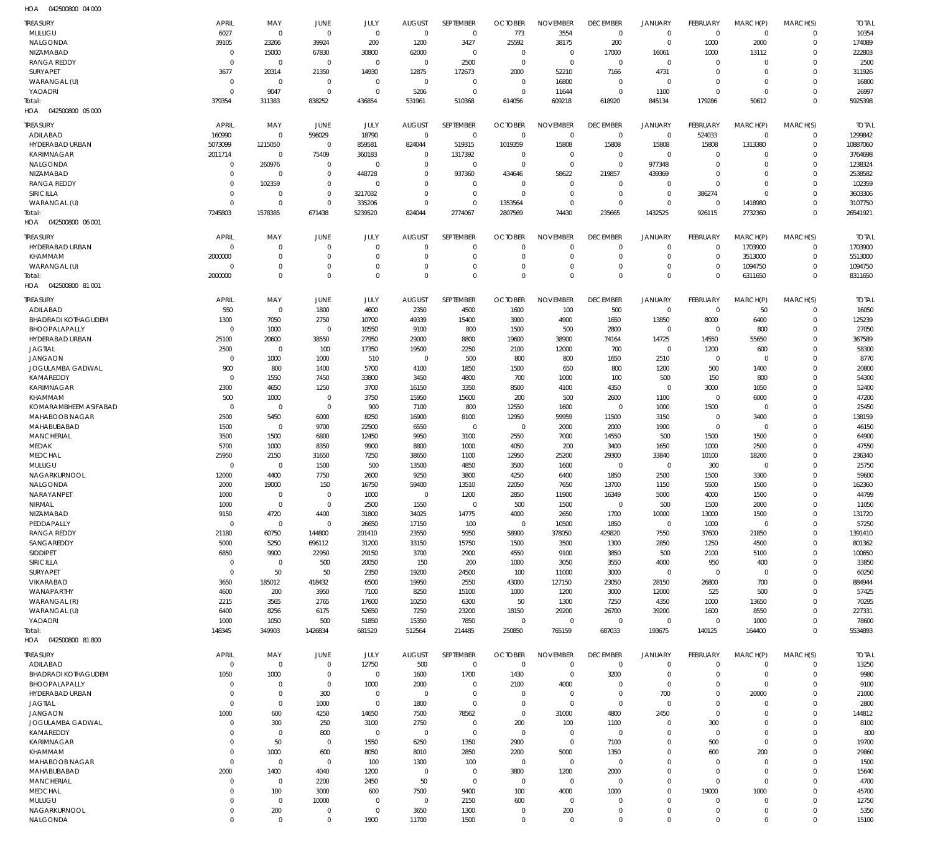042500800 04 000 HOA

| <b>TREASURY</b>                                | <b>APRIL</b>                 | MAY                         | JUNE                 | JULY                        | <b>AUGUST</b>        | SEPTEMBER                  | <b>OCTOBER</b>                | <b>NOVEMBER</b>                | <b>DECEMBER</b>            | JANUARY                       | <b>FEBRUARY</b>               | MARCH(P)                | MARCH(S)                | <b>TOTAL</b>          |
|------------------------------------------------|------------------------------|-----------------------------|----------------------|-----------------------------|----------------------|----------------------------|-------------------------------|--------------------------------|----------------------------|-------------------------------|-------------------------------|-------------------------|-------------------------|-----------------------|
| MULUGU                                         | 6027                         | $\overline{0}$              | $\mathbf{0}$         | $\mathbf{0}$                | $\overline{0}$       | $\mathbf 0$                | 773                           | 3554                           | 0                          | 0                             | $\overline{0}$                | $\mathbf 0$             | $\mathbf 0$             | 10354                 |
| <b>NALGONDA</b><br>NIZAMABAD                   | 39105<br>$\mathbf{0}$        | 23266<br>15000              | 39924<br>67830       | 200<br>30800                | 1200<br>62000        | 3427<br>$\mathbf 0$        | 25592<br>$\overline{0}$       | 38175<br>$\mathbf 0$           | 200<br>17000               | $\mathbf 0$<br>16061          | 1000<br>1000                  | 2000<br>13112           | $\Omega$<br>0           | 174089<br>222803      |
| RANGA REDDY                                    | $\Omega$                     | $\mathbf{0}$                | $\Omega$             | $\mathbf{0}$                | $\mathbf{0}$         | 2500                       | $\mathbf 0$                   | $\mathbf 0$                    | $\mathbf 0$                | $\mathbf 0$                   | $\overline{0}$                | $\mathbf 0$             | $\Omega$                | 2500                  |
| SURYAPET                                       | 3677                         | 20314                       | 21350                | 14930                       | 12875                | 172673                     | 2000                          | 52210                          | 7166                       | 4731                          | $\overline{0}$                | $\mathbf 0$             | $\Omega$                | 311926                |
| WARANGAL (U)                                   | $\mathbf{0}$                 | $\mathbf{0}$                | $\mathbf{0}$         | $\Omega$<br>$\Omega$        | $\overline{0}$       | $\mathbf 0$                | $\overline{0}$                | 16800                          | $\overline{0}$             | $\mathbf 0$                   | $\Omega$                      | $\Omega$                | $\Omega$                | 16800                 |
| YADADRI<br>Total:                              | $\Omega$<br>379354           | 9047<br>311383              | $\Omega$<br>838252   | 436854                      | 5206<br>531961       | $\mathbf 0$<br>510368      | $\Omega$<br>614056            | 11644<br>609218                | $\mathbf 0$<br>618920      | 1100<br>845134                | $\Omega$<br>179286            | $\mathbf 0$<br>50612    | $\Omega$<br>$\Omega$    | 26997<br>5925398      |
| HOA  042500800  05  000                        |                              |                             |                      |                             |                      |                            |                               |                                |                            |                               |                               |                         |                         |                       |
| <b>TREASURY</b>                                | APRIL                        | MAY                         | JUNE                 | JULY                        | <b>AUGUST</b>        | SEPTEMBER                  | <b>OCTOBER</b>                | <b>NOVEMBER</b>                | <b>DECEMBER</b>            | <b>JANUARY</b>                | FEBRUARY                      | MARCH(P)                | MARCH(S)                | <b>TOTAL</b>          |
| ADILABAD                                       | 160990                       | $\mathbf{0}$                | 596029               | 18790                       | $\Omega$             | $\mathbf 0$                | $\mathbf 0$                   | $\mathbf 0$                    | $\mathbf 0$                | $\mathbf 0$                   | 524033                        | $\mathbf 0$             | $\Omega$                | 1299842               |
| HYDERABAD URBAN<br><b>KARIMNAGAR</b>           | 5073099<br>2011714           | 1215050<br>$\mathbf{0}$     | $\Omega$<br>75409    | 859581<br>360183            | 824044<br>$\Omega$   | 519315<br>1317392          | 1019359<br>$\Omega$           | 15808<br>$\Omega$              | 15808<br>$\mathbf 0$       | 15808<br>$\mathbf 0$          | 15808<br>$\overline{0}$       | 1313380<br>$\Omega$     | $\mathbf 0$<br>$\Omega$ | 10887060<br>3764698   |
| NALGONDA                                       | $\mathbf 0$                  | 260976                      | $\Omega$             | $\Omega$                    | $\Omega$             | $\mathbf{0}$               | $\mathbf{0}$                  | $\mathbf 0$                    | $\mathbf 0$                | 977348                        | $\overline{0}$                | $\Omega$                | $\Omega$                | 1238324               |
| NIZAMABAD                                      | $\mathbf{0}$                 | $\mathbf{0}$                | $\Omega$             | 448728                      | $\Omega$             | 937360                     | 434646                        | 58622                          | 219857                     | 439369                        | $\Omega$                      | $\Omega$                | $\Omega$                | 2538582               |
| <b>RANGA REDDY</b>                             | $\mathbf{0}$                 | 102359                      | $\Omega$             | $\Omega$                    | $\Omega$             | $\Omega$                   | $\Omega$                      | $\mathbf 0$                    | $\mathbf 0$                | $\mathbf 0$                   | $\Omega$                      | $\Omega$                | $\Omega$                | 102359                |
| SIRICILLA<br>WARANGAL (U)                      | $\mathbf{0}$<br>$\Omega$     | $\mathbf{0}$<br>$\Omega$    | $\Omega$<br>$\Omega$ | 3217032<br>335206           | $\Omega$<br>$\Omega$ | $\mathbf 0$<br>$\Omega$    | $\Omega$<br>1353564           | $\mathbf 0$<br>$\Omega$        | $\mathbf 0$<br>$\mathbf 0$ | $\mathbf 0$<br>$\mathbf 0$    | 386274<br>$\Omega$            | $\Omega$<br>1418980     | $\Omega$<br>$\Omega$    | 3603306<br>3107750    |
| Total:                                         | 7245803                      | 1578385                     | 671438               | 5239520                     | 824044               | 2774067                    | 2807569                       | 74430                          | 235665                     | 1432525                       | 926115                        | 2732360                 | $\Omega$                | 26541921              |
| HOA  042500800  06  001                        |                              |                             |                      |                             |                      |                            |                               |                                |                            |                               |                               |                         |                         |                       |
| <b>TREASURY</b>                                | <b>APRIL</b>                 | MAY                         | JUNE                 | JULY                        | <b>AUGUST</b>        | SEPTEMBER                  | <b>OCTOBER</b>                | <b>NOVEMBER</b>                | <b>DECEMBER</b>            | <b>JANUARY</b>                | FEBRUARY                      | MARCH(P)                | MARCH(S)                | <b>TOTAL</b>          |
| HYDERABAD URBAN                                | $\Omega$                     | $\mathbf{0}$                | $\Omega$             | $\Omega$                    | $\Omega$             | $\mathbf 0$                | $\Omega$                      | $\mathbf 0$                    | $\mathbf 0$                | 0                             | $^{\circ}$                    | 1703900                 | $\mathbf 0$             | 1703900               |
| KHAMMAM<br>WARANGAL (U)                        | 2000000<br>0                 | $\mathbf{0}$<br>$\mathbf 0$ | $\Omega$<br>$\Omega$ | $\Omega$<br>$\Omega$        | $\Omega$<br>$\Omega$ | $\mathbf 0$<br>$\mathbf 0$ | $\Omega$<br>$\Omega$          | $\mathbf 0$<br>$\mathbf 0$     | $\mathbf 0$<br>$\mathbf 0$ | $\mathbf 0$<br>$\mathbf 0$    | $\mathbf 0$<br>$\mathbf 0$    | 3513000<br>1094750      | $\mathbf 0$<br>0        | 5513000<br>1094750    |
| Total:                                         | 2000000                      | $\overline{0}$              | $\Omega$             | $\Omega$                    | $\Omega$             | $\Omega$                   | $\Omega$                      | $\Omega$                       | $\Omega$                   | $\mathbf 0$                   | $\Omega$                      | 6311650                 | $\Omega$                | 8311650               |
| HOA<br>042500800 81 001                        |                              |                             |                      |                             |                      |                            |                               |                                |                            |                               |                               |                         |                         |                       |
| <b>TREASURY</b>                                | <b>APRIL</b>                 | MAY                         | JUNE                 | JULY                        | <b>AUGUST</b>        | SEPTEMBER                  | <b>OCTOBER</b>                | <b>NOVEMBER</b>                | <b>DECEMBER</b>            | <b>JANUARY</b>                | FEBRUARY                      | MARCH(P)                | MARCH(S)                | <b>TOTAL</b>          |
| ADILABAD                                       | 550                          | $\mathbf{0}$                | 1800                 | 4600                        | 2350                 | 4500                       | 1600                          | 100                            | 500                        | $\mathbf 0$                   | $\mathbf 0$                   | 50                      | $\Omega$                | 16050                 |
| <b>BHADRADI KOTHAGUDEM</b><br>BHOOPALAPALLY    | 1300<br>$\Omega$             | 7050<br>1000                | 2750<br>$\mathbf{0}$ | 10700<br>10550              | 49339<br>9100        | 15400<br>800               | 3900<br>1500                  | 4900<br>500                    | 1650<br>2800               | 13850<br>$\mathbf 0$          | 8000<br>$\overline{0}$        | 6400<br>800             | $\mathbf 0$<br>$\Omega$ | 125239<br>27050       |
| HYDERABAD URBAN                                | 25100                        | 20600                       | 38550                | 27950                       | 29000                | 8800                       | 19600                         | 38900                          | 74164                      | 14725                         | 14550                         | 55650                   | $\Omega$                | 367589                |
| <b>JAGTIAL</b>                                 | 2500                         | $\mathbf{0}$                | 100                  | 17350                       | 19500                | 2250                       | 2100                          | 12000                          | 700                        | $\mathbf 0$                   | 1200                          | 600                     | $\Omega$                | 58300                 |
| <b>JANGAON</b>                                 | $\Omega$                     | 1000                        | 1000                 | 510                         | $\Omega$             | 500                        | 800                           | 800                            | 1650                       | 2510                          | $\mathbf 0$                   | $\Omega$                | $\Omega$                | 8770                  |
| JOGULAMBA GADWAL<br>KAMAREDDY                  | 900<br>$\Omega$              | 800<br>1550                 | 1400<br>7450         | 5700<br>33800               | 4100<br>3450         | 1850<br>4800               | 1500<br>700                   | 650<br>1000                    | 800<br>100                 | 1200<br>500                   | 500<br>150                    | 1400<br>800             | $\Omega$<br>$\Omega$    | 20800<br>54300        |
| KARIMNAGAR                                     | 2300                         | 4650                        | 1250                 | 3700                        | 16150                | 3350                       | 8500                          | 4100                           | 4350                       | $\mathbf 0$                   | 3000                          | 1050                    | $\Omega$                | 52400                 |
| KHAMMAM                                        | 500                          | 1000                        | $\Omega$             | 3750                        | 15950                | 15600                      | 200                           | 500                            | 2600                       | 1100                          | $\overline{0}$                | 6000                    | $\Omega$                | 47200                 |
| KOMARAMBHEEM ASIFABAD<br><b>MAHABOOB NAGAR</b> | $\Omega$<br>2500             | $\mathbf{0}$<br>5450        | $\mathbf{0}$<br>6000 | 900<br>8250                 | 7100<br>16900        | 800<br>8100                | 12550<br>12950                | 1600<br>59959                  | $\Omega$<br>11500          | 1000<br>3150                  | 1500<br>$\mathbf 0$           | $\mathbf 0$<br>3400     | $\Omega$<br>$\Omega$    | 25450<br>138159       |
| MAHABUBABAD                                    | 1500                         | 0                           | 9700                 | 22500                       | 6550                 | $\Omega$                   | $^{\circ}$                    | 2000                           | 2000                       | 1900                          | $\mathbf 0$                   | $\mathbf 0$             | $\Omega$                | 46150                 |
| <b>MANCHERIAL</b>                              | 3500                         | 1500                        | 6800                 | 12450                       | 9950                 | 3100                       | 2550                          | 7000                           | 14550                      | 500                           | 1500                          | 1500                    | $\Omega$                | 64900                 |
| <b>MEDAK</b>                                   | 5700                         | 1000                        | 8350                 | 9900                        | 8800                 | 1000                       | 4050                          | 200                            | 3400                       | 1650                          | 1000                          | 2500                    | $\Omega$                | 47550                 |
| <b>MEDCHAL</b><br>MULUGU                       | 25950<br>$\Omega$            | 2150<br>$\mathbf{0}$        | 31650<br>1500        | 7250<br>500                 | 38650<br>13500       | 1100<br>4850               | 12950<br>3500                 | 25200<br>1600                  | 29300<br>$\mathbf 0$       | 33840<br>$\mathbf 0$          | 10100<br>300                  | 18200<br>$\mathbf 0$    | $\Omega$<br>$\Omega$    | 236340<br>25750       |
| NAGARKURNOOL                                   | 12000                        | 4400                        | 7750                 | 2600                        | 9250                 | 3800                       | 4250                          | 6400                           | 1850                       | 2500                          | 1500                          | 3300                    | $\Omega$                | 59600                 |
| NALGONDA                                       | 2000                         | 19000                       | 150                  | 16750                       | 59400                | 13510                      | 22050                         | 7650                           | 13700                      | 1150                          | 5500                          | 1500                    | $\Omega$                | 162360                |
| NARAYANPET                                     | 1000                         | $\Omega$                    | $\mathbf 0$          | 1000                        | 0                    | 1200                       | 2850                          | 11900                          | 16349                      | 5000                          | 4000                          | 1500                    | $\Omega$                | 44799                 |
| NIRMAL<br>NIZAMABAD                            | 1000<br>9150                 | $\mathbf{0}$<br>4720        | $\Omega$<br>4400     | 2500<br>31800               | 1550<br>34025        | $\mathbf 0$<br>14775       | 500<br>4000                   | 1500<br>2650                   | $\mathbf 0$<br>1700        | 500<br>10000                  | 1500<br>13000                 | 2000<br>1500            | $\Omega$<br>$\Omega$    | 11050<br>131720       |
| PEDDAPALLY                                     | $\Omega$                     | $\mathbf{0}$                | $\mathbf{0}$         | 26650                       | 17150                | 100                        | $\mathbf{0}$                  | 10500                          | 1850                       | $\mathbf 0$                   | 1000                          | $\mathbf 0$             | $\Omega$                | 57250                 |
| RANGA REDDY                                    | 21180                        | 60750                       | 144800               | 201410                      | 23550                | 5950                       | 58900                         | 378050                         | 429820                     | 7550                          | 37600                         | 21850                   | $\Omega$                | 1391410               |
| SANGAREDDY<br><b>SIDDIPET</b>                  | 5000<br>6850                 | 5250<br>9900                | 696112<br>22950      | 31200<br>29150              | 33150<br>3700        | 15750<br>2900              | 1500<br>4550                  | 3500<br>9100                   | 1300<br>3850               | 2850<br>500                   | 1250<br>2100                  | 4500<br>5100            | $\Omega$<br>$\Omega$    | 801362<br>100650      |
| SIRICILLA                                      | $\mathbf{0}$                 | $\overline{0}$              | 500                  | 20050                       | 150                  | 200                        | 1000                          | 3050                           | 3550                       | 4000                          | 950                           | 400                     | $\Omega$                | 33850                 |
| SURYAPET                                       | $\Omega$                     | 50                          | 50                   | 2350                        | 19200                | 24500                      | 100                           | 11000                          | 3000                       | $\mathbf 0$                   | $\mathbf 0$                   | $\mathbf 0$             | $\Omega$                | 60250                 |
| VIKARABAD                                      | 3650                         | 185012                      | 418432               | 6500                        | 19950                | 2550                       | 43000                         | 127150                         | 23050                      | 28150                         | 26800                         | 700                     | $\Omega$                | 884944                |
| WANAPARTHY<br>WARANGAL (R)                     | 4600<br>2215                 | 200<br>3565                 | 3950<br>2765         | 7100<br>17600               | 8250<br>10250        | 15100<br>6300              | 1000<br>50                    | 1200<br>1300                   | 3000<br>7250               | 12000<br>4350                 | 525<br>1000                   | 500<br>13650            | $\Omega$<br>$\Omega$    | 57425<br>70295        |
| WARANGAL (U)                                   | 6400                         | 8256                        | 6175                 | 52650                       | 7250                 | 23200                      | 18150                         | 29200                          | 26700                      | 39200                         | 1600                          | 8550                    | $\Omega$                | 227331                |
| YADADRI                                        | 1000                         | 1050                        | 500                  | 51850                       | 15350                | 7850                       | $\mathbf 0$                   | $\mathbf 0$                    | $\mathbf 0$                | $\mathbf 0$                   | $\mathbf 0$                   | 1000                    | $\Omega$                | 78600                 |
| Total:<br>HOA  042500800  81 800               | 148345                       | 349903                      | 1426834              | 681520                      | 512564               | 214485                     | 250850                        | 765159                         | 687033                     | 193675                        | 140125                        | 164400                  | $\Omega$                | 5534893               |
|                                                |                              |                             |                      |                             |                      |                            |                               |                                |                            |                               |                               |                         |                         |                       |
| <b>TREASURY</b><br>ADILABAD                    | <b>APRIL</b><br>$\mathbf{0}$ | MAY<br>$\boldsymbol{0}$     | JUNE<br>$\mathbf{0}$ | JULY<br>12750               | <b>AUGUST</b><br>500 | SEPTEMBER<br>$\mathbf 0$   | <b>OCTOBER</b><br>$\mathbf 0$ | <b>NOVEMBER</b><br>$\mathbf 0$ | <b>DECEMBER</b><br>0       | <b>JANUARY</b><br>$\mathbf 0$ | <b>FEBRUARY</b><br>$^{\circ}$ | MARCH(P)<br>$\mathbf 0$ | MARCH(S)<br>$\mathbf 0$ | <b>TOTAL</b><br>13250 |
| <b>BHADRADI KOTHAGUDEM</b>                     | 1050                         | 1000                        | $\mathbf{0}$         | $\mathbf{0}$                | 1600                 | 1700                       | 1430                          | $\mathbf 0$                    | 3200                       | 0                             | $\mathbf 0$                   | $\mathbf 0$             | $\mathbf 0$             | 9980                  |
| BHOOPALAPALLY                                  | 0                            | $\mathbf 0$                 | $\mathbf{0}$         | 1000                        | 2000                 | $\mathbf 0$                | 2100                          | 4000                           | $\mathbf 0$                | $\mathbf 0$                   | $\mathbf 0$                   | $\mathbf 0$             | $\Omega$                | 9100                  |
| HYDERABAD URBAN<br><b>JAGTIAL</b>              | $\mathbf{0}$<br>$\mathbf{0}$ | $\mathbf 0$<br>$\mathbf 0$  | 300<br>1000          | $\mathbf{0}$<br>$\mathbf 0$ | $\mathbf{0}$<br>1800 | $\mathbf 0$<br>$\mathbf 0$ | $\mathbf 0$<br>$\mathbf 0$    | $\mathbf 0$<br>$\mathbf 0$     | $\mathbf 0$<br>$\mathbf 0$ | 700<br>$\mathbf 0$            | $\mathbf 0$<br>$\Omega$       | 20000<br>$\mathbf 0$    | $\mathbf 0$<br>$\Omega$ | 21000<br>2800         |
| <b>JANGAON</b>                                 | 1000                         | 600                         | 4250                 | 14650                       | 7500                 | 78562                      | $\mathbf 0$                   | 31000                          | 4800                       | 2450                          | $\Omega$                      | $\mathbf 0$             | $\Omega$                | 144812                |
| JOGULAMBA GADWAL                               | $\mathbf{0}$                 | 300                         | 250                  | 3100                        | 2750                 | $\mathbf 0$                | 200                           | 100                            | 1100                       | $\mathbf 0$                   | 300                           | $\mathbf 0$             | $\Omega$                | 8100                  |
| KAMAREDDY                                      | $\Omega$                     | $\overline{0}$              | 800                  | $\mathbf{0}$                | $\overline{0}$       | $\mathbf 0$                | $\mathbf 0$                   | $\mathbf 0$                    | $\overline{0}$             | $\mathbf 0$                   | $\mathbf 0$                   | $\mathbf 0$             | $\Omega$                | 800                   |
| KARIMNAGAR<br>KHAMMAM                          | $\mathbf{0}$<br>$\mathbf{0}$ | 50<br>1000                  | $\mathbf{0}$<br>600  | 1550<br>8050                | 6250<br>8010         | 1350<br>2850               | 2900<br>2200                  | $\mathbf 0$<br>5000            | 7100<br>1350               | $\mathbf 0$<br>0              | 500<br>600                    | $\mathbf 0$<br>200      | $\Omega$<br>$\mathbf 0$ | 19700<br>29860        |
| MAHABOOB NAGAR                                 | $\mathbf{0}$                 | $\mathbf 0$                 | $\mathbf{0}$         | 100                         | 1300                 | 100                        | $\overline{0}$                | $\mathbf 0$                    | 0                          | $\mathbf 0$                   | $^{\circ}$                    | $\mathbf 0$             | $\Omega$                | 1500                  |
| MAHABUBABAD                                    | 2000                         | 1400                        | 4040                 | 1200                        | 0                    | $\mathbf 0$                | 3800                          | 1200                           | 2000                       | $\mathbf 0$                   | $^{\circ}$                    | $\mathbf 0$             | $\Omega$                | 15640                 |
| <b>MANCHERIAL</b>                              | $\mathbf{0}$                 | $\mathbf{0}$                | 2200                 | 2450                        | 50                   | $\mathbf 0$                | $\mathbf 0$                   | $\mathbf 0$                    | $\mathbf 0$                | $\mathbf 0$                   | $\mathbf 0$                   | $\mathbf 0$             | $\Omega$                | 4700                  |
| <b>MEDCHAL</b><br>MULUGU                       | $\mathbf{0}$<br>0            | 100<br>$\mathbf 0$          | 3000<br>10000        | 600<br>$\mathbf{0}$         | 7500<br>0            | 9400<br>2150               | 100<br>600                    | 4000<br>$\mathbf 0$            | 1000<br>$\mathbf 0$        | $\mathbf 0$<br>$\mathbf 0$    | 19000<br>$\mathbf 0$          | 1000<br>$\mathbf 0$     | $\Omega$<br>$\Omega$    | 45700<br>12750        |
| NAGARKURNOOL                                   | $\mathbf 0$                  | 200                         | $\mathbf{0}$         | $\mathbf{0}$                | 3650                 | 1300                       | $\mathbf 0$                   | 200                            | 0                          | $\mathbf 0$                   | $^{\circ}$                    | $\mathbf 0$             | $\mathbf 0$             | 5350                  |
| NALGONDA                                       | $\mathbf 0$                  | $\boldsymbol{0}$            | $\mathbf 0$          | 1900                        | 11700                | 1500                       | $\mathbf 0$                   | $\mathbf 0$                    | $\mathbf 0$                | $\mathbf 0$                   | $\mathbf 0$                   | $\mathbf 0$             | $\Omega$                | 15100                 |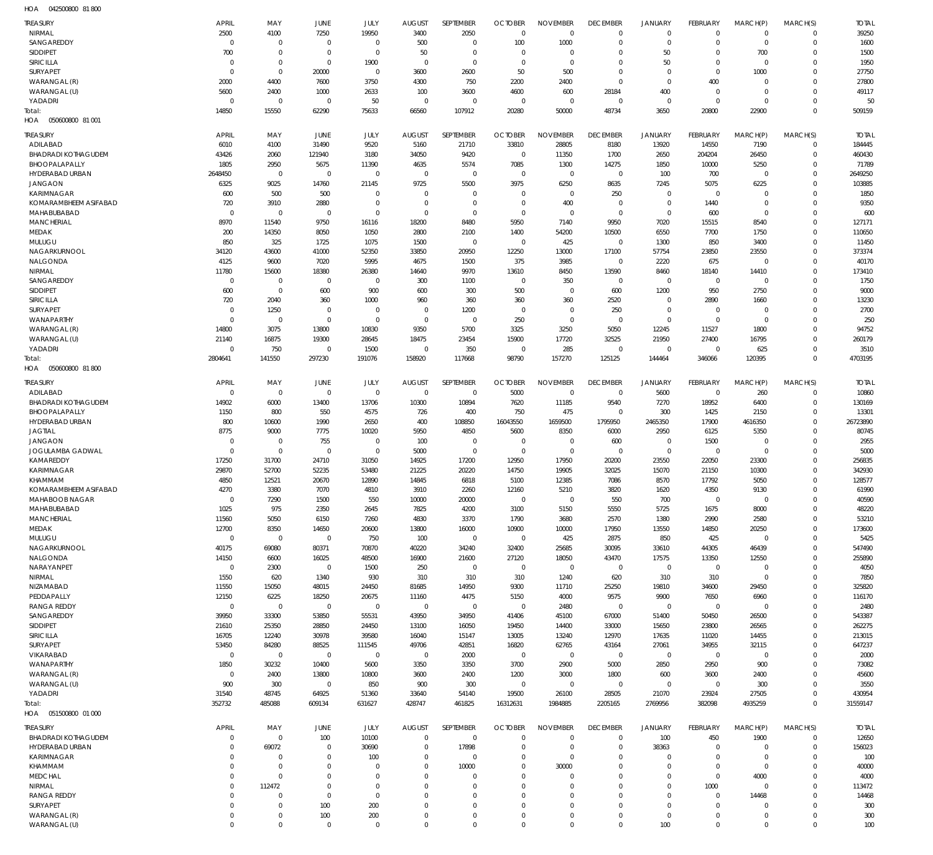042500800 81 800 HOA

| TREASURY                         | <b>APRIL</b>         | MAY                        | JUNE                   | JULY                | <b>AUGUST</b>         | SEPTEMBER               | <b>OCTOBER</b>          | <b>NOVEMBER</b>          | <b>DECEMBER</b>                | <b>JANUARY</b>          | FEBRUARY                | MARCH(P)                   | MARCH(S)             | <b>TOTAL</b>           |
|----------------------------------|----------------------|----------------------------|------------------------|---------------------|-----------------------|-------------------------|-------------------------|--------------------------|--------------------------------|-------------------------|-------------------------|----------------------------|----------------------|------------------------|
| NIRMAL                           | 2500                 | 4100                       | 7250                   | 19950               | 3400                  | 2050                    | $\Omega$                | $\Omega$                 | $\Omega$                       | $\mathbf{0}$            | $\Omega$                | $\Omega$                   | $\Omega$             | 39250                  |
| SANGAREDDY                       | $\Omega$             | $\Omega$                   | $\Omega$               | $\Omega$            | 500                   | $\Omega$                | 100                     | 1000                     | $\Omega$                       | $\mathbf{0}$            | $\Omega$                | $\Omega$                   | $\Omega$             | 1600                   |
| SIDDIPET                         | 700                  | $\Omega$                   | $\Omega$               | $\Omega$            | 50                    | $\Omega$                | $\Omega$                | $\Omega$                 | $\Omega$                       | 50                      | $\Omega$                | 700                        | $\Omega$             | 1500                   |
| SIRICILLA                        | $\Omega$             | $\Omega$                   | $\Omega$               | 1900                | $\Omega$              | $\Omega$                | $\Omega$                | $\Omega$                 | $\Omega$                       | 50                      | $\Omega$                | $\Omega$                   | $\Omega$             | 1950                   |
| <b>SURYAPET</b>                  | $\Omega$             | $\Omega$                   | 20000                  | $\Omega$            | 3600                  | 2600                    | 50                      | 500                      | $\Omega$                       | $\Omega$                | $\Omega$                | 1000                       | $\Omega$             | 27750                  |
| WARANGAL (R)<br>WARANGAL (U)     | 2000<br>5600         | 4400<br>2400               | 7600<br>1000           | 3750<br>2633        | 4300<br>100           | 750<br>3600             | 2200<br>4600            | 2400<br>600              | $\Omega$<br>28184              | $\Omega$<br>400         | 400<br>$\Omega$         | $\Omega$<br>$\Omega$       | $\Omega$<br>$\Omega$ | 27800<br>49117         |
| YADADRI                          | $\Omega$             | $\Omega$                   | $\Omega$               | 50                  | $\Omega$              | $\overline{0}$          | $\Omega$                | $\Omega$                 | $\Omega$                       | $\mathbf 0$             | $\Omega$                | $\Omega$                   | $\Omega$             | 50                     |
| Total:                           | 14850                | 15550                      | 62290                  | 75633               | 66560                 | 107912                  | 20280                   | 50000                    | 48734                          | 3650                    | 20800                   | 22900                      | $\Omega$             | 509159                 |
| HOA<br>050600800 81 001          |                      |                            |                        |                     |                       |                         |                         |                          |                                |                         |                         |                            |                      |                        |
|                                  | <b>APRIL</b>         |                            |                        |                     |                       |                         |                         |                          |                                |                         |                         |                            |                      |                        |
| <b>TREASURY</b><br>ADILABAD      | 6010                 | MAY<br>4100                | JUNE<br>31490          | JULY<br>9520        | <b>AUGUST</b><br>5160 | SEPTEMBER<br>21710      | <b>OCTOBER</b><br>33810 | <b>NOVEMBER</b><br>28805 | <b>DECEMBER</b><br>8180        | <b>JANUARY</b><br>13920 | FEBRUARY<br>14550       | MARCH(P)<br>7190           | MARCH(S)<br>$\Omega$ | <b>TOTAL</b><br>184445 |
| <b>BHADRADI KOTHAGUDEM</b>       | 43426                | 2060                       | 121940                 | 3180                | 34050                 | 9420                    | $\mathbf 0$             | 11350                    | 1700                           | 2650                    | 204204                  | 26450                      | $\Omega$             | 460430                 |
| BHOOPALAPALLY                    | 1805                 | 2950                       | 5675                   | 11390               | 4635                  | 5574                    | 7085                    | 1300                     | 14275                          | 1850                    | 10000                   | 5250                       | $\Omega$             | 71789                  |
| HYDERABAD URBAN                  | 2648450              | $\mathbf 0$                | $\Omega$               | $\mathbf 0$         | $\mathbf 0$           | $\mathbf 0$             | $\mathbf 0$             | $\Omega$                 | $\Omega$                       | 100                     | 700                     | $\Omega$                   | $\Omega$             | 2649250                |
| <b>JANGAON</b>                   | 6325                 | 9025                       | 14760                  | 21145               | 9725                  | 5500                    | 3975                    | 6250                     | 8635                           | 7245                    | 5075                    | 6225                       | $\Omega$             | 103885                 |
| KARIMNAGAR                       | 600                  | 500                        | 500                    | $\Omega$            | $\Omega$              | $\Omega$                | $\overline{0}$          | $\Omega$                 | 250                            | $\mathbf{0}$            | $\mathbf{0}$            | $\Omega$                   | $\Omega$             | 1850                   |
| KOMARAMBHEEM ASIFABAD            | 720                  | 3910                       | 2880                   | $\mathbf 0$         | $\Omega$              | $\mathbf 0$             | $\overline{0}$          | 400                      | $\mathbf{0}$                   | $\mathbf 0$             | 1440                    | $\Omega$                   | $\Omega$             | 9350                   |
| MAHABUBABAD                      | $\Omega$             | $\Omega$                   | $\overline{0}$         | $\Omega$            | $\Omega$              | $\Omega$                | $\overline{0}$          | $\Omega$                 | $\Omega$                       | $\mathbf 0$             | 600                     | $\Omega$                   | $\Omega$             | 600                    |
| <b>MANCHERIAL</b>                | 8970                 | 11540                      | 9750                   | 16116               | 18200                 | 8480                    | 5950                    | 7140                     | 9950                           | 7020                    | 15515                   | 8540                       | $\Omega$<br>$\Omega$ | 127171                 |
| MEDAK<br>MULUGU                  | 200<br>850           | 14350<br>325               | 8050<br>1725           | 1050<br>1075        | 2800<br>1500          | 2100<br>$\mathbf 0$     | 1400<br>$\overline{0}$  | 54200<br>425             | 10500<br>$\Omega$              | 6550<br>1300            | 7700<br>850             | 1750<br>3400               | $\Omega$             | 110650<br>11450        |
| NAGARKURNOOL                     | 34120                | 43600                      | 41000                  | 52350               | 33850                 | 20950                   | 12250                   | 13000                    | 17100                          | 57754                   | 23850                   | 23550                      | $\Omega$             | 373374                 |
| NALGONDA                         | 4125                 | 9600                       | 7020                   | 5995                | 4675                  | 1500                    | 375                     | 3985                     | $\Omega$                       | 2220                    | 675                     | $\Omega$                   | $\Omega$             | 40170                  |
| NIRMAL                           | 11780                | 15600                      | 18380                  | 26380               | 14640                 | 9970                    | 13610                   | 8450                     | 13590                          | 8460                    | 18140                   | 14410                      | $\Omega$             | 173410                 |
| SANGAREDDY                       | $\Omega$             | $\mathbf 0$                | $\overline{0}$         | $\mathbf 0$         | 300                   | 1100                    | $\overline{0}$          | 350                      | $\Omega$                       | $\mathbf 0$             | $\mathbf{0}$            | $\Omega$                   | $\Omega$             | 1750                   |
| SIDDIPET                         | 600                  | $\mathbf 0$                | 600                    | 900                 | 600                   | 300                     | 500                     | $\Omega$                 | 600                            | 1200                    | 950                     | 2750                       | $\Omega$             | 9000                   |
| SIRICILLA                        | 720                  | 2040                       | 360                    | 1000                | 960                   | 360                     | 360                     | 360                      | 2520                           | $\mathbf 0$             | 2890                    | 1660                       | $\Omega$             | 13230                  |
| <b>SURYAPET</b>                  | $\Omega$             | 1250                       | $\Omega$               | $\Omega$            | $\Omega$              | 1200                    | $\overline{0}$          | $\overline{0}$           | 250                            | $\Omega$                | $\mathbf{0}$            | $\Omega$                   | $\Omega$             | 2700                   |
| <b>WANAPARTHY</b>                | $\Omega$             | $\mathbf 0$                | $\overline{0}$         | $\Omega$            | $\Omega$              | $\overline{0}$          | 250                     | $\Omega$                 | $\mathbf{0}$                   | $\mathbf 0$             | $\mathbf{0}$            | $\Omega$                   | $\Omega$             | 250                    |
| WARANGAL (R)<br>WARANGAL (U)     | 14800<br>21140       | 3075<br>16875              | 13800<br>19300         | 10830<br>28645      | 9350<br>18475         | 5700<br>23454           | 3325<br>15900           | 3250<br>17720            | 5050<br>32525                  | 12245<br>21950          | 11527<br>27400          | 1800<br>16795              | $\Omega$<br>$\Omega$ | 94752<br>260179        |
| YADADRI                          | $\Omega$             | 750                        | $\Omega$               | 1500                | $\Omega$              | 350                     | $\Omega$                | 285                      | $\Omega$                       | $\Omega$                | $\Omega$                | 625                        | $\Omega$             | 3510                   |
| Total:                           | 2804641              | 141550                     | 297230                 | 191076              | 158920                | 117668                  | 98790                   | 157270                   | 125125                         | 144464                  | 346066                  | 120395                     | $\Omega$             | 4703195                |
| HOA<br>050600800 81800           |                      |                            |                        |                     |                       |                         |                         |                          |                                |                         |                         |                            |                      |                        |
| <b>TREASURY</b>                  | <b>APRIL</b>         |                            |                        |                     | <b>AUGUST</b>         | SEPTEMBER               | <b>OCTOBER</b>          | <b>NOVEMBER</b>          |                                |                         |                         |                            |                      | <b>TOTAL</b>           |
| ADILABAD                         | $\Omega$             | MAY<br>$\mathbf 0$         | JUNE<br>$\Omega$       | JULY<br>$\mathbf 0$ | $\overline{0}$        | $\mathbf 0$             | 5000                    | $\overline{0}$           | <b>DECEMBER</b><br>$\mathbf 0$ | <b>JANUARY</b><br>5600  | FEBRUARY<br>$\mathbf 0$ | MARCH(P)<br>260            | MARCH(S)<br>$\Omega$ | 10860                  |
| <b>BHADRADI KOTHAGUDEM</b>       | 14902                | 6000                       | 13400                  | 13706               | 10300                 | 10894                   | 7620                    | 11185                    | 9540                           | 7270                    | 18952                   | 6400                       | $\Omega$             | 130169                 |
| BHOOPALAPALLY                    | 1150                 | 800                        | 550                    | 4575                | 726                   | 400                     | 750                     | 475                      | $\mathbf 0$                    | 300                     | 1425                    | 2150                       | $\Omega$             | 13301                  |
| HYDERABAD URBAN                  | 800                  | 10600                      | 1990                   | 2650                | 400                   | 108850                  | 16043550                | 1659500                  | 1795950                        | 2465350                 | 17900                   | 4616350                    | $\Omega$             | 26723890               |
| <b>JAGTIAL</b>                   | 8775                 | 9000                       | 7775                   | 10020               | 5950                  | 4850                    | 5600                    | 8350                     | 6000                           | 2950                    | 6125                    | 5350                       | $\Omega$             | 80745                  |
| <b>JANGAON</b>                   | $\Omega$             | $\Omega$                   | 755                    | $\Omega$            | 100                   | $\mathbf 0$             | $\overline{0}$          | $\Omega$                 | 600                            | $\Omega$                | 1500                    | $\Omega$                   | $\Omega$             | 2955                   |
| JOGULAMBA GADWAL                 | $\Omega$             | $\Omega$                   | $\Omega$               | $\mathbf 0$         | 5000                  | $\overline{0}$          | $\overline{0}$          | $\overline{0}$           | $\Omega$                       | $\mathbf 0$             | $\mathbf 0$             | $\mathbf{0}$               | $\Omega$             | 5000                   |
| KAMAREDDY                        | 17250                | 31700                      | 24710                  | 31050               | 14925                 | 17200                   | 12950                   | 17950                    | 20200                          | 23550                   | 22050                   | 23300                      | $\Omega$             | 256835                 |
| KARIMNAGAR                       | 29870                | 52700                      | 52235                  | 53480               | 21225                 | 20220                   | 14750                   | 19905                    | 32025                          | 15070                   | 21150                   | 10300                      | $\Omega$             | 342930                 |
| KHAMMAM<br>KOMARAMBHEEM ASIFABAD | 4850<br>4270         | 12521<br>3380              | 20670<br>7070          | 12890<br>4810       | 14845<br>3910         | 6818<br>2260            | 5100<br>12160           | 12385<br>5210            | 7086<br>3820                   | 8570<br>1620            | 17792<br>4350           | 5050<br>9130               | $\Omega$<br>$\Omega$ | 128577<br>61990        |
| MAHABOOB NAGAR                   |                      | 7290                       | 1500                   | 550                 | 10000                 | 20000                   |                         |                          | 550                            | 700                     |                         |                            |                      | 40590                  |
| MAHABUBABAD                      | 1025                 | 975                        | 2350                   | 2645                | 7825                  | 4200                    | 3100                    | 5150                     | 5550                           | 5725                    | 1675                    | 8000                       | $\Omega$             | 48220                  |
| <b>MANCHERIAL</b>                | 11560                | 5050                       | 6150                   | 7260                | 4830                  | 3370                    | 1790                    | 3680                     | 2570                           | 1380                    | 2990                    | 2580                       | $\Omega$             | 53210                  |
| MEDAK                            | 12700                | 8350                       | 14650                  | 20600               | 13800                 | 16000                   | 10900                   | 10000                    | 17950                          | 13550                   | 14850                   | 20250                      | $\Omega$             | 173600                 |
| MULUGU                           | $\overline{0}$       | $\mathbf 0$                | $\overline{0}$         | 750                 | 100                   | $\mathbf 0$             | $\overline{0}$          | 425                      | 2875                           | 850                     | 425                     | $\mathbf{0}$               | $\Omega$             | 5425                   |
| NAGARKURNOOL                     | 40175                | 69080                      | 80371                  | 70870               | 40220                 | 34240                   | 32400                   | 25685                    | 30095                          | 33610                   | 44305                   | 46439                      | $\Omega$             | 547490                 |
| NALGONDA                         | 14150                | 6600                       | 16025                  | 48500               | 16900                 | 21600                   | 27120                   | 18050                    | 43470                          | 17575                   | 13350                   | 12550                      | $\Omega$             | 255890                 |
| NARAYANPET<br>NIRMAL             | $\Omega$<br>1550     | 2300<br>620                | $\overline{0}$<br>1340 | 1500<br>930         | 250<br>310            | $\mathbf 0$<br>310      | $\mathbf 0$<br>310      | $\mathbf 0$<br>1240      | $\mathbf 0$<br>620             | $\mathbf 0$<br>310      | $\mathbf 0$<br>310      | $\mathbf 0$<br>$\mathbf 0$ | $\Omega$<br>$\Omega$ | 4050<br>7850           |
| NIZAMABAD                        | 11550                | 15050                      | 48015                  | 24450               | 81685                 | 14950                   | 9300                    | 11710                    | 25250                          | 19810                   | 34600                   | 29450                      | $\Omega$             | 325820                 |
| PEDDAPALLY                       | 12150                | 6225                       | 18250                  | 20675               | 11160                 | 4475                    | 5150                    | 4000                     | 9575                           | 9900                    | 7650                    | 6960                       | $\Omega$             | 116170                 |
| <b>RANGA REDDY</b>               | $\Omega$             | $\overline{0}$             | $\overline{0}$         | $\mathbf 0$         | $\mathbf 0$           | $\mathbf 0$             | $\mathbf 0$             | 2480                     | $\Omega$                       | $\mathbf{0}$            | $\mathbf 0$             | $\mathbf 0$                | $\Omega$             | 2480                   |
| SANGAREDDY                       | 39950                | 33300                      | 53850                  | 55531               | 43950                 | 34950                   | 41406                   | 45100                    | 67000                          | 51400                   | 50450                   | 26500                      | $\Omega$             | 543387                 |
| <b>SIDDIPET</b>                  | 21610                | 25350                      | 28850                  | 24450               | 13100                 | 16050                   | 19450                   | 14400                    | 33000                          | 15650                   | 23800                   | 26565                      | $\Omega$             | 262275                 |
| <b>SIRICILLA</b>                 | 16705                | 12240                      | 30978                  | 39580               | 16040                 | 15147                   | 13005                   | 13240                    | 12970                          | 17635                   | 11020                   | 14455                      | $\Omega$             | 213015                 |
| SURYAPET                         | 53450                | 84280                      | 88525                  | 111545              | 49706                 | 42851                   | 16820                   | 62765                    | 43164                          | 27061                   | 34955                   | 32115                      | $\Omega$             | 647237                 |
| VIKARABAD                        | $\Omega$             | $\overline{0}$             | $\overline{0}$         | $\mathbf 0$         | $\overline{0}$        | 2000                    | $\overline{0}$          | $\overline{0}$           | $\mathbf{0}$                   | $\mathbf 0$             | $\mathbf 0$             | $\Omega$                   | $\Omega$<br>$\Omega$ | 2000                   |
| WANAPARTHY<br>WARANGAL (R)       | 1850<br>$\Omega$     | 30232<br>2400              | 10400<br>13800         | 5600<br>10800       | 3350<br>3600          | 3350<br>2400            | 3700<br>1200            | 2900<br>3000             | 5000<br>1800                   | 2850<br>600             | 2950<br>3600            | 900<br>2400                | $\Omega$             | 73082<br>45600         |
| WARANGAL (U)                     | 900                  | 300                        | $\Omega$               | 850                 | 900                   | 300                     | $\mathbf 0$             | $\Omega$                 | $\mathbf{0}$                   | $\mathbf 0$             | $\mathbf 0$             | 300                        | $\Omega$             | 3550                   |
| YADADRI                          | 31540                | 48745                      | 64925                  | 51360               | 33640                 | 54140                   | 19500                   | 26100                    | 28505                          | 21070                   | 23924                   | 27505                      | $\Omega$             | 430954                 |
| Total:                           | 352732               | 485088                     | 609134                 | 631627              | 428747                | 461825                  | 16312631                | 1984885                  | 2205165                        | 2769956                 | 382098                  | 4935259                    | $\Omega$             | 31559147               |
| HOA  051500800  01 000           |                      |                            |                        |                     |                       |                         |                         |                          |                                |                         |                         |                            |                      |                        |
| <b>TREASURY</b>                  | APRIL                | MAY                        | JUNE                   | JULY                | <b>AUGUST</b>         | SEPTEMBER               | <b>OCTOBER</b>          | <b>NOVEMBER</b>          | <b>DECEMBER</b>                | <b>JANUARY</b>          | FEBRUARY                | MARCH(P)                   | MARCH(S)             | <b>TOTAL</b>           |
| <b>BHADRADI KOTHAGUDEM</b>       | $\Omega$             | $\mathbf 0$                | 100                    | 10100               | $\Omega$              | $\mathbf 0$             | $\mathbf 0$             | $\mathbf 0$              | $\mathbf 0$                    | 100                     | 450                     | 1900                       | $\mathbf 0$          | 12650                  |
| HYDERABAD URBAN                  | $\Omega$             | 69072                      | $\Omega$               | 30690               | $\Omega$              | 17898                   | $\Omega$                | $\Omega$                 | $\Omega$                       | 38363                   | $\Omega$                | $\mathbf 0$                | $\mathbf 0$          | 156023                 |
| KARIMNAGAR                       | $\Omega$             | $\Omega$                   | $\Omega$               | 100                 | $\Omega$              | $\mathbf 0$             | $\Omega$                | $\Omega$                 | $\Omega$                       | $\Omega$                | $\Omega$                | $\Omega$                   | $\Omega$             | 100                    |
| KHAMMAM                          | $\Omega$             | $\mathbf 0$                | $\Omega$               | $\Omega$            | $\Omega$              | 10000                   | $\Omega$                | 30000                    | $\Omega$                       | $\mathbf 0$             | $\mathbf{0}$            | $\mathbf 0$                | $\Omega$             | 40000                  |
| <b>MEDCHAL</b>                   | $\Omega$             | $\mathbf 0$                | $\Omega$               | $\Omega$            | $\Omega$              | $\Omega$                | $\Omega$                | $\Omega$                 | $\Omega$                       | $\Omega$                | $\mathbf{0}$            | 4000                       | $\Omega$             | 4000                   |
| NIRMAL                           | $\Omega$             | 112472                     | $\Omega$               | $\Omega$            | $\Omega$              | $\Omega$                | $\Omega$                | $\Omega$                 | $\Omega$                       | $\Omega$                | 1000                    | $\Omega$                   | $\Omega$             | 113472                 |
| <b>RANGA REDDY</b>               | $\Omega$             | $\Omega$                   | $\Omega$               | $\Omega$            | $\Omega$              | $\Omega$                | $\Omega$                | $\Omega$                 | $\Omega$                       | $\Omega$                | $\Omega$                | 14468                      | $\Omega$             | 14468                  |
| SURYAPET<br>WARANGAL (R)         | $\Omega$<br>$\Omega$ | $\mathbf 0$<br>$\mathbf 0$ | 100<br>100             | 200<br>200          | $\Omega$<br>$\Omega$  | $\Omega$<br>$\mathbf 0$ | $\Omega$<br>$\mathbf 0$ | $\Omega$<br>$\mathbf 0$  | $\Omega$<br>$\mathbf 0$        | $\Omega$<br>$\mathbf 0$ | $\Omega$<br>$\Omega$    | $\Omega$<br>$\mathbf 0$    | $\Omega$<br>$\Omega$ | 300<br>300             |
| WARANGAL (U)                     | $\Omega$             | $\Omega$                   | $\Omega$               | $\Omega$            | $\Omega$              | $\Omega$                | $\Omega$                | $\Omega$                 | $\Omega$                       | 100                     | $\Omega$                | $\Omega$                   | $\Omega$             | 100                    |
|                                  |                      |                            |                        |                     |                       |                         |                         |                          |                                |                         |                         |                            |                      |                        |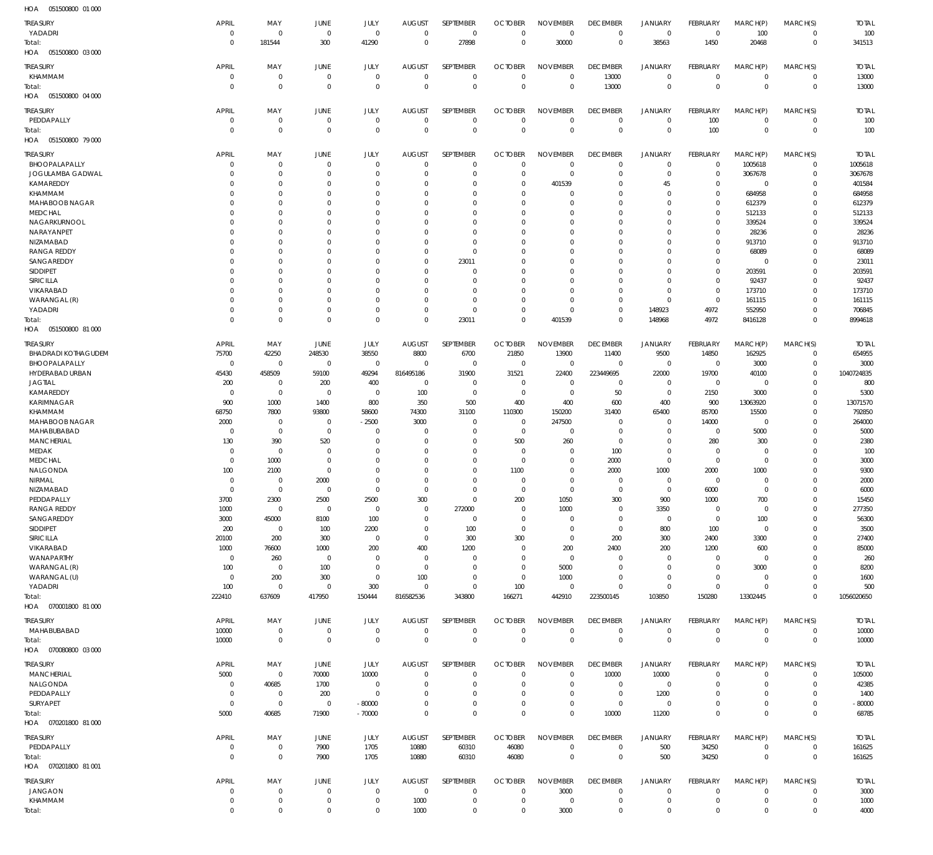| HOA<br>051500800 01 000    |                     |                            |                            |                            |                |                            |                 |                     |                            |                            |                               |                            |                            |              |
|----------------------------|---------------------|----------------------------|----------------------------|----------------------------|----------------|----------------------------|-----------------|---------------------|----------------------------|----------------------------|-------------------------------|----------------------------|----------------------------|--------------|
| <b>TREASURY</b>            | <b>APRIL</b>        | MAY                        | JUNE                       | JULY                       | <b>AUGUST</b>  | SEPTEMBER                  | <b>OCTOBER</b>  | <b>NOVEMBER</b>     | <b>DECEMBER</b>            | <b>JANUARY</b>             | FEBRUARY                      | MARCH(P)                   | MARCH(S)                   | <b>TOTAL</b> |
| YADADRI                    | $\mathbf 0$         | $\mathbf 0$                | $\mathbf 0$                | $\mathbf 0$                | $\mathbf 0$    | $\mathbf 0$                | $\mathbf 0$     | $\mathbf 0$         | $\mathbf 0$                | $\mathbf 0$                | $\mathbf 0$                   | 100                        | $\mathbf 0$                | 100          |
| Total:                     | $\Omega$            | 181544                     | 300                        | 41290                      | $\mathbf{0}$   | 27898                      | $\mathbf 0$     | 30000               | $\mathbf 0$                | 38563                      | 1450                          | 20468                      | $\mathbf 0$                | 341513       |
| HOA  051500800  03  000    |                     |                            |                            |                            |                |                            |                 |                     |                            |                            |                               |                            |                            |              |
|                            |                     |                            |                            |                            |                |                            |                 |                     |                            |                            |                               |                            |                            |              |
| TREASURY                   | APRIL               | MAY                        | JUNE                       | JULY                       | <b>AUGUST</b>  | SEPTEMBER                  | <b>OCTOBER</b>  | <b>NOVEMBER</b>     | <b>DECEMBER</b>            | <b>JANUARY</b>             | FEBRUARY                      | MARCH(P)                   | MARCH(S)                   | <b>TOTAL</b> |
| KHAMMAM                    | 0                   | $\mathbf 0$                | $\mathbf 0$                | $\mathbf 0$                | $^{\circ}$     | $\mathbf 0$                | $\overline{0}$  | $\mathbf 0$         | 13000                      | $\mathbf 0$                | $\overline{0}$                | $\mathbf 0$                | $\mathbf 0$                | 13000        |
| Total:                     | $\overline{0}$      | $\mathbf 0$                | $\mathbf 0$                | $\mathbf 0$                | $\overline{0}$ | $\mathbf 0$                | $\mathbf 0$     | $\mathbf 0$         | 13000                      | $\mathbf 0$                | $\overline{0}$                | $\mathbf 0$                | $\overline{0}$             | 13000        |
| 051500800 04 000<br>HOA    |                     |                            |                            |                            |                |                            |                 |                     |                            |                            |                               |                            |                            |              |
|                            |                     |                            |                            |                            |                |                            |                 |                     |                            |                            |                               |                            |                            |              |
| TREASURY                   | APRIL               | MAY                        | JUNE                       | JULY                       | <b>AUGUST</b>  | SEPTEMBER                  | <b>OCTOBER</b>  | <b>NOVEMBER</b>     | <b>DECEMBER</b>            | <b>JANUARY</b>             | FEBRUARY                      | MARCH(P)                   | MARCH(S)                   | <b>TOTAL</b> |
| PEDDAPALLY                 | $\mathbf 0$         | $\mathbf 0$                | $\mathbf 0$                | $\mathbf 0$                | $^{\circ}$     | $\mathbf 0$                | $\mathbf 0$     | $\mathbf 0$         | $\mathbf 0$                | $\mathbf 0$                | 100                           | $\mathbf 0$                | $\mathbf 0$                | 100          |
| Total:                     | $\Omega$            | $\mathbf 0$                | $\mathbf 0$                | $\mathbf 0$                | $\overline{0}$ | $\mathbf 0$                | $\mathbf 0$     | $\mathbf 0$         | $\mathbf 0$                | $\mathbf 0$                | 100                           | $\mathbf 0$                | $\mathbf 0$                | 100          |
| HOA  051500800  79 000     |                     |                            |                            |                            |                |                            |                 |                     |                            |                            |                               |                            |                            |              |
| <b>TREASURY</b>            | APRIL               | MAY                        | JUNE                       | JULY                       | <b>AUGUST</b>  | SEPTEMBER                  | <b>OCTOBER</b>  | <b>NOVEMBER</b>     | <b>DECEMBER</b>            | <b>JANUARY</b>             | FEBRUARY                      | MARCH(P)                   | MARCH(S)                   | <b>TOTAL</b> |
| BHOOPALAPALLY              | 0                   | $\mathbf 0$                | 0                          | $\mathbf 0$                | $^{\circ}$     | $\mathbf 0$                | $\mathbf 0$     | $\mathbf 0$         | $\mathbf 0$                | $\mathbf 0$                | $\overline{0}$                | 1005618                    | $\mathbf 0$                | 1005618      |
|                            |                     |                            |                            | $\mathbf 0$                |                | $\mathbf 0$                |                 | $\mathbf 0$         |                            | $\mathbf 0$                |                               |                            |                            |              |
| JOGULAMBA GADWAL           | O                   | $\mathbf 0$                | 0                          |                            | -0             |                            | $\mathbf 0$     |                     | $\mathbf 0$                |                            | $\overline{0}$                | 3067678                    | $\mathbf 0$                | 3067678      |
| KAMAREDDY                  | $\Omega$            | $\mathbf 0$                | $\Omega$                   | $\mathbf 0$                | $\Omega$       | $\mathbf 0$                | $\mathbf 0$     | 401539              | 0                          | 45                         | $\mathbf 0$                   | $\mathbf 0$                | $\mathbf 0$                | 401584       |
| KHAMMAM                    | O                   | $\mathbf 0$                | O                          | $\mathbf 0$                | 0              | $\mathbf 0$                | $\mathbf 0$     | $\mathbf 0$         | $\mathbf 0$                | $\mathbf 0$                | $\mathbf 0$                   | 684958                     | $\mathbf 0$                | 684958       |
| MAHABOOB NAGAR             | $\Omega$            | $\mathbf 0$                | O                          | $\mathbf 0$                | 0              | $\mathbf 0$                | $\mathbf 0$     | $\mathbf 0$         | $\mathbf 0$                | $\mathbf 0$                | $\mathbf 0$                   | 612379                     | $\mathbf 0$                | 612379       |
| <b>MEDCHAL</b>             | O                   | $\mathbf 0$                | $\Omega$                   | $\mathbf 0$                | $\Omega$       | $\mathbf 0$                | $\mathbf 0$     | $\mathbf 0$         | $\mathbf 0$                | $\mathbf 0$                | $\mathbf 0$                   | 512133                     | $\Omega$                   | 512133       |
| NAGARKURNOOL               | $\Omega$            | $\mathbf 0$                | $\Omega$                   | $\mathbf 0$                | $\mathbf 0$    | $\mathbf 0$                | 0               | $\mathbf 0$         | $\mathbf 0$                | $\mathbf 0$                | $\mathbf 0$                   | 339524                     | $\mathbf 0$                | 339524       |
| NARAYANPET                 | O                   | $\mathbf 0$                | $\Omega$                   | $\mathbf 0$                | $\Omega$       | $\mathbf 0$                | 0               | $\mathbf 0$         | $\mathbf 0$                | $\mathbf 0$                | $\mathbf 0$                   | 28236                      | $\mathbf 0$                | 28236        |
| NIZAMABAD                  | O                   | $\mathbf 0$                | O                          | $\mathbf 0$                | $\mathbf 0$    | $\mathbf 0$                | $\mathbf 0$     | $\mathbf 0$         | $\mathbf 0$                | $\mathbf 0$                | $\mathbf 0$                   | 913710                     | $\mathbf 0$                | 913710       |
| <b>RANGA REDDY</b>         | O                   | $\mathbf 0$                | $\Omega$                   | $\mathbf 0$                | $^{\circ}$     | $\mathbf 0$                | $\mathbf 0$     | $\mathbf 0$         | $\mathbf 0$                | $\mathbf 0$                | $\mathbf 0$                   | 68089                      | $\mathbf 0$                | 68089        |
| SANGAREDDY                 | O                   | $\mathbf 0$                | $\Omega$                   | $\mathbf 0$                | $\mathbf 0$    | 23011                      | 0               | $\mathbf 0$         | $\mathbf 0$                | $\mathbf 0$                | $\mathbf 0$                   | $\mathbf 0$                | $\mathbf 0$                | 23011        |
| SIDDIPET                   | O                   | $\mathbf 0$                | O                          | $\mathbf 0$                | 0              | $\mathbf 0$                | $\mathbf 0$     | $\mathbf 0$         | $\mathbf 0$                | $\mathbf 0$                | $\mathbf 0$                   | 203591                     | $\mathbf 0$                | 203591       |
| SIRICILLA                  | O                   | $\mathbf 0$                | $\Omega$                   | $\mathbf 0$                | $\mathbf 0$    | $\mathbf 0$                | $\mathbf 0$     | $\mathbf 0$         | $\mathbf 0$                | $\mathbf 0$                | $\mathbf 0$                   | 92437                      | $\mathbf 0$                | 92437        |
| VIKARABAD                  | O                   | $\mathbf 0$                | O                          | $\mathbf 0$                | $\mathbf 0$    | $\mathbf 0$                | $\mathbf 0$     | $\mathbf 0$         | $\mathbf 0$                | $\mathbf 0$                | $\overline{0}$                | 173710                     | $\mathbf 0$                | 173710       |
| WARANGAL (R)               | $\Omega$            | $\mathbf 0$                | O                          | $\mathbf 0$                | $\mathbf 0$    | $\mathbf 0$                | 0               | $\mathbf 0$         | $\mathbf 0$                | $\mathbf 0$                | $\mathbf 0$                   | 161115                     | $\mathbf 0$                | 161115       |
| YADADRI                    | 0                   | $\mathbf 0$                | $\mathbf 0$                | $\mathbf 0$                | $\mathbf 0$    | $\mathbf 0$                | $\mathbf 0$     | $\mathbf 0$         | $\mathbf 0$                | 148923                     | 4972                          | 552950                     | $\mathbf 0$                | 706845       |
| Total:                     | $\Omega$            | $\mathsf 0$                | $\mathbf 0$                | $\mathbf 0$                | $\Omega$       | 23011                      | $\mathbf 0$     | 401539              | $\mathbf 0$                | 148968                     | 4972                          | 8416128                    | $\mathbf 0$                | 8994618      |
| 051500800 81 000<br>HOA    |                     |                            |                            |                            |                |                            |                 |                     |                            |                            |                               |                            |                            |              |
|                            |                     |                            |                            |                            |                |                            |                 |                     |                            |                            |                               |                            |                            |              |
| <b>TREASURY</b>            | APRIL               | MAY                        | JUNE                       | JULY                       | <b>AUGUST</b>  | SEPTEMBER                  | <b>OCTOBER</b>  | <b>NOVEMBER</b>     | <b>DECEMBER</b>            | JANUARY                    | FEBRUARY                      | MARCH(P)                   | MARCH(S)                   | <b>TOTAL</b> |
| <b>BHADRADI KOTHAGUDEM</b> | 75700               | 42250                      | 248530                     | 38550                      | 8800           | 6700                       | 21850           | 13900               | 11400                      | 9500                       | 14850                         | 162925                     | $\mathbf 0$                | 654955       |
| BHOOPALAPALLY              | $\mathbf 0$         | $\mathbf 0$                | $\mathbf 0$                | $\mathbf 0$                | $\mathbf 0$    | $\mathbf 0$                | $\overline{0}$  | $\mathbf 0$         | $\mathbf 0$                | $\mathbf 0$                | $\mathbf 0$                   | 3000                       | $\mathbf 0$                | 3000         |
| HYDERABAD URBAN            | 45430               | 458509                     | 59100                      | 49294                      | 816495186      | 31900                      | 31521           | 22400               | 223449695                  | 22000                      | 19700                         | 40100                      | $\mathbf 0$                | 1040724835   |
| <b>JAGTIAL</b>             | 200                 | 0                          | 200                        | 400                        | 0              | 0                          | $^{\circ}$      | $\mathbf 0$         | 0                          | $\mathbf 0$                | $\mathbf 0$                   | $\mathbf 0$                | $\mathbf 0$                | 800          |
| KAMAREDDY                  | $\mathbf 0$         | $\mathbf 0$                | $\mathbf 0$                | $\mathbf 0$                | 100            | $\mathbf 0$                | $\overline{0}$  | $\mathbf 0$         | 50                         | $\mathbf 0$                | 2150                          | 3000                       | $\Omega$                   | 5300         |
| KARIMNAGAR                 | 900                 | 1000                       | 1400                       | 800                        | 350            | 500                        | 400             | 400                 | 600                        | 400                        | 900                           | 13063920                   | $\mathbf 0$                | 13071570     |
| KHAMMAM                    | 68750               | 7800                       | 93800                      | 58600                      | 74300          | 31100                      | 110300          | 150200              | 31400                      | 65400                      | 85700                         | 15500                      | $\Omega$                   | 792850       |
| MAHABOOB NAGAR             | 2000                | $\mathbf 0$                | $\mathbf 0$                | $-2500$                    | 3000           | $\mathbf 0$                | $\overline{0}$  | 247500              | $\mathbf 0$                | $\mathbf 0$                | 14000                         | $\mathbf 0$                | $\mathbf 0$                | 264000       |
|                            | $\mathbf 0$         |                            |                            |                            |                |                            |                 |                     |                            |                            |                               |                            |                            |              |
|                            |                     | $\mathbf 0$                | $\mathbf 0$                | 0                          | $^{\circ}$     | $\mathbf 0$                | $\overline{0}$  | $\mathbf 0$         | $\mathbf 0$                | $\mathbf 0$                | $\mathbf 0$                   | 5000                       | $\Omega$                   | 5000         |
| MAHABUBABAD                |                     |                            |                            |                            |                |                            |                 |                     |                            |                            |                               |                            |                            |              |
| <b>MANCHERIAL</b>          | 130                 | 390                        | 520                        | $\mathbf 0$                | $^{\circ}$     | $\mathbf 0$                | 500             | 260                 | $\mathbf 0$                | $\mathbf 0$                | 280                           | 300                        | $\mathbf 0$                | 2380         |
| MEDAK                      | $\mathbf 0$         | $\mathbf 0$                | $\mathbf 0$                | $\mathbf 0$                | $^{\circ}$     | $\mathbf 0$                | $\overline{0}$  | $\mathbf 0$         | 100                        | $\mathbf 0$                | $\overline{0}$                | $\mathbf 0$                | $\mathbf 0$                | 100          |
| <b>MEDCHAL</b>             | 0                   | 1000                       | $\mathbf 0$                | $\Omega$                   | $^{\circ}$     | $\mathbf 0$                | $\overline{0}$  | $\mathbf 0$         | 2000                       | $\mathbf 0$                | $\mathbf 0$                   | $\mathbf 0$                | $\mathbf 0$                | 3000         |
| NALGONDA                   | 100                 | 2100                       | $\Omega$                   | $\Omega$                   | $\Omega$       | $\mathbf 0$                | 1100            | $\mathbf 0$         | 2000                       | 1000                       | 2000                          | 1000                       | $\Omega$                   | 9300         |
| NIRMAL                     | $\mathbf 0$         | $\mathbf 0$                | 2000                       | $\mathbf 0$                | $\Omega$       | $\mathbf 0$                | $\mathbf 0$     | $\mathbf 0$         | $\mathbf 0$                | $\mathbf 0$                | $\mathbf 0$                   | $\mathbf 0$                | $\mathbf 0$                | 2000         |
| NIZAMABAD                  | $\Omega$            | $\mathbf 0$                | $\Omega$                   | $\mathbf 0$                | $\mathbf 0$    | $\mathbf 0$                | $\mathbf 0$     | $\mathbf 0$         | $\mathbf 0$                | $\mathbf 0$                | 6000                          | $\mathbf 0$                | $\mathbf 0$                | 6000         |
| PEDDAPALLY                 | 3700                | 2300                       | 2500                       | 2500                       | 300            | $\mathbf 0$                | 200             | 1050                | 300                        | 900                        | 1000                          | 700                        | $\mathbf 0$                | 15450        |
| <b>RANGA REDDY</b>         | 1000                | $\mathbf 0$                | $\mathbf 0$                | $\mathbf 0$                | $\mathbf 0$    | 272000                     | $\overline{0}$  | 1000                | $\mathbf 0$                | 3350                       | $\mathbf 0$                   | $\mathbf 0$                | $\mathbf 0$                | 277350       |
| SANGAREDDY                 | 3000                | 45000                      | 8100                       | 100                        | $^{\circ}$     | $\mathbf 0$                | $\overline{0}$  | $\mathbf 0$         | $\mathbf 0$                | $\mathbf 0$                | $\mathbf 0$                   | 100                        | $\mathbf 0$                | 56300        |
| SIDDIPET                   | 200                 | $\mathbf 0$                | 100                        | 2200                       | $\mathbf 0$    | 100                        | $\mathbf 0$     | $\mathbf 0$         | $\mathbf 0$                | 800                        | 100                           | $\mathbf 0$                | $\Omega$                   | 3500         |
| <b>SIRICILLA</b>           | 20100               | 200                        | 300                        | $\mathbf 0$                | $\mathbf 0$    | 300                        | 300             | $\mathbf 0$         | 200                        | 300                        | 2400                          | 3300                       | $\mathbf 0$                | 27400        |
| <b>VIKARABAD</b>           |                     |                            |                            |                            | 400            |                            | $\overline{0}$  |                     |                            |                            |                               |                            | $\Omega$                   |              |
| WANAPARTHY                 | 1000<br>$\mathbf 0$ | 76600<br>260               | 1000<br>$\mathbf 0$        | 200<br>$\mathbf 0$         | $\mathbf 0$    | 1200<br>$\mathbf 0$        | $\mathbf 0$     | 200<br>$\mathbf 0$  | 2400<br>$\mathbf 0$        | 200<br>$\mathbf 0$         | 1200<br>$\mathbf 0$           | 600<br>$\mathbf 0$         | $\mathbf 0$                | 85000<br>260 |
| WARANGAL (R)               | 100                 | $\mathbf 0$                | 100                        | $\mathbf 0$                | $\mathbf 0$    | $\mathbf 0$                | $\overline{0}$  | 5000                | $\mathbf 0$                | $\mathbf 0$                | $\mathbf 0$                   | 3000                       | $\Omega$                   | 8200         |
|                            | $\mathbf 0$         |                            |                            | $\mathbf 0$                | 100            | $\mathbf 0$                | $\overline{0}$  |                     | $\mathbf 0$                | $\mathbf 0$                | $\overline{0}$                | $\mathbf 0$                | $\mathbf 0$                |              |
| WARANGAL (U)               |                     | 200                        | 300<br>$\overline{0}$      |                            | $\mathbf 0$    | $\mathbf 0$                |                 | 1000<br>$\mathbf 0$ | $\mathbf 0$                | $\mathbf 0$                | $\overline{0}$                | $\mathbf 0$                | $\mathbf 0$                | 1600         |
| YADADRI                    | 100                 | $\mathbf 0$                |                            | 300                        |                |                            | 100             |                     |                            |                            |                               |                            |                            | 500          |
| Total:                     | 222410              | 637609                     | 417950                     | 150444                     | 816582536      | 343800                     | 166271          | 442910              | 223500145                  | 103850                     | 150280                        | 13302445                   | $\mathbf 0$                | 1056020650   |
| HOA  070001800  81 000     |                     |                            |                            |                            |                |                            |                 |                     |                            |                            |                               |                            |                            |              |
| <b>TREASURY</b>            | APRIL               | MAY                        | JUNE                       | JULY                       | <b>AUGUST</b>  | SEPTEMBER                  | <b>OCTOBER</b>  | <b>NOVEMBER</b>     | <b>DECEMBER</b>            | <b>JANUARY</b>             | FEBRUARY                      | MARCH(P)                   | MARCH(S)                   | <b>TOTAL</b> |
| MAHABUBABAD                | 10000               | $\mathbf 0$                | $\mathbf 0$                | $\mathbf 0$                | $\mathbf 0$    | $\mathbf 0$                | $\overline{0}$  | $\mathbf 0$         | $\overline{0}$             | $\mathsf 0$                | $\overline{0}$                | $\mathbf 0$                | $\mathbf 0$                | 10000        |
| Total:                     | 10000               | $\mathbf 0$                | $\mathbf 0$                | $\mathbf 0$                | $\mathbf{0}$   | $\mathbf 0$                | $\mathbf 0$     | $\mathbf 0$         | $\overline{0}$             | $\mathbf 0$                | $\mathbf 0$                   | $\mathbf 0$                | $\mathbf 0$                | 10000        |
| HOA  070080800  03  000    |                     |                            |                            |                            |                |                            |                 |                     |                            |                            |                               |                            |                            |              |
|                            |                     |                            |                            |                            |                |                            |                 |                     |                            |                            |                               |                            |                            |              |
| TREASURY                   | APRIL               | MAY                        | JUNE                       | JULY                       | <b>AUGUST</b>  | SEPTEMBER                  | <b>OCTOBER</b>  | <b>NOVEMBER</b>     | <b>DECEMBER</b>            | <b>JANUARY</b>             | FEBRUARY                      | MARCH(P)                   | MARCH(S)                   | <b>TOTAL</b> |
| <b>MANCHERIAL</b>          | 5000                | $\mathbf 0$                | 70000                      | 10000                      | $\mathbf 0$    | $\mathbf 0$                | $\mathbf 0$     | $\mathbf 0$         | 10000                      | 10000                      | $\overline{0}$                | $\mathbf 0$                | $\mathbf 0$                | 105000       |
| NALGONDA                   | $\mathbf 0$         | 40685                      | 1700                       | $\mathbf 0$                | $^{\circ}$     | $\mathbf 0$                | $\mathbf 0$     | $\mathbf 0$         | $\mathbf 0$                | $\mathbf 0$                | $\overline{0}$                | $\mathbf 0$                | $\mathbf 0$                | 42385        |
| PEDDAPALLY                 | 0                   | $\mathbf 0$                | 200                        | $\mathbf 0$                | $^{\circ}$     | $\mathbf 0$                | 0               | $\mathbf 0$         | $\mathbf 0$                | 1200                       | $\mathbf 0$                   | $\Omega$                   | $\mathbf 0$                | 1400         |
| SURYAPET                   | $\mathbf 0$         | $\mathbf 0$                | $\mathbf 0$                | $-80000$                   | $\mathbf 0$    | $\mathbf 0$                | $\mathbf 0$     | $\mathbf 0$         | $\overline{0}$             | $\mathbf 0$                | $\mathbf 0$                   | $\mathbf 0$                | $\mathbf 0$                | $-80000$     |
| Total:                     | 5000                | 40685                      | 71900                      | $-70000$                   | $\mathbf 0$    | $\mathbf 0$                | $\mathbf 0$     | $\mathbf 0$         | 10000                      | 11200                      | $\overline{0}$                | $\mathbf 0$                | $\mathbf 0$                | 68785        |
| HOA  070201800  81 000     |                     |                            |                            |                            |                |                            |                 |                     |                            |                            |                               |                            |                            |              |
|                            |                     |                            |                            |                            |                |                            |                 |                     |                            |                            |                               |                            |                            |              |
| TREASURY                   | APRIL               | MAY                        | JUNE                       | JULY                       | <b>AUGUST</b>  | SEPTEMBER                  | <b>OCTOBER</b>  | <b>NOVEMBER</b>     | <b>DECEMBER</b>            | <b>JANUARY</b>             | FEBRUARY                      | MARCH(P)                   | MARCH(S)                   | <b>TOTAL</b> |
| PEDDAPALLY                 | $\mathbf 0$         | $\mathbf 0$                | 7900                       | 1705                       | 10880          | 60310                      | 46080           | $\mathbf 0$         | $\mathbf 0$                | 500                        | 34250                         | $\mathbf 0$                | $\mathbf 0$                | 161625       |
| Total:                     | $\mathbf{0}$        | $\mathbf 0$                | 7900                       | 1705                       | 10880          | 60310                      | 46080           | $\mathbf 0$         | $\overline{0}$             | 500                        | 34250                         | $\mathbf 0$                | $\mathbf 0$                | 161625       |
| HOA  070201800  81 001     |                     |                            |                            |                            |                |                            |                 |                     |                            |                            |                               |                            |                            |              |
|                            |                     |                            |                            |                            |                |                            |                 |                     |                            |                            |                               |                            |                            |              |
| TREASURY                   | APRIL               | MAY                        | <b>JUNE</b>                | JULY                       | <b>AUGUST</b>  | SEPTEMBER                  | <b>OCTOBER</b>  | <b>NOVEMBER</b>     | <b>DECEMBER</b>            | <b>JANUARY</b>             | <b>FEBRUARY</b>               | MARCH(P)                   | MARCH(S)                   | <b>TOTAL</b> |
| <b>JANGAON</b>             | $\mathbf 0$         | $\mathbf 0$                | $\mathbf 0$                | $\mathbf 0$                | $\mathbf 0$    | $\mathbf 0$                | $\overline{0}$  | 3000                | $\mathbf 0$                | $\mathbf 0$                | $\overline{0}$                | $\mathbf 0$                | $\mathbf 0$                | 3000         |
| KHAMMAM<br>Total:          | 0<br>$\mathbf 0$    | $\mathbf 0$<br>$\mathbf 0$ | $\mathbf 0$<br>$\mathbf 0$ | $\mathbf 0$<br>$\mathbf 0$ | 1000<br>1000   | $\mathbf 0$<br>$\mathbf 0$ | $^{\circ}$<br>0 | $\mathbf 0$<br>3000 | $\mathbf 0$<br>$\mathbf 0$ | $\mathsf 0$<br>$\mathbf 0$ | $\overline{0}$<br>$\mathbf 0$ | $\mathbf 0$<br>$\mathbf 0$ | $\mathbf 0$<br>$\mathbf 0$ | 1000<br>4000 |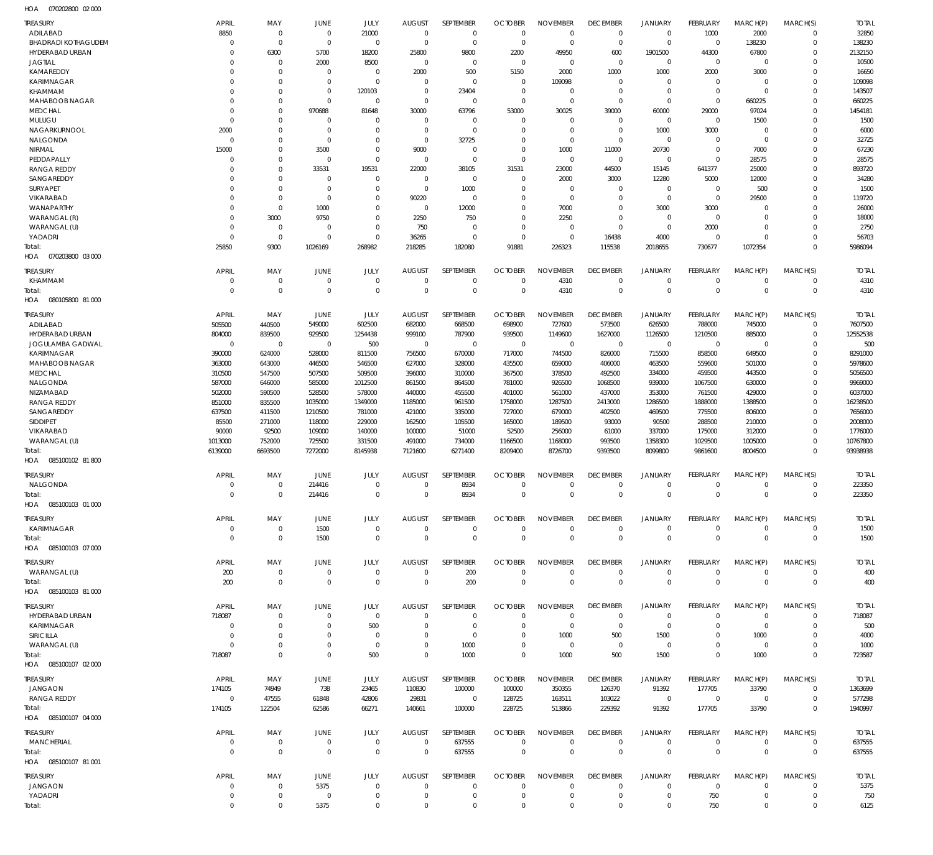070202800 02 000 HOA

| <b>TREASURY</b><br>ADILABAD<br><b>BHADRADI KOTHAGUDEM</b> | <b>APRIL</b><br>8850<br>$\Omega$ | MAY<br>$\mathbf 0$<br>$\Omega$ | JUNE<br>$\overline{0}$<br>$\overline{0}$ | JULY<br>21000<br>$\mathbf 0$ | <b>AUGUST</b><br>$\overline{0}$<br>$\overline{0}$ | SEPTEMBER<br>$\overline{0}$<br>$\mathbf 0$ | <b>OCTOBER</b><br>$\overline{0}$<br>$\overline{0}$ | <b>NOVEMBER</b><br>$\mathbf 0$<br>$\mathbf 0$ | <b>DECEMBER</b><br>$\mathbf 0$<br>$\mathbf 0$ | <b>JANUARY</b><br>$\mathbf 0$<br>$\mathbf 0$ | FEBRUARY<br>1000<br>$\mathbf 0$ | MARCH(P)<br>2000<br>138230 | MARCH(S)<br>$\Omega$<br>$\Omega$ | <b>TOTAL</b><br>32850<br>138230 |
|-----------------------------------------------------------|----------------------------------|--------------------------------|------------------------------------------|------------------------------|---------------------------------------------------|--------------------------------------------|----------------------------------------------------|-----------------------------------------------|-----------------------------------------------|----------------------------------------------|---------------------------------|----------------------------|----------------------------------|---------------------------------|
| HYDERABAD URBAN                                           | 0                                | 6300                           | 5700                                     | 18200                        | 25800                                             | 9800                                       | 2200                                               | 49950                                         | 600                                           | 1901500                                      | 44300                           | 67800                      | $\Omega$                         | 2132150                         |
| <b>JAGTIAL</b><br>KAMAREDDY                               | 0<br>0                           | $\mathbf 0$<br>$\Omega$        | 2000<br>$\overline{0}$                   | 8500<br>$\Omega$             | $\overline{0}$<br>2000                            | $\Omega$<br>500                            | $\overline{0}$<br>5150                             | $\Omega$<br>2000                              | $\mathbf 0$<br>1000                           | $\mathbf 0$<br>1000                          | $\mathbf 0$<br>2000             | $\mathbf 0$<br>3000        | $\Omega$<br>$\Omega$             | 10500<br>16650                  |
| KARIMNAGAR                                                | $\Omega$                         | $\Omega$                       | $\overline{0}$                           | $\Omega$                     | $\Omega$                                          | $\Omega$                                   | $\mathbf 0$                                        | 109098                                        | $\Omega$                                      | $\Omega$                                     | $\Omega$                        | $\Omega$                   | $\Omega$                         | 109098                          |
| KHAMMAM                                                   | $\Omega$                         | $\mathbf 0$                    | $\overline{0}$                           | 120103                       | $\overline{0}$                                    | 23404                                      | $\mathbf 0$                                        | $\Omega$                                      | $\mathbf 0$                                   | $\mathbf 0$                                  | $\mathbf 0$                     | $\Omega$                   | $\Omega$                         | 143507                          |
| MAHABOOB NAGAR<br><b>MEDCHAL</b>                          | $\Omega$<br>$\Omega$             | $\mathbf 0$<br>$\Omega$        | $\Omega$<br>970688                       | $\Omega$<br>81648            | $\Omega$<br>30000                                 | $\Omega$<br>63796                          | $\Omega$<br>53000                                  | $\Omega$<br>30025                             | $\Omega$<br>39000                             | $\Omega$<br>60000                            | $\Omega$<br>29000               | 660225<br>97024            | $\Omega$<br>$\Omega$             | 660225<br>1454181               |
| <b>MULUGU</b>                                             | $\Omega$                         | $\mathbf 0$                    | $\mathbf 0$                              | 0                            | $\mathbf 0$                                       | $\Omega$                                   | $\mathbf 0$                                        | $\Omega$                                      | $\mathbf 0$                                   | $\mathbf 0$                                  | $\Omega$                        | 1500                       | $\Omega$                         | 1500                            |
| NAGARKURNOOL                                              | 2000                             | $\Omega$                       | $\Omega$                                 | $\Omega$                     | $\Omega$                                          | $\Omega$                                   | $\Omega$                                           | $\Omega$                                      | $\Omega$                                      | 1000                                         | 3000                            | $\Omega$                   | $\Omega$                         | 6000                            |
| NALGONDA                                                  | $\Omega$                         | $\mathbf 0$<br>$\mathbf 0$     | $\overline{0}$                           | $\Omega$<br>$\Omega$         | $\Omega$                                          | 32725<br>$\Omega$                          | $\Omega$<br>$\Omega$                               | $\Omega$<br>1000                              | $\Omega$                                      | $\mathbf 0$                                  | $\Omega$<br>$\Omega$            | $\Omega$                   | $\Omega$<br>$\Omega$             | 32725                           |
| NIRMAL<br>PEDDAPALLY                                      | 15000<br>$\Omega$                | $\mathbf 0$                    | 3500<br>$\Omega$                         | $\Omega$                     | 9000<br>$\Omega$                                  | $\Omega$                                   | $\Omega$                                           | $\Omega$                                      | 11000<br>$\mathbf 0$                          | 20730<br>$\mathbf 0$                         | $\Omega$                        | 7000<br>28575              | $\Omega$                         | 67230<br>28575                  |
| <b>RANGA REDDY</b>                                        | $\Omega$                         | $\Omega$                       | 33531                                    | 19531                        | 22000                                             | 38105                                      | 31531                                              | 23000                                         | 44500                                         | 15145                                        | 641377                          | 25000                      | $\Omega$                         | 893720                          |
| SANGAREDDY                                                | 0                                | $\Omega$                       | $\overline{0}$                           | $\Omega$                     | $\mathbf 0$                                       | $\Omega$                                   | $\mathbf 0$                                        | 2000                                          | 3000                                          | 12280                                        | 5000                            | 12000                      | $\Omega$                         | 34280                           |
| <b>SURYAPET</b><br>VIKARABAD                              | 0<br>$\Omega$                    | $\Omega$<br>$\mathbf 0$        | $\overline{0}$<br>$\overline{0}$         | $\Omega$<br>$\Omega$         | $\overline{0}$<br>90220                           | 1000<br>$\Omega$                           | $\mathbf 0$<br>$\mathbf 0$                         | $\Omega$<br>$\Omega$                          | $\Omega$<br>$\Omega$                          | $\mathbf 0$<br>$\mathbf 0$                   | $\Omega$<br>$\mathbf 0$         | 500<br>29500               | $\Omega$<br>$\Omega$             | 1500<br>119720                  |
| WANAPARTHY                                                | 0                                | $\Omega$                       | 1000                                     | $\Omega$                     | $\Omega$                                          | 12000                                      | $\Omega$                                           | 7000                                          | $\Omega$                                      | 3000                                         | 3000                            | $\Omega$                   | $\Omega$                         | 26000                           |
| WARANGAL (R)                                              | $\Omega$                         | 3000                           | 9750                                     | $\Omega$                     | 2250                                              | 750                                        | $\Omega$                                           | 2250                                          | $\Omega$                                      | $\mathbf 0$                                  | $\Omega$                        | $\Omega$                   | $\Omega$                         | 18000                           |
| WARANGAL (U)                                              | $\Omega$                         | $\mathbf{0}$                   | $\overline{0}$                           | $\Omega$                     | 750                                               | $\mathbf 0$                                | $\mathbf 0$                                        | $\Omega$                                      | $\mathbf 0$                                   | $\mathbf 0$                                  | 2000                            | $\Omega$                   | $\Omega$                         | 2750                            |
| YADADRI<br>Total:                                         | $\Omega$<br>25850                | $\Omega$<br>9300               | $\Omega$<br>1026169                      | $\Omega$<br>268982           | 36265<br>218285                                   | $\Omega$<br>182080                         | $\Omega$<br>91881                                  | $\Omega$<br>226323                            | 16438<br>115538                               | 4000<br>2018655                              | $\Omega$<br>730677              | $\Omega$<br>1072354        | $\Omega$<br>$\Omega$             | 56703<br>5986094                |
| HOA  070203800  03  000                                   | <b>APRIL</b>                     |                                |                                          |                              |                                                   |                                            |                                                    |                                               |                                               |                                              |                                 |                            |                                  |                                 |
| TREASURY<br>KHAMMAM                                       | $\overline{0}$                   | MAY<br>$\mathbf 0$             | <b>JUNE</b><br>$\overline{0}$            | JULY<br>$\mathbf 0$          | <b>AUGUST</b><br>$\mathbf 0$                      | SEPTEMBER<br>$\mathbf 0$                   | <b>OCTOBER</b><br>$\mathbf 0$                      | <b>NOVEMBER</b><br>4310                       | <b>DECEMBER</b><br>$\mathbf 0$                | <b>JANUARY</b><br>$\mathbf 0$                | <b>FEBRUARY</b><br>$\mathbf 0$  | MARCH(P)<br>$\mathbf 0$    | MARCH(S)<br>$\mathbf 0$          | <b>TOTAL</b><br>4310            |
| Total:                                                    | $\Omega$                         | $\overline{0}$                 | $\overline{0}$                           | $\mathbf 0$                  | $\Omega$                                          | $\mathbf 0$                                | $\overline{0}$                                     | 4310                                          | $\mathbf 0$                                   | $\mathbf 0$                                  | $\Omega$                        | $\Omega$                   | $\mathbf 0$                      | 4310                            |
| HOA   080105800   81   000                                |                                  |                                |                                          |                              |                                                   |                                            |                                                    |                                               |                                               |                                              |                                 |                            |                                  |                                 |
| TREASURY                                                  | <b>APRIL</b>                     | MAY                            | JUNE                                     | JULY                         | <b>AUGUST</b>                                     | SEPTEMBER                                  | <b>OCTOBER</b>                                     | <b>NOVEMBER</b>                               | <b>DECEMBER</b>                               | <b>JANUARY</b>                               | FEBRUARY                        | MARCH(P)                   | MARCH(S)                         | <b>TOTAL</b>                    |
| ADILABAD                                                  | 505500                           | 440500                         | 549000                                   | 602500                       | 682000                                            | 668500                                     | 698900                                             | 727600                                        | 573500                                        | 626500                                       | 788000                          | 745000                     | $\Omega$                         | 7607500                         |
| HYDERABAD URBAN<br>JOGULAMBA GADWAL                       | 804000<br>$\mathbf 0$            | 839500<br>$\overline{0}$       | 929500<br>$\overline{0}$                 | 1254438<br>500               | 999100<br>$\overline{0}$                          | 787900<br>$\overline{0}$                   | 939500<br>$\mathbf 0$                              | 1149600<br>$\mathbf 0$                        | 1627000<br>$\mathbf 0$                        | 1126500<br>$\mathbf 0$                       | 1210500<br>$\mathbf 0$          | 885000<br>$\mathbf 0$      | $\Omega$<br>$\Omega$             | 12552538<br>500                 |
| KARIMNAGAR                                                | 390000                           | 624000                         | 528000                                   | 811500                       | 756500                                            | 670000                                     | 717000                                             | 744500                                        | 826000                                        | 715500                                       | 858500                          | 649500                     | $\Omega$                         | 8291000                         |
| MAHABOOB NAGAR                                            | 363000                           | 643000                         | 446500                                   | 546500                       | 627000                                            | 328000                                     | 435500                                             | 659000                                        | 406000                                        | 463500                                       | 559600                          | 501000                     | $\Omega$                         | 5978600                         |
| <b>MEDCHAL</b>                                            | 310500                           | 547500                         | 507500                                   | 509500                       | 396000                                            | 310000                                     | 367500                                             | 378500                                        | 492500                                        | 334000                                       | 459500                          | 443500                     | $\Omega$                         | 5056500                         |
| NALGONDA<br>NIZAMABAD                                     | 587000<br>502000                 | 646000<br>590500               | 585000<br>528500                         | 1012500<br>578000            | 861500<br>440000                                  | 864500<br>455500                           | 781000<br>401000                                   | 926500<br>561000                              | 1068500<br>437000                             | 939000<br>353000                             | 1067500<br>761500               | 630000<br>429000           | $\Omega$<br>$\Omega$             | 9969000<br>6037000              |
| <b>RANGA REDDY</b>                                        | 851000                           | 835500                         | 1035000                                  | 1349000                      | 1185000                                           | 961500                                     | 1758000                                            | 1287500                                       | 2413000                                       | 1286500                                      | 1888000                         | 1388500                    | $\Omega$                         | 16238500                        |
| SANGAREDDY                                                | 637500                           | 411500                         | 1210500                                  | 781000                       | 421000                                            | 335000                                     | 727000                                             | 679000                                        | 402500                                        | 469500                                       | 775500                          | 806000                     | $\Omega$                         | 7656000                         |
| SIDDIPET                                                  | 85500                            | 271000                         | 118000                                   | 229000                       | 162500                                            | 105500                                     | 165000                                             | 189500                                        | 93000                                         | 90500                                        | 288500                          | 210000                     | $\Omega$                         | 2008000                         |
| VIKARABAD<br>WARANGAL (U)                                 | 90000<br>1013000                 | 92500<br>752000                | 109000<br>725500                         | 140000<br>331500             | 100000<br>491000                                  | 51000<br>734000                            | 52500<br>1166500                                   | 256000<br>1168000                             | 61000<br>993500                               | 337000<br>1358300                            | 175000<br>1029500               | 312000<br>1005000          | $\Omega$<br>$\Omega$             | 1776000<br>10767800             |
| Total:                                                    | 6139000                          | 6693500                        | 7272000                                  | 8145938                      | 7121600                                           | 6271400                                    | 8209400                                            | 8726700                                       | 9393500                                       | 8099800                                      | 9861600                         | 8004500                    | $\Omega$                         | 93938938                        |
| HOA  085100102  81 800                                    |                                  |                                |                                          |                              |                                                   |                                            |                                                    |                                               |                                               |                                              |                                 |                            |                                  |                                 |
| TREASURY                                                  | <b>APRIL</b>                     | MAY                            | JUNE                                     | JULY                         | <b>AUGUST</b>                                     | SEPTEMBER                                  | <b>OCTOBER</b>                                     | <b>NOVEMBER</b>                               | <b>DECEMBER</b>                               | <b>JANUARY</b>                               | <b>FEBRUARY</b>                 | MARCH(P)                   | MARCH(S)                         | Total                           |
| NALGONDA                                                  | $\Omega$                         | $\mathbf{0}$                   | 214416                                   | $\Omega$                     | $\Omega$                                          | 8934                                       | $\overline{0}$                                     | $\mathbf 0$                                   | $\Omega$                                      | $\mathbf 0$                                  | $\Omega$                        | $\mathbf 0$                | $\Omega$                         | 223350                          |
| Total:                                                    | $\Omega$                         | $\Omega$                       | 214416                                   | $\Omega$                     | $\Omega$                                          | 8934                                       | $\mathbf 0$                                        | $\mathbf 0$                                   | $\mathbf 0$                                   | $\mathbf 0$                                  | $\mathbf{0}$                    | $\mathbf 0$                | $\overline{0}$                   | 223350                          |
|                                                           |                                  |                                |                                          |                              |                                                   |                                            |                                                    |                                               |                                               |                                              |                                 |                            |                                  |                                 |
| TREASURY<br>KARIMNAGAR                                    | <b>APRIL</b><br>$\mathbf 0$      | MAY<br>0                       | JUNE<br>1500                             | JULY<br>$\mathbf 0$          | <b>AUGUST</b><br>0                                | SEPTEMBER<br>0                             | <b>OCTOBER</b><br>$\mathbf 0$                      | <b>NOVEMBER</b><br>$\mathbf 0$                | <b>DECEMBER</b><br>$\mathbf 0$                | <b>JANUARY</b><br>0                          | FEBRUARY<br>0                   | MARCH(P)<br>0              | MARCH(S)<br>$\mathbf 0$          | <b>TOTAL</b><br>1500            |
| Total:                                                    | $\mathbf 0$                      | $\mathbf 0$                    | 1500                                     | $\mathbf 0$                  | $\mathbb O$                                       | $\mathbf{0}$                               | $\overline{0}$                                     | $\mathbf{0}$                                  | $\mathsf 0$                                   | $\mathbf 0$                                  | $\mathbf 0$                     | $\mathbf 0$                | $\mathbf 0$                      | 1500                            |
| HOA   085100103   07   000                                |                                  |                                |                                          |                              |                                                   |                                            |                                                    |                                               |                                               |                                              |                                 |                            |                                  |                                 |
| TREASURY                                                  | <b>APRIL</b>                     | MAY                            | <b>JUNE</b>                              | JULY                         | <b>AUGUST</b>                                     | SEPTEMBER                                  | <b>OCTOBER</b>                                     | <b>NOVEMBER</b>                               | <b>DECEMBER</b>                               | <b>JANUARY</b>                               | <b>FEBRUARY</b>                 | MARCH(P)                   | MARCH(S)                         | <b>TOTAL</b>                    |
| WARANGAL (U)                                              | 200                              | 0                              | $\overline{0}$                           | $\overline{0}$               | $\overline{0}$                                    | 200                                        | $\overline{0}$                                     | $\mathbf 0$                                   | $\overline{0}$                                | $\mathbf 0$                                  | $\mathbf 0$                     | $\mathbf 0$                | $^{\circ}$                       | 400                             |
| Total:<br>HOA   085100103   81 000                        | 200                              | $\overline{0}$                 | $\overline{0}$                           | $\overline{0}$               | $\overline{0}$                                    | 200                                        | $\overline{0}$                                     | $\mathbb O$                                   | $\mathbf 0$                                   | $\mathbf 0$                                  | $\mathbf{0}$                    | $\mathbf{0}$               | $\mathbf 0$                      | 400                             |
|                                                           |                                  |                                |                                          |                              |                                                   |                                            |                                                    |                                               |                                               |                                              |                                 |                            |                                  |                                 |
| TREASURY<br><b>HYDERABAD URBAN</b>                        | <b>APRIL</b><br>718087           | MAY<br>$\mathbf 0$             | JUNE<br>$\overline{0}$                   | JULY<br>$\mathbf 0$          | <b>AUGUST</b><br>$\Omega$                         | <b>SEPTEMBER</b><br>$\Omega$               | <b>OCTOBER</b><br>$\mathbf 0$                      | <b>NOVEMBER</b><br>$\mathbf 0$                | <b>DECEMBER</b><br>$\mathbf 0$                | <b>JANUARY</b><br>$\mathbf 0$                | FEBRUARY<br>$\Omega$            | MARCH(P)<br>$\mathbf 0$    | MARCH(S)<br>$\Omega$             | <b>TOTAL</b><br>718087          |
| KARIMNAGAR                                                | 0                                | $\mathbf 0$                    | $\overline{0}$                           | 500                          | $\mathbf 0$                                       | $\mathbf 0$                                | $\mathbf 0$                                        | $\mathbf 0$                                   | $\mathbf 0$                                   | $\mathbf 0$                                  | $\overline{0}$                  | $\mathbf 0$                | $\Omega$                         | 500                             |
| SIRICILLA                                                 | $\Omega$                         | $\mathbf 0$                    | $\overline{0}$                           | 0                            | $\Omega$                                          | 0                                          | $\mathbf 0$                                        | 1000                                          | 500                                           | 1500                                         | $\Omega$                        | 1000                       | $\Omega$                         | 4000                            |
| WARANGAL (U)                                              | $\Omega$<br>718087               | $\mathbf 0$<br>$\mathbf 0$     | $\overline{0}$<br>$\mathbf 0$            | $\mathbf 0$<br>500           | $\Omega$<br>$\overline{0}$                        | 1000<br>1000                               | $\mathbf 0$<br>$\mathbf 0$                         | $\Omega$<br>1000                              | $\mathbf 0$<br>500                            | $\mathbf 0$<br>1500                          | $\Omega$<br>$\mathbf{0}$        | $\mathbf 0$<br>1000        | $\Omega$<br>$\mathbf 0$          | 1000<br>723587                  |
| Total:<br>HOA   085100107   02   000                      |                                  |                                |                                          |                              |                                                   |                                            |                                                    |                                               |                                               |                                              |                                 |                            |                                  |                                 |
| TREASURY<br><b>JANGAON</b>                                | <b>APRIL</b><br>174105           | MAY<br>74949                   | JUNE<br>738                              | JULY<br>23465                | <b>AUGUST</b><br>110830                           | SEPTEMBER<br>100000                        | <b>OCTOBER</b><br>100000                           | <b>NOVEMBER</b><br>350355                     | <b>DECEMBER</b><br>126370                     | <b>JANUARY</b><br>91392                      | <b>FEBRUARY</b><br>177705       | MARCH(P)<br>33790          | MARCH(S)<br>0                    | <b>TOTAL</b><br>1363699         |
| RANGA REDDY                                               | $\mathbf{0}$                     | 47555                          | 61848                                    | 42806                        | 29831                                             | $\overline{0}$                             | 128725                                             | 163511                                        | 103022                                        | $\mathbf 0$                                  | $\mathbf 0$                     | $\mathbf 0$                | $\mathbf 0$                      | 577298                          |
| Total:<br>HOA   085100107   04   000                      | 174105                           | 122504                         | 62586                                    | 66271                        | 140661                                            | 100000                                     | 228725                                             | 513866                                        | 229392                                        | 91392                                        | 177705                          | 33790                      | $\mathbf 0$                      | 1940997                         |
| TREASURY                                                  | <b>APRIL</b>                     | MAY                            | <b>JUNE</b>                              | JULY                         | <b>AUGUST</b>                                     | SEPTEMBER                                  | <b>OCTOBER</b>                                     | <b>NOVEMBER</b>                               | <b>DECEMBER</b>                               | <b>JANUARY</b>                               | <b>FEBRUARY</b>                 | MARCH(P)                   | MARCH(S)                         | <b>TOTAL</b>                    |
| MANCHERIAL                                                | $\overline{0}$                   | $\mathbf 0$                    | $\overline{0}$                           | $\mathbf 0$                  | $\overline{0}$                                    | 637555                                     | $\mathbf 0$                                        | $\mathbf 0$                                   | $\mathbf 0$                                   | $\mathbf 0$                                  | $\mathbf 0$                     | $\mathbf 0$                | $\mathbf 0$                      | 637555                          |
| Total:<br>HOA   085100107   81 001                        | $\Omega$                         | $\overline{0}$                 | $\overline{0}$                           | $\mathbf 0$                  | $\overline{0}$                                    | 637555                                     | $\overline{0}$                                     | $\mathbf 0$                                   | $\mathbf 0$                                   | $\mathbf 0$                                  | $\mathbf 0$                     | $\mathbf 0$                | $\mathbf 0$                      | 637555                          |
| <b>TREASURY</b>                                           | <b>APRIL</b>                     | MAY                            | JUNE                                     | JULY                         | <b>AUGUST</b>                                     | SEPTEMBER                                  | <b>OCTOBER</b>                                     | <b>NOVEMBER</b>                               | <b>DECEMBER</b>                               | <b>JANUARY</b>                               | <b>FEBRUARY</b>                 | MARCH(P)                   | MARCH(S)                         | <b>TOTAL</b>                    |
| JANGAON<br>YADADRI                                        | 0<br>0                           | $\mathbf 0$<br>0               | 5375<br>$\overline{0}$                   | $\mathbf 0$<br>$\mathbf 0$   | $\overline{0}$<br>$\overline{0}$                  | $\mathbf 0$<br>$\mathbf 0$                 | $\mathbf 0$<br>$\mathbf 0$                         | $\mathbf 0$<br>$\mathbf 0$                    | $\mathbf 0$<br>$\mathbf 0$                    | $\mathbf 0$<br>0                             | $\mathbf 0$<br>750              | $\mathbf 0$<br>0           | $\mathbf 0$<br>$\mathbf 0$       | 5375<br>750                     |
| Total:                                                    | $\Omega$                         | $\mathbf 0$                    | 5375                                     | $\mathbf 0$                  | $\Omega$                                          | $\Omega$                                   | $\Omega$                                           | $\mathbf 0$                                   | $\Omega$                                      | $\mathbf 0$                                  | 750                             | $\mathbf 0$                | $\Omega$                         | 6125                            |
|                                                           |                                  |                                |                                          |                              |                                                   |                                            |                                                    |                                               |                                               |                                              |                                 |                            |                                  |                                 |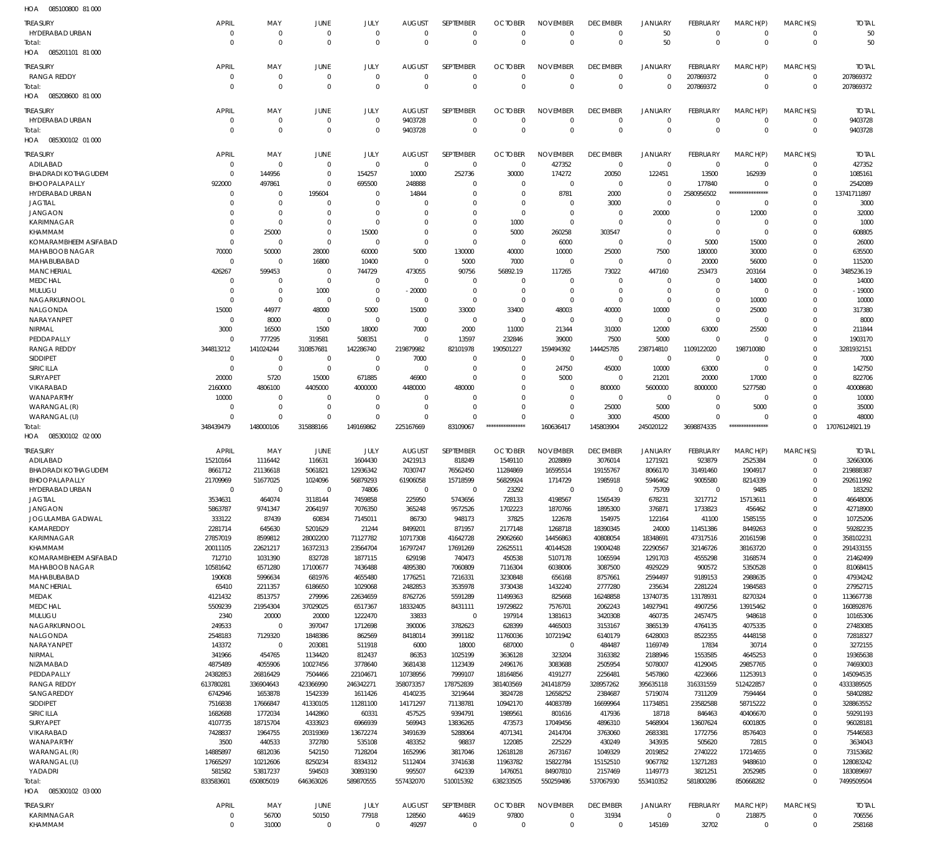| HOA<br>085100800 81 000      |                    |                     |                    |                  |                  |                     |                     |                    |                     |                    |                     |                      |                         |                       |
|------------------------------|--------------------|---------------------|--------------------|------------------|------------------|---------------------|---------------------|--------------------|---------------------|--------------------|---------------------|----------------------|-------------------------|-----------------------|
| <b>TREASURY</b>              | <b>APRIL</b>       | MAY                 | <b>JUNE</b>        | JULY             | <b>AUGUST</b>    | SEPTEMBER           | <b>OCTOBER</b>      | <b>NOVEMBER</b>    | <b>DECEMBER</b>     | <b>JANUARY</b>     | <b>FEBRUARY</b>     | MARCH(P)             | MARCH(S)                | <b>TOTAL</b>          |
| HYDERABAD URBAN              | $\overline{0}$     | $\mathbf 0$         | $\overline{0}$     | $\mathbf 0$      | $\mathbf 0$      | $\mathbf 0$         | $\Omega$            | $\mathbf 0$        | $\mathbf 0$         | 50                 | $\Omega$            | $\Omega$             | $\Omega$                | 50                    |
| Total:                       | $\overline{0}$     | $\mathbf 0$         | $\overline{0}$     | $\mathbf 0$      | $\Omega$         | $\mathbf 0$         | $\Omega$            | $\mathbf 0$        | $\Omega$            | 50                 | $\mathbf{0}$        | $\Omega$             | $\mathbf 0$             | 50                    |
| 085201101 81 000<br>HOA      |                    |                     |                    |                  |                  |                     |                     |                    |                     |                    |                     |                      |                         |                       |
|                              |                    |                     |                    |                  |                  |                     |                     |                    |                     |                    |                     |                      |                         |                       |
| <b>TREASURY</b>              | <b>APRIL</b>       | MAY                 | JUNE               | JULY             | <b>AUGUST</b>    | SEPTEMBER           | <b>OCTOBER</b>      | <b>NOVEMBER</b>    | <b>DECEMBER</b>     | <b>JANUARY</b>     | <b>FEBRUARY</b>     | MARCH(P)             | MARCH(S)                | <b>TOTAL</b>          |
| <b>RANGA REDDY</b>           | $\overline{0}$     | $\mathbf 0$         | $\overline{0}$     | $\mathbf 0$      | $\mathbf 0$      | $\mathbf 0$         | $\mathbf 0$         | $\mathbf 0$        | $\mathbf 0$         | $\mathbf 0$        | 207869372           | $\Omega$             | $\Omega$                | 207869372             |
| Total:                       | $\Omega$           | $\mathbf 0$         | $\overline{0}$     | $\mathbf 0$      | $\Omega$         | $\mathbf 0$         | $\overline{0}$      | $\mathbf 0$        | $\mathbf 0$         | $\mathbf 0$        | 207869372           | $\Omega$             | $\Omega$                | 207869372             |
| 085208600 81 000<br>HOA      |                    |                     |                    |                  |                  |                     |                     |                    |                     |                    |                     |                      |                         |                       |
| treasury                     | <b>APRIL</b>       | MAY                 | JUNE               | JULY             | <b>AUGUST</b>    | SEPTEMBER           | <b>OCTOBER</b>      | <b>NOVEMBER</b>    | <b>DECEMBER</b>     | <b>JANUARY</b>     | FEBRUARY            | MARCH(P)             | MARCH(S)                | <b>TOTAL</b>          |
| HYDERABAD URBAN              | $\overline{0}$     | $\mathbf 0$         | $\overline{0}$     | $\mathbf 0$      | 9403728          | $\mathbf 0$         | $\Omega$            | $\mathbf 0$        | $\mathbf 0$         | $\mathbf 0$        | $\Omega$            | $\Omega$             | $\Omega$                | 9403728               |
| Total:                       | $\Omega$           | $\mathbf 0$         | $\overline{0}$     | $\mathbf 0$      | 9403728          | $\mathbf 0$         | $\Omega$            | $\mathbf 0$        | $\Omega$            | $\mathbf 0$        | $\Omega$            | $\Omega$             | $\mathbf 0$             | 9403728               |
| HOA  085300102  01  000      |                    |                     |                    |                  |                  |                     |                     |                    |                     |                    |                     |                      |                         |                       |
|                              |                    |                     |                    |                  |                  |                     |                     |                    |                     |                    |                     |                      |                         |                       |
| TREASURY                     | <b>APRIL</b>       | MAY                 | <b>JUNE</b>        | JULY             | <b>AUGUST</b>    | <b>SEPTEMBER</b>    | <b>OCTOBER</b>      | <b>NOVEMBER</b>    | <b>DECEMBER</b>     | JANUARY            | FEBRUARY            | MARCH(P)             | MARCH(S)                | <b>TOTAL</b>          |
| ADILABAD                     | $\overline{0}$     | $\mathbf 0$         | $\mathbf 0$        | $\mathbf 0$      | $\mathbf 0$      | $\mathbf 0$         | $\overline{0}$      | 427352             | $\mathbf 0$         | $\mathbf 0$        | $\overline{0}$      | $\Omega$             | $\Omega$                | 427352                |
| <b>BHADRADI KOTHAGUDEM</b>   | $\overline{0}$     | 144956              | $\overline{0}$     | 154257           | 10000            | 252736              | 30000               | 174272             | 20050               | 122451             | 13500               | 162939               | $\Omega$                | 1085161               |
| BHOOPALAPALLY                | 922000             | 497861              | - 0                | 695500           | 248888           | 0                   | -0                  | $\mathbf 0$        | 0                   | $\mathbf 0$        | 177840              |                      |                         | 2542089               |
| HYDERABAD URBAN              | $\overline{0}$     | 0                   | 195604             | 0                | 14844            | 0                   | -0                  | 8781               | 2000                | $\mathbf 0$        | 2580956502          | ****************     | $\Omega$                | 13741711897           |
| <b>JAGTIAL</b>               | $\mathbf 0$        | $\mathbf 0$         | 0                  | 0                | 0                | 0                   | -0                  | 0                  | 3000                | $\mathbf 0$        | C                   | $\Omega$             | $\Omega$                | 3000                  |
| <b>JANGAON</b>               | $\Omega$           | $\mathbf 0$         | $\mathbf 0$        | $\Omega$         | 0                | 0                   | $\mathbf 0$         | $\mathbf 0$        | $\Omega$            | 20000              | $\Omega$            | 12000                |                         | 32000                 |
| <b>KARIMNAGAR</b>            | $\Omega$           | $\mathbf 0$         | $\mathbf 0$        | $\mathbf 0$      | $\Omega$         | $\mathbf 0$         | 1000                | $\mathbf 0$        | $\Omega$            | $\mathbf 0$        | $\Omega$            | $\Omega$             |                         | 1000                  |
| <b>KHAMMAM</b>               | $\Omega$           | 25000               | $\mathbf 0$        | 15000            | 0                | $\mathbf 0$         | 5000                | 260258             | 303547              | $\mathbf 0$        | $\mathbf 0$         | $\Omega$             |                         | 608805                |
| KOMARAMBHEEM ASIFABAD        | $\Omega$           | $\mathbf 0$         | $\overline{0}$     | 0                | $\mathbf 0$      | $\mathbf 0$         | $\overline{0}$      | 6000               | 0                   | $\mathbf 0$        | 5000                | 15000                |                         | 26000                 |
| MAHABOOB NAGAR               | 70000              | 50000               | 28000              | 60000            | 5000             | 130000              | 40000               | 10000              | 25000               | 7500               | 180000              | 30000                |                         | 635500                |
| MAHABUBABAD                  | $\overline{0}$     | $\mathbf 0$         | 16800              | 10400            | $\mathbf 0$      | 5000                | 7000                | $\mathbf 0$        | 0                   | $\mathbf 0$        | 20000               | 56000                | $\Omega$                | 115200                |
| <b>MANCHERIAL</b>            | 426267             | 599453              | $\overline{0}$     | 744729           | 473055           | 90756               | 56892.19            | 117265             | 73022               | 447160             | 253473              | 203164               | $\Omega$                | 3485236.19            |
| <b>MEDCHAL</b>               | $\overline{0}$     | $\mathbf 0$         | $\overline{0}$     | 0                | 0                | 0                   | -0                  | 0                  | 0                   | $\mathbf 0$        | $\Omega$            | 14000                | $\Omega$                | 14000                 |
| MULUGU                       | $\Omega$           | $\mathbf 0$         | 1000               | $\mathbf 0$      | $-20000$         | $\mathbf 0$         | -0                  | $\mathbf 0$        | 0                   | $\mathbf 0$        | $\Omega$            | $\Omega$             |                         | $-19000$              |
| NAGARKURNOOL                 | $\Omega$           | $\mathbf 0$         | $\overline{0}$     | $\mathbf 0$      | $\mathbf 0$      | $\mathbf 0$         | -0                  | $\mathbf 0$        | 0                   | $\mathbf 0$        | $\Omega$            | 10000                |                         | 10000                 |
| NALGONDA                     | 15000              | 44977               | 48000              | 5000             | 15000            | 33000               | 33400               | 48003              | 40000               | 10000              | $\Omega$            | 25000                |                         | 317380                |
| NARAYANPET                   | $\Omega$           | 8000                | $\overline{0}$     | $\mathbf 0$      | 0                | 0                   | -0                  | $\mathbf 0$        | $\mathbf 0$         | $\mathbf 0$        | $\Omega$            | $\Omega$             |                         | 8000                  |
| NIRMAL                       | 3000               | 16500               | 1500               | 18000            | 7000             | 2000                | 11000               | 21344              | 31000               | 12000              | 63000               | 25500                |                         | 211844                |
| PEDDAPALLY                   | $\overline{0}$     | 777295              | 319581             | 508351           | $\mathbf 0$      | 13597               | 232846              | 39000              | 7500                | 5000               | $\Omega$            | $\Omega$             | $\Omega$                | 1903170               |
| <b>RANGA REDDY</b>           | 344813212          | 141024244           | 310857681          | 142286740        | 219879982        | 82101978            | 190501227           | 159494392          | 144425785           | 238714810          | 1109122020          | 198710080            | $\Omega$                | 3281932151            |
| SIDDIPET                     | $\overline{0}$     | $\mathbf 0$         | - 0                | 0                | 7000             | 0                   | -0                  | $\mathbf 0$        | $\mathbf 0$         | $\mathbf 0$        | $\overline{0}$      | $\Omega$             | $\Omega$                | 7000                  |
| SIRICILLA                    | $\Omega$           | $\mathbf 0$         | $\overline{0}$     | $\mathbf 0$      | $\mathbf 0$      | $\mathbf 0$         | -0                  | 24750              | 45000               | 10000              | 63000               | $\Omega$             |                         | 142750                |
| <b>SURYAPET</b>              | 20000              | 5720                | 15000              | 671885           | 46900            | $\mathbf 0$         | 0                   | 5000               | 0                   | 21201              | 20000               | 17000                |                         | 822706                |
| VIKARABAD                    | 2160000            | 4806100             | 4405000            | 4000000          | 4480000          | 480000              | -0                  | $\mathbf 0$        | 800000              | 5600000            | 8000000             | 5277580              |                         | 40008680              |
| WANAPARTHY                   | 10000              | 0                   | 0                  | 0                | 0                | 0                   | 0                   | $\mathbf 0$        | $\mathbf 0$         | $\overline{0}$     | $\Omega$            | $\Omega$             | $\Omega$                | 10000                 |
| WARANGAL (R)                 | $\overline{0}$     | $\mathbf 0$         | $\overline{0}$     | $\mathbf 0$      | $\mathbf 0$      | 0                   | $\Omega$            | $\mathbf 0$        | 25000               | 5000               | $\Omega$            | 5000                 |                         | 35000                 |
| WARANGAL (U)                 | $\Omega$           | $\mathbf 0$         | $\overline{0}$     | $\Omega$         | $\Omega$         | $\Omega$            | $\Omega$            | $\Omega$           | 3000                | 45000              | $\Omega$            |                      | $\Omega$                | 48000                 |
| Total:                       | 348439479          | 148000106           | 315888166          | 149169862        | 225167669        | 83109067            | ****************    | 160636417          | 145803904           | 245020122          | 3698874335          | ****************     | $\Omega$                | 17076124921.19        |
| HOA  085300102  02  000      |                    |                     |                    |                  |                  |                     |                     |                    |                     |                    |                     |                      |                         |                       |
|                              |                    |                     |                    |                  |                  |                     |                     |                    |                     |                    |                     |                      |                         |                       |
|                              |                    |                     |                    |                  |                  |                     |                     |                    |                     |                    |                     |                      |                         |                       |
| TREASURY                     | <b>APRIL</b>       | MAY                 | JUNE               | JULY             | <b>AUGUST</b>    | SEPTEMBER           | <b>OCTOBER</b>      | <b>NOVEMBER</b>    | <b>DECEMBER</b>     | <b>JANUARY</b>     | FEBRUARY            | MARCH(P)             | MARCH(S)                | <b>TOTAI</b>          |
| ADILABAD                     | 15210164           | 1116442             | 116631             | 1604430          | 2421913          | 818249              | 1549110             | 2028869            | 3076014             | 1271921            | 923879              | 2525384              | $\Omega$                | 32663006              |
| <b>BHADRADI KOTHAGUDEM</b>   | 8661712            | 21136618            | 5061821            | 12936342         | 7030747          | 76562450            | 11284869            | 16595514           | 19155767            | 8066170            | 31491460            | 1904917              | $\Omega$                | 219888387             |
| BHOOPALAPALLY                | 21709969           | 51677025            | 1024096            | 56879293         | 61906058         | 15718599            | 56829924            | 1714729            | 1985918             | 5946462            | 9005580             | 8214339              | $\Omega$                | 292611992             |
| HYDERABAD URBAN              | $\overline{0}$     | $\mathbf 0$         | $\mathbf 0$        | 74806            | 0                | 0                   | 23292               | 0                  | $\mathbf 0$         | 75709              | $\Omega$            | 9485                 |                         | 183292                |
| <b>JAGTIAL</b>               | 3534631            | 464074              | 3118144            | 7459858          | 225950           | 5743656             | 728133              | 4198567            | 1565439             | 678231             | 3217712             | 15713611             | $\Omega$                | 46648006              |
| <b>JANGAON</b>               | 5863787            | 9741347             | 2064197            | 7076350          | 365248           | 9572526             | 1702223             | 1870766            | 1895300             | 376871             | 1733823             | 456462               | $\Omega$                | 42718900              |
| <b>JOGULAMBA GADWAL</b>      | 333122             | 87439               | 60834              | 7145011          | 86730            | 948173              | 37825               | 122678             | 154975              | 122164             | 41100               | 1585155              | $\Omega$                | 10725206              |
| KAMAREDDY                    | 2281714            | 645630              | 5201629            | 21244            | 8499201          | 871957              | 2177148             | 1268718            | 18390345            | 24000              | 11451386            | 8449263              | $\Omega$                | 59282235              |
| <b>KARIMNAGAR</b>            | 27857019           | 8599812             | 28002200           | 71127782         | 10717308         | 41642728            | 29062660            | 14456863           | 40808054            | 18348691           | 47317516            | 20161598             | $\Omega$                | 358102231             |
| <b>KHAMMAM</b>               | 20011105           | 22621217            | 16372313           | 23564704         | 16797247         | 17691269            | 22625511            | 40144528           | 19004248            | 22290567           | 32146726            | 38163720             | $\Omega$                | 291433155             |
| KOMARAMBHEEM ASIFABAD        | 712710             | 1031390             | 832728             | 1877115          | 629198           | 740473              | 450538              | 5107178            | 1065594             | 1291703            | 4555298             | 3168574              | $\mathbf 0$             | 21462499              |
| MAHABOOB NAGAR               | 10581642           | 6571280             | 17100677           | 7436488          | 4895380          | 7060809             | 7116304             | 6038006            | 3087500             | 4929229            | 900572              | 5350528              | $\Omega$<br>$\Omega$    | 81068415              |
| MAHABUBABAD                  | 190608             | 5996634             | 681976             | 4655480          | 1776251          | 7216331             | 3230848             | 656168             | 8757661             | 2594497            | 9189153             | 2988635              | $\Omega$                | 47934242              |
| <b>MANCHERIAL</b><br>MEDAK   | 65410              | 2211357<br>8513757  | 6186650<br>279996  | 1029068          | 2482853          | 3535978             | 3730438<br>11499363 | 1432240            | 2777280<br>16248858 | 235634<br>13740735 | 2281224<br>13178931 | 1984583              | $\Omega$                | 27952715<br>113667738 |
|                              | 4121432            |                     |                    | 22634659         | 8762726          | 5591289             |                     | 825668             |                     |                    |                     | 8270324              | $\Omega$                |                       |
| MEDCHAL                      | 5509239            | 21954304            | 37029025           | 6517367          | 18332405         | 8431111             | 19729822            | 7576701            | 2062243             | 14927941           | 4907256             | 13915462             | $\Omega$                | 160892876             |
| MULUGU                       | 2340               | 20000               | 20000              | 1222470          | 33833            | $\mathbf 0$         | 197914              | 1381613            | 3420308             | 460735             | 2457475             | 948618               |                         | 10165306              |
| NAGARKURNOOL                 | 249533             | $\overline{0}$      | 397047             | 1712698          | 390006           | 3782623             | 628399              | 4465003            | 3153167             | 3865139            | 4764135             | 4075335              | $\Omega$                | 27483085              |
| NALGONDA                     | 2548183            | 7129320             | 1848386            | 862569           | 8418014          | 3991182             | 11760036            | 10721942           | 6140179             | 6428003            | 8522355             | 4448158              | $\mathbf 0$<br>$\Omega$ | 72818327              |
| NARAYANPET                   | 143372             | $\overline{0}$      | 203081             | 511918           | 6000             | 18000               | 687000              | $\mathbf 0$        | 484487              | 1169749            | 17834               | 30714                | $\Omega$                | 3272155               |
| NIRMAL                       | 341966             | 454765              | 1134420            | 812437           | 86353            | 1025199             | 3636128             | 323204             | 3163382             | 2188946            | 1553585             | 4645253              | $\Omega$                | 19365638              |
| NIZAMABAD                    | 4875489            | 4055906             | 10027456           | 3778640          | 3681438          | 1123439             | 2496176             | 3083688            | 2505954             | 5078007            | 4129045             | 29857765             | $\Omega$                | 74693003              |
| PEDDAPALLY                   | 24382853           | 26816429            | 7504466            | 22104671         | 10738956         | 7999107             | 18164856            | 4191277            | 2256481             | 5457860            | 4223666             | 11253913             | $\Omega$                | 145094535             |
| <b>RANGA REDDY</b>           | 613780281          | 336904643           | 423366990          | 246342271        | 358073357        | 178752839           | 381403569           | 241418759          | 328957262           | 395635118          | 316331559           | 512422857<br>7594464 | $\Omega$                | 4333389505            |
| SANGAREDDY                   | 6742946            | 1653878             | 1542339            | 1611426          | 4140235          | 3219644             | 3824728             | 12658252           | 2384687             | 5719074            | 7311209             |                      | $\Omega$                | 58402882              |
| SIDDIPET                     | 7516838            | 17666847            | 41330105           | 11281100         | 14171297         | 71138781<br>9394791 | 10942170<br>1989561 | 44083789           | 16699964            | 11734851<br>18718  | 23582588            | 58715222             | $\Omega$                | 328863552             |
| SIRICILLA<br><b>SURYAPET</b> | 1682688<br>4107735 | 1772034<br>18715704 | 1442860<br>4333923 | 60331<br>6966939 | 457525<br>569943 | 13836265            | 473573              | 801616<br>17049456 | 417936<br>4896310   | 5468904            | 846463<br>13607624  | 40406670<br>6001805  | $\Omega$                | 59291193<br>96028181  |
| VIKARABAD                    | 7428837            | 1964755             | 20319369           | 13672274         | 3491639          | 5288064             | 4071341             | 2414704            | 3763060             | 2683381            | 1772756             | 8576403              | $\Omega$                | 75446583              |
| WANAPARTHY                   | 3500               | 440533              | 372780             | 535108           | 483352           | 98837               | 122085              | 225229             | 430249              | 343935             | 505620              | 72815                | $\Omega$                | 3634043               |
| WARANGAL (R)                 | 14885897           | 6812036             | 542150             | 7128204          | 1652996          | 3817046             | 12618128            | 2673167            | 1049329             | 2019852            | 2740222             | 17214655             | $\Omega$                | 73153682              |
| WARANGAL (U)                 | 17665297           | 10212606            | 8250234            | 8334312          | 5112404          | 3741638             | 11963782            | 15822784           | 15152510            | 9067782            | 13271283            | 9488610              | $\Omega$                | 128083242             |
| YADADRI                      | 581582             | 53817237            | 594503             | 30893190         | 995507           | 642339              | 1476051             | 84907810           | 2157469             | 1149773            | 3821251             | 2052985              | $\Omega$                | 183089697             |
| Total:                       | 833583601          | 650805019           | 646363026          | 589870555        | 557432070        | 510015392           | 638233505           | 550259486          | 537067930           | 553410352          | 581800286           | 850668282            | $\Omega$                | 7499509504            |
| HOA  085300102  03  000      |                    |                     |                    |                  |                  |                     |                     |                    |                     |                    |                     |                      |                         |                       |
|                              |                    |                     |                    |                  |                  |                     |                     |                    |                     |                    |                     |                      |                         |                       |
| TREASURY                     | <b>APRIL</b>       | MAY                 | JUNE               | JULY             | <b>AUGUST</b>    | SEPTEMBER           | <b>OCTOBER</b>      | <b>NOVEMBER</b>    | <b>DECEMBER</b>     | <b>JANUARY</b>     | <b>FEBRUARY</b>     | MARCH(P)             | MARCH(S)                | <b>TOTAL</b>          |
| KARIMNAGAR                   | $\overline{0}$     | 56700               | 50150              | 77918            | 128560           | 44619               | 97800               | $\mathbf 0$        | 31934               | $\mathbf 0$        | $\mathbf 0$         | 218875               | $\mathbf 0$             | 706556                |
| KHAMMAM                      | $\overline{0}$     | 31000               | $\overline{0}$     | $\mathbf 0$      | 49297            | $\mathbf 0$         | $\mathbf 0$         | 0                  | $\mathbf 0$         | 145169             | 32702               | $\mathbf 0$          | $\mathbf 0$             | 258168                |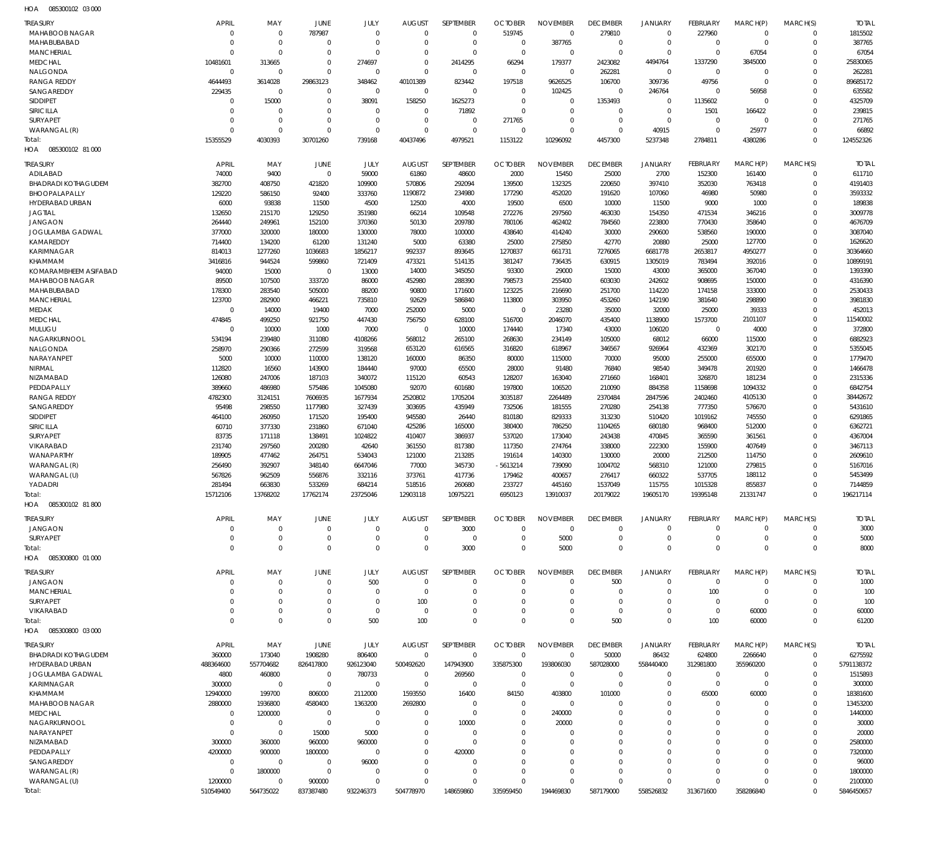085300102 03 000 HOA

| <b>TREASURY</b>                   | <b>APRIL</b>            | MAY                         | JUNE                | JULY                  | <b>AUGUST</b>         | SEPTEMBER             | <b>OCTOBER</b> | <b>NOVEMBER</b> | <b>DECEMBER</b> | <b>JANUARY</b>        | FEBRUARY        | MARCH(P)    | MARCH(S)    | <b>TOTAL</b>          |
|-----------------------------------|-------------------------|-----------------------------|---------------------|-----------------------|-----------------------|-----------------------|----------------|-----------------|-----------------|-----------------------|-----------------|-------------|-------------|-----------------------|
| MAHABOOB NAGAR                    | $\mathbf{0}$            | $\mathbf 0$                 | 787987              | $\mathbf 0$           | $\overline{0}$        | $\overline{0}$        | 519745         | $\Omega$        | 279810          | $\mathbf 0$           | 227960          | $\mathbf 0$ | $\Omega$    | 1815502               |
| MAHABUBABAD                       | $\mathbf 0$             | $\mathbf 0$                 | $\Omega$            | $\Omega$              | $\Omega$              | $\overline{0}$        | $\overline{0}$ | 387765          | $\Omega$        | $\mathbf 0$           | $\mathbf{0}$    | $\mathbf 0$ | $\Omega$    | 387765                |
| <b>MANCHERIAL</b>                 | $\Omega$                | $\Omega$                    | $\Omega$            | $\Omega$              | $\Omega$              | $\Omega$              | $\overline{0}$ | $\Omega$        | $\mathbf 0$     | $\Omega$              | $\mathbf 0$     | 67054       | $\Omega$    | 67054                 |
| <b>MEDCHAL</b>                    | 10481601                | 313665                      | $\Omega$            | 274697                | $\Omega$              | 2414295               | 66294          | 179377          | 2423082         | 4494764               | 1337290         | 3845000     | $\Omega$    | 25830065              |
| NALGONDA                          | $\Omega$                | $\overline{0}$              | $\Omega$            | $\Omega$              | $\Omega$              | $\Omega$              | $\Omega$       | $\Omega$        | 262281          | $\mathbf{0}$          | $\Omega$        | $\Omega$    | $\Omega$    | 262281                |
| <b>RANGA REDDY</b>                | 4644493                 | 3614028                     | 29863123            | 348462                | 40101389              | 823442                | 197518         | 9626525         | 106700          | 309736                | 49756           | $\Omega$    | $\Omega$    | 89685172              |
| SANGAREDDY                        | 229435                  | $\Omega$                    | $\Omega$            | $\overline{0}$        | $\mathbf 0$           | $\Omega$              | $\Omega$       | 102425          | $\Omega$        | 246764                | $\Omega$        | 56958       | $\Omega$    | 635582                |
| <b>SIDDIPET</b>                   | $\Omega$                | 15000                       | $\Omega$            | 38091                 | 158250                | 1625273               | $\Omega$       | $\Omega$        | 1353493         | $\mathbf{0}$          | 1135602         | $\Omega$    | $\Omega$    | 4325709               |
| SIRICILLA                         | $\Omega$                | $\overline{0}$              | $\Omega$            | $\overline{0}$        | $\Omega$              | 71892                 | $\Omega$       | $\Omega$        | $\Omega$        | $\mathbf 0$           | 1501            | 166422      | $\Omega$    | 239815                |
| <b>SURYAPET</b>                   | $\mathbf 0$             | $\mathbf 0$                 | $\Omega$            | $\Omega$              | $\Omega$              | $\Omega$              | 271765         | $\Omega$        | $\Omega$        | $\mathbf 0$           | $\mathbf 0$     | $\Omega$    | $\Omega$    | 271765                |
| WARANGAL (R)                      | $\Omega$                | $\Omega$                    | $\Omega$            | $\Omega$              | $\Omega$              | $\Omega$              | $\Omega$       | $\Omega$        | $\Omega$        | 40915                 | $\mathbf{0}$    |             | $\Omega$    |                       |
|                                   |                         |                             |                     |                       |                       |                       |                |                 |                 |                       |                 | 25977       |             | 66892                 |
| Total:                            | 15355529                | 4030393                     | 30701260            | 739168                | 40437496              | 4979521               | 1153122        | 10296092        | 4457300         | 5237348               | 2784811         | 4380286     | $\Omega$    | 124552326             |
| HOA  085300102  81 000            |                         |                             |                     |                       |                       |                       |                |                 |                 |                       |                 |             |             |                       |
| <b>TREASURY</b>                   | <b>APRIL</b>            | MAY                         | JUNE                | JULY                  | <b>AUGUST</b>         | SEPTEMBER             | <b>OCTOBER</b> | <b>NOVEMBER</b> | <b>DECEMBER</b> | <b>JANUARY</b>        | <b>FEBRUARY</b> | MARCH(P)    | MARCH(S)    | <b>TOTAL</b>          |
| ADILABAD                          | 74000                   | 9400                        | $\mathbf{0}$        | 59000                 | 61860                 | 48600                 | 2000           | 15450           | 25000           | 2700                  | 152300          | 161400      | $\mathbf 0$ | 611710                |
| <b>BHADRADI KOTHAGUDEM</b>        | 382700                  | 408750                      | 421820              | 109900                | 570806                | 292094                | 139500         | 132325          | 220650          | 397410                | 352030          | 763418      | $\Omega$    | 4191403               |
| BHOOPALAPALLY                     | 129220                  | 586150                      | 92400               | 333760                | 1190872               | 234980                | 177290         | 452020          | 191620          | 107060                | 46980           | 50980       | $\Omega$    | 3593332               |
| HYDERABAD URBAN                   | 6000                    | 93838                       | 11500               | 4500                  | 12500                 | 4000                  | 19500          | 6500            | 10000           | 11500                 | 9000            | 1000        | $\Omega$    | 189838                |
| <b>JAGTIAL</b>                    |                         | 215170                      |                     |                       |                       |                       |                |                 |                 | 154350                |                 |             | $\Omega$    | 3009778               |
|                                   | 132650                  |                             | 129250              | 351980                | 66214                 | 109548                | 272276         | 297560          | 463030          |                       | 471534          | 346216      |             |                       |
| <b>JANGAON</b>                    | 264440                  | 249961                      | 152100              | 370360                | 50130                 | 209780                | 780106         | 462402          | 784560          | 223800                | 770430          | 358640      | $\Omega$    | 4676709               |
| JOGULAMBA GADWAL                  | 377000                  | 320000                      | 180000              | 130000                | 78000                 | 100000                | 438640         | 414240          | 30000           | 290600                | 538560          | 190000      | $\Omega$    | 3087040               |
| KAMAREDDY                         | 714400                  | 134200                      | 61200               | 131240                | 5000                  | 63380                 | 25000          | 275850          | 42770           | 20880                 | 25000           | 127700      | $\Omega$    | 1626620               |
| <b>KARIMNAGAR</b>                 | 814013                  | 1277260                     | 1036683             | 1856217               | 992337                | 893645                | 1270837        | 661731          | 7276065         | 6681778               | 2653817         | 4950277     | $\Omega$    | 30364660              |
| KHAMMAM                           | 3416816                 | 944524                      | 599860              | 721409                | 473321                | 514135                | 381247         | 736435          | 630915          | 1305019               | 783494          | 392016      | $\Omega$    | 10899191              |
| KOMARAMBHEEM ASIFABAD             | 94000                   | 15000                       | $\mathbf 0$         | 13000                 | 14000                 | 345050                | 93300          | 29000           | 15000           | 43000                 | 365000          | 367040      | $\Omega$    | 1393390               |
| MAHABOOB NAGAR                    | 89500                   | 107500                      | 333720              | 86000                 | 452980                | 288390                | 798573         | 255400          | 603030          | 242602                | 908695          | 150000      | $\Omega$    | 4316390               |
| MAHABUBABAD                       | 178300                  | 283540                      | 505000              | 88200                 | 90800                 | 171600                | 123225         | 216690          | 251700          | 114220                | 174158          | 333000      | $\Omega$    | 2530433               |
| <b>MANCHERIAL</b>                 | 123700                  | 282900                      | 466221              | 735810                | 92629                 | 586840                | 113800         | 303950          | 453260          | 142190                | 381640          | 298890      | $\Omega$    | 3981830               |
| MEDAK                             | $\mathbf 0$             | 14000                       | 19400               | 7000                  | 252000                | 5000                  | $\mathbf 0$    | 23280           | 35000           | 32000                 | 25000           | 39333       | $\Omega$    | 452013                |
| <b>MEDCHAL</b>                    | 474845                  | 499250                      | 921750              | 447430                | 756750                | 628100                | 516700         | 2046070         | 435400          | 1138900               | 1573700         | 2101107     | $\Omega$    | 11540002              |
| MULUGU                            | $\mathbf{0}$            | 10000                       | 1000                | 7000                  | $\mathbf 0$           | 10000                 | 174440         | 17340           | 43000           | 106020                | $\mathbf 0$     | 4000        | $\Omega$    | 372800                |
| NAGARKURNOOL                      | 534194                  | 239480                      | 311080              | 4108266               | 568012                | 265100                | 268630         | 234149          | 105000          | 68012                 | 66000           | 115000      | $\Omega$    | 6882923               |
| NALGONDA                          | 258970                  |                             |                     |                       |                       |                       |                | 618967          |                 | 926964                |                 |             | $\Omega$    | 5355045               |
|                                   |                         | 290366                      | 272599              | 319568                | 653120                | 616565                | 316820         |                 | 346567          |                       | 432369          | 302170      |             |                       |
| NARAYANPET                        | 5000                    | 10000                       | 110000              | 138120                | 160000                | 86350                 | 80000          | 115000          | 70000           | 95000                 | 255000          | 655000      | $\Omega$    | 1779470               |
| NIRMAL                            | 112820                  | 16560                       | 143900              | 184440                | 97000                 | 65500                 | 28000          | 91480           | 76840           | 98540                 | 349478          | 201920      | $\Omega$    | 1466478               |
| NIZAMABAD                         | 126080                  | 247006                      | 187103              | 340072                | 115120                | 60543                 | 128207         | 163040          | 271660          | 168401                | 326870          | 181234      | $\Omega$    | 2315336               |
| PEDDAPALLY                        | 389660                  | 486980                      | 575486              | 1045080               | 92070                 | 601680                | 197800         | 106520          | 210090          | 884358                | 1158698         | 1094332     | $\Omega$    | 6842754               |
| <b>RANGA REDDY</b>                | 4782300                 | 3124151                     | 7606935             | 1677934               | 2520802               | 1705204               | 3035187        | 2264489         | 2370484         | 2847596               | 2402460         | 4105130     | $\Omega$    | 38442672              |
| SANGAREDDY                        | 95498                   | 298550                      | 1177980             | 327439                | 303695                | 435949                | 732506         | 181555          | 270280          | 254138                | 777350          | 576670      | $\Omega$    | 5431610               |
| <b>SIDDIPET</b>                   | 464100                  | 260950                      | 171520              | 195400                | 945580                | 26440                 | 810180         | 829333          | 313230          | 510420                | 1019162         | 745550      | $\Omega$    | 6291865               |
| SIRICILLA                         | 60710                   | 377330                      | 231860              | 671040                | 425286                | 165000                | 380400         | 786250          | 1104265         | 680180                | 968400          | 512000      | $\Omega$    | 6362721               |
| <b>SURYAPET</b>                   | 83735                   | 171118                      | 138491              | 1024822               | 410407                | 386937                | 537020         | 173040          | 243438          | 470845                | 365590          | 361561      | $\Omega$    | 4367004               |
| VIKARABAD                         | 231740                  | 297560                      | 200280              | 42640                 | 361550                | 817380                | 117350         | 274764          | 338000          | 222300                | 155900          | 407649      | $\Omega$    | 3467113               |
| WANAPARTHY                        | 189905                  | 477462                      | 264751              | 534043                | 121000                | 213285                | 191614         | 140300          | 130000          | 20000                 | 212500          | 114750      | $\Omega$    | 2609610               |
| WARANGAL (R)                      | 256490                  | 392907                      | 348140              | 6647046               | 77000                 | 345730                | -5613214       | 739090          | 1004702         | 568310                | 121000          | 279815      | $\Omega$    | 5167016               |
| WARANGAL (U)                      | 567826                  | 962509                      | 556876              | 332116                | 373761                | 417736                | 179462         | 400657          | 276417          | 660322                | 537705          | 188112      | $\Omega$    | 5453499               |
| YADADRI                           | 281494                  | 663830                      | 533269              | 684214                | 518516                | 260680                | 233727         | 445160          | 1537049         | 115755                | 1015328         | 855837      | $\Omega$    | 7144859               |
|                                   |                         |                             |                     |                       |                       |                       |                |                 |                 |                       |                 |             |             |                       |
| Total:                            | 15712106                | 13768202                    | 17762174            | 23725046              | 12903118              | 10975221              | 6950123        | 13910037        | 20179022        | 19605170              | 19395148        | 21331747    |             | 196217114             |
| HOA<br>085300102 81 800           |                         |                             |                     |                       |                       |                       |                |                 |                 |                       |                 |             |             |                       |
| <b>TREASURY</b>                   | <b>APRIL</b>            | MAY                         | JUNE                | JULY                  | <b>AUGUST</b>         | SEPTEMBER             | <b>OCTOBER</b> | <b>NOVEMBER</b> | <b>DECEMBER</b> | <b>JANUARY</b>        | FEBRUARY        | MARCH(P)    | MARCH(S)    | <b>TOTAL</b>          |
| <b>JANGAON</b>                    | $\mathbf 0$             | $\overline{0}$              | $\Omega$            | $\Omega$              | $\Omega$              | 3000                  | $\Omega$       | $\Omega$        | $\Omega$        | $\Omega$              | $\Omega$        | $\Omega$    | $\Omega$    | 3000                  |
| <b>SURYAPET</b>                   | $\mathbf 0$             | $\mathbf 0$                 | $\Omega$            | $\Omega$              | $\Omega$              | $\overline{0}$        | $\Omega$       | 5000            | $\Omega$        | $\mathbf 0$           | $\Omega$        | $\Omega$    | $\mathbf 0$ | 5000                  |
| Total:                            | $\mathbf 0$             |                             |                     |                       |                       |                       |                |                 |                 |                       |                 |             |             |                       |
|                                   |                         |                             |                     |                       |                       |                       |                |                 |                 |                       | $\Omega$        |             |             |                       |
|                                   |                         | $\mathbf 0$                 | $\Omega$            | $\Omega$              | $\Omega$              | 3000                  | $\Omega$       | 5000            | $\Omega$        | $\Omega$              |                 | $\Omega$    | $\Omega$    | 8000                  |
| 085300800 01 000<br>HOA           |                         |                             |                     |                       |                       |                       |                |                 |                 |                       |                 |             |             |                       |
| <b>TREASURY</b>                   | <b>APRIL</b>            | MAY                         | JUNE                | JULY                  | <b>AUGUST</b>         | SEPTEMBER             | <b>OCTOBER</b> | <b>NOVEMBER</b> | <b>DECEMBER</b> | <b>JANUARY</b>        | <b>FEBRUARY</b> | MARCH(P)    | MARCH(S)    | <b>TOTAL</b>          |
| JANGAON                           | $\mathbf 0$             | $\overline{0}$              | $\Omega$            | 500                   | $\Omega$              | $\Omega$              | $\Omega$       | $\Omega$        | 500             | $\mathbf 0$           | $^{\circ}$      | $\Omega$    | $\Omega$    | 1000                  |
| <b>MANCHERIAL</b>                 | $\mathbf 0$             | $\overline{0}$              | $\mathbf 0$         | $\Omega$              | $^{\circ}$            | $^{\circ}$            | $\Omega$       | $\Omega$        | $\Omega$        | $\mathbf 0$           | 100             | $\mathbf 0$ | $\Omega$    | 100                   |
|                                   | $\mathbf 0$             | $\overline{0}$              | $\Omega$            | $\Omega$              |                       | $^{\circ}$            | $\Omega$       | $\Omega$        | $\Omega$        | $\mathbf 0$           | $\overline{0}$  | $\mathbf 0$ | $\Omega$    |                       |
| <b>SURYAPET</b>                   |                         |                             |                     |                       | 100                   |                       | $\Omega$       | $\Omega$        | $\Omega$        | $\Omega$              |                 |             | $\Omega$    | 100                   |
| VIKARABAD                         | $\mathbf 0$             | $\overline{0}$              | $\mathbf 0$         | $\overline{0}$        | $^{\circ}$            | $\overline{0}$        |                |                 |                 |                       | $\mathbf 0$     | 60000       |             | 60000                 |
| Total:<br>085300800 03 000<br>HOA | $\mathbf 0$             | $\mathbf 0$                 | $\Omega$            | 500                   | 100                   | $\Omega$              | $\Omega$       | $\Omega$        | 500             | $\Omega$              | 100             | 60000       | $\Omega$    | 61200                 |
|                                   |                         |                             |                     |                       |                       |                       |                |                 |                 |                       |                 |             |             |                       |
| <b>TREASURY</b>                   | <b>APRIL</b>            | MAY                         | JUNE                | JULY                  | <b>AUGUST</b>         | SEPTEMBER             | <b>OCTOBER</b> | <b>NOVEMBER</b> | <b>DECEMBER</b> | <b>JANUARY</b>        | FEBRUARY        | MARCH(P)    | MARCH(S)    | <b>TOTAL</b>          |
| <b>BHADRADI KOTHAGUDEM</b>        | 360000                  | 173040                      | 1908280             | 806400                | $\Omega$              | $\Omega$              | $\Omega$       | $\Omega$        | 50000           | 86432                 | 624800          | 2266640     | $\Omega$    | 6275592               |
| HYDERABAD URBAN                   | 488364600               | 557704682                   | 826417800           | 926123040             | 500492620             | 147943900             | 335875300      | 193806030       | 587028000       | 558440400             | 312981800       | 355960200   | 0           | 5791138372            |
| JOGULAMBA GADWAL                  | 4800                    | 460800                      | $\overline{0}$      | 780733                | $^{\circ}$            | 269560                | $\Omega$       | $\Omega$        | $\Omega$        | $\mathbf 0$           | $\mathbf 0$     | $\Omega$    | $\Omega$    | 1515893               |
| KARIMNAGAR                        | 300000                  | $\overline{0}$              | $\overline{0}$      | $^{\circ}$            | $\overline{0}$        | $^{\circ}$            | $\mathbf 0$    | $\Omega$        | $\Omega$        | $\mathbf 0$           | $\mathbf 0$     | $\Omega$    | $\Omega$    | 300000                |
| KHAMMAM                           | 12940000                | 199700                      | 806000              | 2112000               | 1593550               | 16400                 | 84150          | 403800          | 101000          | $\Omega$              | 65000           | 60000       | $\Omega$    | 18381600              |
| MAHABOOB NAGAR                    | 2880000                 | 1936800                     | 4580400             | 1363200               | 2692800               | $\Omega$              | $\Omega$       | $\Omega$        | $\Omega$        | $\Omega$              | $\Omega$        | $\Omega$    | $\Omega$    | 13453200              |
| <b>MEDCHAL</b>                    | $\mathbf{0}$            | 1200000                     | $\mathbf{0}$        | $^{\circ}$            | $\Omega$              | $\Omega$              | $\Omega$       | 240000          | $\Omega$        | $\Omega$              | $\Omega$        | $\Omega$    | $\Omega$    | 1440000               |
| NAGARKURNOOL                      | $\mathbf 0$             | $\overline{0}$              | $\mathbf{0}$        | $^{\circ}$            | $\Omega$              | 10000                 | $\Omega$       | 20000           | $\Omega$        | $\Omega$              | $\Omega$        | $\Omega$    | $\Omega$    | 30000                 |
| NARAYANPET                        | $\mathbf 0$             | $\overline{0}$              | 15000               | 5000                  | $\Omega$              | $\Omega$              | $\Omega$       | $\Omega$        | $\Omega$        | $\Omega$              | $\Omega$        | $\Omega$    | $\Omega$    | 20000                 |
| NIZAMABAD                         | 300000                  | 360000                      | 960000              | 960000                | $\Omega$              | $\Omega$              | $\Omega$       | $\Omega$        | $\Omega$        | $\Omega$              |                 | $\Omega$    |             | 2580000               |
| PEDDAPALLY                        |                         |                             |                     | $\Omega$              | $\Omega$              |                       | $\Omega$       | $\Omega$        | $\Omega$        | $\Omega$              | $\Omega$        | $\Omega$    | $\Omega$    |                       |
|                                   | 4200000<br>$\mathbf{0}$ | 900000                      | 1800000<br>$\Omega$ |                       | $\Omega$              | 420000<br>$\Omega$    | $\Omega$       | $\Omega$        | $\Omega$        | $\Omega$              | $\Omega$        | $\Omega$    |             | 7320000               |
| SANGAREDDY                        | $\Omega$                | $\overline{0}$              | $\Omega$            | 96000<br>$\Omega$     | $\Omega$              | $\Omega$              | $\Omega$       | $\Omega$        | $\Omega$        | $\Omega$              | $\Omega$        | $\Omega$    | $\Omega$    | 96000                 |
| WARANGAL (R)                      |                         | 1800000                     |                     |                       |                       |                       | $\Omega$       | $\Omega$        | $\Omega$        |                       | $\Omega$        | $\Omega$    | $\Omega$    | 1800000               |
| WARANGAL (U)<br>Total:            | 1200000<br>510549400    | $\overline{0}$<br>564735022 | 900000<br>837387480 | $\Omega$<br>932246373 | $\Omega$<br>504778970 | $\Omega$<br>148659860 | 335959450      | 194469830       | 587179000       | $\Omega$<br>558526832 | 313671600       | 358286840   | $\Omega$    | 2100000<br>5846450657 |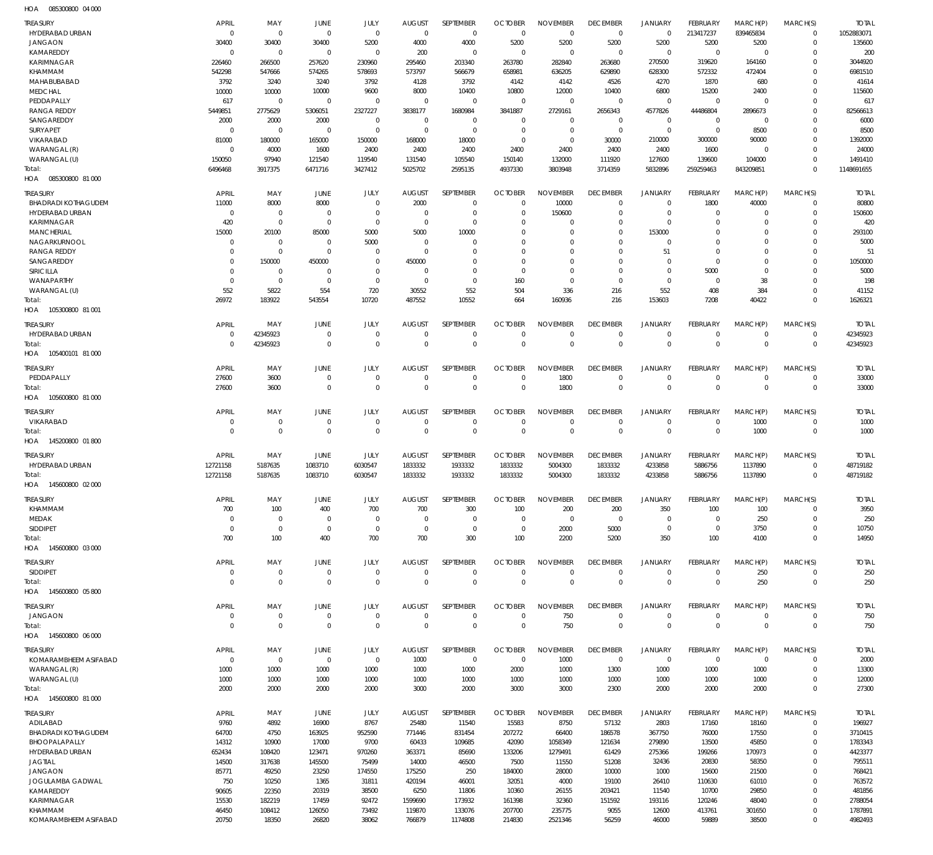085300800 04 000 HOA

| TREASURY                                      | <b>APRIL</b>          | MAY                      | JUNE                  | JULY                    | <b>AUGUST</b>    | SEPTEMBER         | <b>OCTOBER</b>   | <b>NOVEMBER</b>     | <b>DECEMBER</b>       | JANUARY               | <b>FEBRUARY</b>       | MARCH(P)             | MARCH(S)             | <b>TOTAL</b>       |
|-----------------------------------------------|-----------------------|--------------------------|-----------------------|-------------------------|------------------|-------------------|------------------|---------------------|-----------------------|-----------------------|-----------------------|----------------------|----------------------|--------------------|
| HYDERABAD URBAN                               | $\mathbf 0$           | $\mathbf 0$              | $\mathbf 0$           | $\mathbf 0$             | $\mathbf{0}$     | $\mathbf 0$       | $\mathbf 0$      | $\mathbf 0$         | $\mathbf 0$           | $\mathbf 0$           | 213417237             | 839465834            | $\mathbf{0}$         | 1052883071         |
| <b>JANGAON</b>                                | 30400                 | 30400                    | 30400                 | 5200                    | 4000             | 4000              | 5200             | 5200                | 5200                  | 5200                  | 5200                  | 5200                 | $\Omega$             | 135600             |
| KAMAREDDY<br>KARIMNAGAR                       | $\mathbf 0$<br>226460 | $\overline{0}$<br>266500 | $\mathbf 0$<br>257620 | $\mathbf 0$<br>230960   | 200<br>295460    | 0<br>203340       | 0<br>263780      | $\Omega$<br>282840  | $\mathbf 0$<br>263680 | $\mathbf 0$<br>270500 | $\mathbf 0$<br>319620 | $\Omega$<br>164160   | $\Omega$<br>$\Omega$ | 200<br>3044920     |
| KHAMMAM                                       | 542298                | 547666                   | 574265                | 578693                  | 573797           | 566679            | 658981           | 636205              | 629890                | 628300                | 572332                | 472404               |                      | 6981510            |
| MAHABUBABAD                                   | 3792                  | 3240                     | 3240                  | 3792                    | 4128             | 3792              | 4142             | 4142                | 4526                  | 4270                  | 1870                  | 680                  | $\Omega$             | 41614              |
| <b>MEDCHAL</b>                                | 10000                 | 10000                    | 10000                 | 9600                    | 8000             | 10400             | 10800            | 12000               | 10400                 | 6800                  | 15200                 | 2400                 | $\Omega$             | 115600             |
| PEDDAPALLY                                    | 617                   | $\overline{0}$           | 0                     | $\Omega$                | $\mathbf 0$      | $\mathbf 0$       | $\mathbf 0$      | $\mathbf 0$         | $\mathbf 0$           | $\mathbf 0$           | $\Omega$              | $\Omega$             | $\Omega$             | 617                |
| <b>RANGA REDDY</b>                            | 5449851               | 2775629                  | 5306051               | 2327227                 | 3838177          | 1680984           | 3841887          | 2729161             | 2656343               | 4577826               | 44486804              | 2896673              | $\Omega$             | 82566613           |
| SANGAREDDY                                    | 2000                  | 2000                     | 2000                  | $\mathbf 0$             | 0                | 0                 | $\Omega$         | $\mathbf 0$         | $\mathbf 0$           | $\mathbf 0$           | $\Omega$              | $\Omega$             | $\Omega$             | 6000               |
| <b>SURYAPET</b>                               | $\mathbf 0$           | $\overline{0}$           | 0                     | $\mathbf 0$             | $\mathbf 0$      | $\mathbf 0$       | $\Omega$         | $\mathbf 0$         | $\mathbf 0$           | $\mathbf 0$           | $\overline{0}$        | 8500                 | $\Omega$             | 8500               |
| VIKARABAD<br>WARANGAL (R)                     | 81000<br>$\mathbf 0$  | 180000<br>4000           | 165000<br>1600        | 150000<br>2400          | 168000<br>2400   | 18000<br>2400     | $\Omega$<br>2400 | $\mathbf 0$<br>2400 | 30000<br>2400         | 210000<br>2400        | 300000<br>1600        | 90000<br>$\Omega$    | $\Omega$<br>$\Omega$ | 1392000<br>24000   |
| WARANGAL (U)                                  | 150050                | 97940                    | 121540                | 119540                  | 131540           | 105540            | 150140           | 132000              | 111920                | 127600                | 139600                | 104000               | $\Omega$             | 1491410            |
| Total:                                        | 6496468               | 3917375                  | 6471716               | 3427412                 | 5025702          | 2595135           | 4937330          | 3803948             | 3714359               | 5832896               | 259259463             | 843209851            | $\Omega$             | 1148691655         |
| HOA  085300800  81 000                        |                       |                          |                       |                         |                  |                   |                  |                     |                       |                       |                       |                      |                      |                    |
|                                               | <b>APRIL</b>          | MAY                      | <b>JUNE</b>           | JULY                    | <b>AUGUST</b>    | SEPTEMBER         | <b>OCTOBER</b>   | <b>NOVEMBER</b>     | <b>DECEMBER</b>       | <b>JANUARY</b>        | FEBRUARY              | MARCH(P)             | MARCH(S)             | <b>TOTAL</b>       |
| <b>TREASURY</b><br><b>BHADRADI KOTHAGUDEM</b> | 11000                 | 8000                     | 8000                  | $\mathbf 0$             | 2000             | $\mathbf 0$       | $\Omega$         | 10000               | $\mathbf 0$           | 0                     | 1800                  | 40000                | 0                    | 80800              |
| HYDERABAD URBAN                               | $\overline{0}$        | $\mathbf 0$              | 0                     | $\mathbf 0$             | 0                | $\mathbf 0$       | $\Omega$         | 150600              | 0                     | $\mathbf 0$           | $\overline{0}$        | $\Omega$             | $\Omega$             | 150600             |
| <b>KARIMNAGAR</b>                             | 420                   | $\mathbf 0$              | 0                     | $\mathbf 0$             | $\mathbf 0$      | $\mathbf 0$       | $\Omega$         | $\mathbf 0$         | 0                     | $\mathbf 0$           | $\Omega$              | $\Omega$             | $\Omega$             | 420                |
| <b>MANCHERIAL</b>                             | 15000                 | 20100                    | 85000                 | 5000                    | 5000             | 10000             | $\Omega$         | $\mathbf 0$         | $\Omega$              | 153000                | $\Omega$              | $\Omega$             | $\Omega$             | 293100             |
| NAGARKURNOOL                                  | 0                     | $\mathbf 0$              | 0                     | 5000                    | $\mathbf 0$      | $\mathbf 0$       | $\Omega$         | $\Omega$            | $\Omega$              | $\mathbf 0$           | $\Omega$              | $\Omega$             | $\Omega$             | 5000               |
| <b>RANGA REDDY</b>                            | 0                     | $\mathbf 0$              | 0                     | $\mathbf 0$             | $\mathbf 0$      | $\mathbf 0$       | $\Omega$         | $\Omega$            | $\Omega$              | 51                    | $\Omega$              | $\Omega$             | $\Omega$             | 51                 |
| SANGAREDDY                                    | 0                     | 150000                   | 450000                | $\mathbf 0$             | 450000           | $\mathbf 0$       | $\Omega$         | $\Omega$            | $\Omega$              | $\mathbf 0$           | $\Omega$              | $\Omega$             | $\Omega$             | 1050000            |
| SIRICILLA                                     | 0                     | $\mathbf 0$              | $\mathbf 0$           | $\mathbf 0$             | $\mathbf 0$      | $\mathbf 0$       | $\Omega$         | $\mathbf 0$         | $\Omega$              | $\mathbf 0$           | 5000                  | $\Omega$             | $\Omega$             | 5000               |
| WANAPARTHY                                    | $\overline{0}$        | $\mathbf 0$              | 0                     | $\mathbf 0$             | $\mathbf 0$      | $\mathbf 0$       | 160              | $\mathbf 0$         | $\mathbf 0$           | $\mathbf 0$           | $\overline{0}$        | 38                   | $\Omega$<br>$\Omega$ | 198                |
| WARANGAL (U)<br>Total:                        | 552<br>26972          | 5822<br>183922           | 554<br>543554         | 720<br>10720            | 30552<br>487552  | 552<br>10552      | 504<br>664       | 336<br>160936       | 216<br>216            | 552<br>153603         | 408<br>7208           | 384<br>40422         | $\Omega$             | 41152<br>1626321   |
| HOA 105300800 81 001                          |                       |                          |                       |                         |                  |                   |                  |                     |                       |                       |                       |                      |                      |                    |
|                                               |                       |                          |                       |                         |                  |                   |                  |                     |                       |                       |                       |                      |                      |                    |
| <b>TREASURY</b>                               | <b>APRIL</b>          | MAY                      | JUNE                  | JULY                    | <b>AUGUST</b>    | SEPTEMBER         | <b>OCTOBER</b>   | <b>NOVEMBER</b>     | <b>DECEMBER</b>       | <b>JANUARY</b>        | <b>FEBRUARY</b>       | MARCH(P)             | MARCH(S)             | <b>TOTAL</b>       |
| HYDERABAD URBAN                               | $\overline{0}$        | 42345923                 | $\mathbf 0$           | $\mathbf 0$<br>$\Omega$ | $\Omega$         | 0                 | $\Omega$         | 0<br>$\Omega$       | $\mathbf 0$           | $\mathbf 0$           | $\Omega$              | $\Omega$<br>$\Omega$ | $\Omega$             | 42345923           |
| Total:<br>HOA 105400101 81 000                | $\Omega$              | 42345923                 | $\overline{0}$        |                         | $\Omega$         | $\mathbf 0$       | $\Omega$         |                     | $\mathbf{0}$          | $\mathbf 0$           | $\mathbf 0$           |                      | $\Omega$             | 42345923           |
|                                               |                       |                          |                       |                         |                  |                   |                  |                     |                       |                       |                       |                      |                      |                    |
| TREASURY                                      | <b>APRIL</b>          | MAY                      | <b>JUNE</b>           | JULY                    | <b>AUGUST</b>    | SEPTEMBER         | <b>OCTOBER</b>   | <b>NOVEMBER</b>     | <b>DECEMBER</b>       | JANUARY               | FEBRUARY              | MARCH(P)             | MARCH(S)             | <b>TOTAL</b>       |
| PEDDAPALLY                                    | 27600                 | 3600                     | 0                     | $\mathbf 0$             | $\mathbf 0$      | $\mathbf 0$       | 0                | 1800                | 0                     | 0                     | $\overline{0}$        | $\mathbf 0$          | $\mathbf 0$          | 33000              |
| Total:                                        | 27600                 | 3600                     | $\overline{0}$        | $\mathbf 0$             | $\mathbf 0$      | $\mathbf 0$       | $\mathbf{0}$     | 1800                | $\mathbf{0}$          | $\mathbf 0$           | $^{\circ}$            | $\Omega$             | $\mathbf 0$          | 33000              |
| HOA 105600800 81000                           |                       |                          |                       |                         |                  |                   |                  |                     |                       |                       |                       |                      |                      |                    |
| TREASURY                                      | <b>APRIL</b>          | MAY                      | <b>JUNE</b>           | JULY                    | <b>AUGUST</b>    | SEPTEMBER         | <b>OCTOBER</b>   | <b>NOVEMBER</b>     | <b>DECEMBER</b>       | <b>JANUARY</b>        | FEBRUARY              | MARCH(P)             | MARCH(S)             | <b>TOTAL</b>       |
| VIKARABAD                                     | $\overline{0}$        | $\mathbf 0$              | $\mathbf 0$           | $\mathbf 0$             | $\Omega$         | $\mathbf 0$       | $\Omega$         | $\mathbf 0$         | $\mathbf 0$           | $\mathbf 0$           | $\Omega$              | 1000                 | $\Omega$             | 1000               |
| Total:                                        | $\Omega$              | $\mathbf 0$              | $\overline{0}$        | $\mathbf 0$             | $\Omega$         | $\mathbf 0$       | $\Omega$         | $\mathbf 0$         | $\mathbf 0$           | $\mathbf 0$           | $\Omega$              | 1000                 | $\Omega$             | 1000               |
| HOA<br>145200800 01 800                       |                       |                          |                       |                         |                  |                   |                  |                     |                       |                       |                       |                      |                      |                    |
| <b>TREASURY</b>                               | <b>APRIL</b>          | MAY                      | JUNE                  | JULY                    | <b>AUGUST</b>    | SEPTEMBER         | <b>OCTOBER</b>   | <b>NOVEMBER</b>     | <b>DECEMBER</b>       | <b>JANUARY</b>        | FEBRUARY              | MARCH(P)             | MARCH(S)             | <b>TOTAL</b>       |
| HYDERABAD URBAN                               | 12721158              | 5187635                  | 1083710               | 6030547                 | 1833332          | 1933332           | 1833332          | 5004300             | 1833332               | 4233858               | 5886756               | 1137890              | $\mathbf 0$          | 48719182           |
| Total:                                        | 12721158              | 5187635                  | 1083710               | 6030547                 | 1833332          | 1933332           | 1833332          | 5004300             | 1833332               | 4233858               | 5886756               | 1137890              | $\Omega$             | 48719182           |
| HOA 145600800 02 000                          |                       |                          |                       |                         |                  |                   |                  |                     |                       |                       |                       |                      |                      |                    |
| TREASURY                                      | APRIL                 | MAY                      | JUNE                  | JULY                    | <b>AUGUST</b>    | SEPTEMBER         |                  | OCTOBER NOVEMBER    | <b>DECEMBER</b>       | <b>JANUARY</b>        | FEBRUARY              | MARCH(P)             | MARCH(S)             | <b>TOTAI</b>       |
| KHAMMAM                                       | 700                   | 100                      | 400                   | 700                     |                  |                   |                  |                     | 200                   |                       |                       |                      |                      |                    |
| MEDAK                                         | $\overline{0}$        | $\mathbf 0$              |                       |                         | 700              | 300               | 100              | 200                 |                       | 350                   | 100                   | 100                  | $\Omega$             | 3950               |
| <b>SIDDIPET</b>                               |                       |                          | $\overline{0}$        | $\mathbf 0$             | 0                | $\mathbf 0$       | $\mathbf 0$      | $\Omega$            | $\Omega$              | $\mathbf 0$           | $\mathbf 0$           | 250                  | $\Omega$             | 250                |
| Total:<br>HOA  145600800  03  000             | $\overline{0}$        | $\mathbf 0$              | $^{\circ}$            | $\mathbf 0$             | $\mathbf 0$      | $\mathbf 0$       | $\mathbf 0$      | 2000                | 5000                  | $\mathbf 0$           | $\mathbf 0$           | 3750                 | $\Omega$             | 10750              |
|                                               | 700                   | 100                      | 400                   | 700                     | 700              | 300               | 100              | 2200                | 5200                  | 350                   | 100                   | 4100                 | $\Omega$             | 14950              |
|                                               |                       |                          |                       |                         |                  |                   |                  |                     |                       |                       |                       |                      |                      |                    |
| TREASURY                                      | <b>APRIL</b>          | MAY                      | JUNE                  | JULY                    | <b>AUGUST</b>    | <b>SEPTEMBER</b>  | <b>OCTOBER</b>   | <b>NOVEMBER</b>     | <b>DECEMBER</b>       | <b>JANUARY</b>        | <b>FEBRUARY</b>       | MARCH(P)             | MARCH(S)             | <b>TOTAL</b>       |
| <b>SIDDIPET</b>                               | $\mathbf 0$           | $\mathbf 0$              | $\overline{0}$        | $\mathbf 0$             | $\mathbf 0$      | $\mathbf 0$       | $\mathbf 0$      | $\mathbf 0$         | $\mathbf 0$           | $\mathbf 0$           | $\overline{0}$        | 250                  | $\mathbf 0$          | 250                |
| Total:                                        | $\mathbf 0$           | $\mathbf 0$              | $\mathbf 0$           | $\mathbf 0$             | $\mathbf 0$      | $\mathbf 0$       | $\mathbf 0$      | $\mathbf 0$         | $\mathbf 0$           | $\mathbf 0$           | $\mathbf 0$           | 250                  | $\mathbf 0$          | 250                |
| HOA 145600800 05800                           |                       |                          |                       |                         |                  |                   |                  |                     |                       |                       |                       |                      |                      |                    |
| TREASURY                                      | <b>APRIL</b>          | MAY                      | JUNE                  | JULY                    | <b>AUGUST</b>    | SEPTEMBER         | <b>OCTOBER</b>   | <b>NOVEMBER</b>     | <b>DECEMBER</b>       | <b>JANUARY</b>        | <b>FEBRUARY</b>       | MARCH(P)             | MARCH(S)             | <b>TOTAL</b>       |
| JANGAON                                       | $\mathbf 0$           | $\mathbf 0$              | $\mathbf 0$           | $\mathbf 0$             | $\mathbf 0$      | $\mathbf 0$       | $\mathbf 0$      | 750                 | $\mathbf 0$           | $\mathbf 0$           | $\mathbf 0$           | $\mathbf 0$          | $\mathbf 0$          | 750                |
| Total:                                        | $\mathbf 0$           | $\mathbf 0$              | $\mathbf 0$           | $\mathbf 0$             | $\mathbf 0$      | $\mathbf 0$       | $\mathbf 0$      | 750                 | $\mathbf 0$           | $\mathbf 0$           | $\mathbf 0$           | $\Omega$             | $\mathbf 0$          | 750                |
| HOA  145600800  06  000                       |                       |                          |                       |                         |                  |                   |                  |                     |                       |                       |                       |                      |                      |                    |
| <b>TREASURY</b>                               | <b>APRIL</b>          | MAY                      | <b>JUNE</b>           | JULY                    | <b>AUGUST</b>    | SEPTEMBER         | <b>OCTOBER</b>   | <b>NOVEMBER</b>     | <b>DECEMBER</b>       | <b>JANUARY</b>        | <b>FEBRUARY</b>       | MARCH(P)             | MARCH(S)             | <b>TOTAL</b>       |
| KOMARAMBHEEM ASIFABAD                         | $\overline{0}$        | $\mathbf 0$              | $\overline{0}$        | $\mathbf 0$             | 1000             | $\mathbf 0$       | $\mathbf 0$      | 1000                | $\mathbf 0$           | $\mathbf 0$           | $\mathbf 0$           | $\mathbf 0$          | $\mathbf 0$          | 2000               |
| WARANGAL (R)                                  | 1000                  | 1000                     | 1000                  | 1000                    | 1000             | 1000              | 2000             | 1000                | 1300                  | 1000                  | 1000                  | 1000                 | $\mathbf 0$          | 13300              |
| WARANGAL (U)                                  | 1000                  | 1000                     | 1000                  | 1000                    | 1000             | 1000              | 1000             | 1000                | 1000                  | 1000                  | 1000                  | 1000                 | $\Omega$             | 12000              |
| Total:                                        | 2000                  | 2000                     | 2000                  | 2000                    | 3000             | 2000              | 3000             | 3000                | 2300                  | 2000                  | 2000                  | 2000                 | $\mathbf 0$          | 27300              |
| HOA 145600800 81000                           |                       |                          |                       |                         |                  |                   |                  |                     |                       |                       |                       |                      |                      |                    |
| TREASURY                                      | <b>APRIL</b>          | MAY                      | JUNE                  | JULY                    | <b>AUGUST</b>    | SEPTEMBER         | <b>OCTOBER</b>   | <b>NOVEMBER</b>     | <b>DECEMBER</b>       | <b>JANUARY</b>        | FEBRUARY              | MARCH(P)             | MARCH(S)             | <b>TOTAL</b>       |
| ADILABAD                                      | 9760                  | 4892                     | 16900                 | 8767                    | 25480            | 11540             | 15583            | 8750                | 57132                 | 2803                  | 17160                 | 18160                | $\mathbf 0$          | 196927             |
| <b>BHADRADI KOTHAGUDEM</b>                    | 64700                 | 4750                     | 163925                | 952590                  | 771446           | 831454            | 207272           | 66400               | 186578                | 367750                | 76000                 | 17550                | $\mathbf 0$          | 3710415            |
| BHOOPALAPALLY                                 | 14312                 | 10900                    | 17000                 | 9700                    | 60433            | 109685            | 42090            | 1058349             | 121634                | 279890                | 13500                 | 45850                | $\Omega$<br>$\Omega$ | 1783343            |
| HYDERABAD URBAN                               | 652434                | 108420                   | 123471                | 970260                  | 363371           | 85690             | 133206           | 1279491             | 61429                 | 275366                | 199266                | 170973               | $\Omega$             | 4423377            |
| <b>JAGTIAL</b><br><b>JANGAON</b>              | 14500<br>85771        | 317638<br>49250          | 145500<br>23250       | 75499<br>174550         | 14000<br>175250  | 46500<br>250      | 7500<br>184000   | 11550<br>28000      | 51208<br>10000        | 32436<br>1000         | 20830<br>15600        | 58350<br>21500       | $\Omega$             | 795511<br>768421   |
| JOGULAMBA GADWAL                              | 750                   | 10250                    | 1365                  | 31811                   | 420194           | 46001             | 32051            | 4000                | 19100                 | 26410                 | 110630                | 61010                | $\Omega$             | 763572             |
| KAMAREDDY                                     | 90605                 | 22350                    | 20319                 | 38500                   | 6250             | 11806             | 10360            | 26155               | 203421                | 11540                 | 10700                 | 29850                | $\Omega$             | 481856             |
| <b>KARIMNAGAR</b>                             | 15530                 | 182219                   | 17459                 | 92472                   | 1599690          | 173932            | 161398           | 32360               | 151592                | 193116                | 120246                | 48040                | $\Omega$             | 2788054            |
| KHAMMAM<br>KOMARAMBHEEM ASIFABAD              | 46450<br>20750        | 108412<br>18350          | 126050<br>26820       | 73492<br>38062          | 119870<br>766879 | 133076<br>1174808 | 207700<br>214830 | 235775<br>2521346   | 9055<br>56259         | 12600<br>46000        | 413761<br>59889       | 301650<br>38500      | $\Omega$<br>$\Omega$ | 1787891<br>4982493 |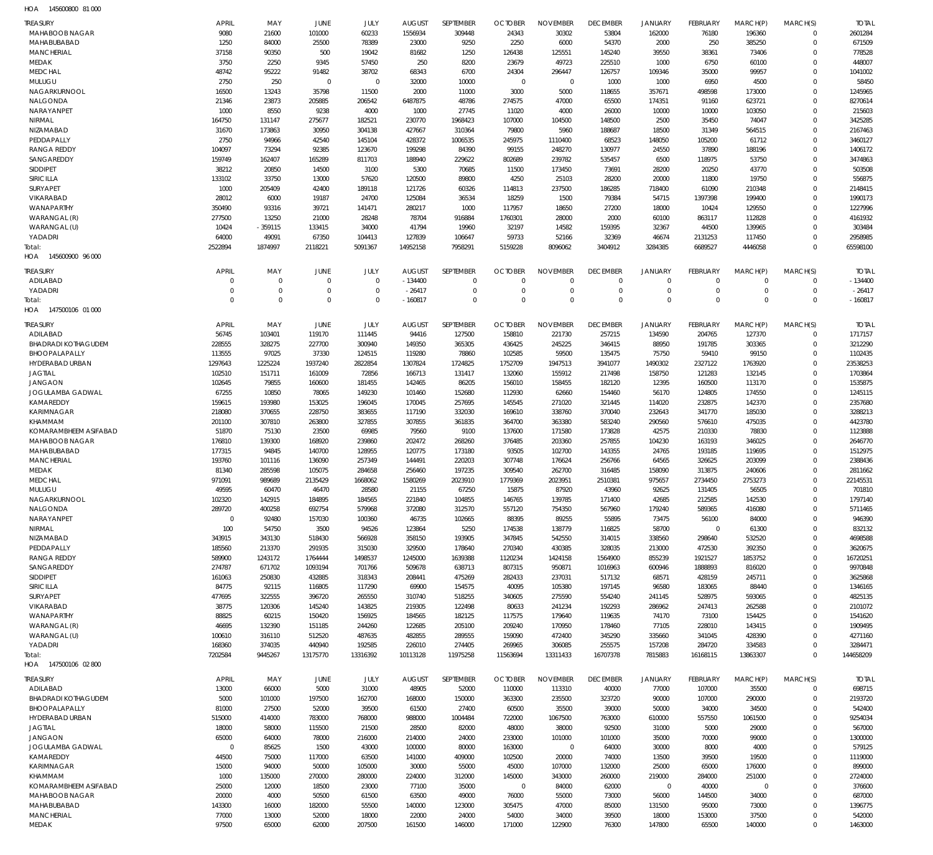145600800 81 000 HOA

| <b>TREASURY</b>            | <b>APRIL</b> | MAY         | <b>JUNE</b> | JULY        | <b>AUGUST</b>    | SEPTEMBER        | <b>OCTOBER</b> | <b>NOVEMBER</b> | <b>DECEMBER</b> | JANUARY        | <b>FEBRUARY</b> | MARCH(P)         | MARCH(S)     | <b>TOTAL</b> |
|----------------------------|--------------|-------------|-------------|-------------|------------------|------------------|----------------|-----------------|-----------------|----------------|-----------------|------------------|--------------|--------------|
| <b>MAHABOOB NAGAR</b>      | 9080         | 21600       | 101000      | 60233       | 1556934          | 309448           | 24343          | 30302           | 53804           | 162000         | 76180           | 196360           | $\mathbf 0$  | 2601284      |
| MAHABUBABAD                | 1250         | 84000       | 25500       | 78389       | 23000            | 9250             | 2250           | 6000            | 54370           | 2000           | 250             | 385250           | $\mathbf 0$  | 671509       |
| <b>MANCHERIAL</b>          | 37158        | 90350       | 500         | 19042       | 81682            | 1250             | 126438         | 125551          | 145240          | 39550          | 38361           | 73406            | $\mathbf 0$  | 778528       |
| MEDAK                      | 3750         | 2250        | 9345        | 57450       | 250              |                  | 23679          | 49723           | 225510          | 1000           | 6750            | 60100            | $\Omega$     | 448007       |
| <b>MEDCHAL</b>             | 48742        | 95222       | 91482       | 38702       | 68343            | 8200<br>6700     | 24304          | 296447          | 126757          | 109346         | 35000           | 99957            | $\Omega$     | 1041002      |
|                            |              |             | $\Omega$    |             |                  |                  |                |                 |                 |                |                 |                  | $\mathbf 0$  |              |
| MULUGU                     | 2750         | 250         |             | $\mathbf 0$ | 32000            | 10000            | $\mathbf 0$    | $\mathbf 0$     | 1000            | 1000           | 6950            | 4500             |              | 58450        |
| NAGARKURNOOL               | 16500        | 13243       | 35798       | 11500       | 2000             | 11000            | 3000           | 5000            | 118655          | 357671         | 498598          | 173000           | $\Omega$     | 1245965      |
| NALGONDA                   | 21346        | 23873       | 205885      | 206542      | 6487875          | 48786            | 274575         | 47000           | 65500           | 174351         | 91160           | 623721           | $\Omega$     | 8270614      |
| NARAYANPET                 | 1000         | 8550        | 9238        | 4000        | 1000             | 27745            | 11020          | 4000            | 26000           | 10000          | 10000           | 103050           | $\mathbf 0$  | 215603       |
| NIRMAL                     | 164750       | 131147      | 275677      | 182521      | 230770           | 1968423          | 107000         | 104500          | 148500          | 2500           | 35450           | 74047            | $\Omega$     | 3425285      |
| NIZAMABAD                  | 31670        | 173863      | 30950       | 304138      | 427667           | 310364           | 79800          | 5960            | 188687          | 18500          | 31349           | 564515           | $\mathbf 0$  | 2167463      |
| PEDDAPALLY                 | 2750         | 94966       | 42540       | 145104      | 428372           | 1006535          | 245975         | 1110400         | 68523           | 148050         | 105200          | 61712            | $\Omega$     | 3460127      |
| <b>RANGA REDDY</b>         | 104097       | 73294       | 92385       | 123670      | 199298           | 84390            | 99155          | 248270          | 130977          | 24550          | 37890           | 188196           | $\mathbf 0$  | 1406172      |
| SANGAREDDY                 | 159749       | 162407      | 165289      | 811703      | 188940           | 229622           | 802689         | 239782          | 535457          | 6500           | 118975          | 53750            | $\Omega$     | 3474863      |
| <b>SIDDIPET</b>            | 38212        | 20850       | 14500       | 3100        | 5300             | 70685            | 11500          | 173450          | 73691           | 28200          | 20250           | 43770            | $\mathbf 0$  | 503508       |
| SIRICILLA                  | 133102       | 33750       | 13000       | 57620       | 120500           | 89800            | 4250           | 25103           | 28200           | 20000          | 11800           | 19750            | $\Omega$     | 556875       |
| <b>SURYAPET</b>            | 1000         | 205409      | 42400       | 189118      | 121726           | 60326            | 114813         | 237500          | 186285          | 718400         | 61090           | 210348           | $\Omega$     | 2148415      |
| VIKARABAD                  | 28012        | 6000        | 19187       | 24700       | 125084           | 36534            | 18259          | 1500            | 79384           | 54715          | 1397398         | 199400           | $\Omega$     | 1990173      |
| WANAPARTHY                 | 350490       | 93316       | 39721       | 141471      | 280217           | 1000             | 117957         | 18650           | 27200           | 18000          | 10424           | 129550           | $\mathbf 0$  | 1227996      |
| WARANGAL (R)               | 277500       | 13250       | 21000       | 28248       | 78704            | 916884           | 1760301        | 28000           | 2000            | 60100          | 863117          | 112828           | $\Omega$     | 4161932      |
| WARANGAL (U)               | 10424        | $-359115$   | 133415      | 34000       | 41794            | 19960            | 32197          | 14582           | 159395          | 32367          | 44500           | 139965           | $\mathbf 0$  | 303484       |
| YADADRI                    | 64000        | 49091       | 67350       | 104413      | 127839           | 106647           | 59733          | 52166           | 32369           | 46674          | 2131253         | 117450           | $\Omega$     | 2958985      |
| Total:                     | 2522894      | 1874997     | 2118221     | 5091367     | 14952158         | 7958291          | 5159228        | 8096062         | 3404912         | 3284385        | 6689527         | 4446058          | $\mathbf 0$  | 65598100     |
| HOA 145600900 96 000       |              |             |             |             |                  |                  |                |                 |                 |                |                 |                  |              |              |
|                            |              |             |             |             |                  |                  |                |                 |                 |                |                 |                  |              |              |
| <b>TREASURY</b>            | <b>APRIL</b> | MAY         | <b>JUNE</b> | JULY        | <b>AUGUST</b>    | SEPTEMBER        | <b>OCTOBER</b> | <b>NOVEMBER</b> | <b>DECEMBER</b> | <b>JANUARY</b> | <b>FEBRUARY</b> | MARCH(P)         | MARCH(S)     | <b>TOTAL</b> |
| ADILABAD                   | $\Omega$     | $\mathbf 0$ | $\Omega$    | $\mathbf 0$ | $-134400$        | $\mathbf 0$      | $\mathbf 0$    | $\mathbf 0$     | $\mathbf 0$     | $\mathbf 0$    | $\mathbf 0$     | $\mathbf 0$      | $\mathbf 0$  | $-134400$    |
| YADADRI                    | $\Omega$     | $\mathbf 0$ | $\Omega$    | $\mathbf 0$ | $-26417$         | $\mathbf 0$      | $\overline{0}$ | $\mathbf 0$     | $\mathbf 0$     | $\mathbf 0$    | $\mathbf 0$     | $\mathbf 0$      | $\mathbf 0$  | $-26417$     |
| Total:                     | $\Omega$     | $\Omega$    | $\Omega$    | $\Omega$    | $-160817$        | $\mathbf 0$      | $\Omega$       | $\Omega$        | $\mathbf 0$     | $\mathbf 0$    | $\Omega$        | $\Omega$         | $\Omega$     | $-160817$    |
| 147500106 01 000<br>HOA    |              |             |             |             |                  |                  |                |                 |                 |                |                 |                  |              |              |
|                            |              |             |             |             |                  |                  |                |                 |                 |                |                 |                  |              |              |
| <b>TREASURY</b>            | <b>APRIL</b> | MAY         | <b>JUNE</b> | JULY        | <b>AUGUST</b>    | <b>SEPTEMBER</b> | <b>OCTOBER</b> | <b>NOVEMBER</b> | <b>DECEMBER</b> | <b>JANUARY</b> | <b>FEBRUARY</b> | MARCH(P)         | MARCH(S)     | <b>TOTAL</b> |
| ADILABAD                   | 56745        | 103401      | 119170      | 111445      | 94416            | 127500           | 158810         | 221730          | 257215          | 134590         | 204765          | 127370           | $\mathbf 0$  | 1717157      |
| <b>BHADRADI KOTHAGUDEM</b> | 228555       | 328275      | 227700      | 300940      | 149350           | 365305           | 436425         | 245225          | 346415          | 88950          | 191785          | 303365           | $\mathbf 0$  | 3212290      |
| BHOOPALAPALLY              | 113555       | 97025       | 37330       | 124515      | 119280           | 78860            | 102585         | 59500           | 135475          | 75750          | 59410           | 99150            | $\mathbf 0$  | 1102435      |
| HYDERABAD URBAN            | 1297643      | 1225224     | 1937240     | 2822854     | 1307824          | 1724825          | 1752709        | 1947513         | 3941077         | 1490302        | 2327122         | 1763920          | $\mathbf 0$  | 23538253     |
| <b>JAGTIAL</b>             | 102510       | 151711      | 161009      | 72856       | 166713           | 131417           | 132060         | 155912          | 217498          | 158750         | 121283          | 132145           | $\mathbf{0}$ | 1703864      |
| <b>JANGAON</b>             | 102645       | 79855       | 160600      | 181455      | 142465           | 86205            | 156010         | 158455          | 182120          | 12395          | 160500          | 113170           | $\mathbf 0$  | 1535875      |
| JOGULAMBA GADWAL           | 67255        | 10850       | 78065       | 149230      | 101460           | 152680           | 112930         | 62660           | 154460          | 56170          | 124805          | 174550           | $\Omega$     | 1245115      |
| KAMAREDDY                  | 159615       | 193980      | 153025      | 196045      | 170045           | 257695           | 145545         | 271020          | 321445          | 114020         | 232875          | 142370           | $\mathbf 0$  | 2357680      |
| KARIMNAGAR                 | 218080       | 370655      | 228750      | 383655      | 117190           | 332030           | 169610         | 338760          | 370040          | 232643         | 341770          | 185030           | $\Omega$     | 3288213      |
| KHAMMAM                    | 201100       | 307810      | 263800      | 327855      | 307855           | 361835           | 364700         | 363380          | 583240          | 290560         | 576610          | 475035           | $\mathbf 0$  | 4423780      |
| KOMARAMBHEEM ASIFABAD      | 51870        | 75130       | 23500       | 69985       | 79560            | 9100             | 137600         | 171580          | 173828          | 42575          | 210330          | 78830            | $\Omega$     | 1123888      |
| <b>MAHABOOB NAGAR</b>      | 176810       | 139300      | 168920      | 239860      | 202472           | 268260           | 376485         | 203360          | 257855          | 104230         | 163193          | 346025           | $\mathbf 0$  | 2646770      |
| MAHABUBABAD                | 177315       | 94845       | 140700      | 128955      | 120775           | 173180           | 93505          | 102700          | 143355          | 24765          | 193185          | 119695           | $\Omega$     | 1512975      |
| <b>MANCHERIAL</b>          | 193760       | 101116      | 136090      | 257349      | 144491           | 220203           | 307748         | 176624          | 256766          | 64565          | 326625          | 203099           | $\mathbf 0$  | 2388436      |
| MEDAK                      | 81340        | 285598      | 105075      | 284658      | 256460           | 197235           | 309540         | 262700          | 316485          | 158090         | 313875          | 240606           | $\Omega$     | 2811662      |
| <b>MEDCHAL</b>             | 971091       | 989689      | 2135429     | 1668062     | 1580269          | 2023910          | 1779369        | 2023951         | 2510381         | 975657         | 2734450         | 2753273          | $\mathbf 0$  | 22145531     |
| MULUGU                     | 49595        | 60470       | 46470       | 28580       | 21155            | 67250            | 15875          | 87920           | 43960           | 92625          | 131405          | 56505            | $\mathbf{0}$ | 701810       |
| NAGARKURNOOL               | 102320       | 142915      | 184895      | 184565      |                  | 104855           | 146765         | 139785          | 171400          | 42685          | 212585          |                  | 0            | 1797140      |
| NALGONDA                   | 289720       | 400258      | 692754      | 579968      | 221840<br>372080 |                  |                | 754350          | 567960          | 179240         | 589365          | 142530<br>416080 | $\mathbf 0$  | 5711465      |
| NARAYANPET                 | $\mathbf 0$  |             |             |             |                  | 312570           | 557120         |                 |                 |                |                 |                  |              |              |
|                            |              | 92480       | 157030      | 100360      | 46735            | 102665           | 88395          | 89255           | 55895           | 73475          | 56100           | 84000            | $\mathbf 0$  | 946390       |
| NIRMAL                     | 100          | 54750       | 3500        | 94526       | 123864           | 5250             | 174538         | 138779          | 116825          | 58700          | $\mathbf 0$     | 61300            | $\Omega$     | 832132       |
| NIZAMABAD                  | 343915       | 343130      | 518430      | 566928      | 358150           | 193905           | 347845         | 542550          | 314015          | 338560         | 298640          | 532520           | $\mathbf 0$  | 4698588      |
| PEDDAPALLY                 | 185560       | 213370      | 291935      | 315030      | 329500           | 178640           | 270340         | 430385          | 328035          | 213000         | 472530          | 392350           | $\mathbf 0$  | 3620675      |
| <b>RANGA REDDY</b>         | 589900       | 1243172     | 1764444     | 1498537     | 1245000          | 1639388          | 1120234        | 1424158         | 1564900         | 855239         | 1921527         | 1853752          | $\mathbf 0$  | 16720251     |
| SANGAREDDY                 | 274787       | 671702      | 1093194     | 701766      | 509678           | 638713           | 807315         | 950871          | 1016963         | 600946         | 1888893         | 816020           | $\mathbf 0$  | 9970848      |
| <b>SIDDIPET</b>            | 161063       | 250830      | 432885      | 318343      | 208441           | 475269           | 282433         | 237031          | 517132          | 68571          | 428159          | 245711           | $\mathbf 0$  | 3625868      |
| SIRICILLA                  | 84775        | 92115       | 116805      | 117290      | 69900            | 154575           | 40095          | 105380          | 197145          | 96580          | 183065          | 88440            | $\mathbf 0$  | 1346165      |
| <b>SURYAPET</b>            | 477695       | 322555      | 396720      | 265550      | 310740           | 518255           | 340605         | 275590          | 554240          | 241145         | 528975          | 593065           | $\mathbf 0$  | 4825135      |
| VIKARABAD                  | 38775        | 120306      | 145240      | 143825      | 219305           | 122498           | 80633          | 241234          | 192293          | 286962         | 247413          | 262588           | $\mathbf 0$  | 2101072      |
| WANAPARTHY                 | 88825        | 60215       | 150420      | 156925      | 184565           | 182125           | 117575         | 179640          | 119635          | 74170          | 73100           | 154425           | $\mathbf 0$  | 1541620      |
| WARANGAL (R)               | 46695        | 132390      | 151185      | 244260      | 122685           | 205100           | 209240         | 170950          | 178460          | 77105          | 228010          | 143415           | $\Omega$     | 1909495      |
| WARANGAL (U)               | 100610       | 316110      | 512520      | 487635      | 482855           | 289555           | 159090         | 472400          | 345290          | 335660         | 341045          | 428390           | $\mathbf 0$  | 4271160      |
| YADADRI                    | 168360       | 374035      | 440940      | 192585      | 226010           | 274405           | 269965         | 306085          | 255575          | 157208         | 284720          | 334583           | $\mathbf 0$  | 3284471      |
| Total:                     | 7202584      | 9445267     | 13175770    | 13316392    | 10113128         | 11975258         | 11563694       | 13311433        | 16707378        | 7815883        | 16168115        | 13863307         | $\mathbf 0$  | 144658209    |
| HOA 147500106 02 800       |              |             |             |             |                  |                  |                |                 |                 |                |                 |                  |              |              |
|                            |              |             |             |             |                  |                  |                |                 |                 |                |                 |                  |              |              |
| <b>TREASURY</b>            | APRIL        | MAY         | JUNE        | JULY        | <b>AUGUST</b>    | SEPTEMBER        | <b>OCTOBER</b> | <b>NOVEMBER</b> | <b>DECEMBER</b> | <b>JANUARY</b> | FEBRUARY        | MARCH(P)         | MARCH(S)     | <b>TOTAL</b> |
| ADILABAD                   | 13000        | 66000       | 5000        | 31000       | 48905            | 52000            | 110000         | 113310          | 40000           | 77000          | 107000          | 35500            | $\mathbf 0$  | 698715       |
| <b>BHADRADI KOTHAGUDEM</b> | 5000         | 101000      | 197500      | 162700      | 168000           | 150000           | 363300         | 235500          | 323720          | 90000          | 107000          | 290000           | $\mathbf 0$  | 2193720      |
| BHOOPALAPALLY              | 81000        | 27500       | 52000       | 39500       | 61500            | 27400            | 60500          | 35500           | 39000           | 50000          | 34000           | 34500            | $\mathbf 0$  | 542400       |
| HYDERABAD URBAN            | 515000       | 414000      | 783000      | 768000      | 988000           | 1004484          | 722000         | 1067500         | 763000          | 610000         | 557550          | 1061500          | $\mathbf 0$  | 9254034      |
| <b>JAGTIAL</b>             | 18000        | 58000       | 115500      | 21500       | 28500            | 82000            | 48000          | 38000           | 92500           | 31000          | 5000            | 29000            | $\mathbf 0$  | 567000       |
| <b>JANGAON</b>             | 65000        | 64000       | 78000       | 216000      | 214000           | 24000            | 233000         | 101000          | 101000          | 35000          | 70000           | 99000            | $\mathbf 0$  | 1300000      |
| JOGULAMBA GADWAL           | $\Omega$     | 85625       | 1500        | 43000       | 100000           | 80000            | 163000         | $\mathbf 0$     | 64000           | 30000          | 8000            | 4000             | $\mathbf 0$  | 579125       |
| KAMAREDDY                  | 44500        | 75000       | 117000      | 63500       | 141000           | 409000           | 102500         | 20000           | 74000           | 13500          | 39500           | 19500            | $\mathbf 0$  | 1119000      |
| KARIMNAGAR                 | 15000        | 94000       | 50000       | 105000      | 30000            | 55000            | 45000          | 107000          | 132000          | 25000          | 65000           | 176000           | $\mathbf 0$  | 899000       |
| KHAMMAM                    | 1000         | 135000      | 270000      | 280000      | 224000           | 312000           | 145000         | 343000          | 260000          | 219000         | 284000          | 251000           | $\mathbf 0$  | 2724000      |
| KOMARAMBHEEM ASIFABAD      | 25000        | 12000       | 18500       | 23000       | 77100            | 35000            | $\overline{0}$ | 84000           | 62000           | $\mathbf 0$    | 40000           | $\mathbf 0$      | $\mathbf 0$  | 376600       |
| <b>MAHABOOB NAGAR</b>      | 20000        | 4000        | 50500       | 61500       | 63500            | 49000            | 76000          | 55000           | 73000           | 56000          | 144500          | 34000            | $\mathbf 0$  | 687000       |
| MAHABUBABAD                | 143300       | 16000       | 182000      | 55500       | 140000           | 123000           | 305475         | 47000           | 85000           | 131500         | 95000           | 73000            | $\mathbf 0$  | 1396775      |
| <b>MANCHERIAL</b>          | 77000        | 13000       | 52000       | 18000       | 22000            | 24000            | 54000          | 34000           | 39500           | 18000          | 153000          | 37500            | $\mathbf 0$  | 542000       |
| MEDAK                      | 97500        | 65000       | 62000       | 207500      | 161500           | 146000           | 171000         | 122900          | 76300           | 147800         | 65500           | 140000           | $\Omega$     | 1463000      |
|                            |              |             |             |             |                  |                  |                |                 |                 |                |                 |                  |              |              |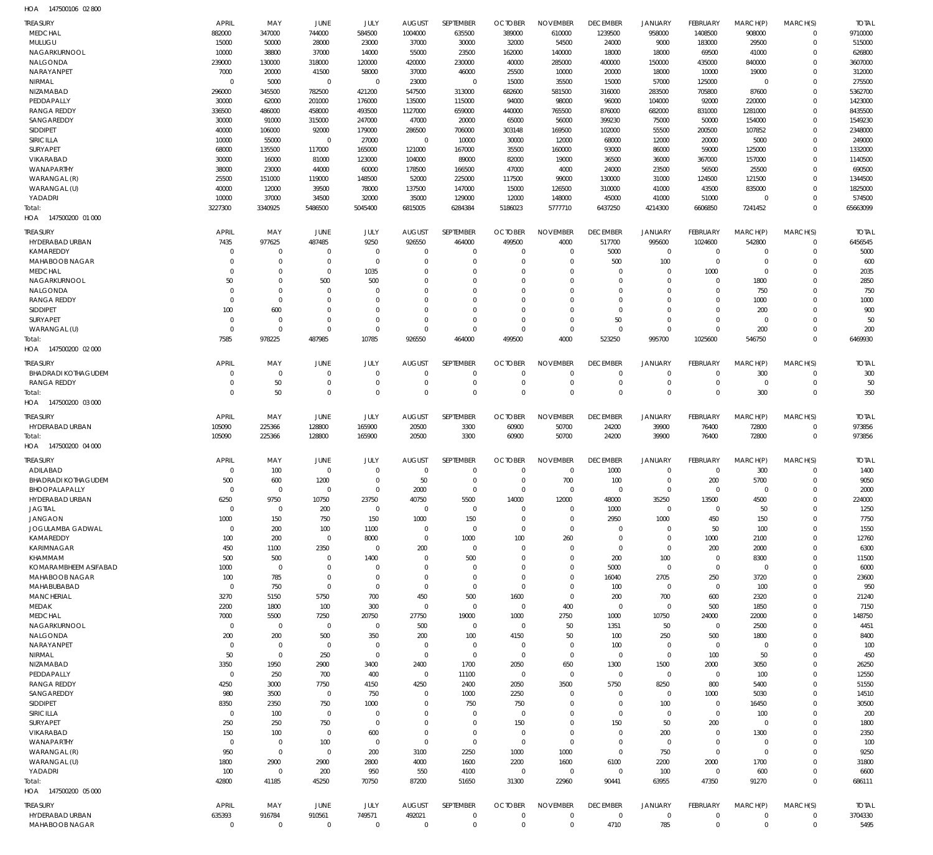147500106 02 800 HOA

| <b>TREASURY</b>                      | APRIL                 | MAY                        | JUNE                  | JULY                       | <b>AUGUST</b>         | SEPTEMBER                  | <b>OCTOBER</b>        | <b>NOVEMBER</b>            | <b>DECEMBER</b>      | <b>JANUARY</b>             | <b>FEBRUARY</b>       | MARCH(P)          | MARCH(S)             | <b>TOTAL</b>      |
|--------------------------------------|-----------------------|----------------------------|-----------------------|----------------------------|-----------------------|----------------------------|-----------------------|----------------------------|----------------------|----------------------------|-----------------------|-------------------|----------------------|-------------------|
| <b>MEDCHAL</b>                       | 882000                | 347000                     | 744000                | 584500                     | 1004000               | 635500                     | 389000                | 610000                     | 1239500              | 958000                     | 1408500               | 908000            | $\mathbf 0$          | 9710000           |
| MULUGU                               | 15000                 | 50000                      | 28000                 | 23000                      | 37000                 | 30000                      | 32000                 | 54500                      | 24000                | 9000                       | 183000                | 29500             | $\mathbf 0$          | 515000            |
| NAGARKURNOOL<br>NALGONDA             | 10000<br>239000       | 38800<br>130000            | 37000<br>318000       | 14000<br>120000            | 55000<br>420000       | 23500<br>230000            | 162000<br>40000       | 140000<br>285000           | 18000<br>400000      | 18000<br>150000            | 69500<br>435000       | 41000<br>840000   | $\Omega$<br>$\Omega$ | 626800<br>3607000 |
| NARAYANPET                           | 7000                  | 20000                      | 41500                 | 58000                      | 37000                 | 46000                      | 25500                 | 10000                      | 20000                | 18000                      | 10000                 | 19000             | $\Omega$             | 312000            |
| NIRMAL                               | $\mathbf 0$           | 5000                       | $\mathbf 0$           | $\mathbf 0$                | 23000                 | $\mathbf 0$                | 15000                 | 35500                      | 15000                | 57000                      | 125000                | $\mathbf 0$       | $\Omega$             | 275500            |
| <b>NIZAMABAD</b>                     | 296000                | 345500                     | 782500                | 421200                     | 547500                | 313000                     | 682600                | 581500                     | 316000               | 283500                     | 705800                | 87600             | $\Omega$             | 5362700           |
| PEDDAPALLY                           | 30000                 | 62000                      | 201000                | 176000                     | 135000                | 115000                     | 94000                 | 98000                      | 96000                | 104000                     | 92000                 | 220000            | $\Omega$             | 1423000           |
| <b>RANGA REDDY</b>                   | 336500                | 486000                     | 458000                | 493500                     | 1127000               | 659000                     | 440000                | 765500                     | 876000               | 682000                     | 831000                | 1281000           | $\Omega$             | 8435500           |
| SANGAREDDY                           | 30000                 | 91000                      | 315000                | 247000                     | 47000                 | 20000                      | 65000                 | 56000                      | 399230               | 75000                      | 50000                 | 154000            | $\Omega$             | 1549230           |
| <b>SIDDIPET</b><br>SIRICILLA         | 40000<br>10000        | 106000<br>55000            | 92000<br>$\mathbf 0$  | 179000<br>27000            | 286500<br>$\mathbf 0$ | 706000                     | 303148                | 169500<br>12000            | 102000               | 55500                      | 200500<br>20000       | 107852<br>5000    | $\Omega$<br>$\Omega$ | 2348000<br>249000 |
| <b>SURYAPET</b>                      | 68000                 | 135500                     | 117000                | 165000                     | 121000                | 10000<br>167000            | 30000<br>35500        | 160000                     | 68000<br>93000       | 12000<br>86000             | 59000                 | 125000            | $\Omega$             | 1332000           |
| VIKARABAD                            | 30000                 | 16000                      | 81000                 | 123000                     | 104000                | 89000                      | 82000                 | 19000                      | 36500                | 36000                      | 367000                | 157000            | $\Omega$             | 1140500           |
| WANAPARTHY                           | 38000                 | 23000                      | 44000                 | 60000                      | 178500                | 166500                     | 47000                 | 4000                       | 24000                | 23500                      | 56500                 | 25500             | $\Omega$             | 690500            |
| WARANGAL (R)                         | 25500                 | 151000                     | 119000                | 148500                     | 52000                 | 225000                     | 117500                | 99000                      | 130000               | 31000                      | 124500                | 121500            | $\Omega$             | 1344500           |
| WARANGAL (U)                         | 40000                 | 12000                      | 39500                 | 78000                      | 137500                | 147000                     | 15000                 | 126500                     | 310000               | 41000                      | 43500                 | 835000            | $\Omega$             | 1825000           |
| YADADRI                              | 10000                 | 37000                      | 34500                 | 32000                      | 35000                 | 129000                     | 12000                 | 148000                     | 45000                | 41000                      | 51000                 | $\Omega$          | $\Omega$             | 574500            |
| Total:                               | 3227300               | 3340925                    | 5486500               | 5045400                    | 6815005               | 6284384                    | 5186023               | 5777710                    | 6437250              | 4214300                    | 6606850               | 7241452           | $\Omega$             | 65663099          |
| HOA 147500200 01 000                 |                       |                            |                       |                            |                       |                            |                       |                            |                      |                            |                       |                   |                      |                   |
| <b>TREASURY</b>                      | <b>APRIL</b>          | MAY                        | JUNE                  | JULY                       | <b>AUGUST</b>         | SEPTEMBER                  | <b>OCTOBER</b>        | <b>NOVEMBER</b>            | <b>DECEMBER</b>      | <b>JANUARY</b>             | FEBRUARY              | MARCH(P)          | MARCH(S)             | <b>TOTAL</b>      |
| HYDERABAD URBAN                      | 7435                  | 977625                     | 487485                | 9250                       | 926550                | 464000                     | 499500                | 4000                       | 517700               | 995600                     | 1024600               | 542800            | $\mathbf 0$          | 6456545           |
| KAMAREDDY                            | 0                     | $\mathbf 0$                | 0                     | $\mathbf 0$                | 0                     | $\mathbf 0$                | O                     | O                          | 5000                 | $\mathbf 0$                | $\mathbf 0$           | 0                 | $\mathbf 0$          | 5000              |
| MAHABOOB NAGAR                       | $\Omega$              | $\mathbf 0$                | $\mathbf 0$           | $\mathbf 0$                | $\Omega$              | $\mathbf 0$                | $\Omega$              | $\Omega$                   | 500                  | 100                        | $\mathbf 0$           | $\mathbf 0$       | $\Omega$             | 600               |
| <b>MEDCHAL</b><br>NAGARKURNOOL       | $\Omega$<br>50        | $\mathbf 0$<br>$\mathbf 0$ | $\mathbf 0$<br>500    | 1035<br>500                | O                     | $\mathbf 0$<br>$\Omega$    | $\Omega$<br>$\Omega$  | $\Omega$<br>$\Omega$       | $\Omega$<br>$\Omega$ | $\mathbf 0$<br>$\mathbf 0$ | 1000<br>$\mathbf 0$   | $\Omega$<br>1800  | $\Omega$<br>$\Omega$ | 2035<br>2850      |
| NALGONDA                             | $\Omega$              | $\mathbf 0$                | $\Omega$              | $\Omega$                   |                       | $\Omega$                   | $\Omega$              | $\Omega$                   | $\Omega$             | $\mathbf 0$                | -0                    | 750               | $\Omega$             | 750               |
| <b>RANGA REDDY</b>                   | $\Omega$              | $\mathsf 0$                | $\Omega$              | $\Omega$                   |                       | $\Omega$                   | $\Omega$              | $\Omega$                   | $\Omega$             | $\Omega$                   | $\Omega$              | 1000              | $\Omega$             | 1000              |
| <b>SIDDIPET</b>                      | 100                   | 600                        | $\Omega$              | $\Omega$                   | $\Omega$              | $\Omega$                   | $\Omega$              | $\Omega$                   | $\mathbf 0$          | $\mathbf 0$                | $\Omega$              | 200               | $\Omega$             | 900               |
| <b>SURYAPET</b>                      | $\mathbf 0$           | $\mathbf 0$                | $\Omega$              | $\Omega$                   | $\Omega$              | $\Omega$                   | $\Omega$              | $\Omega$                   | 50                   | $\mathbf 0$                | $\Omega$              | $\mathbf 0$       | $\Omega$             | 50                |
| WARANGAL (U)                         | $\Omega$              | $\mathbf 0$                | $\Omega$              | $\mathbf 0$                | $\Omega$              | $\Omega$                   | $\Omega$              | $\mathbf 0$                | $\mathbf 0$          | $\mathbf 0$                | $\mathbf 0$           | 200               | $\mathbf 0$          | 200               |
| Total:                               | 7585                  | 978225                     | 487985                | 10785                      | 926550                | 464000                     | 499500                | 4000                       | 523250               | 995700                     | 1025600               | 546750            | $\Omega$             | 6469930           |
| HOA 147500200 02 000                 |                       |                            |                       |                            |                       |                            |                       |                            |                      |                            |                       |                   |                      |                   |
| <b>TREASURY</b>                      | <b>APRIL</b>          | MAY                        | JUNE                  | JULY                       | <b>AUGUST</b>         | SEPTEMBER                  | <b>OCTOBER</b>        | <b>NOVEMBER</b>            | <b>DECEMBER</b>      | <b>JANUARY</b>             | <b>FEBRUARY</b>       | MARCH(P)          | MARCH(S)             | <b>TOTAL</b>      |
| <b>BHADRADI KOTHAGUDEM</b>           | $\mathbf 0$           | $\mathbf 0$                | $\mathbf 0$           | $\mathbf 0$                | $\Omega$              | $\mathbf 0$                | $\Omega$              | $\mathbf 0$                | $\mathbf 0$          | $\mathbf 0$                | $\Omega$              | 300               | $\mathbf 0$          | 300               |
| <b>RANGA REDDY</b>                   | $\mathbf 0$           | 50                         | $\mathbf 0$           | $\mathbf 0$                | 0                     | $\mathbf 0$                | 0                     | $\mathbf 0$                | $\mathbf 0$          | $\mathbf 0$                | $\mathbf 0$           | $\mathbf 0$       | $\mathbf 0$          | 50                |
| Total:                               | $\Omega$              | 50                         | $\Omega$              | $\mathbf 0$                | $\Omega$              | $\mathbf 0$                | $\Omega$              | $\mathbf 0$                | $\mathbf 0$          | $\mathbf 0$                | $\overline{0}$        | 300               | $\mathbf 0$          | 350               |
| HOA 147500200 03 000                 |                       |                            |                       |                            |                       |                            |                       |                            |                      |                            |                       |                   |                      |                   |
| <b>TREASURY</b>                      | APRIL                 | MAY                        | JUNE                  | JULY                       | <b>AUGUST</b>         | SEPTEMBER                  | <b>OCTOBER</b>        | <b>NOVEMBER</b>            | <b>DECEMBER</b>      | <b>JANUARY</b>             | FEBRUARY              | MARCH(P)          | MARCH(S)             | <b>TOTAL</b>      |
| HYDERABAD URBAN                      | 105090                | 225366                     | 128800                | 165900                     | 20500                 | 3300                       | 60900                 | 50700                      | 24200                | 39900                      | 76400                 | 72800             | $\mathbf 0$          | 973856            |
|                                      |                       |                            |                       |                            |                       |                            |                       |                            |                      |                            |                       |                   |                      |                   |
| Total:                               | 105090                | 225366                     | 128800                | 165900                     | 20500                 | 3300                       | 60900                 | 50700                      | 24200                | 39900                      | 76400                 | 72800             | $\mathbf 0$          | 973856            |
| HOA 147500200 04 000                 |                       |                            |                       |                            |                       |                            |                       |                            |                      |                            |                       |                   |                      |                   |
| <b>TREASURY</b>                      | APRIL                 | MAY                        | JUNE                  | JULY                       | <b>AUGUST</b>         | SEPTEMBER                  | <b>OCTOBER</b>        | <b>NOVEMBER</b>            | <b>DECEMBER</b>      | <b>JANUARY</b>             | FEBRUARY              | MARCH(P)          | MARCH(S)             | <b>TOTAL</b>      |
| ADILABAD                             | $\mathbf 0$           | 100                        | $\mathbf 0$           | $\mathbf 0$                | $\mathbf 0$           | $\mathbf 0$                | $\Omega$              | $\mathbf 0$                | 1000                 | $\mathbf 0$                | $\overline{0}$        | 300               | $\mathbf 0$          | 1400              |
| <b>BHADRADI KOTHAGUDEM</b>           | 500                   | 600                        | 1200                  | $\mathbf 0$                | 50                    | $\mathbf 0$                | $\Omega$              | 700                        | 100                  | $\mathbf 0$                | 200                   | 5700              | $\Omega$             | 9050              |
| BHOOPALAPALLY                        | $\Omega$              | $\mathbf 0$                | $\Omega$              | $\Omega$                   | 2000                  | $\mathbf 0$                | $\Omega$              | $\Omega$                   | $\Omega$             | $\mathbf{0}$               | $\Omega$              | $\Omega$          | $\Omega$             | 2000              |
| <b>HYDERABAD URBAN</b>               | 6250                  | 9750                       | 10750                 | 23750                      | 40750                 | 5500                       | 14000                 | 12000                      | 48000                | 35250                      | 13500                 | 4500              | $\mathbf{0}$         | 224000            |
| <b>JAGTIAL</b>                       | $\mathbf 0$           | $\mathbf 0$                | 200                   | 0                          | $\mathbf 0$           | $\mathbf 0$                | $\mathbf 0$           | 0                          | 1000                 | $\mathbf 0$                | 0                     | 50                | $\mathbf 0$          | 1250              |
| <b>JANGAON</b>                       | 1000                  | 150                        | 750                   | 150                        | 1000                  | 150                        | $\mathbf 0$           | $\mathbf 0$                | 2950                 | 1000                       | 450                   | 150               | $\Omega$             | 7750              |
| <b>JOGULAMBA GADWAL</b><br>KAMAREDDY | $\mathbf 0$           | 200                        | 100<br>$\mathbf 0$    | 1100                       | 0<br>$\mathbf 0$      | $\mathbf 0$                | 0                     | $\mathbf 0$                | 0<br>$\mathbf 0$     | 0<br>$\mathbf 0$           | 50                    | 100               | $\Omega$<br>$\Omega$ | 1550              |
| <b>KARIMNAGAR</b>                    | 100<br>450            | 200<br>1100                | 2350                  | 8000<br>$\mathbf 0$        | 200                   | 1000<br>$\mathbf 0$        | 100<br>0              | 260<br>0                   | $\mathbf 0$          | $\mathbf 0$                | 1000<br>200           | 2100<br>2000      | $\Omega$             | 12760<br>6300     |
| KHAMMAM                              | 500                   | 500                        | $\mathbf 0$           | 1400                       | 0                     | 500                        | 0                     | $\mathbf 0$                | 200                  | 100                        | $\overline{0}$        | 8300              | $\Omega$             | 11500             |
| KOMARAMBHEEM ASIFABAD                | 1000                  | $\mathbf 0$                | $\mathbf 0$           | 0                          | $\Omega$              | $\mathbf 0$                | $\Omega$              | $\mathbf 0$                | 5000                 | $\mathbf 0$                | $\overline{0}$        | $\mathbf 0$       | $\Omega$             | 6000              |
| MAHABOOB NAGAR                       | 100                   | 785                        | $\mathbf 0$           | $\mathbf 0$                | $\Omega$              | $\mathbf 0$                | $\Omega$              | $\mathbf 0$                | 16040                | 2705                       | 250                   | 3720              | $\Omega$             | 23600             |
| MAHABUBABAD                          | $\overline{0}$        | 750                        | $\mathbf 0$           | $\mathbf 0$                | $\Omega$              | $\mathbf 0$                | $\Omega$              | $\mathbf 0$                | 100                  | $\mathbf 0$                | $\overline{0}$        | 100               | $\Omega$             | 950               |
| <b>MANCHERIAL</b>                    | 3270                  | 5150                       | 5750                  | 700                        | 450                   | 500                        | 1600                  | $\mathbf 0$                | 200                  | 700                        | 600                   | 2320              | $\Omega$             | 21240             |
| MEDAK                                | 2200                  | 1800                       | 100                   | 300                        | $\mathbf 0$           | $\mathbf 0$                | $\mathbf 0$           | 400                        | $\mathbf 0$          | $\mathbf 0$                | 500                   | 1850              | $\Omega$             | 7150              |
| <b>MEDCHAL</b>                       | 7000                  | 5500                       | 7250                  | 20750                      | 27750                 | 19000                      | 1000                  | 2750                       | 1000                 | 10750                      | 24000                 | 22000             | $\Omega$<br>$\Omega$ | 148750            |
| NAGARKURNOOL<br>NALGONDA             | $\mathbf 0$<br>200    | $\mathbf 0$<br>200         | $\mathbf 0$<br>500    | $\mathbf 0$<br>350         | 500<br>200            | 0<br>100                   | $\mathbf 0$<br>4150   | 50<br>50                   | 1351<br>100          | 50<br>250                  | $\overline{0}$<br>500 | 2500<br>1800      | $\Omega$             | 4451<br>8400      |
| NARAYANPET                           | 0                     | $\mathbf 0$                | $\mathbf 0$           | 0                          | 0                     | $\mathbf 0$                | $\mathbf 0$           | 0                          | 100                  | $\mathbf 0$                | $\overline{0}$        | $^{\circ}$        | 0                    | 100               |
| NIRMAL                               | 50                    | $\mathbf 0$                | 250                   | $\mathbf 0$                | $\mathbf 0$           | $\mathbf 0$                | $\overline{0}$        | $\mathbf 0$                | $\mathbf 0$          | $\mathbf 0$                | 100                   | 50                | $\Omega$             | 450               |
| NIZAMABAD                            | 3350                  | 1950                       | 2900                  | 3400                       | 2400                  | 1700                       | 2050                  | 650                        | 1300                 | 1500                       | 2000                  | 3050              | $\Omega$             | 26250             |
| PEDDAPALLY                           | $\mathbf 0$           | 250                        | 700                   | 400                        | $\mathbf 0$           | 11100                      | $\overline{0}$        | $\mathbf 0$                | $\mathbf 0$          | $\mathbf 0$                | $\overline{0}$        | 100               | $\Omega$             | 12550             |
| <b>RANGA REDDY</b>                   | 4250                  | 3000                       | 7750                  | 4150                       | 4250                  | 2400                       | 2050                  | 3500                       | 5750                 | 8250                       | 800                   | 5400              | $\Omega$             | 51550             |
| SANGAREDDY                           | 980                   | 3500                       | $\mathbf 0$           | 750                        | 0                     | 1000                       | 2250                  | 0                          | $\mathbf 0$          | $\mathbf 0$                | 1000                  | 5030              | $\Omega$             | 14510             |
| SIDDIPET                             | 8350                  | 2350                       | 750                   | 1000                       | $\Omega$<br>$\Omega$  | 750                        | 750                   | $\mathbf 0$                | 0                    | 100                        | $\overline{0}$        | 16450             | 0<br>$\Omega$        | 30500             |
| SIRICILLA<br>SURYAPET                | $\mathbf 0$<br>250    | 100<br>250                 | $\mathbf 0$<br>750    | $\mathbf 0$<br>$\mathbf 0$ | $\Omega$              | $\mathbf 0$<br>$\mathbf 0$ | $\overline{0}$<br>150 | $\mathbf 0$<br>$\mathbf 0$ | $\mathbf 0$<br>150   | $\mathbf 0$<br>50          | $\overline{0}$<br>200 | 100<br>$^{\circ}$ | $\Omega$             | 200<br>1800       |
| VIKARABAD                            | 150                   | 100                        | $\mathbf 0$           | 600                        | $\Omega$              | $\mathbf 0$                | $\mathbf 0$           | $\mathbf 0$                | $\mathbf 0$          | 200                        | $\mathbf 0$           | 1300              | $\Omega$             | 2350              |
| WANAPARTHY                           | $\overline{0}$        | $\mathbf 0$                | 100                   | $\mathbf 0$                | 0                     | $\mathbf 0$                | $\mathbf 0$           | $\mathbf 0$                | $\mathbf 0$          | $\mathbf 0$                | 0                     | $^{\circ}$        | $\Omega$             | 100               |
| WARANGAL (R)                         | 950                   | $\mathbf 0$                | $\mathbf 0$           | 200                        | 3100                  | 2250                       | 1000                  | 1000                       | $\mathbf 0$          | 750                        | $\overline{0}$        | $\mathbf 0$       | $\Omega$             | 9250              |
| WARANGAL (U)                         | 1800                  | 2900                       | 2900                  | 2800                       | 4000                  | 1600                       | 2200                  | 1600                       | 6100                 | 2200                       | 2000                  | 1700              | $\Omega$             | 31800             |
| YADADRI                              | 100                   | $\mathbf 0$                | 200                   | 950                        | 550                   | 4100                       | $\mathbf 0$           | $\mathbf 0$                | $\mathbf 0$          | 100                        | $\mathbf 0$           | 600               | $\Omega$             | 6600              |
| Total:                               | 42800                 | 41185                      | 45250                 | 70750                      | 87200                 | 51650                      | 31300                 | 22960                      | 90441                | 63955                      | 47350                 | 91270             | $\Omega$             | 686111            |
| HOA 147500200 05 000                 |                       |                            |                       |                            |                       |                            |                       |                            |                      |                            |                       |                   |                      |                   |
| <b>TREASURY</b>                      | <b>APRIL</b>          | MAY                        | JUNE                  | JULY                       | <b>AUGUST</b>         | SEPTEMBER                  | <b>OCTOBER</b>        | <b>NOVEMBER</b>            | <b>DECEMBER</b>      | <b>JANUARY</b>             | FEBRUARY              | MARCH(P)          | MARCH(S)             | <b>TOTAL</b>      |
| HYDERABAD URBAN<br>MAHABOOB NAGAR    | 635393<br>$\mathbf 0$ | 916784<br>$\mathbf 0$      | 910561<br>$\mathbf 0$ | 749571<br>$\mathbf 0$      | 492021<br>$\mathbf 0$ | $\mathbf 0$<br>$\mathbf 0$ | 0<br>$\mathbf 0$      | $\mathbf 0$<br>$\mathbf 0$ | $\mathbf 0$<br>4710  | $\mathbf 0$<br>785         | 0<br>$\mathbf 0$      | 0<br>$\mathbf 0$  | 0<br>$\mathbf 0$     | 3704330<br>5495   |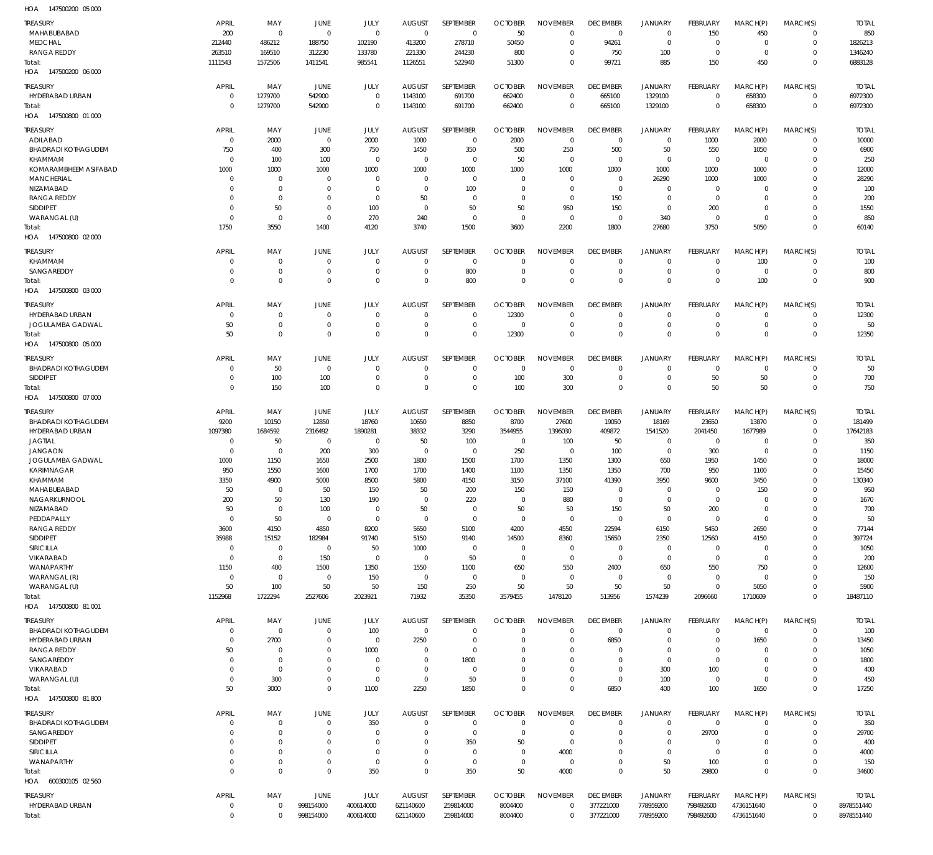147500200 05 000 HOA

| .<br>TREASURY                         | APRIL                | MAY                         | JUNE                             |                            |                              | SEPTEMBER                  | <b>OCTOBER</b>             | <b>NOVEMBER</b>                | <b>DECEMBER</b>                | <b>JANUARY</b>             |                                  |                         | MARCH(S)                      | <b>TOTAL</b>          |
|---------------------------------------|----------------------|-----------------------------|----------------------------------|----------------------------|------------------------------|----------------------------|----------------------------|--------------------------------|--------------------------------|----------------------------|----------------------------------|-------------------------|-------------------------------|-----------------------|
| MAHABUBABAD                           | 200                  | $\mathbf 0$                 | $\overline{0}$                   | JULY<br>$\mathbf 0$        | <b>AUGUST</b><br>$\mathbf 0$ | $\mathbf 0$                | 50                         | $\mathbf 0$                    | $\overline{0}$                 | $\mathbf 0$                | FEBRUARY<br>150                  | MARCH(P)<br>450         | $\overline{0}$                | 850                   |
| <b>MEDCHAL</b>                        | 212440               | 486212                      | 188750                           | 102190                     | 413200                       | 278710                     | 50450                      | $\Omega$                       | 94261                          | $\mathbf 0$                | $\overline{0}$                   | $\Omega$                | $\overline{0}$                | 1826213               |
| <b>RANGA REDDY</b>                    | 263510               | 169510                      | 312230                           | 133780                     | 221330                       | 244230                     | 800                        | $\mathbf 0$                    | 750                            | 100                        | $\overline{0}$                   | $\mathbf 0$             | $\mathbf 0$                   | 1346240               |
| Total:                                | 1111543              | 1572506                     | 1411541                          | 985541                     | 1126551                      | 522940                     | 51300                      | $\mathbf 0$                    | 99721                          | 885                        | 150                              | 450                     | $\mathbf 0$                   | 6883128               |
| HOA 147500200 06 000                  |                      |                             |                                  |                            |                              |                            |                            |                                |                                |                            |                                  |                         |                               |                       |
| TREASURY                              | APRIL                | MAY                         | JUNE                             | JULY                       | <b>AUGUST</b>                | SEPTEMBER                  | <b>OCTOBER</b>             | <b>NOVEMBER</b>                | <b>DECEMBER</b>                | <b>JANUARY</b>             | <b>FEBRUARY</b>                  | MARCH(P)                | MARCH(S)                      | <b>TOTAL</b>          |
| HYDERABAD URBAN                       | $\mathbf 0$          | 1279700                     | 542900                           | $\mathbf 0$                | 1143100                      | 691700                     | 662400                     | $\mathbf 0$                    | 665100                         | 1329100                    | $\mathbf 0$                      | 658300                  | $\overline{0}$                | 6972300               |
| Total:<br>HOA 147500800 01 000        | $\Omega$             | 1279700                     | 542900                           | $\mathbf 0$                | 1143100                      | 691700                     | 662400                     | $\mathbf 0$                    | 665100                         | 1329100                    | $\overline{0}$                   | 658300                  | $\overline{0}$                | 6972300               |
|                                       |                      |                             |                                  |                            |                              |                            |                            |                                |                                |                            |                                  |                         |                               |                       |
| <b>TREASURY</b><br>ADILABAD           | APRIL<br>$\Omega$    | MAY<br>2000                 | JUNE<br>$\overline{0}$           | JULY<br>2000               | <b>AUGUST</b><br>1000        | SEPTEMBER<br>$\mathbf 0$   | <b>OCTOBER</b><br>2000     | <b>NOVEMBER</b><br>$\mathbf 0$ | <b>DECEMBER</b><br>$\mathbf 0$ | JANUARY<br>$\mathbf 0$     | FEBRUARY<br>1000                 | MARCH(P)<br>2000        | MARCH(S)<br>$\overline{0}$    | <b>TOTAL</b><br>10000 |
| <b>BHADRADI KOTHAGUDEM</b>            | 750                  | 400                         | 300                              | 750                        | 1450                         | 350                        | 500                        | 250                            | 500                            | 50                         | 550                              | 1050                    | $\mathbf 0$                   | 6900                  |
| KHAMMAM                               | $\Omega$             | 100                         | 100                              | $\mathbf 0$                | 0                            | $\mathbf 0$                | 50                         | $\Omega$                       | $\mathbf 0$                    | $\mathbf 0$                | $\overline{0}$                   | $\mathbf 0$             | $\mathbf 0$                   | 250                   |
| KOMARAMBHEEM ASIFABAD                 | 1000                 | 1000                        | 1000                             | 1000                       | 1000                         | 1000                       | 1000                       | 1000                           | 1000                           | 1000                       | 1000                             | 1000                    | $\Omega$                      | 12000                 |
| <b>MANCHERIAL</b>                     | $\Omega$             | $\mathbf 0$                 | $\Omega$                         | $\Omega$                   | $\Omega$                     | $\mathbf 0$                | $^{\circ}$                 | $\Omega$                       | $\mathbf 0$                    | 26290                      | 1000                             | 1000                    | $\mathbf 0$                   | 28290                 |
| NIZAMABAD                             | $\Omega$<br>$\Omega$ | $\mathbf 0$<br>$\mathbf{0}$ | 0<br>$\Omega$                    | $\overline{0}$             | $\Omega$<br>50               | 100                        | -0<br>$\Omega$             | $\mathbf 0$<br>$\Omega$        | $\mathbf 0$                    | $\mathbf 0$<br>$\mathbf 0$ | $\overline{0}$<br>$\overline{0}$ | $\Omega$<br>$\Omega$    | $\Omega$<br>$\Omega$          | 100                   |
| <b>RANGA REDDY</b><br><b>SIDDIPET</b> | $\Omega$             | 50                          | $\overline{0}$                   | $\mathbf 0$<br>100         | $\Omega$                     | 0<br>50                    | 50                         | 950                            | 150<br>150                     | $\mathbf 0$                | 200                              | $\Omega$                | $\Omega$                      | 200<br>1550           |
| WARANGAL (U)                          | $\Omega$             | $\mathbf 0$                 | $\overline{0}$                   | 270                        | 240                          | $\mathbf 0$                | $\mathbf 0$                | $\Omega$                       | $\mathbf 0$                    | 340                        | $\overline{0}$                   | $\Omega$                | $\Omega$                      | 850                   |
| Total:                                | 1750                 | 3550                        | 1400                             | 4120                       | 3740                         | 1500                       | 3600                       | 2200                           | 1800                           | 27680                      | 3750                             | 5050                    | $\Omega$                      | 60140                 |
| HOA 147500800 02 000                  |                      |                             |                                  |                            |                              |                            |                            |                                |                                |                            |                                  |                         |                               |                       |
| <b>TREASURY</b>                       | <b>APRIL</b>         | MAY                         | JUNE                             | JULY                       | <b>AUGUST</b>                | <b>SEPTEMBER</b>           | <b>OCTOBER</b>             | <b>NOVEMBER</b>                | <b>DECEMBER</b>                | JANUARY                    | FEBRUARY                         | MARCH(P)                | MARCH(S)                      | <b>TOTAL</b>          |
| KHAMMAM                               | $\Omega$             | $\mathbf 0$                 | $\overline{0}$                   | $\mathbf 0$                | $\Omega$                     | $\mathbf 0$                | $^{\circ}$                 | $\mathbf 0$                    | $\mathbf 0$                    | $\mathbf 0$                | $\mathbf 0$                      | 100                     | $\overline{0}$                | 100                   |
| SANGAREDDY                            | $\Omega$             | $\mathbf 0$                 | $\overline{0}$                   | $\mathbf 0$                | O                            | 800                        | $^{\circ}$                 | $\mathbf 0$                    | $\mathbf 0$                    | $\mathbf 0$                | $\mathbf 0$                      | $\mathbf 0$             | $\mathbf 0$                   | 800                   |
| Total:                                | $\Omega$             | $\mathbf 0$                 | $\Omega$                         | $\mathbf 0$                | $\Omega$                     | 800                        | $\overline{0}$             | $\mathbf 0$                    | $\mathbf 0$                    | $\mathbf 0$                | $\overline{0}$                   | 100                     | $\overline{0}$                | 900                   |
| HOA 147500800 03 000                  |                      |                             |                                  |                            |                              |                            |                            |                                |                                |                            |                                  |                         |                               |                       |
| <b>TREASURY</b>                       | <b>APRIL</b>         | MAY                         | JUNE                             | JULY                       | <b>AUGUST</b>                | SEPTEMBER                  | <b>OCTOBER</b>             | <b>NOVEMBER</b>                | <b>DECEMBER</b>                | <b>JANUARY</b>             | FEBRUARY                         | MARCH(P)                | MARCH(S)                      | <b>TOTAL</b>          |
| HYDERABAD URBAN<br>JOGULAMBA GADWAL   | $\Omega$<br>50       | $\mathbf 0$<br>0            | $\overline{0}$<br>$\overline{0}$ | $\mathbf 0$<br>$\mathbf 0$ | $\Omega$<br>$\Omega$         | $\mathbf 0$<br>$\mathbf 0$ | 12300<br>-0                | $\Omega$<br>$\mathbf 0$        | $\mathbf 0$<br>$\mathbf 0$     | $\mathbf 0$<br>$\mathbf 0$ | $\mathbf 0$<br>$\mathbf 0$       | $\Omega$<br>$\mathbf 0$ | $\overline{0}$<br>$\mathbf 0$ | 12300<br>50           |
| Total:                                | 50                   | $\mathbf 0$                 | $\Omega$                         | $\mathbf 0$                | $\Omega$                     | $\mathbf 0$                | 12300                      | $\Omega$                       | $\mathbf 0$                    | $\mathbf 0$                | $\overline{0}$                   | $\Omega$                | $\overline{0}$                | 12350                 |
| HOA 147500800 05 000                  |                      |                             |                                  |                            |                              |                            |                            |                                |                                |                            |                                  |                         |                               |                       |
| <b>TREASURY</b>                       | <b>APRIL</b>         | MAY                         | JUNE                             | JULY                       | <b>AUGUST</b>                | SEPTEMBER                  | <b>OCTOBER</b>             | <b>NOVEMBER</b>                | <b>DECEMBER</b>                | <b>JANUARY</b>             | FEBRUARY                         | MARCH(P)                | MARCH(S)                      | <b>TOTAL</b>          |
| <b>BHADRADI KOTHAGUDEM</b>            | $\Omega$             | 50                          | $\overline{0}$                   | $\mathbf 0$                | $\Omega$                     | $\mathbf 0$                | $\overline{0}$             | $\mathbf 0$                    | 0                              | 0                          | $\overline{0}$                   | $\mathbf 0$             | $^{\circ}$                    | 50                    |
| <b>SIDDIPET</b>                       | $\Omega$             | 100                         | 100                              | $\mathbf 0$                | 0                            | 0                          | 100                        | 300                            | $\mathbf 0$                    | $\mathsf 0$                | 50                               | 50                      | $\mathbf 0$                   | 700                   |
| Total:                                | $\Omega$             | 150                         | 100                              | $\mathbf 0$                | $\Omega$                     | $\mathbf 0$                | 100                        | 300                            | $\mathbf 0$                    | $\mathsf 0$                | 50                               | 50                      | $\overline{0}$                | 750                   |
| HOA 147500800 07 000                  |                      |                             |                                  |                            |                              |                            |                            |                                |                                |                            |                                  |                         |                               |                       |
| <b>TREASURY</b>                       | <b>APRIL</b>         | MAY                         | JUNE                             | JULY                       | <b>AUGUST</b>                | SEPTEMBER                  | <b>OCTOBER</b>             | <b>NOVEMBER</b>                | <b>DECEMBER</b>                | <b>JANUARY</b>             | FEBRUARY                         | MARCH(P)                | MARCH(S)                      | <b>TOTAL</b>          |
| <b>BHADRADI KOTHAGUDEM</b>            | 9200                 | 10150                       | 12850                            | 18760                      | 10650                        | 8850                       | 8700                       | 27600                          | 19050                          | 18169                      | 23650                            | 13870                   | $^{\circ}$                    | 181499                |
| HYDERABAD URBAN                       | 1097380              | 1684592                     | 2316492                          | 1890281                    | 38332                        | 3290                       | 3544955                    | 1396030                        | 409872                         | 1541520                    | 2041450                          | 1677989                 | $\mathbf 0$                   | 17642183              |
| <b>JAGTIAL</b><br><b>JANGAON</b>      | $\Omega$<br>$\Omega$ | 50<br>$\mathbf 0$           | $^{\circ}$<br>200                | $\mathbf 0$<br>300         | 50<br>$\mathbf 0$            | 100<br>$\mathbf 0$         | $^{\circ}$<br>250          | 100<br>$\mathbf 0$             | 50<br>100                      | $\mathbf 0$<br>$\mathbf 0$ | $\overline{0}$<br>300            | $\Omega$<br>$\mathbf 0$ | $\Omega$<br>$\Omega$          | 350<br>1150           |
| JOGULAMBA GADWAL                      | 1000                 | 1150                        | 1650                             | 2500                       | 1800                         | 1500                       | 1700                       | 1350                           | 1300                           | 650                        | 1950                             | 1450                    | $\Omega$                      | 18000                 |
| <b>KARIMNAGAR</b>                     | 950                  | 1550                        | 1600                             | 1700                       | 1700                         | 1400                       | 1100                       | 1350                           | 1350                           | 700                        | 950                              | 1100                    | $\Omega$                      | 15450                 |
| KHAMMAM                               | 3350                 | 4900                        | 5000                             | 8500                       | 5800                         | 4150                       | 3150                       | 37100                          | 41390                          | 3950                       | 9600                             | 3450                    | $\Omega$                      | 130340                |
| MAHABUBABAD                           | 50                   | $\mathbf{0}$                | 50                               | 150                        | 50                           | 200                        | 150                        | 150                            | $\Omega$                       | $\Omega$                   | $\Omega$                         | 150                     | $\Omega$                      | 950                   |
| NAGARKURNOOL                          | 200                  | 50                          | 130                              | 190                        | $\mathbf 0$                  | 220                        | $\mathbf 0$                | 880                            | 0                              | $\mathbf 0$                | $\mathbf 0$                      | $\Omega$                | $\mathbf 0$                   | 1670                  |
| NIZAMABAD<br>PEDDAPALLY               | 50<br>$\Omega$       | $\mathbf 0$<br>50           | 100<br>$^{\circ}$                | $\mathbf 0$<br>$\mathbf 0$ | 50<br>$\Omega$               | $\mathbf 0$<br>$\mathbf 0$ | 50<br>$^{\circ}$           | 50<br>$\mathbf 0$              | 150<br>$\mathbf 0$             | 50<br>$\mathbf 0$          | 200<br>$\overline{0}$            | $\Omega$<br>$\Omega$    | $\mathbf 0$<br>$\Omega$       | 700<br>50             |
| <b>RANGA REDDY</b>                    | 3600                 | 4150                        | 4850                             | 8200                       | 5650                         | 5100                       | 4200                       | 4550                           | 22594                          | 6150                       | 5450                             | 2650                    | $\Omega$                      | 77144                 |
| <b>SIDDIPET</b>                       | 35988                | 15152                       | 182984                           | 91740                      | 5150                         | 9140                       | 14500                      | 8360                           | 15650                          | 2350                       | 12560                            | 4150                    | $\Omega$                      | 397724                |
| SIRICILLA                             | $\Omega$             | $\mathbf 0$                 | $\overline{0}$                   | 50                         | 1000                         | 0                          | $\mathbf 0$                | $\mathbf 0$                    | $\mathbf 0$                    | $\mathbf 0$                | - 0                              | $\Omega$                | $\Omega$                      | 1050                  |
| <b>VIKARABAD</b>                      | $\Omega$             | $\mathbf 0$                 | 150                              | $\mathbf 0$                | $\mathbf 0$                  | 50                         | $\overline{0}$             | $\mathbf 0$                    | $\mathbf 0$                    | $\mathbf 0$                | $\overline{0}$                   | $\Omega$                | $\Omega$                      | 200                   |
| WANAPARTHY<br>WARANGAL (R)            | 1150<br>$\Omega$     | 400<br>$\mathbf 0$          | 1500<br>$\overline{0}$           | 1350<br>150                | 1550<br>$\mathbf 0$          | 1100<br>$\mathbf 0$        | 650<br>$\mathbf 0$         | 550<br>$\mathbf 0$             | 2400<br>$\mathbf 0$            | 650<br>$\mathbf 0$         | 550<br>$\overline{0}$            | 750<br>$\Omega$         | $\mathbf 0$<br>$\Omega$       | 12600<br>150          |
| WARANGAL (U)                          | 50                   | 100                         | 50                               | 50                         | 150                          | 250                        | 50                         | 50                             | 50                             | 50                         | $\overline{0}$                   | 5050                    | $\mathbf 0$                   | 5900                  |
| Total:                                | 1152968              | 1722294                     | 2527606                          | 2023921                    | 71932                        | 35350                      | 3579455                    | 1478120                        | 513956                         | 1574239                    | 2096660                          | 1710609                 | $\Omega$                      | 18487110              |
| HOA 147500800 81 001                  |                      |                             |                                  |                            |                              |                            |                            |                                |                                |                            |                                  |                         |                               |                       |
| <b>TREASURY</b>                       | <b>APRIL</b>         | MAY                         | JUNE                             | JULY                       | <b>AUGUST</b>                | SEPTEMBER                  | <b>OCTOBER</b>             | <b>NOVEMBER</b>                | <b>DECEMBER</b>                | <b>JANUARY</b>             | FEBRUARY                         | MARCH(P)                | MARCH(S)                      | <b>TOTAL</b>          |
| <b>BHADRADI KOTHAGUDEM</b>            | $\mathbf 0$          | 0                           | $\mathbf 0$                      | 100                        | $\mathbf 0$                  | 0                          | $^{\circ}$                 | $\mathbf 0$                    | $\overline{0}$                 | $\mathbf 0$                | $\overline{0}$                   | $\mathbf 0$             | $\overline{0}$                | 100                   |
| HYDERABAD URBAN                       | $\Omega$             | 2700                        | $\mathbf 0$                      | $\mathbf 0$                | 2250                         | 0                          | $^{\circ}$                 | $\mathbf 0$                    | 6850                           | $\mathbf 0$                | $\overline{0}$                   | 1650                    | $\overline{0}$                | 13450                 |
| RANGA REDDY                           | 50                   | $\mathbf 0$                 | $\mathbf 0$                      | 1000                       | 0                            | $\mathbf 0$                | $^{\circ}$                 | $\mathbf 0$                    | $\mathbf 0$                    | $\mathbf 0$                | $\mathbf 0$                      | 0                       | $\overline{0}$                | 1050                  |
| SANGAREDDY<br>VIKARABAD               | $\Omega$<br>$\Omega$ | $\mathbf 0$<br>$\mathbf 0$  | $\Omega$<br>$\mathbf 0$          | $\mathbf 0$<br>$\mathbf 0$ | $\Omega$<br>$\Omega$         | 1800<br>$\mathbf 0$        | $\Omega$<br>$^{\circ}$     | $\mathbf 0$<br>$\mathbf 0$     | $\mathbf 0$<br>$\mathbf 0$     | 0<br>300                   | $\overline{0}$<br>100            | $\Omega$<br>$\Omega$    | $\overline{0}$<br>$\mathbf 0$ | 1800<br>400           |
| WARANGAL (U)                          | $\Omega$             | 300                         | $\mathbf 0$                      | $\mathbf 0$                | $\mathbf 0$                  | 50                         | $^{\circ}$                 | $\mathbf 0$                    | $\overline{0}$                 | 100                        | $\overline{0}$                   | $\mathbf 0$             | $\overline{0}$                | 450                   |
| Total:                                | 50                   | 3000                        | $\mathbf 0$                      | 1100                       | 2250                         | 1850                       | $\mathbf{0}$               | $\mathbf 0$                    | 6850                           | 400                        | 100                              | 1650                    | $\overline{0}$                | 17250                 |
| HOA 147500800 81800                   |                      |                             |                                  |                            |                              |                            |                            |                                |                                |                            |                                  |                         |                               |                       |
| <b>TREASURY</b>                       | APRIL                | MAY                         | <b>JUNE</b>                      | JULY                       | <b>AUGUST</b>                | SEPTEMBER                  | <b>OCTOBER</b>             | <b>NOVEMBER</b>                | <b>DECEMBER</b>                | JANUARY                    | FEBRUARY                         | MARCH(P)                | MARCH(S)                      | <b>TOTAL</b>          |
| <b>BHADRADI KOTHAGUDEM</b>            | $\Omega$             | $\mathbf 0$                 | $^{\circ}$                       | 350                        | $\Omega$                     | $\mathbf 0$                | $^{\circ}$                 | $\Omega$                       | $\mathbf 0$                    | $\mathbf 0$                | $\overline{0}$                   | $\Omega$                | $\mathbf 0$                   | 350                   |
| SANGAREDDY                            | $\Omega$             | $\mathbf 0$                 | $^{\circ}$                       | $^{\circ}$                 | $\Omega$                     | $\mathbf 0$                | $^{\circ}$                 | $\mathbf 0$                    | $\mathbf 0$                    | $\mathbf 0$                | 29700                            | $\Omega$                | $\mathbf 0$                   | 29700                 |
| <b>SIDDIPET</b>                       | $\Omega$             | $\mathbf 0$                 | $\Omega$                         | $\Omega$                   | $\Omega$                     | 350                        | 50                         | $\mathbf 0$                    | $\mathbf 0$                    | $\mathbf 0$                | 0                                | O                       | $\mathbf 0$                   | 400                   |
| SIRICILLA<br>WANAPARTHY               | $\Omega$<br>$\Omega$ | $\mathbf 0$<br>$\mathbf 0$  | $\Omega$<br>$\mathbf 0$          | $\mathbf 0$<br>$\mathbf 0$ | $\Omega$<br>$\Omega$         | $\mathbf 0$<br>$\mathbf 0$ | $\mathbf 0$<br>$\mathbf 0$ | 4000<br>$\mathbf 0$            | $\mathbf 0$<br>$\mathbf 0$     | $\mathbf 0$<br>50          | $\overline{0}$<br>100            | $\Omega$<br>$\Omega$    | $\Omega$<br>$\mathbf 0$       | 4000<br>150           |
| Total:                                | $\Omega$             | $\mathbf 0$                 | $\mathbf 0$                      | 350                        | $\Omega$                     | 350                        | 50                         | 4000                           | $\mathbf 0$                    | 50                         | 29800                            | $\Omega$                | $\mathbf 0$                   | 34600                 |
| 600300105 02 560<br>HOA               |                      |                             |                                  |                            |                              |                            |                            |                                |                                |                            |                                  |                         |                               |                       |
| TREASURY                              | APRIL                | MAY                         | JUNE                             | JULY                       | <b>AUGUST</b>                | SEPTEMBER                  | <b>OCTOBER</b>             | <b>NOVEMBER</b>                | <b>DECEMBER</b>                | JANUARY                    | FEBRUARY                         | MARCH(P)                | MARCH(S)                      | <b>TOTAL</b>          |
| HYDERABAD URBAN                       | $\mathbf 0$          | 0                           | 998154000                        | 400614000                  | 621140600                    | 259814000                  | 8004400                    | 0                              | 377221000                      | 778959200                  | 798492600                        | 4736151640              | $\overline{0}$                | 8978551440            |
| Total:                                | $\mathbf{0}$         | $\mathbf 0$                 | 998154000                        | 400614000                  | 621140600                    | 259814000                  | 8004400                    | $\mathbf 0$                    | 377221000                      | 778959200                  | 798492600                        | 4736151640              | $\mathbf 0$                   | 8978551440            |
|                                       |                      |                             |                                  |                            |                              |                            |                            |                                |                                |                            |                                  |                         |                               |                       |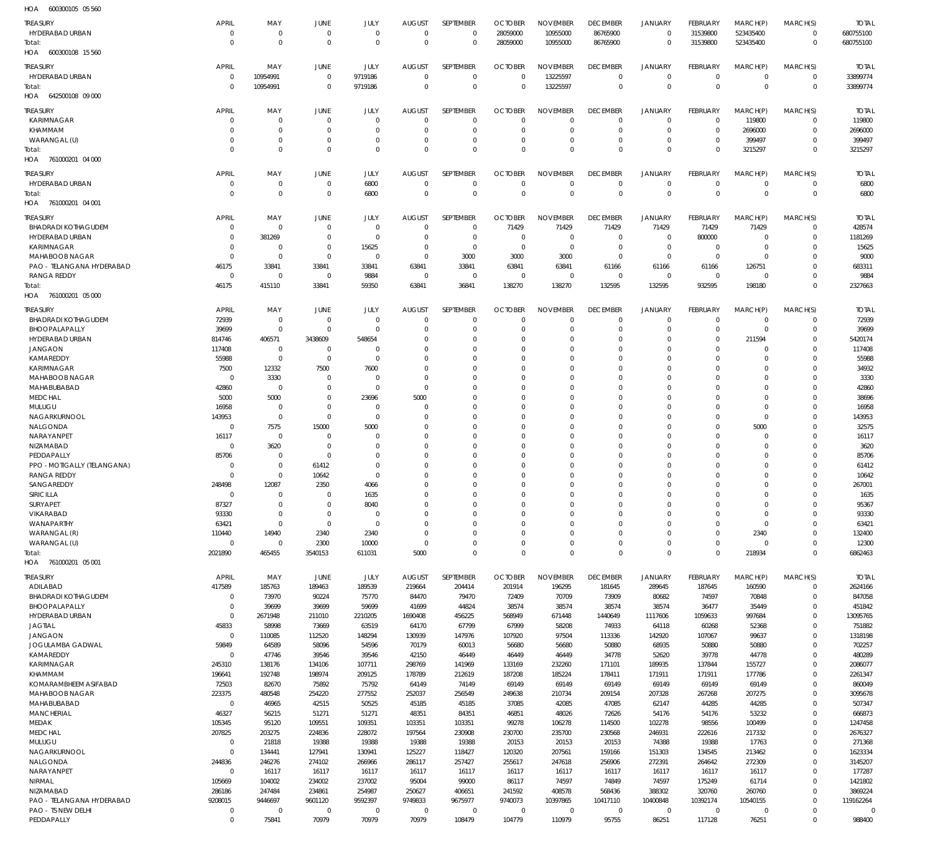600300105 05 560 HOA

| $\cdots$                    |              |             |             |             |               |                  |                |                 |                 |                |                |             |             |              |
|-----------------------------|--------------|-------------|-------------|-------------|---------------|------------------|----------------|-----------------|-----------------|----------------|----------------|-------------|-------------|--------------|
| TREASURY                    | APRIL        | MAY         | JUNE        | JULY        | <b>AUGUST</b> | SEPTEMBER        | <b>OCTOBER</b> | <b>NOVEMBER</b> | <b>DECEMBER</b> | <b>JANUARY</b> | FEBRUARY       | MARCH(P)    | MARCH(S)    | <b>TOTAL</b> |
| HYDERABAD URBAN             | $\mathbf 0$  | 0           | $\mathbf 0$ | $\mathbf 0$ | $\Omega$      | $\mathbf 0$      | 28059000       | 10955000        | 86765900        | $\mathbf 0$    | 31539800       | 523435400   | $\Omega$    | 680755100    |
| Total:                      | $\Omega$     | $\mathbf 0$ | $\mathbf 0$ | $\mathbf 0$ | $\Omega$      | $\mathbf 0$      | 28059000       | 10955000        | 86765900        | $\mathbf 0$    | 31539800       | 523435400   | $\mathbf 0$ | 680755100    |
| 600300108 15 560<br>HOA     |              |             |             |             |               |                  |                |                 |                 |                |                |             |             |              |
|                             |              |             |             |             |               |                  |                |                 |                 |                |                |             |             |              |
| TREASURY                    | <b>APRIL</b> | MAY         | JUNE        | JULY        | <b>AUGUST</b> | SEPTEMBER        | <b>OCTOBER</b> | <b>NOVEMBER</b> | <b>DECEMBER</b> | JANUARY        | FEBRUARY       | MARCH(P)    | MARCH(S)    | <b>TOTAL</b> |
| HYDERABAD URBAN             | $\mathbf 0$  | 10954991    | $\mathbf 0$ | 9719186     | $\Omega$      | $\mathbf 0$      | 0              | 13225597        | $\mathbf 0$     | 0              | $\mathbf 0$    | $\mathbf 0$ | $\Omega$    | 33899774     |
| Total:                      | $\Omega$     | 10954991    | $\mathbf 0$ | 9719186     | $\Omega$      | $\mathbf 0$      | $\Omega$       | 13225597        | $\mathbf 0$     | $\mathbf 0$    | $\overline{0}$ | $\mathbf 0$ | $\mathbf 0$ | 33899774     |
| HOA<br>642500108 09 000     |              |             |             |             |               |                  |                |                 |                 |                |                |             |             |              |
|                             |              |             |             |             |               |                  |                |                 |                 |                |                |             |             |              |
| TREASURY                    | <b>APRIL</b> | MAY         | JUNE        | JULY        | <b>AUGUST</b> | SEPTEMBER        | <b>OCTOBER</b> | <b>NOVEMBER</b> | <b>DECEMBER</b> | <b>JANUARY</b> | FEBRUARY       | MARCH(P)    | MARCH(S)    | <b>TOTAL</b> |
| KARIMNAGAR                  | O            | 0           | $\Omega$    | $\Omega$    | $\Omega$      | $\mathbf 0$      | $\Omega$       | $\Omega$        | $\Omega$        | $\mathbf 0$    | $\Omega$       | 119800      | $\Omega$    | 119800       |
| <b>KHAMMAM</b>              | C.           | $\mathbf 0$ | $\Omega$    | $\Omega$    | $\Omega$      | $\mathbf 0$      | $\Omega$       | $\Omega$        | $\Omega$        | $\mathbf 0$    | $\Omega$       | 2696000     | $\Omega$    | 2696000      |
| WARANGAL (U)                | O            | $\mathbf 0$ | 0           | $\Omega$    | $\Omega$      | $\mathbf 0$      | $\Omega$       | $\Omega$        | $\Omega$        | $\mathbf 0$    | $\Omega$       | 399497      | $\Omega$    | 399497       |
| Total:                      | $\Omega$     | $\mathbf 0$ | $\Omega$    | $\Omega$    | $\Omega$      | $\Omega$         | $\Omega$       | $\Omega$        | $\Omega$        | $\Omega$       | $\Omega$       | 3215297     | $\Omega$    | 3215297      |
| HOA 761000201 04 000        |              |             |             |             |               |                  |                |                 |                 |                |                |             |             |              |
|                             |              |             |             |             |               |                  |                |                 |                 |                |                |             |             |              |
| <b>TREASURY</b>             | <b>APRIL</b> | MAY         | JUNE        | JULY        | <b>AUGUST</b> | SEPTEMBER        | <b>OCTOBER</b> | <b>NOVEMBER</b> | <b>DECEMBER</b> | <b>JANUARY</b> | FEBRUARY       | MARCH(P)    | MARCH(S)    | <b>TOTAL</b> |
| HYDERABAD URBAN             | 0            | 0           | $\mathbf 0$ | 6800        | $\mathbf 0$   | $\mathbf 0$      | $\overline{0}$ | $\mathbf 0$     | $\overline{0}$  | 0              | $\overline{0}$ | $\mathbf 0$ | $\mathbf 0$ | 6800         |
| Total:                      | C            | $\mathbf 0$ | $\mathbf 0$ | 6800        | $\Omega$      | $\mathbf 0$      | $\Omega$       | $\mathbf 0$     | $\mathbf 0$     | $\mathbf 0$    | $\Omega$       | $\Omega$    | $\mathbf 0$ | 6800         |
| HOA<br>761000201 04 001     |              |             |             |             |               |                  |                |                 |                 |                |                |             |             |              |
|                             |              |             |             |             |               |                  |                |                 |                 |                |                |             |             |              |
| TREASURY                    | APRIL        | MAY         | JUNE        | JULY        | <b>AUGUST</b> | SEPTEMBER        | <b>OCTOBER</b> | <b>NOVEMBER</b> | <b>DECEMBER</b> | <b>JANUARY</b> | FEBRUARY       | MARCH(P)    | MARCH(S)    | <b>TOTAL</b> |
| <b>BHADRADI KOTHAGUDEM</b>  | $\Omega$     | $\Omega$    | 0           | $\mathbf 0$ | $\Omega$      | $\mathbf 0$      | 71429          | 71429           | 71429           | 71429          | 71429          | 71429       | $\Omega$    | 428574       |
| <b>HYDERABAD URBAN</b>      | O            | 381269      | 0           | $\mathbf 0$ | $\Omega$      | $\mathbf 0$      | $\Omega$       | $\Omega$        | $\Omega$        | 0              | 800000         | $\Omega$    | $\Omega$    | 1181269      |
| <b>KARIMNAGAR</b>           | C.           | 0           | 0           | 15625       | $\Omega$      | $\Omega$         | $\Omega$       | $\Omega$        | $\Omega$        | $\mathbf 0$    | $\Omega$       | $\Omega$    | $\Omega$    | 15625        |
| MAHABOOB NAGAR              | $\Omega$     | $\mathbf 0$ | $\Omega$    | $\Omega$    | $\Omega$      | 3000             | 3000           | 3000            | $\Omega$        | $\mathbf 0$    | $\Omega$       | $\Omega$    | $\Omega$    | 9000         |
| PAO - TELANGANA HYDERABAD   | 46175        | 33841       | 33841       | 33841       | 63841         | 33841            | 63841          | 63841           | 61166           | 61166          | 61166          | 126751      | $\Omega$    | 683311       |
| <b>RANGA REDDY</b>          | 0            | $\mathbf 0$ | 0           |             | 0             | $\overline{0}$   | $\overline{0}$ | $\Omega$        | $\Omega$        | 0              | $\mathbf 0$    | $\Omega$    | $\Omega$    | 9884         |
|                             |              |             |             | 9884        |               |                  |                |                 |                 |                |                |             | $\Omega$    |              |
| Total:                      | 46175        | 415110      | 33841       | 59350       | 63841         | 36841            | 138270         | 138270          | 132595          | 132595         | 932595         | 198180      |             | 2327663      |
| HOA<br>761000201 05 000     |              |             |             |             |               |                  |                |                 |                 |                |                |             |             |              |
| <b>TREASURY</b>             | APRIL        | MAY         | JUNE        | JULY        | <b>AUGUST</b> | <b>SEPTEMBER</b> | <b>OCTOBER</b> | <b>NOVEMBER</b> | <b>DECEMBER</b> | <b>JANUARY</b> | FEBRUARY       | MARCH(P)    | MARCH(S)    | <b>TOTAL</b> |
| <b>BHADRADI KOTHAGUDEM</b>  | 72939        | 0           | $\mathbf 0$ | $\mathbf 0$ | $\Omega$      | $\mathbf 0$      | $\Omega$       | $\mathbf 0$     | $\mathbf 0$     | $\mathbf 0$    | $\Omega$       | $\Omega$    | $\Omega$    | 72939        |
| BHOOPALAPALLY               | 39699        | $\mathbf 0$ | $\Omega$    | $\mathbf 0$ | -C            | $\mathbf 0$      | $\Omega$       | $\mathbf 0$     | 0               | $\mathbf 0$    | $\Omega$       | $\Omega$    | $\Omega$    | 39699        |
|                             |              |             |             |             |               |                  |                |                 |                 |                |                |             |             |              |
| HYDERABAD URBAN             | 814746       | 406571      | 3438609     | 548654      |               | $\Omega$         | $\Omega$       | $\Omega$        | $\Omega$        | $\Omega$       | $\Omega$       | 211594      | $\Omega$    | 5420174      |
| <b>JANGAON</b>              | 117408       | $\mathbf 0$ | $\Omega$    | 0           | $\Omega$      | $\Omega$         | -C             | $\Omega$        | $\Omega$        | $\Omega$       | $\Omega$       | $\Omega$    | $\Omega$    | 117408       |
| KAMAREDDY                   | 55988        | $\mathbf 0$ | $\mathbf 0$ | $\Omega$    | $\Omega$      | $\Omega$         | -C             | $\Omega$        | $\Omega$        | $\Omega$       | $\Omega$       | $\Omega$    | $\Omega$    | 55988        |
| KARIMNAGAR                  | 7500         | 12332       | 7500        | 7600        | $\Omega$      | $\Omega$         | -C             | $\Omega$        | $\Omega$        | $\mathbf 0$    | $\Omega$       | $\Omega$    | $\Omega$    | 34932        |
| MAHABOOB NAGAR              | $\Omega$     | 3330        | 0           | $\mathbf 0$ | -C            | $\Omega$         | $\Omega$       | $\Omega$        | $\Omega$        | $\Omega$       | ſ              | $\Omega$    | $\Omega$    | 3330         |
| MAHABUBABAD                 | 42860        | $\mathbf 0$ | $\Omega$    | $\mathbf 0$ | $\Omega$      | $\Omega$         | -C             | $\Omega$        | $\Omega$        | $\Omega$       | ſ              | $\Omega$    | $\Omega$    | 42860        |
| <b>MEDCHAL</b>              | 5000         | 5000        | $\Omega$    | 23696       | 5000          | $\Omega$         | $\Omega$       | $\Omega$        | $\Omega$        | $\Omega$       | $\sqrt{ }$     | $\Omega$    | $\Omega$    | 38696        |
| MULUGU                      | 16958        | 0           | $\Omega$    | $\mathbf 0$ | $\Omega$      | $\Omega$         | -C             | $\Omega$        | $\Omega$        | $\Omega$       | $\Omega$       | $\Omega$    | $\Omega$    | 16958        |
| NAGARKURNOOL                | 143953       | 0           | $\mathbf 0$ | $\mathbf 0$ | -C            | $\Omega$         | $\Omega$       | $\Omega$        | $\Omega$        | $\Omega$       | $\Omega$       | $\Omega$    | $\Omega$    | 143953       |
| NALGONDA                    | O            | 7575        | 15000       | 5000        | -C            | $\Omega$         | $\Omega$       | $\Omega$        | $\Omega$        | $\Omega$       | $\Omega$       | 5000        | $\Omega$    | 32575        |
|                             |              |             |             |             |               |                  |                |                 |                 |                |                |             |             |              |
| NARAYANPET                  | 16117        | $\mathbf 0$ | $\Omega$    | $\Omega$    | $\Omega$      | $\Omega$         | $\Omega$       | $\Omega$        | $\Omega$        | $\Omega$       | $\Omega$       | $\Omega$    | $\Omega$    | 16117        |
| NIZAMABAD                   | $\mathbf 0$  | 3620        | $\mathbf 0$ | $\Omega$    | $\Omega$      | $\Omega$         | $\Omega$       | $\Omega$        | $\Omega$        | $\mathbf 0$    | $\Omega$       | $\Omega$    | $\Omega$    | 3620         |
| PEDDAPALLY                  | 85706        | $\mathbf 0$ | $\mathbf 0$ | $\Omega$    | -C            | $\Omega$         | $\Omega$       | $\Omega$        | $\Omega$        | $\Omega$       | $\Omega$       | $\Omega$    | $\Omega$    | 85706        |
| PPO - MOTIGALLY (TELANGANA) | O            | $\mathbf 0$ | 61412       | $\Omega$    | -C            | $\Omega$         | -C             | $\Omega$        | $\Omega$        | $\Omega$       | ſ              | $\Omega$    | $\Omega$    | 61412        |
| <b>RANGA REDDY</b>          | C.           | $\Omega$    | 10642       | $\Omega$    | -C            | $\Omega$         | $\Omega$       | $\Omega$        | $\Omega$        | $\Omega$       |                | $\Omega$    |             | 10642        |
| SANGAREDDY                  | 248498       | 12087       | 2350        | 4066        | $\Omega$      | $\Omega$         | $\Omega$       | $\Omega$        | $\Omega$        | $\Omega$       | $\Omega$       | $\Omega$    | $\Omega$    | 267001       |
| SIRICILLA                   |              |             | $\Omega$    | 1635        |               | $\Omega$         |                | $\Omega$        |                 | $\Omega$       |                | $\Omega$    |             | 1635         |
| SURYAPET                    | 87327        | 0           | $\mathbf 0$ | 8040        | $\Omega$      | $\mathbf 0$      | $\mathbf 0$    | $\mathbf 0$     | 0               | $\mathbf 0$    | $\Omega$       | $\Omega$    | $\Omega$    | 95367        |
| VIKARABAD                   | 93330        | $\mathbf 0$ | $\mathbf 0$ | 0           | $\Omega$      | $\mathbf 0$      | $\mathbf 0$    | $\mathbf 0$     | $\Omega$        | $\mathbf 0$    | $\Omega$       | $\mathbf 0$ | $\Omega$    | 93330        |
| WANAPARTHY                  | 63421        | $\mathbf 0$ | $\mathbf 0$ | $\mathbf 0$ | $\Omega$      | $\mathbf 0$      | $\Omega$       | $\mathbf 0$     | $\mathbf 0$     | $\mathbf 0$    | $\Omega$       | $\Omega$    | $\Omega$    | 63421        |
| WARANGAL (R)                | 110440       | 14940       | 2340        | 2340        | $\Omega$      | $\mathbf 0$      | $\Omega$       | $\mathbf 0$     | $\mathbf 0$     | $\mathbf 0$    | $\Omega$       | 2340        | $\Omega$    | 132400       |
|                             |              |             |             |             |               |                  |                |                 |                 |                |                |             |             |              |
| WARANGAL (U)                | $\mathbf 0$  | $\mathbf 0$ | 2300        | 10000       | $\mathbf 0$   | $\mathbf 0$      | $\mathbf 0$    | $\mathsf 0$     | $\mathbf 0$     | $\mathbf 0$    | $\Omega$       | $\mathbf 0$ | $\mathbf 0$ | 12300        |
| Total:                      | 2021890      | 465455      | 3540153     | 611031      | 5000          | $\mathbf 0$      | $\mathbf 0$    | $\mathbf 0$     | $\mathbf 0$     | $\mathbf 0$    | $\Omega$       | 218934      | $\Omega$    | 6862463      |
| HOA 761000201 05 001        |              |             |             |             |               |                  |                |                 |                 |                |                |             |             |              |
| TREASURY                    | <b>APRIL</b> | MAY         | JUNE        | JULY        | <b>AUGUST</b> | SEPTEMBER        | <b>OCTOBER</b> | <b>NOVEMBER</b> | <b>DECEMBER</b> | <b>JANUARY</b> | FEBRUARY       | MARCH(P)    | MARCH(S)    | <b>TOTAL</b> |
| ADILABAD                    | 417589       | 185763      | 189463      | 189539      | 219664        | 204414           | 201914         | 196295          | 181645          | 289645         | 187645         | 160590      | $\Omega$    | 2624166      |
| <b>BHADRADI KOTHAGUDEM</b>  | $\mathbf 0$  | 73970       | 90224       | 75770       | 84470         |                  | 72409          | 70709           | 73909           | 80682          | 74597          | 70848       | $\mathbf 0$ | 847058       |
| <b>BHOOPALAPALLY</b>        |              |             |             |             |               | 79470            |                |                 |                 |                |                |             |             |              |
|                             | $\mathbf 0$  | 39699       | 39699       | 59699       | 41699         | 44824            | 38574          | 38574           | 38574           | 38574          | 36477          | 35449       | $\Omega$    | 451842       |
| HYDERABAD URBAN             | $\mathbf 0$  | 2671948     | 211010      | 2210205     | 1690408       | 456225           | 568949         | 671448          | 1440649         | 1117606        | 1059633        | 997684      | $\Omega$    | 13095765     |
| <b>JAGTIAL</b>              | 45833        | 58998       | 73669       | 63519       | 64170         | 67799            | 67999          | 58208           | 74933           | 64118          | 60268          | 52368       | $\Omega$    | 751882       |
| <b>JANGAON</b>              | $\mathbf 0$  | 110085      | 112520      | 148294      | 130939        | 147976           | 107920         | 97504           | 113336          | 142920         | 107067         | 99637       | $\Omega$    | 1318198      |
| JOGULAMBA GADWAL            | 59849        | 64589       | 58096       | 54596       | 70179         | 60013            | 56680          | 56680           | 50880           | 68935          | 50880          | 50880       | $\Omega$    | 702257       |
| KAMAREDDY                   | $\mathbf 0$  | 47746       | 39546       | 39546       | 42150         | 46449            | 46449          | 46449           | 34778           | 52620          | 39778          | 44778       | $\Omega$    | 480289       |
| <b>KARIMNAGAR</b>           | 245310       | 138176      | 134106      | 107711      | 298769        | 141969           | 133169         | 232260          | 171101          | 189935         | 137844         | 155727      | $\Omega$    | 2086077      |
| <b>KHAMMAM</b>              | 196641       | 192748      | 198974      | 209125      | 178789        | 212619           | 187208         | 185224          | 178411          | 171911         | 171911         | 177786      | $\Omega$    | 2261347      |
| KOMARAMBHEEM ASIFABAD       | 72503        | 82670       | 75892       | 75792       | 64149         | 74149            | 69149          | 69149           | 69149           | 69149          | 69149          | 69149       | $\Omega$    | 860049       |
| MAHABOOB NAGAR              | 223375       | 480548      | 254220      | 277552      | 252037        | 256549           | 249638         | 210734          | 209154          | 207328         | 267268         | 207275      | $\Omega$    | 3095678      |
| MAHABUBABAD                 | $\mathbf 0$  | 46965       | 42515       | 50525       | 45185         | 45185            | 37085          | 42085           | 47085           | 62147          | 44285          | 44285       | $\Omega$    | 507347       |
|                             |              |             |             |             |               |                  |                |                 |                 |                |                |             |             |              |
| <b>MANCHERIAL</b>           | 46327        | 56215       | 51271       | 51271       | 48351         | 84351            | 46851          | 48026           | 72626           | 54176          | 54176          | 53232       | $\Omega$    | 666873       |
| MEDAK                       | 105345       | 95120       | 109551      | 109351      | 103351        | 103351           | 99278          | 106278          | 114500          | 102278         | 98556          | 100499      | $\Omega$    | 1247458      |
| <b>MEDCHAL</b>              | 207825       | 203275      | 224836      | 228072      | 197564        | 230908           | 230700         | 235700          | 230568          | 246931         | 222616         | 217332      | $\Omega$    | 2676327      |
| MULUGU                      | $\mathbf 0$  | 21818       | 19388       | 19388       | 19388         | 19388            | 20153          | 20153           | 20153           | 74388          | 19388          | 17763       | $\Omega$    | 271368       |
| NAGARKURNOOL                | $\mathbf 0$  | 134441      | 127941      | 130941      | 125227        | 118427           | 120320         | 207561          | 159166          | 151303         | 134545         | 213462      | $\Omega$    | 1623334      |
| NALGONDA                    | 244836       | 246276      | 274102      | 266966      | 286117        | 257427           | 255617         | 247618          | 256906          | 272391         | 264642         | 272309      | $\Omega$    | 3145207      |
| NARAYANPET                  | $\mathbf 0$  | 16117       | 16117       | 16117       | 16117         | 16117            | 16117          | 16117           | 16117           | 16117          | 16117          | 16117       | $\Omega$    | 177287       |
| <b>NIRMAL</b>               | 105669       | 104002      | 234002      | 237002      | 95004         | 99000            | 86117          | 74597           | 74849           | 74597          | 175249         | 61714       | $\Omega$    | 1421802      |
| NIZAMABAD                   | 286186       | 247484      | 234861      | 254987      | 250627        | 406651           | 241592         | 408578          | 568436          | 388302         | 320760         | 260760      | $\Omega$    | 3869224      |
|                             |              |             |             |             |               |                  |                |                 |                 |                |                |             | $\mathbf 0$ |              |
| PAO - TELANGANA HYDERABAD   | 9208015      | 9446697     | 9601120     | 9592397     | 9749833       | 9675977          | 9740073        | 10397865        | 10417110        | 10400848       | 10392174       | 10540155    |             | 119162264    |
| PAO - TS NEW DELHI          | 0            | $\mathbf 0$ | $\mathbf 0$ | $\mathbf 0$ | $\mathbf 0$   | $\mathbf 0$      | $\overline{0}$ | $\overline{0}$  | $\mathbf 0$     | $\mathbf 0$    | $\mathbf 0$    | $\mathbf 0$ | 0           | $\Omega$     |
| PEDDAPALLY                  | $\mathbf 0$  | 75841       | 70979       | 70979       | 70979         | 108479           | 104779         | 110979          | 95755           | 86251          | 117128         | 76251       | $\Omega$    | 988400       |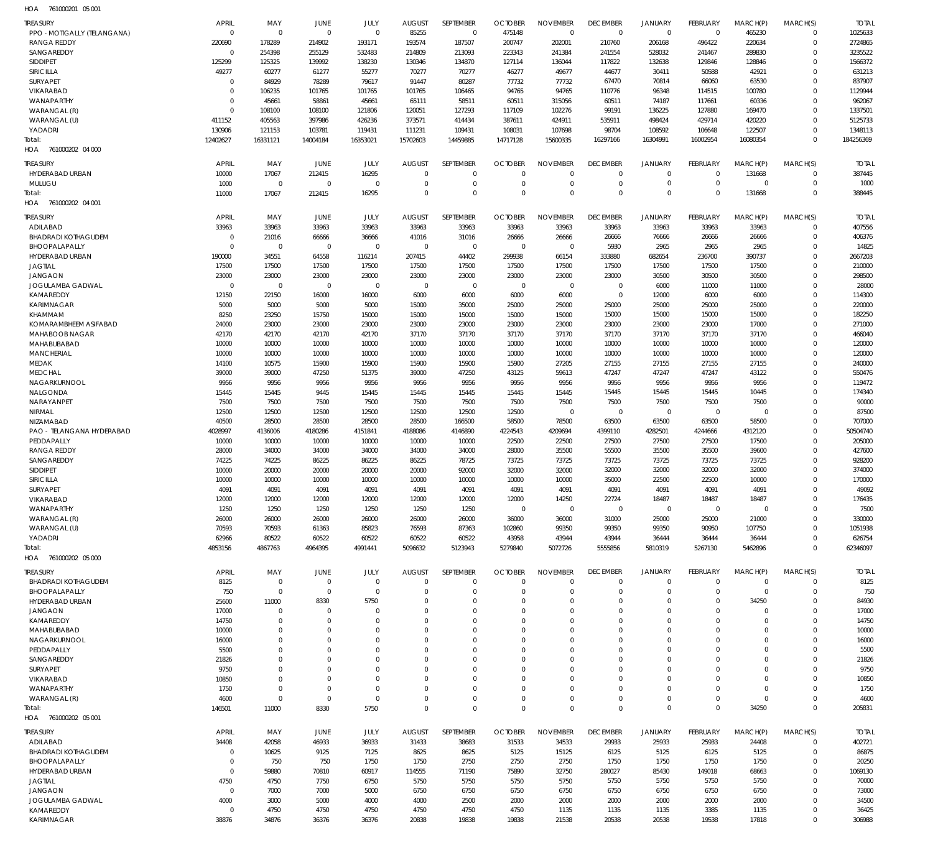761000201 05 001 HOA

| <b>TREASURY</b>                     | APRIL                      | MAY                        | JUNE                 | JULY                 | <b>AUGUST</b>          | SEPTEMBER               | <b>OCTOBER</b>          | <b>NOVEMBER</b>          | <b>DECEMBER</b>            | <b>JANUARY</b>          | FEBRUARY               | MARCH(P)             | MARCH(S)                | <b>TOTAL</b>           |
|-------------------------------------|----------------------------|----------------------------|----------------------|----------------------|------------------------|-------------------------|-------------------------|--------------------------|----------------------------|-------------------------|------------------------|----------------------|-------------------------|------------------------|
| PPO - MOTIGALLY (TELANGANA)         | $\mathbf 0$                | $\mathbf 0$                | $\mathbf 0$          | $\mathbf 0$          | 85255                  | $\mathbf 0$             | 475148                  | $\mathbf 0$              | $\mathbf 0$                | $\mathbf 0$             | $\overline{0}$         | 465230               | $\mathbf 0$             | 1025633                |
| <b>RANGA REDDY</b><br>SANGAREDDY    | 220690<br>$\mathbf 0$      | 178289<br>254398           | 214902<br>255129     | 193171<br>532483     | 193574<br>214809       | 187507<br>213093        | 200747<br>223343        | 202001<br>241384         | 210760<br>241554           | 206168<br>528032        | 496422<br>241467       | 220634<br>289830     | $\mathbf 0$<br>$\Omega$ | 2724865<br>3235522     |
| SIDDIPET                            | 125299                     | 125325                     | 139992               | 138230               | 130346                 | 134870                  | 127114                  | 136044                   | 117822                     | 132638                  | 129846                 | 128846               | $\Omega$                | 1566372                |
| <b>SIRICILLA</b>                    | 49277                      | 60277                      | 61277                | 55277                | 70277                  | 70277                   | 46277                   | 49677                    | 44677                      | 30411                   | 50588                  | 42921                | $\Omega$                | 631213                 |
| SURYAPET                            | $\mathbf 0$                | 84929                      | 78289                | 79617                | 91447                  | 80287                   | 77732                   | 77732                    | 67470                      | 70814                   | 66060                  | 63530                | $\Omega$                | 837907                 |
| VIKARABAD                           | $\Omega$                   | 106235                     | 101765               | 101765               | 101765                 | 106465                  | 94765                   | 94765                    | 110776                     | 96348                   | 114515                 | 100780               | $\Omega$                | 1129944                |
| WANAPARTHY<br>WARANGAL (R)          | $\mathbf 0$<br>$\mathbf 0$ | 45661<br>108100            | 58861<br>108100      | 45661<br>121806      | 65111<br>120051        | 58511<br>127293         | 60511<br>117109         | 315056<br>102276         | 60511<br>99191             | 74187<br>136225         | 117661<br>127880       | 60336<br>169470      | $\Omega$<br>$\Omega$    | 962067<br>1337501      |
| WARANGAL (U)                        | 411152                     | 405563                     | 397986               | 426236               | 373571                 | 414434                  | 387611                  | 424911                   | 535911                     | 498424                  | 429714                 | 420220               | $\Omega$                | 5125733                |
| YADADRI                             | 130906                     | 121153                     | 103781               | 119431               | 111231                 | 109431                  | 108031                  | 107698                   | 98704                      | 108592                  | 106648                 | 122507               | $\Omega$                | 1348113                |
| Total:                              | 12402627                   | 16331121                   | 14004184             | 16353021             | 15702603               | 14459885                | 14717128                | 15600335                 | 16297166                   | 16304991                | 16002954               | 16080354             | $\mathbf 0$             | 184256369              |
| 761000202 04 000<br>HOA             |                            |                            |                      |                      |                        |                         |                         |                          |                            |                         |                        |                      |                         |                        |
| <b>TREASURY</b>                     | APRIL                      | MAY                        | JUNE                 | JULY                 | <b>AUGUST</b>          | SEPTEMBER               | <b>OCTOBER</b>          | <b>NOVEMBER</b>          | <b>DECEMBER</b>            | <b>JANUARY</b>          | FEBRUARY               | MARCH(P)             | MARCH(S)                | <b>TOTAL</b>           |
| HYDERABAD URBAN                     | 10000                      | 17067                      | 212415               | 16295                | $\Omega$               | $\mathbf 0$             | $\Omega$                | $\mathbf 0$              | $\mathbf 0$                | $\mathbf 0$             | $\mathbf 0$            | 131668               | 0                       | 387445                 |
| MULUGU                              | 1000                       | $\mathbf 0$                | $\mathbf 0$          | $\mathbf 0$          | $\Omega$               | $\mathbf 0$<br>$\Omega$ | $\mathbf 0$             | $\mathbf 0$              | $\mathbf 0$                | $\mathbf 0$             | $\mathbf 0$            | $\mathbf 0$          | $\mathbf 0$             | 1000                   |
| Total:<br>HOA 761000202 04 001      | 11000                      | 17067                      | 212415               | 16295                | $\Omega$               |                         | $\mathbf 0$             | $\Omega$                 | $\Omega$                   | $\mathbf 0$             | $\Omega$               | 131668               | $\mathbf 0$             | 388445                 |
|                                     |                            |                            |                      |                      |                        |                         |                         |                          |                            |                         |                        |                      |                         |                        |
| <b>TREASURY</b><br>ADILABAD         | <b>APRIL</b>               | MAY                        | JUNE<br>33963        | JULY<br>33963        | <b>AUGUST</b><br>33963 | SEPTEMBER<br>33963      | <b>OCTOBER</b><br>33963 | <b>NOVEMBER</b><br>33963 | <b>DECEMBER</b><br>33963   | <b>JANUARY</b><br>33963 | FEBRUARY<br>33963      | MARCH(P)<br>33963    | MARCH(S)<br>$\mathbf 0$ | <b>TOTAL</b><br>407556 |
| <b>BHADRADI KOTHAGUDEM</b>          | 33963<br>$\mathbf 0$       | 33963<br>21016             | 66666                | 36666                | 41016                  | 31016                   | 26666                   | 26666                    | 26666                      | 76666                   | 26666                  | 26666                | $\mathbf 0$             | 406376                 |
| BHOOPALAPALLY                       | $\mathbf 0$                | $\mathbf 0$                | $\mathbf 0$          | $\mathbf 0$          | $\mathbf{0}$           | $\mathbf 0$             | $\mathbf 0$             | $\mathbf 0$              | 5930                       | 2965                    | 2965                   | 2965                 | $\Omega$                | 14825                  |
| <b>HYDERABAD URBAN</b>              | 190000                     | 34551                      | 64558                | 116214               | 207415                 | 44402                   | 299938                  | 66154                    | 333880                     | 682654                  | 236700                 | 390737               | $\Omega$                | 2667203                |
| <b>JAGTIAL</b>                      | 17500                      | 17500                      | 17500                | 17500                | 17500                  | 17500                   | 17500                   | 17500                    | 17500                      | 17500                   | 17500                  | 17500                | $\Omega$                | 210000                 |
| <b>JANGAON</b>                      | 23000                      | 23000                      | 23000                | 23000                | 23000                  | 23000                   | 23000                   | 23000<br>$\mathbf 0$     | 23000                      | 30500                   | 30500                  | 30500                | $\Omega$<br>$\Omega$    | 298500                 |
| JOGULAMBA GADWAL<br>KAMAREDDY       | $\mathbf 0$<br>12150       | $\mathbf 0$<br>22150       | $\mathbf 0$<br>16000 | $\mathbf 0$<br>16000 | $\mathbf 0$<br>6000    | $\mathbf 0$<br>6000     | $\mathbf 0$<br>6000     | 6000                     | $\mathbf 0$<br>$\mathbf 0$ | 6000<br>12000           | 11000<br>6000          | 11000<br>6000        | $\Omega$                | 28000<br>114300        |
| KARIMNAGAR                          | 5000                       | 5000                       | 5000                 | 5000                 | 15000                  | 35000                   | 25000                   | 25000                    | 25000                      | 25000                   | 25000                  | 25000                | $\Omega$                | 220000                 |
| KHAMMAM                             | 8250                       | 23250                      | 15750                | 15000                | 15000                  | 15000                   | 15000                   | 15000                    | 15000                      | 15000                   | 15000                  | 15000                | $\Omega$                | 182250                 |
| KOMARAMBHEEM ASIFABAD               | 24000                      | 23000                      | 23000                | 23000                | 23000                  | 23000                   | 23000                   | 23000                    | 23000                      | 23000                   | 23000                  | 17000                | $\Omega$                | 271000                 |
| MAHABOOB NAGAR                      | 42170                      | 42170                      | 42170                | 42170                | 37170                  | 37170                   | 37170                   | 37170                    | 37170                      | 37170                   | 37170                  | 37170                | $\Omega$                | 466040                 |
| MAHABUBABAD<br>MANCHERIAL           | 10000<br>10000             | 10000<br>10000             | 10000<br>10000       | 10000<br>10000       | 10000<br>10000         | 10000<br>10000          | 10000<br>10000          | 10000<br>10000           | 10000<br>10000             | 10000<br>10000          | 10000<br>10000         | 10000<br>10000       | $\Omega$<br>$\Omega$    | 120000<br>120000       |
| <b>MEDAK</b>                        | 14100                      | 10575                      | 15900                | 15900                | 15900                  | 15900                   | 15900                   | 27205                    | 27155                      | 27155                   | 27155                  | 27155                | $\Omega$                | 240000                 |
| <b>MEDCHAL</b>                      | 39000                      | 39000                      | 47250                | 51375                | 39000                  | 47250                   | 43125                   | 59613                    | 47247                      | 47247                   | 47247                  | 43122                | $\Omega$                | 550476                 |
| NAGARKURNOOL                        | 9956                       | 9956                       | 9956                 | 9956                 | 9956                   | 9956                    | 9956                    | 9956                     | 9956                       | 9956                    | 9956                   | 9956                 | $\Omega$                | 119472                 |
| NALGONDA                            | 15445                      | 15445                      | 9445                 | 15445                | 15445                  | 15445                   | 15445                   | 15445                    | 15445                      | 15445                   | 15445                  | 10445                | $\Omega$                | 174340                 |
| NARAYANPET                          | 7500                       | 7500                       | 7500<br>12500        | 7500                 | 7500                   | 7500                    | 7500<br>12500           | 7500<br>$\mathbf 0$      | 7500<br>$\mathbf 0$        | 7500<br>$\mathbf 0$     | 7500<br>$\overline{0}$ | 7500<br>$\mathbf 0$  | $\Omega$<br>$\Omega$    | 90000<br>87500         |
| NIRMAL<br>NIZAMABAD                 | 12500<br>40500             | 12500<br>28500             | 28500                | 12500<br>28500       | 12500<br>28500         | 12500<br>166500         | 58500                   | 78500                    | 63500                      | 63500                   | 63500                  | 58500                | $\Omega$                | 707000                 |
| PAO - TELANGANA HYDERABAD           | 4028997                    | 4136006                    | 4180286              | 4151841              | 4188086                | 4146890                 | 4224543                 | 4209694                  | 4399110                    | 4282501                 | 4244666                | 4312120              | $\mathbf 0$             | 50504740               |
| PEDDAPALLY                          | 10000                      | 10000                      | 10000                | 10000                | 10000                  | 10000                   | 22500                   | 22500                    | 27500                      | 27500                   | 27500                  | 17500                | $\Omega$                | 205000                 |
| <b>RANGA REDDY</b>                  | 28000                      | 34000                      | 34000                | 34000                | 34000                  | 34000                   | 28000                   | 35500                    | 55500                      | 35500                   | 35500                  | 39600                | $\Omega$                | 427600                 |
| SANGAREDDY                          | 74225                      | 74225                      | 86225                | 86225                | 86225<br>20000         | 78725<br>92000          | 73725<br>32000          | 73725                    | 73725                      | 73725                   | 73725                  | 73725                | $\Omega$<br>$\Omega$    | 928200                 |
| <b>SIDDIPET</b><br><b>SIRICILLA</b> | 10000<br>10000             | 20000<br>10000             | 20000<br>10000       | 20000<br>10000       | 10000                  | 10000                   | 10000                   | 32000<br>10000           | 32000<br>35000             | 32000<br>22500          | 32000<br>22500         | 32000<br>10000       | $\Omega$                | 374000<br>170000       |
| SURYAPET                            | 4091                       | 4091                       | 4091                 | 4091                 | 4091                   | 4091                    | 4091                    | 4091                     | 4091                       | 4091                    | 4091                   | 4091                 | $\Omega$                | 49092                  |
| VIKARABAD                           | 12000                      | 12000                      | 12000                | 12000                | 12000                  | 12000                   | 12000                   | 14250                    | 22724                      | 18487                   | 18487                  | 18487                | $\Omega$                | 176435                 |
| WANAPARTHY                          | 1250                       | 1250                       | 1250                 | 1250                 | 1250                   | 1250                    | $\mathbf 0$             | $\mathbf 0$              | $\mathbf 0$                | $\mathbf 0$             | $\mathbf 0$            | $\mathbf 0$          | 0                       | 7500                   |
| WARANGAL (R)                        | 26000                      | 26000                      | 26000                | 26000                | 26000                  | 26000                   | 36000                   | 36000                    | 31000                      | 25000                   | 25000                  | 21000                | $\Omega$                | 330000                 |
| WARANGAL (U)<br>YADADRI             | 70593<br>62966             | 70593<br>80522             | 61363<br>60522       | 85823<br>60522       | 76593<br>60522         | 87363<br>60522          | 102860<br>43958         | 99350<br>43944           | 99350<br>43944             | 99350<br>36444          | 90950<br>36444         | 107750<br>36444      | $\Omega$<br>$\Omega$    | 1051938<br>626754      |
| Total:                              | 4853156                    | 4867763                    | 4964395              | 4991441              | 5096632                | 5123943                 | 5279840                 | 5072726                  | 5555856                    | 5810319                 | 5267130                | 5462896              | $\Omega$                | 62346097               |
| HOA 761000202 05 000                |                            |                            |                      |                      |                        |                         |                         |                          |                            |                         |                        |                      |                         |                        |
| <b>TREASURY</b>                     | APRIL                      | MAY                        | JUNE                 | JULY                 | <b>AUGUST</b>          | <b>SEPTEMBER</b>        | <b>OCTOBER</b>          | <b>NOVEMBER</b>          | <b>DECEMBER</b>            | <b>JANUARY</b>          | FEBRUARY               | MARCH(P)             | MARCH(S)                | <b>TOTAL</b>           |
| <b>BHADRADI KOTHAGUDEM</b>          | 8125                       | 0                          | 0                    | $\mathbf 0$          | 0                      | 0                       | 0                       | 0                        | $\mathbf 0$                | 0                       | 0                      | -0                   | $\mathbf 0$             | 8125                   |
| BHOOPALAPALLY                       | 750                        | $\mathbf 0$                | $\mathbf 0$          | $\mathbf 0$          | $\Omega$               | $\mathbf 0$             | $\Omega$                | $\Omega$                 | $\mathbf 0$                | $\mathbf 0$             | $\mathbf 0$            | $\mathbf 0$          | $\mathbf 0$             | 750                    |
| <b>HYDERABAD URBAN</b>              | 25600                      | 11000                      | 8330                 | 5750                 | $\Omega$               | $\Omega$                | $\Omega$                | $\Omega$                 | $\Omega$                   | $\mathbf 0$             | 0                      | 34250                | $\Omega$                | 84930                  |
| <b>JANGAON</b><br>KAMAREDDY         | 17000<br>14750             | $\mathbf 0$<br>$\mathbf 0$ | $\Omega$<br>$\Omega$ | $\Omega$<br>$\Omega$ | $\Omega$<br>$\Omega$   | $\Omega$<br>$\Omega$    | $\Omega$<br>$\Omega$    | $\Omega$<br>$\Omega$     | $\Omega$<br>$\Omega$       | $\Omega$<br>$\Omega$    | $\Omega$<br>$\Omega$   | $\Omega$<br>$\Omega$ | $\Omega$<br>$\Omega$    | 17000<br>14750         |
| MAHABUBABAD                         | 10000                      | $\mathbf 0$                | C.                   | $\Omega$             | $\Omega$               | $\Omega$                | $\cup$                  | $\Omega$                 | $\Omega$                   | $\Omega$                | $\Omega$               | $\Omega$             | $\Omega$                | 10000                  |
| NAGARKURNOOL                        | 16000                      | $\Omega$                   | $\Omega$             | $\Omega$             | $\Omega$               | $\Omega$                | $\Omega$                | $\Omega$                 | $\Omega$                   | $\Omega$                | $\Omega$               | $\Omega$             | $\Omega$                | 16000                  |
| PEDDAPALLY                          | 5500                       | 0                          | C.                   | $\Omega$             | $\Omega$               | $\Omega$                | $\cup$                  | $\Omega$                 | $\Omega$                   | $\Omega$                | n                      | $\Omega$             | $\Omega$                | 5500                   |
| SANGAREDDY                          | 21826                      | $\Omega$                   | $\Omega$             | $\Omega$             | $\Omega$               | $\Omega$                | $\Omega$                | $\Omega$                 | $\Omega$                   | $\Omega$                | $\Omega$               | $\Omega$             | $\Omega$                | 21826                  |
| SURYAPET<br>VIKARABAD               | 9750<br>10850              | $\Omega$<br>$\mathbf 0$    | $\cup$<br>$\Omega$   | $\Omega$<br>$\Omega$ | $\Omega$<br>$\Omega$   | $\Omega$<br>$\Omega$    | $\cup$<br>$\Omega$      | $\Omega$<br>$\Omega$     | $\Omega$<br>$\Omega$       | $\Omega$<br>$\Omega$    | $\Omega$<br>$\Omega$   | $\Omega$<br>$\Omega$ | $\Omega$<br>$\Omega$    | 9750<br>10850          |
| WANAPARTHY                          | 1750                       | $\mathbf 0$                | $\Omega$             | $\Omega$             | $\Omega$               | $\Omega$                | $\Omega$                | $\Omega$                 | $\Omega$                   | $\Omega$                | $\Omega$               | $\Omega$             | $\Omega$                | 1750                   |
| WARANGAL (R)                        | 4600                       | $\mathbf 0$                | $\mathbf 0$          | $\mathbf 0$          | $\Omega$               | $\mathbf 0$             | $\Omega$                | $\mathbf 0$              | $\mathbf 0$                | $\mathbf 0$             | $\Omega$               | $\mathbf 0$          | $\mathbf 0$             | 4600                   |
| Total:                              | 146501                     | 11000                      | 8330                 | 5750                 | $\Omega$               | $\mathbf 0$             | $\Omega$                | $\mathbf 0$              | $\mathbf 0$                | $\mathbf 0$             | $\mathbf{0}$           | 34250                | $\mathbf 0$             | 205831                 |
| HOA 761000202 05 001                |                            |                            |                      |                      |                        |                         |                         |                          |                            |                         |                        |                      |                         |                        |
| <b>TREASURY</b>                     | <b>APRIL</b>               | MAY                        | JUNE                 | JULY                 | <b>AUGUST</b>          | SEPTEMBER               | <b>OCTOBER</b>          | <b>NOVEMBER</b>          | <b>DECEMBER</b>            | JANUARY                 | FEBRUARY               | MARCH(P)             | MARCH(S)                | <b>TOTAL</b>           |
| ADILABAD                            | 34408                      | 42058                      | 46933                | 36933                | 31433                  | 38683                   | 31533                   | 34533                    | 29933                      | 25933                   | 25933                  | 24408                | $\mathbf 0$             | 402721                 |
| <b>BHADRADI KOTHAGUDEM</b>          | $\mathbf 0$                | 10625                      | 9125                 | 7125                 | 8625                   | 8625                    | 5125                    | 15125                    | 6125                       | 5125                    | 6125                   | 5125                 | $\mathbf 0$             | 86875                  |
| BHOOPALAPALLY                       | 0                          | 750                        | 750                  | 1750<br>60917        | 1750                   | 2750<br>71190           | 2750                    | 2750                     | 1750                       | 1750<br>85430           | 1750<br>149018         | 1750                 | $\mathbf 0$<br>$\Omega$ | 20250<br>1069130       |
| HYDERABAD URBAN<br><b>JAGTIAL</b>   | 0<br>4750                  | 59880<br>4750              | 70810<br>7750        | 6750                 | 114555<br>5750         | 5750                    | 75890<br>5750           | 32750<br>5750            | 280027<br>5750             | 5750                    | 5750                   | 68663<br>5750        | $\mathbf 0$             | 70000                  |
| <b>JANGAON</b>                      | $\mathbf 0$                | 7000                       | 7000                 | 5000                 | 6750                   | 6750                    | 6750                    | 6750                     | 6750                       | 6750                    | 6750                   | 6750                 | $\Omega$                | 73000                  |
| JOGULAMBA GADWAL                    | 4000                       | 3000                       | 5000                 | 4000                 | 4000                   | 2500                    | 2000                    | 2000                     | 2000                       | 2000                    | 2000                   | 2000                 | $\mathbf 0$             | 34500                  |
| KAMAREDDY                           | $\mathbf 0$                | 4750                       | 4750                 | 4750                 | 4750                   | 4750                    | 4750                    | 1135                     | 1135                       | 1135                    | 3385                   | 1135                 | $\mathbf 0$             | 36425                  |
| KARIMNAGAR                          | 38876                      | 34876                      | 36376                | 36376                | 20838                  | 19838                   | 19838                   | 21538                    | 20538                      | 20538                   | 19538                  | 17818                | $\Omega$                | 306988                 |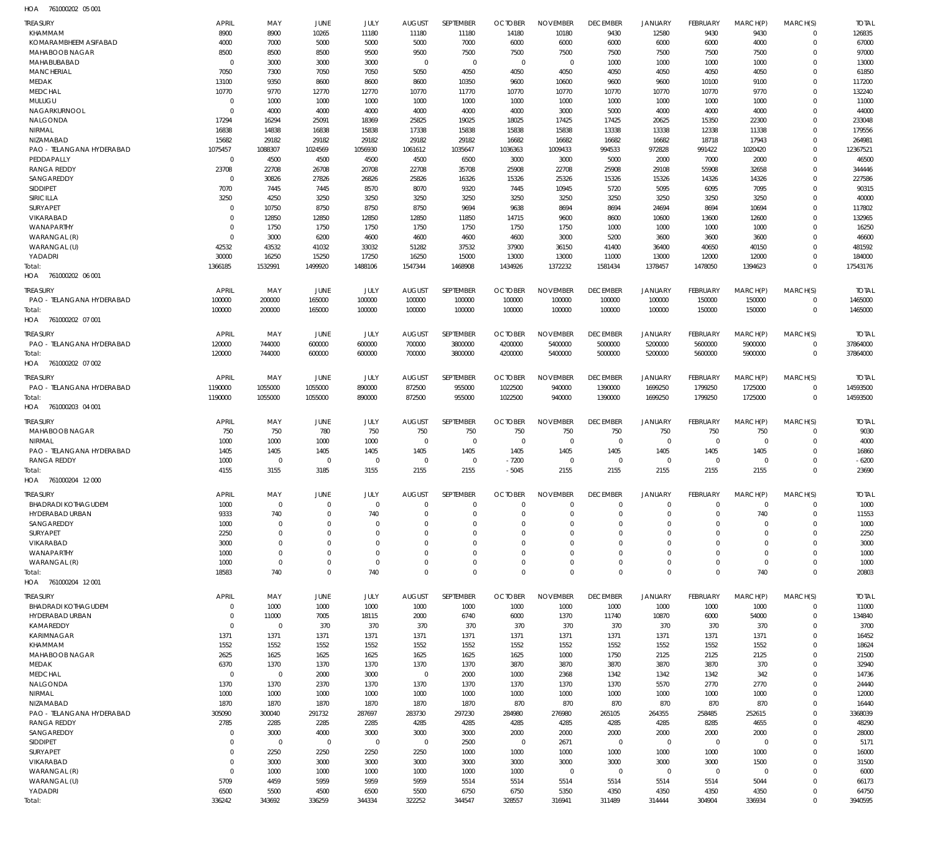761000202 05 001 HOA

| KHAMMAM<br>8900<br>8900<br>10265<br>11180<br>11180<br>14180<br>10180<br>9430<br>12580<br>9430<br>9430<br>126835<br>11180<br>$\mathbf 0$<br>KOMARAMBHEEM ASIFABAD<br>4000<br>7000<br>5000<br>5000<br>5000<br>7000<br>6000<br>6000<br>6000<br>6000<br>6000<br>4000<br>67000<br>$\mathbf 0$<br>MAHABOOB NAGAR<br>8500<br>8500<br>8500<br>9500<br>9500<br>7500<br>7500<br>7500<br>7500<br>97000<br>7500<br>7500<br>7500<br>$\Omega$<br>MAHABUBABAD<br>3000<br>3000<br>3000<br>$\overline{0}$<br>1000<br>1000<br>1000<br>1000<br>13000<br>$\mathbf 0$<br>$\mathbf 0$<br>$\mathbf 0$<br>$\mathbf 0$<br>$\Omega$<br><b>MANCHERIAL</b><br>7050<br>7050<br>7050<br>5050<br>4050<br>4050<br>4050<br>4050<br>4050<br>4050<br>4050<br>61850<br>7300<br>$\Omega$<br>MEDAK<br>13100<br>9350<br>8600<br>8600<br>8600<br>10350<br>9600<br>10600<br>9600<br>9600<br>117200<br>10100<br>9100<br>$\Omega$<br>132240<br><b>MEDCHAL</b><br>10770<br>9770<br>12770<br>12770<br>10770<br>11770<br>10770<br>10770<br>10770<br>10770<br>10770<br>9770<br>$\Omega$<br>MULUGU<br>1000<br>1000<br>1000<br>1000<br>1000<br>11000<br>$\mathbf 0$<br>1000<br>1000<br>1000<br>1000<br>1000<br>1000<br>$\Omega$<br>NAGARKURNOOL<br>4000<br>4000<br>4000<br>4000<br>4000<br>5000<br>4000<br>4000<br>4000<br>44000<br>$\mathbf 0$<br>4000<br>3000<br>$\Omega$<br>NALGONDA<br>17294<br>16294<br>25091<br>18369<br>25825<br>19025<br>18025<br>17425<br>17425<br>20625<br>15350<br>22300<br>233048<br>$\Omega$<br>16838<br>14838<br>16838<br>15838<br>17338<br>15838<br>15838<br>15838<br>13338<br>13338<br>12338<br>11338<br>179556<br>NIRMAL<br>$\Omega$<br>NIZAMABAD<br>15682<br>29182<br>29182<br>29182<br>29182<br>29182<br>16682<br>16682<br>16682<br>16682<br>18718<br>17943<br>264981<br>$\Omega$<br>PAO - TELANGANA HYDERABAD<br>1075457<br>1088307<br>1024569<br>1056930<br>1061612<br>1035647<br>1036363<br>1009433<br>994533<br>972828<br>991422<br>1020420<br>12367521<br>$\Omega$<br>PEDDAPALLY<br>4500<br>4500<br>4500<br>6500<br>2000<br>7000<br>46500<br>$\mathbf{0}$<br>4500<br>3000<br>3000<br>5000<br>2000<br>$\Omega$<br>23708<br>55908<br><b>RANGA REDDY</b><br>22708<br>26708<br>20708<br>22708<br>35708<br>25908<br>22708<br>25908<br>29108<br>32658<br>344446<br>$\Omega$<br>SANGAREDDY<br>27826<br>26826<br>25826<br>25326<br>15326<br>15326<br>14326<br>227586<br>$\mathbf 0$<br>30826<br>16326<br>15326<br>14326<br>$\Omega$<br>SIDDIPET<br>7070<br>7445<br>8570<br>8070<br>9320<br>10945<br>5720<br>5095<br>6095<br>7095<br>90315<br>7445<br>7445<br><b>SIRICILLA</b><br>3250<br>4250<br>3250<br>3250<br>3250<br>3250<br>3250<br>3250<br>3250<br>3250<br>3250<br>3250<br>40000<br>$\Omega$<br><b>SURYAPET</b><br>10750<br>8750<br>8750<br>8750<br>9694<br>9638<br>8694<br>8694<br>117802<br>$\Omega$<br>24694<br>8694<br>10694<br>$\Omega$<br>12850<br>132965<br>VIKARABAD<br>12850<br>12850<br>12850<br>11850<br>14715<br>9600<br>8600<br>13600<br>$\mathbf 0$<br>10600<br>12600<br>$\Omega$<br>WANAPARTHY<br>1750<br>1750<br>1750<br>1750<br>1750<br>1000<br>1000<br>1000<br>1000<br>16250<br>$\mathbf 0$<br>1750<br>1750<br>WARANGAL (R)<br>3000<br>6200<br>4600<br>4600<br>4600<br>3000<br>5200<br>3600<br>3600<br>46600<br>$\Omega$<br>4600<br>3600<br>$\Omega$<br>42532<br>43532<br>41032<br>33032<br>51282<br>37532<br>37900<br>36150<br>41400<br>36400<br>40650<br>40150<br>481592<br>WARANGAL (U)<br>$\Omega$<br>30000<br>16250<br>15250<br>17250<br>16250<br>13000<br>12000<br>12000<br>184000<br>YADADRI<br>15000<br>13000<br>11000<br>13000<br>$\Omega$<br>1366185<br>1532991<br>1499920<br>1488106<br>1547344<br>1468908<br>1434926<br>1372232<br>1581434<br>1378457<br>1478050<br>17543176<br>1394623<br>$\Omega$<br>Total:<br>HOA 761000202 06 001<br><b>APRIL</b><br>MAY<br>JUNE<br>JULY<br><b>AUGUST</b><br>SEPTEMBER<br><b>OCTOBER</b><br><b>NOVEMBER</b><br><b>DECEMBER</b><br><b>JANUARY</b><br>FEBRUARY<br>MARCH(S)<br><b>TREASURY</b><br>MARCH(P)<br><b>TOTAL</b><br>165000<br>100000<br>1465000<br>PAO - TELANGANA HYDERABAD<br>100000<br>200000<br>100000<br>100000<br>100000<br>100000<br>100000<br>100000<br>150000<br>150000<br>$\Omega$<br>100000<br>$\mathbf 0$<br>1465000<br>100000<br>200000<br>165000<br>100000<br>100000<br>100000<br>100000<br>100000<br>100000<br>150000<br>150000<br>Total:<br>HOA 761000202 07 001<br><b>TREASURY</b><br><b>APRIL</b><br>JUNE<br>JULY<br><b>AUGUST</b><br>SEPTEMBER<br><b>OCTOBER</b><br><b>NOVEMBER</b><br><b>DECEMBER</b><br><b>FEBRUARY</b><br>MARCH(P)<br>MARCH(S)<br>MAY<br><b>JANUARY</b><br><b>TOTAI</b><br>PAO - TELANGANA HYDERABAD<br>120000<br>744000<br>600000<br>600000<br>700000<br>3800000<br>4200000<br>5400000<br>5000000<br>5200000<br>5600000<br>5900000<br>$\mathbf 0$<br>37864000<br>120000<br>600000<br>600000<br>700000<br>3800000<br>5000000<br>5200000<br>5600000<br>$\mathbf 0$<br>37864000<br>744000<br>4200000<br>5400000<br>5900000<br>Total:<br>761000202 07 002<br>HOA<br><b>APRIL</b><br>JUNE<br>JULY<br><b>AUGUST</b><br>SEPTEMBER<br><b>OCTOBER</b><br><b>NOVEMBER</b><br><b>DECEMBER</b><br>MARCH(S)<br><b>TREASURY</b><br>MAY<br><b>JANUARY</b><br>FEBRUARY<br>MARCH(P)<br><b>TOTAI</b><br>PAO - TELANGANA HYDERABAD<br>1190000<br>1055000<br>1055000<br>890000<br>872500<br>955000<br>1699250<br>1799250<br>14593500<br>1022500<br>940000<br>1390000<br>1725000<br>$\mathbf 0$<br>14593500<br>1190000<br>1055000<br>1055000<br>890000<br>872500<br>955000<br>1022500<br>940000<br>1390000<br>1699250<br>1799250<br>1725000<br>$\mathbf 0$<br>Total:<br>HOA 761000203 04 001<br>SEPTEMBER<br><b>OCTOBER</b><br><b>NOVEMBER</b><br><b>DECEMBER</b><br><b>TREASURY</b><br><b>APRIL</b><br><b>JUNE</b><br>JULY<br><b>AUGUST</b><br><b>JANUARY</b><br>FEBRUARY<br>MARCH(P)<br>MARCH(S)<br><b>TOTAL</b><br>MAY<br>750<br>750<br>750<br>750<br>750<br>9030<br>MAHABOOB NAGAR<br>750<br>780<br>750<br>750<br>750<br>750<br>750<br>$\mathbf 0$<br>1000<br>1000<br>1000<br>1000<br>$\mathbf 0$<br>4000<br>NIRMAL<br>0<br>$^{\circ}$<br>$\overline{0}$<br>$\mathbf 0$<br>$\mathbf 0$<br>$\mathbf 0$<br>$\mathbf 0$<br>$\Omega$<br>1405<br>1405<br>1405<br>PAO - TELANGANA HYDERABAD<br>1405<br>1405<br>1405<br>1405<br>1405<br>1405<br>1405<br>1405<br>1405<br>16860<br>$\Omega$<br><b>RANGA REDDY</b><br>1000<br>$\mathbf{0}$<br>$\overline{0}$<br>$\mathbf 0$<br>$\mathbf 0$<br>$\mathbf 0$<br>$-7200$<br>$\mathbf 0$<br>$\mathbf 0$<br>$\mathbf 0$<br>$\mathbf 0$<br>$\mathbf 0$<br>$-6200$<br>$\Omega$<br>3155<br>3185<br>3155<br>2155<br>2155<br>2155<br>2155<br>2155<br>4155<br>2155<br>$-5045$<br>2155<br>23690<br>$\Omega$<br>Total:<br>761000204 12 000<br>HOA<br><b>APRIL</b><br><b>NOVEMBER</b><br>TREASURY<br>MAY<br><b>JUNE</b><br>JULY<br><b>AUGUST</b><br><b>SEPTEMBER</b><br><b>OCTOBER</b><br><b>DECEMBER</b><br><b>JANUARY</b><br>FEBRUARY<br>MARCH(P)<br>MARCH(S)<br><b>TOTAL</b><br>1000<br>1000<br><b>BHADRADI KOTHAGUDEM</b><br>$\mathbf 0$<br>$\mathbf 0$<br>$\mathbf 0$<br>$\mathbf 0$<br>0<br>$\Omega$<br>$\Omega$<br>$\mathbf 0$<br>$\mathbf 0$<br>$\mathbf 0$<br>$\mathbf 0$<br>$\Omega$<br>11553<br>9333<br>740<br>740<br>$\mathbf 0$<br>740<br>HYDERABAD URBAN<br>$\overline{0}$<br>$\mathbf 0$<br>$\Omega$<br>$\mathbf 0$<br>$\mathbf 0$<br>$\Omega$<br>$\Omega$<br>$\Omega$<br>SANGAREDDY<br>1000<br>$\mathbf 0$<br>$\mathbf 0$<br>$\Omega$<br>$\mathbf 0$<br>1000<br>$\overline{0}$<br>$\mathbf 0$<br>$\Omega$<br>$\Omega$<br>$\Omega$<br>$\Omega$<br>$\mathbf 0$<br>$\Omega$<br>SURYAPET<br>2250<br>2250<br>$\mathbf 0$<br>$\overline{0}$<br>$\Omega$<br>$\mathbf 0$<br>$\Omega$<br>$\mathbf 0$<br>$\mathbf 0$<br>$\Omega$<br>$\Omega$<br>$\Omega$<br>$\Omega$<br>$\Omega$<br>VIKARABAD<br>3000<br>$\mathbf 0$<br>$\Omega$<br>3000<br>$\overline{0}$<br>$\Omega$<br>$\Omega$<br>$\mathbf 0$<br>$\Omega$<br>$\mathbf 0$<br>$\Omega$<br>$\Omega$<br>$\Omega$<br>$\Omega$<br>WANAPARTHY<br>1000<br>$\mathbf 0$<br>$\Omega$<br>$\mathbf 0$<br>$\Omega$<br>1000<br>$\overline{0}$<br>$\Omega$<br>$\Omega$<br>$\mathbf 0$<br>$\Omega$<br>$\mathbf 0$<br>$\Omega$<br>$\Omega$<br>1000<br>$\mathbf 0$<br>$\mathbf 0$<br>$\mathbf 0$<br>$\mathbf 0$<br>$\mathbf 0$<br>$\mathbf 0$<br>$\mathbf 0$<br>$\mathbf 0$<br>$\mathbf 0$<br>WARANGAL (R)<br>$\Omega$<br>$\mathbf 0$<br>$\mathbf 0$<br>1000<br>740<br>740<br>$\mathbf{0}$<br>740<br>18583<br>$\mathbf 0$<br>$\Omega$<br>$\mathbf 0$<br>$\Omega$<br>$\Omega$<br>$\mathbf 0$<br>$\Omega$<br>$\Omega$<br>20803<br>Total:<br>HOA 761000204 12 001<br>APRIL<br>SEPTEMBER<br><b>NOVEMBER</b><br><b>DECEMBER</b><br><b>TREASURY</b><br><b>JUNE</b><br>JULY<br><b>AUGUST</b><br><b>OCTOBER</b><br><b>JANUARY</b><br>FEBRUARY<br>MARCH(P)<br>MARCH(S)<br><b>TOTAL</b><br>MAY<br>1000<br><b>BHADRADI KOTHAGUDEM</b><br>1000<br>1000<br>1000<br>1000<br>1000<br>1000<br>1000<br>1000<br>1000<br>11000<br>$\mathbf 0$<br>1000<br>$\mathbf 0$<br>HYDERABAD URBAN<br>7005<br>18115<br>6000<br>1370<br>11740<br>10870<br>6000<br>54000<br>134840<br>$\mathbf 0$<br>11000<br>2000<br>6740<br>$\mathbf 0$<br>KAMAREDDY<br>$\mathbf 0$<br>$\mathbf 0$<br>370<br>370<br>370<br>370<br>370<br>370<br>370<br>370<br>370<br>370<br>3700<br>$\Omega$<br><b>KARIMNAGAR</b><br>1371<br>1371<br>1371<br>1371<br>1371<br>1371<br>1371<br>1371<br>1371<br>1371<br>1371<br>16452<br>1371<br>$\Omega$<br>1552<br>1552<br>1552<br>1552<br>1552<br>1552<br>1552<br>1552<br>1552<br>1552<br>1552<br>1552<br>18624<br>KHAMMAM<br>$\Omega$<br>MAHABOOB NAGAR<br>2625<br>1625<br>1625<br>1625<br>1625<br>1625<br>1625<br>1000<br>1750<br>2125<br>2125<br>2125<br>21500<br>$\Omega$<br>MEDAK<br>6370<br>1370<br>1370<br>1370<br>1370<br>1370<br>3870<br>3870<br>3870<br>3870<br>3870<br>370<br>32940<br>$\Omega$<br><b>MEDCHAL</b><br>$\overline{0}$<br>2000<br>3000<br>1000<br>1342<br>1342<br>1342<br>342<br>14736<br>$\mathbf{0}$<br>$\overline{0}$<br>2000<br>2368<br>$\Omega$<br>1370<br>NALGONDA<br>1370<br>2370<br>1370<br>1370<br>1370<br>1370<br>1370<br>1370<br>5570<br>2770<br>2770<br>24440<br>$\Omega$<br>1000<br>1000<br>1000<br>1000<br>1000<br>1000<br>1000<br>1000<br>1000<br>1000<br>12000<br>NIRMAL<br>1000<br>1000<br>$\Omega$<br>1870<br>NIZAMABAD<br>1870<br>1870<br>1870<br>1870<br>1870<br>870<br>870<br>870<br>870<br>870<br>870<br>16440<br>$\Omega$<br>305090<br>300040<br>291732<br>287697<br>283730<br>284980<br>276980<br>265105<br>264355<br>258485<br>252615<br>3368039<br>PAO - TELANGANA HYDERABAD<br>297230<br>$\Omega$<br><b>RANGA REDDY</b><br>2785<br>2285<br>2285<br>2285<br>4285<br>4285<br>4285<br>4285<br>4285<br>8285<br>4655<br>48290<br>4285<br>$\Omega$<br>SANGAREDDY<br>3000<br>4000<br>3000<br>3000<br>2000<br>2000<br>2000<br>2000<br>2000<br>2000<br>28000<br>$\mathbf 0$<br>3000<br>$\Omega$<br>SIDDIPET<br>5171<br>$\mathbf 0$<br>$\overline{0}$<br>$\overline{0}$<br>$\mathbf 0$<br>$\mathbf 0$<br>2500<br>$\overline{0}$<br>2671<br>$\mathbf 0$<br>$\mathbf 0$<br>$\mathbf 0$<br>$\mathbf 0$<br>$\Omega$<br>2250<br>2250<br>2250<br><b>SURYAPET</b><br>2250<br>1000<br>1000<br>1000<br>1000<br>1000<br>1000<br>16000<br>$\Omega$<br>1000<br>$\Omega$<br>VIKARABAD<br>3000<br>3000<br>3000<br>3000<br>3000<br>3000<br>3000<br>3000<br>1500<br>31500<br>$\mathbf 0$<br>3000<br>3000<br>$\Omega$<br>WARANGAL (R)<br>1000<br>1000<br>1000<br>6000<br>$\mathbf 0$<br>1000<br>1000<br>1000<br>$\mathbf 0$<br>$\mathbf 0$<br>$\mathbf 0$<br>$\mathbf 0$<br>$\mathbf 0$<br>$\Omega$<br>WARANGAL (U)<br>5709<br>4459<br>5959<br>5959<br>5959<br>5514<br>5514<br>5514<br>5514<br>5514<br>5514<br>5044<br>66173<br>$\Omega$<br>YADADRI<br>6500<br>4500<br>6500<br>5500<br>5350<br>4350<br>4350<br>4350<br>4350<br>64750<br>5500<br>6750<br>6750<br>$\Omega$<br>336242<br>343692<br>336259<br>344334<br>322252<br>344547<br>328557<br>311489<br>304904<br>336934<br>3940595<br>316941<br>314444<br>$\Omega$<br>Total: | TREASURY | <b>APRIL</b> | MAY | JUNE | JULY | <b>AUGUST</b> | SEPTEMBER | <b>OCTOBER</b> | <b>NOVEMBER</b> | <b>DECEMBER</b> | <b>JANUARY</b> | FEBRUARY | MARCH(P) | MARCH(S) | <b>TOTAL</b> |
|-----------------------------------------------------------------------------------------------------------------------------------------------------------------------------------------------------------------------------------------------------------------------------------------------------------------------------------------------------------------------------------------------------------------------------------------------------------------------------------------------------------------------------------------------------------------------------------------------------------------------------------------------------------------------------------------------------------------------------------------------------------------------------------------------------------------------------------------------------------------------------------------------------------------------------------------------------------------------------------------------------------------------------------------------------------------------------------------------------------------------------------------------------------------------------------------------------------------------------------------------------------------------------------------------------------------------------------------------------------------------------------------------------------------------------------------------------------------------------------------------------------------------------------------------------------------------------------------------------------------------------------------------------------------------------------------------------------------------------------------------------------------------------------------------------------------------------------------------------------------------------------------------------------------------------------------------------------------------------------------------------------------------------------------------------------------------------------------------------------------------------------------------------------------------------------------------------------------------------------------------------------------------------------------------------------------------------------------------------------------------------------------------------------------------------------------------------------------------------------------------------------------------------------------------------------------------------------------------------------------------------------------------------------------------------------------------------------------------------------------------------------------------------------------------------------------------------------------------------------------------------------------------------------------------------------------------------------------------------------------------------------------------------------------------------------------------------------------------------------------------------------------------------------------------------------------------------------------------------------------------------------------------------------------------------------------------------------------------------------------------------------------------------------------------------------------------------------------------------------------------------------------------------------------------------------------------------------------------------------------------------------------------------------------------------------------------------------------------------------------------------------------------------------------------------------------------------------------------------------------------------------------------------------------------------------------------------------------------------------------------------------------------------------------------------------------------------------------------------------------------------------------------------------------------------------------------------------------------------------------------------------------------------------------------------------------------------------------------------------------------------------------------------------------------------------------------------------------------------------------------------------------------------------------------------------------------------------------------------------------------------------------------------------------------------------------------------------------------------------------------------------------------------------------------------------------------------------------------------------------------------------------------------------------------------------------------------------------------------------------------------------------------------------------------------------------------------------------------------------------------------------------------------------------------------------------------------------------------------------------------------------------------------------------------------------------------------------------------------------------------------------------------------------------------------------------------------------------------------------------------------------------------------------------------------------------------------------------------------------------------------------------------------------------------------------------------------------------------------------------------------------------------------------------------------------------------------------------------------------------------------------------------------------------------------------------------------------------------------------------------------------------------------------------------------------------------------------------------------------------------------------------------------------------------------------------------------------------------------------------------------------------------------------------------------------------------------------------------------------------------------------------------------------------------------------------------------------------------------------------------------------------------------------------------------------------------------------------------------------------------------------------------------------------------------------------------------------------------------------------------------------------------------------------------------------------------------------------------------------------------------------------------------------------------------------------------------------------------------------------------------------------------------------------------------------------------------------------------------------------------------------------------------------------------------------------------------------------------------------------------------------------------------------------------------------------------------------------------------------------------------------------------------------------------------------------------------------------------------------------------------------------------------------------------------------------------------------------------------------------------------------------------------------------------------------------------------------------------------------------------------------------------------------------------------------------------------------------------------------------------------------------------------------------------------------------------------------------------------------------------------------------------------------------------------------------------------------------------------------------------------------------------------------------------------------------------------------------------------------------------------------------------------------------------------------------------------------------------------------------------------------------------------------------------------------------------------------------------------------------------------------------------------------------------------------------------------------------------------------------------------------------------------------------------------------------------------------------------------------------------------------------------------------------------------------------------------------------------------------------------------------------------------------------------------------------------------------------------------------------------------------------------------------------------------------------------------------------------------------------------------------------------------------------------------------------------------------------------------------------------------------------------------------------------------------------------------------------------------------------------------------------------------------------------------------------------------------------------------------------------------------------------------------------------------------------------------------------------------------------------------------------------------------------------------------------------------------------------------------------------------------------------------------------------------------------------------------------------------------------------------------------------------------------------------------------------------------------------------------------------------------------------------------------------------------------------------------------------------------------------------------------------------------------------------------------------------------------------------------------------------------------------------------------------------------------------------------------------------------------------------------------------------------------------------------------------------------------------------------------------------------------------------------------------------------------------------------------------------------------------------------------------------------------------------------------------------------------------------------------------------------------------------------------------------------------------------------------------------------------------------------------------------------------------------------------------------------------------------------------------------------------------------------------------------------------------------------------------------------------------------------------------------------------------------------------------------------------------------------------------------------------------------------------------------------------------------------------------------------------------------------------------------------------------------------------------------------------------------------------------------------------------------------------------------------------------------------------------------------------------------------------------------------------------------------------------------------------------------------------------------------------------------------------------------------------------------------------------------------------------------------------------|----------|--------------|-----|------|------|---------------|-----------|----------------|-----------------|-----------------|----------------|----------|----------|----------|--------------|
|                                                                                                                                                                                                                                                                                                                                                                                                                                                                                                                                                                                                                                                                                                                                                                                                                                                                                                                                                                                                                                                                                                                                                                                                                                                                                                                                                                                                                                                                                                                                                                                                                                                                                                                                                                                                                                                                                                                                                                                                                                                                                                                                                                                                                                                                                                                                                                                                                                                                                                                                                                                                                                                                                                                                                                                                                                                                                                                                                                                                                                                                                                                                                                                                                                                                                                                                                                                                                                                                                                                                                                                                                                                                                                                                                                                                                                                                                                                                                                                                                                                                                                                                                                                                                                                                                                                                                                                                                                                                                                                                                                                                                                                                                                                                                                                                                                                                                                                                                                                                                                                                                                                                                                                                                                                                                                                                                                                                                                                                                                                                                                                                                                                                                                                                                                                                                                                                                                                                                                                                                                                                                                                                                                                                                                                                                                                                                                                                                                                                                                                                                                                                                                                                                                                                                                                                                                                                                                                                                                                                                                                                                                                                                                                                                                                                                                                                                                                                                                                                                                                                                                                                                                                                                                                                                                                                                                                                                                                                                                                                                                                                                                                                                                                                                                                                                                                                                                                                                                                                                                                                                                                                                                                                                                                                                                                                                                                                                                                                                                                                                                                                                                                                                                                                                                                                                                                                                                                                                                                                                                                                                                                                                                                                                                                                                                                                                                                                                                                                                                                                                                                                                                                                                                                                                                                                                                                                                                                                                                                                                                                                                                                                                                                                                                                                                                                                                                                                                                                                                                                                                                                                                                                                                                                                                                                                                                                                                                                                                                                                                                                                                                                                                                                                                                                                                                                                                                                                                               |          |              |     |      |      |               |           |                |                 |                 |                |          |          |          |              |
|                                                                                                                                                                                                                                                                                                                                                                                                                                                                                                                                                                                                                                                                                                                                                                                                                                                                                                                                                                                                                                                                                                                                                                                                                                                                                                                                                                                                                                                                                                                                                                                                                                                                                                                                                                                                                                                                                                                                                                                                                                                                                                                                                                                                                                                                                                                                                                                                                                                                                                                                                                                                                                                                                                                                                                                                                                                                                                                                                                                                                                                                                                                                                                                                                                                                                                                                                                                                                                                                                                                                                                                                                                                                                                                                                                                                                                                                                                                                                                                                                                                                                                                                                                                                                                                                                                                                                                                                                                                                                                                                                                                                                                                                                                                                                                                                                                                                                                                                                                                                                                                                                                                                                                                                                                                                                                                                                                                                                                                                                                                                                                                                                                                                                                                                                                                                                                                                                                                                                                                                                                                                                                                                                                                                                                                                                                                                                                                                                                                                                                                                                                                                                                                                                                                                                                                                                                                                                                                                                                                                                                                                                                                                                                                                                                                                                                                                                                                                                                                                                                                                                                                                                                                                                                                                                                                                                                                                                                                                                                                                                                                                                                                                                                                                                                                                                                                                                                                                                                                                                                                                                                                                                                                                                                                                                                                                                                                                                                                                                                                                                                                                                                                                                                                                                                                                                                                                                                                                                                                                                                                                                                                                                                                                                                                                                                                                                                                                                                                                                                                                                                                                                                                                                                                                                                                                                                                                                                                                                                                                                                                                                                                                                                                                                                                                                                                                                                                                                                                                                                                                                                                                                                                                                                                                                                                                                                                                                                                                                                                                                                                                                                                                                                                                                                                                                                                                                                                                                               |          |              |     |      |      |               |           |                |                 |                 |                |          |          |          |              |
|                                                                                                                                                                                                                                                                                                                                                                                                                                                                                                                                                                                                                                                                                                                                                                                                                                                                                                                                                                                                                                                                                                                                                                                                                                                                                                                                                                                                                                                                                                                                                                                                                                                                                                                                                                                                                                                                                                                                                                                                                                                                                                                                                                                                                                                                                                                                                                                                                                                                                                                                                                                                                                                                                                                                                                                                                                                                                                                                                                                                                                                                                                                                                                                                                                                                                                                                                                                                                                                                                                                                                                                                                                                                                                                                                                                                                                                                                                                                                                                                                                                                                                                                                                                                                                                                                                                                                                                                                                                                                                                                                                                                                                                                                                                                                                                                                                                                                                                                                                                                                                                                                                                                                                                                                                                                                                                                                                                                                                                                                                                                                                                                                                                                                                                                                                                                                                                                                                                                                                                                                                                                                                                                                                                                                                                                                                                                                                                                                                                                                                                                                                                                                                                                                                                                                                                                                                                                                                                                                                                                                                                                                                                                                                                                                                                                                                                                                                                                                                                                                                                                                                                                                                                                                                                                                                                                                                                                                                                                                                                                                                                                                                                                                                                                                                                                                                                                                                                                                                                                                                                                                                                                                                                                                                                                                                                                                                                                                                                                                                                                                                                                                                                                                                                                                                                                                                                                                                                                                                                                                                                                                                                                                                                                                                                                                                                                                                                                                                                                                                                                                                                                                                                                                                                                                                                                                                                                                                                                                                                                                                                                                                                                                                                                                                                                                                                                                                                                                                                                                                                                                                                                                                                                                                                                                                                                                                                                                                                                                                                                                                                                                                                                                                                                                                                                                                                                                                                                                               |          |              |     |      |      |               |           |                |                 |                 |                |          |          |          |              |
|                                                                                                                                                                                                                                                                                                                                                                                                                                                                                                                                                                                                                                                                                                                                                                                                                                                                                                                                                                                                                                                                                                                                                                                                                                                                                                                                                                                                                                                                                                                                                                                                                                                                                                                                                                                                                                                                                                                                                                                                                                                                                                                                                                                                                                                                                                                                                                                                                                                                                                                                                                                                                                                                                                                                                                                                                                                                                                                                                                                                                                                                                                                                                                                                                                                                                                                                                                                                                                                                                                                                                                                                                                                                                                                                                                                                                                                                                                                                                                                                                                                                                                                                                                                                                                                                                                                                                                                                                                                                                                                                                                                                                                                                                                                                                                                                                                                                                                                                                                                                                                                                                                                                                                                                                                                                                                                                                                                                                                                                                                                                                                                                                                                                                                                                                                                                                                                                                                                                                                                                                                                                                                                                                                                                                                                                                                                                                                                                                                                                                                                                                                                                                                                                                                                                                                                                                                                                                                                                                                                                                                                                                                                                                                                                                                                                                                                                                                                                                                                                                                                                                                                                                                                                                                                                                                                                                                                                                                                                                                                                                                                                                                                                                                                                                                                                                                                                                                                                                                                                                                                                                                                                                                                                                                                                                                                                                                                                                                                                                                                                                                                                                                                                                                                                                                                                                                                                                                                                                                                                                                                                                                                                                                                                                                                                                                                                                                                                                                                                                                                                                                                                                                                                                                                                                                                                                                                                                                                                                                                                                                                                                                                                                                                                                                                                                                                                                                                                                                                                                                                                                                                                                                                                                                                                                                                                                                                                                                                                                                                                                                                                                                                                                                                                                                                                                                                                                                                                                               |          |              |     |      |      |               |           |                |                 |                 |                |          |          |          |              |
|                                                                                                                                                                                                                                                                                                                                                                                                                                                                                                                                                                                                                                                                                                                                                                                                                                                                                                                                                                                                                                                                                                                                                                                                                                                                                                                                                                                                                                                                                                                                                                                                                                                                                                                                                                                                                                                                                                                                                                                                                                                                                                                                                                                                                                                                                                                                                                                                                                                                                                                                                                                                                                                                                                                                                                                                                                                                                                                                                                                                                                                                                                                                                                                                                                                                                                                                                                                                                                                                                                                                                                                                                                                                                                                                                                                                                                                                                                                                                                                                                                                                                                                                                                                                                                                                                                                                                                                                                                                                                                                                                                                                                                                                                                                                                                                                                                                                                                                                                                                                                                                                                                                                                                                                                                                                                                                                                                                                                                                                                                                                                                                                                                                                                                                                                                                                                                                                                                                                                                                                                                                                                                                                                                                                                                                                                                                                                                                                                                                                                                                                                                                                                                                                                                                                                                                                                                                                                                                                                                                                                                                                                                                                                                                                                                                                                                                                                                                                                                                                                                                                                                                                                                                                                                                                                                                                                                                                                                                                                                                                                                                                                                                                                                                                                                                                                                                                                                                                                                                                                                                                                                                                                                                                                                                                                                                                                                                                                                                                                                                                                                                                                                                                                                                                                                                                                                                                                                                                                                                                                                                                                                                                                                                                                                                                                                                                                                                                                                                                                                                                                                                                                                                                                                                                                                                                                                                                                                                                                                                                                                                                                                                                                                                                                                                                                                                                                                                                                                                                                                                                                                                                                                                                                                                                                                                                                                                                                                                                                                                                                                                                                                                                                                                                                                                                                                                                                                                                                               |          |              |     |      |      |               |           |                |                 |                 |                |          |          |          |              |
|                                                                                                                                                                                                                                                                                                                                                                                                                                                                                                                                                                                                                                                                                                                                                                                                                                                                                                                                                                                                                                                                                                                                                                                                                                                                                                                                                                                                                                                                                                                                                                                                                                                                                                                                                                                                                                                                                                                                                                                                                                                                                                                                                                                                                                                                                                                                                                                                                                                                                                                                                                                                                                                                                                                                                                                                                                                                                                                                                                                                                                                                                                                                                                                                                                                                                                                                                                                                                                                                                                                                                                                                                                                                                                                                                                                                                                                                                                                                                                                                                                                                                                                                                                                                                                                                                                                                                                                                                                                                                                                                                                                                                                                                                                                                                                                                                                                                                                                                                                                                                                                                                                                                                                                                                                                                                                                                                                                                                                                                                                                                                                                                                                                                                                                                                                                                                                                                                                                                                                                                                                                                                                                                                                                                                                                                                                                                                                                                                                                                                                                                                                                                                                                                                                                                                                                                                                                                                                                                                                                                                                                                                                                                                                                                                                                                                                                                                                                                                                                                                                                                                                                                                                                                                                                                                                                                                                                                                                                                                                                                                                                                                                                                                                                                                                                                                                                                                                                                                                                                                                                                                                                                                                                                                                                                                                                                                                                                                                                                                                                                                                                                                                                                                                                                                                                                                                                                                                                                                                                                                                                                                                                                                                                                                                                                                                                                                                                                                                                                                                                                                                                                                                                                                                                                                                                                                                                                                                                                                                                                                                                                                                                                                                                                                                                                                                                                                                                                                                                                                                                                                                                                                                                                                                                                                                                                                                                                                                                                                                                                                                                                                                                                                                                                                                                                                                                                                                                                                               |          |              |     |      |      |               |           |                |                 |                 |                |          |          |          |              |
|                                                                                                                                                                                                                                                                                                                                                                                                                                                                                                                                                                                                                                                                                                                                                                                                                                                                                                                                                                                                                                                                                                                                                                                                                                                                                                                                                                                                                                                                                                                                                                                                                                                                                                                                                                                                                                                                                                                                                                                                                                                                                                                                                                                                                                                                                                                                                                                                                                                                                                                                                                                                                                                                                                                                                                                                                                                                                                                                                                                                                                                                                                                                                                                                                                                                                                                                                                                                                                                                                                                                                                                                                                                                                                                                                                                                                                                                                                                                                                                                                                                                                                                                                                                                                                                                                                                                                                                                                                                                                                                                                                                                                                                                                                                                                                                                                                                                                                                                                                                                                                                                                                                                                                                                                                                                                                                                                                                                                                                                                                                                                                                                                                                                                                                                                                                                                                                                                                                                                                                                                                                                                                                                                                                                                                                                                                                                                                                                                                                                                                                                                                                                                                                                                                                                                                                                                                                                                                                                                                                                                                                                                                                                                                                                                                                                                                                                                                                                                                                                                                                                                                                                                                                                                                                                                                                                                                                                                                                                                                                                                                                                                                                                                                                                                                                                                                                                                                                                                                                                                                                                                                                                                                                                                                                                                                                                                                                                                                                                                                                                                                                                                                                                                                                                                                                                                                                                                                                                                                                                                                                                                                                                                                                                                                                                                                                                                                                                                                                                                                                                                                                                                                                                                                                                                                                                                                                                                                                                                                                                                                                                                                                                                                                                                                                                                                                                                                                                                                                                                                                                                                                                                                                                                                                                                                                                                                                                                                                                                                                                                                                                                                                                                                                                                                                                                                                                                                                                                               |          |              |     |      |      |               |           |                |                 |                 |                |          |          |          |              |
|                                                                                                                                                                                                                                                                                                                                                                                                                                                                                                                                                                                                                                                                                                                                                                                                                                                                                                                                                                                                                                                                                                                                                                                                                                                                                                                                                                                                                                                                                                                                                                                                                                                                                                                                                                                                                                                                                                                                                                                                                                                                                                                                                                                                                                                                                                                                                                                                                                                                                                                                                                                                                                                                                                                                                                                                                                                                                                                                                                                                                                                                                                                                                                                                                                                                                                                                                                                                                                                                                                                                                                                                                                                                                                                                                                                                                                                                                                                                                                                                                                                                                                                                                                                                                                                                                                                                                                                                                                                                                                                                                                                                                                                                                                                                                                                                                                                                                                                                                                                                                                                                                                                                                                                                                                                                                                                                                                                                                                                                                                                                                                                                                                                                                                                                                                                                                                                                                                                                                                                                                                                                                                                                                                                                                                                                                                                                                                                                                                                                                                                                                                                                                                                                                                                                                                                                                                                                                                                                                                                                                                                                                                                                                                                                                                                                                                                                                                                                                                                                                                                                                                                                                                                                                                                                                                                                                                                                                                                                                                                                                                                                                                                                                                                                                                                                                                                                                                                                                                                                                                                                                                                                                                                                                                                                                                                                                                                                                                                                                                                                                                                                                                                                                                                                                                                                                                                                                                                                                                                                                                                                                                                                                                                                                                                                                                                                                                                                                                                                                                                                                                                                                                                                                                                                                                                                                                                                                                                                                                                                                                                                                                                                                                                                                                                                                                                                                                                                                                                                                                                                                                                                                                                                                                                                                                                                                                                                                                                                                                                                                                                                                                                                                                                                                                                                                                                                                                                                                               |          |              |     |      |      |               |           |                |                 |                 |                |          |          |          |              |
|                                                                                                                                                                                                                                                                                                                                                                                                                                                                                                                                                                                                                                                                                                                                                                                                                                                                                                                                                                                                                                                                                                                                                                                                                                                                                                                                                                                                                                                                                                                                                                                                                                                                                                                                                                                                                                                                                                                                                                                                                                                                                                                                                                                                                                                                                                                                                                                                                                                                                                                                                                                                                                                                                                                                                                                                                                                                                                                                                                                                                                                                                                                                                                                                                                                                                                                                                                                                                                                                                                                                                                                                                                                                                                                                                                                                                                                                                                                                                                                                                                                                                                                                                                                                                                                                                                                                                                                                                                                                                                                                                                                                                                                                                                                                                                                                                                                                                                                                                                                                                                                                                                                                                                                                                                                                                                                                                                                                                                                                                                                                                                                                                                                                                                                                                                                                                                                                                                                                                                                                                                                                                                                                                                                                                                                                                                                                                                                                                                                                                                                                                                                                                                                                                                                                                                                                                                                                                                                                                                                                                                                                                                                                                                                                                                                                                                                                                                                                                                                                                                                                                                                                                                                                                                                                                                                                                                                                                                                                                                                                                                                                                                                                                                                                                                                                                                                                                                                                                                                                                                                                                                                                                                                                                                                                                                                                                                                                                                                                                                                                                                                                                                                                                                                                                                                                                                                                                                                                                                                                                                                                                                                                                                                                                                                                                                                                                                                                                                                                                                                                                                                                                                                                                                                                                                                                                                                                                                                                                                                                                                                                                                                                                                                                                                                                                                                                                                                                                                                                                                                                                                                                                                                                                                                                                                                                                                                                                                                                                                                                                                                                                                                                                                                                                                                                                                                                                                                                                               |          |              |     |      |      |               |           |                |                 |                 |                |          |          |          |              |
|                                                                                                                                                                                                                                                                                                                                                                                                                                                                                                                                                                                                                                                                                                                                                                                                                                                                                                                                                                                                                                                                                                                                                                                                                                                                                                                                                                                                                                                                                                                                                                                                                                                                                                                                                                                                                                                                                                                                                                                                                                                                                                                                                                                                                                                                                                                                                                                                                                                                                                                                                                                                                                                                                                                                                                                                                                                                                                                                                                                                                                                                                                                                                                                                                                                                                                                                                                                                                                                                                                                                                                                                                                                                                                                                                                                                                                                                                                                                                                                                                                                                                                                                                                                                                                                                                                                                                                                                                                                                                                                                                                                                                                                                                                                                                                                                                                                                                                                                                                                                                                                                                                                                                                                                                                                                                                                                                                                                                                                                                                                                                                                                                                                                                                                                                                                                                                                                                                                                                                                                                                                                                                                                                                                                                                                                                                                                                                                                                                                                                                                                                                                                                                                                                                                                                                                                                                                                                                                                                                                                                                                                                                                                                                                                                                                                                                                                                                                                                                                                                                                                                                                                                                                                                                                                                                                                                                                                                                                                                                                                                                                                                                                                                                                                                                                                                                                                                                                                                                                                                                                                                                                                                                                                                                                                                                                                                                                                                                                                                                                                                                                                                                                                                                                                                                                                                                                                                                                                                                                                                                                                                                                                                                                                                                                                                                                                                                                                                                                                                                                                                                                                                                                                                                                                                                                                                                                                                                                                                                                                                                                                                                                                                                                                                                                                                                                                                                                                                                                                                                                                                                                                                                                                                                                                                                                                                                                                                                                                                                                                                                                                                                                                                                                                                                                                                                                                                                                                                               |          |              |     |      |      |               |           |                |                 |                 |                |          |          |          |              |
|                                                                                                                                                                                                                                                                                                                                                                                                                                                                                                                                                                                                                                                                                                                                                                                                                                                                                                                                                                                                                                                                                                                                                                                                                                                                                                                                                                                                                                                                                                                                                                                                                                                                                                                                                                                                                                                                                                                                                                                                                                                                                                                                                                                                                                                                                                                                                                                                                                                                                                                                                                                                                                                                                                                                                                                                                                                                                                                                                                                                                                                                                                                                                                                                                                                                                                                                                                                                                                                                                                                                                                                                                                                                                                                                                                                                                                                                                                                                                                                                                                                                                                                                                                                                                                                                                                                                                                                                                                                                                                                                                                                                                                                                                                                                                                                                                                                                                                                                                                                                                                                                                                                                                                                                                                                                                                                                                                                                                                                                                                                                                                                                                                                                                                                                                                                                                                                                                                                                                                                                                                                                                                                                                                                                                                                                                                                                                                                                                                                                                                                                                                                                                                                                                                                                                                                                                                                                                                                                                                                                                                                                                                                                                                                                                                                                                                                                                                                                                                                                                                                                                                                                                                                                                                                                                                                                                                                                                                                                                                                                                                                                                                                                                                                                                                                                                                                                                                                                                                                                                                                                                                                                                                                                                                                                                                                                                                                                                                                                                                                                                                                                                                                                                                                                                                                                                                                                                                                                                                                                                                                                                                                                                                                                                                                                                                                                                                                                                                                                                                                                                                                                                                                                                                                                                                                                                                                                                                                                                                                                                                                                                                                                                                                                                                                                                                                                                                                                                                                                                                                                                                                                                                                                                                                                                                                                                                                                                                                                                                                                                                                                                                                                                                                                                                                                                                                                                                                                                               |          |              |     |      |      |               |           |                |                 |                 |                |          |          |          |              |
|                                                                                                                                                                                                                                                                                                                                                                                                                                                                                                                                                                                                                                                                                                                                                                                                                                                                                                                                                                                                                                                                                                                                                                                                                                                                                                                                                                                                                                                                                                                                                                                                                                                                                                                                                                                                                                                                                                                                                                                                                                                                                                                                                                                                                                                                                                                                                                                                                                                                                                                                                                                                                                                                                                                                                                                                                                                                                                                                                                                                                                                                                                                                                                                                                                                                                                                                                                                                                                                                                                                                                                                                                                                                                                                                                                                                                                                                                                                                                                                                                                                                                                                                                                                                                                                                                                                                                                                                                                                                                                                                                                                                                                                                                                                                                                                                                                                                                                                                                                                                                                                                                                                                                                                                                                                                                                                                                                                                                                                                                                                                                                                                                                                                                                                                                                                                                                                                                                                                                                                                                                                                                                                                                                                                                                                                                                                                                                                                                                                                                                                                                                                                                                                                                                                                                                                                                                                                                                                                                                                                                                                                                                                                                                                                                                                                                                                                                                                                                                                                                                                                                                                                                                                                                                                                                                                                                                                                                                                                                                                                                                                                                                                                                                                                                                                                                                                                                                                                                                                                                                                                                                                                                                                                                                                                                                                                                                                                                                                                                                                                                                                                                                                                                                                                                                                                                                                                                                                                                                                                                                                                                                                                                                                                                                                                                                                                                                                                                                                                                                                                                                                                                                                                                                                                                                                                                                                                                                                                                                                                                                                                                                                                                                                                                                                                                                                                                                                                                                                                                                                                                                                                                                                                                                                                                                                                                                                                                                                                                                                                                                                                                                                                                                                                                                                                                                                                                                                                                               |          |              |     |      |      |               |           |                |                 |                 |                |          |          |          |              |
|                                                                                                                                                                                                                                                                                                                                                                                                                                                                                                                                                                                                                                                                                                                                                                                                                                                                                                                                                                                                                                                                                                                                                                                                                                                                                                                                                                                                                                                                                                                                                                                                                                                                                                                                                                                                                                                                                                                                                                                                                                                                                                                                                                                                                                                                                                                                                                                                                                                                                                                                                                                                                                                                                                                                                                                                                                                                                                                                                                                                                                                                                                                                                                                                                                                                                                                                                                                                                                                                                                                                                                                                                                                                                                                                                                                                                                                                                                                                                                                                                                                                                                                                                                                                                                                                                                                                                                                                                                                                                                                                                                                                                                                                                                                                                                                                                                                                                                                                                                                                                                                                                                                                                                                                                                                                                                                                                                                                                                                                                                                                                                                                                                                                                                                                                                                                                                                                                                                                                                                                                                                                                                                                                                                                                                                                                                                                                                                                                                                                                                                                                                                                                                                                                                                                                                                                                                                                                                                                                                                                                                                                                                                                                                                                                                                                                                                                                                                                                                                                                                                                                                                                                                                                                                                                                                                                                                                                                                                                                                                                                                                                                                                                                                                                                                                                                                                                                                                                                                                                                                                                                                                                                                                                                                                                                                                                                                                                                                                                                                                                                                                                                                                                                                                                                                                                                                                                                                                                                                                                                                                                                                                                                                                                                                                                                                                                                                                                                                                                                                                                                                                                                                                                                                                                                                                                                                                                                                                                                                                                                                                                                                                                                                                                                                                                                                                                                                                                                                                                                                                                                                                                                                                                                                                                                                                                                                                                                                                                                                                                                                                                                                                                                                                                                                                                                                                                                                                                                               |          |              |     |      |      |               |           |                |                 |                 |                |          |          |          |              |
|                                                                                                                                                                                                                                                                                                                                                                                                                                                                                                                                                                                                                                                                                                                                                                                                                                                                                                                                                                                                                                                                                                                                                                                                                                                                                                                                                                                                                                                                                                                                                                                                                                                                                                                                                                                                                                                                                                                                                                                                                                                                                                                                                                                                                                                                                                                                                                                                                                                                                                                                                                                                                                                                                                                                                                                                                                                                                                                                                                                                                                                                                                                                                                                                                                                                                                                                                                                                                                                                                                                                                                                                                                                                                                                                                                                                                                                                                                                                                                                                                                                                                                                                                                                                                                                                                                                                                                                                                                                                                                                                                                                                                                                                                                                                                                                                                                                                                                                                                                                                                                                                                                                                                                                                                                                                                                                                                                                                                                                                                                                                                                                                                                                                                                                                                                                                                                                                                                                                                                                                                                                                                                                                                                                                                                                                                                                                                                                                                                                                                                                                                                                                                                                                                                                                                                                                                                                                                                                                                                                                                                                                                                                                                                                                                                                                                                                                                                                                                                                                                                                                                                                                                                                                                                                                                                                                                                                                                                                                                                                                                                                                                                                                                                                                                                                                                                                                                                                                                                                                                                                                                                                                                                                                                                                                                                                                                                                                                                                                                                                                                                                                                                                                                                                                                                                                                                                                                                                                                                                                                                                                                                                                                                                                                                                                                                                                                                                                                                                                                                                                                                                                                                                                                                                                                                                                                                                                                                                                                                                                                                                                                                                                                                                                                                                                                                                                                                                                                                                                                                                                                                                                                                                                                                                                                                                                                                                                                                                                                                                                                                                                                                                                                                                                                                                                                                                                                                                                                               |          |              |     |      |      |               |           |                |                 |                 |                |          |          |          |              |
|                                                                                                                                                                                                                                                                                                                                                                                                                                                                                                                                                                                                                                                                                                                                                                                                                                                                                                                                                                                                                                                                                                                                                                                                                                                                                                                                                                                                                                                                                                                                                                                                                                                                                                                                                                                                                                                                                                                                                                                                                                                                                                                                                                                                                                                                                                                                                                                                                                                                                                                                                                                                                                                                                                                                                                                                                                                                                                                                                                                                                                                                                                                                                                                                                                                                                                                                                                                                                                                                                                                                                                                                                                                                                                                                                                                                                                                                                                                                                                                                                                                                                                                                                                                                                                                                                                                                                                                                                                                                                                                                                                                                                                                                                                                                                                                                                                                                                                                                                                                                                                                                                                                                                                                                                                                                                                                                                                                                                                                                                                                                                                                                                                                                                                                                                                                                                                                                                                                                                                                                                                                                                                                                                                                                                                                                                                                                                                                                                                                                                                                                                                                                                                                                                                                                                                                                                                                                                                                                                                                                                                                                                                                                                                                                                                                                                                                                                                                                                                                                                                                                                                                                                                                                                                                                                                                                                                                                                                                                                                                                                                                                                                                                                                                                                                                                                                                                                                                                                                                                                                                                                                                                                                                                                                                                                                                                                                                                                                                                                                                                                                                                                                                                                                                                                                                                                                                                                                                                                                                                                                                                                                                                                                                                                                                                                                                                                                                                                                                                                                                                                                                                                                                                                                                                                                                                                                                                                                                                                                                                                                                                                                                                                                                                                                                                                                                                                                                                                                                                                                                                                                                                                                                                                                                                                                                                                                                                                                                                                                                                                                                                                                                                                                                                                                                                                                                                                                                                                               |          |              |     |      |      |               |           |                |                 |                 |                |          |          |          |              |
|                                                                                                                                                                                                                                                                                                                                                                                                                                                                                                                                                                                                                                                                                                                                                                                                                                                                                                                                                                                                                                                                                                                                                                                                                                                                                                                                                                                                                                                                                                                                                                                                                                                                                                                                                                                                                                                                                                                                                                                                                                                                                                                                                                                                                                                                                                                                                                                                                                                                                                                                                                                                                                                                                                                                                                                                                                                                                                                                                                                                                                                                                                                                                                                                                                                                                                                                                                                                                                                                                                                                                                                                                                                                                                                                                                                                                                                                                                                                                                                                                                                                                                                                                                                                                                                                                                                                                                                                                                                                                                                                                                                                                                                                                                                                                                                                                                                                                                                                                                                                                                                                                                                                                                                                                                                                                                                                                                                                                                                                                                                                                                                                                                                                                                                                                                                                                                                                                                                                                                                                                                                                                                                                                                                                                                                                                                                                                                                                                                                                                                                                                                                                                                                                                                                                                                                                                                                                                                                                                                                                                                                                                                                                                                                                                                                                                                                                                                                                                                                                                                                                                                                                                                                                                                                                                                                                                                                                                                                                                                                                                                                                                                                                                                                                                                                                                                                                                                                                                                                                                                                                                                                                                                                                                                                                                                                                                                                                                                                                                                                                                                                                                                                                                                                                                                                                                                                                                                                                                                                                                                                                                                                                                                                                                                                                                                                                                                                                                                                                                                                                                                                                                                                                                                                                                                                                                                                                                                                                                                                                                                                                                                                                                                                                                                                                                                                                                                                                                                                                                                                                                                                                                                                                                                                                                                                                                                                                                                                                                                                                                                                                                                                                                                                                                                                                                                                                                                                                                               |          |              |     |      |      |               |           |                |                 |                 |                |          |          |          |              |
|                                                                                                                                                                                                                                                                                                                                                                                                                                                                                                                                                                                                                                                                                                                                                                                                                                                                                                                                                                                                                                                                                                                                                                                                                                                                                                                                                                                                                                                                                                                                                                                                                                                                                                                                                                                                                                                                                                                                                                                                                                                                                                                                                                                                                                                                                                                                                                                                                                                                                                                                                                                                                                                                                                                                                                                                                                                                                                                                                                                                                                                                                                                                                                                                                                                                                                                                                                                                                                                                                                                                                                                                                                                                                                                                                                                                                                                                                                                                                                                                                                                                                                                                                                                                                                                                                                                                                                                                                                                                                                                                                                                                                                                                                                                                                                                                                                                                                                                                                                                                                                                                                                                                                                                                                                                                                                                                                                                                                                                                                                                                                                                                                                                                                                                                                                                                                                                                                                                                                                                                                                                                                                                                                                                                                                                                                                                                                                                                                                                                                                                                                                                                                                                                                                                                                                                                                                                                                                                                                                                                                                                                                                                                                                                                                                                                                                                                                                                                                                                                                                                                                                                                                                                                                                                                                                                                                                                                                                                                                                                                                                                                                                                                                                                                                                                                                                                                                                                                                                                                                                                                                                                                                                                                                                                                                                                                                                                                                                                                                                                                                                                                                                                                                                                                                                                                                                                                                                                                                                                                                                                                                                                                                                                                                                                                                                                                                                                                                                                                                                                                                                                                                                                                                                                                                                                                                                                                                                                                                                                                                                                                                                                                                                                                                                                                                                                                                                                                                                                                                                                                                                                                                                                                                                                                                                                                                                                                                                                                                                                                                                                                                                                                                                                                                                                                                                                                                                                                                               |          |              |     |      |      |               |           |                |                 |                 |                |          |          |          |              |
|                                                                                                                                                                                                                                                                                                                                                                                                                                                                                                                                                                                                                                                                                                                                                                                                                                                                                                                                                                                                                                                                                                                                                                                                                                                                                                                                                                                                                                                                                                                                                                                                                                                                                                                                                                                                                                                                                                                                                                                                                                                                                                                                                                                                                                                                                                                                                                                                                                                                                                                                                                                                                                                                                                                                                                                                                                                                                                                                                                                                                                                                                                                                                                                                                                                                                                                                                                                                                                                                                                                                                                                                                                                                                                                                                                                                                                                                                                                                                                                                                                                                                                                                                                                                                                                                                                                                                                                                                                                                                                                                                                                                                                                                                                                                                                                                                                                                                                                                                                                                                                                                                                                                                                                                                                                                                                                                                                                                                                                                                                                                                                                                                                                                                                                                                                                                                                                                                                                                                                                                                                                                                                                                                                                                                                                                                                                                                                                                                                                                                                                                                                                                                                                                                                                                                                                                                                                                                                                                                                                                                                                                                                                                                                                                                                                                                                                                                                                                                                                                                                                                                                                                                                                                                                                                                                                                                                                                                                                                                                                                                                                                                                                                                                                                                                                                                                                                                                                                                                                                                                                                                                                                                                                                                                                                                                                                                                                                                                                                                                                                                                                                                                                                                                                                                                                                                                                                                                                                                                                                                                                                                                                                                                                                                                                                                                                                                                                                                                                                                                                                                                                                                                                                                                                                                                                                                                                                                                                                                                                                                                                                                                                                                                                                                                                                                                                                                                                                                                                                                                                                                                                                                                                                                                                                                                                                                                                                                                                                                                                                                                                                                                                                                                                                                                                                                                                                                                                                                               |          |              |     |      |      |               |           |                |                 |                 |                |          |          |          |              |
|                                                                                                                                                                                                                                                                                                                                                                                                                                                                                                                                                                                                                                                                                                                                                                                                                                                                                                                                                                                                                                                                                                                                                                                                                                                                                                                                                                                                                                                                                                                                                                                                                                                                                                                                                                                                                                                                                                                                                                                                                                                                                                                                                                                                                                                                                                                                                                                                                                                                                                                                                                                                                                                                                                                                                                                                                                                                                                                                                                                                                                                                                                                                                                                                                                                                                                                                                                                                                                                                                                                                                                                                                                                                                                                                                                                                                                                                                                                                                                                                                                                                                                                                                                                                                                                                                                                                                                                                                                                                                                                                                                                                                                                                                                                                                                                                                                                                                                                                                                                                                                                                                                                                                                                                                                                                                                                                                                                                                                                                                                                                                                                                                                                                                                                                                                                                                                                                                                                                                                                                                                                                                                                                                                                                                                                                                                                                                                                                                                                                                                                                                                                                                                                                                                                                                                                                                                                                                                                                                                                                                                                                                                                                                                                                                                                                                                                                                                                                                                                                                                                                                                                                                                                                                                                                                                                                                                                                                                                                                                                                                                                                                                                                                                                                                                                                                                                                                                                                                                                                                                                                                                                                                                                                                                                                                                                                                                                                                                                                                                                                                                                                                                                                                                                                                                                                                                                                                                                                                                                                                                                                                                                                                                                                                                                                                                                                                                                                                                                                                                                                                                                                                                                                                                                                                                                                                                                                                                                                                                                                                                                                                                                                                                                                                                                                                                                                                                                                                                                                                                                                                                                                                                                                                                                                                                                                                                                                                                                                                                                                                                                                                                                                                                                                                                                                                                                                                                                                                               |          |              |     |      |      |               |           |                |                 |                 |                |          |          |          |              |
|                                                                                                                                                                                                                                                                                                                                                                                                                                                                                                                                                                                                                                                                                                                                                                                                                                                                                                                                                                                                                                                                                                                                                                                                                                                                                                                                                                                                                                                                                                                                                                                                                                                                                                                                                                                                                                                                                                                                                                                                                                                                                                                                                                                                                                                                                                                                                                                                                                                                                                                                                                                                                                                                                                                                                                                                                                                                                                                                                                                                                                                                                                                                                                                                                                                                                                                                                                                                                                                                                                                                                                                                                                                                                                                                                                                                                                                                                                                                                                                                                                                                                                                                                                                                                                                                                                                                                                                                                                                                                                                                                                                                                                                                                                                                                                                                                                                                                                                                                                                                                                                                                                                                                                                                                                                                                                                                                                                                                                                                                                                                                                                                                                                                                                                                                                                                                                                                                                                                                                                                                                                                                                                                                                                                                                                                                                                                                                                                                                                                                                                                                                                                                                                                                                                                                                                                                                                                                                                                                                                                                                                                                                                                                                                                                                                                                                                                                                                                                                                                                                                                                                                                                                                                                                                                                                                                                                                                                                                                                                                                                                                                                                                                                                                                                                                                                                                                                                                                                                                                                                                                                                                                                                                                                                                                                                                                                                                                                                                                                                                                                                                                                                                                                                                                                                                                                                                                                                                                                                                                                                                                                                                                                                                                                                                                                                                                                                                                                                                                                                                                                                                                                                                                                                                                                                                                                                                                                                                                                                                                                                                                                                                                                                                                                                                                                                                                                                                                                                                                                                                                                                                                                                                                                                                                                                                                                                                                                                                                                                                                                                                                                                                                                                                                                                                                                                                                                                                                                               |          |              |     |      |      |               |           |                |                 |                 |                |          |          |          |              |
|                                                                                                                                                                                                                                                                                                                                                                                                                                                                                                                                                                                                                                                                                                                                                                                                                                                                                                                                                                                                                                                                                                                                                                                                                                                                                                                                                                                                                                                                                                                                                                                                                                                                                                                                                                                                                                                                                                                                                                                                                                                                                                                                                                                                                                                                                                                                                                                                                                                                                                                                                                                                                                                                                                                                                                                                                                                                                                                                                                                                                                                                                                                                                                                                                                                                                                                                                                                                                                                                                                                                                                                                                                                                                                                                                                                                                                                                                                                                                                                                                                                                                                                                                                                                                                                                                                                                                                                                                                                                                                                                                                                                                                                                                                                                                                                                                                                                                                                                                                                                                                                                                                                                                                                                                                                                                                                                                                                                                                                                                                                                                                                                                                                                                                                                                                                                                                                                                                                                                                                                                                                                                                                                                                                                                                                                                                                                                                                                                                                                                                                                                                                                                                                                                                                                                                                                                                                                                                                                                                                                                                                                                                                                                                                                                                                                                                                                                                                                                                                                                                                                                                                                                                                                                                                                                                                                                                                                                                                                                                                                                                                                                                                                                                                                                                                                                                                                                                                                                                                                                                                                                                                                                                                                                                                                                                                                                                                                                                                                                                                                                                                                                                                                                                                                                                                                                                                                                                                                                                                                                                                                                                                                                                                                                                                                                                                                                                                                                                                                                                                                                                                                                                                                                                                                                                                                                                                                                                                                                                                                                                                                                                                                                                                                                                                                                                                                                                                                                                                                                                                                                                                                                                                                                                                                                                                                                                                                                                                                                                                                                                                                                                                                                                                                                                                                                                                                                                                                                               |          |              |     |      |      |               |           |                |                 |                 |                |          |          |          |              |
|                                                                                                                                                                                                                                                                                                                                                                                                                                                                                                                                                                                                                                                                                                                                                                                                                                                                                                                                                                                                                                                                                                                                                                                                                                                                                                                                                                                                                                                                                                                                                                                                                                                                                                                                                                                                                                                                                                                                                                                                                                                                                                                                                                                                                                                                                                                                                                                                                                                                                                                                                                                                                                                                                                                                                                                                                                                                                                                                                                                                                                                                                                                                                                                                                                                                                                                                                                                                                                                                                                                                                                                                                                                                                                                                                                                                                                                                                                                                                                                                                                                                                                                                                                                                                                                                                                                                                                                                                                                                                                                                                                                                                                                                                                                                                                                                                                                                                                                                                                                                                                                                                                                                                                                                                                                                                                                                                                                                                                                                                                                                                                                                                                                                                                                                                                                                                                                                                                                                                                                                                                                                                                                                                                                                                                                                                                                                                                                                                                                                                                                                                                                                                                                                                                                                                                                                                                                                                                                                                                                                                                                                                                                                                                                                                                                                                                                                                                                                                                                                                                                                                                                                                                                                                                                                                                                                                                                                                                                                                                                                                                                                                                                                                                                                                                                                                                                                                                                                                                                                                                                                                                                                                                                                                                                                                                                                                                                                                                                                                                                                                                                                                                                                                                                                                                                                                                                                                                                                                                                                                                                                                                                                                                                                                                                                                                                                                                                                                                                                                                                                                                                                                                                                                                                                                                                                                                                                                                                                                                                                                                                                                                                                                                                                                                                                                                                                                                                                                                                                                                                                                                                                                                                                                                                                                                                                                                                                                                                                                                                                                                                                                                                                                                                                                                                                                                                                                                                                                               |          |              |     |      |      |               |           |                |                 |                 |                |          |          |          |              |
|                                                                                                                                                                                                                                                                                                                                                                                                                                                                                                                                                                                                                                                                                                                                                                                                                                                                                                                                                                                                                                                                                                                                                                                                                                                                                                                                                                                                                                                                                                                                                                                                                                                                                                                                                                                                                                                                                                                                                                                                                                                                                                                                                                                                                                                                                                                                                                                                                                                                                                                                                                                                                                                                                                                                                                                                                                                                                                                                                                                                                                                                                                                                                                                                                                                                                                                                                                                                                                                                                                                                                                                                                                                                                                                                                                                                                                                                                                                                                                                                                                                                                                                                                                                                                                                                                                                                                                                                                                                                                                                                                                                                                                                                                                                                                                                                                                                                                                                                                                                                                                                                                                                                                                                                                                                                                                                                                                                                                                                                                                                                                                                                                                                                                                                                                                                                                                                                                                                                                                                                                                                                                                                                                                                                                                                                                                                                                                                                                                                                                                                                                                                                                                                                                                                                                                                                                                                                                                                                                                                                                                                                                                                                                                                                                                                                                                                                                                                                                                                                                                                                                                                                                                                                                                                                                                                                                                                                                                                                                                                                                                                                                                                                                                                                                                                                                                                                                                                                                                                                                                                                                                                                                                                                                                                                                                                                                                                                                                                                                                                                                                                                                                                                                                                                                                                                                                                                                                                                                                                                                                                                                                                                                                                                                                                                                                                                                                                                                                                                                                                                                                                                                                                                                                                                                                                                                                                                                                                                                                                                                                                                                                                                                                                                                                                                                                                                                                                                                                                                                                                                                                                                                                                                                                                                                                                                                                                                                                                                                                                                                                                                                                                                                                                                                                                                                                                                                                                                                               |          |              |     |      |      |               |           |                |                 |                 |                |          |          |          |              |
|                                                                                                                                                                                                                                                                                                                                                                                                                                                                                                                                                                                                                                                                                                                                                                                                                                                                                                                                                                                                                                                                                                                                                                                                                                                                                                                                                                                                                                                                                                                                                                                                                                                                                                                                                                                                                                                                                                                                                                                                                                                                                                                                                                                                                                                                                                                                                                                                                                                                                                                                                                                                                                                                                                                                                                                                                                                                                                                                                                                                                                                                                                                                                                                                                                                                                                                                                                                                                                                                                                                                                                                                                                                                                                                                                                                                                                                                                                                                                                                                                                                                                                                                                                                                                                                                                                                                                                                                                                                                                                                                                                                                                                                                                                                                                                                                                                                                                                                                                                                                                                                                                                                                                                                                                                                                                                                                                                                                                                                                                                                                                                                                                                                                                                                                                                                                                                                                                                                                                                                                                                                                                                                                                                                                                                                                                                                                                                                                                                                                                                                                                                                                                                                                                                                                                                                                                                                                                                                                                                                                                                                                                                                                                                                                                                                                                                                                                                                                                                                                                                                                                                                                                                                                                                                                                                                                                                                                                                                                                                                                                                                                                                                                                                                                                                                                                                                                                                                                                                                                                                                                                                                                                                                                                                                                                                                                                                                                                                                                                                                                                                                                                                                                                                                                                                                                                                                                                                                                                                                                                                                                                                                                                                                                                                                                                                                                                                                                                                                                                                                                                                                                                                                                                                                                                                                                                                                                                                                                                                                                                                                                                                                                                                                                                                                                                                                                                                                                                                                                                                                                                                                                                                                                                                                                                                                                                                                                                                                                                                                                                                                                                                                                                                                                                                                                                                                                                                                                                               |          |              |     |      |      |               |           |                |                 |                 |                |          |          |          |              |
|                                                                                                                                                                                                                                                                                                                                                                                                                                                                                                                                                                                                                                                                                                                                                                                                                                                                                                                                                                                                                                                                                                                                                                                                                                                                                                                                                                                                                                                                                                                                                                                                                                                                                                                                                                                                                                                                                                                                                                                                                                                                                                                                                                                                                                                                                                                                                                                                                                                                                                                                                                                                                                                                                                                                                                                                                                                                                                                                                                                                                                                                                                                                                                                                                                                                                                                                                                                                                                                                                                                                                                                                                                                                                                                                                                                                                                                                                                                                                                                                                                                                                                                                                                                                                                                                                                                                                                                                                                                                                                                                                                                                                                                                                                                                                                                                                                                                                                                                                                                                                                                                                                                                                                                                                                                                                                                                                                                                                                                                                                                                                                                                                                                                                                                                                                                                                                                                                                                                                                                                                                                                                                                                                                                                                                                                                                                                                                                                                                                                                                                                                                                                                                                                                                                                                                                                                                                                                                                                                                                                                                                                                                                                                                                                                                                                                                                                                                                                                                                                                                                                                                                                                                                                                                                                                                                                                                                                                                                                                                                                                                                                                                                                                                                                                                                                                                                                                                                                                                                                                                                                                                                                                                                                                                                                                                                                                                                                                                                                                                                                                                                                                                                                                                                                                                                                                                                                                                                                                                                                                                                                                                                                                                                                                                                                                                                                                                                                                                                                                                                                                                                                                                                                                                                                                                                                                                                                                                                                                                                                                                                                                                                                                                                                                                                                                                                                                                                                                                                                                                                                                                                                                                                                                                                                                                                                                                                                                                                                                                                                                                                                                                                                                                                                                                                                                                                                                                                                                               |          |              |     |      |      |               |           |                |                 |                 |                |          |          |          |              |
|                                                                                                                                                                                                                                                                                                                                                                                                                                                                                                                                                                                                                                                                                                                                                                                                                                                                                                                                                                                                                                                                                                                                                                                                                                                                                                                                                                                                                                                                                                                                                                                                                                                                                                                                                                                                                                                                                                                                                                                                                                                                                                                                                                                                                                                                                                                                                                                                                                                                                                                                                                                                                                                                                                                                                                                                                                                                                                                                                                                                                                                                                                                                                                                                                                                                                                                                                                                                                                                                                                                                                                                                                                                                                                                                                                                                                                                                                                                                                                                                                                                                                                                                                                                                                                                                                                                                                                                                                                                                                                                                                                                                                                                                                                                                                                                                                                                                                                                                                                                                                                                                                                                                                                                                                                                                                                                                                                                                                                                                                                                                                                                                                                                                                                                                                                                                                                                                                                                                                                                                                                                                                                                                                                                                                                                                                                                                                                                                                                                                                                                                                                                                                                                                                                                                                                                                                                                                                                                                                                                                                                                                                                                                                                                                                                                                                                                                                                                                                                                                                                                                                                                                                                                                                                                                                                                                                                                                                                                                                                                                                                                                                                                                                                                                                                                                                                                                                                                                                                                                                                                                                                                                                                                                                                                                                                                                                                                                                                                                                                                                                                                                                                                                                                                                                                                                                                                                                                                                                                                                                                                                                                                                                                                                                                                                                                                                                                                                                                                                                                                                                                                                                                                                                                                                                                                                                                                                                                                                                                                                                                                                                                                                                                                                                                                                                                                                                                                                                                                                                                                                                                                                                                                                                                                                                                                                                                                                                                                                                                                                                                                                                                                                                                                                                                                                                                                                                                                                                               |          |              |     |      |      |               |           |                |                 |                 |                |          |          |          |              |
|                                                                                                                                                                                                                                                                                                                                                                                                                                                                                                                                                                                                                                                                                                                                                                                                                                                                                                                                                                                                                                                                                                                                                                                                                                                                                                                                                                                                                                                                                                                                                                                                                                                                                                                                                                                                                                                                                                                                                                                                                                                                                                                                                                                                                                                                                                                                                                                                                                                                                                                                                                                                                                                                                                                                                                                                                                                                                                                                                                                                                                                                                                                                                                                                                                                                                                                                                                                                                                                                                                                                                                                                                                                                                                                                                                                                                                                                                                                                                                                                                                                                                                                                                                                                                                                                                                                                                                                                                                                                                                                                                                                                                                                                                                                                                                                                                                                                                                                                                                                                                                                                                                                                                                                                                                                                                                                                                                                                                                                                                                                                                                                                                                                                                                                                                                                                                                                                                                                                                                                                                                                                                                                                                                                                                                                                                                                                                                                                                                                                                                                                                                                                                                                                                                                                                                                                                                                                                                                                                                                                                                                                                                                                                                                                                                                                                                                                                                                                                                                                                                                                                                                                                                                                                                                                                                                                                                                                                                                                                                                                                                                                                                                                                                                                                                                                                                                                                                                                                                                                                                                                                                                                                                                                                                                                                                                                                                                                                                                                                                                                                                                                                                                                                                                                                                                                                                                                                                                                                                                                                                                                                                                                                                                                                                                                                                                                                                                                                                                                                                                                                                                                                                                                                                                                                                                                                                                                                                                                                                                                                                                                                                                                                                                                                                                                                                                                                                                                                                                                                                                                                                                                                                                                                                                                                                                                                                                                                                                                                                                                                                                                                                                                                                                                                                                                                                                                                                                                                               |          |              |     |      |      |               |           |                |                 |                 |                |          |          |          |              |
|                                                                                                                                                                                                                                                                                                                                                                                                                                                                                                                                                                                                                                                                                                                                                                                                                                                                                                                                                                                                                                                                                                                                                                                                                                                                                                                                                                                                                                                                                                                                                                                                                                                                                                                                                                                                                                                                                                                                                                                                                                                                                                                                                                                                                                                                                                                                                                                                                                                                                                                                                                                                                                                                                                                                                                                                                                                                                                                                                                                                                                                                                                                                                                                                                                                                                                                                                                                                                                                                                                                                                                                                                                                                                                                                                                                                                                                                                                                                                                                                                                                                                                                                                                                                                                                                                                                                                                                                                                                                                                                                                                                                                                                                                                                                                                                                                                                                                                                                                                                                                                                                                                                                                                                                                                                                                                                                                                                                                                                                                                                                                                                                                                                                                                                                                                                                                                                                                                                                                                                                                                                                                                                                                                                                                                                                                                                                                                                                                                                                                                                                                                                                                                                                                                                                                                                                                                                                                                                                                                                                                                                                                                                                                                                                                                                                                                                                                                                                                                                                                                                                                                                                                                                                                                                                                                                                                                                                                                                                                                                                                                                                                                                                                                                                                                                                                                                                                                                                                                                                                                                                                                                                                                                                                                                                                                                                                                                                                                                                                                                                                                                                                                                                                                                                                                                                                                                                                                                                                                                                                                                                                                                                                                                                                                                                                                                                                                                                                                                                                                                                                                                                                                                                                                                                                                                                                                                                                                                                                                                                                                                                                                                                                                                                                                                                                                                                                                                                                                                                                                                                                                                                                                                                                                                                                                                                                                                                                                                                                                                                                                                                                                                                                                                                                                                                                                                                                                                                                               |          |              |     |      |      |               |           |                |                 |                 |                |          |          |          |              |
|                                                                                                                                                                                                                                                                                                                                                                                                                                                                                                                                                                                                                                                                                                                                                                                                                                                                                                                                                                                                                                                                                                                                                                                                                                                                                                                                                                                                                                                                                                                                                                                                                                                                                                                                                                                                                                                                                                                                                                                                                                                                                                                                                                                                                                                                                                                                                                                                                                                                                                                                                                                                                                                                                                                                                                                                                                                                                                                                                                                                                                                                                                                                                                                                                                                                                                                                                                                                                                                                                                                                                                                                                                                                                                                                                                                                                                                                                                                                                                                                                                                                                                                                                                                                                                                                                                                                                                                                                                                                                                                                                                                                                                                                                                                                                                                                                                                                                                                                                                                                                                                                                                                                                                                                                                                                                                                                                                                                                                                                                                                                                                                                                                                                                                                                                                                                                                                                                                                                                                                                                                                                                                                                                                                                                                                                                                                                                                                                                                                                                                                                                                                                                                                                                                                                                                                                                                                                                                                                                                                                                                                                                                                                                                                                                                                                                                                                                                                                                                                                                                                                                                                                                                                                                                                                                                                                                                                                                                                                                                                                                                                                                                                                                                                                                                                                                                                                                                                                                                                                                                                                                                                                                                                                                                                                                                                                                                                                                                                                                                                                                                                                                                                                                                                                                                                                                                                                                                                                                                                                                                                                                                                                                                                                                                                                                                                                                                                                                                                                                                                                                                                                                                                                                                                                                                                                                                                                                                                                                                                                                                                                                                                                                                                                                                                                                                                                                                                                                                                                                                                                                                                                                                                                                                                                                                                                                                                                                                                                                                                                                                                                                                                                                                                                                                                                                                                                                                                                                               |          |              |     |      |      |               |           |                |                 |                 |                |          |          |          |              |
|                                                                                                                                                                                                                                                                                                                                                                                                                                                                                                                                                                                                                                                                                                                                                                                                                                                                                                                                                                                                                                                                                                                                                                                                                                                                                                                                                                                                                                                                                                                                                                                                                                                                                                                                                                                                                                                                                                                                                                                                                                                                                                                                                                                                                                                                                                                                                                                                                                                                                                                                                                                                                                                                                                                                                                                                                                                                                                                                                                                                                                                                                                                                                                                                                                                                                                                                                                                                                                                                                                                                                                                                                                                                                                                                                                                                                                                                                                                                                                                                                                                                                                                                                                                                                                                                                                                                                                                                                                                                                                                                                                                                                                                                                                                                                                                                                                                                                                                                                                                                                                                                                                                                                                                                                                                                                                                                                                                                                                                                                                                                                                                                                                                                                                                                                                                                                                                                                                                                                                                                                                                                                                                                                                                                                                                                                                                                                                                                                                                                                                                                                                                                                                                                                                                                                                                                                                                                                                                                                                                                                                                                                                                                                                                                                                                                                                                                                                                                                                                                                                                                                                                                                                                                                                                                                                                                                                                                                                                                                                                                                                                                                                                                                                                                                                                                                                                                                                                                                                                                                                                                                                                                                                                                                                                                                                                                                                                                                                                                                                                                                                                                                                                                                                                                                                                                                                                                                                                                                                                                                                                                                                                                                                                                                                                                                                                                                                                                                                                                                                                                                                                                                                                                                                                                                                                                                                                                                                                                                                                                                                                                                                                                                                                                                                                                                                                                                                                                                                                                                                                                                                                                                                                                                                                                                                                                                                                                                                                                                                                                                                                                                                                                                                                                                                                                                                                                                                                                                               |          |              |     |      |      |               |           |                |                 |                 |                |          |          |          |              |
|                                                                                                                                                                                                                                                                                                                                                                                                                                                                                                                                                                                                                                                                                                                                                                                                                                                                                                                                                                                                                                                                                                                                                                                                                                                                                                                                                                                                                                                                                                                                                                                                                                                                                                                                                                                                                                                                                                                                                                                                                                                                                                                                                                                                                                                                                                                                                                                                                                                                                                                                                                                                                                                                                                                                                                                                                                                                                                                                                                                                                                                                                                                                                                                                                                                                                                                                                                                                                                                                                                                                                                                                                                                                                                                                                                                                                                                                                                                                                                                                                                                                                                                                                                                                                                                                                                                                                                                                                                                                                                                                                                                                                                                                                                                                                                                                                                                                                                                                                                                                                                                                                                                                                                                                                                                                                                                                                                                                                                                                                                                                                                                                                                                                                                                                                                                                                                                                                                                                                                                                                                                                                                                                                                                                                                                                                                                                                                                                                                                                                                                                                                                                                                                                                                                                                                                                                                                                                                                                                                                                                                                                                                                                                                                                                                                                                                                                                                                                                                                                                                                                                                                                                                                                                                                                                                                                                                                                                                                                                                                                                                                                                                                                                                                                                                                                                                                                                                                                                                                                                                                                                                                                                                                                                                                                                                                                                                                                                                                                                                                                                                                                                                                                                                                                                                                                                                                                                                                                                                                                                                                                                                                                                                                                                                                                                                                                                                                                                                                                                                                                                                                                                                                                                                                                                                                                                                                                                                                                                                                                                                                                                                                                                                                                                                                                                                                                                                                                                                                                                                                                                                                                                                                                                                                                                                                                                                                                                                                                                                                                                                                                                                                                                                                                                                                                                                                                                                                                                               |          |              |     |      |      |               |           |                |                 |                 |                |          |          |          |              |
|                                                                                                                                                                                                                                                                                                                                                                                                                                                                                                                                                                                                                                                                                                                                                                                                                                                                                                                                                                                                                                                                                                                                                                                                                                                                                                                                                                                                                                                                                                                                                                                                                                                                                                                                                                                                                                                                                                                                                                                                                                                                                                                                                                                                                                                                                                                                                                                                                                                                                                                                                                                                                                                                                                                                                                                                                                                                                                                                                                                                                                                                                                                                                                                                                                                                                                                                                                                                                                                                                                                                                                                                                                                                                                                                                                                                                                                                                                                                                                                                                                                                                                                                                                                                                                                                                                                                                                                                                                                                                                                                                                                                                                                                                                                                                                                                                                                                                                                                                                                                                                                                                                                                                                                                                                                                                                                                                                                                                                                                                                                                                                                                                                                                                                                                                                                                                                                                                                                                                                                                                                                                                                                                                                                                                                                                                                                                                                                                                                                                                                                                                                                                                                                                                                                                                                                                                                                                                                                                                                                                                                                                                                                                                                                                                                                                                                                                                                                                                                                                                                                                                                                                                                                                                                                                                                                                                                                                                                                                                                                                                                                                                                                                                                                                                                                                                                                                                                                                                                                                                                                                                                                                                                                                                                                                                                                                                                                                                                                                                                                                                                                                                                                                                                                                                                                                                                                                                                                                                                                                                                                                                                                                                                                                                                                                                                                                                                                                                                                                                                                                                                                                                                                                                                                                                                                                                                                                                                                                                                                                                                                                                                                                                                                                                                                                                                                                                                                                                                                                                                                                                                                                                                                                                                                                                                                                                                                                                                                                                                                                                                                                                                                                                                                                                                                                                                                                                                                                                               |          |              |     |      |      |               |           |                |                 |                 |                |          |          |          |              |
|                                                                                                                                                                                                                                                                                                                                                                                                                                                                                                                                                                                                                                                                                                                                                                                                                                                                                                                                                                                                                                                                                                                                                                                                                                                                                                                                                                                                                                                                                                                                                                                                                                                                                                                                                                                                                                                                                                                                                                                                                                                                                                                                                                                                                                                                                                                                                                                                                                                                                                                                                                                                                                                                                                                                                                                                                                                                                                                                                                                                                                                                                                                                                                                                                                                                                                                                                                                                                                                                                                                                                                                                                                                                                                                                                                                                                                                                                                                                                                                                                                                                                                                                                                                                                                                                                                                                                                                                                                                                                                                                                                                                                                                                                                                                                                                                                                                                                                                                                                                                                                                                                                                                                                                                                                                                                                                                                                                                                                                                                                                                                                                                                                                                                                                                                                                                                                                                                                                                                                                                                                                                                                                                                                                                                                                                                                                                                                                                                                                                                                                                                                                                                                                                                                                                                                                                                                                                                                                                                                                                                                                                                                                                                                                                                                                                                                                                                                                                                                                                                                                                                                                                                                                                                                                                                                                                                                                                                                                                                                                                                                                                                                                                                                                                                                                                                                                                                                                                                                                                                                                                                                                                                                                                                                                                                                                                                                                                                                                                                                                                                                                                                                                                                                                                                                                                                                                                                                                                                                                                                                                                                                                                                                                                                                                                                                                                                                                                                                                                                                                                                                                                                                                                                                                                                                                                                                                                                                                                                                                                                                                                                                                                                                                                                                                                                                                                                                                                                                                                                                                                                                                                                                                                                                                                                                                                                                                                                                                                                                                                                                                                                                                                                                                                                                                                                                                                                                                                                               |          |              |     |      |      |               |           |                |                 |                 |                |          |          |          |              |
|                                                                                                                                                                                                                                                                                                                                                                                                                                                                                                                                                                                                                                                                                                                                                                                                                                                                                                                                                                                                                                                                                                                                                                                                                                                                                                                                                                                                                                                                                                                                                                                                                                                                                                                                                                                                                                                                                                                                                                                                                                                                                                                                                                                                                                                                                                                                                                                                                                                                                                                                                                                                                                                                                                                                                                                                                                                                                                                                                                                                                                                                                                                                                                                                                                                                                                                                                                                                                                                                                                                                                                                                                                                                                                                                                                                                                                                                                                                                                                                                                                                                                                                                                                                                                                                                                                                                                                                                                                                                                                                                                                                                                                                                                                                                                                                                                                                                                                                                                                                                                                                                                                                                                                                                                                                                                                                                                                                                                                                                                                                                                                                                                                                                                                                                                                                                                                                                                                                                                                                                                                                                                                                                                                                                                                                                                                                                                                                                                                                                                                                                                                                                                                                                                                                                                                                                                                                                                                                                                                                                                                                                                                                                                                                                                                                                                                                                                                                                                                                                                                                                                                                                                                                                                                                                                                                                                                                                                                                                                                                                                                                                                                                                                                                                                                                                                                                                                                                                                                                                                                                                                                                                                                                                                                                                                                                                                                                                                                                                                                                                                                                                                                                                                                                                                                                                                                                                                                                                                                                                                                                                                                                                                                                                                                                                                                                                                                                                                                                                                                                                                                                                                                                                                                                                                                                                                                                                                                                                                                                                                                                                                                                                                                                                                                                                                                                                                                                                                                                                                                                                                                                                                                                                                                                                                                                                                                                                                                                                                                                                                                                                                                                                                                                                                                                                                                                                                                                                                               |          |              |     |      |      |               |           |                |                 |                 |                |          |          |          |              |
|                                                                                                                                                                                                                                                                                                                                                                                                                                                                                                                                                                                                                                                                                                                                                                                                                                                                                                                                                                                                                                                                                                                                                                                                                                                                                                                                                                                                                                                                                                                                                                                                                                                                                                                                                                                                                                                                                                                                                                                                                                                                                                                                                                                                                                                                                                                                                                                                                                                                                                                                                                                                                                                                                                                                                                                                                                                                                                                                                                                                                                                                                                                                                                                                                                                                                                                                                                                                                                                                                                                                                                                                                                                                                                                                                                                                                                                                                                                                                                                                                                                                                                                                                                                                                                                                                                                                                                                                                                                                                                                                                                                                                                                                                                                                                                                                                                                                                                                                                                                                                                                                                                                                                                                                                                                                                                                                                                                                                                                                                                                                                                                                                                                                                                                                                                                                                                                                                                                                                                                                                                                                                                                                                                                                                                                                                                                                                                                                                                                                                                                                                                                                                                                                                                                                                                                                                                                                                                                                                                                                                                                                                                                                                                                                                                                                                                                                                                                                                                                                                                                                                                                                                                                                                                                                                                                                                                                                                                                                                                                                                                                                                                                                                                                                                                                                                                                                                                                                                                                                                                                                                                                                                                                                                                                                                                                                                                                                                                                                                                                                                                                                                                                                                                                                                                                                                                                                                                                                                                                                                                                                                                                                                                                                                                                                                                                                                                                                                                                                                                                                                                                                                                                                                                                                                                                                                                                                                                                                                                                                                                                                                                                                                                                                                                                                                                                                                                                                                                                                                                                                                                                                                                                                                                                                                                                                                                                                                                                                                                                                                                                                                                                                                                                                                                                                                                                                                                                                                               |          |              |     |      |      |               |           |                |                 |                 |                |          |          |          |              |
|                                                                                                                                                                                                                                                                                                                                                                                                                                                                                                                                                                                                                                                                                                                                                                                                                                                                                                                                                                                                                                                                                                                                                                                                                                                                                                                                                                                                                                                                                                                                                                                                                                                                                                                                                                                                                                                                                                                                                                                                                                                                                                                                                                                                                                                                                                                                                                                                                                                                                                                                                                                                                                                                                                                                                                                                                                                                                                                                                                                                                                                                                                                                                                                                                                                                                                                                                                                                                                                                                                                                                                                                                                                                                                                                                                                                                                                                                                                                                                                                                                                                                                                                                                                                                                                                                                                                                                                                                                                                                                                                                                                                                                                                                                                                                                                                                                                                                                                                                                                                                                                                                                                                                                                                                                                                                                                                                                                                                                                                                                                                                                                                                                                                                                                                                                                                                                                                                                                                                                                                                                                                                                                                                                                                                                                                                                                                                                                                                                                                                                                                                                                                                                                                                                                                                                                                                                                                                                                                                                                                                                                                                                                                                                                                                                                                                                                                                                                                                                                                                                                                                                                                                                                                                                                                                                                                                                                                                                                                                                                                                                                                                                                                                                                                                                                                                                                                                                                                                                                                                                                                                                                                                                                                                                                                                                                                                                                                                                                                                                                                                                                                                                                                                                                                                                                                                                                                                                                                                                                                                                                                                                                                                                                                                                                                                                                                                                                                                                                                                                                                                                                                                                                                                                                                                                                                                                                                                                                                                                                                                                                                                                                                                                                                                                                                                                                                                                                                                                                                                                                                                                                                                                                                                                                                                                                                                                                                                                                                                                                                                                                                                                                                                                                                                                                                                                                                                                                                                               |          |              |     |      |      |               |           |                |                 |                 |                |          |          |          |              |
|                                                                                                                                                                                                                                                                                                                                                                                                                                                                                                                                                                                                                                                                                                                                                                                                                                                                                                                                                                                                                                                                                                                                                                                                                                                                                                                                                                                                                                                                                                                                                                                                                                                                                                                                                                                                                                                                                                                                                                                                                                                                                                                                                                                                                                                                                                                                                                                                                                                                                                                                                                                                                                                                                                                                                                                                                                                                                                                                                                                                                                                                                                                                                                                                                                                                                                                                                                                                                                                                                                                                                                                                                                                                                                                                                                                                                                                                                                                                                                                                                                                                                                                                                                                                                                                                                                                                                                                                                                                                                                                                                                                                                                                                                                                                                                                                                                                                                                                                                                                                                                                                                                                                                                                                                                                                                                                                                                                                                                                                                                                                                                                                                                                                                                                                                                                                                                                                                                                                                                                                                                                                                                                                                                                                                                                                                                                                                                                                                                                                                                                                                                                                                                                                                                                                                                                                                                                                                                                                                                                                                                                                                                                                                                                                                                                                                                                                                                                                                                                                                                                                                                                                                                                                                                                                                                                                                                                                                                                                                                                                                                                                                                                                                                                                                                                                                                                                                                                                                                                                                                                                                                                                                                                                                                                                                                                                                                                                                                                                                                                                                                                                                                                                                                                                                                                                                                                                                                                                                                                                                                                                                                                                                                                                                                                                                                                                                                                                                                                                                                                                                                                                                                                                                                                                                                                                                                                                                                                                                                                                                                                                                                                                                                                                                                                                                                                                                                                                                                                                                                                                                                                                                                                                                                                                                                                                                                                                                                                                                                                                                                                                                                                                                                                                                                                                                                                                                                                                                               |          |              |     |      |      |               |           |                |                 |                 |                |          |          |          |              |
|                                                                                                                                                                                                                                                                                                                                                                                                                                                                                                                                                                                                                                                                                                                                                                                                                                                                                                                                                                                                                                                                                                                                                                                                                                                                                                                                                                                                                                                                                                                                                                                                                                                                                                                                                                                                                                                                                                                                                                                                                                                                                                                                                                                                                                                                                                                                                                                                                                                                                                                                                                                                                                                                                                                                                                                                                                                                                                                                                                                                                                                                                                                                                                                                                                                                                                                                                                                                                                                                                                                                                                                                                                                                                                                                                                                                                                                                                                                                                                                                                                                                                                                                                                                                                                                                                                                                                                                                                                                                                                                                                                                                                                                                                                                                                                                                                                                                                                                                                                                                                                                                                                                                                                                                                                                                                                                                                                                                                                                                                                                                                                                                                                                                                                                                                                                                                                                                                                                                                                                                                                                                                                                                                                                                                                                                                                                                                                                                                                                                                                                                                                                                                                                                                                                                                                                                                                                                                                                                                                                                                                                                                                                                                                                                                                                                                                                                                                                                                                                                                                                                                                                                                                                                                                                                                                                                                                                                                                                                                                                                                                                                                                                                                                                                                                                                                                                                                                                                                                                                                                                                                                                                                                                                                                                                                                                                                                                                                                                                                                                                                                                                                                                                                                                                                                                                                                                                                                                                                                                                                                                                                                                                                                                                                                                                                                                                                                                                                                                                                                                                                                                                                                                                                                                                                                                                                                                                                                                                                                                                                                                                                                                                                                                                                                                                                                                                                                                                                                                                                                                                                                                                                                                                                                                                                                                                                                                                                                                                                                                                                                                                                                                                                                                                                                                                                                                                                                                                                               |          |              |     |      |      |               |           |                |                 |                 |                |          |          |          |              |
|                                                                                                                                                                                                                                                                                                                                                                                                                                                                                                                                                                                                                                                                                                                                                                                                                                                                                                                                                                                                                                                                                                                                                                                                                                                                                                                                                                                                                                                                                                                                                                                                                                                                                                                                                                                                                                                                                                                                                                                                                                                                                                                                                                                                                                                                                                                                                                                                                                                                                                                                                                                                                                                                                                                                                                                                                                                                                                                                                                                                                                                                                                                                                                                                                                                                                                                                                                                                                                                                                                                                                                                                                                                                                                                                                                                                                                                                                                                                                                                                                                                                                                                                                                                                                                                                                                                                                                                                                                                                                                                                                                                                                                                                                                                                                                                                                                                                                                                                                                                                                                                                                                                                                                                                                                                                                                                                                                                                                                                                                                                                                                                                                                                                                                                                                                                                                                                                                                                                                                                                                                                                                                                                                                                                                                                                                                                                                                                                                                                                                                                                                                                                                                                                                                                                                                                                                                                                                                                                                                                                                                                                                                                                                                                                                                                                                                                                                                                                                                                                                                                                                                                                                                                                                                                                                                                                                                                                                                                                                                                                                                                                                                                                                                                                                                                                                                                                                                                                                                                                                                                                                                                                                                                                                                                                                                                                                                                                                                                                                                                                                                                                                                                                                                                                                                                                                                                                                                                                                                                                                                                                                                                                                                                                                                                                                                                                                                                                                                                                                                                                                                                                                                                                                                                                                                                                                                                                                                                                                                                                                                                                                                                                                                                                                                                                                                                                                                                                                                                                                                                                                                                                                                                                                                                                                                                                                                                                                                                                                                                                                                                                                                                                                                                                                                                                                                                                                                                                                               |          |              |     |      |      |               |           |                |                 |                 |                |          |          |          |              |
|                                                                                                                                                                                                                                                                                                                                                                                                                                                                                                                                                                                                                                                                                                                                                                                                                                                                                                                                                                                                                                                                                                                                                                                                                                                                                                                                                                                                                                                                                                                                                                                                                                                                                                                                                                                                                                                                                                                                                                                                                                                                                                                                                                                                                                                                                                                                                                                                                                                                                                                                                                                                                                                                                                                                                                                                                                                                                                                                                                                                                                                                                                                                                                                                                                                                                                                                                                                                                                                                                                                                                                                                                                                                                                                                                                                                                                                                                                                                                                                                                                                                                                                                                                                                                                                                                                                                                                                                                                                                                                                                                                                                                                                                                                                                                                                                                                                                                                                                                                                                                                                                                                                                                                                                                                                                                                                                                                                                                                                                                                                                                                                                                                                                                                                                                                                                                                                                                                                                                                                                                                                                                                                                                                                                                                                                                                                                                                                                                                                                                                                                                                                                                                                                                                                                                                                                                                                                                                                                                                                                                                                                                                                                                                                                                                                                                                                                                                                                                                                                                                                                                                                                                                                                                                                                                                                                                                                                                                                                                                                                                                                                                                                                                                                                                                                                                                                                                                                                                                                                                                                                                                                                                                                                                                                                                                                                                                                                                                                                                                                                                                                                                                                                                                                                                                                                                                                                                                                                                                                                                                                                                                                                                                                                                                                                                                                                                                                                                                                                                                                                                                                                                                                                                                                                                                                                                                                                                                                                                                                                                                                                                                                                                                                                                                                                                                                                                                                                                                                                                                                                                                                                                                                                                                                                                                                                                                                                                                                                                                                                                                                                                                                                                                                                                                                                                                                                                                                                                               |          |              |     |      |      |               |           |                |                 |                 |                |          |          |          |              |
|                                                                                                                                                                                                                                                                                                                                                                                                                                                                                                                                                                                                                                                                                                                                                                                                                                                                                                                                                                                                                                                                                                                                                                                                                                                                                                                                                                                                                                                                                                                                                                                                                                                                                                                                                                                                                                                                                                                                                                                                                                                                                                                                                                                                                                                                                                                                                                                                                                                                                                                                                                                                                                                                                                                                                                                                                                                                                                                                                                                                                                                                                                                                                                                                                                                                                                                                                                                                                                                                                                                                                                                                                                                                                                                                                                                                                                                                                                                                                                                                                                                                                                                                                                                                                                                                                                                                                                                                                                                                                                                                                                                                                                                                                                                                                                                                                                                                                                                                                                                                                                                                                                                                                                                                                                                                                                                                                                                                                                                                                                                                                                                                                                                                                                                                                                                                                                                                                                                                                                                                                                                                                                                                                                                                                                                                                                                                                                                                                                                                                                                                                                                                                                                                                                                                                                                                                                                                                                                                                                                                                                                                                                                                                                                                                                                                                                                                                                                                                                                                                                                                                                                                                                                                                                                                                                                                                                                                                                                                                                                                                                                                                                                                                                                                                                                                                                                                                                                                                                                                                                                                                                                                                                                                                                                                                                                                                                                                                                                                                                                                                                                                                                                                                                                                                                                                                                                                                                                                                                                                                                                                                                                                                                                                                                                                                                                                                                                                                                                                                                                                                                                                                                                                                                                                                                                                                                                                                                                                                                                                                                                                                                                                                                                                                                                                                                                                                                                                                                                                                                                                                                                                                                                                                                                                                                                                                                                                                                                                                                                                                                                                                                                                                                                                                                                                                                                                                                                                                               |          |              |     |      |      |               |           |                |                 |                 |                |          |          |          |              |
|                                                                                                                                                                                                                                                                                                                                                                                                                                                                                                                                                                                                                                                                                                                                                                                                                                                                                                                                                                                                                                                                                                                                                                                                                                                                                                                                                                                                                                                                                                                                                                                                                                                                                                                                                                                                                                                                                                                                                                                                                                                                                                                                                                                                                                                                                                                                                                                                                                                                                                                                                                                                                                                                                                                                                                                                                                                                                                                                                                                                                                                                                                                                                                                                                                                                                                                                                                                                                                                                                                                                                                                                                                                                                                                                                                                                                                                                                                                                                                                                                                                                                                                                                                                                                                                                                                                                                                                                                                                                                                                                                                                                                                                                                                                                                                                                                                                                                                                                                                                                                                                                                                                                                                                                                                                                                                                                                                                                                                                                                                                                                                                                                                                                                                                                                                                                                                                                                                                                                                                                                                                                                                                                                                                                                                                                                                                                                                                                                                                                                                                                                                                                                                                                                                                                                                                                                                                                                                                                                                                                                                                                                                                                                                                                                                                                                                                                                                                                                                                                                                                                                                                                                                                                                                                                                                                                                                                                                                                                                                                                                                                                                                                                                                                                                                                                                                                                                                                                                                                                                                                                                                                                                                                                                                                                                                                                                                                                                                                                                                                                                                                                                                                                                                                                                                                                                                                                                                                                                                                                                                                                                                                                                                                                                                                                                                                                                                                                                                                                                                                                                                                                                                                                                                                                                                                                                                                                                                                                                                                                                                                                                                                                                                                                                                                                                                                                                                                                                                                                                                                                                                                                                                                                                                                                                                                                                                                                                                                                                                                                                                                                                                                                                                                                                                                                                                                                                                                                                               |          |              |     |      |      |               |           |                |                 |                 |                |          |          |          |              |
|                                                                                                                                                                                                                                                                                                                                                                                                                                                                                                                                                                                                                                                                                                                                                                                                                                                                                                                                                                                                                                                                                                                                                                                                                                                                                                                                                                                                                                                                                                                                                                                                                                                                                                                                                                                                                                                                                                                                                                                                                                                                                                                                                                                                                                                                                                                                                                                                                                                                                                                                                                                                                                                                                                                                                                                                                                                                                                                                                                                                                                                                                                                                                                                                                                                                                                                                                                                                                                                                                                                                                                                                                                                                                                                                                                                                                                                                                                                                                                                                                                                                                                                                                                                                                                                                                                                                                                                                                                                                                                                                                                                                                                                                                                                                                                                                                                                                                                                                                                                                                                                                                                                                                                                                                                                                                                                                                                                                                                                                                                                                                                                                                                                                                                                                                                                                                                                                                                                                                                                                                                                                                                                                                                                                                                                                                                                                                                                                                                                                                                                                                                                                                                                                                                                                                                                                                                                                                                                                                                                                                                                                                                                                                                                                                                                                                                                                                                                                                                                                                                                                                                                                                                                                                                                                                                                                                                                                                                                                                                                                                                                                                                                                                                                                                                                                                                                                                                                                                                                                                                                                                                                                                                                                                                                                                                                                                                                                                                                                                                                                                                                                                                                                                                                                                                                                                                                                                                                                                                                                                                                                                                                                                                                                                                                                                                                                                                                                                                                                                                                                                                                                                                                                                                                                                                                                                                                                                                                                                                                                                                                                                                                                                                                                                                                                                                                                                                                                                                                                                                                                                                                                                                                                                                                                                                                                                                                                                                                                                                                                                                                                                                                                                                                                                                                                                                                                                                                                                               |          |              |     |      |      |               |           |                |                 |                 |                |          |          |          |              |
|                                                                                                                                                                                                                                                                                                                                                                                                                                                                                                                                                                                                                                                                                                                                                                                                                                                                                                                                                                                                                                                                                                                                                                                                                                                                                                                                                                                                                                                                                                                                                                                                                                                                                                                                                                                                                                                                                                                                                                                                                                                                                                                                                                                                                                                                                                                                                                                                                                                                                                                                                                                                                                                                                                                                                                                                                                                                                                                                                                                                                                                                                                                                                                                                                                                                                                                                                                                                                                                                                                                                                                                                                                                                                                                                                                                                                                                                                                                                                                                                                                                                                                                                                                                                                                                                                                                                                                                                                                                                                                                                                                                                                                                                                                                                                                                                                                                                                                                                                                                                                                                                                                                                                                                                                                                                                                                                                                                                                                                                                                                                                                                                                                                                                                                                                                                                                                                                                                                                                                                                                                                                                                                                                                                                                                                                                                                                                                                                                                                                                                                                                                                                                                                                                                                                                                                                                                                                                                                                                                                                                                                                                                                                                                                                                                                                                                                                                                                                                                                                                                                                                                                                                                                                                                                                                                                                                                                                                                                                                                                                                                                                                                                                                                                                                                                                                                                                                                                                                                                                                                                                                                                                                                                                                                                                                                                                                                                                                                                                                                                                                                                                                                                                                                                                                                                                                                                                                                                                                                                                                                                                                                                                                                                                                                                                                                                                                                                                                                                                                                                                                                                                                                                                                                                                                                                                                                                                                                                                                                                                                                                                                                                                                                                                                                                                                                                                                                                                                                                                                                                                                                                                                                                                                                                                                                                                                                                                                                                                                                                                                                                                                                                                                                                                                                                                                                                                                                                                                               |          |              |     |      |      |               |           |                |                 |                 |                |          |          |          |              |
|                                                                                                                                                                                                                                                                                                                                                                                                                                                                                                                                                                                                                                                                                                                                                                                                                                                                                                                                                                                                                                                                                                                                                                                                                                                                                                                                                                                                                                                                                                                                                                                                                                                                                                                                                                                                                                                                                                                                                                                                                                                                                                                                                                                                                                                                                                                                                                                                                                                                                                                                                                                                                                                                                                                                                                                                                                                                                                                                                                                                                                                                                                                                                                                                                                                                                                                                                                                                                                                                                                                                                                                                                                                                                                                                                                                                                                                                                                                                                                                                                                                                                                                                                                                                                                                                                                                                                                                                                                                                                                                                                                                                                                                                                                                                                                                                                                                                                                                                                                                                                                                                                                                                                                                                                                                                                                                                                                                                                                                                                                                                                                                                                                                                                                                                                                                                                                                                                                                                                                                                                                                                                                                                                                                                                                                                                                                                                                                                                                                                                                                                                                                                                                                                                                                                                                                                                                                                                                                                                                                                                                                                                                                                                                                                                                                                                                                                                                                                                                                                                                                                                                                                                                                                                                                                                                                                                                                                                                                                                                                                                                                                                                                                                                                                                                                                                                                                                                                                                                                                                                                                                                                                                                                                                                                                                                                                                                                                                                                                                                                                                                                                                                                                                                                                                                                                                                                                                                                                                                                                                                                                                                                                                                                                                                                                                                                                                                                                                                                                                                                                                                                                                                                                                                                                                                                                                                                                                                                                                                                                                                                                                                                                                                                                                                                                                                                                                                                                                                                                                                                                                                                                                                                                                                                                                                                                                                                                                                                                                                                                                                                                                                                                                                                                                                                                                                                                                                                                                               |          |              |     |      |      |               |           |                |                 |                 |                |          |          |          |              |
|                                                                                                                                                                                                                                                                                                                                                                                                                                                                                                                                                                                                                                                                                                                                                                                                                                                                                                                                                                                                                                                                                                                                                                                                                                                                                                                                                                                                                                                                                                                                                                                                                                                                                                                                                                                                                                                                                                                                                                                                                                                                                                                                                                                                                                                                                                                                                                                                                                                                                                                                                                                                                                                                                                                                                                                                                                                                                                                                                                                                                                                                                                                                                                                                                                                                                                                                                                                                                                                                                                                                                                                                                                                                                                                                                                                                                                                                                                                                                                                                                                                                                                                                                                                                                                                                                                                                                                                                                                                                                                                                                                                                                                                                                                                                                                                                                                                                                                                                                                                                                                                                                                                                                                                                                                                                                                                                                                                                                                                                                                                                                                                                                                                                                                                                                                                                                                                                                                                                                                                                                                                                                                                                                                                                                                                                                                                                                                                                                                                                                                                                                                                                                                                                                                                                                                                                                                                                                                                                                                                                                                                                                                                                                                                                                                                                                                                                                                                                                                                                                                                                                                                                                                                                                                                                                                                                                                                                                                                                                                                                                                                                                                                                                                                                                                                                                                                                                                                                                                                                                                                                                                                                                                                                                                                                                                                                                                                                                                                                                                                                                                                                                                                                                                                                                                                                                                                                                                                                                                                                                                                                                                                                                                                                                                                                                                                                                                                                                                                                                                                                                                                                                                                                                                                                                                                                                                                                                                                                                                                                                                                                                                                                                                                                                                                                                                                                                                                                                                                                                                                                                                                                                                                                                                                                                                                                                                                                                                                                                                                                                                                                                                                                                                                                                                                                                                                                                                                                                               |          |              |     |      |      |               |           |                |                 |                 |                |          |          |          |              |
|                                                                                                                                                                                                                                                                                                                                                                                                                                                                                                                                                                                                                                                                                                                                                                                                                                                                                                                                                                                                                                                                                                                                                                                                                                                                                                                                                                                                                                                                                                                                                                                                                                                                                                                                                                                                                                                                                                                                                                                                                                                                                                                                                                                                                                                                                                                                                                                                                                                                                                                                                                                                                                                                                                                                                                                                                                                                                                                                                                                                                                                                                                                                                                                                                                                                                                                                                                                                                                                                                                                                                                                                                                                                                                                                                                                                                                                                                                                                                                                                                                                                                                                                                                                                                                                                                                                                                                                                                                                                                                                                                                                                                                                                                                                                                                                                                                                                                                                                                                                                                                                                                                                                                                                                                                                                                                                                                                                                                                                                                                                                                                                                                                                                                                                                                                                                                                                                                                                                                                                                                                                                                                                                                                                                                                                                                                                                                                                                                                                                                                                                                                                                                                                                                                                                                                                                                                                                                                                                                                                                                                                                                                                                                                                                                                                                                                                                                                                                                                                                                                                                                                                                                                                                                                                                                                                                                                                                                                                                                                                                                                                                                                                                                                                                                                                                                                                                                                                                                                                                                                                                                                                                                                                                                                                                                                                                                                                                                                                                                                                                                                                                                                                                                                                                                                                                                                                                                                                                                                                                                                                                                                                                                                                                                                                                                                                                                                                                                                                                                                                                                                                                                                                                                                                                                                                                                                                                                                                                                                                                                                                                                                                                                                                                                                                                                                                                                                                                                                                                                                                                                                                                                                                                                                                                                                                                                                                                                                                                                                                                                                                                                                                                                                                                                                                                                                                                                                                                                               |          |              |     |      |      |               |           |                |                 |                 |                |          |          |          |              |
|                                                                                                                                                                                                                                                                                                                                                                                                                                                                                                                                                                                                                                                                                                                                                                                                                                                                                                                                                                                                                                                                                                                                                                                                                                                                                                                                                                                                                                                                                                                                                                                                                                                                                                                                                                                                                                                                                                                                                                                                                                                                                                                                                                                                                                                                                                                                                                                                                                                                                                                                                                                                                                                                                                                                                                                                                                                                                                                                                                                                                                                                                                                                                                                                                                                                                                                                                                                                                                                                                                                                                                                                                                                                                                                                                                                                                                                                                                                                                                                                                                                                                                                                                                                                                                                                                                                                                                                                                                                                                                                                                                                                                                                                                                                                                                                                                                                                                                                                                                                                                                                                                                                                                                                                                                                                                                                                                                                                                                                                                                                                                                                                                                                                                                                                                                                                                                                                                                                                                                                                                                                                                                                                                                                                                                                                                                                                                                                                                                                                                                                                                                                                                                                                                                                                                                                                                                                                                                                                                                                                                                                                                                                                                                                                                                                                                                                                                                                                                                                                                                                                                                                                                                                                                                                                                                                                                                                                                                                                                                                                                                                                                                                                                                                                                                                                                                                                                                                                                                                                                                                                                                                                                                                                                                                                                                                                                                                                                                                                                                                                                                                                                                                                                                                                                                                                                                                                                                                                                                                                                                                                                                                                                                                                                                                                                                                                                                                                                                                                                                                                                                                                                                                                                                                                                                                                                                                                                                                                                                                                                                                                                                                                                                                                                                                                                                                                                                                                                                                                                                                                                                                                                                                                                                                                                                                                                                                                                                                                                                                                                                                                                                                                                                                                                                                                                                                                                                                                                               |          |              |     |      |      |               |           |                |                 |                 |                |          |          |          |              |
|                                                                                                                                                                                                                                                                                                                                                                                                                                                                                                                                                                                                                                                                                                                                                                                                                                                                                                                                                                                                                                                                                                                                                                                                                                                                                                                                                                                                                                                                                                                                                                                                                                                                                                                                                                                                                                                                                                                                                                                                                                                                                                                                                                                                                                                                                                                                                                                                                                                                                                                                                                                                                                                                                                                                                                                                                                                                                                                                                                                                                                                                                                                                                                                                                                                                                                                                                                                                                                                                                                                                                                                                                                                                                                                                                                                                                                                                                                                                                                                                                                                                                                                                                                                                                                                                                                                                                                                                                                                                                                                                                                                                                                                                                                                                                                                                                                                                                                                                                                                                                                                                                                                                                                                                                                                                                                                                                                                                                                                                                                                                                                                                                                                                                                                                                                                                                                                                                                                                                                                                                                                                                                                                                                                                                                                                                                                                                                                                                                                                                                                                                                                                                                                                                                                                                                                                                                                                                                                                                                                                                                                                                                                                                                                                                                                                                                                                                                                                                                                                                                                                                                                                                                                                                                                                                                                                                                                                                                                                                                                                                                                                                                                                                                                                                                                                                                                                                                                                                                                                                                                                                                                                                                                                                                                                                                                                                                                                                                                                                                                                                                                                                                                                                                                                                                                                                                                                                                                                                                                                                                                                                                                                                                                                                                                                                                                                                                                                                                                                                                                                                                                                                                                                                                                                                                                                                                                                                                                                                                                                                                                                                                                                                                                                                                                                                                                                                                                                                                                                                                                                                                                                                                                                                                                                                                                                                                                                                                                                                                                                                                                                                                                                                                                                                                                                                                                                                                                                                               |          |              |     |      |      |               |           |                |                 |                 |                |          |          |          |              |
|                                                                                                                                                                                                                                                                                                                                                                                                                                                                                                                                                                                                                                                                                                                                                                                                                                                                                                                                                                                                                                                                                                                                                                                                                                                                                                                                                                                                                                                                                                                                                                                                                                                                                                                                                                                                                                                                                                                                                                                                                                                                                                                                                                                                                                                                                                                                                                                                                                                                                                                                                                                                                                                                                                                                                                                                                                                                                                                                                                                                                                                                                                                                                                                                                                                                                                                                                                                                                                                                                                                                                                                                                                                                                                                                                                                                                                                                                                                                                                                                                                                                                                                                                                                                                                                                                                                                                                                                                                                                                                                                                                                                                                                                                                                                                                                                                                                                                                                                                                                                                                                                                                                                                                                                                                                                                                                                                                                                                                                                                                                                                                                                                                                                                                                                                                                                                                                                                                                                                                                                                                                                                                                                                                                                                                                                                                                                                                                                                                                                                                                                                                                                                                                                                                                                                                                                                                                                                                                                                                                                                                                                                                                                                                                                                                                                                                                                                                                                                                                                                                                                                                                                                                                                                                                                                                                                                                                                                                                                                                                                                                                                                                                                                                                                                                                                                                                                                                                                                                                                                                                                                                                                                                                                                                                                                                                                                                                                                                                                                                                                                                                                                                                                                                                                                                                                                                                                                                                                                                                                                                                                                                                                                                                                                                                                                                                                                                                                                                                                                                                                                                                                                                                                                                                                                                                                                                                                                                                                                                                                                                                                                                                                                                                                                                                                                                                                                                                                                                                                                                                                                                                                                                                                                                                                                                                                                                                                                                                                                                                                                                                                                                                                                                                                                                                                                                                                                                                                                               |          |              |     |      |      |               |           |                |                 |                 |                |          |          |          |              |
|                                                                                                                                                                                                                                                                                                                                                                                                                                                                                                                                                                                                                                                                                                                                                                                                                                                                                                                                                                                                                                                                                                                                                                                                                                                                                                                                                                                                                                                                                                                                                                                                                                                                                                                                                                                                                                                                                                                                                                                                                                                                                                                                                                                                                                                                                                                                                                                                                                                                                                                                                                                                                                                                                                                                                                                                                                                                                                                                                                                                                                                                                                                                                                                                                                                                                                                                                                                                                                                                                                                                                                                                                                                                                                                                                                                                                                                                                                                                                                                                                                                                                                                                                                                                                                                                                                                                                                                                                                                                                                                                                                                                                                                                                                                                                                                                                                                                                                                                                                                                                                                                                                                                                                                                                                                                                                                                                                                                                                                                                                                                                                                                                                                                                                                                                                                                                                                                                                                                                                                                                                                                                                                                                                                                                                                                                                                                                                                                                                                                                                                                                                                                                                                                                                                                                                                                                                                                                                                                                                                                                                                                                                                                                                                                                                                                                                                                                                                                                                                                                                                                                                                                                                                                                                                                                                                                                                                                                                                                                                                                                                                                                                                                                                                                                                                                                                                                                                                                                                                                                                                                                                                                                                                                                                                                                                                                                                                                                                                                                                                                                                                                                                                                                                                                                                                                                                                                                                                                                                                                                                                                                                                                                                                                                                                                                                                                                                                                                                                                                                                                                                                                                                                                                                                                                                                                                                                                                                                                                                                                                                                                                                                                                                                                                                                                                                                                                                                                                                                                                                                                                                                                                                                                                                                                                                                                                                                                                                                                                                                                                                                                                                                                                                                                                                                                                                                                                                                                                               |          |              |     |      |      |               |           |                |                 |                 |                |          |          |          |              |
|                                                                                                                                                                                                                                                                                                                                                                                                                                                                                                                                                                                                                                                                                                                                                                                                                                                                                                                                                                                                                                                                                                                                                                                                                                                                                                                                                                                                                                                                                                                                                                                                                                                                                                                                                                                                                                                                                                                                                                                                                                                                                                                                                                                                                                                                                                                                                                                                                                                                                                                                                                                                                                                                                                                                                                                                                                                                                                                                                                                                                                                                                                                                                                                                                                                                                                                                                                                                                                                                                                                                                                                                                                                                                                                                                                                                                                                                                                                                                                                                                                                                                                                                                                                                                                                                                                                                                                                                                                                                                                                                                                                                                                                                                                                                                                                                                                                                                                                                                                                                                                                                                                                                                                                                                                                                                                                                                                                                                                                                                                                                                                                                                                                                                                                                                                                                                                                                                                                                                                                                                                                                                                                                                                                                                                                                                                                                                                                                                                                                                                                                                                                                                                                                                                                                                                                                                                                                                                                                                                                                                                                                                                                                                                                                                                                                                                                                                                                                                                                                                                                                                                                                                                                                                                                                                                                                                                                                                                                                                                                                                                                                                                                                                                                                                                                                                                                                                                                                                                                                                                                                                                                                                                                                                                                                                                                                                                                                                                                                                                                                                                                                                                                                                                                                                                                                                                                                                                                                                                                                                                                                                                                                                                                                                                                                                                                                                                                                                                                                                                                                                                                                                                                                                                                                                                                                                                                                                                                                                                                                                                                                                                                                                                                                                                                                                                                                                                                                                                                                                                                                                                                                                                                                                                                                                                                                                                                                                                                                                                                                                                                                                                                                                                                                                                                                                                                                                                                                                               |          |              |     |      |      |               |           |                |                 |                 |                |          |          |          |              |
|                                                                                                                                                                                                                                                                                                                                                                                                                                                                                                                                                                                                                                                                                                                                                                                                                                                                                                                                                                                                                                                                                                                                                                                                                                                                                                                                                                                                                                                                                                                                                                                                                                                                                                                                                                                                                                                                                                                                                                                                                                                                                                                                                                                                                                                                                                                                                                                                                                                                                                                                                                                                                                                                                                                                                                                                                                                                                                                                                                                                                                                                                                                                                                                                                                                                                                                                                                                                                                                                                                                                                                                                                                                                                                                                                                                                                                                                                                                                                                                                                                                                                                                                                                                                                                                                                                                                                                                                                                                                                                                                                                                                                                                                                                                                                                                                                                                                                                                                                                                                                                                                                                                                                                                                                                                                                                                                                                                                                                                                                                                                                                                                                                                                                                                                                                                                                                                                                                                                                                                                                                                                                                                                                                                                                                                                                                                                                                                                                                                                                                                                                                                                                                                                                                                                                                                                                                                                                                                                                                                                                                                                                                                                                                                                                                                                                                                                                                                                                                                                                                                                                                                                                                                                                                                                                                                                                                                                                                                                                                                                                                                                                                                                                                                                                                                                                                                                                                                                                                                                                                                                                                                                                                                                                                                                                                                                                                                                                                                                                                                                                                                                                                                                                                                                                                                                                                                                                                                                                                                                                                                                                                                                                                                                                                                                                                                                                                                                                                                                                                                                                                                                                                                                                                                                                                                                                                                                                                                                                                                                                                                                                                                                                                                                                                                                                                                                                                                                                                                                                                                                                                                                                                                                                                                                                                                                                                                                                                                                                                                                                                                                                                                                                                                                                                                                                                                                                                                                                               |          |              |     |      |      |               |           |                |                 |                 |                |          |          |          |              |
|                                                                                                                                                                                                                                                                                                                                                                                                                                                                                                                                                                                                                                                                                                                                                                                                                                                                                                                                                                                                                                                                                                                                                                                                                                                                                                                                                                                                                                                                                                                                                                                                                                                                                                                                                                                                                                                                                                                                                                                                                                                                                                                                                                                                                                                                                                                                                                                                                                                                                                                                                                                                                                                                                                                                                                                                                                                                                                                                                                                                                                                                                                                                                                                                                                                                                                                                                                                                                                                                                                                                                                                                                                                                                                                                                                                                                                                                                                                                                                                                                                                                                                                                                                                                                                                                                                                                                                                                                                                                                                                                                                                                                                                                                                                                                                                                                                                                                                                                                                                                                                                                                                                                                                                                                                                                                                                                                                                                                                                                                                                                                                                                                                                                                                                                                                                                                                                                                                                                                                                                                                                                                                                                                                                                                                                                                                                                                                                                                                                                                                                                                                                                                                                                                                                                                                                                                                                                                                                                                                                                                                                                                                                                                                                                                                                                                                                                                                                                                                                                                                                                                                                                                                                                                                                                                                                                                                                                                                                                                                                                                                                                                                                                                                                                                                                                                                                                                                                                                                                                                                                                                                                                                                                                                                                                                                                                                                                                                                                                                                                                                                                                                                                                                                                                                                                                                                                                                                                                                                                                                                                                                                                                                                                                                                                                                                                                                                                                                                                                                                                                                                                                                                                                                                                                                                                                                                                                                                                                                                                                                                                                                                                                                                                                                                                                                                                                                                                                                                                                                                                                                                                                                                                                                                                                                                                                                                                                                                                                                                                                                                                                                                                                                                                                                                                                                                                                                                                                                               |          |              |     |      |      |               |           |                |                 |                 |                |          |          |          |              |
|                                                                                                                                                                                                                                                                                                                                                                                                                                                                                                                                                                                                                                                                                                                                                                                                                                                                                                                                                                                                                                                                                                                                                                                                                                                                                                                                                                                                                                                                                                                                                                                                                                                                                                                                                                                                                                                                                                                                                                                                                                                                                                                                                                                                                                                                                                                                                                                                                                                                                                                                                                                                                                                                                                                                                                                                                                                                                                                                                                                                                                                                                                                                                                                                                                                                                                                                                                                                                                                                                                                                                                                                                                                                                                                                                                                                                                                                                                                                                                                                                                                                                                                                                                                                                                                                                                                                                                                                                                                                                                                                                                                                                                                                                                                                                                                                                                                                                                                                                                                                                                                                                                                                                                                                                                                                                                                                                                                                                                                                                                                                                                                                                                                                                                                                                                                                                                                                                                                                                                                                                                                                                                                                                                                                                                                                                                                                                                                                                                                                                                                                                                                                                                                                                                                                                                                                                                                                                                                                                                                                                                                                                                                                                                                                                                                                                                                                                                                                                                                                                                                                                                                                                                                                                                                                                                                                                                                                                                                                                                                                                                                                                                                                                                                                                                                                                                                                                                                                                                                                                                                                                                                                                                                                                                                                                                                                                                                                                                                                                                                                                                                                                                                                                                                                                                                                                                                                                                                                                                                                                                                                                                                                                                                                                                                                                                                                                                                                                                                                                                                                                                                                                                                                                                                                                                                                                                                                                                                                                                                                                                                                                                                                                                                                                                                                                                                                                                                                                                                                                                                                                                                                                                                                                                                                                                                                                                                                                                                                                                                                                                                                                                                                                                                                                                                                                                                                                                                                                               |          |              |     |      |      |               |           |                |                 |                 |                |          |          |          |              |
|                                                                                                                                                                                                                                                                                                                                                                                                                                                                                                                                                                                                                                                                                                                                                                                                                                                                                                                                                                                                                                                                                                                                                                                                                                                                                                                                                                                                                                                                                                                                                                                                                                                                                                                                                                                                                                                                                                                                                                                                                                                                                                                                                                                                                                                                                                                                                                                                                                                                                                                                                                                                                                                                                                                                                                                                                                                                                                                                                                                                                                                                                                                                                                                                                                                                                                                                                                                                                                                                                                                                                                                                                                                                                                                                                                                                                                                                                                                                                                                                                                                                                                                                                                                                                                                                                                                                                                                                                                                                                                                                                                                                                                                                                                                                                                                                                                                                                                                                                                                                                                                                                                                                                                                                                                                                                                                                                                                                                                                                                                                                                                                                                                                                                                                                                                                                                                                                                                                                                                                                                                                                                                                                                                                                                                                                                                                                                                                                                                                                                                                                                                                                                                                                                                                                                                                                                                                                                                                                                                                                                                                                                                                                                                                                                                                                                                                                                                                                                                                                                                                                                                                                                                                                                                                                                                                                                                                                                                                                                                                                                                                                                                                                                                                                                                                                                                                                                                                                                                                                                                                                                                                                                                                                                                                                                                                                                                                                                                                                                                                                                                                                                                                                                                                                                                                                                                                                                                                                                                                                                                                                                                                                                                                                                                                                                                                                                                                                                                                                                                                                                                                                                                                                                                                                                                                                                                                                                                                                                                                                                                                                                                                                                                                                                                                                                                                                                                                                                                                                                                                                                                                                                                                                                                                                                                                                                                                                                                                                                                                                                                                                                                                                                                                                                                                                                                                                                                                                                               |          |              |     |      |      |               |           |                |                 |                 |                |          |          |          |              |
|                                                                                                                                                                                                                                                                                                                                                                                                                                                                                                                                                                                                                                                                                                                                                                                                                                                                                                                                                                                                                                                                                                                                                                                                                                                                                                                                                                                                                                                                                                                                                                                                                                                                                                                                                                                                                                                                                                                                                                                                                                                                                                                                                                                                                                                                                                                                                                                                                                                                                                                                                                                                                                                                                                                                                                                                                                                                                                                                                                                                                                                                                                                                                                                                                                                                                                                                                                                                                                                                                                                                                                                                                                                                                                                                                                                                                                                                                                                                                                                                                                                                                                                                                                                                                                                                                                                                                                                                                                                                                                                                                                                                                                                                                                                                                                                                                                                                                                                                                                                                                                                                                                                                                                                                                                                                                                                                                                                                                                                                                                                                                                                                                                                                                                                                                                                                                                                                                                                                                                                                                                                                                                                                                                                                                                                                                                                                                                                                                                                                                                                                                                                                                                                                                                                                                                                                                                                                                                                                                                                                                                                                                                                                                                                                                                                                                                                                                                                                                                                                                                                                                                                                                                                                                                                                                                                                                                                                                                                                                                                                                                                                                                                                                                                                                                                                                                                                                                                                                                                                                                                                                                                                                                                                                                                                                                                                                                                                                                                                                                                                                                                                                                                                                                                                                                                                                                                                                                                                                                                                                                                                                                                                                                                                                                                                                                                                                                                                                                                                                                                                                                                                                                                                                                                                                                                                                                                                                                                                                                                                                                                                                                                                                                                                                                                                                                                                                                                                                                                                                                                                                                                                                                                                                                                                                                                                                                                                                                                                                                                                                                                                                                                                                                                                                                                                                                                                                                                                                               |          |              |     |      |      |               |           |                |                 |                 |                |          |          |          |              |
|                                                                                                                                                                                                                                                                                                                                                                                                                                                                                                                                                                                                                                                                                                                                                                                                                                                                                                                                                                                                                                                                                                                                                                                                                                                                                                                                                                                                                                                                                                                                                                                                                                                                                                                                                                                                                                                                                                                                                                                                                                                                                                                                                                                                                                                                                                                                                                                                                                                                                                                                                                                                                                                                                                                                                                                                                                                                                                                                                                                                                                                                                                                                                                                                                                                                                                                                                                                                                                                                                                                                                                                                                                                                                                                                                                                                                                                                                                                                                                                                                                                                                                                                                                                                                                                                                                                                                                                                                                                                                                                                                                                                                                                                                                                                                                                                                                                                                                                                                                                                                                                                                                                                                                                                                                                                                                                                                                                                                                                                                                                                                                                                                                                                                                                                                                                                                                                                                                                                                                                                                                                                                                                                                                                                                                                                                                                                                                                                                                                                                                                                                                                                                                                                                                                                                                                                                                                                                                                                                                                                                                                                                                                                                                                                                                                                                                                                                                                                                                                                                                                                                                                                                                                                                                                                                                                                                                                                                                                                                                                                                                                                                                                                                                                                                                                                                                                                                                                                                                                                                                                                                                                                                                                                                                                                                                                                                                                                                                                                                                                                                                                                                                                                                                                                                                                                                                                                                                                                                                                                                                                                                                                                                                                                                                                                                                                                                                                                                                                                                                                                                                                                                                                                                                                                                                                                                                                                                                                                                                                                                                                                                                                                                                                                                                                                                                                                                                                                                                                                                                                                                                                                                                                                                                                                                                                                                                                                                                                                                                                                                                                                                                                                                                                                                                                                                                                                                                                                                               |          |              |     |      |      |               |           |                |                 |                 |                |          |          |          |              |
|                                                                                                                                                                                                                                                                                                                                                                                                                                                                                                                                                                                                                                                                                                                                                                                                                                                                                                                                                                                                                                                                                                                                                                                                                                                                                                                                                                                                                                                                                                                                                                                                                                                                                                                                                                                                                                                                                                                                                                                                                                                                                                                                                                                                                                                                                                                                                                                                                                                                                                                                                                                                                                                                                                                                                                                                                                                                                                                                                                                                                                                                                                                                                                                                                                                                                                                                                                                                                                                                                                                                                                                                                                                                                                                                                                                                                                                                                                                                                                                                                                                                                                                                                                                                                                                                                                                                                                                                                                                                                                                                                                                                                                                                                                                                                                                                                                                                                                                                                                                                                                                                                                                                                                                                                                                                                                                                                                                                                                                                                                                                                                                                                                                                                                                                                                                                                                                                                                                                                                                                                                                                                                                                                                                                                                                                                                                                                                                                                                                                                                                                                                                                                                                                                                                                                                                                                                                                                                                                                                                                                                                                                                                                                                                                                                                                                                                                                                                                                                                                                                                                                                                                                                                                                                                                                                                                                                                                                                                                                                                                                                                                                                                                                                                                                                                                                                                                                                                                                                                                                                                                                                                                                                                                                                                                                                                                                                                                                                                                                                                                                                                                                                                                                                                                                                                                                                                                                                                                                                                                                                                                                                                                                                                                                                                                                                                                                                                                                                                                                                                                                                                                                                                                                                                                                                                                                                                                                                                                                                                                                                                                                                                                                                                                                                                                                                                                                                                                                                                                                                                                                                                                                                                                                                                                                                                                                                                                                                                                                                                                                                                                                                                                                                                                                                                                                                                                                                                                                               |          |              |     |      |      |               |           |                |                 |                 |                |          |          |          |              |
|                                                                                                                                                                                                                                                                                                                                                                                                                                                                                                                                                                                                                                                                                                                                                                                                                                                                                                                                                                                                                                                                                                                                                                                                                                                                                                                                                                                                                                                                                                                                                                                                                                                                                                                                                                                                                                                                                                                                                                                                                                                                                                                                                                                                                                                                                                                                                                                                                                                                                                                                                                                                                                                                                                                                                                                                                                                                                                                                                                                                                                                                                                                                                                                                                                                                                                                                                                                                                                                                                                                                                                                                                                                                                                                                                                                                                                                                                                                                                                                                                                                                                                                                                                                                                                                                                                                                                                                                                                                                                                                                                                                                                                                                                                                                                                                                                                                                                                                                                                                                                                                                                                                                                                                                                                                                                                                                                                                                                                                                                                                                                                                                                                                                                                                                                                                                                                                                                                                                                                                                                                                                                                                                                                                                                                                                                                                                                                                                                                                                                                                                                                                                                                                                                                                                                                                                                                                                                                                                                                                                                                                                                                                                                                                                                                                                                                                                                                                                                                                                                                                                                                                                                                                                                                                                                                                                                                                                                                                                                                                                                                                                                                                                                                                                                                                                                                                                                                                                                                                                                                                                                                                                                                                                                                                                                                                                                                                                                                                                                                                                                                                                                                                                                                                                                                                                                                                                                                                                                                                                                                                                                                                                                                                                                                                                                                                                                                                                                                                                                                                                                                                                                                                                                                                                                                                                                                                                                                                                                                                                                                                                                                                                                                                                                                                                                                                                                                                                                                                                                                                                                                                                                                                                                                                                                                                                                                                                                                                                                                                                                                                                                                                                                                                                                                                                                                                                                                                                                               |          |              |     |      |      |               |           |                |                 |                 |                |          |          |          |              |
|                                                                                                                                                                                                                                                                                                                                                                                                                                                                                                                                                                                                                                                                                                                                                                                                                                                                                                                                                                                                                                                                                                                                                                                                                                                                                                                                                                                                                                                                                                                                                                                                                                                                                                                                                                                                                                                                                                                                                                                                                                                                                                                                                                                                                                                                                                                                                                                                                                                                                                                                                                                                                                                                                                                                                                                                                                                                                                                                                                                                                                                                                                                                                                                                                                                                                                                                                                                                                                                                                                                                                                                                                                                                                                                                                                                                                                                                                                                                                                                                                                                                                                                                                                                                                                                                                                                                                                                                                                                                                                                                                                                                                                                                                                                                                                                                                                                                                                                                                                                                                                                                                                                                                                                                                                                                                                                                                                                                                                                                                                                                                                                                                                                                                                                                                                                                                                                                                                                                                                                                                                                                                                                                                                                                                                                                                                                                                                                                                                                                                                                                                                                                                                                                                                                                                                                                                                                                                                                                                                                                                                                                                                                                                                                                                                                                                                                                                                                                                                                                                                                                                                                                                                                                                                                                                                                                                                                                                                                                                                                                                                                                                                                                                                                                                                                                                                                                                                                                                                                                                                                                                                                                                                                                                                                                                                                                                                                                                                                                                                                                                                                                                                                                                                                                                                                                                                                                                                                                                                                                                                                                                                                                                                                                                                                                                                                                                                                                                                                                                                                                                                                                                                                                                                                                                                                                                                                                                                                                                                                                                                                                                                                                                                                                                                                                                                                                                                                                                                                                                                                                                                                                                                                                                                                                                                                                                                                                                                                                                                                                                                                                                                                                                                                                                                                                                                                                                                                                                               |          |              |     |      |      |               |           |                |                 |                 |                |          |          |          |              |
|                                                                                                                                                                                                                                                                                                                                                                                                                                                                                                                                                                                                                                                                                                                                                                                                                                                                                                                                                                                                                                                                                                                                                                                                                                                                                                                                                                                                                                                                                                                                                                                                                                                                                                                                                                                                                                                                                                                                                                                                                                                                                                                                                                                                                                                                                                                                                                                                                                                                                                                                                                                                                                                                                                                                                                                                                                                                                                                                                                                                                                                                                                                                                                                                                                                                                                                                                                                                                                                                                                                                                                                                                                                                                                                                                                                                                                                                                                                                                                                                                                                                                                                                                                                                                                                                                                                                                                                                                                                                                                                                                                                                                                                                                                                                                                                                                                                                                                                                                                                                                                                                                                                                                                                                                                                                                                                                                                                                                                                                                                                                                                                                                                                                                                                                                                                                                                                                                                                                                                                                                                                                                                                                                                                                                                                                                                                                                                                                                                                                                                                                                                                                                                                                                                                                                                                                                                                                                                                                                                                                                                                                                                                                                                                                                                                                                                                                                                                                                                                                                                                                                                                                                                                                                                                                                                                                                                                                                                                                                                                                                                                                                                                                                                                                                                                                                                                                                                                                                                                                                                                                                                                                                                                                                                                                                                                                                                                                                                                                                                                                                                                                                                                                                                                                                                                                                                                                                                                                                                                                                                                                                                                                                                                                                                                                                                                                                                                                                                                                                                                                                                                                                                                                                                                                                                                                                                                                                                                                                                                                                                                                                                                                                                                                                                                                                                                                                                                                                                                                                                                                                                                                                                                                                                                                                                                                                                                                                                                                                                                                                                                                                                                                                                                                                                                                                                                                                                                                                               |          |              |     |      |      |               |           |                |                 |                 |                |          |          |          |              |
|                                                                                                                                                                                                                                                                                                                                                                                                                                                                                                                                                                                                                                                                                                                                                                                                                                                                                                                                                                                                                                                                                                                                                                                                                                                                                                                                                                                                                                                                                                                                                                                                                                                                                                                                                                                                                                                                                                                                                                                                                                                                                                                                                                                                                                                                                                                                                                                                                                                                                                                                                                                                                                                                                                                                                                                                                                                                                                                                                                                                                                                                                                                                                                                                                                                                                                                                                                                                                                                                                                                                                                                                                                                                                                                                                                                                                                                                                                                                                                                                                                                                                                                                                                                                                                                                                                                                                                                                                                                                                                                                                                                                                                                                                                                                                                                                                                                                                                                                                                                                                                                                                                                                                                                                                                                                                                                                                                                                                                                                                                                                                                                                                                                                                                                                                                                                                                                                                                                                                                                                                                                                                                                                                                                                                                                                                                                                                                                                                                                                                                                                                                                                                                                                                                                                                                                                                                                                                                                                                                                                                                                                                                                                                                                                                                                                                                                                                                                                                                                                                                                                                                                                                                                                                                                                                                                                                                                                                                                                                                                                                                                                                                                                                                                                                                                                                                                                                                                                                                                                                                                                                                                                                                                                                                                                                                                                                                                                                                                                                                                                                                                                                                                                                                                                                                                                                                                                                                                                                                                                                                                                                                                                                                                                                                                                                                                                                                                                                                                                                                                                                                                                                                                                                                                                                                                                                                                                                                                                                                                                                                                                                                                                                                                                                                                                                                                                                                                                                                                                                                                                                                                                                                                                                                                                                                                                                                                                                                                                                                                                                                                                                                                                                                                                                                                                                                                                                                                                                               |          |              |     |      |      |               |           |                |                 |                 |                |          |          |          |              |
|                                                                                                                                                                                                                                                                                                                                                                                                                                                                                                                                                                                                                                                                                                                                                                                                                                                                                                                                                                                                                                                                                                                                                                                                                                                                                                                                                                                                                                                                                                                                                                                                                                                                                                                                                                                                                                                                                                                                                                                                                                                                                                                                                                                                                                                                                                                                                                                                                                                                                                                                                                                                                                                                                                                                                                                                                                                                                                                                                                                                                                                                                                                                                                                                                                                                                                                                                                                                                                                                                                                                                                                                                                                                                                                                                                                                                                                                                                                                                                                                                                                                                                                                                                                                                                                                                                                                                                                                                                                                                                                                                                                                                                                                                                                                                                                                                                                                                                                                                                                                                                                                                                                                                                                                                                                                                                                                                                                                                                                                                                                                                                                                                                                                                                                                                                                                                                                                                                                                                                                                                                                                                                                                                                                                                                                                                                                                                                                                                                                                                                                                                                                                                                                                                                                                                                                                                                                                                                                                                                                                                                                                                                                                                                                                                                                                                                                                                                                                                                                                                                                                                                                                                                                                                                                                                                                                                                                                                                                                                                                                                                                                                                                                                                                                                                                                                                                                                                                                                                                                                                                                                                                                                                                                                                                                                                                                                                                                                                                                                                                                                                                                                                                                                                                                                                                                                                                                                                                                                                                                                                                                                                                                                                                                                                                                                                                                                                                                                                                                                                                                                                                                                                                                                                                                                                                                                                                                                                                                                                                                                                                                                                                                                                                                                                                                                                                                                                                                                                                                                                                                                                                                                                                                                                                                                                                                                                                                                                                                                                                                                                                                                                                                                                                                                                                                                                                                                                                                                               |          |              |     |      |      |               |           |                |                 |                 |                |          |          |          |              |
|                                                                                                                                                                                                                                                                                                                                                                                                                                                                                                                                                                                                                                                                                                                                                                                                                                                                                                                                                                                                                                                                                                                                                                                                                                                                                                                                                                                                                                                                                                                                                                                                                                                                                                                                                                                                                                                                                                                                                                                                                                                                                                                                                                                                                                                                                                                                                                                                                                                                                                                                                                                                                                                                                                                                                                                                                                                                                                                                                                                                                                                                                                                                                                                                                                                                                                                                                                                                                                                                                                                                                                                                                                                                                                                                                                                                                                                                                                                                                                                                                                                                                                                                                                                                                                                                                                                                                                                                                                                                                                                                                                                                                                                                                                                                                                                                                                                                                                                                                                                                                                                                                                                                                                                                                                                                                                                                                                                                                                                                                                                                                                                                                                                                                                                                                                                                                                                                                                                                                                                                                                                                                                                                                                                                                                                                                                                                                                                                                                                                                                                                                                                                                                                                                                                                                                                                                                                                                                                                                                                                                                                                                                                                                                                                                                                                                                                                                                                                                                                                                                                                                                                                                                                                                                                                                                                                                                                                                                                                                                                                                                                                                                                                                                                                                                                                                                                                                                                                                                                                                                                                                                                                                                                                                                                                                                                                                                                                                                                                                                                                                                                                                                                                                                                                                                                                                                                                                                                                                                                                                                                                                                                                                                                                                                                                                                                                                                                                                                                                                                                                                                                                                                                                                                                                                                                                                                                                                                                                                                                                                                                                                                                                                                                                                                                                                                                                                                                                                                                                                                                                                                                                                                                                                                                                                                                                                                                                                                                                                                                                                                                                                                                                                                                                                                                                                                                                                                                                                               |          |              |     |      |      |               |           |                |                 |                 |                |          |          |          |              |
|                                                                                                                                                                                                                                                                                                                                                                                                                                                                                                                                                                                                                                                                                                                                                                                                                                                                                                                                                                                                                                                                                                                                                                                                                                                                                                                                                                                                                                                                                                                                                                                                                                                                                                                                                                                                                                                                                                                                                                                                                                                                                                                                                                                                                                                                                                                                                                                                                                                                                                                                                                                                                                                                                                                                                                                                                                                                                                                                                                                                                                                                                                                                                                                                                                                                                                                                                                                                                                                                                                                                                                                                                                                                                                                                                                                                                                                                                                                                                                                                                                                                                                                                                                                                                                                                                                                                                                                                                                                                                                                                                                                                                                                                                                                                                                                                                                                                                                                                                                                                                                                                                                                                                                                                                                                                                                                                                                                                                                                                                                                                                                                                                                                                                                                                                                                                                                                                                                                                                                                                                                                                                                                                                                                                                                                                                                                                                                                                                                                                                                                                                                                                                                                                                                                                                                                                                                                                                                                                                                                                                                                                                                                                                                                                                                                                                                                                                                                                                                                                                                                                                                                                                                                                                                                                                                                                                                                                                                                                                                                                                                                                                                                                                                                                                                                                                                                                                                                                                                                                                                                                                                                                                                                                                                                                                                                                                                                                                                                                                                                                                                                                                                                                                                                                                                                                                                                                                                                                                                                                                                                                                                                                                                                                                                                                                                                                                                                                                                                                                                                                                                                                                                                                                                                                                                                                                                                                                                                                                                                                                                                                                                                                                                                                                                                                                                                                                                                                                                                                                                                                                                                                                                                                                                                                                                                                                                                                                                                                                                                                                                                                                                                                                                                                                                                                                                                                                                                                                               |          |              |     |      |      |               |           |                |                 |                 |                |          |          |          |              |
|                                                                                                                                                                                                                                                                                                                                                                                                                                                                                                                                                                                                                                                                                                                                                                                                                                                                                                                                                                                                                                                                                                                                                                                                                                                                                                                                                                                                                                                                                                                                                                                                                                                                                                                                                                                                                                                                                                                                                                                                                                                                                                                                                                                                                                                                                                                                                                                                                                                                                                                                                                                                                                                                                                                                                                                                                                                                                                                                                                                                                                                                                                                                                                                                                                                                                                                                                                                                                                                                                                                                                                                                                                                                                                                                                                                                                                                                                                                                                                                                                                                                                                                                                                                                                                                                                                                                                                                                                                                                                                                                                                                                                                                                                                                                                                                                                                                                                                                                                                                                                                                                                                                                                                                                                                                                                                                                                                                                                                                                                                                                                                                                                                                                                                                                                                                                                                                                                                                                                                                                                                                                                                                                                                                                                                                                                                                                                                                                                                                                                                                                                                                                                                                                                                                                                                                                                                                                                                                                                                                                                                                                                                                                                                                                                                                                                                                                                                                                                                                                                                                                                                                                                                                                                                                                                                                                                                                                                                                                                                                                                                                                                                                                                                                                                                                                                                                                                                                                                                                                                                                                                                                                                                                                                                                                                                                                                                                                                                                                                                                                                                                                                                                                                                                                                                                                                                                                                                                                                                                                                                                                                                                                                                                                                                                                                                                                                                                                                                                                                                                                                                                                                                                                                                                                                                                                                                                                                                                                                                                                                                                                                                                                                                                                                                                                                                                                                                                                                                                                                                                                                                                                                                                                                                                                                                                                                                                                                                                                                                                                                                                                                                                                                                                                                                                                                                                                                                                                                               |          |              |     |      |      |               |           |                |                 |                 |                |          |          |          |              |
|                                                                                                                                                                                                                                                                                                                                                                                                                                                                                                                                                                                                                                                                                                                                                                                                                                                                                                                                                                                                                                                                                                                                                                                                                                                                                                                                                                                                                                                                                                                                                                                                                                                                                                                                                                                                                                                                                                                                                                                                                                                                                                                                                                                                                                                                                                                                                                                                                                                                                                                                                                                                                                                                                                                                                                                                                                                                                                                                                                                                                                                                                                                                                                                                                                                                                                                                                                                                                                                                                                                                                                                                                                                                                                                                                                                                                                                                                                                                                                                                                                                                                                                                                                                                                                                                                                                                                                                                                                                                                                                                                                                                                                                                                                                                                                                                                                                                                                                                                                                                                                                                                                                                                                                                                                                                                                                                                                                                                                                                                                                                                                                                                                                                                                                                                                                                                                                                                                                                                                                                                                                                                                                                                                                                                                                                                                                                                                                                                                                                                                                                                                                                                                                                                                                                                                                                                                                                                                                                                                                                                                                                                                                                                                                                                                                                                                                                                                                                                                                                                                                                                                                                                                                                                                                                                                                                                                                                                                                                                                                                                                                                                                                                                                                                                                                                                                                                                                                                                                                                                                                                                                                                                                                                                                                                                                                                                                                                                                                                                                                                                                                                                                                                                                                                                                                                                                                                                                                                                                                                                                                                                                                                                                                                                                                                                                                                                                                                                                                                                                                                                                                                                                                                                                                                                                                                                                                                                                                                                                                                                                                                                                                                                                                                                                                                                                                                                                                                                                                                                                                                                                                                                                                                                                                                                                                                                                                                                                                                                                                                                                                                                                                                                                                                                                                                                                                                                                                                                               |          |              |     |      |      |               |           |                |                 |                 |                |          |          |          |              |
|                                                                                                                                                                                                                                                                                                                                                                                                                                                                                                                                                                                                                                                                                                                                                                                                                                                                                                                                                                                                                                                                                                                                                                                                                                                                                                                                                                                                                                                                                                                                                                                                                                                                                                                                                                                                                                                                                                                                                                                                                                                                                                                                                                                                                                                                                                                                                                                                                                                                                                                                                                                                                                                                                                                                                                                                                                                                                                                                                                                                                                                                                                                                                                                                                                                                                                                                                                                                                                                                                                                                                                                                                                                                                                                                                                                                                                                                                                                                                                                                                                                                                                                                                                                                                                                                                                                                                                                                                                                                                                                                                                                                                                                                                                                                                                                                                                                                                                                                                                                                                                                                                                                                                                                                                                                                                                                                                                                                                                                                                                                                                                                                                                                                                                                                                                                                                                                                                                                                                                                                                                                                                                                                                                                                                                                                                                                                                                                                                                                                                                                                                                                                                                                                                                                                                                                                                                                                                                                                                                                                                                                                                                                                                                                                                                                                                                                                                                                                                                                                                                                                                                                                                                                                                                                                                                                                                                                                                                                                                                                                                                                                                                                                                                                                                                                                                                                                                                                                                                                                                                                                                                                                                                                                                                                                                                                                                                                                                                                                                                                                                                                                                                                                                                                                                                                                                                                                                                                                                                                                                                                                                                                                                                                                                                                                                                                                                                                                                                                                                                                                                                                                                                                                                                                                                                                                                                                                                                                                                                                                                                                                                                                                                                                                                                                                                                                                                                                                                                                                                                                                                                                                                                                                                                                                                                                                                                                                                                                                                                                                                                                                                                                                                                                                                                                                                                                                                                                                                               |          |              |     |      |      |               |           |                |                 |                 |                |          |          |          |              |
|                                                                                                                                                                                                                                                                                                                                                                                                                                                                                                                                                                                                                                                                                                                                                                                                                                                                                                                                                                                                                                                                                                                                                                                                                                                                                                                                                                                                                                                                                                                                                                                                                                                                                                                                                                                                                                                                                                                                                                                                                                                                                                                                                                                                                                                                                                                                                                                                                                                                                                                                                                                                                                                                                                                                                                                                                                                                                                                                                                                                                                                                                                                                                                                                                                                                                                                                                                                                                                                                                                                                                                                                                                                                                                                                                                                                                                                                                                                                                                                                                                                                                                                                                                                                                                                                                                                                                                                                                                                                                                                                                                                                                                                                                                                                                                                                                                                                                                                                                                                                                                                                                                                                                                                                                                                                                                                                                                                                                                                                                                                                                                                                                                                                                                                                                                                                                                                                                                                                                                                                                                                                                                                                                                                                                                                                                                                                                                                                                                                                                                                                                                                                                                                                                                                                                                                                                                                                                                                                                                                                                                                                                                                                                                                                                                                                                                                                                                                                                                                                                                                                                                                                                                                                                                                                                                                                                                                                                                                                                                                                                                                                                                                                                                                                                                                                                                                                                                                                                                                                                                                                                                                                                                                                                                                                                                                                                                                                                                                                                                                                                                                                                                                                                                                                                                                                                                                                                                                                                                                                                                                                                                                                                                                                                                                                                                                                                                                                                                                                                                                                                                                                                                                                                                                                                                                                                                                                                                                                                                                                                                                                                                                                                                                                                                                                                                                                                                                                                                                                                                                                                                                                                                                                                                                                                                                                                                                                                                                                                                                                                                                                                                                                                                                                                                                                                                                                                                                                                               |          |              |     |      |      |               |           |                |                 |                 |                |          |          |          |              |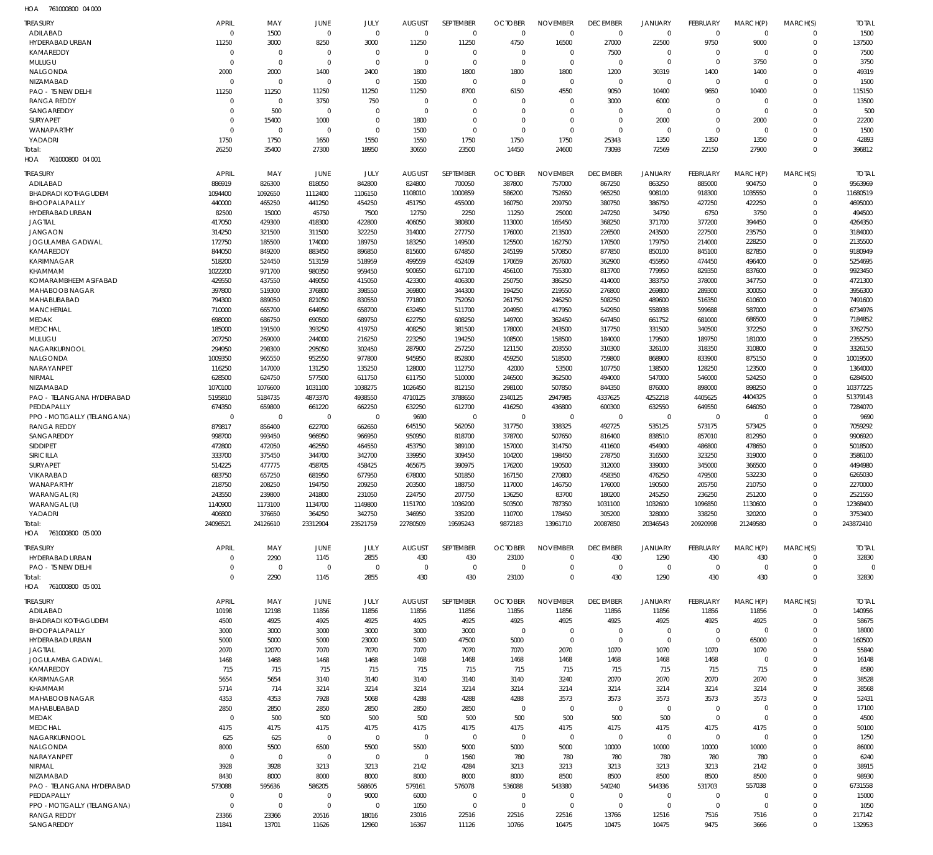761000800 04 000 HOA

| TREASURY<br><b>ADILABAD</b>             | <b>APRIL</b><br>$\overline{0}$ | MAY<br>1500                | JUNE<br>$\overline{0}$           | JULY<br>$\mathbf 0$        | <b>AUGUST</b><br>$\mathbf 0$   | SEPTEMBER<br>$\mathbf 0$   | <b>OCTOBER</b><br>$\overline{0}$ | <b>NOVEMBER</b><br>$\mathbf 0$ | <b>DECEMBER</b><br>$\mathbf 0$ | <b>JANUARY</b><br>$\mathbf 0$ | FEBRUARY<br>$\overline{0}$       | MARCH(P)<br>$\mathbf 0$ | MARCH(S)<br>$\mathbf 0$    | <b>TOTAL</b><br>1500 |
|-----------------------------------------|--------------------------------|----------------------------|----------------------------------|----------------------------|--------------------------------|----------------------------|----------------------------------|--------------------------------|--------------------------------|-------------------------------|----------------------------------|-------------------------|----------------------------|----------------------|
| HYDERABAD URBAN                         | 11250                          | 3000                       | 8250                             | 3000                       | 11250                          | 11250                      | 4750                             | 16500                          | 27000                          | 22500                         | 9750                             | 9000                    | $\mathbf 0$                | 137500               |
| KAMAREDDY<br>MULUGU                     | $\mathbf 0$<br>$\overline{0}$  | $\mathbf 0$<br>$\mathbf 0$ | $\overline{0}$<br>$\overline{0}$ | $\mathbf 0$<br>$\mathbf 0$ | $\overline{0}$<br>$\mathbf{0}$ | $\mathbf 0$<br>$\mathbf 0$ | $\overline{0}$<br>$\overline{0}$ | $\mathbf 0$<br>$\mathbf 0$     | 7500<br>$\overline{0}$         | $\mathbf 0$<br>$\mathbf 0$    | $\overline{0}$<br>$\overline{0}$ | $\mathbf 0$<br>3750     | $\mathbf 0$<br>$\mathbf 0$ | 7500<br>3750         |
| NALGONDA                                | 2000                           | 2000                       | 1400                             | 2400                       | 1800                           | 1800                       | 1800                             | 1800                           | 1200                           | 30319                         | 1400                             | 1400                    | $\mathbf 0$                | 49319                |
| NIZAMABAD                               | $\overline{0}$                 | $\mathbf 0$                | $\overline{0}$                   | $\mathbf 0$                | 1500                           | $\mathbf 0$                | $\mathbf 0$                      | $\mathbf 0$                    | $\mathbf 0$                    | $\mathbf 0$                   | $\overline{0}$                   | $\mathbf 0$             | $\Omega$                   | 1500                 |
| PAO - TS NEW DELHI                      | 11250                          | 11250                      | 11250                            | 11250                      | 11250                          | 8700                       | 6150                             | 4550                           | 9050                           | 10400                         | 9650                             | 10400                   | $\mathbf 0$                | 115150               |
| <b>RANGA REDDY</b>                      | $\mathbf 0$                    | $\mathbf 0$                | 3750                             | 750                        | $\overline{0}$                 | $\mathbf 0$                | $\mathbf 0$                      | $\mathbf 0$                    | 3000                           | 6000                          | $^{\circ}$                       | $\mathbf 0$             | $\mathbf 0$                | 13500                |
| SANGAREDDY                              | $\mathbf 0$                    | 500                        | $\overline{0}$                   | $\mathbf 0$                | $\overline{0}$                 | $\mathbf 0$                | $\overline{0}$                   | $\mathbf 0$                    | $\mathbf 0$                    | $\mathbf 0$                   | $^{\circ}$                       | $\mathbf 0$             | $\mathbf 0$                | 500                  |
| <b>SURYAPET</b>                         | $\mathbf 0$                    | 15400                      | 1000                             | $\mathbf 0$                | 1800                           | $\mathbf 0$                | $\overline{0}$                   | $\mathbf 0$                    | $\mathbf 0$                    | 2000                          | $\overline{0}$                   | 2000                    | $\mathbf 0$                | 22200                |
| WANAPARTHY                              | $\Omega$                       | $\mathbf 0$                | $\overline{0}$                   | $\mathbf 0$                | 1500                           | $\mathbf 0$                | $\overline{0}$                   | $\mathbf 0$                    | $\overline{0}$                 | $\mathbf 0$                   | $^{\circ}$                       | $\mathbf 0$             | $\mathbf 0$                | 1500                 |
| YADADRI                                 | 1750                           | 1750<br>35400              | 1650<br>27300                    | 1550<br>18950              | 1550<br>30650                  | 1750<br>23500              | 1750<br>14450                    | 1750                           | 25343<br>73093                 | 1350<br>72569                 | 1350                             | 1350<br>27900           | $\mathbf 0$<br>$\mathbf 0$ | 42893                |
| Total:<br>761000800 04 001<br>HOA       | 26250                          |                            |                                  |                            |                                |                            |                                  | 24600                          |                                |                               | 22150                            |                         |                            | 396812               |
|                                         |                                |                            |                                  |                            |                                |                            |                                  |                                |                                |                               |                                  |                         |                            |                      |
| <b>TREASURY</b>                         | <b>APRIL</b>                   | MAY                        | JUNE                             | JULY                       | <b>AUGUST</b>                  | SEPTEMBER                  | <b>OCTOBER</b>                   | <b>NOVEMBER</b>                | <b>DECEMBER</b>                | <b>JANUARY</b>                | FEBRUARY                         | MARCH(P)                | MARCH(S)                   | <b>TOTAL</b>         |
| ADILABAD<br><b>BHADRADI KOTHAGUDEM</b>  | 886919<br>1094400              | 826300<br>1092650          | 818050<br>1112400                | 842800<br>1106150          | 824800<br>1108010              | 700050<br>1000859          | 387800<br>586200                 | 757000<br>752650               | 867250<br>965250               | 863250<br>908100              | 885000<br>918300                 | 904750<br>1035550       | $\mathbf 0$<br>$\mathbf 0$ | 9563969<br>11680519  |
| BHOOPALAPALLY                           | 440000                         | 465250                     | 441250                           | 454250                     | 451750                         | 455000                     | 160750                           | 209750                         | 380750                         | 386750                        | 427250                           | 422250                  | $\mathbf 0$                | 4695000              |
| HYDERABAD URBAN                         | 82500                          | 15000                      | 45750                            | 7500                       | 12750                          | 2250                       | 11250                            | 25000                          | 247250                         | 34750                         | 6750                             | 3750                    | $\mathbf 0$                | 494500               |
| <b>JAGTIAL</b>                          | 417050                         | 429300                     | 418300                           | 422800                     | 406050                         | 380800                     | 113000                           | 165450                         | 368250                         | 371700                        | 377200                           | 394450                  | $\Omega$                   | 4264350              |
| <b>JANGAON</b>                          | 314250                         | 321500                     | 311500                           | 322250                     | 314000                         | 277750                     | 176000                           | 213500                         | 226500                         | 243500                        | 227500                           | 235750                  | $\mathbf 0$                | 3184000              |
| JOGULAMBA GADWAL                        | 172750                         | 185500                     | 174000                           | 189750                     | 183250                         | 149500                     | 125500                           | 162750                         | 170500                         | 179750                        | 214000                           | 228250                  | $\Omega$                   | 2135500              |
| KAMAREDDY                               | 844050                         | 849200                     | 883450                           | 896850                     | 815600                         | 674850                     | 245199                           | 570850                         | 877850                         | 850100                        | 845100                           | 827850                  | $\mathbf 0$                | 9180949              |
| <b>KARIMNAGAR</b>                       | 518200                         | 524450                     | 513159                           | 518959                     | 499559                         | 452409                     | 170659                           | 267600                         | 362900                         | 455950                        | 474450                           | 496400                  | $\Omega$                   | 5254695              |
| KHAMMAM                                 | 1022200                        | 971700                     | 980350                           | 959450                     | 900650                         | 617100                     | 456100                           | 755300                         | 813700                         | 779950                        | 829350                           | 837600                  | $\mathbf 0$                | 9923450              |
| KOMARAMBHEEM ASIFABAD<br>MAHABOOB NAGAR | 429550                         | 437550<br>519300           | 449050<br>376800                 | 415050<br>398550           | 423300<br>369800               | 406300<br>344300           | 250750<br>194250                 | 386250<br>219550               | 414000<br>276800               | 383750<br>269800              | 378000<br>289300                 | 347750                  | $\Omega$<br>$\mathbf 0$    | 4721300<br>3956300   |
| MAHABUBABAD                             | 397800<br>794300               | 889050                     | 821050                           | 830550                     | 771800                         | 752050                     | 261750                           | 246250                         | 508250                         | 489600                        | 516350                           | 300050<br>610600        | $\mathbf 0$                | 7491600              |
| <b>MANCHERIAL</b>                       | 710000                         | 665700                     | 644950                           | 658700                     | 632450                         | 511700                     | 204950                           | 417950                         | 542950                         | 558938                        | 599688                           | 587000                  | $\mathbf 0$                | 6734976              |
| MEDAK                                   | 698000                         | 686750                     | 690500                           | 689750                     | 622750                         | 608250                     | 149700                           | 362450                         | 647450                         | 661752                        | 681000                           | 686500                  | $\Omega$                   | 7184852              |
| <b>MEDCHAL</b>                          | 185000                         | 191500                     | 393250                           | 419750                     | 408250                         | 381500                     | 178000                           | 243500                         | 317750                         | 331500                        | 340500                           | 372250                  | $\mathbf 0$                | 3762750              |
| MULUGU                                  | 207250                         | 269000                     | 244000                           | 216250                     | 223250                         | 194250                     | 108500                           | 158500                         | 184000                         | 179500                        | 189750                           | 181000                  | $\Omega$                   | 2355250              |
| NAGARKURNOOL                            | 294950                         | 298300                     | 295050                           | 302450                     | 287900                         | 257250                     | 121150                           | 203550                         | 310300                         | 326100                        | 318350                           | 310800                  | $\mathbf 0$                | 3326150              |
| NALGONDA                                | 1009350                        | 965550                     | 952550                           | 977800                     | 945950                         | 852800                     | 459250                           | 518500                         | 759800                         | 868900                        | 833900                           | 875150                  | $\Omega$                   | 10019500             |
| NARAYANPET                              | 116250                         | 147000                     | 131250                           | 135250                     | 128000                         | 112750                     | 42000                            | 53500                          | 107750                         | 138500                        | 128250                           | 123500                  | $\mathbf 0$                | 1364000              |
| NIRMAL<br>NIZAMABAD                     | 628500<br>1070100              | 624750<br>1076600          | 577500<br>1031100                | 611750<br>1038275          | 611750<br>1026450              | 510000<br>812150           | 246500<br>298100                 | 362500<br>507850               | 494000<br>844350               | 547000<br>876000              | 546000<br>898000                 | 524250<br>898250        | $\mathbf 0$<br>$\mathbf 0$ | 6284500<br>10377225  |
| PAO - TELANGANA HYDERABAD               | 5195810                        | 5184735                    | 4873370                          | 4938550                    | 4710125                        | 3788650                    | 2340125                          | 2947985                        | 4337625                        | 4252218                       | 4405625                          | 4404325                 | $\Omega$                   | 51379143             |
| PEDDAPALLY                              | 674350                         | 659800                     | 661220                           | 662250                     | 632250                         | 612700                     | 416250                           | 436800                         | 600300                         | 632550                        | 649550                           | 646050                  | $\mathbf 0$                | 7284070              |
| PPO - MOTIGALLY (TELANGANA)             | $\mathbf 0$                    | $\mathbf 0$                | $\overline{0}$                   | $\Omega$                   | 9690                           | $\mathbf 0$                | $\overline{0}$                   | $\mathbf 0$                    | $\mathbf 0$                    | $\mathbf 0$                   | $\overline{0}$                   | $\Omega$                | $\Omega$                   | 9690                 |
| <b>RANGA REDDY</b>                      | 879817                         | 856400                     | 622700                           | 662650                     | 645150                         | 562050                     | 317750                           | 338325                         | 492725                         | 535125                        | 573175                           | 573425                  | $\mathbf 0$                | 7059292              |
| SANGAREDDY                              | 998700                         | 993450                     | 966950                           | 966950                     | 950950                         | 818700                     | 378700                           | 507650                         | 816400                         | 838510                        | 857010                           | 812950                  | $\Omega$                   | 9906920              |
| SIDDIPET                                | 472800                         | 472050                     | 462550                           | 464550                     | 453750                         | 389100                     | 157000                           | 314750                         | 411600                         | 454900                        | 486800                           | 478650                  | $\overline{0}$             | 5018500              |
| SIRICILLA                               | 333700                         | 375450                     | 344700                           | 342700                     | 339950                         | 309450                     | 104200                           | 198450                         | 278750                         | 316500                        | 323250                           | 319000                  | $\Omega$                   | 3586100              |
| <b>SURYAPET</b>                         | 514225                         | 477775                     | 458705                           | 458425                     | 465675                         | 390975                     | 176200                           | 190500                         | 312000                         | 339000                        | 345000                           | 366500                  | $\Omega$                   | 4494980              |
| VIKARABAD<br>WANAPARTHY                 | 683750<br>218750               | 657250<br>208250           | 681950<br>194750                 | 677950<br>209250           | 678000<br>203500               | 501850<br>188750           | 167150<br>117000                 | 270800<br>146750               | 458350<br>176000               | 476250<br>190500              | 479500<br>205750                 | 532230<br>210750        | $\Omega$<br>$\mathbf 0$    | 6265030<br>2270000   |
| WARANGAL (R)                            | 243550                         | 239800                     | 241800                           | 231050                     | 224750                         | 207750                     | 136250                           | 83700                          | 180200                         | 245250                        | 236250                           | 251200                  | $\mathbf 0$                | 2521550              |
| WARANGAL (U)                            | 1140900                        | 1173100                    | 1134700                          | 1149800                    | 1151700                        | 1036200                    | 503500                           | 787350                         | 1031100                        | 1032600                       | 1096850                          | 1130600                 | $\mathbf 0$                | 12368400             |
| YADADRI                                 | 406800                         | 376650                     | 364250                           | 342750                     | 346950                         | 335200                     | 110700                           | 178450                         | 305200                         | 328000                        | 338250                           | 320200                  | $\mathbf 0$                | 3753400              |
| Total:                                  | 24096521                       | 24126610                   | 23312904                         | 23521759                   | 22780509                       | 19595243                   | 9872183                          | 13961710                       | 20087850                       | 20346543                      | 20920998                         | 21249580                | $\mathbf 0$                | 243872410            |
| HOA 761000800 05 000                    |                                |                            |                                  |                            |                                |                            |                                  |                                |                                |                               |                                  |                         |                            |                      |
| TREASURY                                | <b>APRIL</b>                   | MAY                        | <b>JUNE</b>                      | JULY                       | <b>AUGUST</b>                  | SEPTEMBER                  | <b>OCTOBER</b>                   | <b>NOVEMBER</b>                | <b>DECEMBER</b>                | <b>JANUARY</b>                | FEBRUARY                         | MARCH(P)                | MARCH(S)                   | <b>TOTAL</b>         |
| HYDERABAD URBAN                         | $\mathbf 0$                    | 2290                       | 1145                             | 2855                       | 430                            | 430                        | 23100                            | $\mathbf 0$                    | 430                            | 1290                          | 430                              | 430                     | $\mathbf 0$                | 32830                |
| PAO - TS NEW DELHI                      | 0                              | 0                          | $\overline{0}$                   | $\mathbf 0$                | $\overline{0}$                 | $\mathbf 0$                | $\overline{0}$                   | $\mathbf 0$                    | $\overline{0}$                 | $\mathbf 0$                   | $\overline{0}$                   | $\mathbf 0$             | $\mathbf 0$                | $\mathbf 0$          |
| Total:                                  | $\mathbf 0$                    | 2290                       | 1145                             | 2855                       | 430                            | 430                        | 23100                            | $\mathbf 0$                    | 430                            | 1290                          | 430                              | 430                     | $\mathbf 0$                | 32830                |
| HOA 761000800 05 001                    |                                |                            |                                  |                            |                                |                            |                                  |                                |                                |                               |                                  |                         |                            |                      |
| <b>TREASURY</b>                         | <b>APRIL</b>                   | MAY                        | JUNE                             | JULY                       | <b>AUGUST</b>                  | <b>SEPTEMBER</b>           | <b>OCTOBER</b>                   | <b>NOVEMBER</b>                | <b>DECEMBER</b>                | JANUARY                       | FEBRUARY                         | MARCH(P)                | MARCH(S)                   | <b>TOTAL</b>         |
| ADILABAD                                | 10198                          | 12198                      | 11856                            | 11856                      | 11856                          | 11856                      | 11856                            | 11856                          | 11856                          | 11856                         | 11856                            | 11856                   | $\mathbf 0$                | 140956               |
| <b>BHADRADI KOTHAGUDEM</b>              | 4500                           | 4925                       | 4925                             | 4925                       | 4925                           | 4925                       | 4925                             | 4925                           | 4925                           | 4925                          | 4925                             | 4925                    | $\mathbf 0$                | 58675                |
| BHOOPALAPALLY                           | 3000                           | 3000                       | 3000                             | 3000                       | 3000                           | 3000                       | $\overline{0}$                   | $\mathbf 0$                    | $\overline{0}$                 | $\mathbf 0$                   | $\overline{0}$                   | $\mathbf 0$             | $\mathbf 0$                | 18000                |
| HYDERABAD URBAN                         | 5000                           | 5000                       | 5000                             | 23000                      | 5000                           | 47500                      | 5000                             | $\overline{0}$                 | $\overline{0}$                 | $\mathbf 0$                   | $\overline{0}$                   | 65000                   | 0                          | 160500               |
| <b>JAGTIAL</b><br>JOGULAMBA GADWAL      | 2070<br>1468                   | 12070<br>1468              | 7070<br>1468                     | 7070<br>1468               | 7070                           | 7070                       | 7070<br>1468                     | 2070<br>1468                   | 1070<br>1468                   | 1070<br>1468                  | 1070<br>1468                     | 1070<br>$\mathbf 0$     | $\Omega$<br>0              | 55840<br>16148       |
| KAMAREDDY                               | 715                            | 715                        | 715                              | 715                        | 1468<br>715                    | 1468<br>715                | 715                              | 715                            | 715                            | 715                           | 715                              | 715                     | $\Omega$                   | 8580                 |
| <b>KARIMNAGAR</b>                       | 5654                           | 5654                       | 3140                             | 3140                       | 3140                           | 3140                       | 3140                             | 3240                           | 2070                           | 2070                          | 2070                             | 2070                    | $\mathbf 0$                | 38528                |
| KHAMMAM                                 | 5714                           | 714                        | 3214                             | 3214                       | 3214                           | 3214                       | 3214                             | 3214                           | 3214                           | 3214                          | 3214                             | 3214                    | $\mathbf 0$                | 38568                |
| MAHABOOB NAGAR                          | 4353                           | 4353                       | 7928                             | 5068                       | 4288                           | 4288                       | 4288                             | 3573                           | 3573                           | 3573                          | 3573                             | 3573                    | $\mathbf 0$                | 52431                |
| MAHABUBABAD                             | 2850                           | 2850                       | 2850                             | 2850                       | 2850                           | 2850                       | $\mathbf 0$                      | $\mathbf 0$                    | $\mathbf 0$                    | $\mathbf 0$                   | $\overline{0}$                   | $\mathbf 0$             | $\mathbf 0$                | 17100                |
| MEDAK                                   | $\mathbf 0$                    | 500                        | 500                              | 500                        | 500                            | 500                        | 500                              | 500                            | 500                            | 500                           | $\overline{0}$                   | $\mathbf 0$             | $\mathbf 0$                | 4500                 |
| <b>MEDCHAL</b>                          | 4175                           | 4175                       | 4175                             | 4175                       | 4175                           | 4175                       | 4175                             | 4175                           | 4175                           | 4175                          | 4175                             | 4175                    | $\mathbf 0$                | 50100                |
| NAGARKURNOOL                            | 625                            | 625                        | $\overline{0}$                   | $\mathbf 0$                | $\mathbf{0}$                   | $\mathbf 0$                | $\overline{0}$                   | $\mathbf 0$                    | $\mathbf 0$                    | $\mathbf 0$                   | $\overline{0}$                   | $\mathbf 0$             | 0                          | 1250                 |
| NALGONDA                                | 8000                           | 5500                       | 6500                             | 5500                       | 5500                           | 5000                       | 5000                             | 5000                           | 10000                          | 10000                         | 10000                            | 10000                   | $\Omega$                   | 86000                |
| NARAYANPET<br>NIRMAL                    | $\overline{0}$<br>3928         | $\mathbf 0$<br>3928        | $\overline{0}$<br>3213           | $\mathbf 0$<br>3213        | $\mathbf{0}$<br>2142           | 1560<br>4284               | 780<br>3213                      | 780<br>3213                    | 780<br>3213                    | 780<br>3213                   | 780<br>3213                      | 780<br>2142             | $\mathbf 0$<br>$\mathbf 0$ | 6240<br>38915        |
| NIZAMABAD                               | 8430                           | 8000                       | 8000                             | 8000                       | 8000                           | 8000                       | 8000                             | 8500                           | 8500                           | 8500                          | 8500                             | 8500                    | $\mathbf 0$                | 98930                |
| PAO - TELANGANA HYDERABAD               | 573088                         | 595636                     | 586205                           | 568605                     | 579161                         | 576078                     | 536088                           | 543380                         | 540240                         | 544336                        | 531703                           | 557038                  | $\mathbf 0$                | 6731558              |
| PEDDAPALLY                              | $\mathbf 0$                    | $\mathbf 0$                | $\overline{0}$                   | 9000                       | 6000                           | $\mathbf 0$                | $\overline{0}$                   | $\mathbf 0$                    | $\overline{0}$                 | $\mathbf 0$                   | $\overline{0}$                   | 0                       | 0                          | 15000                |
| PPO - MOTIGALLY (TELANGANA)             | $\mathbf 0$                    | $\mathbf 0$                | $\overline{0}$                   | $\mathbf 0$                | 1050                           | $\mathbf 0$                | $\overline{0}$                   | $\mathbf 0$                    | $\overline{0}$                 | $\mathbf 0$                   | $\overline{0}$                   | $\mathbf 0$             | $\mathbf 0$                | 1050                 |
| <b>RANGA REDDY</b>                      | 23366                          | 23366                      | 20516                            | 18016                      | 23016                          | 22516                      | 22516                            | 22516                          | 13766                          | 12516                         | 7516                             | 7516                    | $\mathbf 0$                | 217142               |
| SANGAREDDY                              | 11841                          | 13701                      | 11626                            | 12960                      | 16367                          | 11126                      | 10766                            | 10475                          | 10475                          | 10475                         | 9475                             | 3666                    | $\Omega$                   | 132953               |